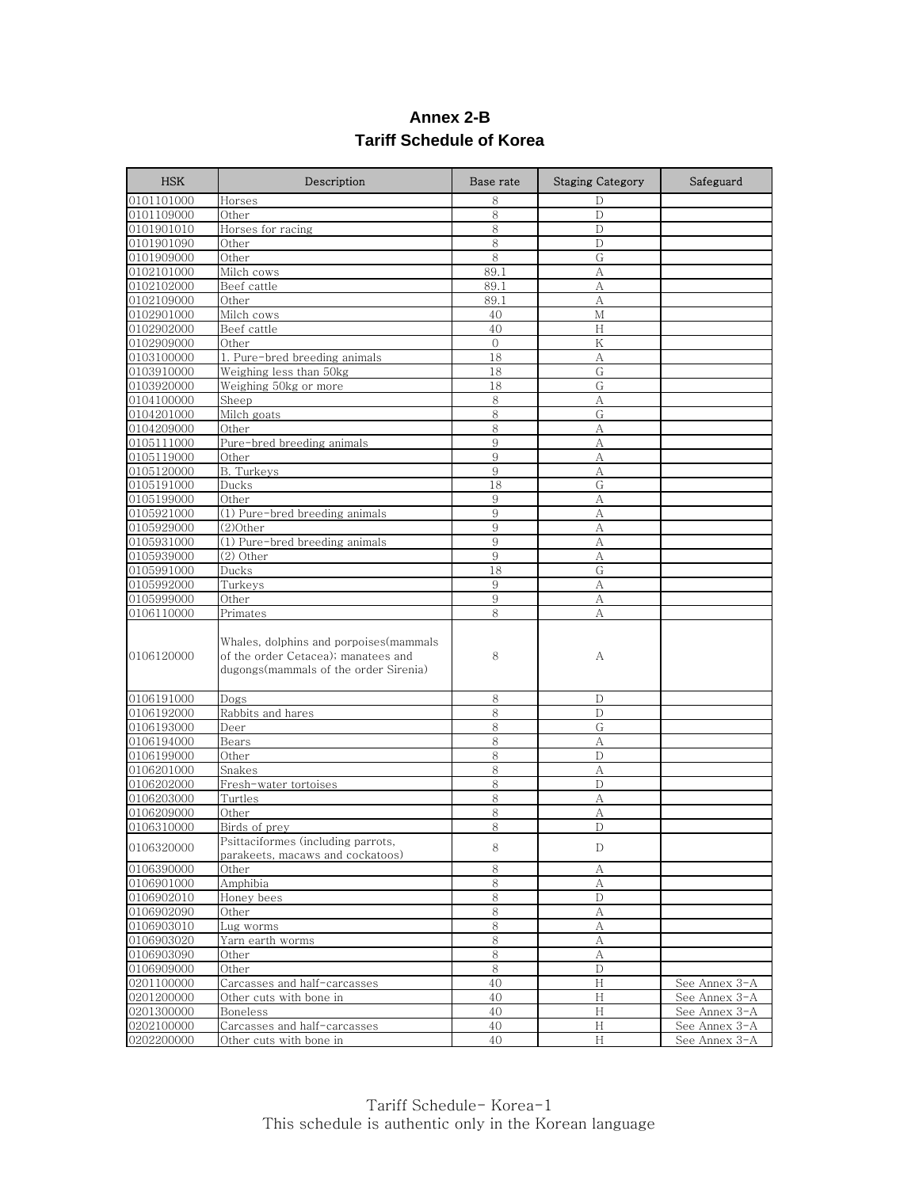| Annex 2-B |                          |  |  |
|-----------|--------------------------|--|--|
|           | Tariff Schedule of Korea |  |  |

| <b>HSK</b> | Description                                                                                                             | Base rate | <b>Staging Category</b>   | Safeguard     |
|------------|-------------------------------------------------------------------------------------------------------------------------|-----------|---------------------------|---------------|
| 0101101000 | Horses                                                                                                                  | 8         | D                         |               |
| 0101109000 | Other                                                                                                                   | 8         | D                         |               |
| 0101901010 | Horses for racing                                                                                                       | 8         | D                         |               |
| 0101901090 | Other                                                                                                                   | 8         | D                         |               |
| 0101909000 | Other                                                                                                                   | 8         | G                         |               |
| 0102101000 | Milch cows                                                                                                              | 89.1      | A                         |               |
| 0102102000 | Beef cattle                                                                                                             | 89.1      | А                         |               |
| 0102109000 | Other                                                                                                                   | 89.1      | A                         |               |
| 0102901000 | Milch cows                                                                                                              | 40        | M                         |               |
| 0102902000 | Beef cattle                                                                                                             | 40        | Н                         |               |
| 0102909000 | Other                                                                                                                   | $\Omega$  | K                         |               |
| 0103100000 | 1. Pure-bred breeding animals                                                                                           | 18        | А                         |               |
| 0103910000 | Weighing less than 50kg                                                                                                 | 18        | G                         |               |
| 0103920000 | Weighing 50kg or more                                                                                                   | 18        | G                         |               |
| 0104100000 | Sheep                                                                                                                   | 8         | A                         |               |
| 0104201000 | Milch goats                                                                                                             | 8         | G                         |               |
| 0104209000 | Other                                                                                                                   | 8         | A                         |               |
| 0105111000 | Pure-bred breeding animals                                                                                              | 9         | A                         |               |
| 0105119000 | Other                                                                                                                   | 9         | A                         |               |
| 0105120000 | B. Turkeys                                                                                                              | 9         | А                         |               |
| 0105191000 | Ducks                                                                                                                   | 18        | G                         |               |
| 0105199000 | Other                                                                                                                   | 9         | A                         |               |
| 0105921000 | (1) Pure-bred breeding animals                                                                                          | 9         | A                         |               |
| 0105929000 | (2)Other                                                                                                                | 9         | А                         |               |
| 0105931000 | (1) Pure-bred breeding animals                                                                                          | 9         | A                         |               |
| 0105939000 | (2) Other                                                                                                               | 9         | А                         |               |
| 0105991000 | Ducks                                                                                                                   | 18        | G                         |               |
| 0105992000 | Turkeys                                                                                                                 | 9         | A                         |               |
| 0105999000 | Other                                                                                                                   | 9         | А                         |               |
| 0106110000 | Primates                                                                                                                | 8         | A                         |               |
| 0106120000 | Whales, dolphins and porpoises (mammals<br>of the order Cetacea); manatees and<br>dugongs(mammals of the order Sirenia) | 8         | A                         |               |
| 0106191000 | Dogs                                                                                                                    | 8         | D                         |               |
| 0106192000 | Rabbits and hares                                                                                                       | 8         | D                         |               |
| 0106193000 | Deer                                                                                                                    | 8         | G                         |               |
| 0106194000 | Bears                                                                                                                   | 8         | A                         |               |
| 0106199000 | Other                                                                                                                   | 8         | D                         |               |
| 0106201000 | Snakes                                                                                                                  | 8         | A                         |               |
| 0106202000 | Fresh-water tortoises                                                                                                   | 8         | D                         |               |
| 0106203000 | Turtles                                                                                                                 | 8         | A                         |               |
| 0106209000 | Other                                                                                                                   | 8         | A                         |               |
| 0106310000 | Birds of prey                                                                                                           | 8         | D                         |               |
| 0106320000 | Psittaciformes (including parrots,<br>parakeets, macaws and cockatoos)                                                  | 8         | D                         |               |
| 0106390000 | Other                                                                                                                   | 8         | А                         |               |
| 0106901000 | Amphibia                                                                                                                | $\,8\,$   | А                         |               |
| 0106902010 | Honey bees                                                                                                              | 8         | D                         |               |
| 0106902090 | Other                                                                                                                   | $\,8\,$   | $\mathbf{A}$              |               |
| 0106903010 | Lug worms                                                                                                               | 8         | А                         |               |
| 0106903020 | Yarn earth worms                                                                                                        | 8         | А                         |               |
| 0106903090 | Other                                                                                                                   | $\,8\,$   | A                         |               |
| 0106909000 | Other                                                                                                                   | 8         | D                         |               |
| 0201100000 | Carcasses and half-carcasses                                                                                            | 40        | H                         | See Annex 3-A |
| 0201200000 | Other cuts with bone in                                                                                                 | 40        | Н                         | See Annex 3-A |
| 0201300000 | Boneless                                                                                                                | 40        | $\mathbb H$               | See Annex 3-A |
| 0202100000 | Carcasses and half-carcasses                                                                                            | 40        | $\boldsymbol{\mathrm{H}}$ | See Annex 3-A |
| 0202200000 | Other cuts with bone in                                                                                                 | 40        | H                         | See Annex 3-A |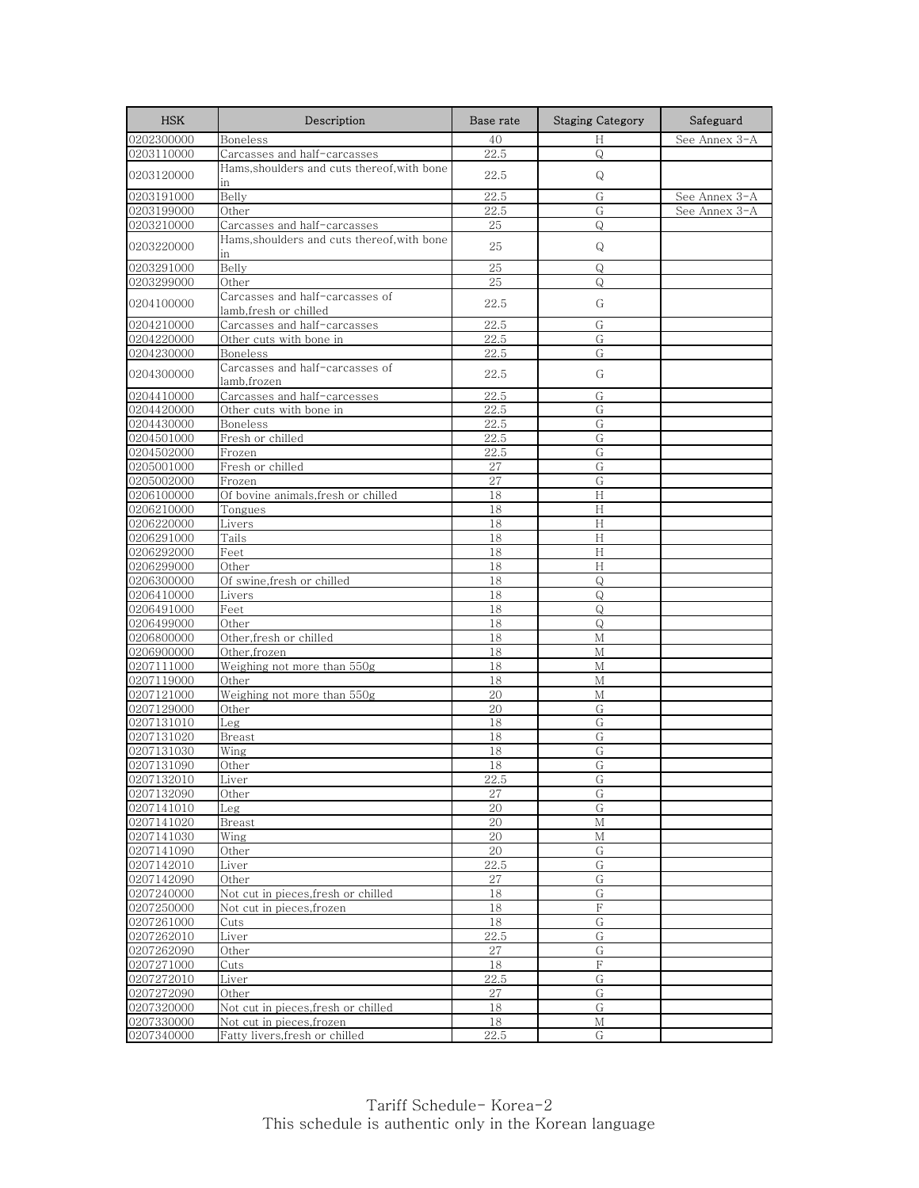| <b>HSK</b>               | Description                                              | Base rate | <b>Staging Category</b> | Safeguard     |
|--------------------------|----------------------------------------------------------|-----------|-------------------------|---------------|
| 0202300000               | Boneless                                                 | 40        | Н                       | See Annex 3-A |
| 0203110000               | Carcasses and half-carcasses                             | 22.5      | $\mathsf{Q}$            |               |
| 0203120000               | Hams, shoulders and cuts thereof, with bone<br>in        | 22.5      | Q                       |               |
| 0203191000               | Belly                                                    | 22.5      | G                       | See Annex 3-A |
| 0203199000               | Other                                                    | 22.5      | G                       | See Annex 3-A |
| 0203210000               | Carcasses and half-carcasses                             | 25        | Q                       |               |
| 0203220000               | Hams,shoulders and cuts thereof,with bone<br>in          | 25        | Q                       |               |
| 0203291000               | Belly                                                    | 25        | Q                       |               |
| 0203299000               | Other                                                    | 25        | Q                       |               |
| 0204100000               | Carcasses and half-carcasses of<br>lamb,fresh or chilled | 22.5      | G                       |               |
| 0204210000               | Carcasses and half-carcasses                             | 22.5      | G                       |               |
| 0204220000               | Other cuts with bone in                                  | 22.5      | G                       |               |
| 0204230000               | Boneless                                                 | 22.5      | G                       |               |
| 0204300000               | Carcasses and half-carcasses of<br>lamb.frozen           | 22.5      | G                       |               |
| 0204410000               | Carcasses and half-carcesses                             | 22.5      | G                       |               |
| 0204420000               | Other cuts with bone in                                  | 22.5      | G                       |               |
| 0204430000               | Boneless                                                 | 22.5      | G                       |               |
| 0204501000               | Fresh or chilled                                         | 22.5      | G                       |               |
| 0204502000               | Frozen                                                   | 22.5      | G                       |               |
| 0205001000               | Fresh or chilled                                         | 27        | G                       |               |
| 0205002000               | Frozen                                                   | 27        | G                       |               |
| 0206100000               | Of bovine animals, fresh or chilled                      | 18        | H                       |               |
| 0206210000               | Tongues                                                  | 18        | H                       |               |
| 0206220000               | Livers                                                   | 18        | H                       |               |
| 0206291000               | Tails                                                    | 18        | Н                       |               |
| 0206292000               | Feet                                                     | 18        | H                       |               |
| 0206299000               | Other                                                    | 18        | Н                       |               |
| 0206300000               | Of swine, fresh or chilled                               | 18        | $\mathsf Q$             |               |
| 0206410000               | Livers                                                   | 18        | $\mathsf{Q}$            |               |
| 0206491000               | Feet                                                     | 18        | Q                       |               |
| 0206499000               | Other                                                    | 18        | $\circ$                 |               |
| 0206800000               | Other, fresh or chilled                                  | 18        | М                       |               |
| 0206900000               | Other, frozen                                            | 18        | М                       |               |
| 0207111000               | Weighing not more than 550g                              | 18        | М                       |               |
| 0207119000               | Other                                                    | 18        | M                       |               |
| 0207121000               | Weighing not more than 550g                              | 20        | М                       |               |
| 0207129000<br>0207131010 | Other                                                    | 20<br>18  | G<br>G                  |               |
|                          | Leg                                                      |           |                         |               |
| 0207131020<br>0207131030 | Breast<br>Wing                                           | 18<br>18  | G<br>G                  |               |
| 0207131090               | Other                                                    | 18        | G                       |               |
| 0207132010               | Liver                                                    | 22.5      | G                       |               |
| 0207132090               | Other                                                    | 27        | G                       |               |
| 0207141010               | Leg                                                      | 20        | G                       |               |
| 0207141020               | Breast                                                   | 20        | M                       |               |
| 0207141030               | Wing                                                     | 20        | М                       |               |
| 0207141090               | Other                                                    | 20        | G                       |               |
| 0207142010               | Liver                                                    | 22.5      | G                       |               |
| 0207142090               | Other                                                    | 27        | G                       |               |
| 0207240000               | Not cut in pieces, fresh or chilled                      | 18        | G                       |               |
| 0207250000               | Not cut in pieces, frozen                                | 18        | F                       |               |
| 0207261000               | Cuts                                                     | 18        | G                       |               |
| 0207262010               | Liver                                                    | 22.5      | G                       |               |
| 0207262090               | Other                                                    | 27        | G                       |               |
| 0207271000               | Cuts                                                     | 18        | F                       |               |
| 0207272010               | Liver                                                    | 22.5      | G                       |               |
| 0207272090               | Other                                                    | 27        | G                       |               |
| 0207320000               | Not cut in pieces, fresh or chilled                      | 18        | G                       |               |
| 0207330000               | Not cut in pieces, frozen                                | 18        | М                       |               |
| 0207340000               | Fatty livers, fresh or chilled                           | 22.5      | G                       |               |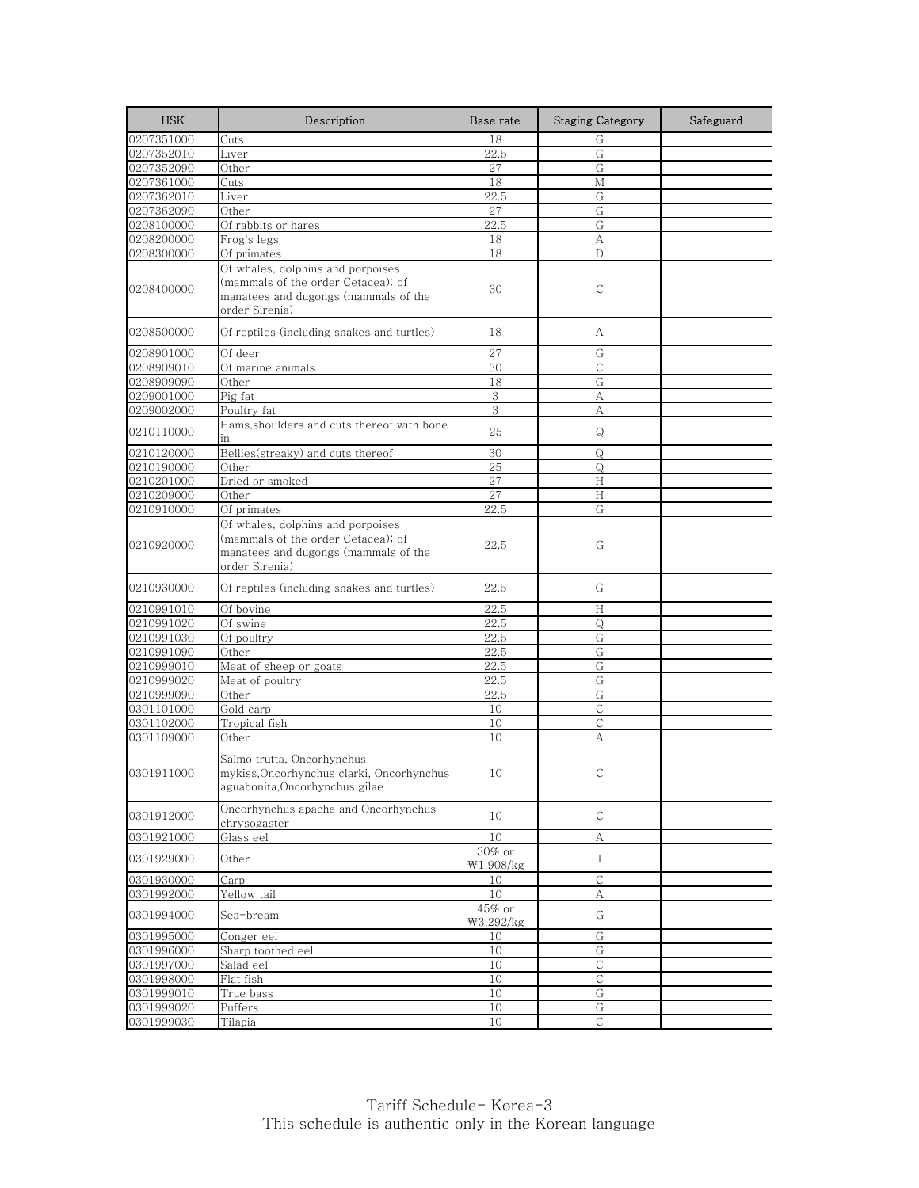| <b>HSK</b> | Description                                                                                                                       | Base rate           | <b>Staging Category</b> | Safeguard |
|------------|-----------------------------------------------------------------------------------------------------------------------------------|---------------------|-------------------------|-----------|
| 0207351000 | Cuts                                                                                                                              | 18                  | G                       |           |
| 0207352010 | Liver                                                                                                                             | 22.5                | G                       |           |
| 0207352090 | Other                                                                                                                             | 27                  | G                       |           |
| 0207361000 | Cuts                                                                                                                              | 18                  | М                       |           |
| 0207362010 | Liver                                                                                                                             | 22.5                | G                       |           |
| 0207362090 | Other                                                                                                                             | 27                  | G                       |           |
| 0208100000 | Of rabbits or hares                                                                                                               | 22.5                | G                       |           |
| 0208200000 | Frog's legs                                                                                                                       | 18                  | А                       |           |
| 0208300000 | Of primates                                                                                                                       | 18                  | D                       |           |
| 0208400000 | Of whales, dolphins and porpoises<br>(mammals of the order Cetacea); of<br>manatees and dugongs (mammals of the<br>order Sirenia) | 30                  | С                       |           |
| 0208500000 | Of reptiles (including snakes and turtles)                                                                                        | 18                  | А                       |           |
| 0208901000 | Of deer                                                                                                                           | 27                  | G                       |           |
| 0208909010 | Of marine animals                                                                                                                 | 30                  | С                       |           |
| 0208909090 | Other                                                                                                                             | 18                  | G                       |           |
| 0209001000 | Pig fat                                                                                                                           | 3                   | А                       |           |
| 0209002000 | Poultry fat                                                                                                                       | 3                   | A                       |           |
| 0210110000 | Hams, shoulders and cuts thereof, with bone<br>in                                                                                 | 25                  | Q                       |           |
| 0210120000 | Bellies(streaky) and cuts thereof                                                                                                 | 30                  | Q                       |           |
| 0210190000 | Other                                                                                                                             | 25                  | Q                       |           |
| 0210201000 | Dried or smoked                                                                                                                   | 27                  | Н                       |           |
| 0210209000 | Other                                                                                                                             | 27                  | Н                       |           |
| 0210910000 | Of primates                                                                                                                       | 22.5                | G                       |           |
| 0210920000 | Of whales, dolphins and porpoises<br>(mammals of the order Cetacea); of<br>manatees and dugongs (mammals of the<br>order Sirenia) | 22.5                | G                       |           |
| 0210930000 | Of reptiles (including snakes and turtles)                                                                                        | 22.5                | G                       |           |
| 0210991010 | Of bovine                                                                                                                         | 22.5                | Н                       |           |
| 0210991020 | Of swine                                                                                                                          | 22.5                | Q                       |           |
| 0210991030 | Of poultry                                                                                                                        | 22.5                | G                       |           |
| 0210991090 | Other                                                                                                                             | 22.5                | G                       |           |
| 0210999010 | Meat of sheep or goats                                                                                                            | 22.5                | G                       |           |
| 0210999020 | Meat of poultry                                                                                                                   | 22.5                | G                       |           |
| 0210999090 | Other                                                                                                                             | 22.5                | G                       |           |
| 0301101000 | Gold carp                                                                                                                         | 10                  | C                       |           |
| 0301102000 | Tropical fish                                                                                                                     | 10                  | $\mathsf{C}$            |           |
| 0301109000 | Other                                                                                                                             | 10                  | А                       |           |
| 0301911000 | Salmo trutta, Oncorhynchus<br>mykiss, Oncorhynchus clarki, Oncorhynchus<br>aguabonita, Oncorhynchus gilae                         | 10                  | С                       |           |
| 0301912000 | Oncorhynchus apache and Oncorhynchus<br>chrysogaster                                                                              | 10                  | $\mathsf C$             |           |
| 0301921000 | Glass eel                                                                                                                         | 10                  | А                       |           |
| 0301929000 | Other                                                                                                                             | 30% or<br>W1,908/kg | $\mathbf I$             |           |
| 0301930000 | Carp                                                                                                                              | 10                  | $\mathsf{C}$            |           |
| 0301992000 | Yellow tail                                                                                                                       | 10                  | А                       |           |
| 0301994000 | Sea-bream                                                                                                                         | 45% or<br>₩3,292/kg | G                       |           |
| 0301995000 | Conger eel                                                                                                                        | 10                  | G                       |           |
| 0301996000 | Sharp toothed eel                                                                                                                 | 10                  | G                       |           |
| 0301997000 | Salad eel                                                                                                                         | 10                  | $\mathsf C$             |           |
| 0301998000 | Flat fish                                                                                                                         | 10                  | С                       |           |
| 0301999010 | True bass                                                                                                                         | 10                  | G                       |           |
| 0301999020 | Puffers                                                                                                                           | 10                  | G                       |           |
| 0301999030 | Tilapia                                                                                                                           | 10                  | $\mathsf C$             |           |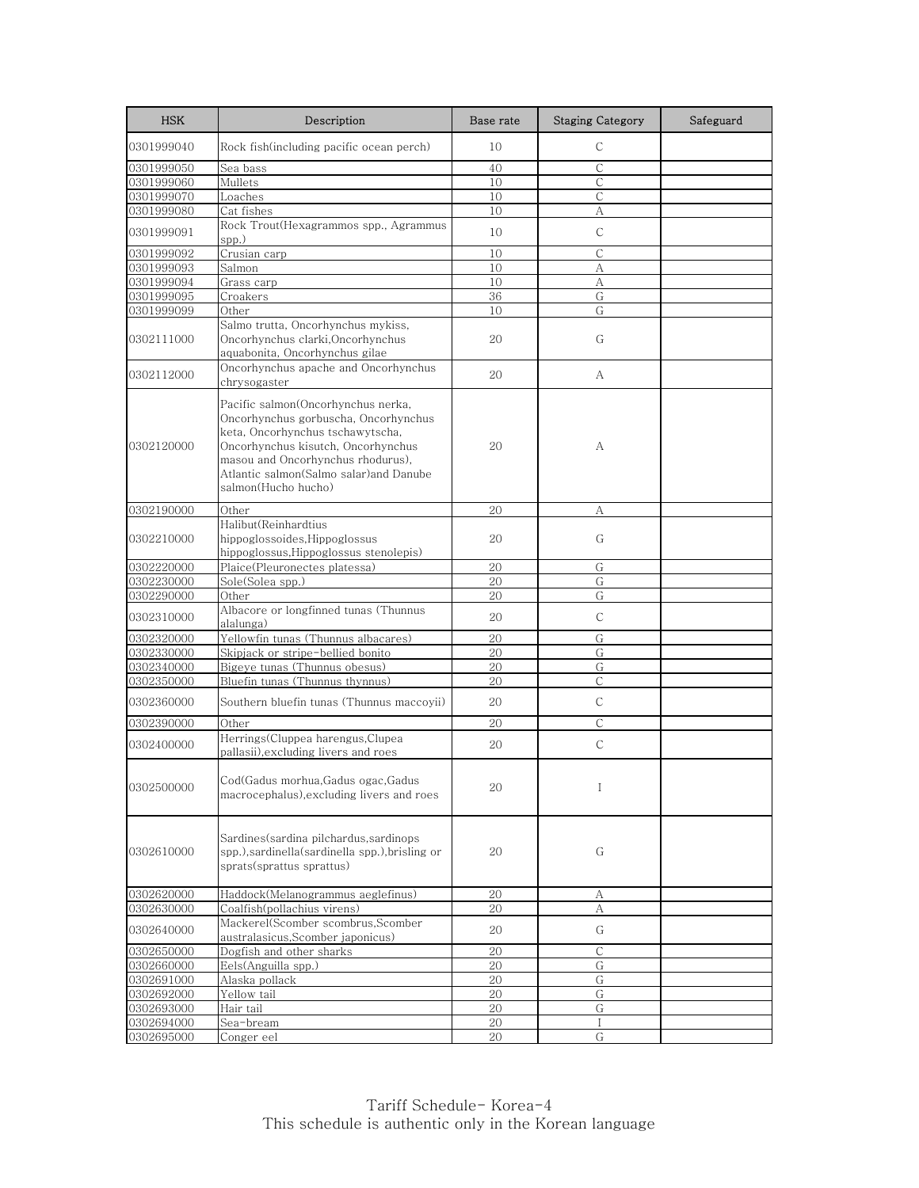| <b>HSK</b> | Description                                                                                                                                                                                                                                                | Base rate | <b>Staging Category</b> | Safeguard |
|------------|------------------------------------------------------------------------------------------------------------------------------------------------------------------------------------------------------------------------------------------------------------|-----------|-------------------------|-----------|
| 0301999040 | Rock fish(including pacific ocean perch)                                                                                                                                                                                                                   | 10        | C                       |           |
| 0301999050 | Sea bass                                                                                                                                                                                                                                                   | 40        | C                       |           |
| 0301999060 | Mullets                                                                                                                                                                                                                                                    | 10        | С                       |           |
| 0301999070 | Loaches                                                                                                                                                                                                                                                    | 10        | С                       |           |
| 0301999080 | Cat fishes                                                                                                                                                                                                                                                 | 10        | А                       |           |
| 0301999091 | Rock Trout(Hexagrammos spp., Agrammus<br>spp.)                                                                                                                                                                                                             | 10        | $\mathsf{C}$            |           |
| 0301999092 | Crusian carp                                                                                                                                                                                                                                               | 10        | $\mathsf{C}$            |           |
| 0301999093 | Salmon                                                                                                                                                                                                                                                     | 10        | А                       |           |
| 0301999094 | Grass carp                                                                                                                                                                                                                                                 | 10        | А                       |           |
| 0301999095 | Croakers                                                                                                                                                                                                                                                   | 36        | G                       |           |
| 0301999099 | Other                                                                                                                                                                                                                                                      | 10        | G                       |           |
| 0302111000 | Salmo trutta, Oncorhynchus mykiss,<br>Oncorhynchus clarki, Oncorhynchus<br>aquabonita, Oncorhynchus gilae                                                                                                                                                  | 20        | G                       |           |
| 0302112000 | Oncorhynchus apache and Oncorhynchus<br>chrysogaster                                                                                                                                                                                                       | 20        | A                       |           |
| 0302120000 | Pacific salmon(Oncorhynchus nerka,<br>Oncorhynchus gorbuscha, Oncorhynchus<br>keta, Oncorhynchus tschawytscha,<br>Oncorhynchus kisutch, Oncorhynchus<br>masou and Oncorhynchus rhodurus),<br>Atlantic salmon(Salmo salar)and Danube<br>salmon(Hucho hucho) | 20        | А                       |           |
| 0302190000 | Other                                                                                                                                                                                                                                                      | 20        | А                       |           |
| 0302210000 | Halibut(Reinhardtius<br>hippoglossoides.Hippoglossus<br>hippoglossus, Hippoglossus stenolepis)                                                                                                                                                             | 20        | G                       |           |
| 0302220000 | Plaice(Pleuronectes platessa)                                                                                                                                                                                                                              | 20        | G                       |           |
| 0302230000 | Sole(Solea spp.)                                                                                                                                                                                                                                           | 20        | G                       |           |
| 0302290000 | Other                                                                                                                                                                                                                                                      | 20        | G                       |           |
| 0302310000 | Albacore or longfinned tunas (Thunnus<br>alalunga)                                                                                                                                                                                                         | 20        | С                       |           |
| 0302320000 | Yellowfin tunas (Thunnus albacares)                                                                                                                                                                                                                        | 20        | G                       |           |
| 0302330000 | Skipjack or stripe-bellied bonito                                                                                                                                                                                                                          | 20        | G                       |           |
| 0302340000 | Bigeye tunas (Thunnus obesus)                                                                                                                                                                                                                              | 20        | G                       |           |
| 0302350000 | Bluefin tunas (Thunnus thynnus)                                                                                                                                                                                                                            | 20        | C                       |           |
| 0302360000 | Southern bluefin tunas (Thunnus maccoyii)                                                                                                                                                                                                                  | 20        | $\mathsf C$             |           |
|            | Other                                                                                                                                                                                                                                                      | 20        | $\mathsf{C}$            |           |
| 0302390000 | Herrings(Cluppea harengus,Clupea                                                                                                                                                                                                                           |           |                         |           |
| 0302400000 | pallasii),excluding livers and roes                                                                                                                                                                                                                        | 20        | С                       |           |
| 0302500000 | Cod(Gadus morhua, Gadus ogac, Gadus<br>macrocephalus), excluding livers and roes                                                                                                                                                                           | 20        | Ι                       |           |
| 0302610000 | Sardines(sardina pilchardus,sardinops<br>spp.), sardinella (sardinella spp.), brisling or<br>sprats(sprattus sprattus)                                                                                                                                     | 20        | G                       |           |
| 0302620000 | Haddock(Melanogrammus aeglefinus)                                                                                                                                                                                                                          | 20        | А                       |           |
| 0302630000 | Coalfish(pollachius virens)                                                                                                                                                                                                                                | 20        | А                       |           |
| 0302640000 | Mackerel(Scomber scombrus, Scomber<br>australasicus, Scomber japonicus)                                                                                                                                                                                    | 20        | G                       |           |
| 0302650000 | Dogfish and other sharks                                                                                                                                                                                                                                   | 20        | С                       |           |
| 0302660000 | Eels(Anguilla spp.)                                                                                                                                                                                                                                        | 20        | G                       |           |
| 0302691000 | Alaska pollack                                                                                                                                                                                                                                             | 20        | G                       |           |
| 0302692000 | Yellow tail                                                                                                                                                                                                                                                | 20        | G                       |           |
| 0302693000 | Hair tail                                                                                                                                                                                                                                                  | 20        | G                       |           |
| 0302694000 | Sea-bream                                                                                                                                                                                                                                                  | 20        | I                       |           |
| 0302695000 | Conger eel                                                                                                                                                                                                                                                 | 20        | G                       |           |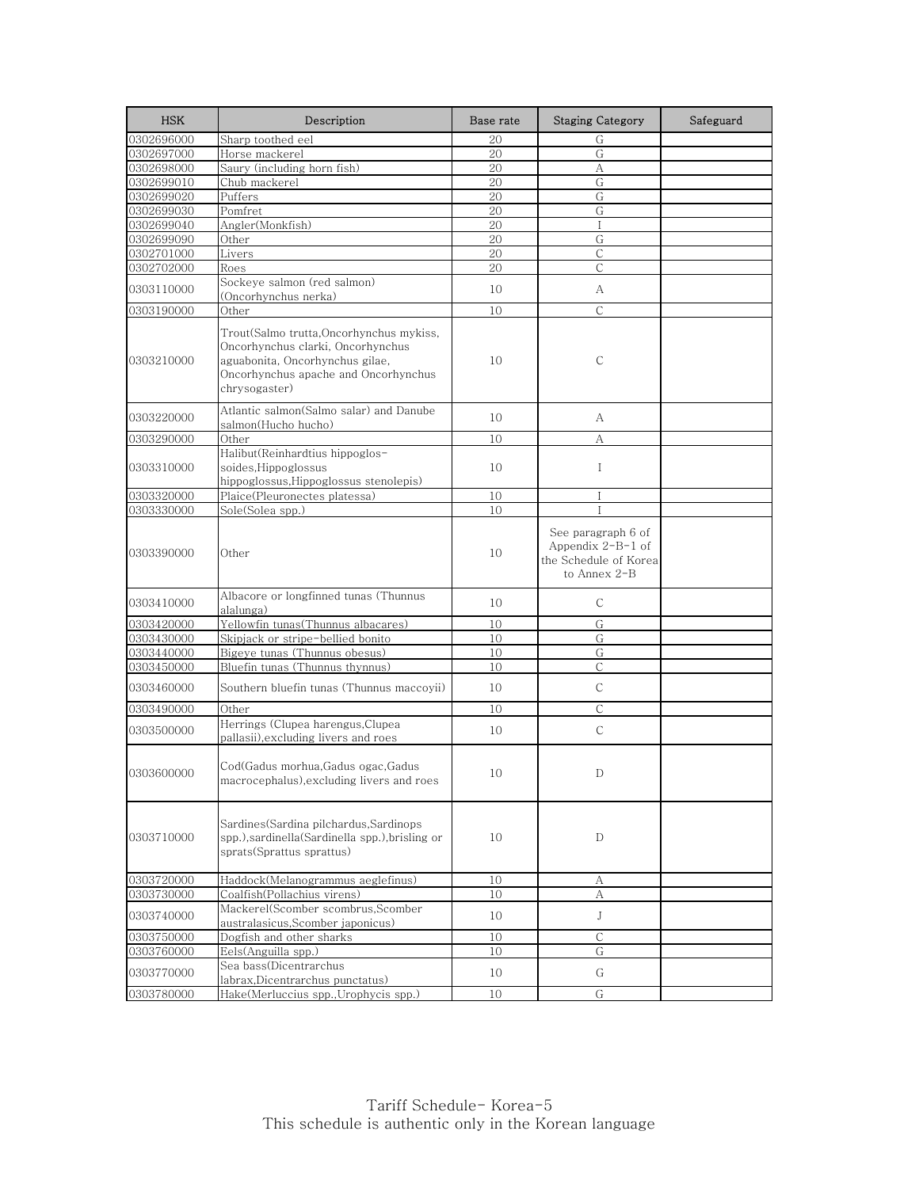| <b>HSK</b> | Description                                                                                                                                                              | Base rate | <b>Staging Category</b>                                                            | Safeguard |
|------------|--------------------------------------------------------------------------------------------------------------------------------------------------------------------------|-----------|------------------------------------------------------------------------------------|-----------|
| 0302696000 | Sharp toothed eel                                                                                                                                                        | 20        | G                                                                                  |           |
| 0302697000 | Horse mackerel                                                                                                                                                           | 20        | G                                                                                  |           |
| 0302698000 | Saury (including horn fish)                                                                                                                                              | 20        | А                                                                                  |           |
| 0302699010 | Chub mackerel                                                                                                                                                            | 20        | G                                                                                  |           |
| 0302699020 | Puffers                                                                                                                                                                  | 20        | G                                                                                  |           |
| 0302699030 | Pomfret                                                                                                                                                                  | 20        | G                                                                                  |           |
| 0302699040 | Angler(Monkfish)                                                                                                                                                         | 20        | $\mathbf I$                                                                        |           |
| 0302699090 | Other                                                                                                                                                                    | 20        | G                                                                                  |           |
| 0302701000 | Livers                                                                                                                                                                   | 20        | $\mathsf C$                                                                        |           |
| 0302702000 | Roes                                                                                                                                                                     | 20        | $\mathcal{C}$                                                                      |           |
| 0303110000 | Sockeve salmon (red salmon)<br>(Oncorhynchus nerka)                                                                                                                      | 10        | А                                                                                  |           |
| 0303190000 | Other                                                                                                                                                                    | 10        | $\mathcal{C}$                                                                      |           |
| 0303210000 | Trout(Salmo trutta,Oncorhynchus mykiss,<br>Oncorhynchus clarki, Oncorhynchus<br>aguabonita, Oncorhynchus gilae,<br>Oncorhynchus apache and Oncorhynchus<br>chrysogaster) | 10        | С                                                                                  |           |
| 0303220000 | Atlantic salmon(Salmo salar) and Danube<br>salmon(Hucho hucho)                                                                                                           | 10        | А                                                                                  |           |
| 0303290000 | Other                                                                                                                                                                    | 10        | А                                                                                  |           |
| 0303310000 | Halibut(Reinhardtius hippoglos-<br>soides, Hippoglossus<br>hippoglossus, Hippoglossus stenolepis)                                                                        | 10        | $\mathbf I$                                                                        |           |
| 0303320000 | Plaice(Pleuronectes platessa)                                                                                                                                            | 10        | Ι                                                                                  |           |
| 0303330000 | Sole(Solea spp.)                                                                                                                                                         | 10        | Ι                                                                                  |           |
| 0303390000 | Other                                                                                                                                                                    | 10        | See paragraph 6 of<br>Appendix $2-B-1$ of<br>the Schedule of Korea<br>to Annex 2-B |           |
| 0303410000 | Albacore or longfinned tunas (Thunnus<br>alalunga)                                                                                                                       | 10        | С                                                                                  |           |
| 0303420000 | Yellowfin tunas(Thunnus albacares)                                                                                                                                       | 10        | G                                                                                  |           |
| 0303430000 | Skipjack or stripe-bellied bonito                                                                                                                                        | 10        | G                                                                                  |           |
| 0303440000 | Bigeye tunas (Thunnus obesus)                                                                                                                                            | 10        | G                                                                                  |           |
| 0303450000 | Bluefin tunas (Thunnus thynnus)                                                                                                                                          | 10        | $\mathsf{C}$                                                                       |           |
| 0303460000 | Southern bluefin tunas (Thunnus maccoyii)                                                                                                                                | 10        | $\mathsf{C}$                                                                       |           |
| 0303490000 | Other                                                                                                                                                                    | 10        | $\mathsf{C}$                                                                       |           |
| 0303500000 | Herrings (Clupea harengus, Clupea<br>pallasii), excluding livers and roes                                                                                                | 10        | C                                                                                  |           |
| 0303600000 | Cod(Gadus morhua, Gadus ogac, Gadus<br>macrocephalus),excluding livers and roes                                                                                          | 10        | D                                                                                  |           |
| 0303710000 | Sardines(Sardina pilchardus,Sardinops<br>spp.), sardinella (Sardinella spp.), brisling or<br>sprats(Sprattus sprattus)                                                   | 10        | D                                                                                  |           |
| 0303720000 | Haddock(Melanogrammus aeglefinus)                                                                                                                                        | 10        | А                                                                                  |           |
| 0303730000 | Coalfish(Pollachius virens)                                                                                                                                              | 10        | А                                                                                  |           |
| 0303740000 | Mackerel(Scomber scombrus,Scomber<br>australasicus, Scomber japonicus)                                                                                                   | 10        | J                                                                                  |           |
| 0303750000 | Dogfish and other sharks                                                                                                                                                 | 10        | $\mathsf{C}$                                                                       |           |
| 0303760000 | Eels(Anguilla spp.)                                                                                                                                                      | 10        | G                                                                                  |           |
| 0303770000 | Sea bass(Dicentrarchus                                                                                                                                                   | 10        | G                                                                                  |           |
|            | labrax, Dicentrarchus punctatus)                                                                                                                                         |           |                                                                                    |           |
| 0303780000 | Hake(Merluccius spp., Urophycis spp.)                                                                                                                                    | 10        | G                                                                                  |           |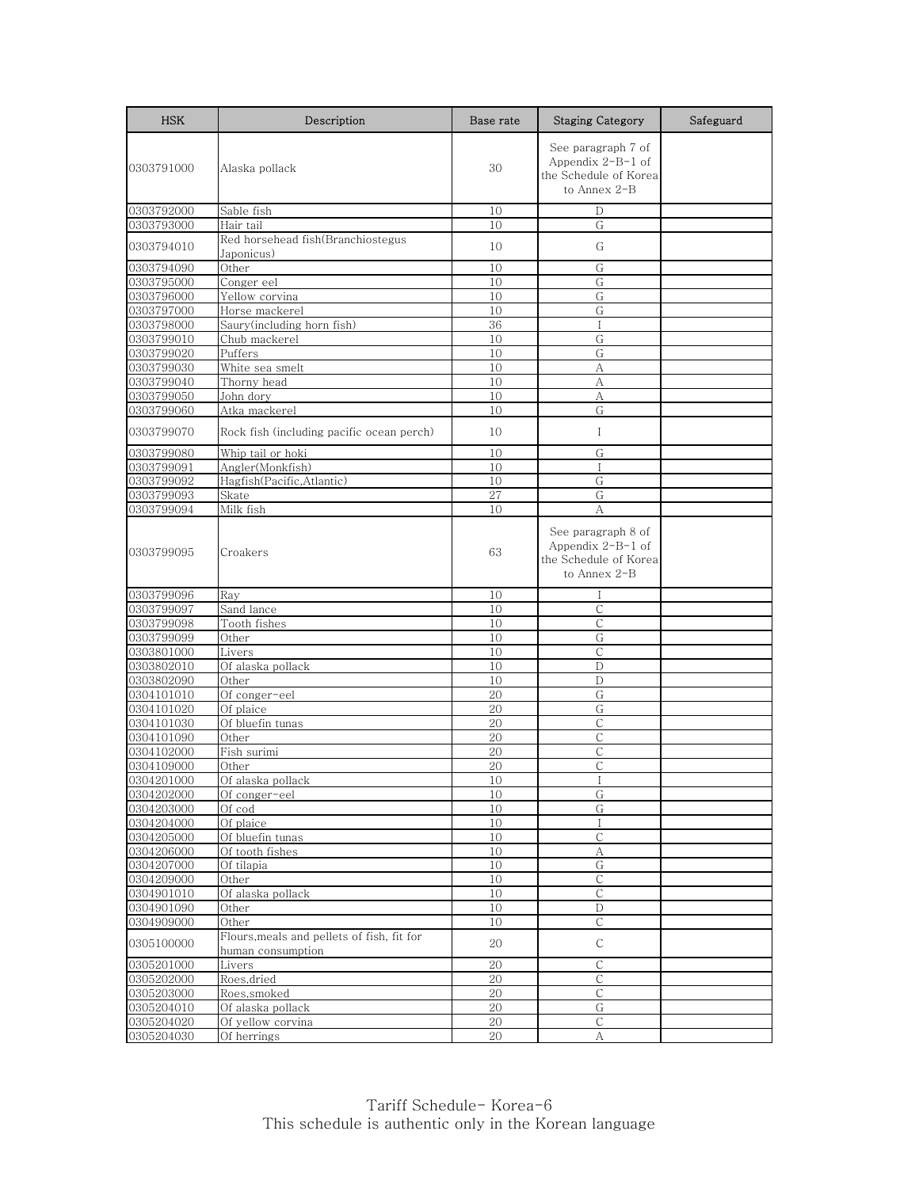| <b>HSK</b> | Description                                                     | Base rate | <b>Staging Category</b>                                                            | Safeguard |
|------------|-----------------------------------------------------------------|-----------|------------------------------------------------------------------------------------|-----------|
| 0303791000 | Alaska pollack                                                  | 30        | See paragraph 7 of<br>Appendix $2-B-1$ of<br>the Schedule of Korea<br>to Annex 2-B |           |
| 0303792000 | Sable fish                                                      | 10        | D                                                                                  |           |
| 0303793000 | Hair tail                                                       | 10        | G                                                                                  |           |
| 0303794010 | Red horsehead fish(Branchiostegus<br>Japonicus)                 | 10        | G                                                                                  |           |
| 0303794090 | Other                                                           | 10        | G                                                                                  |           |
| 0303795000 | Conger eel                                                      | 10        | G                                                                                  |           |
| 0303796000 | Yellow corvina                                                  | 10        | G                                                                                  |           |
| 0303797000 | Horse mackerel                                                  | 10        | G                                                                                  |           |
| 0303798000 | Saury(including horn fish)                                      | 36        | I                                                                                  |           |
| 0303799010 | Chub mackerel                                                   | 10        | G                                                                                  |           |
| 0303799020 | Puffers                                                         | 10        | G                                                                                  |           |
| 0303799030 | White sea smelt                                                 | 10        | А                                                                                  |           |
| 0303799040 | Thorny head                                                     | 10        | А                                                                                  |           |
| 0303799050 | John dory                                                       | 10        | А                                                                                  |           |
| 0303799060 | Atka mackerel                                                   | 10        | G                                                                                  |           |
|            |                                                                 |           |                                                                                    |           |
| 0303799070 | Rock fish (including pacific ocean perch)                       | 10        | Ι                                                                                  |           |
| 0303799080 | Whip tail or hoki                                               | 10        | G                                                                                  |           |
| 0303799091 | Angler(Monkfish)                                                | 10        | $\mathbf{I}$                                                                       |           |
| 0303799092 | Hagfish(Pacific,Atlantic)                                       | 10        | G                                                                                  |           |
| 0303799093 | Skate                                                           | 27        | G                                                                                  |           |
| 0303799094 | Milk fish                                                       | 10        | А                                                                                  |           |
| 0303799095 | Croakers                                                        | 63        | See paragraph 8 of<br>Appendix $2-B-1$ of<br>the Schedule of Korea<br>to Annex 2-B |           |
| 0303799096 | Ray                                                             | 10        | Ι                                                                                  |           |
| 0303799097 | Sand lance                                                      | 10        | $\mathsf{C}$                                                                       |           |
| 0303799098 | Tooth fishes                                                    | 10        | $\mathsf{C}$                                                                       |           |
| 0303799099 | Other                                                           | 10        | G                                                                                  |           |
| 0303801000 | Livers                                                          | 10        | $\overline{C}$                                                                     |           |
| 0303802010 | Of alaska pollack                                               | 10        | D                                                                                  |           |
| 0303802090 | Other                                                           | 10        | D                                                                                  |           |
| 0304101010 | Of conger-eel                                                   | 20        | G                                                                                  |           |
| 0304101020 | Of plaice                                                       | 20        | G                                                                                  |           |
| 0304101030 | Of bluefin tunas                                                | 20        | $\mathsf{C}$                                                                       |           |
| 0304101090 | Other                                                           | 20        | $\mathsf{C}$                                                                       |           |
| 0304102000 | Fish surimi                                                     | 20        | $\mathsf{C}$                                                                       |           |
| 0304109000 | Other                                                           | 20        | C                                                                                  |           |
| 0304201000 | Of alaska pollack                                               | 10        | I                                                                                  |           |
| 0304202000 | Of conger-eel                                                   | 10        | G                                                                                  |           |
| 0304203000 | Of cod                                                          | 10        | G                                                                                  |           |
| 0304204000 | Of plaice                                                       | 10        | $\mathbf I$                                                                        |           |
| 0304205000 | Of bluefin tunas                                                | 10        | С                                                                                  |           |
| 0304206000 | Of tooth fishes                                                 | 10        | A                                                                                  |           |
| 0304207000 | Of tilapia                                                      | 10        | G                                                                                  |           |
| 0304209000 | Other                                                           | 10        | $\mathsf C$                                                                        |           |
| 0304901010 | Of alaska pollack                                               | 10        | $\overline{C}$                                                                     |           |
| 0304901090 | Other                                                           | 10        | D                                                                                  |           |
| 0304909000 | Other                                                           | 10        | $\mathsf{C}$                                                                       |           |
| 0305100000 | Flours, meals and pellets of fish, fit for<br>human consumption | 20        | $\mathsf{C}$                                                                       |           |
| 0305201000 | Livers                                                          | 20        | С                                                                                  |           |
| 0305202000 | Roes, dried                                                     | 20        | С                                                                                  |           |
| 0305203000 | Roes, smoked                                                    | 20        | $\mathsf{C}$                                                                       |           |
| 0305204010 | Of alaska pollack                                               | 20        | G                                                                                  |           |
| 0305204020 | Of yellow corvina                                               | $20\,$    | $\mathsf C$                                                                        |           |
| 0305204030 | Of herrings                                                     | 20        | А                                                                                  |           |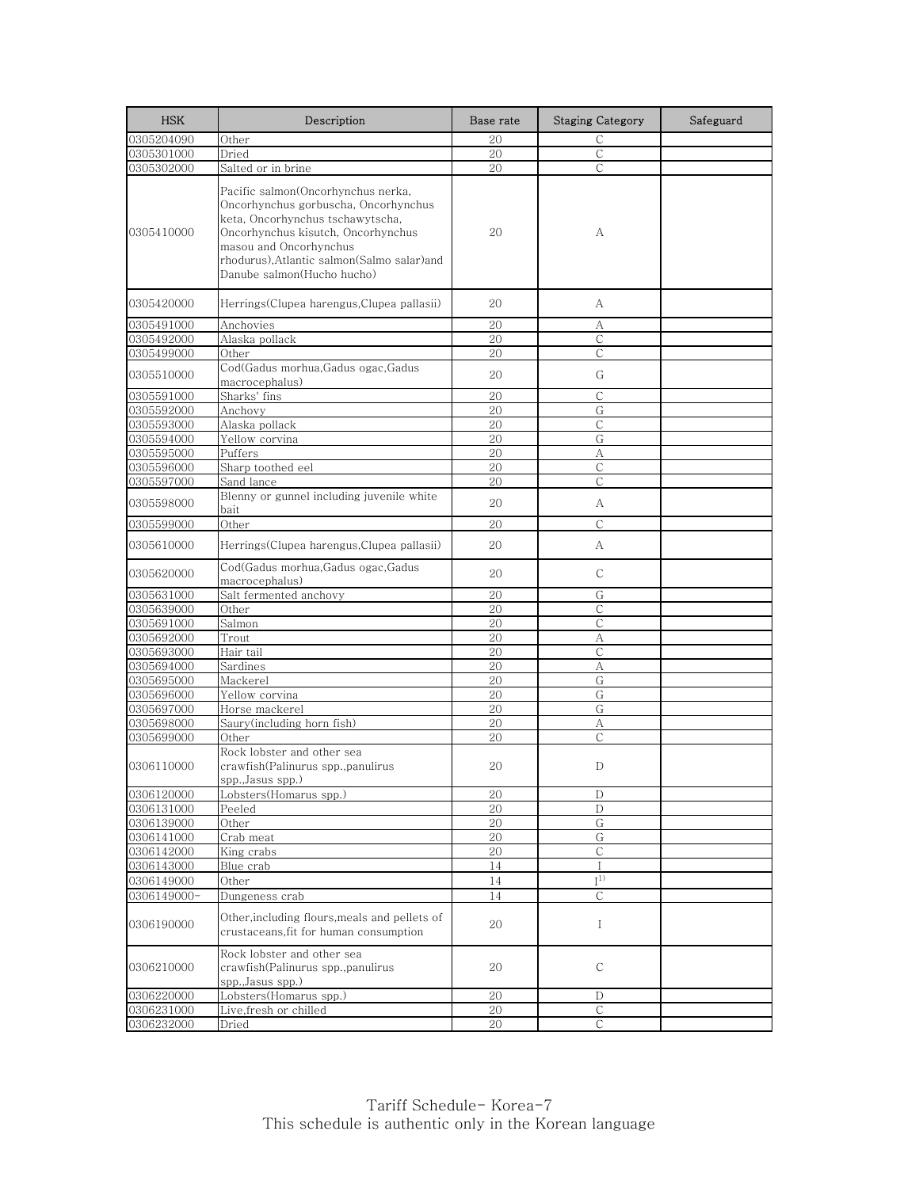| <b>HSK</b>  | Description                                                                                                                                                                                                                                               | Base rate | <b>Staging Category</b> | Safeguard |
|-------------|-----------------------------------------------------------------------------------------------------------------------------------------------------------------------------------------------------------------------------------------------------------|-----------|-------------------------|-----------|
| 0305204090  | Other                                                                                                                                                                                                                                                     | 20        | $\mathsf{C}$            |           |
| 0305301000  | Dried                                                                                                                                                                                                                                                     | 20        | $\mathsf{C}$            |           |
| 0305302000  | Salted or in brine                                                                                                                                                                                                                                        | 20        | С                       |           |
| 0305410000  | Pacific salmon(Oncorhynchus nerka,<br>Oncorhynchus gorbuscha, Oncorhynchus<br>keta, Oncorhynchus tschawytscha,<br>Oncorhynchus kisutch, Oncorhynchus<br>masou and Oncorhynchus<br>rhodurus),Atlantic salmon(Salmo salar)and<br>Danube salmon(Hucho hucho) | 20        | А                       |           |
| 0305420000  | Herrings(Clupea harengus,Clupea pallasii)                                                                                                                                                                                                                 | 20        | А                       |           |
| 0305491000  | Anchovies                                                                                                                                                                                                                                                 | 20        | А                       |           |
| 0305492000  | Alaska pollack                                                                                                                                                                                                                                            | 20        | $\mathsf{C}$            |           |
| 0305499000  | Other                                                                                                                                                                                                                                                     | 20        | $\mathsf{C}$            |           |
| 0305510000  | Cod(Gadus morhua,Gadus ogac,Gadus<br>macrocephalus)                                                                                                                                                                                                       | 20        | G                       |           |
| 0305591000  | Sharks' fins                                                                                                                                                                                                                                              | 20        | С                       |           |
| 0305592000  | Anchovy                                                                                                                                                                                                                                                   | 20        | G                       |           |
| 0305593000  | Alaska pollack                                                                                                                                                                                                                                            | 20        | С                       |           |
| 0305594000  | Yellow corvina                                                                                                                                                                                                                                            | 20        | G                       |           |
| 0305595000  | Puffers                                                                                                                                                                                                                                                   | 20        | А                       |           |
| 0305596000  | Sharp toothed eel                                                                                                                                                                                                                                         | 20        | С                       |           |
| 0305597000  | Sand lance                                                                                                                                                                                                                                                | 20        | C                       |           |
| 0305598000  | Blenny or gunnel including juvenile white<br>bait                                                                                                                                                                                                         | 20        | А                       |           |
| 0305599000  | Other                                                                                                                                                                                                                                                     | 20        | $\mathsf{C}$            |           |
| 0305610000  | Herrings(Clupea harengus,Clupea pallasii)                                                                                                                                                                                                                 | 20        | А                       |           |
| 0305620000  | Cod(Gadus morhua,Gadus ogac,Gadus<br>macrocephalus)                                                                                                                                                                                                       | 20        | С                       |           |
| 0305631000  | Salt fermented anchovy                                                                                                                                                                                                                                    | 20        | G                       |           |
| 0305639000  | Other                                                                                                                                                                                                                                                     | 20        | С                       |           |
| 0305691000  | Salmon                                                                                                                                                                                                                                                    | 20        | $\mathsf{C}$            |           |
| 0305692000  | Trout                                                                                                                                                                                                                                                     | 20        | А                       |           |
| 0305693000  | Hair tail                                                                                                                                                                                                                                                 | 20        | $\mathsf{C}$            |           |
| 0305694000  | Sardines                                                                                                                                                                                                                                                  | 20        | А                       |           |
| 0305695000  | Mackerel                                                                                                                                                                                                                                                  | 20        | G                       |           |
| 0305696000  | Yellow corvina                                                                                                                                                                                                                                            | 20        | G                       |           |
| 0305697000  | Horse mackerel                                                                                                                                                                                                                                            | 20        | G                       |           |
| 0305698000  | Saury(including horn fish)                                                                                                                                                                                                                                | 20        | А                       |           |
| 0305699000  | Other                                                                                                                                                                                                                                                     | 20        | С                       |           |
| 0306110000  | Rock lobster and other sea<br>crawfish(Palinurus spp.,panulirus<br>spp.,Jasus spp.)                                                                                                                                                                       | 20        | D                       |           |
| 0306120000  | Lobsters(Homarus spp.)                                                                                                                                                                                                                                    | 20        | $\mathbf D$             |           |
| 0306131000  | Peeled                                                                                                                                                                                                                                                    | 20        | D                       |           |
| 0306139000  | Other                                                                                                                                                                                                                                                     | 20        | $\overline{G}$          |           |
| 0306141000  | Crab meat                                                                                                                                                                                                                                                 | 20        | G                       |           |
| 0306142000  | King crabs                                                                                                                                                                                                                                                | 20        | $\mathsf C$             |           |
| 0306143000  | Blue crab                                                                                                                                                                                                                                                 | 14        | $\mathbf{I}$            |           |
| 0306149000  | Other                                                                                                                                                                                                                                                     | 14        | $\mathbf{I}^{1)}$       |           |
| 0306149000- | Dungeness crab                                                                                                                                                                                                                                            | 14        | $\mathsf{C}$            |           |
| 0306190000  | Other, including flours, meals and pellets of<br>crustaceans, fit for human consumption                                                                                                                                                                   | 20        | Ι                       |           |
| 0306210000  | Rock lobster and other sea<br>crawfish(Palinurus spp.,panulirus<br>spp., Jasus spp.)                                                                                                                                                                      | 20        | С                       |           |
| 0306220000  | Lobsters(Homarus spp.)                                                                                                                                                                                                                                    | 20        | D                       |           |
| 0306231000  | Live, fresh or chilled                                                                                                                                                                                                                                    | 20        | $\mathsf C$             |           |
| 0306232000  | Dried                                                                                                                                                                                                                                                     | 20        | С                       |           |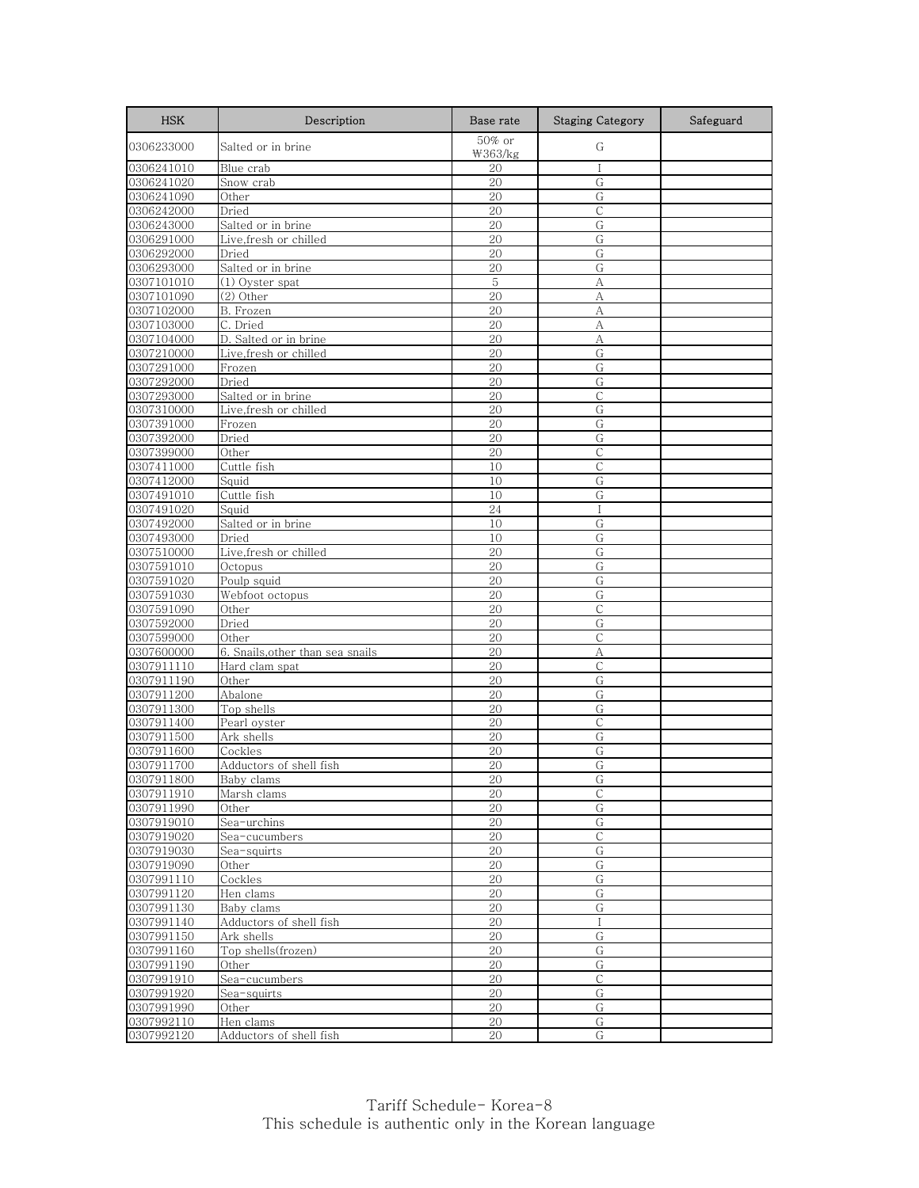| <b>HSK</b>               | Description                        | Base rate         | <b>Staging Category</b> | Safeguard |
|--------------------------|------------------------------------|-------------------|-------------------------|-----------|
| 0306233000               | Salted or in brine                 | 50% or<br>₩363/kg | G                       |           |
| 0306241010               | Blue crab                          | 20                |                         |           |
| 0306241020               | Snow crab                          | 20                | G                       |           |
| 0306241090               | Other                              | 20                | G                       |           |
| 0306242000               | Dried                              | 20                | $\mathsf{C}$            |           |
| 0306243000               | Salted or in brine                 | 20                | G                       |           |
| 0306291000               | Live,fresh or chilled              | 20                | G                       |           |
| 0306292000               | Dried                              | 20                | G                       |           |
| 0306293000               | Salted or in brine                 | 20                | G                       |           |
| 0307101010               | (1) Oyster spat                    | 5                 | А                       |           |
| 0307101090               | (2) Other                          | 20                | А                       |           |
| 0307102000               | B. Frozen                          | 20                | А                       |           |
| 0307103000               | C. Dried                           | 20                | А                       |           |
| 0307104000               | D. Salted or in brine              | 20                | А                       |           |
| 0307210000               | Live, fresh or chilled             | 20                | G                       |           |
| 0307291000               | Frozen                             | 20                | G                       |           |
| 0307292000               | Dried                              | 20                | G                       |           |
| 0307293000               | Salted or in brine                 | 20                | С                       |           |
| 0307310000               | Live, fresh or chilled             | 20                | G                       |           |
| 0307391000               | Frozen                             | 20                | G                       |           |
| 0307392000               | Dried                              | 20                | G                       |           |
| 0307399000               | Other                              | 20                | $\mathsf{C}$            |           |
| 0307411000               | Cuttle fish                        | 10                | С                       |           |
| 0307412000               | Squid                              | 10                | G                       |           |
| 0307491010               | Cuttle fish                        | 10                | G                       |           |
| 0307491020               | Squid                              | 24                | $\mathbf{I}$            |           |
| 0307492000               | Salted or in brine                 | 10                | G                       |           |
| 0307493000               | Dried                              | 10                | G                       |           |
| 0307510000               | Live, fresh or chilled             | 20                | G                       |           |
| 0307591010               | Octopus                            | 20                | G                       |           |
| 0307591020               | Poulp squid                        | 20                | G                       |           |
| 0307591030               | Webfoot octopus                    | 20                | G                       |           |
| 0307591090               | Other                              | 20                | С                       |           |
| 0307592000               | Dried                              | 20                | G                       |           |
| 0307599000               | Other                              | 20                | C                       |           |
| 0307600000               | 6. Snails, other than sea snails   | 20                | А                       |           |
| 0307911110               | Hard clam spat                     | 20                | С                       |           |
| 0307911190               | Other                              | 20                | G                       |           |
| 0307911200               | Abalone                            | 20                | G                       |           |
| 0307911300               | Top shells                         | 20                | G<br>$\mathsf{C}$       |           |
| 0307911400               | Pearl oyster                       | 20                |                         |           |
| 0307911500               | Ark shells                         | 20                | G                       |           |
| 0307911600               | Cockles<br>Adductors of shell fish | 20                | G                       |           |
| 0307911700               |                                    | 20                | G                       |           |
| 0307911800<br>0307911910 | Baby clams                         | 20<br>20          | G<br>С                  |           |
| 0307911990               | Marsh clams<br>Other               | 20                | G                       |           |
| 0307919010               | Sea-urchins                        | $20\,$            | G                       |           |
| 0307919020               | Sea-cucumbers                      | 20                | $\mathsf{C}$            |           |
| 0307919030               | Sea-squirts                        | $20\,$            | G                       |           |
| 0307919090               | Other                              | 20                | G                       |           |
| 0307991110               | Cockles                            | 20                | $\overline{G}$          |           |
| 0307991120               | Hen clams                          | 20                | G                       |           |
| 0307991130               | Baby clams                         | $20\,$            | G                       |           |
| 0307991140               | Adductors of shell fish            | 20                | $\mathsf{I}$            |           |
| 0307991150               | Ark shells                         | 20                | G                       |           |
| 0307991160               | Top shells(frozen)                 | 20                | G                       |           |
| 0307991190               | Other                              | 20                | G                       |           |
| 0307991910               | Sea-cucumbers                      | 20                | C                       |           |
| 0307991920               | Sea-squirts                        | 20                | G                       |           |
| 0307991990               | Other                              | 20                | G                       |           |
| 0307992110               | Hen clams                          | 20                | G                       |           |
| 0307992120               | Adductors of shell fish            | 20                | G                       |           |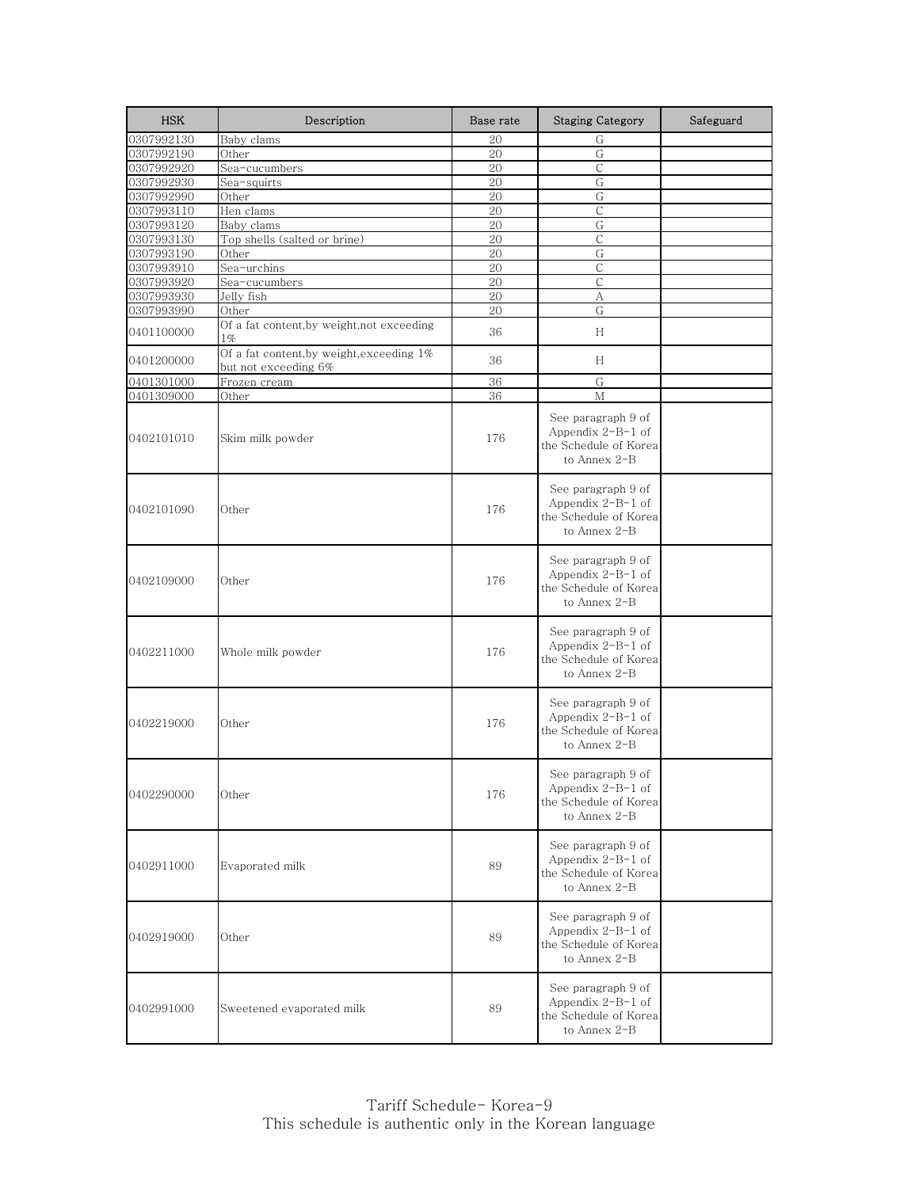| <b>HSK</b> | Description                                                       | Base rate | <b>Staging Category</b>                                                            | Safeguard |
|------------|-------------------------------------------------------------------|-----------|------------------------------------------------------------------------------------|-----------|
| 0307992130 | Baby clams                                                        | 20        | G                                                                                  |           |
| 0307992190 | Other                                                             | 20        | G                                                                                  |           |
| 0307992920 | Sea-cucumbers                                                     | 20        | C                                                                                  |           |
| 0307992930 | Sea-squirts                                                       | 20        | G                                                                                  |           |
| 0307992990 | Other                                                             | 20        | G                                                                                  |           |
| 0307993110 | Hen clams                                                         | 20        | С                                                                                  |           |
| 0307993120 | Baby clams                                                        | 20        | G                                                                                  |           |
| 0307993130 | Top shells (salted or brine)                                      | 20        | $\mathsf{C}$                                                                       |           |
| 0307993190 | Other                                                             | 20        | G                                                                                  |           |
| 0307993910 | Sea-urchins                                                       | 20        | $\mathsf{C}$                                                                       |           |
| 0307993920 | Sea-cucumbers                                                     | 20        | C                                                                                  |           |
| 0307993930 | Jelly fish                                                        | 20        | А<br>G                                                                             |           |
| 0307993990 | Other                                                             | 20        |                                                                                    |           |
| 0401100000 | Of a fat content,by weight,not exceeding<br>$1\%$                 | 36        | H                                                                                  |           |
| 0401200000 | Of a fat content, by weight, exceeding 1%<br>but not exceeding 6% | 36        | H                                                                                  |           |
| 0401301000 | Frozen cream                                                      | 36        | G                                                                                  |           |
| 0401309000 | Other                                                             | 36        | M                                                                                  |           |
| 0402101010 | Skim milk powder                                                  | 176       | See paragraph 9 of<br>Appendix $2-B-1$ of<br>the Schedule of Korea<br>to Annex 2-B |           |
| 0402101090 | Other                                                             | 176       | See paragraph 9 of<br>Appendix $2-B-1$ of<br>the Schedule of Korea<br>to Annex 2-B |           |
| 0402109000 | Other                                                             | 176       | See paragraph 9 of<br>Appendix $2-B-1$ of<br>the Schedule of Korea<br>to Annex 2-B |           |
| 0402211000 | Whole milk powder                                                 | 176       | See paragraph 9 of<br>Appendix $2-B-1$ of<br>the Schedule of Korea<br>to Annex 2-B |           |
| 0402219000 | Other                                                             | 176       | See paragraph 9 of<br>Appendix $2-B-1$ of<br>the Schedule of Korea<br>to Annex 2-B |           |
| 0402290000 | Other                                                             | 176       | See paragraph 9 of<br>Appendix 2-B-1 of<br>the Schedule of Korea<br>to Annex 2-B   |           |
| 0402911000 | Evaporated milk                                                   | 89        | See paragraph 9 of<br>Appendix $2-B-1$ of<br>the Schedule of Korea<br>to Annex 2-B |           |
| 0402919000 | Other                                                             | 89        | See paragraph 9 of<br>Appendix $2-B-1$ of<br>the Schedule of Korea<br>to Annex 2-B |           |
| 0402991000 | Sweetened evaporated milk                                         | 89        | See paragraph 9 of<br>Appendix $2-B-1$ of<br>the Schedule of Korea<br>to Annex 2-B |           |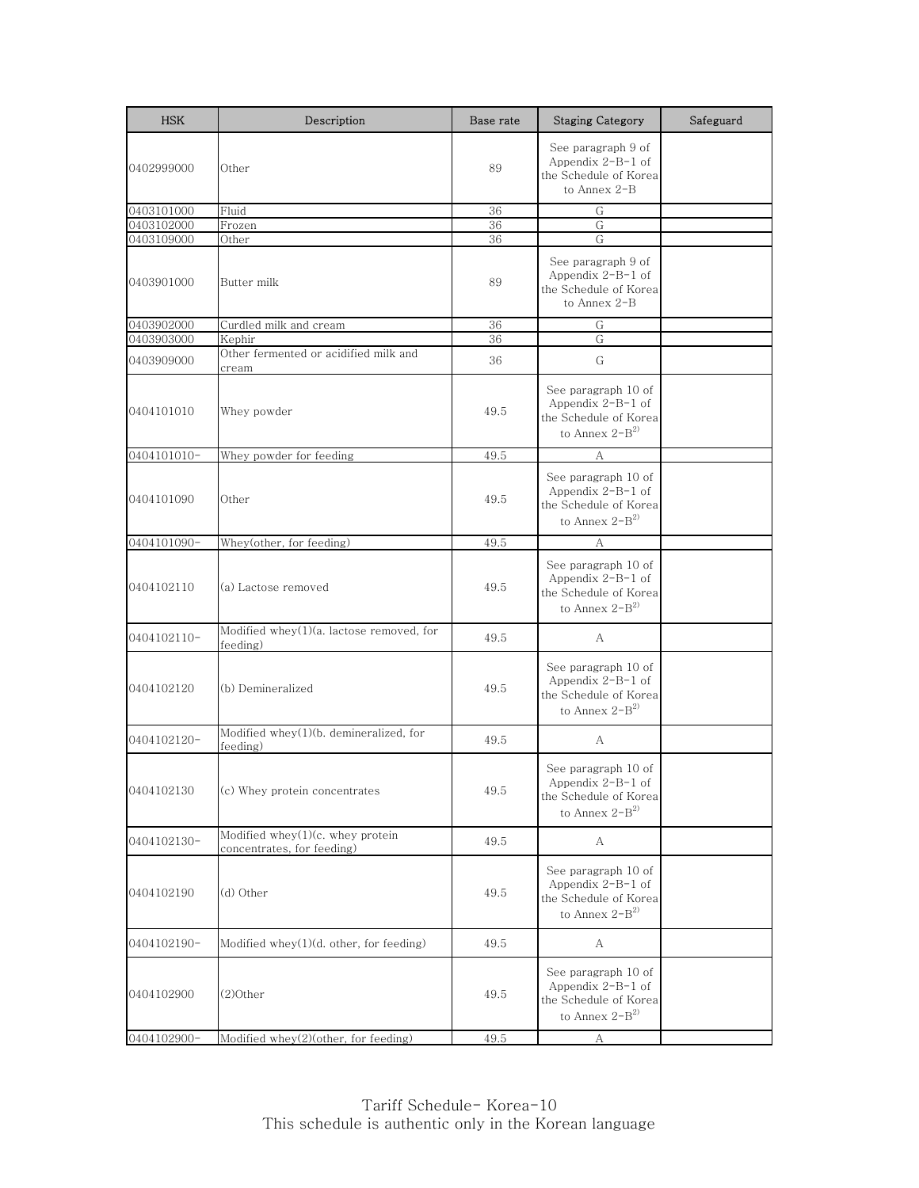| <b>HSK</b>  | Description                                                    | Base rate | <b>Staging Category</b>                                                                            | Safeguard |
|-------------|----------------------------------------------------------------|-----------|----------------------------------------------------------------------------------------------------|-----------|
| 0402999000  | Other                                                          | 89        | See paragraph 9 of<br>Appendix $2-B-1$ of<br>the Schedule of Korea<br>to Annex 2-B                 |           |
| 0403101000  | Fluid                                                          | 36        | G                                                                                                  |           |
| 0403102000  | Frozen                                                         | 36        | G                                                                                                  |           |
| 0403109000  | Other                                                          | 36        | G                                                                                                  |           |
| 0403901000  | Butter milk                                                    | 89        | See paragraph 9 of<br>Appendix $2-B-1$ of<br>the Schedule of Korea<br>to Annex 2-B                 |           |
| 0403902000  | Curdled milk and cream                                         | 36        | G                                                                                                  |           |
| 0403903000  | Kephir                                                         | 36        | G                                                                                                  |           |
| 0403909000  | Other fermented or acidified milk and<br>cream                 | 36        | G                                                                                                  |           |
| 0404101010  | Whey powder                                                    | 49.5      | See paragraph 10 of<br>Appendix $2-B-1$ of<br>the Schedule of Korea<br>to Annex $2\text{--}B^{2)}$ |           |
| 0404101010- | Whey powder for feeding                                        | 49.5      | А                                                                                                  |           |
| 0404101090  | Other                                                          | 49.5      | See paragraph 10 of<br>Appendix $2-B-1$ of<br>the Schedule of Korea<br>to Annex $2-B^{2)}$         |           |
| 0404101090- | Whey(other, for feeding)                                       | 49.5      | А                                                                                                  |           |
| 0404102110  | (a) Lactose removed                                            | 49.5      | See paragraph 10 of<br>Appendix $2-B-1$ of<br>the Schedule of Korea<br>to Annex $2-B^{2}$          |           |
| 0404102110- | Modified whey(1)(a. lactose removed, for<br>feeding)           | 49.5      | A                                                                                                  |           |
| 0404102120  | (b) Demineralized                                              | 49.5      | See paragraph 10 of<br>Appendix $2-B-1$ of<br>the Schedule of Korea<br>to Annex $2-B^{2)}$         |           |
| 0404102120- | Modified whey(1)(b. demineralized, for<br>feeding)             | 49.5      | A                                                                                                  |           |
| 0404102130  | (c) Whey protein concentrates                                  | 49.5      | See paragraph 10 of<br>Appendix $2-B-1$ of<br>the Schedule of Korea<br>to Annex $2\text{--}B^2$    |           |
| 0404102130- | Modified whey(1)(c. whey protein<br>concentrates, for feeding) | 49.5      | А                                                                                                  |           |
| 0404102190  | (d) Other                                                      | 49.5      | See paragraph 10 of<br>Appendix $2-B-1$ of<br>the Schedule of Korea<br>to Annex $2-B^2$            |           |
| 0404102190- | Modified whey(1)(d. other, for feeding)                        | 49.5      | A                                                                                                  |           |
| 0404102900  | $(2)$ Other                                                    | 49.5      | See paragraph 10 of<br>Appendix $2-B-1$ of<br>the Schedule of Korea<br>to Annex $2-B^{2)}$         |           |
| 0404102900- | Modified whey(2)(other, for feeding)                           | 49.5      | $\boldsymbol{A}$                                                                                   |           |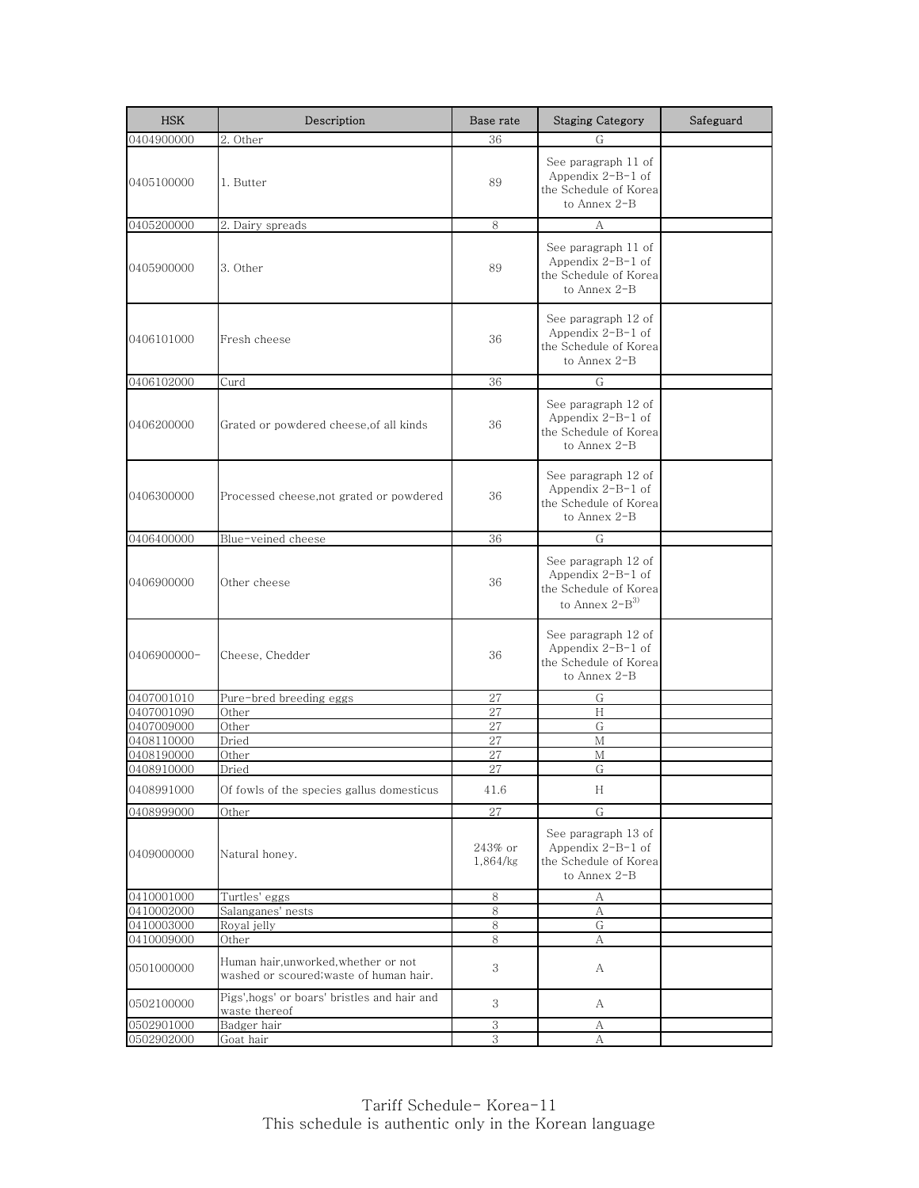| <b>HSK</b>  | Description                                                                     | Base rate           | <b>Staging Category</b>                                                                    | Safeguard |
|-------------|---------------------------------------------------------------------------------|---------------------|--------------------------------------------------------------------------------------------|-----------|
| 0404900000  | 2. Other                                                                        | 36                  | G                                                                                          |           |
| 0405100000  | 1. Butter                                                                       | 89                  | See paragraph 11 of<br>Appendix $2-B-1$ of<br>the Schedule of Korea<br>to Annex 2-B        |           |
| 0405200000  | 2. Dairy spreads                                                                | 8                   | А                                                                                          |           |
| 0405900000  | 3. Other                                                                        | 89                  | See paragraph 11 of<br>Appendix $2-B-1$ of<br>the Schedule of Korea<br>to Annex 2-B        |           |
| 0406101000  | Fresh cheese                                                                    | 36                  | See paragraph 12 of<br>Appendix $2-B-1$ of<br>the Schedule of Korea<br>to Annex 2-B        |           |
| 0406102000  | Curd                                                                            | 36                  | ${\rm G}$                                                                                  |           |
| 0406200000  | Grated or powdered cheese,of all kinds                                          | 36                  | See paragraph 12 of<br>Appendix $2-B-1$ of<br>the Schedule of Korea<br>to Annex 2-B        |           |
| 0406300000  | Processed cheese, not grated or powdered                                        | 36                  | See paragraph 12 of<br>Appendix $2-B-1$ of<br>the Schedule of Korea<br>to Annex 2-B        |           |
| 0406400000  | Blue-veined cheese                                                              | 36                  | G                                                                                          |           |
| 0406900000  | Other cheese                                                                    | 36                  | See paragraph 12 of<br>Appendix $2-B-1$ of<br>the Schedule of Korea<br>to Annex $2-B^{3)}$ |           |
| 0406900000- | Cheese, Chedder                                                                 | 36                  | See paragraph 12 of<br>Appendix $2-B-1$ of<br>the Schedule of Korea<br>to Annex 2-B        |           |
| 0407001010  | Pure-bred breeding eggs                                                         | 27                  | G                                                                                          |           |
| 0407001090  | Other                                                                           | 27                  | H                                                                                          |           |
| 0407009000  | Other                                                                           | 27                  | G                                                                                          |           |
| 0408110000  | Dried                                                                           | 27                  | М                                                                                          |           |
| 0408190000  | Other                                                                           | 27                  | М                                                                                          |           |
| 0408910000  | Dried                                                                           | 27                  | G                                                                                          |           |
| 0408991000  | Of fowls of the species gallus domesticus                                       | 41.6                | H                                                                                          |           |
| 0408999000  | Other                                                                           | 27                  | G                                                                                          |           |
| 0409000000  | Natural honey.                                                                  | 243% or<br>1,864/kg | See paragraph 13 of<br>Appendix $2-B-1$ of<br>the Schedule of Korea<br>to Annex 2-B        |           |
| 0410001000  | Turtles' eggs                                                                   | 8                   | А                                                                                          |           |
| 0410002000  | Salanganes' nests                                                               | 8                   | $\mathbf{A}$                                                                               |           |
| 0410003000  | Royal jelly                                                                     | 8                   | G                                                                                          |           |
| 0410009000  | Other                                                                           | 8                   | А                                                                                          |           |
| 0501000000  | Human hair, unworked, whether or not<br>washed or scoured, waste of human hair. | 3                   | A                                                                                          |           |
| 0502100000  | Pigs', hogs' or boars' bristles and hair and<br>waste thereof                   | 3                   | A                                                                                          |           |
| 0502901000  | Badger hair                                                                     | 3                   | А                                                                                          |           |
| 0502902000  | Goat hair                                                                       | 3                   | А                                                                                          |           |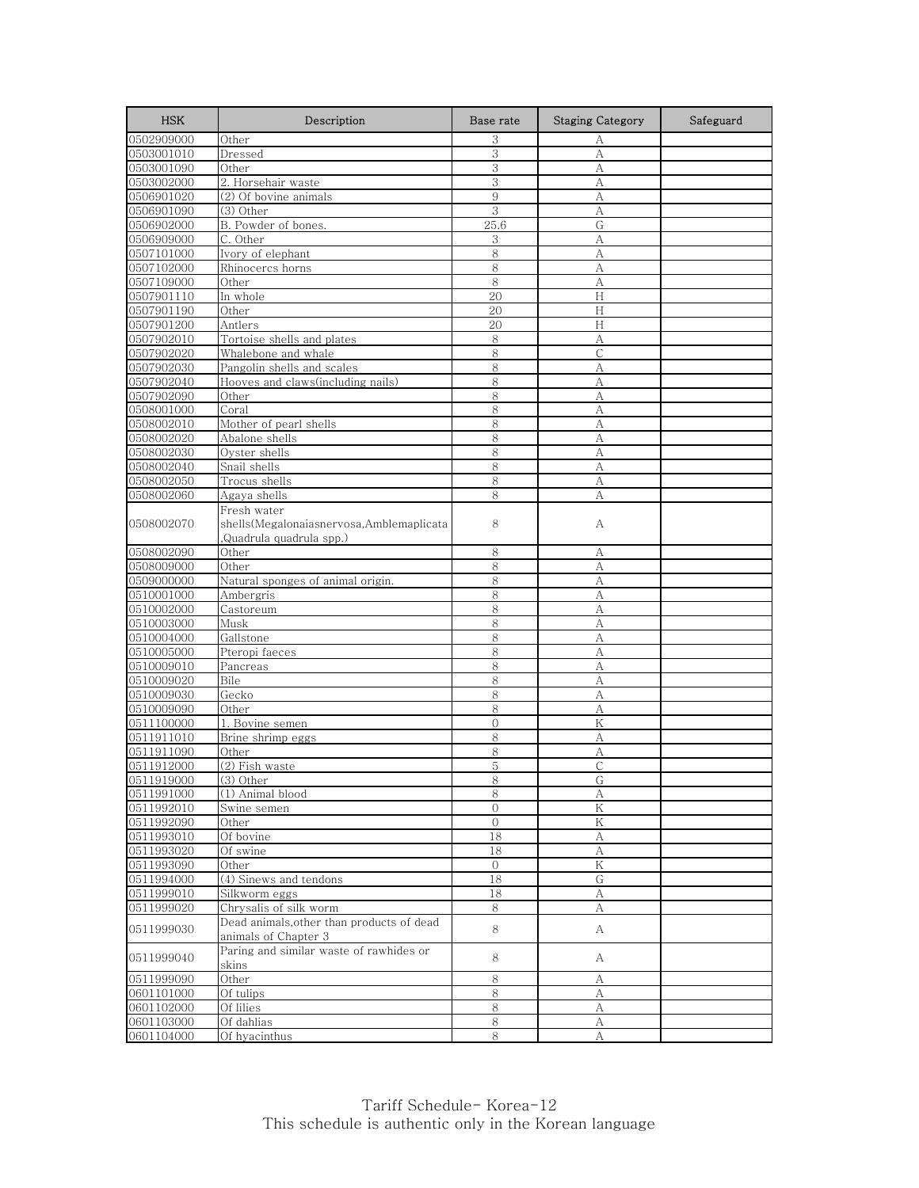| <b>HSK</b>               | Description                                       | Base rate      | <b>Staging Category</b> | Safeguard |
|--------------------------|---------------------------------------------------|----------------|-------------------------|-----------|
| 0502909000               | Other                                             | 3              | А                       |           |
| 0503001010               | Dressed                                           | 3              | A                       |           |
| 0503001090               | Other                                             | 3              | А                       |           |
| 0503002000               | 2. Horsehair waste                                | 3              | А                       |           |
| 0506901020               | (2) Of bovine animals                             | 9              | А                       |           |
| 0506901090               | (3) Other                                         | 3              | A                       |           |
| 0506902000               | B. Powder of bones.                               | 25.6           | G                       |           |
| 0506909000               | C. Other                                          | 3              | A                       |           |
| 0507101000               | Ivory of elephant                                 | 8              | A                       |           |
| 0507102000               | Rhinocercs horns                                  | 8              | А                       |           |
| 0507109000               | Other                                             | 8              | А                       |           |
| 0507901110               | In whole                                          | 20<br>20       | Н<br>H                  |           |
| 0507901190<br>0507901200 | Other<br>Antlers                                  | 20             | H                       |           |
|                          |                                                   | 8              | А                       |           |
| 0507902010<br>0507902020 | Tortoise shells and plates<br>Whalebone and whale | 8              | $\mathsf C$             |           |
| 0507902030               | Pangolin shells and scales                        | 8              | А                       |           |
| 0507902040               | Hooves and claws(including nails)                 | 8              | A                       |           |
| 0507902090               | Other                                             | 8              | А                       |           |
| 0508001000               | Coral                                             | 8              | A                       |           |
| 0508002010               | Mother of pearl shells                            | 8              | А                       |           |
| 0508002020               | Abalone shells                                    | 8              | А                       |           |
| 0508002030               | Oyster shells                                     | 8              | А                       |           |
| 0508002040               | Snail shells                                      | 8              | А                       |           |
| 0508002050               | Trocus shells                                     | 8              | А                       |           |
| 0508002060               | Agaya shells                                      | 8              | А                       |           |
|                          | Fresh water                                       |                |                         |           |
| 0508002070               | shells(Megalonaiasnervosa,Amblemaplicata          | 8              | А                       |           |
|                          | Quadrula quadrula spp.)                           |                |                         |           |
| 0508002090               | Other                                             | 8              | А                       |           |
| 0508009000               | Other                                             | 8              | А                       |           |
| 0509000000               | Natural sponges of animal origin.                 | 8              | A                       |           |
| 0510001000               | Ambergris                                         | 8              | A                       |           |
| 0510002000               | Castoreum                                         | 8              | А                       |           |
| 0510003000               | Musk                                              | 8              | A                       |           |
| 0510004000               | Gallstone                                         | 8              | А                       |           |
| 0510005000               | Pteropi faeces                                    | 8              | A                       |           |
| 0510009010               | Pancreas                                          | 8              | А                       |           |
| 0510009020               | Bile                                              | 8              | A                       |           |
| 0510009030               | Gecko                                             | 8              | А                       |           |
| 0510009090               | Other                                             | 8              | А                       |           |
| 0511100000               | 1. Bovine semen                                   | $\overline{0}$ | ${\rm K}$               |           |
| 0511911010               | Brine shrimp eggs                                 | 8              | А                       |           |
| 0511911090               | Other                                             | 8              | А                       |           |
| 0511912000               | (2) Fish waste                                    | 5              | $\mathsf{C}$            |           |
| 0511919000<br>0511991000 | $(3)$ Other                                       | 8<br>8         | G.                      |           |
| 0511992010               | (1) Animal blood<br>Swine semen                   | 0              | А<br>Κ                  |           |
| 0511992090               | Other                                             | $\overline{0}$ | $\rm K$                 |           |
| 0511993010               | Of bovine                                         | 18             | А                       |           |
| 0511993020               | Of swine                                          | $18\,$         | A                       |           |
| 0511993090               | Other                                             | $\overline{0}$ | K                       |           |
| 0511994000               | (4) Sinews and tendons                            | 18             | G                       |           |
| 0511999010               | Silkworm eggs                                     | 18             | A                       |           |
| 0511999020               | Chrysalis of silk worm                            | 8              | А                       |           |
|                          | Dead animals, other than products of dead         |                |                         |           |
| 0511999030               | animals of Chapter 3                              | 8              | A                       |           |
|                          | Paring and similar waste of rawhides or           |                |                         |           |
| 0511999040               | skins                                             | 8              | A                       |           |
| 0511999090               | Other                                             | 8              | А                       |           |
| 0601101000               | Of tulips                                         | 8              | A                       |           |
| 0601102000               | Of lilies                                         | 8              | А                       |           |
| 0601103000               | Of dahlias                                        | $8\,$          | $\mathbf{A}$            |           |
| 0601104000               | Of hyacinthus                                     | 8              | А                       |           |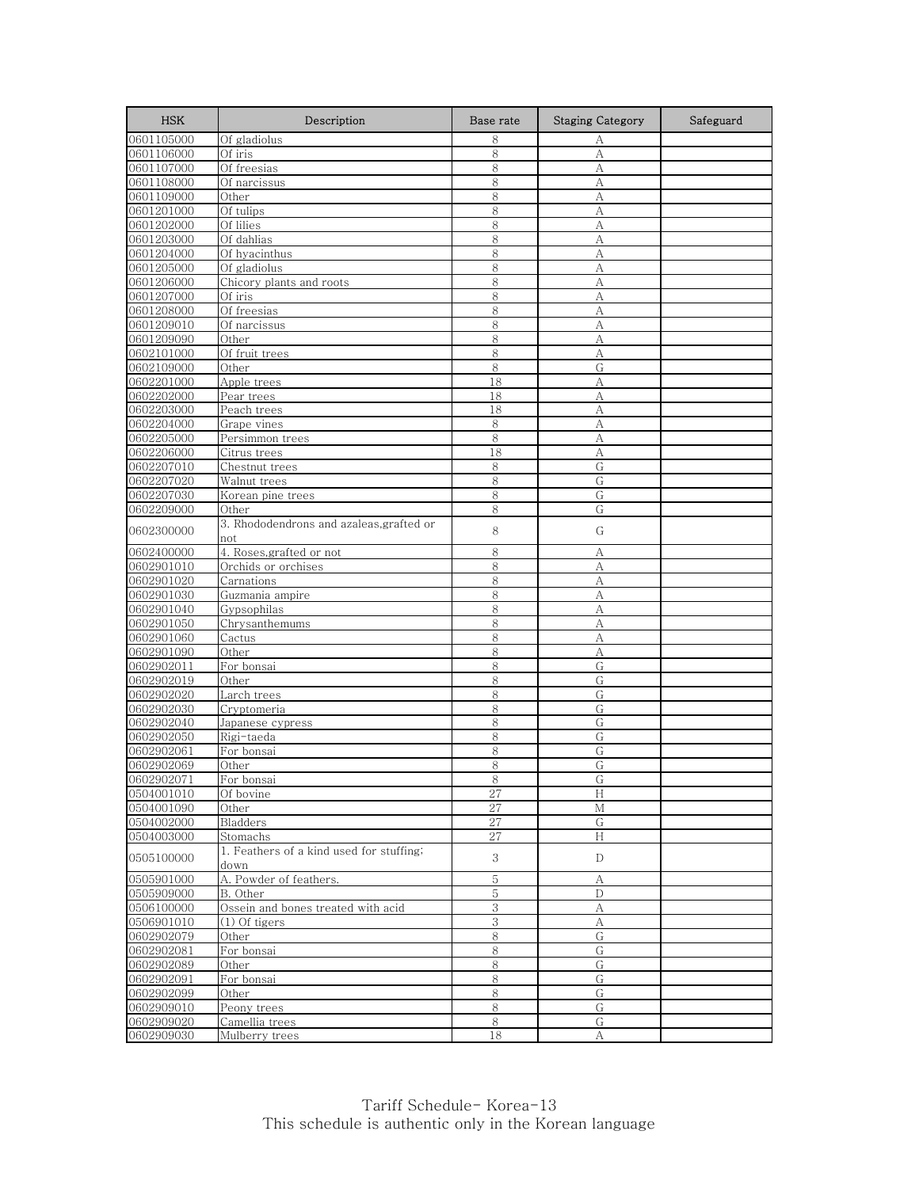| <b>HSK</b>               | Description                              | Base rate | <b>Staging Category</b> | Safeguard |
|--------------------------|------------------------------------------|-----------|-------------------------|-----------|
| 0601105000               | Of gladiolus                             | 8         | А                       |           |
| 0601106000               | Of iris                                  | 8         | A                       |           |
| 0601107000               | Of freesias                              | 8         | А                       |           |
| 0601108000               | Of narcissus                             | 8         | А                       |           |
| 0601109000               | Other                                    | 8         | А                       |           |
| 0601201000               | Of tulips                                | 8         | А                       |           |
| 0601202000               | Of lilies                                | 8         | A                       |           |
| 0601203000               | Of dahlias                               | 8         | A                       |           |
| 0601204000               | Of hyacinthus                            | 8         | $\mathbf{A}$            |           |
| 0601205000               | Of gladiolus                             | 8         | A                       |           |
| 0601206000               | Chicory plants and roots                 | 8         | A                       |           |
| 0601207000               | Of iris                                  | 8         | А                       |           |
| 0601208000               | Of freesias                              | 8         | A                       |           |
| 0601209010               | Of narcissus                             | 8<br>8    | A                       |           |
| 0601209090<br>0602101000 | Other<br>Of fruit trees                  | $8\,$     | А<br>А                  |           |
|                          | Other                                    | 8         | G                       |           |
| 0602109000               |                                          | 18        | $\mathbf{A}$            |           |
| 0602201000<br>0602202000 | Apple trees<br>Pear trees                | 18        | A                       |           |
| 0602203000               | Peach trees                              | 18        | A                       |           |
| 0602204000               | Grape vines                              | 8         | A                       |           |
| 0602205000               | Persimmon trees                          | 8         | А                       |           |
| 0602206000               | Citrus trees                             | 18        | A                       |           |
| 0602207010               | Chestnut trees                           | 8         | G                       |           |
| 0602207020               | Walnut trees                             | 8         | G                       |           |
| 0602207030               | Korean pine trees                        | 8         | G                       |           |
| 0602209000               | Other                                    | 8         | G                       |           |
| 0602300000               | 3. Rhododendrons and azaleas, grafted or | 8         | G                       |           |
|                          | not                                      |           |                         |           |
| 0602400000               | 4. Roses, grafted or not                 | 8         | А                       |           |
| 0602901010               | Orchids or orchises                      | 8         | А                       |           |
| 0602901020               | Carnations                               | 8         | A                       |           |
| 0602901030               | Guzmania ampire                          | 8         | A                       |           |
| 0602901040               | Gypsophilas                              | 8         | А                       |           |
| 0602901050               | Chrysanthemums                           | 8         | A                       |           |
| 0602901060               | Cactus                                   | 8         | А                       |           |
| 0602901090               | Other                                    | 8         | А                       |           |
| 0602902011               | For bonsai                               | 8         | G                       |           |
| 0602902019               | Other                                    | 8         | G                       |           |
| 0602902020               | Larch trees                              | 8         | G                       |           |
| 0602902030               | Cryptomeria                              | 8<br>8    | G<br>G                  |           |
| 0602902040               | Japanese cypress                         |           |                         |           |
| 0602902050<br>0602902061 | Rigi-taeda                               | 8<br>8    | G<br>G                  |           |
| 0602902069               | For bonsai<br>Other                      | 8         | G                       |           |
| 0602902071               | For bonsai                               |           |                         |           |
| 0504001010               | Of bovine                                | 8<br>27   | G<br>H                  |           |
| 0504001090               | Other                                    | 27        | М                       |           |
| 0504002000               | Bladders                                 | $27\,$    | G                       |           |
| 0504003000               | Stomachs                                 | 27        | $\,$ H                  |           |
| 0505100000               | 1. Feathers of a kind used for stuffing; | 3         | D                       |           |
| 0505901000               | down<br>A. Powder of feathers.           | 5         | А                       |           |
| 0505909000               | B. Other                                 | $5\,$     | $\mathbf D$             |           |
| 0506100000               | Ossein and bones treated with acid       | 3         | А                       |           |
| 0506901010               | $(1)$ Of tigers                          | $\,3$     | А                       |           |
| 0602902079               | Other                                    | 8         | G                       |           |
| 0602902081               | For bonsai                               | $8\,$     | G                       |           |
| 0602902089               | Other                                    | $\,8\,$   | G                       |           |
| 0602902091               | For bonsai                               | $\,8\,$   | G                       |           |
| 0602902099               | Other                                    | $8\,$     | G                       |           |
| 0602909010               | Peony trees                              | 8         | G                       |           |
| 0602909020               | Camellia trees                           | $\,8\,$   | G                       |           |
| 0602909030               | Mulberry trees                           | 18        | А                       |           |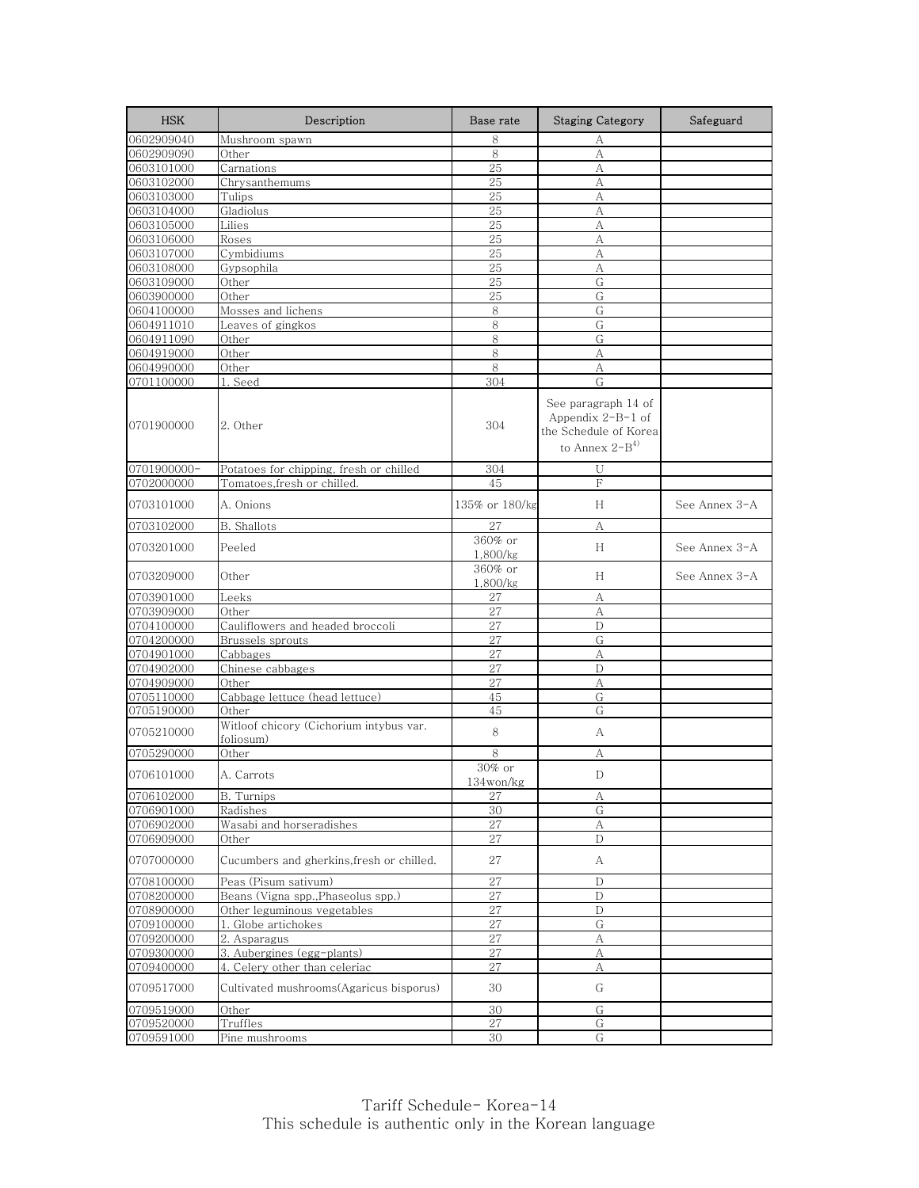| <b>HSK</b>  | Description                                          | Base rate                       | <b>Staging Category</b>                                                                   | Safeguard     |
|-------------|------------------------------------------------------|---------------------------------|-------------------------------------------------------------------------------------------|---------------|
| 0602909040  | Mushroom spawn                                       | 8                               | А                                                                                         |               |
| 0602909090  | Other                                                | 8                               | А                                                                                         |               |
| 0603101000  | Carnations                                           | 25                              | А                                                                                         |               |
| 0603102000  | Chrysanthemums                                       | 25                              | А                                                                                         |               |
| 0603103000  | Tulips                                               | 25                              | А                                                                                         |               |
| 0603104000  | Gladiolus                                            | 25                              | А                                                                                         |               |
| 0603105000  | Lilies                                               | 25                              | A                                                                                         |               |
| 0603106000  | Roses                                                | 25                              | А                                                                                         |               |
| 0603107000  | Cymbidiums                                           | 25                              | А                                                                                         |               |
| 0603108000  | Gypsophila                                           | 25                              | А                                                                                         |               |
| 0603109000  | Other                                                | 25                              | G                                                                                         |               |
| 0603900000  | Other                                                | 25                              | G                                                                                         |               |
| 0604100000  | Mosses and lichens                                   | 8                               | G                                                                                         |               |
| 0604911010  | Leaves of gingkos                                    | 8                               | G                                                                                         |               |
| 0604911090  | Other                                                | 8                               | G                                                                                         |               |
| 0604919000  | Other                                                | 8                               | А                                                                                         |               |
| 0604990000  | Other                                                | 8                               | А                                                                                         |               |
| 0701100000  | 1. Seed                                              | 304                             | G                                                                                         |               |
| 0701900000  | 2. Other                                             | 304                             | See paragraph 14 of<br>Appendix $2-B-1$ of<br>the Schedule of Korea<br>to Annex $2-B^{4}$ |               |
| 0701900000- | Potatoes for chipping, fresh or chilled              | 304                             | U                                                                                         |               |
| 0702000000  | Tomatoes,fresh or chilled.                           | 45                              | F                                                                                         |               |
| 0703101000  | A. Onions                                            | 135% or 180/kg                  | H                                                                                         | See Annex 3-A |
| 0703102000  | <b>B.</b> Shallots                                   | 27                              | А                                                                                         |               |
| 0703201000  | Peeled                                               | 360% or                         | H                                                                                         | See Annex 3-A |
| 0703209000  | Other                                                | 1,800/kg<br>360% or<br>1,800/kg | H                                                                                         | See Annex 3-A |
| 0703901000  | Leeks                                                | 27                              | А                                                                                         |               |
| 0703909000  | Other                                                | 27                              | А                                                                                         |               |
| 0704100000  | Cauliflowers and headed broccoli                     | 27                              | $\mathbf{D}$                                                                              |               |
| 0704200000  | Brussels sprouts                                     | 27                              | G                                                                                         |               |
| 0704901000  | Cabbages                                             | 27                              | А                                                                                         |               |
| 0704902000  | Chinese cabbages                                     | 27                              | D                                                                                         |               |
| 0704909000  | Other                                                | 27                              | А                                                                                         |               |
| 0705110000  | Cabbage lettuce (head lettuce)                       | 45                              | G                                                                                         |               |
| 0705190000  | Other                                                | 45                              | G                                                                                         |               |
| 0705210000  | Witloof chicory (Cichorium intybus var.<br>foliosum) | 8                               | А                                                                                         |               |
| 0705290000  | Other                                                | 8                               | А                                                                                         |               |
|             |                                                      | $30\%$ or                       |                                                                                           |               |
| 0706101000  | A. Carrots                                           | 134won/kg                       | D                                                                                         |               |
| 0706102000  | <b>B.</b> Turnips                                    | 27                              | $\boldsymbol{A}$                                                                          |               |
| 0706901000  | Radishes                                             | 30                              | G                                                                                         |               |
| 0706902000  | Wasabi and horseradishes                             | 27                              | А                                                                                         |               |
| 0706909000  | Other                                                | 27                              | D                                                                                         |               |
| 0707000000  | Cucumbers and gherkins, fresh or chilled.            | 27                              | А                                                                                         |               |
| 0708100000  | Peas (Pisum sativum)                                 | 27                              | D                                                                                         |               |
| 0708200000  | Beans (Vigna spp., Phaseolus spp.)                   | 27                              | D                                                                                         |               |
| 0708900000  | Other leguminous vegetables                          | 27                              | D                                                                                         |               |
| 0709100000  | 1. Globe artichokes                                  | 27                              | $\overline{G}$                                                                            |               |
| 0709200000  | 2. Asparagus                                         | 27                              | $\boldsymbol{A}$                                                                          |               |
| 0709300000  | 3. Aubergines (egg-plants)                           | 27                              | А                                                                                         |               |
| 0709400000  | 4. Celery other than celeriac                        | 27                              | А                                                                                         |               |
| 0709517000  | Cultivated mushrooms(Agaricus bisporus)              | 30                              | G                                                                                         |               |
| 0709519000  | Other                                                | 30                              | G                                                                                         |               |
| 0709520000  | Truffles                                             | 27                              | G                                                                                         |               |
| 0709591000  | Pine mushrooms                                       | 30                              | G                                                                                         |               |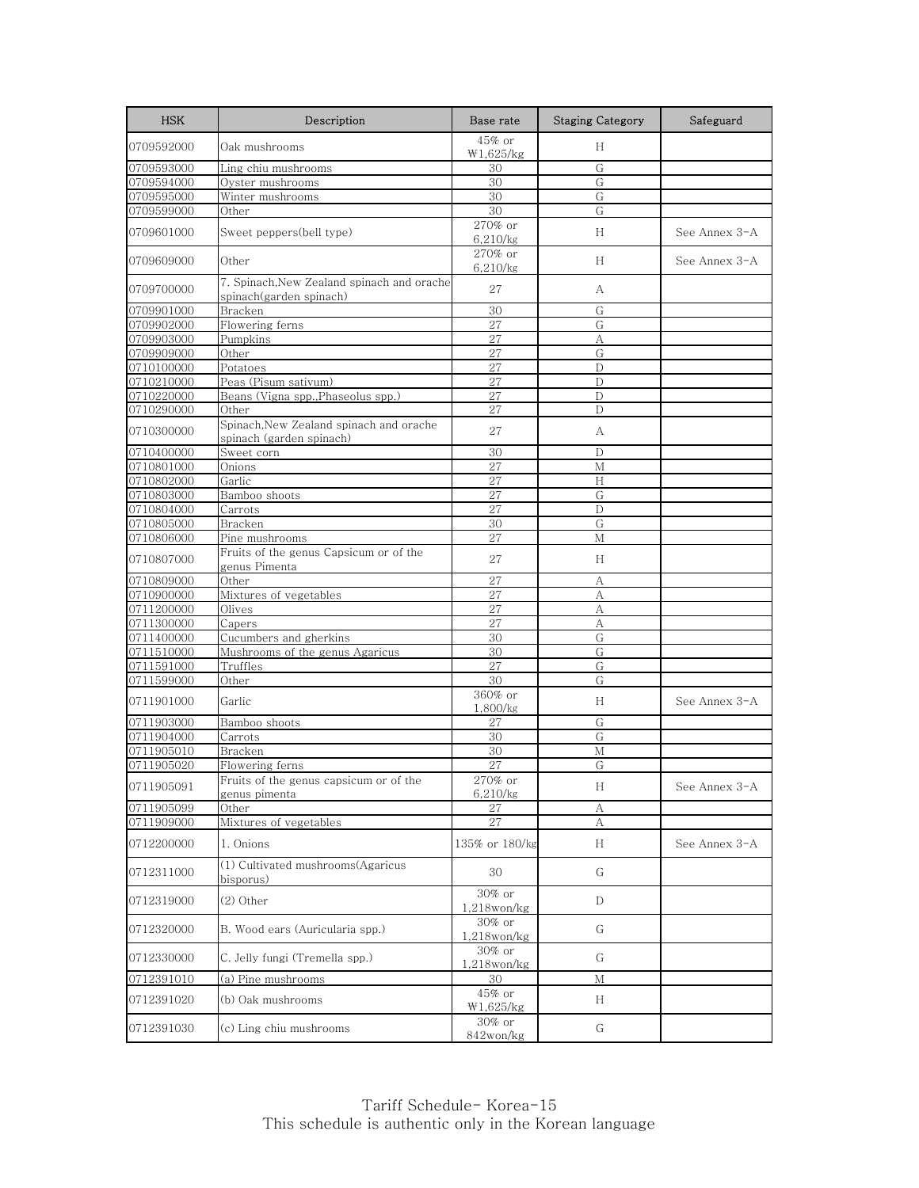| <b>HSK</b> | Description                                                           | Base rate                | <b>Staging Category</b> | Safeguard     |
|------------|-----------------------------------------------------------------------|--------------------------|-------------------------|---------------|
| 0709592000 | Oak mushrooms                                                         | 45% or<br>W1,625/kg      | H                       |               |
| 0709593000 | Ling chiu mushrooms                                                   | 30                       | G                       |               |
| 0709594000 | Oyster mushrooms                                                      | 30                       | G                       |               |
| 0709595000 | Winter mushrooms                                                      | 30                       | G                       |               |
| 0709599000 | Other                                                                 | 30                       | G                       |               |
| 0709601000 | Sweet peppers(bell type)                                              | 270% or<br>6,210/kg      | H                       | See Annex 3-A |
| 0709609000 | Other                                                                 | 270% or<br>6,210/kg      | H                       | See Annex 3-A |
| 0709700000 | 7. Spinach, New Zealand spinach and orache<br>spinach(garden spinach) | 27                       | А                       |               |
| 0709901000 | Bracken                                                               | 30                       | G                       |               |
| 0709902000 | Flowering ferns                                                       | 27                       | G                       |               |
| 0709903000 | Pumpkins                                                              | 27                       | A                       |               |
| 0709909000 | Other                                                                 | 27                       | G                       |               |
| 0710100000 | Potatoes                                                              | 27                       | D                       |               |
| 0710210000 | Peas (Pisum sativum)                                                  | 27                       | D                       |               |
| 0710220000 | Beans (Vigna spp., Phaseolus spp.)                                    | 27                       | D                       |               |
| 0710290000 | Other                                                                 | 27                       | D                       |               |
| 0710300000 | Spinach, New Zealand spinach and orache<br>spinach (garden spinach)   | 27                       | А                       |               |
| 0710400000 | Sweet corn                                                            | 30                       | D                       |               |
| 0710801000 | Onions                                                                | 27                       | М                       |               |
| 0710802000 | Garlic                                                                | 27                       | H                       |               |
| 0710803000 | Bamboo shoots                                                         | 27                       | G                       |               |
| 0710804000 | Carrots                                                               | 27                       | D                       |               |
| 0710805000 | Bracken                                                               | 30                       | G                       |               |
| 0710806000 | Pine mushrooms                                                        | 27                       | М                       |               |
| 0710807000 | Fruits of the genus Capsicum or of the<br>genus Pimenta               | 27                       | H                       |               |
| 0710809000 | Other                                                                 | 27                       | А                       |               |
| 0710900000 | Mixtures of vegetables                                                | 27                       | А                       |               |
| 0711200000 | Olives                                                                | 27                       | A                       |               |
| 0711300000 | Capers                                                                | 27                       | A                       |               |
| 0711400000 | Cucumbers and gherkins                                                | 30                       | G                       |               |
| 0711510000 | Mushrooms of the genus Agaricus                                       | 30                       | G                       |               |
| 0711591000 | Truffles                                                              | 27                       | G                       |               |
| 0711599000 | Other                                                                 | 30                       | G                       |               |
| 0711901000 | Garlic                                                                | 360% or<br>1,800/kg      | H                       | See Annex 3-A |
| 0711903000 | Bamboo shoots                                                         | 27                       | G                       |               |
| 0711904000 | Carrots                                                               | 30                       | G                       |               |
| 0711905010 | Bracken                                                               | 30                       | М                       |               |
| 0711905020 | Flowering ferns                                                       | 27                       | G                       |               |
| 0711905091 | Fruits of the genus capsicum or of the                                | 270% or<br>6,210/kg      | H                       | See Annex 3-A |
| 0711905099 | genus pimenta<br>Other                                                | 27                       |                         |               |
| 0711909000 | Mixtures of vegetables                                                | 27                       | А<br>А                  |               |
| 0712200000 | 1. Onions                                                             | 135% or 180/kg           | H                       | See Annex 3-A |
| 0712311000 | (1) Cultivated mushrooms(Agaricus<br>bisporus)                        | 30                       | G                       |               |
| 0712319000 | (2) Other                                                             | 30% or<br>$1,218$ won/kg | D                       |               |
| 0712320000 | B. Wood ears (Auricularia spp.)                                       | 30% or<br>$1,218$ won/kg | G                       |               |
| 0712330000 | C. Jelly fungi (Tremella spp.)                                        | 30% or<br>$1,218$ won/kg | G                       |               |
| 0712391010 | (a) Pine mushrooms                                                    | 30                       | М                       |               |
| 0712391020 | (b) Oak mushrooms                                                     | 45% or<br>W1,625/kg      | H                       |               |
| 0712391030 | (c) Ling chiu mushrooms                                               | 30% or<br>$842$ won/kg   | G                       |               |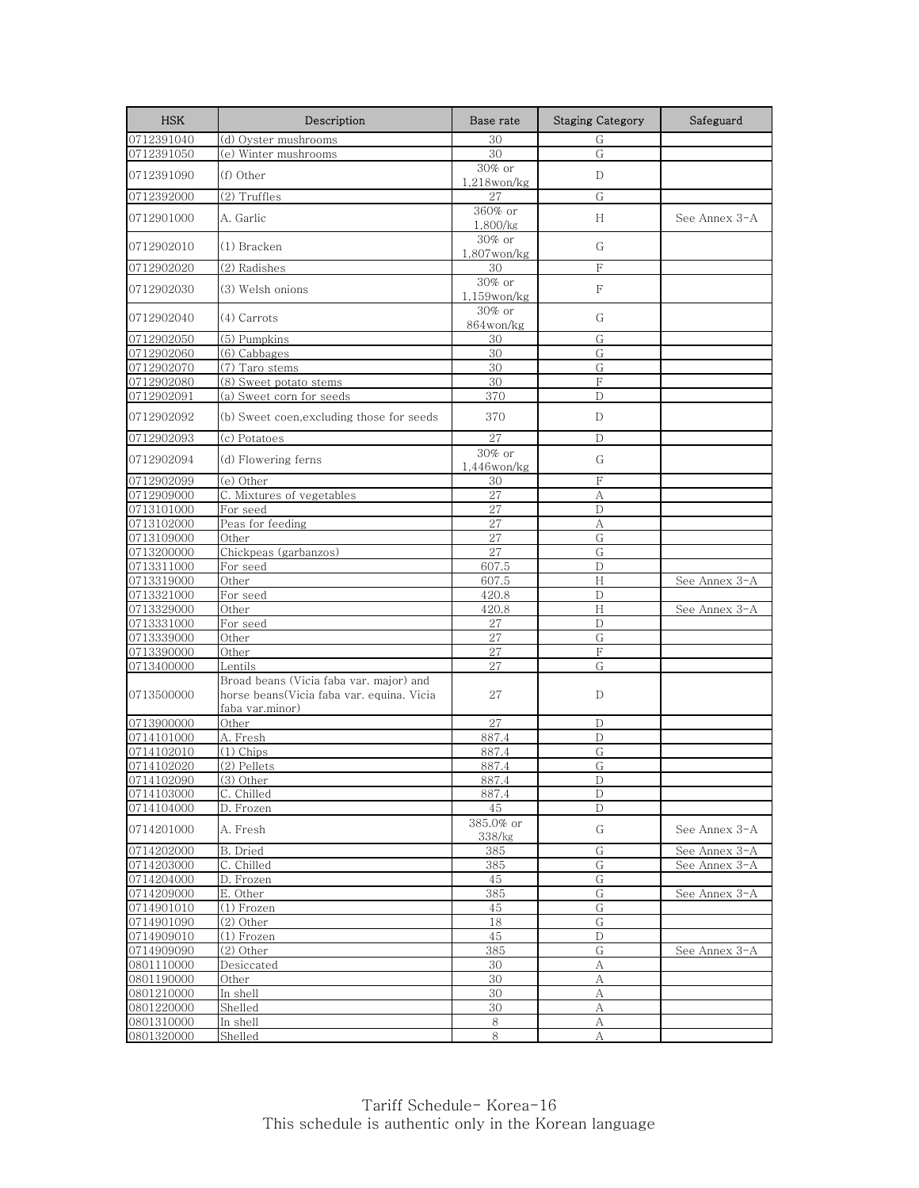| <b>HSK</b> | Description                                                                                             | Base rate                   | <b>Staging Category</b> | Safeguard     |
|------------|---------------------------------------------------------------------------------------------------------|-----------------------------|-------------------------|---------------|
| 0712391040 | (d) Oyster mushrooms                                                                                    | 30                          | G                       |               |
| 0712391050 | (e) Winter mushrooms                                                                                    | 30                          | G                       |               |
| 0712391090 | (f) Other                                                                                               | 30% or<br>$1,218$ won/kg    | D                       |               |
| 0712392000 | (2) Truffles                                                                                            | 27                          | G                       |               |
| 0712901000 | A. Garlic                                                                                               | 360% or<br>1,800/kg         | H                       | See Annex 3-A |
| 0712902010 | (1) Bracken                                                                                             | 30% or<br>$1,807$ won/kg    | G                       |               |
| 0712902020 | (2) Radishes                                                                                            | 30                          | F                       |               |
| 0712902030 | (3) Welsh onions                                                                                        | $30\%$ or<br>$1,159$ won/kg | F                       |               |
| 0712902040 | $(4)$ Carrots                                                                                           | 30% or<br>864won/kg         | G                       |               |
| 0712902050 | (5) Pumpkins                                                                                            | 30                          | G                       |               |
| 0712902060 | (6) Cabbages                                                                                            | 30                          | G                       |               |
| 0712902070 | (7) Taro stems                                                                                          | 30                          | G                       |               |
| 0712902080 | (8) Sweet potato stems                                                                                  | 30                          | F                       |               |
| 0712902091 | (a) Sweet corn for seeds                                                                                | 370                         | D                       |               |
| 0712902092 | (b) Sweet coen, excluding those for seeds                                                               | 370                         | $\mathbf{D}$            |               |
| 0712902093 | (c) Potatoes                                                                                            | 27                          | D                       |               |
| 0712902094 | (d) Flowering ferns                                                                                     | $30\%$ or<br>$1,446$ won/kg | G                       |               |
| 0712902099 | (e) Other                                                                                               | 30                          | F                       |               |
| 0712909000 | C. Mixtures of vegetables                                                                               | 27                          | А                       |               |
| 0713101000 | For seed                                                                                                | 27                          | D                       |               |
| 0713102000 | Peas for feeding                                                                                        | 27                          | A                       |               |
| 0713109000 | Other                                                                                                   | 27                          | G                       |               |
| 0713200000 | Chickpeas (garbanzos)                                                                                   | 27                          | G                       |               |
| 0713311000 | For seed                                                                                                | 607.5                       | D                       |               |
| 0713319000 | Other                                                                                                   | 607.5                       | H                       | See Annex 3-A |
| 0713321000 | For seed                                                                                                | 420.8                       | D                       |               |
| 0713329000 | Other                                                                                                   | 420.8                       | H                       | See Annex 3-A |
| 0713331000 | For seed                                                                                                | 27                          | D                       |               |
| 0713339000 | Other                                                                                                   | 27                          | G                       |               |
| 0713390000 | Other                                                                                                   | 27                          | F                       |               |
| 0713400000 | Lentils                                                                                                 | 27                          | G                       |               |
| 0713500000 | Broad beans (Vicia faba var. major) and<br>horse beans(Vicia faba var. equina. Vicia<br>faba var.minor) | 27                          | D                       |               |
| 0713900000 | Other                                                                                                   | 27                          | D                       |               |
| 0714101000 | A. Fresh                                                                                                | 887.4                       | D                       |               |
| 0714102010 | (1) Chips                                                                                               | 887.4                       | G                       |               |
| 0714102020 | (2) Pellets                                                                                             | 887.4                       | G                       |               |
| 0714102090 | $\overline{(3)}$ Other                                                                                  | 887.4                       | D                       |               |
| 0714103000 | C. Chilled                                                                                              | 887.4                       | D                       |               |
| 0714104000 | D. Frozen                                                                                               | 45                          | D                       |               |
| 0714201000 | A. Fresh                                                                                                | 385.0% or<br>338/kg         | G                       | See Annex 3-A |
| 0714202000 | B. Dried                                                                                                | 385                         | ${\rm G}$               | See Annex 3-A |
| 0714203000 | C. Chilled                                                                                              | 385                         | G                       | See Annex 3-A |
| 0714204000 | D. Frozen                                                                                               | 45                          | G                       |               |
| 0714209000 | E. Other                                                                                                | 385                         | G                       | See Annex 3-A |
| 0714901010 | (1) Frozen                                                                                              | 45                          | G                       |               |
| 0714901090 | $(2)$ Other                                                                                             | 18                          | G                       |               |
| 0714909010 | (1) Frozen                                                                                              | 45                          | D                       |               |
| 0714909090 | $(2)$ Other                                                                                             | 385                         | G                       | See Annex 3-A |
| 0801110000 | Desiccated                                                                                              | 30                          | А                       |               |
| 0801190000 | Other                                                                                                   | 30                          | А                       |               |
| 0801210000 | In shell                                                                                                | 30                          | А                       |               |
| 0801220000 | Shelled                                                                                                 | 30                          | А                       |               |
| 0801310000 | In shell                                                                                                | 8                           | $\mathbf{A}$            |               |
| 0801320000 | Shelled                                                                                                 | 8                           | А                       |               |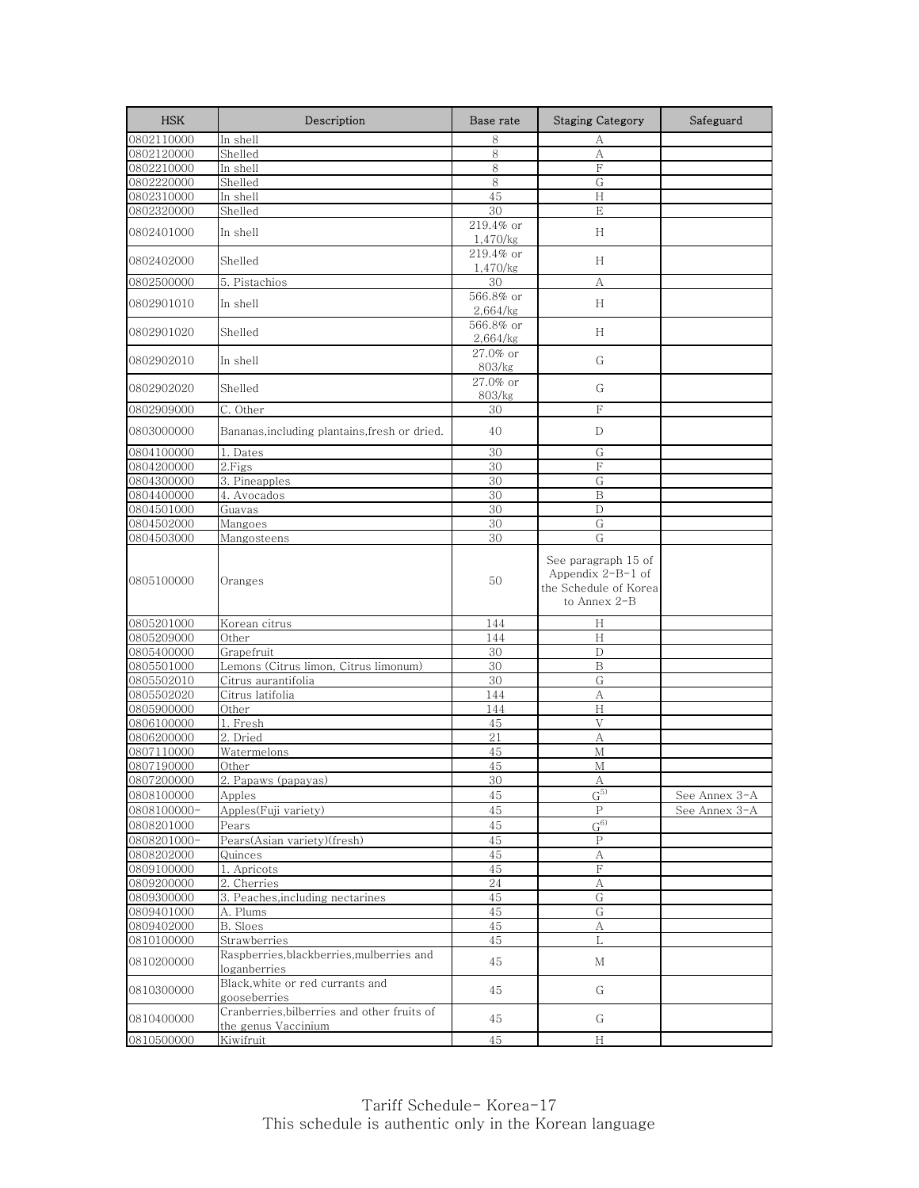| <b>HSK</b>               | Description                                                        | Base rate             | <b>Staging Category</b>                                                             | Safeguard     |
|--------------------------|--------------------------------------------------------------------|-----------------------|-------------------------------------------------------------------------------------|---------------|
| 0802110000               | In shell                                                           | 8                     | А                                                                                   |               |
| 0802120000               | Shelled                                                            | 8                     | А                                                                                   |               |
| 0802210000               | In shell                                                           | 8                     | F                                                                                   |               |
| 0802220000               | Shelled                                                            | 8                     | G                                                                                   |               |
| 0802310000               | In shell                                                           | 45                    | Н                                                                                   |               |
| 0802320000               | Shelled                                                            | 30                    | E                                                                                   |               |
| 0802401000               | In shell                                                           | 219.4% or<br>1,470/kg | H                                                                                   |               |
| 0802402000               | Shelled                                                            | 219.4% or<br>1,470/kg | H                                                                                   |               |
| 0802500000               | 5. Pistachios                                                      | 30                    | A                                                                                   |               |
| 0802901010               | In shell                                                           | 566.8% or<br>2,664/kg | Н                                                                                   |               |
| 0802901020               | Shelled                                                            | 566.8% or<br>2,664/kg | Н                                                                                   |               |
| 0802902010               | In shell                                                           | 27.0% or<br>803/kg    | G                                                                                   |               |
| 0802902020               | Shelled                                                            | 27.0% or<br>803/kg    | G                                                                                   |               |
| 0802909000               | $\overline{C}$ . Other                                             | 30                    | $\rm F$                                                                             |               |
| 0803000000               | Bananas, including plantains, fresh or dried.                      | 40                    | D                                                                                   |               |
| 0804100000               | 1. Dates                                                           | 30                    | G                                                                                   |               |
| 0804200000               | 2.Figs                                                             | 30                    | F                                                                                   |               |
| 0804300000               | 3. Pineapples                                                      | 30                    | G                                                                                   |               |
| 0804400000               | 4. Avocados                                                        | 30                    | B                                                                                   |               |
| 0804501000               | Guavas                                                             | 30                    | D                                                                                   |               |
| 0804502000               | Mangoes                                                            | 30                    | G                                                                                   |               |
| 0804503000               | Mangosteens                                                        | 30                    | G                                                                                   |               |
| 0805100000               | Oranges                                                            | 50                    | See paragraph 15 of<br>Appendix $2-B-1$ of<br>the Schedule of Korea<br>to Annex 2-B |               |
| 0805201000               | Korean citrus                                                      | 144                   | Η                                                                                   |               |
| 0805209000               | Other                                                              | 144                   | H                                                                                   |               |
| 0805400000               | Grapefruit                                                         | 30                    | D                                                                                   |               |
| 0805501000               | Lemons (Citrus limon, Citrus limonum)                              | 30                    | B                                                                                   |               |
| 0805502010               | Citrus aurantifolia                                                | 30                    | G                                                                                   |               |
| 0805502020               | Citrus latifolia                                                   | 144                   | A                                                                                   |               |
| 0805900000               | Other                                                              | 144                   | H                                                                                   |               |
| 0806100000               | Fresh<br>1.                                                        | 45                    | V                                                                                   |               |
| 0806200000               | 2. Dried                                                           | 21                    | А                                                                                   |               |
| 0807110000               | Watermelons                                                        | 45                    | M                                                                                   |               |
| 0807190000               | Other                                                              | 45                    | M                                                                                   |               |
| 0807200000               | 2. Papaws (papayas)                                                | 30                    | А                                                                                   |               |
| 0808100000               | Apples                                                             | 45                    | G <sub>2</sub>                                                                      | See Annex 3-A |
| 0808100000-              | Apples(Fuji variety)                                               | 45                    | $\mathbf P$<br>G <sub>0</sub>                                                       | See Annex 3-A |
| 0808201000               | Pears                                                              | 45                    |                                                                                     |               |
| 0808201000-              | Pears(Asian variety)(fresh)                                        | 45                    | $\rm P$                                                                             |               |
| 0808202000               | Quinces                                                            | 45                    | А                                                                                   |               |
| 0809100000               | 1. Apricots                                                        | 45                    | F                                                                                   |               |
| 0809200000               | 2. Cherries                                                        | 24                    | А                                                                                   |               |
| 0809300000               | 3. Peaches, including nectarines<br>A. Plums                       | 45<br>45              | G<br>G                                                                              |               |
| 0809401000               |                                                                    |                       |                                                                                     |               |
| 0809402000<br>0810100000 | <b>B.</b> Sloes<br>Strawberries                                    | 45<br>45              | А<br>L                                                                              |               |
| 0810200000               | Raspberries, blackberries, mulberries and                          | 45                    | М                                                                                   |               |
| 0810300000               | loganberries<br>Black, white or red currants and<br>gooseberries   | 45                    | G                                                                                   |               |
| 0810400000               | Cranberries, bilberries and other fruits of<br>the genus Vaccinium | 45                    | G                                                                                   |               |
| 0810500000               | Kiwifruit                                                          | 45                    | $\rm H$                                                                             |               |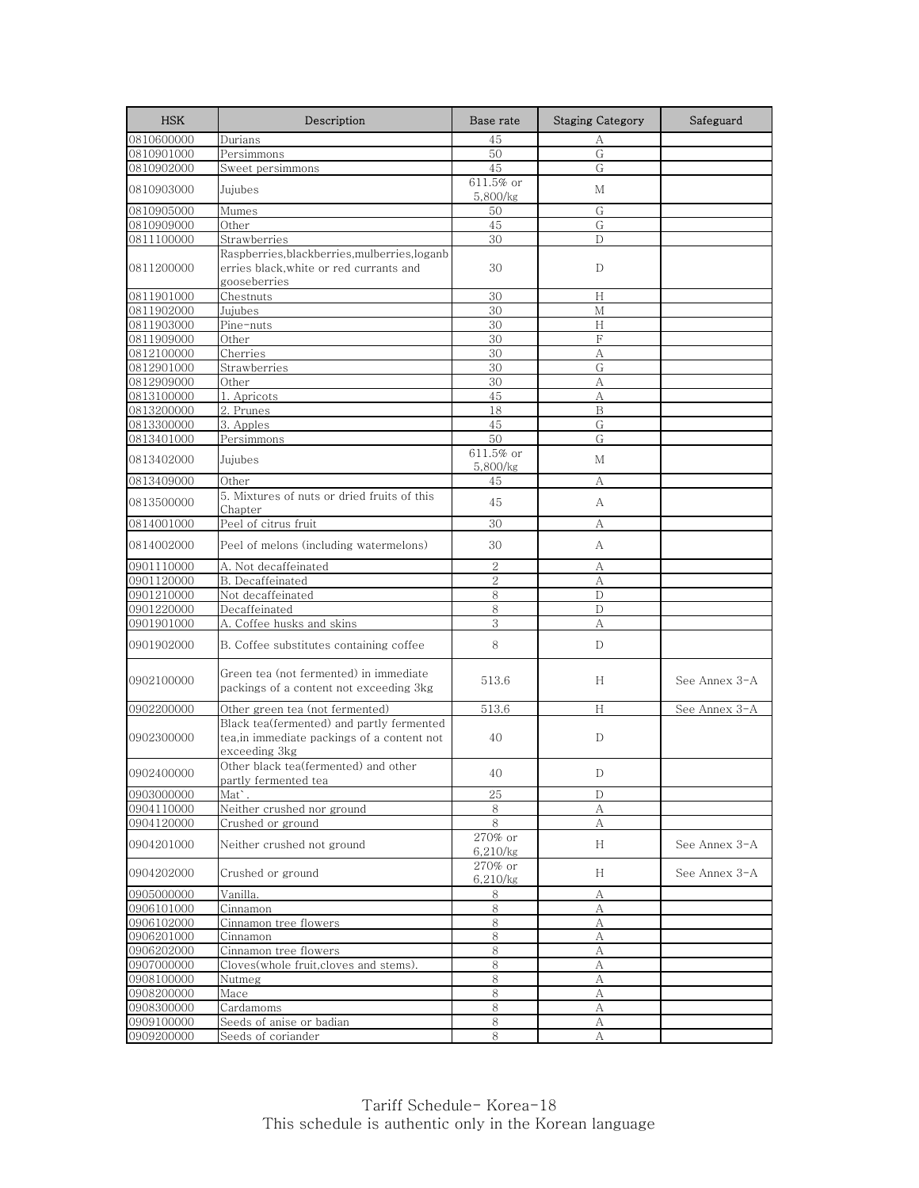| 0810600000<br>45<br>Durians<br>А<br>${\rm G}$<br>0810901000<br>Persimmons<br>50<br>0810902000<br>Sweet persimmons<br>45<br>G<br>611.5% or<br>0810903000<br>Jujubes<br>М<br>5,800/kg<br>Mumes<br>G<br>50<br>0810905000<br>45<br>0810909000<br>Other<br>G<br>Strawberries<br>30<br>0811100000<br>D<br>Raspberries, blackberries, mulberries, loganb<br>0811200000<br>erries black.white or red currants and<br>30<br>D<br>gooseberries<br>0811901000<br>Chestnuts<br>30<br>Н<br>0811902000<br>$\mathbf{M}$<br>Jujubes<br>30<br>0811903000<br>Pine-nuts<br>30<br>H<br>F<br>0811909000<br>Other<br>30<br>0812100000<br>Cherries<br>30<br>А<br>0812901000<br>Strawberries<br>30<br>G<br>30<br>0812909000<br>Other<br>А<br>45<br>1. Apricots<br>А<br>2. Prunes<br>18<br>B<br>0813200000<br>0813300000<br>G<br>3. Apples<br>45<br>0813401000<br>Persimmons<br>50<br>G<br>611.5% or<br>0813402000<br>Jujubes<br>М<br>5,800/kg<br>Other<br>45<br>0813409000<br>А<br>5. Mixtures of nuts or dried fruits of this<br>0813500000<br>45<br>А<br>Chapter<br>Peel of citrus fruit<br>0814001000<br>30<br>А<br>Peel of melons (including watermelons)<br>30<br>0814002000<br>А<br>2<br>0901110000<br>A. Not decaffeinated<br>А<br>$\overline{2}$<br>0901120000<br>B. Decaffeinated<br>A<br>0901210000<br>Not decaffeinated<br>8<br>D<br>0901220000<br>Decaffeinated<br>8<br>$\mathbf{D}$<br>0901901000<br>A. Coffee husks and skins<br>3<br>А<br>8<br>0901902000<br>B. Coffee substitutes containing coffee<br>D<br>Green tea (not fermented) in immediate<br>0902100000<br>H<br>See Annex 3-A<br>513.6<br>packings of a content not exceeding 3kg<br>Other green tea (not fermented)<br>513.6<br>H<br>See Annex 3-A<br>0902200000<br>Black tea(fermented) and partly fermented<br>0902300000<br>tea, in immediate packings of a content not<br>40<br>D<br>exceeding 3kg<br>Other black tea(fermented) and other<br>40<br>D<br>partly fermented tea<br>25<br>Mat`.<br>D<br>Neither crushed nor ground<br>0904110000<br>8<br>А<br>$8\,$<br>Crushed or ground<br>0904120000<br>А<br>270% or<br>0904201000<br>H<br>See Annex 3-A<br>Neither crushed not ground<br>6,210/kg<br>270% or<br>0904202000<br>Crushed or ground<br>See Annex 3-A<br>H<br>6,210/kg<br>Vanilla.<br>8<br>А<br>0905000000<br>0906101000<br>8<br>Cinnamon<br>А<br>8<br>0906102000<br>Cinnamon tree flowers<br>А<br>0906201000<br>Cinnamon<br>8<br>А<br>Cinnamon tree flowers<br>0906202000<br>8<br>A<br>0907000000<br>Cloves(whole fruit, cloves and stems).<br>8<br>А<br>8<br>0908100000<br>Nutmeg<br>А<br>8<br>0908200000<br>Mace<br>А<br>0908300000<br>Cardamoms<br>8<br>А<br>Seeds of anise or badian<br>8<br>0909100000<br>А | <b>HSK</b> | Description        | Base rate | <b>Staging Category</b> | Safeguard |
|------------------------------------------------------------------------------------------------------------------------------------------------------------------------------------------------------------------------------------------------------------------------------------------------------------------------------------------------------------------------------------------------------------------------------------------------------------------------------------------------------------------------------------------------------------------------------------------------------------------------------------------------------------------------------------------------------------------------------------------------------------------------------------------------------------------------------------------------------------------------------------------------------------------------------------------------------------------------------------------------------------------------------------------------------------------------------------------------------------------------------------------------------------------------------------------------------------------------------------------------------------------------------------------------------------------------------------------------------------------------------------------------------------------------------------------------------------------------------------------------------------------------------------------------------------------------------------------------------------------------------------------------------------------------------------------------------------------------------------------------------------------------------------------------------------------------------------------------------------------------------------------------------------------------------------------------------------------------------------------------------------------------------------------------------------------------------------------------------------------------------------------------------------------------------------------------------------------------------------------------------------------------------------------------------------------------------------------------------------------------------------------------------------------------------------------------------------------------------------------------------------------------------------------------------------------------------------------------------------------------------------------------------------------------------------|------------|--------------------|-----------|-------------------------|-----------|
|                                                                                                                                                                                                                                                                                                                                                                                                                                                                                                                                                                                                                                                                                                                                                                                                                                                                                                                                                                                                                                                                                                                                                                                                                                                                                                                                                                                                                                                                                                                                                                                                                                                                                                                                                                                                                                                                                                                                                                                                                                                                                                                                                                                                                                                                                                                                                                                                                                                                                                                                                                                                                                                                                    |            |                    |           |                         |           |
|                                                                                                                                                                                                                                                                                                                                                                                                                                                                                                                                                                                                                                                                                                                                                                                                                                                                                                                                                                                                                                                                                                                                                                                                                                                                                                                                                                                                                                                                                                                                                                                                                                                                                                                                                                                                                                                                                                                                                                                                                                                                                                                                                                                                                                                                                                                                                                                                                                                                                                                                                                                                                                                                                    |            |                    |           |                         |           |
|                                                                                                                                                                                                                                                                                                                                                                                                                                                                                                                                                                                                                                                                                                                                                                                                                                                                                                                                                                                                                                                                                                                                                                                                                                                                                                                                                                                                                                                                                                                                                                                                                                                                                                                                                                                                                                                                                                                                                                                                                                                                                                                                                                                                                                                                                                                                                                                                                                                                                                                                                                                                                                                                                    |            |                    |           |                         |           |
|                                                                                                                                                                                                                                                                                                                                                                                                                                                                                                                                                                                                                                                                                                                                                                                                                                                                                                                                                                                                                                                                                                                                                                                                                                                                                                                                                                                                                                                                                                                                                                                                                                                                                                                                                                                                                                                                                                                                                                                                                                                                                                                                                                                                                                                                                                                                                                                                                                                                                                                                                                                                                                                                                    |            |                    |           |                         |           |
|                                                                                                                                                                                                                                                                                                                                                                                                                                                                                                                                                                                                                                                                                                                                                                                                                                                                                                                                                                                                                                                                                                                                                                                                                                                                                                                                                                                                                                                                                                                                                                                                                                                                                                                                                                                                                                                                                                                                                                                                                                                                                                                                                                                                                                                                                                                                                                                                                                                                                                                                                                                                                                                                                    |            |                    |           |                         |           |
|                                                                                                                                                                                                                                                                                                                                                                                                                                                                                                                                                                                                                                                                                                                                                                                                                                                                                                                                                                                                                                                                                                                                                                                                                                                                                                                                                                                                                                                                                                                                                                                                                                                                                                                                                                                                                                                                                                                                                                                                                                                                                                                                                                                                                                                                                                                                                                                                                                                                                                                                                                                                                                                                                    |            |                    |           |                         |           |
|                                                                                                                                                                                                                                                                                                                                                                                                                                                                                                                                                                                                                                                                                                                                                                                                                                                                                                                                                                                                                                                                                                                                                                                                                                                                                                                                                                                                                                                                                                                                                                                                                                                                                                                                                                                                                                                                                                                                                                                                                                                                                                                                                                                                                                                                                                                                                                                                                                                                                                                                                                                                                                                                                    |            |                    |           |                         |           |
|                                                                                                                                                                                                                                                                                                                                                                                                                                                                                                                                                                                                                                                                                                                                                                                                                                                                                                                                                                                                                                                                                                                                                                                                                                                                                                                                                                                                                                                                                                                                                                                                                                                                                                                                                                                                                                                                                                                                                                                                                                                                                                                                                                                                                                                                                                                                                                                                                                                                                                                                                                                                                                                                                    |            |                    |           |                         |           |
|                                                                                                                                                                                                                                                                                                                                                                                                                                                                                                                                                                                                                                                                                                                                                                                                                                                                                                                                                                                                                                                                                                                                                                                                                                                                                                                                                                                                                                                                                                                                                                                                                                                                                                                                                                                                                                                                                                                                                                                                                                                                                                                                                                                                                                                                                                                                                                                                                                                                                                                                                                                                                                                                                    |            |                    |           |                         |           |
|                                                                                                                                                                                                                                                                                                                                                                                                                                                                                                                                                                                                                                                                                                                                                                                                                                                                                                                                                                                                                                                                                                                                                                                                                                                                                                                                                                                                                                                                                                                                                                                                                                                                                                                                                                                                                                                                                                                                                                                                                                                                                                                                                                                                                                                                                                                                                                                                                                                                                                                                                                                                                                                                                    |            |                    |           |                         |           |
|                                                                                                                                                                                                                                                                                                                                                                                                                                                                                                                                                                                                                                                                                                                                                                                                                                                                                                                                                                                                                                                                                                                                                                                                                                                                                                                                                                                                                                                                                                                                                                                                                                                                                                                                                                                                                                                                                                                                                                                                                                                                                                                                                                                                                                                                                                                                                                                                                                                                                                                                                                                                                                                                                    |            |                    |           |                         |           |
|                                                                                                                                                                                                                                                                                                                                                                                                                                                                                                                                                                                                                                                                                                                                                                                                                                                                                                                                                                                                                                                                                                                                                                                                                                                                                                                                                                                                                                                                                                                                                                                                                                                                                                                                                                                                                                                                                                                                                                                                                                                                                                                                                                                                                                                                                                                                                                                                                                                                                                                                                                                                                                                                                    |            |                    |           |                         |           |
|                                                                                                                                                                                                                                                                                                                                                                                                                                                                                                                                                                                                                                                                                                                                                                                                                                                                                                                                                                                                                                                                                                                                                                                                                                                                                                                                                                                                                                                                                                                                                                                                                                                                                                                                                                                                                                                                                                                                                                                                                                                                                                                                                                                                                                                                                                                                                                                                                                                                                                                                                                                                                                                                                    |            |                    |           |                         |           |
|                                                                                                                                                                                                                                                                                                                                                                                                                                                                                                                                                                                                                                                                                                                                                                                                                                                                                                                                                                                                                                                                                                                                                                                                                                                                                                                                                                                                                                                                                                                                                                                                                                                                                                                                                                                                                                                                                                                                                                                                                                                                                                                                                                                                                                                                                                                                                                                                                                                                                                                                                                                                                                                                                    |            |                    |           |                         |           |
|                                                                                                                                                                                                                                                                                                                                                                                                                                                                                                                                                                                                                                                                                                                                                                                                                                                                                                                                                                                                                                                                                                                                                                                                                                                                                                                                                                                                                                                                                                                                                                                                                                                                                                                                                                                                                                                                                                                                                                                                                                                                                                                                                                                                                                                                                                                                                                                                                                                                                                                                                                                                                                                                                    |            |                    |           |                         |           |
|                                                                                                                                                                                                                                                                                                                                                                                                                                                                                                                                                                                                                                                                                                                                                                                                                                                                                                                                                                                                                                                                                                                                                                                                                                                                                                                                                                                                                                                                                                                                                                                                                                                                                                                                                                                                                                                                                                                                                                                                                                                                                                                                                                                                                                                                                                                                                                                                                                                                                                                                                                                                                                                                                    |            |                    |           |                         |           |
|                                                                                                                                                                                                                                                                                                                                                                                                                                                                                                                                                                                                                                                                                                                                                                                                                                                                                                                                                                                                                                                                                                                                                                                                                                                                                                                                                                                                                                                                                                                                                                                                                                                                                                                                                                                                                                                                                                                                                                                                                                                                                                                                                                                                                                                                                                                                                                                                                                                                                                                                                                                                                                                                                    | 0813100000 |                    |           |                         |           |
|                                                                                                                                                                                                                                                                                                                                                                                                                                                                                                                                                                                                                                                                                                                                                                                                                                                                                                                                                                                                                                                                                                                                                                                                                                                                                                                                                                                                                                                                                                                                                                                                                                                                                                                                                                                                                                                                                                                                                                                                                                                                                                                                                                                                                                                                                                                                                                                                                                                                                                                                                                                                                                                                                    |            |                    |           |                         |           |
|                                                                                                                                                                                                                                                                                                                                                                                                                                                                                                                                                                                                                                                                                                                                                                                                                                                                                                                                                                                                                                                                                                                                                                                                                                                                                                                                                                                                                                                                                                                                                                                                                                                                                                                                                                                                                                                                                                                                                                                                                                                                                                                                                                                                                                                                                                                                                                                                                                                                                                                                                                                                                                                                                    |            |                    |           |                         |           |
|                                                                                                                                                                                                                                                                                                                                                                                                                                                                                                                                                                                                                                                                                                                                                                                                                                                                                                                                                                                                                                                                                                                                                                                                                                                                                                                                                                                                                                                                                                                                                                                                                                                                                                                                                                                                                                                                                                                                                                                                                                                                                                                                                                                                                                                                                                                                                                                                                                                                                                                                                                                                                                                                                    |            |                    |           |                         |           |
|                                                                                                                                                                                                                                                                                                                                                                                                                                                                                                                                                                                                                                                                                                                                                                                                                                                                                                                                                                                                                                                                                                                                                                                                                                                                                                                                                                                                                                                                                                                                                                                                                                                                                                                                                                                                                                                                                                                                                                                                                                                                                                                                                                                                                                                                                                                                                                                                                                                                                                                                                                                                                                                                                    |            |                    |           |                         |           |
|                                                                                                                                                                                                                                                                                                                                                                                                                                                                                                                                                                                                                                                                                                                                                                                                                                                                                                                                                                                                                                                                                                                                                                                                                                                                                                                                                                                                                                                                                                                                                                                                                                                                                                                                                                                                                                                                                                                                                                                                                                                                                                                                                                                                                                                                                                                                                                                                                                                                                                                                                                                                                                                                                    |            |                    |           |                         |           |
|                                                                                                                                                                                                                                                                                                                                                                                                                                                                                                                                                                                                                                                                                                                                                                                                                                                                                                                                                                                                                                                                                                                                                                                                                                                                                                                                                                                                                                                                                                                                                                                                                                                                                                                                                                                                                                                                                                                                                                                                                                                                                                                                                                                                                                                                                                                                                                                                                                                                                                                                                                                                                                                                                    |            |                    |           |                         |           |
|                                                                                                                                                                                                                                                                                                                                                                                                                                                                                                                                                                                                                                                                                                                                                                                                                                                                                                                                                                                                                                                                                                                                                                                                                                                                                                                                                                                                                                                                                                                                                                                                                                                                                                                                                                                                                                                                                                                                                                                                                                                                                                                                                                                                                                                                                                                                                                                                                                                                                                                                                                                                                                                                                    |            |                    |           |                         |           |
|                                                                                                                                                                                                                                                                                                                                                                                                                                                                                                                                                                                                                                                                                                                                                                                                                                                                                                                                                                                                                                                                                                                                                                                                                                                                                                                                                                                                                                                                                                                                                                                                                                                                                                                                                                                                                                                                                                                                                                                                                                                                                                                                                                                                                                                                                                                                                                                                                                                                                                                                                                                                                                                                                    |            |                    |           |                         |           |
|                                                                                                                                                                                                                                                                                                                                                                                                                                                                                                                                                                                                                                                                                                                                                                                                                                                                                                                                                                                                                                                                                                                                                                                                                                                                                                                                                                                                                                                                                                                                                                                                                                                                                                                                                                                                                                                                                                                                                                                                                                                                                                                                                                                                                                                                                                                                                                                                                                                                                                                                                                                                                                                                                    |            |                    |           |                         |           |
|                                                                                                                                                                                                                                                                                                                                                                                                                                                                                                                                                                                                                                                                                                                                                                                                                                                                                                                                                                                                                                                                                                                                                                                                                                                                                                                                                                                                                                                                                                                                                                                                                                                                                                                                                                                                                                                                                                                                                                                                                                                                                                                                                                                                                                                                                                                                                                                                                                                                                                                                                                                                                                                                                    |            |                    |           |                         |           |
|                                                                                                                                                                                                                                                                                                                                                                                                                                                                                                                                                                                                                                                                                                                                                                                                                                                                                                                                                                                                                                                                                                                                                                                                                                                                                                                                                                                                                                                                                                                                                                                                                                                                                                                                                                                                                                                                                                                                                                                                                                                                                                                                                                                                                                                                                                                                                                                                                                                                                                                                                                                                                                                                                    |            |                    |           |                         |           |
|                                                                                                                                                                                                                                                                                                                                                                                                                                                                                                                                                                                                                                                                                                                                                                                                                                                                                                                                                                                                                                                                                                                                                                                                                                                                                                                                                                                                                                                                                                                                                                                                                                                                                                                                                                                                                                                                                                                                                                                                                                                                                                                                                                                                                                                                                                                                                                                                                                                                                                                                                                                                                                                                                    |            |                    |           |                         |           |
|                                                                                                                                                                                                                                                                                                                                                                                                                                                                                                                                                                                                                                                                                                                                                                                                                                                                                                                                                                                                                                                                                                                                                                                                                                                                                                                                                                                                                                                                                                                                                                                                                                                                                                                                                                                                                                                                                                                                                                                                                                                                                                                                                                                                                                                                                                                                                                                                                                                                                                                                                                                                                                                                                    |            |                    |           |                         |           |
|                                                                                                                                                                                                                                                                                                                                                                                                                                                                                                                                                                                                                                                                                                                                                                                                                                                                                                                                                                                                                                                                                                                                                                                                                                                                                                                                                                                                                                                                                                                                                                                                                                                                                                                                                                                                                                                                                                                                                                                                                                                                                                                                                                                                                                                                                                                                                                                                                                                                                                                                                                                                                                                                                    |            |                    |           |                         |           |
|                                                                                                                                                                                                                                                                                                                                                                                                                                                                                                                                                                                                                                                                                                                                                                                                                                                                                                                                                                                                                                                                                                                                                                                                                                                                                                                                                                                                                                                                                                                                                                                                                                                                                                                                                                                                                                                                                                                                                                                                                                                                                                                                                                                                                                                                                                                                                                                                                                                                                                                                                                                                                                                                                    |            |                    |           |                         |           |
|                                                                                                                                                                                                                                                                                                                                                                                                                                                                                                                                                                                                                                                                                                                                                                                                                                                                                                                                                                                                                                                                                                                                                                                                                                                                                                                                                                                                                                                                                                                                                                                                                                                                                                                                                                                                                                                                                                                                                                                                                                                                                                                                                                                                                                                                                                                                                                                                                                                                                                                                                                                                                                                                                    |            |                    |           |                         |           |
|                                                                                                                                                                                                                                                                                                                                                                                                                                                                                                                                                                                                                                                                                                                                                                                                                                                                                                                                                                                                                                                                                                                                                                                                                                                                                                                                                                                                                                                                                                                                                                                                                                                                                                                                                                                                                                                                                                                                                                                                                                                                                                                                                                                                                                                                                                                                                                                                                                                                                                                                                                                                                                                                                    |            |                    |           |                         |           |
|                                                                                                                                                                                                                                                                                                                                                                                                                                                                                                                                                                                                                                                                                                                                                                                                                                                                                                                                                                                                                                                                                                                                                                                                                                                                                                                                                                                                                                                                                                                                                                                                                                                                                                                                                                                                                                                                                                                                                                                                                                                                                                                                                                                                                                                                                                                                                                                                                                                                                                                                                                                                                                                                                    | 0902400000 |                    |           |                         |           |
|                                                                                                                                                                                                                                                                                                                                                                                                                                                                                                                                                                                                                                                                                                                                                                                                                                                                                                                                                                                                                                                                                                                                                                                                                                                                                                                                                                                                                                                                                                                                                                                                                                                                                                                                                                                                                                                                                                                                                                                                                                                                                                                                                                                                                                                                                                                                                                                                                                                                                                                                                                                                                                                                                    | 0903000000 |                    |           |                         |           |
|                                                                                                                                                                                                                                                                                                                                                                                                                                                                                                                                                                                                                                                                                                                                                                                                                                                                                                                                                                                                                                                                                                                                                                                                                                                                                                                                                                                                                                                                                                                                                                                                                                                                                                                                                                                                                                                                                                                                                                                                                                                                                                                                                                                                                                                                                                                                                                                                                                                                                                                                                                                                                                                                                    |            |                    |           |                         |           |
|                                                                                                                                                                                                                                                                                                                                                                                                                                                                                                                                                                                                                                                                                                                                                                                                                                                                                                                                                                                                                                                                                                                                                                                                                                                                                                                                                                                                                                                                                                                                                                                                                                                                                                                                                                                                                                                                                                                                                                                                                                                                                                                                                                                                                                                                                                                                                                                                                                                                                                                                                                                                                                                                                    |            |                    |           |                         |           |
|                                                                                                                                                                                                                                                                                                                                                                                                                                                                                                                                                                                                                                                                                                                                                                                                                                                                                                                                                                                                                                                                                                                                                                                                                                                                                                                                                                                                                                                                                                                                                                                                                                                                                                                                                                                                                                                                                                                                                                                                                                                                                                                                                                                                                                                                                                                                                                                                                                                                                                                                                                                                                                                                                    |            |                    |           |                         |           |
|                                                                                                                                                                                                                                                                                                                                                                                                                                                                                                                                                                                                                                                                                                                                                                                                                                                                                                                                                                                                                                                                                                                                                                                                                                                                                                                                                                                                                                                                                                                                                                                                                                                                                                                                                                                                                                                                                                                                                                                                                                                                                                                                                                                                                                                                                                                                                                                                                                                                                                                                                                                                                                                                                    |            |                    |           |                         |           |
|                                                                                                                                                                                                                                                                                                                                                                                                                                                                                                                                                                                                                                                                                                                                                                                                                                                                                                                                                                                                                                                                                                                                                                                                                                                                                                                                                                                                                                                                                                                                                                                                                                                                                                                                                                                                                                                                                                                                                                                                                                                                                                                                                                                                                                                                                                                                                                                                                                                                                                                                                                                                                                                                                    |            |                    |           |                         |           |
|                                                                                                                                                                                                                                                                                                                                                                                                                                                                                                                                                                                                                                                                                                                                                                                                                                                                                                                                                                                                                                                                                                                                                                                                                                                                                                                                                                                                                                                                                                                                                                                                                                                                                                                                                                                                                                                                                                                                                                                                                                                                                                                                                                                                                                                                                                                                                                                                                                                                                                                                                                                                                                                                                    |            |                    |           |                         |           |
|                                                                                                                                                                                                                                                                                                                                                                                                                                                                                                                                                                                                                                                                                                                                                                                                                                                                                                                                                                                                                                                                                                                                                                                                                                                                                                                                                                                                                                                                                                                                                                                                                                                                                                                                                                                                                                                                                                                                                                                                                                                                                                                                                                                                                                                                                                                                                                                                                                                                                                                                                                                                                                                                                    |            |                    |           |                         |           |
|                                                                                                                                                                                                                                                                                                                                                                                                                                                                                                                                                                                                                                                                                                                                                                                                                                                                                                                                                                                                                                                                                                                                                                                                                                                                                                                                                                                                                                                                                                                                                                                                                                                                                                                                                                                                                                                                                                                                                                                                                                                                                                                                                                                                                                                                                                                                                                                                                                                                                                                                                                                                                                                                                    |            |                    |           |                         |           |
|                                                                                                                                                                                                                                                                                                                                                                                                                                                                                                                                                                                                                                                                                                                                                                                                                                                                                                                                                                                                                                                                                                                                                                                                                                                                                                                                                                                                                                                                                                                                                                                                                                                                                                                                                                                                                                                                                                                                                                                                                                                                                                                                                                                                                                                                                                                                                                                                                                                                                                                                                                                                                                                                                    |            |                    |           |                         |           |
|                                                                                                                                                                                                                                                                                                                                                                                                                                                                                                                                                                                                                                                                                                                                                                                                                                                                                                                                                                                                                                                                                                                                                                                                                                                                                                                                                                                                                                                                                                                                                                                                                                                                                                                                                                                                                                                                                                                                                                                                                                                                                                                                                                                                                                                                                                                                                                                                                                                                                                                                                                                                                                                                                    |            |                    |           |                         |           |
|                                                                                                                                                                                                                                                                                                                                                                                                                                                                                                                                                                                                                                                                                                                                                                                                                                                                                                                                                                                                                                                                                                                                                                                                                                                                                                                                                                                                                                                                                                                                                                                                                                                                                                                                                                                                                                                                                                                                                                                                                                                                                                                                                                                                                                                                                                                                                                                                                                                                                                                                                                                                                                                                                    |            |                    |           |                         |           |
|                                                                                                                                                                                                                                                                                                                                                                                                                                                                                                                                                                                                                                                                                                                                                                                                                                                                                                                                                                                                                                                                                                                                                                                                                                                                                                                                                                                                                                                                                                                                                                                                                                                                                                                                                                                                                                                                                                                                                                                                                                                                                                                                                                                                                                                                                                                                                                                                                                                                                                                                                                                                                                                                                    |            |                    |           |                         |           |
|                                                                                                                                                                                                                                                                                                                                                                                                                                                                                                                                                                                                                                                                                                                                                                                                                                                                                                                                                                                                                                                                                                                                                                                                                                                                                                                                                                                                                                                                                                                                                                                                                                                                                                                                                                                                                                                                                                                                                                                                                                                                                                                                                                                                                                                                                                                                                                                                                                                                                                                                                                                                                                                                                    |            |                    |           |                         |           |
|                                                                                                                                                                                                                                                                                                                                                                                                                                                                                                                                                                                                                                                                                                                                                                                                                                                                                                                                                                                                                                                                                                                                                                                                                                                                                                                                                                                                                                                                                                                                                                                                                                                                                                                                                                                                                                                                                                                                                                                                                                                                                                                                                                                                                                                                                                                                                                                                                                                                                                                                                                                                                                                                                    | 0909200000 | Seeds of coriander | 8         | А                       |           |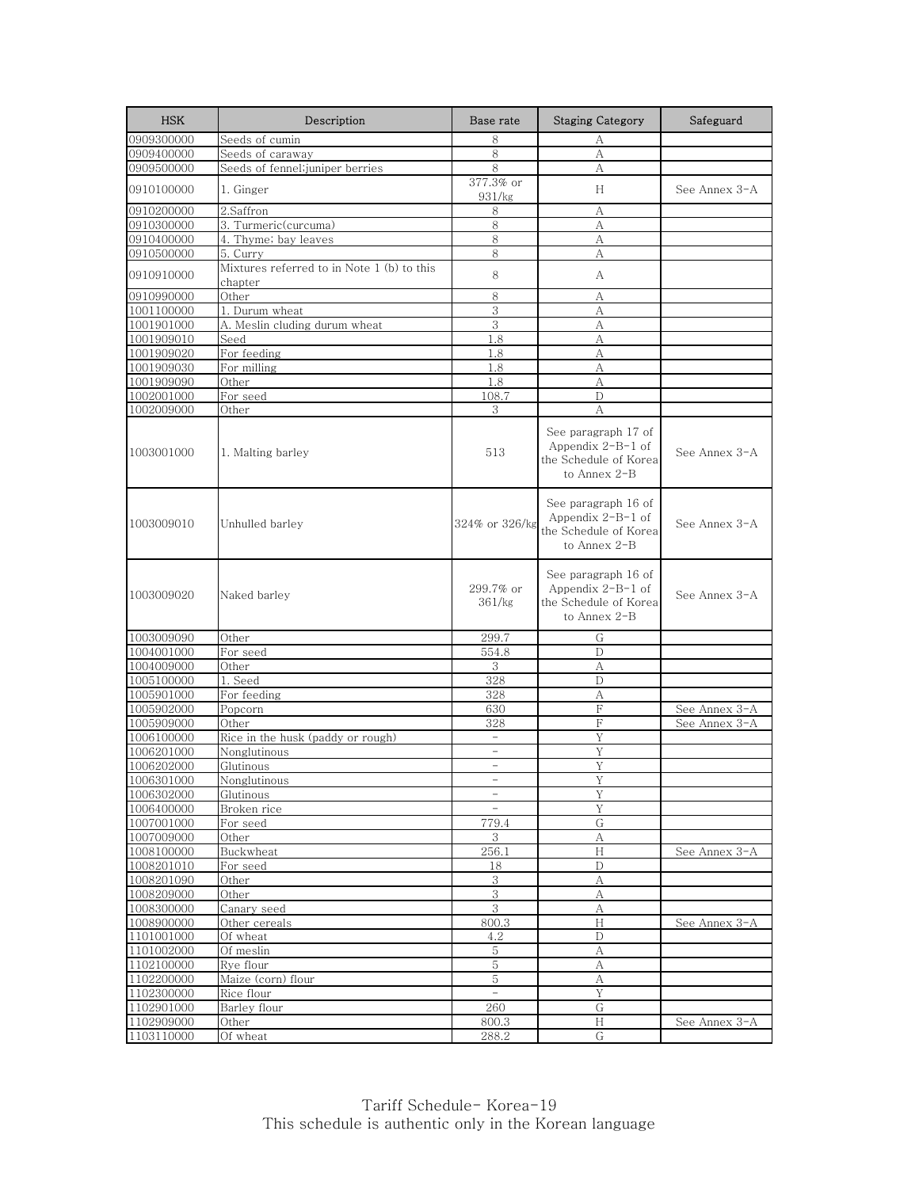| <b>HSK</b>               | Description                                           | Base rate                | <b>Staging Category</b>                                                               | Safeguard     |
|--------------------------|-------------------------------------------------------|--------------------------|---------------------------------------------------------------------------------------|---------------|
| 0909300000               | Seeds of cumin                                        | 8                        | А                                                                                     |               |
| 0909400000               | Seeds of caraway                                      | 8                        | А                                                                                     |               |
| 0909500000               | Seeds of fennel;juniper berries                       | 8                        | А                                                                                     |               |
| 0910100000               | 1. Ginger                                             | 377.3% or<br>931/kg      | H                                                                                     | See Annex 3-A |
| 0910200000               | 2.Saffron                                             | 8                        | А                                                                                     |               |
| 0910300000               | 3. Turmeric(curcuma)                                  | 8                        | А                                                                                     |               |
| 0910400000               | 4. Thyme; bay leaves                                  | 8                        | А                                                                                     |               |
| 0910500000               | 5. Curry                                              | 8                        | А                                                                                     |               |
| 0910910000               | Mixtures referred to in Note 1 (b) to this<br>chapter | 8                        | A                                                                                     |               |
| 0910990000               | Other                                                 | 8                        | А                                                                                     |               |
| 1001100000               | 1. Durum wheat                                        | 3                        | А                                                                                     |               |
| 1001901000               | A. Meslin cluding durum wheat                         | 3                        | А                                                                                     |               |
| 1001909010               | Seed                                                  | 1.8                      | A                                                                                     |               |
| 1001909020               | For feeding                                           | 1.8                      | А                                                                                     |               |
| 1001909030               | For milling                                           | 1.8                      | А                                                                                     |               |
| 1001909090               | Other                                                 | 1.8                      | A                                                                                     |               |
| 1002001000               | For seed                                              | 108.7                    | D                                                                                     |               |
| 1002009000               | Other                                                 | 3                        | A                                                                                     |               |
| 1003001000               | 1. Malting barley                                     | 513                      | See paragraph 17 of<br>Appendix $2-B-1$ of<br>the Schedule of Korea<br>to Annex 2-B   | See Annex 3-A |
| 1003009010               | Unhulled barley                                       | 324% or 326/kg           | See paragraph 16 of<br>Appendix $2-B-1$ of<br>the Schedule of Korea<br>to Annex $2-B$ | See Annex 3-A |
| 1003009020               | Naked barley                                          | 299.7% or<br>361/kg      | See paragraph 16 of<br>Appendix $2-B-1$ of<br>the Schedule of Korea<br>to Annex 2-B   | See Annex 3-A |
| 1003009090               | Other                                                 | 299.7                    | G                                                                                     |               |
| 1004001000               | For seed                                              | 554.8                    | $\mathbf D$                                                                           |               |
| 1004009000               | Other                                                 | 3                        | А                                                                                     |               |
| 1005100000               | 1. Seed                                               | 328                      | D                                                                                     |               |
| 1005901000               | For feeding                                           | 328                      | А                                                                                     |               |
| 1005902000               | Popcorn                                               | 630                      | F                                                                                     | See Annex 3-A |
| 1005909000               | Other                                                 | 328                      | $\rm F$                                                                               | See Annex 3-A |
| 1006100000               | Rice in the husk (paddy or rough)                     | $\overline{\phantom{a}}$ | Y                                                                                     |               |
| 1006201000               | Nonglutinous                                          | $\equiv$                 | Y                                                                                     |               |
| 1006202000               | Glutinous                                             | $\overline{\phantom{a}}$ | Y                                                                                     |               |
| 1006301000               | Nonglutinous                                          |                          |                                                                                       |               |
| 1006302000               | Glutinous                                             | $\overline{\phantom{a}}$ | Y                                                                                     |               |
| 1006400000               | Broken rice                                           | $\overline{\phantom{a}}$ | Υ                                                                                     |               |
| 1007001000               | For seed                                              | 779.4                    | G                                                                                     |               |
| 1007009000               | Other                                                 | 3                        | А                                                                                     |               |
| 1008100000               | Buckwheat<br>For seed                                 | 256.1                    | H                                                                                     | See Annex 3-A |
| 1008201010               |                                                       | 18                       | $\mathbf D$                                                                           |               |
| 1008201090               | Other                                                 | $\overline{3}$<br>3      | А                                                                                     |               |
| 1008209000               | Other                                                 | 3                        | $\rm A$                                                                               |               |
| 1008300000<br>1008900000 | Canary seed<br>Other cereals                          | 800.3                    | А<br>$\boldsymbol{\mathrm{H}}$                                                        | See Annex 3-A |
| 1101001000               | Of wheat                                              | 4.2                      | D                                                                                     |               |
| 1101002000               | Of meslin                                             | 5                        | A                                                                                     |               |
| 1102100000               | Rye flour                                             | 5                        | $\boldsymbol{A}$                                                                      |               |
| 1102200000               | Maize (corn) flour                                    | 5                        | А                                                                                     |               |
| 1102300000               | Rice flour                                            | $\equiv$                 | Y                                                                                     |               |
| 1102901000               | Barley flour                                          | 260                      | G                                                                                     |               |
| 1102909000               | Other                                                 | 800.3                    | $\rm H$                                                                               | See Annex 3-A |
| 1103110000               | Of wheat                                              | 288.2                    | G                                                                                     |               |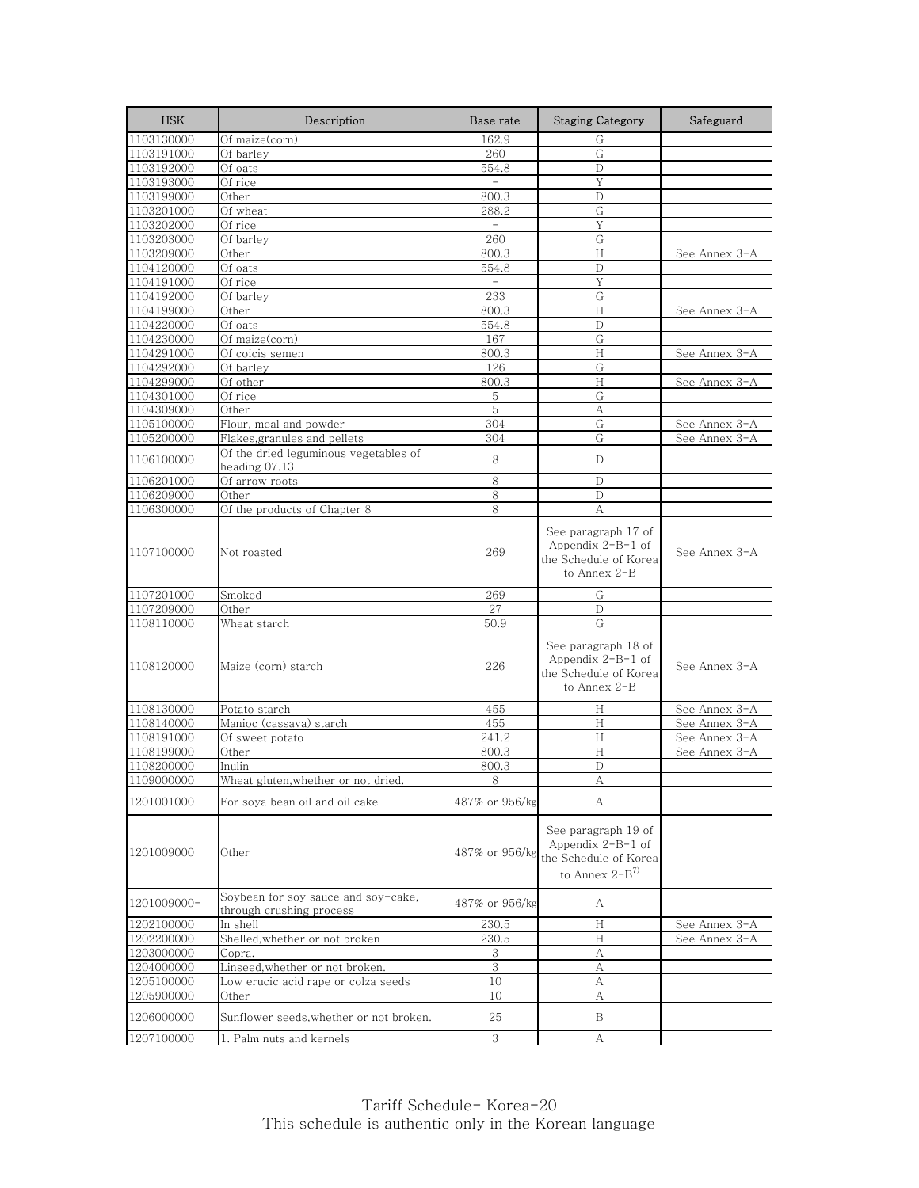| <b>HSK</b>               | Description                                                     | Base rate                | <b>Staging Category</b>                                                                   | Safeguard     |
|--------------------------|-----------------------------------------------------------------|--------------------------|-------------------------------------------------------------------------------------------|---------------|
| 1103130000               | Of maize(corn)                                                  | 162.9                    | G                                                                                         |               |
| 1103191000               | Of barley                                                       | 260                      | G                                                                                         |               |
| 1103192000               | Of oats                                                         | 554.8                    | D                                                                                         |               |
| 1103193000               | Of rice                                                         | $\overline{\phantom{a}}$ | Y                                                                                         |               |
| 1103199000               | Other                                                           | 800.3                    | D                                                                                         |               |
| 1103201000               | Of wheat                                                        | 288.2                    | G                                                                                         |               |
| 1103202000               | Of rice                                                         | $\overline{\phantom{a}}$ | Y                                                                                         |               |
| 1103203000               | Of barley                                                       | 260                      | G                                                                                         |               |
| 1103209000               | Other                                                           | 800.3                    | H                                                                                         | See Annex 3-A |
| 1104120000               | Of oats                                                         | 554.8                    | D                                                                                         |               |
| 1104191000               | Of rice                                                         | $\equiv$                 | Y                                                                                         |               |
| 1104192000               | Of barley                                                       | 233                      | G                                                                                         |               |
| 1104199000               | Other                                                           | 800.3                    | H                                                                                         | See Annex 3-A |
| 1104220000               | Of oats                                                         | 554.8                    | $\mathbb{D}$                                                                              |               |
| 1104230000               | Of maize(corn)                                                  | 167                      | G                                                                                         |               |
| 1104291000               | Of coicis semen                                                 | 800.3                    | H                                                                                         | See Annex 3-A |
| 1104292000               | Of barley                                                       | 126                      | G                                                                                         |               |
| 1104299000               | Of other<br>Of rice                                             | 800.3<br>5               | H<br>G                                                                                    | See Annex 3-A |
| 1104301000<br>1104309000 | Other                                                           | 5                        | А                                                                                         |               |
| 1105100000               | Flour, meal and powder                                          | 304                      | G                                                                                         | See Annex 3-A |
| 1105200000               | Flakes, granules and pellets                                    | 304                      | G                                                                                         | See Annex 3-A |
|                          | Of the dried leguminous vegetables of                           |                          |                                                                                           |               |
| 1106100000               | heading 07.13                                                   | 8                        | D                                                                                         |               |
| 1106201000               | Of arrow roots                                                  | 8                        | D                                                                                         |               |
| 1106209000               | Other                                                           | 8                        | D                                                                                         |               |
| 1106300000               | Of the products of Chapter 8                                    | 8                        | А                                                                                         |               |
| 1107100000               | Not roasted                                                     | 269                      | See paragraph 17 of<br>Appendix $2-B-1$ of<br>the Schedule of Korea<br>to Annex 2-B       | See Annex 3-A |
| 1107201000               | Smoked                                                          | 269                      | G                                                                                         |               |
| 1107209000               | Other                                                           | 27                       | D                                                                                         |               |
| 1108110000               | Wheat starch                                                    | 50.9                     | G                                                                                         |               |
| 1108120000               | Maize (corn) starch                                             | 226                      | See paragraph 18 of<br>Appendix $2-B-1$ of<br>the Schedule of Korea<br>to Annex 2-B       | See Annex 3-A |
| 1108130000               | Potato starch                                                   | 455                      | H                                                                                         | See Annex 3-A |
| 1108140000               | Manioc (cassava) starch                                         | 455                      | H                                                                                         | See Annex 3-A |
| 1108191000               | Of sweet potato                                                 | 241.2                    | Н                                                                                         | See Annex 3-A |
| 1108199000               | Other                                                           | 800.3                    | H                                                                                         | See Annex 3-A |
| 1108200000               | Inulin                                                          | 800.3                    | $\mathbb{D}$                                                                              |               |
| 1109000000               | Wheat gluten, whether or not dried.                             | ୪                        | A                                                                                         |               |
| 1201001000               | For soya bean oil and oil cake                                  | 487% or 956/kg           | A                                                                                         |               |
| 1201009000               | Other                                                           | 487% or 956/kg           | See paragraph 19 of<br>Appendix $2-B-1$ of<br>the Schedule of Korea<br>to Annex $2-B^{7}$ |               |
| 1201009000-              | Soybean for soy sauce and soy-cake,<br>through crushing process | 487% or 956/kg           | А                                                                                         |               |
| 1202100000               | In shell                                                        | 230.5                    | Н                                                                                         | See Annex 3-A |
| 1202200000               | Shelled,whether or not broken                                   | 230.5                    | H                                                                                         | See Annex 3-A |
| 1203000000               | Copra.                                                          | 3                        | А                                                                                         |               |
| 1204000000               | Linseed, whether or not broken.                                 | 3                        | A                                                                                         |               |
| 1205100000               | Low erucic acid rape or colza seeds                             | 10                       | А                                                                                         |               |
| 1205900000               | Other                                                           | 10                       | А                                                                                         |               |
| 1206000000               | Sunflower seeds, whether or not broken.                         | 25                       | B                                                                                         |               |
| 1207100000               | 1. Palm nuts and kernels                                        | 3                        | А                                                                                         |               |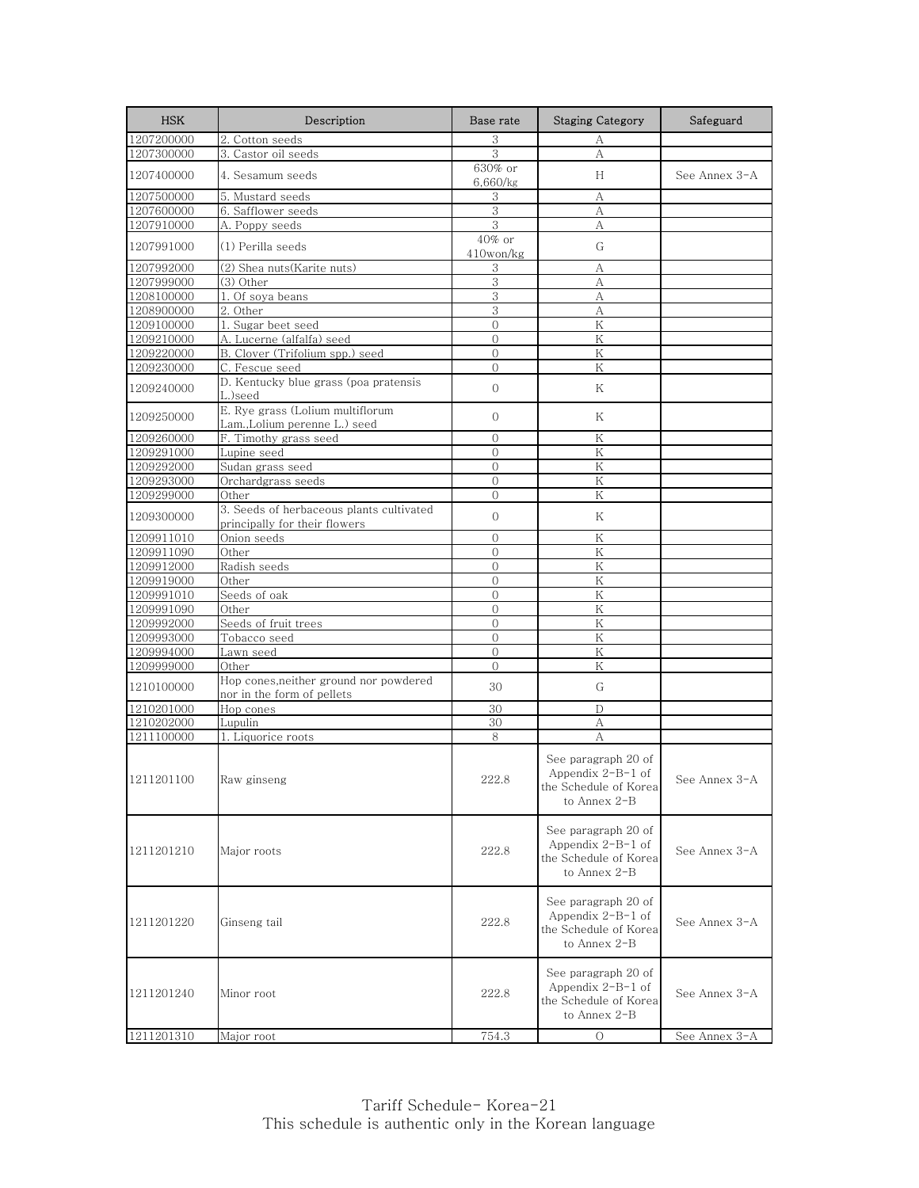| <b>HSK</b> | Description                                                               | Base rate                 | <b>Staging Category</b>                                                             | Safeguard                                                       |
|------------|---------------------------------------------------------------------------|---------------------------|-------------------------------------------------------------------------------------|-----------------------------------------------------------------|
| 1207200000 | 2. Cotton seeds                                                           | 3                         | А                                                                                   |                                                                 |
| 1207300000 | 3. Castor oil seeds                                                       | 3                         | А                                                                                   |                                                                 |
| 1207400000 | 4. Sesamum seeds                                                          | 630% or<br>6,660/kg       | H                                                                                   | See Annex 3-A                                                   |
| 1207500000 | 5. Mustard seeds                                                          | 3                         | А                                                                                   |                                                                 |
| 1207600000 | 6. Safflower seeds                                                        | 3                         | А                                                                                   |                                                                 |
| 1207910000 | A. Poppy seeds                                                            | 3                         | А                                                                                   |                                                                 |
| 1207991000 | (1) Perilla seeds                                                         | 40% or<br>$410$ won/ $kg$ | G                                                                                   |                                                                 |
| 1207992000 | (2) Shea nuts(Karite nuts)                                                | 3                         | А                                                                                   |                                                                 |
| 1207999000 | (3) Other                                                                 | 3                         | A                                                                                   |                                                                 |
| 1208100000 | 1. Of soya beans                                                          | 3                         | А                                                                                   |                                                                 |
| 1208900000 | 2. Other                                                                  | $\overline{3}$            | А                                                                                   |                                                                 |
| 1209100000 | 1. Sugar beet seed                                                        | $\overline{O}$            | K                                                                                   |                                                                 |
| 1209210000 | A. Lucerne (alfalfa) seed                                                 | $\overline{0}$            | Κ                                                                                   |                                                                 |
| 1209220000 | B. Clover (Trifolium spp.) seed                                           | $\Omega$                  | K                                                                                   |                                                                 |
| 1209230000 | C. Fescue seed                                                            | $\Omega$                  | Κ                                                                                   |                                                                 |
| 1209240000 | D. Kentucky blue grass (poa pratensis<br>L.)seed                          | $\overline{O}$            | Κ                                                                                   |                                                                 |
| 1209250000 | E. Rye grass (Lolium multiflorum<br>Lam., Lolium perenne L.) seed         | $\Omega$                  | Κ                                                                                   |                                                                 |
| 1209260000 | F. Timothy grass seed                                                     | $\overline{0}$            | Κ                                                                                   |                                                                 |
| 1209291000 | Lupine seed                                                               | $\Omega$                  | K                                                                                   |                                                                 |
| 1209292000 | Sudan grass seed                                                          | $\mathbf{0}$              | Κ                                                                                   |                                                                 |
| 1209293000 | Orchardgrass seeds                                                        | $\overline{O}$            | K                                                                                   |                                                                 |
| 1209299000 | Other                                                                     | $\Omega$                  | K                                                                                   |                                                                 |
| 1209300000 | 3. Seeds of herbaceous plants cultivated<br>principally for their flowers | $\mathbf{O}$              | Κ                                                                                   |                                                                 |
| 1209911010 | Onion seeds                                                               | $\mathbf{O}$              | Κ                                                                                   |                                                                 |
| 1209911090 | Other                                                                     | $\Omega$                  | K                                                                                   |                                                                 |
| 1209912000 | Radish seeds                                                              | $\mathbf{0}$              | Κ                                                                                   |                                                                 |
| 1209919000 | Other                                                                     | $\overline{O}$            | K                                                                                   |                                                                 |
| 1209991010 | Seeds of oak                                                              | $\Omega$                  | K                                                                                   |                                                                 |
| 1209991090 | Other                                                                     | $\mathbf{O}$              | Κ                                                                                   |                                                                 |
| 1209992000 | Seeds of fruit trees                                                      | $\Omega$                  | K                                                                                   |                                                                 |
| 1209993000 | Tobacco seed                                                              | $\mathbf{0}$              | Κ                                                                                   |                                                                 |
| 1209994000 | Lawn seed                                                                 | $\overline{0}$            | K                                                                                   |                                                                 |
| 1209999000 | Other                                                                     | $\Omega$                  | K                                                                                   |                                                                 |
| 1210100000 | Hop cones,neither ground nor powdered<br>nor in the form of pellets       | 30                        | G                                                                                   |                                                                 |
| 1210201000 | Hop cones                                                                 | 30                        | D                                                                                   |                                                                 |
| 1210202000 | Lupulin                                                                   | 30                        | А                                                                                   |                                                                 |
| 1211100000 | 1. Liquorice roots                                                        | 8                         | А                                                                                   |                                                                 |
| 1211201100 | Raw ginseng                                                               | 222.8                     | See paragraph 20 of<br>Appendix $2-B-1$ of<br>the Schedule of Korea<br>to Annex 2-B | See Annex $3\negthinspace\negthinspace\negthinspace \mathsf{A}$ |
| 1211201210 | Major roots                                                               | 222.8                     | See paragraph 20 of<br>Appendix $2-B-1$ of<br>the Schedule of Korea<br>to Annex 2-B | See Annex 3-A                                                   |
| 1211201220 | Ginseng tail                                                              | 222.8                     | See paragraph 20 of<br>Appendix $2-B-1$ of<br>the Schedule of Korea<br>to Annex 2-B | See Annex 3-A                                                   |
| 1211201240 | Minor root                                                                | 222.8                     | See paragraph 20 of<br>Appendix $2-B-1$ of<br>the Schedule of Korea<br>to Annex 2-B | See Annex 3-A                                                   |
| 1211201310 | Major root                                                                | 754.3                     | $\circ$                                                                             | See Annex 3-A                                                   |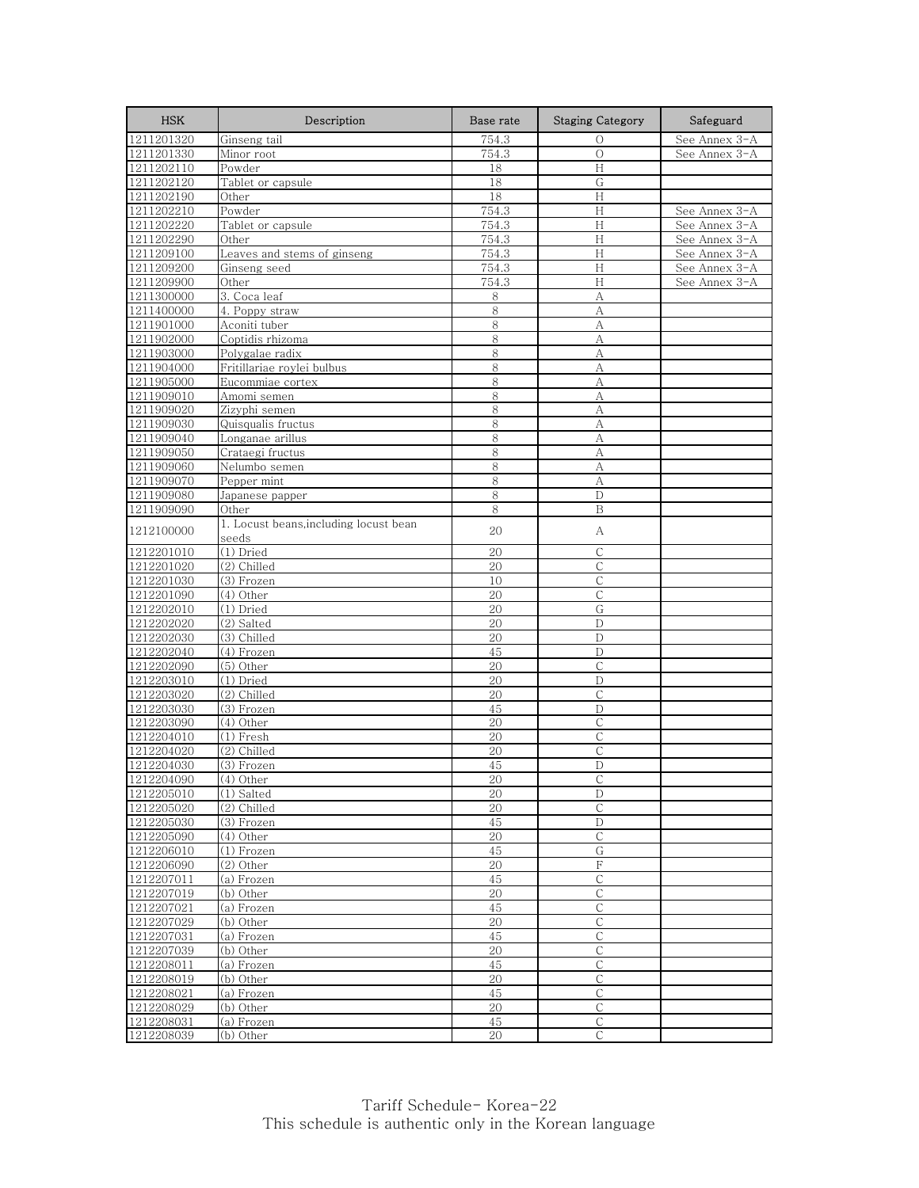| <b>HSK</b> | Description                            | Base rate | <b>Staging Category</b>   | Safeguard     |
|------------|----------------------------------------|-----------|---------------------------|---------------|
| 1211201320 | Ginseng tail                           | 754.3     | О                         | See Annex 3-A |
| 1211201330 | Minor root                             | 754.3     | $\circ$                   | See Annex 3-A |
| 1211202110 | Powder                                 | 18        | H                         |               |
| 1211202120 | Tablet or capsule                      | 18        | G                         |               |
| 1211202190 | Other                                  | 18        | Н                         |               |
| 1211202210 | Powder                                 | 754.3     | $\boldsymbol{\mathrm{H}}$ | See Annex 3-A |
| 1211202220 | Tablet or capsule                      | 754.3     | H                         | See Annex 3-A |
| 1211202290 | Other                                  | 754.3     | H                         | See Annex 3-A |
| 1211209100 | Leaves and stems of ginseng            | 754.3     | H                         | See Annex 3-A |
| 1211209200 | Ginseng seed                           | 754.3     | H                         | See Annex 3-A |
| 1211209900 | Other                                  | 754.3     | H                         | See Annex 3-A |
| 1211300000 | 3. Coca leaf                           | 8         | A                         |               |
| 1211400000 | 4. Poppy straw                         | 8         | A                         |               |
| 1211901000 | Aconiti tuber                          | 8         | A                         |               |
| 1211902000 | Coptidis rhizoma                       | 8         | A                         |               |
| 1211903000 | Polygalae radix                        | 8         | A                         |               |
| 1211904000 | Fritillariae roylei bulbus             | 8         | А                         |               |
| 1211905000 | Eucommiae cortex                       | 8         | A                         |               |
| 1211909010 | Amomi semen                            | 8         | A                         |               |
| 1211909020 | Zizyphi semen                          | 8         | A                         |               |
| 1211909030 | Quisqualis fructus                     | 8         | A                         |               |
| 1211909040 | Longanae arillus                       | 8         | А                         |               |
| 1211909050 | Crataegi fructus                       | 8         | $\overline{A}$            |               |
| 1211909060 | Nelumbo semen                          | 8         | А                         |               |
| 1211909070 | Pepper mint                            | 8         | A                         |               |
| 1211909080 | Japanese papper                        | 8         | D                         |               |
| 1211909090 | Other                                  | 8         | B                         |               |
| 1212100000 | 1. Locust beans, including locust bean | 20        | А                         |               |
|            | seeds                                  |           |                           |               |
| 1212201010 | (1) Dried                              | 20        | $\mathsf{C}$              |               |
| 1212201020 | (2) Chilled                            | 20        | С                         |               |
| 1212201030 | (3) Frozen                             | 10        | $\mathcal{C}$             |               |
| 1212201090 | (4) Other                              | 20        | С                         |               |
| 1212202010 | (1) Dried                              | 20        | G                         |               |
| 1212202020 | (2) Salted                             | 20        | D                         |               |
| 1212202030 | (3) Chilled                            | 20        | D                         |               |
| 1212202040 | (4) Frozen                             | 45        | D                         |               |
| 1212202090 | (5) Other                              | 20        | $\mathsf{C}$              |               |
| 1212203010 | (1) Dried                              | 20        | D                         |               |
| 1212203020 | (2) Chilled                            | 20        | $\mathsf C$               |               |
| 1212203030 | $(3)$ Frozen                           | 45        | $\mathbf D$               |               |
| 1212203090 | $\overline{(4)}$ Other                 | 20        | $\overline{C}$            |               |
| 1212204010 | (1) Fresh                              | 20        | С                         |               |
| 1212204020 | (2) Chilled                            | 20        | $\mathsf{C}$              |               |
| 1212204030 | $(3)$ Frozen                           | 45        | D                         |               |
| 1212204090 | $(4)$ Other                            | 20        |                           |               |
| 1212205010 | (1) Salted                             | 20        | D                         |               |
| 1212205020 | (2) Chilled                            | 20        | С                         |               |
| 1212205030 | (3) Frozen                             | 45        | $\mathbf D$               |               |
| 1212205090 | (4) Other                              | 20        | $\mathsf{C}$              |               |
| 1212206010 | (1) Frozen                             | 45        | G                         |               |
| 1212206090 | $(2)$ Other                            | 20        | $\rm F$                   |               |
| 1212207011 | (a) Frozen                             | 45        | $\mathsf{C}$              |               |
| 1212207019 | (b) Other                              | 20        | $\mathsf{C}$              |               |
| 1212207021 | (a) Frozen                             | 45        | С                         |               |
| 1212207029 | (b) Other                              | 20        | C                         |               |
| 1212207031 | (a) Frozen                             | 45        | C                         |               |
| 1212207039 | (b) Other                              | 20        | С                         |               |
| 1212208011 | $\overline{(\mathsf{a})}$ Frozen       | 45        | $\mathsf C$               |               |
| 1212208019 | (b) Other                              | 20        | С                         |               |
| 1212208021 | (a) Frozen                             | 45        | С                         |               |
| 1212208029 | (b) Other                              | 20        | С                         |               |
| 1212208031 | (a) Frozen                             | 45        | $\mathsf{C}$              |               |
| 1212208039 | (b) Other                              | 20        | $\mathsf{C}$              |               |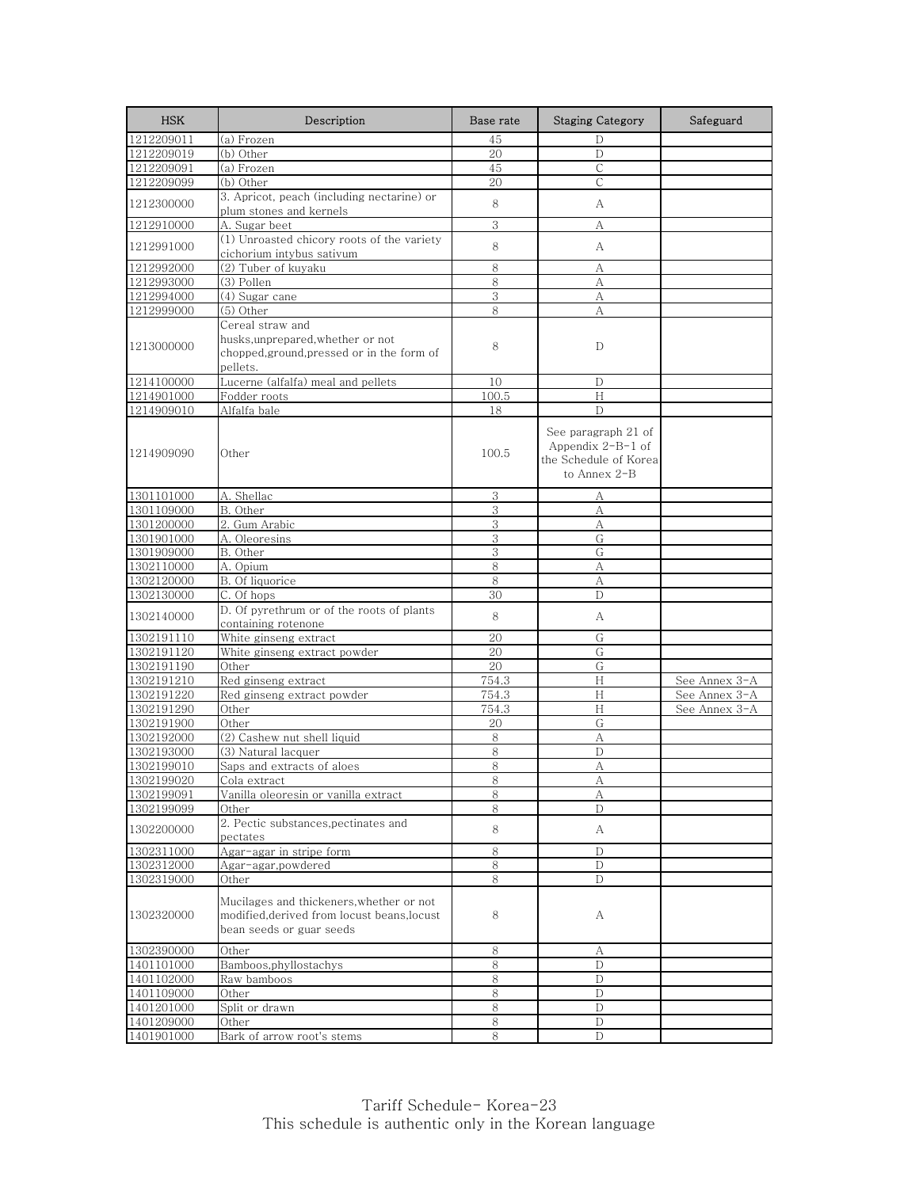| <b>HSK</b> | Description                                                                                                         | Base rate | <b>Staging Category</b>                                                             | Safeguard     |
|------------|---------------------------------------------------------------------------------------------------------------------|-----------|-------------------------------------------------------------------------------------|---------------|
| 1212209011 | (a) Frozen                                                                                                          | 45        | D                                                                                   |               |
| 1212209019 | (b) Other                                                                                                           | 20        | D                                                                                   |               |
| 1212209091 | (a) Frozen                                                                                                          | 45        | С                                                                                   |               |
| 1212209099 | (b) Other                                                                                                           | 20        | $\mathsf{C}$                                                                        |               |
| 1212300000 | 3. Apricot, peach (including nectarine) or<br>plum stones and kernels                                               | 8         | А                                                                                   |               |
| 1212910000 | A. Sugar beet                                                                                                       | 3         | А                                                                                   |               |
|            | (1) Unroasted chicory roots of the variety                                                                          |           |                                                                                     |               |
| 1212991000 | cichorium intybus sativum                                                                                           | 8         | А                                                                                   |               |
| 1212992000 | (2) Tuber of kuyaku                                                                                                 | 8         | А                                                                                   |               |
| 1212993000 | (3) Pollen                                                                                                          | 8         | A                                                                                   |               |
| 1212994000 | (4) Sugar cane                                                                                                      | 3         | А                                                                                   |               |
| 1212999000 | $(5)$ Other                                                                                                         | 8         | А                                                                                   |               |
| 1213000000 | Cereal straw and<br>husks, unprepared, whether or not<br>chopped, ground, pressed or in the form of<br>pellets.     | 8         | D                                                                                   |               |
| 1214100000 | Lucerne (alfalfa) meal and pellets                                                                                  | 10        | D                                                                                   |               |
| 1214901000 | Fodder roots                                                                                                        | 100.5     | H                                                                                   |               |
| 1214909010 | Alfalfa bale                                                                                                        | 18        | $\mathbb{D}$                                                                        |               |
| 1214909090 | Other                                                                                                               | 100.5     | See paragraph 21 of<br>Appendix $2-B-1$ of<br>the Schedule of Korea<br>to Annex 2-B |               |
| 1301101000 | A. Shellac                                                                                                          | 3         | А                                                                                   |               |
| 1301109000 | B. Other                                                                                                            | 3         | $\rm A$                                                                             |               |
| 1301200000 | 2. Gum Arabic                                                                                                       | 3         | А                                                                                   |               |
| 1301901000 | A. Oleoresins                                                                                                       | 3         | G                                                                                   |               |
| 1301909000 | B. Other                                                                                                            | 3         | G                                                                                   |               |
| 1302110000 | A. Opium                                                                                                            | 8         | А                                                                                   |               |
| 1302120000 | B. Of liquorice                                                                                                     | 8         | A                                                                                   |               |
| 1302130000 | C. Of hops                                                                                                          | 30        | D                                                                                   |               |
| 1302140000 | D. Of pyrethrum or of the roots of plants<br>containing rotenone                                                    | 8         | A                                                                                   |               |
| 1302191110 | White ginseng extract                                                                                               | 20        | G                                                                                   |               |
| 1302191120 | White ginseng extract powder                                                                                        | 20        | G                                                                                   |               |
| 1302191190 | Other                                                                                                               | 20        | G                                                                                   |               |
| 1302191210 | Red ginseng extract                                                                                                 | 754.3     | H                                                                                   | See Annex 3-A |
| 1302191220 | Red ginseng extract powder                                                                                          | 754.3     | H                                                                                   | See Annex 3-A |
| 1302191290 | Other                                                                                                               | 754.3     | H                                                                                   | See Annex 3-A |
| 1302191900 | Other                                                                                                               | 20        | G                                                                                   |               |
| 1302192000 | (2) Cashew nut shell liquid                                                                                         | 8         | А                                                                                   |               |
| 1302193000 | (3) Natural lacquer                                                                                                 | 8         | D                                                                                   |               |
| 1302199010 | Saps and extracts of aloes                                                                                          | 8         | A                                                                                   |               |
| 1302199020 | Cola extract                                                                                                        | 8         | A                                                                                   |               |
| 1302199091 | Vanilla oleoresin or vanilla extract                                                                                | 8         | А                                                                                   |               |
| 1302199099 | Other                                                                                                               | 8         | D                                                                                   |               |
| 1302200000 | 2. Pectic substances, pectinates and<br>pectates                                                                    | 8         | A                                                                                   |               |
| 1302311000 | Agar-agar in stripe form                                                                                            | 8         | D                                                                                   |               |
| 1302312000 | Agar-agar, powdered                                                                                                 | 8         | D                                                                                   |               |
| 1302319000 | Other                                                                                                               | 8         | D                                                                                   |               |
| 1302320000 | Mucilages and thickeners, whether or not<br>modified, derived from locust beans, locust<br>bean seeds or guar seeds | 8         | А                                                                                   |               |
| 1302390000 | Other                                                                                                               | 8         | А                                                                                   |               |
| 1401101000 | Bamboos, phyllostachys                                                                                              | 8         | D                                                                                   |               |
| 1401102000 | Raw bamboos                                                                                                         | 8         | D                                                                                   |               |
| 1401109000 | Other                                                                                                               | 8         | D                                                                                   |               |
| 1401201000 | Split or drawn                                                                                                      | 8         | D                                                                                   |               |
| 1401209000 | Other                                                                                                               | 8         | D                                                                                   |               |
| 1401901000 | Bark of arrow root's stems                                                                                          | 8         | D                                                                                   |               |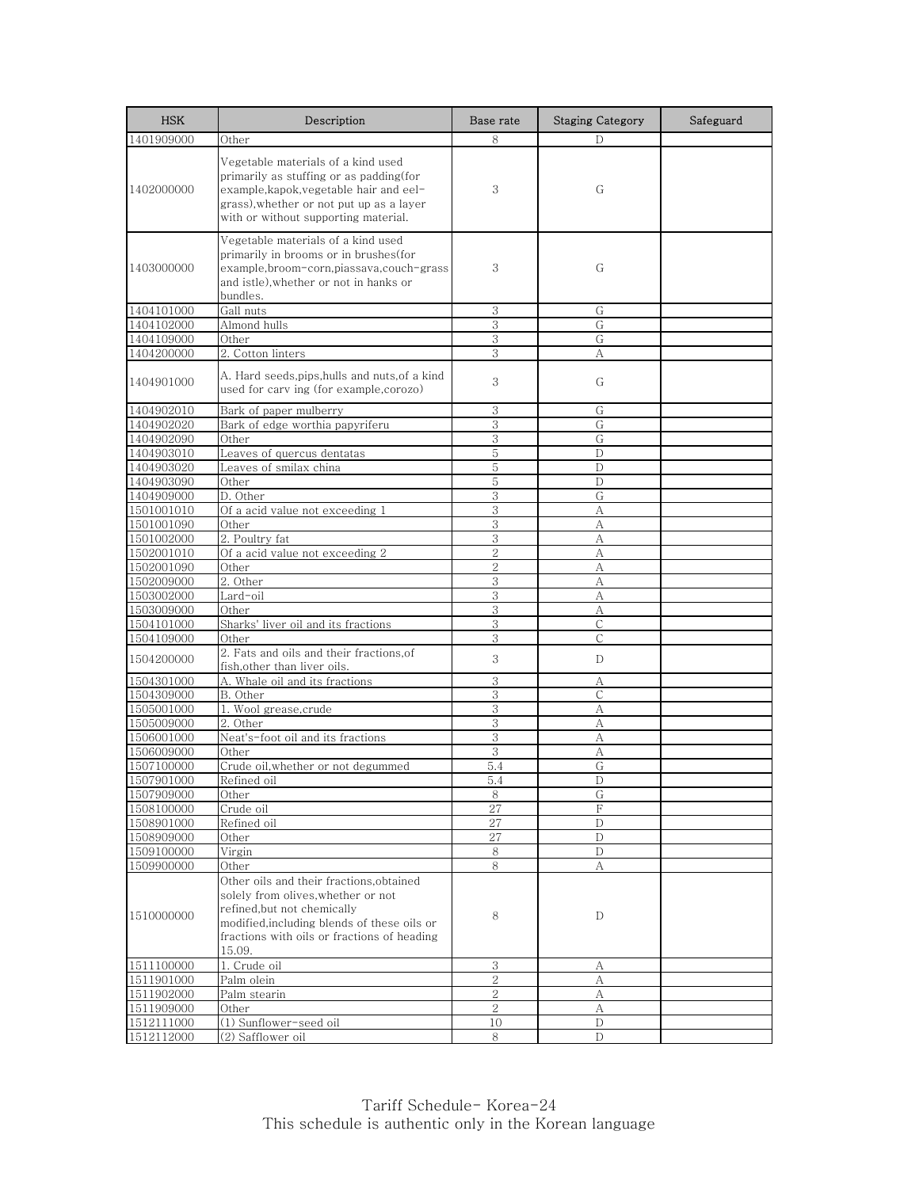| <b>HSK</b>               | Description                                                                                                                                                                                                           | Base rate           | <b>Staging Category</b> | Safeguard |
|--------------------------|-----------------------------------------------------------------------------------------------------------------------------------------------------------------------------------------------------------------------|---------------------|-------------------------|-----------|
| 1401909000               | Other                                                                                                                                                                                                                 | 8                   | D                       |           |
| 1402000000               | Vegetable materials of a kind used<br>primarily as stuffing or as padding(for<br>example, kapok, vegetable hair and eel-<br>grass), whether or not put up as a layer<br>with or without supporting material.          | 3                   | G                       |           |
| 1403000000               | Vegetable materials of a kind used<br>primarily in brooms or in brushes(for<br>example,broom-corn,piassava,couch-grass<br>and istle), whether or not in hanks or<br>bundles.                                          | 3                   | G                       |           |
| 1404101000               | Gall nuts                                                                                                                                                                                                             | 3                   | G                       |           |
| 1404102000               | Almond hulls                                                                                                                                                                                                          | 3                   | G                       |           |
| 1404109000               | Other                                                                                                                                                                                                                 | 3                   | G                       |           |
| 1404200000               | 2. Cotton linters                                                                                                                                                                                                     | 3                   | А                       |           |
| 1404901000               | A. Hard seeds,pips,hulls and nuts,of a kind<br>used for carv ing (for example, corozo)                                                                                                                                | 3                   | G                       |           |
| 1404902010               | Bark of paper mulberry                                                                                                                                                                                                | 3                   | G                       |           |
| 1404902020               | Bark of edge worthia papyriferu                                                                                                                                                                                       | 3                   | G                       |           |
| 1404902090               | Other                                                                                                                                                                                                                 | 3                   | G                       |           |
| 1404903010               | Leaves of quercus dentatas                                                                                                                                                                                            | 5                   | D                       |           |
| 1404903020               | Leaves of smilax china                                                                                                                                                                                                | 5                   | D                       |           |
| 1404903090               | Other                                                                                                                                                                                                                 | 5                   | D                       |           |
| 1404909000               | D. Other                                                                                                                                                                                                              | 3                   | G                       |           |
| 1501001010               | Of a acid value not exceeding 1                                                                                                                                                                                       | 3                   | А                       |           |
| 1501001090               | Other                                                                                                                                                                                                                 | 3                   | A                       |           |
| 1501002000               | 2. Poultry fat                                                                                                                                                                                                        | 3<br>$\overline{2}$ | А                       |           |
| 1502001010               | Of a acid value not exceeding 2                                                                                                                                                                                       |                     | A                       |           |
| 1502001090<br>1502009000 | Other<br>$2.$ Other                                                                                                                                                                                                   | $\overline{2}$<br>3 | A                       |           |
| 1503002000               | Lard-oil                                                                                                                                                                                                              | 3                   | А<br>А                  |           |
| 1503009000               | Other                                                                                                                                                                                                                 | 3                   | А                       |           |
| 1504101000               | Sharks' liver oil and its fractions                                                                                                                                                                                   | 3                   | C                       |           |
| 1504109000               | Other                                                                                                                                                                                                                 | 3                   | С                       |           |
| 1504200000               | 2. Fats and oils and their fractions, of<br>fish, other than liver oils.                                                                                                                                              | 3                   | D                       |           |
| 1504301000               | A. Whale oil and its fractions                                                                                                                                                                                        | 3                   | А                       |           |
| 1504309000               | B. Other                                                                                                                                                                                                              | 3                   | $\mathsf{C}$            |           |
| 1505001000               | 1. Wool grease, crude                                                                                                                                                                                                 | 3                   | А                       |           |
| 1505009000               | 2. Other                                                                                                                                                                                                              | $\,3$               | А                       |           |
| 1506001000               | Neat's-foot oil and its fractions                                                                                                                                                                                     | 3                   | А                       |           |
| 1506009000               | Other                                                                                                                                                                                                                 | 3                   | А                       |           |
| 1507100000               | Crude oil, whether or not degummed                                                                                                                                                                                    | 5.4                 | G                       |           |
| 1507901000               | Refined oil                                                                                                                                                                                                           | 5.4                 | D                       |           |
| 1507909000               | Other                                                                                                                                                                                                                 | 8                   | G<br>F                  |           |
| 1508100000<br>1508901000 | Crude oil<br>Refined oil                                                                                                                                                                                              | 27<br>27            | $\mathbf D$             |           |
| 1508909000               | Other                                                                                                                                                                                                                 | 27                  | D                       |           |
| 1509100000               | Virgin                                                                                                                                                                                                                | 8                   | D                       |           |
| 1509900000               | Other                                                                                                                                                                                                                 | 8                   | А                       |           |
| 1510000000               | Other oils and their fractions, obtained<br>solely from olives, whether or not<br>refined, but not chemically<br>modified, including blends of these oils or<br>fractions with oils or fractions of heading<br>15.09. | 8                   | D                       |           |
| 1511100000               | 1. Crude oil                                                                                                                                                                                                          | 3                   | А                       |           |
| 1511901000               | Palm olein                                                                                                                                                                                                            | $\sqrt{2}$          | А                       |           |
| 1511902000               | Palm stearin                                                                                                                                                                                                          | $\sqrt{2}$          | А                       |           |
| 1511909000               | Other                                                                                                                                                                                                                 | $\overline{2}$      | А                       |           |
| 1512111000               | (1) Sunflower-seed oil                                                                                                                                                                                                | 10                  | D                       |           |
| 1512112000               | (2) Safflower oil                                                                                                                                                                                                     | 8                   | D                       |           |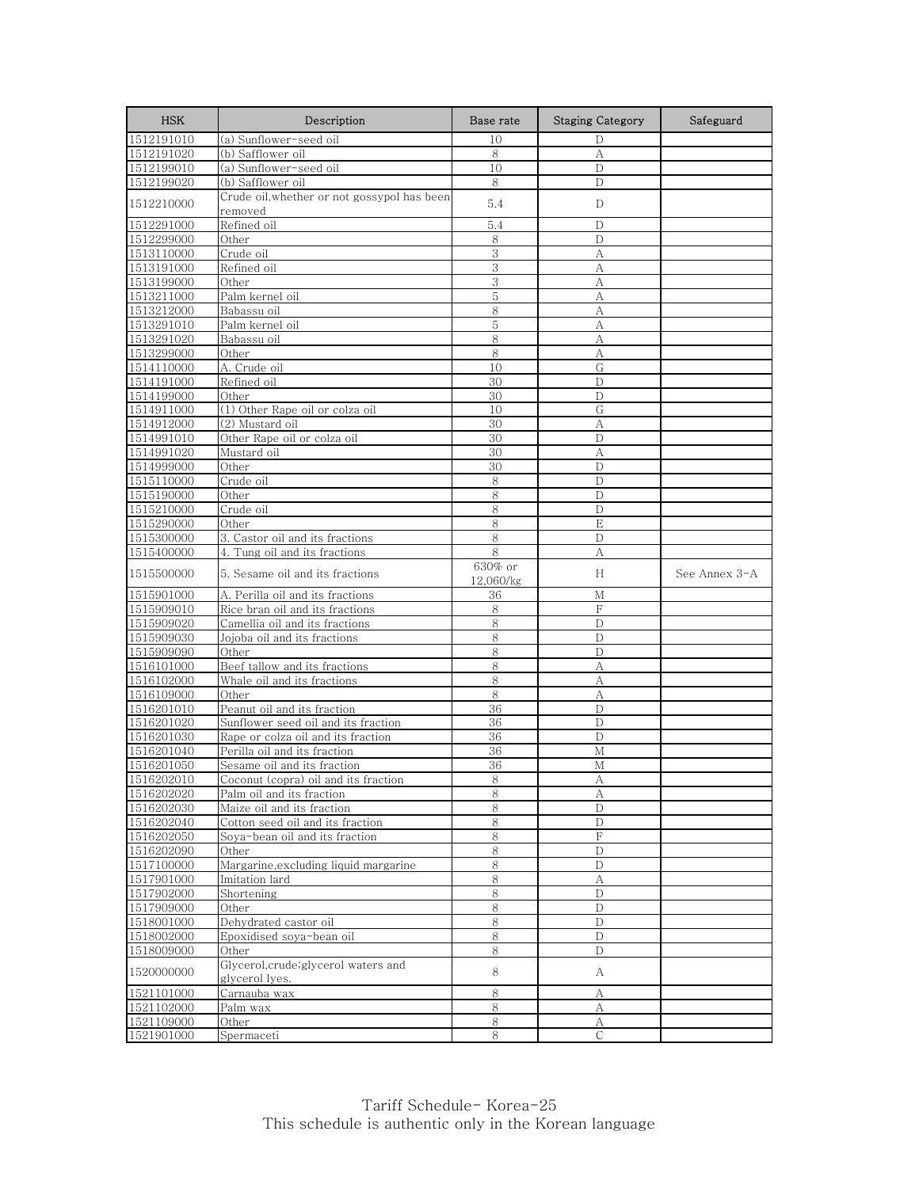| 1512191010<br>(a) Sunflower-seed oil<br>10<br>D<br>8<br>A<br>1512191020<br>(b) Safflower oil<br>1512199010<br>(a) Sunflower-seed oil<br>10<br>D<br>1512199020<br>(b) Safflower oil<br>8<br>D<br>Crude oil, whether or not gossypol has been<br>1512210000<br>5.4<br>D<br>removed<br>Refined oil<br>5.4<br>1512291000<br>D<br>1512299000<br>Other<br>8<br>D<br>3<br>1513110000<br>Crude oil<br>А<br>Refined oil<br>3<br>1513191000<br>А<br>3<br>A<br>1513199000<br>Other<br>Palm kernel oil<br>1513211000<br>5<br>А<br>8<br>1513212000<br>A<br>Babassu oil<br>5<br>A<br>1513291010<br>Palm kernel oil<br>8<br>1513291020<br>Babassu oil<br>А<br>1513299000<br>Other<br>8<br>А<br>A. Crude oil<br>G<br>1514110000<br>10<br>30<br>D<br>1514191000<br>Refined oil<br>30<br>1514199000<br>Other<br>D<br>(1) Other Rape oil or colza oil<br>10<br>G<br>1514911000<br>(2) Mustard oil<br>30<br>A<br>1514912000<br>1514991010<br>Other Rape oil or colza oil<br>30<br>D<br>1514991020<br>30<br>A<br>Mustard oil<br>1514999000<br>Other<br>30<br>D<br>Crude oil<br>8<br>D<br>1515110000<br>8<br>1515190000<br>Other<br>D<br>8<br>D<br>1515210000<br>Crude oil<br>8<br>E<br>1515290000<br>Other<br>3. Castor oil and its fractions<br>8<br>1515300000<br>D<br>8<br>1515400000<br>4. Tung oil and its fractions<br>А<br>630% or<br>1515500000<br>5. Sesame oil and its fractions<br>Н<br>See Annex 3-A<br>12,060/kg<br>1515901000<br>A. Perilla oil and its fractions<br>М<br>36<br>F<br>1515909010<br>Rice bran oil and its fractions<br>8<br>8<br>1515909020<br>Camellia oil and its fractions<br>D<br>1515909030<br>Jojoba oil and its fractions<br>8<br>D<br>8<br>$\mathbf D$<br>1515909090<br>Other<br>Beef tallow and its fractions<br>8<br>1516101000<br>А<br>8<br>A<br>Whale oil and its fractions<br>1516102000<br>8<br>1516109000<br>Other<br>А<br>Peanut oil and its fraction<br>1516201010<br>36<br>D<br>36<br>D<br>1516201020<br>Sunflower seed oil and its fraction<br>1516201030<br>Rape or colza oil and its fraction<br>36<br>D<br>1516201040<br>Perilla oil and its fraction<br>36<br>M<br>36<br>1516201050<br>Sesame oil and its fraction<br>М<br><u> Coconut (copra) oil and its fraction</u><br>୪<br>A<br>8<br>Palm oil and its fraction<br>А<br>1516202030<br>Maize oil and its fraction<br>8<br>D<br>8<br>D<br>1516202040<br>Cotton seed oil and its fraction<br>1516202050<br>Soya-bean oil and its fraction<br>$\,8\,$<br>$\rm F$<br>1516202090<br>8<br>D<br>Other<br>Margarine, excluding liquid margarine<br>8<br>1517100000<br>D<br>1517901000<br>Imitation lard<br>$8\,$<br>А<br>1517902000<br>Shortening<br>8<br>D<br>1517909000<br>Other<br>8<br>D<br>Dehydrated castor oil<br>8<br>1518001000<br>D<br>1518002000<br>Epoxidised soya-bean oil<br>8<br>D<br>8<br>1518009000<br>Other<br>D<br>Glycerol, crude; glycerol waters and<br>1520000000<br>8<br>A<br>glycerol lyes.<br>1521101000<br>Carnauba wax<br>8<br>А<br>1521102000<br>Palm wax<br>8<br>А<br>$\,8\,$<br>1521109000<br>A<br>Other<br>Spermaceti<br>C<br>1521901000<br>8 | <b>HSK</b> | Description | Base rate | <b>Staging Category</b> | Safeguard |
|---------------------------------------------------------------------------------------------------------------------------------------------------------------------------------------------------------------------------------------------------------------------------------------------------------------------------------------------------------------------------------------------------------------------------------------------------------------------------------------------------------------------------------------------------------------------------------------------------------------------------------------------------------------------------------------------------------------------------------------------------------------------------------------------------------------------------------------------------------------------------------------------------------------------------------------------------------------------------------------------------------------------------------------------------------------------------------------------------------------------------------------------------------------------------------------------------------------------------------------------------------------------------------------------------------------------------------------------------------------------------------------------------------------------------------------------------------------------------------------------------------------------------------------------------------------------------------------------------------------------------------------------------------------------------------------------------------------------------------------------------------------------------------------------------------------------------------------------------------------------------------------------------------------------------------------------------------------------------------------------------------------------------------------------------------------------------------------------------------------------------------------------------------------------------------------------------------------------------------------------------------------------------------------------------------------------------------------------------------------------------------------------------------------------------------------------------------------------------------------------------------------------------------------------------------------------------------------------------------------------------------------------------------------------------------------------------------------------------------------------------------------------------------------------------------------------------------------------------------------------------------------------------------------------------------------------------------------------------------------------------------------------------------------------------------|------------|-------------|-----------|-------------------------|-----------|
|                                                                                                                                                                                                                                                                                                                                                                                                                                                                                                                                                                                                                                                                                                                                                                                                                                                                                                                                                                                                                                                                                                                                                                                                                                                                                                                                                                                                                                                                                                                                                                                                                                                                                                                                                                                                                                                                                                                                                                                                                                                                                                                                                                                                                                                                                                                                                                                                                                                                                                                                                                                                                                                                                                                                                                                                                                                                                                                                                                                                                                                         |            |             |           |                         |           |
|                                                                                                                                                                                                                                                                                                                                                                                                                                                                                                                                                                                                                                                                                                                                                                                                                                                                                                                                                                                                                                                                                                                                                                                                                                                                                                                                                                                                                                                                                                                                                                                                                                                                                                                                                                                                                                                                                                                                                                                                                                                                                                                                                                                                                                                                                                                                                                                                                                                                                                                                                                                                                                                                                                                                                                                                                                                                                                                                                                                                                                                         |            |             |           |                         |           |
|                                                                                                                                                                                                                                                                                                                                                                                                                                                                                                                                                                                                                                                                                                                                                                                                                                                                                                                                                                                                                                                                                                                                                                                                                                                                                                                                                                                                                                                                                                                                                                                                                                                                                                                                                                                                                                                                                                                                                                                                                                                                                                                                                                                                                                                                                                                                                                                                                                                                                                                                                                                                                                                                                                                                                                                                                                                                                                                                                                                                                                                         |            |             |           |                         |           |
|                                                                                                                                                                                                                                                                                                                                                                                                                                                                                                                                                                                                                                                                                                                                                                                                                                                                                                                                                                                                                                                                                                                                                                                                                                                                                                                                                                                                                                                                                                                                                                                                                                                                                                                                                                                                                                                                                                                                                                                                                                                                                                                                                                                                                                                                                                                                                                                                                                                                                                                                                                                                                                                                                                                                                                                                                                                                                                                                                                                                                                                         |            |             |           |                         |           |
|                                                                                                                                                                                                                                                                                                                                                                                                                                                                                                                                                                                                                                                                                                                                                                                                                                                                                                                                                                                                                                                                                                                                                                                                                                                                                                                                                                                                                                                                                                                                                                                                                                                                                                                                                                                                                                                                                                                                                                                                                                                                                                                                                                                                                                                                                                                                                                                                                                                                                                                                                                                                                                                                                                                                                                                                                                                                                                                                                                                                                                                         |            |             |           |                         |           |
|                                                                                                                                                                                                                                                                                                                                                                                                                                                                                                                                                                                                                                                                                                                                                                                                                                                                                                                                                                                                                                                                                                                                                                                                                                                                                                                                                                                                                                                                                                                                                                                                                                                                                                                                                                                                                                                                                                                                                                                                                                                                                                                                                                                                                                                                                                                                                                                                                                                                                                                                                                                                                                                                                                                                                                                                                                                                                                                                                                                                                                                         |            |             |           |                         |           |
|                                                                                                                                                                                                                                                                                                                                                                                                                                                                                                                                                                                                                                                                                                                                                                                                                                                                                                                                                                                                                                                                                                                                                                                                                                                                                                                                                                                                                                                                                                                                                                                                                                                                                                                                                                                                                                                                                                                                                                                                                                                                                                                                                                                                                                                                                                                                                                                                                                                                                                                                                                                                                                                                                                                                                                                                                                                                                                                                                                                                                                                         |            |             |           |                         |           |
|                                                                                                                                                                                                                                                                                                                                                                                                                                                                                                                                                                                                                                                                                                                                                                                                                                                                                                                                                                                                                                                                                                                                                                                                                                                                                                                                                                                                                                                                                                                                                                                                                                                                                                                                                                                                                                                                                                                                                                                                                                                                                                                                                                                                                                                                                                                                                                                                                                                                                                                                                                                                                                                                                                                                                                                                                                                                                                                                                                                                                                                         |            |             |           |                         |           |
|                                                                                                                                                                                                                                                                                                                                                                                                                                                                                                                                                                                                                                                                                                                                                                                                                                                                                                                                                                                                                                                                                                                                                                                                                                                                                                                                                                                                                                                                                                                                                                                                                                                                                                                                                                                                                                                                                                                                                                                                                                                                                                                                                                                                                                                                                                                                                                                                                                                                                                                                                                                                                                                                                                                                                                                                                                                                                                                                                                                                                                                         |            |             |           |                         |           |
|                                                                                                                                                                                                                                                                                                                                                                                                                                                                                                                                                                                                                                                                                                                                                                                                                                                                                                                                                                                                                                                                                                                                                                                                                                                                                                                                                                                                                                                                                                                                                                                                                                                                                                                                                                                                                                                                                                                                                                                                                                                                                                                                                                                                                                                                                                                                                                                                                                                                                                                                                                                                                                                                                                                                                                                                                                                                                                                                                                                                                                                         |            |             |           |                         |           |
|                                                                                                                                                                                                                                                                                                                                                                                                                                                                                                                                                                                                                                                                                                                                                                                                                                                                                                                                                                                                                                                                                                                                                                                                                                                                                                                                                                                                                                                                                                                                                                                                                                                                                                                                                                                                                                                                                                                                                                                                                                                                                                                                                                                                                                                                                                                                                                                                                                                                                                                                                                                                                                                                                                                                                                                                                                                                                                                                                                                                                                                         |            |             |           |                         |           |
|                                                                                                                                                                                                                                                                                                                                                                                                                                                                                                                                                                                                                                                                                                                                                                                                                                                                                                                                                                                                                                                                                                                                                                                                                                                                                                                                                                                                                                                                                                                                                                                                                                                                                                                                                                                                                                                                                                                                                                                                                                                                                                                                                                                                                                                                                                                                                                                                                                                                                                                                                                                                                                                                                                                                                                                                                                                                                                                                                                                                                                                         |            |             |           |                         |           |
|                                                                                                                                                                                                                                                                                                                                                                                                                                                                                                                                                                                                                                                                                                                                                                                                                                                                                                                                                                                                                                                                                                                                                                                                                                                                                                                                                                                                                                                                                                                                                                                                                                                                                                                                                                                                                                                                                                                                                                                                                                                                                                                                                                                                                                                                                                                                                                                                                                                                                                                                                                                                                                                                                                                                                                                                                                                                                                                                                                                                                                                         |            |             |           |                         |           |
|                                                                                                                                                                                                                                                                                                                                                                                                                                                                                                                                                                                                                                                                                                                                                                                                                                                                                                                                                                                                                                                                                                                                                                                                                                                                                                                                                                                                                                                                                                                                                                                                                                                                                                                                                                                                                                                                                                                                                                                                                                                                                                                                                                                                                                                                                                                                                                                                                                                                                                                                                                                                                                                                                                                                                                                                                                                                                                                                                                                                                                                         |            |             |           |                         |           |
|                                                                                                                                                                                                                                                                                                                                                                                                                                                                                                                                                                                                                                                                                                                                                                                                                                                                                                                                                                                                                                                                                                                                                                                                                                                                                                                                                                                                                                                                                                                                                                                                                                                                                                                                                                                                                                                                                                                                                                                                                                                                                                                                                                                                                                                                                                                                                                                                                                                                                                                                                                                                                                                                                                                                                                                                                                                                                                                                                                                                                                                         |            |             |           |                         |           |
|                                                                                                                                                                                                                                                                                                                                                                                                                                                                                                                                                                                                                                                                                                                                                                                                                                                                                                                                                                                                                                                                                                                                                                                                                                                                                                                                                                                                                                                                                                                                                                                                                                                                                                                                                                                                                                                                                                                                                                                                                                                                                                                                                                                                                                                                                                                                                                                                                                                                                                                                                                                                                                                                                                                                                                                                                                                                                                                                                                                                                                                         |            |             |           |                         |           |
|                                                                                                                                                                                                                                                                                                                                                                                                                                                                                                                                                                                                                                                                                                                                                                                                                                                                                                                                                                                                                                                                                                                                                                                                                                                                                                                                                                                                                                                                                                                                                                                                                                                                                                                                                                                                                                                                                                                                                                                                                                                                                                                                                                                                                                                                                                                                                                                                                                                                                                                                                                                                                                                                                                                                                                                                                                                                                                                                                                                                                                                         |            |             |           |                         |           |
|                                                                                                                                                                                                                                                                                                                                                                                                                                                                                                                                                                                                                                                                                                                                                                                                                                                                                                                                                                                                                                                                                                                                                                                                                                                                                                                                                                                                                                                                                                                                                                                                                                                                                                                                                                                                                                                                                                                                                                                                                                                                                                                                                                                                                                                                                                                                                                                                                                                                                                                                                                                                                                                                                                                                                                                                                                                                                                                                                                                                                                                         |            |             |           |                         |           |
|                                                                                                                                                                                                                                                                                                                                                                                                                                                                                                                                                                                                                                                                                                                                                                                                                                                                                                                                                                                                                                                                                                                                                                                                                                                                                                                                                                                                                                                                                                                                                                                                                                                                                                                                                                                                                                                                                                                                                                                                                                                                                                                                                                                                                                                                                                                                                                                                                                                                                                                                                                                                                                                                                                                                                                                                                                                                                                                                                                                                                                                         |            |             |           |                         |           |
|                                                                                                                                                                                                                                                                                                                                                                                                                                                                                                                                                                                                                                                                                                                                                                                                                                                                                                                                                                                                                                                                                                                                                                                                                                                                                                                                                                                                                                                                                                                                                                                                                                                                                                                                                                                                                                                                                                                                                                                                                                                                                                                                                                                                                                                                                                                                                                                                                                                                                                                                                                                                                                                                                                                                                                                                                                                                                                                                                                                                                                                         |            |             |           |                         |           |
|                                                                                                                                                                                                                                                                                                                                                                                                                                                                                                                                                                                                                                                                                                                                                                                                                                                                                                                                                                                                                                                                                                                                                                                                                                                                                                                                                                                                                                                                                                                                                                                                                                                                                                                                                                                                                                                                                                                                                                                                                                                                                                                                                                                                                                                                                                                                                                                                                                                                                                                                                                                                                                                                                                                                                                                                                                                                                                                                                                                                                                                         |            |             |           |                         |           |
|                                                                                                                                                                                                                                                                                                                                                                                                                                                                                                                                                                                                                                                                                                                                                                                                                                                                                                                                                                                                                                                                                                                                                                                                                                                                                                                                                                                                                                                                                                                                                                                                                                                                                                                                                                                                                                                                                                                                                                                                                                                                                                                                                                                                                                                                                                                                                                                                                                                                                                                                                                                                                                                                                                                                                                                                                                                                                                                                                                                                                                                         |            |             |           |                         |           |
|                                                                                                                                                                                                                                                                                                                                                                                                                                                                                                                                                                                                                                                                                                                                                                                                                                                                                                                                                                                                                                                                                                                                                                                                                                                                                                                                                                                                                                                                                                                                                                                                                                                                                                                                                                                                                                                                                                                                                                                                                                                                                                                                                                                                                                                                                                                                                                                                                                                                                                                                                                                                                                                                                                                                                                                                                                                                                                                                                                                                                                                         |            |             |           |                         |           |
|                                                                                                                                                                                                                                                                                                                                                                                                                                                                                                                                                                                                                                                                                                                                                                                                                                                                                                                                                                                                                                                                                                                                                                                                                                                                                                                                                                                                                                                                                                                                                                                                                                                                                                                                                                                                                                                                                                                                                                                                                                                                                                                                                                                                                                                                                                                                                                                                                                                                                                                                                                                                                                                                                                                                                                                                                                                                                                                                                                                                                                                         |            |             |           |                         |           |
|                                                                                                                                                                                                                                                                                                                                                                                                                                                                                                                                                                                                                                                                                                                                                                                                                                                                                                                                                                                                                                                                                                                                                                                                                                                                                                                                                                                                                                                                                                                                                                                                                                                                                                                                                                                                                                                                                                                                                                                                                                                                                                                                                                                                                                                                                                                                                                                                                                                                                                                                                                                                                                                                                                                                                                                                                                                                                                                                                                                                                                                         |            |             |           |                         |           |
|                                                                                                                                                                                                                                                                                                                                                                                                                                                                                                                                                                                                                                                                                                                                                                                                                                                                                                                                                                                                                                                                                                                                                                                                                                                                                                                                                                                                                                                                                                                                                                                                                                                                                                                                                                                                                                                                                                                                                                                                                                                                                                                                                                                                                                                                                                                                                                                                                                                                                                                                                                                                                                                                                                                                                                                                                                                                                                                                                                                                                                                         |            |             |           |                         |           |
|                                                                                                                                                                                                                                                                                                                                                                                                                                                                                                                                                                                                                                                                                                                                                                                                                                                                                                                                                                                                                                                                                                                                                                                                                                                                                                                                                                                                                                                                                                                                                                                                                                                                                                                                                                                                                                                                                                                                                                                                                                                                                                                                                                                                                                                                                                                                                                                                                                                                                                                                                                                                                                                                                                                                                                                                                                                                                                                                                                                                                                                         |            |             |           |                         |           |
|                                                                                                                                                                                                                                                                                                                                                                                                                                                                                                                                                                                                                                                                                                                                                                                                                                                                                                                                                                                                                                                                                                                                                                                                                                                                                                                                                                                                                                                                                                                                                                                                                                                                                                                                                                                                                                                                                                                                                                                                                                                                                                                                                                                                                                                                                                                                                                                                                                                                                                                                                                                                                                                                                                                                                                                                                                                                                                                                                                                                                                                         |            |             |           |                         |           |
|                                                                                                                                                                                                                                                                                                                                                                                                                                                                                                                                                                                                                                                                                                                                                                                                                                                                                                                                                                                                                                                                                                                                                                                                                                                                                                                                                                                                                                                                                                                                                                                                                                                                                                                                                                                                                                                                                                                                                                                                                                                                                                                                                                                                                                                                                                                                                                                                                                                                                                                                                                                                                                                                                                                                                                                                                                                                                                                                                                                                                                                         |            |             |           |                         |           |
|                                                                                                                                                                                                                                                                                                                                                                                                                                                                                                                                                                                                                                                                                                                                                                                                                                                                                                                                                                                                                                                                                                                                                                                                                                                                                                                                                                                                                                                                                                                                                                                                                                                                                                                                                                                                                                                                                                                                                                                                                                                                                                                                                                                                                                                                                                                                                                                                                                                                                                                                                                                                                                                                                                                                                                                                                                                                                                                                                                                                                                                         |            |             |           |                         |           |
|                                                                                                                                                                                                                                                                                                                                                                                                                                                                                                                                                                                                                                                                                                                                                                                                                                                                                                                                                                                                                                                                                                                                                                                                                                                                                                                                                                                                                                                                                                                                                                                                                                                                                                                                                                                                                                                                                                                                                                                                                                                                                                                                                                                                                                                                                                                                                                                                                                                                                                                                                                                                                                                                                                                                                                                                                                                                                                                                                                                                                                                         |            |             |           |                         |           |
|                                                                                                                                                                                                                                                                                                                                                                                                                                                                                                                                                                                                                                                                                                                                                                                                                                                                                                                                                                                                                                                                                                                                                                                                                                                                                                                                                                                                                                                                                                                                                                                                                                                                                                                                                                                                                                                                                                                                                                                                                                                                                                                                                                                                                                                                                                                                                                                                                                                                                                                                                                                                                                                                                                                                                                                                                                                                                                                                                                                                                                                         |            |             |           |                         |           |
|                                                                                                                                                                                                                                                                                                                                                                                                                                                                                                                                                                                                                                                                                                                                                                                                                                                                                                                                                                                                                                                                                                                                                                                                                                                                                                                                                                                                                                                                                                                                                                                                                                                                                                                                                                                                                                                                                                                                                                                                                                                                                                                                                                                                                                                                                                                                                                                                                                                                                                                                                                                                                                                                                                                                                                                                                                                                                                                                                                                                                                                         |            |             |           |                         |           |
|                                                                                                                                                                                                                                                                                                                                                                                                                                                                                                                                                                                                                                                                                                                                                                                                                                                                                                                                                                                                                                                                                                                                                                                                                                                                                                                                                                                                                                                                                                                                                                                                                                                                                                                                                                                                                                                                                                                                                                                                                                                                                                                                                                                                                                                                                                                                                                                                                                                                                                                                                                                                                                                                                                                                                                                                                                                                                                                                                                                                                                                         |            |             |           |                         |           |
|                                                                                                                                                                                                                                                                                                                                                                                                                                                                                                                                                                                                                                                                                                                                                                                                                                                                                                                                                                                                                                                                                                                                                                                                                                                                                                                                                                                                                                                                                                                                                                                                                                                                                                                                                                                                                                                                                                                                                                                                                                                                                                                                                                                                                                                                                                                                                                                                                                                                                                                                                                                                                                                                                                                                                                                                                                                                                                                                                                                                                                                         |            |             |           |                         |           |
|                                                                                                                                                                                                                                                                                                                                                                                                                                                                                                                                                                                                                                                                                                                                                                                                                                                                                                                                                                                                                                                                                                                                                                                                                                                                                                                                                                                                                                                                                                                                                                                                                                                                                                                                                                                                                                                                                                                                                                                                                                                                                                                                                                                                                                                                                                                                                                                                                                                                                                                                                                                                                                                                                                                                                                                                                                                                                                                                                                                                                                                         |            |             |           |                         |           |
|                                                                                                                                                                                                                                                                                                                                                                                                                                                                                                                                                                                                                                                                                                                                                                                                                                                                                                                                                                                                                                                                                                                                                                                                                                                                                                                                                                                                                                                                                                                                                                                                                                                                                                                                                                                                                                                                                                                                                                                                                                                                                                                                                                                                                                                                                                                                                                                                                                                                                                                                                                                                                                                                                                                                                                                                                                                                                                                                                                                                                                                         |            |             |           |                         |           |
|                                                                                                                                                                                                                                                                                                                                                                                                                                                                                                                                                                                                                                                                                                                                                                                                                                                                                                                                                                                                                                                                                                                                                                                                                                                                                                                                                                                                                                                                                                                                                                                                                                                                                                                                                                                                                                                                                                                                                                                                                                                                                                                                                                                                                                                                                                                                                                                                                                                                                                                                                                                                                                                                                                                                                                                                                                                                                                                                                                                                                                                         |            |             |           |                         |           |
|                                                                                                                                                                                                                                                                                                                                                                                                                                                                                                                                                                                                                                                                                                                                                                                                                                                                                                                                                                                                                                                                                                                                                                                                                                                                                                                                                                                                                                                                                                                                                                                                                                                                                                                                                                                                                                                                                                                                                                                                                                                                                                                                                                                                                                                                                                                                                                                                                                                                                                                                                                                                                                                                                                                                                                                                                                                                                                                                                                                                                                                         |            |             |           |                         |           |
|                                                                                                                                                                                                                                                                                                                                                                                                                                                                                                                                                                                                                                                                                                                                                                                                                                                                                                                                                                                                                                                                                                                                                                                                                                                                                                                                                                                                                                                                                                                                                                                                                                                                                                                                                                                                                                                                                                                                                                                                                                                                                                                                                                                                                                                                                                                                                                                                                                                                                                                                                                                                                                                                                                                                                                                                                                                                                                                                                                                                                                                         |            |             |           |                         |           |
|                                                                                                                                                                                                                                                                                                                                                                                                                                                                                                                                                                                                                                                                                                                                                                                                                                                                                                                                                                                                                                                                                                                                                                                                                                                                                                                                                                                                                                                                                                                                                                                                                                                                                                                                                                                                                                                                                                                                                                                                                                                                                                                                                                                                                                                                                                                                                                                                                                                                                                                                                                                                                                                                                                                                                                                                                                                                                                                                                                                                                                                         |            |             |           |                         |           |
|                                                                                                                                                                                                                                                                                                                                                                                                                                                                                                                                                                                                                                                                                                                                                                                                                                                                                                                                                                                                                                                                                                                                                                                                                                                                                                                                                                                                                                                                                                                                                                                                                                                                                                                                                                                                                                                                                                                                                                                                                                                                                                                                                                                                                                                                                                                                                                                                                                                                                                                                                                                                                                                                                                                                                                                                                                                                                                                                                                                                                                                         | 1516202010 |             |           |                         |           |
|                                                                                                                                                                                                                                                                                                                                                                                                                                                                                                                                                                                                                                                                                                                                                                                                                                                                                                                                                                                                                                                                                                                                                                                                                                                                                                                                                                                                                                                                                                                                                                                                                                                                                                                                                                                                                                                                                                                                                                                                                                                                                                                                                                                                                                                                                                                                                                                                                                                                                                                                                                                                                                                                                                                                                                                                                                                                                                                                                                                                                                                         | 1516202020 |             |           |                         |           |
|                                                                                                                                                                                                                                                                                                                                                                                                                                                                                                                                                                                                                                                                                                                                                                                                                                                                                                                                                                                                                                                                                                                                                                                                                                                                                                                                                                                                                                                                                                                                                                                                                                                                                                                                                                                                                                                                                                                                                                                                                                                                                                                                                                                                                                                                                                                                                                                                                                                                                                                                                                                                                                                                                                                                                                                                                                                                                                                                                                                                                                                         |            |             |           |                         |           |
|                                                                                                                                                                                                                                                                                                                                                                                                                                                                                                                                                                                                                                                                                                                                                                                                                                                                                                                                                                                                                                                                                                                                                                                                                                                                                                                                                                                                                                                                                                                                                                                                                                                                                                                                                                                                                                                                                                                                                                                                                                                                                                                                                                                                                                                                                                                                                                                                                                                                                                                                                                                                                                                                                                                                                                                                                                                                                                                                                                                                                                                         |            |             |           |                         |           |
|                                                                                                                                                                                                                                                                                                                                                                                                                                                                                                                                                                                                                                                                                                                                                                                                                                                                                                                                                                                                                                                                                                                                                                                                                                                                                                                                                                                                                                                                                                                                                                                                                                                                                                                                                                                                                                                                                                                                                                                                                                                                                                                                                                                                                                                                                                                                                                                                                                                                                                                                                                                                                                                                                                                                                                                                                                                                                                                                                                                                                                                         |            |             |           |                         |           |
|                                                                                                                                                                                                                                                                                                                                                                                                                                                                                                                                                                                                                                                                                                                                                                                                                                                                                                                                                                                                                                                                                                                                                                                                                                                                                                                                                                                                                                                                                                                                                                                                                                                                                                                                                                                                                                                                                                                                                                                                                                                                                                                                                                                                                                                                                                                                                                                                                                                                                                                                                                                                                                                                                                                                                                                                                                                                                                                                                                                                                                                         |            |             |           |                         |           |
|                                                                                                                                                                                                                                                                                                                                                                                                                                                                                                                                                                                                                                                                                                                                                                                                                                                                                                                                                                                                                                                                                                                                                                                                                                                                                                                                                                                                                                                                                                                                                                                                                                                                                                                                                                                                                                                                                                                                                                                                                                                                                                                                                                                                                                                                                                                                                                                                                                                                                                                                                                                                                                                                                                                                                                                                                                                                                                                                                                                                                                                         |            |             |           |                         |           |
|                                                                                                                                                                                                                                                                                                                                                                                                                                                                                                                                                                                                                                                                                                                                                                                                                                                                                                                                                                                                                                                                                                                                                                                                                                                                                                                                                                                                                                                                                                                                                                                                                                                                                                                                                                                                                                                                                                                                                                                                                                                                                                                                                                                                                                                                                                                                                                                                                                                                                                                                                                                                                                                                                                                                                                                                                                                                                                                                                                                                                                                         |            |             |           |                         |           |
|                                                                                                                                                                                                                                                                                                                                                                                                                                                                                                                                                                                                                                                                                                                                                                                                                                                                                                                                                                                                                                                                                                                                                                                                                                                                                                                                                                                                                                                                                                                                                                                                                                                                                                                                                                                                                                                                                                                                                                                                                                                                                                                                                                                                                                                                                                                                                                                                                                                                                                                                                                                                                                                                                                                                                                                                                                                                                                                                                                                                                                                         |            |             |           |                         |           |
|                                                                                                                                                                                                                                                                                                                                                                                                                                                                                                                                                                                                                                                                                                                                                                                                                                                                                                                                                                                                                                                                                                                                                                                                                                                                                                                                                                                                                                                                                                                                                                                                                                                                                                                                                                                                                                                                                                                                                                                                                                                                                                                                                                                                                                                                                                                                                                                                                                                                                                                                                                                                                                                                                                                                                                                                                                                                                                                                                                                                                                                         |            |             |           |                         |           |
|                                                                                                                                                                                                                                                                                                                                                                                                                                                                                                                                                                                                                                                                                                                                                                                                                                                                                                                                                                                                                                                                                                                                                                                                                                                                                                                                                                                                                                                                                                                                                                                                                                                                                                                                                                                                                                                                                                                                                                                                                                                                                                                                                                                                                                                                                                                                                                                                                                                                                                                                                                                                                                                                                                                                                                                                                                                                                                                                                                                                                                                         |            |             |           |                         |           |
|                                                                                                                                                                                                                                                                                                                                                                                                                                                                                                                                                                                                                                                                                                                                                                                                                                                                                                                                                                                                                                                                                                                                                                                                                                                                                                                                                                                                                                                                                                                                                                                                                                                                                                                                                                                                                                                                                                                                                                                                                                                                                                                                                                                                                                                                                                                                                                                                                                                                                                                                                                                                                                                                                                                                                                                                                                                                                                                                                                                                                                                         |            |             |           |                         |           |
|                                                                                                                                                                                                                                                                                                                                                                                                                                                                                                                                                                                                                                                                                                                                                                                                                                                                                                                                                                                                                                                                                                                                                                                                                                                                                                                                                                                                                                                                                                                                                                                                                                                                                                                                                                                                                                                                                                                                                                                                                                                                                                                                                                                                                                                                                                                                                                                                                                                                                                                                                                                                                                                                                                                                                                                                                                                                                                                                                                                                                                                         |            |             |           |                         |           |
|                                                                                                                                                                                                                                                                                                                                                                                                                                                                                                                                                                                                                                                                                                                                                                                                                                                                                                                                                                                                                                                                                                                                                                                                                                                                                                                                                                                                                                                                                                                                                                                                                                                                                                                                                                                                                                                                                                                                                                                                                                                                                                                                                                                                                                                                                                                                                                                                                                                                                                                                                                                                                                                                                                                                                                                                                                                                                                                                                                                                                                                         |            |             |           |                         |           |
|                                                                                                                                                                                                                                                                                                                                                                                                                                                                                                                                                                                                                                                                                                                                                                                                                                                                                                                                                                                                                                                                                                                                                                                                                                                                                                                                                                                                                                                                                                                                                                                                                                                                                                                                                                                                                                                                                                                                                                                                                                                                                                                                                                                                                                                                                                                                                                                                                                                                                                                                                                                                                                                                                                                                                                                                                                                                                                                                                                                                                                                         |            |             |           |                         |           |
|                                                                                                                                                                                                                                                                                                                                                                                                                                                                                                                                                                                                                                                                                                                                                                                                                                                                                                                                                                                                                                                                                                                                                                                                                                                                                                                                                                                                                                                                                                                                                                                                                                                                                                                                                                                                                                                                                                                                                                                                                                                                                                                                                                                                                                                                                                                                                                                                                                                                                                                                                                                                                                                                                                                                                                                                                                                                                                                                                                                                                                                         |            |             |           |                         |           |
|                                                                                                                                                                                                                                                                                                                                                                                                                                                                                                                                                                                                                                                                                                                                                                                                                                                                                                                                                                                                                                                                                                                                                                                                                                                                                                                                                                                                                                                                                                                                                                                                                                                                                                                                                                                                                                                                                                                                                                                                                                                                                                                                                                                                                                                                                                                                                                                                                                                                                                                                                                                                                                                                                                                                                                                                                                                                                                                                                                                                                                                         |            |             |           |                         |           |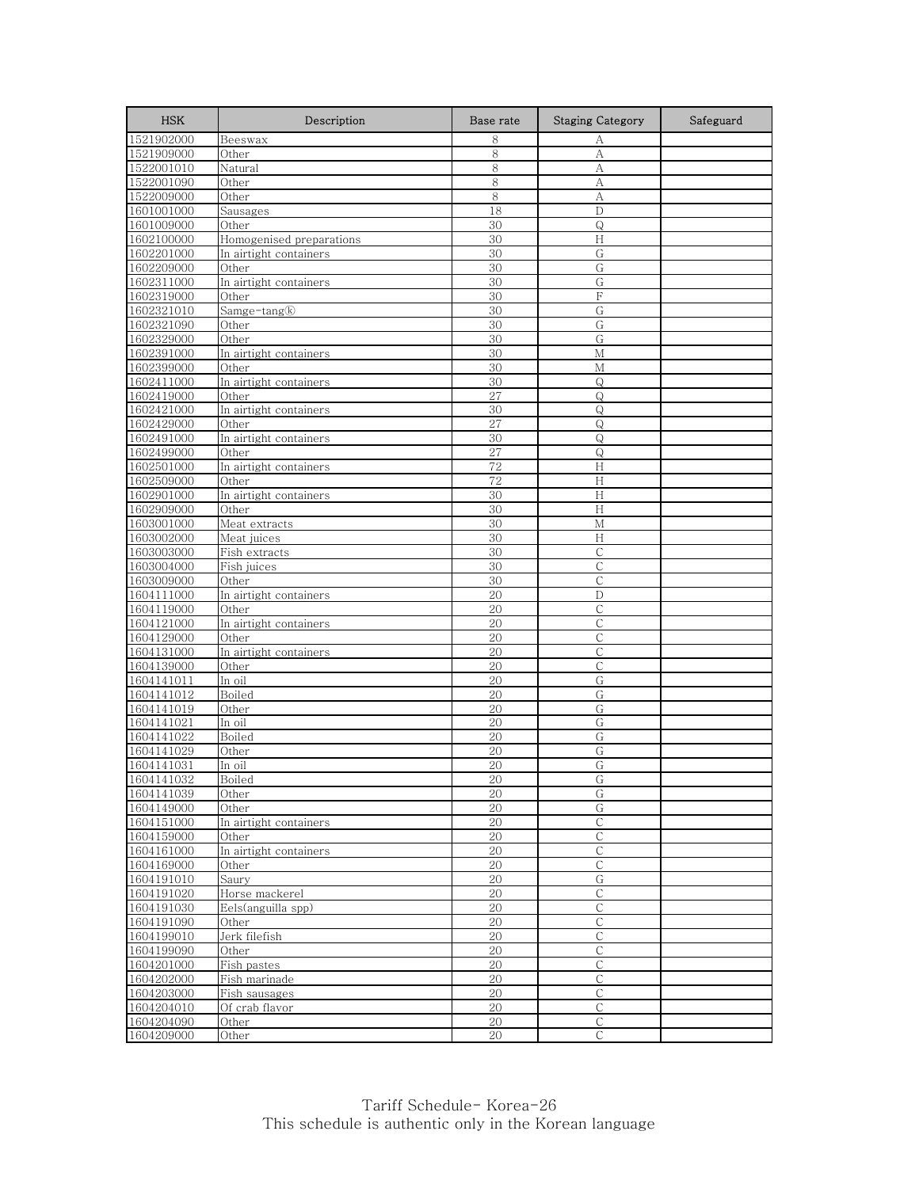| <b>HSK</b>               | Description                        | Base rate | <b>Staging Category</b>     | Safeguard |
|--------------------------|------------------------------------|-----------|-----------------------------|-----------|
| 1521902000               | Beeswax                            | 8         | А                           |           |
| 1521909000               | Other                              | 8         | А                           |           |
| 1522001010               | Natural                            | 8         | А                           |           |
| 1522001090               | Other                              | 8         | А                           |           |
| 1522009000               | Other                              | 8         | А                           |           |
| 1601001000               | Sausages                           | 18        | D                           |           |
| 1601009000               | Other                              | 30        | Q                           |           |
| 1602100000               | Homogenised preparations           | 30        | H                           |           |
| 1602201000               | In airtight containers             | 30        | G                           |           |
| 1602209000               | Other                              | 30        | G                           |           |
| 1602311000               | In airtight containers             | 30        | G                           |           |
| 1602319000               | Other                              | 30        | F                           |           |
| 1602321010               | $\text{Sample-tang}(\overline{k})$ | 30        | G                           |           |
| 1602321090               | Other                              | 30        | G                           |           |
| 1602329000               | Other                              | 30        | G                           |           |
| 1602391000               | In airtight containers             | 30        | М                           |           |
| 1602399000               | Other                              | 30        | М                           |           |
| 1602411000               | In airtight containers             | 30        | $\mathsf Q$                 |           |
| 1602419000               | Other<br>In airtight containers    | 27<br>30  | Q<br>Q                      |           |
| 1602421000<br>1602429000 |                                    | 27        |                             |           |
| 1602491000               | Other<br>In airtight containers    | 30        | Q<br>Q                      |           |
| 1602499000               | Other                              | 27        | $\mathsf{Q}$                |           |
| 1602501000               | In airtight containers             | 72        | H                           |           |
| 1602509000               | Other                              | 72        | H                           |           |
| 1602901000               | In airtight containers             | 30        | H                           |           |
| 1602909000               | Other                              | 30        | H                           |           |
| 1603001000               | Meat extracts                      | 30        | M                           |           |
| 1603002000               | Meat juices                        | 30        | H                           |           |
| 1603003000               | Fish extracts                      | 30        | $\mathsf{C}$                |           |
| 1603004000               | Fish juices                        | 30        | С                           |           |
| 1603009000               | Other                              | 30        | $\mathsf{C}$                |           |
| 1604111000               | In airtight containers             | 20        | D                           |           |
| 1604119000               | Other                              | 20        | C                           |           |
| 1604121000               | In airtight containers             | 20        | $\mathsf C$                 |           |
| 1604129000               | Other                              | 20        | С                           |           |
| 1604131000               | In airtight containers             | 20        | C                           |           |
| 1604139000               | Other                              | 20        | С                           |           |
| 1604141011               | In oil                             | 20        | G                           |           |
| 1604141012               | Boiled                             | 20        | G                           |           |
| 1604141019               | Other                              | 20        | G                           |           |
| 1604141021               | In oil                             | 20        | G                           |           |
| 1604141022               | Boiled                             | 20        | G                           |           |
| 1604141029               | Other                              | 20        | G                           |           |
| 1604141031               | In oil                             | 20        | G                           |           |
| 1604141032               | Boiled                             | 20        | G                           |           |
| 1604141039               | Other                              | 20        | G                           |           |
| 1604149000               | Other                              | 20        | G                           |           |
| 1604151000               | In airtight containers             | 20        | $\overline{C}$              |           |
| 1604159000               | Other                              | 20        | $\mathsf C$                 |           |
| 1604161000               | In airtight containers             | $20\,$    | $\mathsf C$                 |           |
| 1604169000               | Other                              | 20        | $\mathsf{C}$                |           |
| 1604191010               | Saury                              | 20        | G                           |           |
| 1604191020               | Horse mackerel                     | 20        | $\mathsf C$                 |           |
| 1604191030<br>1604191090 | Eels(anguilla spp)<br>Other        | 20<br>20  | $\mathsf{C}$<br>$\mathsf C$ |           |
| 1604199010               | Jerk filefish                      | 20        | $\mathsf C$                 |           |
| 1604199090               | Other                              | 20        | $\mathsf C$                 |           |
| 1604201000               | Fish pastes                        | 20        | $\mathsf C$                 |           |
| 1604202000               | Fish marinade                      | 20        | $\mathsf{C}$                |           |
| 1604203000               | Fish sausages                      | 20        | $\mathsf{C}$                |           |
| 1604204010               | Of crab flavor                     | 20        | С                           |           |
| 1604204090               | Other                              | 20        | $\mathsf{C}$                |           |
| 1604209000               | Other                              | 20        | $\mathsf{C}$                |           |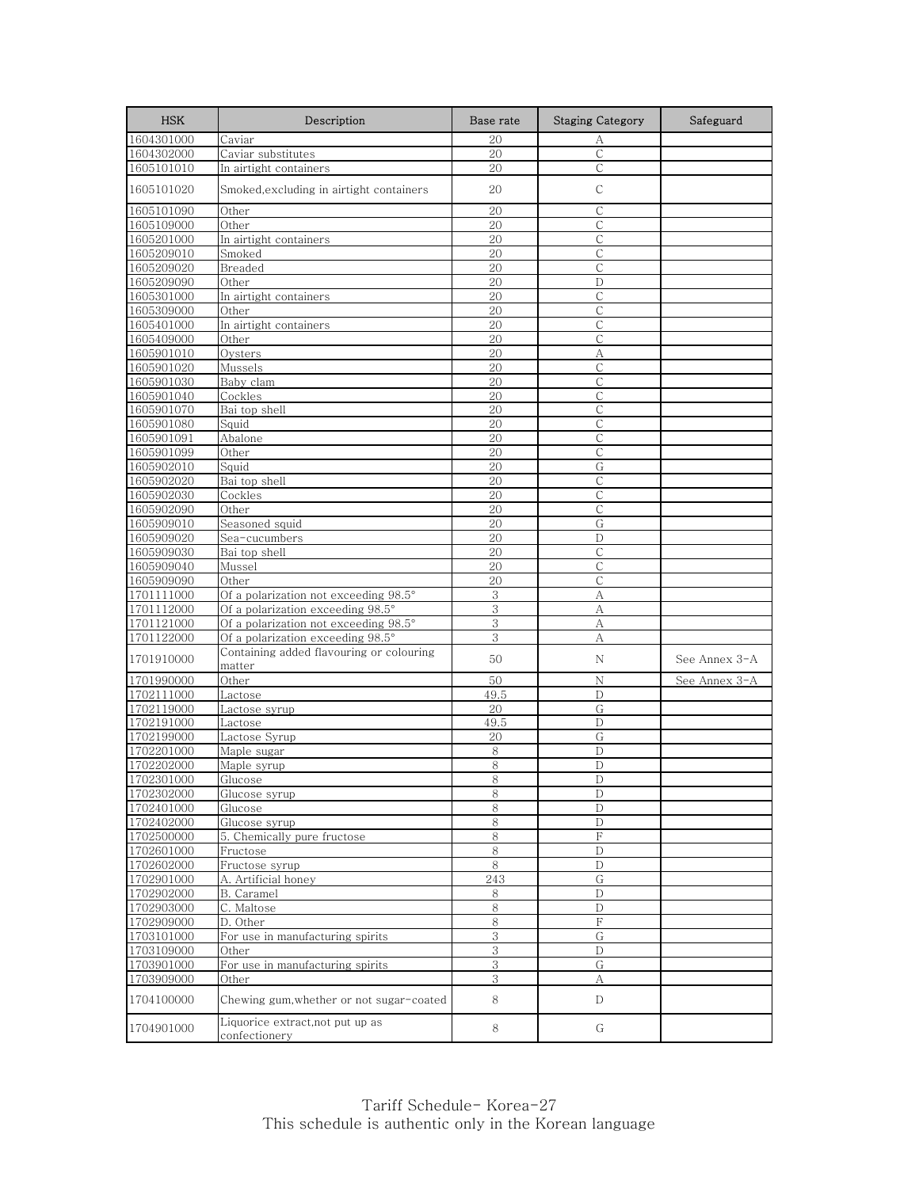| <b>HSK</b>               | Description                                        | Base rate    | <b>Staging Category</b> | Safeguard     |
|--------------------------|----------------------------------------------------|--------------|-------------------------|---------------|
| 1604301000               | Caviar                                             | 20           | А                       |               |
| 1604302000               | Caviar substitutes                                 | 20           | С                       |               |
| 1605101010               | In airtight containers                             | 20           | С                       |               |
| 1605101020               | Smoked,excluding in airtight containers            | 20           | С                       |               |
| 1605101090               | Other                                              | 20           | C                       |               |
| 1605109000               | Other                                              | 20           | С                       |               |
| 1605201000               | In airtight containers                             | 20           | С                       |               |
| 1605209010               | Smoked                                             | 20           | $\mathsf{C}$            |               |
| 1605209020               | Breaded                                            | 20           | С                       |               |
| 1605209090               | Other                                              | 20           | D                       |               |
| 1605301000               | In airtight containers                             | 20           | С                       |               |
| 1605309000               | Other                                              | 20           | C                       |               |
| 1605401000               | In airtight containers                             | 20           | $\mathsf{C}$            |               |
| 1605409000               | Other                                              | 20<br>20     | С                       |               |
| 1605901010<br>1605901020 | Oysters<br>Mussels                                 | 20           | А<br>С                  |               |
| 1605901030               | Baby clam                                          | 20           | $\overline{C}$          |               |
| 1605901040               | Cockles                                            | 20           | С                       |               |
| 1605901070               | Bai top shell                                      | 20           | $\mathsf{C}$            |               |
| 1605901080               | Squid                                              | 20           | C                       |               |
| 1605901091               | Abalone                                            | 20           | С                       |               |
| 1605901099               | Other                                              | 20           | $\mathsf{C}$            |               |
| 1605902010               | Squid                                              | 20           | G                       |               |
| 1605902020               | Bai top shell                                      | 20           | С                       |               |
| 1605902030               | Cockles                                            | 20           | С                       |               |
| 1605902090               | Other                                              | 20           | $\mathsf{C}$            |               |
| 1605909010               | Seasoned squid                                     | 20           | G                       |               |
| 1605909020               | Sea-cucumbers                                      | 20           | D                       |               |
| 1605909030               | Bai top shell                                      | 20           | $\mathsf{C}$            |               |
| 1605909040               | Mussel                                             | 20           | С                       |               |
| 1605909090               | Other                                              | 20           | $\mathsf{C}$            |               |
| 1701111000               | Of a polarization not exceeding 98.5°              | $\,3$        | А                       |               |
| 1701112000               | Of a polarization exceeding 98.5°                  | 3            | А                       |               |
| 1701121000               | Of a polarization not exceeding 98.5°              | 3            | A                       |               |
| 1701122000               | Of a polarization exceeding 98.5°                  | 3            | А                       |               |
| 1701910000               | Containing added flavouring or colouring<br>matter | 50           | Ν                       | See Annex 3-A |
| 1701990000               | Other                                              | 50           | $\rm N$                 | See Annex 3-A |
| 1702111000               | Lactose                                            | 49.5         | D                       |               |
| 1702119000               | Lactose syrup                                      | 20           | G                       |               |
| 1702191000               | Lactose                                            | 49.5         | D                       |               |
| 1702199000               | Lactose Syrup                                      | 20           | G                       |               |
| 1702201000               | Maple sugar                                        | 8            | D                       |               |
| 1702202000               | Maple syrup                                        | 8            | D                       |               |
| 1702301000               | Glucose                                            | 8            | D                       |               |
| 1702302000               | Glucose syrup                                      | 8            | D                       |               |
| 1702401000               | Glucose                                            | 8            | D                       |               |
| 1702402000               | Glucose syrup                                      | 8            | D                       |               |
| 1702500000               | 5. Chemically pure fructose                        | 8            | F                       |               |
| 1702601000               | Fructose                                           | $\,8\,$      | $\mathbf D$             |               |
| 1702602000               | Fructose syrup                                     | 8            | D                       |               |
| 1702901000               | A. Artificial honey                                | 243          | G                       |               |
| 1702902000               | B. Caramel                                         | 8            | D                       |               |
| 1702903000               | C. Maltose<br>D. Other                             | $\,8\,$<br>8 | D<br>F                  |               |
| 1702909000<br>1703101000 | For use in manufacturing spirits                   | 3            | G                       |               |
| 1703109000               | Other                                              | 3            | $\mathbf D$             |               |
| 1703901000               | For use in manufacturing spirits                   | 3            | G                       |               |
| 1703909000               | Other                                              | 3            | А                       |               |
| 1704100000               | Chewing gum, whether or not sugar-coated           | 8            | D                       |               |
| 1704901000               | Liquorice extract, not put up as<br>confectionery  | 8            | G                       |               |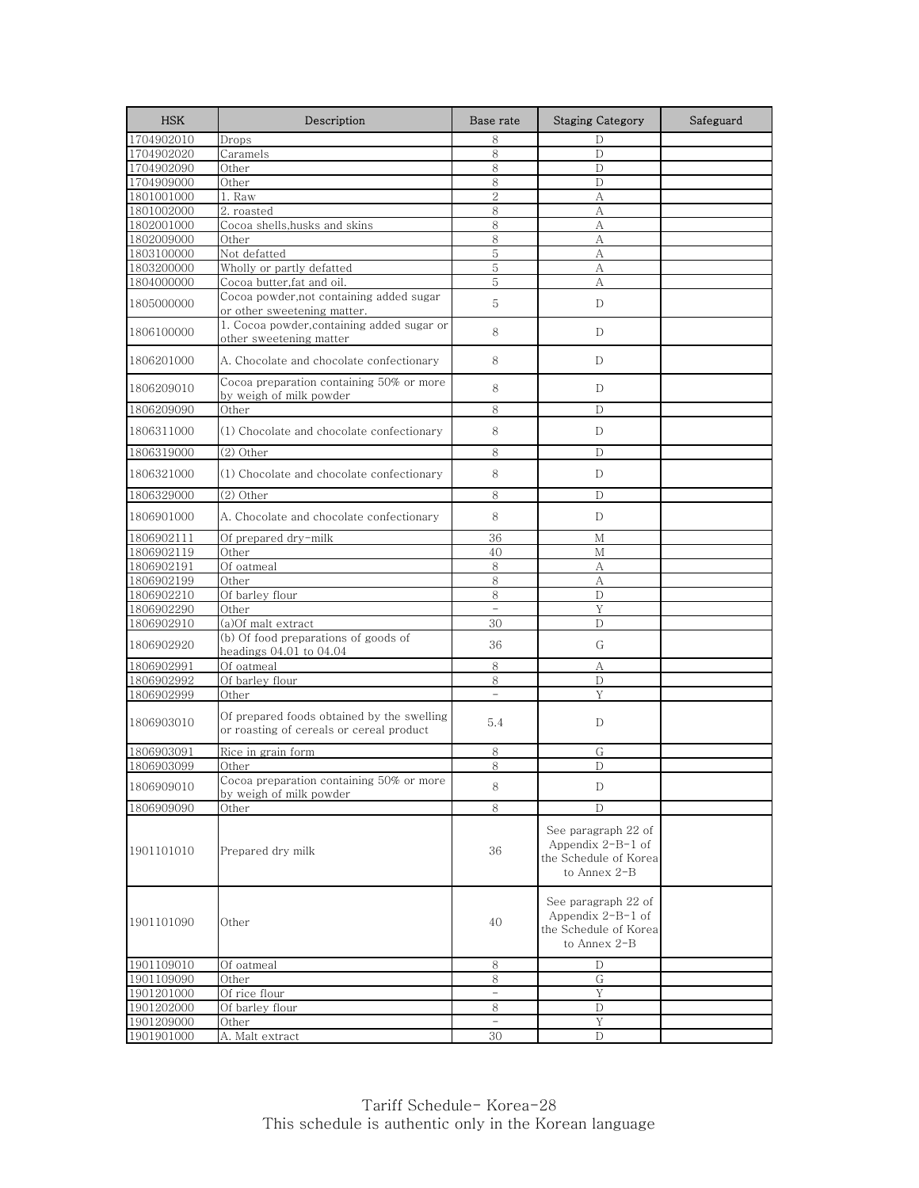| <b>HSK</b> | Description                                                                            | Base rate      | <b>Staging Category</b>                                                             | Safeguard |
|------------|----------------------------------------------------------------------------------------|----------------|-------------------------------------------------------------------------------------|-----------|
| 1704902010 | Drops                                                                                  | 8              | D                                                                                   |           |
| 1704902020 | Caramels                                                                               | 8              | D                                                                                   |           |
| 1704902090 | Other                                                                                  | 8              | D                                                                                   |           |
| 1704909000 | Other                                                                                  | 8              | D                                                                                   |           |
| 1801001000 | 1. Raw                                                                                 | $\overline{2}$ | А                                                                                   |           |
| 1801002000 | 2. roasted                                                                             | 8              | А                                                                                   |           |
| 1802001000 | Cocoa shells, husks and skins                                                          | 8              | А                                                                                   |           |
| 1802009000 | Other                                                                                  | 8              | А                                                                                   |           |
| 1803100000 | Not defatted                                                                           | 5              | А                                                                                   |           |
| 1803200000 | Wholly or partly defatted                                                              | 5              | А                                                                                   |           |
| 1804000000 | Cocoa butter, fat and oil.                                                             | 5              | А                                                                                   |           |
| 1805000000 | Cocoa powder, not containing added sugar<br>or other sweetening matter.                | 5              | D                                                                                   |           |
| 1806100000 | 1. Cocoa powder, containing added sugar or<br>other sweetening matter                  | 8              | D                                                                                   |           |
| 1806201000 | A. Chocolate and chocolate confectionary                                               | 8              | D                                                                                   |           |
| 1806209010 | Cocoa preparation containing 50% or more<br>by weigh of milk powder                    | 8              | D                                                                                   |           |
| 1806209090 | Other                                                                                  | 8              | D                                                                                   |           |
| 1806311000 | (1) Chocolate and chocolate confectionary                                              | 8              | D                                                                                   |           |
| 1806319000 | $(2)$ Other                                                                            | 8              | D                                                                                   |           |
| 1806321000 | (1) Chocolate and chocolate confectionary                                              | 8              | D                                                                                   |           |
| 1806329000 | $(2)$ Other                                                                            | 8              | D                                                                                   |           |
| 1806901000 | A. Chocolate and chocolate confectionary                                               | 8              | D                                                                                   |           |
| 1806902111 | Of prepared dry-milk                                                                   | 36             | М                                                                                   |           |
| 1806902119 | Other                                                                                  | 40             | M                                                                                   |           |
| 1806902191 | Of oatmeal                                                                             | 8              | А                                                                                   |           |
| 1806902199 | Other                                                                                  | 8              | A                                                                                   |           |
| 1806902210 | Of barley flour                                                                        | 8              | D                                                                                   |           |
| 1806902290 | Other                                                                                  |                | Y                                                                                   |           |
| 1806902910 | (a)Of malt extract                                                                     | 30             | D                                                                                   |           |
| 1806902920 | (b) Of food preparations of goods of<br>headings 04.01 to 04.04                        | 36             | G                                                                                   |           |
| 1806902991 | Of oatmeal                                                                             | 8              | А                                                                                   |           |
| 1806902992 | Of barley flour                                                                        | 8              | D                                                                                   |           |
| 1806902999 | Other                                                                                  | $\overline{a}$ | Y                                                                                   |           |
| 1806903010 | Of prepared foods obtained by the swelling<br>or roasting of cereals or cereal product | 5.4            | D                                                                                   |           |
| 1806903091 | Rice in grain form                                                                     | 8              | G                                                                                   |           |
| 1806903099 | Other                                                                                  | 8              | D                                                                                   |           |
| 1806909010 | Cocoa preparation containing 50% or more<br>by weigh of milk powder                    | 8              | D                                                                                   |           |
| 1806909090 | Other                                                                                  | 8              | D                                                                                   |           |
| 1901101010 | Prepared dry milk                                                                      | 36             | See paragraph 22 of<br>Appendix $2-B-1$ of<br>the Schedule of Korea<br>to Annex 2-B |           |
| 1901101090 | Other                                                                                  | 40             | See paragraph 22 of<br>Appendix $2-B-1$ of<br>the Schedule of Korea<br>to Annex 2-B |           |
| 1901109010 | Of oatmeal                                                                             | 8              | D                                                                                   |           |
| 1901109090 | Other                                                                                  | 8              | G                                                                                   |           |
| 1901201000 | Of rice flour                                                                          | $\equiv$       | Y                                                                                   |           |
| 1901202000 | Of barley flour                                                                        | 8              | D                                                                                   |           |
| 1901209000 | Other                                                                                  |                | Y                                                                                   |           |
| 1901901000 | A. Malt extract                                                                        | 30             | D                                                                                   |           |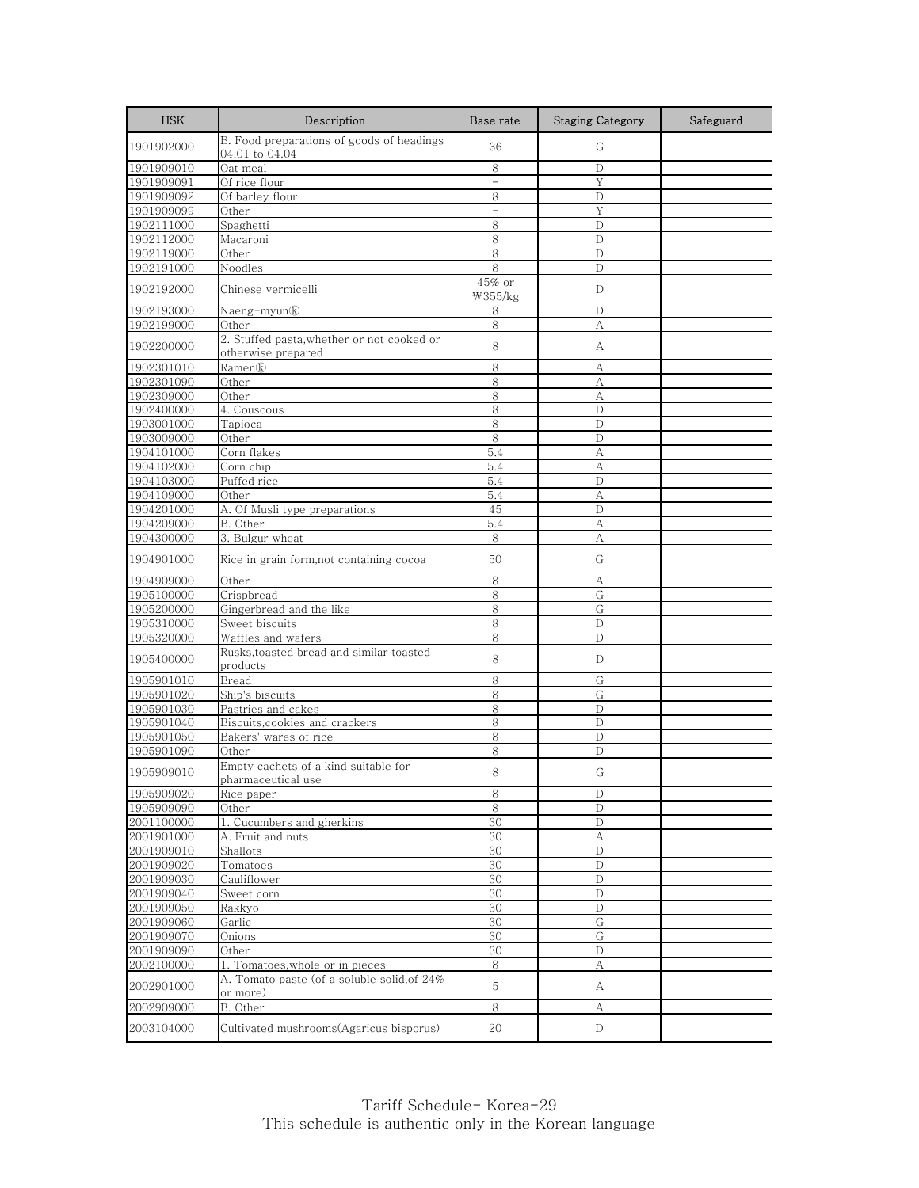| <b>HSK</b> | Description                                                 | Base rate                | <b>Staging Category</b> | Safeguard |
|------------|-------------------------------------------------------------|--------------------------|-------------------------|-----------|
| 1901902000 | B. Food preparations of goods of headings<br>04.01 to 04.04 | 36                       | G                       |           |
| 1901909010 | Oat meal                                                    | 8                        | $\mathbf D$             |           |
| 1901909091 | Of rice flour                                               | $\overline{\phantom{0}}$ | Y                       |           |
| 1901909092 | Of barley flour                                             | 8                        | D                       |           |
| 1901909099 | Other                                                       | $\equiv$                 | Y                       |           |
| 1902111000 | Spaghetti                                                   | 8                        | D                       |           |
| 1902112000 | Macaroni                                                    | 8                        | D                       |           |
| 1902119000 | Other                                                       | 8                        | $\mathbf D$             |           |
| 1902191000 | Noodles                                                     | 8                        | D                       |           |
| 1902192000 | Chinese vermicelli                                          | 45% or<br>₩355/kg        | D                       |           |
| 1902193000 | Naeng-myun®                                                 | 8                        | D                       |           |
| 1902199000 | Other                                                       | 8                        | А                       |           |
| 1902200000 | 2. Stuffed pasta, whether or not cooked or                  | 8                        | А                       |           |
|            | otherwise prepared                                          |                          |                         |           |
| 1902301010 | Ramen®                                                      | 8                        | А                       |           |
| 1902301090 | Other                                                       | 8                        | А                       |           |
| 1902309000 | Other                                                       | 8                        | А                       |           |
| 1902400000 | 4. Couscous                                                 | 8                        | D                       |           |
| 1903001000 | Tapioca                                                     | 8                        | D                       |           |
| 1903009000 | Other                                                       | 8                        | D                       |           |
| 1904101000 | Corn flakes                                                 | 5.4                      | A                       |           |
| 1904102000 | Corn chip                                                   | 5.4                      | А                       |           |
| 1904103000 | Puffed rice                                                 | 5.4                      | D                       |           |
| 1904109000 | Other                                                       | 5.4                      | A<br>D                  |           |
| 1904201000 | A. Of Musli type preparations                               | 45                       |                         |           |
| 1904209000 | B. Other<br>3. Bulgur wheat                                 | 5.4                      | А                       |           |
| 1904300000 |                                                             | 8                        | А                       |           |
| 1904901000 | Rice in grain form, not containing cocoa                    | 50                       | G                       |           |
| 1904909000 | Other                                                       | 8                        | A                       |           |
| 1905100000 | Crispbread                                                  | 8                        | G                       |           |
| 1905200000 | Gingerbread and the like                                    | 8                        | G                       |           |
| 1905310000 | Sweet biscuits                                              | 8                        | D                       |           |
| 1905320000 | Waffles and wafers                                          | 8                        | D                       |           |
| 1905400000 | Rusks, toasted bread and similar toasted<br>products        | 8                        | D                       |           |
| 1905901010 | Bread                                                       | 8                        | G                       |           |
| 1905901020 | Ship's biscuits                                             | 8                        | G                       |           |
| 1905901030 | Pastries and cakes                                          | 8                        | D                       |           |
| 1905901040 | Biscuits, cookies and crackers                              | 8                        | D                       |           |
| 1905901050 | Bakers' wares of rice                                       | 8                        | D                       |           |
| 1905901090 | Other                                                       | 8                        | D                       |           |
| 1905909010 | Empty cachets of a kind suitable for<br>pharmaceutical use  | 8                        | G                       |           |
| 1905909020 | Rice paper                                                  | $\,8\,$                  | $\mathbf D$             |           |
| 1905909090 | Other                                                       | 8                        | D                       |           |
| 2001100000 | 1. Cucumbers and gherkins                                   | 30                       | $\mathbf D$             |           |
| 2001901000 | A. Fruit and nuts                                           | 30                       | А                       |           |
| 2001909010 | Shallots                                                    | 30                       | D                       |           |
| 2001909020 | Tomatoes                                                    | 30                       | D                       |           |
| 2001909030 | Cauliflower                                                 | 30                       | $\mathbf D$             |           |
| 2001909040 | Sweet corn                                                  | 30                       | D                       |           |
| 2001909050 | Rakkyo                                                      | 30                       | D                       |           |
| 2001909060 | Garlic                                                      | 30                       | G                       |           |
| 2001909070 | Onions                                                      | 30                       | G                       |           |
| 2001909090 | Other                                                       | 30                       | D                       |           |
| 2002100000 | 1. Tomatoes, whole or in pieces                             | 8                        | А                       |           |
| 2002901000 | A. Tomato paste (of a soluble solid, of 24%<br>or more)     | 5                        | А                       |           |
| 2002909000 | B. Other                                                    | 8                        | А                       |           |
| 2003104000 | Cultivated mushrooms(Agaricus bisporus)                     | 20                       | D                       |           |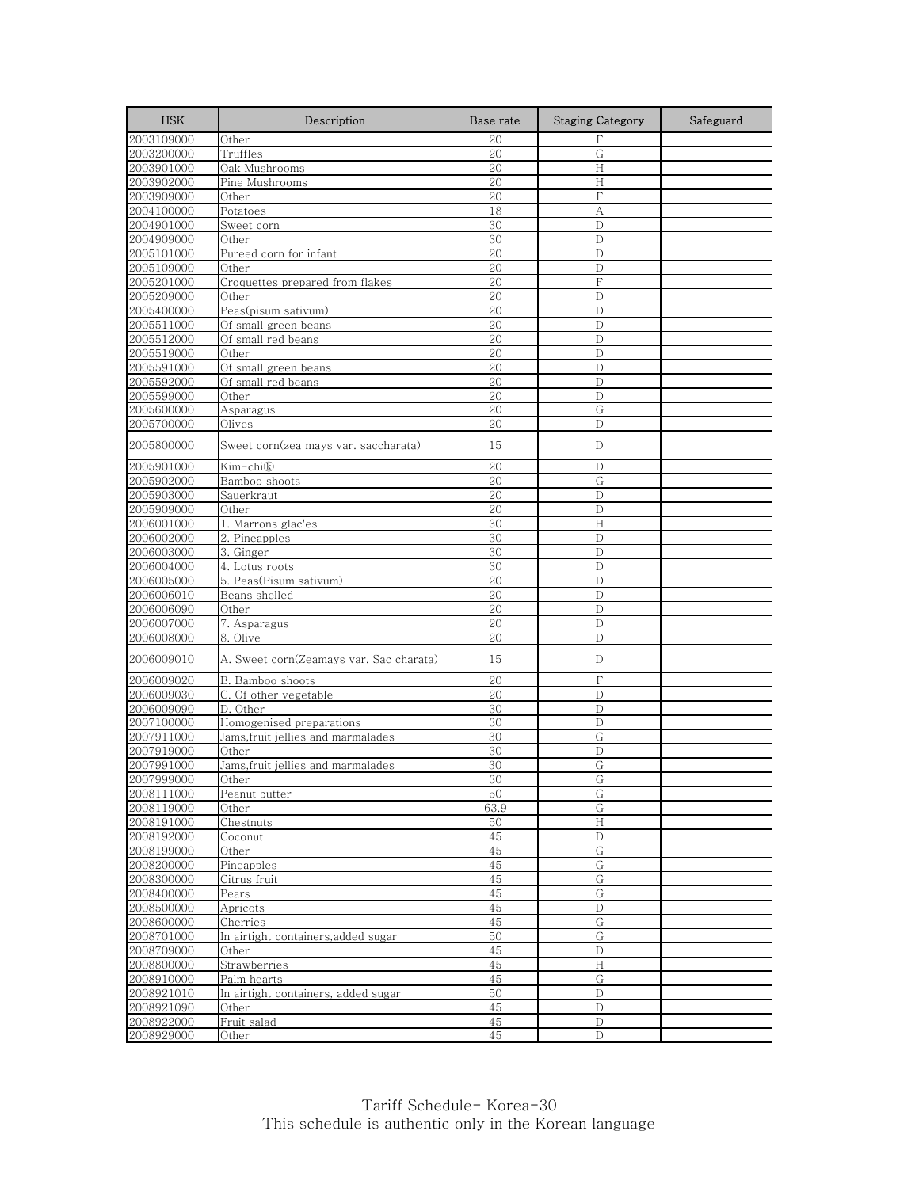| <b>HSK</b> | Description                             | Base rate       | <b>Staging Category</b> | Safeguard |
|------------|-----------------------------------------|-----------------|-------------------------|-----------|
| 2003109000 | Other                                   | 20              | F                       |           |
| 2003200000 | Truffles                                | 20              | G                       |           |
| 2003901000 | Oak Mushrooms                           | 20              | H                       |           |
| 2003902000 | Pine Mushrooms                          | 20              | Н                       |           |
| 2003909000 | Other                                   | 20              | F                       |           |
| 2004100000 | Potatoes                                | 18              | A                       |           |
| 2004901000 | Sweet corn                              | 30              | D                       |           |
| 2004909000 | Other                                   | 30              | D                       |           |
| 2005101000 | Pureed corn for infant                  | 20              | D                       |           |
| 2005109000 | Other                                   | 20              | D                       |           |
| 2005201000 | Croquettes prepared from flakes         | 20              | $\mathbf F$             |           |
| 2005209000 | Other                                   | 20              | D                       |           |
| 2005400000 | Peas(pisum sativum)                     | 20              | D                       |           |
| 2005511000 | Of small green beans                    | 20              | D                       |           |
| 2005512000 | Of small red beans                      | 20              | D                       |           |
| 2005519000 | Other                                   | 20              | D                       |           |
| 2005591000 | Of small green beans                    | 20              | D                       |           |
| 2005592000 | Of small red beans                      | 20              | D                       |           |
| 2005599000 | Other                                   | 20              | D                       |           |
| 2005600000 | Asparagus                               | 20              | G                       |           |
| 2005700000 | Olives                                  | 20              | D                       |           |
| 2005800000 | Sweet corn(zea mays var. saccharata)    | 15              | D                       |           |
|            |                                         |                 |                         |           |
| 2005901000 | Kim-chi®                                | 20              | D                       |           |
| 2005902000 | Bamboo shoots                           | 20              | G                       |           |
| 2005903000 | Sauerkraut                              | 20              | D                       |           |
| 2005909000 | Other                                   | 20              | $\mathbf D$             |           |
| 2006001000 | 1. Marrons glac'es                      | 30              | H                       |           |
| 2006002000 | 2. Pineapples                           | 30              | D                       |           |
| 2006003000 | 3. Ginger                               | 30              | D                       |           |
| 2006004000 | 4. Lotus roots                          | 30              | $\mathbf D$             |           |
| 2006005000 | 5. Peas(Pisum sativum)                  | 20              | D                       |           |
| 2006006010 | Beans shelled                           | 20              | D                       |           |
| 2006006090 | Other                                   | 20              | D                       |           |
| 2006007000 | 7. Asparagus                            | 20              | D                       |           |
| 2006008000 | 8. Olive                                | 20              | D                       |           |
| 2006009010 | A. Sweet corn(Zeamays var. Sac charata) | 15              | D                       |           |
| 2006009020 | B. Bamboo shoots                        | 20              | F                       |           |
| 2006009030 | C. Of other vegetable                   | 20              | D                       |           |
| 2006009090 | D. Other                                | 30              | D                       |           |
| 2007100000 | Homogenised preparations                | 30              | $\mathbf D$             |           |
| 2007911000 | Jams, fruit jellies and marmalades      | 30              | G                       |           |
| 2007919000 | Other                                   | 30              | D                       |           |
| 2007991000 | Jams, fruit jellies and marmalades      | 30              | G                       |           |
| 2007999000 | Other                                   | 30 <sup>°</sup> | G                       |           |
| 2008111000 | Peanut butter                           | 50              | G                       |           |
| 2008119000 | Other                                   | 63.9            | G                       |           |
| 2008191000 | Chestnuts                               | 50              | H                       |           |
| 2008192000 | Coconut                                 | 45              | D                       |           |
| 2008199000 | Other                                   | 45              | G                       |           |
| 2008200000 | Pineapples                              | 45              | G                       |           |
| 2008300000 | Citrus fruit                            | 45              | G                       |           |
| 2008400000 | Pears                                   | 45              | G                       |           |
| 2008500000 | Apricots                                | 45              | D                       |           |
| 2008600000 | Cherries                                | 45              | G                       |           |
| 2008701000 | In airtight containers,added sugar      | 50              | G                       |           |
| 2008709000 | Other                                   | 45              | $\mathbf D$             |           |
| 2008800000 | Strawberries                            | 45              | H                       |           |
| 2008910000 | Palm hearts                             | 45              | G                       |           |
| 2008921010 | In airtight containers, added sugar     | 50              | D                       |           |
| 2008921090 | Other                                   | 45              | D                       |           |
| 2008922000 | Fruit salad                             | 45              | $\mathbf D$             |           |
| 2008929000 | Other                                   | 45              | D                       |           |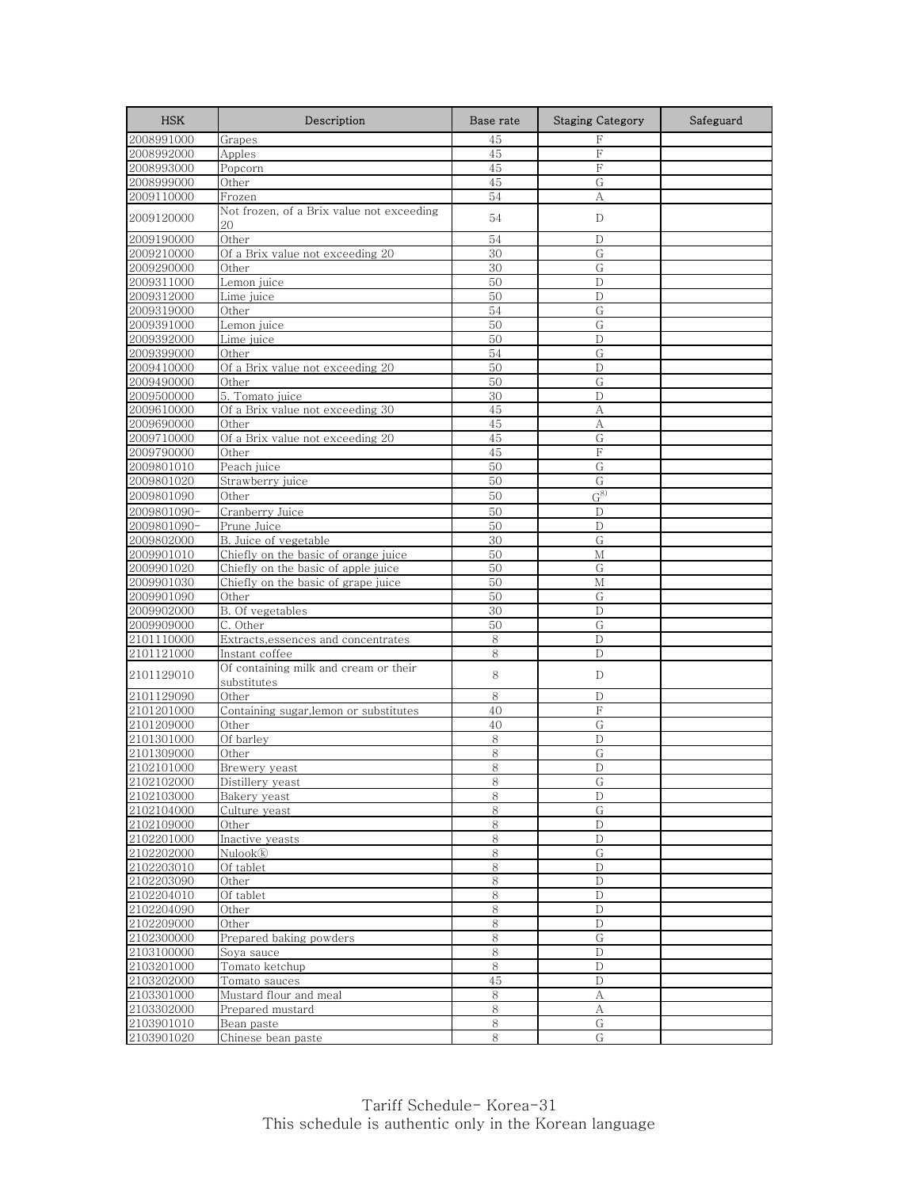| <b>HSK</b>               | Description                                          | Base rate  | <b>Staging Category</b> | Safeguard |
|--------------------------|------------------------------------------------------|------------|-------------------------|-----------|
| 2008991000               | Grapes                                               | 45         | F                       |           |
| 2008992000               | Apples                                               | 45         | F                       |           |
| 2008993000               | Popcorn                                              | 45         | F                       |           |
| 2008999000               | Other                                                | 45         | G                       |           |
| 2009110000               | Frozen                                               | 54         | А                       |           |
| 2009120000               | Not frozen, of a Brix value not exceeding<br>20      | 54         | D                       |           |
| 2009190000               | Other                                                | 54         | D                       |           |
| 2009210000               | Of a Brix value not exceeding 20                     | 30         | G                       |           |
| 2009290000               | Other                                                | 30         | G                       |           |
| 2009311000               | Lemon juice                                          | 50         | D                       |           |
| 2009312000               | Lime juice                                           | 50         | D                       |           |
| 2009319000               | Other                                                | 54         | G                       |           |
| 2009391000               | Lemon juice                                          | 50         | G                       |           |
| 2009392000               | Lime juice                                           | 50         | D                       |           |
| 2009399000               | Other                                                | 54         | G                       |           |
| 2009410000               | Of a Brix value not exceeding 20                     | 50         | D                       |           |
| 2009490000               | Other                                                | 50         | G                       |           |
| 2009500000<br>2009610000 | 5. Tomato juice<br>Of a Brix value not exceeding 30  | 30<br>45   | D<br>А                  |           |
| 2009690000               | Other                                                | 45         | А                       |           |
| 2009710000               | Of a Brix value not exceeding 20                     | 45         | G                       |           |
| 2009790000               | Other                                                | 45         | F                       |           |
| 2009801010               | Peach juice                                          | 50         | G                       |           |
| 2009801020               | Strawberry juice                                     | 50         | G                       |           |
| 2009801090               | Other                                                | 50         | $G^{8)}$                |           |
| 2009801090-              | Cranberry Juice                                      | 50         | D                       |           |
| 2009801090-              | Prune Juice                                          | 50         | $\mathbf D$             |           |
| 2009802000               | B. Juice of vegetable                                | 30         | G                       |           |
| 2009901010               | Chiefly on the basic of orange juice                 | 50         | M                       |           |
| 2009901020               | Chiefly on the basic of apple juice                  | 50         | G                       |           |
| 2009901030               | Chiefly on the basic of grape juice                  | 50         | М                       |           |
| 2009901090               | Other                                                | 50         | G                       |           |
| 2009902000               | B. Of vegetables                                     | 30         | D                       |           |
| 2009909000               | C. Other                                             | 50         | G                       |           |
| 2101110000               | Extracts, essences and concentrates                  | 8          | D                       |           |
| 2101121000               | Instant coffee                                       | 8          | $\mathbf D$             |           |
| 2101129010               | Of containing milk and cream or their<br>substitutes | 8          | D                       |           |
| 2101129090               | Other                                                | 8          | D                       |           |
| 2101201000               | Containing sugar,lemon or substitutes                | 40         | F                       |           |
| 2101209000               | Other                                                | 40         | ${\rm G}$               |           |
| 2101301000               | Of barley                                            | 8          | D                       |           |
| 2101309000               | Other                                                | 8          | G                       |           |
| 2102101000               | Brewery yeast                                        | 8          | D                       |           |
| 2102102000               | Distillery yeast                                     | ୪          | G                       |           |
| 2102103000               | Bakery yeast                                         | 8          | D                       |           |
| 2102104000               | Culture yeast                                        | 8          | G                       |           |
| 2102109000               | Other                                                | $\,8\,$    | D                       |           |
| 2102201000               | Inactive yeasts<br>Nulook®                           | $8\,$<br>8 | D<br>G                  |           |
| 2102202000<br>2102203010 | Of tablet                                            | 8          | D                       |           |
| 2102203090               | Other                                                | 8          | D                       |           |
| 2102204010               | Of tablet                                            | 8          | $\mathbf D$             |           |
| 2102204090               | Other                                                | $\,8\,$    | D                       |           |
| 2102209000               | Other                                                | $8\,$      | D                       |           |
| 2102300000               | Prepared baking powders                              | 8          | G                       |           |
| 2103100000               | Soya sauce                                           | 8          | D                       |           |
| 2103201000               | Tomato ketchup                                       | 8          | D                       |           |
| 2103202000               | Tomato sauces                                        | 45         | D                       |           |
| 2103301000               | Mustard flour and meal                               | 8          | А                       |           |
| 2103302000               | Prepared mustard                                     | 8          | А                       |           |
| 2103901010               | Bean paste                                           | 8          | G                       |           |
| 2103901020               | Chinese bean paste                                   | 8          | G                       |           |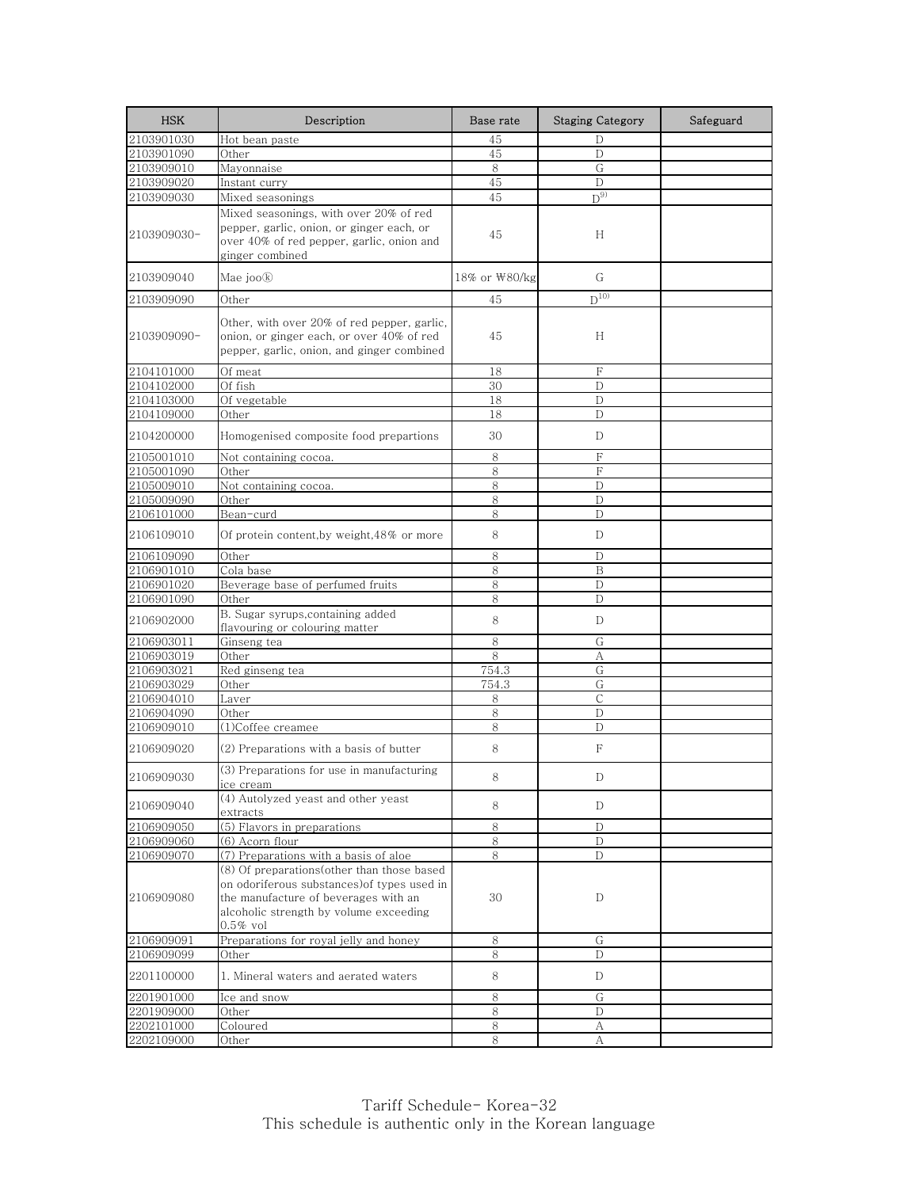| <b>HSK</b>  | Description                                                                                                                                                                                | Base rate     | <b>Staging Category</b> | Safeguard |
|-------------|--------------------------------------------------------------------------------------------------------------------------------------------------------------------------------------------|---------------|-------------------------|-----------|
| 2103901030  | Hot bean paste                                                                                                                                                                             | 45            | D                       |           |
| 2103901090  | Other                                                                                                                                                                                      | 45            | D                       |           |
| 2103909010  | Mayonnaise                                                                                                                                                                                 | 8             | G                       |           |
| 2103909020  | Instant curry                                                                                                                                                                              | 45            | $\mathbb{D}$            |           |
| 2103909030  | Mixed seasonings                                                                                                                                                                           | 45            | $D^{9}$                 |           |
| 2103909030- | Mixed seasonings, with over 20% of red<br>pepper, garlic, onion, or ginger each, or<br>over 40% of red pepper, garlic, onion and<br>ginger combined                                        | 45            | H                       |           |
| 2103909040  | Mae joo®                                                                                                                                                                                   | 18% or \80/kg | G                       |           |
| 2103909090  | Other                                                                                                                                                                                      | 45            | $D^{10}$                |           |
| 2103909090- | Other, with over 20% of red pepper, garlic,<br>onion, or ginger each, or over 40% of red<br>pepper, garlic, onion, and ginger combined                                                     | 45            | H                       |           |
| 2104101000  | Of meat                                                                                                                                                                                    | 18            | F                       |           |
| 2104102000  | Of fish                                                                                                                                                                                    | 30            | D                       |           |
| 2104103000  | Of vegetable                                                                                                                                                                               | 18            | D                       |           |
| 2104109000  | Other                                                                                                                                                                                      | 18            | D                       |           |
| 2104200000  | Homogenised composite food prepartions                                                                                                                                                     | 30            | D                       |           |
| 2105001010  | Not containing cocoa.                                                                                                                                                                      | 8             | F                       |           |
| 2105001090  | Other                                                                                                                                                                                      | 8             | $\rm F$                 |           |
| 2105009010  | Not containing cocoa.                                                                                                                                                                      | 8             | D                       |           |
| 2105009090  | Other                                                                                                                                                                                      | 8             | D                       |           |
| 2106101000  | Bean-curd                                                                                                                                                                                  | 8             | D                       |           |
| 2106109010  | Of protein content, by weight, 48% or more                                                                                                                                                 | 8             | D                       |           |
| 2106109090  | Other                                                                                                                                                                                      | 8             | D                       |           |
| 2106901010  | Cola base                                                                                                                                                                                  | 8             | B                       |           |
| 2106901020  | Beverage base of perfumed fruits                                                                                                                                                           | 8             | D                       |           |
| 2106901090  | Other                                                                                                                                                                                      | 8             | D                       |           |
| 2106902000  | B. Sugar syrups, containing added<br>flavouring or colouring matter                                                                                                                        | 8             | D                       |           |
| 2106903011  | Ginseng tea                                                                                                                                                                                | 8             | G                       |           |
| 2106903019  | Other                                                                                                                                                                                      | 8             | А                       |           |
| 2106903021  | Red ginseng tea                                                                                                                                                                            | 754.3         | G                       |           |
| 2106903029  | Other                                                                                                                                                                                      | 754.3         | G                       |           |
| 2106904010  | Laver                                                                                                                                                                                      | 8             | $\mathsf{C}$            |           |
| 2106904090  | Other                                                                                                                                                                                      | 8             | D                       |           |
| 2106909010  | (1)Coffee creamee                                                                                                                                                                          | 8             | D                       |           |
| 2106909020  | (2) Preparations with a basis of butter                                                                                                                                                    | 8             | F                       |           |
| 2106909030  | (3) Preparations for use in manufacturing<br>ice cream                                                                                                                                     | 8             | D                       |           |
| 2106909040  | (4) Autolyzed yeast and other yeast<br>extracts                                                                                                                                            | 8             | D                       |           |
| 2106909050  | $(5)$ Flavors in preparations                                                                                                                                                              | 8             | D                       |           |
| 2106909060  | (6) Acorn flour                                                                                                                                                                            | 8             | D                       |           |
| 2106909070  | (7) Preparations with a basis of aloe                                                                                                                                                      | 8             | D                       |           |
| 2106909080  | (8) Of preparations(other than those based<br>on odoriferous substances) of types used in<br>the manufacture of beverages with an<br>alcoholic strength by volume exceeding<br>$0.5\%$ vol | 30            | D                       |           |
| 2106909091  | Preparations for royal jelly and honey                                                                                                                                                     | 8             | G                       |           |
| 2106909099  | Other                                                                                                                                                                                      | 8             | D                       |           |
| 2201100000  | 1. Mineral waters and aerated waters                                                                                                                                                       | 8             | D                       |           |
| 2201901000  | Ice and snow                                                                                                                                                                               | 8             | G                       |           |
| 2201909000  | Other                                                                                                                                                                                      | 8             | D                       |           |
| 2202101000  | Coloured                                                                                                                                                                                   | 8             | A                       |           |
| 2202109000  | Other                                                                                                                                                                                      | 8             | А                       |           |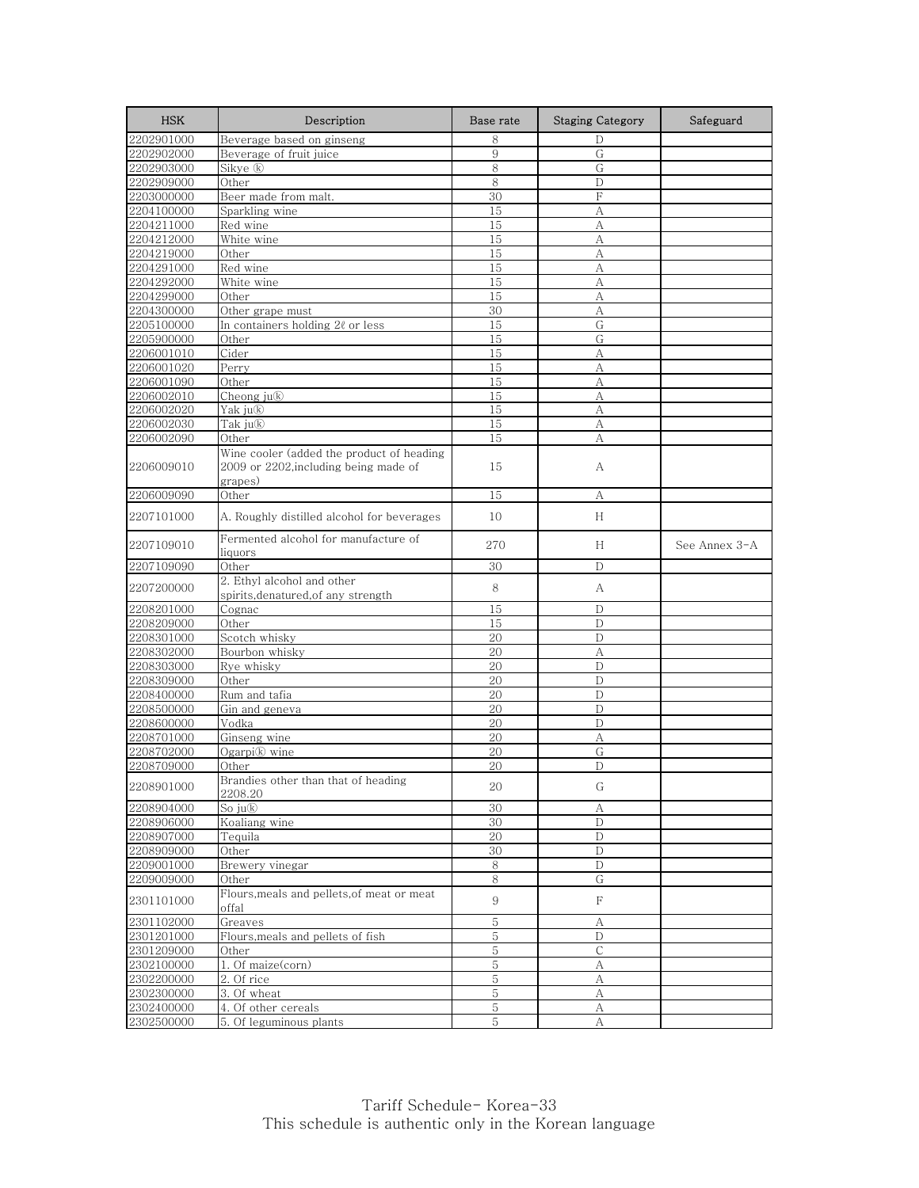| <b>HSK</b> | Description                                                                                   | Base rate      | <b>Staging Category</b> | Safeguard     |
|------------|-----------------------------------------------------------------------------------------------|----------------|-------------------------|---------------|
| 2202901000 | Beverage based on ginseng                                                                     | 8              | D                       |               |
| 2202902000 | Beverage of fruit juice                                                                       | 9              | G                       |               |
| 2202903000 | Sikye ®                                                                                       | 8              | ${\rm G}$               |               |
| 2202909000 | Other                                                                                         | 8              | D                       |               |
| 2203000000 | Beer made from malt.                                                                          | 30             | F                       |               |
| 2204100000 | Sparkling wine                                                                                | 15             | A                       |               |
| 2204211000 | Red wine                                                                                      | 15             | А                       |               |
| 2204212000 | White wine                                                                                    | 15             | А                       |               |
| 2204219000 | Other                                                                                         | 15             | А                       |               |
| 2204291000 | Red wine                                                                                      | 15             | А                       |               |
| 2204292000 | White wine                                                                                    | 15             | А                       |               |
| 2204299000 | Other                                                                                         | 15             | А                       |               |
| 2204300000 | Other grape must                                                                              | 30             | А                       |               |
| 2205100000 | In containers holding $2\ell$ or less                                                         | 15             | G                       |               |
| 2205900000 | Other                                                                                         | 15             | G                       |               |
| 2206001010 | $\overline{\mathrm{C}}$ <u>ider</u>                                                           | 15             | А                       |               |
| 2206001020 | Perry                                                                                         | 15             | А                       |               |
| 2206001090 | Other                                                                                         | 15             | A                       |               |
| 2206002010 | Cheong ju®                                                                                    | 15             | А                       |               |
| 2206002020 | Yak ju®                                                                                       | 15             | А                       |               |
| 2206002030 | Tak ju®                                                                                       | 15             | А                       |               |
| 2206002090 | Other                                                                                         | 15             | А                       |               |
| 2206009010 | Wine cooler (added the product of heading<br>2009 or 2202, including being made of<br>grapes) | 15             | А                       |               |
| 2206009090 | Other                                                                                         | 15             | А                       |               |
| 2207101000 | A. Roughly distilled alcohol for beverages                                                    | 10             | H                       |               |
| 2207109010 | Fermented alcohol for manufacture of<br>liquors                                               | 270            | H                       | See Annex 3-A |
| 2207109090 | Other                                                                                         | 30             | D                       |               |
| 2207200000 | 2. Ethyl alcohol and other<br>spirits, denatured, of any strength                             | 8              | А                       |               |
| 2208201000 | Cognac                                                                                        | 15             | D                       |               |
| 2208209000 | Other                                                                                         | 15             | D                       |               |
| 2208301000 | Scotch whisky                                                                                 | 20             | $\mathbf D$             |               |
| 2208302000 | Bourbon whisky                                                                                | 20             | А                       |               |
| 2208303000 | Rye whisky                                                                                    | 20             | D                       |               |
| 2208309000 | Other                                                                                         | 20             | D                       |               |
| 2208400000 | Rum and tafia                                                                                 | 20             | $\mathbf{D}$            |               |
| 2208500000 | Gin and geneva                                                                                | 20             | $\mathbf D$             |               |
| 2208600000 | Vodka                                                                                         | 20             | D                       |               |
| 2208701000 | Ginseng wine                                                                                  | 20             | А                       |               |
| 2208702000 | Ogarpi® wine                                                                                  | 20             | G                       |               |
| 2208709000 | Other                                                                                         | 20             | D                       |               |
| 2208901000 | Brandies other than that of heading<br>2208.20                                                | 20             | G                       |               |
| 2208904000 | So ju®                                                                                        | 30             | А                       |               |
| 2208906000 | Koaliang wine                                                                                 | 30             | $\mathbf D$             |               |
| 2208907000 | Tequila                                                                                       | 20             | D                       |               |
| 2208909000 | Other                                                                                         | 30             | D                       |               |
| 2209001000 | Brewery vinegar                                                                               | 8              | D                       |               |
| 2209009000 | Other                                                                                         | 8              | G                       |               |
| 2301101000 | Flours, meals and pellets, of meat or meat<br>offal                                           | 9              | F                       |               |
| 2301102000 | Greaves                                                                                       | $\,$ 5         | А                       |               |
| 2301201000 | Flours, meals and pellets of fish                                                             | 5              | D                       |               |
| 2301209000 | Other                                                                                         | $5\,$          | $\mathsf{C}$            |               |
| 2302100000 | 1. Of maize(corn)                                                                             | $\overline{5}$ | А                       |               |
| 2302200000 | 2. Of rice                                                                                    | 5              | А                       |               |
| 2302300000 | 3. Of wheat                                                                                   | $\overline{5}$ | А                       |               |
| 2302400000 | 4. Of other cereals                                                                           | 5              | А                       |               |
| 2302500000 | 5. Of leguminous plants                                                                       | 5              | А                       |               |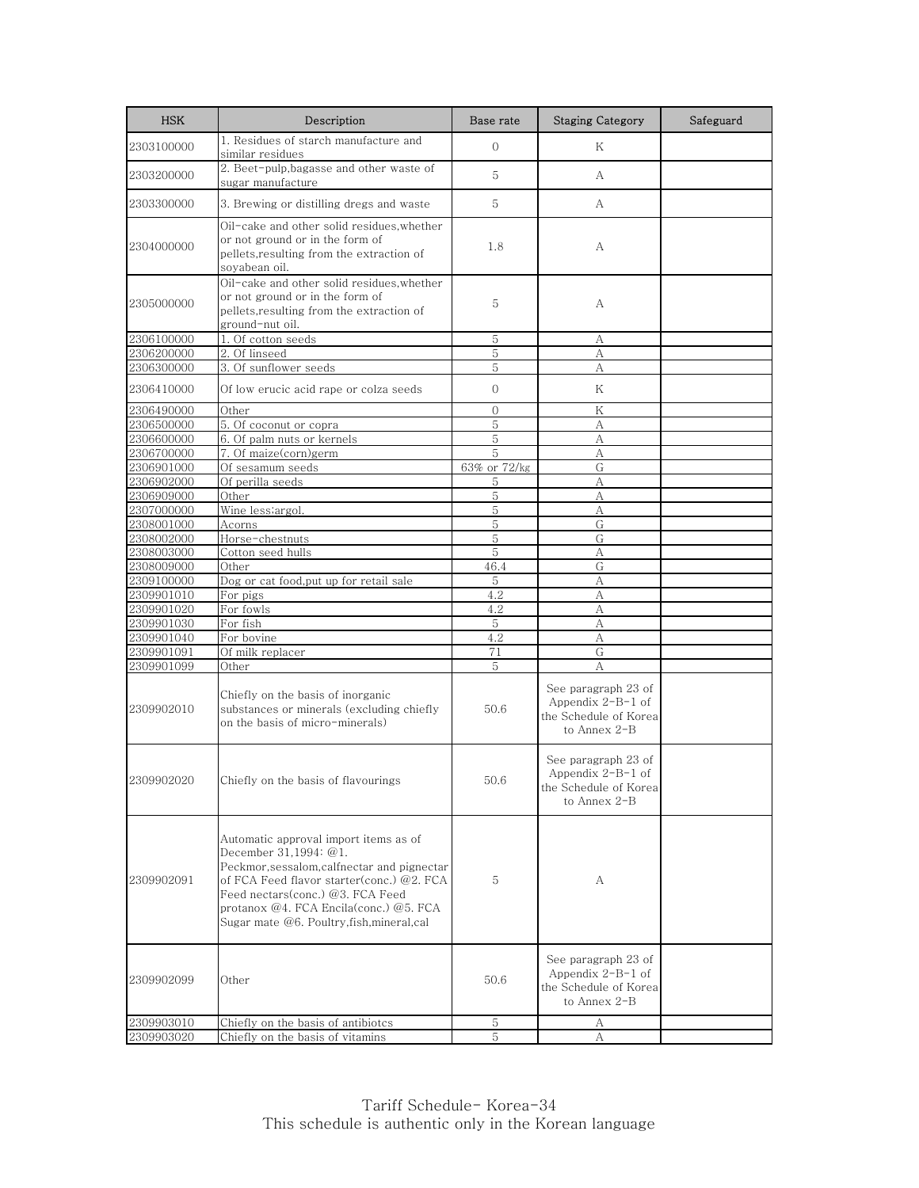| <b>HSK</b> | Description                                                                                                                                                                                                                                                                                  | Base rate    | <b>Staging Category</b>                                                             | Safeguard |
|------------|----------------------------------------------------------------------------------------------------------------------------------------------------------------------------------------------------------------------------------------------------------------------------------------------|--------------|-------------------------------------------------------------------------------------|-----------|
| 2303100000 | 1. Residues of starch manufacture and<br>similar residues                                                                                                                                                                                                                                    | $\Omega$     | Κ                                                                                   |           |
| 2303200000 | 2. Beet-pulp, bagasse and other waste of<br>sugar manufacture                                                                                                                                                                                                                                | 5            | A                                                                                   |           |
| 2303300000 | 3. Brewing or distilling dregs and waste                                                                                                                                                                                                                                                     | 5            | A                                                                                   |           |
| 2304000000 | Oil-cake and other solid residues, whether<br>or not ground or in the form of<br>pellets, resulting from the extraction of<br>soyabean oil.                                                                                                                                                  | 1.8          | А                                                                                   |           |
| 2305000000 | Oil-cake and other solid residues, whether<br>or not ground or in the form of<br>pellets, resulting from the extraction of<br>ground-nut oil.                                                                                                                                                | 5            | А                                                                                   |           |
| 2306100000 | 1. Of cotton seeds                                                                                                                                                                                                                                                                           | 5            | А                                                                                   |           |
| 2306200000 | 2. Of linseed                                                                                                                                                                                                                                                                                | 5            | А                                                                                   |           |
| 2306300000 | 3. Of sunflower seeds                                                                                                                                                                                                                                                                        | 5            | А                                                                                   |           |
| 2306410000 | Of low erucic acid rape or colza seeds                                                                                                                                                                                                                                                       | $\Omega$     | Κ                                                                                   |           |
| 2306490000 | Other                                                                                                                                                                                                                                                                                        | $\mathbf{0}$ | Κ                                                                                   |           |
| 2306500000 | 5. Of coconut or copra                                                                                                                                                                                                                                                                       | 5            | А                                                                                   |           |
| 2306600000 | 6. Of palm nuts or kernels                                                                                                                                                                                                                                                                   | 5            | А                                                                                   |           |
| 2306700000 | 7. Of maize(corn)germ                                                                                                                                                                                                                                                                        | 5            | А                                                                                   |           |
| 2306901000 | Of sesamum seeds                                                                                                                                                                                                                                                                             | 63% or 72/kg | G                                                                                   |           |
| 2306902000 | Of perilla seeds                                                                                                                                                                                                                                                                             | 5            | А                                                                                   |           |
| 2306909000 | Other                                                                                                                                                                                                                                                                                        | 5            | А                                                                                   |           |
| 2307000000 | Wine less; argol.                                                                                                                                                                                                                                                                            | 5            | А                                                                                   |           |
| 2308001000 | Acorns                                                                                                                                                                                                                                                                                       | 5            | G                                                                                   |           |
| 2308002000 | Horse-chestnuts                                                                                                                                                                                                                                                                              | 5            | G                                                                                   |           |
| 2308003000 | Cotton seed hulls                                                                                                                                                                                                                                                                            | 5            | А                                                                                   |           |
| 2308009000 | Other                                                                                                                                                                                                                                                                                        | 46.4         | G                                                                                   |           |
| 2309100000 | Dog or cat food, put up for retail sale                                                                                                                                                                                                                                                      | 5            | А                                                                                   |           |
| 2309901010 | For pigs                                                                                                                                                                                                                                                                                     | 4.2          | А                                                                                   |           |
| 2309901020 | For fowls                                                                                                                                                                                                                                                                                    | 4.2          | А                                                                                   |           |
| 2309901030 | For fish                                                                                                                                                                                                                                                                                     | 5            | А                                                                                   |           |
| 2309901040 | For bovine                                                                                                                                                                                                                                                                                   | 4.2          | А                                                                                   |           |
| 2309901091 | Of milk replacer                                                                                                                                                                                                                                                                             | 71           | G                                                                                   |           |
| 2309901099 | Other                                                                                                                                                                                                                                                                                        | 5            | А                                                                                   |           |
| 2309902010 | Chiefly on the basis of inorganic<br>substances or minerals (excluding chiefly<br>on the basis of micro-minerals)                                                                                                                                                                            | 50.6         | See paragraph 23 of<br>Appendix $2-B-1$ of<br>the Schedule of Korea<br>to Annex 2-B |           |
| 2309902020 | Chiefly on the basis of flavourings                                                                                                                                                                                                                                                          | 50.6         | See paragraph 23 of<br>Appendix 2-B-1 of<br>the Schedule of Korea<br>to Annex 2-B   |           |
| 2309902091 | Automatic approval import items as of<br>December 31,1994: @1.<br>Peckmor, sessalom, calfnectar and pignectar<br>of FCA Feed flavor starter(conc.) @2. FCA<br>Feed nectars(conc.) @3. FCA Feed<br>protanox $@4$ . FCA Encila(conc.) $@5$ . FCA<br>Sugar mate @6. Poultry, fish, mineral, cal | 5            | А                                                                                   |           |
| 2309902099 | Other                                                                                                                                                                                                                                                                                        | 50.6         | See paragraph 23 of<br>Appendix $2-B-1$ of<br>the Schedule of Korea<br>to Annex 2-B |           |
| 2309903010 | Chiefly on the basis of antibiotcs                                                                                                                                                                                                                                                           | 5            | А                                                                                   |           |
| 2309903020 | Chiefly on the basis of vitamins                                                                                                                                                                                                                                                             | 5            | А                                                                                   |           |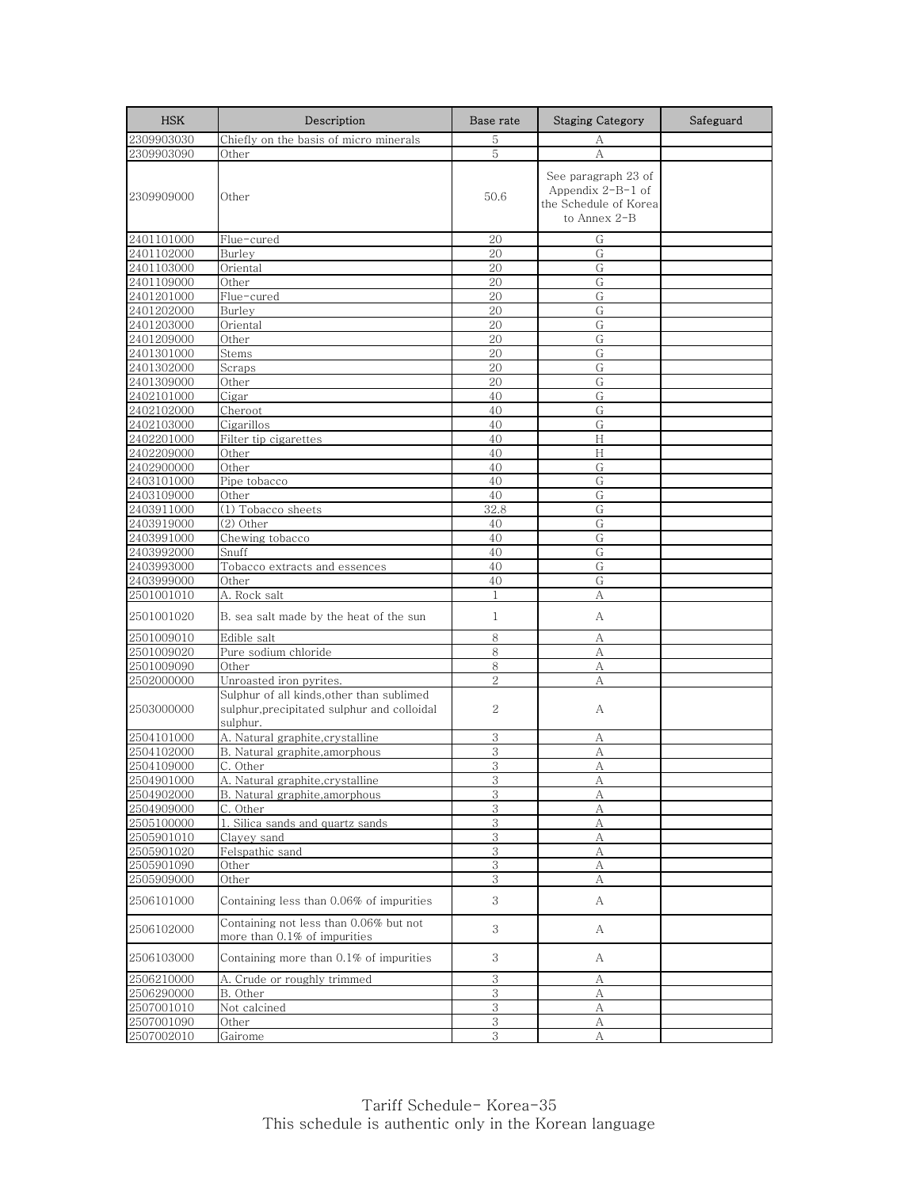| <b>HSK</b>               | Description                                                                                          | Base rate      | <b>Staging Category</b>                                                             | Safeguard |
|--------------------------|------------------------------------------------------------------------------------------------------|----------------|-------------------------------------------------------------------------------------|-----------|
| 2309903030               | Chiefly on the basis of micro minerals                                                               | 5              | А                                                                                   |           |
| 2309903090               | Other                                                                                                | 5              | A                                                                                   |           |
| 2309909000               | Other                                                                                                | 50.6           | See paragraph 23 of<br>Appendix $2-B-1$ of<br>the Schedule of Korea<br>to Annex 2-B |           |
| 2401101000               | Flue-cured                                                                                           | 20             | G                                                                                   |           |
| 2401102000               | Burley                                                                                               | 20             | G                                                                                   |           |
| 2401103000               | Oriental                                                                                             | 20             | G                                                                                   |           |
| 2401109000               | Other                                                                                                | 20             | G                                                                                   |           |
| 2401201000               | Flue-cured                                                                                           | 20             | G                                                                                   |           |
| 2401202000               | Burley                                                                                               | 20             | G                                                                                   |           |
| 2401203000               | Oriental                                                                                             | 20             | G                                                                                   |           |
| 2401209000               | Other                                                                                                | 20             | G                                                                                   |           |
| 2401301000               | Stems                                                                                                | 20             | G                                                                                   |           |
| 2401302000               | Scraps                                                                                               | 20             | G                                                                                   |           |
| 2401309000<br>2402101000 | Other<br>Cigar                                                                                       | 20<br>40       | G<br>G                                                                              |           |
| 2402102000               | Cheroot                                                                                              | 40             | G                                                                                   |           |
| 2402103000               | Cigarillos                                                                                           | 40             | G                                                                                   |           |
| 2402201000               | Filter tip cigarettes                                                                                | 40             | H                                                                                   |           |
| 2402209000               | Other                                                                                                | 40             | H                                                                                   |           |
| 2402900000               | Other                                                                                                | 40             | G                                                                                   |           |
| 2403101000               | Pipe tobacco                                                                                         | 40             | G                                                                                   |           |
| 2403109000               | Other                                                                                                | 40             | G                                                                                   |           |
| 2403911000               | (1) Tobacco sheets                                                                                   | 32.8           | G                                                                                   |           |
| 2403919000               | (2) Other                                                                                            | 40             | G                                                                                   |           |
| 2403991000               | Chewing tobacco                                                                                      | 40             | G                                                                                   |           |
| 2403992000               | Snuff                                                                                                | 40             | G                                                                                   |           |
| 2403993000               | Tobacco extracts and essences                                                                        | 40             | G                                                                                   |           |
| 2403999000               | Other                                                                                                | 40             | G                                                                                   |           |
| 2501001010               | A. Rock salt                                                                                         | $\mathbf{1}$   | А                                                                                   |           |
| 2501001020               | B, sea salt made by the heat of the sun                                                              | $\mathbf{1}$   | A                                                                                   |           |
| 2501009010               | Edible salt                                                                                          | 8              | А                                                                                   |           |
| 2501009020               | Pure sodium chloride                                                                                 | 8              | А                                                                                   |           |
| 2501009090               | Other                                                                                                | 8              | А                                                                                   |           |
| 2502000000               | Unroasted iron pyrites.                                                                              | $\overline{2}$ | A                                                                                   |           |
| 2503000000               | Sulphur of all kinds, other than sublimed<br>sulphur, precipitated sulphur and colloidal<br>sulphur. | $\overline{2}$ | А                                                                                   |           |
| 2504101000               | A. Natural graphite, crystalline                                                                     | 3              | А                                                                                   |           |
| 2504102000               | B. Natural graphite, amorphous                                                                       | 3              | A                                                                                   |           |
| 2504109000               | C. Other                                                                                             | 3              | А                                                                                   |           |
| 2504901000               | A. Natural graphite, crystalline                                                                     | 3              | A                                                                                   |           |
| 2504902000               | B. Natural graphite, amorphous                                                                       | 3              | А                                                                                   |           |
| 2504909000               | C. Other                                                                                             | 3              | А                                                                                   |           |
| 2505100000               | 1. Silica sands and quartz sands                                                                     | 3<br>$\,3$     | A<br>А                                                                              |           |
| 2505901010<br>2505901020 | Clayey sand<br>Felspathic sand                                                                       | 3              | А                                                                                   |           |
| 2505901090               | Other                                                                                                | 3              | А                                                                                   |           |
| 2505909000               | Other                                                                                                | 3              | А                                                                                   |           |
| 2506101000               | Containing less than 0.06% of impurities                                                             | 3              | A                                                                                   |           |
| 2506102000               | Containing not less than 0.06% but not<br>more than 0.1% of impurities                               | 3              | А                                                                                   |           |
| 2506103000               | Containing more than 0.1% of impurities                                                              | 3              | А                                                                                   |           |
| 2506210000               | A. Crude or roughly trimmed                                                                          | 3              | А                                                                                   |           |
| 2506290000               | B. Other                                                                                             | 3              | А                                                                                   |           |
| 2507001010               | Not calcined                                                                                         | 3              | А                                                                                   |           |
| 2507001090               | Other                                                                                                | $\,3$          | А                                                                                   |           |
| 2507002010               | Gairome                                                                                              | 3              | А                                                                                   |           |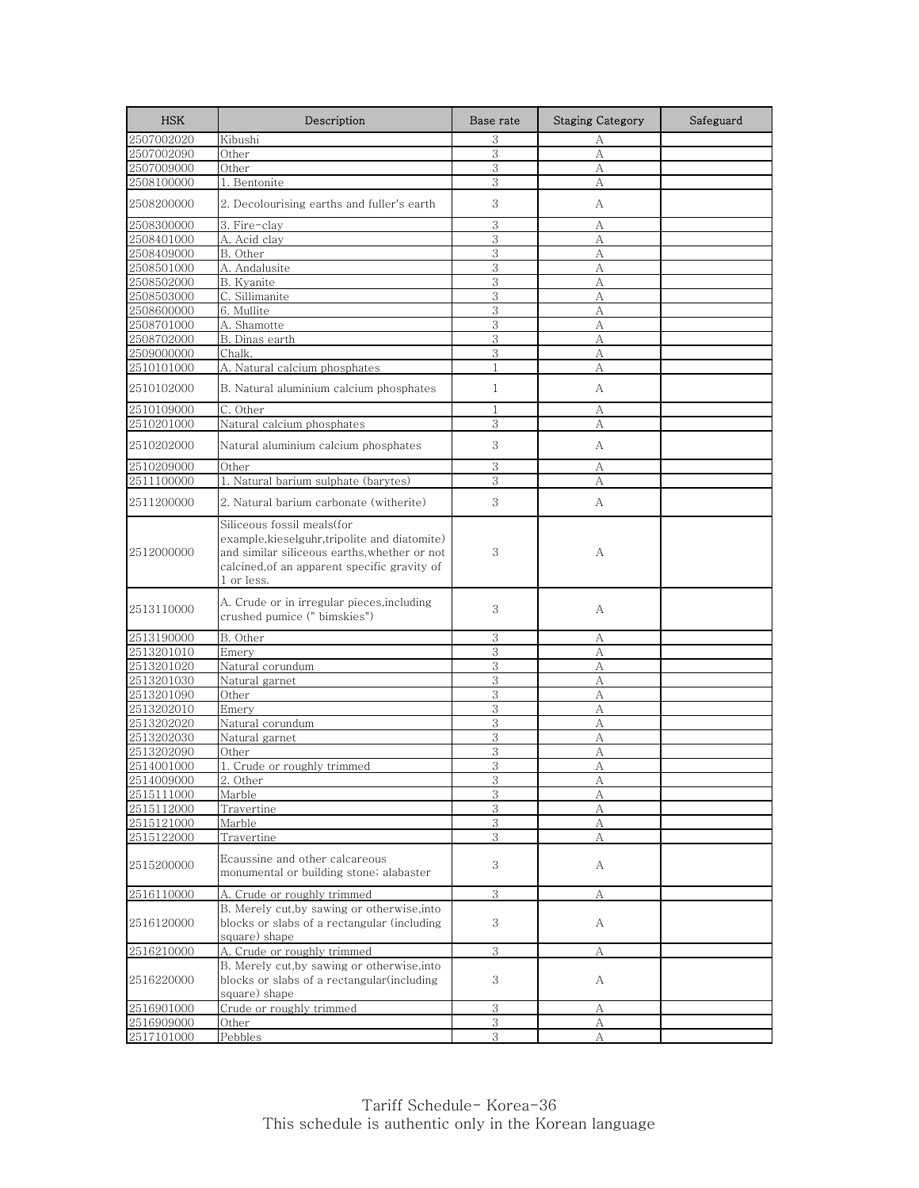| <b>HSK</b> | Description                                                                                                                                                                             | Base rate      | <b>Staging Category</b> | Safeguard |
|------------|-----------------------------------------------------------------------------------------------------------------------------------------------------------------------------------------|----------------|-------------------------|-----------|
| 2507002020 | Kibushi                                                                                                                                                                                 | 3              | А                       |           |
| 2507002090 | Other                                                                                                                                                                                   | 3              | A                       |           |
| 2507009000 | Other                                                                                                                                                                                   | 3              | А                       |           |
| 2508100000 | 1. Bentonite                                                                                                                                                                            | 3              | А                       |           |
| 2508200000 | 2. Decolourising earths and fuller's earth                                                                                                                                              | 3              | А                       |           |
| 2508300000 | 3. Fire-clay                                                                                                                                                                            | 3              | А                       |           |
| 2508401000 | A. Acid clay                                                                                                                                                                            | 3              | A                       |           |
| 2508409000 | B. Other                                                                                                                                                                                | 3              | А                       |           |
| 2508501000 | A. Andalusite                                                                                                                                                                           | 3              | А                       |           |
| 2508502000 | B. Kyanite                                                                                                                                                                              | 3              | A                       |           |
| 2508503000 | C. Sillimanite                                                                                                                                                                          | 3              | А                       |           |
| 2508600000 | 6. Mullite                                                                                                                                                                              | $\overline{3}$ | А                       |           |
| 2508701000 | A. Shamotte                                                                                                                                                                             | 3              | A                       |           |
| 2508702000 | B. Dinas earth                                                                                                                                                                          | 3              | А                       |           |
| 2509000000 | Chalk.                                                                                                                                                                                  | 3              | А                       |           |
| 2510101000 | A. Natural calcium phosphates                                                                                                                                                           | 1              | А                       |           |
| 2510102000 | B. Natural aluminium calcium phosphates                                                                                                                                                 | $\mathbf{1}$   | А                       |           |
| 2510109000 | C. Other                                                                                                                                                                                | $\mathbf{1}$   | А                       |           |
| 2510201000 | Natural calcium phosphates                                                                                                                                                              | 3              | А                       |           |
| 2510202000 | Natural aluminium calcium phosphates                                                                                                                                                    | 3              | A                       |           |
| 2510209000 | Other                                                                                                                                                                                   | 3              | А                       |           |
| 2511100000 | 1. Natural barium sulphate (barytes)                                                                                                                                                    | 3              | А                       |           |
|            |                                                                                                                                                                                         |                |                         |           |
| 2511200000 | 2. Natural barium carbonate (witherite).                                                                                                                                                | 3              | А                       |           |
| 2512000000 | Siliceous fossil meals(for<br>example,kieselguhr,tripolite and diatomite)<br>and similar siliceous earths, whether or not<br>calcined, of an apparent specific gravity of<br>1 or less. | 3              | А                       |           |
| 2513110000 | A. Crude or in irregular pieces, including<br>crushed pumice (" bimskies")                                                                                                              | 3              | А                       |           |
| 2513190000 | B. Other                                                                                                                                                                                | 3              | А                       |           |
| 2513201010 | Emery                                                                                                                                                                                   | 3              | А                       |           |
| 2513201020 | Natural corundum                                                                                                                                                                        | 3              | А                       |           |
| 2513201030 | Natural garnet                                                                                                                                                                          | 3              | А                       |           |
| 2513201090 | Other                                                                                                                                                                                   | 3              | А                       |           |
| 2513202010 | Emery                                                                                                                                                                                   | 3              | А                       |           |
| 2513202020 | Natural corundum                                                                                                                                                                        | 3              | А                       |           |
| 2513202030 | Natural garnet                                                                                                                                                                          | 3              | А                       |           |
| 2513202090 | Other                                                                                                                                                                                   | 3              | A                       |           |
| 2514001000 | 1. Crude or roughly trimmed                                                                                                                                                             | 3              | А                       |           |
| 2514009000 | 2. Other                                                                                                                                                                                | 3              | A                       |           |
| 2515111000 | Marble                                                                                                                                                                                  | 3              | А                       |           |
| 2515112000 | Travertine                                                                                                                                                                              | 3              | А                       |           |
| 2515121000 | Marble                                                                                                                                                                                  | $\,3$          | А                       |           |
| 2515122000 | Travertine                                                                                                                                                                              | 3              | А                       |           |
| 2515200000 | Ecaussine and other calcareous<br>monumental or building stone; alabaster                                                                                                               | 3              | А                       |           |
| 2516110000 | A. Crude or roughly trimmed                                                                                                                                                             | 3              | А                       |           |
|            | B. Merely cut, by sawing or otherwise, into                                                                                                                                             |                |                         |           |
| 2516120000 | blocks or slabs of a rectangular (including<br>square) shape                                                                                                                            | 3              | A                       |           |
| 2516210000 | A. Crude or roughly trimmed                                                                                                                                                             | 3              | А                       |           |
|            | B. Merely cut, by sawing or otherwise, into                                                                                                                                             |                |                         |           |
| 2516220000 | blocks or slabs of a rectangular (including<br>square) shape                                                                                                                            | 3              | А                       |           |
| 2516901000 | Crude or roughly trimmed                                                                                                                                                                | 3              | А                       |           |
| 2516909000 | Other                                                                                                                                                                                   | 3              | А                       |           |
| 2517101000 | Pebbles                                                                                                                                                                                 | 3              | А                       |           |
|            |                                                                                                                                                                                         |                |                         |           |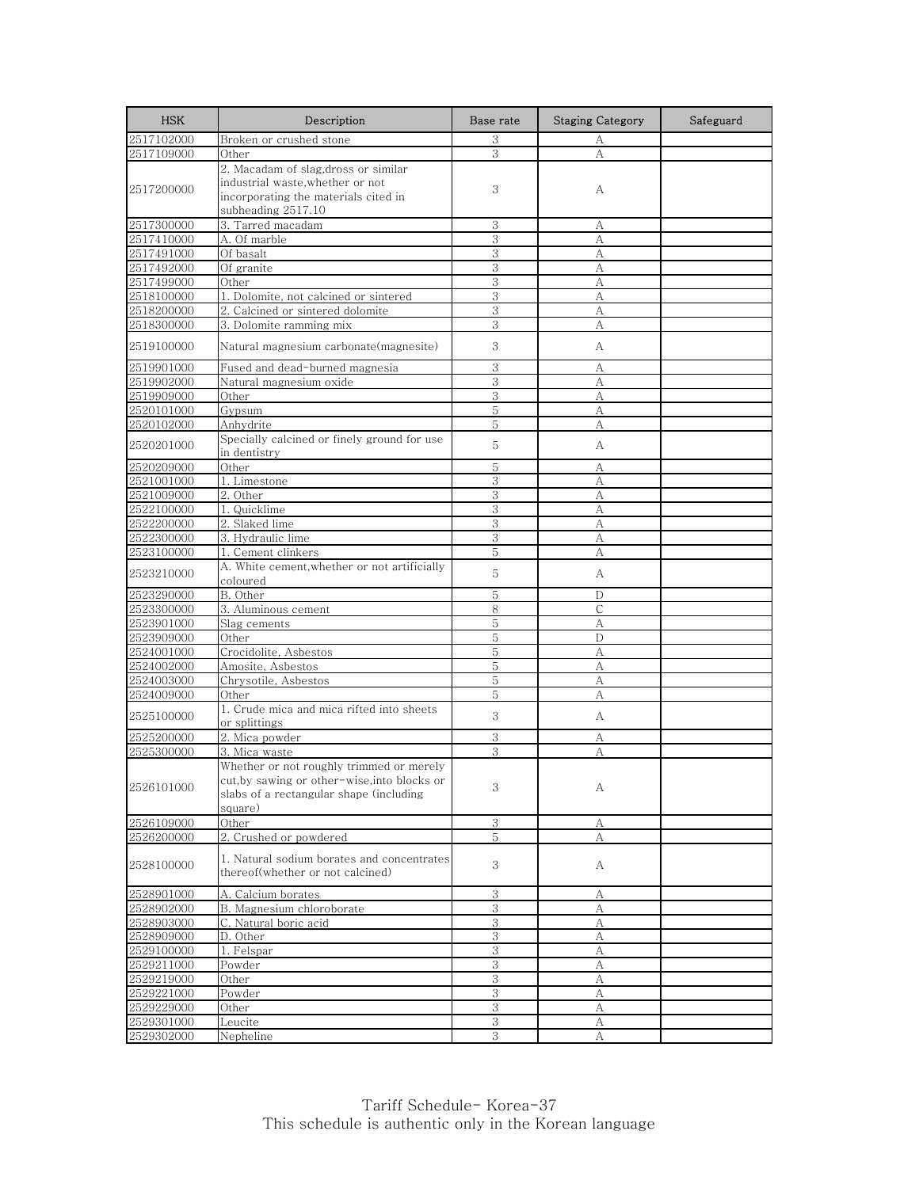| <b>HSK</b>               | Description                                                                    | Base rate | <b>Staging Category</b> | Safeguard |
|--------------------------|--------------------------------------------------------------------------------|-----------|-------------------------|-----------|
| 2517102000               | Broken or crushed stone                                                        | 3         | А                       |           |
| 2517109000               | Other                                                                          | 3         | А                       |           |
|                          | 2. Macadam of slag,dross or similar                                            |           |                         |           |
| 2517200000               | industrial waste, whether or not                                               | 3         | А                       |           |
|                          | incorporating the materials cited in                                           |           |                         |           |
|                          | subheading 2517.10                                                             |           |                         |           |
| 2517300000               | 3. Tarred macadam                                                              | 3         | А                       |           |
| 2517410000               | A. Of marble                                                                   | 3         | А                       |           |
| 2517491000               | Of basalt                                                                      | 3         | А                       |           |
| 2517492000<br>2517499000 | Of granite<br>Other                                                            | 3<br>3    | А                       |           |
| 2518100000               | 1. Dolomite, not calcined or sintered                                          | 3         | А<br>А                  |           |
| 2518200000               | 2. Calcined or sintered dolomite                                               | 3         | А                       |           |
| 2518300000               | 3. Dolomite ramming mix                                                        | 3         | А                       |           |
|                          |                                                                                |           |                         |           |
| 2519100000               | Natural magnesium carbonate(magnesite)                                         | 3         | А                       |           |
| 2519901000               | Fused and dead-burned magnesia                                                 | 3         | А                       |           |
| 2519902000               | Natural magnesium oxide                                                        | 3         | А                       |           |
| 2519909000               | Other                                                                          | 3         | А                       |           |
| 2520101000               | Gypsum                                                                         | 5         | А                       |           |
| 2520102000               | Anhydrite                                                                      | 5         | А                       |           |
| 2520201000               | Specially calcined or finely ground for use<br>in dentistry                    | 5         | A                       |           |
| 2520209000               | Other                                                                          | 5         | А                       |           |
| 2521001000               | 1. Limestone                                                                   | 3         | А                       |           |
| 2521009000               | 2. Other                                                                       | 3         | А                       |           |
| 2522100000               | 1. Quicklime                                                                   | 3         | A                       |           |
| 2522200000               | 2. Slaked lime                                                                 | 3         | А                       |           |
| 2522300000               | 3. Hydraulic lime                                                              | 3         | А                       |           |
| 2523100000               | 1. Cement clinkers                                                             | 5         | А                       |           |
| 2523210000               | A. White cement, whether or not artificially<br>coloured                       | 5         | А                       |           |
| 2523290000               | B. Other                                                                       | 5         | D                       |           |
| 2523300000               | 3. Aluminous cement                                                            | 8         | C                       |           |
| 2523901000               | Slag cements                                                                   | 5         | А                       |           |
| 2523909000               | Other                                                                          | 5         | D                       |           |
| 2524001000               | Crocidolite, Asbestos                                                          | 5         | A                       |           |
| 2524002000               | Amosite, Asbestos                                                              | 5         | А                       |           |
| 2524003000               | Chrysotile, Asbestos                                                           | 5         | А                       |           |
| 2524009000               | Other                                                                          | 5         | А                       |           |
| 2525100000               | 1. Crude mica and mica rifted into sheets<br>or splittings                     | 3         | A                       |           |
| 2525200000               | 2. Mica powder                                                                 | 3         | А                       |           |
| 2525300000               | 3. Mica waste                                                                  | 3         | А                       |           |
|                          | Whether or not roughly trimmed or merely                                       |           |                         |           |
| 2526101000               | cut, by sawing or other-wise, into blocks or                                   | 3         |                         |           |
|                          | slabs of a rectangular shape (including                                        |           | А                       |           |
|                          | square)                                                                        |           |                         |           |
| 2526109000               | Other                                                                          | 3         | А                       |           |
| 2526200000               | 2. Crushed or powdered                                                         | 5         | А                       |           |
| 2528100000               | 1. Natural sodium borates and concentrates<br>thereof(whether or not calcined) | 3         | A                       |           |
| 2528901000               | A. Calcium borates                                                             | 3         | А                       |           |
| 2528902000               | B. Magnesium chloroborate                                                      | 3         | А                       |           |
| 2528903000               | C. Natural boric acid                                                          | $\,3$     | А                       |           |
| 2528909000               | D. Other                                                                       | 3         | А                       |           |
| 2529100000               | 1. Felspar                                                                     | 3         | A                       |           |
| 2529211000               | Powder                                                                         | 3         | А                       |           |
| 2529219000               | Other                                                                          | 3         | А                       |           |
| 2529221000               | Powder                                                                         | 3         | А                       |           |
| 2529229000               | Other                                                                          | 3         | А                       |           |
| 2529301000               | Leucite                                                                        | $\,3$     | А                       |           |
| 2529302000               | Nepheline                                                                      | 3         | А                       |           |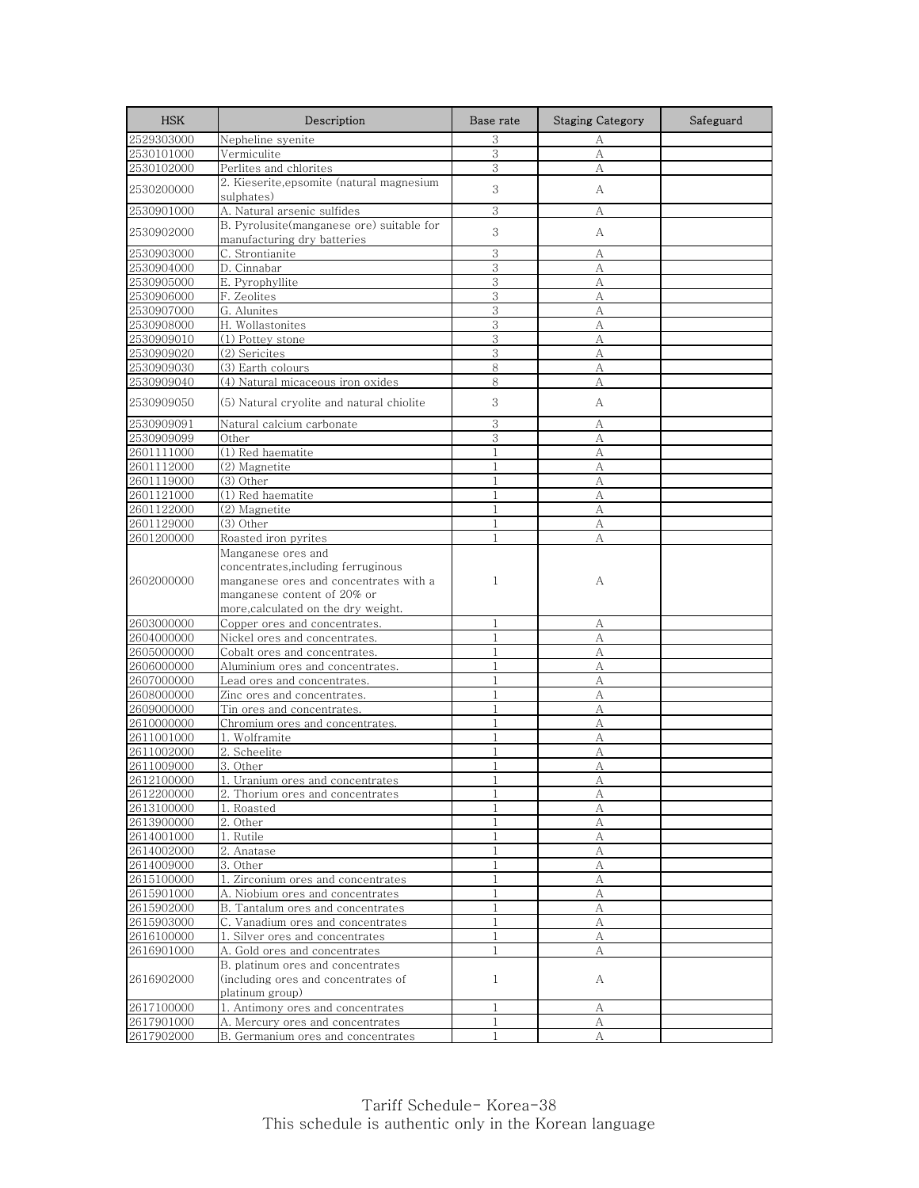| <b>HSK</b>               | Description                                                              | Base rate                    | <b>Staging Category</b> | Safeguard |
|--------------------------|--------------------------------------------------------------------------|------------------------------|-------------------------|-----------|
| 2529303000               | Nepheline syenite                                                        | 3                            | А                       |           |
| 2530101000               | Vermiculite                                                              | 3                            | $\mathbf{A}$            |           |
| 2530102000               | Perlites and chlorites                                                   | 3                            | А                       |           |
| 2530200000               | 2. Kieserite, epsomite (natural magnesium                                | 3                            | А                       |           |
|                          | sulphates)                                                               | 3                            |                         |           |
| 2530901000               | A. Natural arsenic sulfides<br>B. Pyrolusite(manganese ore) suitable for |                              | А                       |           |
| 2530902000               | manufacturing dry batteries                                              | 3                            | А                       |           |
| 2530903000               | C. Strontianite                                                          | 3                            | А                       |           |
| 2530904000               | D. Cinnabar                                                              | 3                            | A                       |           |
| 2530905000               | E. Pyrophyllite                                                          | 3                            | А                       |           |
| 2530906000               | F. Zeolites                                                              | 3                            | A                       |           |
| 2530907000               | G. Alunites                                                              | 3                            | A                       |           |
| 2530908000               | H. Wollastonites                                                         | 3                            | A                       |           |
| 2530909010               | (1) Pottey stone                                                         | 3                            | А                       |           |
| 2530909020               | (2) Sericites                                                            | 3                            | A                       |           |
| 2530909030               | (3) Earth colours                                                        | 8                            | А                       |           |
| 2530909040               | (4) Natural micaceous iron oxides                                        | 8                            | A                       |           |
| 2530909050               | (5) Natural cryolite and natural chiolite                                | 3                            | А                       |           |
| 2530909091               | Natural calcium carbonate                                                | 3                            | А                       |           |
| 2530909099               | Other                                                                    | 3                            | А                       |           |
| 2601111000               | (1) Red haematite                                                        | $\mathbf{1}$                 | А                       |           |
| 2601112000               | (2) Magnetite                                                            | $\mathbf{1}$                 | А                       |           |
| 2601119000               | (3) Other                                                                | $\mathbf{1}$                 | A                       |           |
| 2601121000               | (1) Red haematite                                                        | $\mathbf{1}$                 | А                       |           |
| 2601122000               | (2) Magnetite                                                            | $\mathbf{1}$                 | А                       |           |
| 2601129000               | $(3)$ Other                                                              | $\mathbf{1}$                 | А                       |           |
| 2601200000               | Roasted iron pyrites                                                     | 1                            | А                       |           |
|                          | Manganese ores and                                                       |                              |                         |           |
|                          | concentrates, including ferruginous                                      |                              |                         |           |
| 2602000000               | manganese ores and concentrates with a<br>manganese content of 20% or    | 1                            | А                       |           |
|                          | more, calculated on the dry weight.                                      |                              |                         |           |
| 2603000000               | Copper ores and concentrates.                                            | 1                            | А                       |           |
| 2604000000               | Nickel ores and concentrates.                                            | $\mathbf{1}$                 | А                       |           |
| 2605000000               | Cobalt ores and concentrates.                                            | $\mathbf{1}$                 | A                       |           |
| 2606000000               | Aluminium ores and concentrates.                                         | $\mathbf{1}$                 | A                       |           |
| 2607000000               | Lead ores and concentrates.                                              | $\mathbf{1}$                 | А                       |           |
| 2608000000               | Zinc ores and concentrates.                                              | $\mathbf{1}$                 | А                       |           |
| 2609000000               | Tin ores and concentrates.                                               | $\mathbf{1}$                 | А                       |           |
| 2610000000               | Chromium ores and concentrates.                                          | $\mathbf{1}$                 | А                       |           |
| 2611001000               | 1. Wolframite                                                            | $\mathbf{1}$                 | A                       |           |
| 2611002000               | 2. Scheelite                                                             | $\mathbf{1}$                 | A                       |           |
| 2611009000               | 3. Other                                                                 | $\mathbf{1}$                 | А                       |           |
| 2612100000               | 1. Uranium ores and concentrates                                         |                              | А                       |           |
| 2612200000               | 2. Thorium ores and concentrates                                         | $\mathbf{1}$                 | А                       |           |
| 2613100000               | Roasted<br>1.                                                            |                              | А                       |           |
| 2613900000<br>2614001000 | 2. Other<br>1. Rutile                                                    | $\mathbf{1}$<br>$\mathbf{1}$ | A                       |           |
| 2614002000               | 2. Anatase                                                               | 1                            | А<br>А                  |           |
| 2614009000               | 3. Other                                                                 | $\mathbf{1}$                 | A                       |           |
| 2615100000               | 1. Zirconium ores and concentrates                                       | 1                            | А                       |           |
| 2615901000               | A. Niobium ores and concentrates                                         | $\mathbf{1}$                 | A                       |           |
| 2615902000               | B. Tantalum ores and concentrates                                        | $\mathbf{1}$                 | А                       |           |
| 2615903000               | C. Vanadium ores and concentrates                                        | $\mathbf{1}$                 | A                       |           |
| 2616100000               | 1. Silver ores and concentrates                                          | $\mathbf{1}$                 | А                       |           |
| 2616901000               | A. Gold ores and concentrates                                            | 1                            | А                       |           |
|                          | B. platinum ores and concentrates                                        |                              |                         |           |
| 2616902000               | (including ores and concentrates of                                      | $\mathbf{1}$                 | А                       |           |
|                          | platinum group)                                                          |                              |                         |           |
| 2617100000               | 1. Antimony ores and concentrates                                        | $\mathbf{1}$                 | А                       |           |
| 2617901000               | A. Mercury ores and concentrates                                         | 1                            | А                       |           |
| 2617902000               | B. Germanium ores and concentrates                                       | $\mathbf{1}$                 | $\mathbf{A}$            |           |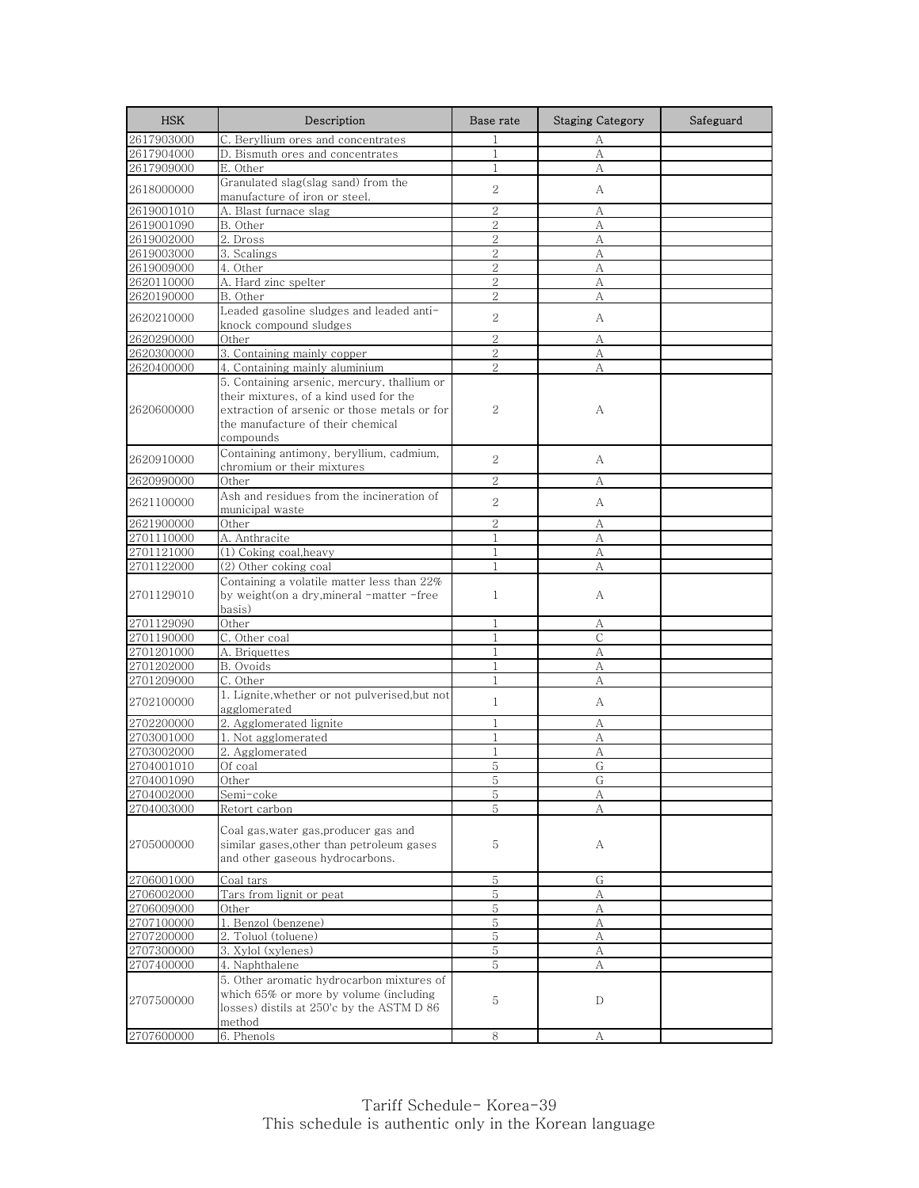| <b>HSK</b> | Description                                                                             | Base rate                        | <b>Staging Category</b> | Safeguard |
|------------|-----------------------------------------------------------------------------------------|----------------------------------|-------------------------|-----------|
| 2617903000 | C. Beryllium ores and concentrates                                                      | $\mathbf{1}$                     | А                       |           |
| 2617904000 | D. Bismuth ores and concentrates                                                        | $\mathbf{1}$                     | А                       |           |
| 2617909000 | E. Other                                                                                | 1                                | А                       |           |
| 2618000000 | Granulated slag(slag sand) from the                                                     | 2                                | А                       |           |
|            | manufacture of iron or steel.                                                           |                                  |                         |           |
| 2619001010 | A. Blast furnace slag                                                                   | $\overline{2}$                   | А                       |           |
| 2619001090 | B. Other                                                                                | $\mathbf{2}$                     | А                       |           |
| 2619002000 | 2. Dross                                                                                | $\overline{2}$                   | А                       |           |
| 2619003000 | 3. Scalings                                                                             | $\overline{2}$                   | А                       |           |
| 2619009000 | 4. Other                                                                                | $\overline{2}$<br>$\overline{2}$ | А                       |           |
| 2620110000 | A. Hard zinc spelter                                                                    | 2                                | А                       |           |
| 2620190000 | B. Other<br>Leaded gasoline sludges and leaded anti-                                    |                                  | А                       |           |
| 2620210000 | knock compound sludges                                                                  | 2                                | А                       |           |
| 2620290000 | Other                                                                                   | $\overline{2}$                   | А                       |           |
| 2620300000 | 3. Containing mainly copper                                                             | $\sqrt{2}$                       | А                       |           |
| 2620400000 | 4. Containing mainly aluminium                                                          | 2                                | А                       |           |
|            | 5. Containing arsenic, mercury, thallium or                                             |                                  |                         |           |
|            | their mixtures, of a kind used for the                                                  |                                  |                         |           |
| 2620600000 | extraction of arsenic or those metals or for                                            | 2                                | А                       |           |
|            | the manufacture of their chemical                                                       |                                  |                         |           |
|            | compounds                                                                               |                                  |                         |           |
|            | Containing antimony, beryllium, cadmium,                                                |                                  |                         |           |
| 2620910000 | chromium or their mixtures                                                              | 2                                | А                       |           |
| 2620990000 | Other                                                                                   | $\mathbf{2}$                     | А                       |           |
|            | Ash and residues from the incineration of                                               | $\overline{2}$                   |                         |           |
| 2621100000 | municipal waste                                                                         |                                  | А                       |           |
| 2621900000 | Other                                                                                   | $\overline{2}$                   | А                       |           |
| 2701110000 | A. Anthracite                                                                           | $\mathbf{1}$                     | А                       |           |
| 2701121000 | (1) Coking coal, heavy                                                                  | $\mathbf{1}$                     | А                       |           |
| 2701122000 | (2) Other coking coal                                                                   | 1                                | А                       |           |
| 2701129010 | Containing a volatile matter less than 22%<br>by weight(on a dry, mineral -matter -free | $\mathbf{1}$                     | А                       |           |
|            | basis)                                                                                  |                                  |                         |           |
| 2701129090 | Other                                                                                   | $\mathbf{1}$                     | А                       |           |
| 2701190000 | C. Other coal                                                                           | 1                                | C                       |           |
| 2701201000 | A. Briquettes                                                                           | $\mathbf{1}$                     | А                       |           |
| 2701202000 | B. Ovoids                                                                               | $\mathbf{1}$                     | А                       |           |
| 2701209000 | C. Other                                                                                | $\mathbf{1}$                     | А                       |           |
| 2702100000 | 1. Lignite, whether or not pulverised, but not                                          | $\mathbf{1}$                     | А                       |           |
| 2702200000 | agglomerated<br>2. Agglomerated lignite                                                 | $\mathbf{1}$                     | А                       |           |
| 2703001000 | 1. Not agglomerated                                                                     | 1                                | А                       |           |
| 2703002000 | 2. Agglomerated                                                                         | $\mathbf{1}$                     | A                       |           |
| 2704001010 | Of coal                                                                                 | 5                                | G                       |           |
| 2704001090 | Other                                                                                   | 5                                | G                       |           |
| 2704002000 | Semi-coke                                                                               | 5                                | А                       |           |
| 2704003000 | Retort carbon                                                                           | 5                                | А                       |           |
|            |                                                                                         |                                  |                         |           |
|            | Coal gas, water gas, producer gas and                                                   |                                  |                         |           |
| 2705000000 | similar gases, other than petroleum gases                                               | 5                                | А                       |           |
|            | and other gaseous hydrocarbons.                                                         |                                  |                         |           |
| 2706001000 | Coal tars                                                                               | 5                                | G                       |           |
| 2706002000 | Tars from lignit or peat                                                                | 5                                | А                       |           |
| 2706009000 | Other                                                                                   | 5                                | А                       |           |
| 2707100000 | 1. Benzol (benzene)                                                                     | 5                                | А                       |           |
| 2707200000 | 2. Toluol (toluene)                                                                     | 5                                | А                       |           |
| 2707300000 | 3. Xylol (xylenes)                                                                      | 5                                | А                       |           |
| 2707400000 | 4. Naphthalene                                                                          | 5                                | А                       |           |
|            | 5. Other aromatic hydrocarbon mixtures of                                               |                                  |                         |           |
| 2707500000 | which 65% or more by volume (including                                                  | 5                                | D                       |           |
|            | losses) distils at 250'c by the ASTM D 86                                               |                                  |                         |           |
|            | method                                                                                  |                                  |                         |           |
| 2707600000 | 6. Phenols                                                                              | 8                                | А                       |           |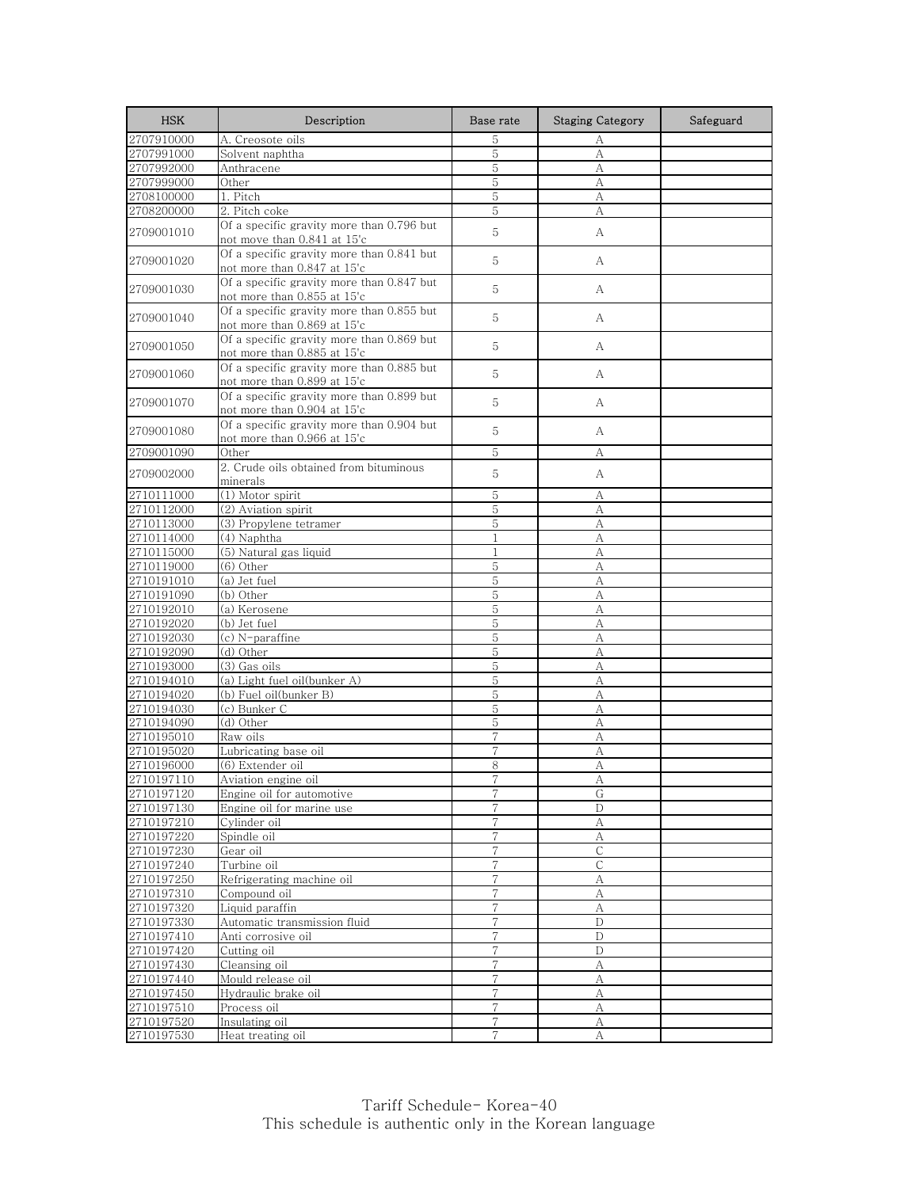| <b>HSK</b>               | Description                                                              | Base rate      | <b>Staging Category</b> | Safeguard |
|--------------------------|--------------------------------------------------------------------------|----------------|-------------------------|-----------|
| 2707910000               | A. Creosote oils                                                         | 5              | А                       |           |
| 2707991000               | Solvent naphtha                                                          | 5              | А                       |           |
| 2707992000               | Anthracene                                                               | 5              | A                       |           |
| 2707999000               | Other                                                                    | 5              | А                       |           |
| 2708100000               | 1. Pitch                                                                 | 5              | А                       |           |
| 2708200000               | 2. Pitch coke                                                            | 5              | А                       |           |
| 2709001010               | Of a specific gravity more than 0.796 but<br>not move than 0.841 at 15'c | 5              | А                       |           |
| 2709001020               | Of a specific gravity more than 0.841 but<br>not more than 0.847 at 15'c | 5              | А                       |           |
| 2709001030               | Of a specific gravity more than 0.847 but<br>not more than 0.855 at 15'c | 5              | A                       |           |
| 2709001040               | Of a specific gravity more than 0.855 but<br>not more than 0.869 at 15'c | 5              | A                       |           |
| 2709001050               | Of a specific gravity more than 0.869 but<br>not more than 0.885 at 15'c | 5              | A                       |           |
| 2709001060               | Of a specific gravity more than 0.885 but<br>not more than 0.899 at 15'c | 5              | А                       |           |
| 2709001070               | Of a specific gravity more than 0.899 but<br>not more than 0.904 at 15'c | 5              | А                       |           |
| 2709001080               | Of a specific gravity more than 0.904 but<br>not more than 0.966 at 15'c | 5              | A                       |           |
| 2709001090               | Other                                                                    | 5              | А                       |           |
| 2709002000               | 2. Crude oils obtained from bituminous<br>minerals                       | 5              | A                       |           |
| 2710111000               | (1) Motor spirit                                                         | 5              | А                       |           |
| 2710112000               | (2) Aviation spirit                                                      | 5              | А                       |           |
| 2710113000               | (3) Propylene tetramer                                                   | 5              | А                       |           |
| 2710114000               | (4) Naphtha                                                              | $\mathbf{1}$   | А                       |           |
| 2710115000               | (5) Natural gas liquid                                                   | $\mathbf{1}$   | А                       |           |
| 2710119000               | (6) Other                                                                | 5              | А                       |           |
| 2710191010               | (a) Jet fuel                                                             | 5              | A                       |           |
| 2710191090               | (b) Other                                                                | 5              | А                       |           |
| 2710192010               | (a) Kerosene                                                             | 5              | A                       |           |
| 2710192020               | (b) Jet fuel                                                             | 5              | A                       |           |
| 2710192030               | (c) N-paraffine                                                          | 5              | А                       |           |
| 2710192090               | (d) Other                                                                | 5              | A                       |           |
| 2710193000               | (3) Gas oils                                                             | 5              | А                       |           |
| 2710194010               | (a) Light fuel oil(bunker A)                                             | 5              | A                       |           |
| 2710194020               | (b) Fuel oil(bunker B)                                                   | 5              | A                       |           |
| 2710194030               | (c) Bunker C                                                             | 5              | А                       |           |
| 2710194090               | (d) Other                                                                | 5              | А                       |           |
| 2710195010               | Raw oils                                                                 | 7              | А                       |           |
| 2710195020               | Lubricating base oil                                                     | 7              | А                       |           |
| 2710196000<br>2710197110 | (6) Extender oil                                                         | 8              | А                       |           |
| 2710197120               | Aviation engine oil                                                      | $\overline{7}$ | G                       |           |
| 2710197130               | Engine oil for automotive<br>Engine oil for marine use                   | 7              | D                       |           |
| 2710197210               | Cylinder oil                                                             | $\overline{7}$ | $\boldsymbol{A}$        |           |
| 2710197220               | Spindle oil                                                              | 7              |                         |           |
| 2710197230               | Gear oil                                                                 | 7              | А<br>C                  |           |
| 2710197240               | Turbine oil                                                              | 7              | С                       |           |
| 2710197250               | Refrigerating machine oil                                                | 7              | A                       |           |
| 2710197310               | Compound oil                                                             | $\overline{7}$ | А                       |           |
| 2710197320               | Liquid paraffin                                                          | 7              | А                       |           |
| 2710197330               | Automatic transmission fluid                                             | 7              | $\mathbf D$             |           |
| 2710197410               | Anti corrosive oil                                                       | 7              | D                       |           |
| 2710197420               | Cutting oil                                                              | $\overline{7}$ | $\mathbf D$             |           |
| 2710197430               | Cleansing oil                                                            | $\overline{7}$ | А                       |           |
| 2710197440               | Mould release oil                                                        | $\overline{7}$ | А                       |           |
| 2710197450               | Hydraulic brake oil                                                      | $\overline{7}$ | А                       |           |
| 2710197510               | Process oil                                                              | 7              | А                       |           |
| 2710197520               | Insulating oil                                                           | $\overline{7}$ | А                       |           |
| 2710197530               | Heat treating oil                                                        | $\overline{7}$ | A                       |           |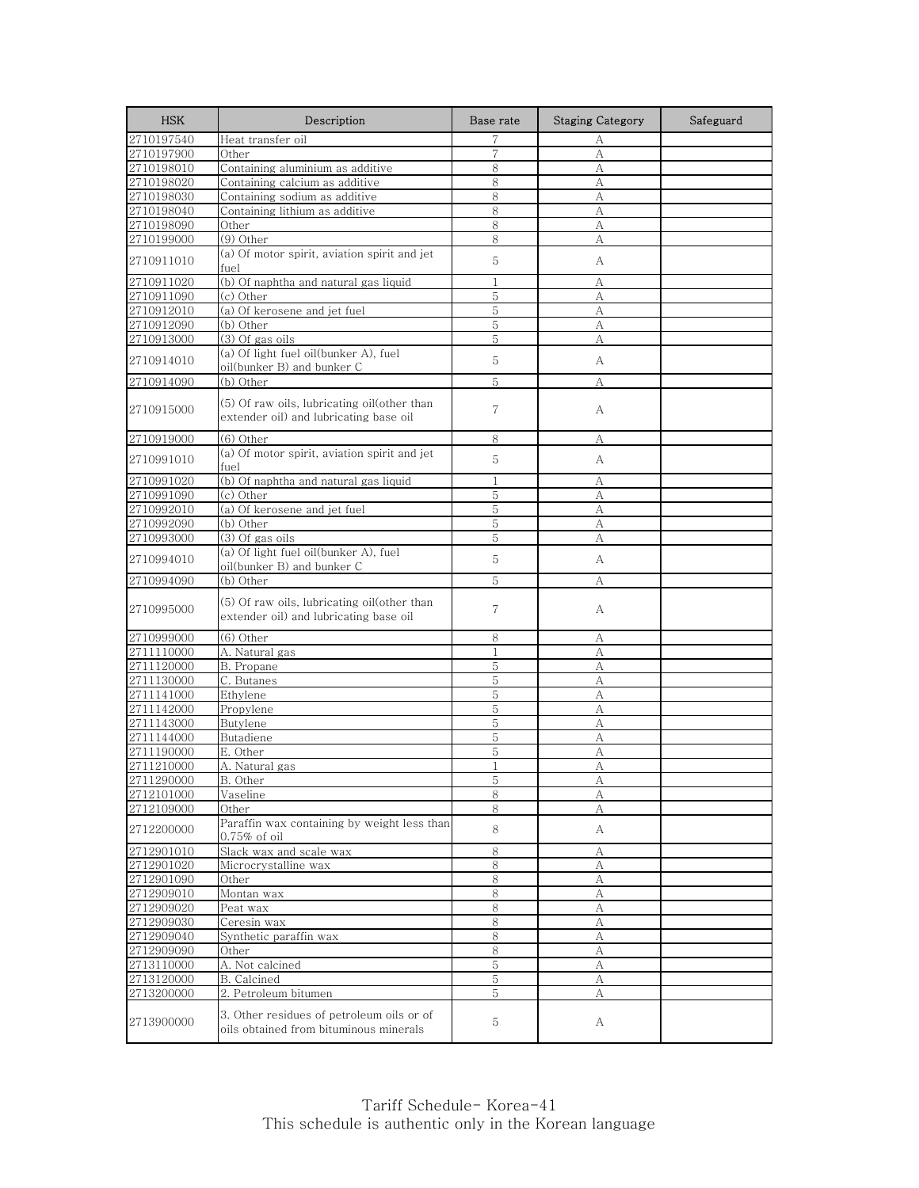| <b>HSK</b> | Description                                                                           | Base rate      | <b>Staging Category</b> | Safeguard |
|------------|---------------------------------------------------------------------------------------|----------------|-------------------------|-----------|
| 2710197540 | Heat transfer oil                                                                     | 7              | А                       |           |
| 2710197900 | Other                                                                                 | $\overline{7}$ | A                       |           |
| 2710198010 | Containing aluminium as additive                                                      | 8              | А                       |           |
| 2710198020 | Containing calcium as additive                                                        | 8              | А                       |           |
| 2710198030 | Containing sodium as additive                                                         | 8              | А                       |           |
| 2710198040 | Containing lithium as additive                                                        | 8              | А                       |           |
| 2710198090 | Other                                                                                 | 8              | А                       |           |
| 2710199000 | (9) Other                                                                             | 8              | А                       |           |
| 2710911010 | (a) Of motor spirit, aviation spirit and jet<br>fuel                                  | 5              | А                       |           |
| 2710911020 | (b) Of naphtha and natural gas liquid                                                 | 1              | А                       |           |
| 2710911090 | (c) Other                                                                             | 5              | А                       |           |
| 2710912010 | (a) Of kerosene and jet fuel                                                          | 5              | А                       |           |
| 2710912090 | (b) Other                                                                             | 5              | A                       |           |
| 2710913000 | (3) Of gas oils                                                                       | 5              | А                       |           |
| 2710914010 | (a) Of light fuel oil(bunker A), fuel<br>oil(bunker B) and bunker C                   | 5              | А                       |           |
| 2710914090 | (b) Other                                                                             | 5              | А                       |           |
| 2710915000 | (5) Of raw oils, lubricating oil(other than<br>extender oil) and lubricating base oil | 7              | А                       |           |
| 2710919000 | (6) Other                                                                             | 8              | А                       |           |
| 2710991010 | (a) Of motor spirit, aviation spirit and jet<br>fuel                                  | 5              | А                       |           |
| 2710991020 | (b) Of naphtha and natural gas liquid                                                 | $\mathbf{1}$   | А                       |           |
| 2710991090 | (c) Other                                                                             | 5              | А                       |           |
| 2710992010 | (a) Of kerosene and jet fuel                                                          | 5              | А                       |           |
| 2710992090 | (b) Other                                                                             | 5              | А                       |           |
| 2710993000 | (3) Of gas oils                                                                       | 5              | А                       |           |
| 2710994010 | (a) Of light fuel oil(bunker A), fuel                                                 | 5              | А                       |           |
| 2710994090 | oil(bunker B) and bunker C<br>(b) Other                                               | 5              | А                       |           |
| 2710995000 | (5) Of raw oils, lubricating oil(other than<br>extender oil) and lubricating base oil | 7              | А                       |           |
| 2710999000 | (6) Other                                                                             | 8              | А                       |           |
| 2711110000 | A. Natural gas                                                                        | $\mathbf{1}$   | A                       |           |
| 2711120000 | B. Propane                                                                            | 5              | А                       |           |
| 2711130000 | C. Butanes                                                                            | 5              | А                       |           |
| 2711141000 | Ethylene                                                                              | 5              | А                       |           |
| 2711142000 | Propylene                                                                             | 5              | А                       |           |
| 2711143000 | Butylene                                                                              | 5              | A                       |           |
| 2711144000 | Butadiene                                                                             | 5              | А                       |           |
| 2711190000 | E. Other                                                                              | 5              | А                       |           |
| 2711210000 | A. Natural gas                                                                        | 1              | A                       |           |
| 2711290000 | B. Other                                                                              | C              | A                       |           |
| 2712101000 | Vaseline                                                                              | 8              | А                       |           |
| 2712109000 | Other                                                                                 | 8              | А                       |           |
| 2712200000 | Paraffin wax containing by weight less than<br>$0.75\%$ of oil                        | 8              | A                       |           |
| 2712901010 | Slack wax and scale wax                                                               | 8              | А                       |           |
| 2712901020 | Microcrystalline wax                                                                  | 8              | А                       |           |
| 2712901090 | Other                                                                                 | $\,8\,$        | А                       |           |
| 2712909010 | Montan wax                                                                            | 8              | А                       |           |
| 2712909020 | Peat wax                                                                              | 8              | А                       |           |
| 2712909030 | Ceresin wax                                                                           | $\,8\,$        | А                       |           |
| 2712909040 | Synthetic paraffin wax                                                                | 8              | А                       |           |
| 2712909090 | Other                                                                                 | 8              | А                       |           |
| 2713110000 | A. Not calcined                                                                       | $\overline{5}$ | А                       |           |
| 2713120000 | B. Calcined                                                                           | 5              | А                       |           |
| 2713200000 | 2. Petroleum bitumen                                                                  | 5              | А                       |           |
| 2713900000 | 3. Other residues of petroleum oils or of<br>oils obtained from bituminous minerals   | 5              | А                       |           |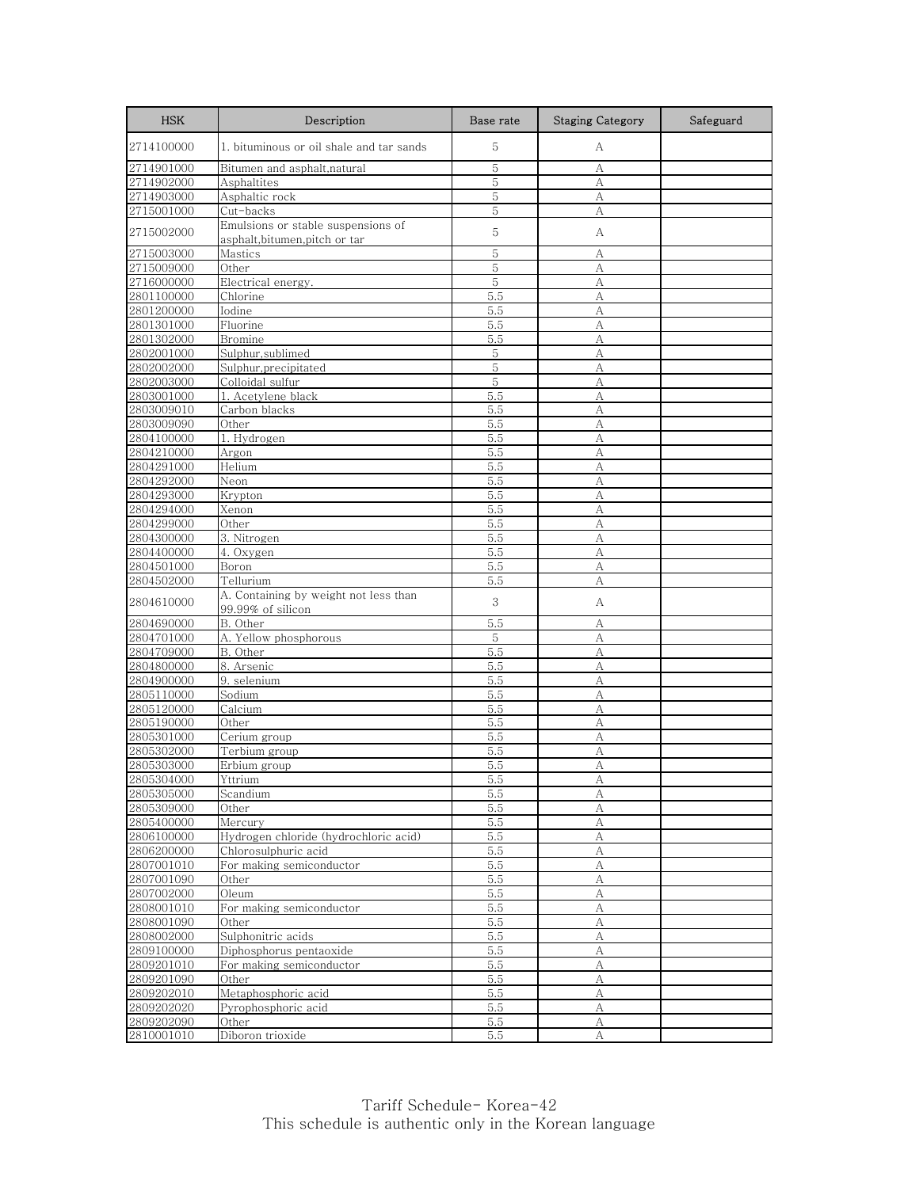| <b>HSK</b>               | Description                                                        | Base rate   | <b>Staging Category</b> | Safeguard |
|--------------------------|--------------------------------------------------------------------|-------------|-------------------------|-----------|
| 2714100000               | 1. bituminous or oil shale and tar sands                           | 5           | А                       |           |
| 2714901000               | Bitumen and asphalt,natural                                        | 5           | А                       |           |
| 2714902000               | Asphaltites                                                        | 5           | A                       |           |
| 2714903000               | Asphaltic rock                                                     | 5           | А                       |           |
| 2715001000               | Cut-backs                                                          | 5           | А                       |           |
| 2715002000               | Emulsions or stable suspensions of<br>asphalt,bitumen,pitch or tar | 5           | А                       |           |
| 2715003000               | Mastics                                                            | 5           | А                       |           |
| 2715009000               | Other                                                              | $\mathbf 5$ | А                       |           |
| 2716000000               | Electrical energy.                                                 | $\mathbf 5$ | А                       |           |
| 2801100000               | Chlorine                                                           | 5.5         | А                       |           |
| 2801200000               | Iodine                                                             | 5.5         | A                       |           |
| 2801301000               | Fluorine                                                           | 5.5         | A                       |           |
| 2801302000               | Bromine                                                            | 5.5         | A                       |           |
| 2802001000               | Sulphur, sublimed                                                  | 5           | А                       |           |
| 2802002000               | Sulphur, precipitated                                              | 5           | А                       |           |
| 2802003000               | Colloidal sulfur                                                   | 5           | A                       |           |
| 2803001000               | 1. Acetylene black                                                 | 5.5         | А                       |           |
| 2803009010               | Carbon blacks                                                      | 5.5         | A                       |           |
| 2803009090               | Other                                                              | 5.5         | A                       |           |
| 2804100000               | 1. Hydrogen                                                        | 5.5         | А                       |           |
| 2804210000               | Argon                                                              | 5.5         | A                       |           |
| 2804291000               | Helium                                                             | 5.5         | А                       |           |
| 2804292000               | Neon                                                               | 5.5         | А                       |           |
| 2804293000<br>2804294000 | Krypton                                                            | 5.5         | A                       |           |
| 2804299000               | Xenon                                                              | 5.5         | A                       |           |
|                          | Other                                                              | 5.5<br>5.5  | A<br>А                  |           |
| 2804300000<br>2804400000 | 3. Nitrogen<br>4. Oxygen                                           | 5.5         | A                       |           |
| 2804501000               | Boron                                                              | 5.5         | А                       |           |
| 2804502000               | Tellurium                                                          | 5.5         | A                       |           |
| 2804610000               | A. Containing by weight not less than<br>99.99% of silicon         | 3           | А                       |           |
| 2804690000               | B. Other                                                           | 5.5         | A                       |           |
| 2804701000               | A. Yellow phosphorous                                              | 5           | А                       |           |
| 2804709000               | B. Other                                                           | 5.5         | A                       |           |
| 2804800000               | 8. Arsenic                                                         | 5.5         | А                       |           |
| 2804900000               | 9. selenium                                                        | 5.5         | A                       |           |
| 2805110000               | Sodium                                                             | 5.5         | A                       |           |
| 2805120000               | Calcium                                                            | 5.5         | А                       |           |
| 2805190000               | Other                                                              | 5.5         | А                       |           |
| 2805301000               | Cerium group                                                       | 5.5         | А                       |           |
| 2805302000               | Terbium group                                                      | 5.5         | А                       |           |
| 2805303000               | Erbium group                                                       | 5.5         | А                       |           |
| 2805304000               | Yttrium                                                            | 5.5         | А                       |           |
| 2805305000               | Scandium                                                           | 5.5         | A                       |           |
| 2805309000               | Other                                                              | 5.5         | А                       |           |
| 2805400000               | Mercury                                                            | 5.5         | $\mathbf{A}$            |           |
| 2806100000               | Hydrogen chloride (hydrochloric acid)                              | 5.5         | А                       |           |
| 2806200000               | Chlorosulphuric acid                                               | 5.5         | A                       |           |
| 2807001010               | For making semiconductor                                           | 5.5         | А                       |           |
| 2807001090               | Other                                                              | 5.5         | A                       |           |
| 2807002000               | Oleum                                                              | 5.5         | A                       |           |
| 2808001010               | For making semiconductor                                           | 5.5         | А                       |           |
| 2808001090               | Other                                                              | 5.5         | А                       |           |
| 2808002000               | Sulphonitric acids                                                 | 5.5         | А                       |           |
| 2809100000<br>2809201010 | Diphosphorus pentaoxide<br>For making semiconductor                | 5.5         | A<br>A                  |           |
| 2809201090               |                                                                    | 5.5         |                         |           |
| 2809202010               | Other<br>Metaphosphoric acid                                       | 5.5<br>5.5  | А<br>$\boldsymbol{A}$   |           |
| 2809202020               | Pyrophosphoric acid                                                | 5.5         | А                       |           |
| 2809202090               | Other                                                              | 5.5         | A                       |           |
| 2810001010               | Diboron trioxide                                                   | 5.5         | А                       |           |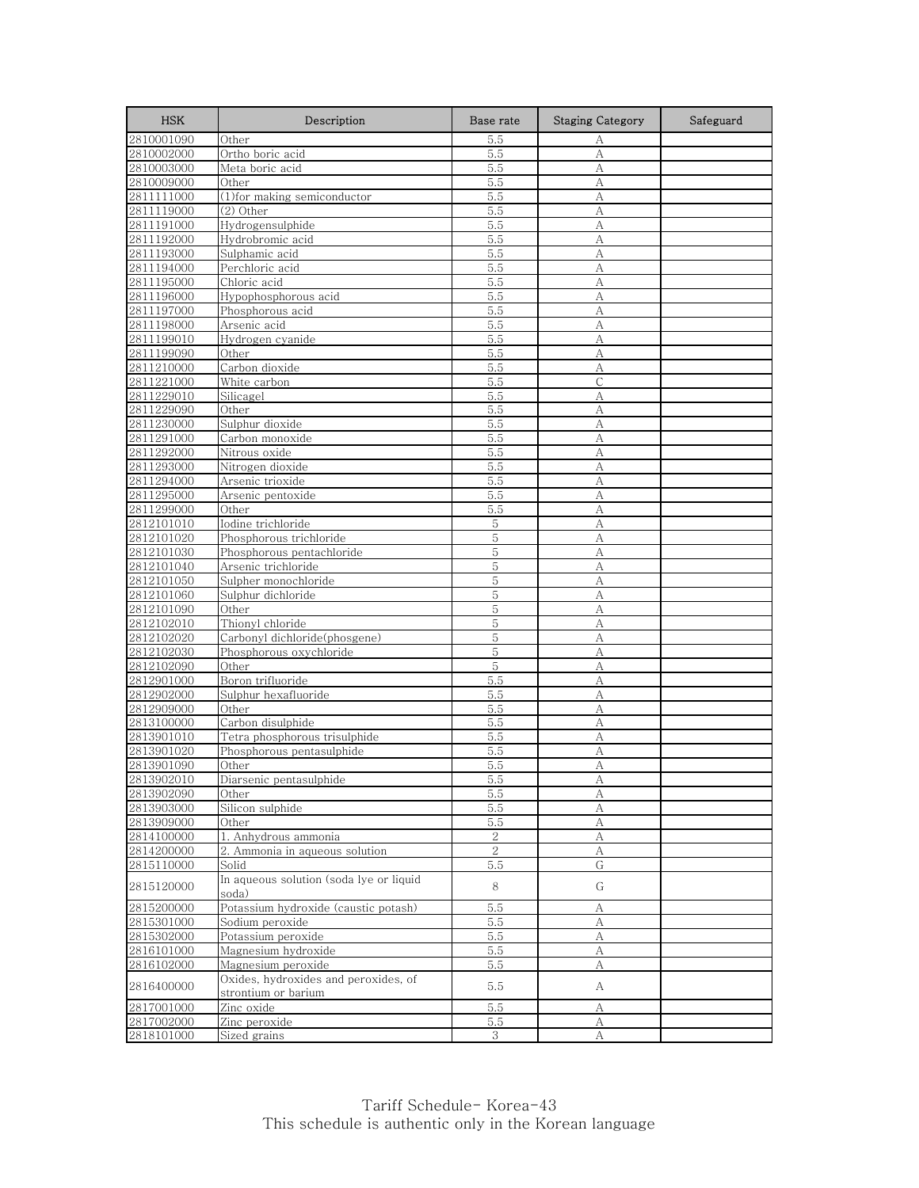| <b>HSK</b>               | Description                                      | Base rate      | <b>Staging Category</b> | Safeguard |
|--------------------------|--------------------------------------------------|----------------|-------------------------|-----------|
| 2810001090               | Other                                            | 5.5            | А                       |           |
| 2810002000               | Ortho boric acid                                 | 5.5            | A                       |           |
| 2810003000               | Meta boric acid                                  | 5.5            | A                       |           |
| 2810009000               | Other                                            | 5.5            | А                       |           |
| 2811111000               | (1) for making semiconductor                     | 5.5            | A                       |           |
| 2811119000               | (2) Other                                        | 5.5            | A                       |           |
| 2811191000               | Hydrogensulphide                                 | 5.5            | А                       |           |
| 2811192000               | Hydrobromic acid                                 | 5.5            | A                       |           |
| 2811193000               | Sulphamic acid                                   | 5.5            | A                       |           |
| 2811194000               | Perchloric acid                                  | 5.5            | А                       |           |
| 2811195000               | Chloric acid                                     | 5.5            | А                       |           |
| 2811196000               | Hypophosphorous acid                             | 5.5            | А                       |           |
| 2811197000<br>2811198000 | Phosphorous acid<br>Arsenic acid                 | 5.5            | А<br>A                  |           |
| 2811199010               | Hydrogen cyanide                                 | 5.5<br>5.5     | А                       |           |
| 2811199090               | Other                                            | 5.5            | А                       |           |
| 2811210000               | Carbon dioxide                                   | 5.5            | А                       |           |
| 2811221000               | White carbon                                     | 5.5            | $\overline{C}$          |           |
| 2811229010               | Silicagel                                        | 5.5            | А                       |           |
| 2811229090               | Other                                            | 5.5            | A                       |           |
| 2811230000               | Sulphur dioxide                                  | 5.5            | А                       |           |
| 2811291000               | Carbon monoxide                                  | 5.5            | А                       |           |
| 2811292000               | Nitrous oxide                                    | 5.5            | А                       |           |
| 2811293000               | Nitrogen dioxide                                 | 5.5            | А                       |           |
| 2811294000               | Arsenic trioxide                                 | 5.5            | А                       |           |
| 2811295000               | Arsenic pentoxide                                | 5.5            | А                       |           |
| 2811299000               | Other                                            | 5.5            | A                       |           |
| 2812101010               | Iodine trichloride                               | 5              | A                       |           |
| 2812101020               | Phosphorous trichloride                          | 5              | А                       |           |
| 2812101030               | Phosphorous pentachloride                        | 5              | A                       |           |
| 2812101040               | Arsenic trichloride                              | 5              | А                       |           |
| 2812101050               | Sulpher monochloride                             | 5              | A                       |           |
| 2812101060               | Sulphur dichloride                               | 5              | A                       |           |
| 2812101090               | Other                                            | 5              | A                       |           |
| 2812102010               | Thionyl chloride                                 | 5              | A                       |           |
| 2812102020               | Carbonyl dichloride(phosgene)                    | 5              | А                       |           |
| 2812102030               | Phosphorous oxychloride                          | 5              | A                       |           |
| 2812102090               | Other                                            | 5              | А                       |           |
| 2812901000               | Boron trifluoride                                | 5.5            | A                       |           |
| 2812902000               | Sulphur hexafluoride                             | 5.5            | А                       |           |
| 2812909000               | Other                                            | 5.5            | А                       |           |
| 2813100000               | Carbon disulphide                                | 5.5            | А                       |           |
| 2813901010               | Tetra phosphorous trisulphide                    | 5.5            | А                       |           |
| 2813901020               | Phosphorous pentasulphide                        | 5.5            | А                       |           |
| 2813901090<br>2813902010 | Other                                            | 5.5            | A                       |           |
| 2813902090               | Diarsenic pentasulphide                          | 5.5            | А                       |           |
| 2813903000               | Other<br>Silicon sulphide                        | 5.5<br>5.5     | А<br>А                  |           |
| 2813909000               | Other                                            | 5.5            | $\mathbf{A}$            |           |
| 2814100000               | 1. Anhydrous ammonia                             | $\sqrt{2}$     | А                       |           |
| 2814200000               | 2. Ammonia in aqueous solution                   | $\overline{2}$ | А                       |           |
| 2815110000               | Solid                                            | 5.5            | G                       |           |
| 2815120000               | In aqueous solution (soda lye or liquid<br>soda) | 8              | G                       |           |
| 2815200000               | Potassium hydroxide (caustic potash)             | 5.5            | А                       |           |
| 2815301000               | Sodium peroxide                                  | 5.5            | A                       |           |
| 2815302000               | Potassium peroxide                               | 5.5            | А                       |           |
| 2816101000               | Magnesium hydroxide                              | 5.5            | А                       |           |
| 2816102000               | Magnesium peroxide                               | 5.5            | А                       |           |
|                          | Oxides, hydroxides and peroxides, of             |                |                         |           |
| 2816400000               | strontium or barium                              | 5.5            | A                       |           |
| 2817001000               | Zinc oxide                                       | 5.5            | А                       |           |
| 2817002000               | Zinc peroxide                                    | 5.5            | A                       |           |
| 2818101000               | Sized grains                                     | 3              | А                       |           |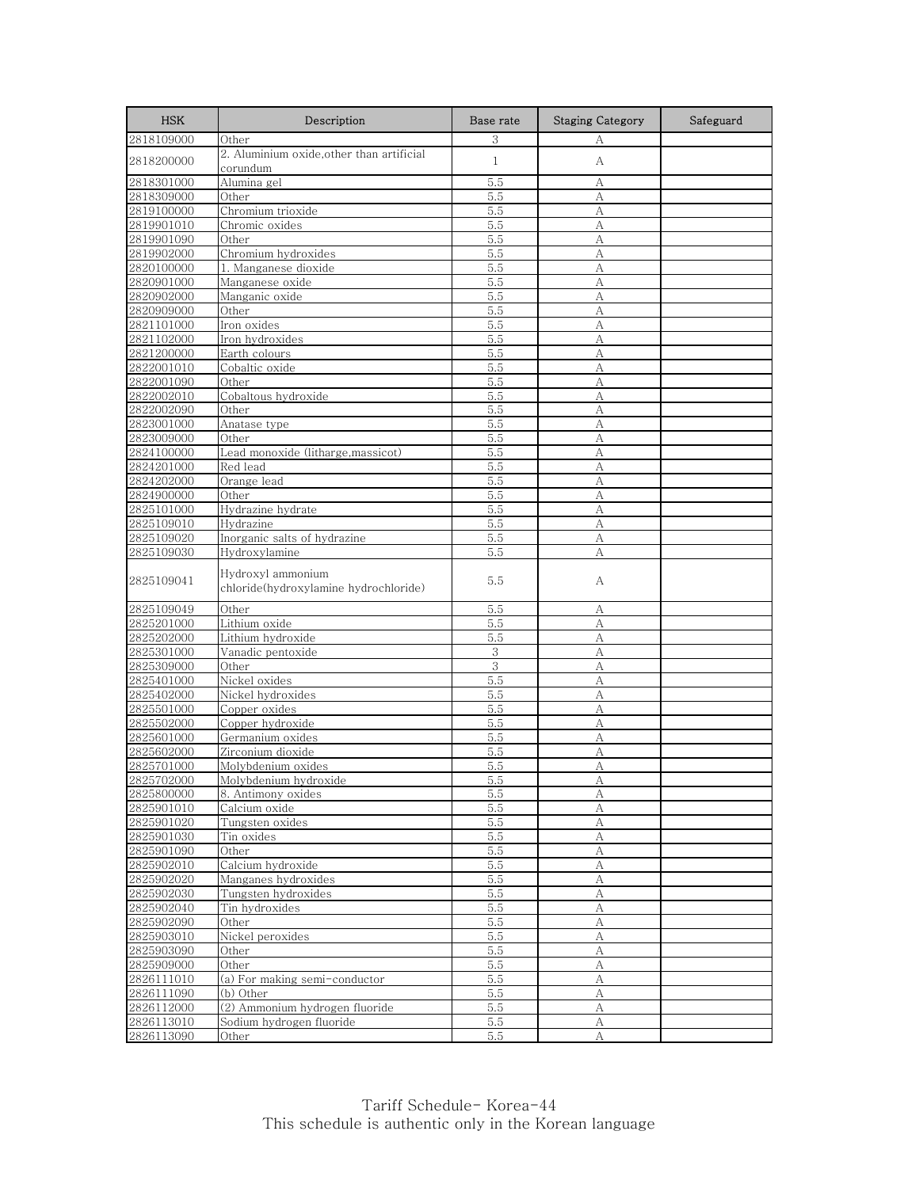| <b>HSK</b> | Description                                                | Base rate    | <b>Staging Category</b> | Safeguard |
|------------|------------------------------------------------------------|--------------|-------------------------|-----------|
| 2818109000 | Other                                                      | 3            | А                       |           |
| 2818200000 | 2. Aluminium oxide, other than artificial<br>corundum      | $\mathbf{1}$ | А                       |           |
| 2818301000 | Alumina gel                                                | 5.5          | А                       |           |
| 2818309000 | Other                                                      | 5.5          | А                       |           |
| 2819100000 | Chromium trioxide                                          | 5.5          | А                       |           |
| 2819901010 | Chromic oxides                                             | 5.5          | А                       |           |
| 2819901090 | Other                                                      | 5.5          | A                       |           |
| 2819902000 | Chromium hydroxides                                        | 5.5          | A                       |           |
| 2820100000 | 1. Manganese dioxide                                       | 5.5          | А                       |           |
| 2820901000 | Manganese oxide                                            | 5.5          | A                       |           |
| 2820902000 | Manganic oxide                                             | 5.5          | А                       |           |
| 2820909000 | Other                                                      | 5.5          | А                       |           |
| 2821101000 | Iron oxides                                                | 5.5          | A                       |           |
| 2821102000 | Iron hydroxides                                            | 5.5          | А                       |           |
| 2821200000 | Earth colours                                              | 5.5          | А                       |           |
| 2822001010 | Cobaltic oxide                                             | 5.5          | А                       |           |
| 2822001090 | Other                                                      | 5.5          | A                       |           |
| 2822002010 | Cobaltous hydroxide                                        | 5.5          | A                       |           |
| 2822002090 | Other                                                      | 5.5          | A                       |           |
| 2823001000 | Anatase type                                               | 5.5          | A                       |           |
| 2823009000 | Other                                                      | 5.5          | А                       |           |
| 2824100000 | Lead monoxide (litharge, massicot)                         | 5.5          | A                       |           |
| 2824201000 | Red lead                                                   | 5.5          | А                       |           |
| 2824202000 | Orange lead                                                | 5.5          | А                       |           |
| 2824900000 | Other                                                      | 5.5          | А                       |           |
| 2825101000 | Hydrazine hydrate                                          | 5.5          | A                       |           |
| 2825109010 | Hydrazine                                                  | 5.5          | A                       |           |
| 2825109020 | Inorganic salts of hydrazine                               | 5.5          | А                       |           |
| 2825109030 | Hydroxylamine                                              | 5.5          | А                       |           |
|            |                                                            |              |                         |           |
| 2825109041 | Hydroxyl ammonium<br>chloride(hydroxylamine hydrochloride) | 5.5          | А                       |           |
| 2825109049 | Other                                                      | 5.5          | А                       |           |
| 2825201000 | Lithium oxide                                              | 5.5          | А                       |           |
| 2825202000 | Lithium hydroxide                                          | 5.5          | А                       |           |
| 2825301000 | Vanadic pentoxide                                          | 3            | A                       |           |
| 2825309000 | Other                                                      | 3            | A                       |           |
| 2825401000 | Nickel oxides                                              | 5.5          | A                       |           |
| 2825402000 | Nickel hydroxides                                          | 5.5          | А                       |           |
| 2825501000 | Copper oxides                                              | 5.5          | А                       |           |
| 2825502000 | Copper hydroxide                                           | 5.5          | A                       |           |
| 2825601000 | Germanium oxides                                           | 5.5          | А                       |           |
| 2825602000 | Zirconium dioxide                                          | 5.5          | A                       |           |
| 2825701000 | Molybdenium oxides                                         | 5.5          | A                       |           |
| 2825702000 | Molybdenium hydroxide                                      | 5.5          | A                       |           |
| 2825800000 | 8. Antimony oxides                                         | 5.5          | A                       |           |
| 2825901010 | Calcium oxide                                              | 5.5          | А                       |           |
| 2825901020 | Tungsten oxides                                            | $5.5\,$      | $\mathbf{A}$            |           |
| 2825901030 | Tin oxides                                                 | 5.5          | A                       |           |
| 2825901090 | Other                                                      | 5.5          | A                       |           |
| 2825902010 | Calcium hydroxide                                          | 5.5          | A                       |           |
| 2825902020 | Manganes hydroxides                                        | 5.5          | А                       |           |
| 2825902030 | Tungsten hydroxides                                        | 5.5          | A                       |           |
| 2825902040 | Tin hydroxides                                             | 5.5          | А                       |           |
| 2825902090 | Other                                                      | 5.5          | А                       |           |
| 2825903010 | Nickel peroxides                                           | 5.5          | А                       |           |
| 2825903090 | Other                                                      | 5.5          | $\boldsymbol{A}$        |           |
| 2825909000 | Other                                                      | 5.5          | $\overline{A}$          |           |
| 2826111010 | (a) For making semi-conductor                              | 5.5          | А                       |           |
| 2826111090 | (b) Other                                                  | 5.5          | А                       |           |
| 2826112000 | (2) Ammonium hydrogen fluoride                             | 5.5          | А                       |           |
| 2826113010 | Sodium hydrogen fluoride                                   | 5.5          | А                       |           |
| 2826113090 | Other                                                      | 5.5          | А                       |           |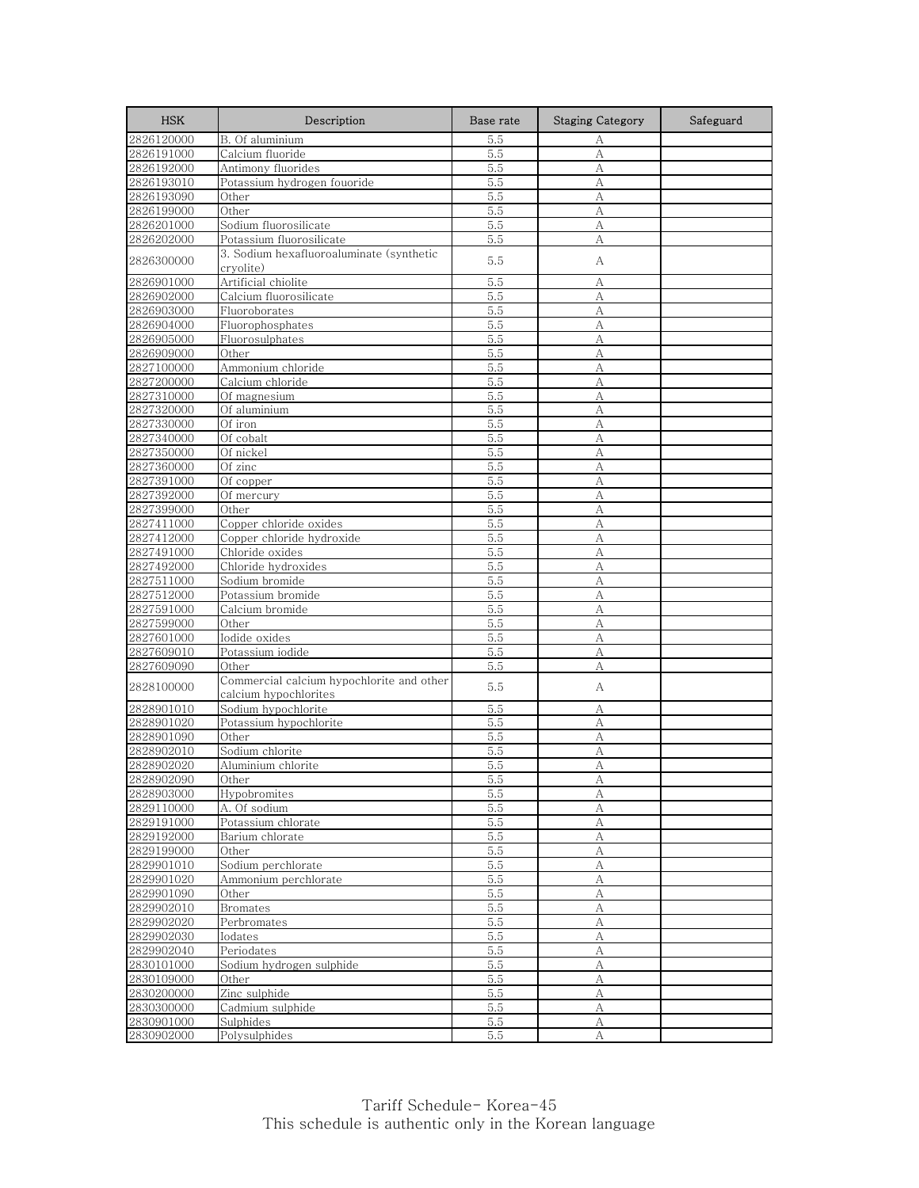| <b>HSK</b>               | Description                                                        | Base rate  | <b>Staging Category</b> | Safeguard |
|--------------------------|--------------------------------------------------------------------|------------|-------------------------|-----------|
| 2826120000               | B. Of aluminium                                                    | 5.5        | А                       |           |
| 2826191000               | Calcium fluoride                                                   | 5.5        | A                       |           |
| 2826192000               | Antimony fluorides                                                 | 5.5        | А                       |           |
| 2826193010               | Potassium hydrogen fouoride                                        | 5.5        | А                       |           |
| 2826193090               | Other                                                              | 5.5        | А                       |           |
| 2826199000               | Other                                                              | 5.5        | А                       |           |
| 2826201000               | Sodium fluorosilicate                                              | 5.5        | А                       |           |
| 2826202000               | Potassium fluorosilicate                                           | 5.5        | A                       |           |
| 2826300000               | 3. Sodium hexafluoroaluminate (synthetic<br>cryolite)              | 5.5        | А                       |           |
| 2826901000               | Artificial chiolite                                                | 5.5        | А                       |           |
| 2826902000               | Calcium fluorosilicate                                             | 5.5        | А                       |           |
| 2826903000               | Fluoroborates                                                      | 5.5        | A                       |           |
| 2826904000               | Fluorophosphates                                                   | 5.5        | A                       |           |
| 2826905000               | Fluorosulphates                                                    | 5.5        | А                       |           |
| 2826909000               | Other                                                              | 5.5        | А                       |           |
| 2827100000               | Ammonium chloride                                                  | 5.5        | А                       |           |
| 2827200000               | Calcium chloride                                                   | 5.5        | A                       |           |
| 2827310000               | Of magnesium                                                       | 5.5        | A                       |           |
| 2827320000               | Of aluminium                                                       | 5.5        | A                       |           |
| 2827330000               | Of iron                                                            | 5.5        | A                       |           |
| 2827340000               | Of cobalt                                                          | 5.5        | А                       |           |
| 2827350000               | Of nickel                                                          | 5.5        | A                       |           |
| 2827360000               | Of zinc                                                            | 5.5        | А                       |           |
| 2827391000<br>2827392000 | Of copper                                                          | 5.5        | A<br>А                  |           |
| 2827399000               | Of mercury<br>Other                                                | 5.5<br>5.5 | A                       |           |
| 2827411000               | Copper chloride oxides                                             | 5.5        | A                       |           |
| 2827412000               | Copper chloride hydroxide                                          | 5.5        | А                       |           |
| 2827491000               | Chloride oxides                                                    | 5.5        | A                       |           |
| 2827492000               | Chloride hydroxides                                                | 5.5        | А                       |           |
| 2827511000               | Sodium bromide                                                     | 5.5        | A                       |           |
| 2827512000               | Potassium bromide                                                  | 5.5        | A                       |           |
| 2827591000               | Calcium bromide                                                    | 5.5        | А                       |           |
| 2827599000               | Other                                                              | 5.5        | A                       |           |
| 2827601000               | Iodide oxides                                                      | 5.5        | А                       |           |
| 2827609010               | Potassium iodide                                                   | 5.5        | А                       |           |
| 2827609090               | Other                                                              | 5.5        | А                       |           |
| 2828100000               | Commercial calcium hypochlorite and other<br>calcium hypochlorites | 5.5        | А                       |           |
| 2828901010               | Sodium hypochlorite                                                | 5.5        | А                       |           |
| 2828901020               | Potassium hypochlorite                                             | 5.5        | A                       |           |
| 2828901090               | Other                                                              | 5.5        | А                       |           |
| 2828902010               | Sodium chlorite                                                    | 5.5        | A                       |           |
| 2828902020               | Aluminium chlorite                                                 | 5.5        | А                       |           |
| 2828902090               | Other                                                              | 5.5        | A                       |           |
| 2828903000               | Hypobromites                                                       | 5.5        | А                       |           |
| 2829110000               | A. Of sodium                                                       | 5.5        | А                       |           |
| 2829191000               | Potassium chlorate                                                 | 5.5        | A                       |           |
| 2829192000               | Barium chlorate                                                    | 5.5        | А                       |           |
| 2829199000               | Other                                                              | 5.5        | А                       |           |
| 2829901010               | Sodium perchlorate                                                 | 5.5        | А                       |           |
| 2829901020               | Ammonium perchlorate                                               | 5.5        | А                       |           |
| 2829901090               | Other                                                              | 5.5        | A                       |           |
| 2829902010               | <b>Bromates</b>                                                    | 5.5        | А                       |           |
| 2829902020               | Perbromates                                                        | 5.5        | А                       |           |
| 2829902030               | Iodates                                                            | 5.5        | А                       |           |
| 2829902040               | Periodates                                                         | 5.5        | A                       |           |
| 2830101000               | Sodium hydrogen sulphide                                           | 5.5        | А                       |           |
| 2830109000               | Other                                                              | 5.5        | А                       |           |
| 2830200000               | Zinc sulphide                                                      | 5.5        | A                       |           |
| 2830300000               | Cadmium sulphide                                                   | 5.5        | А                       |           |
| 2830901000<br>2830902000 | Sulphides<br>Polysulphides                                         | 5.5<br>5.5 | А                       |           |
|                          |                                                                    |            | A                       |           |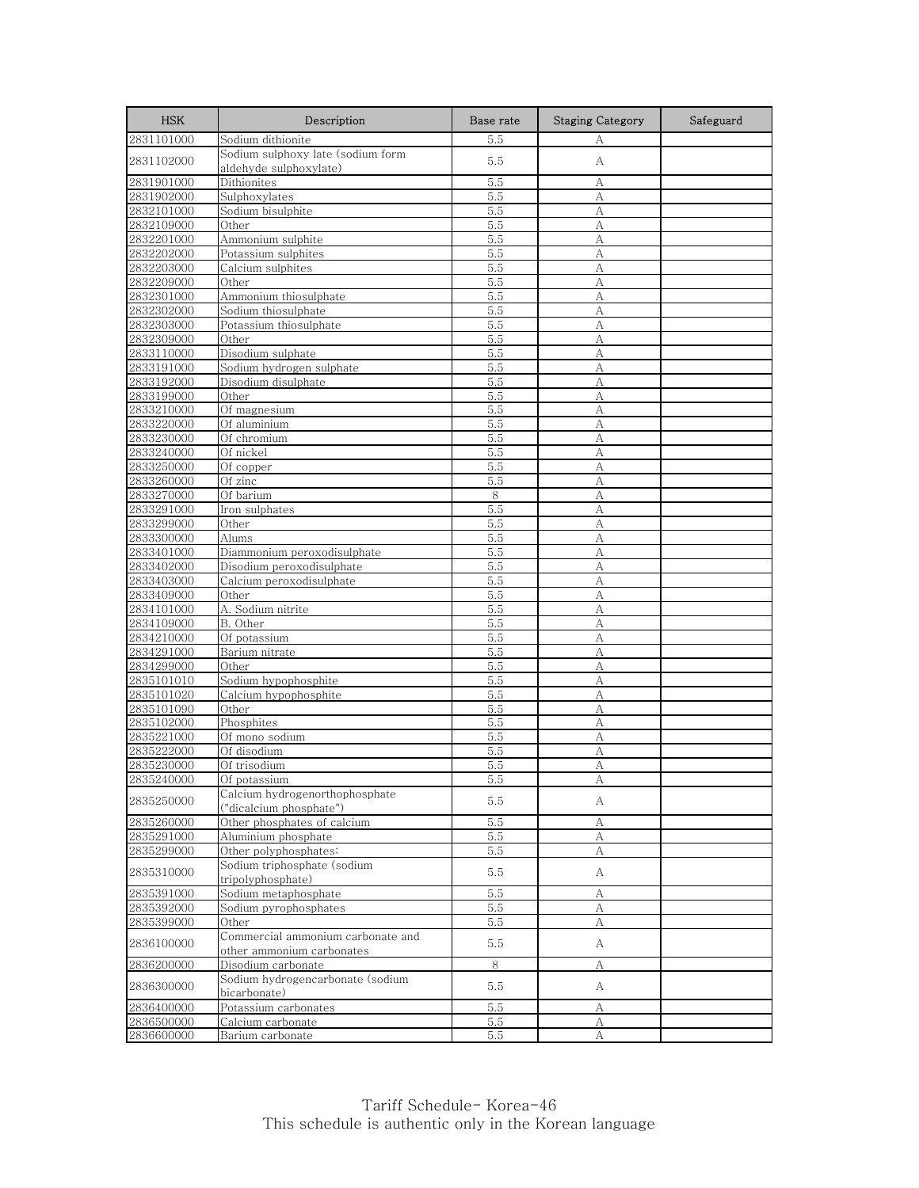| <b>HSK</b> | Description                                                    | Base rate | <b>Staging Category</b> | Safeguard |
|------------|----------------------------------------------------------------|-----------|-------------------------|-----------|
| 2831101000 | Sodium dithionite                                              | 5.5       | А                       |           |
| 2831102000 | Sodium sulphoxy late (sodium form<br>aldehyde sulphoxylate)    | 5.5       | А                       |           |
| 2831901000 | Dithionites                                                    | 5.5       | А                       |           |
| 2831902000 | Sulphoxylates                                                  | 5.5       | А                       |           |
| 2832101000 | Sodium bisulphite                                              | 5.5       | A                       |           |
| 2832109000 | Other                                                          | 5.5       | А                       |           |
| 2832201000 | Ammonium sulphite                                              | 5.5       | A                       |           |
| 2832202000 | Potassium sulphites                                            | 5.5       | A                       |           |
| 2832203000 | Calcium sulphites                                              | 5.5       | А                       |           |
| 2832209000 | Other                                                          | 5.5       | А                       |           |
| 2832301000 | Ammonium thiosulphate                                          | 5.5       | А                       |           |
| 2832302000 | Sodium thiosulphate                                            | 5.5       | A                       |           |
| 2832303000 | Potassium thiosulphate                                         | 5.5       | A                       |           |
| 2832309000 | Other                                                          | 5.5       | A                       |           |
| 2833110000 | Disodium sulphate                                              | 5.5       | А                       |           |
| 2833191000 | Sodium hydrogen sulphate                                       | 5.5       | А                       |           |
| 2833192000 | Disodium disulphate                                            | 5.5       | A                       |           |
| 2833199000 | Other                                                          | 5.5       | А                       |           |
| 2833210000 | Of magnesium                                                   | 5.5       | A                       |           |
| 2833220000 | Of aluminium                                                   | 5.5       | A                       |           |
| 2833230000 | Of chromium                                                    | 5.5       | А                       |           |
| 2833240000 | Of nickel                                                      | 5.5       | A                       |           |
| 2833250000 | Of copper                                                      | 5.5       | А                       |           |
| 2833260000 | Of zinc                                                        | 5.5       | А                       |           |
| 2833270000 | Of barium                                                      | 8         | A                       |           |
| 2833291000 | Iron sulphates                                                 | 5.5       | A                       |           |
| 2833299000 | Other                                                          | 5.5       | A                       |           |
| 2833300000 | Alums                                                          | 5.5       | А                       |           |
| 2833401000 | Diammonium peroxodisulphate                                    | 5.5       | A                       |           |
| 2833402000 | Disodium peroxodisulphate                                      | 5.5       | А                       |           |
| 2833403000 | Calcium peroxodisulphate                                       | 5.5       | A                       |           |
| 2833409000 | Other                                                          | 5.5       | А                       |           |
| 2834101000 | A. Sodium nitrite                                              | 5.5       | А                       |           |
| 2834109000 | B. Other                                                       | 5.5       | A                       |           |
| 2834210000 | Of potassium                                                   | 5.5       | А                       |           |
| 2834291000 | Barium nitrate                                                 | 5.5       | A                       |           |
| 2834299000 | Other                                                          | 5.5       | А                       |           |
| 2835101010 | Sodium hypophosphite                                           | 5.5       | A                       |           |
| 2835101020 | Calcium hypophosphite                                          | 5.5       | A                       |           |
| 2835101090 | Other                                                          | 5.5       | А                       |           |
| 2835102000 | Phosphites                                                     | 5.5       | А                       |           |
| 2835221000 | Of mono sodium                                                 | 5.5       | A                       |           |
| 2835222000 | Of disodium                                                    | 5.5       | А                       |           |
| 2835230000 | Of trisodium                                                   | 5.5       | А                       |           |
| 2835240000 | Of potassium                                                   | 5.5       |                         |           |
| 2835250000 | Calcium hydrogenorthophosphate<br>("dicalcium phosphate")      | 5.5       | А                       |           |
| 2835260000 | Other phosphates of calcium                                    | 5.5       | А                       |           |
| 2835291000 | Aluminium phosphate                                            | 5.5       | А                       |           |
| 2835299000 | Other polyphosphates:                                          | 5.5       | A                       |           |
| 2835310000 | Sodium triphosphate (sodium<br>tripolyphosphate)               | 5.5       | А                       |           |
| 2835391000 | Sodium metaphosphate                                           | 5.5       | А                       |           |
| 2835392000 | Sodium pyrophosphates                                          | 5.5       | А                       |           |
| 2835399000 | Other                                                          | 5.5       | А                       |           |
| 2836100000 | Commercial ammonium carbonate and<br>other ammonium carbonates | 5.5       | A                       |           |
| 2836200000 | Disodium carbonate                                             | 8         | А                       |           |
|            | Sodium hydrogencarbonate (sodium                               |           |                         |           |
| 2836300000 | bicarbonate)                                                   | 5.5       | А                       |           |
| 2836400000 | Potassium carbonates                                           | 5.5       | А                       |           |
| 2836500000 | Calcium carbonate                                              | 5.5       | A                       |           |
| 2836600000 | Barium carbonate                                               | 5.5       | А                       |           |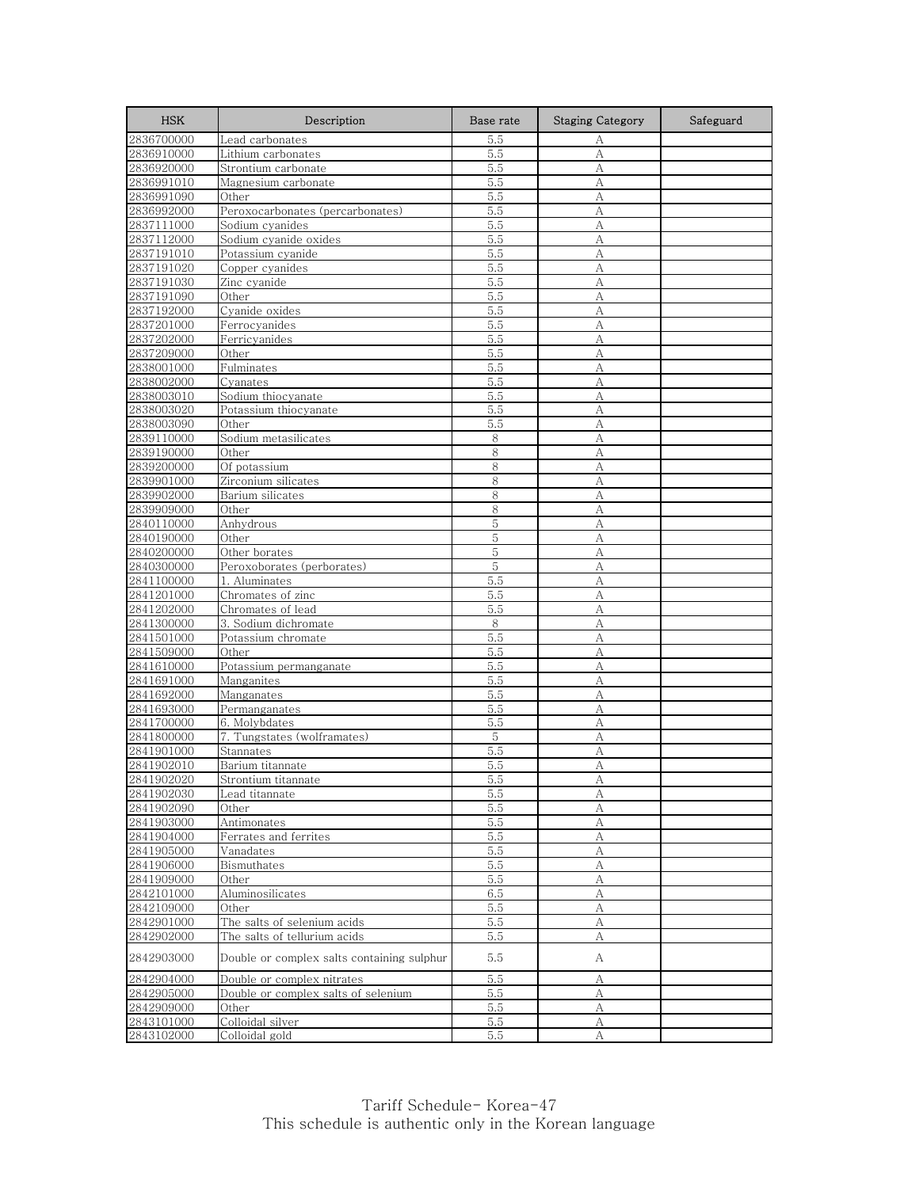| <b>HSK</b>               | Description                                | Base rate  | <b>Staging Category</b> | Safeguard |
|--------------------------|--------------------------------------------|------------|-------------------------|-----------|
| 2836700000               | Lead carbonates                            | 5.5        | А                       |           |
| 2836910000               | Lithium carbonates                         | 5.5        | А                       |           |
| 2836920000               | Strontium carbonate                        | 5.5        | А                       |           |
| 2836991010               | Magnesium carbonate                        | 5.5        | А                       |           |
| 2836991090               | Other                                      | 5.5        | А                       |           |
| 2836992000               | Peroxocarbonates (percarbonates)           | 5.5        | A                       |           |
| 2837111000               | Sodium cyanides                            | 5.5        | А                       |           |
| 2837112000               | Sodium cyanide oxides                      | 5.5        | A                       |           |
| 2837191010               | Potassium cyanide                          | 5.5        | А                       |           |
| 2837191020               | Copper cyanides                            | 5.5        | А                       |           |
| 2837191030               | Zinc cyanide                               | 5.5        | А                       |           |
| 2837191090               | Other                                      | 5.5        | А                       |           |
| 2837192000<br>2837201000 | Cyanide oxides<br>Ferrocyanides            | 5.5        | А<br>A                  |           |
|                          |                                            | 5.5<br>5.5 | А                       |           |
| 2837202000<br>2837209000 | Ferricyanides                              | 5.5        |                         |           |
| 2838001000               | Other<br>Fulminates                        | 5.5        | А<br>А                  |           |
| 2838002000               | Cyanates                                   | 5.5        | A                       |           |
| 2838003010               | Sodium thiocyanate                         | 5.5        | А                       |           |
| 2838003020               | Potassium thiocyanate                      | 5.5        | A                       |           |
| 2838003090               | Other                                      | 5.5        | A                       |           |
| 2839110000               | Sodium metasilicates                       | 8          | А                       |           |
| 2839190000               | Other                                      | 8          | А                       |           |
| 2839200000               | Of potassium                               | 8          | А                       |           |
| 2839901000               | Zirconium silicates                        | 8          | А                       |           |
| 2839902000               | Barium silicates                           | 8          | A                       |           |
| 2839909000               | Other                                      | 8          | A                       |           |
| 2840110000               | Anhydrous                                  | 5          | A                       |           |
| 2840190000               | Other                                      | 5          | А                       |           |
| 2840200000               | Other borates                              | 5          | A                       |           |
| 2840300000               | Peroxoborates (perborates)                 | 5          | А                       |           |
| 2841100000               | 1. Aluminates                              | 5.5        | A                       |           |
| 2841201000               | Chromates of zinc                          | 5.5        | A                       |           |
| 2841202000               | Chromates of lead                          | 5.5        | А                       |           |
| 2841300000               | 3. Sodium dichromate                       | 8          | A                       |           |
| 2841501000               | Potassium chromate                         | 5.5        | А                       |           |
| 2841509000               | Other                                      | 5.5        | A                       |           |
| 2841610000               | Potassium permanganate                     | 5.5        | А                       |           |
| 2841691000               | Manganites                                 | 5.5        | A                       |           |
| 2841692000               | Manganates                                 | 5.5        | A                       |           |
| 2841693000               | Permanganates                              | 5.5        | А                       |           |
| 2841700000               | 6. Molybdates                              | 5.5        | А                       |           |
| 2841800000               | 7. Tungstates (wolframates)                | 5          | А                       |           |
| 2841901000               | Stannates                                  | 5.5        | А                       |           |
| 2841902010               | Barium titannate                           | 5.5        | А                       |           |
| 2841902020               | Strontium titannate                        | 5.5        | Α                       |           |
| 2841902030               | Lead titannate                             | 5.5        | А                       |           |
| 2841902090               | Other                                      | 5.5        | А                       |           |
| 2841903000               | Antimonates                                | 5.5        | $\mathbf{A}$            |           |
| 2841904000               | Ferrates and ferrites                      | 5.5        | А                       |           |
| 2841905000               | Vanadates                                  | 5.5        | А                       |           |
| 2841906000               | Bismuthates                                | 5.5        | А                       |           |
| 2841909000               | Other                                      | 5.5        | А                       |           |
| 2842101000               | Aluminosilicates                           | 6.5        | A                       |           |
| 2842109000               | Other                                      | 5.5        | А                       |           |
| 2842901000               | The salts of selenium acids                | 5.5        | А                       |           |
| 2842902000               | The salts of tellurium acids               | 5.5        | А                       |           |
| 2842903000               | Double or complex salts containing sulphur | 5.5        | А                       |           |
| 2842904000               | Double or complex nitrates                 | 5.5        | А                       |           |
| 2842905000               | Double or complex salts of selenium        | 5.5        | $\boldsymbol{A}$        |           |
| 2842909000               | Other                                      | 5.5        | А                       |           |
| 2843101000               | Colloidal silver                           | 5.5        | А                       |           |
| 2843102000               | Colloidal gold                             | 5.5        | А                       |           |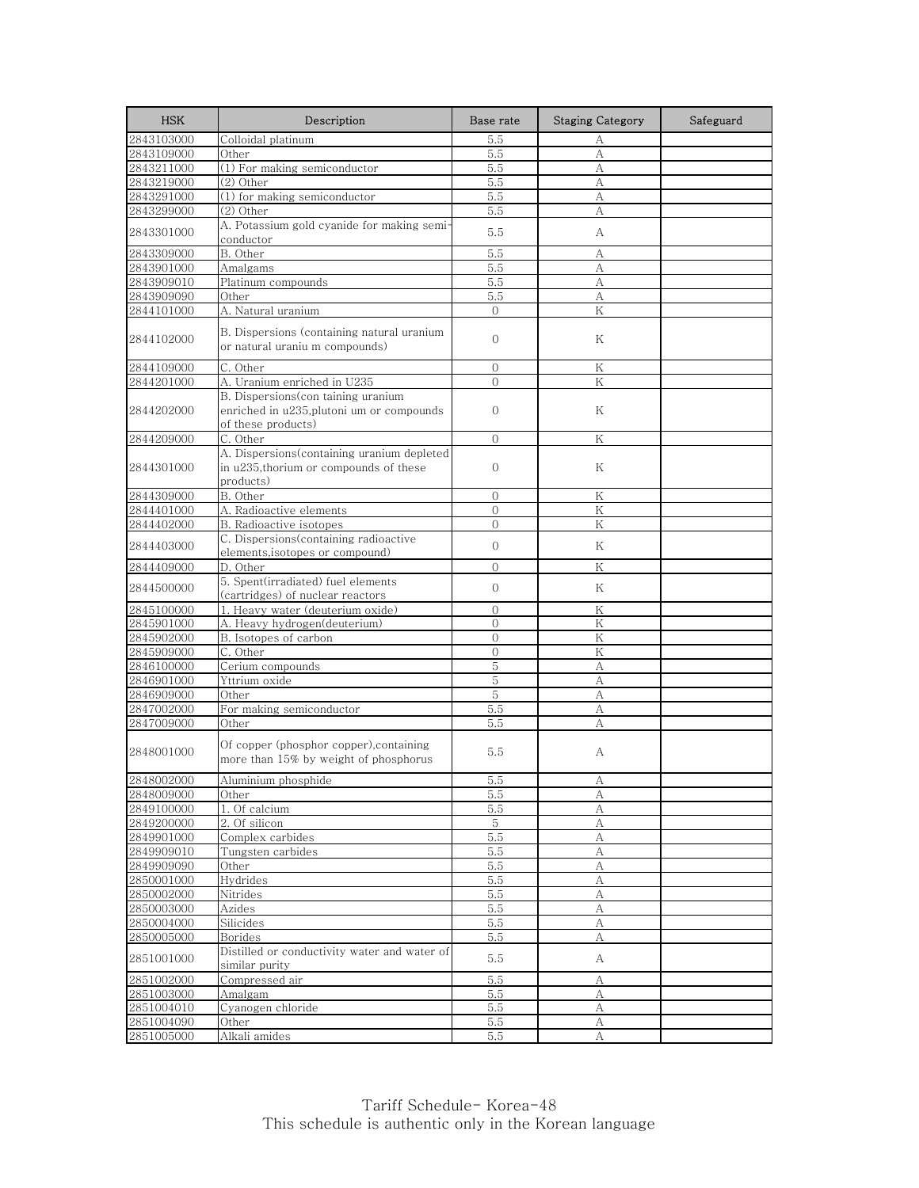| <b>HSK</b>               | Description                                                                                           | Base rate      | <b>Staging Category</b> | Safeguard |
|--------------------------|-------------------------------------------------------------------------------------------------------|----------------|-------------------------|-----------|
| 2843103000               | Colloidal platinum                                                                                    | 5.5            | А                       |           |
| 2843109000               | Other                                                                                                 | 5.5            | A                       |           |
| 2843211000               | (1) For making semiconductor                                                                          | 5.5            | А                       |           |
| 2843219000               | (2) Other                                                                                             | 5.5            | А                       |           |
| 2843291000               | (1) for making semiconductor                                                                          | 5.5            | А                       |           |
| 2843299000               | (2) Other                                                                                             | 5.5            | А                       |           |
| 2843301000               | A. Potassium gold cyanide for making semi-<br>conductor                                               | 5.5            | А                       |           |
| 2843309000               | B. Other                                                                                              | 5.5            | А                       |           |
| 2843901000               | Amalgams                                                                                              | 5.5            | А                       |           |
| 2843909010               | Platinum compounds                                                                                    | 5.5            | A                       |           |
| 2843909090               | Other                                                                                                 | 5.5            | А                       |           |
| 2844101000               | A. Natural uranium                                                                                    | $\Omega$       | K                       |           |
| 2844102000               | B. Dispersions (containing natural uranium<br>or natural uraniu m compounds)                          | $\mathbf{O}$   | Κ                       |           |
| 2844109000               | C. Other                                                                                              | $\mathbf{0}$   | K                       |           |
| 2844201000               | A. Uranium enriched in U235                                                                           | $\overline{0}$ | $\rm K$                 |           |
| 2844202000               | B. Dispersions(con taining uranium<br>enriched in u235, plutoni um or compounds<br>of these products) | $\mathbf{0}$   | Κ                       |           |
| 2844209000               | C. Other                                                                                              | $\Omega$       | Κ                       |           |
|                          | A. Dispersions(containing uranium depleted                                                            |                |                         |           |
| 2844301000               | in u235, thorium or compounds of these<br>products)                                                   | $\mathbf{0}$   | Κ                       |           |
| 2844309000               | B. Other                                                                                              | $\Omega$       | K                       |           |
| 2844401000               | A. Radioactive elements                                                                               | $\mathcal{O}$  | Κ                       |           |
| 2844402000               | B. Radioactive isotopes                                                                               | $\Omega$       | K                       |           |
| 2844403000               | C. Dispersions(containing radioactive<br>elements, isotopes or compound)                              | $\overline{0}$ | Κ                       |           |
| 2844409000               | D. Other                                                                                              | $\mathbf{0}$   | K                       |           |
| 2844500000               | 5. Spent(irradiated) fuel elements<br>(cartridges) of nuclear reactors                                | $\overline{0}$ | Κ                       |           |
| 2845100000               | 1. Heavy water (deuterium oxide)                                                                      | $\mathbf{0}$   | Κ                       |           |
| 2845901000               | A. Heavy hydrogen(deuterium)                                                                          | $\overline{0}$ | K                       |           |
| 2845902000               | B. Isotopes of carbon                                                                                 | $\mathbf{0}$   | K                       |           |
| 2845909000               | C. Other                                                                                              | $\overline{0}$ | K                       |           |
| 2846100000               | Cerium compounds                                                                                      | 5              | А                       |           |
| 2846901000               | Yttrium oxide                                                                                         | 5              | A                       |           |
| 2846909000               | Other                                                                                                 | 5              | А                       |           |
| 2847002000               | For making semiconductor                                                                              | 5.5            | А                       |           |
| 2847009000               | Other                                                                                                 | 5.5            | А                       |           |
| 2848001000               | Of copper (phosphor copper), containing<br>more than 15% by weight of phosphorus                      | 5.5            | А                       |           |
| 2848002000               | Alumınıum phosphide                                                                                   | ხ.ხ            | А                       |           |
| 2848009000               | Other                                                                                                 | 5.5            | А                       |           |
| 2849100000               | 1. Of calcium                                                                                         | 5.5            | А                       |           |
| 2849200000               | 2. Of silicon                                                                                         | 5              | $\mathbf{A}$            |           |
| 2849901000               | Complex carbides                                                                                      | 5.5            | А                       |           |
| 2849909010               | Tungsten carbides                                                                                     | 5.5            | А                       |           |
| 2849909090               | Other                                                                                                 | 5.5            | A                       |           |
| 2850001000               | Hydrides                                                                                              | 5.5            | А                       |           |
| 2850002000               | Nitrides                                                                                              | 5.5            | A                       |           |
| 2850003000               | Azides                                                                                                | 5.5            | А                       |           |
| 2850004000               | Silicides                                                                                             | 5.5            | А                       |           |
| 2850005000<br>2851001000 | Borides<br>Distilled or conductivity water and water of                                               | 5.5<br>5.5     | А<br>А                  |           |
|                          | similar purity<br>Compressed air                                                                      |                |                         |           |
| 2851002000<br>2851003000 | Amalgam                                                                                               | 5.5<br>5.5     | А<br>А                  |           |
| 2851004010               | Cyanogen chloride                                                                                     | 5.5            | А                       |           |
| 2851004090               | Other                                                                                                 | 5.5            | А                       |           |
| 2851005000               | Alkali amides                                                                                         | 5.5            | $\mathbf{A}$            |           |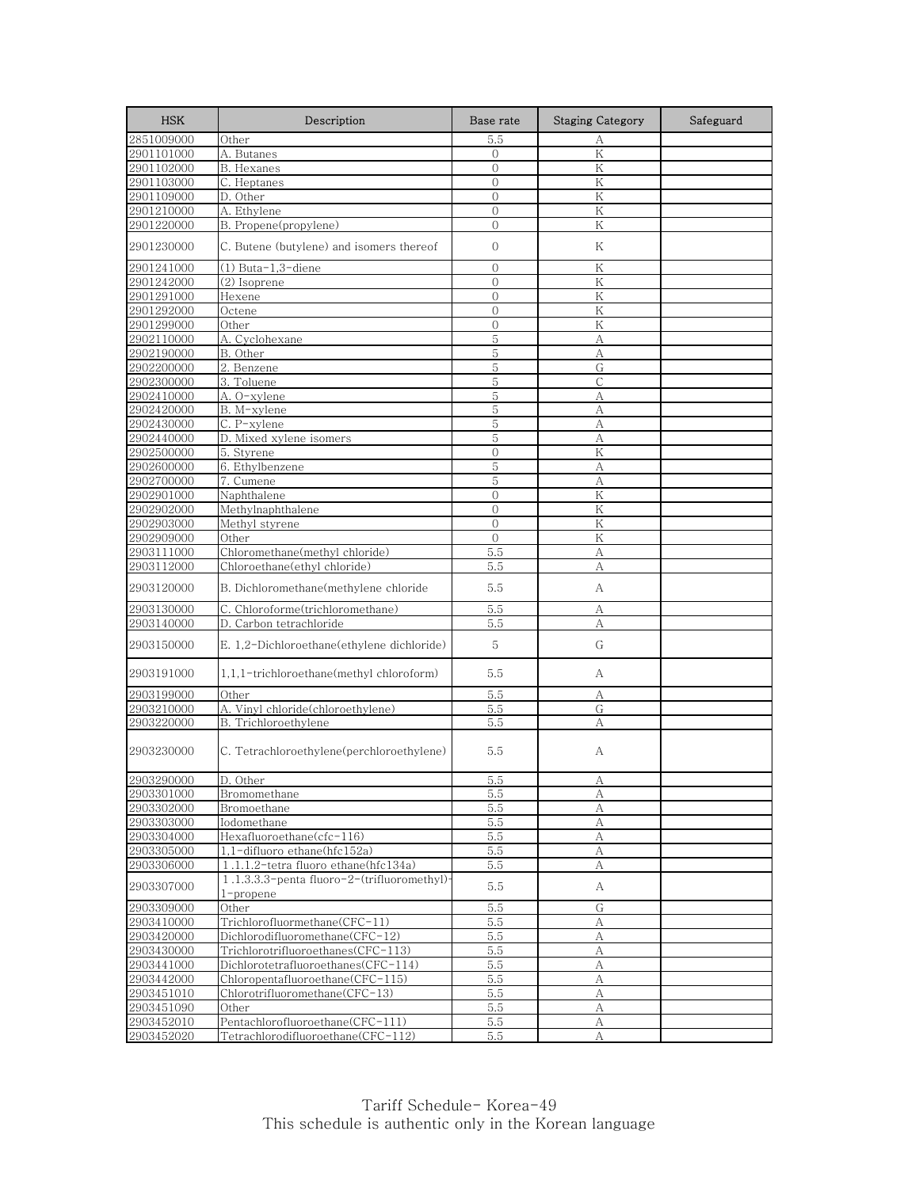| <b>HSK</b>               | Description                                                 | Base rate                      | <b>Staging Category</b> | Safeguard |
|--------------------------|-------------------------------------------------------------|--------------------------------|-------------------------|-----------|
| 2851009000               | Other                                                       | 5.5                            | А                       |           |
| 2901101000               | A. Butanes                                                  | $\mathbf{0}$                   | ${\rm K}$               |           |
| 2901102000               | B. Hexanes                                                  | $\mathbf{0}$                   | Κ                       |           |
| 2901103000               | C. Heptanes                                                 | $\mathbf{0}$                   | K                       |           |
| 2901109000               | D. Other                                                    | $\mathbf{0}$                   | Κ                       |           |
| 2901210000               | A. Ethylene                                                 | $\overline{O}$                 | K                       |           |
| 2901220000               | B. Propene(propylene)                                       | $\overline{O}$                 | K                       |           |
| 2901230000               | C. Butene (butylene) and isomers thereof                    | $\mathbf{0}$                   | Κ                       |           |
| 2901241000               | (1) Buta-1,3-diene                                          | $\mathbf{0}$                   | Κ                       |           |
| 2901242000               | (2) Isoprene                                                | 0                              | K                       |           |
| 2901291000               | Hexene                                                      | $\mathbf{0}$                   | K                       |           |
| 2901292000               | Octene                                                      | $\overline{0}$                 | Κ                       |           |
| 2901299000               | Other                                                       | $\Omega$                       | K                       |           |
| 2902110000               | A. Cyclohexane                                              | $\mathbf 5$                    | А                       |           |
| 2902190000               | B. Other                                                    | 5                              | А                       |           |
| 2902200000               | 2. Benzene                                                  | 5                              | G                       |           |
| 2902300000               | 3. Toluene                                                  | $\mathbf 5$                    | $\mathsf{C}$            |           |
| 2902410000               | A. O-xylene                                                 | 5                              | А                       |           |
| 2902420000               | B. M-xylene                                                 | 5                              | A                       |           |
| 2902430000               | C. P-xylene                                                 | 5                              | А                       |           |
| 2902440000               | D. Mixed xylene isomers                                     | 5                              | А                       |           |
| 2902500000               | 5. Styrene                                                  | $\overline{0}$                 | K                       |           |
| 2902600000               | 6. Ethylbenzene                                             | 5                              | А                       |           |
| 2902700000               | 7. Cumene                                                   | $\mathbf 5$                    | A                       |           |
| 2902901000               | Naphthalene                                                 | $\overline{0}$                 | Κ                       |           |
| 2902902000<br>2902903000 | Methylnaphthalene                                           | $\mathbf{0}$<br>$\overline{0}$ | K<br>K                  |           |
|                          | Methyl styrene<br>Other                                     | $\mathbf{0}$                   | Κ                       |           |
| 2902909000<br>2903111000 | Chloromethane(methyl chloride)                              | 5.5                            | А                       |           |
| 2903112000               | Chloroethane(ethyl chloride)                                | 5.5                            | А                       |           |
| 2903120000               | B. Dichloromethane(methylene chloride                       | 5.5                            | А                       |           |
| 2903130000               | C. Chloroforme(trichloromethane)                            | 5.5                            | А                       |           |
| 2903140000               | D. Carbon tetrachloride                                     | 5.5                            | A                       |           |
| 2903150000               | E. 1,2-Dichloroethane(ethylene dichloride)                  | 5                              | G                       |           |
| 2903191000               | 1,1,1-trichloroethane(methyl chloroform)                    | 5.5                            | А                       |           |
| 2903199000               | Other                                                       | 5.5                            | А                       |           |
| 2903210000               | A. Vinyl chloride(chloroethylene)                           | 5.5                            | G                       |           |
| 2903220000               | B. Trichloroethylene                                        | 5.5                            | А                       |           |
| 2903230000               | C. Tetrachloroethylene(perchloroethylene)                   | 5.5                            | А                       |           |
| 2903290000               | D. Other                                                    | $5.\overline{5}$               | А                       |           |
| 2903301000               | Bromomethane                                                | 5.5                            | А                       |           |
| 2903302000               | Bromoethane                                                 | 5.5                            | А                       |           |
| 2903303000               | Iodomethane                                                 | 5.5                            | $\boldsymbol{A}$        |           |
| 2903304000               | Hexafluoroethane(cfc-116)                                   | 5.5                            | А                       |           |
| 2903305000               | 1,1-difluoro ethane(hfc152a)                                | 5.5                            | А                       |           |
| 2903306000               | 1.1.1.2-tetra fluoro ethane(hfc134a)                        | 5.5                            | A                       |           |
| 2903307000               | 1.1.3.3.3-penta fluoro-2-(trifluoromethyl)-<br>$1$ -propene | 5.5                            | A                       |           |
| 2903309000               | Other                                                       | 5.5                            | G                       |           |
| 2903410000               | Trichlorofluormethane(CFC-11)                               | 5.5                            | А                       |           |
| 2903420000               | Dichlorodifluoromethane(CFC-12)                             | 5.5                            | А                       |           |
| 2903430000               | Trichlorotrifluoroethanes(CFC-113)                          | 5.5                            | А                       |           |
| 2903441000               | Dichlorotetrafluoroethanes(CFC-114)                         | 5.5                            | А                       |           |
| 2903442000               | Chloropentafluoroethane(CFC-115)                            | 5.5                            | А                       |           |
| 2903451010               | Chlorotrifluoromethane(CFC-13)                              | 5.5                            | А                       |           |
| 2903451090               | Other                                                       | 5.5                            | А                       |           |
| 2903452010               | Pentachlorofluoroethane(CFC-111)                            | 5.5                            | А                       |           |
| 2903452020               | Tetrachlorodifluoroethane(CFC-112)                          | 5.5                            | А                       |           |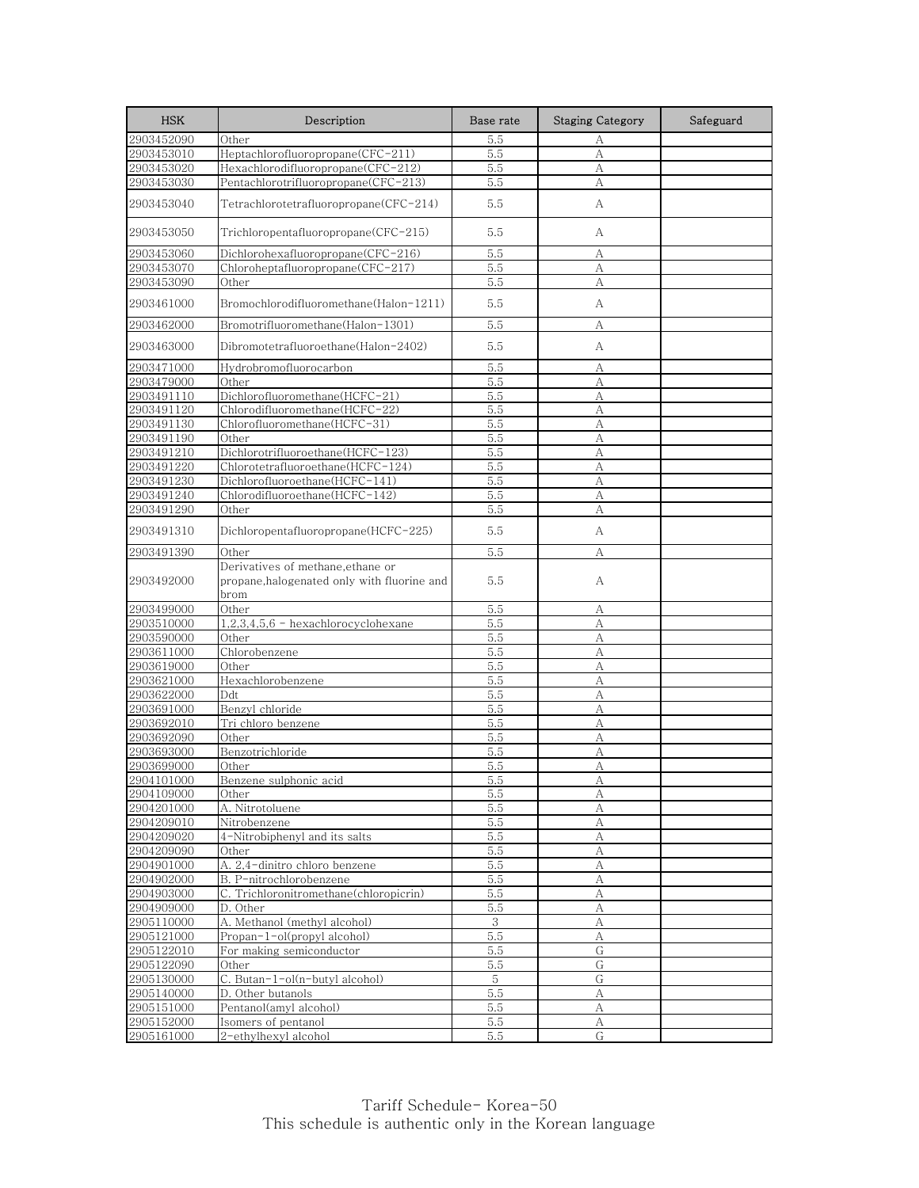| <b>HSK</b>               | Description                                                                              | Base rate  | <b>Staging Category</b> | Safeguard |
|--------------------------|------------------------------------------------------------------------------------------|------------|-------------------------|-----------|
| 2903452090               | Other                                                                                    | 5.5        | А                       |           |
| 2903453010               | Heptachlorofluoropropane(CFC-211)                                                        | 5.5        | $\mathbf{A}$            |           |
| 2903453020               | Hexachlorodifluoropropane(CFC-212)                                                       | 5.5        | А                       |           |
| 2903453030               | Pentachlorotrifluoropropane(CFC-213)                                                     | 5.5        | A                       |           |
| 2903453040               | Tetrachlorotetrafluoropropane(CFC-214)                                                   | 5.5        | А                       |           |
| 2903453050               | Trichloropentafluoropropane(CFC-215)                                                     | 5.5        | А                       |           |
| 2903453060               | Dichlorohexafluoropropane(CFC-216)                                                       | 5.5        | А                       |           |
| 2903453070               | Chloroheptafluoropropane(CFC-217)                                                        | 5.5        | А                       |           |
| 2903453090               | Other                                                                                    | 5.5        | А                       |           |
| 2903461000               | Bromochlorodifluoromethane(Halon-1211)                                                   | 5.5        | A                       |           |
| 2903462000               | Bromotrifluoromethane(Halon-1301)                                                        | 5.5        | А                       |           |
| 2903463000               | Dibromotetrafluoroethane(Halon-2402)                                                     | 5.5        | А                       |           |
| 2903471000               | Hydrobromofluorocarbon                                                                   | 5.5        | А                       |           |
| 2903479000               | Other                                                                                    | 5.5        | А                       |           |
| 2903491110               | Dichlorofluoromethane(HCFC-21)                                                           | 5.5        | А                       |           |
| 2903491120               | Chlorodifluoromethane(HCFC-22)                                                           | 5.5        | A                       |           |
| 2903491130               | Chlorofluoromethane(HCFC-31)                                                             | 5.5        | А                       |           |
| 2903491190               | Other                                                                                    | 5.5        | А                       |           |
| 2903491210               | Dichlorotrifluoroethane(HCFC-123)                                                        | 5.5        | A                       |           |
| 2903491220               | Chlorotetrafluoroethane(HCFC-124)                                                        | 5.5        | А                       |           |
| 2903491230               | Dichlorofluoroethane(HCFC-141)                                                           | 5.5        | А                       |           |
| 2903491240               | Chlorodifluoroethane(HCFC-142)                                                           | 5.5        | А                       |           |
| 2903491290               | Other                                                                                    | 5.5        | А                       |           |
| 2903491310               | Dichloropentafluoropropane(HCFC-225)                                                     | 5.5        | А                       |           |
| 2903491390               | Other                                                                                    | 5.5        | А                       |           |
| 2903492000               | Derivatives of methane, ethane or<br>propane, halogenated only with fluorine and<br>brom | 5.5        | А                       |           |
| 2903499000               | Other                                                                                    | 5.5        | А                       |           |
| 2903510000               | $1,2,3,4,5,6$ - hexachlorocyclohexane                                                    | 5.5        | A                       |           |
| 2903590000               | Other                                                                                    | 5.5        | А                       |           |
| 2903611000               | Chlorobenzene                                                                            | 5.5        | А                       |           |
| 2903619000               | Other                                                                                    | 5.5        | A                       |           |
| 2903621000               | Hexachlorobenzene                                                                        | 5.5        | А                       |           |
| 2903622000               | Ddt                                                                                      | 5.5        | А                       |           |
| 2903691000               | Benzyl chloride                                                                          | 5.5        | A                       |           |
| 2903692010               | Tri chloro benzene                                                                       | 5.5        | $\mathbf{A}$            |           |
| 2903692090               | Other                                                                                    | 5.5        | А                       |           |
| 2903693000               | Benzotrichloride                                                                         | 5.5        | А                       |           |
| 2903699000               | Other                                                                                    | 5.5        | А                       |           |
| 2904101000               | Benzene sulphonic acid                                                                   | ხ.ბ        | А                       |           |
| 2904109000               | Other                                                                                    | 5.5        | А                       |           |
| 2904201000               | A. Nitrotoluene                                                                          | 5.5        | А                       |           |
| 2904209010<br>2904209020 | Nitrobenzene<br>4-Nitrobiphenyl and its salts                                            | 5.5        | $\mathbf{A}$<br>А       |           |
| 2904209090               | Other                                                                                    | 5.5<br>5.5 | А                       |           |
| 2904901000               | A. 2,4-dinitro chloro benzene                                                            | 5.5        | А                       |           |
| 2904902000               | B. P-nitrochlorobenzene                                                                  | 5.5        | А                       |           |
| 2904903000               | C. Trichloronitromethane(chloropicrin)                                                   | 5.5        | A                       |           |
| 2904909000               | D. Other                                                                                 | 5.5        | А                       |           |
| 2905110000               | A. Methanol (methyl alcohol)                                                             | 3          | A                       |           |
| 2905121000               | Propan-1-ol(propyl alcohol)                                                              | 5.5        | А                       |           |
| 2905122010               | For making semiconductor                                                                 | 5.5        | G                       |           |
| 2905122090               | Other                                                                                    | 5.5        | G                       |           |
| 2905130000               | C. Butan-1-ol(n-butyl alcohol)                                                           | 5          | G                       |           |
| 2905140000               | D. Other butanols                                                                        | 5.5        | А                       |           |
| 2905151000               | Pentanol(amyl alcohol)                                                                   | 5.5        | А                       |           |
| 2905152000               | Isomers of pentanol                                                                      | 5.5        | А                       |           |
| 2905161000               | 2-ethylhexyl alcohol                                                                     | 5.5        | G                       |           |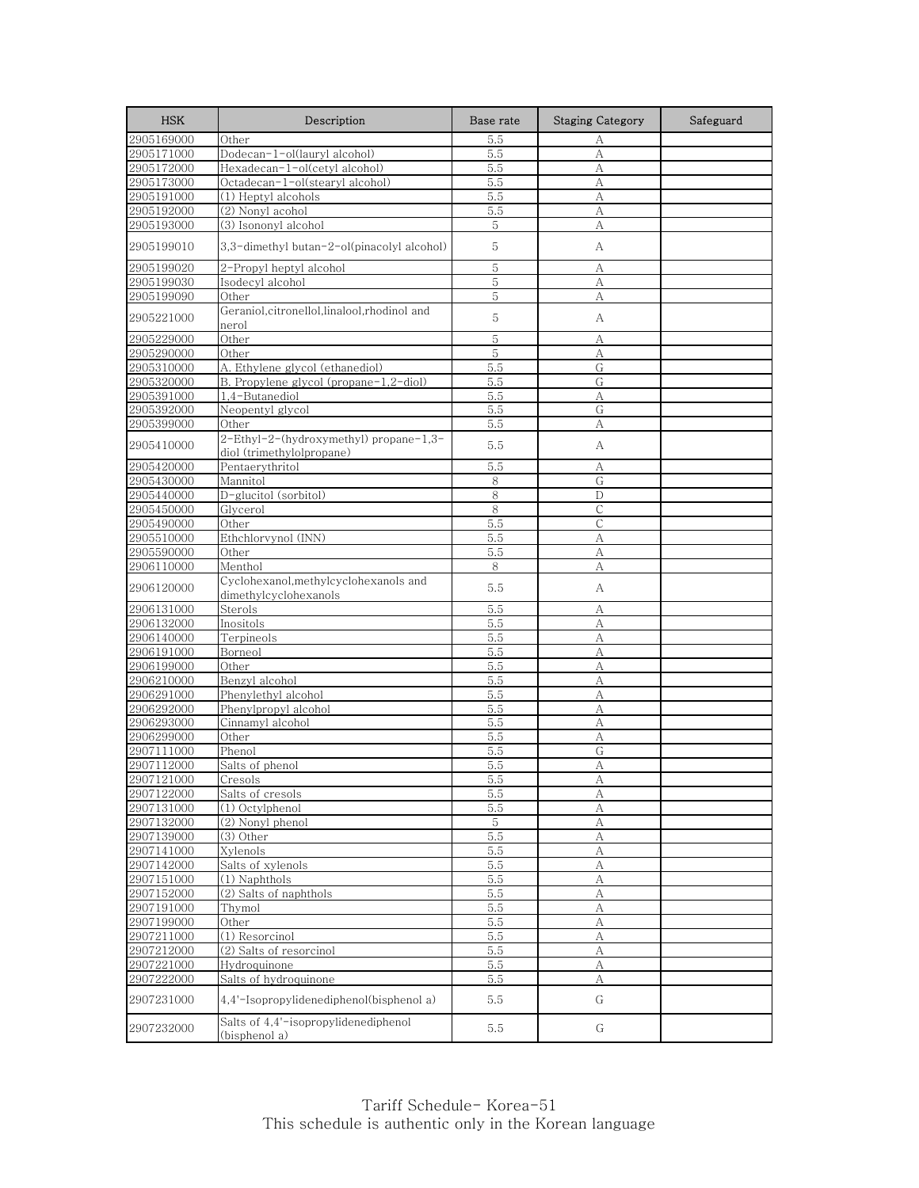| <b>HSK</b> | Description                                                    | Base rate   | <b>Staging Category</b> | Safeguard |
|------------|----------------------------------------------------------------|-------------|-------------------------|-----------|
| 2905169000 | Other                                                          | 5.5         | А                       |           |
| 2905171000 | Dodecan-1-ol(lauryl alcohol)                                   | 5.5         | $\mathbf{A}$            |           |
| 2905172000 | Hexadecan-1-ol(cetyl alcohol)                                  | 5.5         | A                       |           |
| 2905173000 | Octadecan-1-ol(stearyl alcohol)                                | 5.5         | A                       |           |
| 2905191000 | (1) Heptyl alcohols                                            | 5.5         | А                       |           |
| 2905192000 | (2) Nonyl acohol                                               | 5.5         | A                       |           |
| 2905193000 | (3) Isononyl alcohol                                           | 5           | A                       |           |
| 2905199010 | 3,3-dimethyl butan-2-ol(pinacolyl alcohol)                     | 5           | А                       |           |
| 2905199020 | 2-Propyl heptyl alcohol                                        | 5           | А                       |           |
| 2905199030 | Isodecyl alcohol                                               | 5           | A                       |           |
| 2905199090 | Other                                                          | 5           | А                       |           |
| 2905221000 | Geraniol, citronellol, linalool, rhodinol and<br>nerol         | 5           | А                       |           |
| 2905229000 | Other                                                          | 5           | А                       |           |
| 2905290000 | Other                                                          | $\mathbf 5$ | A                       |           |
| 2905310000 | A. Ethylene glycol (ethanediol)                                | 5.5         | G                       |           |
| 2905320000 | B. Propylene glycol (propane-1,2-diol)                         | 5.5         | G                       |           |
| 2905391000 | 1,4-Butanediol                                                 | 5.5         | А                       |           |
| 2905392000 | Neopentyl glycol                                               | 5.5         | G                       |           |
| 2905399000 | Other                                                          | 5.5         | А                       |           |
|            | 2-Ethyl-2-(hydroxymethyl) propane-1,3-                         |             |                         |           |
| 2905410000 | diol (trimethylolpropane)                                      | 5.5         | А                       |           |
| 2905420000 | Pentaerythritol                                                | 5.5         | А                       |           |
| 2905430000 | Mannitol                                                       | 8           | G                       |           |
| 2905440000 | D-glucitol (sorbitol)                                          | 8           | D                       |           |
| 2905450000 | Glycerol                                                       | 8           | С                       |           |
| 2905490000 | Other                                                          | 5.5         | $\mathsf{C}$            |           |
| 2905510000 | Ethchlorvynol (INN)                                            | 5.5         | А                       |           |
| 2905590000 | Other                                                          | 5.5         | А                       |           |
| 2906110000 | Menthol                                                        | 8           | А                       |           |
| 2906120000 | Cyclohexanol, methylcyclohexanols and<br>dimethylcyclohexanols | 5.5         | А                       |           |
| 2906131000 | Sterols                                                        | 5.5         | А                       |           |
| 2906132000 | Inositols                                                      | 5.5         | A                       |           |
| 2906140000 | Terpineols                                                     | 5.5         | А                       |           |
| 2906191000 | Borneol                                                        | 5.5         | A                       |           |
| 2906199000 | Other                                                          | 5.5         | А                       |           |
| 2906210000 | Benzyl alcohol                                                 | 5.5         | A                       |           |
| 2906291000 | Phenylethyl alcohol                                            | 5.5         | A                       |           |
| 2906292000 | Phenylpropyl alcohol                                           | 5.5         | А                       |           |
| 2906293000 | Cinnamyl alcohol                                               | 5.5         | A                       |           |
| 2906299000 | Other                                                          | 5.5         | А                       |           |
| 2907111000 | Phenol                                                         | 5.5         | G                       |           |
| 2907112000 | Salts of phenol                                                | 5.5         | А                       |           |
| 2907121000 | Cresols                                                        | <u>. c</u>  | А                       |           |
| 2907122000 | Salts of cresols                                               | 5.5         | A                       |           |
| 2907131000 | (1) Octylphenol                                                | 5.5         | А                       |           |
| 2907132000 | (2) Nonyl phenol                                               | 5           | $\mathbf{A}$            |           |
| 2907139000 | (3) Other                                                      | 5.5         | А                       |           |
| 2907141000 | Xylenols                                                       | 5.5         | А                       |           |
| 2907142000 | Salts of xylenols                                              | 5.5         | A                       |           |
| 2907151000 | (1) Naphthols                                                  | 5.5         | А                       |           |
| 2907152000 | (2) Salts of naphthols                                         | 5.5         | A                       |           |
| 2907191000 | Thymol                                                         | 5.5         | А                       |           |
| 2907199000 | Other                                                          | 5.5         | A                       |           |
| 2907211000 | (1) Resorcinol                                                 | 5.5         | A                       |           |
| 2907212000 | (2) Salts of resorcinol                                        | 5.5         | A                       |           |
| 2907221000 | Hydroquinone                                                   | 5.5         | A                       |           |
| 2907222000 | Salts of hydroquinone                                          | 5.5         | А                       |           |
| 2907231000 | 4,4'-Isopropylidenediphenol(bisphenol a)                       | 5.5         | G                       |           |
| 2907232000 | Salts of 4,4'-isopropylidenediphenol<br>(bisphenol a)          | 5.5         | G                       |           |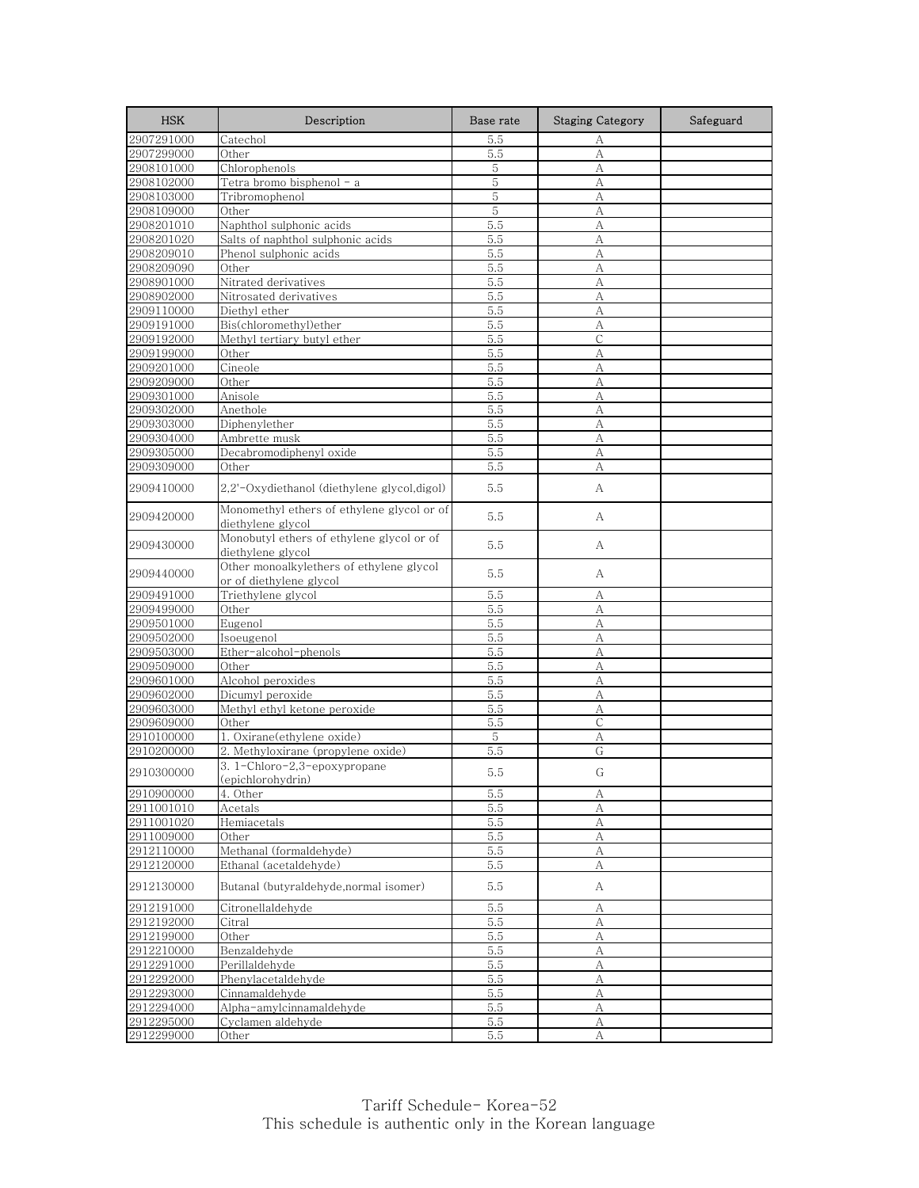| <b>HSK</b>               | Description                                                                         | Base rate  | <b>Staging Category</b> | Safeguard |
|--------------------------|-------------------------------------------------------------------------------------|------------|-------------------------|-----------|
| 2907291000               | Catechol                                                                            | 5.5        | А                       |           |
| 2907299000               | Other                                                                               | 5.5        | А                       |           |
| 2908101000               | Chlorophenols                                                                       | 5          | A                       |           |
| 2908102000               | Tetra bromo bisphenol - a                                                           | 5          | А                       |           |
| 2908103000               | Tribromophenol                                                                      | 5          | А                       |           |
| 2908109000               | Other                                                                               | 5          | А                       |           |
| 2908201010               | Naphthol sulphonic acids                                                            | 5.5        | А                       |           |
| 2908201020               | Salts of naphthol sulphonic acids                                                   | 5.5        | А                       |           |
| 2908209010               | Phenol sulphonic acids                                                              | 5.5        | А                       |           |
| 2908209090               | Other                                                                               | 5.5        | А                       |           |
| 2908901000               | Nitrated derivatives                                                                | 5.5        | А                       |           |
| 2908902000               | Nitrosated derivatives                                                              | 5.5        | А                       |           |
| 2909110000               | Diethyl ether                                                                       | 5.5        | А                       |           |
| 2909191000               | Bis(chloromethyl)ether                                                              | 5.5        | А                       |           |
| 2909192000               | Methyl tertiary butyl ether                                                         | 5.5        | С                       |           |
| 2909199000               | Other                                                                               | 5.5        | А                       |           |
| 2909201000               | Cineole                                                                             | 5.5        | А                       |           |
| 2909209000               | Other                                                                               | 5.5        | A                       |           |
| 2909301000               | Anisole                                                                             | 5.5        | А                       |           |
| 2909302000               | Anethole                                                                            | 5.5        | А                       |           |
| 2909303000               | Diphenvlether                                                                       | 5.5        | A                       |           |
| 2909304000               | Ambrette musk                                                                       | 5.5        | А                       |           |
| 2909305000               | Decabromodiphenyl oxide                                                             | 5.5        | А                       |           |
| 2909309000               | Other                                                                               | 5.5        | А                       |           |
| 2909410000               | 2.2'-Oxydiethanol (diethylene glycol,digol)                                         | 5.5        | А                       |           |
| 2909420000               | Monomethyl ethers of ethylene glycol or of                                          | 5.5        | А                       |           |
| 2909430000               | diethylene glycol<br>Monobutyl ethers of ethylene glycol or of<br>diethylene glycol | 5.5        | А                       |           |
| 2909440000               | Other monoalkylethers of ethylene glycol<br>or of diethylene glycol                 | 5.5        | А                       |           |
| 2909491000               | Triethylene glycol                                                                  | 5.5        | А                       |           |
| 2909499000               | Other                                                                               | 5.5        | А                       |           |
| 2909501000               | Eugenol                                                                             | 5.5        | А                       |           |
| 2909502000               | Isoeugenol                                                                          | 5.5        | А                       |           |
| 2909503000               | Ether-alcohol-phenols                                                               | 5.5        | А                       |           |
| 2909509000               | Other                                                                               | 5.5        | А                       |           |
| 2909601000               | Alcohol peroxides                                                                   | 5.5        | A                       |           |
| 2909602000               | Dicumyl peroxide                                                                    | 5.5        | А                       |           |
| 2909603000               | Methyl ethyl ketone peroxide                                                        | 5.5        | А                       |           |
| 2909609000               | Other                                                                               | 5.5        | $\mathsf{C}$            |           |
| 2910100000               | 1. Oxirane(ethylene oxide)                                                          | 5          | А                       |           |
| 2910200000               | 2. Methyloxirane (propylene oxide)                                                  | 5.5        | G                       |           |
| 2910300000               | 3.1-Chloro-2,3-epoxypropane                                                         | 5.5        | G                       |           |
|                          | (epichlorohydrin)                                                                   |            |                         |           |
| 2910900000               | 4. Other                                                                            | 5.5        | A                       |           |
| 2911001010               | Acetals                                                                             | 5.5        | А                       |           |
| 2911001020               | Hemiacetals                                                                         | 5.5        | $\boldsymbol{A}$        |           |
| 2911009000               | Other                                                                               | 5.5        | А                       |           |
| 2912110000               | Methanal (formaldehyde)                                                             | 5.5        | А                       |           |
| 2912120000<br>2912130000 | Ethanal (acetaldehyde)<br>Butanal (butyraldehyde, normal isomer)                    | 5.5<br>5.5 | А<br>A                  |           |
| 2912191000               |                                                                                     |            |                         |           |
| 2912192000               | Citronellaldehyde<br>Citral                                                         | 5.5<br>5.5 | А<br>A                  |           |
|                          |                                                                                     |            |                         |           |
| 2912199000               | Other                                                                               | 5.5        | А                       |           |
| 2912210000               | Benzaldehyde                                                                        | 5.5        | $\boldsymbol{A}$        |           |
| 2912291000               | Perillaldehyde                                                                      | 5.5        | $\mathbf{A}$            |           |
| 2912292000               | Phenylacetaldehyde                                                                  | 5.5        | А                       |           |
| 2912293000               | Cinnamaldehyde                                                                      | 5.5        | A                       |           |
| 2912294000               | Alpha-amylcinnamaldehyde                                                            | 5.5        | А                       |           |
| 2912295000               | Cyclamen aldehyde                                                                   | 5.5        | А                       |           |
| 2912299000               | Other                                                                               | 5.5        | A                       |           |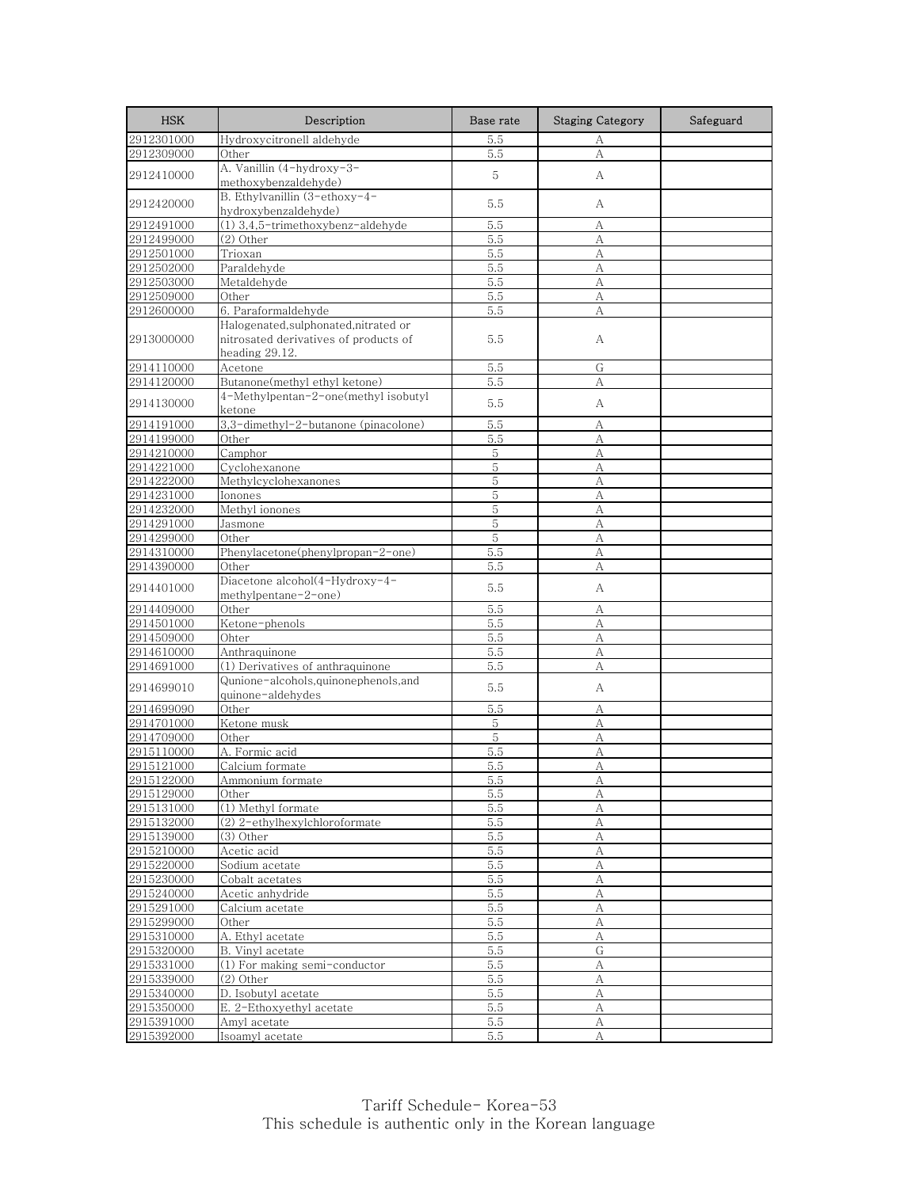| <b>HSK</b>               | Description                                                                                      | Base rate   | <b>Staging Category</b> | Safeguard |
|--------------------------|--------------------------------------------------------------------------------------------------|-------------|-------------------------|-----------|
| 2912301000               | Hydroxycitronell aldehyde                                                                        | 5.5         | А                       |           |
| 2912309000               | Other                                                                                            | 5.5         | A                       |           |
| 2912410000               | A. Vanillin (4-hydroxy-3-<br>methoxybenzaldehyde)                                                | 5           | А                       |           |
| 2912420000               | B. Ethylvanillin (3-ethoxy-4-<br>hydroxybenzaldehyde)                                            | 5.5         | А                       |           |
| 2912491000               | (1) 3,4,5-trimethoxybenz-aldehyde                                                                | 5.5         | А                       |           |
| 2912499000               | (2) Other                                                                                        | 5.5         | А                       |           |
| 2912501000               | Trioxan                                                                                          | 5.5         | $\mathbf{A}$            |           |
| 2912502000               | Paraldehyde                                                                                      | 5.5         | А                       |           |
| 2912503000               | Metaldehyde                                                                                      | 5.5         | A                       |           |
| 2912509000               | Other                                                                                            | 5.5         | А                       |           |
| 2912600000               | 6. Paraformaldehyde                                                                              | 5.5         | A                       |           |
| 2913000000               | Halogenated, sulphonated, nitrated or<br>nitrosated derivatives of products of<br>heading 29.12. | 5.5         | А                       |           |
| 2914110000               | Acetone                                                                                          | 5.5         | G                       |           |
| 2914120000               | Butanone(methyl ethyl ketone)                                                                    | 5.5         | A                       |           |
| 2914130000               | 4-Methylpentan-2-one(methyl isobutyl<br>ketone                                                   | 5.5         | А                       |           |
| 2914191000               | 3,3-dimethyl-2-butanone (pinacolone)                                                             | 5.5         | А                       |           |
| 2914199000               | Other                                                                                            | 5.5         | А                       |           |
| 2914210000               | Camphor                                                                                          | 5           | А                       |           |
| 2914221000               | Cyclohexanone                                                                                    | 5           | А                       |           |
| 2914222000               | Methylcyclohexanones                                                                             | 5           | A                       |           |
| 2914231000               | Ionones                                                                                          | 5           | А                       |           |
| 2914232000               | Methyl ionones                                                                                   | 5           | A                       |           |
| 2914291000               | Jasmone                                                                                          | $\mathbf 5$ | A                       |           |
| 2914299000               | Other                                                                                            | 5           | А                       |           |
| 2914310000               | Phenylacetone(phenylpropan-2-one)                                                                | 5.5         | А                       |           |
| 2914390000               | Other                                                                                            | 5.5         | А                       |           |
| 2914401000               | Diacetone alcohol(4-Hydroxy-4-<br>methylpentane-2-one)                                           | 5.5         | А                       |           |
| 2914409000               | Other                                                                                            | 5.5         | А                       |           |
| 2914501000               | Ketone-phenols                                                                                   | 5.5         | А                       |           |
| 2914509000               | Ohter                                                                                            | 5.5         | А                       |           |
| 2914610000               | Anthraquinone                                                                                    | 5.5         | А                       |           |
| 2914691000               | (1) Derivatives of anthraquinone                                                                 | 5.5         | A                       |           |
| 2914699010               | Qunione-alcohols, quinonephenols, and<br>quinone-aldehydes                                       | 5.5         | А                       |           |
| 2914699090               | Other                                                                                            | 5.5         | А                       |           |
| 2914701000               | Ketone musk                                                                                      | 5           | A                       |           |
| 2914709000               | Other                                                                                            | 5           | А                       |           |
| 2915110000               | A. Formic acid                                                                                   | 5.5         | A                       |           |
| 2915121000               | Calcium formate                                                                                  | 5.5         | A                       |           |
| 2915122000               | Ammonium formate                                                                                 | 5.5         | A                       |           |
| 2915129000               | Other                                                                                            | 5.5         | А                       |           |
| 2915131000               | (1) Methyl formate                                                                               | 5.5         | А                       |           |
| 2915132000               | (2) 2-ethylhexylchloroformate                                                                    | 5.5         | $\rm A$                 |           |
| 2915139000               | (3) Other                                                                                        | 5.5         | A                       |           |
| 2915210000               | Acetic acid                                                                                      | 5.5         | А                       |           |
| 2915220000               | Sodium acetate                                                                                   | 5.5         | A                       |           |
| 2915230000               | Cobalt acetates                                                                                  | 5.5         | А                       |           |
| 2915240000               | Acetic anhydride                                                                                 | 5.5         | $\mathbf{A}$            |           |
| 2915291000               | Calcium acetate                                                                                  | 5.5         | А                       |           |
| 2915299000               | Other                                                                                            | 5.5         | $\boldsymbol{A}$        |           |
| 2915310000               | A. Ethyl acetate                                                                                 | 5.5         | А                       |           |
| 2915320000<br>2915331000 | B. Vinyl acetate<br>(1) For making semi-conductor                                                | 5.5         | G                       |           |
|                          | $(2)$ Other                                                                                      | 5.5         | A                       |           |
| 2915339000<br>2915340000 | D. Isobutyl acetate                                                                              | 5.5<br>5.5  | А<br>А                  |           |
| 2915350000               | E. 2-Ethoxyethyl acetate                                                                         | 5.5         | А                       |           |
| 2915391000               | Amyl acetate                                                                                     | 5.5         | А                       |           |
| 2915392000               | Isoamyl acetate                                                                                  | 5.5         | А                       |           |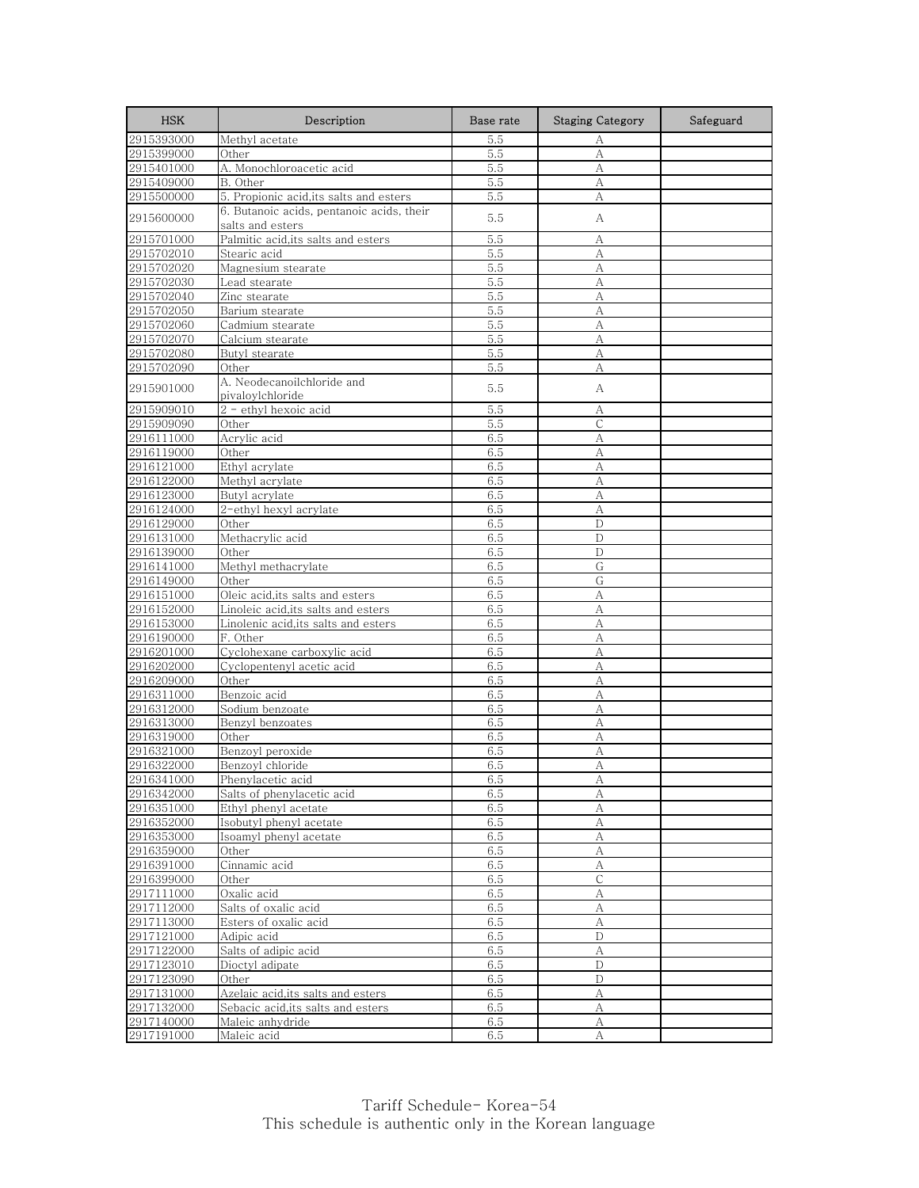| <b>HSK</b>               | Description                                                   | Base rate  | <b>Staging Category</b> | Safeguard |
|--------------------------|---------------------------------------------------------------|------------|-------------------------|-----------|
| 2915393000               | Methyl acetate                                                | 5.5        | А                       |           |
| 2915399000               | Other                                                         | 5.5        | A                       |           |
| 2915401000               | A. Monochloroacetic acid                                      | 5.5        | А                       |           |
| 2915409000               | B. Other                                                      | 5.5        | А                       |           |
| 2915500000               | 5. Propionic acid, its salts and esters                       | 5.5        | А                       |           |
| 2915600000               | 6. Butanoic acids, pentanoic acids, their<br>salts and esters | 5.5        | А                       |           |
| 2915701000               | Palmitic acid, its salts and esters                           | 5.5        | А                       |           |
| 2915702010               | Stearic acid                                                  | 5.5        | А                       |           |
| 2915702020               | Magnesium stearate                                            | 5.5        | А                       |           |
| 2915702030               | Lead stearate                                                 | 5.5        | А                       |           |
| 2915702040               | Zinc stearate                                                 | 5.5        | А                       |           |
| 2915702050               | Barium stearate                                               | 5.5        | А                       |           |
| 2915702060               | Cadmium stearate                                              | 5.5        | A                       |           |
| 2915702070               | Calcium stearate                                              | 5.5        | A                       |           |
| 2915702080               | Butyl stearate                                                | 5.5        | А                       |           |
| 2915702090               | Other                                                         | 5.5        | А                       |           |
| 2915901000               | A. Neodecanoilchloride and<br>pivaloylchloride                | 5.5        | А                       |           |
| 2915909010               | 2 - ethyl hexoic acid                                         | 5.5        | А                       |           |
| 2915909090               | Other                                                         | 5.5        | $\mathsf{C}$            |           |
| 2916111000               | Acrylic acid                                                  | 6.5        | А                       |           |
| 2916119000               | Other                                                         | 6.5        | А                       |           |
| 2916121000               | Ethyl acrylate                                                | 6.5        | А                       |           |
| 2916122000               | Methyl acrylate                                               | 6.5        | А                       |           |
| 2916123000               | Butyl acrylate                                                | 6.5        | А                       |           |
| 2916124000               | 2-ethyl hexyl acrylate                                        | 6.5        | A                       |           |
| 2916129000               | Other                                                         | 6.5        | D                       |           |
| 2916131000               | Methacrylic acid                                              | 6.5        | D                       |           |
| 2916139000               | Other                                                         | 6.5        | D                       |           |
| 2916141000               | Methyl methacrylate                                           | 6.5        | G                       |           |
| 2916149000               | Other                                                         | 6.5        | G                       |           |
| 2916151000               | Oleic acid, its salts and esters                              | 6.5        | А                       |           |
| 2916152000               | Linoleic acid,its salts and esters                            | 6.5        | А                       |           |
| 2916153000               | Linolenic acid, its salts and esters                          | 6.5        | А                       |           |
| 2916190000               | F. Other                                                      | 6.5        | А                       |           |
| 2916201000               | Cyclohexane carboxylic acid                                   | 6.5        | А                       |           |
| 2916202000               | Cyclopentenyl acetic acid                                     | 6.5        | А                       |           |
| 2916209000               | Other                                                         | 6.5        | A                       |           |
| 2916311000               | Benzoic acid                                                  | 6.5        | A                       |           |
| 2916312000               | Sodium benzoate                                               | 6.5        | А                       |           |
| 2916313000               | Benzyl benzoates                                              | 6.5        | А                       |           |
| 2916319000               | Other                                                         | 6.5        | А                       |           |
| 2916321000               | Benzoyl peroxide                                              | 6.5        | А                       |           |
| 2916322000               | Benzoyl chloride                                              | 6.5        | А                       |           |
| 2916341000               | Phenylacetic acid                                             | 6.5        | Α                       |           |
| 2916342000               | Salts of phenylacetic acid                                    | 6.5        | А                       |           |
| 2916351000<br>2916352000 | Ethyl phenyl acetate                                          | 6.5<br>6.5 | А<br>$\boldsymbol{A}$   |           |
|                          | Isobutyl phenyl acetate                                       |            |                         |           |
| 2916353000<br>2916359000 | Isoamyl phenyl acetate<br>Other                               | 6.5<br>6.5 | А<br>$\boldsymbol{A}$   |           |
| 2916391000               | Cinnamic acid                                                 | 6.5        | А                       |           |
| 2916399000               | Other                                                         | 6.5        | $\overline{C}$          |           |
| 2917111000               | Oxalic acid                                                   | 6.5        | А                       |           |
| 2917112000               | Salts of oxalic acid                                          | 6.5        | А                       |           |
| 2917113000               | Esters of oxalic acid                                         | 6.5        | А                       |           |
| 2917121000               | Adipic acid                                                   | 6.5        | D                       |           |
| 2917122000               | Salts of adipic acid                                          | 6.5        | $\mathbf{A}$            |           |
| 2917123010               | Dioctyl adipate                                               | 6.5        | $\mathbf D$             |           |
| 2917123090               | Other                                                         | 6.5        | D                       |           |
| 2917131000               | Azelaic acid, its salts and esters                            | 6.5        | А                       |           |
| 2917132000               | Sebacic acid, its salts and esters                            | 6.5        | А                       |           |
| 2917140000               | Maleic anhydride                                              | 6.5        | А                       |           |
| 2917191000               | Maleic acid                                                   | 6.5        | A                       |           |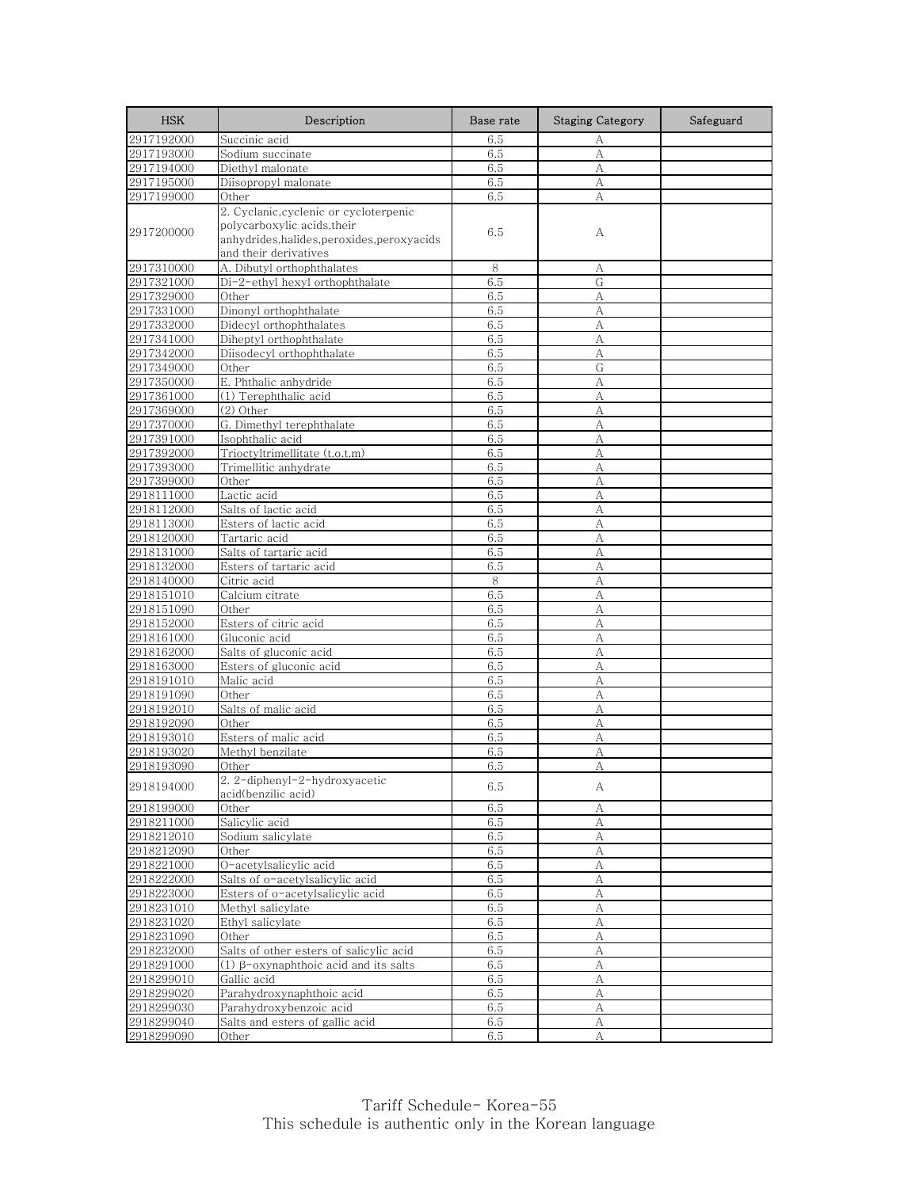| <b>HSK</b>               | Description                                 | Base rate  | <b>Staging Category</b> | Safeguard |
|--------------------------|---------------------------------------------|------------|-------------------------|-----------|
| 2917192000               | Succinic acid                               | 6.5        | А                       |           |
| 2917193000               | Sodium succinate                            | 6.5        | А                       |           |
| 2917194000               | Diethyl malonate                            | 6.5        | A                       |           |
| 2917195000               | Diisopropyl malonate                        | 6.5        | А                       |           |
| 2917199000               | Other                                       | 6.5        | А                       |           |
|                          | 2. Cyclanic, cyclenic or cycloterpenic      |            |                         |           |
| 2917200000               | polycarboxylic acids,their                  | 6.5        | А                       |           |
|                          | anhydrides, halides, peroxides, peroxyacids |            |                         |           |
|                          | and their derivatives                       |            |                         |           |
| 2917310000               | A. Dibutyl orthophthalates                  | 8          | А                       |           |
| 2917321000               | Di-2-ethyl hexyl orthophthalate             | 6.5        | G                       |           |
| 2917329000               | Other                                       | 6.5        | А                       |           |
| 2917331000               | Dinonyl orthophthalate                      | 6.5        | A                       |           |
| 2917332000               | Didecyl orthophthalates                     | 6.5        | A                       |           |
| 2917341000               | Diheptyl orthophthalate                     | 6.5        | А                       |           |
| 2917342000               | Diisodecyl orthophthalate                   | 6.5        | A                       |           |
| 2917349000               | Other                                       | 6.5        | G                       |           |
| 2917350000               | E. Phthalic anhydride                       | 6.5        | А                       |           |
| 2917361000               | (1) Terephthalic acid                       | 6.5        | А                       |           |
| 2917369000               | (2) Other                                   | 6.5        | A                       |           |
| 2917370000               | G. Dimethyl terephthalate                   | 6.5        | A                       |           |
| 2917391000               | Isophthalic acid                            | 6.5        | А                       |           |
| 2917392000               | Trioctyltrimellitate (t.o.t.m)              | 6.5        | А                       |           |
| 2917393000               | Trimellitic anhydrate                       | 6.5        | А                       |           |
| 2917399000               | Other                                       | 6.5        | А                       |           |
| 2918111000               | Lactic acid                                 | 6.5        | A                       |           |
| 2918112000               | Salts of lactic acid                        | 6.5        | A                       |           |
| 2918113000               | Esters of lactic acid                       | 6.5        | А                       |           |
| 2918120000               | Tartaric acid                               | 6.5        | А                       |           |
| 2918131000               | Salts of tartaric acid                      | 6.5        | А                       |           |
| 2918132000               | Esters of tartaric acid                     | 6.5        | А                       |           |
| 2918140000               | Citric acid                                 | 8          | A                       |           |
| 2918151010               | Calcium citrate                             | 6.5<br>6.5 | A<br>A                  |           |
| 2918151090<br>2918152000 | Other<br>Esters of citric acid              | 6.5        | A                       |           |
| 2918161000               | Gluconic acid                               | 6.5        | А                       |           |
| 2918162000               | Salts of gluconic acid                      | 6.5        | A                       |           |
| 2918163000               | Esters of gluconic acid                     | 6.5        | А                       |           |
| 2918191010               | Malic acid                                  | 6.5        | А                       |           |
| 2918191090               | Other                                       | 6.5        | А                       |           |
| 2918192010               | Salts of malic acid                         | 6.5        | А                       |           |
| 2918192090               | Other                                       | 6.5        | А                       |           |
| 2918193010               | Esters of malic acid                        | 6.5        | А                       |           |
| 2918193020               | Methyl benzilate                            | 6.5        | А                       |           |
| 2918193090               | Other                                       | 6.5        | A                       |           |
|                          | 2. 2-diphenyl-2-hydroxyacetic               |            |                         |           |
| 2918194000               | acid(benzilic acid)                         | 6.5        | А                       |           |
| 2918199000               | Other                                       | 6.5        | А                       |           |
| 2918211000               | Salicylic acid                              | 6.5        | A                       |           |
| 2918212010               | Sodium salicylate                           | 6.5        | А                       |           |
| 2918212090               | Other                                       | 6.5        | А                       |           |
| 2918221000               | O-acetylsalicylic acid                      | 6.5        | А                       |           |
| 2918222000               | Salts of o-acetylsalicylic acid             | 6.5        | A                       |           |
| 2918223000               | Esters of o-acetylsalicylic acid            | 6.5        | A                       |           |
| 2918231010               | Methyl salicylate                           | 6.5        | А                       |           |
| 2918231020               | Ethyl salicylate                            | 6.5        | А                       |           |
| 2918231090               | Other                                       | 6.5        | А                       |           |
| 2918232000               | Salts of other esters of salicylic acid     | 6.5        | А                       |           |
| 2918291000               | (1) β-oxynaphthoic acid and its salts       | 6.5        | $\mathbf{A}$            |           |
| 2918299010               | Gallic acid                                 | 6.5        | А                       |           |
| 2918299020               | Parahydroxynaphthoic acid                   | 6.5        | $\mathbf{A}$            |           |
| 2918299030               | Parahydroxybenzoic acid                     | 6.5        | А                       |           |
| 2918299040               | Salts and esters of gallic acid             | 6.5        | А                       |           |
| 2918299090               | Other                                       | 6.5        | А                       |           |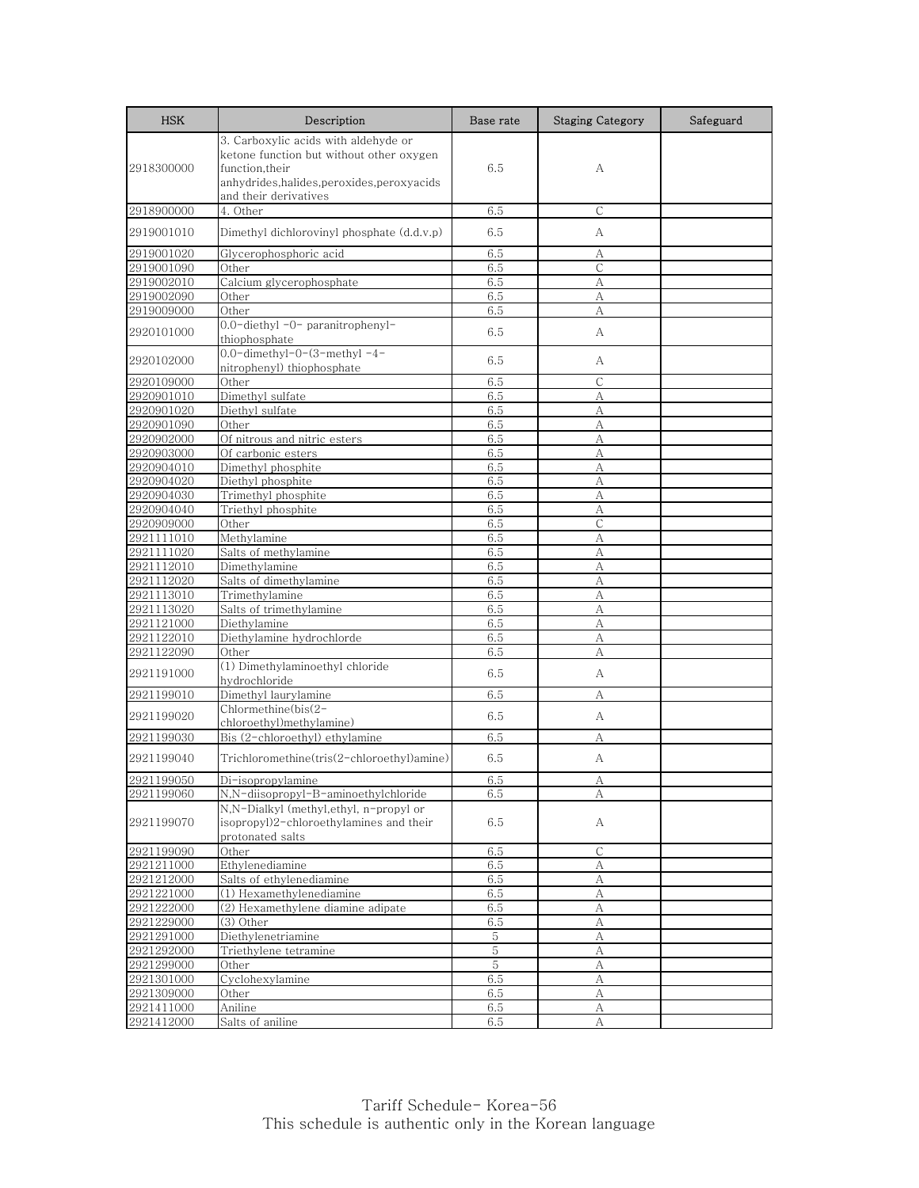| <b>HSK</b> | Description                                                                                                                                                                | Base rate   | <b>Staging Category</b> | Safeguard |
|------------|----------------------------------------------------------------------------------------------------------------------------------------------------------------------------|-------------|-------------------------|-----------|
| 2918300000 | 3. Carboxylic acids with aldehyde or<br>ketone function but without other oxygen<br>function,their<br>anhydrides, halides, peroxides, peroxyacids<br>and their derivatives | 6.5         | А                       |           |
| 2918900000 | 4. Other                                                                                                                                                                   | 6.5         | C                       |           |
| 2919001010 | Dimethyl dichlorovinyl phosphate (d.d.v.p)                                                                                                                                 | 6.5         | А                       |           |
| 2919001020 | Glycerophosphoric acid                                                                                                                                                     | 6.5         | А                       |           |
| 2919001090 | Other                                                                                                                                                                      | 6.5         | С                       |           |
| 2919002010 | Calcium glycerophosphate                                                                                                                                                   | 6.5         | А                       |           |
| 2919002090 | Other                                                                                                                                                                      | 6.5         | А                       |           |
| 2919009000 | Other                                                                                                                                                                      | 6.5         | A                       |           |
| 2920101000 | 0.0-diethyl -0- paranitrophenyl-<br>thiophosphate                                                                                                                          | 6.5         | А                       |           |
| 2920102000 | $0.0$ -dimethyl- $0$ - $(3$ -methyl- $4$ -<br>nitrophenyl) thiophosphate                                                                                                   | 6.5         | А                       |           |
| 2920109000 | Other                                                                                                                                                                      | 6.5         | $\mathsf{C}$            |           |
| 2920901010 | Dimethyl sulfate                                                                                                                                                           | 6.5         | А                       |           |
| 2920901020 | Diethyl sulfate                                                                                                                                                            | 6.5         | А                       |           |
| 2920901090 | Other                                                                                                                                                                      | 6.5         | А                       |           |
| 2920902000 | Of nitrous and nitric esters                                                                                                                                               | 6.5         | А                       |           |
| 2920903000 | Of carbonic esters                                                                                                                                                         | 6.5         | А                       |           |
| 2920904010 | Dimethyl phosphite                                                                                                                                                         | 6.5         | А                       |           |
| 2920904020 | Diethyl phosphite                                                                                                                                                          | 6.5         | A                       |           |
| 2920904030 | Trimethyl phosphite                                                                                                                                                        | 6.5         | А                       |           |
| 2920904040 | Triethyl phosphite                                                                                                                                                         | 6.5         | A                       |           |
| 2920909000 | Other                                                                                                                                                                      | 6.5         | $\mathsf{C}$            |           |
| 2921111010 | Methylamine                                                                                                                                                                | 6.5         | А                       |           |
| 2921111020 | Salts of methylamine                                                                                                                                                       | 6.5         | A                       |           |
| 2921112010 | Dimethylamine                                                                                                                                                              | 6.5         | А                       |           |
| 2921112020 | Salts of dimethylamine                                                                                                                                                     | 6.5         | А                       |           |
| 2921113010 | Trimethylamine                                                                                                                                                             | 6.5         | А                       |           |
| 2921113020 | Salts of trimethylamine                                                                                                                                                    | 6.5         | А                       |           |
| 2921121000 | Diethylamine                                                                                                                                                               | 6.5         | А                       |           |
| 2921122010 | Diethylamine hydrochlorde                                                                                                                                                  | 6.5         | А                       |           |
| 2921122090 | Other                                                                                                                                                                      | 6.5         | A                       |           |
| 2921191000 | (1) Dimethylaminoethyl chloride<br>hydrochloride                                                                                                                           | 6.5         | А                       |           |
| 2921199010 | Dimethyl laurylamine                                                                                                                                                       | 6.5         | А                       |           |
| 2921199020 | Chlormethine(bis(2-<br>chloroethyl)methylamine)                                                                                                                            | 6.5         | А                       |           |
| 2921199030 | Bis (2-chloroethyl) ethylamine                                                                                                                                             | 6.5         | А                       |           |
| 2921199040 | Trichloromethine(tris(2-chloroethyl)amine)                                                                                                                                 | 6.5         | А                       |           |
| 2921199050 | Di-isopropylamine                                                                                                                                                          | 6.5         | А                       |           |
| 2921199060 | N,N-diisopropyl-B-aminoethylchloride                                                                                                                                       | 6.5         | А                       |           |
| 2921199070 | N,N-Dialkyl (methyl,ethyl, n-propyl or<br>isopropyl)2-chloroethylamines and their<br>protonated salts                                                                      | 6.5         | А                       |           |
| 2921199090 | Other                                                                                                                                                                      | 6.5         | C                       |           |
| 2921211000 | Ethylenediamine                                                                                                                                                            | 6.5         | А                       |           |
| 2921212000 | Salts of ethylenediamine                                                                                                                                                   | 6.5         | А                       |           |
| 2921221000 | (1) Hexamethylenediamine                                                                                                                                                   | 6.5         | А                       |           |
| 2921222000 | (2) Hexamethylene diamine adipate                                                                                                                                          | 6.5         | А                       |           |
| 2921229000 | (3) Other                                                                                                                                                                  | 6.5         | А                       |           |
| 2921291000 | Diethylenetriamine                                                                                                                                                         | 5           | А                       |           |
| 2921292000 | Triethylene tetramine                                                                                                                                                      | $\,$ 5 $\,$ | A                       |           |
| 2921299000 | Other                                                                                                                                                                      | 5           | A                       |           |
| 2921301000 | Cyclohexylamine                                                                                                                                                            | 6.5         | А                       |           |
| 2921309000 | Other                                                                                                                                                                      | 6.5         | А                       |           |
| 2921411000 | Aniline                                                                                                                                                                    | 6.5         | А                       |           |
| 2921412000 | Salts of aniline                                                                                                                                                           | 6.5         | А                       |           |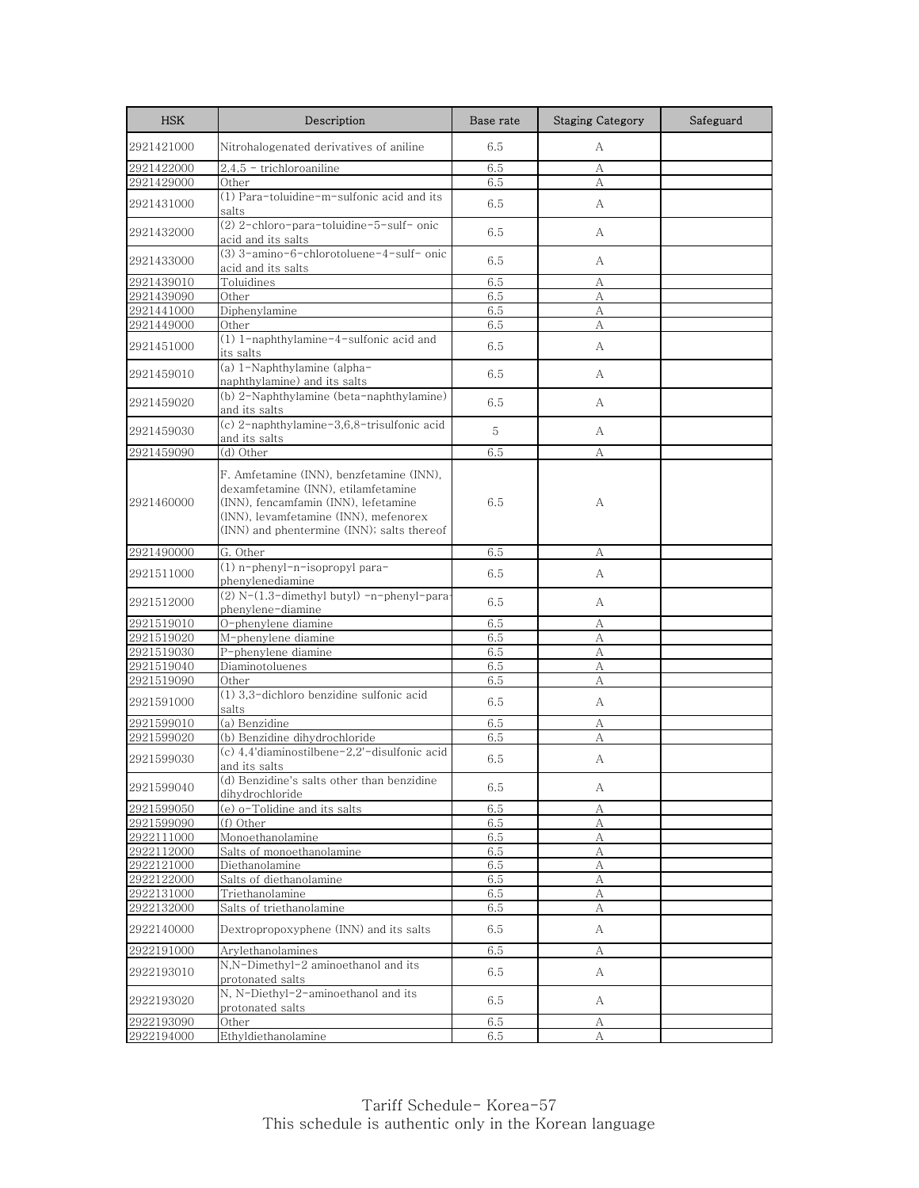| <b>HSK</b>               | Description                                                                                                                                                                                                    | Base rate  | <b>Staging Category</b> | Safeguard |
|--------------------------|----------------------------------------------------------------------------------------------------------------------------------------------------------------------------------------------------------------|------------|-------------------------|-----------|
| 2921421000               | Nitrohalogenated derivatives of aniline                                                                                                                                                                        | 6.5        | А                       |           |
| 2921422000               | 2,4,5 - trichloroaniline                                                                                                                                                                                       | 6.5        | А                       |           |
| 2921429000               | Other                                                                                                                                                                                                          | 6.5        | A                       |           |
| 2921431000               | (1) Para-toluidine-m-sulfonic acid and its<br>salts                                                                                                                                                            | 6.5        | А                       |           |
| 2921432000               | (2) 2-chloro-para-toluidine-5-sulf- onic<br>acid and its salts                                                                                                                                                 | 6.5        | А                       |           |
| 2921433000               | (3) 3-amino-6-chlorotoluene-4-sulf- onic<br>acid and its salts                                                                                                                                                 | 6.5        | А                       |           |
| 2921439010               | Toluidines                                                                                                                                                                                                     | 6.5        | А                       |           |
| 2921439090               | Other                                                                                                                                                                                                          | 6.5        | А                       |           |
| 2921441000               | Diphenylamine                                                                                                                                                                                                  | 6.5        | А                       |           |
| 2921449000               | Other                                                                                                                                                                                                          | 6.5        | А                       |           |
| 2921451000               | (1) 1-naphthylamine-4-sulfonic acid and<br>its salts                                                                                                                                                           | 6.5        | А                       |           |
| 2921459010               | (a) 1-Naphthylamine (alpha-<br>naphthylamine) and its salts                                                                                                                                                    | 6.5        | А                       |           |
| 2921459020               | (b) 2-Naphthylamine (beta-naphthylamine)<br>and its salts                                                                                                                                                      | 6.5        | А                       |           |
| 2921459030               | (c) 2-naphthylamine-3,6,8-trisulfonic acid<br>and its salts                                                                                                                                                    | 5          | А                       |           |
| 2921459090               | (d) Other                                                                                                                                                                                                      | 6.5        | А                       |           |
| 2921460000               | F. Amfetamine (INN), benzfetamine (INN),<br>dexamfetamine (INN), etilamfetamine<br>(INN), fencamfamin (INN), lefetamine<br>(INN), levamfetamine (INN), mefenorex<br>(INN) and phentermine (INN); salts thereof | 6.5        | А                       |           |
| 2921490000               | G. Other                                                                                                                                                                                                       | 6.5        | А                       |           |
| 2921511000               | (1) n-phenyl-n-isopropyl para-<br>phenylenediamine                                                                                                                                                             | 6.5        | А                       |           |
| 2921512000               | (2) N-(1.3-dimethyl butyl) -n-phenyl-para-<br>phenylene-diamine                                                                                                                                                | 6.5        | А                       |           |
| 2921519010               | O-phenylene diamine                                                                                                                                                                                            | 6.5        | А                       |           |
| 2921519020               | M-phenylene diamine                                                                                                                                                                                            | 6.5        | А                       |           |
| 2921519030               | P-phenylene diamine                                                                                                                                                                                            | 6.5        | A                       |           |
| 2921519040               | Diaminotoluenes                                                                                                                                                                                                | 6.5        | А                       |           |
| 2921519090               | Other                                                                                                                                                                                                          | 6.5        | А                       |           |
| 2921591000               | $(1)$ 3,3-dichloro benzidine sulfonic acid<br>salts                                                                                                                                                            | 6.5        | А                       |           |
| 2921599010               | (a) Benzidine                                                                                                                                                                                                  | 6.5        | А                       |           |
| 2921599020               | (b) Benzidine dihydrochloride                                                                                                                                                                                  | 6.5        | А                       |           |
| 2921599030               | (c) 4,4'diaminostilbene-2,2'-disulfonic acid<br>and its salts                                                                                                                                                  | 6.5        | А                       |           |
| 2921599040               | (d) Benzidine's salts other than benzidine<br>dihydrochloride                                                                                                                                                  | 6.5        | А                       |           |
| 2921599050               | (e) o-Tolidine and its salts                                                                                                                                                                                   | 6.5        | А                       |           |
| 2921599090               | (f) Other                                                                                                                                                                                                      | 6.5        | А                       |           |
| 2922111000               | Monoethanolamine                                                                                                                                                                                               | 6.5        | А                       |           |
| 2922112000               | Salts of monoethanolamine                                                                                                                                                                                      | 6.5        | А                       |           |
| 2922121000               | Diethanolamine                                                                                                                                                                                                 | 6.5        | А                       |           |
| 2922122000               | Salts of diethanolamine                                                                                                                                                                                        | 6.5        | А                       |           |
| 2922131000               | Triethanolamine                                                                                                                                                                                                | 6.5        | $\boldsymbol{A}$        |           |
| 2922132000<br>2922140000 | Salts of triethanolamine<br>Dextropropoxyphene (INN) and its salts                                                                                                                                             | 6.5<br>6.5 | А<br>A                  |           |
| 2922191000               | Arylethanolamines                                                                                                                                                                                              | 6.5        | А                       |           |
|                          | N,N-Dimethyl-2 aminoethanol and its                                                                                                                                                                            |            |                         |           |
| 2922193010               | protonated salts                                                                                                                                                                                               | 6.5        | A                       |           |
| 2922193020               | N, N-Diethyl-2-aminoethanol and its<br>protonated salts                                                                                                                                                        | 6.5        | A                       |           |
| 2922193090               | Other                                                                                                                                                                                                          | 6.5        | А                       |           |
| 2922194000               | Ethyldiethanolamine                                                                                                                                                                                            | 6.5        | А                       |           |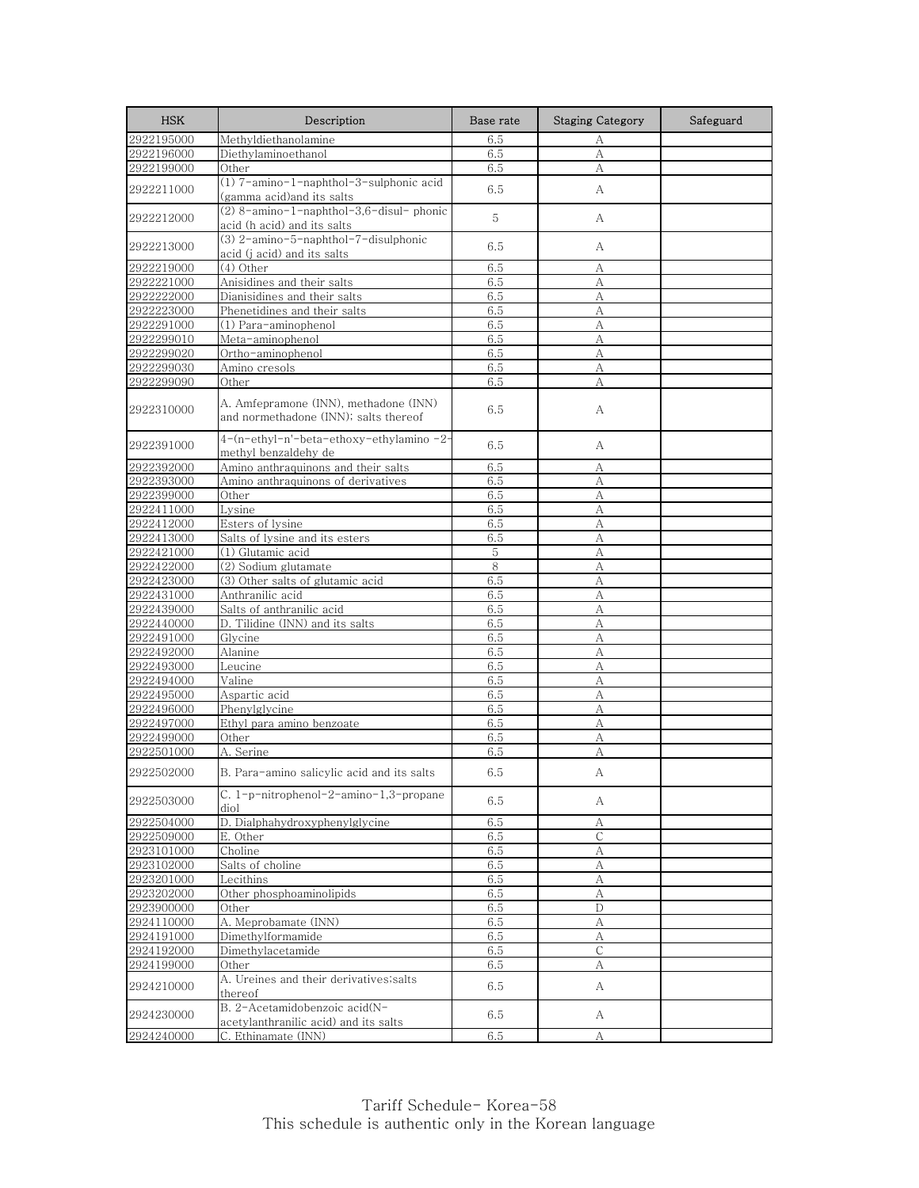| <b>HSK</b> | Description                                                                    | Base rate | <b>Staging Category</b> | Safeguard |
|------------|--------------------------------------------------------------------------------|-----------|-------------------------|-----------|
| 2922195000 | Methyldiethanolamine                                                           | 6.5       | А                       |           |
| 2922196000 | Diethylaminoethanol                                                            | 6.5       | A                       |           |
| 2922199000 | Other                                                                          | 6.5       | А                       |           |
| 2922211000 | (1) 7-amino-1-naphthol-3-sulphonic acid<br>(gamma acid)and its salts           | 6.5       | А                       |           |
| 2922212000 | (2) 8-amino-1-naphthol-3,6-disul-phonic<br>acid (h acid) and its salts         | 5         | А                       |           |
| 2922213000 | (3) 2-amino-5-naphthol-7-disulphonic<br>acid (j acid) and its salts            | 6.5       | А                       |           |
| 2922219000 | (4) Other                                                                      | 6.5       | А                       |           |
| 2922221000 | Anisidines and their salts                                                     | 6.5       | А                       |           |
| 2922222000 | Dianisidines and their salts                                                   | 6.5       | А                       |           |
| 2922223000 | Phenetidines and their salts                                                   | 6.5       | A                       |           |
| 2922291000 | (1) Para-aminophenol                                                           | 6.5       | A                       |           |
| 2922299010 | Meta-aminophenol                                                               | 6.5       | А                       |           |
| 2922299020 | Ortho-aminophenol                                                              | 6.5       | А                       |           |
| 2922299030 | Amino cresols                                                                  | 6.5       | А                       |           |
| 2922299090 | Other                                                                          | 6.5       | А                       |           |
| 2922310000 | A. Amfepramone (INN), methadone (INN)<br>and normethadone (INN); salts thereof | 6.5       | A                       |           |
| 2922391000 | 4-(n-ethyl-n'-beta-ethoxy-ethylamino-2-<br>methyl benzaldehy de                | 6.5       | А                       |           |
| 2922392000 | Amino anthraquinons and their salts                                            | 6.5       | А                       |           |
| 2922393000 | Amino anthraquinons of derivatives                                             | 6.5       | А                       |           |
| 2922399000 | Other                                                                          | 6.5       | А                       |           |
| 2922411000 | Lysine                                                                         | 6.5       | A                       |           |
| 2922412000 | Esters of lysine                                                               | 6.5       | А                       |           |
| 2922413000 | Salts of lysine and its esters                                                 | 6.5       | А                       |           |
| 2922421000 | (1) Glutamic acid                                                              | 5         | А                       |           |
| 2922422000 | (2) Sodium glutamate                                                           | $\,8\,$   | А                       |           |
| 2922423000 | (3) Other salts of glutamic acid                                               | 6.5       | A                       |           |
| 2922431000 | Anthranilic acid                                                               | 6.5       | А                       |           |
| 2922439000 | Salts of anthranilic acid                                                      | 6.5       | А                       |           |
| 2922440000 | D. Tilidine (INN) and its salts                                                | 6.5       | А                       |           |
| 2922491000 | Glycine                                                                        | 6.5       | А                       |           |
| 2922492000 | Alanine                                                                        | 6.5       | А                       |           |
| 2922493000 | Leucine                                                                        | 6.5       | A                       |           |
| 2922494000 | Valine                                                                         | 6.5       | А                       |           |
| 2922495000 | Aspartic acid                                                                  | 6.5       | А                       |           |
| 2922496000 | Phenylglycine                                                                  | 6.5       | А                       |           |
| 2922497000 | Ethyl para amino benzoate                                                      | 6.5       | A                       |           |
| 2922499000 | Other                                                                          | 6.5       | А                       |           |
| 2922501000 | A. Serine                                                                      | 6.5       | A                       |           |
| 2922502000 | B. Para-amino salicylic acid and its salts                                     | 6.5       | А                       |           |
| 2922503000 | C. 1-p-nitrophenol-2-amino-1,3-propane<br>diol                                 | 6.5       | А                       |           |
| 2922504000 | D. Dialphahydroxyphenylglycine                                                 | 6.5       | A                       |           |
| 2922509000 | E. Other                                                                       | 6.5       | C                       |           |
| 2923101000 | Choline                                                                        | 6.5       | А                       |           |
| 2923102000 | Salts of choline                                                               | 6.5       | А                       |           |
| 2923201000 | Lecithins                                                                      | 6.5       | А                       |           |
| 2923202000 | Other phosphoaminolipids                                                       | 6.5       | А                       |           |
| 2923900000 | Other                                                                          | 6.5       | D                       |           |
| 2924110000 | A. Meprobamate (INN)                                                           | 6.5       | А                       |           |
| 2924191000 | Dimethylformamide                                                              | 6.5       | А                       |           |
| 2924192000 | Dimethylacetamide                                                              | 6.5       | С                       |           |
| 2924199000 | Other                                                                          | 6.5       | А                       |           |
| 2924210000 | A. Ureines and their derivatives; salts<br>thereof                             | 6.5       | А                       |           |
| 2924230000 | B. 2-Acetamidobenzoic acid(N-<br>acetylanthranilic acid) and its salts         | 6.5       | A                       |           |
| 2924240000 | C. Ethinamate (INN)                                                            | 6.5       | А                       |           |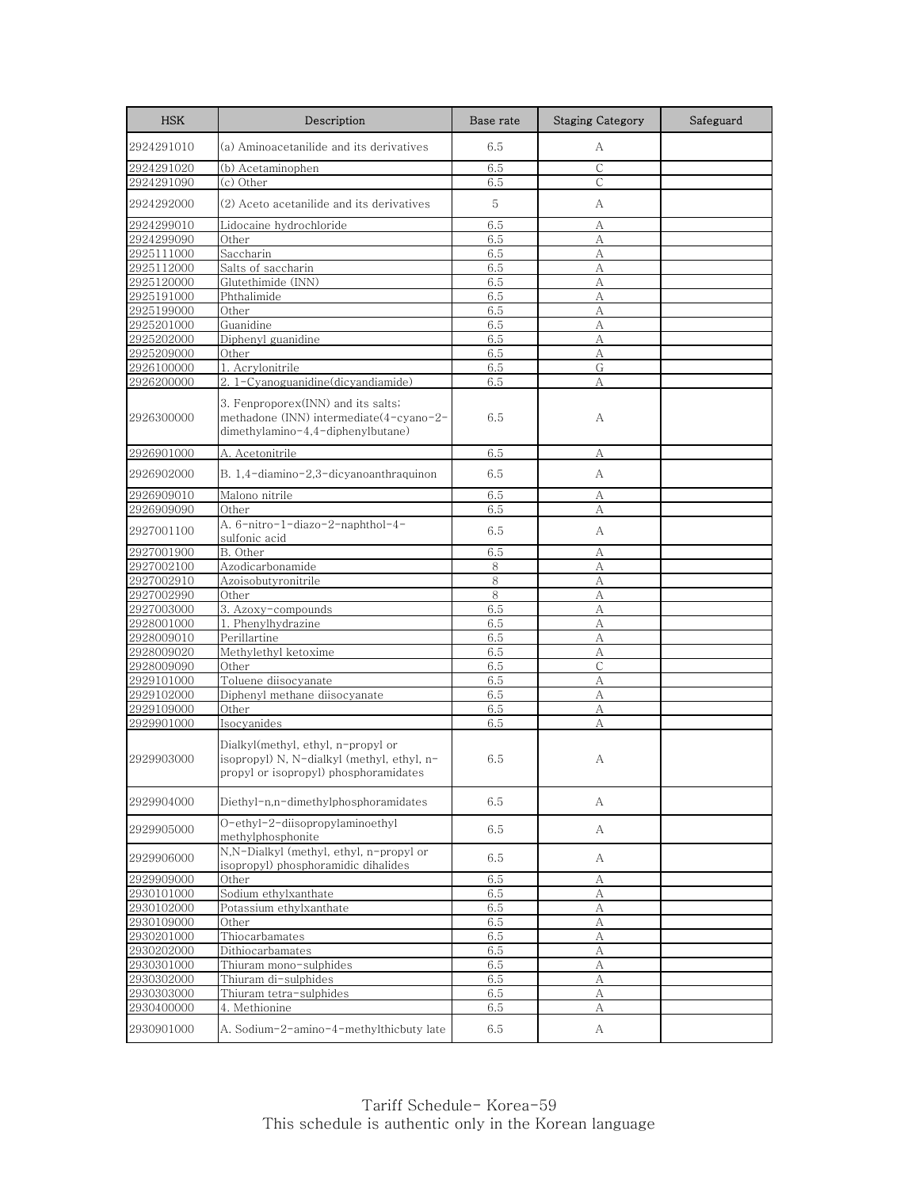| <b>HSK</b>               | Description                                                                                                               | Base rate  | <b>Staging Category</b> | Safeguard |
|--------------------------|---------------------------------------------------------------------------------------------------------------------------|------------|-------------------------|-----------|
| 2924291010               | (a) Aminoacetanilide and its derivatives                                                                                  | 6.5        | А                       |           |
| 2924291020               | (b) Acetaminophen                                                                                                         | 6.5        | C                       |           |
| 2924291090               | (c) Other                                                                                                                 | 6.5        | C                       |           |
| 2924292000               | (2) Aceto acetanilide and its derivatives                                                                                 | 5          | А                       |           |
| 2924299010               | Lidocaine hydrochloride                                                                                                   | 6.5        | А                       |           |
| 2924299090               | Other                                                                                                                     | 6.5        | А                       |           |
| 2925111000               | Saccharin                                                                                                                 | 6.5        | А                       |           |
| 2925112000               | Salts of saccharin                                                                                                        | 6.5        | А                       |           |
| 2925120000<br>2925191000 | Glutethimide (INN)<br>Phthalimide                                                                                         | 6.5<br>6.5 | А<br>А                  |           |
| 2925199000               | Other                                                                                                                     | 6.5        | А                       |           |
| 2925201000               | Guanidine                                                                                                                 | 6.5        | A                       |           |
| 2925202000               | Diphenyl guanidine                                                                                                        | 6.5        | А                       |           |
| 2925209000               | Other                                                                                                                     | 6.5        | А                       |           |
| 2926100000               | 1. Acrylonitrile                                                                                                          | 6.5        | G                       |           |
| 2926200000               | 2. 1-Cyanoguanidine(dicyandiamide)                                                                                        | 6.5        | А                       |           |
| 2926300000               | 3. Fenproporex(INN) and its salts;<br>methadone (INN) intermediate(4-cyano-2-<br>dimethylamino-4,4-diphenylbutane)        | 6.5        | А                       |           |
| 2926901000               | A. Acetonitrile                                                                                                           | 6.5        | А                       |           |
| 2926902000               | B. 1,4-diamino-2,3-dicyanoanthraquinon                                                                                    | 6.5        | А                       |           |
| 2926909010               | Malono nitrile                                                                                                            | 6.5        | А                       |           |
| 2926909090               | Other                                                                                                                     | 6.5        | А                       |           |
| 2927001100               | A. 6-nitro-1-diazo-2-naphthol-4-<br>sulfonic acid                                                                         | 6.5        | А                       |           |
| 2927001900               | B. Other                                                                                                                  | 6.5        | А                       |           |
| 2927002100               | Azodicarbonamide                                                                                                          | 8          | А                       |           |
| 2927002910               | Azoisobutyronitrile                                                                                                       | 8          | А                       |           |
| 2927002990               | Other                                                                                                                     | 8          | А                       |           |
| 2927003000               | 3. Azoxy-compounds                                                                                                        | 6.5        | А                       |           |
| 2928001000               | 1. Phenylhydrazine                                                                                                        | 6.5        | A                       |           |
| 2928009010               | Perillartine                                                                                                              | 6.5        | А                       |           |
| 2928009020               | Methylethyl ketoxime                                                                                                      | 6.5        | A                       |           |
| 2928009090               | Other                                                                                                                     | 6.5        | $\mathsf{C}$            |           |
| 2929101000               | Toluene diisocyanate                                                                                                      | 6.5        | А                       |           |
| 2929102000               | Diphenyl methane diisocyanate                                                                                             | 6.5        | А                       |           |
| 2929109000               | Other                                                                                                                     | 6.5        | А                       |           |
| 2929901000               | Isocyanides                                                                                                               | 6.5        | А                       |           |
| 2929903000               | Dialkyl(methyl, ethyl, n-propyl or<br>isopropyl) N, N-dialkyl (methyl, ethyl, n-<br>propyl or isopropyl) phosphoramidates | 6.5        | А                       |           |
| 2929904000               | Diethyl-n,n-dimethylphosphoramidates                                                                                      | 6.5        | А                       |           |
| 2929905000               | O-ethyl-2-diisopropylaminoethyl<br>methylphosphonite                                                                      | 6.5        | А                       |           |
| 2929906000               | N,N-Dialkyl (methyl, ethyl, n-propyl or<br>isopropyl) phosphoramidic dihalides                                            | 6.5        | А                       |           |
| 2929909000               | Other                                                                                                                     | 6.5        | А                       |           |
| 2930101000               | Sodium ethylxanthate                                                                                                      | 6.5        | A                       |           |
| 2930102000               | Potassium ethylxanthate                                                                                                   | 6.5        | А                       |           |
| 2930109000               | Other                                                                                                                     | 6.5        | А                       |           |
| 2930201000               | Thiocarbamates                                                                                                            | 6.5        | А                       |           |
| 2930202000               | Dithiocarbamates                                                                                                          | 6.5        | А                       |           |
| 2930301000               | Thiuram mono-sulphides                                                                                                    | 6.5        | A                       |           |
| 2930302000               | Thiuram di-sulphides                                                                                                      | 6.5        | А                       |           |
| 2930303000               | Thiuram tetra-sulphides                                                                                                   | 6.5        | А                       |           |
| 2930400000               | 4. Methionine                                                                                                             | 6.5        | А                       |           |
| 2930901000               | A. Sodium-2-amino-4-methylthicbuty late                                                                                   | 6.5        | A                       |           |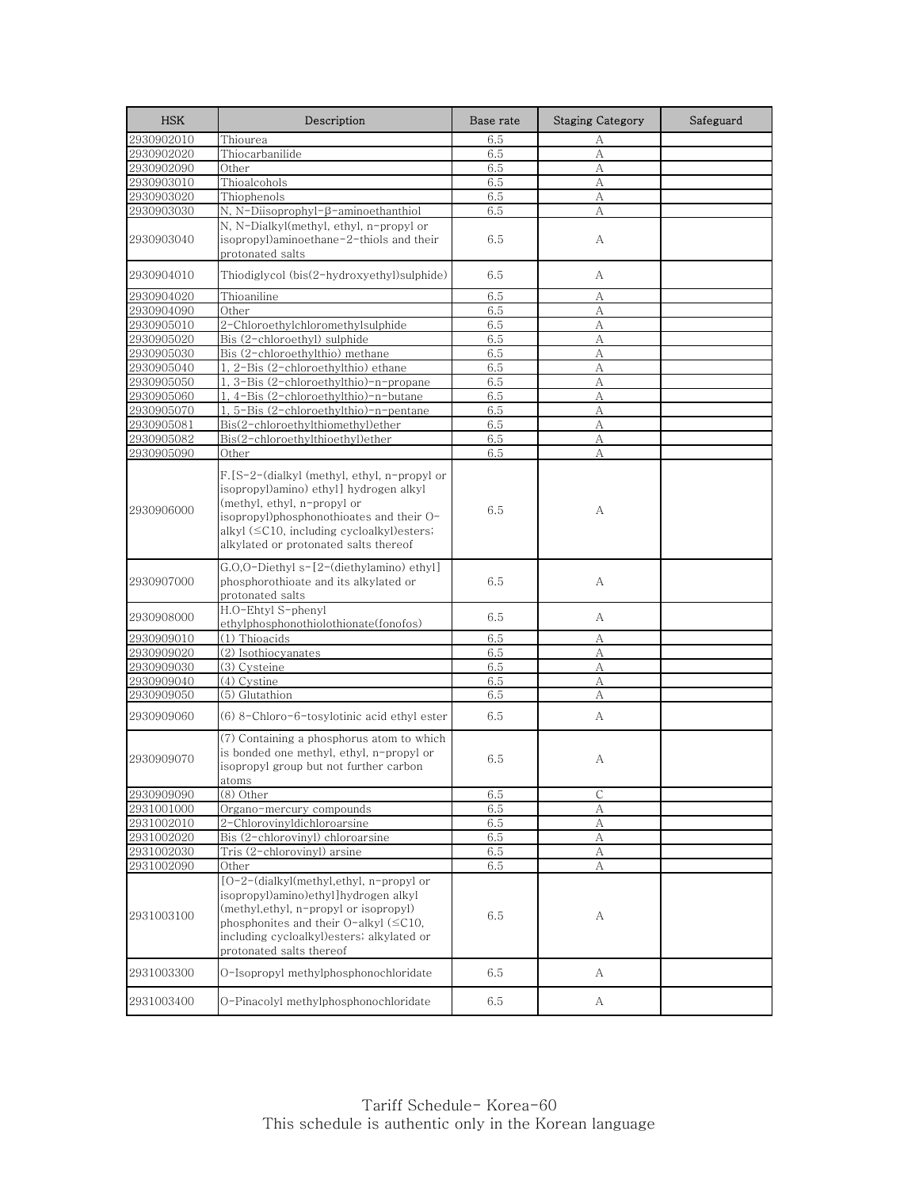| <b>HSK</b> | Description                                                                                                                                                                                                                                                    | Base rate | <b>Staging Category</b> | Safeguard |
|------------|----------------------------------------------------------------------------------------------------------------------------------------------------------------------------------------------------------------------------------------------------------------|-----------|-------------------------|-----------|
| 2930902010 | Thiourea                                                                                                                                                                                                                                                       | 6.5       | А                       |           |
| 2930902020 | Thiocarbanilide                                                                                                                                                                                                                                                | 6.5       | А                       |           |
| 2930902090 | Other                                                                                                                                                                                                                                                          | 6.5       | A                       |           |
| 2930903010 | Thioalcohols                                                                                                                                                                                                                                                   | 6.5       | $\mathbf{A}$            |           |
| 2930903020 | Thiophenols                                                                                                                                                                                                                                                    | 6.5       | А                       |           |
| 2930903030 | N, N-Diisoprophyl-β-aminoethanthiol                                                                                                                                                                                                                            | 6.5       | А                       |           |
| 2930903040 | N, N-Dialkyl(methyl, ethyl, n-propyl or<br>isopropyl)aminoethane-2-thiols and their<br>protonated salts                                                                                                                                                        | 6.5       | A                       |           |
| 2930904010 | Thiodiglycol (bis(2-hydroxyethyl)sulphide)                                                                                                                                                                                                                     | 6.5       | А                       |           |
| 2930904020 | Thioaniline                                                                                                                                                                                                                                                    | 6.5       | А                       |           |
| 2930904090 | Other                                                                                                                                                                                                                                                          | 6.5       | А                       |           |
| 2930905010 | 2-Chloroethylchloromethylsulphide                                                                                                                                                                                                                              | 6.5       | А                       |           |
| 2930905020 | Bis (2-chloroethyl) sulphide                                                                                                                                                                                                                                   | 6.5       | А                       |           |
| 2930905030 | Bis (2-chloroethylthio) methane                                                                                                                                                                                                                                | 6.5       | А                       |           |
| 2930905040 | 1, 2-Bis (2-chloroethylthio) ethane                                                                                                                                                                                                                            | 6.5       | А                       |           |
| 2930905050 | 3-Bis (2-chloroethylthio)-n-propane                                                                                                                                                                                                                            | 6.5       | A                       |           |
| 2930905060 | 4-Bis (2-chloroethylthio)-n-butane                                                                                                                                                                                                                             | 6.5       | A                       |           |
| 2930905070 | 1, 5-Bis (2-chloroethylthio)-n-pentane                                                                                                                                                                                                                         | 6.5       | А                       |           |
| 2930905081 | Bis(2-chloroethylthiomethyl)ether                                                                                                                                                                                                                              | 6.5       | А                       |           |
| 2930905082 | Bis(2-chloroethylthioethyl)ether                                                                                                                                                                                                                               | 6.5       | А                       |           |
| 2930905090 | Other                                                                                                                                                                                                                                                          | 6.5       | А                       |           |
| 2930906000 | F.[S-2-(dialkyl (methyl, ethyl, n-propyl or<br>isopropyl)amino) ethyl] hydrogen alkyl<br>(methyl, ethyl, n-propyl or<br>isopropyl)phosphonothioates and their O-<br>alkyl $(\leq C10$ , including cycloalkyl) esters;<br>alkylated or protonated salts thereof | 6.5       | А                       |           |
| 2930907000 | G.O,O-Diethyl s-[2-(diethylamino) ethyl]<br>phosphorothioate and its alkylated or<br>protonated salts                                                                                                                                                          | 6.5       | A                       |           |
| 2930908000 | H.O-Ehtyl S-phenyl<br>ethylphosphonothiolothionate(fonofos)                                                                                                                                                                                                    | 6.5       | А                       |           |
| 2930909010 | (1) Thioacids                                                                                                                                                                                                                                                  | 6.5       | А                       |           |
| 2930909020 | (2) Isothiocyanates                                                                                                                                                                                                                                            | 6.5       | А                       |           |
| 2930909030 | (3) Cysteine                                                                                                                                                                                                                                                   | 6.5       | А                       |           |
| 2930909040 | (4) Cystine                                                                                                                                                                                                                                                    | 6.5       | А                       |           |
| 2930909050 | (5) Glutathion                                                                                                                                                                                                                                                 | 6.5       | А                       |           |
| 2930909060 | (6) 8-Chloro-6-tosylotinic acid ethyl ester                                                                                                                                                                                                                    | 6.5       | А                       |           |
| 2930909070 | (7) Containing a phosphorus atom to which<br>is bonded one methyl, ethyl, n-propyl or<br>isopropyl group but not further carbon<br>atoms                                                                                                                       | 6.5       | А                       |           |
| 2930909090 | (8) Other                                                                                                                                                                                                                                                      | 6.5       | $\mathsf{C}$            |           |
| 2931001000 | Organo-mercury compounds                                                                                                                                                                                                                                       | 6.5       | А                       |           |
| 2931002010 | 2-Chlorovinyldichloroarsine                                                                                                                                                                                                                                    | 6.5       | А                       |           |
| 2931002020 | Bis (2-chlorovinyl) chloroarsine                                                                                                                                                                                                                               | 6.5       | $\boldsymbol{A}$        |           |
| 2931002030 | Tris (2-chlorovinyl) arsine                                                                                                                                                                                                                                    | 6.5       | А                       |           |
| 2931002090 | Other                                                                                                                                                                                                                                                          | 6.5       | A                       |           |
| 2931003100 | [O-2-(dialkyl(methyl,ethyl, n-propyl or<br>isopropyl)amino)ethyl]hydrogen alkyl<br>(methyl, ethyl, n-propyl or isopropyl)<br>phosphonites and their $O$ -alkyl ( $\leq$ C10,<br>including cycloalkyl) esters; alkylated or<br>protonated salts thereof         | 6.5       | А                       |           |
| 2931003300 | O-Isopropyl methylphosphonochloridate                                                                                                                                                                                                                          | 6.5       | А                       |           |
| 2931003400 | O-Pinacolyl methylphosphonochloridate                                                                                                                                                                                                                          | 6.5       | A                       |           |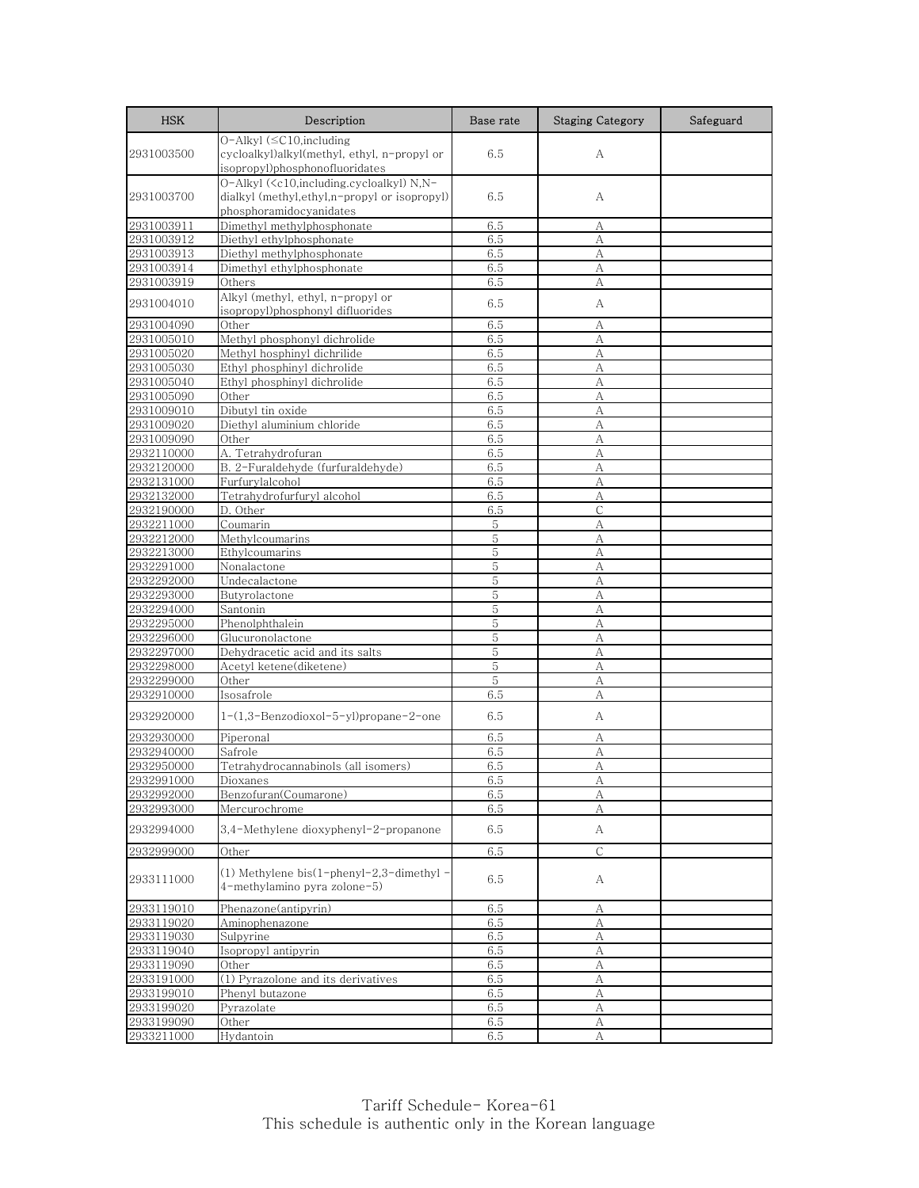| <b>HSK</b>               | Description                                                                                                                                            | Base rate  | <b>Staging Category</b> | Safeguard |
|--------------------------|--------------------------------------------------------------------------------------------------------------------------------------------------------|------------|-------------------------|-----------|
| 2931003500               | O-Alkyl (≤C10,including<br>cycloalkyl)alkyl(methyl, ethyl, n-propyl or<br>isopropyl)phosphonofluoridates                                               | 6.5        | А                       |           |
| 2931003700               | O-Alkyl ( <c10,including.cycloalkyl) n,n-<br="">dialkyl (methyl, ethyl, n-propyl or isopropyl)<br/>phosphoramidocyanidates</c10,including.cycloalkyl)> | 6.5        | А                       |           |
| 2931003911               | Dimethyl methylphosphonate                                                                                                                             | 6.5        | А                       |           |
| 2931003912               | Diethyl ethylphosphonate                                                                                                                               | 6.5        | А                       |           |
| 2931003913               | Diethyl methylphosphonate                                                                                                                              | 6.5        | А                       |           |
| 2931003914               | Dimethyl ethylphosphonate                                                                                                                              | 6.5        | А                       |           |
| 2931003919<br>2931004010 | Others<br>Alkyl (methyl, ethyl, n-propyl or                                                                                                            | 6.5<br>6.5 | А<br>А                  |           |
| 2931004090               | isopropyl)phosphonyl difluorides<br>Other                                                                                                              | 6.5        |                         |           |
| 2931005010               | Methyl phosphonyl dichrolide                                                                                                                           | 6.5        | А<br>A                  |           |
| 2931005020               | Methyl hosphinyl dichrilide                                                                                                                            | 6.5        | А                       |           |
| 2931005030               | Ethyl phosphinyl dichrolide                                                                                                                            | 6.5        | А                       |           |
| 2931005040               | Ethyl phosphinyl dichrolide                                                                                                                            | 6.5        | A                       |           |
| 2931005090               | Other                                                                                                                                                  | 6.5        | А                       |           |
| 2931009010               | Dibutyl tin oxide                                                                                                                                      | 6.5        | А                       |           |
| 2931009020               | Diethyl aluminium chloride                                                                                                                             | 6.5        | А                       |           |
| 2931009090               | Other                                                                                                                                                  | 6.5        | А                       |           |
| 2932110000               | A. Tetrahydrofuran                                                                                                                                     | 6.5        | А                       |           |
| 2932120000               | B. 2-Furaldehyde (furfuraldehyde)                                                                                                                      | 6.5        | А                       |           |
| 2932131000               | Furfurylalcohol                                                                                                                                        | 6.5        | А                       |           |
| 2932132000               | Tetrahydrofurfuryl alcohol                                                                                                                             | 6.5        | A                       |           |
| 2932190000               | D. Other                                                                                                                                               | 6.5        | C                       |           |
| 2932211000               | Coumarin                                                                                                                                               | 5          | А                       |           |
| 2932212000               | Methylcoumarins                                                                                                                                        | 5          | A                       |           |
| 2932213000               | Ethylcoumarins                                                                                                                                         | 5          | A                       |           |
| 2932291000               | Nonalactone                                                                                                                                            | 5          | А                       |           |
| 2932292000               | Undecalactone                                                                                                                                          | 5          | A                       |           |
| 2932293000               | Butyrolactone                                                                                                                                          | 5          | A                       |           |
| 2932294000               | Santonin                                                                                                                                               | 5          | А                       |           |
| 2932295000               | Phenolphthalein                                                                                                                                        | 5          | А                       |           |
| 2932296000               | Glucuronolactone                                                                                                                                       | 5          | А                       |           |
| 2932297000               | Dehydracetic acid and its salts                                                                                                                        | 5          | А                       |           |
| 2932298000               | Acetyl ketene(diketene)                                                                                                                                | 5          | А                       |           |
| 2932299000               | Other                                                                                                                                                  | 5          | А                       |           |
| 2932910000               | Isosafrole                                                                                                                                             | 6.5        | А                       |           |
| 2932920000               | 1-(1,3-Benzodioxol-5-yl)propane-2-one                                                                                                                  | 6.5        | А                       |           |
| 2932930000               | Piperonal                                                                                                                                              | 6.5        | А                       |           |
| 2932940000               | Safrole                                                                                                                                                | 6.5        | А                       |           |
| 2932950000               | Tetrahydrocannabinols (all isomers)                                                                                                                    | 6.5        | А                       |           |
| 2932991000<br>2932992000 | <u>Dioxanes</u>                                                                                                                                        | 6.5        | А                       |           |
| 2932993000               | Benzofuran(Coumarone)<br>Mercurochrome                                                                                                                 | 6.5        | А                       |           |
| 2932994000               | 3,4-Methylene dioxyphenyl-2-propanone                                                                                                                  | 6.5<br>6.5 | А<br>A                  |           |
| 2932999000               | Other                                                                                                                                                  | 6.5        | $\mathsf{C}$            |           |
| 2933111000               | (1) Methylene bis(1-phenyl-2,3-dimethyl -<br>4-methylamino pyra zolone-5)                                                                              | 6.5        | А                       |           |
| 2933119010               | Phenazone(antipyrin)                                                                                                                                   | 6.5        | А                       |           |
| 2933119020               | Aminophenazone                                                                                                                                         | 6.5        | А                       |           |
| 2933119030               | Sulpyrine                                                                                                                                              | 6.5        | А                       |           |
| 2933119040               | Isopropyl antipyrin                                                                                                                                    | 6.5        | А                       |           |
| 2933119090               | Other                                                                                                                                                  | 6.5        | А                       |           |
| 2933191000               | (1) Pyrazolone and its derivatives                                                                                                                     | 6.5        | А                       |           |
| 2933199010               | Phenyl butazone                                                                                                                                        | 6.5        | A                       |           |
| 2933199020               | Pyrazolate                                                                                                                                             | 6.5        | А                       |           |
| 2933199090               | Other                                                                                                                                                  | 6.5        | $\mathbf{A}$            |           |
| 2933211000               | Hydantoin                                                                                                                                              | 6.5        | А                       |           |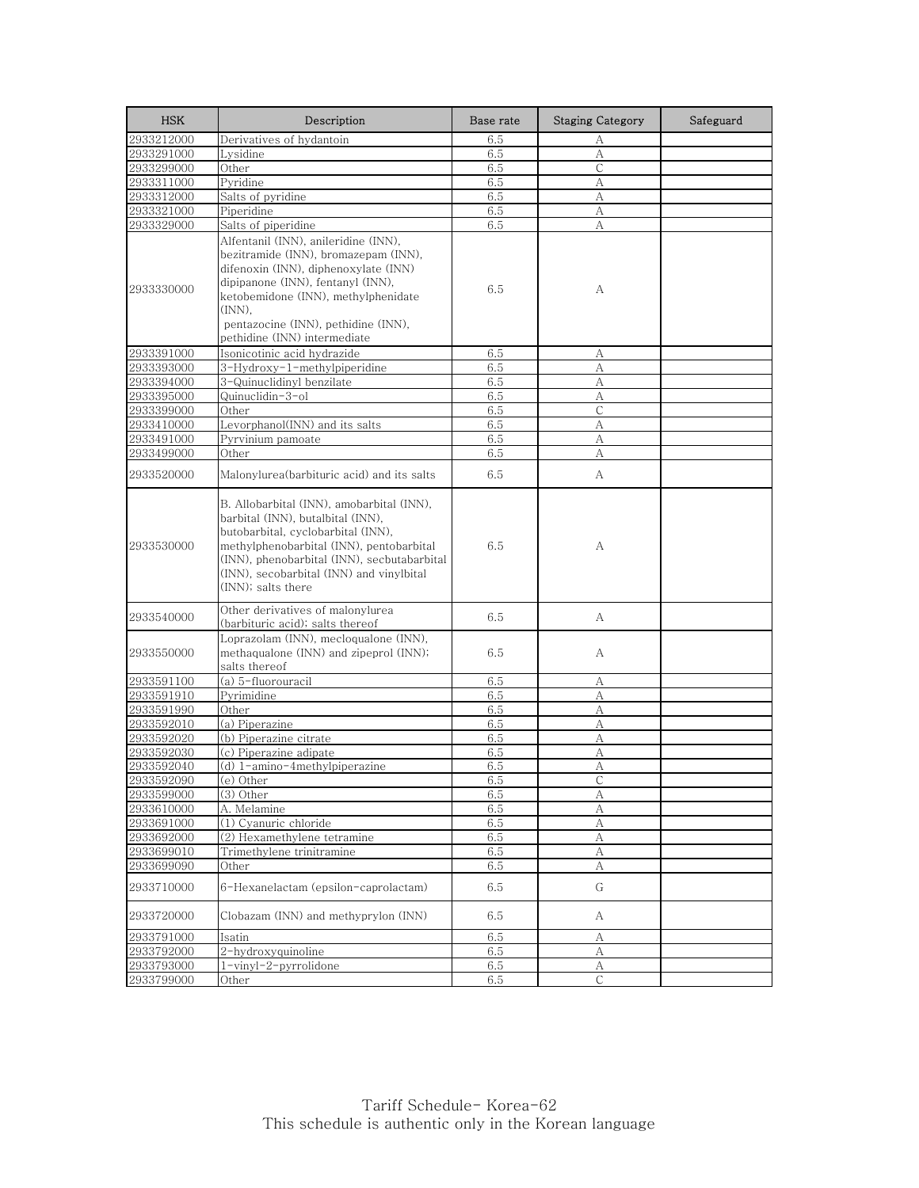| <b>HSK</b> | Description                                                                                                                                                                                                                                                                       | Base rate | <b>Staging Category</b> | Safeguard |
|------------|-----------------------------------------------------------------------------------------------------------------------------------------------------------------------------------------------------------------------------------------------------------------------------------|-----------|-------------------------|-----------|
| 2933212000 | Derivatives of hydantoin                                                                                                                                                                                                                                                          | 6.5       | А                       |           |
| 2933291000 | Lysidine                                                                                                                                                                                                                                                                          | 6.5       | A                       |           |
| 2933299000 | Other                                                                                                                                                                                                                                                                             | 6.5       | С                       |           |
| 2933311000 | Pyridine                                                                                                                                                                                                                                                                          | 6.5       | A                       |           |
| 2933312000 | Salts of pyridine                                                                                                                                                                                                                                                                 | 6.5       | А                       |           |
| 2933321000 | Piperidine                                                                                                                                                                                                                                                                        | 6.5       | А                       |           |
| 2933329000 | Salts of piperidine                                                                                                                                                                                                                                                               | 6.5       | А                       |           |
| 2933330000 | Alfentanil (INN), anileridine (INN),<br>bezitramide (INN), bromazepam (INN),<br>difenoxin (INN), diphenoxylate (INN)<br>dipipanone (INN), fentanyl (INN),<br>ketobemidone (INN), methylphenidate<br>(INN).<br>pentazocine (INN), pethidine (INN),<br>pethidine (INN) intermediate | 6.5       | А                       |           |
| 2933391000 | Isonicotinic acid hydrazide                                                                                                                                                                                                                                                       | 6.5       | А                       |           |
| 2933393000 | 3-Hydroxy-1-methylpiperidine                                                                                                                                                                                                                                                      | 6.5       | А                       |           |
| 2933394000 | 3-Quinuclidinyl benzilate                                                                                                                                                                                                                                                         | 6.5       | А                       |           |
| 2933395000 | Quinuclidin-3-ol                                                                                                                                                                                                                                                                  | 6.5       | А                       |           |
| 2933399000 | Other                                                                                                                                                                                                                                                                             | 6.5       | С                       |           |
| 2933410000 | Levorphanol(INN) and its salts                                                                                                                                                                                                                                                    | 6.5       | А                       |           |
| 2933491000 | Pyrvinium pamoate                                                                                                                                                                                                                                                                 | 6.5       | А                       |           |
| 2933499000 | Other                                                                                                                                                                                                                                                                             | 6.5       | A                       |           |
| 2933520000 | Malonylurea(barbituric acid) and its salts                                                                                                                                                                                                                                        | 6.5       | А                       |           |
| 2933530000 | B. Allobarbital (INN), amobarbital (INN),<br>barbital (INN), butalbital (INN),<br>butobarbital, cyclobarbital (INN),<br>methylphenobarbital (INN), pentobarbital<br>(INN), phenobarbital (INN), secbutabarbital<br>(INN), secobarbital (INN) and vinylbital<br>(INN); salts there | 6.5       | А                       |           |
| 2933540000 | Other derivatives of malonylurea<br>(barbituric acid); salts thereof                                                                                                                                                                                                              | 6.5       | А                       |           |
| 2933550000 | Loprazolam (INN), mecloqualone (INN),<br>methaqualone (INN) and zipeprol (INN);<br>salts thereof                                                                                                                                                                                  | 6.5       | А                       |           |
| 2933591100 | (a) 5-fluorouracil                                                                                                                                                                                                                                                                | 6.5       | А                       |           |
| 2933591910 | Pyrimidine                                                                                                                                                                                                                                                                        | 6.5       | А                       |           |
| 2933591990 | Other                                                                                                                                                                                                                                                                             | 6.5       | А                       |           |
| 2933592010 | (a) Piperazine                                                                                                                                                                                                                                                                    | 6.5       | А                       |           |
| 2933592020 | (b) Piperazine citrate                                                                                                                                                                                                                                                            | 6.5       | А                       |           |
| 2933592030 | (c) Piperazine adipate                                                                                                                                                                                                                                                            | 6.5       | А                       |           |
| 2933592040 | (d) 1-amino-4methylpiperazine                                                                                                                                                                                                                                                     | 6.5       | А                       |           |
| 2933592090 | (e) Other                                                                                                                                                                                                                                                                         | 6.5       | C                       |           |
| 2933599000 | (3) Other                                                                                                                                                                                                                                                                         | 6.5       | А                       |           |
| 2933610000 | A. Melamine                                                                                                                                                                                                                                                                       | 6.5       | А                       |           |
| 2933691000 | (1) Cyanuric chloride                                                                                                                                                                                                                                                             | 6.5       | A                       |           |
| 2933692000 | (2) Hexamethylene tetramine                                                                                                                                                                                                                                                       | 6.5       | А                       |           |
| 2933699010 | Trimethylene trinitramine                                                                                                                                                                                                                                                         | 6.5       | А                       |           |
| 2933699090 | Other                                                                                                                                                                                                                                                                             | 6.5       | А                       |           |
| 2933710000 | 6-Hexanelactam (epsilon-caprolactam)                                                                                                                                                                                                                                              | 6.5       | G                       |           |
| 2933720000 | Clobazam (INN) and methyprylon (INN)                                                                                                                                                                                                                                              | 6.5       | А                       |           |
| 2933791000 | Isatin                                                                                                                                                                                                                                                                            | 6.5       | А                       |           |
| 2933792000 | 2-hydroxyquinoline                                                                                                                                                                                                                                                                | 6.5       | А                       |           |
| 2933793000 | 1-vinyl-2-pyrrolidone                                                                                                                                                                                                                                                             | 6.5       | A                       |           |
| 2933799000 | Other                                                                                                                                                                                                                                                                             | 6.5       | С                       |           |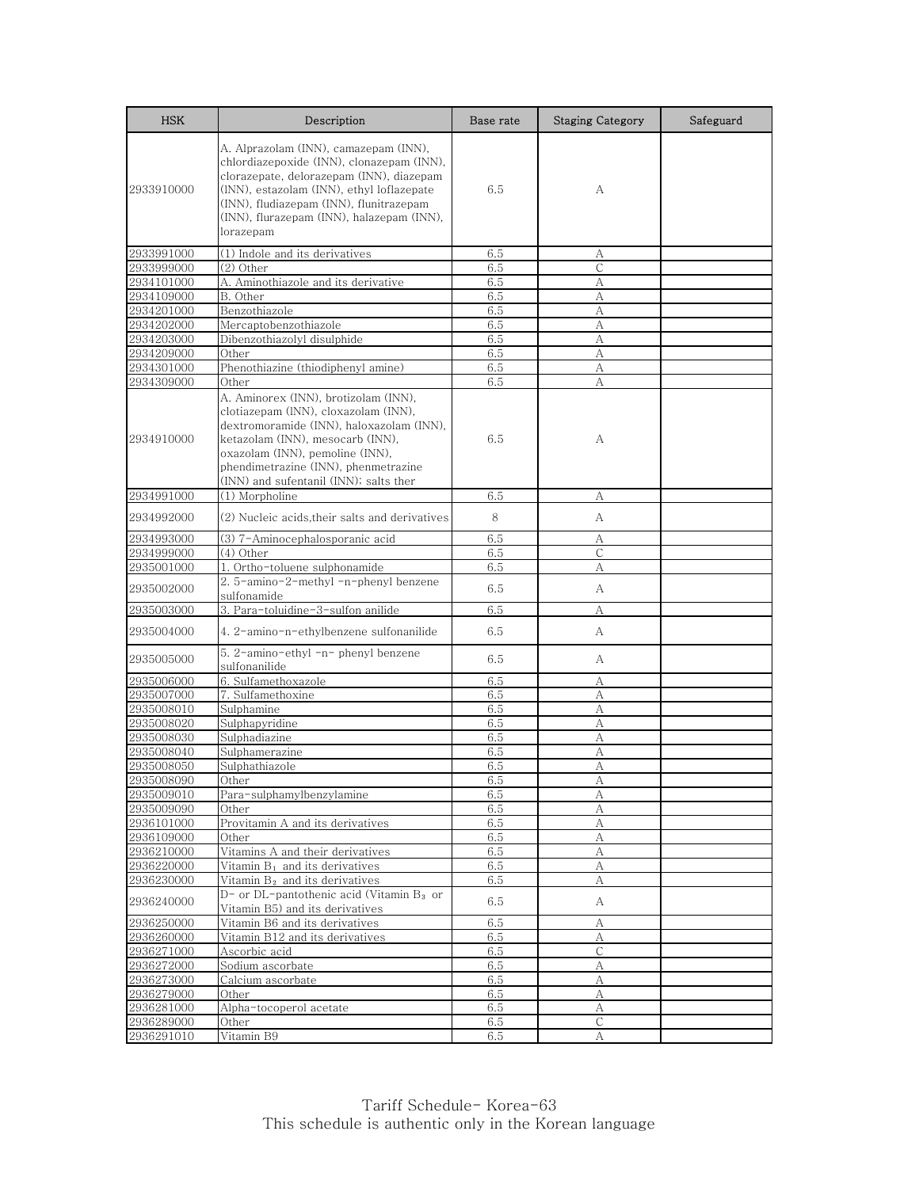| <b>HSK</b> | Description                                                                                                                                                                                                                                                                       | Base rate | <b>Staging Category</b> | Safeguard |
|------------|-----------------------------------------------------------------------------------------------------------------------------------------------------------------------------------------------------------------------------------------------------------------------------------|-----------|-------------------------|-----------|
| 2933910000 | A. Alprazolam (INN), camazepam (INN),<br>chlordiazepoxide (INN), clonazepam (INN),<br>clorazepate, delorazepam (INN), diazepam<br>(INN), estazolam (INN), ethyl loflazepate<br>(INN), fludiazepam (INN), flunitrazepam<br>(INN), flurazepam (INN), halazepam (INN),<br>lorazepam  | 6.5       | А                       |           |
| 2933991000 | (1) Indole and its derivatives                                                                                                                                                                                                                                                    | 6.5       | А                       |           |
| 2933999000 | (2) Other                                                                                                                                                                                                                                                                         | 6.5       | C                       |           |
| 2934101000 | A. Aminothiazole and its derivative                                                                                                                                                                                                                                               | 6.5       | А                       |           |
| 2934109000 | B. Other                                                                                                                                                                                                                                                                          | 6.5       | А                       |           |
| 2934201000 | Benzothiazole                                                                                                                                                                                                                                                                     | 6.5       | А                       |           |
| 2934202000 | Mercaptobenzothiazole                                                                                                                                                                                                                                                             | 6.5       | А                       |           |
| 2934203000 | Dibenzothiazolyl disulphide                                                                                                                                                                                                                                                       | 6.5       | А                       |           |
| 2934209000 | Other                                                                                                                                                                                                                                                                             | 6.5       | A                       |           |
| 2934301000 | Phenothiazine (thiodiphenyl amine)                                                                                                                                                                                                                                                | 6.5       | А                       |           |
| 2934309000 | Other                                                                                                                                                                                                                                                                             | 6.5       | А                       |           |
| 2934910000 | A. Aminorex (INN), brotizolam (INN),<br>clotiazepam (INN), cloxazolam (INN),<br>dextromoramide (INN), haloxazolam (INN),<br>ketazolam (INN), mesocarb (INN),<br>oxazolam (INN), pemoline (INN),<br>phendimetrazine (INN), phenmetrazine<br>(INN) and sufentanil (INN); salts ther | 6.5       | А                       |           |
| 2934991000 | (1) Morpholine                                                                                                                                                                                                                                                                    | 6.5       | А                       |           |
| 2934992000 | (2) Nucleic acids,their salts and derivatives                                                                                                                                                                                                                                     | 8         | А                       |           |
| 2934993000 | (3) 7-Aminocephalosporanic acid                                                                                                                                                                                                                                                   | 6.5       | А                       |           |
| 2934999000 | (4) Other                                                                                                                                                                                                                                                                         | 6.5       | $\mathsf{C}$            |           |
| 2935001000 | 1. Ortho-toluene sulphonamide                                                                                                                                                                                                                                                     | 6.5       | А                       |           |
| 2935002000 | 2. 5-amino-2-methyl -n-phenyl benzene<br>sulfonamide                                                                                                                                                                                                                              | 6.5       | А                       |           |
| 2935003000 | 3. Para-toluidine-3-sulfon anilide                                                                                                                                                                                                                                                | 6.5       | А                       |           |
| 2935004000 | 4. 2-amino-n-ethylbenzene sulfonanilide                                                                                                                                                                                                                                           | 6.5       | А                       |           |
| 2935005000 | 5. 2-amino-ethyl -n- phenyl benzene<br>sulfonanilide                                                                                                                                                                                                                              | 6.5       | А                       |           |
| 2935006000 | 6. Sulfamethoxazole                                                                                                                                                                                                                                                               | 6.5       | А                       |           |
| 2935007000 | 7. Sulfamethoxine                                                                                                                                                                                                                                                                 | 6.5       | А                       |           |
| 2935008010 | Sulphamine                                                                                                                                                                                                                                                                        | 6.5       | А                       |           |
| 2935008020 | Sulphapyridine                                                                                                                                                                                                                                                                    | 6.5       | A                       |           |
| 2935008030 | Sulphadiazine                                                                                                                                                                                                                                                                     | 6.5       | А                       |           |
| 2935008040 | Sulphamerazine                                                                                                                                                                                                                                                                    | 6.5       | А                       |           |
| 2935008050 | Sulphathiazole                                                                                                                                                                                                                                                                    | 6.5       | А                       |           |
| 2935008090 | Other                                                                                                                                                                                                                                                                             | 6.5       | A                       |           |
| 2935009010 | Para-sulphamylbenzylamine                                                                                                                                                                                                                                                         | 6.5       | А                       |           |
| 2935009090 | Other                                                                                                                                                                                                                                                                             | 6.5       | А                       |           |
| 2936101000 | Provitamin A and its derivatives                                                                                                                                                                                                                                                  | 6.5       | $\rm A$                 |           |
| 2936109000 | Other                                                                                                                                                                                                                                                                             | 6.5       | А                       |           |
| 2936210000 | Vitamins A and their derivatives                                                                                                                                                                                                                                                  | 6.5       | А                       |           |
| 2936220000 | Vitamin B <sub>1</sub> and its derivatives                                                                                                                                                                                                                                        | 6.5       | А                       |           |
| 2936230000 | Vitamin B <sub>2</sub> and its derivatives                                                                                                                                                                                                                                        | 6.5       | A                       |           |
| 2936240000 | D- or DL-pantothenic acid (Vitamin B3 or<br>Vitamin B5) and its derivatives                                                                                                                                                                                                       | 6.5       | A                       |           |
| 2936250000 | Vitamin B6 and its derivatives                                                                                                                                                                                                                                                    | 6.5       | А                       |           |
| 2936260000 | Vitamin B12 and its derivatives                                                                                                                                                                                                                                                   | 6.5       | А                       |           |
| 2936271000 | Ascorbic acid                                                                                                                                                                                                                                                                     | 6.5       | С                       |           |
| 2936272000 | Sodium ascorbate                                                                                                                                                                                                                                                                  | 6.5       | A                       |           |
| 2936273000 | Calcium ascorbate                                                                                                                                                                                                                                                                 | 6.5       | А                       |           |
| 2936279000 | Other                                                                                                                                                                                                                                                                             | 6.5       | А                       |           |
| 2936281000 | Alpha-tocoperol acetate                                                                                                                                                                                                                                                           | 6.5       | А                       |           |
| 2936289000 | Other                                                                                                                                                                                                                                                                             | 6.5       | $\mathsf{C}$            |           |
| 2936291010 | Vitamin B9                                                                                                                                                                                                                                                                        | 6.5       | А                       |           |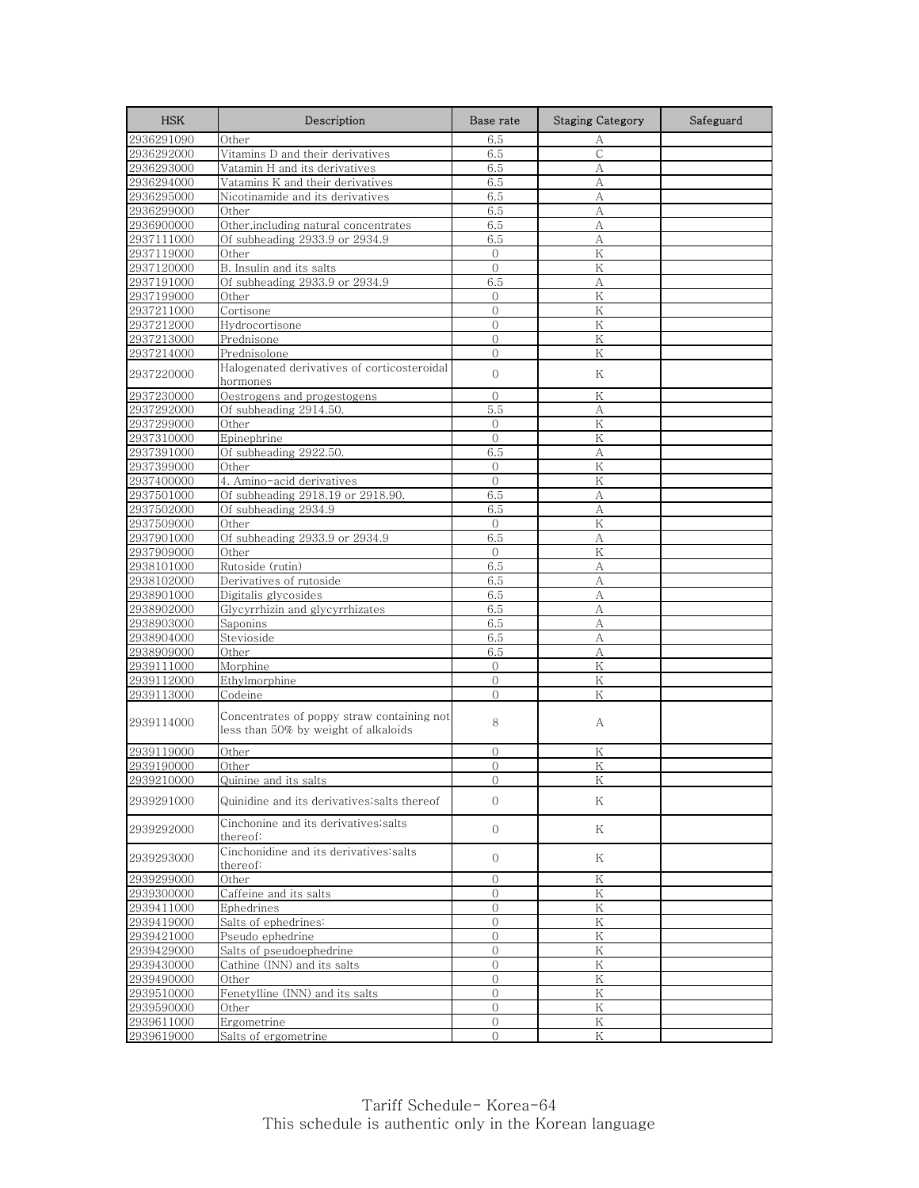| <b>HSK</b>               | Description                                                                        | Base rate        | <b>Staging Category</b> | Safeguard |
|--------------------------|------------------------------------------------------------------------------------|------------------|-------------------------|-----------|
| 2936291090               | Other                                                                              | 6.5              | А                       |           |
| 2936292000               | Vitamins D and their derivatives                                                   | 6.5              | С                       |           |
| 2936293000               | Vatamin H and its derivatives                                                      | 6.5              | A                       |           |
| 2936294000               | Vatamins K and their derivatives                                                   | 6.5              | А                       |           |
| 2936295000               | Nicotinamide and its derivatives                                                   | 6.5              | А                       |           |
| 2936299000               | Other                                                                              | 6.5              | А                       |           |
| 2936900000               | Other, including natural concentrates                                              | 6.5              | А                       |           |
| 2937111000               | Of subheading 2933.9 or 2934.9                                                     | 6.5              | A                       |           |
| 2937119000               | Other                                                                              | $\mathbf{O}$     | K                       |           |
| 2937120000               | B. Insulin and its salts                                                           | $\Omega$         | Κ                       |           |
| 2937191000               | Of subheading 2933.9 or 2934.9                                                     | 6.5              | А                       |           |
| 2937199000               | Other                                                                              | $\mathbf{0}$     | Κ                       |           |
| 2937211000               | Cortisone                                                                          | $\overline{0}$   | K                       |           |
| 2937212000               | Hydrocortisone                                                                     | $\overline{0}$   | K                       |           |
| 2937213000               | Prednisone                                                                         | $\Omega$         | K                       |           |
| 2937214000               | Prednisolone                                                                       | $\overline{0}$   | Κ                       |           |
| 2937220000               | Halogenated derivatives of corticosteroidal<br>hormones                            | $\boldsymbol{0}$ | Κ                       |           |
|                          |                                                                                    | $\mathbf{0}$     |                         |           |
| 2937230000<br>2937292000 | Oestrogens and progestogens<br>Of subheading 2914.50.                              | 5.5              | Κ<br>А                  |           |
|                          |                                                                                    |                  | K                       |           |
| 2937299000               | Other                                                                              | $\Omega$         |                         |           |
| 2937310000<br>2937391000 | Epinephrine                                                                        | $\overline{0}$   | Κ                       |           |
|                          | Of subheading 2922.50.                                                             | 6.5              | А                       |           |
| 2937399000               | Other                                                                              | $\mathbf{0}$     | K                       |           |
| 2937400000               | 4. Amino-acid derivatives                                                          | $\overline{0}$   | Κ                       |           |
| 2937501000               | Of subheading 2918.19 or 2918.90.                                                  | 6.5              | А                       |           |
| 2937502000               | Of subheading 2934.9                                                               | 6.5              | A                       |           |
| 2937509000               | Other                                                                              | $\Omega$         | K                       |           |
| 2937901000               | Of subheading 2933.9 or 2934.9                                                     | 6.5              | А                       |           |
| 2937909000               | Other                                                                              | $\Omega$         | K                       |           |
| 2938101000               | Rutoside (rutin)                                                                   | 6.5              | А                       |           |
| 2938102000               | Derivatives of rutoside                                                            | 6.5              | A                       |           |
| 2938901000               | Digitalis glycosides                                                               | 6.5              | А                       |           |
| 2938902000               | Glycyrrhizin and glycyrrhizates                                                    | 6.5              | А                       |           |
| 2938903000               | Saponins                                                                           | 6.5              | А                       |           |
| 2938904000               | Stevioside                                                                         | 6.5              | А                       |           |
| 2938909000               | Other                                                                              | 6.5              | A                       |           |
| 2939111000               | Morphine                                                                           | $\mathbf{0}$     | Κ                       |           |
| 2939112000               | Ethylmorphine                                                                      | $\Omega$         | ${\rm K}$               |           |
| 2939113000               | Codeine                                                                            | $\Omega$         | K                       |           |
| 2939114000               | Concentrates of poppy straw containing not<br>less than 50% by weight of alkaloids | 8                | А                       |           |
| 2939119000               | Other                                                                              | 0                | Κ                       |           |
| 2939190000               | Other                                                                              | $\overline{O}$   | K                       |           |
| 2939210000               | Quinine and its salts                                                              | O                | K                       |           |
| 2939291000               | Quinidine and its derivatives;salts thereof                                        | $\Omega$         | Κ                       |           |
| 2939292000               | Cinchonine and its derivatives; salts<br>thereof:                                  | $\overline{0}$   | Κ                       |           |
| 2939293000               | Cinchonidine and its derivatives salts<br>thereof:                                 | $\overline{0}$   | Κ                       |           |
| 2939299000               | Other                                                                              | $\mathbf{O}$     | Κ                       |           |
| 2939300000               | Caffeine and its salts                                                             | $\circ$          | Κ                       |           |
| 2939411000               | Ephedrines                                                                         | $\mathbf 0$      | Κ                       |           |
| 2939419000               | Salts of ephedrines:                                                               | 0                | $\rm K$                 |           |
| 2939421000               | Pseudo ephedrine                                                                   | $\mathbf{O}$     | Κ                       |           |
| 2939429000               | Salts of pseudoephedrine                                                           | 0                | Κ                       |           |
| 2939430000               | Cathine (INN) and its salts                                                        | $\overline{0}$   | Κ                       |           |
| 2939490000               | Other                                                                              | 0                | Κ                       |           |
| 2939510000               | Fenetylline (INN) and its salts                                                    | $\overline{0}$   | Κ                       |           |
| 2939590000               | Other                                                                              | $\mathbf{0}$     | Κ                       |           |
| 2939611000               | Ergometrine                                                                        | $\mathbf 0$      | ${\rm K}$               |           |
| 2939619000               | Salts of ergometrine                                                               | $\overline{0}$   | Κ                       |           |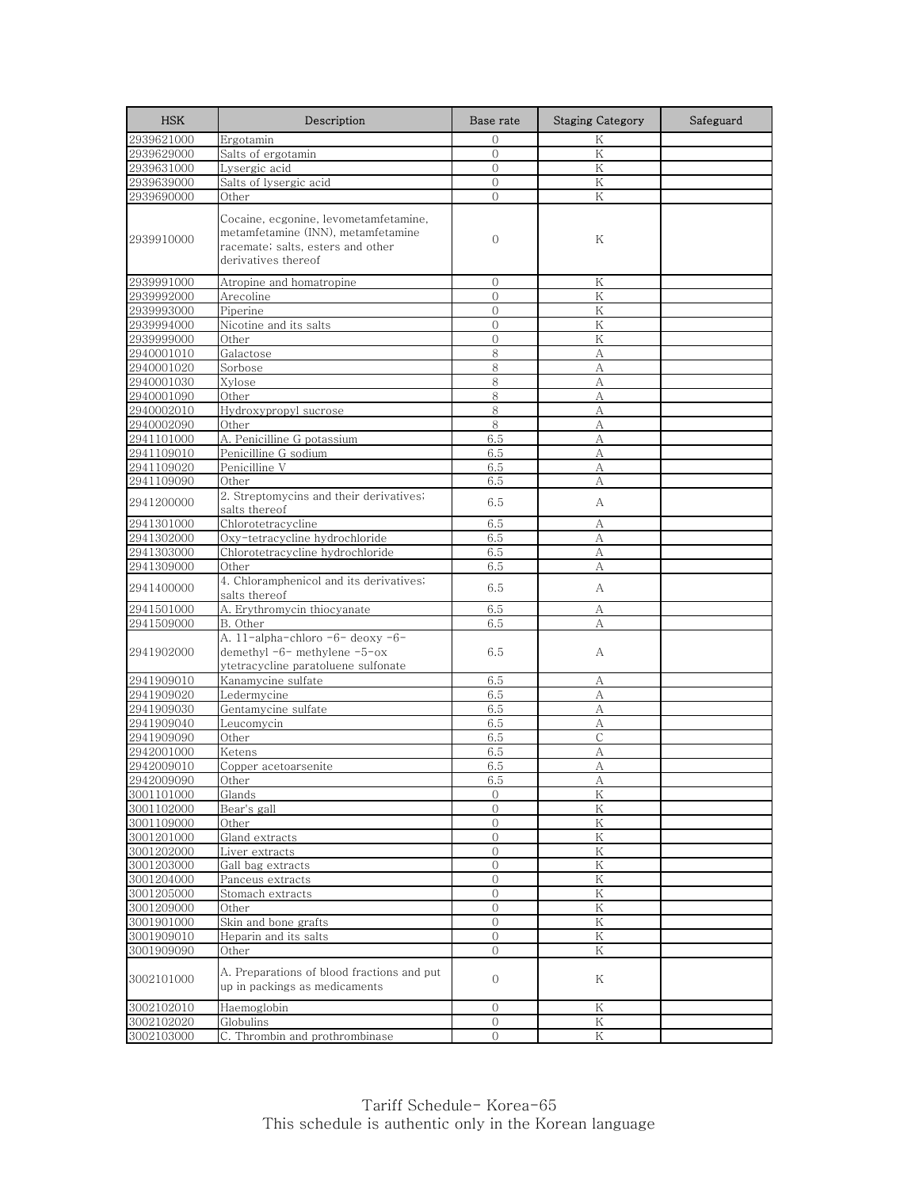| <b>HSK</b>               | Description                                                                                                                             | Base rate           | <b>Staging Category</b> | Safeguard |
|--------------------------|-----------------------------------------------------------------------------------------------------------------------------------------|---------------------|-------------------------|-----------|
| 2939621000               | Ergotamin                                                                                                                               | $\Omega$            | Κ                       |           |
| 2939629000               | Salts of ergotamin                                                                                                                      | $\overline{0}$      | K                       |           |
| 2939631000               | Lysergic acid                                                                                                                           | $\Omega$            | K                       |           |
| 2939639000               | Salts of lysergic acid                                                                                                                  | $\overline{0}$      | K                       |           |
| 2939690000               | Other                                                                                                                                   | $\mathbf{0}$        | Κ                       |           |
| 2939910000               | Cocaine, ecgonine, levometamfetamine,<br>metamfetamine (INN), metamfetamine<br>racemate; salts, esters and other<br>derivatives thereof | 0                   | Κ                       |           |
| 2939991000               | Atropine and homatropine                                                                                                                | 0                   | Κ                       |           |
| 2939992000               | Arecoline                                                                                                                               | $\mathbf{0}$        | Κ                       |           |
| 2939993000               | Piperine                                                                                                                                | $\overline{0}$      | K                       |           |
| 2939994000               | Nicotine and its salts                                                                                                                  | $\mathbf{0}$        | Κ                       |           |
| 2939999000               | Other                                                                                                                                   | $\mathbf{0}$        | K                       |           |
| 2940001010               | Galactose                                                                                                                               | 8                   | A                       |           |
| 2940001020               | Sorbose                                                                                                                                 | 8                   | А                       |           |
| 2940001030               | Xylose                                                                                                                                  | 8                   | A                       |           |
| 2940001090               | Other                                                                                                                                   | 8                   | А                       |           |
| 2940002010               | Hydroxypropyl sucrose                                                                                                                   | 8                   | A                       |           |
| 2940002090               | Other                                                                                                                                   | 8                   | А                       |           |
| 2941101000               | A. Penicilline G potassium                                                                                                              | 6.5                 | А                       |           |
| 2941109010               | Penicilline G sodium                                                                                                                    | 6.5                 | A                       |           |
| 2941109020               | Penicilline V                                                                                                                           | 6.5                 | А                       |           |
| 2941109090               | Other                                                                                                                                   | 6.5                 | А                       |           |
| 2941200000               | 2. Streptomycins and their derivatives;<br>salts thereof                                                                                | 6.5                 | А                       |           |
| 2941301000               | Chlorotetracycline                                                                                                                      | 6.5                 | А                       |           |
| 2941302000               | Oxy-tetracycline hydrochloride                                                                                                          | 6.5                 | А                       |           |
| 2941303000               | Chlorotetracycline hydrochloride                                                                                                        | 6.5                 | А                       |           |
| 2941309000               | Other                                                                                                                                   | 6.5                 | А                       |           |
| 2941400000               | 4. Chloramphenicol and its derivatives;<br>salts thereof                                                                                | 6.5                 | А                       |           |
| 2941501000               | A. Erythromycin thiocyanate                                                                                                             | 6.5                 | А                       |           |
| 2941509000               | B. Other                                                                                                                                | 6.5                 | A                       |           |
| 2941902000               | A. 11-alpha-chloro -6- deoxy -6-<br>demethyl -6- methylene -5-ox<br>ytetracycline paratoluene sulfonate                                 | 6.5                 | А                       |           |
| 2941909010               | Kanamycine sulfate                                                                                                                      | 6.5                 | А                       |           |
| 2941909020               | Ledermycine                                                                                                                             | 6.5                 | А                       |           |
| 2941909030               | Gentamycine sulfate                                                                                                                     | 6.5                 | А                       |           |
| 2941909040               | Leucomycin                                                                                                                              | 6.5                 | А                       |           |
| 2941909090               | Other                                                                                                                                   | 6.5                 | C                       |           |
| 2942001000               | Ketens                                                                                                                                  | 6.5                 | A                       |           |
| 2942009010               | Copper acetoarsenite                                                                                                                    | 6.5                 | А                       |           |
| 2942009090               | Other                                                                                                                                   | წ.ხ                 | А                       |           |
| 3001101000               | Glands                                                                                                                                  | $\mathbf{0}$        | K                       |           |
| 3001102000<br>3001109000 | Bear's gall<br>Other                                                                                                                    | 0<br>$\overline{0}$ | Κ<br>K                  |           |
| 3001201000               | Gland extracts                                                                                                                          | $\mathbf{0}$        | Κ                       |           |
| 3001202000               | Liver extracts                                                                                                                          | $\mathbf{0}$        | K                       |           |
| 3001203000               | Gall bag extracts                                                                                                                       | $\overline{0}$      | Κ                       |           |
| 3001204000               | Panceus extracts                                                                                                                        | 0                   | Κ                       |           |
| 3001205000               | Stomach extracts                                                                                                                        | $\overline{0}$      | $\rm K$                 |           |
| 3001209000               | Other                                                                                                                                   | $\mathbf{O}$        | Κ                       |           |
| 3001901000               | Skin and bone grafts                                                                                                                    | $\overline{0}$      | K                       |           |
| 3001909010               | Heparin and its salts                                                                                                                   | $\mathbf{0}$        | K                       |           |
| 3001909090               | Other                                                                                                                                   | $\overline{0}$      | Κ                       |           |
|                          |                                                                                                                                         |                     |                         |           |
| 3002101000               | A. Preparations of blood fractions and put<br>up in packings as medicaments                                                             | $\mathbf 0$         | Κ                       |           |
| 3002102010               | Haemoglobin                                                                                                                             | $\Omega$            | Κ                       |           |
| 3002102020               | Globulins                                                                                                                               | $\mathbf{0}$        | Κ                       |           |
| 3002103000               | C. Thrombin and prothrombinase                                                                                                          | $\Omega$            | $\rm K$                 |           |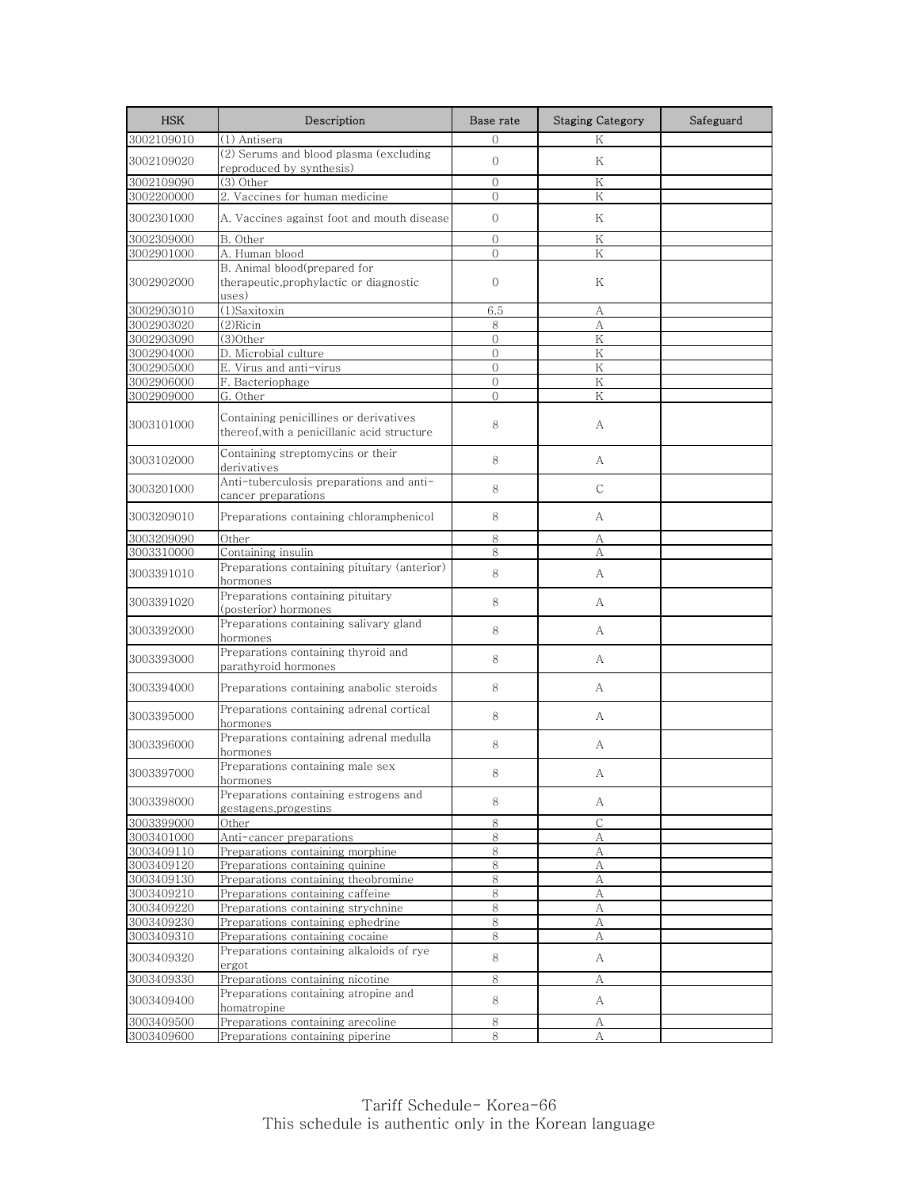| <b>HSK</b>               | Description                                                                           | Base rate      | <b>Staging Category</b> | Safeguard |
|--------------------------|---------------------------------------------------------------------------------------|----------------|-------------------------|-----------|
| 3002109010               | (1) Antisera                                                                          | $\Omega$       | K                       |           |
| 3002109020               | (2) Serums and blood plasma (excluding<br>reproduced by synthesis)                    | $\mathbf{O}$   | K                       |           |
| 3002109090               | $(3)$ Other                                                                           | $\mathcal{O}$  | K                       |           |
| 3002200000               | 2. Vaccines for human medicine                                                        | $\mathbf{0}$   | Κ                       |           |
| 3002301000               | A. Vaccines against foot and mouth disease                                            | $\mathcal{O}$  | Κ                       |           |
| 3002309000               | B. Other                                                                              | $\Omega$       | K                       |           |
| 3002901000               | A. Human blood                                                                        | $\overline{0}$ | K                       |           |
| 3002902000               | B. Animal blood(prepared for<br>therapeutic, prophylactic or diagnostic<br>uses)      | $\mathbf{0}$   | Κ                       |           |
| 3002903010               | (1)Saxitoxin                                                                          | 6.5            | А                       |           |
| 3002903020               | $(2)$ Ricin                                                                           | 8              | А                       |           |
| 3002903090               | (3)Other                                                                              | $\mathcal{O}$  | Κ                       |           |
| 3002904000               | D. Microbial culture                                                                  | $\Omega$       | K                       |           |
| 3002905000               | E. Virus and anti-virus                                                               | $\mathbf{0}$   | Κ                       |           |
| 3002906000               | F. Bacteriophage                                                                      | $\mathbf{0}$   | K                       |           |
| 3002909000               | G. Other                                                                              | $\Omega$       | Κ                       |           |
| 3003101000               | Containing penicillines or derivatives<br>thereof, with a penicillanic acid structure | 8              | А                       |           |
| 3003102000               | Containing streptomycins or their<br>derivatives                                      | 8              | А                       |           |
| 3003201000               | Anti-tuberculosis preparations and anti-<br>cancer preparations                       | 8              | $\mathsf{C}$            |           |
| 3003209010               | Preparations containing chloramphenicol                                               | 8              | A                       |           |
| 3003209090               | Other                                                                                 | 8              | А                       |           |
| 3003310000               | Containing insulin                                                                    | 8              | А                       |           |
| 3003391010               | Preparations containing pituitary (anterior)<br>hormones                              | 8              | А                       |           |
| 3003391020               | Preparations containing pituitary<br>(posterior) hormones                             | 8              | А                       |           |
| 3003392000               | Preparations containing salivary gland<br>hormones                                    | 8              | А                       |           |
| 3003393000               | Preparations containing thyroid and<br>parathyroid hormones                           | 8              | А                       |           |
| 3003394000               | Preparations containing anabolic steroids                                             | 8              | A                       |           |
| 3003395000               | Preparations containing adrenal cortical<br>hormones                                  | 8              | A                       |           |
| 3003396000               | Preparations containing adrenal medulla<br>hormones                                   | 8              | А                       |           |
| 3003397000               | Preparations containing male sex<br>hormones                                          | 8              | А                       |           |
| 3003398000               | Preparations containing estrogens and<br>gestagens,progestins                         | 8              | A                       |           |
| 3003399000               | Other                                                                                 | $\,8\,$        | $\mathsf{C}$            |           |
| 3003401000               | Anti-cancer preparations                                                              | 8              | А                       |           |
| 3003409110               | Preparations containing morphine                                                      | 8              | А                       |           |
| 3003409120               | Preparations containing quinine                                                       | 8              | А                       |           |
| 3003409130               | Preparations containing theobromine                                                   | 8              | А                       |           |
| 3003409210               | Preparations containing caffeine                                                      | 8              | $\mathbf{A}$            |           |
| 3003409220               | Preparations containing strychnine                                                    | 8              | А                       |           |
| 3003409230               | Preparations containing ephedrine                                                     | $8\,$          | А                       |           |
| 3003409310<br>3003409320 | Preparations containing cocaine<br>Preparations containing alkaloids of rye           | 8<br>8         | А<br>A                  |           |
|                          | ergot                                                                                 |                |                         |           |
| 3003409330<br>3003409400 | Preparations containing nicotine<br>Preparations containing atropine and              | 8<br>8         | А<br>A                  |           |
|                          | homatropine                                                                           |                |                         |           |
| 3003409500               | Preparations containing arecoline                                                     | 8              | А                       |           |
| 3003409600               | Preparations containing piperine                                                      | 8              | А                       |           |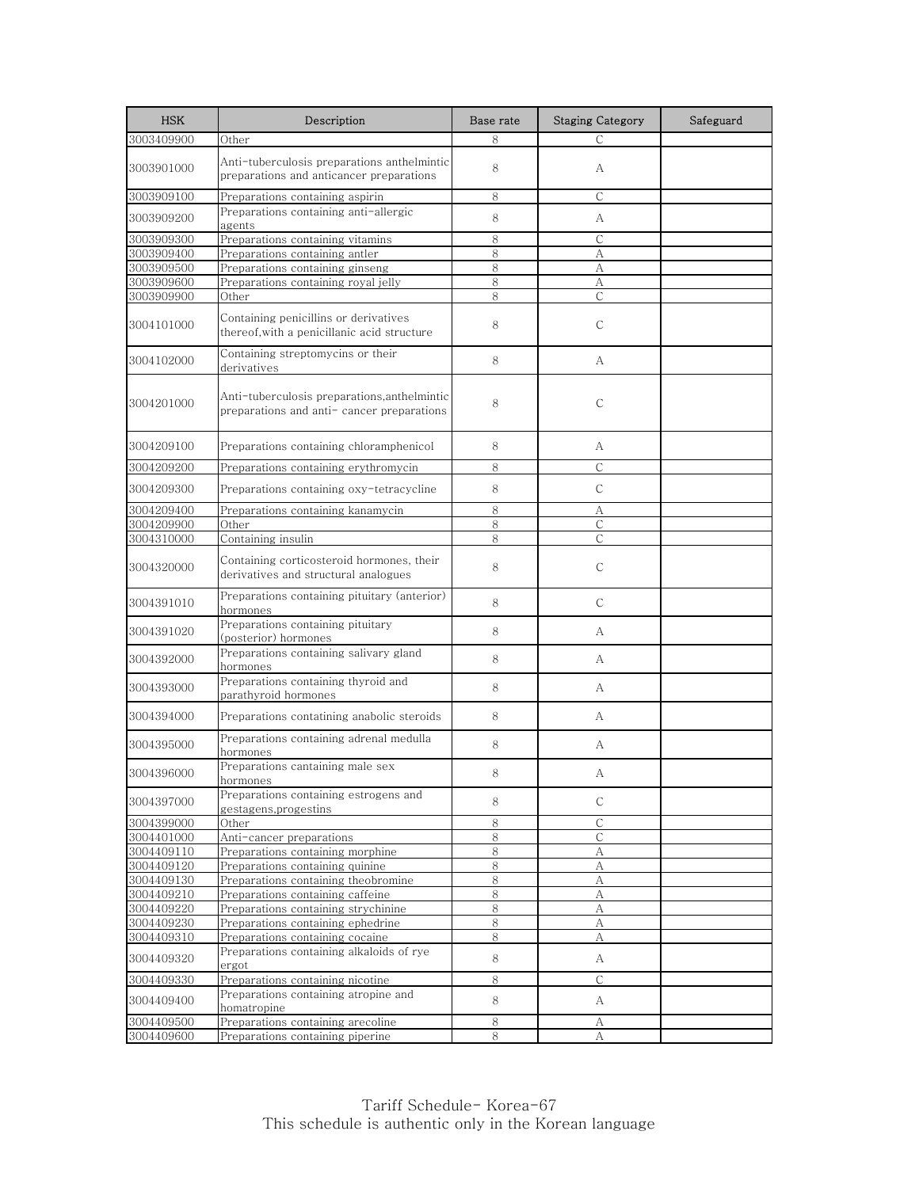| <b>HSK</b>               | Description                                                                              | Base rate        | <b>Staging Category</b> | Safeguard |
|--------------------------|------------------------------------------------------------------------------------------|------------------|-------------------------|-----------|
| 3003409900               | Other                                                                                    | 8                | C                       |           |
| 3003901000               | Anti-tuberculosis preparations anthelmintic<br>preparations and anticancer preparations  | 8                | A                       |           |
| 3003909100               | Preparations containing aspirin                                                          | 8                | С                       |           |
| 3003909200               | Preparations containing anti-allergic<br>agents                                          | 8                | А                       |           |
| 3003909300               | Preparations containing vitamins                                                         | 8                | С                       |           |
| 3003909400               | Preparations containing antler                                                           | 8                | А                       |           |
| 3003909500               | Preparations containing ginseng                                                          | 8                | А                       |           |
| 3003909600               | Preparations containing royal jelly                                                      | 8                | А                       |           |
| 3003909900               | Other                                                                                    | 8                | С                       |           |
| 3004101000               | Containing penicillins or derivatives<br>thereof, with a penicillanic acid structure     | 8                | $\mathsf{C}$            |           |
| 3004102000               | Containing streptomycins or their<br>derivatives                                         | 8                | А                       |           |
| 3004201000               | Anti-tuberculosis preparations,anthelmintic<br>preparations and anti-cancer preparations | 8                | $\mathsf{C}$            |           |
| 3004209100               | Preparations containing chloramphenicol                                                  | 8                | А                       |           |
| 3004209200               | Preparations containing erythromycin                                                     | 8                | С                       |           |
| 3004209300               | Preparations containing oxy-tetracycline                                                 | 8                | $\mathsf{C}$            |           |
| 3004209400               | Preparations containing kanamycin                                                        | 8                | А                       |           |
| 3004209900               | Other                                                                                    | 8                | $\mathsf{C}$            |           |
| 3004310000               | Containing insulin                                                                       | 8                | С                       |           |
| 3004320000               | Containing corticosteroid hormones, their<br>derivatives and structural analogues        | 8                | С                       |           |
| 3004391010               | Preparations containing pituitary (anterior)<br>hormones                                 | 8                | C                       |           |
| 3004391020               | Preparations containing pituitary<br>(posterior) hormones                                | 8                | А                       |           |
| 3004392000               | Preparations containing salivary gland<br>hormones                                       | 8                | А                       |           |
| 3004393000               | Preparations containing thyroid and<br>parathyroid hormones                              | 8                | А                       |           |
| 3004394000               | Preparations contatining anabolic steroids                                               | 8                | А                       |           |
| 3004395000               | Preparations containing adrenal medulla<br>hormones                                      | 8                | А                       |           |
| 3004396000               | Preparations cantaining male sex<br>hormones                                             | 8                | A                       |           |
| 3004397000               | Preparations containing estrogens and<br>gestagens, progestins                           | 8                | С                       |           |
| 3004399000               | Other                                                                                    | $\,8\,$          | $\mathsf C$             |           |
| 3004401000               | Anti-cancer preparations                                                                 | 8                | C                       |           |
| 3004409110               | Preparations containing morphine                                                         | 8                | А                       |           |
| 3004409120<br>3004409130 | Preparations containing quinine<br>Preparations containing theobromine                   | $8\,$<br>$\,8\,$ | A<br>А                  |           |
| 3004409210               | Preparations containing caffeine                                                         | 8                | А                       |           |
| 3004409220               | Preparations containing strychinine                                                      | 8                | А                       |           |
| 3004409230               | Preparations containing ephedrine                                                        | 8                | А                       |           |
| 3004409310               | Preparations containing cocaine                                                          | 8                | А                       |           |
| 3004409320               | Preparations containing alkaloids of rye<br>ergot                                        | 8                | A                       |           |
| 3004409330               | Preparations containing nicotine                                                         | 8                | С                       |           |
| 3004409400               | Preparations containing atropine and<br>homatropine                                      | 8                | A                       |           |
| 3004409500               | Preparations containing arecoline                                                        | 8                | А                       |           |
| 3004409600               | Preparations containing piperine                                                         | 8                | А                       |           |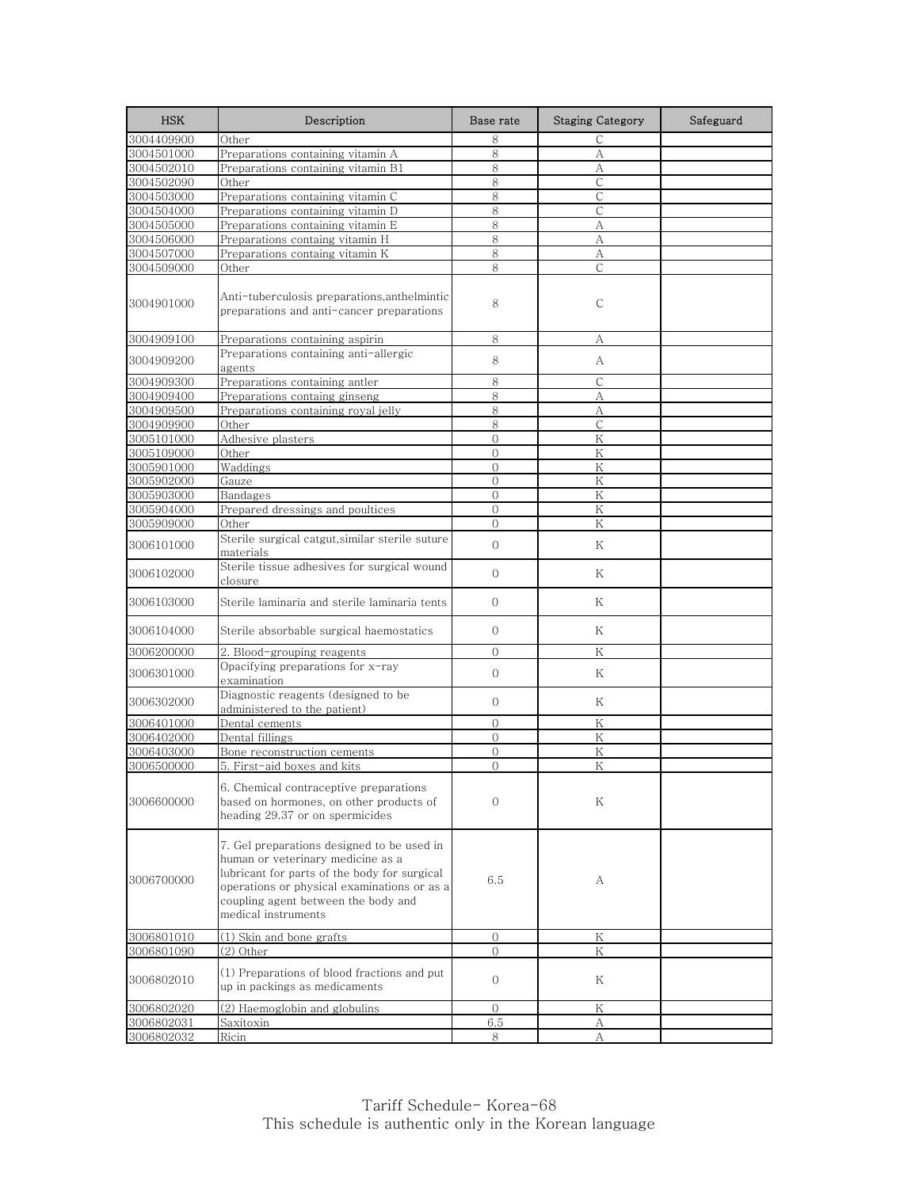| <b>HSK</b>               | Description                                                                                                                                                                                                                                  | Base rate      | <b>Staging Category</b> | Safeguard |
|--------------------------|----------------------------------------------------------------------------------------------------------------------------------------------------------------------------------------------------------------------------------------------|----------------|-------------------------|-----------|
| 3004409900               | Other                                                                                                                                                                                                                                        | 8              | С                       |           |
| 3004501000               | Preparations containing vitamin A                                                                                                                                                                                                            | 8              | А                       |           |
| 3004502010               | Preparations containing vitamin B1                                                                                                                                                                                                           | 8              | А                       |           |
| 3004502090               | Other                                                                                                                                                                                                                                        | $\,8\,$        | $\mathsf C$             |           |
| 3004503000               | Preparations containing vitamin C                                                                                                                                                                                                            | 8              | $\mathsf{C}$            |           |
| 3004504000               | Preparations containing vitamin D                                                                                                                                                                                                            | 8              | $\mathsf{C}$            |           |
| 3004505000               | Preparations containing vitamin E                                                                                                                                                                                                            | 8              | А                       |           |
| 3004506000<br>3004507000 | Preparations containg vitamin H<br>Preparations containg vitamin K                                                                                                                                                                           | 8<br>8         | А<br>А                  |           |
| 3004509000               | Other                                                                                                                                                                                                                                        | 8              | С                       |           |
|                          |                                                                                                                                                                                                                                              |                |                         |           |
| 3004901000               | Anti-tuberculosis preparations, anthelmintic<br>preparations and anti-cancer preparations                                                                                                                                                    | 8              | С                       |           |
| 3004909100               | Preparations containing aspirin                                                                                                                                                                                                              | 8              | А                       |           |
| 3004909200               | Preparations containing anti-allergic<br>agents                                                                                                                                                                                              | 8              | А                       |           |
| 3004909300               | Preparations containing antler                                                                                                                                                                                                               | 8              | $\mathsf{C}$            |           |
| 3004909400               | Preparations containg ginseng                                                                                                                                                                                                                | 8              | А                       |           |
| 3004909500               | Preparations containing royal jelly                                                                                                                                                                                                          | 8              | А                       |           |
| 3004909900               | Other                                                                                                                                                                                                                                        | 8              | $\mathsf{C}$            |           |
| 3005101000               | Adhesive plasters                                                                                                                                                                                                                            | $\mathbf{0}$   | Κ                       |           |
| 3005109000               | Other                                                                                                                                                                                                                                        | $\overline{0}$ | K                       |           |
| 3005901000               | Waddings                                                                                                                                                                                                                                     | $\Omega$       | K                       |           |
| 3005902000               | Gauze                                                                                                                                                                                                                                        | $\Omega$       | K                       |           |
| 3005903000               | Bandages                                                                                                                                                                                                                                     | $\overline{0}$ | Κ                       |           |
| 3005904000               | Prepared dressings and poultices                                                                                                                                                                                                             | $\overline{0}$ | Κ                       |           |
| 3005909000               | Other                                                                                                                                                                                                                                        | $\Omega$       | K                       |           |
| 3006101000               | Sterile surgical catgut, similar sterile suture<br>materials                                                                                                                                                                                 | $\overline{O}$ | Κ                       |           |
| 3006102000               | Sterile tissue adhesives for surgical wound<br>closure                                                                                                                                                                                       | $\mathbf{O}$   | K                       |           |
| 3006103000               | Sterile laminaria and sterile laminaria tents                                                                                                                                                                                                | $\mathcal{O}$  | Κ                       |           |
| 3006104000               | Sterile absorbable surgical haemostatics                                                                                                                                                                                                     | $\mathcal{O}$  | Κ                       |           |
| 3006200000               | 2. Blood-grouping reagents                                                                                                                                                                                                                   | $\overline{O}$ | K                       |           |
| 3006301000               | Opacifying preparations for x-ray<br>examination                                                                                                                                                                                             | $\mathbf{O}$   | Κ                       |           |
| 3006302000               | Diagnostic reagents (designed to be<br>administered to the patient)                                                                                                                                                                          | $\mathbf{O}$   | Κ                       |           |
| 3006401000               | Dental cements                                                                                                                                                                                                                               | $\overline{0}$ | Κ                       |           |
| 3006402000               | Dental fillings                                                                                                                                                                                                                              | $\Omega$       | Κ                       |           |
| 3006403000               | Bone reconstruction cements                                                                                                                                                                                                                  | $\mathbf{0}$   | Κ                       |           |
| 3006500000               | 5. First-aid boxes and kits                                                                                                                                                                                                                  | $\Omega$       | K                       |           |
| 3006600000               | 6. Chemical contraceptive preparations<br>based on hormones, on other products of<br>heading 29.37 or on spermicides                                                                                                                         | $\Omega$       | Κ                       |           |
| 3006700000               | 7. Gel preparations designed to be used in<br>human or veterinary medicine as a<br>lubricant for parts of the body for surgical<br>operations or physical examinations or as a<br>coupling agent between the body and<br>medical instruments | 6.5            | А                       |           |
| 3006801010               | (1) Skin and bone grafts                                                                                                                                                                                                                     | $\overline{0}$ | Κ                       |           |
| 3006801090               | (2) Other                                                                                                                                                                                                                                    | $\Omega$       | Κ                       |           |
| 3006802010               | (1) Preparations of blood fractions and put<br>up in packings as medicaments                                                                                                                                                                 | $\mathbf{O}$   | K                       |           |
| 3006802020               | (2) Haemoglobin and globulins                                                                                                                                                                                                                | $\Omega$       | Κ                       |           |
| 3006802031               | Saxitoxin                                                                                                                                                                                                                                    | 6.5            | А                       |           |
| 3006802032               | Ricin                                                                                                                                                                                                                                        | 8              | А                       |           |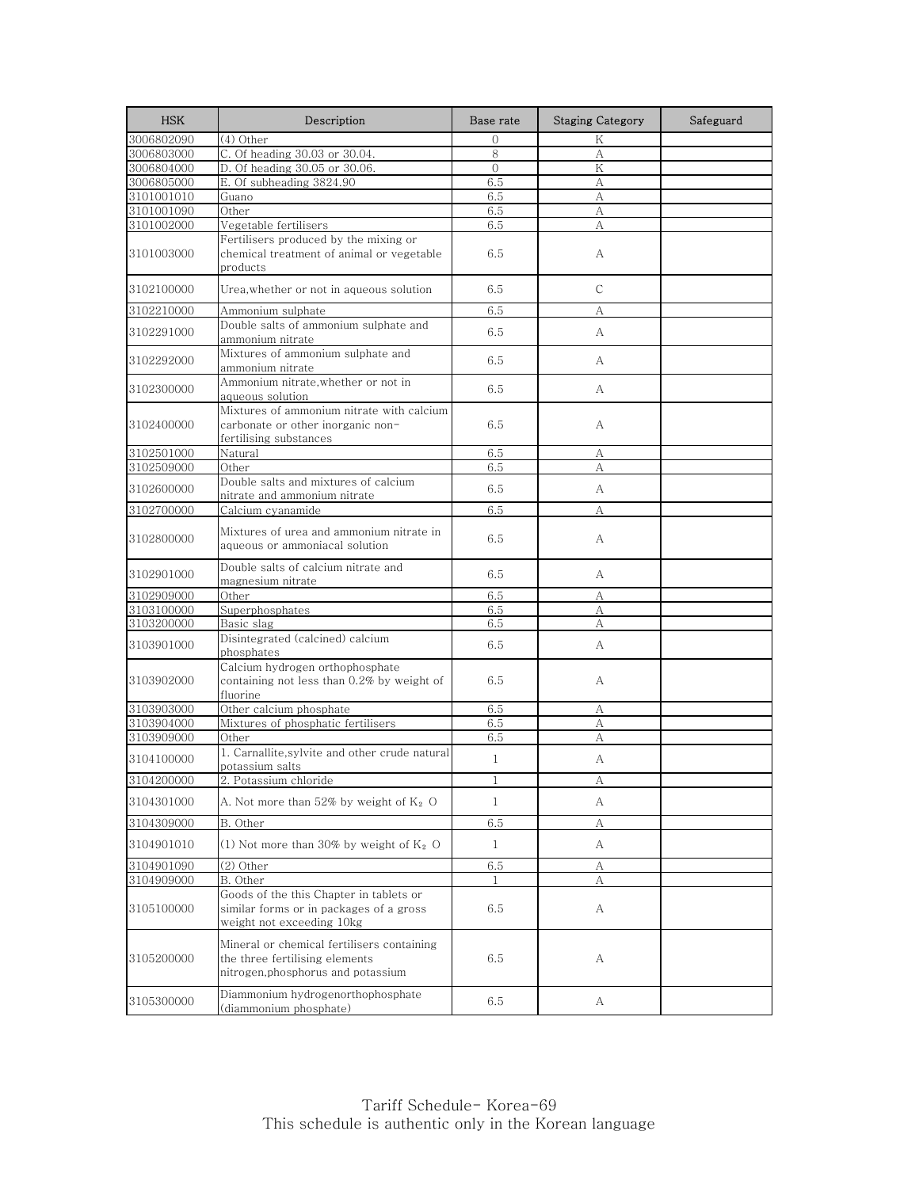| <b>HSK</b> | Description                                                                                                        | Base rate    | <b>Staging Category</b> | Safeguard |
|------------|--------------------------------------------------------------------------------------------------------------------|--------------|-------------------------|-----------|
| 3006802090 | (4) Other                                                                                                          | $\Omega$     | K                       |           |
| 3006803000 | C. Of heading 30.03 or 30.04.                                                                                      | 8            | А                       |           |
| 3006804000 | D. Of heading 30.05 or 30.06.                                                                                      | $\Omega$     | K                       |           |
| 3006805000 | E. Of subheading 3824.90                                                                                           | 6.5          | A                       |           |
| 3101001010 | Guano                                                                                                              | 6.5          | А                       |           |
| 3101001090 | Other                                                                                                              | 6.5          | А                       |           |
| 3101002000 | Vegetable fertilisers                                                                                              | 6.5          | А                       |           |
| 3101003000 | Fertilisers produced by the mixing or<br>chemical treatment of animal or vegetable<br>products                     | 6.5          | А                       |           |
| 3102100000 | Urea, whether or not in aqueous solution                                                                           | 6.5          | C                       |           |
| 3102210000 | Ammonium sulphate                                                                                                  | 6.5          | А                       |           |
| 3102291000 | Double salts of ammonium sulphate and<br>ammonium nitrate                                                          | 6.5          | А                       |           |
| 3102292000 | Mixtures of ammonium sulphate and<br>ammonium nitrate                                                              | 6.5          | А                       |           |
| 3102300000 | Ammonium nitrate, whether or not in<br>aqueous solution                                                            | 6.5          | A                       |           |
| 3102400000 | Mixtures of ammonium nitrate with calcium<br>carbonate or other inorganic non-<br>fertilising substances           | 6.5          | А                       |           |
| 3102501000 | Natural                                                                                                            | 6.5          | А                       |           |
| 3102509000 | Other                                                                                                              | 6.5          | А                       |           |
| 3102600000 | Double salts and mixtures of calcium<br>nitrate and ammonium nitrate                                               | 6.5          | А                       |           |
| 3102700000 | Calcium cyanamide                                                                                                  | 6.5          | А                       |           |
| 3102800000 | Mixtures of urea and ammonium nitrate in<br>aqueous or ammoniacal solution                                         | 6.5          | А                       |           |
| 3102901000 | Double salts of calcium nitrate and<br>magnesium nitrate                                                           | 6.5          | А                       |           |
| 3102909000 | Other                                                                                                              | 6.5          | А                       |           |
| 3103100000 | Superphosphates                                                                                                    | 6.5          | А                       |           |
| 3103200000 | Basic slag                                                                                                         | 6.5          | А                       |           |
| 3103901000 | Disintegrated (calcined) calcium<br>phosphates                                                                     | 6.5          | A                       |           |
| 3103902000 | Calcium hydrogen orthophosphate<br>containing not less than 0.2% by weight of<br>fluorine                          | 6.5          | A                       |           |
| 3103903000 | Other calcium phosphate                                                                                            | 6.5          | А                       |           |
| 3103904000 | Mixtures of phosphatic fertilisers                                                                                 | 6.5          | А                       |           |
| 3103909000 | Other                                                                                                              | 6.5          | А                       |           |
| 3104100000 | 1. Carnallite, sylvite and other crude natural<br>potassium salts                                                  | $\mathbf{1}$ | А                       |           |
| 3104200000 | 2. Potassium chloride                                                                                              | 1            | А                       |           |
| 3104301000 | A. Not more than $52\%$ by weight of $K_2$ O                                                                       | $\mathbf{1}$ | А                       |           |
| 3104309000 | B. Other                                                                                                           | 6.5          | А                       |           |
| 3104901010 | (1) Not more than 30% by weight of $K_2$ O                                                                         | $\mathbf{1}$ | А                       |           |
| 3104901090 | $(2)$ Other                                                                                                        | 6.5          | А                       |           |
| 3104909000 | B. Other                                                                                                           |              | А                       |           |
| 3105100000 | Goods of the this Chapter in tablets or<br>similar forms or in packages of a gross<br>weight not exceeding 10kg    | 6.5          | А                       |           |
| 3105200000 | Mineral or chemical fertilisers containing<br>the three fertilising elements<br>nitrogen, phosphorus and potassium | 6.5          | А                       |           |
| 3105300000 | Diammonium hydrogenorthophosphate<br>(diammonium phosphate)                                                        | 6.5          | A                       |           |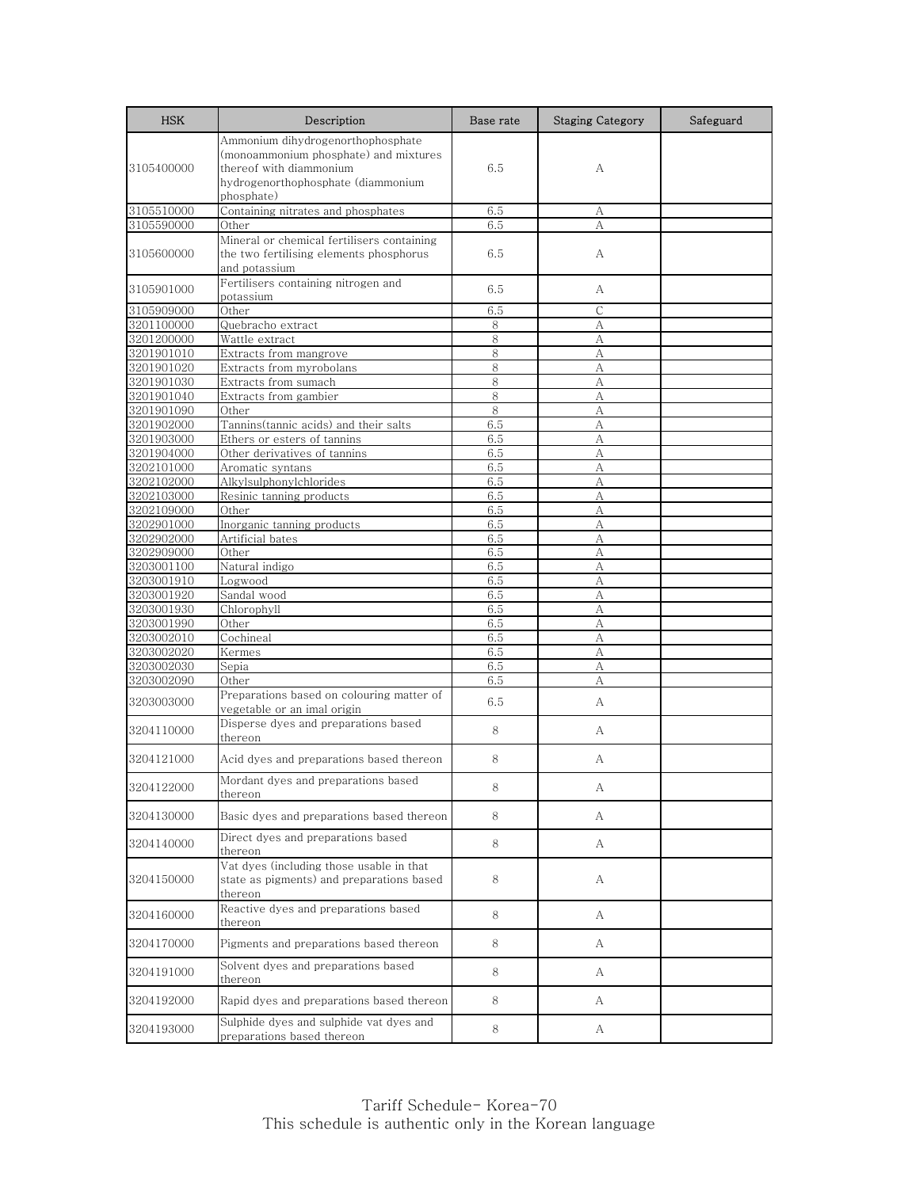| <b>HSK</b>               | Description                                                                                                                                               | Base rate  | <b>Staging Category</b> | Safeguard |
|--------------------------|-----------------------------------------------------------------------------------------------------------------------------------------------------------|------------|-------------------------|-----------|
| 3105400000               | Ammonium dihydrogenorthophosphate<br>(monoammonium phosphate) and mixtures<br>thereof with diammonium<br>hydrogenorthophosphate (diammonium<br>phosphate) | 6.5        | A                       |           |
| 3105510000               | Containing nitrates and phosphates                                                                                                                        | 6.5        | А                       |           |
| 3105590000               | Other                                                                                                                                                     | 6.5        | А                       |           |
| 3105600000               | Mineral or chemical fertilisers containing<br>the two fertilising elements phosphorus<br>and potassium                                                    | 6.5        | А                       |           |
| 3105901000               | Fertilisers containing nitrogen and<br>potassium                                                                                                          | 6.5        | А                       |           |
| 3105909000               | Other                                                                                                                                                     | 6.5        | $\mathsf{C}$            |           |
| 3201100000               | Quebracho extract                                                                                                                                         | 8          | А                       |           |
| 3201200000               | Wattle extract                                                                                                                                            | 8          | A                       |           |
| 3201901010               | Extracts from mangrove                                                                                                                                    | 8          | А                       |           |
| 3201901020               | Extracts from myrobolans                                                                                                                                  | 8          | А                       |           |
| 3201901030               | Extracts from sumach                                                                                                                                      | 8          | A                       |           |
| 3201901040               | Extracts from gambier                                                                                                                                     | 8          | А                       |           |
| 3201901090               | Other                                                                                                                                                     | 8          | А                       |           |
| 3201902000               | Tannins(tannic acids) and their salts                                                                                                                     | 6.5        | А                       |           |
| 3201903000               | Ethers or esters of tannins                                                                                                                               | 6.5        | А                       |           |
| 3201904000               | Other derivatives of tannins                                                                                                                              | 6.5        | А                       |           |
| 3202101000               | Aromatic syntans                                                                                                                                          | 6.5        | А                       |           |
| 3202102000               | Alkylsulphonylchlorides                                                                                                                                   | 6.5        | А                       |           |
| 3202103000               | Resinic tanning products                                                                                                                                  | 6.5        | A                       |           |
| 3202109000               | Other                                                                                                                                                     | 6.5        | A                       |           |
| 3202901000               | Inorganic tanning products                                                                                                                                | 6.5        | А                       |           |
| 3202902000               | Artificial bates<br>Other                                                                                                                                 | 6.5<br>6.5 | А<br>A                  |           |
| 3202909000<br>3203001100 | Natural indigo                                                                                                                                            | 6.5        | А                       |           |
| 3203001910               | Logwood                                                                                                                                                   | 6.5        | A                       |           |
| 3203001920               | Sandal wood                                                                                                                                               | 6.5        | A                       |           |
| 3203001930               | Chlorophyll                                                                                                                                               | 6.5        | А                       |           |
| 3203001990               | Other                                                                                                                                                     | 6.5        | А                       |           |
| 3203002010               | Cochineal                                                                                                                                                 | 6.5        | А                       |           |
| 3203002020               | Kermes                                                                                                                                                    | 6.5        | А                       |           |
| 3203002030               | Sepia                                                                                                                                                     | 6.5        | A                       |           |
| 3203002090               | Other                                                                                                                                                     | 6.5        | А                       |           |
| 3203003000               | Preparations based on colouring matter of<br>vegetable or an imal origin                                                                                  | 6.5        | A                       |           |
| 3204110000               | Disperse dyes and preparations based<br>thereon                                                                                                           | 8          | А                       |           |
| 3204121000               | Acid dyes and preparations based thereon                                                                                                                  | 8          | А                       |           |
| 3204122000               | Mordant dyes and preparations based<br>thereon                                                                                                            | 8          | А                       |           |
| 3204130000               | Basic dyes and preparations based thereon                                                                                                                 | 8          | A                       |           |
| 3204140000               | Direct dyes and preparations based<br>thereon                                                                                                             | 8          | A                       |           |
| 3204150000               | Vat dyes (including those usable in that<br>state as pigments) and preparations based<br>thereon                                                          | 8          | А                       |           |
| 3204160000               | Reactive dyes and preparations based<br>thereon                                                                                                           | 8          | A                       |           |
| 3204170000               | Pigments and preparations based thereon                                                                                                                   | 8          | А                       |           |
| 3204191000               | Solvent dyes and preparations based<br>thereon                                                                                                            | 8          | A                       |           |
| 3204192000               | Rapid dyes and preparations based thereon                                                                                                                 | 8          | A                       |           |
| 3204193000               | Sulphide dyes and sulphide vat dyes and<br>preparations based thereon                                                                                     | 8          | A                       |           |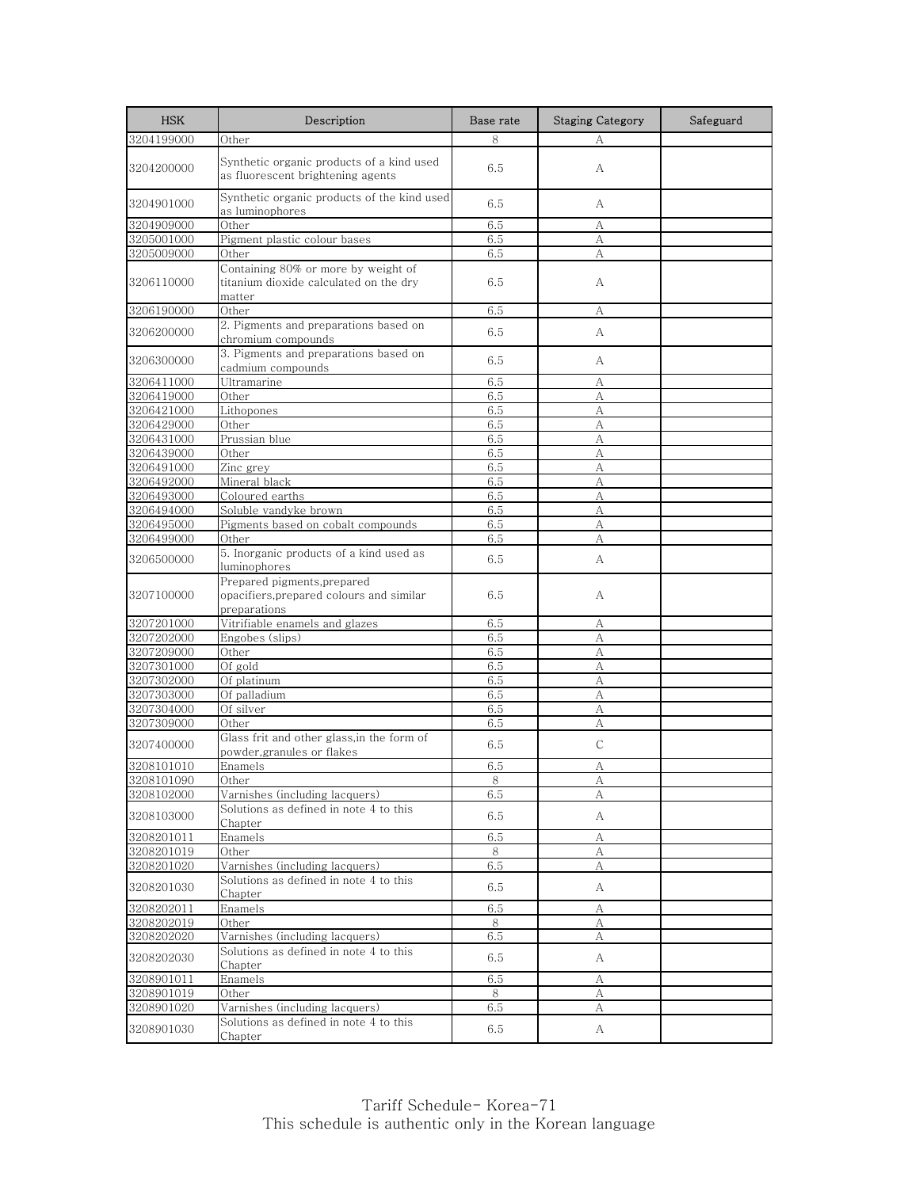| <b>HSK</b> | Description                                                                             | Base rate | <b>Staging Category</b> | Safeguard |
|------------|-----------------------------------------------------------------------------------------|-----------|-------------------------|-----------|
| 3204199000 | Other                                                                                   | 8         | А                       |           |
| 3204200000 | Synthetic organic products of a kind used<br>as fluorescent brightening agents          | 6.5       | A                       |           |
| 3204901000 | Synthetic organic products of the kind used<br>as luminophores                          | 6.5       | A                       |           |
| 3204909000 | Other                                                                                   | 6.5       | А                       |           |
| 3205001000 | Pigment plastic colour bases                                                            | 6.5       | А                       |           |
| 3205009000 | Other                                                                                   | 6.5       | А                       |           |
| 3206110000 | Containing 80% or more by weight of<br>titanium dioxide calculated on the dry<br>matter | 6.5       | А                       |           |
| 3206190000 | Other                                                                                   | 6.5       | А                       |           |
| 3206200000 | 2. Pigments and preparations based on<br>chromium compounds                             | 6.5       | А                       |           |
| 3206300000 | 3. Pigments and preparations based on<br>cadmium compounds                              | 6.5       | А                       |           |
| 3206411000 | Ultramarine                                                                             | 6.5       | А                       |           |
| 3206419000 | Other                                                                                   | 6.5       | A                       |           |
| 3206421000 | Lithopones                                                                              | 6.5       | А                       |           |
| 3206429000 | Other                                                                                   | 6.5       | А                       |           |
| 3206431000 | Prussian blue                                                                           | 6.5       | А                       |           |
| 3206439000 | Other                                                                                   | 6.5       | A                       |           |
| 3206491000 | Zinc grey                                                                               | 6.5       | A                       |           |
| 3206492000 | Mineral black                                                                           | 6.5       | А                       |           |
| 3206493000 | Coloured earths                                                                         | 6.5       | А                       |           |
| 3206494000 | Soluble vandyke brown                                                                   | 6.5       | А                       |           |
| 3206495000 | Pigments based on cobalt compounds                                                      | 6.5       | А                       |           |
| 3206499000 | Other                                                                                   | 6.5       | А                       |           |
| 3206500000 | 5. Inorganic products of a kind used as<br>luminophores                                 | 6.5       | А                       |           |
| 3207100000 | Prepared pigments, prepared<br>opacifiers, prepared colours and similar<br>preparations | 6.5       | А                       |           |
| 3207201000 | Vitrifiable enamels and glazes                                                          | 6.5       | А                       |           |
| 3207202000 | Engobes (slips)                                                                         | 6.5       | А                       |           |
| 3207209000 | Other                                                                                   | 6.5       | А                       |           |
| 3207301000 | Of gold                                                                                 | 6.5       | А                       |           |
| 3207302000 | Of platinum                                                                             | 6.5       | А                       |           |
| 3207303000 | Of palladium                                                                            | 6.5       | А                       |           |
| 3207304000 | Of silver                                                                               | 6.5       | А                       |           |
| 3207309000 | Other                                                                                   | 6.5       | А                       |           |
| 3207400000 | Glass frit and other glass, in the form of<br>powder, granules or flakes                | 6.5       | $\mathsf{C}$            |           |
| 3208101010 | Enamels                                                                                 | 6.5       | А                       |           |
| 3208101090 | Other                                                                                   | 8         | А                       |           |
| 3208102000 | Varnishes (including lacquers)                                                          | 6.5       | А                       |           |
| 3208103000 | Solutions as defined in note 4 to this<br>Chapter                                       | 6.5       | A                       |           |
| 3208201011 | Enamels                                                                                 | 6.5       | А                       |           |
| 3208201019 | Other                                                                                   | 8         | А                       |           |
| 3208201020 | Varnishes (including lacquers)                                                          | 6.5       | A                       |           |
| 3208201030 | Solutions as defined in note 4 to this<br>Chapter                                       | 6.5       | A                       |           |
| 3208202011 | Enamels                                                                                 | 6.5       | А                       |           |
| 3208202019 | Other                                                                                   | 8         | А                       |           |
| 3208202020 | Varnishes (including lacquers)                                                          | 6.5       | А                       |           |
| 3208202030 | Solutions as defined in note 4 to this<br>Chapter                                       | 6.5       | A                       |           |
| 3208901011 | Enamels                                                                                 | 6.5       | А                       |           |
| 3208901019 | Other                                                                                   | 8         | А                       |           |
| 3208901020 | Varnishes (including lacquers)                                                          | 6.5       | А                       |           |
| 3208901030 | Solutions as defined in note 4 to this<br>Chapter                                       | 6.5       | A                       |           |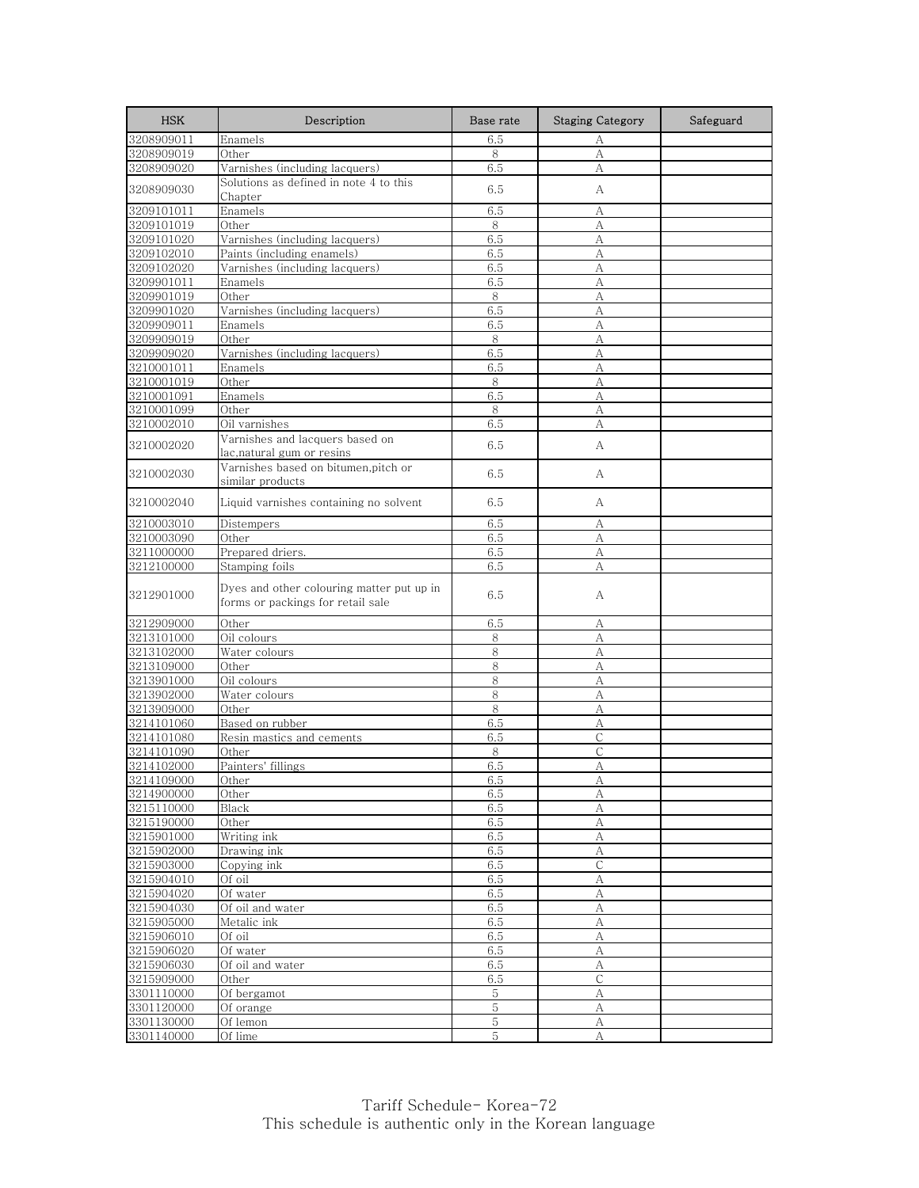| <b>HSK</b>               | Description                                                                    | Base rate      | <b>Staging Category</b> | Safeguard |
|--------------------------|--------------------------------------------------------------------------------|----------------|-------------------------|-----------|
| 3208909011               | Enamels                                                                        | 6.5            | А                       |           |
| 3208909019               | Other                                                                          | 8              | A                       |           |
| 3208909020               | Varnishes (including lacquers)                                                 | 6.5            | А                       |           |
| 3208909030               | Solutions as defined in note 4 to this                                         | 6.5            | А                       |           |
|                          | Chapter                                                                        |                |                         |           |
| 3209101011<br>3209101019 | Enamels<br>Other                                                               | 6.5            | А                       |           |
| 3209101020               | Varnishes (including lacquers)                                                 | 8<br>6.5       | А<br>А                  |           |
| 3209102010               | Paints (including enamels)                                                     | 6.5            | А                       |           |
| 3209102020               | Varnishes (including lacquers)                                                 | 6.5            | A                       |           |
| 3209901011               | Enamels                                                                        | 6.5            | A                       |           |
| 3209901019               | Other                                                                          | 8              | А                       |           |
| 3209901020               | Varnishes (including lacquers)                                                 | 6.5            | A                       |           |
| 3209909011               | Enamels                                                                        | 6.5            | A                       |           |
| 3209909019               | Other                                                                          | 8              | А                       |           |
| 3209909020               | Varnishes (including lacquers)                                                 | 6.5            | A                       |           |
| 3210001011               | Enamels                                                                        | 6.5            | А                       |           |
| 3210001019               | Other                                                                          | 8              | A                       |           |
| 3210001091               | Enamels                                                                        | 6.5            | А                       |           |
| 3210001099               | Other                                                                          | 8              | А                       |           |
| 3210002010               | Oil varnishes                                                                  | 6.5            | А                       |           |
| 3210002020               | Varnishes and lacquers based on                                                | 6.5            | A                       |           |
|                          | lac,natural gum or resins                                                      |                |                         |           |
| 3210002030               | Varnishes based on bitumen, pitch or<br>similar products                       | 6.5            | А                       |           |
| 3210002040               | Liquid varnishes containing no solvent                                         | 6.5            | A                       |           |
| 3210003010               | Distempers                                                                     | 6.5            | А                       |           |
| 3210003090               | Other                                                                          | 6.5            | А                       |           |
| 3211000000               | Prepared driers.                                                               | 6.5            | А                       |           |
| 3212100000               | Stamping foils                                                                 | 6.5            | А                       |           |
| 3212901000               | Dyes and other colouring matter put up in<br>forms or packings for retail sale | 6.5            | А                       |           |
| 3212909000               | Other                                                                          | 6.5            | А                       |           |
| 3213101000               | Oil colours                                                                    | 8              | А                       |           |
| 3213102000               | Water colours                                                                  | 8              | А                       |           |
| 3213109000               | Other                                                                          | 8              | A                       |           |
| 3213901000               | Oil colours                                                                    | 8              | А                       |           |
| 3213902000               | Water colours                                                                  | 8              | А                       |           |
| 3213909000               | Other                                                                          | 8              | А                       |           |
| 3214101060               | Based on rubber                                                                | 6.5            | A                       |           |
| 3214101080<br>3214101090 | Resin mastics and cements<br>Other                                             | 6.5<br>8       | С<br>$\mathsf{C}$       |           |
| 3214102000               | Painters' fillings                                                             | 6.5            | A                       |           |
| 3214109000               | Other                                                                          | 6.5            | A                       |           |
| 3214900000               | Other                                                                          | 6.5            | А                       |           |
| 3215110000               | Black                                                                          | 6.5            | А                       |           |
| 3215190000               | Other                                                                          | 6.5            | $\rm A$                 |           |
| 3215901000               | Writing ink                                                                    | 6.5            | А                       |           |
| 3215902000               | Drawing ink                                                                    | 6.5            | А                       |           |
| 3215903000               | Copying ink                                                                    | 6.5            | $\mathsf C$             |           |
| 3215904010               | Of oil                                                                         | 6.5            | А                       |           |
| 3215904020               | Of water                                                                       | 6.5            | $\mathbf{A}$            |           |
| 3215904030               | Of oil and water                                                               | 6.5            | А                       |           |
| 3215905000               | Metalic ink                                                                    | 6.5            | $\mathbf{A}$            |           |
| 3215906010               | Of oil                                                                         | 6.5            | А                       |           |
| 3215906020               | Of water                                                                       | 6.5            | А                       |           |
| 3215906030               | Of oil and water                                                               | 6.5            | A                       |           |
| 3215909000               | Other                                                                          | 6.5<br>5       | $\mathsf C$             |           |
| 3301110000<br>3301120000 | Of bergamot<br>Of orange                                                       | 5              | А<br>А                  |           |
| 3301130000               | Of lemon                                                                       | $\overline{5}$ | А                       |           |
| 3301140000               | Of lime                                                                        | 5              | А                       |           |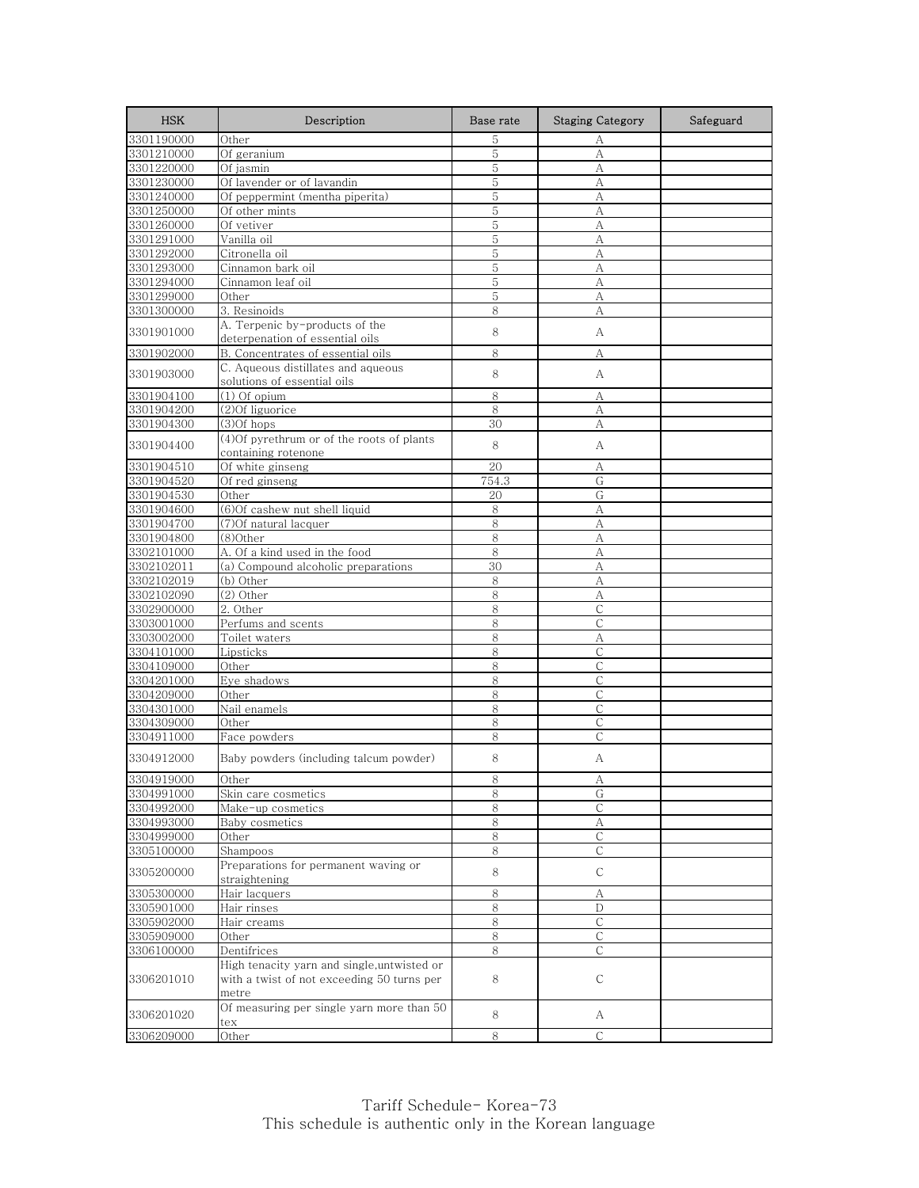| <b>HSK</b>               | Description                                                                               | Base rate | <b>Staging Category</b> | Safeguard |
|--------------------------|-------------------------------------------------------------------------------------------|-----------|-------------------------|-----------|
| 3301190000               | Other                                                                                     | 5         | А                       |           |
| 3301210000               | Of geranium                                                                               | 5         | A                       |           |
| 3301220000               | Of jasmin                                                                                 | 5         | А                       |           |
| 3301230000               | Of lavender or of lavandin                                                                | 5         | А                       |           |
| 3301240000               | Of peppermint (mentha piperita)                                                           | 5         | А                       |           |
| 3301250000               | Of other mints                                                                            | 5         | А                       |           |
| 3301260000               | Of vetiver                                                                                | 5         | A                       |           |
| 3301291000               | Vanilla oil                                                                               | 5         | A                       |           |
| 3301292000               | Citronella oil                                                                            | 5         | A                       |           |
| 3301293000               | Cinnamon bark oil                                                                         | 5         | А                       |           |
| 3301294000               | Cinnamon leaf oil                                                                         | 5         | A                       |           |
| 3301299000<br>3301300000 | Other<br>3. Resinoids                                                                     | 5<br>8    | А<br>A                  |           |
|                          | A. Terpenic by-products of the                                                            |           |                         |           |
| 3301901000               | deterpenation of essential oils                                                           | 8         | А                       |           |
| 3301902000               | B. Concentrates of essential oils                                                         | 8         | A                       |           |
| 3301903000               | C. Aqueous distillates and aqueous<br>solutions of essential oils                         | 8         | А                       |           |
| 3301904100               | $(1)$ Of opium                                                                            | 8         | А                       |           |
| 3301904200               | (2) Of liguorice                                                                          | 8         | A                       |           |
| 3301904300               | $(3)$ Of hops                                                                             | 30        | А                       |           |
|                          | (4) Of pyrethrum or of the roots of plants                                                |           |                         |           |
| 3301904400               | containing rotenone                                                                       | 8         | А                       |           |
| 3301904510               | Of white ginseng                                                                          | 20        | А                       |           |
| 3301904520               | Of red ginseng                                                                            | 754.3     | G                       |           |
| 3301904530               | Other                                                                                     | 20        | G                       |           |
| 3301904600               | (6) Of cashew nut shell liquid                                                            | 8         | A                       |           |
| 3301904700               | (7)Of natural lacquer                                                                     | 8         | A                       |           |
| 3301904800               | (8)Other                                                                                  | 8         | A                       |           |
| 3302101000               | A. Of a kind used in the food                                                             | 8         | А                       |           |
| 3302102011               | (a) Compound alcoholic preparations                                                       | 30        | А                       |           |
| 3302102019               | (b) Other                                                                                 | 8         | A                       |           |
| 3302102090               | $(2)$ Other                                                                               | 8         | A                       |           |
| 3302900000               | 2. Other                                                                                  | 8         | С                       |           |
| 3303001000               | Perfums and scents                                                                        | 8         | $\mathsf{C}$            |           |
| 3303002000               | Toilet waters                                                                             | 8         | А                       |           |
| 3304101000               | Lipsticks                                                                                 | 8         | $\mathsf{C}$            |           |
| 3304109000               | Other                                                                                     | 8<br>8    | C<br>C                  |           |
| 3304201000<br>3304209000 | Eye shadows<br>Other                                                                      | 8         | C                       |           |
| 3304301000               | Nail enamels                                                                              | 8         | $\mathsf{C}$            |           |
| 3304309000               | Other                                                                                     | 8         | $\mathsf{C}$            |           |
| 3304911000               | Face powders                                                                              | 8         | С                       |           |
| 3304912000               | Baby powders (including talcum powder)                                                    | 8         | А                       |           |
|                          |                                                                                           |           |                         |           |
| 3304919000<br>3304991000 | Other                                                                                     | ୪<br>8    | A<br>G                  |           |
| 3304992000               | Skin care cosmetics<br>Make-up cosmetics                                                  | 8         | С                       |           |
| 3304993000               | Baby cosmetics                                                                            | 8         | А                       |           |
| 3304999000               | Other                                                                                     | 8         | С                       |           |
| 3305100000               | Shampoos                                                                                  | 8         | С                       |           |
|                          | Preparations for permanent waving or                                                      |           |                         |           |
| 3305200000               | straightening                                                                             | 8         | С                       |           |
| 3305300000               | Hair lacquers                                                                             | 8         | А                       |           |
| 3305901000               | Hair rinses                                                                               | 8         | D                       |           |
| 3305902000               | Hair creams                                                                               | 8         | C                       |           |
| 3305909000               | Other                                                                                     | 8         | C                       |           |
| 3306100000               | Dentifrices                                                                               | 8         | С                       |           |
| 3306201010               | High tenacity yarn and single, untwisted or<br>with a twist of not exceeding 50 turns per | 8         | С                       |           |
| 3306201020               | metre<br>Of measuring per single yarn more than 50<br>tex                                 | 8         | A                       |           |
| 3306209000               | Other                                                                                     | 8         | $\mathsf{C}$            |           |
|                          |                                                                                           |           |                         |           |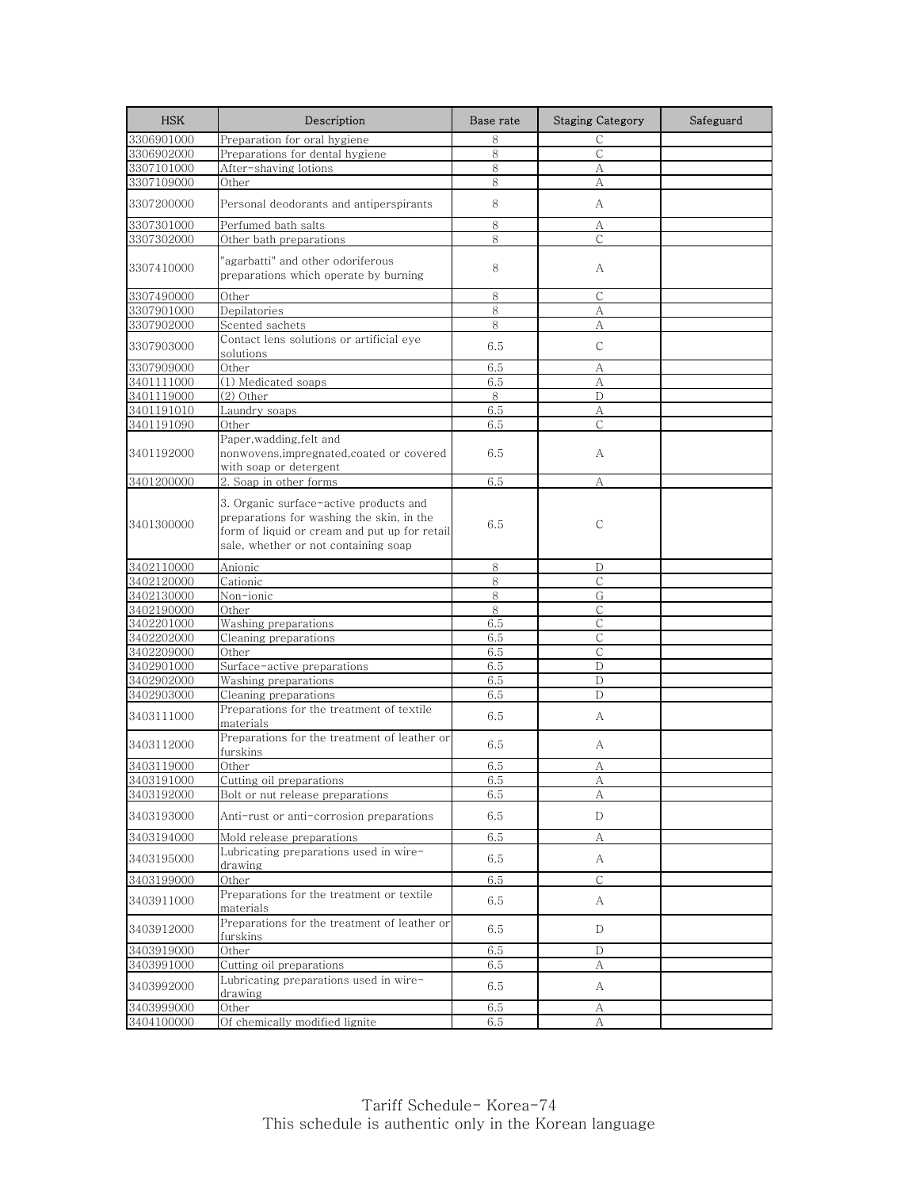| <b>HSK</b>               | Description                                                                                                                                                                  | Base rate  | <b>Staging Category</b> | Safeguard |
|--------------------------|------------------------------------------------------------------------------------------------------------------------------------------------------------------------------|------------|-------------------------|-----------|
| 3306901000               | Preparation for oral hygiene                                                                                                                                                 | 8          | C                       |           |
| 3306902000               | Preparations for dental hygiene                                                                                                                                              | 8          | $\mathsf C$             |           |
| 3307101000               | After-shaving lotions                                                                                                                                                        | 8          | А                       |           |
| 3307109000               | Other                                                                                                                                                                        | 8          | А                       |           |
| 3307200000               | Personal deodorants and antiperspirants                                                                                                                                      | 8          | А                       |           |
| 3307301000               | Perfumed bath salts                                                                                                                                                          | 8          | А                       |           |
| 3307302000               | Other bath preparations                                                                                                                                                      | 8          | С                       |           |
| 3307410000               | "agarbatti" and other odoriferous<br>preparations which operate by burning                                                                                                   | 8          | А                       |           |
| 3307490000               | Other                                                                                                                                                                        | 8          | С                       |           |
| 3307901000               | Depilatories                                                                                                                                                                 | 8          | A                       |           |
| 3307902000               | Scented sachets                                                                                                                                                              | 8          | А                       |           |
| 3307903000               | Contact lens solutions or artificial eye<br>solutions                                                                                                                        | 6.5        | $\mathsf{C}$            |           |
| 3307909000               | Other                                                                                                                                                                        | 6.5        | А                       |           |
| 3401111000               | (1) Medicated soaps                                                                                                                                                          | 6.5        | А                       |           |
| 3401119000               | (2) Other                                                                                                                                                                    | 8          | D                       |           |
| 3401191010               | Laundry soaps                                                                                                                                                                | 6.5        | A                       |           |
| 3401191090               | Other                                                                                                                                                                        | 6.5        | C                       |           |
| 3401192000               | Paper, wadding, felt and<br>nonwovens, impregnated, coated or covered<br>with soap or detergent                                                                              | 6.5        | А                       |           |
| 3401200000               | 2. Soap in other forms                                                                                                                                                       | 6.5        | A                       |           |
| 3401300000               | 3. Organic surface-active products and<br>preparations for washing the skin, in the<br>form of liquid or cream and put up for retail<br>sale, whether or not containing soap | 6.5        | C                       |           |
| 3402110000               | Anionic                                                                                                                                                                      | 8          | D                       |           |
| 3402120000               | Cationic                                                                                                                                                                     | 8          | $\mathsf{C}$            |           |
| 3402130000               | Non-ionic                                                                                                                                                                    | 8          | G                       |           |
| 3402190000               | Other                                                                                                                                                                        | 8          | С                       |           |
| 3402201000               | Washing preparations                                                                                                                                                         | 6.5        | $\mathsf{C}$            |           |
| 3402202000               | Cleaning preparations                                                                                                                                                        | 6.5        | С                       |           |
| 3402209000               | Other                                                                                                                                                                        | 6.5        | $\mathsf{C}$            |           |
| 3402901000               | Surface-active preparations                                                                                                                                                  | $6.5\,$    | D                       |           |
| 3402902000               | Washing preparations                                                                                                                                                         | 6.5        | D                       |           |
| 3402903000<br>3403111000 | Cleaning preparations<br>Preparations for the treatment of textile<br>materials                                                                                              | 6.5<br>6.5 | D<br>А                  |           |
| 3403112000               | Preparations for the treatment of leather or<br>furskins                                                                                                                     | 6.5        | A                       |           |
| 3403119000               | Other                                                                                                                                                                        | 6.5        | А                       |           |
| 3403191000               | Cutting oil preparations                                                                                                                                                     | 6.5        | А                       |           |
| 3403192000               | Bolt or nut release preparations                                                                                                                                             | 6.5        | А                       |           |
| 3403193000               | Anti-rust or anti-corrosion preparations                                                                                                                                     | 6.5        | D                       |           |
| 3403194000               | Mold release preparations                                                                                                                                                    | 6.5        | А                       |           |
| 3403195000               | Lubricating preparations used in wire-<br>drawing                                                                                                                            | 6.5        | A                       |           |
| 3403199000               | Other                                                                                                                                                                        | 6.5        | C                       |           |
| 3403911000               | Preparations for the treatment or textile<br>materials                                                                                                                       | 6.5        | A                       |           |
| 3403912000               | Preparations for the treatment of leather or<br>furskins                                                                                                                     | 6.5        | D                       |           |
| 3403919000               | Other                                                                                                                                                                        | 6.5        | D                       |           |
| 3403991000               | Cutting oil preparations                                                                                                                                                     | 6.5        | А                       |           |
| 3403992000               | Lubricating preparations used in wire-<br>drawing                                                                                                                            | 6.5        | A                       |           |
| 3403999000               | Other                                                                                                                                                                        | 6.5        | А                       |           |
| 3404100000               | Of chemically modified lignite                                                                                                                                               | 6.5        | А                       |           |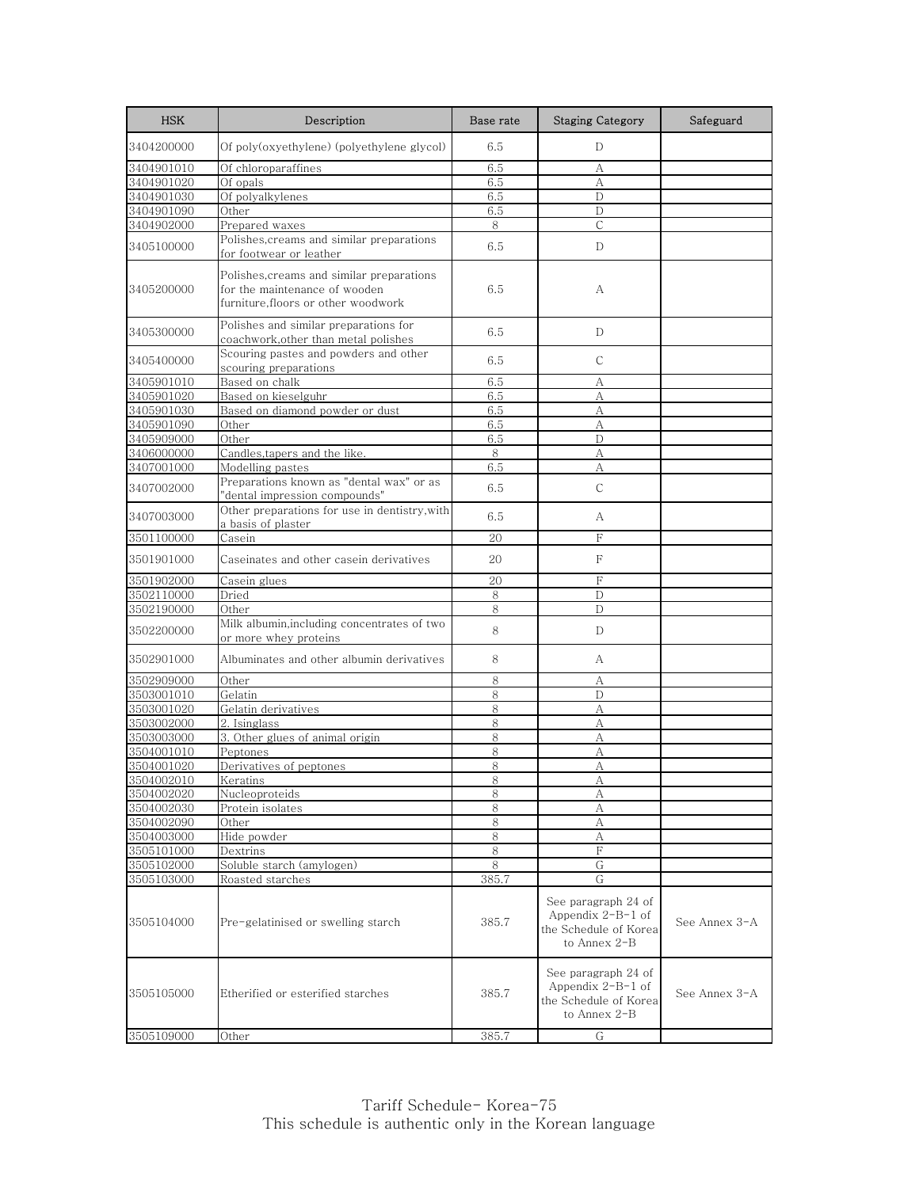| <b>HSK</b>               | Description                                                                                                       | Base rate    | <b>Staging Category</b>                                                             | Safeguard     |
|--------------------------|-------------------------------------------------------------------------------------------------------------------|--------------|-------------------------------------------------------------------------------------|---------------|
| 3404200000               | Of poly(oxyethylene) (polyethylene glycol)                                                                        | 6.5          | D                                                                                   |               |
| 3404901010               | Of chloroparaffines                                                                                               | 6.5          | А                                                                                   |               |
| 3404901020               | Of opals                                                                                                          | 6.5          | A                                                                                   |               |
| 3404901030               | Of polyalkylenes                                                                                                  | 6.5          | D                                                                                   |               |
| 3404901090               | Other                                                                                                             | 6.5          | D                                                                                   |               |
| 3404902000               | Prepared waxes                                                                                                    | 8            | $\mathsf{C}$                                                                        |               |
| 3405100000               | Polishes, creams and similar preparations<br>for footwear or leather                                              | 6.5          | D                                                                                   |               |
| 3405200000               | Polishes, creams and similar preparations<br>for the maintenance of wooden<br>furniture, floors or other woodwork | 6.5          | А                                                                                   |               |
| 3405300000               | Polishes and similar preparations for<br>coachwork, other than metal polishes                                     | 6.5          | D                                                                                   |               |
| 3405400000               | Scouring pastes and powders and other<br>scouring preparations                                                    | 6.5          | C                                                                                   |               |
| 3405901010               | Based on chalk                                                                                                    | 6.5          | А                                                                                   |               |
| 3405901020               | Based on kieselguhr                                                                                               | 6.5          | А                                                                                   |               |
| 3405901030               | Based on diamond powder or dust                                                                                   | 6.5          | А                                                                                   |               |
| 3405901090               | Other                                                                                                             | 6.5          | А                                                                                   |               |
| 3405909000               | Other                                                                                                             | 6.5          | D                                                                                   |               |
| 3406000000               | Candles,tapers and the like.                                                                                      | 8            | А                                                                                   |               |
| 3407001000               | Modelling pastes                                                                                                  | 6.5          | А                                                                                   |               |
| 3407002000               | Preparations known as "dental wax" or as<br>"dental impression compounds"                                         | 6.5          | $\mathsf{C}$                                                                        |               |
| 3407003000               | Other preparations for use in dentistry, with<br>a basis of plaster                                               | 6.5          | A                                                                                   |               |
| 3501100000               | Casein                                                                                                            | 20           | F                                                                                   |               |
| 3501901000               | Caseinates and other casein derivatives                                                                           | 20           | F                                                                                   |               |
| 3501902000               | Casein glues                                                                                                      | 20           | F                                                                                   |               |
| 3502110000               | Dried                                                                                                             | 8            | $\mathbf D$                                                                         |               |
| 3502190000               | Other                                                                                                             | 8            | D                                                                                   |               |
| 3502200000               | Milk albumin, including concentrates of two<br>or more whey proteins                                              | 8            | D                                                                                   |               |
| 3502901000               | Albuminates and other albumin derivatives                                                                         | 8            | A                                                                                   |               |
| 3502909000               | Other                                                                                                             | 8            | А                                                                                   |               |
| 3503001010               | Gelatin                                                                                                           | 8            | D                                                                                   |               |
| 3503001020               | Gelatin derivatives                                                                                               | 8            | А                                                                                   |               |
| 3503002000               | 2. Isinglass                                                                                                      | 8            | А                                                                                   |               |
| 3503003000               | 3. Other glues of animal origin                                                                                   | 8            | А                                                                                   |               |
| 3504001010               | Peptones                                                                                                          | 8            | А                                                                                   |               |
| 3504001020               | Derivatives of peptones                                                                                           | 8            | А                                                                                   |               |
| 3504002010               | Keratins                                                                                                          | 8            | А                                                                                   |               |
| 3504002020               | Nucleoproteids                                                                                                    | 8            | А                                                                                   |               |
| 3504002030<br>3504002090 | Protein isolates<br>Other                                                                                         | 8<br>$\,8\,$ | А<br>А                                                                              |               |
| 3504003000               | Hide powder                                                                                                       | 8            | А                                                                                   |               |
| 3505101000               | Dextrins                                                                                                          | 8            | F                                                                                   |               |
| 3505102000               | Soluble starch (amylogen)                                                                                         | 8            | G                                                                                   |               |
| 3505103000               | Roasted starches                                                                                                  | 385.7        | G                                                                                   |               |
| 3505104000               | Pre-gelatinised or swelling starch                                                                                | 385.7        | See paragraph 24 of<br>Appendix $2-B-1$ of<br>the Schedule of Korea<br>to Annex 2-B | See Annex 3-A |
| 3505105000               | Etherified or esterified starches                                                                                 | 385.7        | See paragraph 24 of<br>Appendix $2-B-1$ of<br>the Schedule of Korea<br>to Annex 2-B | See Annex 3-A |
| 3505109000               | Other                                                                                                             | 385.7        | G                                                                                   |               |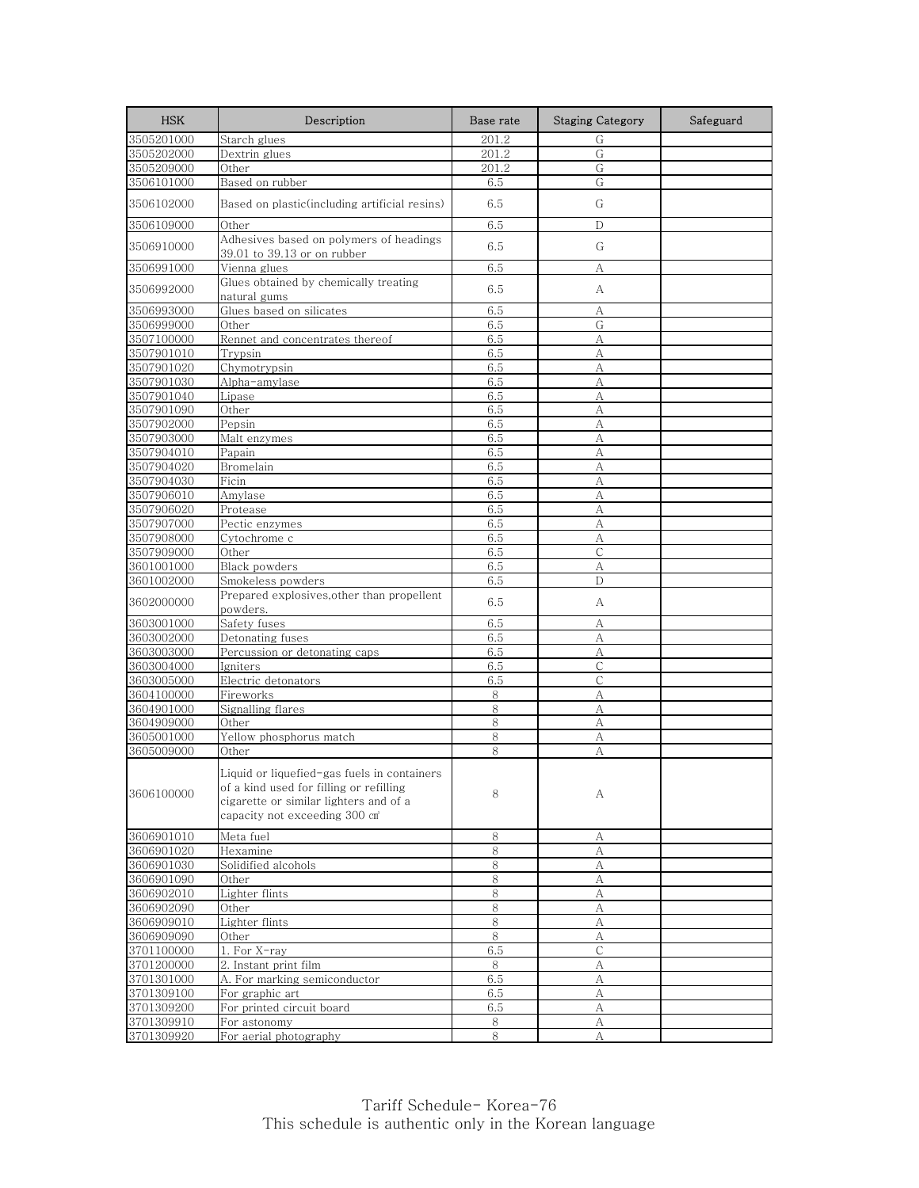| <b>HSK</b> | Description                                                                                                                                                       | Base rate | <b>Staging Category</b> | Safeguard |
|------------|-------------------------------------------------------------------------------------------------------------------------------------------------------------------|-----------|-------------------------|-----------|
| 3505201000 | Starch glues                                                                                                                                                      | 201.2     | G                       |           |
| 3505202000 | Dextrin glues                                                                                                                                                     | 201.2     | G                       |           |
| 3505209000 | Other                                                                                                                                                             | 201.2     | G                       |           |
| 3506101000 | Based on rubber                                                                                                                                                   | 6.5       | G                       |           |
| 3506102000 | Based on plastic(including artificial resins)                                                                                                                     | 6.5       | G                       |           |
| 3506109000 | Other                                                                                                                                                             | 6.5       | D                       |           |
| 3506910000 | Adhesives based on polymers of headings<br>39.01 to 39.13 or on rubber                                                                                            | 6.5       | G                       |           |
| 3506991000 | Vienna glues                                                                                                                                                      | 6.5       | А                       |           |
| 3506992000 | Glues obtained by chemically treating<br>natural gums                                                                                                             | 6.5       | А                       |           |
| 3506993000 | Glues based on silicates                                                                                                                                          | 6.5       | А                       |           |
| 3506999000 | Other                                                                                                                                                             | 6.5       | G                       |           |
| 3507100000 | Rennet and concentrates thereof                                                                                                                                   | 6.5       | А                       |           |
| 3507901010 | Trypsin                                                                                                                                                           | 6.5       | A                       |           |
| 3507901020 | Chymotrypsin                                                                                                                                                      | 6.5       | А                       |           |
| 3507901030 | Alpha-amylase                                                                                                                                                     | 6.5       | А                       |           |
| 3507901040 | Lipase                                                                                                                                                            | 6.5       | А                       |           |
| 3507901090 | Other                                                                                                                                                             | 6.5       | А                       |           |
| 3507902000 | Pepsin                                                                                                                                                            | 6.5       | А                       |           |
| 3507903000 | Malt enzymes                                                                                                                                                      | 6.5       | А                       |           |
| 3507904010 | Papain                                                                                                                                                            | 6.5       | A                       |           |
| 3507904020 | Bromelain                                                                                                                                                         | 6.5       | А                       |           |
| 3507904030 | Ficin                                                                                                                                                             | 6.5       | A                       |           |
| 3507906010 | Amylase                                                                                                                                                           | 6.5       | А                       |           |
| 3507906020 | Protease                                                                                                                                                          | 6.5       | A                       |           |
| 3507907000 | Pectic enzymes                                                                                                                                                    | 6.5       | A                       |           |
| 3507908000 | Cytochrome c                                                                                                                                                      | 6.5       | А                       |           |
| 3507909000 | Other                                                                                                                                                             | 6.5       | $\mathsf{C}$            |           |
| 3601001000 | <b>Black</b> powders                                                                                                                                              | 6.5       | А                       |           |
| 3601002000 | Smokeless powders                                                                                                                                                 | 6.5       | $\mathbb{D}$            |           |
| 3602000000 | Prepared explosives, other than propellent<br>powders.                                                                                                            | 6.5       | А                       |           |
| 3603001000 | Safety fuses                                                                                                                                                      | 6.5       | А                       |           |
| 3603002000 | Detonating fuses                                                                                                                                                  | 6.5       | А                       |           |
| 3603003000 | Percussion or detonating caps                                                                                                                                     | 6.5       | А                       |           |
| 3603004000 | Igniters                                                                                                                                                          | 6.5       | C                       |           |
| 3603005000 | Electric detonators                                                                                                                                               | 6.5       | $\mathsf{C}$            |           |
| 3604100000 | Fireworks                                                                                                                                                         | 8         | А                       |           |
| 3604901000 | Signalling flares                                                                                                                                                 | 8         | А                       |           |
| 3604909000 | Other                                                                                                                                                             | 8         | A                       |           |
| 3605001000 | Yellow phosphorus match                                                                                                                                           | 8         | А                       |           |
| 3605009000 | Other                                                                                                                                                             | 8         | A                       |           |
| 3606100000 | Liquid or liquefied-gas fuels in containers<br>of a kind used for filling or refilling<br>cigarette or similar lighters and of a<br>capacity not exceeding 300 cm | 8         | А                       |           |
| 3606901010 | Meta fuel                                                                                                                                                         | 8         | А                       |           |
| 3606901020 | Hexamine                                                                                                                                                          | 8         | А                       |           |
| 3606901030 | Solidified alcohols                                                                                                                                               | 8         | А                       |           |
| 3606901090 | Other                                                                                                                                                             | 8         | А                       |           |
| 3606902010 | Lighter flints                                                                                                                                                    | 8         | А                       |           |
| 3606902090 | Other                                                                                                                                                             | 8         | А                       |           |
| 3606909010 | Lighter flints                                                                                                                                                    | $8\,$     | А                       |           |
| 3606909090 | Other                                                                                                                                                             | 8         | А                       |           |
| 3701100000 | 1. For X-ray                                                                                                                                                      | 6.5       | С                       |           |
| 3701200000 | 2. Instant print film                                                                                                                                             | 8         | А                       |           |
| 3701301000 | A. For marking semiconductor                                                                                                                                      | 6.5       | А                       |           |
| 3701309100 | For graphic art                                                                                                                                                   | 6.5       | А                       |           |
| 3701309200 | For printed circuit board                                                                                                                                         | 6.5       | А                       |           |
| 3701309910 | For astonomy                                                                                                                                                      | 8         | А                       |           |
| 3701309920 | For aerial photography                                                                                                                                            | 8         | А                       |           |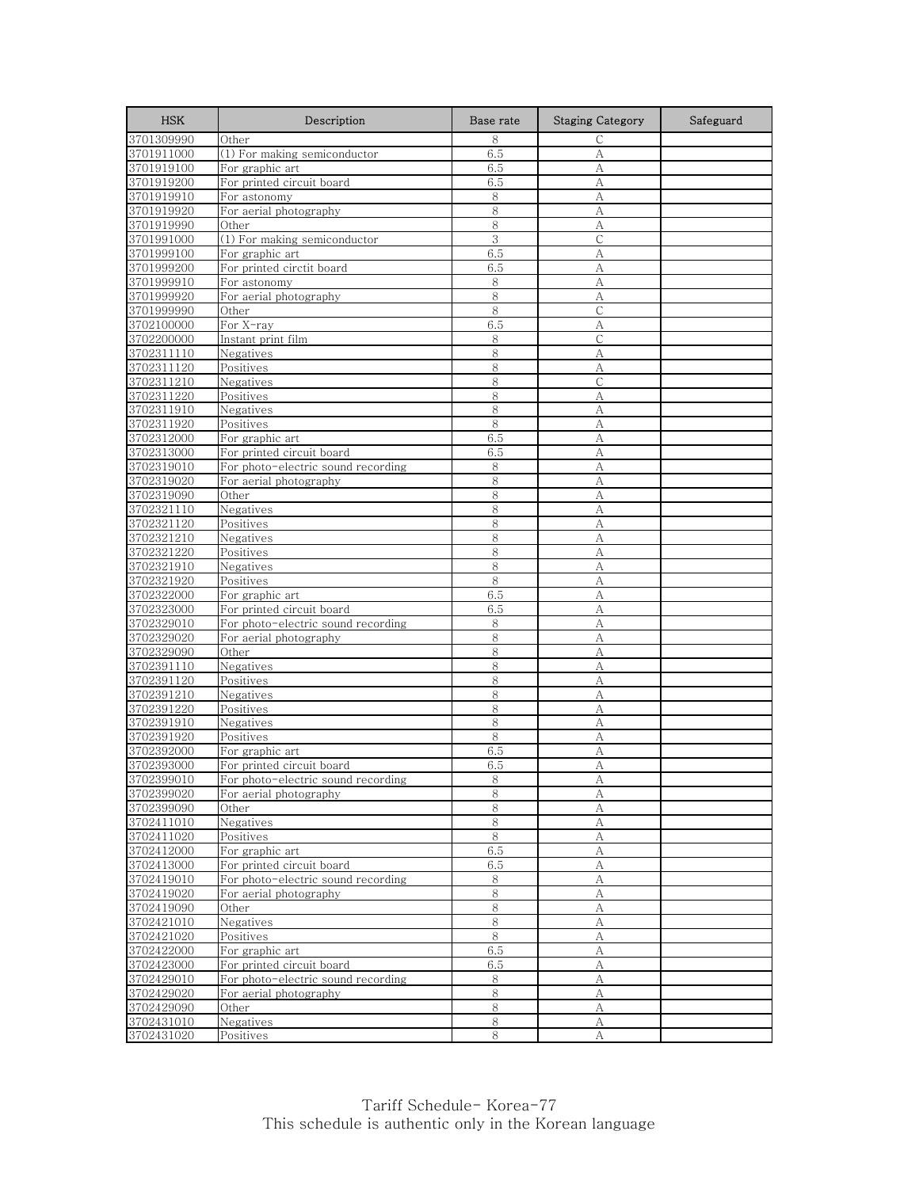| <b>HSK</b>               | Description                        | Base rate | <b>Staging Category</b> | Safeguard |
|--------------------------|------------------------------------|-----------|-------------------------|-----------|
| 3701309990               | Other                              | 8         | $\mathsf{C}$            |           |
| 3701911000               | (1) For making semiconductor       | 6.5       | A                       |           |
| 3701919100               | For graphic art                    | 6.5       | A                       |           |
| 3701919200               | For printed circuit board          | 6.5       | А                       |           |
| 3701919910               | For astonomy                       | 8         | А                       |           |
| 3701919920               | For aerial photography             | 8         | A                       |           |
| 3701919990               | Other                              | 8         | А                       |           |
| 3701991000               | (1) For making semiconductor       | 3         | $\mathcal{C}$           |           |
| 3701999100               | For graphic art                    | 6.5       | A                       |           |
| 3701999200               | For printed circtit board          | 6.5       | А                       |           |
| 3701999910               | For astonomy                       | 8         | А                       |           |
| 3701999920               | For aerial photography             | 8<br>8    | А                       |           |
| 3701999990<br>3702100000 | Other<br>For X-ray                 | 6.5       | $\mathsf{C}$<br>A       |           |
| 3702200000               | Instant print film                 | 8         | C                       |           |
| 3702311110               | Negatives                          | 8         | А                       |           |
| 3702311120               | Positives                          | 8         | А                       |           |
| 3702311210               | Negatives                          | 8         | $\mathsf{C}$            |           |
| 3702311220               | Positives                          | 8         | А                       |           |
| 3702311910               | Negatives                          | 8         | A                       |           |
| 3702311920               | Positives                          | 8         | A                       |           |
| 3702312000               | For graphic art                    | 6.5       | А                       |           |
| 3702313000               | For printed circuit board          | 6.5       | А                       |           |
| 3702319010               | For photo-electric sound recording | 8         | А                       |           |
| 3702319020               | For aerial photography             | 8         | А                       |           |
| 3702319090               | Other                              | 8         | A                       |           |
| 3702321110               | Negatives                          | 8         | А                       |           |
| 3702321120               | Positives                          | 8         | A                       |           |
| 3702321210               | Negatives                          | 8         | А                       |           |
| 3702321220               | Positives                          | 8         | A                       |           |
| 3702321910               | Negatives                          | 8         | А                       |           |
| 3702321920               | Positives                          | 8         | A                       |           |
| 3702322000               | For graphic art                    | 6.5       | A                       |           |
| 3702323000               | For printed circuit board          | 6.5       | А                       |           |
| 3702329010               | For photo-electric sound recording | 8         | A                       |           |
| 3702329020               | For aerial photography             | 8         | А                       |           |
| 3702329090               | Other                              | 8         | A                       |           |
| 3702391110<br>3702391120 | Negatives                          | 8<br>8    | А<br>A                  |           |
| 3702391210               | Positives<br>Negatives             | 8         | A                       |           |
| 3702391220               | Positives                          | 8         | А                       |           |
| 3702391910               | Negatives                          | 8         | А                       |           |
| 3702391920               | Positives                          | 8         | A                       |           |
| 3702392000               | For graphic art                    | 6.5       | А                       |           |
| 3702393000               | For printed circuit board          | 6.5       | A                       |           |
| 3702399010               | For photo-electric sound recording | 8         | Α                       |           |
| 3702399020               | For aerial photography             | 8         | А                       |           |
| 3702399090               | Other                              | 8         | А                       |           |
| 3702411010               | Negatives                          | 8         | $\boldsymbol{A}$        |           |
| 3702411020               | Positives                          | 8         | А                       |           |
| 3702412000               | For graphic art                    | 6.5       | А                       |           |
| 3702413000               | For printed circuit board          | 6.5       | А                       |           |
| 3702419010               | For photo-electric sound recording | 8         | А                       |           |
| 3702419020               | For aerial photography             | 8         | А                       |           |
| 3702419090               | Other                              | 8         | А                       |           |
| 3702421010               | Negatives                          | 8         | А                       |           |
| 3702421020               | Positives                          | 8         | А                       |           |
| 3702422000               | For graphic art                    | 6.5       | $\mathbf{A}$            |           |
| 3702423000               | For printed circuit board          | 6.5       | А                       |           |
| 3702429010               | For photo-electric sound recording | 8         | А                       |           |
| 3702429020               | For aerial photography             | 8         | А                       |           |
| 3702429090               | Other                              | 8         | А                       |           |
| 3702431010               | Negatives                          | 8         | А                       |           |
| 3702431020               | Positives                          | 8         | A                       |           |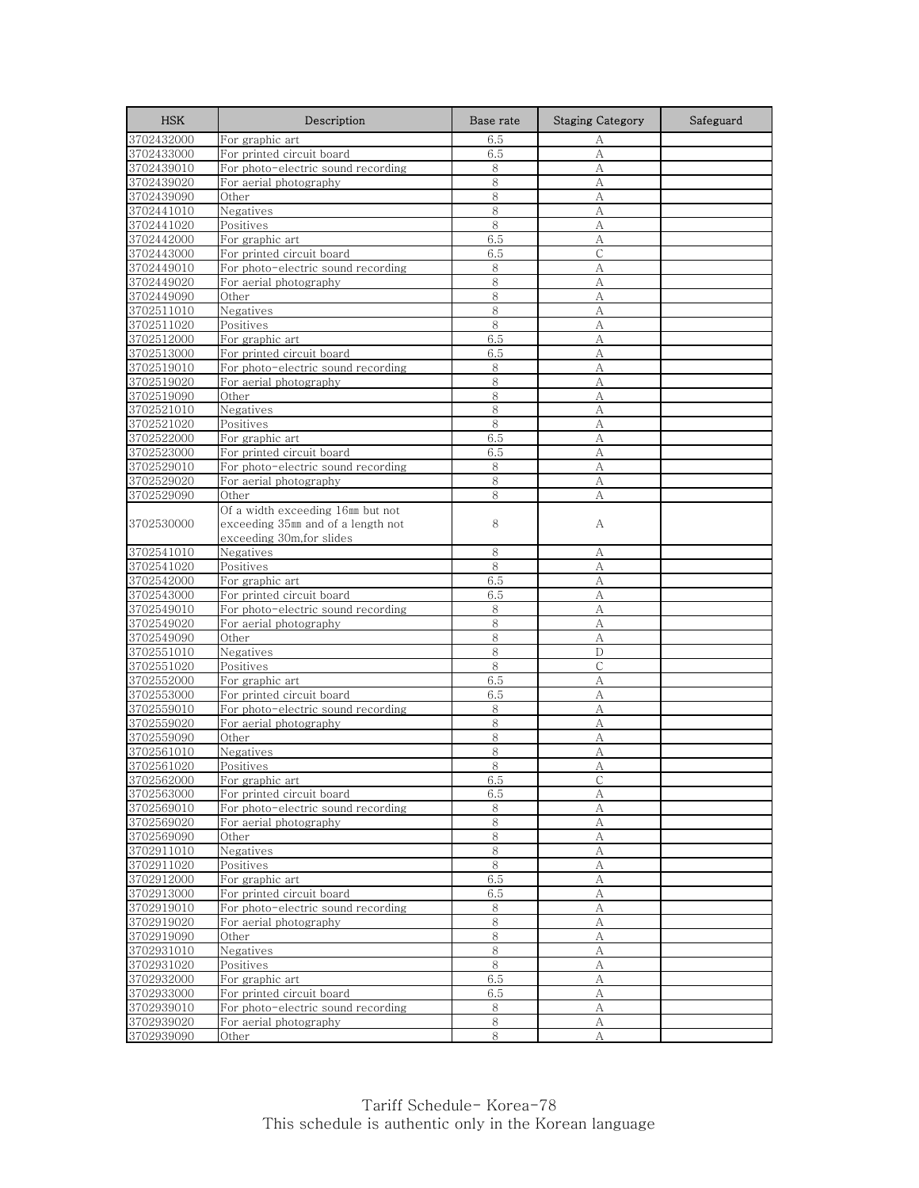| <b>HSK</b>               | Description                                                     | Base rate  | <b>Staging Category</b> | Safeguard |
|--------------------------|-----------------------------------------------------------------|------------|-------------------------|-----------|
| 3702432000               | For graphic art                                                 | 6.5        | А                       |           |
| 3702433000               | For printed circuit board                                       | 6.5        | А                       |           |
| 3702439010               | For photo-electric sound recording                              | 8          | А                       |           |
| 3702439020               | For aerial photography                                          | 8          | А                       |           |
| 3702439090               | Other                                                           | 8          | А                       |           |
| 3702441010               | Negatives                                                       | 8          | А                       |           |
| 3702441020               | Positives                                                       | 8          | А                       |           |
| 3702442000               | For graphic art                                                 | 6.5        | A                       |           |
| 3702443000               | For printed circuit board                                       | 6.5        | С                       |           |
| 3702449010               | For photo-electric sound recording                              | 8          | А                       |           |
| 3702449020               | For aerial photography                                          | 8          | А                       |           |
| 3702449090               | Other                                                           | 8<br>8     | А                       |           |
| 3702511010               | Negatives<br>Positives                                          |            | A                       |           |
| 3702511020               |                                                                 | 8          | A                       |           |
| 3702512000<br>3702513000 | For graphic art<br>For printed circuit board                    | 6.5<br>6.5 | А<br>А                  |           |
| 3702519010               | For photo-electric sound recording                              | 8          | А                       |           |
| 3702519020               | For aerial photography                                          | 8          | A                       |           |
| 3702519090               | Other                                                           | 8          | А                       |           |
| 3702521010               | Negatives                                                       | 8          | А                       |           |
| 3702521020               | Positives                                                       | 8          | А                       |           |
| 3702522000               | For graphic art                                                 | 6.5        | А                       |           |
| 3702523000               | For printed circuit board                                       | 6.5        | A                       |           |
| 3702529010               | For photo-electric sound recording                              | 8          | А                       |           |
| 3702529020               | For aerial photography                                          | 8          | A                       |           |
| 3702529090               | Other                                                           | 8          | А                       |           |
|                          | Of a width exceeding 16mm but not                               |            |                         |           |
| 3702530000               | exceeding 35mm and of a length not                              | 8          | А                       |           |
|                          | exceeding 30m, for slides                                       |            |                         |           |
| 3702541010               | Negatives                                                       | 8          | А                       |           |
| 3702541020               | Positives                                                       | 8          | А                       |           |
| 3702542000               | For graphic art                                                 | 6.5        | A                       |           |
| 3702543000               | For printed circuit board                                       | 6.5        | A                       |           |
| 3702549010               | For photo-electric sound recording                              | 8          | A                       |           |
| 3702549020               | For aerial photography                                          | 8          | А                       |           |
| 3702549090               | Other                                                           | 8          | А                       |           |
| 3702551010               | Negatives                                                       | 8          | D                       |           |
| 3702551020               | Positives                                                       | 8          | С                       |           |
| 3702552000               | For graphic art                                                 | 6.5        | A                       |           |
| 3702553000               | For printed circuit board                                       | 6.5        | A                       |           |
| 3702559010               | For photo-electric sound recording                              | $\,8\,$    | А                       |           |
| 3702559020               | For aerial photography                                          | 8          | А                       |           |
| 3702559090               | Other                                                           | 8          | А                       |           |
| 3702561010               | Negatives                                                       | 8          | А                       |           |
| 3702561020               | Positives                                                       | 8          | A                       |           |
| 3702562000<br>3702563000 | For graphic art                                                 | 6.5        |                         |           |
| 3702569010               | For printed circuit board<br>For photo-electric sound recording | 6.5<br>8   | А<br>А                  |           |
| 3702569020               | For aerial photography                                          | 8          | A                       |           |
| 3702569090               | Other                                                           | 8          | А                       |           |
| 3702911010               | Negatives                                                       | $\,8\,$    | $\boldsymbol{A}$        |           |
| 3702911020               | Positives                                                       | 8          | A                       |           |
| 3702912000               | For graphic art                                                 | 6.5        | A                       |           |
| 3702913000               | For printed circuit board                                       | 6.5        | А                       |           |
| 3702919010               | For photo-electric sound recording                              | 8          | А                       |           |
| 3702919020               | For aerial photography                                          | $\,8\,$    | A                       |           |
| 3702919090               | Other                                                           | $\,8\,$    | А                       |           |
| 3702931010               | Negatives                                                       | 8          | А                       |           |
| 3702931020               | Positives                                                       | 8          | А                       |           |
| 3702932000               | For graphic art                                                 | 6.5        | А                       |           |
| 3702933000               | For printed circuit board                                       | 6.5        | А                       |           |
| 3702939010               | For photo-electric sound recording                              | 8          | А                       |           |
| 3702939020               | For aerial photography                                          | $\,8\,$    | А                       |           |
| 3702939090               | Other                                                           | 8          | А                       |           |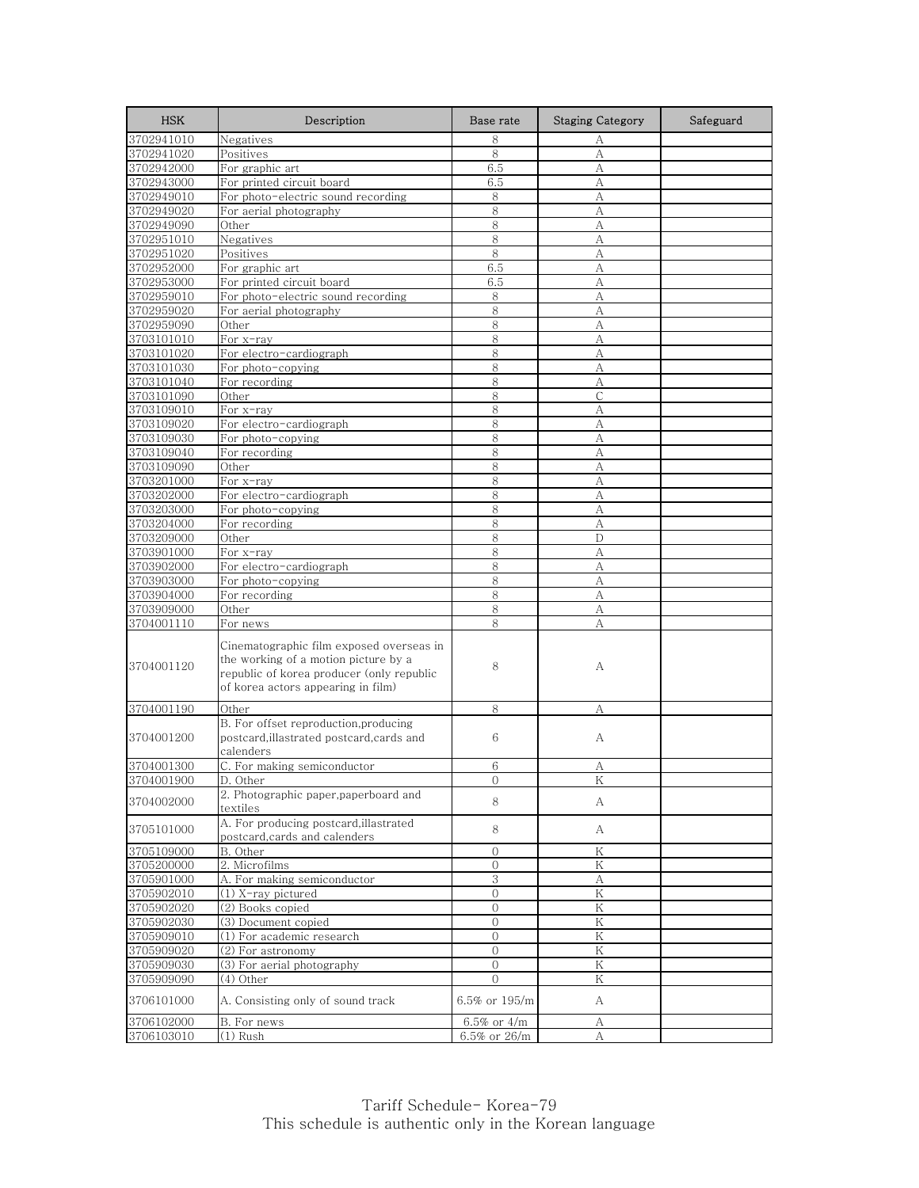| <b>HSK</b> | Description                                                                                                                                                         | Base rate      | <b>Staging Category</b> | Safeguard |
|------------|---------------------------------------------------------------------------------------------------------------------------------------------------------------------|----------------|-------------------------|-----------|
| 3702941010 | Negatives                                                                                                                                                           | 8              | А                       |           |
| 3702941020 | Positives                                                                                                                                                           | 8              | А                       |           |
| 3702942000 | For graphic art                                                                                                                                                     | 6.5            | A                       |           |
| 3702943000 | For printed circuit board                                                                                                                                           | 6.5            | А                       |           |
| 3702949010 | For photo-electric sound recording                                                                                                                                  | 8              | А                       |           |
| 3702949020 | For aerial photography                                                                                                                                              | 8              | A                       |           |
| 3702949090 | Other                                                                                                                                                               | 8              | A                       |           |
| 3702951010 | Negatives                                                                                                                                                           | 8              | А                       |           |
| 3702951020 | Positives                                                                                                                                                           | 8              | А                       |           |
| 3702952000 | For graphic art                                                                                                                                                     | 6.5            | А                       |           |
| 3702953000 | For printed circuit board                                                                                                                                           | 6.5            | А                       |           |
| 3702959010 | For photo-electric sound recording                                                                                                                                  | 8              | А                       |           |
| 3702959020 | For aerial photography                                                                                                                                              | 8              | А                       |           |
| 3702959090 | Other                                                                                                                                                               | 8              | A                       |           |
| 3703101010 | For x-ray                                                                                                                                                           | 8              | А                       |           |
| 3703101020 | For electro-cardiograph                                                                                                                                             | 8              | А                       |           |
| 3703101030 | For photo-copying                                                                                                                                                   | 8              | А                       |           |
| 3703101040 | For recording                                                                                                                                                       | 8              | A                       |           |
| 3703101090 | Other                                                                                                                                                               | 8              | C                       |           |
| 3703109010 | For x-ray                                                                                                                                                           | 8              | А                       |           |
| 3703109020 | For electro-cardiograph                                                                                                                                             | 8              | А                       |           |
| 3703109030 | For photo-copying                                                                                                                                                   | 8              | А                       |           |
| 3703109040 | For recording                                                                                                                                                       | 8              | A                       |           |
| 3703109090 | Other                                                                                                                                                               | 8              | А                       |           |
| 3703201000 | For x-ray                                                                                                                                                           | 8              | А                       |           |
| 3703202000 | For electro-cardiograph                                                                                                                                             | 8              | А                       |           |
| 3703203000 | For photo-copying                                                                                                                                                   | 8              | A                       |           |
| 3703204000 | For recording                                                                                                                                                       | 8              | A                       |           |
| 3703209000 | Other                                                                                                                                                               | 8              | D                       |           |
| 3703901000 | For x-ray                                                                                                                                                           | 8              | A                       |           |
| 3703902000 | For electro-cardiograph                                                                                                                                             | 8              | А                       |           |
| 3703903000 | For photo-copying                                                                                                                                                   | 8              | A                       |           |
| 3703904000 | For recording                                                                                                                                                       | 8              | А                       |           |
| 3703909000 | Other                                                                                                                                                               | 8              | А                       |           |
| 3704001110 | For news                                                                                                                                                            | 8              | A                       |           |
| 3704001120 | Cinematographic film exposed overseas in<br>the working of a motion picture by a<br>republic of korea producer (only republic<br>of korea actors appearing in film) | 8              | А                       |           |
| 3704001190 | Other                                                                                                                                                               | 8              | А                       |           |
| 3704001200 | B. For offset reproduction, producing<br>postcard, illastrated postcard, cards and<br>calenders                                                                     | 6              | А                       |           |
| 3704001300 | C. For making semiconductor                                                                                                                                         | 6              | А                       |           |
| 3704001900 | D. Other                                                                                                                                                            | O              | Κ                       |           |
| 3704002000 | 2. Photographic paper, paperboard and<br>textiles                                                                                                                   | 8              | А                       |           |
| 3705101000 | A. For producing postcard, illastrated<br>postcard, cards and calenders                                                                                             | 8              | A                       |           |
| 3705109000 | B. Other                                                                                                                                                            | $\overline{0}$ | K                       |           |
| 3705200000 | 2. Microfilms                                                                                                                                                       | $\mathbf{0}$   | Κ                       |           |
| 3705901000 | A. For making semiconductor                                                                                                                                         | 3              | А                       |           |
| 3705902010 | (1) X-ray pictured                                                                                                                                                  | 0              | K                       |           |
| 3705902020 | (2) Books copied                                                                                                                                                    | 0              | Κ                       |           |
| 3705902030 | (3) Document copied                                                                                                                                                 | 0              | K                       |           |
| 3705909010 | (1) For academic research                                                                                                                                           | $\mathbf{0}$   | K                       |           |
| 3705909020 | (2) For astronomy                                                                                                                                                   | $\mathbf{0}$   | K                       |           |
| 3705909030 | (3) For aerial photography                                                                                                                                          | $\mathbf{0}$   | Κ                       |           |
| 3705909090 | (4) Other                                                                                                                                                           | $\mathcal{O}$  | Κ                       |           |
| 3706101000 | A. Consisting only of sound track                                                                                                                                   | 6.5% or 195/m  | A                       |           |
| 3706102000 | B. For news                                                                                                                                                         | 6.5% or 4/m    | А                       |           |
| 3706103010 | $(1)$ Rush                                                                                                                                                          | 6.5% or 26/m   | А                       |           |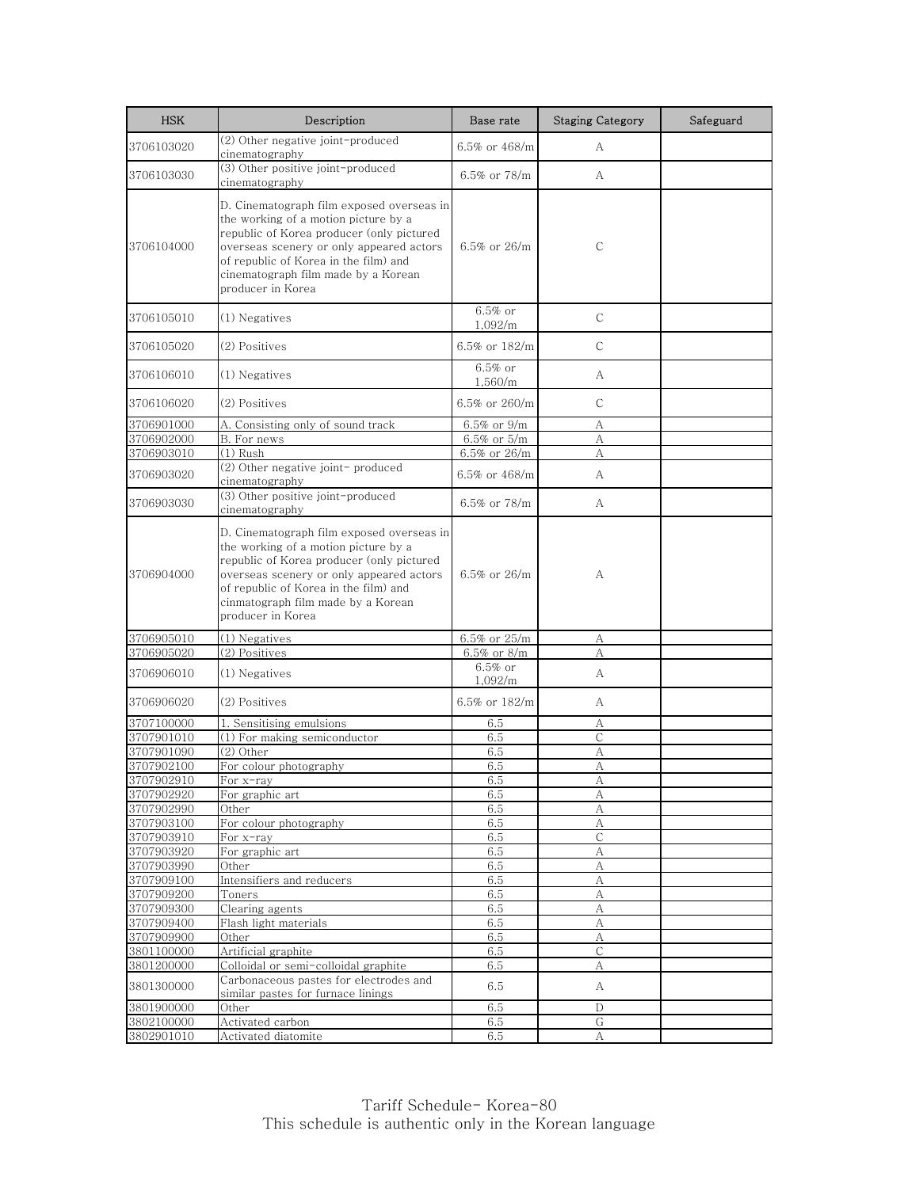| <b>HSK</b> | Description                                                                                                                                                                                                                                                                     | Base rate             | <b>Staging Category</b>                         | Safeguard |
|------------|---------------------------------------------------------------------------------------------------------------------------------------------------------------------------------------------------------------------------------------------------------------------------------|-----------------------|-------------------------------------------------|-----------|
| 3706103020 | (2) Other negative joint-produced<br>cinematography                                                                                                                                                                                                                             | 6.5% or 468/m         | А                                               |           |
| 3706103030 | (3) Other positive joint-produced<br>cinematography                                                                                                                                                                                                                             | 6.5% or 78/m          | A                                               |           |
| 3706104000 | D. Cinematograph film exposed overseas in<br>the working of a motion picture by a<br>republic of Korea producer (only pictured<br>overseas scenery or only appeared actors<br>of republic of Korea in the film) and<br>cinematograph film made by a Korean<br>producer in Korea | 6.5% or 26/m          | C                                               |           |
| 3706105010 | (1) Negatives                                                                                                                                                                                                                                                                   | $6.5\%$ or<br>1,092/m | C                                               |           |
| 3706105020 | (2) Positives                                                                                                                                                                                                                                                                   | 6.5% or 182/m         | $\mathsf{C}$                                    |           |
| 3706106010 | (1) Negatives                                                                                                                                                                                                                                                                   | $6.5\%$ or<br>1,560/m | А                                               |           |
| 3706106020 | (2) Positives                                                                                                                                                                                                                                                                   | 6.5% or $260/m$       | C                                               |           |
| 3706901000 | A. Consisting only of sound track                                                                                                                                                                                                                                               | $6.5\%$ or $9/m$      | А                                               |           |
| 3706902000 | B. For news                                                                                                                                                                                                                                                                     | 6.5% or 5/m           | А                                               |           |
| 3706903010 | $(1)$ Rush                                                                                                                                                                                                                                                                      | $6.5\%$ or 26/m       | А                                               |           |
| 3706903020 | (2) Other negative joint-produced<br>cinematography                                                                                                                                                                                                                             | 6.5% or $468/m$       | A                                               |           |
| 3706903030 | (3) Other positive joint-produced<br>cinematography                                                                                                                                                                                                                             | 6.5% or $78/m$        | A                                               |           |
| 3706904000 | D. Cinematograph film exposed overseas in<br>the working of a motion picture by a<br>republic of Korea producer (only pictured<br>overseas scenery or only appeared actors<br>of republic of Korea in the film) and<br>cinmatograph film made by a Korean<br>producer in Korea  | 6.5% or $26/m$        | А                                               |           |
| 3706905010 | (1) Negatives                                                                                                                                                                                                                                                                   | 6.5% or 25/m          | А                                               |           |
| 3706905020 | (2) Positives                                                                                                                                                                                                                                                                   | 6.5% or 8/m           | А                                               |           |
| 3706906010 | (1) Negatives                                                                                                                                                                                                                                                                   | $6.5\%$ or<br>1,092/m | A                                               |           |
| 3706906020 | (2) Positives                                                                                                                                                                                                                                                                   | 6.5% or 182/m         | A                                               |           |
| 3707100000 | 1.<br>Sensitising emulsions                                                                                                                                                                                                                                                     | 6.5                   | А                                               |           |
| 3707901010 | (1) For making semiconductor                                                                                                                                                                                                                                                    | 6.5                   | С                                               |           |
| 3707901090 | (2) Other                                                                                                                                                                                                                                                                       | 6.5                   | A                                               |           |
| 3707902100 | For colour photography                                                                                                                                                                                                                                                          | 6.5                   | A                                               |           |
| 3707902910 | For x-ray                                                                                                                                                                                                                                                                       | 6.5                   | $\overline{A}$                                  |           |
| 3707902920 | For graphic art                                                                                                                                                                                                                                                                 | 6.5                   | А                                               |           |
| 3707902990 | Other                                                                                                                                                                                                                                                                           | 6.5                   | А                                               |           |
| 3707903100 | For colour photography                                                                                                                                                                                                                                                          | 6.5                   | $\mathbf{A}% _{T}=\mathbf{A}_{T}\mathbf{B}_{T}$ |           |
| 3707903910 | For x-ray                                                                                                                                                                                                                                                                       | 6.5                   | $\mathsf{C}$                                    |           |
| 3707903920 | For graphic art                                                                                                                                                                                                                                                                 | 6.5                   | А                                               |           |
| 3707903990 | Other                                                                                                                                                                                                                                                                           | 6.5                   | А                                               |           |
| 3707909100 | Intensifiers and reducers                                                                                                                                                                                                                                                       | 6.5                   | А                                               |           |
| 3707909200 | Toners                                                                                                                                                                                                                                                                          | 6.5                   | $\mathbf{A}$                                    |           |
| 3707909300 | Clearing agents                                                                                                                                                                                                                                                                 | 6.5                   | А                                               |           |
| 3707909400 | Flash light materials                                                                                                                                                                                                                                                           | 6.5                   | A                                               |           |
| 3707909900 | Other                                                                                                                                                                                                                                                                           | 6.5                   | А                                               |           |
| 3801100000 | Artificial graphite                                                                                                                                                                                                                                                             | 6.5                   | C                                               |           |
| 3801200000 | Colloidal or semi-colloidal graphite                                                                                                                                                                                                                                            | 6.5                   | А                                               |           |
| 3801300000 | Carbonaceous pastes for electrodes and<br>similar pastes for furnace linings                                                                                                                                                                                                    | 6.5                   | А                                               |           |
| 3801900000 | Other                                                                                                                                                                                                                                                                           | 6.5                   | D                                               |           |
| 3802100000 | Activated carbon                                                                                                                                                                                                                                                                | 6.5                   | G                                               |           |
| 3802901010 | Activated diatomite                                                                                                                                                                                                                                                             | 6.5                   | А                                               |           |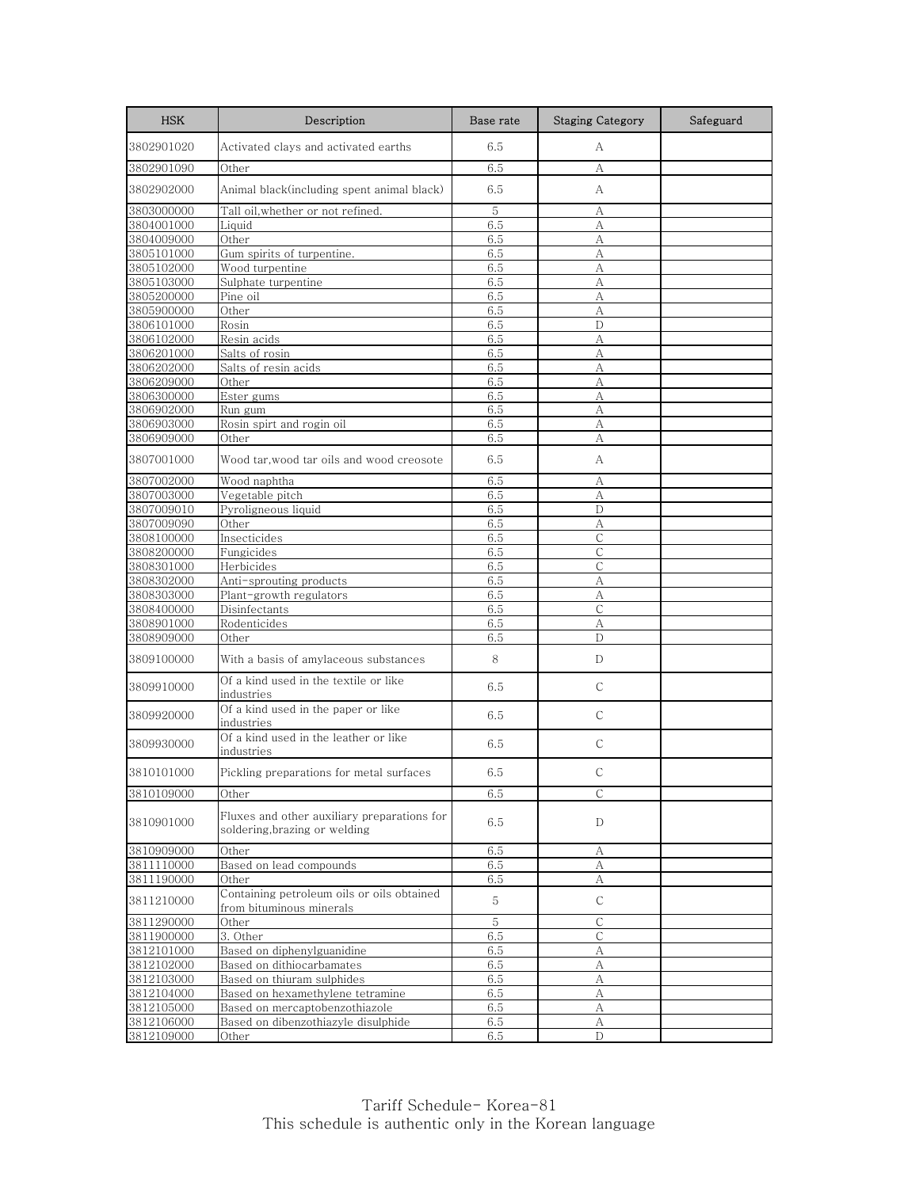| <b>HSK</b>               | Description                                                                 | Base rate  | <b>Staging Category</b> | Safeguard |
|--------------------------|-----------------------------------------------------------------------------|------------|-------------------------|-----------|
| 3802901020               | Activated clays and activated earths                                        | 6.5        | А                       |           |
| 3802901090               | Other                                                                       | 6.5        | А                       |           |
| 3802902000               | Animal black(including spent animal black)                                  | 6.5        | А                       |           |
| 3803000000               | Tall oil, whether or not refined.                                           | 5          | А                       |           |
| 3804001000               | Liquid                                                                      | 6.5        | А                       |           |
| 3804009000               | Other                                                                       | 6.5        | A                       |           |
| 3805101000               | Gum spirits of turpentine.                                                  | 6.5        | $\mathbf{A}$            |           |
| 3805102000               | Wood turpentine                                                             | 6.5        | A                       |           |
| 3805103000               | Sulphate turpentine                                                         | 6.5        | A                       |           |
| 3805200000               | Pine oil                                                                    | 6.5        | А                       |           |
| 3805900000               | Other                                                                       | 6.5        | A                       |           |
| 3806101000               | Rosin                                                                       | 6.5        | D                       |           |
| 3806102000               | Resin acids                                                                 | 6.5        | А                       |           |
| 3806201000               | Salts of rosin                                                              | 6.5        | А                       |           |
| 3806202000               | Salts of resin acids                                                        | 6.5        | А                       |           |
| 3806209000               | Other                                                                       | 6.5        | A                       |           |
| 3806300000               | Ester gums                                                                  | 6.5        | A                       |           |
| 3806902000               | Run gum                                                                     | 6.5        | А                       |           |
| 3806903000               | Rosin spirt and rogin oil                                                   | 6.5        | A                       |           |
| 3806909000               | Other                                                                       | 6.5        | А                       |           |
| 3807001000               | Wood tar, wood tar oils and wood creosote                                   | 6.5        | А                       |           |
| 3807002000               | Wood naphtha                                                                | 6.5        | А                       |           |
| 3807003000               | Vegetable pitch                                                             | 6.5        | А                       |           |
| 3807009010               | Pyroligneous liquid                                                         | 6.5        | D                       |           |
| 3807009090               | Other                                                                       | 6.5        | А                       |           |
| 3808100000               | Insecticides                                                                | 6.5        | C                       |           |
| 3808200000               | Fungicides                                                                  | 6.5        | $\mathsf{C}$            |           |
| 3808301000               | Herbicides                                                                  | 6.5<br>6.5 | С<br>A                  |           |
| 3808302000<br>3808303000 | Anti-sprouting products                                                     | 6.5        | A                       |           |
| 3808400000               | Plant-growth regulators<br>Disinfectants                                    | 6.5        | С                       |           |
| 3808901000               | Rodenticides                                                                | 6.5        | A                       |           |
| 3808909000               | Other                                                                       | 6.5        | D                       |           |
|                          |                                                                             |            |                         |           |
| 3809100000               | With a basis of amylaceous substances                                       | 8          | D                       |           |
| 3809910000               | Of a kind used in the textile or like<br>industries                         | 6.5        | $\mathsf{C}$            |           |
| 3809920000               | Of a kind used in the paper or like<br>industries                           | 6.5        | $\mathsf{C}$            |           |
| 3809930000               | Of a kind used in the leather or like<br>industries                         | 6.5        | С                       |           |
| 3810101000               | Pickling preparations for metal surfaces                                    | 6.5        | С                       |           |
| 3810109000               | Other                                                                       | 6.5        | $\mathsf C$             |           |
| 3810901000               | Fluxes and other auxiliary preparations for<br>soldering.brazing or welding | 6.5        | D                       |           |
| 3810909000               | Other                                                                       | 6.5        | А                       |           |
| 3811110000               | Based on lead compounds                                                     | 6.5        | А                       |           |
| 3811190000               | Other                                                                       | 6.5        | А                       |           |
| 3811210000               | Containing petroleum oils or oils obtained<br>from bituminous minerals      | 5          | $\mathsf C$             |           |
| 3811290000               | Other                                                                       | 5          | $\mathsf C$             |           |
| 3811900000               | 3. Other                                                                    | 6.5        | С                       |           |
| 3812101000               | Based on diphenylguanidine                                                  | 6.5        | А                       |           |
| 3812102000               | Based on dithiocarbamates                                                   | 6.5        | A                       |           |
| 3812103000               | Based on thiuram sulphides                                                  | 6.5        | А                       |           |
| 3812104000               | Based on hexamethylene tetramine                                            | 6.5        | А                       |           |
| 3812105000               | Based on mercaptobenzothiazole                                              | 6.5        | А                       |           |
| 3812106000               | Based on dibenzothiazyle disulphide                                         | 6.5        | А                       |           |
| 3812109000               | Other                                                                       | 6.5        | D                       |           |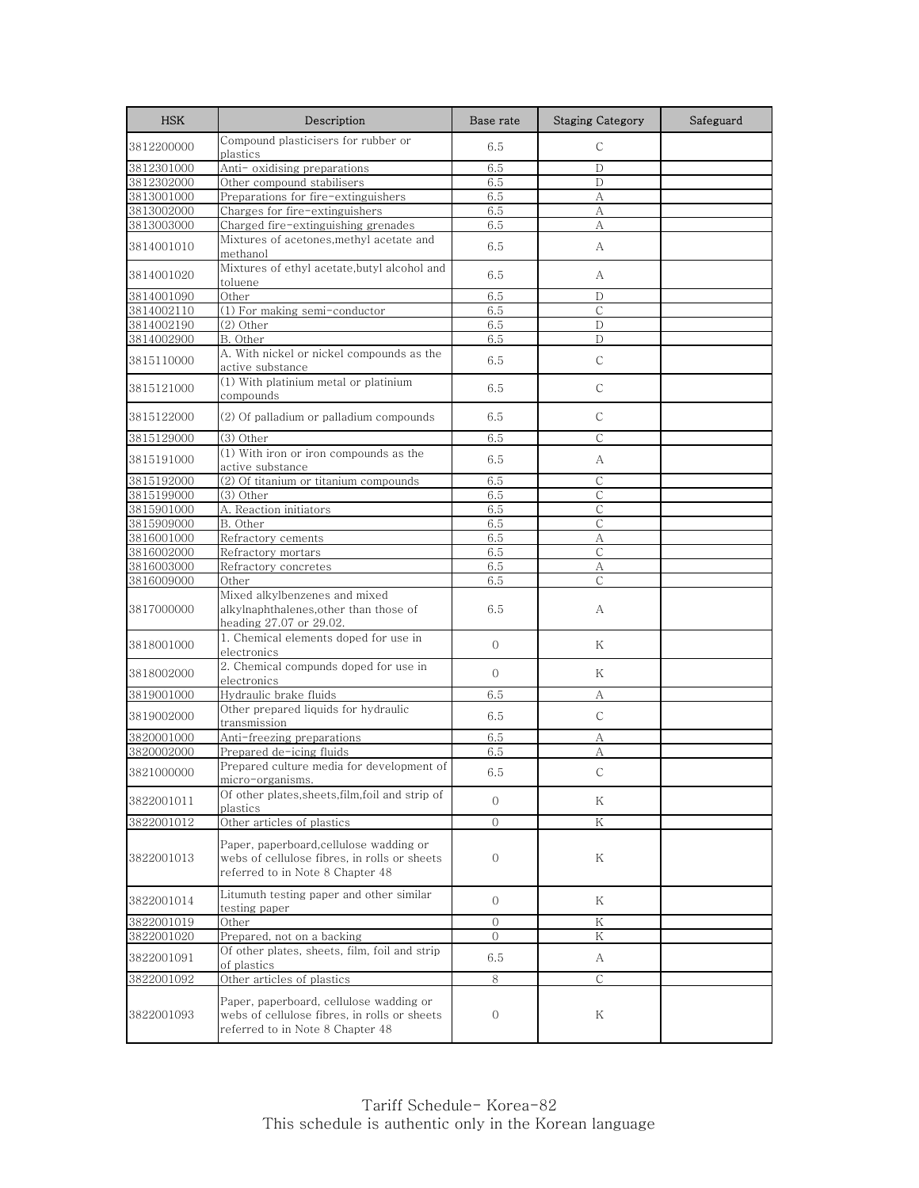| <b>HSK</b>               | Description                                                                                                                 | Base rate      | <b>Staging Category</b> | Safeguard |
|--------------------------|-----------------------------------------------------------------------------------------------------------------------------|----------------|-------------------------|-----------|
| 3812200000               | Compound plasticisers for rubber or<br>plastics                                                                             | 6.5            | $\mathsf{C}$            |           |
| 3812301000               | Anti- oxidising preparations                                                                                                | 6.5            | $\mathbf D$             |           |
| 3812302000               | Other compound stabilisers                                                                                                  | 6.5            | D                       |           |
| 3813001000               | Preparations for fire-extinguishers                                                                                         | 6.5            | А                       |           |
| 3813002000               | Charges for fire-extinguishers                                                                                              | 6.5            | А                       |           |
| 3813003000               | Charged fire-extinguishing grenades                                                                                         | 6.5            | А                       |           |
| 3814001010               | Mixtures of acetones, methyl acetate and<br>methanol                                                                        | 6.5            | А                       |           |
| 3814001020               | Mixtures of ethyl acetate, butyl alcohol and<br>toluene                                                                     | 6.5            | А                       |           |
| 3814001090               | Other                                                                                                                       | 6.5            | D                       |           |
| 3814002110               | (1) For making semi-conductor                                                                                               | 6.5            | $\mathcal{C}$           |           |
| 3814002190               | (2) Other                                                                                                                   | 6.5            | D                       |           |
| 3814002900               | B. Other                                                                                                                    | 6.5            | $\mathbf D$             |           |
| 3815110000               | A. With nickel or nickel compounds as the<br>active substance                                                               | 6.5            | $\mathsf{C}$            |           |
| 3815121000               | (1) With platinium metal or platinium<br>compounds                                                                          | 6.5            | С                       |           |
| 3815122000               | (2) Of palladium or palladium compounds                                                                                     | 6.5            | $\mathsf{C}$            |           |
| 3815129000               | (3) Other                                                                                                                   | 6.5            | $\mathsf{C}$            |           |
| 3815191000               | $(1)$ With iron or iron compounds as the<br>active substance                                                                | 6.5            | А                       |           |
| 3815192000               | (2) Of titanium or titanium compounds                                                                                       | 6.5            | $\mathsf{C}$            |           |
| 3815199000               | (3) Other                                                                                                                   | 6.5            | $\mathsf{C}$            |           |
| 3815901000               | A. Reaction initiators                                                                                                      | 6.5            | С                       |           |
| 3815909000               | B. Other                                                                                                                    | 6.5            | $\mathsf{C}$            |           |
| 3816001000               | Refractory cements                                                                                                          |                |                         |           |
|                          |                                                                                                                             | 6.5<br>6.5     | А<br>$\mathsf{C}$       |           |
| 3816002000<br>3816003000 | Refractory mortars<br>Refractory concretes                                                                                  | 6.5            | А                       |           |
| 3816009000               | Other                                                                                                                       | 6.5            | C                       |           |
| 3817000000               | Mixed alkylbenzenes and mixed<br>alkylnaphthalenes, other than those of<br>heading 27.07 or 29.02.                          | 6.5            | A                       |           |
| 3818001000               | 1. Chemical elements doped for use in<br>electronics                                                                        | $\overline{0}$ | Κ                       |           |
| 3818002000               | 2. Chemical compunds doped for use in<br>electronics                                                                        | $\Omega$       | Κ                       |           |
| 3819001000               | Hydraulic brake fluids                                                                                                      | 6.5            | А                       |           |
| 3819002000               | Other prepared liquids for hydraulic<br>transmission                                                                        | 6.5            | $\mathsf{C}$            |           |
| 3820001000               | Anti-freezing preparations                                                                                                  | 6.5            | А                       |           |
| 3820002000               | Prepared de-icing fluids                                                                                                    | 6.5            | A                       |           |
| 3821000000               | Prepared culture media for development of<br>micro-organisms.                                                               | 6.5            | $\mathsf{C}$            |           |
| 3822001011               | Of other plates, sheets, film, foil and strip of<br>plastics                                                                | $\mathbf{0}$   | Κ                       |           |
| 3822001012               | Other articles of plastics                                                                                                  | $\overline{0}$ | ${\rm K}$               |           |
| 3822001013               | Paper, paperboard,cellulose wadding or<br>webs of cellulose fibres, in rolls or sheets<br>referred to in Note 8 Chapter 48  | $\overline{0}$ | Κ                       |           |
| 3822001014               | Litumuth testing paper and other similar<br>testing paper                                                                   | $\mathbf{0}$   | Κ                       |           |
| 3822001019               | Other                                                                                                                       | $\Omega$       | K                       |           |
| 3822001020               | Prepared, not on a backing                                                                                                  | $\Omega$       | Κ                       |           |
| 3822001091               | Of other plates, sheets, film, foil and strip<br>of plastics                                                                | 6.5            | A                       |           |
| 3822001092               | Other articles of plastics                                                                                                  | 8              | С                       |           |
| 3822001093               | Paper, paperboard, cellulose wadding or<br>webs of cellulose fibres, in rolls or sheets<br>referred to in Note 8 Chapter 48 | 0              | Κ                       |           |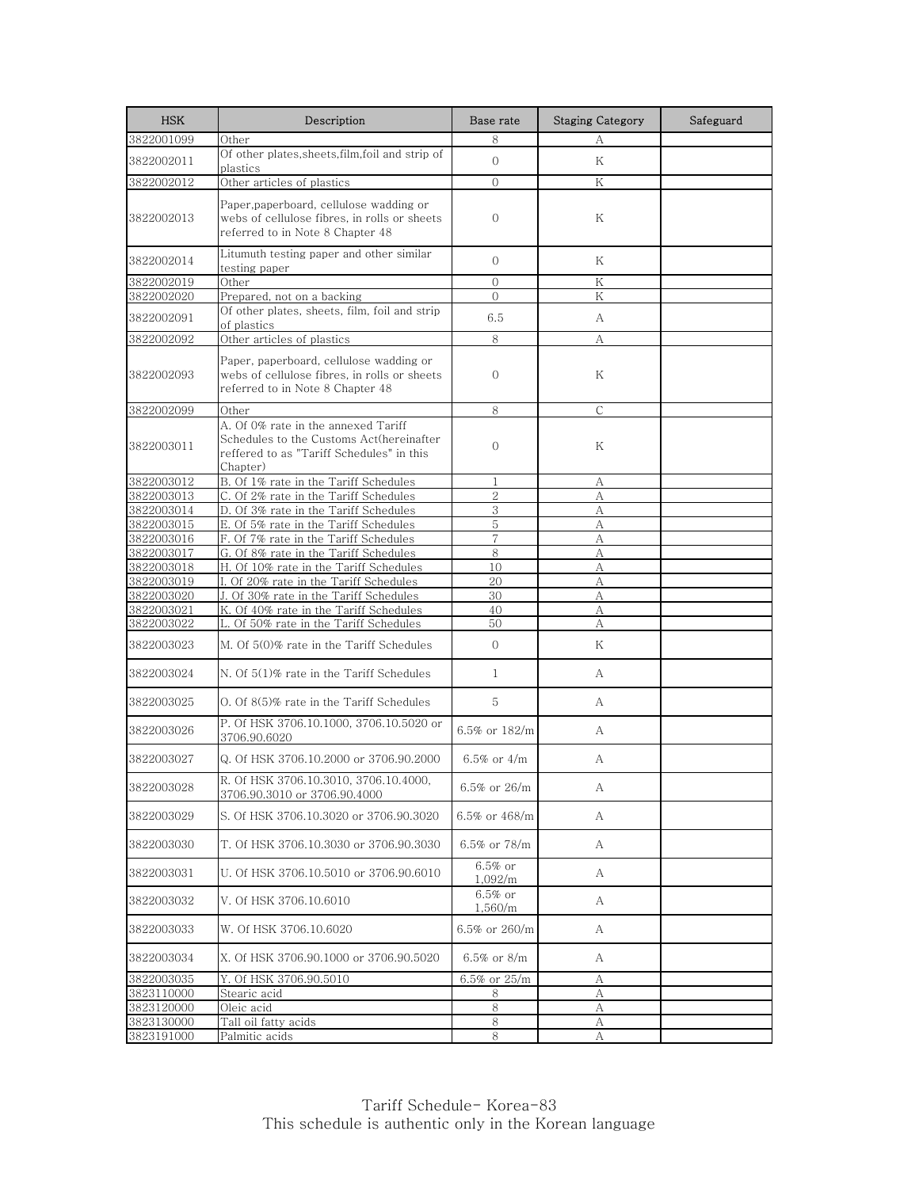| <b>HSK</b>               | Description                                                                                                                              | Base rate             | <b>Staging Category</b> | Safeguard |
|--------------------------|------------------------------------------------------------------------------------------------------------------------------------------|-----------------------|-------------------------|-----------|
| 3822001099               | Other                                                                                                                                    | 8                     | А                       |           |
| 3822002011               | Of other plates, sheets, film, foil and strip of<br>plastics                                                                             | $\Omega$              | K                       |           |
| 3822002012               | Other articles of plastics                                                                                                               | $\Omega$              | Κ                       |           |
| 3822002013               | Paper,paperboard, cellulose wadding or<br>webs of cellulose fibres, in rolls or sheets<br>referred to in Note 8 Chapter 48               | $\mathbf{0}$          | Κ                       |           |
| 3822002014               | Litumuth testing paper and other similar<br>testing paper                                                                                | $\Omega$              | Κ                       |           |
| 3822002019               | Other                                                                                                                                    | $\mathbf{0}$          | Κ                       |           |
| 3822002020               | Prepared, not on a backing                                                                                                               | $\Omega$              | Κ                       |           |
| 3822002091               | Of other plates, sheets, film, foil and strip<br>of plastics                                                                             | 6.5                   | A                       |           |
| 3822002092               | Other articles of plastics                                                                                                               | 8                     | A                       |           |
| 3822002093               | Paper, paperboard, cellulose wadding or<br>webs of cellulose fibres, in rolls or sheets<br>referred to in Note 8 Chapter 48              | $\overline{0}$        | Κ                       |           |
| 3822002099               | Other                                                                                                                                    | 8                     | $\mathsf{C}$            |           |
| 3822003011               | A. Of 0% rate in the annexed Tariff<br>Schedules to the Customs Act(hereinafter<br>reffered to as "Tariff Schedules" in this<br>Chapter) | $\mathbf{0}$          | Κ                       |           |
| 3822003012               | B. Of 1% rate in the Tariff Schedules                                                                                                    | 1                     | А                       |           |
| 3822003013               | C. Of 2% rate in the Tariff Schedules                                                                                                    | $\overline{2}$        | А                       |           |
| 3822003014               | D. Of 3% rate in the Tariff Schedules                                                                                                    | 3                     | A                       |           |
| 3822003015               | E. Of 5% rate in the Tariff Schedules                                                                                                    | 5                     | А                       |           |
| 3822003016               | F. Of 7% rate in the Tariff Schedules                                                                                                    | 7                     | А                       |           |
| 3822003017<br>3822003018 | G. Of 8% rate in the Tariff Schedules<br>H. Of 10% rate in the Tariff Schedules                                                          | 8<br>10               | А<br>А                  |           |
| 3822003019               | I. Of 20% rate in the Tariff Schedules                                                                                                   | 20                    | А                       |           |
| 3822003020               | J. Of 30% rate in the Tariff Schedules                                                                                                   | 30                    | A                       |           |
| 3822003021               | K. Of 40% rate in the Tariff Schedules                                                                                                   | 40                    | А                       |           |
| 3822003022               | Of 50% rate in the Tariff Schedules                                                                                                      | 50                    | А                       |           |
| 3822003023               | M. Of 5(0)% rate in the Tariff Schedules                                                                                                 | $\Omega$              | Κ                       |           |
| 3822003024               | N. Of 5(1)% rate in the Tariff Schedules                                                                                                 | 1                     | А                       |           |
| 3822003025               | O. Of 8(5)% rate in the Tariff Schedules                                                                                                 | 5                     | A                       |           |
| 3822003026               | P. Of HSK 3706.10.1000, 3706.10.5020 or<br>3706.90.6020                                                                                  | 6.5% or 182/m         | A                       |           |
| 3822003027               | Q. Of HSK 3706.10.2000 or 3706.90.2000                                                                                                   | 6.5% or $4/m$         | А                       |           |
| 3822003028               | R. Of HSK 3706.10.3010, 3706.10.4000,<br>3706.90.3010 or 3706.90.4000                                                                    | 6.5% or 26/m          | А                       |           |
| 3822003029               | S. Of HSK 3706.10.3020 or 3706.90.3020                                                                                                   | 6.5% or 468/m         | А                       |           |
| 3822003030               | T. Of HSK 3706.10.3030 or 3706.90.3030                                                                                                   | 6.5% or 78/m          | А                       |           |
| 3822003031               | U. Of HSK 3706.10.5010 or 3706.90.6010                                                                                                   | $6.5\%$ or<br>1,092/m | А                       |           |
| 3822003032               | V. Of HSK 3706.10.6010                                                                                                                   | $6.5\%$ or<br>1,560/m | А                       |           |
| 3822003033               | W. Of HSK 3706.10.6020                                                                                                                   | 6.5% or 260/m         | А                       |           |
| 3822003034               | X. Of HSK 3706.90.1000 or 3706.90.5020                                                                                                   | 6.5% or 8/m           | А                       |           |
| 3822003035               | Y. Of HSK 3706.90.5010                                                                                                                   | 6.5% or $25/m$        | А                       |           |
| 3823110000               | Stearic acid                                                                                                                             | 8                     | А                       |           |
| 3823120000<br>3823130000 | Oleic acid<br>Tall oil fatty acids                                                                                                       | 8<br>8                | А<br>А                  |           |
| 3823191000               | Palmitic acids                                                                                                                           | 8                     | A                       |           |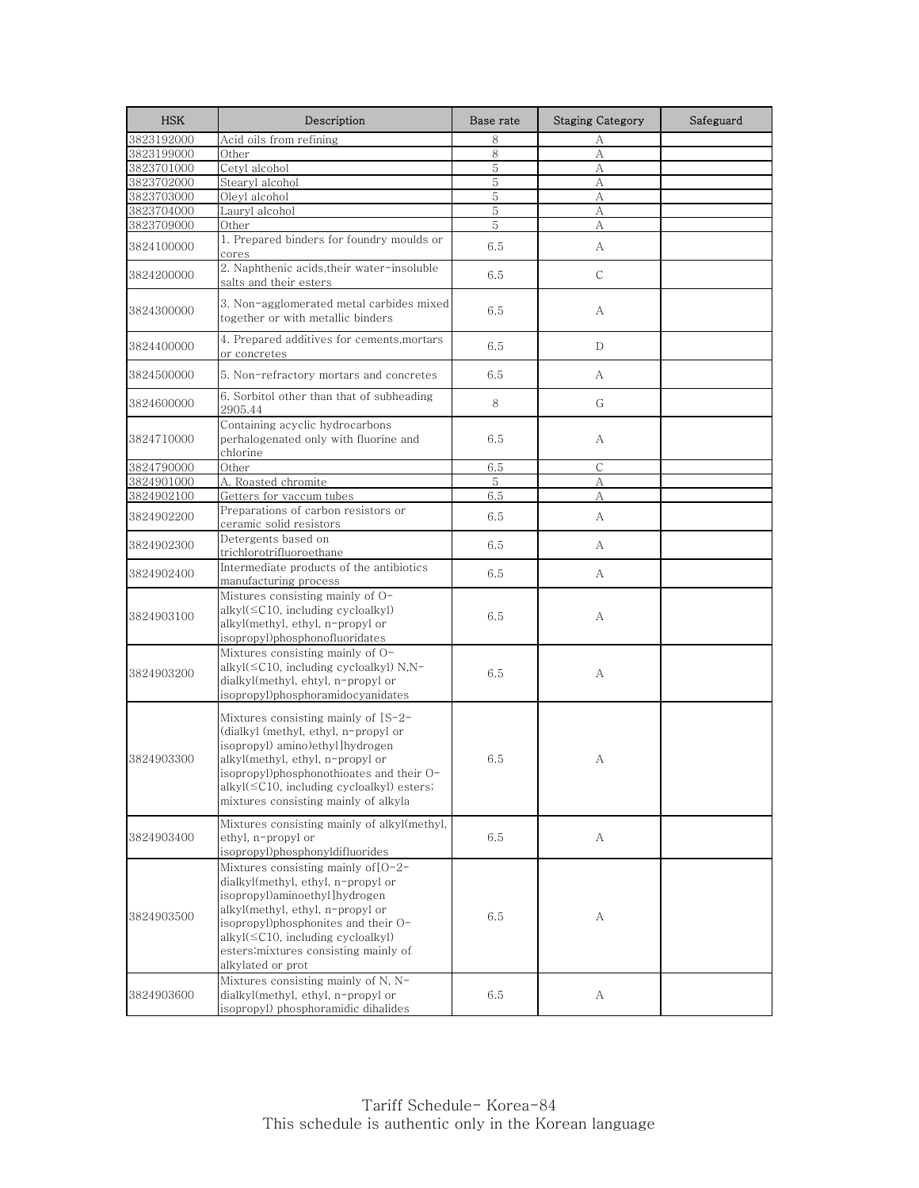| <b>HSK</b> | Description                                                                                                                                                                                                                                                                                | Base rate | <b>Staging Category</b> | Safeguard |
|------------|--------------------------------------------------------------------------------------------------------------------------------------------------------------------------------------------------------------------------------------------------------------------------------------------|-----------|-------------------------|-----------|
| 3823192000 | Acid oils from refining                                                                                                                                                                                                                                                                    | 8         | А                       |           |
| 3823199000 | Other                                                                                                                                                                                                                                                                                      | $8\,$     | $\boldsymbol{A}$        |           |
| 3823701000 | Cetyl alcohol                                                                                                                                                                                                                                                                              | 5         | А                       |           |
| 3823702000 | Stearyl alcohol                                                                                                                                                                                                                                                                            | 5         | A                       |           |
| 3823703000 | Oleyl alcohol                                                                                                                                                                                                                                                                              | 5         | А                       |           |
| 3823704000 | Lauryl alcohol                                                                                                                                                                                                                                                                             | 5         | А                       |           |
| 3823709000 | Other                                                                                                                                                                                                                                                                                      | 5         | A                       |           |
| 3824100000 | 1. Prepared binders for foundry moulds or<br>cores                                                                                                                                                                                                                                         | 6.5       | А                       |           |
| 3824200000 | 2. Naphthenic acids, their water-insoluble<br>salts and their esters                                                                                                                                                                                                                       | 6.5       | $\mathsf C$             |           |
| 3824300000 | 3. Non-agglomerated metal carbides mixed<br>together or with metallic binders                                                                                                                                                                                                              | 6.5       | A                       |           |
| 3824400000 | 4. Prepared additives for cements, mortars<br>or concretes                                                                                                                                                                                                                                 | 6.5       | $\mathbb{D}$            |           |
| 3824500000 | 5. Non-refractory mortars and concretes                                                                                                                                                                                                                                                    | 6.5       | А                       |           |
| 3824600000 | 6. Sorbitol other than that of subheading<br>2905.44                                                                                                                                                                                                                                       | 8         | G                       |           |
| 3824710000 | Containing acyclic hydrocarbons<br>perhalogenated only with fluorine and<br>chlorine                                                                                                                                                                                                       | 6.5       | А                       |           |
| 3824790000 | Other                                                                                                                                                                                                                                                                                      | 6.5       | C                       |           |
| 3824901000 | A. Roasted chromite                                                                                                                                                                                                                                                                        | 5         | А                       |           |
| 3824902100 | Getters for vaccum tubes                                                                                                                                                                                                                                                                   | 6.5       | А                       |           |
| 3824902200 | Preparations of carbon resistors or<br>ceramic solid resistors                                                                                                                                                                                                                             | 6.5       | A                       |           |
| 3824902300 | Detergents based on<br>trichlorotrifluoroethane                                                                                                                                                                                                                                            | 6.5       | А                       |           |
| 3824902400 | Intermediate products of the antibiotics<br>manufacturing process                                                                                                                                                                                                                          | 6.5       | А                       |           |
| 3824903100 | Mistures consisting mainly of O-<br>$alkyl(\leq C10$ , including cycloalkyl)<br>alkyl(methyl, ethyl, n-propyl or<br>isopropyl)phosphonofluoridates                                                                                                                                         | 6.5       | А                       |           |
| 3824903200 | Mixtures consisting mainly of O-<br>alkyl $(\leq C10$ , including cycloalkyl) N,N-<br>dialkyl(methyl, ehtyl, n-propyl or<br>isopropyl)phosphoramidocyanidates                                                                                                                              | 6.5       | А                       |           |
| 3824903300 | Mixtures consisting mainly of $[S-2-$<br>(dialkyl (methyl, ethyl, n-propyl or<br>isopropyl) amino)ethyl]hydrogen<br>alkyl(methyl, ethyl, n-propyl or<br>isopropyl)phosphonothioates and their O-<br>alkyl(≤C10, including cycloalkyl) esters;<br>mixtures consisting mainly of alkyla      | 6.5       | А                       |           |
| 3824903400 | Mixtures consisting mainly of alkyl(methyl,<br>ethyl, n-propyl or<br>isopropyl)phosphonyldifluorides                                                                                                                                                                                       | 6.5       | А                       |           |
| 3824903500 | Mixtures consisting mainly of $[O-2-$<br>dialkyl(methyl, ethyl, n-propyl or<br>isopropyl)aminoethyl]hydrogen<br>alkyl(methyl, ethyl, n-propyl or<br>isopropyl)phosphonites and their O-<br>alkyl(≤C10, including cycloalkyl)<br>esters; mixtures consisting mainly of<br>alkylated or prot | 6.5       | А                       |           |
| 3824903600 | Mixtures consisting mainly of N, N-<br>dialkyl(methyl, ethyl, n-propyl or<br>isopropyl) phosphoramidic dihalides                                                                                                                                                                           | 6.5       | А                       |           |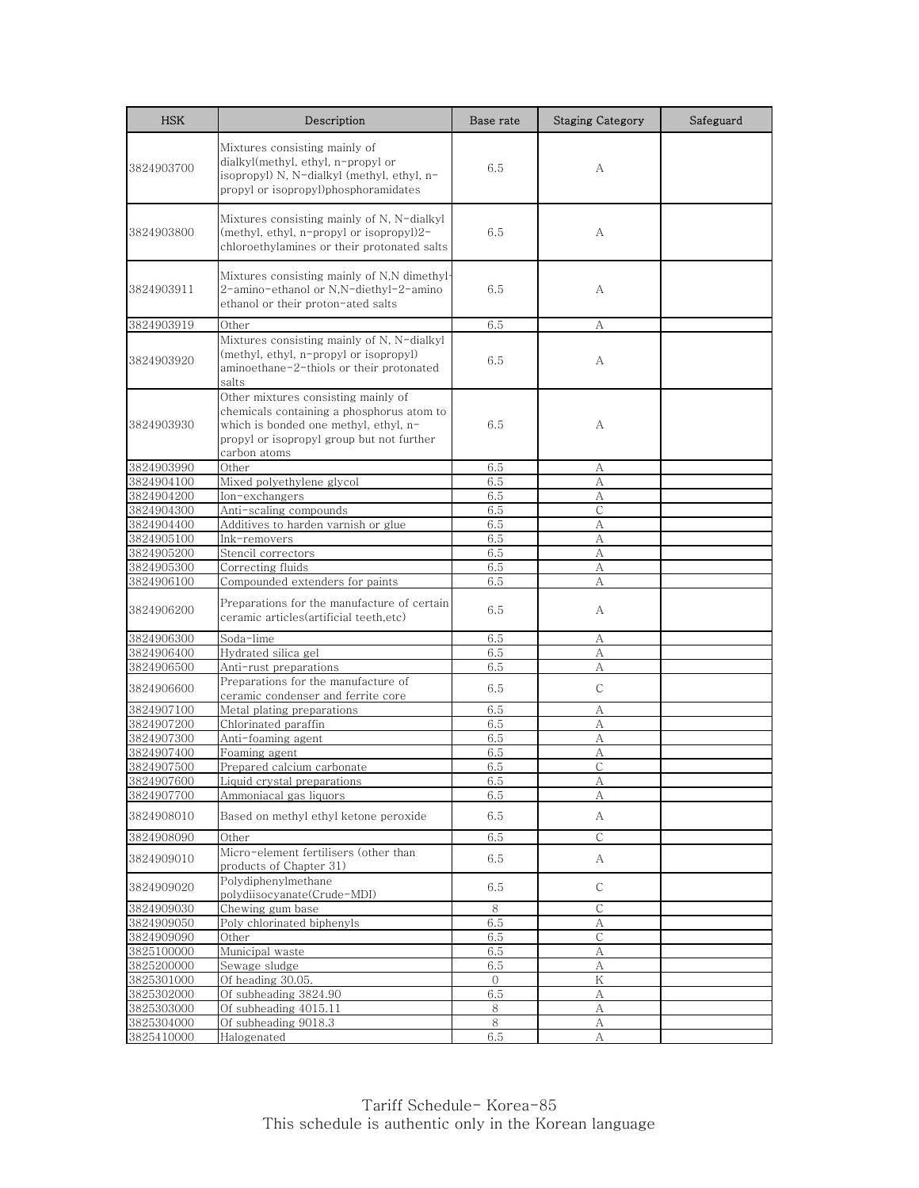| <b>HSK</b>               | Description                                                                                                                                                                            | Base rate    | <b>Staging Category</b> | Safeguard |
|--------------------------|----------------------------------------------------------------------------------------------------------------------------------------------------------------------------------------|--------------|-------------------------|-----------|
| 3824903700               | Mixtures consisting mainly of<br>dialkyl(methyl, ethyl, n-propyl or<br>isopropyl) N, N-dialkyl (methyl, ethyl, n-<br>propyl or isopropyl)phosphoramidates                              | 6.5          | А                       |           |
| 3824903800               | Mixtures consisting mainly of N, N-dialkyl<br>(methyl, ethyl, n-propyl or isopropyl)2-<br>chloroethylamines or their protonated salts                                                  | 6.5          | А                       |           |
| 3824903911               | Mixtures consisting mainly of N,N dimethyl-<br>2-amino-ethanol or N,N-diethyl-2-amino<br>ethanol or their proton-ated salts                                                            | 6.5          | А                       |           |
| 3824903919               | Other                                                                                                                                                                                  | 6.5          | А                       |           |
| 3824903920               | Mixtures consisting mainly of N, N-dialkyl<br>(methyl, ethyl, n-propyl or isopropyl)<br>aminoethane-2-thiols or their protonated<br>salts                                              | 6.5          | А                       |           |
| 3824903930               | Other mixtures consisting mainly of<br>chemicals containing a phosphorus atom to<br>which is bonded one methyl, ethyl, n-<br>propyl or isopropyl group but not further<br>carbon atoms | 6.5          | А                       |           |
| 3824903990               | Other                                                                                                                                                                                  | 6.5          | А                       |           |
| 3824904100               | Mixed polyethylene glycol                                                                                                                                                              | 6.5          | А                       |           |
| 3824904200               | Ion-exchangers                                                                                                                                                                         | 6.5          | А                       |           |
| 3824904300               | Anti-scaling compounds                                                                                                                                                                 | 6.5          | C                       |           |
| 3824904400               | Additives to harden varnish or glue                                                                                                                                                    | 6.5          | А                       |           |
| 3824905100               | Ink-removers                                                                                                                                                                           | 6.5          | А                       |           |
| 3824905200               | Stencil correctors                                                                                                                                                                     | 6.5          | А                       |           |
| 3824905300<br>3824906100 | Correcting fluids<br>Compounded extenders for paints                                                                                                                                   | 6.5<br>6.5   | А<br>А                  |           |
| 3824906200               | Preparations for the manufacture of certain<br>ceramic articles(artificial teeth,etc)                                                                                                  | 6.5          | А                       |           |
| 3824906300               | Soda-lime                                                                                                                                                                              | 6.5          | А                       |           |
| 3824906400               | Hydrated silica gel                                                                                                                                                                    | 6.5          | А                       |           |
| 3824906500               | Anti-rust preparations                                                                                                                                                                 | 6.5          | А                       |           |
| 3824906600               | Preparations for the manufacture of<br>ceramic condenser and ferrite core                                                                                                              | 6.5          | $\mathsf{C}$            |           |
| 3824907100               | Metal plating preparations                                                                                                                                                             | 6.5          | А                       |           |
| 3824907200               | Chlorinated paraffin                                                                                                                                                                   | 6.5          | А                       |           |
| 3824907300               | Anti-foaming agent                                                                                                                                                                     | 6.5          | A                       |           |
| 3824907400               | Foaming agent                                                                                                                                                                          | 6.5          | А                       |           |
| 3824907500               | Prepared calcium carbonate                                                                                                                                                             | 6.5          | $\mathsf{C}$            |           |
| 3824907600<br>3824907700 | <u>Liquid crystal preparations</u>                                                                                                                                                     | 6.5          | А                       |           |
| 3824908010               | Ammoniacal gas liquors<br>Based on methyl ethyl ketone peroxide                                                                                                                        | 6.5<br>6.5   | А<br>А                  |           |
| 3824908090               | Other                                                                                                                                                                                  | 6.5          | $\mathsf{C}$            |           |
| 3824909010               | Micro-element fertilisers (other than<br>products of Chapter 31)                                                                                                                       | 6.5          | А                       |           |
| 3824909020               | Polydiphenylmethane<br>polydiisocyanate(Crude-MDI)                                                                                                                                     | 6.5          | $\mathsf{C}$            |           |
| 3824909030               | Chewing gum base                                                                                                                                                                       | 8            | C                       |           |
| 3824909050               | Poly chlorinated biphenyls                                                                                                                                                             | 6.5          | А                       |           |
| 3824909090               | Other                                                                                                                                                                                  | 6.5          | $\overline{C}$          |           |
| 3825100000               | Municipal waste                                                                                                                                                                        | 6.5          | А                       |           |
| 3825200000               | Sewage sludge                                                                                                                                                                          | 6.5          | $\mathbf{A}$            |           |
| 3825301000               | Of heading 30.05.                                                                                                                                                                      | $\mathbf{0}$ | Κ                       |           |
| 3825302000               | Of subheading 3824.90                                                                                                                                                                  | 6.5          | $\boldsymbol{A}$        |           |
| 3825303000               | Of subheading 4015.11                                                                                                                                                                  | 8            | А                       |           |
| 3825304000               | Of subheading 9018.3                                                                                                                                                                   | 8            | $\mathbf{A}$            |           |
| 3825410000               | Halogenated                                                                                                                                                                            | 6.5          | A                       |           |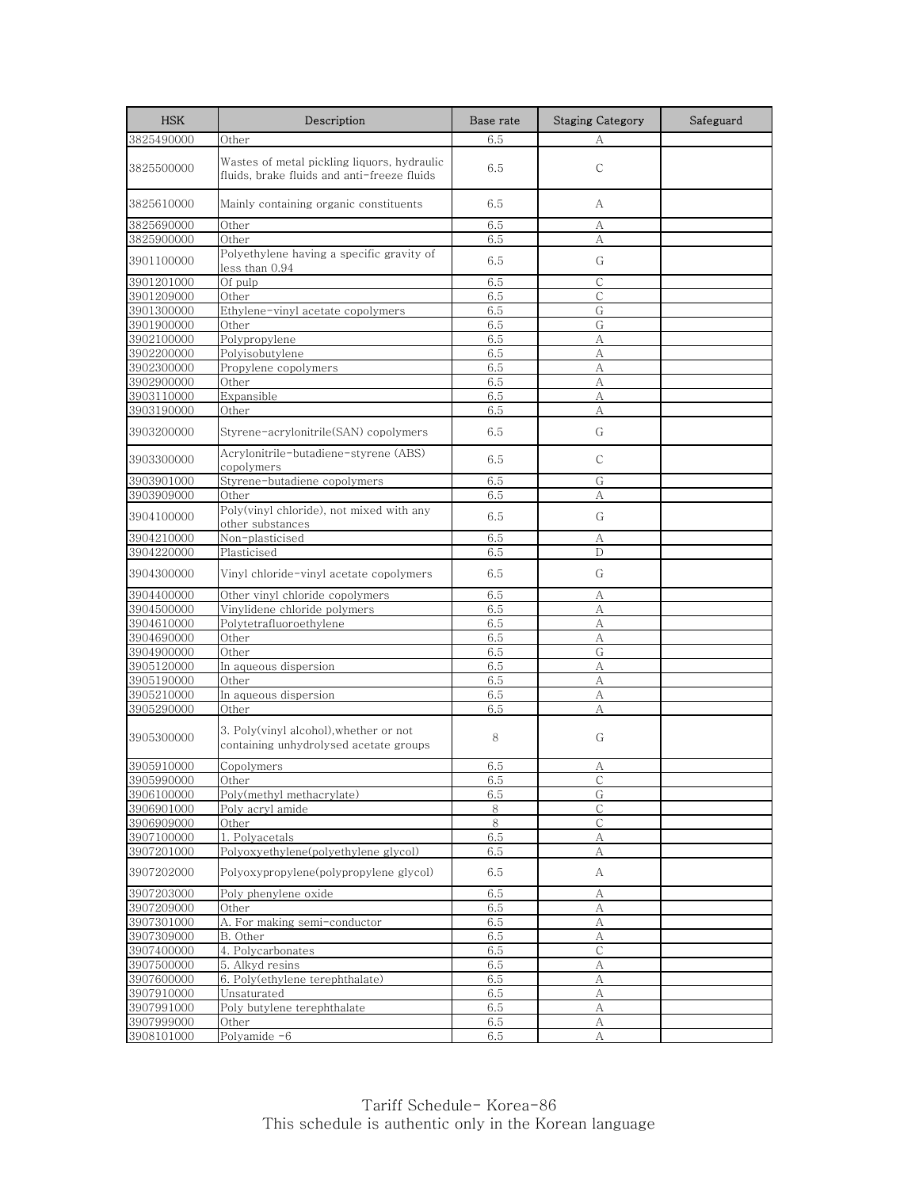| <b>HSK</b> | Description                                                                                | Base rate | <b>Staging Category</b> | Safeguard |
|------------|--------------------------------------------------------------------------------------------|-----------|-------------------------|-----------|
| 3825490000 | Other                                                                                      | 6.5       | А                       |           |
| 3825500000 | Wastes of metal pickling liquors, hydraulic<br>fluids, brake fluids and anti-freeze fluids | 6.5       | $\mathsf{C}$            |           |
| 3825610000 | Mainly containing organic constituents                                                     | 6.5       | А                       |           |
| 3825690000 | Other                                                                                      | 6.5       | А                       |           |
| 3825900000 | Other                                                                                      | 6.5       | А                       |           |
| 3901100000 | Polyethylene having a specific gravity of<br>less than 0.94                                | 6.5       | G                       |           |
| 3901201000 | Of pulp                                                                                    | 6.5       | С                       |           |
| 3901209000 | Other                                                                                      | 6.5       | С                       |           |
| 3901300000 | Ethylene-vinyl acetate copolymers                                                          | 6.5       | G                       |           |
| 3901900000 | Other                                                                                      | 6.5       | G                       |           |
| 3902100000 | Polypropylene                                                                              | 6.5       | А                       |           |
| 3902200000 | Polyisobutylene                                                                            | 6.5       | A                       |           |
| 3902300000 | Propylene copolymers                                                                       | 6.5       | А                       |           |
| 3902900000 | Other                                                                                      | 6.5       | A                       |           |
| 3903110000 | Expansible                                                                                 | 6.5       | А                       |           |
| 3903190000 | Other                                                                                      | 6.5       | А                       |           |
| 3903200000 | Styrene-acrylonitrile(SAN) copolymers                                                      | 6.5       | G                       |           |
| 3903300000 | Acrylonitrile-butadiene-styrene (ABS)<br>copolymers                                        | 6.5       | С                       |           |
| 3903901000 | Styrene-butadiene copolymers                                                               | 6.5       | G                       |           |
| 3903909000 | Other                                                                                      | 6.5       | А                       |           |
| 3904100000 | Poly(vinyl chloride), not mixed with any<br>other substances                               | 6.5       | G                       |           |
| 3904210000 | Non-plasticised                                                                            | 6.5       | А                       |           |
| 3904220000 | Plasticised                                                                                | 6.5       | D                       |           |
| 3904300000 | Vinyl chloride-vinyl acetate copolymers                                                    | 6.5       | G                       |           |
| 3904400000 | Other vinyl chloride copolymers                                                            | 6.5       | А                       |           |
| 3904500000 | Vinylidene chloride polymers                                                               | 6.5       | А                       |           |
| 3904610000 | Polytetrafluoroethylene                                                                    | 6.5       | A                       |           |
| 3904690000 | Other                                                                                      | 6.5       | А                       |           |
| 3904900000 | Other                                                                                      | 6.5       | G                       |           |
| 3905120000 | In aqueous dispersion                                                                      | 6.5       | A                       |           |
| 3905190000 | Other                                                                                      | 6.5       | А                       |           |
| 3905210000 | In aqueous dispersion                                                                      | 6.5       | А                       |           |
| 3905290000 | Other                                                                                      | 6.5       | А                       |           |
| 3905300000 | 3. Poly(vinyl alcohol), whether or not<br>containing unhydrolysed acetate groups           | 8         | G                       |           |
| 3905910000 | Copolymers                                                                                 | 6.5       | А                       |           |
| 3905990000 | Other                                                                                      | 6.5       | C                       |           |
| 3906100000 | Poly(methyl methacrylate)                                                                  | 6.5       | G                       |           |
| 3906901000 | Poly acryl amide                                                                           | 8         | С                       |           |
| 3906909000 | Other                                                                                      | 8         | $\mathsf{C}$            |           |
| 3907100000 | 1. Polyacetals                                                                             | 6.5       | А                       |           |
| 3907201000 | Polyoxyethylene(polyethylene glycol)                                                       | 6.5       | А                       |           |
| 3907202000 | Polyoxypropylene(polypropylene glycol)                                                     | 6.5       | А                       |           |
| 3907203000 | Poly phenylene oxide                                                                       | 6.5       | А                       |           |
| 3907209000 | Other                                                                                      | 6.5       | А                       |           |
| 3907301000 | A. For making semi-conductor                                                               | 6.5       | А                       |           |
| 3907309000 | B. Other                                                                                   | 6.5       | А                       |           |
| 3907400000 | 4. Polycarbonates                                                                          | 6.5       | $\mathsf C$             |           |
| 3907500000 | 5. Alkyd resins                                                                            | 6.5       | $\boldsymbol{A}$        |           |
| 3907600000 | 6. Poly(ethylene terephthalate)                                                            | 6.5       | А                       |           |
| 3907910000 | Unsaturated                                                                                | 6.5       | А                       |           |
| 3907991000 | Poly butylene terephthalate                                                                | 6.5       | А                       |           |
| 3907999000 | Other                                                                                      | 6.5       | А                       |           |
| 3908101000 | Polyamide -6                                                                               | 6.5       | А                       |           |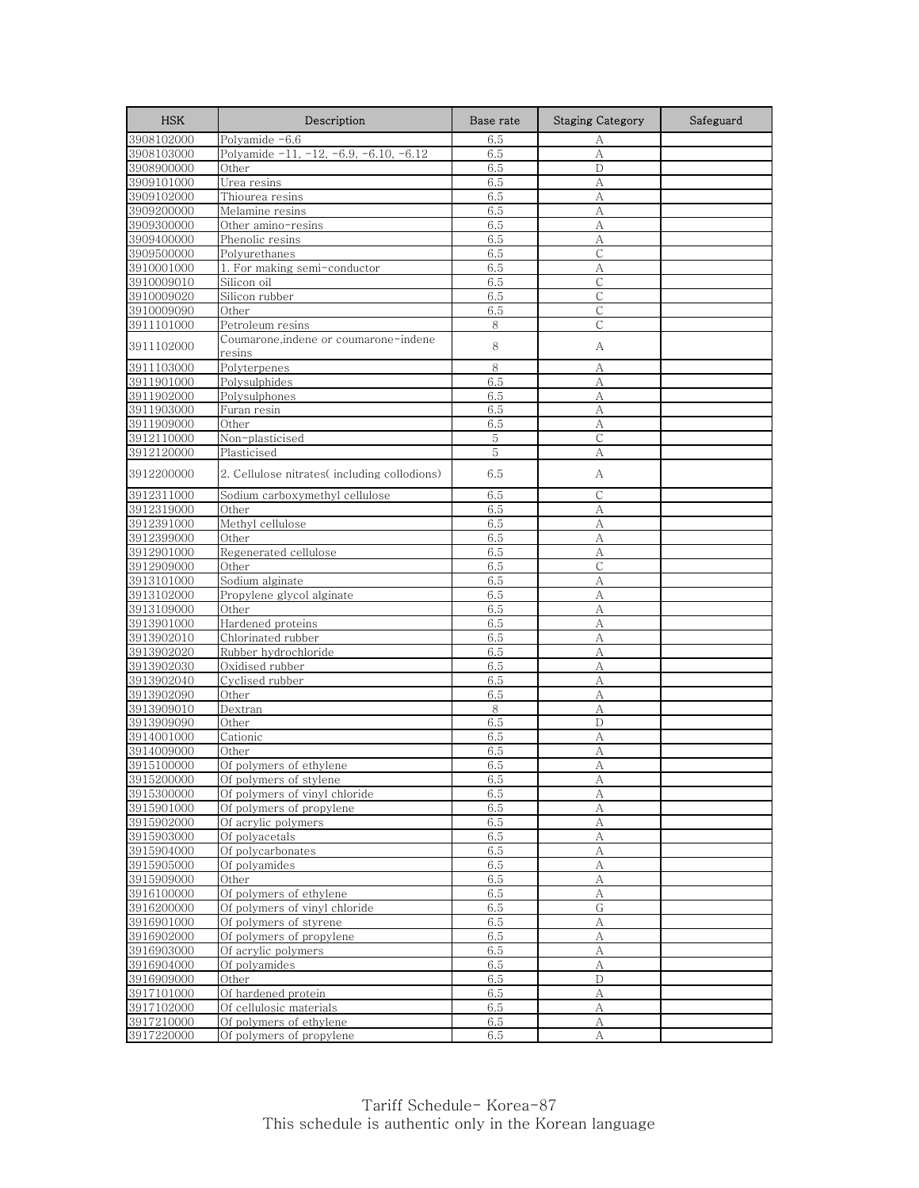| <b>HSK</b>               | Description                                     | Base rate  | <b>Staging Category</b> | Safeguard |
|--------------------------|-------------------------------------------------|------------|-------------------------|-----------|
| 3908102000               | Polyamide -6.6                                  | 6.5        | А                       |           |
| 3908103000               | Polyamide $-11, -12, -6.9, -6.10, -6.12$        | 6.5        | A                       |           |
| 3908900000               | Other                                           | 6.5        | D                       |           |
| 3909101000               | Urea resins                                     | 6.5        | А                       |           |
| 3909102000               | Thiourea resins                                 | 6.5        | А                       |           |
| 3909200000               | Melamine resins                                 | 6.5        | А                       |           |
| 3909300000               | Other amino-resins                              | 6.5        | А                       |           |
| 3909400000               | Phenolic resins                                 | 6.5        | A                       |           |
| 3909500000               | Polyurethanes                                   | 6.5        | $\mathsf{C}$            |           |
| 3910001000               | 1. For making semi-conductor                    | 6.5        | А                       |           |
| 3910009010               | Silicon oil                                     | 6.5        | $\mathsf{C}$            |           |
| 3910009020               | Silicon rubber                                  | 6.5        | С                       |           |
| 3910009090               | Other                                           | 6.5        | $\mathsf{C}$            |           |
| 3911101000               | Petroleum resins                                | 8          | С                       |           |
| 3911102000               | Coumarone,indene or coumarone-indene<br>resins  | 8          | А                       |           |
| 3911103000               | Polyterpenes                                    | 8          | А                       |           |
| 3911901000               | Polysulphides                                   | 6.5        | А                       |           |
| 3911902000               | Polysulphones                                   | 6.5        | А                       |           |
| 3911903000               | Furan resin                                     | 6.5        | А                       |           |
| 3911909000               | Other                                           | 6.5        | A                       |           |
| 3912110000               | Non-plasticised                                 | 5          | C                       |           |
| 3912120000               | Plasticised                                     | 5          | А                       |           |
| 3912200000               | 2. Cellulose nitrates(including collodions)     | 6.5        | A                       |           |
| 3912311000               | Sodium carboxymethyl cellulose                  | 6.5        | С                       |           |
| 3912319000               | Other                                           | 6.5        | A                       |           |
| 3912391000               | Methyl cellulose                                | 6.5        | A                       |           |
| 3912399000               | Other                                           | 6.5        | А                       |           |
| 3912901000               | Regenerated cellulose                           | 6.5        | А                       |           |
| 3912909000               | Other                                           | 6.5        | С                       |           |
| 3913101000               | Sodium alginate                                 | 6.5        | A                       |           |
| 3913102000               | Propylene glycol alginate                       | 6.5        | А                       |           |
| 3913109000               | Other                                           | 6.5        | А                       |           |
| 3913901000               | Hardened proteins                               | 6.5        | A                       |           |
| 3913902010               | Chlorinated rubber                              | 6.5        | А                       |           |
| 3913902020               | Rubber hydrochloride                            | 6.5        | A                       |           |
| 3913902030               | Oxidised rubber                                 | 6.5        | А                       |           |
| 3913902040               | Cyclised rubber                                 | 6.5        | А                       |           |
| 3913902090               | Other                                           | 6.5        | А                       |           |
| 3913909010               | Dextran                                         | 8          | А                       |           |
| 3913909090               | Other                                           | 6.5        | D                       |           |
| 3914001000               | Cationic                                        | 6.5        | А                       |           |
| 3914009000               | Other                                           | 6.5        | А                       |           |
| 3915100000               | Of polymers of ethylene                         | 6.5        | А                       |           |
| 3915200000               | Of polymers of stylene                          | 6.5        | A                       |           |
| 3915300000               | Of polymers of vinyl chloride                   | 6.5        | А                       |           |
| 3915901000<br>3915902000 | Of polymers of propylene<br>Of acrylic polymers | 6.5        | А<br>A                  |           |
|                          |                                                 | 6.5        |                         |           |
| 3915903000               | Of polyacetals<br>Of polycarbonates             | 6.5        | А                       |           |
| 3915904000<br>3915905000 | Of polyamides                                   | 6.5<br>6.5 | A<br>А                  |           |
| 3915909000               | Other                                           | 6.5        | A                       |           |
| 3916100000               | Of polymers of ethylene                         | 6.5        | А                       |           |
| 3916200000               | Of polymers of vinyl chloride                   | 6.5        | G                       |           |
| 3916901000               | Of polymers of styrene                          | 6.5        | А                       |           |
| 3916902000               | Of polymers of propylene                        | 6.5        | А                       |           |
| 3916903000               | Of acrylic polymers                             | 6.5        | А                       |           |
| 3916904000               | Of polyamides                                   | 6.5        | А                       |           |
| 3916909000               | Other                                           | 6.5        | D                       |           |
| 3917101000               | Of hardened protein                             | 6.5        | А                       |           |
| 3917102000               | Of cellulosic materials                         | 6.5        | А                       |           |
| 3917210000               | Of polymers of ethylene                         | 6.5        | А                       |           |
| 3917220000               | Of polymers of propylene                        | 6.5        | A                       |           |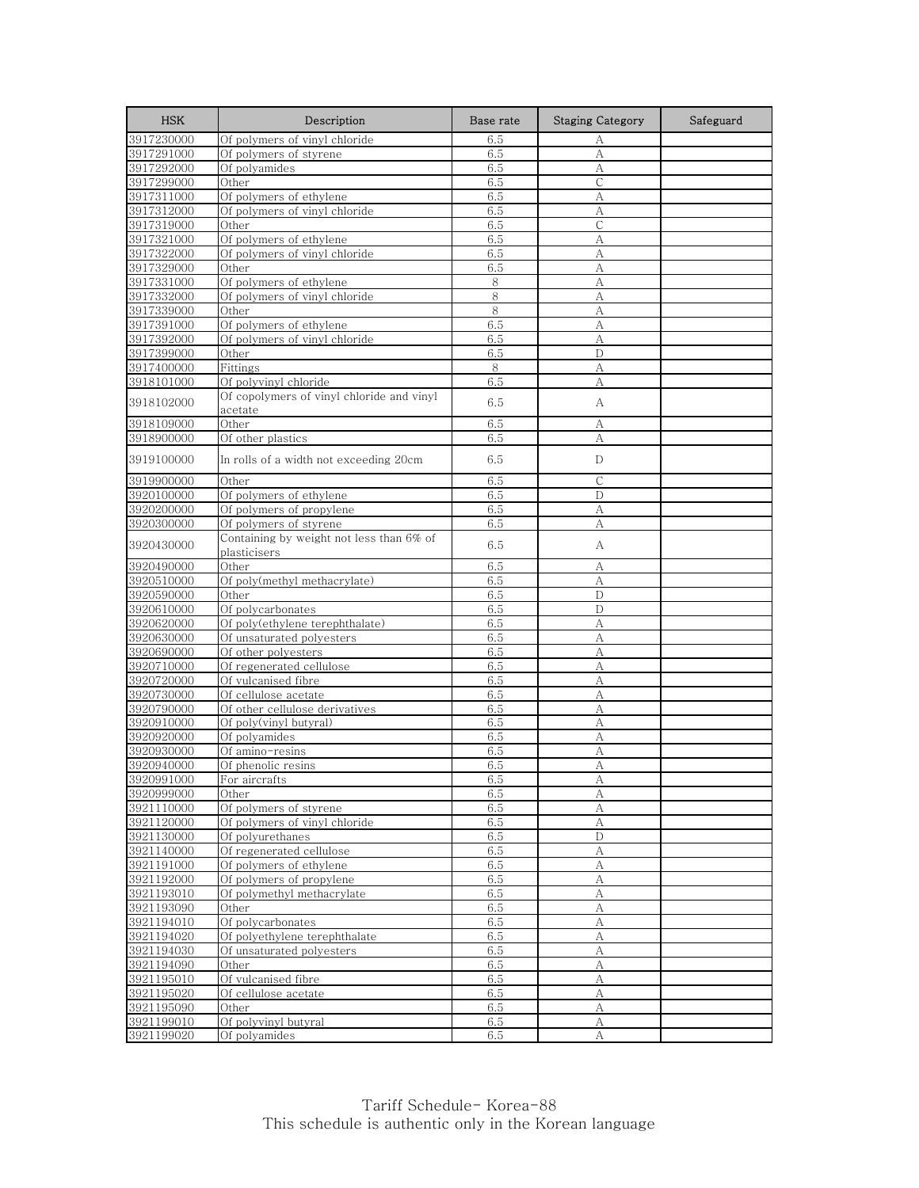| <b>HSK</b>               | Description                                                        | Base rate  | <b>Staging Category</b> | Safeguard |
|--------------------------|--------------------------------------------------------------------|------------|-------------------------|-----------|
| 3917230000               | Of polymers of vinyl chloride                                      | 6.5        | А                       |           |
| 3917291000               | Of polymers of styrene                                             | 6.5        | A                       |           |
| 3917292000               | Of polyamides                                                      | 6.5        | A                       |           |
| 3917299000               | Other                                                              | 6.5        | $\mathsf C$             |           |
| 3917311000               | Of polymers of ethylene                                            | 6.5        | А                       |           |
| 3917312000               | Of polymers of vinyl chloride                                      | 6.5        | A                       |           |
| 3917319000               | Other                                                              | 6.5        | С                       |           |
| 3917321000               | Of polymers of ethylene                                            | 6.5        | А                       |           |
| 3917322000               | Of polymers of vinyl chloride                                      | 6.5        | A                       |           |
| 3917329000               | Other                                                              | 6.5        | A                       |           |
| 3917331000               | Of polymers of ethylene                                            | 8          | А                       |           |
| 3917332000               | Of polymers of vinyl chloride                                      | 8          | А                       |           |
| 3917339000               | Other                                                              | 8          | A                       |           |
| 3917391000               | Of polymers of ethylene                                            | 6.5        | А                       |           |
| 3917392000               | Of polymers of vinyl chloride                                      | 6.5        | А                       |           |
| 3917399000               | Other                                                              | 6.5        | D                       |           |
| 3917400000               | Fittings                                                           | 8          | А                       |           |
| 3918101000               | Of polyvinyl chloride<br>Of copolymers of vinyl chloride and vinyl | 6.5        | А                       |           |
| 3918102000               | acetate                                                            | 6.5        | А                       |           |
| 3918109000               | Other                                                              | 6.5        | А                       |           |
| 3918900000               | Of other plastics                                                  | 6.5        | А                       |           |
| 3919100000               | In rolls of a width not exceeding 20cm                             | 6.5        | D                       |           |
| 3919900000               | Other                                                              | 6.5        | $\mathsf{C}$            |           |
| 3920100000               | Of polymers of ethylene                                            | 6.5        | D                       |           |
| 3920200000               | Of polymers of propylene                                           | 6.5        | А                       |           |
| 3920300000               | Of polymers of styrene                                             | 6.5        | A                       |           |
| 3920430000               | Containing by weight not less than 6% of<br>plasticisers           | 6.5        | А                       |           |
| 3920490000               | Other                                                              | 6.5        | А                       |           |
| 3920510000               | Of poly(methyl methacrylate)                                       | 6.5        | A                       |           |
| 3920590000               | Other                                                              | 6.5        | D                       |           |
| 3920610000               | Of polycarbonates                                                  | 6.5        | D                       |           |
| 3920620000               | Of poly(ethylene terephthalate)                                    | 6.5        | A                       |           |
| 3920630000               | Of unsaturated polyesters                                          | 6.5        | А                       |           |
| 3920690000               | Of other polyesters                                                | 6.5        | A                       |           |
| 3920710000               | Of regenerated cellulose                                           | 6.5        | А                       |           |
| 3920720000               | Of vulcanised fibre                                                | 6.5        | А                       |           |
| 3920730000               | Of cellulose acetate                                               | 6.5        | А                       |           |
| 3920790000               | Of other cellulose derivatives                                     | 6.5        | A                       |           |
| 3920910000               | Of poly(vinyl butyral)                                             | 6.5        | А                       |           |
| 3920920000               | Of polyamides                                                      | 6.5        | А                       |           |
| 3920930000               | Of amino-resins                                                    | 6.5        | A                       |           |
| 3920940000               | Of phenolic resins                                                 | 6.5        | А                       |           |
| 3920991000               | For aircrafts                                                      | 6.5        | A                       |           |
| 3920999000               | Other                                                              | 6.5        | А                       |           |
| 3921110000               | Of polymers of styrene                                             | 6.5        | А                       |           |
| 3921120000               | Of polymers of vinyl chloride                                      | 6.5        | A                       |           |
| 3921130000               | Of polyurethanes                                                   | 6.5        | D                       |           |
| 3921140000               | Of regenerated cellulose                                           | 6.5        | A                       |           |
| 3921191000               | Of polymers of ethylene                                            | 6.5        | А                       |           |
| 3921192000               | Of polymers of propylene                                           | 6.5        | A                       |           |
| 3921193010<br>3921193090 | Of polymethyl methacrylate                                         | 6.5        | А                       |           |
| 3921194010               | Other<br>Of polycarbonates                                         | 6.5<br>6.5 | А<br>А                  |           |
| 3921194020               | Of polyethylene terephthalate                                      | 6.5        |                         |           |
| 3921194030               | Of unsaturated polyesters                                          | 6.5        | А<br>А                  |           |
| 3921194090               | Other                                                              | 6.5        | А                       |           |
| 3921195010               | Of vulcanised fibre                                                | 6.5        | А                       |           |
| 3921195020               | Of cellulose acetate                                               | 6.5        | А                       |           |
| 3921195090               | Other                                                              | 6.5        | А                       |           |
| 3921199010               | Of polyvinyl butyral                                               | 6.5        | А                       |           |
| 3921199020               | Of polyamides                                                      | 6.5        | А                       |           |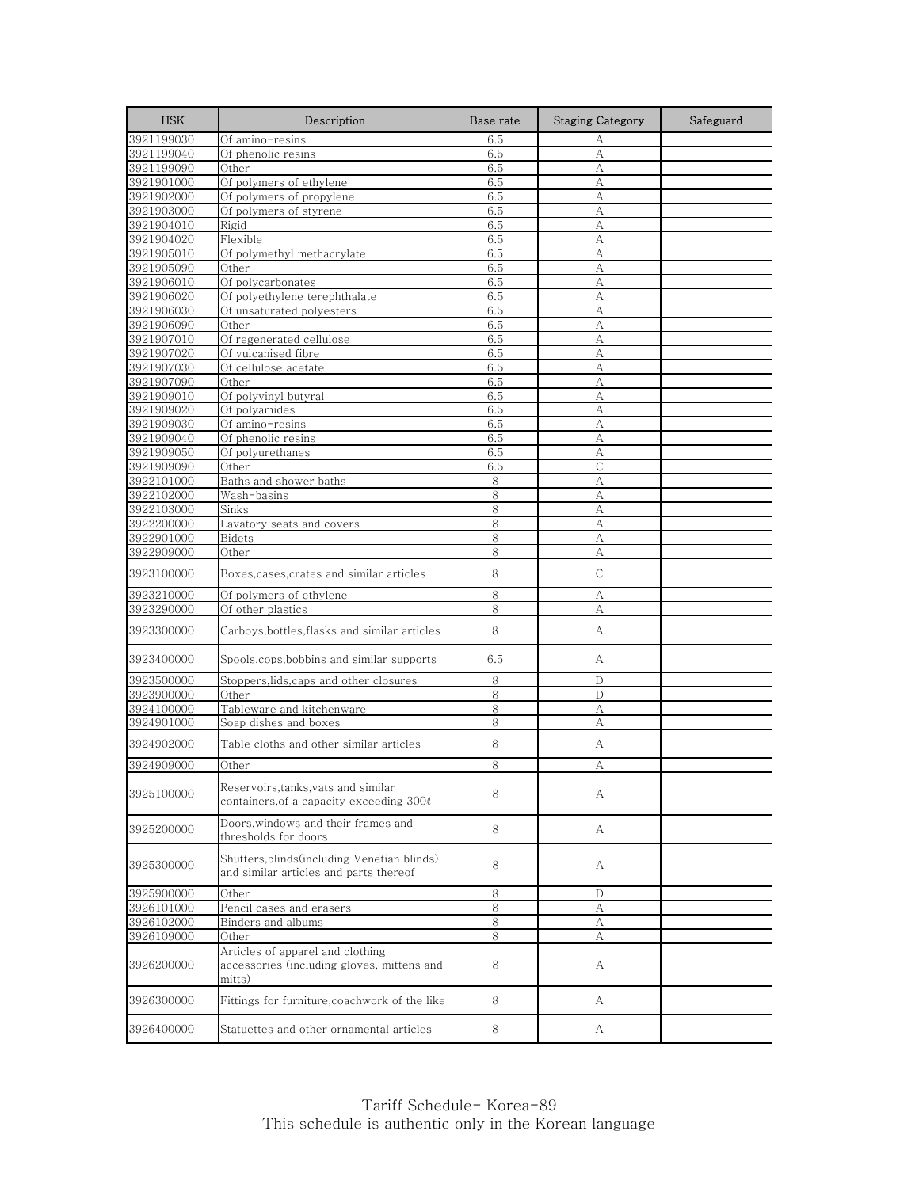| <b>HSK</b>               | Description                                                                              | Base rate  | <b>Staging Category</b> | Safeguard |
|--------------------------|------------------------------------------------------------------------------------------|------------|-------------------------|-----------|
| 3921199030               | Of amino-resins                                                                          | 6.5        | А                       |           |
| 3921199040               | Of phenolic resins                                                                       | 6.5        | A                       |           |
| 3921199090               | Other                                                                                    | 6.5        | А                       |           |
| 3921901000               | Of polymers of ethylene                                                                  | 6.5        | А                       |           |
| 3921902000               | Of polymers of propylene                                                                 | 6.5        | А                       |           |
| 3921903000               | Of polymers of styrene                                                                   | 6.5        | А                       |           |
| 3921904010<br>3921904020 | Rigid<br>Flexible                                                                        | 6.5<br>6.5 | A<br>А                  |           |
| 3921905010               | Of polymethyl methacrylate                                                               | 6.5        | А                       |           |
| 3921905090               | Other                                                                                    | 6.5        | A                       |           |
| 3921906010               | Of polycarbonates                                                                        | 6.5        | A                       |           |
| 3921906020               | Of polyethylene terephthalate                                                            | 6.5        | А                       |           |
| 3921906030               | Of unsaturated polyesters                                                                | 6.5        | A                       |           |
| 3921906090               | Other                                                                                    | 6.5        | A                       |           |
| 3921907010               | Of regenerated cellulose                                                                 | 6.5        | А                       |           |
| 3921907020               | Of vulcanised fibre                                                                      | 6.5        | A                       |           |
| 3921907030               | Of cellulose acetate                                                                     | 6.5        | А                       |           |
| 3921907090               | Other                                                                                    | 6.5        | A                       |           |
| 3921909010               | Of polyvinyl butyral                                                                     | 6.5        | А                       |           |
| 3921909020               | Of polyamides                                                                            | 6.5        | A                       |           |
| 3921909030               | Of amino-resins                                                                          | 6.5        | A                       |           |
| 3921909040<br>3921909050 | Of phenolic resins                                                                       | 6.5<br>6.5 | А<br>A                  |           |
| 3921909090               | Of polyurethanes<br>Other                                                                | 6.5        | С                       |           |
| 3922101000               | Baths and shower baths                                                                   | 8          | A                       |           |
| 3922102000               | Wash-basins                                                                              | 8          | A                       |           |
| 3922103000               | Sinks                                                                                    | 8          | A                       |           |
| 3922200000               | Lavatory seats and covers                                                                | 8          | A                       |           |
| 3922901000               | Bidets                                                                                   | 8          | А                       |           |
| 3922909000               | Other                                                                                    | 8          | А                       |           |
| 3923100000               | Boxes, cases, crates and similar articles                                                | 8          | $\mathsf{C}$            |           |
| 3923210000               | Of polymers of ethylene                                                                  | 8          | А                       |           |
| 3923290000               | Of other plastics                                                                        | 8          | А                       |           |
| 3923300000               | Carboys,bottles,flasks and similar articles                                              | 8          | А                       |           |
| 3923400000               | Spools, cops, bobbins and similar supports                                               | 6.5        | А                       |           |
| 3923500000               | Stoppers,lids,caps and other closures                                                    | 8          | D                       |           |
| 3923900000               | Other                                                                                    | 8          | D                       |           |
| 3924100000               | Tableware and kitchenware                                                                | 8          | А                       |           |
| 3924901000               | Soap dishes and boxes                                                                    | 8          | A                       |           |
| 3924902000               | Table cloths and other similar articles                                                  | 8          | А                       |           |
| 3924909000               | Other                                                                                    | 8          | А                       |           |
| 3925100000               | Reservoirs, tanks, vats and similar<br>containers, of a capacity exceeding 300ℓ          | 8          | A                       |           |
| 3925200000               | Doors, windows and their frames and<br>thresholds for doors                              | 8          | A                       |           |
| 3925300000               | Shutters,blinds(including Venetian blinds)<br>and similar articles and parts thereof     | 8          | А                       |           |
| 3925900000               | Other                                                                                    | 8          | D                       |           |
| 3926101000               | Pencil cases and erasers                                                                 | 8          | А                       |           |
| 3926102000               | Binders and albums                                                                       | 8          | А                       |           |
| 3926109000               | Other                                                                                    | 8          | А                       |           |
| 3926200000               | Articles of apparel and clothing<br>accessories (including gloves, mittens and<br>mitts) | 8          | A                       |           |
| 3926300000               | Fittings for furniture, coachwork of the like                                            | 8          | A                       |           |
| 3926400000               | Statuettes and other ornamental articles                                                 | 8          | A                       |           |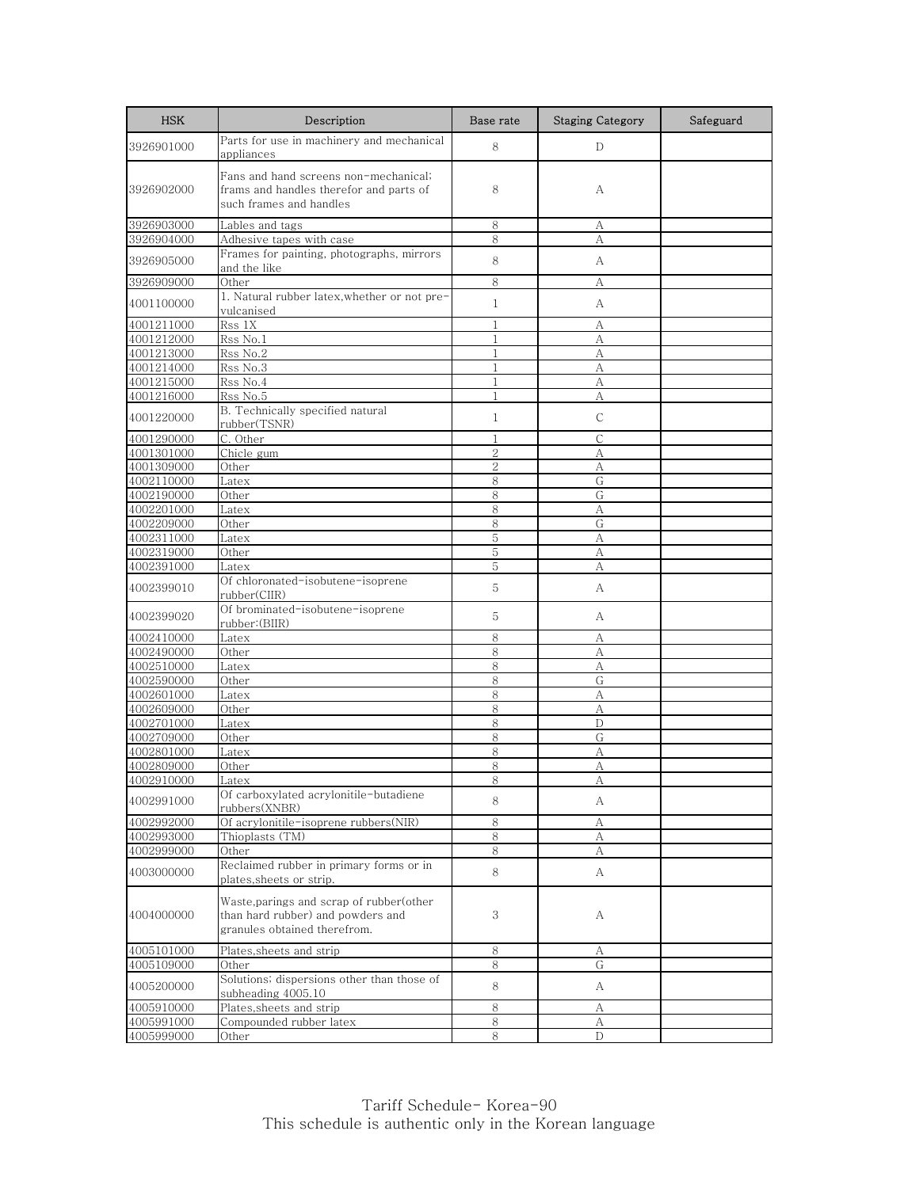| <b>HSK</b> | Description                                                                                                   | Base rate      | <b>Staging Category</b> | Safeguard |
|------------|---------------------------------------------------------------------------------------------------------------|----------------|-------------------------|-----------|
| 3926901000 | Parts for use in machinery and mechanical<br>appliances                                                       | 8              | D                       |           |
| 3926902000 | Fans and hand screens non-mechanical;<br>frams and handles therefor and parts of<br>such frames and handles   | 8              | А                       |           |
| 3926903000 | Lables and tags                                                                                               | 8              | А                       |           |
| 3926904000 | Adhesive tapes with case                                                                                      | 8              | А                       |           |
| 3926905000 | Frames for painting, photographs, mirrors<br>and the like                                                     | 8              | А                       |           |
| 3926909000 | Other                                                                                                         | 8              | А                       |           |
| 4001100000 | 1. Natural rubber latex, whether or not pre-<br>vulcanised                                                    | $\mathbf{1}$   | А                       |           |
| 4001211000 | Rss 1X                                                                                                        | $\mathbf{1}$   | А                       |           |
| 4001212000 | Rss No.1                                                                                                      | 1              | А                       |           |
| 4001213000 | Rss No.2                                                                                                      | $\mathbf{1}$   | $\mathbf{A}$            |           |
| 4001214000 | Rss No.3                                                                                                      | $\mathbf{1}$   | А                       |           |
| 4001215000 | Rss No.4                                                                                                      | $\mathbf{1}$   | А                       |           |
| 4001216000 | Rss No.5                                                                                                      | 1              | А                       |           |
| 4001220000 | B. Technically specified natural<br>rubber(TSNR)                                                              | $\mathbf{1}$   | $\mathsf{C}$            |           |
| 4001290000 | C. Other                                                                                                      | $\mathbf{1}$   | C                       |           |
| 4001301000 | Chicle gum                                                                                                    | 2              | А                       |           |
| 4001309000 | Other                                                                                                         | $\overline{2}$ | А                       |           |
| 4002110000 | Latex                                                                                                         | 8              | G                       |           |
| 4002190000 | Other                                                                                                         | 8              | G                       |           |
| 4002201000 | Latex                                                                                                         | 8              | А                       |           |
| 4002209000 | Other                                                                                                         | 8              | ${\rm G}$               |           |
| 4002311000 | Latex                                                                                                         | 5              | А                       |           |
| 4002319000 | Other                                                                                                         | 5              | А                       |           |
| 4002391000 | Latex                                                                                                         | 5              | А                       |           |
| 4002399010 | Of chloronated-isobutene-isoprene<br>rubber(CIIR)                                                             | 5              | А                       |           |
| 4002399020 | Of brominated-isobutene-isoprene<br>rubber:(BIIR)                                                             | 5              | А                       |           |
| 4002410000 | Latex                                                                                                         | 8              | А                       |           |
| 4002490000 | Other                                                                                                         | 8              | А                       |           |
| 4002510000 | Latex                                                                                                         | 8              | А                       |           |
| 4002590000 | Other                                                                                                         | 8              | G                       |           |
| 4002601000 | Latex                                                                                                         | 8              | А                       |           |
| 4002609000 | Other                                                                                                         | 8              | А                       |           |
| 4002701000 | Latex                                                                                                         | $8\,$          | D                       |           |
| 4002709000 | Other                                                                                                         | 8              | G                       |           |
| 4002801000 | Latex                                                                                                         | 8              | А                       |           |
| 4002809000 | Other                                                                                                         | 8              | А                       |           |
| 4002910000 | Latex                                                                                                         | 8              | A                       |           |
| 4002991000 | Of carboxylated acrylonitile-butadiene<br>rubbers(XNBR)                                                       | 8              | A                       |           |
| 4002992000 | Of acrylonitile-isoprene rubbers(NIR)                                                                         | 8              | А                       |           |
| 4002993000 | Thioplasts (TM)                                                                                               | $8\,$          | А                       |           |
| 4002999000 | Other                                                                                                         | 8              | А                       |           |
| 4003000000 | Reclaimed rubber in primary forms or in<br>plates, sheets or strip.                                           | 8              | A                       |           |
| 4004000000 | Waste, parings and scrap of rubber(other<br>than hard rubber) and powders and<br>granules obtained therefrom. | $\,3$          | А                       |           |
| 4005101000 | Plates,sheets and strip                                                                                       | 8              | А                       |           |
| 4005109000 | Other                                                                                                         | 8              | G                       |           |
| 4005200000 | Solutions; dispersions other than those of<br>subheading 4005.10                                              | 8              | A                       |           |
| 4005910000 | Plates, sheets and strip                                                                                      | 8              | А                       |           |
| 4005991000 | Compounded rubber latex                                                                                       | $\,8\,$        | А                       |           |
| 4005999000 | Other                                                                                                         | 8              | D                       |           |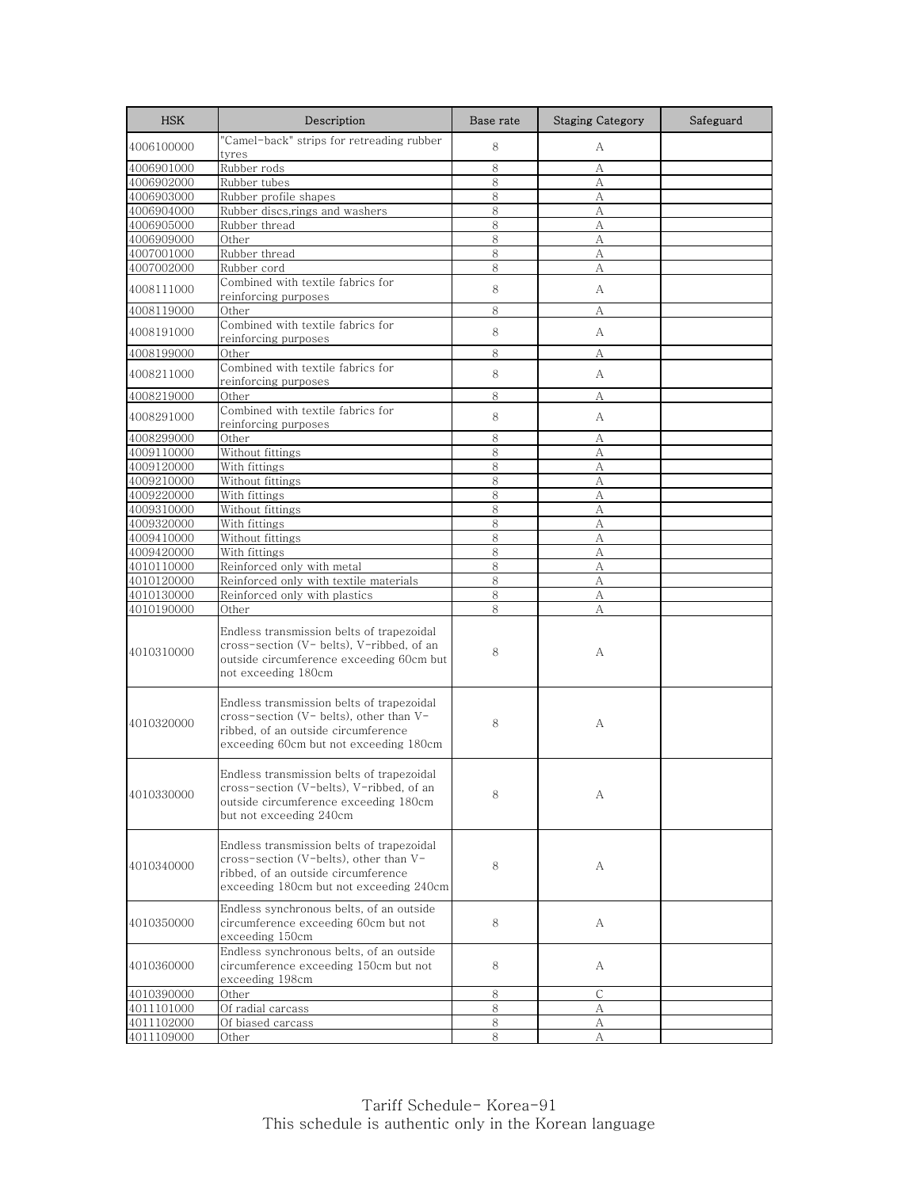| <b>HSK</b> | Description                                                                                                                                                           | Base rate | <b>Staging Category</b> | Safeguard |
|------------|-----------------------------------------------------------------------------------------------------------------------------------------------------------------------|-----------|-------------------------|-----------|
| 4006100000 | "Camel-back" strips for retreading rubber<br>tyres                                                                                                                    | 8         | А                       |           |
| 4006901000 | Rubber rods                                                                                                                                                           | 8         | А                       |           |
| 4006902000 | Rubber tubes                                                                                                                                                          | 8         | А                       |           |
| 4006903000 | Rubber profile shapes                                                                                                                                                 | 8         | А                       |           |
| 4006904000 | Rubber discs,rings and washers                                                                                                                                        | 8         | А                       |           |
| 4006905000 | Rubber thread                                                                                                                                                         | 8         | А                       |           |
| 4006909000 | Other                                                                                                                                                                 | 8         | А                       |           |
| 4007001000 | Rubber thread                                                                                                                                                         | 8         | А                       |           |
| 4007002000 | Rubber cord                                                                                                                                                           | 8         | А                       |           |
| 4008111000 | Combined with textile fabrics for<br>reinforcing purposes                                                                                                             | 8         | А                       |           |
| 4008119000 | Other                                                                                                                                                                 | 8         | А                       |           |
| 4008191000 | Combined with textile fabrics for                                                                                                                                     | 8         | A                       |           |
|            | reinforcing purposes                                                                                                                                                  |           |                         |           |
| 4008199000 | Other<br>Combined with textile fabrics for                                                                                                                            | 8         | А                       |           |
| 4008211000 | reinforcing purposes                                                                                                                                                  | 8         | A                       |           |
| 4008219000 | Other                                                                                                                                                                 | 8         | А                       |           |
| 4008291000 | Combined with textile fabrics for<br>reinforcing purposes                                                                                                             | 8         | A                       |           |
| 4008299000 | Other                                                                                                                                                                 | 8         | А                       |           |
| 4009110000 | Without fittings                                                                                                                                                      | 8         | А                       |           |
| 4009120000 | With fittings                                                                                                                                                         | 8         | А                       |           |
| 4009210000 | Without fittings                                                                                                                                                      | 8         | А                       |           |
| 4009220000 | With fittings                                                                                                                                                         | 8         | А                       |           |
| 4009310000 | Without fittings                                                                                                                                                      | 8         | А                       |           |
| 4009320000 | With fittings                                                                                                                                                         | 8         | А                       |           |
| 4009410000 | Without fittings                                                                                                                                                      | 8         | А                       |           |
| 4009420000 | With fittings                                                                                                                                                         | 8         | А                       |           |
| 4010110000 | Reinforced only with metal                                                                                                                                            | 8         | А                       |           |
| 4010120000 | Reinforced only with textile materials                                                                                                                                | 8         | A                       |           |
| 4010130000 | Reinforced only with plastics                                                                                                                                         | 8         | А                       |           |
| 4010190000 | Other                                                                                                                                                                 | 8         | А                       |           |
| 4010310000 | Endless transmission belts of trapezoidal<br>cross-section (V- belts), V-ribbed, of an<br>outside circumference exceeding 60cm but<br>not exceeding 180cm             | 8         | А                       |           |
| 4010320000 | Endless transmission belts of trapezoidal<br>cross-section (V- belts), other than V-<br>ribbed, of an outside circumference<br>exceeding 60cm but not exceeding 180cm | 8         | А                       |           |
| 4010330000 | Endless transmission belts of trapezoidal<br>cross-section (V-belts), V-ribbed, of an<br>outside circumference exceeding 180cm<br>but not exceeding 240cm             | 8         | А                       |           |
| 4010340000 | Endless transmission belts of trapezoidal<br>cross-section (V-belts), other than V-<br>ribbed, of an outside circumference<br>exceeding 180cm but not exceeding 240cm | 8         | А                       |           |
| 4010350000 | Endless synchronous belts, of an outside<br>circumference exceeding 60cm but not<br>exceeding 150cm                                                                   | 8         | A                       |           |
| 4010360000 | Endless synchronous belts, of an outside<br>circumference exceeding 150cm but not<br>exceeding 198cm                                                                  | 8         | A                       |           |
| 4010390000 | Other                                                                                                                                                                 | 8         | С                       |           |
| 4011101000 | Of radial carcass                                                                                                                                                     | 8         | А                       |           |
| 4011102000 | Of biased carcass                                                                                                                                                     | 8         | А                       |           |
| 4011109000 | Other                                                                                                                                                                 | 8         | А                       |           |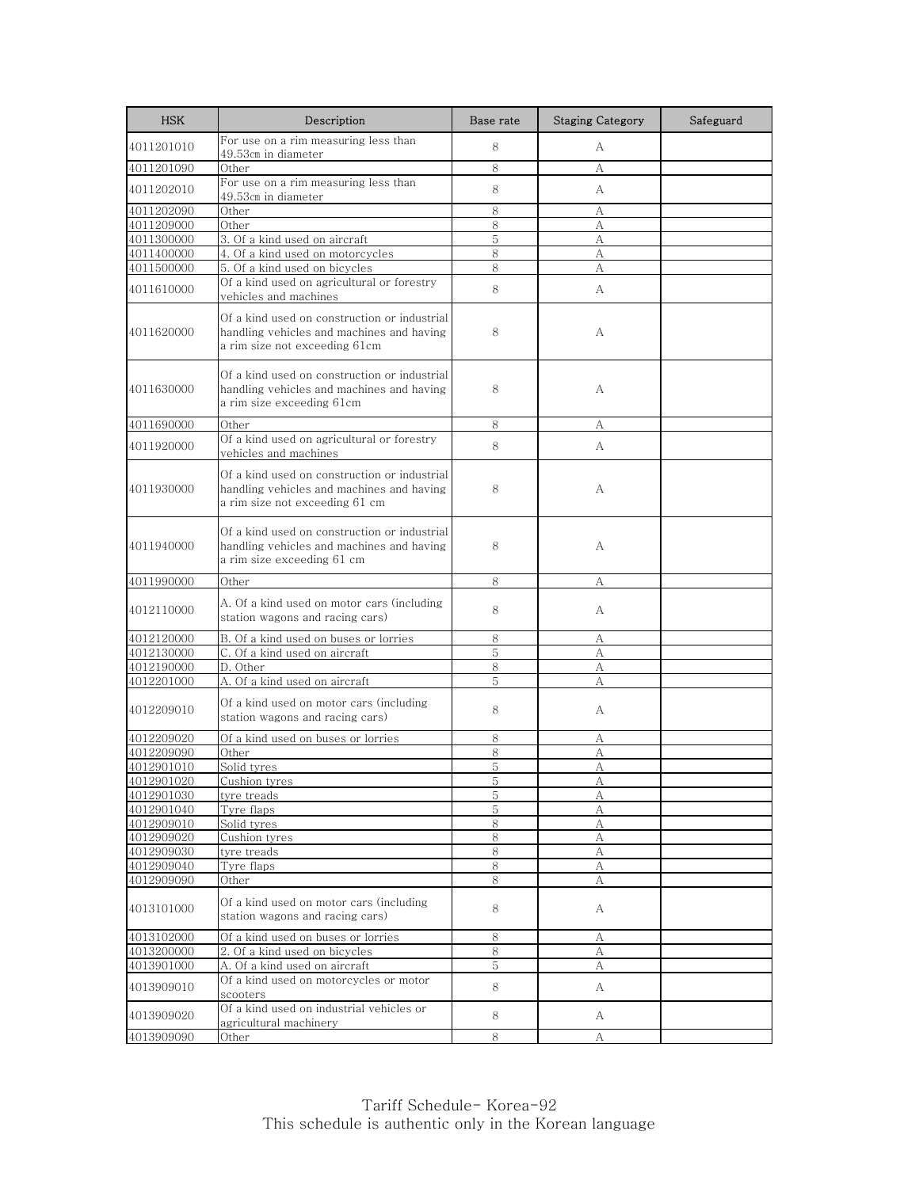| <b>HSK</b>               | Description                                                                                                                 | Base rate      | <b>Staging Category</b> | Safeguard |
|--------------------------|-----------------------------------------------------------------------------------------------------------------------------|----------------|-------------------------|-----------|
| 4011201010               | For use on a rim measuring less than<br>49.53cm in diameter                                                                 | 8              | А                       |           |
| 4011201090               | Other                                                                                                                       | 8              | А                       |           |
| 4011202010               | For use on a rim measuring less than                                                                                        | 8              | А                       |           |
|                          | 49.53cm in diameter<br>Other                                                                                                | 8              |                         |           |
| 4011202090               | Other                                                                                                                       | 8              | А                       |           |
| 4011209000<br>4011300000 | 3. Of a kind used on aircraft                                                                                               | 5              | А<br>А                  |           |
| 4011400000               | 4. Of a kind used on motorcycles                                                                                            | 8              | А                       |           |
| 4011500000               | 5. Of a kind used on bicycles                                                                                               | 8              | А                       |           |
|                          | Of a kind used on agricultural or forestry                                                                                  |                |                         |           |
| 4011610000               | vehicles and machines                                                                                                       | 8              | А                       |           |
| 4011620000               | Of a kind used on construction or industrial<br>handling vehicles and machines and having<br>a rim size not exceeding 61cm  | 8              | А                       |           |
| 4011630000               | Of a kind used on construction or industrial<br>handling vehicles and machines and having<br>a rim size exceeding 61cm      | 8              | А                       |           |
| 4011690000               | Other                                                                                                                       | 8              | А                       |           |
| 4011920000               | Of a kind used on agricultural or forestry                                                                                  | 8              | A                       |           |
|                          | vehicles and machines                                                                                                       |                |                         |           |
| 4011930000               | Of a kind used on construction or industrial<br>handling vehicles and machines and having<br>a rim size not exceeding 61 cm | 8              | А                       |           |
| 4011940000               | Of a kind used on construction or industrial<br>handling vehicles and machines and having<br>a rim size exceeding 61 cm     | 8              | A                       |           |
| 4011990000               | Other                                                                                                                       | 8              | А                       |           |
| 4012110000               | A. Of a kind used on motor cars (including<br>station wagons and racing cars)                                               | 8              | А                       |           |
| 4012120000               | B. Of a kind used on buses or lorries                                                                                       | 8              | А                       |           |
| 4012130000               | C. Of a kind used on aircraft                                                                                               | 5              | А                       |           |
| 4012190000               | D. Other                                                                                                                    | 8              | А                       |           |
| 4012201000               | A. Of a kind used on aircraft                                                                                               | 5              | А                       |           |
| 4012209010               | Of a kind used on motor cars (including<br>station wagons and racing cars)                                                  | 8              | А                       |           |
| 4012209020               | Of a kind used on buses or lorries                                                                                          | 8              | А                       |           |
| 4012209090               | Other                                                                                                                       | 8              | А                       |           |
| 4012901010               | Solid tyres                                                                                                                 | 5              | A                       |           |
| 4012901020               | <u>Cushion tyres</u>                                                                                                        | 5              | А                       |           |
| 4012901030               | tyre treads                                                                                                                 | 5              | A                       |           |
| 4012901040               | Tyre flaps                                                                                                                  | 5              | А                       |           |
| 4012909010               | Solid tyres                                                                                                                 | $8\,$          | А                       |           |
| 4012909020               | Cushion tyres                                                                                                               | 8              | А                       |           |
| 4012909030<br>4012909040 | tyre treads                                                                                                                 | 8              | А                       |           |
| 4012909090               | Tyre flaps<br>Other                                                                                                         | 8<br>8         | $\mathbf{A}$<br>А       |           |
| 4013101000               | Of a kind used on motor cars (including<br>station wagons and racing cars)                                                  | 8              | А                       |           |
| 4013102000               | Of a kind used on buses or lorries                                                                                          | 8              | А                       |           |
| 4013200000               | 2. Of a kind used on bicycles                                                                                               | 8              | А                       |           |
| 4013901000               | A. Of a kind used on aircraft                                                                                               | $\overline{5}$ | А                       |           |
| 4013909010               | Of a kind used on motorcycles or motor<br>scooters                                                                          | 8              | A                       |           |
| 4013909020               | Of a kind used on industrial vehicles or<br>agricultural machinery                                                          | 8              | A                       |           |
| 4013909090               | Other                                                                                                                       | 8              | А                       |           |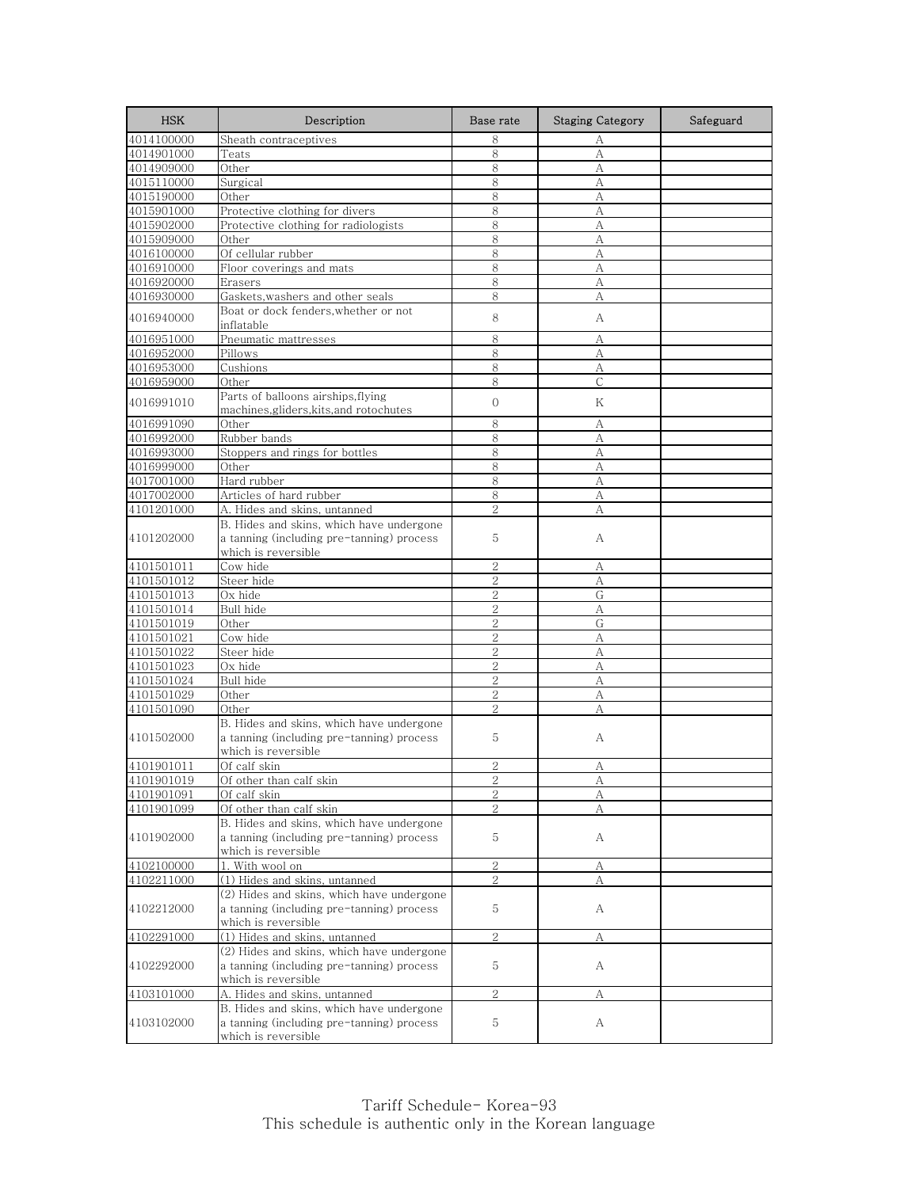| <b>HSK</b>               | Description                                                                                                   | Base rate      | <b>Staging Category</b> | Safeguard |
|--------------------------|---------------------------------------------------------------------------------------------------------------|----------------|-------------------------|-----------|
| 4014100000               | Sheath contraceptives                                                                                         | 8              | А                       |           |
| 4014901000               | Teats                                                                                                         | 8              | A                       |           |
| 4014909000               | Other                                                                                                         | 8              | A                       |           |
| 4015110000               | Surgical                                                                                                      | 8              | A                       |           |
| 4015190000               | Other                                                                                                         | 8              | А                       |           |
| 4015901000               | Protective clothing for divers                                                                                | 8              | А                       |           |
| 4015902000               | Protective clothing for radiologists                                                                          | 8              | А                       |           |
| 4015909000               | Other                                                                                                         | 8              | А                       |           |
| 4016100000               | Of cellular rubber                                                                                            | 8              | А                       |           |
| 4016910000               | Floor coverings and mats                                                                                      | 8              | А                       |           |
| 4016920000               | Erasers                                                                                                       | 8              | А                       |           |
| 4016930000               | Gaskets, washers and other seals                                                                              | 8              | А                       |           |
| 4016940000               | Boat or dock fenders, whether or not<br>inflatable                                                            | 8              | А                       |           |
| 4016951000               | Pneumatic mattresses                                                                                          | 8              | А                       |           |
| 4016952000               | Pillows                                                                                                       | 8              | А                       |           |
| 4016953000               | Cushions                                                                                                      | 8              | А                       |           |
| 4016959000               | Other                                                                                                         | 8              | $\mathsf{C}$            |           |
|                          | Parts of balloons airships, flying                                                                            |                |                         |           |
| 4016991010               | machines, gliders, kits, and rotochutes                                                                       | 0              | Κ                       |           |
| 4016991090               | Other                                                                                                         | 8              | А                       |           |
| 4016992000               | Rubber bands                                                                                                  | 8              | A                       |           |
| 4016993000               | Stoppers and rings for bottles                                                                                | 8              | А                       |           |
| 4016999000               | Other                                                                                                         | 8              | А                       |           |
| 4017001000               | Hard rubber                                                                                                   | 8              | А                       |           |
| 4017002000               | Articles of hard rubber                                                                                       | 8              | А                       |           |
| 4101201000               | A. Hides and skins, untanned                                                                                  | $\overline{2}$ | А                       |           |
| 4101202000               | B. Hides and skins, which have undergone<br>a tanning (including pre-tanning) process<br>which is reversible  | 5              | А                       |           |
| 4101501011               | Cow hide                                                                                                      | 2              | А                       |           |
| 4101501012               | Steer hide                                                                                                    | $\overline{2}$ | A                       |           |
| 4101501013               | Ox hide                                                                                                       | $\overline{2}$ | G                       |           |
| 4101501014               | Bull hide                                                                                                     | $\overline{2}$ | А                       |           |
| 4101501019               | Other                                                                                                         | $\overline{2}$ | G                       |           |
| 4101501021               | Cow hide                                                                                                      | $\overline{2}$ | А                       |           |
| 4101501022               | Steer hide                                                                                                    | 2              | А                       |           |
| 4101501023               | Ox hide                                                                                                       | $\overline{2}$ | А                       |           |
| 4101501024               | Bull hide                                                                                                     | $\overline{2}$ | А                       |           |
| 4101501029               | Other                                                                                                         | 2              | А                       |           |
| 4101501090               | Other                                                                                                         | $\overline{2}$ | A                       |           |
| 4101502000               | B. Hides and skins, which have undergone<br>a tanning (including pre-tanning) process                         | 5              | А                       |           |
|                          | which is reversible                                                                                           |                |                         |           |
| 4101901011               | Of calf skin                                                                                                  | 2              | А                       |           |
| 4101901019               | Of other than calf skin                                                                                       | $\overline{2}$ | А                       |           |
| 4101901091               | Of calf skin                                                                                                  | $\overline{c}$ | А                       |           |
| 4101901099               | Of other than calf skin                                                                                       | 2              | А                       |           |
| 4101902000               | B. Hides and skins, which have undergone<br>a tanning (including pre-tanning) process<br>which is reversible  | 5              | А                       |           |
|                          | 1. With wool on                                                                                               | $\mathbf{2}$   |                         |           |
| 4102100000<br>4102211000 | (1) Hides and skins, untanned                                                                                 | $\overline{2}$ | А<br>A                  |           |
|                          |                                                                                                               |                |                         |           |
| 4102212000               | (2) Hides and skins, which have undergone<br>a tanning (including pre-tanning) process<br>which is reversible | 5              | А                       |           |
| 4102291000               | (1) Hides and skins, untanned                                                                                 | 2              | А                       |           |
| 4102292000               | (2) Hides and skins, which have undergone<br>a tanning (including pre-tanning) process<br>which is reversible | 5              | А                       |           |
| 4103101000               | A. Hides and skins, untanned                                                                                  | $\overline{2}$ | А                       |           |
| 4103102000               | B. Hides and skins, which have undergone<br>a tanning (including pre-tanning) process<br>which is reversible  | 5              | А                       |           |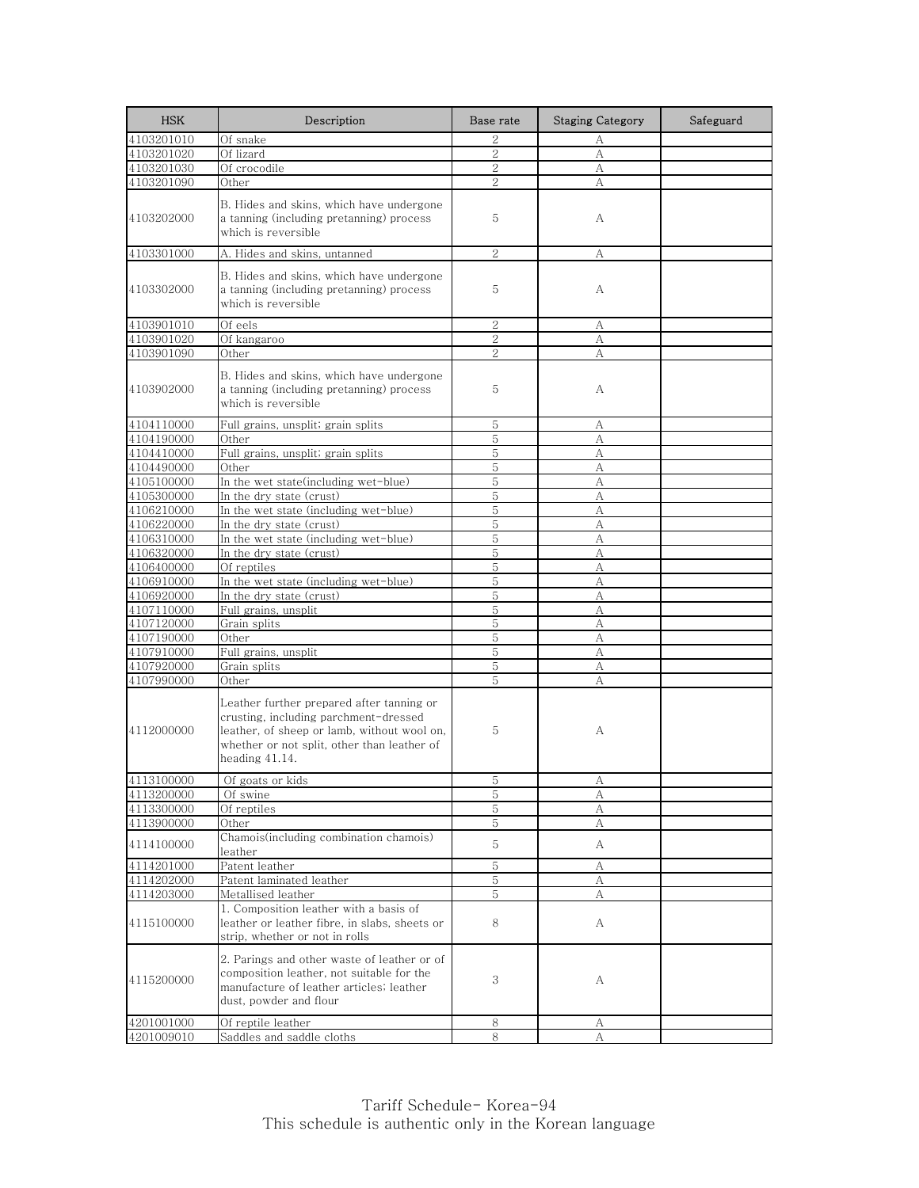| <b>HSK</b> | Description                                                                                                                                                                                           | Base rate      | <b>Staging Category</b> | Safeguard |
|------------|-------------------------------------------------------------------------------------------------------------------------------------------------------------------------------------------------------|----------------|-------------------------|-----------|
| 4103201010 | Of snake                                                                                                                                                                                              | $\overline{2}$ | А                       |           |
| 4103201020 | Of lizard                                                                                                                                                                                             | $\overline{2}$ | A                       |           |
| 4103201030 | Of crocodile                                                                                                                                                                                          | 2              | А                       |           |
| 4103201090 | Other                                                                                                                                                                                                 | $\overline{2}$ | A                       |           |
| 4103202000 | B. Hides and skins, which have undergone<br>a tanning (including pretanning) process<br>which is reversible                                                                                           | 5              | А                       |           |
| 4103301000 | A. Hides and skins, untanned                                                                                                                                                                          | $\sqrt{2}$     | А                       |           |
| 4103302000 | B. Hides and skins, which have undergone<br>a tanning (including pretanning) process<br>which is reversible                                                                                           | 5              | А                       |           |
| 4103901010 | Of eels                                                                                                                                                                                               | $\overline{2}$ | А                       |           |
| 4103901020 | Of kangaroo                                                                                                                                                                                           | 2              | А                       |           |
| 4103901090 | Other                                                                                                                                                                                                 | $\overline{2}$ | А                       |           |
| 4103902000 | B. Hides and skins, which have undergone<br>a tanning (including pretanning) process<br>which is reversible                                                                                           | 5              | А                       |           |
| 4104110000 | Full grains, unsplit; grain splits                                                                                                                                                                    | 5              | А                       |           |
| 4104190000 | Other                                                                                                                                                                                                 | 5              | А                       |           |
| 4104410000 | Full grains, unsplit; grain splits                                                                                                                                                                    | 5              | А                       |           |
| 4104490000 | Other                                                                                                                                                                                                 | 5              | А                       |           |
| 4105100000 | In the wet state(including wet-blue)                                                                                                                                                                  | 5              | A                       |           |
| 4105300000 | In the dry state (crust)                                                                                                                                                                              | 5              | A                       |           |
| 4106210000 | In the wet state (including wet-blue)                                                                                                                                                                 | 5              | А                       |           |
| 4106220000 | In the dry state (crust)                                                                                                                                                                              | 5              | А                       |           |
| 4106310000 | In the wet state (including wet-blue)                                                                                                                                                                 | 5              | А                       |           |
| 4106320000 | In the dry state (crust)                                                                                                                                                                              | 5              | А                       |           |
| 4106400000 | Of reptiles                                                                                                                                                                                           | 5              | А                       |           |
| 4106910000 | In the wet state (including wet-blue)                                                                                                                                                                 | 5              | A                       |           |
| 4106920000 | In the dry state (crust)                                                                                                                                                                              | 5              | А                       |           |
| 4107110000 | Full grains, unsplit                                                                                                                                                                                  | 5              | А                       |           |
| 4107120000 | Grain splits                                                                                                                                                                                          | 5              | А                       |           |
| 4107190000 | Other                                                                                                                                                                                                 | 5<br>5         | А                       |           |
| 4107910000 | Full grains, unsplit                                                                                                                                                                                  | 5              | А                       |           |
| 4107920000 | Grain splits                                                                                                                                                                                          | 5              | А                       |           |
| 4107990000 | Other                                                                                                                                                                                                 |                | А                       |           |
| 4112000000 | Leather further prepared after tanning or<br>crusting, including parchment-dressed<br>leather, of sheep or lamb, without wool on,<br>whether or not split, other than leather of<br>heading $41.14$ . | 5              | А                       |           |
| 4113100000 | Of goats or kids                                                                                                                                                                                      | b              | А                       |           |
| 4113200000 | Of swine                                                                                                                                                                                              | 5              | А                       |           |
| 4113300000 | Of reptiles                                                                                                                                                                                           | 5              | А                       |           |
| 4113900000 | Other                                                                                                                                                                                                 | 5              | А                       |           |
| 4114100000 | Chamois(including combination chamois)<br>leather                                                                                                                                                     | 5              | A                       |           |
| 4114201000 | Patent leather                                                                                                                                                                                        | 5              | А                       |           |
| 4114202000 | Patent laminated leather                                                                                                                                                                              | 5              | А                       |           |
| 4114203000 | Metallised leather                                                                                                                                                                                    | 5              | А                       |           |
| 4115100000 | 1. Composition leather with a basis of<br>leather or leather fibre, in slabs, sheets or<br>strip, whether or not in rolls                                                                             | 8              | A                       |           |
| 4115200000 | 2. Parings and other waste of leather or of<br>composition leather, not suitable for the<br>manufacture of leather articles; leather<br>dust, powder and flour                                        | 3              | А                       |           |
| 4201001000 | <u>Of reptile leather</u>                                                                                                                                                                             | 8              | А                       |           |
| 4201009010 | Saddles and saddle cloths                                                                                                                                                                             | 8              | А                       |           |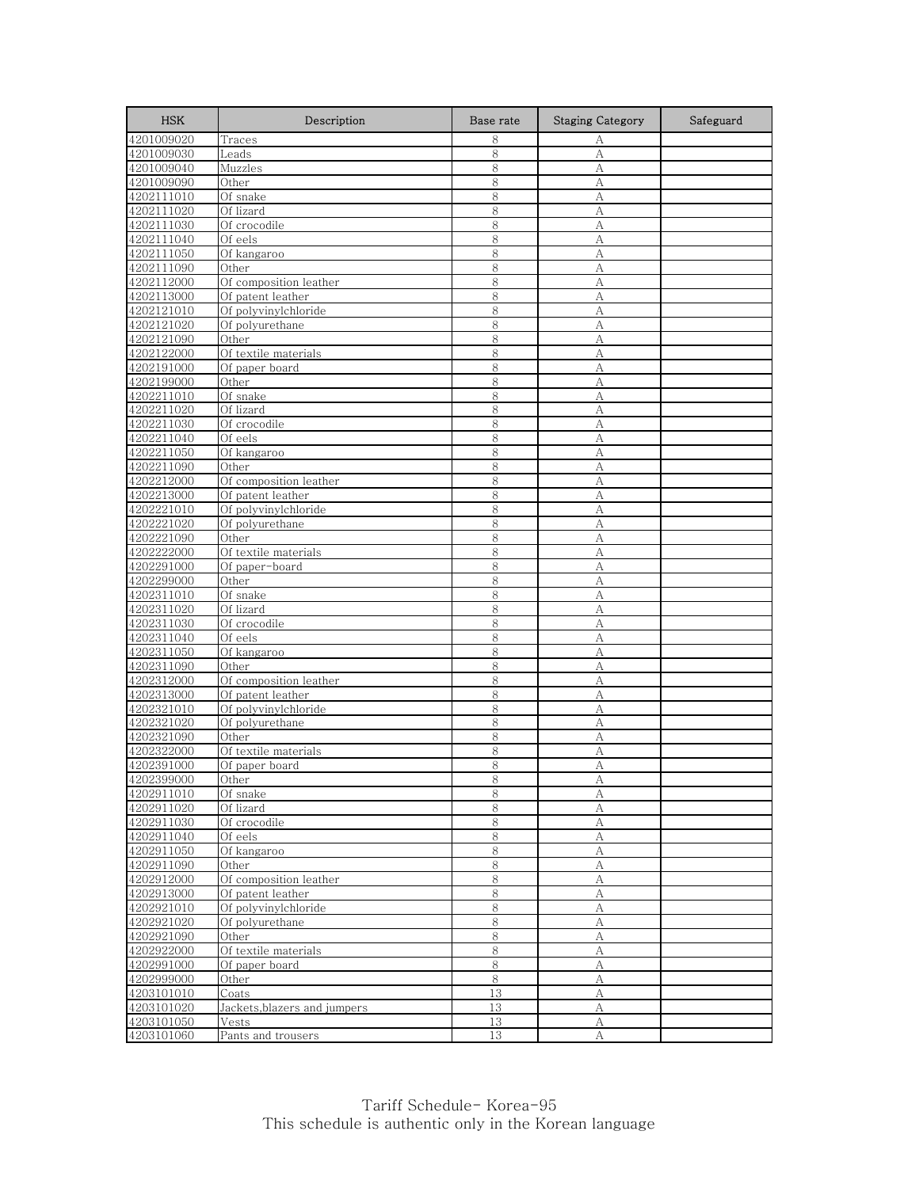| <b>HSK</b>               | Description                               | Base rate | <b>Staging Category</b> | Safeguard |
|--------------------------|-------------------------------------------|-----------|-------------------------|-----------|
| 4201009020               | Traces                                    | 8         | А                       |           |
| 4201009030               | Leads                                     | 8         | A                       |           |
| 4201009040               | Muzzles                                   | 8         | A                       |           |
| 4201009090               | Other                                     | 8         | А                       |           |
| 4202111010               | Of snake                                  | 8         | А                       |           |
| 4202111020               | Of lizard                                 | 8         | А                       |           |
| 4202111030               | Of crocodile                              | 8         | А                       |           |
| 4202111040               | Of eels                                   | 8         | A                       |           |
| 4202111050               | Of kangaroo                               | 8         | A                       |           |
| 4202111090               | Other                                     | 8         | А                       |           |
| 4202112000               | Of composition leather                    | 8         | А                       |           |
| 4202113000               | Of patent leather<br>Of polyvinylchloride | 8<br>8    | А                       |           |
| 4202121010<br>4202121020 | Of polyurethane                           | 8         | А<br>A                  |           |
| 4202121090               | Other                                     | 8         | A                       |           |
| 4202122000               | Of textile materials                      | 8         | А                       |           |
| 4202191000               | Of paper board                            | 8         | А                       |           |
| 4202199000               | Other                                     | 8         | A                       |           |
| 4202211010               | Of snake                                  | 8         | А                       |           |
| 4202211020               | Of lizard                                 | 8         | A                       |           |
| 4202211030               | Of crocodile                              | 8         | A                       |           |
| 4202211040               | $\overline{O}$ f eels                     | 8         | А                       |           |
| 4202211050               | Of kangaroo                               | $\,8\,$   | А                       |           |
| 4202211090               | Other                                     | 8         | А                       |           |
| 4202212000               | Of composition leather                    | 8         | А                       |           |
| 4202213000               | Of patent leather                         | 8         | A                       |           |
| 4202221010               | Of polyvinylchloride                      | 8         | A                       |           |
| 4202221020               | Of polyurethane                           | 8         | A                       |           |
| 4202221090               | Other                                     | 8         | А                       |           |
| 4202222000               | Of textile materials                      | 8         | A                       |           |
| 4202291000               | Of paper-board                            | 8         | А                       |           |
| 4202299000               | Other                                     | 8         | A                       |           |
| 4202311010               | Of snake                                  | 8         | А                       |           |
| 4202311020               | Of lizard                                 | 8         | A                       |           |
| 4202311030               | Of crocodile                              | 8         | A                       |           |
| 4202311040               | Of eels                                   | 8         | А                       |           |
| 4202311050               | Of kangaroo                               | 8         | A                       |           |
| 4202311090               | Other                                     | 8         | А                       |           |
| 4202312000               | Of composition leather                    | 8         | A                       |           |
| 4202313000               | Of patent leather                         | 8         | A                       |           |
| 4202321010               | Of polyvinylchloride                      | 8         | А                       |           |
| 4202321020               | Of polyurethane                           | 8         | А                       |           |
| 4202321090<br>4202322000 | Other<br>Of textile materials             | 8<br>8    | A                       |           |
| 4202391000               | Of paper board                            | 8         | А<br>А                  |           |
| 4202399000               | Other                                     | 8         |                         |           |
| 4202911010               | Of snake                                  | 8         | Α<br>А                  |           |
| 4202911020               | Of lizard                                 | $\,8\,$   | А                       |           |
| 4202911030               | Of crocodile                              | 8         | $\boldsymbol{A}$        |           |
| 4202911040               | Of eels                                   | $\,8\,$   | А                       |           |
| 4202911050               | Of kangaroo                               | $\,8\,$   | $\boldsymbol{A}$        |           |
| 4202911090               | Other                                     | $\,8\,$   | А                       |           |
| 4202912000               | Of composition leather                    | 8         | A                       |           |
| 4202913000               | Of patent leather                         | 8         | A                       |           |
| 4202921010               | Of polyvinylchloride                      | $\,8\,$   | А                       |           |
| 4202921020               | Of polyurethane                           | 8         | A                       |           |
| 4202921090               | Other                                     | $\,8\,$   | А                       |           |
| 4202922000               | Of textile materials                      | $\,8\,$   | $\boldsymbol{A}$        |           |
| 4202991000               | Of paper board                            | $8\,$     | $\mathbf{A}$            |           |
| 4202999000               | Other                                     | 8         | А                       |           |
| 4203101010               | Coats                                     | 13        | A                       |           |
| 4203101020               | Jackets, blazers and jumpers              | 13        | А                       |           |
| 4203101050               | Vests                                     | 13        | А                       |           |
| 4203101060               | Pants and trousers                        | 13        | A                       |           |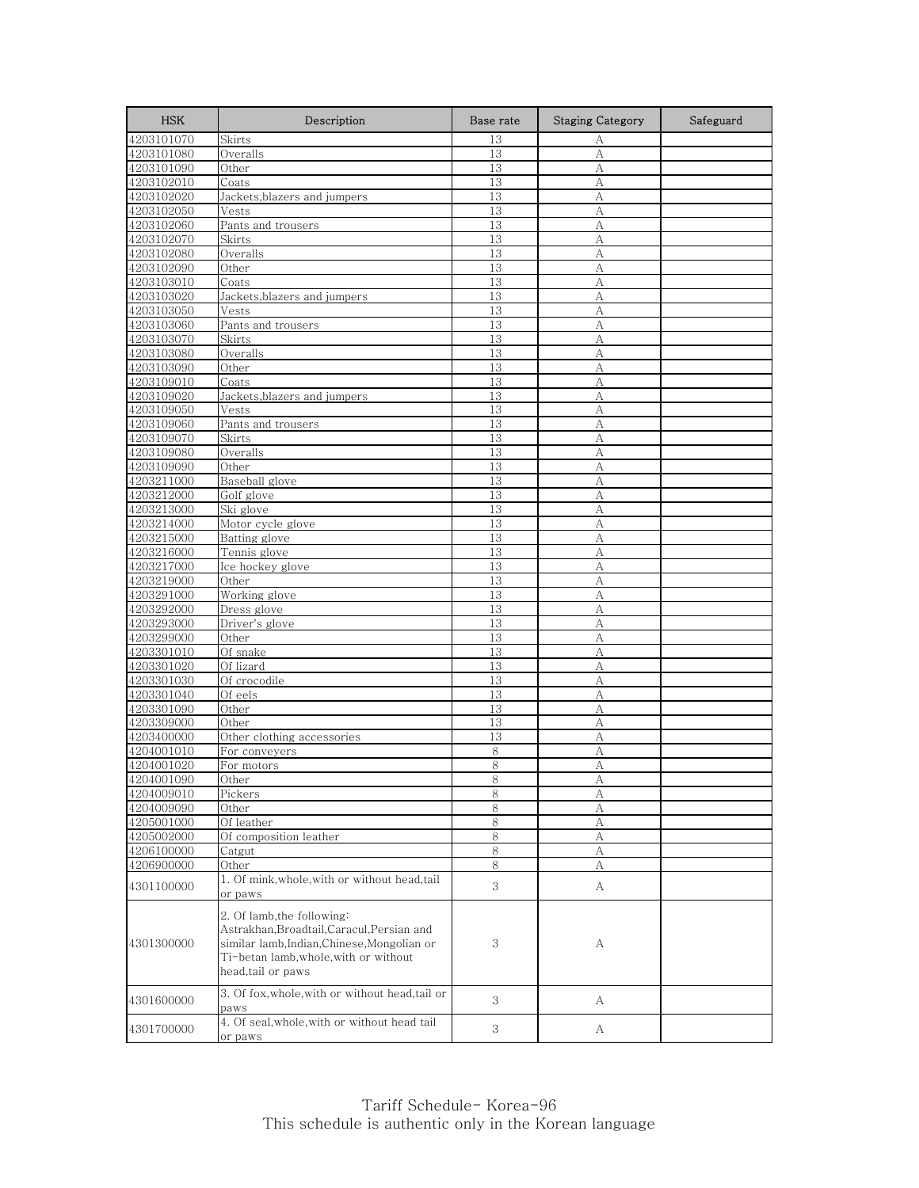| <b>HSK</b>               | Description                                                                                                                                                                           | Base rate    | <b>Staging Category</b> | Safeguard |
|--------------------------|---------------------------------------------------------------------------------------------------------------------------------------------------------------------------------------|--------------|-------------------------|-----------|
| 4203101070               | Skirts                                                                                                                                                                                | 13           | А                       |           |
| 4203101080               | Overalls                                                                                                                                                                              | 13           | А                       |           |
| 4203101090               | Other                                                                                                                                                                                 | 13           | A                       |           |
| 4203102010               | Coats                                                                                                                                                                                 | 13           | А                       |           |
| 4203102020               | Jackets, blazers and jumpers                                                                                                                                                          | 13           | А                       |           |
| 4203102050               | Vests                                                                                                                                                                                 | 13           | A                       |           |
| 4203102060               | Pants and trousers                                                                                                                                                                    | 13           | А                       |           |
| 4203102070               | Skirts                                                                                                                                                                                | 13           | A                       |           |
| 4203102080               | Overalls                                                                                                                                                                              | 13           | A                       |           |
| 4203102090               | Other                                                                                                                                                                                 | 13           | А                       |           |
| 4203103010               | Coats                                                                                                                                                                                 | 13           | А                       |           |
| 4203103020               | Jackets, blazers and jumpers                                                                                                                                                          | 13           | А                       |           |
| 4203103050               | Vests                                                                                                                                                                                 | 13           | A                       |           |
| 4203103060               | Pants and trousers                                                                                                                                                                    | 13           | A                       |           |
| 4203103070               | Skirts                                                                                                                                                                                | 13           | A                       |           |
| 4203103080               | Overalls                                                                                                                                                                              | 13           | А                       |           |
| 4203103090               | Other                                                                                                                                                                                 | 13           | А                       |           |
| 4203109010               | Coats                                                                                                                                                                                 | 13           | A                       |           |
| 4203109020               | Jackets, blazers and jumpers                                                                                                                                                          | 13           | А                       |           |
| 4203109050               | Vests                                                                                                                                                                                 | 13           | А                       |           |
| 4203109060               | Pants and trousers                                                                                                                                                                    | 13           | A                       |           |
| 4203109070               | Skirts                                                                                                                                                                                | 13           | А                       |           |
| 4203109080               | Overalls                                                                                                                                                                              | 13           | А                       |           |
| 4203109090               | Other                                                                                                                                                                                 | 13           | А                       |           |
| 4203211000               | Baseball glove                                                                                                                                                                        | 13           | А                       |           |
| 4203212000               | Golf glove                                                                                                                                                                            | 13           | А                       |           |
| 4203213000               | Ski glove                                                                                                                                                                             | 13           | A                       |           |
| 4203214000               | Motor cycle glove                                                                                                                                                                     | 13           | A                       |           |
| 4203215000               | Batting glove                                                                                                                                                                         | 13           | А                       |           |
| 4203216000               | Tennis glove                                                                                                                                                                          | 13           | A                       |           |
| 4203217000               | Ice hockey glove                                                                                                                                                                      | 13           | А                       |           |
| 4203219000               | Other                                                                                                                                                                                 | 13           | A                       |           |
| 4203291000               | Working glove                                                                                                                                                                         | 13<br>13     | А                       |           |
| 4203292000<br>4203293000 | Dress glove<br>Driver's glove                                                                                                                                                         | 13           | А<br>А                  |           |
| 4203299000               |                                                                                                                                                                                       | 13           |                         |           |
| 4203301010               | Other<br>Of snake                                                                                                                                                                     | 13           | А<br>A                  |           |
| 4203301020               | Of lizard                                                                                                                                                                             | 13           | А                       |           |
| 4203301030               | Of crocodile                                                                                                                                                                          | 13           | A                       |           |
| 4203301040               | Of eels                                                                                                                                                                               | 13           | A                       |           |
| 4203301090               | Other                                                                                                                                                                                 | 13           | А                       |           |
| 4203309000               | Other                                                                                                                                                                                 | 13           | А                       |           |
| 4203400000               | Other clothing accessories                                                                                                                                                            | 13           | A                       |           |
| 4204001010               | For conveyers                                                                                                                                                                         | 8            | А                       |           |
| 4204001020               | For motors                                                                                                                                                                            | 8            | А                       |           |
| 4204001090               | Other                                                                                                                                                                                 | 8            | Α                       |           |
| 4204009010               | Pickers                                                                                                                                                                               | 8            | A                       |           |
| 4204009090               | Other                                                                                                                                                                                 | 8            | А                       |           |
| 4205001000               | Of leather                                                                                                                                                                            | 8            | $\mathbf{A}$            |           |
| 4205002000               | Of composition leather                                                                                                                                                                | 8            | А                       |           |
| 4206100000               | Catgut                                                                                                                                                                                | $\,8\,$      | А                       |           |
| 4206900000               | Other                                                                                                                                                                                 | 8            | А                       |           |
|                          | 1. Of mink, whole, with or without head, tail                                                                                                                                         |              |                         |           |
| 4301100000               | or paws                                                                                                                                                                               | $\mathbf{3}$ | A                       |           |
| 4301300000               | 2. Of lamb, the following:<br>Astrakhan, Broadtail, Caracul, Persian and<br>similar lamb, Indian, Chinese, Mongolian or<br>Ti-betan lamb, whole, with or without<br>head,tail or paws | 3            | А                       |           |
| 4301600000               | 3. Of fox, whole, with or without head, tail or<br>paws                                                                                                                               | 3            | А                       |           |
| 4301700000               | 4. Of seal, whole, with or without head tail<br>or paws                                                                                                                               | 3            | A                       |           |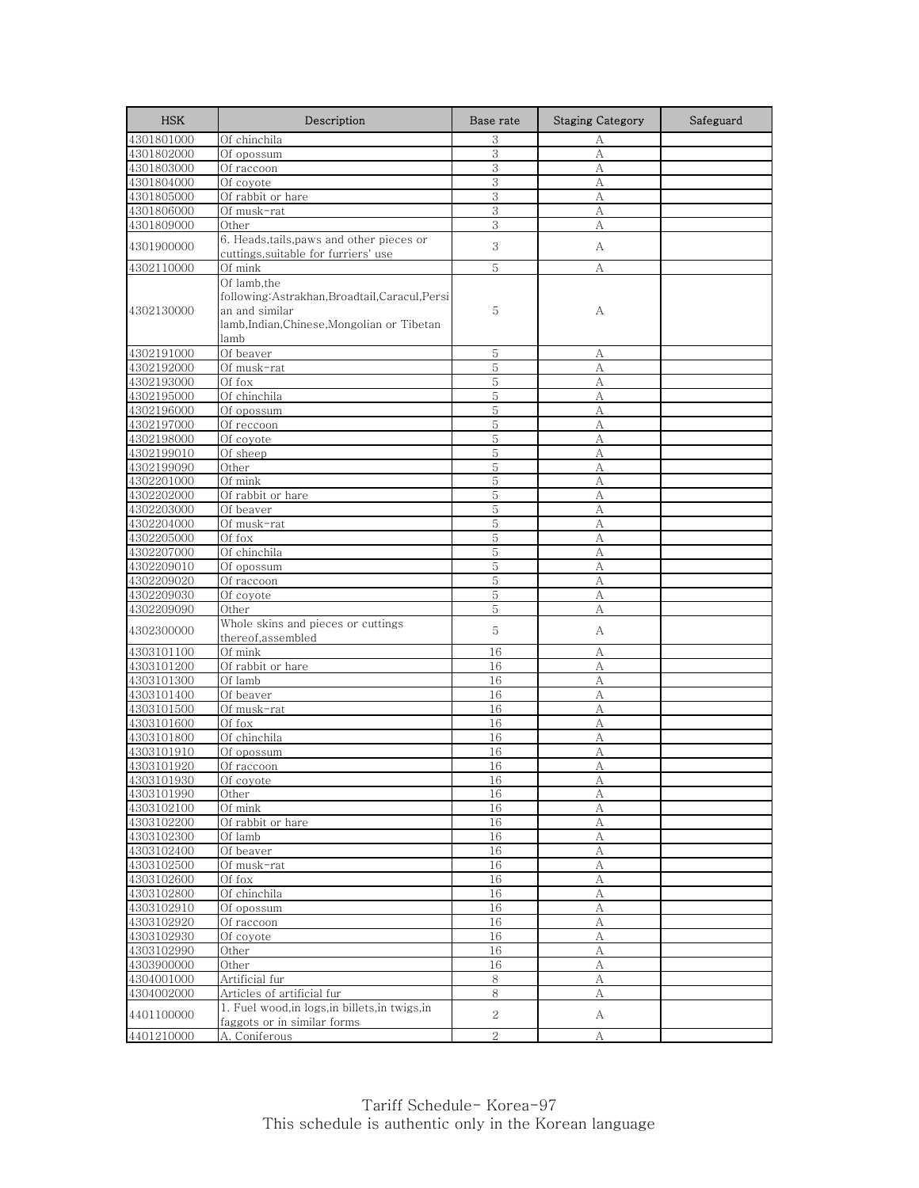| <b>HSK</b>               | Description                                                   | Base rate      | <b>Staging Category</b> | Safeguard |
|--------------------------|---------------------------------------------------------------|----------------|-------------------------|-----------|
| 4301801000               | Of chinchila                                                  | 3              | А                       |           |
| 4301802000               | Of opossum                                                    | 3              | A                       |           |
| 4301803000               | Of raccoon                                                    | 3              | А                       |           |
| 4301804000               | Of coyote                                                     | 3              | А                       |           |
| 4301805000               | Of rabbit or hare                                             | 3              | А                       |           |
| 4301806000               | Of musk-rat                                                   | 3              | А                       |           |
| 4301809000               | Other                                                         | 3              | А                       |           |
| 4301900000               | 6. Heads,tails,paws and other pieces or                       | 3              | А                       |           |
|                          | cuttings, suitable for furriers' use                          |                |                         |           |
| 4302110000               | Of mink                                                       | 5              | А                       |           |
|                          | Of lamb,the                                                   |                |                         |           |
| 4302130000               | following: Astrakhan, Broadtail, Caracul, Persi               | 5              |                         |           |
|                          | an and similar<br>lamb, Indian, Chinese, Mongolian or Tibetan |                | А                       |           |
|                          | lamb                                                          |                |                         |           |
| 4302191000               | Of beaver                                                     | 5              |                         |           |
| 4302192000               | Of musk-rat                                                   | 5              | А<br>А                  |           |
| 4302193000               | Of fox                                                        | 5              | А                       |           |
| 4302195000               | Of chinchila                                                  | 5              | А                       |           |
| 4302196000               | Of opossum                                                    | 5              | A                       |           |
| 4302197000               | Of reccoon                                                    | 5              | А                       |           |
| 4302198000               | Of coyote                                                     | 5              | А                       |           |
| 4302199010               | Of sheep                                                      | 5              | A                       |           |
| 4302199090               | Other                                                         | 5              | А                       |           |
| 4302201000               | Of mink                                                       | $\mathbf 5$    | А                       |           |
| 4302202000               | Of rabbit or hare                                             | 5              | А                       |           |
| 4302203000               | Of beaver                                                     | 5              | А                       |           |
| 4302204000               | Of musk-rat                                                   | 5              | А                       |           |
| 4302205000               | Of fox                                                        | 5              | А                       |           |
| 4302207000               | Of chinchila                                                  | 5              | А                       |           |
| 4302209010               | Of opossum                                                    | 5              | А                       |           |
| 4302209020               | Of raccoon                                                    | 5              | A                       |           |
| 4302209030               | Of coyote                                                     | 5              | А                       |           |
| 4302209090               | Other                                                         | 5              | А                       |           |
| 4302300000               | Whole skins and pieces or cuttings                            | 5              | А                       |           |
|                          | thereof,assembled                                             |                |                         |           |
| 4303101100               | Of mink                                                       | 16             | A                       |           |
| 4303101200               | Of rabbit or hare                                             | 16             | А                       |           |
| 4303101300               | Of lamb                                                       | 16             | А                       |           |
| 4303101400               | Of beaver                                                     | 16             | А                       |           |
| 4303101500               | Of musk-rat                                                   | 16             | А                       |           |
| 4303101600               | Of fox                                                        | 16             | A                       |           |
| 4303101800               | Of chinchila                                                  | 16<br>16       | А<br>A                  |           |
| 4303101910<br>4303101920 | Of opossum                                                    | 16             | А                       |           |
|                          | Of raccoon                                                    |                |                         |           |
| 4303101930<br>4303101990 | Ut coyote<br>Other                                            | 16<br>16       | $\mathbb{A}$<br>A       |           |
| 4303102100               | Of mink                                                       | 16             | А                       |           |
| 4303102200               | Of rabbit or hare                                             | 16             | $\rm A$                 |           |
| 4303102300               | Of lamb                                                       | 16             | А                       |           |
| 4303102400               | Of beaver                                                     | 16             | А                       |           |
| 4303102500               | Of musk-rat                                                   | 16             | $\mathbf{A}$            |           |
| 4303102600               | Of fox                                                        | 16             | А                       |           |
| 4303102800               | Of chinchila                                                  | 16             | $\mathbf{A}$            |           |
| 4303102910               | Of opossum                                                    | 16             | А                       |           |
| 4303102920               | Of raccoon                                                    | 16             | $\boldsymbol{A}$        |           |
| 4303102930               | Of coyote                                                     | 16             | А                       |           |
| 4303102990               | Other                                                         | 16             | А                       |           |
| 4303900000               | Other                                                         | 16             | A                       |           |
| 4304001000               | Artificial fur                                                | 8              | А                       |           |
| 4304002000               | Articles of artificial fur                                    | 8              | А                       |           |
|                          | 1. Fuel wood, in logs, in billets, in twigs, in               |                |                         |           |
| 4401100000               | faggots or in similar forms                                   | 2              | A                       |           |
| 4401210000               | A. Coniferous                                                 | $\overline{2}$ | А                       |           |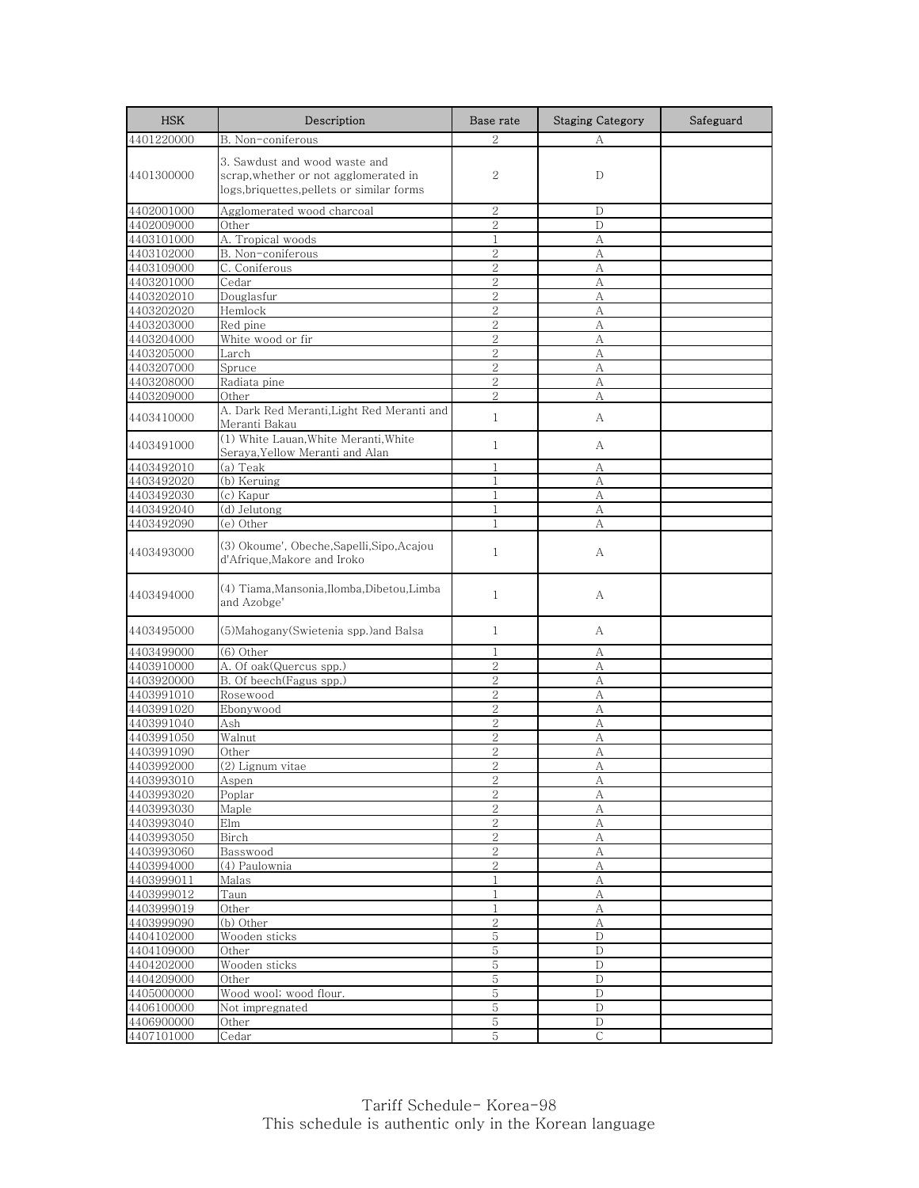| <b>HSK</b>               | Description                                                                                                          | Base rate                      | <b>Staging Category</b> | Safeguard |
|--------------------------|----------------------------------------------------------------------------------------------------------------------|--------------------------------|-------------------------|-----------|
| 4401220000               | B. Non-coniferous                                                                                                    | $\overline{2}$                 | А                       |           |
| 4401300000               | 3. Sawdust and wood waste and<br>scrap, whether or not agglomerated in<br>logs, briquettes, pellets or similar forms | 2                              | D                       |           |
| 4402001000               | Agglomerated wood charcoal                                                                                           | $\mathbf{2}$                   | D                       |           |
| 4402009000               | Other                                                                                                                | $\mathbf{2}$                   | D                       |           |
| 4403101000               | A. Tropical woods                                                                                                    | $\mathbf{1}$                   | A                       |           |
| 4403102000               | B. Non-coniferous                                                                                                    | $\overline{2}$                 | A                       |           |
| 4403109000               | C. Coniferous                                                                                                        | $\overline{2}$                 | А                       |           |
| 4403201000               | Cedar                                                                                                                | $\overline{2}$                 | А                       |           |
| 4403202010               | Douglasfur                                                                                                           | 2<br>$\overline{2}$            | А                       |           |
| 4403202020<br>4403203000 | Hemlock<br>Red pine                                                                                                  | $\overline{2}$                 | A<br>А                  |           |
| 4403204000               | White wood or fir                                                                                                    | $\overline{2}$                 | A                       |           |
| 4403205000               | Larch                                                                                                                | $\overline{2}$                 | A                       |           |
| 4403207000               | Spruce                                                                                                               | $\overline{2}$                 | А                       |           |
| 4403208000               | Radiata pine                                                                                                         | $\overline{2}$                 | A                       |           |
| 4403209000               | Other                                                                                                                | $\mathbf{2}$                   | А                       |           |
| 4403410000               | A. Dark Red Meranti, Light Red Meranti and<br>Meranti Bakau                                                          | $\mathbf{1}$                   | A                       |           |
| 4403491000               | (1) White Lauan. White Meranti. White<br>Seraya,Yellow Meranti and Alan                                              | $\mathbf{1}$                   | А                       |           |
| 4403492010               | (a) Teak                                                                                                             | 1                              | А                       |           |
| 4403492020               | (b) Keruing                                                                                                          | $\mathbf{1}$                   | А                       |           |
| 4403492030               | (c) Kapur                                                                                                            | $\mathbf{1}$                   | А                       |           |
| 4403492040               | (d) Jelutong                                                                                                         | 1                              | А                       |           |
| 4403492090               | (e) Other                                                                                                            | $\mathbf{1}$                   | А                       |           |
| 4403493000               | (3) Okoume', Obeche,Sapelli,Sipo,Acajou<br>d'Afrique, Makore and Iroko                                               | $\mathbf{1}$                   | А                       |           |
| 4403494000               | (4) Tiama, Mansonia, Ilomba, Dibetou, Limba<br>and Azobge'                                                           | $\mathbf{1}$                   | А                       |           |
| 4403495000               | (5) Mahogany (Swietenia spp.) and Balsa                                                                              | 1                              | А                       |           |
| 4403499000               | $(6)$ Other                                                                                                          | 1                              | А                       |           |
| 4403910000               | A. Of oak(Quercus spp.)                                                                                              | $\mathbf{2}$                   | A                       |           |
| 4403920000               | B. Of beech(Fagus spp.)                                                                                              | $\overline{2}$                 | А                       |           |
| 4403991010               | Rosewood                                                                                                             | $\overline{2}$                 | А                       |           |
| 4403991020               | Ebonywood                                                                                                            | $\overline{2}$                 | А                       |           |
| 4403991040               | Ash                                                                                                                  | $\overline{2}$                 | A                       |           |
| 4403991050               | Walnut                                                                                                               | $\mathbf{2}$<br>$\overline{2}$ | А                       |           |
| 4403991090<br>4403992000 | Other<br>(2) Lignum vitae                                                                                            | $\overline{2}$                 | A<br>А                  |           |
| 4403993010               |                                                                                                                      |                                |                         |           |
| 4403993020               | Aspen<br>Poplar                                                                                                      | 2                              | A<br>А                  |           |
| 4403993030               | Maple                                                                                                                | $\overline{2}$                 | А                       |           |
| 4403993040               | Elm                                                                                                                  | $\overline{2}$                 | $\mathbf{A}$            |           |
| 4403993050               | Birch                                                                                                                | $\sqrt{2}$                     | А                       |           |
| 4403993060               | Basswood                                                                                                             | $\sqrt{2}$                     | A                       |           |
| 4403994000               | (4) Paulownia                                                                                                        | $\overline{2}$                 | А                       |           |
| 4403999011               | Malas                                                                                                                | $\mathbf{1}$                   | А                       |           |
| 4403999012               | Taun                                                                                                                 | $1\,$                          | $\boldsymbol{A}$        |           |
| 4403999019               | Other                                                                                                                | 1                              | А                       |           |
| 4403999090               | (b) Other                                                                                                            | $\overline{2}$                 | А                       |           |
| 4404102000               | Wooden sticks                                                                                                        | 5                              | D                       |           |
| 4404109000               | Other                                                                                                                | 5                              | $\mathbf D$             |           |
| 4404202000               | Wooden sticks                                                                                                        | 5                              | $\mathbf D$             |           |
| 4404209000               | Other                                                                                                                | 5                              | D                       |           |
| 4405000000<br>4406100000 | Wood wool; wood flour.<br>Not impregnated                                                                            | 5<br>5                         | D<br>D                  |           |
| 4406900000               | Other                                                                                                                | $\mathbf 5$                    | $\mathbf D$             |           |
| 4407101000               | Cedar                                                                                                                | 5                              | $\mathsf{C}$            |           |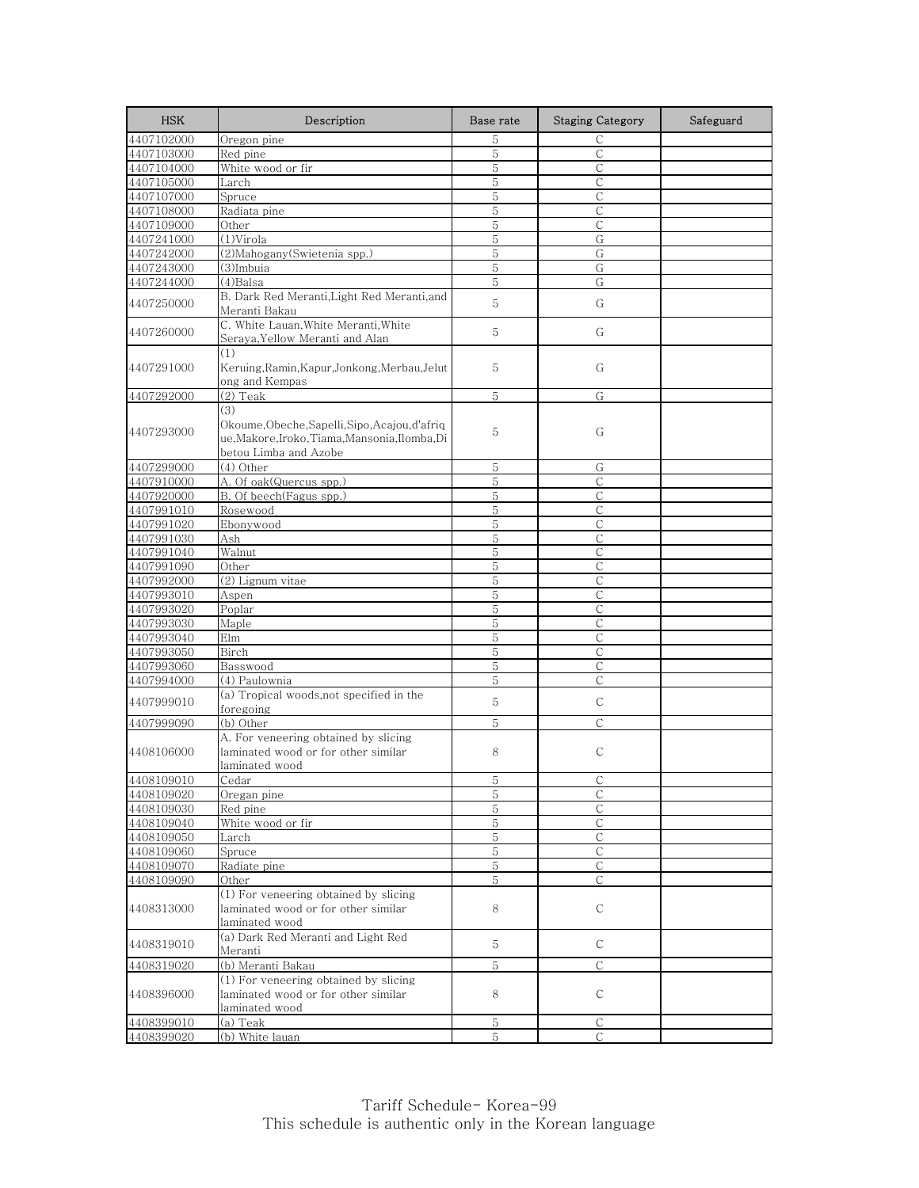| <b>HSK</b> | Description                                                                                                    | Base rate   | <b>Staging Category</b> | Safeguard |
|------------|----------------------------------------------------------------------------------------------------------------|-------------|-------------------------|-----------|
| 4407102000 | Oregon pine                                                                                                    | 5           | $\mathsf{C}$            |           |
| 4407103000 | Red pine                                                                                                       | 5           | $\mathsf{C}$            |           |
| 4407104000 | White wood or fir                                                                                              | 5           | $\mathsf{C}$            |           |
| 4407105000 | Larch                                                                                                          | 5           | $\mathsf{C}$            |           |
| 4407107000 | Spruce                                                                                                         | 5           | С                       |           |
| 4407108000 | Radiata pine                                                                                                   | 5           | $\mathsf{C}$            |           |
| 4407109000 | Other                                                                                                          | 5           | С                       |           |
| 4407241000 | (1)Virola                                                                                                      | 5           | G                       |           |
| 4407242000 | (2) Mahogany (Swietenia spp.)                                                                                  | 5           | G                       |           |
| 4407243000 | (3)Imbuia                                                                                                      | 5           | G                       |           |
| 4407244000 | $(4)$ Balsa                                                                                                    | 5           | G                       |           |
| 4407250000 | B. Dark Red Meranti, Light Red Meranti, and<br>Meranti Bakau                                                   | 5           | G                       |           |
| 4407260000 | C. White Lauan, White Meranti, White<br>Seraya, Yellow Meranti and Alan                                        | 5           | G                       |           |
| 4407291000 | (1)<br>Keruing, Ramin, Kapur, Jonkong, Merbau, Jelut                                                           | 5           | G                       |           |
| 4407292000 | ong and Kempas<br>$(2)$ Teak                                                                                   | 5           | G                       |           |
|            | (3)                                                                                                            |             |                         |           |
| 4407293000 | Okoume,Obeche,Sapelli,Sipo,Acajou,d'afriq<br>ue,Makore,Iroko,Tiama,Mansonia,Ilomba,Di<br>betou Limba and Azobe | 5           | G                       |           |
| 4407299000 | (4) Other                                                                                                      | 5           | G                       |           |
| 4407910000 | A. Of oak(Quercus spp.)                                                                                        | 5           | $\mathsf{C}$            |           |
| 4407920000 | B. Of beech(Fagus spp.)                                                                                        | 5           | $\mathsf{C}$            |           |
| 4407991010 | Rosewood                                                                                                       | 5           | C                       |           |
| 4407991020 | Ebonywood                                                                                                      | $\mathbf 5$ | $\mathsf C$             |           |
| 4407991030 | Ash                                                                                                            | 5           | С                       |           |
| 4407991040 | Walnut                                                                                                         | 5           | $\mathsf{C}$            |           |
| 4407991090 | Other                                                                                                          | 5           | С                       |           |
| 4407992000 | (2) Lignum vitae                                                                                               | 5           | $\mathsf{C}$            |           |
| 4407993010 | Aspen                                                                                                          | 5           | $\mathsf{C}$            |           |
| 4407993020 | Poplar                                                                                                         | 5           | С                       |           |
| 4407993030 | Maple                                                                                                          | 5           | $\mathsf{C}$            |           |
| 4407993040 | Elm                                                                                                            | 5           | С                       |           |
| 4407993050 | Birch                                                                                                          | 5           | $\mathsf{C}$            |           |
| 4407993060 | Basswood                                                                                                       | 5           | C                       |           |
|            |                                                                                                                | 5           | $\mathsf{C}$            |           |
| 4407994000 | (4) Paulownia                                                                                                  |             |                         |           |
| 4407999010 | (a) Tropical woods, not specified in the<br>foregoing                                                          | 5           | $\mathsf{C}$            |           |
| 4407999090 | (b) Other                                                                                                      | 5           | $\mathsf{C}$            |           |
| 4408106000 | A. For veneering obtained by slicing<br>laminated wood or for other similar<br>laminated wood                  | 8           | C                       |           |
| 4408109010 | Cedar                                                                                                          | C           |                         |           |
| 4408109020 | Oregan pine                                                                                                    | 5           | $\mathsf C$             |           |
| 4408109030 | Red pine                                                                                                       | 5           | С                       |           |
| 4408109040 | White wood or fir                                                                                              | $\mathbf 5$ | $\mathsf{C}$            |           |
| 4408109050 | Larch                                                                                                          | 5           | С                       |           |
| 4408109060 | Spruce                                                                                                         | 5           | C                       |           |
| 4408109070 | Radiate pine                                                                                                   | 5           | С                       |           |
| 4408109090 | Other                                                                                                          | 5           | С                       |           |
| 4408313000 | (1) For veneering obtained by slicing<br>laminated wood or for other similar<br>laminated wood                 | 8           | С                       |           |
| 4408319010 | (a) Dark Red Meranti and Light Red<br>Meranti                                                                  | 5           | С                       |           |
| 4408319020 | (b) Meranti Bakau                                                                                              | 5           | $\mathsf{C}$            |           |
| 4408396000 | (1) For veneering obtained by slicing<br>laminated wood or for other similar<br>laminated wood                 | 8           | С                       |           |
| 4408399010 | (a) Teak                                                                                                       | 5           | C                       |           |
| 4408399020 | (b) White lauan                                                                                                | $\mathbf 5$ | $\mathsf{C}$            |           |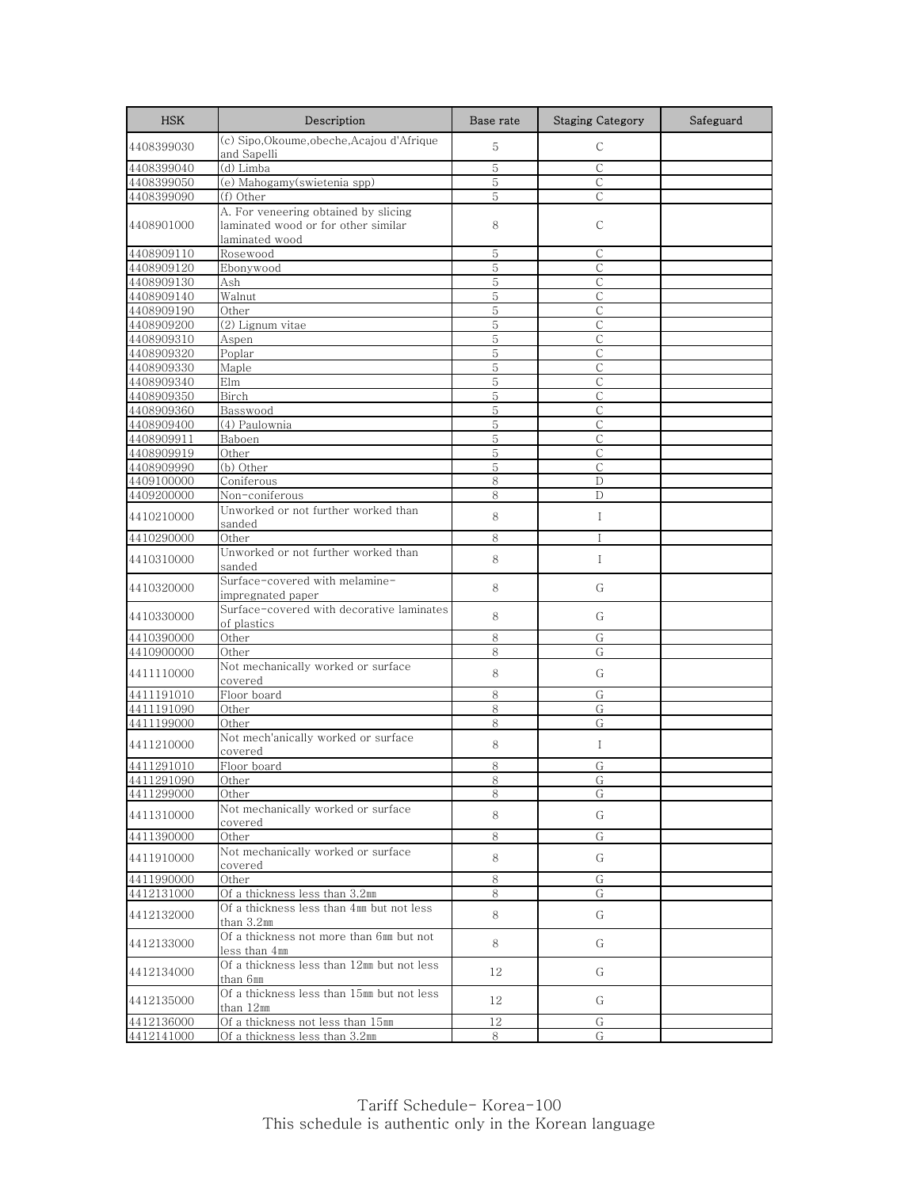| <b>HSK</b>               | Description                                                                                   | Base rate | <b>Staging Category</b> | Safeguard |
|--------------------------|-----------------------------------------------------------------------------------------------|-----------|-------------------------|-----------|
| 4408399030               | (c) Sipo, Okoume, obeche, Acajou d'Afrique<br>and Sapelli                                     | 5         | $\mathsf{C}$            |           |
| 4408399040               | (d) Limba                                                                                     | 5         | $\mathsf{C}$            |           |
| 4408399050               | (e) Mahogamy(swietenia spp)                                                                   | 5         | $\mathsf{C}$            |           |
| 4408399090               | (f) Other                                                                                     | 5         | C                       |           |
| 4408901000               | A. For veneering obtained by slicing<br>laminated wood or for other similar<br>laminated wood | 8         | С                       |           |
| 4408909110               | Rosewood                                                                                      | 5         | $\mathsf{C}$            |           |
| 4408909120               | Ebonywood                                                                                     | 5         | С                       |           |
| 4408909130               | Ash                                                                                           | 5         | $\mathsf{C}$            |           |
| 4408909140               | Walnut                                                                                        | 5         | С                       |           |
| 4408909190               | Other                                                                                         | 5         | $\mathsf{C}$            |           |
| 4408909200               | (2) Lignum vitae                                                                              | 5         | С                       |           |
| 4408909310               | Aspen                                                                                         | 5         | C                       |           |
| 4408909320               | Poplar                                                                                        | 5         | $\mathsf C$             |           |
| 4408909330               | Maple                                                                                         | 5<br>5    | C<br>$\mathsf{C}$       |           |
| 4408909340<br>4408909350 | Elm<br>Birch                                                                                  | 5         | С                       |           |
| 4408909360               | Basswood                                                                                      | 5         | $\mathcal{C}$           |           |
| 4408909400               | $\overline{(4)}$ Paulownia                                                                    | 5         | $\mathsf{C}$            |           |
| 4408909911               | Baboen                                                                                        | 5         | $\mathsf{C}$            |           |
| 4408909919               | Other                                                                                         | 5         | $\mathsf{C}$            |           |
| 4408909990               | (b) Other                                                                                     | 5         | C                       |           |
| 4409100000               | Coniferous                                                                                    | 8         | D                       |           |
| 4409200000               | Non-coniferous                                                                                | 8         | D                       |           |
| 4410210000               | Unworked or not further worked than<br>sanded                                                 | 8         | $\mathbf I$             |           |
| 4410290000               | Other                                                                                         | 8         | $\mathsf{I}$            |           |
| 4410310000               | Unworked or not further worked than<br>sanded                                                 | 8         | $\bf{I}$                |           |
| 4410320000               | Surface-covered with melamine-<br>impregnated paper                                           | 8         | G                       |           |
| 4410330000               | Surface-covered with decorative laminates<br>of plastics                                      | 8         | G                       |           |
| 4410390000               | Other                                                                                         | 8         | G                       |           |
| 4410900000               | Other                                                                                         | 8         | G                       |           |
| 4411110000               | Not mechanically worked or surface<br>covered                                                 | 8         | G                       |           |
| 4411191010               | Floor board                                                                                   | 8         | G                       |           |
| 4411191090               | Other                                                                                         | 8         | G                       |           |
| 4411199000               | Other                                                                                         | 8         | G                       |           |
| 4411210000               | Not mech'anically worked or surface<br>covered                                                | 8         | $\bf{I}$                |           |
| 4411291010               | Floor board                                                                                   | 8         | G                       |           |
| 4411291090               | Other                                                                                         | ŏ         | G                       |           |
| 4411299000               | Other<br>Not mechanically worked or surface                                                   | 8         | G                       |           |
| 4411310000               | covered                                                                                       | 8         | G                       |           |
| 4411390000               | Other                                                                                         | 8         | G                       |           |
| 4411910000               | Not mechanically worked or surface<br>covered                                                 | 8         | G                       |           |
| 4411990000               | Other                                                                                         | 8         | G                       |           |
| 4412131000               | Of a thickness less than 3.2mm                                                                | 8         | G                       |           |
| 4412132000               | Of a thickness less than 4mm but not less<br>than 3.2mm                                       | 8         | G                       |           |
| 4412133000               | Of a thickness not more than 6mm but not<br>less than 4mm                                     | 8         | G                       |           |
| 4412134000               | Of a thickness less than 12mm but not less<br>than 6mm                                        | 12        | G                       |           |
| 4412135000               | Of a thickness less than 15mm but not less<br>than 12mm                                       | 12        | G                       |           |
| 4412136000               | Of a thickness not less than 15mm                                                             | 12        | G                       |           |
| 4412141000               | Of a thickness less than 3.2mm                                                                | 8         | G                       |           |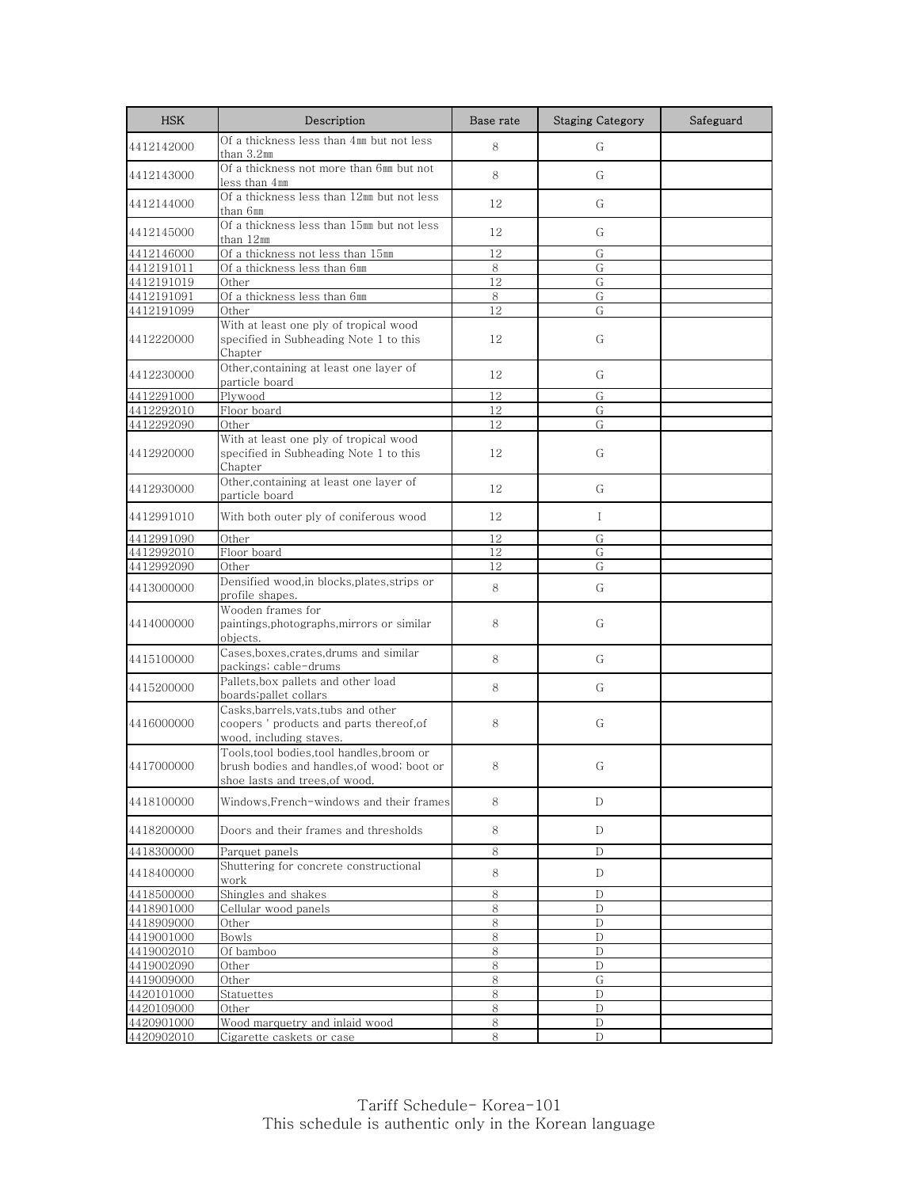| <b>HSK</b>               | Description                                                                                                               | Base rate       | <b>Staging Category</b> | Safeguard |
|--------------------------|---------------------------------------------------------------------------------------------------------------------------|-----------------|-------------------------|-----------|
| 4412142000               | Of a thickness less than 4mm but not less<br>than 3.2mm                                                                   | 8               | G                       |           |
| 4412143000               | Of a thickness not more than 6mm but not<br>less than 4mm                                                                 | 8               | G                       |           |
| 4412144000               | Of a thickness less than 12mm but not less<br>than 6mm                                                                    | 12              | G                       |           |
| 4412145000               | Of a thickness less than 15mm but not less<br>than 12mm                                                                   | 12              | G                       |           |
| 4412146000               | Of a thickness not less than 15mm                                                                                         | 12              | G                       |           |
| 4412191011               | Of a thickness less than 6mm                                                                                              | 8               | G                       |           |
| 4412191019               | Other                                                                                                                     | 12              | G                       |           |
| 4412191091               | Of a thickness less than 6mm                                                                                              | 8               | G                       |           |
| 4412191099               | Other                                                                                                                     | $\overline{12}$ | G                       |           |
| 4412220000               | With at least one ply of tropical wood<br>specified in Subheading Note 1 to this<br>Chapter                               | 12              | G                       |           |
| 4412230000               | Other, containing at least one layer of<br>particle board                                                                 | 12              | G                       |           |
| 4412291000               | Plywood                                                                                                                   | 12              | G                       |           |
| 4412292010               | Floor board                                                                                                               | 12              | G                       |           |
| 4412292090               | Other                                                                                                                     | 12              | G                       |           |
| 4412920000               | With at least one ply of tropical wood<br>specified in Subheading Note 1 to this<br>Chapter                               | 12              | G                       |           |
| 4412930000               | Other, containing at least one layer of<br>particle board                                                                 | 12              | G                       |           |
| 4412991010               | With both outer ply of coniferous wood                                                                                    | 12              | $\mathbf{I}$            |           |
| 4412991090               | Other                                                                                                                     | 12              | G                       |           |
| 4412992010               | Floor board                                                                                                               | 12              | G                       |           |
| 4412992090               | Other                                                                                                                     | 12              | G                       |           |
| 4413000000               | Densified wood, in blocks, plates, strips or<br>profile shapes.                                                           | 8               | G                       |           |
| 4414000000               | Wooden frames for<br>paintings, photographs, mirrors or similar<br>objects.                                               | 8               | G                       |           |
| 4415100000               | Cases, boxes, crates, drums and similar<br>packings; cable-drums                                                          | 8               | G                       |           |
| 4415200000               | Pallets, box pallets and other load<br>boards;pallet collars                                                              | 8               | G                       |           |
| 4416000000               | Casks, barrels, vats, tubs and other<br>coopers ' products and parts thereof, of<br>wood, including staves.               | 8               | G                       |           |
| 4417000000               | Tools, tool bodies, tool handles, broom or<br>brush bodies and handles, of wood, boot or<br>shoe lasts and trees,of wood. | 8               | G                       |           |
| 4418100000               | Windows,French-windows and their frames                                                                                   | 8               | D                       |           |
| 4418200000               | Doors and their frames and thresholds                                                                                     | 8               | D                       |           |
| 4418300000               | Parquet panels                                                                                                            | 8               | D                       |           |
| 4418400000               | Shuttering for concrete constructional<br>work                                                                            | 8               | D                       |           |
| 4418500000               | Shingles and shakes                                                                                                       | 8               | D                       |           |
| 4418901000               | Cellular wood panels                                                                                                      | 8               | D                       |           |
| 4418909000               | Other                                                                                                                     | 8               | D                       |           |
| 4419001000               | Bowls                                                                                                                     | 8               | D                       |           |
| 4419002010               | Of bamboo                                                                                                                 | 8               | D                       |           |
| 4419002090               | Other                                                                                                                     | 8               | D                       |           |
| 4419009000               | Other                                                                                                                     | 8               | G                       |           |
| 4420101000               | Statuettes                                                                                                                | 8               | $\mathbf{D}$            |           |
| 4420109000<br>4420901000 | Other<br>Wood marquetry and inlaid wood                                                                                   | 8<br>8          | D<br>D                  |           |
| 4420902010               | Cigarette caskets or case                                                                                                 | 8               | ${\rm D}$               |           |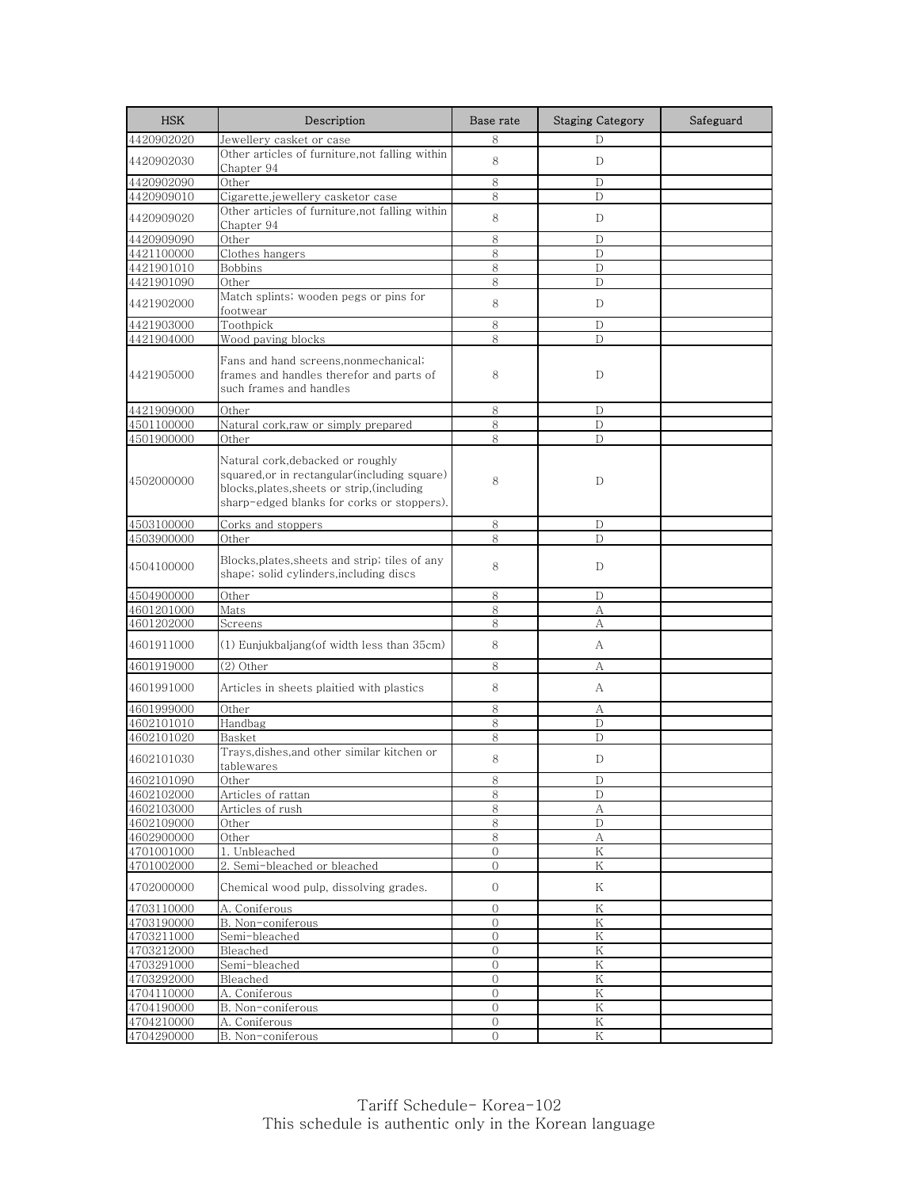| <b>HSK</b>               | Description                                                                                                                                                                     | Base rate                      | <b>Staging Category</b> | Safeguard |
|--------------------------|---------------------------------------------------------------------------------------------------------------------------------------------------------------------------------|--------------------------------|-------------------------|-----------|
| 4420902020               | Jewellery casket or case                                                                                                                                                        | 8                              | D                       |           |
| 4420902030               | Other articles of furniture, not falling within<br>Chapter 94                                                                                                                   | 8                              | D                       |           |
| 4420902090               | Other                                                                                                                                                                           | 8                              | D                       |           |
| 4420909010               | Cigarette,jewellery casketor case                                                                                                                                               | 8                              | D                       |           |
| 4420909020               | Other articles of furniture, not falling within<br>Chapter 94                                                                                                                   | 8                              | D                       |           |
| 4420909090               | Other                                                                                                                                                                           | 8                              | D                       |           |
| 4421100000               | Clothes hangers                                                                                                                                                                 | 8                              | D                       |           |
| 4421901010               | Bobbins                                                                                                                                                                         | 8                              | D                       |           |
| 4421901090               | Other                                                                                                                                                                           | 8                              | D                       |           |
| 4421902000               | Match splints, wooden pegs or pins for<br>footwear                                                                                                                              | 8                              | D                       |           |
| 4421903000               | Toothpick                                                                                                                                                                       | 8                              | D                       |           |
| 4421904000               | Wood paving blocks                                                                                                                                                              | 8                              | D                       |           |
| 4421905000               | Fans and hand screens, nonmechanical;<br>frames and handles therefor and parts of<br>such frames and handles                                                                    | 8                              | D                       |           |
| 4421909000               | Other                                                                                                                                                                           | 8                              | D                       |           |
| 4501100000               | Natural cork, raw or simply prepared                                                                                                                                            | 8                              | D                       |           |
| 4501900000               | Other                                                                                                                                                                           | 8                              | D                       |           |
| 4502000000               | Natural cork, debacked or roughly<br>squared, or in rectangular (including square)<br>blocks, plates, sheets or strip, (including<br>sharp-edged blanks for corks or stoppers). | 8                              | D                       |           |
| 4503100000               | Corks and stoppers                                                                                                                                                              | 8                              | D                       |           |
| 4503900000               | Other                                                                                                                                                                           | 8                              | D                       |           |
| 4504100000               | Blocks, plates, sheets and strip; tiles of any<br>shape; solid cylinders,including discs                                                                                        | 8                              | D                       |           |
| 4504900000               | Other                                                                                                                                                                           | 8                              | D                       |           |
| 4601201000               | Mats                                                                                                                                                                            | 8                              | А                       |           |
| 4601202000               | Screens                                                                                                                                                                         | 8                              | А                       |           |
| 4601911000               | (1) Eunjukbaljang(of width less than 35cm)                                                                                                                                      | 8                              | А                       |           |
| 4601919000               | $(2)$ Other                                                                                                                                                                     | 8                              | А                       |           |
| 4601991000               | Articles in sheets plaitied with plastics                                                                                                                                       | 8                              | А                       |           |
| 4601999000               | Other                                                                                                                                                                           | 8                              | А                       |           |
| 4602101010               | Handbag                                                                                                                                                                         | 8                              | $\mathbf{D}$            |           |
| 4602101020               | Basket                                                                                                                                                                          | 8                              | D                       |           |
| 4602101030               | Trays,dishes,and other similar kitchen or<br>tablewares                                                                                                                         | 8                              | D                       |           |
| 4602101090               | Other                                                                                                                                                                           | ŏ                              | D                       |           |
| 4602102000               | Articles of rattan                                                                                                                                                              | 8                              | D                       |           |
| 4602103000               | Articles of rush                                                                                                                                                                | 8                              | А                       |           |
| 4602109000               | Other                                                                                                                                                                           | 8                              | D                       |           |
| 4602900000               | Other                                                                                                                                                                           | 8                              | А                       |           |
| 4701001000               | 1. Unbleached                                                                                                                                                                   | $\mathcal{O}$                  | Κ                       |           |
| 4701002000<br>4702000000 | 2. Semi-bleached or bleached<br>Chemical wood pulp, dissolving grades.                                                                                                          | $\mathbf{0}$<br>0              | Κ<br>Κ                  |           |
|                          |                                                                                                                                                                                 |                                |                         |           |
| 4703110000<br>4703190000 | A. Coniferous<br>B. Non-coniferous                                                                                                                                              | $\mathbf{O}$<br>$\overline{0}$ | Κ<br>Κ                  |           |
| 4703211000               | Semi-bleached                                                                                                                                                                   | 0                              | Κ                       |           |
| 4703212000               | Bleached                                                                                                                                                                        | $\mathbf{0}$                   | K                       |           |
| 4703291000               | Semi-bleached                                                                                                                                                                   | $\overline{0}$                 | Κ                       |           |
| 4703292000               | Bleached                                                                                                                                                                        | 0                              | Κ                       |           |
| 4704110000               | A. Coniferous                                                                                                                                                                   | $\overline{O}$                 | Κ                       |           |
| 4704190000               | B. Non-coniferous                                                                                                                                                               | 0                              | Κ                       |           |
| 4704210000               | A. Coniferous                                                                                                                                                                   | $\boldsymbol{0}$               | K                       |           |
| 4704290000               | B. Non-coniferous                                                                                                                                                               | $\Omega$                       | Κ                       |           |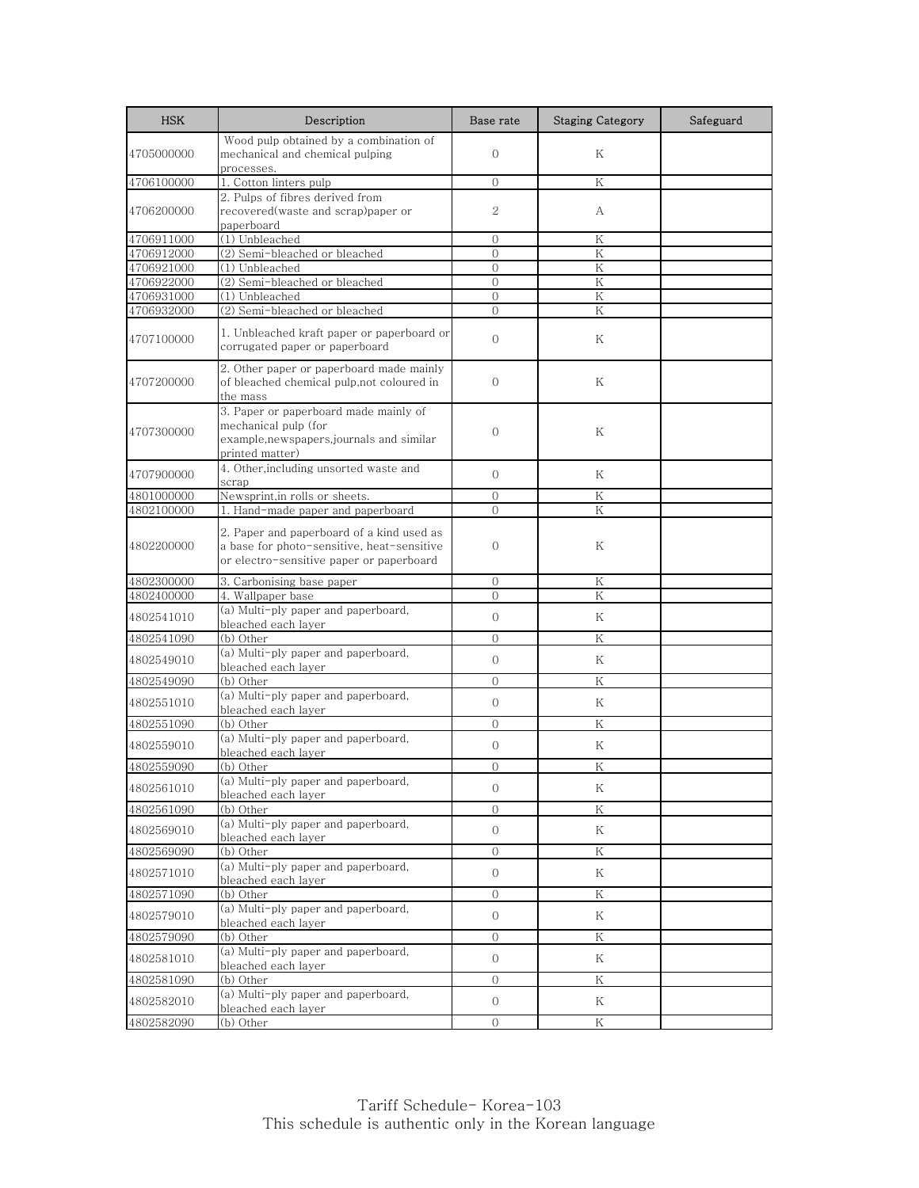| <b>HSK</b>               | Description                                                                  | Base rate                | <b>Staging Category</b> | Safeguard |
|--------------------------|------------------------------------------------------------------------------|--------------------------|-------------------------|-----------|
|                          | Wood pulp obtained by a combination of                                       |                          |                         |           |
| 4705000000               | mechanical and chemical pulping                                              | $\overline{0}$           | Κ                       |           |
|                          | processes.<br>1. Cotton linters pulp                                         |                          |                         |           |
| 4706100000               | 2. Pulps of fibres derived from                                              | $\Omega$                 | K                       |           |
| 4706200000               | recovered(waste and scrap)paper or                                           | 2                        | А                       |           |
|                          | paperboard                                                                   |                          |                         |           |
| 4706911000               | (1) Unbleached                                                               | $\Omega$                 | K                       |           |
| 4706912000               | (2) Semi-bleached or bleached                                                | $\overline{0}$           | Κ                       |           |
| 4706921000               | $\overline{(1)$ Unbleached                                                   | $\overline{0}$           | Κ                       |           |
| 4706922000<br>4706931000 | (2) Semi-bleached or bleached<br>(1) Unbleached                              | $\Omega$<br>$\mathbf{O}$ | K<br>Κ                  |           |
| 4706932000               | (2) Semi-bleached or bleached                                                | $\Omega$                 | K                       |           |
|                          |                                                                              |                          |                         |           |
| 4707100000               | 1. Unbleached kraft paper or paperboard or<br>corrugated paper or paperboard | $\overline{0}$           | Κ                       |           |
|                          | 2. Other paper or paperboard made mainly                                     |                          |                         |           |
| 4707200000               | of bleached chemical pulp, not coloured in                                   | $\overline{0}$           | Κ                       |           |
|                          | the mass                                                                     |                          |                         |           |
|                          | 3. Paper or paperboard made mainly of<br>mechanical pulp (for                |                          |                         |           |
| 4707300000               | example,newspapers,journals and similar                                      | $\Omega$                 | Κ                       |           |
|                          | printed matter)                                                              |                          |                         |           |
|                          | 4. Other, including unsorted waste and                                       |                          |                         |           |
| 4707900000               | scrap                                                                        | $\Omega$                 | K                       |           |
| 4801000000               | Newsprint, in rolls or sheets.                                               | $\Omega$                 | Κ                       |           |
| 4802100000               | 1. Hand-made paper and paperboard                                            | $\Omega$                 | Κ                       |           |
|                          | 2. Paper and paperboard of a kind used as                                    |                          |                         |           |
| 4802200000               | a base for photo-sensitive, heat-sensitive                                   | $\overline{0}$           | Κ                       |           |
|                          | or electro-sensitive paper or paperboard                                     |                          |                         |           |
| 4802300000               | 3. Carbonising base paper                                                    | $\Omega$                 | K                       |           |
| 4802400000               | 4. Wallpaper base                                                            | $\overline{0}$           | Κ                       |           |
| 4802541010               | (a) Multi-ply paper and paperboard,                                          | $\Omega$                 | Κ                       |           |
| 4802541090               | bleached each layer<br>(b) Other                                             | $\overline{0}$           | Κ                       |           |
|                          | (a) Multi-ply paper and paperboard,                                          |                          |                         |           |
| 4802549010               | bleached each layer                                                          | $\overline{O}$           | K                       |           |
| 4802549090               | (b) Other                                                                    | $\Omega$                 | Κ                       |           |
| 4802551010               | (a) Multi-ply paper and paperboard,                                          | $\overline{0}$           | K                       |           |
|                          | bleached each layer                                                          |                          |                         |           |
| 4802551090               | (b) Other<br>(a) Multi-ply paper and paperboard,                             | $\overline{0}$           | Κ                       |           |
| 4802559010               | bleached each layer                                                          | $\overline{0}$           | Κ                       |           |
| 4802559090               | (b) Other                                                                    | $\Omega$                 | Κ                       |           |
| 4802561010               | (a) Multi-ply paper and paperboard,                                          | $\overline{0}$           | Κ                       |           |
|                          | bleached each layer                                                          |                          |                         |           |
| 4802561090               | (b) Other<br>(a) Multi-ply paper and paperboard,                             | $\overline{0}$           | Κ                       |           |
| 4802569010               | bleached each layer                                                          | $\overline{0}$           | Κ                       |           |
| 4802569090               | (b) Other                                                                    | $\overline{O}$           | Κ                       |           |
|                          | (a) Multi-ply paper and paperboard,                                          |                          |                         |           |
| 4802571010               | bleached each layer                                                          | $\overline{0}$           | Κ                       |           |
| 4802571090               | (b) Other                                                                    | $\overline{O}$           | Κ                       |           |
| 4802579010               | (a) Multi-ply paper and paperboard,                                          | $\overline{0}$           | Κ                       |           |
| 4802579090               | bleached each layer<br>(b) Other                                             | $\overline{0}$           | Κ                       |           |
|                          | (a) Multi-ply paper and paperboard,                                          |                          |                         |           |
| 4802581010               | bleached each layer                                                          | $\overline{0}$           | Κ                       |           |
| 4802581090               | (b) Other                                                                    | $\overline{0}$           | Κ                       |           |
| 4802582010               | (a) Multi-ply paper and paperboard,                                          | $\overline{0}$           | Κ                       |           |
|                          | bleached each layer                                                          |                          |                         |           |
| 4802582090               | (b) Other                                                                    | $\overline{O}$           | Κ                       |           |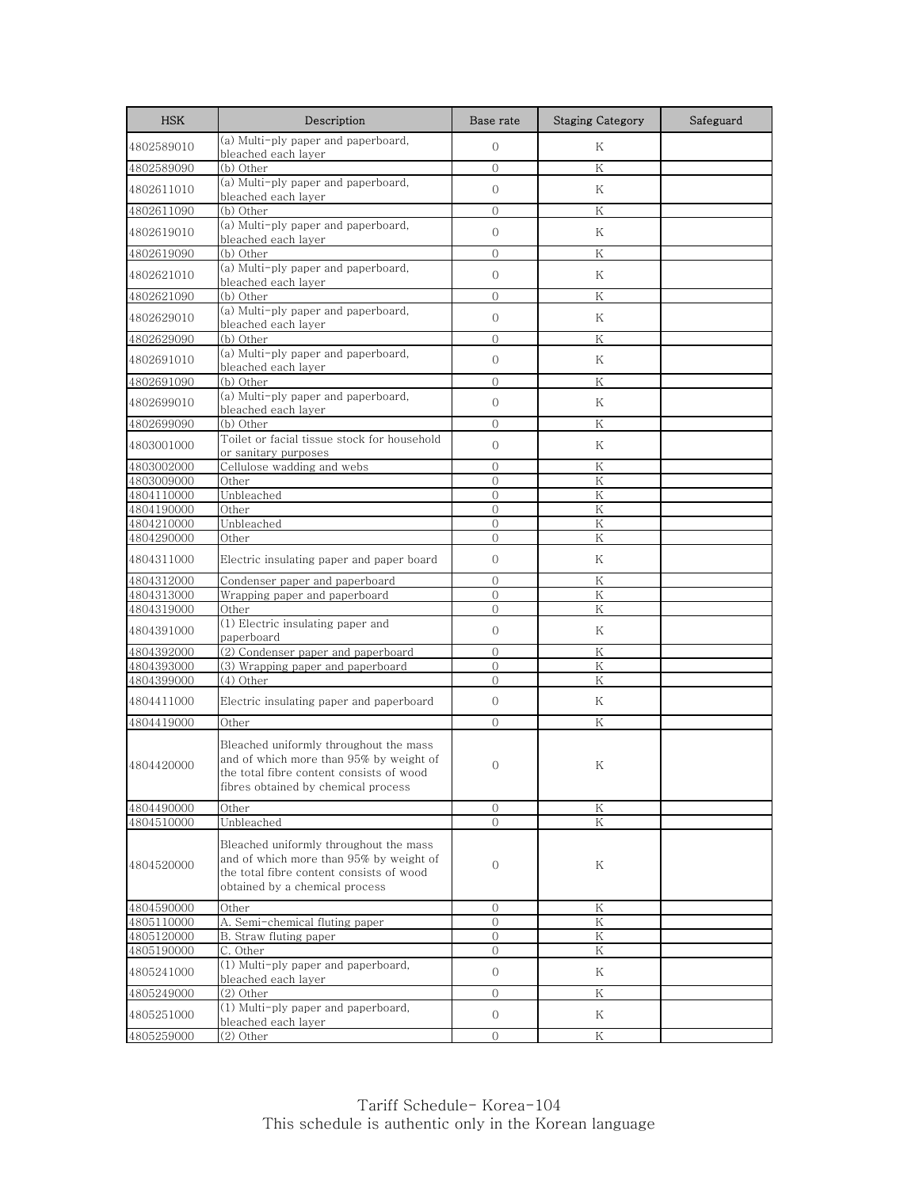| <b>HSK</b>               | Description                                                                                                                                                          | Base rate                | <b>Staging Category</b> | Safeguard |
|--------------------------|----------------------------------------------------------------------------------------------------------------------------------------------------------------------|--------------------------|-------------------------|-----------|
| 4802589010               | (a) Multi-ply paper and paperboard,<br>bleached each layer                                                                                                           | $\mathbf{O}$             | Κ                       |           |
| 4802589090               | (b) Other                                                                                                                                                            | $\Omega$                 | K                       |           |
| 4802611010               | (a) Multi-ply paper and paperboard,                                                                                                                                  | $\mathbf{O}$             | K                       |           |
|                          | bleached each layer                                                                                                                                                  |                          |                         |           |
| 4802611090               | (b) Other                                                                                                                                                            | $\overline{0}$           | K                       |           |
| 4802619010               | (a) Multi-ply paper and paperboard,<br>bleached each layer                                                                                                           | $\mathbf{O}$             | Κ                       |           |
| 4802619090               | (b) Other                                                                                                                                                            | $\overline{0}$           | K                       |           |
| 4802621010               | (a) Multi-ply paper and paperboard,<br>bleached each layer                                                                                                           | $\overline{0}$           | K                       |           |
| 4802621090               | (b) Other                                                                                                                                                            | $\mathbf{0}$             | Κ                       |           |
| 4802629010               | (a) Multi-ply paper and paperboard,<br>bleached each layer                                                                                                           | $\Omega$                 | Κ                       |           |
| 4802629090               | (b) Other                                                                                                                                                            | $\mathbf{0}$             | Κ                       |           |
| 4802691010               | (a) Multi-ply paper and paperboard,<br>bleached each layer                                                                                                           | $\mathbf{O}$             | K                       |           |
| 4802691090               | (b) Other                                                                                                                                                            | $\mathbf{0}$             | K                       |           |
| 4802699010               | (a) Multi-ply paper and paperboard,                                                                                                                                  | $\Omega$                 | K                       |           |
|                          | bleached each layer                                                                                                                                                  |                          |                         |           |
| 4802699090               | (b) Other<br>Toilet or facial tissue stock for household                                                                                                             | $\Omega$                 | Κ                       |           |
| 4803001000               | or sanitary purposes                                                                                                                                                 | $\Omega$                 | K                       |           |
| 4803002000               | Cellulose wadding and webs                                                                                                                                           | 0                        | Κ                       |           |
| 4803009000               | Other                                                                                                                                                                | $\mathbf{0}$             | K                       |           |
| 4804110000               | Unbleached                                                                                                                                                           | $\Omega$                 | K                       |           |
| 4804190000               | Other                                                                                                                                                                | $\overline{0}$           | K                       |           |
| 4804210000               | Unbleached                                                                                                                                                           | $\overline{0}$           | K                       |           |
| 4804290000               | Other                                                                                                                                                                | $\mathbf{0}$             | Κ                       |           |
| 4804311000               | Electric insulating paper and paper board                                                                                                                            | $\mathcal{O}$            | Κ                       |           |
| 4804312000               | Condenser paper and paperboard                                                                                                                                       | $\overline{0}$           | K                       |           |
| 4804313000<br>4804319000 | Wrapping paper and paperboard<br>Other                                                                                                                               | $\Omega$<br>$\mathbf{O}$ | K<br>Κ                  |           |
| 4804391000               | (1) Electric insulating paper and<br>paperboard                                                                                                                      | $\mathbf{O}$             | Κ                       |           |
| 4804392000               | (2) Condenser paper and paperboard                                                                                                                                   | 0                        | Κ                       |           |
| 4804393000               | (3) Wrapping paper and paperboard                                                                                                                                    | $\mathbf{0}$             | K                       |           |
| 4804399000               | (4) Other                                                                                                                                                            | $\Omega$                 | K                       |           |
| 4804411000               | Electric insulating paper and paperboard                                                                                                                             | $\mathcal{O}$            | Κ                       |           |
| 4804419000               | Other                                                                                                                                                                | $\Omega$                 | K                       |           |
| 4804420000               | Bleached uniformly throughout the mass<br>and of which more than 95% by weight of<br>the total fibre content consists of wood<br>fibres obtained by chemical process | $\mathbf{0}$             | Κ                       |           |
| 4804490000               | Other                                                                                                                                                                | $\mathbf{0}$             | Κ                       |           |
| 4804510000               | Unbleached                                                                                                                                                           | $\mathcal{O}$            | ${\rm K}$               |           |
| 4804520000               | Bleached uniformly throughout the mass<br>and of which more than 95% by weight of<br>the total fibre content consists of wood<br>obtained by a chemical process      | $\mathbf{0}$             | Κ                       |           |
| 4804590000               | Other                                                                                                                                                                | $\mathbf{0}$             | Κ                       |           |
| 4805110000               | A. Semi-chemical fluting paper                                                                                                                                       | $\Omega$                 | K                       |           |
| 4805120000               | B. Straw fluting paper                                                                                                                                               | $\Omega$                 | Κ                       |           |
| 4805190000               | C. Other                                                                                                                                                             | $\Omega$                 | Κ                       |           |
| 4805241000               | (1) Multi-ply paper and paperboard,<br>bleached each layer                                                                                                           | $\overline{O}$           | Κ                       |           |
| 4805249000               | $(2)$ Other                                                                                                                                                          | $\mathbf{0}$             | Κ                       |           |
| 4805251000               | (1) Multi-ply paper and paperboard,                                                                                                                                  | $\overline{O}$           | Κ                       |           |
| 4805259000               | bleached each layer<br>$(2)$ Other                                                                                                                                   | $\mathcal{O}$            | Κ                       |           |
|                          |                                                                                                                                                                      |                          |                         |           |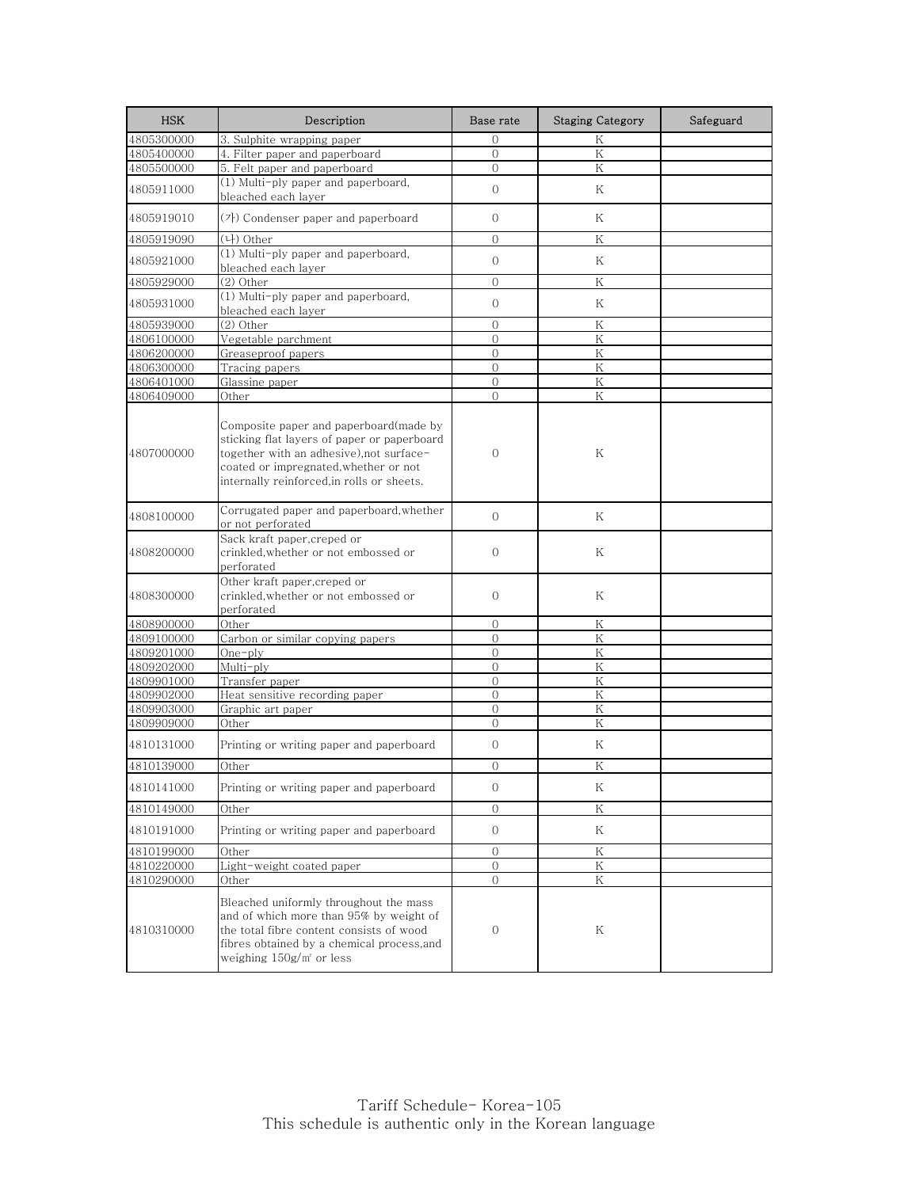| <b>HSK</b> | Description                                                                                                                                                                                                              | Base rate      | <b>Staging Category</b> | Safeguard |
|------------|--------------------------------------------------------------------------------------------------------------------------------------------------------------------------------------------------------------------------|----------------|-------------------------|-----------|
| 4805300000 | 3. Sulphite wrapping paper                                                                                                                                                                                               | 0              | Κ                       |           |
| 4805400000 | 4. Filter paper and paperboard                                                                                                                                                                                           | $\Omega$       | K                       |           |
| 4805500000 | 5. Felt paper and paperboard                                                                                                                                                                                             | $\Omega$       | Κ                       |           |
| 4805911000 | (1) Multi-ply paper and paperboard,<br>bleached each laver                                                                                                                                                               | $\overline{O}$ | K                       |           |
| 4805919010 | (가) Condenser paper and paperboard                                                                                                                                                                                       | $\Omega$       | K                       |           |
| 4805919090 | (나) Other                                                                                                                                                                                                                | $\Omega$       | Κ                       |           |
| 4805921000 | (1) Multi-ply paper and paperboard,<br>bleached each layer                                                                                                                                                               | $\mathbf{O}$   | Κ                       |           |
| 4805929000 | (2) Other                                                                                                                                                                                                                | $\Omega$       | K                       |           |
| 4805931000 | (1) Multi-ply paper and paperboard,<br>bleached each layer                                                                                                                                                               | $\mathbf{O}$   | Κ                       |           |
| 4805939000 | $(2)$ Other                                                                                                                                                                                                              | $\overline{0}$ | K                       |           |
| 4806100000 | Vegetable parchment                                                                                                                                                                                                      | $\mathbf{0}$   | Κ                       |           |
| 4806200000 | Greaseproof papers                                                                                                                                                                                                       | $\Omega$       | K                       |           |
| 4806300000 | Tracing papers                                                                                                                                                                                                           | $\mathbf{0}$   | Κ                       |           |
| 4806401000 | Glassine paper                                                                                                                                                                                                           | $\overline{O}$ | $\rm K$                 |           |
| 4806409000 | Other                                                                                                                                                                                                                    | $\Omega$       | K                       |           |
| 4807000000 | Composite paper and paperboard(made by<br>sticking flat layers of paper or paperboard<br>together with an adhesive), not surface-<br>coated or impregnated, whether or not<br>internally reinforced, in rolls or sheets. | $\Omega$       | Κ                       |           |
| 4808100000 | Corrugated paper and paperboard, whether<br>or not perforated                                                                                                                                                            | $\overline{0}$ | K                       |           |
| 4808200000 | Sack kraft paper, creped or<br>crinkled,whether or not embossed or<br>perforated                                                                                                                                         | $\mathbf{O}$   | Κ                       |           |
| 4808300000 | Other kraft paper, creped or<br>crinkled,whether or not embossed or<br>perforated                                                                                                                                        | $\mathbf{0}$   | Κ                       |           |
| 4808900000 | Other                                                                                                                                                                                                                    | $\mathbf{0}$   | K                       |           |
| 4809100000 | Carbon or similar copying papers                                                                                                                                                                                         | $\overline{0}$ | K                       |           |
| 4809201000 | One-ply                                                                                                                                                                                                                  | $\Omega$       | K                       |           |
| 4809202000 | Multi-ply                                                                                                                                                                                                                | $\overline{O}$ | K                       |           |
| 4809901000 | Transfer paper                                                                                                                                                                                                           | $\mathbf{0}$   | Κ                       |           |
| 4809902000 | Heat sensitive recording paper                                                                                                                                                                                           | $\Omega$       | K                       |           |
| 4809903000 | Graphic art paper                                                                                                                                                                                                        | $\mathbf{0}$   | K                       |           |
| 4809909000 | Other                                                                                                                                                                                                                    | $\Omega$       | K                       |           |
| 4810131000 | Printing or writing paper and paperboard                                                                                                                                                                                 | $\mathcal{O}$  | Κ                       |           |
| 4810139000 | Other                                                                                                                                                                                                                    | $\Omega$       | K                       |           |
| 4810141000 | Printing or writing paper and paperboard                                                                                                                                                                                 | 0              | Κ                       |           |
| 4810149000 | Other                                                                                                                                                                                                                    | $\mathbf{O}$   | Κ                       |           |
| 4810191000 | Printing or writing paper and paperboard                                                                                                                                                                                 | $\circ$        | Κ                       |           |
| 4810199000 | Other                                                                                                                                                                                                                    | $\mathbf{O}$   | Κ                       |           |
| 4810220000 | Light-weight coated paper                                                                                                                                                                                                | $\overline{0}$ | K                       |           |
| 4810290000 | Other                                                                                                                                                                                                                    | 0              | Κ                       |           |
| 4810310000 | Bleached uniformly throughout the mass<br>and of which more than 95% by weight of<br>the total fibre content consists of wood<br>fibres obtained by a chemical process,and<br>weighing $150g/m^2$ or less                | 0              | Κ                       |           |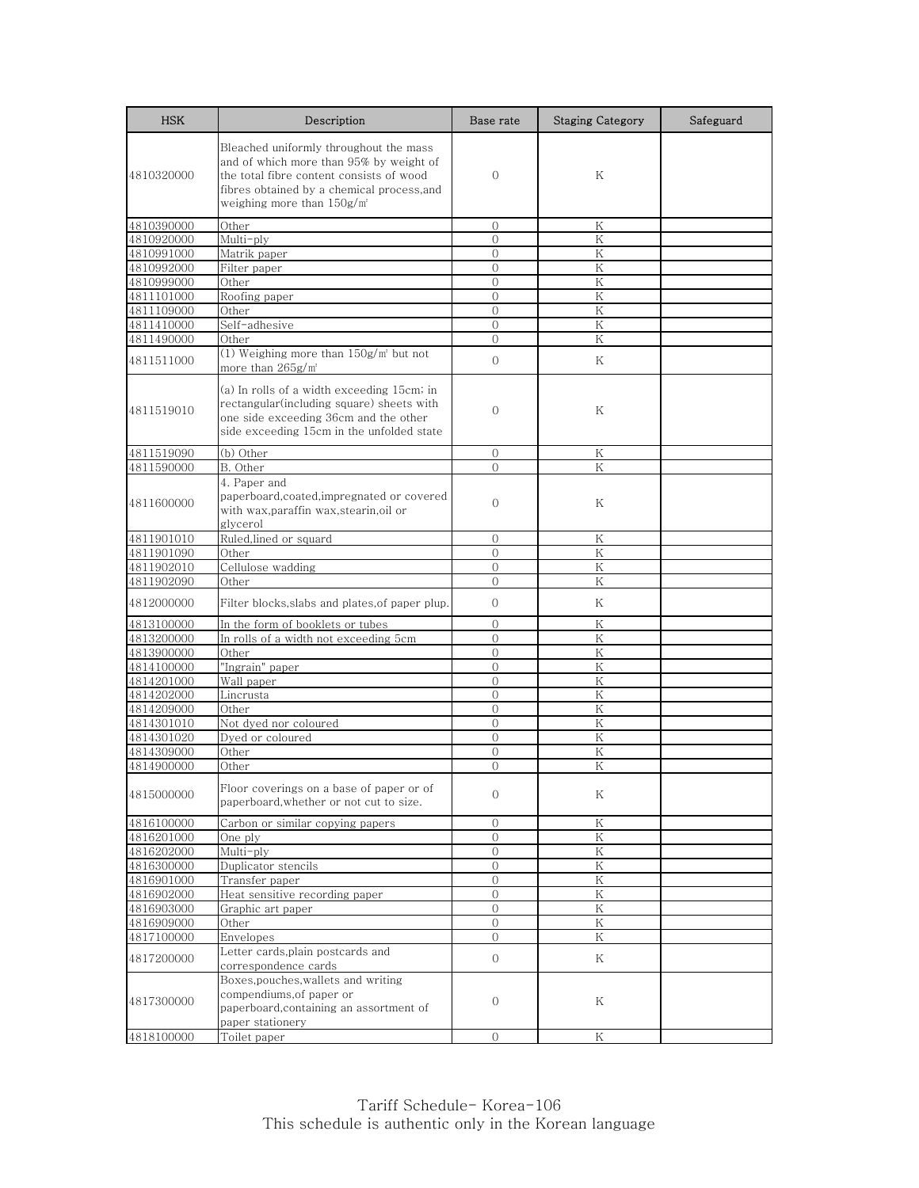| <b>HSK</b> | Description                                                                                                                                                                                                          | Base rate      | <b>Staging Category</b> | Safeguard |
|------------|----------------------------------------------------------------------------------------------------------------------------------------------------------------------------------------------------------------------|----------------|-------------------------|-----------|
| 4810320000 | Bleached uniformly throughout the mass<br>and of which more than 95% by weight of<br>the total fibre content consists of wood<br>fibres obtained by a chemical process,and<br>weighing more than 150g/m <del>'</del> | $\Omega$       | Κ                       |           |
| 4810390000 | Other                                                                                                                                                                                                                | $\mathbf{0}$   | Κ                       |           |
| 4810920000 | Multi-ply                                                                                                                                                                                                            | $\overline{0}$ | K                       |           |
| 4810991000 | Matrik paper                                                                                                                                                                                                         | $\Omega$       | K                       |           |
| 4810992000 | Filter paper                                                                                                                                                                                                         | $\mathbf{0}$   | Κ                       |           |
| 4810999000 | Other                                                                                                                                                                                                                | $\Omega$       | K                       |           |
| 4811101000 | Roofing paper                                                                                                                                                                                                        | $\mathbf{0}$   | Κ                       |           |
| 4811109000 | Other                                                                                                                                                                                                                | $\mathbf{0}$   | K                       |           |
| 4811410000 | Self-adhesive                                                                                                                                                                                                        | $\Omega$       | Κ                       |           |
| 4811490000 | Other                                                                                                                                                                                                                | $\Omega$       | K                       |           |
| 4811511000 | $\overline{(1)$ Weighing more than $150$ g/m <sup>2</sup> but not<br>more than 265g/m <sup>2</sup>                                                                                                                   | $\mathbf{O}$   | K                       |           |
| 4811519010 | (a) In rolls of a width exceeding 15cm; in<br>rectangular(including square) sheets with<br>one side exceeding 36cm and the other<br>side exceeding 15cm in the unfolded state                                        | $\overline{0}$ | Κ                       |           |
| 4811519090 | (b) Other                                                                                                                                                                                                            | $\mathbf{O}$   | Κ                       |           |
| 4811590000 | B. Other                                                                                                                                                                                                             | $\Omega$       | Κ                       |           |
| 4811600000 | 4. Paper and<br>paperboard, coated, impregnated or covered<br>with wax,paraffin wax,stearin,oil or<br>glycerol                                                                                                       | $\mathbf{0}$   | Κ                       |           |
| 4811901010 | Ruled, lined or squard                                                                                                                                                                                               | $\mathcal{O}$  | Κ                       |           |
| 4811901090 | Other                                                                                                                                                                                                                | $\Omega$       | K                       |           |
| 4811902010 | Cellulose wadding                                                                                                                                                                                                    | $\Omega$       | Κ                       |           |
| 4811902090 | Other                                                                                                                                                                                                                | $\Omega$       | K                       |           |
| 4812000000 | Filter blocks,slabs and plates,of paper plup.                                                                                                                                                                        | 0              | Κ                       |           |
| 4813100000 | In the form of booklets or tubes                                                                                                                                                                                     | $\mathcal{O}$  | K                       |           |
| 4813200000 | In rolls of a width not exceeding 5cm                                                                                                                                                                                | $\mathbf{0}$   | Κ                       |           |
| 4813900000 | Other                                                                                                                                                                                                                | $\Omega$       | K                       |           |
| 4814100000 | "Ingrain" paper                                                                                                                                                                                                      | $\mathbf{0}$   | Κ                       |           |
| 4814201000 | Wall paper                                                                                                                                                                                                           | $\Omega$       | K                       |           |
| 4814202000 | Lincrusta                                                                                                                                                                                                            | $\Omega$       | Κ                       |           |
| 4814209000 | Other                                                                                                                                                                                                                | $\mathbf{O}$   | Κ                       |           |
| 4814301010 | Not dyed nor coloured                                                                                                                                                                                                | $\overline{O}$ | Κ                       |           |
| 4814301020 | Dyed or coloured                                                                                                                                                                                                     | 0              | Κ                       |           |
| 4814309000 | Other                                                                                                                                                                                                                | $\overline{0}$ | K                       |           |
| 4814900000 | Other                                                                                                                                                                                                                | $\Omega$       | K                       |           |
| 4815000000 | Floor coverings on a base of paper or of<br>paperboard, whether or not cut to size.                                                                                                                                  | $\mathbf{O}$   | Κ                       |           |
| 4816100000 | Carbon or similar copying papers                                                                                                                                                                                     | $\mathbf{0}$   | $\mathbf K$             |           |
| 4816201000 | One ply                                                                                                                                                                                                              | 0              | Κ                       |           |
| 4816202000 | Multi-ply                                                                                                                                                                                                            | $\mathcal{O}$  | ${\rm K}$               |           |
| 4816300000 | Duplicator stencils                                                                                                                                                                                                  | 0              | Κ                       |           |
| 4816901000 | Transfer paper                                                                                                                                                                                                       | 0              | Κ                       |           |
| 4816902000 | Heat sensitive recording paper                                                                                                                                                                                       | $\overline{0}$ | Κ                       |           |
| 4816903000 | Graphic art paper                                                                                                                                                                                                    | $\mathbf{0}$   | Κ                       |           |
| 4816909000 | Other                                                                                                                                                                                                                | 0              | Κ                       |           |
| 4817100000 | Envelopes                                                                                                                                                                                                            | $\mathbf{O}$   | K                       |           |
| 4817200000 | Letter cards, plain postcards and                                                                                                                                                                                    | 0              | Κ                       |           |
| 4817300000 | correspondence cards<br>Boxes, pouches, wallets and writing<br>compendiums, of paper or<br>paperboard, containing an assortment of<br>paper stationery                                                               | $\mathbf 0$    | Κ                       |           |
| 4818100000 | Toilet paper                                                                                                                                                                                                         | $\Omega$       | Κ                       |           |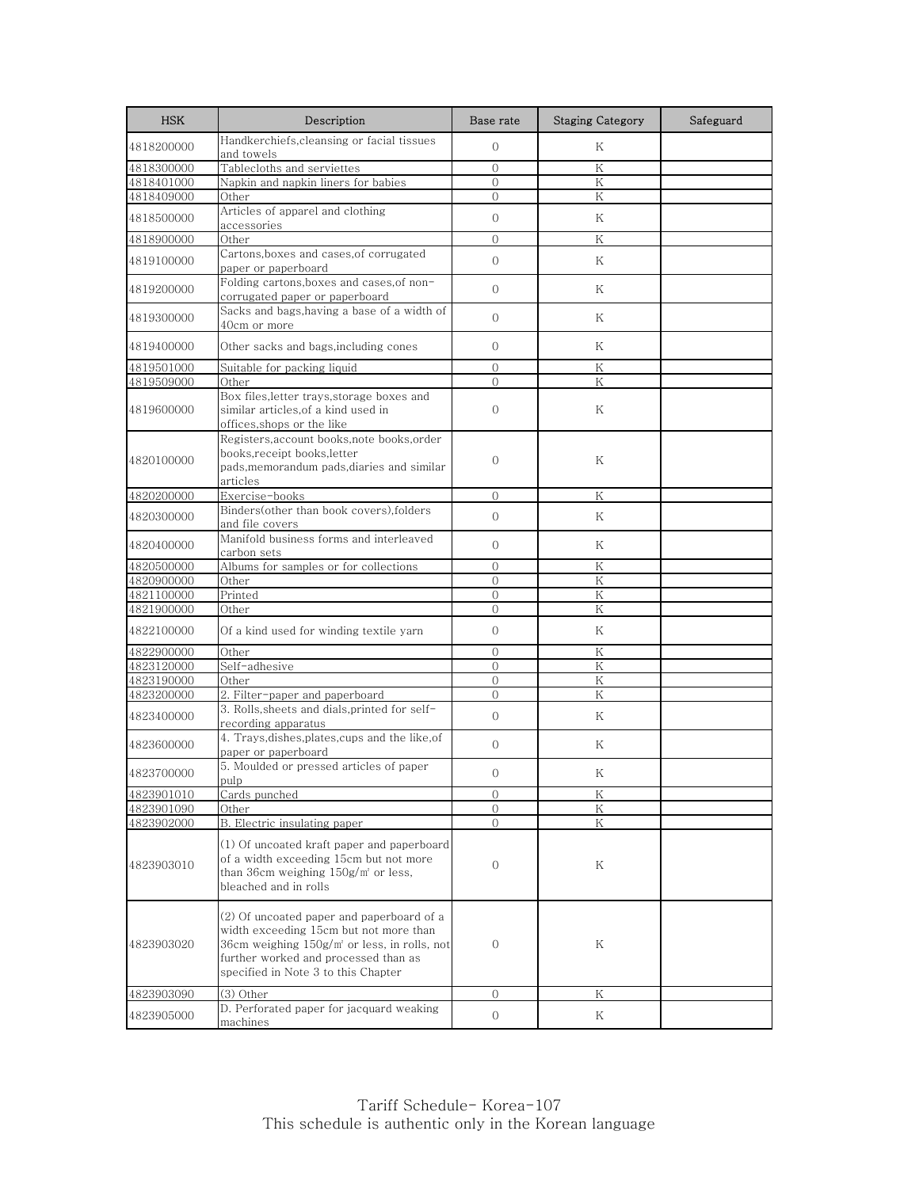| <b>HSK</b> | Description                                                                                                                                                                                                           | Base rate      | <b>Staging Category</b> | Safeguard |
|------------|-----------------------------------------------------------------------------------------------------------------------------------------------------------------------------------------------------------------------|----------------|-------------------------|-----------|
| 4818200000 | Handkerchiefs, cleansing or facial tissues<br>and towels                                                                                                                                                              | $\overline{0}$ | Κ                       |           |
| 4818300000 | Tablecloths and serviettes                                                                                                                                                                                            | $\Omega$       | Κ                       |           |
| 4818401000 | Napkin and napkin liners for babies                                                                                                                                                                                   | $\overline{0}$ | K                       |           |
| 4818409000 | Other                                                                                                                                                                                                                 | $\overline{0}$ | Κ                       |           |
| 4818500000 | Articles of apparel and clothing<br>accessories                                                                                                                                                                       | $\Omega$       | Κ                       |           |
| 4818900000 | Other                                                                                                                                                                                                                 | $\overline{0}$ | Κ                       |           |
| 4819100000 | Cartons, boxes and cases, of corrugated<br>paper or paperboard                                                                                                                                                        | $\mathbf{O}$   | K                       |           |
| 4819200000 | Folding cartons, boxes and cases, of non-<br>corrugated paper or paperboard                                                                                                                                           | $\mathbf{O}$   | Κ                       |           |
| 4819300000 | Sacks and bags, having a base of a width of<br>40cm or more                                                                                                                                                           | $\overline{0}$ | Κ                       |           |
| 4819400000 | Other sacks and bags,including cones                                                                                                                                                                                  | $\Omega$       | K                       |           |
| 4819501000 | Suitable for packing liquid                                                                                                                                                                                           | $\mathbf{0}$   | Κ                       |           |
| 4819509000 | Other                                                                                                                                                                                                                 | $\Omega$       | K                       |           |
| 4819600000 | Box files, letter trays, storage boxes and<br>similar articles,of a kind used in<br>offices, shops or the like                                                                                                        | $\overline{0}$ | Κ                       |           |
| 4820100000 | Registers, account books, note books, order<br>books, receipt books, letter<br>pads, memorandum pads, diaries and similar<br>articles                                                                                 | $\overline{0}$ | Κ                       |           |
| 4820200000 | Exercise-books                                                                                                                                                                                                        | $\Omega$       | K                       |           |
| 4820300000 | Binders(other than book covers), folders<br>and file covers                                                                                                                                                           | $\Omega$       | K                       |           |
| 4820400000 | Manifold business forms and interleaved<br>carbon sets                                                                                                                                                                | $\mathbf{O}$   | Κ                       |           |
| 4820500000 | Albums for samples or for collections                                                                                                                                                                                 | $\Omega$       | Κ                       |           |
| 4820900000 | Other                                                                                                                                                                                                                 | $\Omega$       | Κ                       |           |
| 4821100000 | Printed                                                                                                                                                                                                               | $\overline{0}$ | K                       |           |
| 4821900000 | Other                                                                                                                                                                                                                 | $\overline{0}$ | Κ                       |           |
| 4822100000 | Of a kind used for winding textile yarn                                                                                                                                                                               | $\mathbf{0}$   | Κ                       |           |
| 4822900000 | Other                                                                                                                                                                                                                 | $\Omega$       | Κ                       |           |
| 4823120000 | Self-adhesive                                                                                                                                                                                                         | $\Omega$       | Κ                       |           |
| 4823190000 | Other                                                                                                                                                                                                                 | $\mathbf{O}$   | Κ                       |           |
| 4823200000 | 2. Filter-paper and paperboard                                                                                                                                                                                        | $\Omega$       | K                       |           |
| 4823400000 | 3. Rolls, sheets and dials, printed for self-<br>recording apparatus                                                                                                                                                  | $\mathbf{0}$   | Κ                       |           |
| 4823600000 | 4. Trays, dishes, plates, cups and the like, of<br>paper or paperboard                                                                                                                                                | $\overline{0}$ | Κ                       |           |
| 4823700000 | 5. Moulded or pressed articles of paper<br>pulp                                                                                                                                                                       | $\Omega$       | Κ                       |           |
| 4823901010 | Cards punched                                                                                                                                                                                                         | $\mathbf{0}$   | K                       |           |
| 4823901090 | Other                                                                                                                                                                                                                 | $\mathbf 0$    | Κ                       |           |
| 4823902000 | B. Electric insulating paper                                                                                                                                                                                          | $\overline{0}$ | K                       |           |
| 4823903010 | (1) Of uncoated kraft paper and paperboard<br>of a width exceeding 15cm but not more<br>than 36cm weighing $150g/m^2$ or less,<br>bleached and in rolls                                                               | 0              | Κ                       |           |
| 4823903020 | (2) Of uncoated paper and paperboard of a<br>width exceeding 15cm but not more than<br>36cm weighing $150g/m^2$ or less, in rolls, not<br>further worked and processed than as<br>specified in Note 3 to this Chapter | $\mathbf{0}$   | Κ                       |           |
| 4823903090 | (3) Other                                                                                                                                                                                                             | $\mathbf{0}$   | K                       |           |
| 4823905000 | D. Perforated paper for jacquard weaking<br>machines                                                                                                                                                                  | $\mathbf 0$    | Κ                       |           |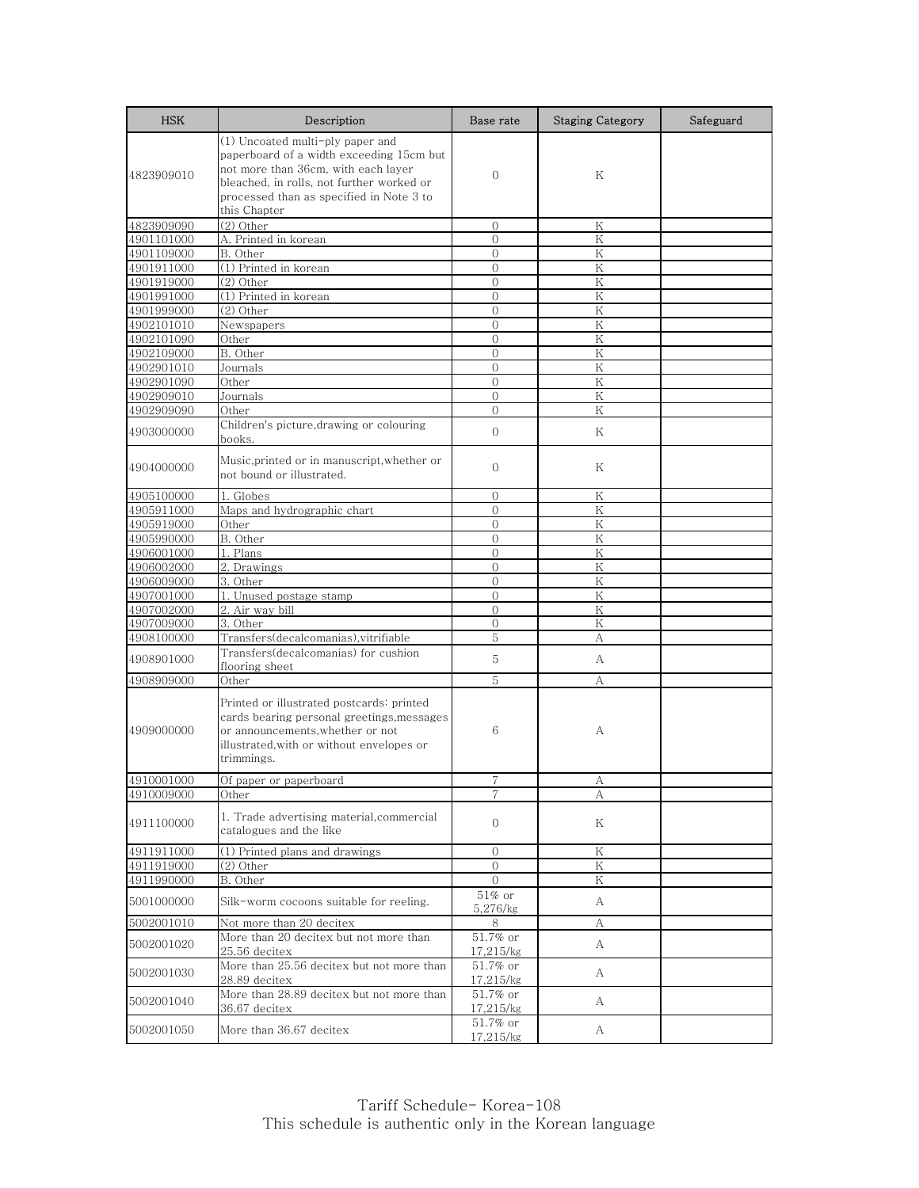| <b>HSK</b> | Description                                                                                                                                                                                                                  | Base rate                | <b>Staging Category</b> | Safeguard |
|------------|------------------------------------------------------------------------------------------------------------------------------------------------------------------------------------------------------------------------------|--------------------------|-------------------------|-----------|
| 4823909010 | (1) Uncoated multi-ply paper and<br>paperboard of a width exceeding 15cm but<br>not more than 36cm, with each layer<br>bleached, in rolls, not further worked or<br>processed than as specified in Note 3 to<br>this Chapter | $\Omega$                 | K                       |           |
| 4823909090 | $(2)$ Other                                                                                                                                                                                                                  | $\Omega$                 | Κ                       |           |
| 4901101000 | A. Printed in korean                                                                                                                                                                                                         | $\Omega$                 | K                       |           |
| 4901109000 | B. Other                                                                                                                                                                                                                     | $\overline{0}$           | Κ                       |           |
| 4901911000 | (1) Printed in korean                                                                                                                                                                                                        | $\mathbf{0}$             | K                       |           |
| 4901919000 | (2) Other                                                                                                                                                                                                                    | $\Omega$                 | K                       |           |
| 4901991000 | (1) Printed in korean                                                                                                                                                                                                        | $\mathbf{0}$             | Κ                       |           |
| 4901999000 | $(2)$ Other                                                                                                                                                                                                                  | $\Omega$                 | K                       |           |
| 4902101010 | Newspapers                                                                                                                                                                                                                   | $\overline{O}$           | K                       |           |
| 4902101090 | Other                                                                                                                                                                                                                        | $\Omega$                 | K                       |           |
| 4902109000 | B. Other                                                                                                                                                                                                                     | $\Omega$                 | K                       |           |
| 4902901010 | Journals                                                                                                                                                                                                                     | $\mathbf{0}$             | K                       |           |
| 4902901090 | Other                                                                                                                                                                                                                        | $\Omega$                 | K                       |           |
| 4902909010 | Journals                                                                                                                                                                                                                     | $\mathbf{0}$             | Κ                       |           |
| 4902909090 | Other                                                                                                                                                                                                                        | $\Omega$                 | K                       |           |
| 4903000000 | Children's picture, drawing or colouring<br>books.                                                                                                                                                                           | $\overline{0}$           | K                       |           |
| 4904000000 | Music, printed or in manuscript, whether or<br>not bound or illustrated.                                                                                                                                                     | $\mathbf{0}$             | Κ                       |           |
| 4905100000 | 1. Globes                                                                                                                                                                                                                    | $\Omega$                 | Κ                       |           |
| 4905911000 | Maps and hydrographic chart                                                                                                                                                                                                  | $\Omega$                 | Κ                       |           |
| 4905919000 | Other                                                                                                                                                                                                                        | $\Omega$                 | K                       |           |
| 4905990000 | B. Other                                                                                                                                                                                                                     | $\overline{0}$           | Κ                       |           |
| 4906001000 | 1. Plans                                                                                                                                                                                                                     | $\overline{0}$           | K                       |           |
| 4906002000 | 2. Drawings                                                                                                                                                                                                                  | $\mathbf{0}$             | Κ                       |           |
| 4906009000 | 3. Other                                                                                                                                                                                                                     | $\Omega$                 | ${\rm K}$               |           |
| 4907001000 | 1. Unused postage stamp                                                                                                                                                                                                      | $\overline{0}$           | K                       |           |
| 4907002000 | 2. Air way bill                                                                                                                                                                                                              | $\mathbf{0}$             | Κ                       |           |
| 4907009000 | 3. Other                                                                                                                                                                                                                     | $\Omega$                 | K                       |           |
| 4908100000 | Transfers(decalcomanias), vitrifiable                                                                                                                                                                                        | 5                        | А                       |           |
| 4908901000 | Transfers(decalcomanias) for cushion                                                                                                                                                                                         | 5                        | A                       |           |
|            | flooring sheet                                                                                                                                                                                                               |                          |                         |           |
| 4908909000 | Other                                                                                                                                                                                                                        | 5                        | А                       |           |
| 4909000000 | Printed or illustrated postcards: printed<br>cards bearing personal greetings, messages<br>or announcements, whether or not<br>illustrated, with or without envelopes or<br>trimmings.                                       | 6                        | А                       |           |
| 4910001000 | Of paper or paperboard                                                                                                                                                                                                       |                          | A                       |           |
| 4910009000 | Other                                                                                                                                                                                                                        | 7                        | A                       |           |
| 4911100000 | 1. Trade advertising material, commercial<br>catalogues and the like                                                                                                                                                         | $\mathbf{0}$             | Κ                       |           |
| 4911911000 | (1) Printed plans and drawings                                                                                                                                                                                               | $\mathbf{0}$             | Κ                       |           |
| 4911919000 | $(2)$ Other                                                                                                                                                                                                                  | $\mathcal{O}$            | $\rm K$                 |           |
| 4911990000 | B. Other                                                                                                                                                                                                                     | 0                        | Κ                       |           |
| 5001000000 | Silk-worm cocoons suitable for reeling.                                                                                                                                                                                      | $51\%$ or<br>5,276/kg    | A                       |           |
| 5002001010 | Not more than 20 decitex                                                                                                                                                                                                     | 8                        | А                       |           |
| 5002001020 | More than 20 decitex but not more than<br>25.56 decitex                                                                                                                                                                      | 51.7% or<br>17,215/kg    | A                       |           |
| 5002001030 | More than 25.56 decitex but not more than<br>28.89 decitex                                                                                                                                                                   | 51.7% or<br>17,215/kg    | A                       |           |
| 5002001040 | More than 28.89 decitex but not more than<br>36.67 decitex                                                                                                                                                                   | 51.7% or<br>17,215/kg    | A                       |           |
| 5002001050 | More than 36.67 decitex                                                                                                                                                                                                      | $51.7\%$ or<br>17,215/kg | A                       |           |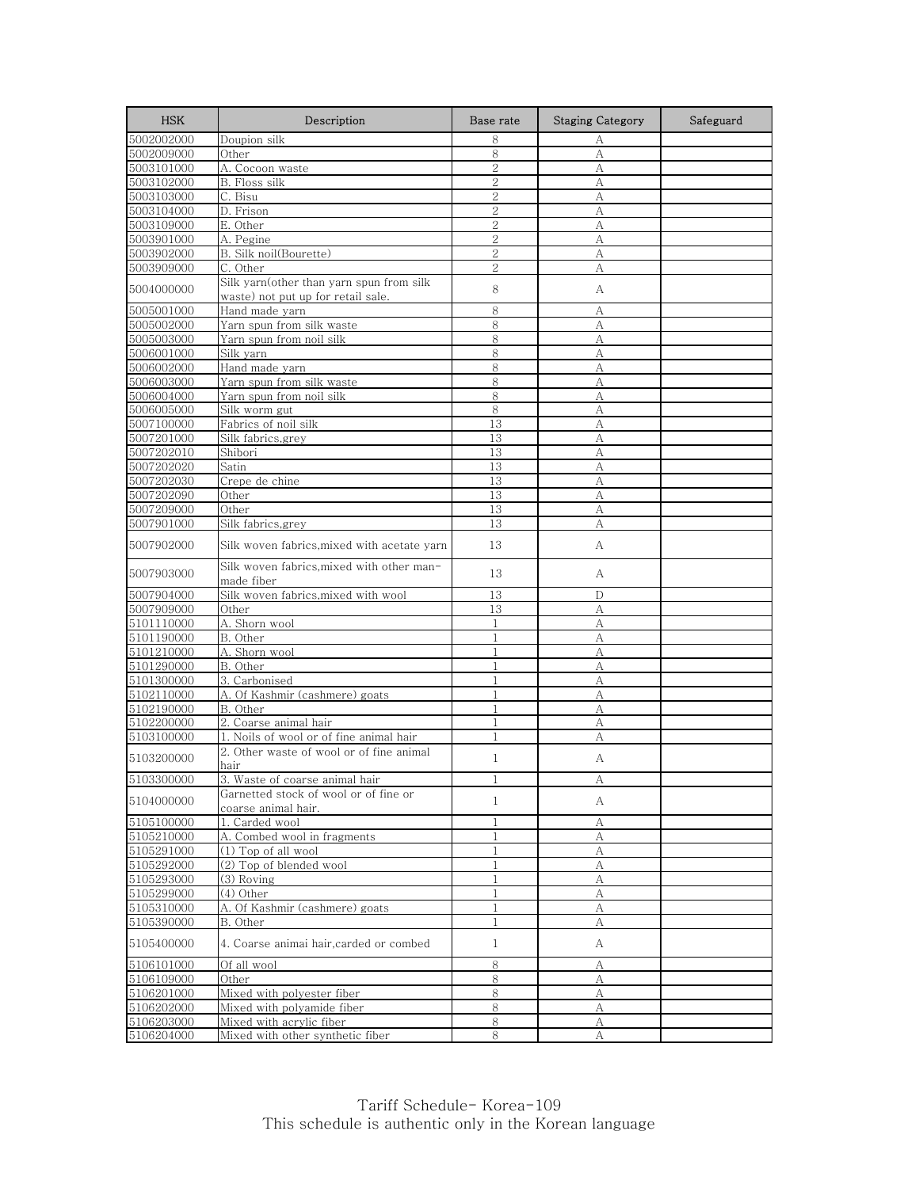| <b>HSK</b> | Description                                                  | Base rate      | <b>Staging Category</b> | Safeguard |
|------------|--------------------------------------------------------------|----------------|-------------------------|-----------|
| 5002002000 | Doupion silk                                                 | 8              | А                       |           |
| 5002009000 | Other                                                        | 8              | А                       |           |
| 5003101000 | A. Cocoon waste                                              | $\overline{2}$ | А                       |           |
| 5003102000 | B. Floss silk                                                | 2              | А                       |           |
| 5003103000 | C. Bisu                                                      | $\overline{2}$ | А                       |           |
| 5003104000 | D. Frison                                                    | $\overline{2}$ | А                       |           |
| 5003109000 | E. Other                                                     | $\mathbf{2}$   | А                       |           |
| 5003901000 | A. Pegine                                                    | $\overline{2}$ | А                       |           |
| 5003902000 | B. Silk noil(Bourette)                                       | $\overline{2}$ | А                       |           |
| 5003909000 | C. Other                                                     | $\overline{2}$ | А                       |           |
| 5004000000 | Silk yarn(other than yarn spun from silk                     |                |                         |           |
|            | waste) not put up for retail sale.                           | 8              | A                       |           |
| 5005001000 | Hand made yarn                                               | 8              | А                       |           |
| 5005002000 | Yarn spun from silk waste                                    | 8              | А                       |           |
| 5005003000 | Yarn spun from noil silk                                     | 8              | A                       |           |
| 5006001000 | Silk yarn                                                    | 8              | А                       |           |
| 5006002000 | Hand made yarn                                               | 8              | А                       |           |
| 5006003000 | Yarn spun from silk waste                                    | 8              | A                       |           |
| 5006004000 | Yarn spun from noil silk                                     | 8              | А                       |           |
| 5006005000 | Silk worm gut                                                | $\,8\,$        | A                       |           |
| 5007100000 | Fabrics of noil silk                                         | 13             | A                       |           |
| 5007201000 | Silk fabrics, grey                                           | 13             | А                       |           |
| 5007202010 | Shibori                                                      | 13             | А                       |           |
| 5007202020 | Satin                                                        | 13             | А                       |           |
| 5007202030 | Crepe de chine                                               | 13             | А                       |           |
| 5007202090 | Other                                                        | 13             | А                       |           |
| 5007209000 | Other                                                        | 13             | А                       |           |
| 5007901000 | Silk fabrics,grey                                            | 13             | А                       |           |
| 5007902000 | Silk woven fabrics,mixed with acetate yarn                   | 13             | А                       |           |
| 5007903000 | Silk woven fabrics,mixed with other man-<br>made fiber       | 13             | А                       |           |
| 5007904000 | Silk woven fabrics, mixed with wool                          | 13             | D                       |           |
| 5007909000 | Other                                                        | 13             | А                       |           |
| 5101110000 | A. Shorn wool                                                | $\mathbf{1}$   | А                       |           |
| 5101190000 | B. Other                                                     | $\mathbf{1}$   | А                       |           |
| 5101210000 | A. Shorn wool                                                | $\mathbf{1}$   | А                       |           |
| 5101290000 | B. Other                                                     | 1              | А                       |           |
| 5101300000 | 3. Carbonised                                                | $\mathbf{1}$   | A                       |           |
| 5102110000 | A. Of Kashmir (cashmere) goats                               | $\mathbf{1}$   | A                       |           |
| 5102190000 | B. Other                                                     | $\mathbf{1}$   | А                       |           |
| 5102200000 | 2. Coarse animal hair                                        | $\mathbf{1}$   | А                       |           |
| 5103100000 | 1. Noils of wool or of fine animal hair                      | 1              | А                       |           |
| 5103200000 | 2. Other waste of wool or of fine animal                     | $\mathbf{1}$   | А                       |           |
|            | hair                                                         |                |                         |           |
| 5103300000 | 3. Waste of coarse animal hair                               |                |                         |           |
| 5104000000 | Garnetted stock of wool or of fine or<br>coarse animal hair. | $\mathbf{1}$   | А                       |           |
| 5105100000 | 1. Carded wool                                               | $\mathbf{1}$   | А                       |           |
| 5105210000 | A. Combed wool in fragments                                  | 1              | А                       |           |
| 5105291000 | (1) Top of all wool                                          | $\mathbf{1}$   | $\mathbf{A}$            |           |
| 5105292000 | (2) Top of blended wool                                      | $\mathbf{1}$   | А                       |           |
| 5105293000 | (3) Roving                                                   | 1              | A                       |           |
| 5105299000 | (4) Other                                                    | $\mathbf{1}$   | А                       |           |
| 5105310000 | A. Of Kashmir (cashmere) goats                               | 1              | А                       |           |
| 5105390000 | B. Other                                                     | 1              | А                       |           |
| 5105400000 | 4. Coarse animai hair, carded or combed                      | $\mathbf{1}$   | А                       |           |
| 5106101000 | Of all wool                                                  | 8              | А                       |           |
| 5106109000 | Other                                                        | 8              | А                       |           |
| 5106201000 | Mixed with polyester fiber                                   | 8              | А                       |           |
| 5106202000 | Mixed with polyamide fiber                                   | 8              | А                       |           |
| 5106203000 | Mixed with acrylic fiber                                     | 8              | А                       |           |
| 5106204000 | Mixed with other synthetic fiber                             | 8              | А                       |           |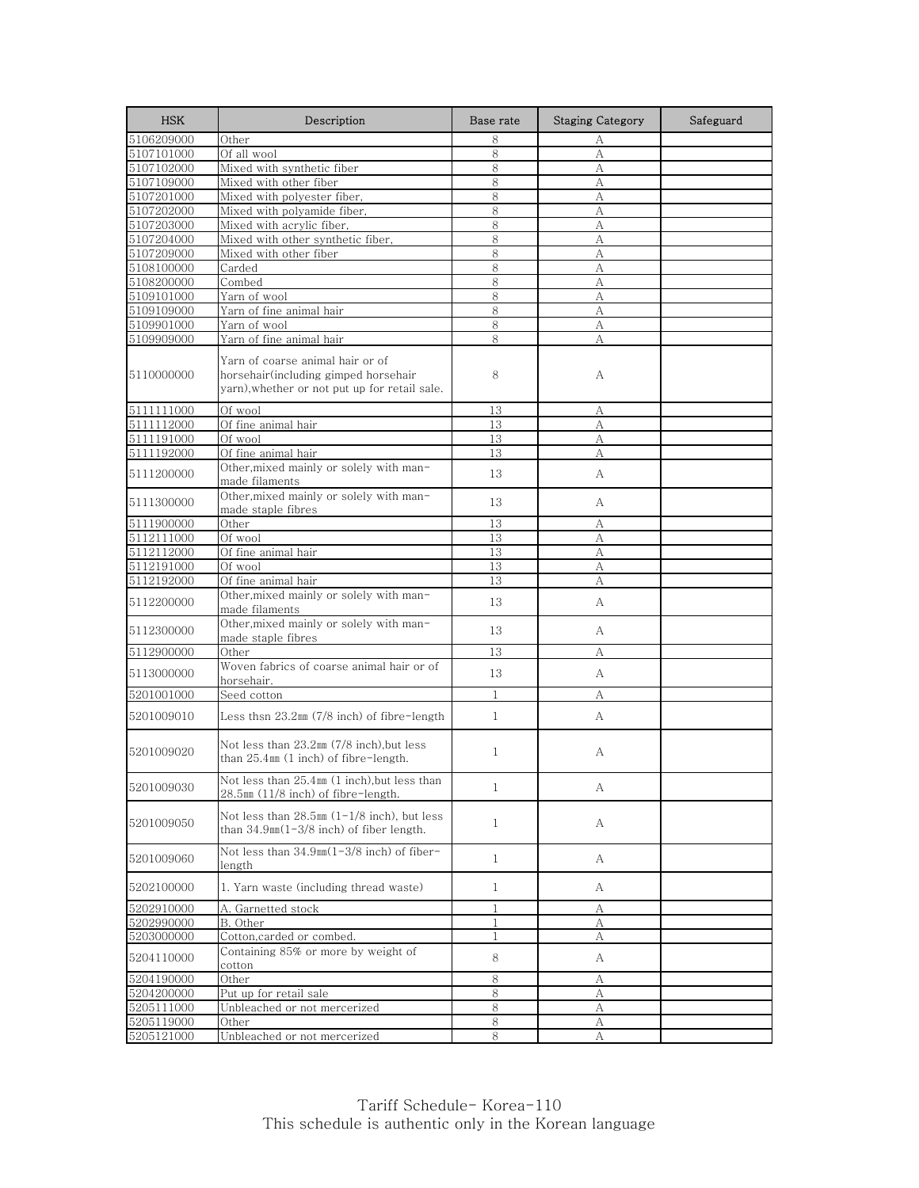| <b>HSK</b> | Description                                                                                                               | Base rate    | <b>Staging Category</b> | Safeguard |
|------------|---------------------------------------------------------------------------------------------------------------------------|--------------|-------------------------|-----------|
| 5106209000 | Other                                                                                                                     | 8            | А                       |           |
| 5107101000 | Of all wool                                                                                                               | 8            | A                       |           |
| 5107102000 | Mixed with synthetic fiber                                                                                                | 8            | А                       |           |
| 5107109000 | Mixed with other fiber                                                                                                    | 8            | А                       |           |
| 5107201000 | Mixed with polyester fiber,                                                                                               | 8            | А                       |           |
| 5107202000 | Mixed with polyamide fiber,                                                                                               | 8            | А                       |           |
| 5107203000 | Mixed with acrylic fiber,                                                                                                 | 8            | A                       |           |
| 5107204000 | Mixed with other synthetic fiber,                                                                                         | 8            | А                       |           |
| 5107209000 | Mixed with other fiber                                                                                                    | 8            | А                       |           |
| 5108100000 | Carded                                                                                                                    | 8            | A                       |           |
| 5108200000 | Combed                                                                                                                    | 8            | A                       |           |
| 5109101000 | Yarn of wool                                                                                                              | 8            | А                       |           |
| 5109109000 | Yarn of fine animal hair                                                                                                  | 8            | A                       |           |
| 5109901000 | Yarn of wool                                                                                                              | 8            | A                       |           |
| 5109909000 | Yarn of fine animal hair                                                                                                  | 8            | А                       |           |
| 5110000000 | Yarn of coarse animal hair or of<br>horsehair(including gimped horsehair<br>yarn), whether or not put up for retail sale. | 8            | А                       |           |
| 5111111000 | Of wool                                                                                                                   | 13           | А                       |           |
| 5111112000 | Of fine animal hair                                                                                                       | 13           | А                       |           |
| 5111191000 | Of wool                                                                                                                   | 13           | А                       |           |
| 5111192000 | Of fine animal hair                                                                                                       | 13           | A                       |           |
| 5111200000 | Other, mixed mainly or solely with man-<br>made filaments                                                                 | 13           | А                       |           |
| 5111300000 | Other, mixed mainly or solely with man-<br>made staple fibres                                                             | 13           | A                       |           |
| 5111900000 | Other                                                                                                                     | 13           | А                       |           |
| 5112111000 | Of wool                                                                                                                   | 13           | А                       |           |
| 5112112000 | Of fine animal hair                                                                                                       | 13           | А                       |           |
| 5112191000 | Of wool                                                                                                                   | 13           | А                       |           |
| 5112192000 | Of fine animal hair                                                                                                       | 13           | A                       |           |
| 5112200000 | Other, mixed mainly or solely with man-<br>made filaments                                                                 | 13           | A                       |           |
| 5112300000 | Other, mixed mainly or solely with man-<br>made staple fibres                                                             | 13           | A                       |           |
| 5112900000 | Other                                                                                                                     | 13           | А                       |           |
| 5113000000 | Woven fabrics of coarse animal hair or of<br>horsehair.                                                                   | 13           | A                       |           |
| 5201001000 | Seed cotton                                                                                                               | $\mathbf{1}$ | А                       |           |
| 5201009010 | Less thsn $23.2\text{nm}$ (7/8 inch) of fibre-length                                                                      | $\mathbf{1}$ | A                       |           |
| 5201009020 | Not less than 23.2mm (7/8 inch),but less<br>than $25.4$ mm $(1$ inch) of fibre-length.                                    | $\mathbf{1}$ | А                       |           |
| 5201009030 | Not less than 25.4mm (1 inch), but less than<br>28.5mm (11/8 inch) of fibre-length.                                       | $\mathbf{1}$ | A                       |           |
| 5201009050 | Not less than $28.5 \text{mm}$ (1-1/8 inch), but less<br>than $34.9 \text{nm}(1-3/8 \text{ inch})$ of fiber length.       | $\mathbf{1}$ | А                       |           |
| 5201009060 | Not less than 34.9mm(1-3/8 inch) of fiber-<br>length                                                                      | $\mathbf{1}$ | A                       |           |
| 5202100000 | 1. Yarn waste (including thread waste)                                                                                    | $\mathbf{1}$ | A                       |           |
| 5202910000 | A. Garnetted stock                                                                                                        | 1            | А                       |           |
| 5202990000 | B. Other                                                                                                                  | $\mathbf{1}$ | А                       |           |
| 5203000000 | Cotton, carded or combed.                                                                                                 | $\mathbf{1}$ | А                       |           |
| 5204110000 | Containing 85% or more by weight of<br>cotton                                                                             | 8            | A                       |           |
| 5204190000 | Other                                                                                                                     | 8            | А                       |           |
| 5204200000 | Put up for retail sale                                                                                                    | 8            | А                       |           |
| 5205111000 | Unbleached or not mercerized                                                                                              | 8            | А                       |           |
| 5205119000 | Other                                                                                                                     | 8            | А                       |           |
| 5205121000 | Unbleached or not mercerized                                                                                              | 8            | А                       |           |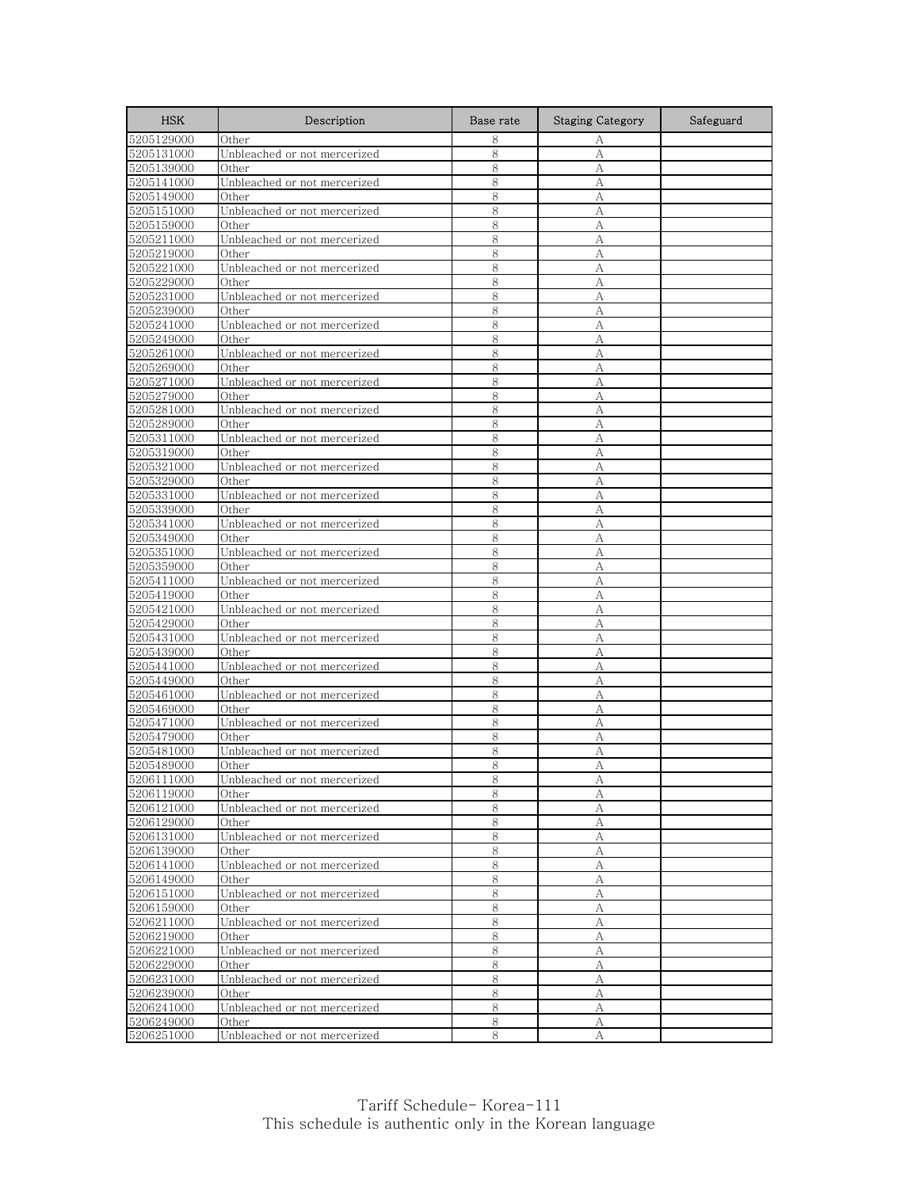| <b>HSK</b> | Description                  | Base rate | <b>Staging Category</b> | Safeguard |
|------------|------------------------------|-----------|-------------------------|-----------|
| 5205129000 | Other                        | 8         | А                       |           |
| 5205131000 | Unbleached or not mercerized | 8         | А                       |           |
| 5205139000 | Other                        | 8         | А                       |           |
| 5205141000 | Unbleached or not mercerized | 8         | А                       |           |
| 5205149000 | Other                        | 8         | А                       |           |
| 5205151000 | Unbleached or not mercerized | 8         | А                       |           |
| 5205159000 | Other                        | 8         | А                       |           |
| 5205211000 | Unbleached or not mercerized | 8         | А                       |           |
| 5205219000 | Other                        | 8         | А                       |           |
| 5205221000 | Unbleached or not mercerized | 8         | А                       |           |
| 5205229000 | Other                        | 8         | А                       |           |
| 5205231000 | Unbleached or not mercerized | 8         | А                       |           |
| 5205239000 | Other                        | 8         | А                       |           |
| 5205241000 | Unbleached or not mercerized | 8         | А                       |           |
| 5205249000 | Other                        | 8         | А                       |           |
| 5205261000 | Unbleached or not mercerized | 8         | А                       |           |
| 5205269000 | Other                        | 8         | А                       |           |
| 5205271000 | Unbleached or not mercerized | 8         | А                       |           |
| 5205279000 | Other                        | 8         | А                       |           |
| 5205281000 | Unbleached or not mercerized | 8         | А                       |           |
| 5205289000 | Other                        | 8         | А                       |           |
| 5205311000 | Unbleached or not mercerized | 8         | А                       |           |
| 5205319000 | Other                        | 8         | A                       |           |
| 5205321000 | Unbleached or not mercerized | 8         | А                       |           |
| 5205329000 | Other                        | 8         | А                       |           |
| 5205331000 | Unbleached or not mercerized | 8         | А                       |           |
| 5205339000 | Other                        | 8         | А                       |           |
| 5205341000 | Unbleached or not mercerized | 8         | А                       |           |
| 5205349000 | Other                        | 8         | А                       |           |
| 5205351000 | Unbleached or not mercerized | 8         | А                       |           |
| 5205359000 | Other                        | 8         | А                       |           |
| 5205411000 | Unbleached or not mercerized | 8         | А                       |           |
| 5205419000 | Other                        | 8         | А                       |           |
| 5205421000 | Unbleached or not mercerized | 8         | А                       |           |
| 5205429000 | Other                        | 8         | А                       |           |
| 5205431000 | Unbleached or not mercerized | 8         | А                       |           |
| 5205439000 | Other                        | 8         | А                       |           |
| 5205441000 | Unbleached or not mercerized | 8         | А                       |           |
| 5205449000 | Other                        | 8         | А                       |           |
| 5205461000 | Unbleached or not mercerized | 8         | А                       |           |
| 5205469000 | Other                        | 8         | А                       |           |
| 5205471000 | Unbleached or not mercerized | 8         | A                       |           |
| 5205479000 | Other                        | 8         | А                       |           |
| 5205481000 | Unbleached or not mercerized | 8         | А                       |           |
| 5205489000 | Other                        | 8         | А                       |           |
| 5206111000 | Unbleached or not mercerized | 8         | А                       |           |
| 5206119000 | Other                        | 8         | А                       |           |
| 5206121000 | Unbleached or not mercerized | 8         | А                       |           |
| 5206129000 | Other                        | 8         | $\boldsymbol{A}$        |           |
| 5206131000 | Unbleached or not mercerized | 8         | А                       |           |
| 5206139000 | Other                        | 8         | А                       |           |
| 5206141000 | Unbleached or not mercerized | 8         | А                       |           |
| 5206149000 | Other                        | 8         | А                       |           |
| 5206151000 | Unbleached or not mercerized | 8         | А                       |           |
| 5206159000 | Other                        | 8         | А                       |           |
| 5206211000 | Unbleached or not mercerized | 8         | А                       |           |
| 5206219000 | Other                        | 8         | А                       |           |
| 5206221000 | Unbleached or not mercerized | 8         | А                       |           |
| 5206229000 | Other                        | 8         | А                       |           |
| 5206231000 | Unbleached or not mercerized | 8         | А                       |           |
| 5206239000 | Other                        | 8         | А                       |           |
| 5206241000 | Unbleached or not mercerized | 8         | А                       |           |
| 5206249000 | Other                        | $\,8\,$   | А                       |           |
| 5206251000 | Unbleached or not mercerized | 8         | А                       |           |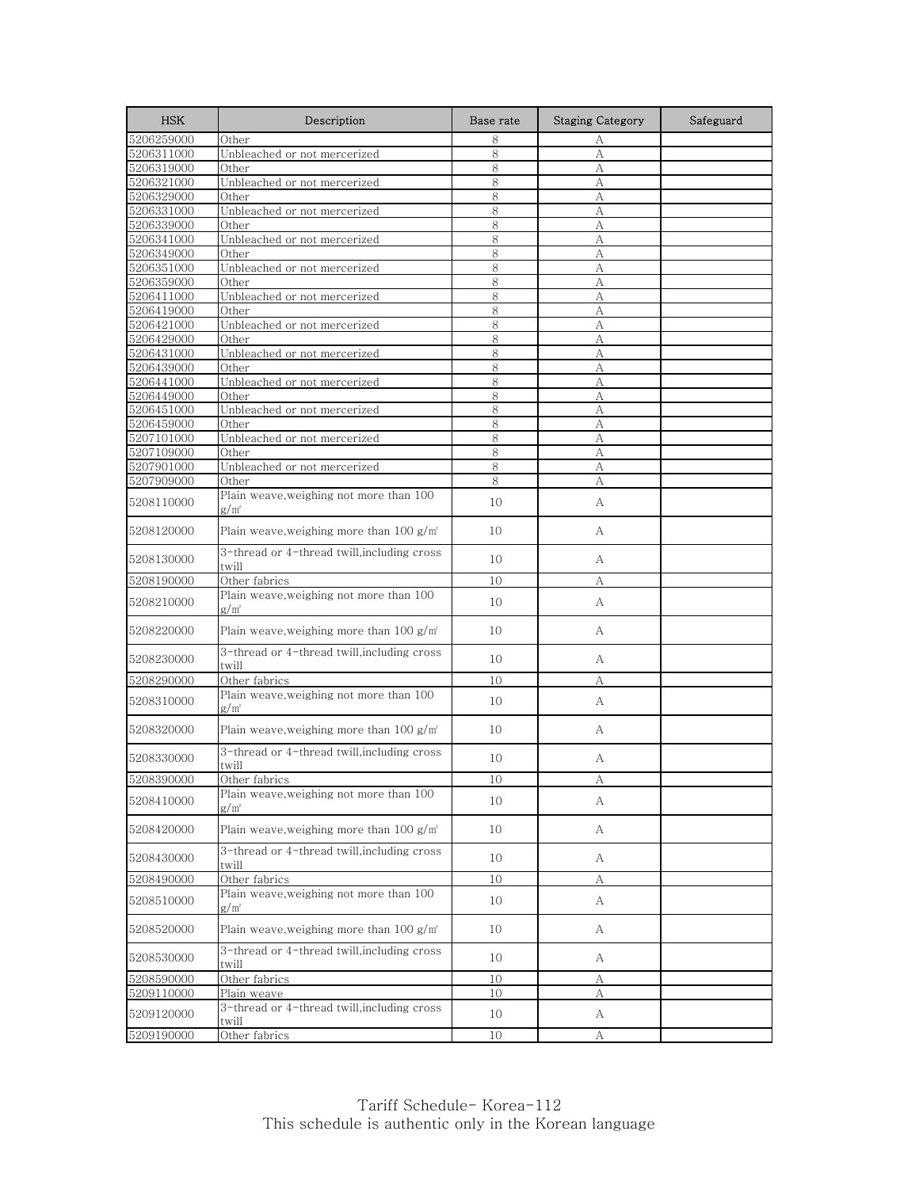| <b>HSK</b>               | Description                                                 | Base rate | <b>Staging Category</b> | Safeguard |
|--------------------------|-------------------------------------------------------------|-----------|-------------------------|-----------|
| 5206259000               | Other                                                       | 8         | А                       |           |
| 5206311000               | Unbleached or not mercerized                                | 8         | А                       |           |
| 5206319000               | Other                                                       | 8         | А                       |           |
| 5206321000               | Unbleached or not mercerized                                | 8         | А                       |           |
| 5206329000               | Other                                                       | 8         | А                       |           |
| 5206331000               | Unbleached or not mercerized                                | 8         | А                       |           |
| 5206339000               | Other                                                       | 8         | А                       |           |
| 5206341000               | Unbleached or not mercerized                                | 8         | А                       |           |
| 5206349000               | Other<br>Unbleached or not mercerized                       | 8         | А                       |           |
| 5206351000<br>5206359000 | Other                                                       | 8<br>8    | А<br>А                  |           |
| 5206411000               | Unbleached or not mercerized                                | 8         | А                       |           |
| 5206419000               | Other                                                       | 8         | А                       |           |
| 5206421000               | Unbleached or not mercerized                                | 8         | A                       |           |
| 5206429000               | Other                                                       | 8         | А                       |           |
| 5206431000               | Unbleached or not mercerized                                | 8         | А                       |           |
| 5206439000               | Other                                                       | 8         | А                       |           |
| 5206441000               | Unbleached or not mercerized                                | 8         | A                       |           |
| 5206449000               | Other                                                       | 8         | А                       |           |
| 5206451000               | Unbleached or not mercerized                                | 8         | A                       |           |
| 5206459000               | Other                                                       | 8         | A                       |           |
| 5207101000               | Unbleached or not mercerized                                | 8         | А                       |           |
| 5207109000               | Other                                                       | 8         | А                       |           |
| 5207901000               | Unbleached or not mercerized                                | 8         | А                       |           |
| 5207909000               | Other                                                       | 8         | А                       |           |
| 5208110000               | Plain weave, weighing not more than 100<br>g/m²             | 10        | А                       |           |
| 5208120000               | Plain weave,weighing more than $100 g/m2$                   | 10        | А                       |           |
| 5208130000               | 3-thread or 4-thread twill, including cross<br>twill        | 10        | A                       |           |
| 5208190000               | Other fabrics                                               | 10        | А                       |           |
| 5208210000               | Plain weave, weighing not more than 100<br>$g/m^2$          | 10        | А                       |           |
| 5208220000               | Plain weave, weighing more than $100 g/m2$                  | 10        | А                       |           |
| 5208230000               | 3-thread or 4-thread twill, including cross<br>twill        | 10        | A                       |           |
| 5208290000               | Other fabrics                                               | 10        | А                       |           |
| 5208310000               | Plain weave, weighing not more than 100<br>g/m <sup>2</sup> | 10        | А                       |           |
| 5208320000               | Plain weave, weighing more than $100 g/m2$                  | 10        | А                       |           |
| 5208330000               | 3-thread or 4-thread twill, including cross<br>twill        | 10        | А                       |           |
| 5208390000               | Other fabrics                                               | 10        |                         |           |
| 5208410000               | Plain weave, weighing not more than 100<br>$g/m^2$          | 10        | А                       |           |
| 5208420000               | Plain weave, weighing more than $100 g/m2$                  | 10        | А                       |           |
| 5208430000               | 3-thread or 4-thread twill, including cross<br>twill        | 10        | A                       |           |
| 5208490000               | Other fabrics                                               | 10        | А                       |           |
| 5208510000               | Plain weave, weighing not more than 100<br>$g/m^2$          | 10        | A                       |           |
| 5208520000               | Plain weave, weighing more than $100 g/m2$                  | 10        | A                       |           |
| 5208530000               | 3-thread or 4-thread twill, including cross<br>twill        | 10        | А                       |           |
| 5208590000               | Other fabrics                                               | 10        | А                       |           |
| 5209110000               | Plain weave                                                 | 10        | А                       |           |
| 5209120000               | 3-thread or 4-thread twill, including cross<br>twill        | 10        | A                       |           |
| 5209190000               | Other fabrics                                               | 10        | А                       |           |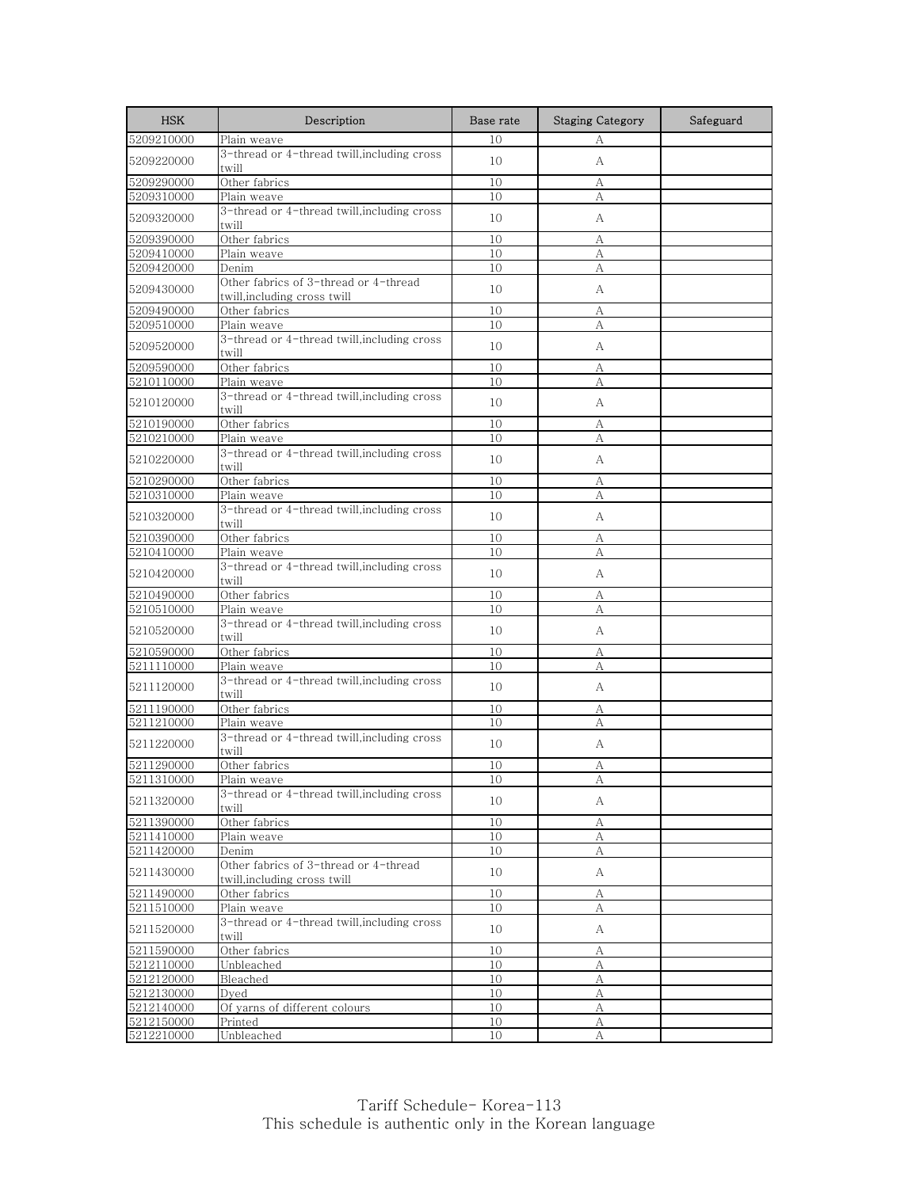| <b>HSK</b>               | Description                                                           | Base rate | <b>Staging Category</b> | Safeguard |
|--------------------------|-----------------------------------------------------------------------|-----------|-------------------------|-----------|
| 5209210000               | Plain weave                                                           | 10        | А                       |           |
| 5209220000               | 3-thread or 4-thread twill, including cross<br>twill                  | 10        | А                       |           |
| 5209290000               | Other fabrics                                                         | 10        | А                       |           |
| 5209310000               | Plain weave                                                           | 10        | А                       |           |
| 5209320000               | 3-thread or 4-thread twill,including cross<br>twill                   | 10        | A                       |           |
| 5209390000               | Other fabrics                                                         | 10        | А                       |           |
| 5209410000               | Plain weave                                                           | 10        | А                       |           |
| 5209420000               | Denim                                                                 | 10        | А                       |           |
| 5209430000               | Other fabrics of 3-thread or 4-thread<br>twill,including cross twill  | 10        | A                       |           |
| 5209490000               | Other fabrics                                                         | 10        | А                       |           |
| 5209510000               | Plain weave                                                           | 10        | А                       |           |
| 5209520000               | 3-thread or 4-thread twill, including cross<br>twill                  | 10        | А                       |           |
| 5209590000               | Other fabrics                                                         | 10        | А                       |           |
| 5210110000               | Plain weave                                                           | 10        | А                       |           |
| 5210120000               | 3-thread or 4-thread twill, including cross<br>twill                  | 10        | А                       |           |
| 5210190000               | Other fabrics                                                         | 10        | А                       |           |
| 5210210000               | Plain weave                                                           | 10        | А                       |           |
| 5210220000               | 3-thread or 4-thread twill, including cross<br>twill                  | 10        | А                       |           |
| 5210290000               | Other fabrics                                                         |           |                         |           |
| 5210310000               | Plain weave                                                           | 10<br>10  | А<br>А                  |           |
| 5210320000               | 3-thread or 4-thread twill, including cross                           | 10        | А                       |           |
|                          | twill                                                                 |           |                         |           |
| 5210390000<br>5210410000 | Other fabrics<br>Plain weave                                          | 10<br>10  | А<br>А                  |           |
| 5210420000               | 3-thread or 4-thread twill, including cross<br>twill                  | 10        | А                       |           |
| 5210490000               | Other fabrics                                                         | 10        | А                       |           |
| 5210510000               | Plain weave                                                           | 10        | А                       |           |
| 5210520000               | 3-thread or 4-thread twill, including cross<br>twill                  | 10        | А                       |           |
| 5210590000               | Other fabrics                                                         | 10        | А                       |           |
| 5211110000               | Plain weave                                                           | 10        | А                       |           |
| 5211120000               | 3-thread or 4-thread twill, including cross<br>twill                  | 10        | А                       |           |
| 5211190000               | Other fabrics                                                         | 10        | А                       |           |
| 5211210000               | Plain weave                                                           | 10        | A                       |           |
| 5211220000               | 3-thread or 4-thread twill,including cross                            | 10        | А                       |           |
| 5211290000               | twill<br>Other fabrics                                                | 10        | А                       |           |
| 5211310000               | Plain weave                                                           | 10        | А                       |           |
| 5211320000               | 3-thread or 4-thread twill, including cross                           | 10        | А                       |           |
| 5211390000               | twill<br>Other fabrics                                                | 10        | А                       |           |
| 5211410000               | Plain weave                                                           | 10        | А                       |           |
| 5211420000               | Denim                                                                 | 10        | А                       |           |
| 5211430000               | Other fabrics of 3-thread or 4-thread<br>twill, including cross twill | 10        | A                       |           |
| 5211490000               | Other fabrics                                                         | 10        | А                       |           |
| 5211510000               | Plain weave                                                           | 10        | А                       |           |
| 5211520000               | 3-thread or 4-thread twill, including cross                           | 10        | A                       |           |
| 5211590000               | twill<br>Other fabrics                                                | 10        |                         |           |
| 5212110000               | Unbleached                                                            | 10        | А<br>А                  |           |
| 5212120000               | Bleached                                                              | 10        | А                       |           |
| 5212130000               | Dyed                                                                  | 10        | А                       |           |
| 5212140000               | Of yarns of different colours                                         | 10        | А                       |           |
| 5212150000               | Printed                                                               | 10        | A                       |           |
| 5212210000               | Unbleached                                                            | 10        | А                       |           |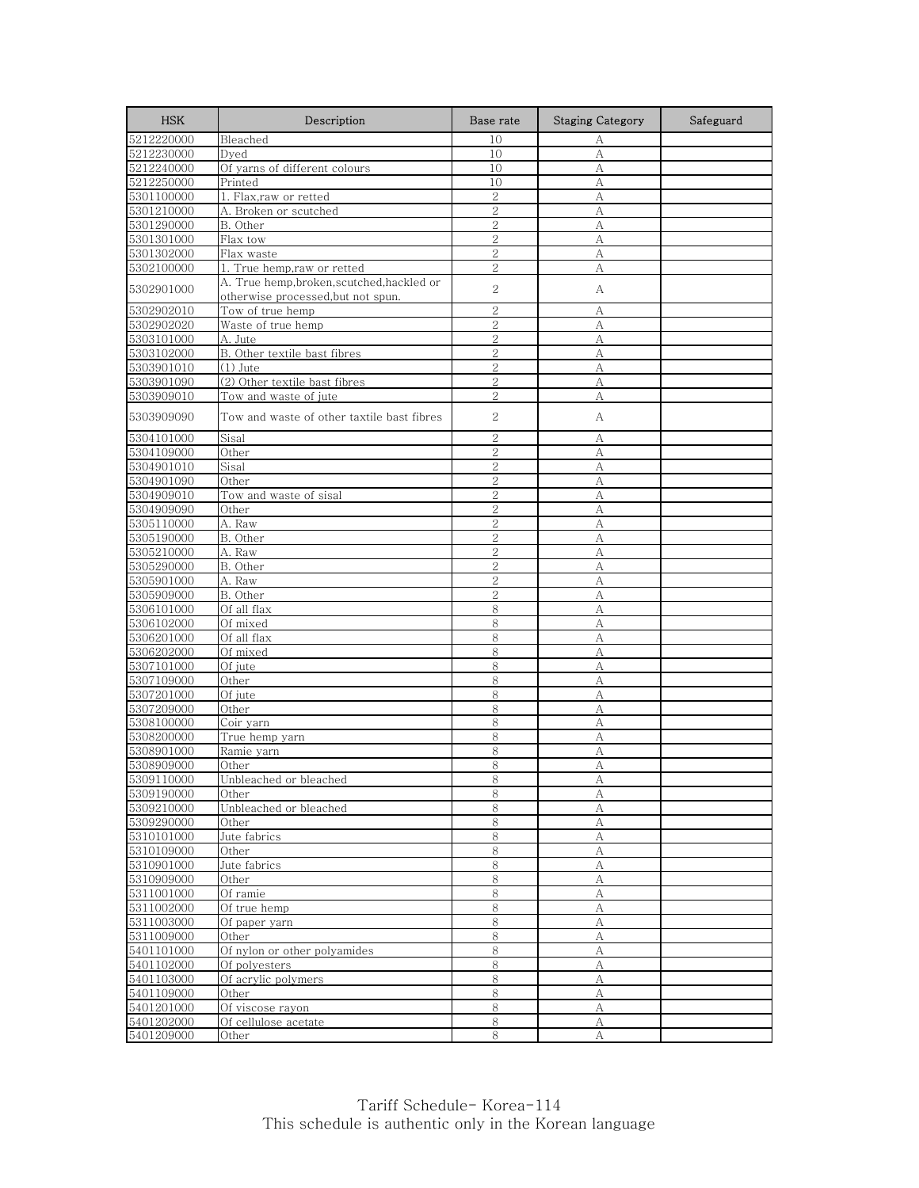| <b>HSK</b>               | Description                                                                   | Base rate      | <b>Staging Category</b> | Safeguard |
|--------------------------|-------------------------------------------------------------------------------|----------------|-------------------------|-----------|
| 5212220000               | Bleached                                                                      | 10             | А                       |           |
| 5212230000               | Dyed                                                                          | 10             | A                       |           |
| 5212240000               | Of yarns of different colours                                                 | 10             | А                       |           |
| 5212250000               | Printed                                                                       | 10             | А                       |           |
| 5301100000               | 1. Flax, raw or retted                                                        | $\mathbf{2}$   | А                       |           |
| 5301210000               | A. Broken or scutched                                                         | $\overline{2}$ | А                       |           |
| 5301290000               | B. Other                                                                      | $\overline{2}$ | A                       |           |
| 5301301000               | Flax tow                                                                      | $\overline{2}$ | A                       |           |
| 5301302000               | Flax waste                                                                    | $\overline{2}$ | А                       |           |
| 5302100000               | 1. True hemp,raw or retted                                                    | $\mathbf{2}$   | А                       |           |
| 5302901000               | A. True hemp,broken,scutched,hackled or<br>otherwise processed, but not spun. | $\overline{2}$ | А                       |           |
| 5302902010               | Tow of true hemp                                                              | $\overline{2}$ | A                       |           |
| 5302902020               | Waste of true hemp                                                            | $\overline{2}$ | A                       |           |
| 5303101000               | A. Jute                                                                       | $\overline{2}$ | А                       |           |
| 5303102000               | B. Other textile bast fibres                                                  | 2              | A                       |           |
| 5303901010               | (1) Jute                                                                      | $\overline{2}$ | А                       |           |
| 5303901090               | (2) Other textile bast fibres                                                 | $\overline{2}$ | A                       |           |
| 5303909010               | Tow and waste of jute                                                         | $\overline{2}$ | A                       |           |
| 5303909090               | Tow and waste of other taxtile bast fibres                                    | 2              | А                       |           |
| 5304101000               | Sisal                                                                         | $\overline{2}$ | А                       |           |
| 5304109000               | Other                                                                         | $\overline{2}$ | A                       |           |
| 5304901010               | Sisal                                                                         | $\overline{2}$ | А                       |           |
| 5304901090               | Other                                                                         | $\overline{2}$ | A                       |           |
| 5304909010               | Tow and waste of sisal                                                        | $\overline{2}$ | A                       |           |
| 5304909090               | Other                                                                         | $\overline{2}$ | A                       |           |
| 5305110000               | A. Raw                                                                        | $\overline{2}$ | A                       |           |
| 5305190000               | B. Other                                                                      | $\mathbf{2}$   | А                       |           |
| 5305210000               | A. Raw                                                                        | $\overline{2}$ | A                       |           |
| 5305290000               | B. Other                                                                      | $\overline{2}$ | А                       |           |
| 5305901000               | A. Raw                                                                        | $\overline{2}$ | A                       |           |
| 5305909000               | B. Other                                                                      | $\overline{2}$ | A                       |           |
| 5306101000               | Of all flax                                                                   | 8              | А                       |           |
| 5306102000               | Of mixed                                                                      | 8              | A                       |           |
| 5306201000<br>5306202000 | Of all flax<br>Of mixed                                                       | 8<br>8         | А<br>А                  |           |
| 5307101000               | Of jute                                                                       | 8              | A                       |           |
| 5307109000               | Other                                                                         | 8              | A                       |           |
| 5307201000               | Of jute                                                                       | 8              | А                       |           |
| 5307209000               | Other                                                                         | 8              | А                       |           |
| 5308100000               | Coir yarn                                                                     | 8              | A                       |           |
| 5308200000               | True hemp yarn                                                                | 8              | А                       |           |
| 5308901000               | Ramie yarn                                                                    | 8              | A                       |           |
| 5308909000               | Other                                                                         | 8              | А                       |           |
| 9309110000               | Unbleached or bleached                                                        | ୪              | A                       |           |
| 5309190000               | Other                                                                         | 8              | А                       |           |
| 5309210000               | Unbleached or bleached                                                        | 8              | А                       |           |
| 5309290000               | Other                                                                         | 8              | $\mathbf{A}$            |           |
| 5310101000               | Jute fabrics                                                                  | $8\,$          | А                       |           |
| 5310109000               | Other                                                                         | 8              | А                       |           |
| 5310901000               | Jute fabrics                                                                  | 8              | А                       |           |
| 5310909000               | Other                                                                         | 8              | А                       |           |
| 5311001000               | Of ramie                                                                      | 8              | A                       |           |
| 5311002000               | Of true hemp                                                                  | 8              | А                       |           |
| 5311003000               | Of paper yarn                                                                 | 8              | А                       |           |
| 5311009000               | Other                                                                         | 8              | А                       |           |
| 5401101000               | Of nylon or other polyamides                                                  | 8              | A                       |           |
| 5401102000               | Of polyesters                                                                 | 8              | А                       |           |
| 5401103000               | Of acrylic polymers                                                           | 8              | А                       |           |
| 5401109000               | Other                                                                         | 8              | A                       |           |
| 5401201000               | Of viscose rayon                                                              | 8              | А                       |           |
| 5401202000               | Of cellulose acetate                                                          | $8\,$          | А                       |           |
| 5401209000               | Other                                                                         | 8              | A                       |           |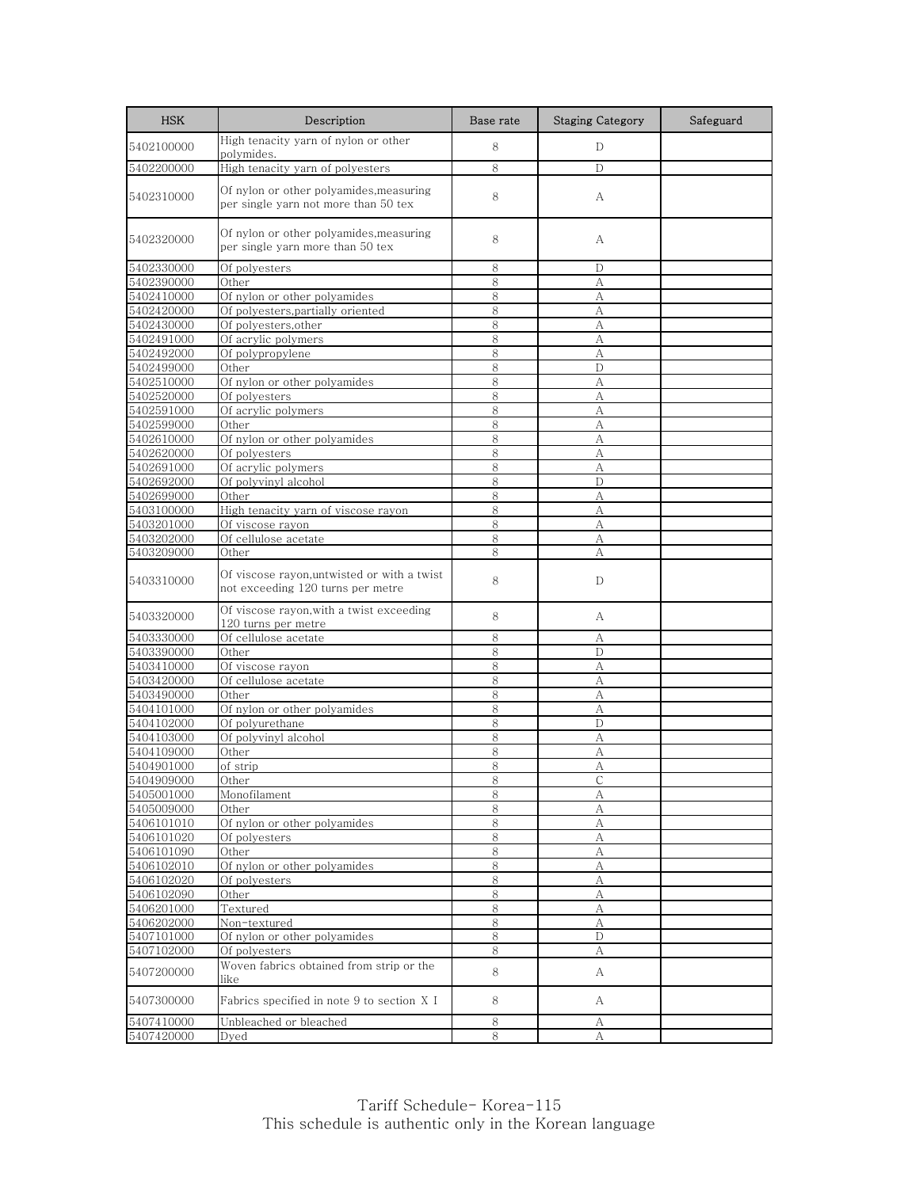| <b>HSK</b>               | Description                                                                     | Base rate | <b>Staging Category</b> | Safeguard |
|--------------------------|---------------------------------------------------------------------------------|-----------|-------------------------|-----------|
| 5402100000               | High tenacity yarn of nylon or other<br>polymides.                              | 8         | D                       |           |
| 5402200000               | High tenacity yarn of polyesters                                                | 8         | D                       |           |
| 5402310000               | Of nylon or other polyamides,measuring<br>per single yarn not more than 50 tex  | 8         | А                       |           |
| 5402320000               | Of nylon or other polyamides,measuring<br>per single yarn more than 50 tex      | 8         | А                       |           |
| 5402330000               | Of polyesters                                                                   | 8         | D                       |           |
| 5402390000               | Other                                                                           | 8         | A                       |           |
| 5402410000               | Of nylon or other polyamides                                                    | 8         | А                       |           |
| 5402420000               | Of polyesters, partially oriented                                               | 8         | А                       |           |
| 5402430000               | Of polyesters, other                                                            | 8         | А                       |           |
| 5402491000               | Of acrylic polymers                                                             | 8         | А                       |           |
| 5402492000               | Of polypropylene                                                                | 8         | А                       |           |
| 5402499000               | Other                                                                           | 8         | D                       |           |
| 5402510000               | Of nylon or other polyamides                                                    | 8         | А                       |           |
| 5402520000               | Of polyesters                                                                   | 8         | A                       |           |
| 5402591000               | Of acrylic polymers                                                             | 8         | A                       |           |
| 5402599000<br>5402610000 | Other<br>Of nylon or other polyamides                                           | 8<br>8    | А                       |           |
| 5402620000               | Of polyesters                                                                   | 8         | А<br>A                  |           |
| 5402691000               | Of acrylic polymers                                                             | 8         | А                       |           |
| 5402692000               | Of polyvinyl alcohol                                                            | 8         | D                       |           |
| 5402699000               | Other                                                                           | 8         | A                       |           |
| 5403100000               | High tenacity yarn of viscose rayon                                             | 8         | А                       |           |
| 5403201000               | Of viscose rayon                                                                | 8         | А                       |           |
| 5403202000               | Of cellulose acetate                                                            | 8         | А                       |           |
| 5403209000               | Other                                                                           | 8         | А                       |           |
| 5403310000               | Of viscose rayon,untwisted or with a twist<br>not exceeding 120 turns per metre | 8         | D                       |           |
| 5403320000               | Of viscose rayon,with a twist exceeding<br>120 turns per metre                  | 8         | А                       |           |
| 5403330000               | Of cellulose acetate                                                            | 8         | А                       |           |
| 5403390000               | Other                                                                           | 8         | D                       |           |
| 5403410000               | Of viscose rayon                                                                | 8         | А                       |           |
| 5403420000               | Of cellulose acetate                                                            | 8         | A                       |           |
| 5403490000               | Other                                                                           | 8         | А                       |           |
| 5404101000               | Of nylon or other polyamides                                                    | 8         | А                       |           |
| 5404102000               | Of polyurethane                                                                 | 8         | D                       |           |
| 5404103000               | Of polyvinyl alcohol                                                            | 8         | А                       |           |
| 5404109000               | Other                                                                           | 8<br>8    | А<br>А                  |           |
| 5404901000               | of strip                                                                        |           |                         |           |
| 5404909000<br>5405001000 | Other<br>Monofilament                                                           | ୪<br>8    | C<br>А                  |           |
| 5405009000               | Other                                                                           | 8         | А                       |           |
| 5406101010               | Of nylon or other polyamides                                                    | 8         | А                       |           |
| 5406101020               | Of polyesters                                                                   | 8         | А                       |           |
| 5406101090               | Other                                                                           | 8         | А                       |           |
| 5406102010               | Of nylon or other polyamides                                                    | 8         | А                       |           |
| 5406102020               | Of polyesters                                                                   | 8         | А                       |           |
| 5406102090               | Other                                                                           | $\,8\,$   | А                       |           |
| 5406201000               | Textured                                                                        | 8         | А                       |           |
| 5406202000               | Non-textured                                                                    | $8\,$     | А                       |           |
| 5407101000               | Of nylon or other polyamides                                                    | 8         | D                       |           |
| 5407102000               | Of polyesters                                                                   | 8         | А                       |           |
| 5407200000               | Woven fabrics obtained from strip or the<br>like                                | 8         | A                       |           |
| 5407300000               | Fabrics specified in note 9 to section X I                                      | 8         | A                       |           |
| 5407410000               | Unbleached or bleached                                                          | 8         | А                       |           |
| 5407420000               | Dyed                                                                            | 8         | А                       |           |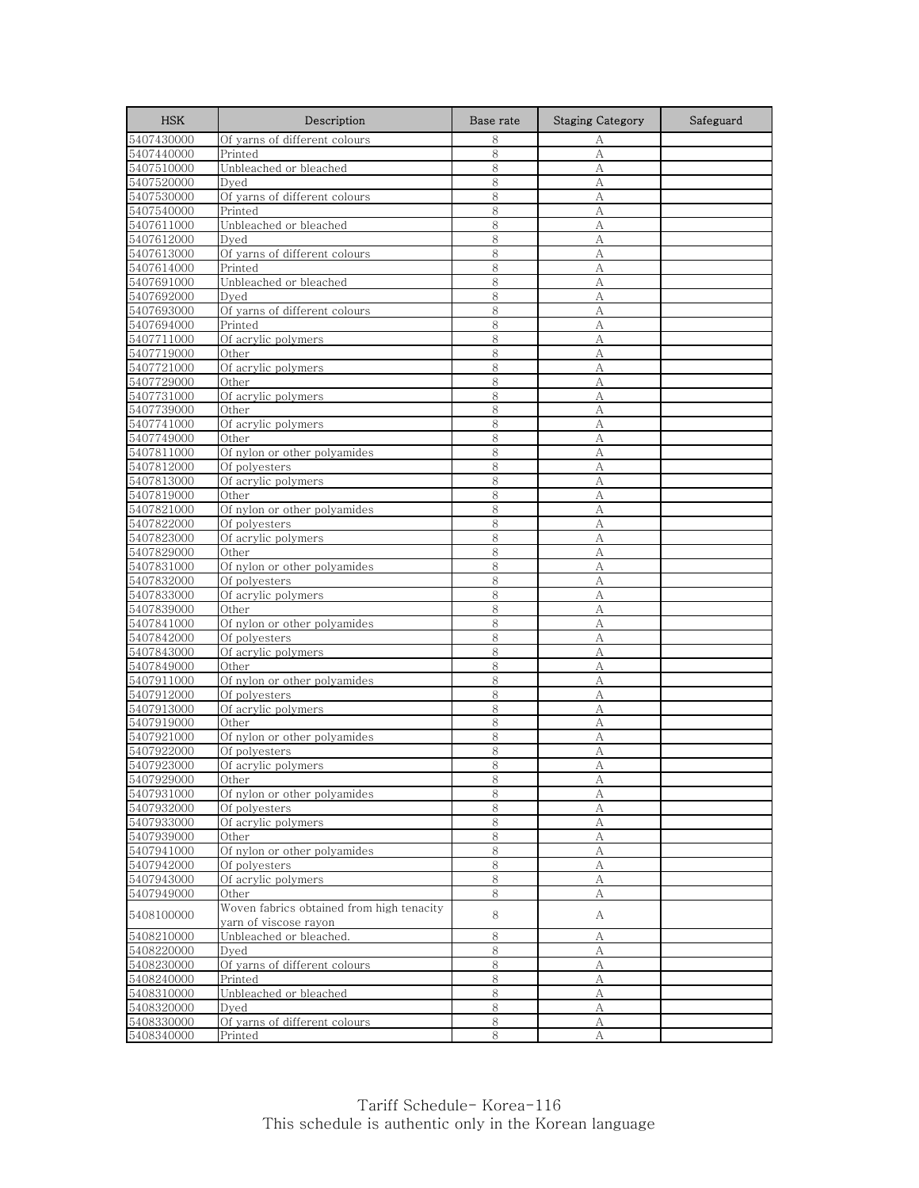| <b>HSK</b>               | Description                                                        | Base rate | <b>Staging Category</b> | Safeguard |
|--------------------------|--------------------------------------------------------------------|-----------|-------------------------|-----------|
| 5407430000               | Of yarns of different colours                                      | 8         | А                       |           |
| 5407440000               | Printed                                                            | 8         | А                       |           |
| 5407510000               | Unbleached or bleached                                             | 8         | А                       |           |
| 5407520000               | Dved                                                               | 8         | А                       |           |
| 5407530000               | Of yarns of different colours                                      | 8         | А                       |           |
| 5407540000               | Printed                                                            | 8         | А                       |           |
| 5407611000               | Unbleached or bleached                                             | 8         | А                       |           |
| 5407612000               | Dved                                                               | 8         | А                       |           |
| 5407613000               | Of yarns of different colours                                      | 8         | А                       |           |
| 5407614000               | Printed                                                            | 8         | А                       |           |
| 5407691000               | Unbleached or bleached                                             | 8         | А                       |           |
| 5407692000               | Dyed                                                               | 8         | А                       |           |
| 5407693000               | Of yarns of different colours                                      | 8         | А                       |           |
| 5407694000               | Printed                                                            | 8         | A                       |           |
| 5407711000               | Of acrylic polymers                                                | 8         | A                       |           |
| 5407719000               | Other                                                              | 8         | А                       |           |
| 5407721000               | Of acrylic polymers                                                | 8         | А                       |           |
| 5407729000               | Other                                                              | 8         | A                       |           |
| 5407731000               | Of acrylic polymers                                                | 8         | А                       |           |
| 5407739000               | Other                                                              | 8         | А                       |           |
| 5407741000               | Of acrylic polymers                                                | 8         | A                       |           |
| 5407749000               | Other                                                              | 8         | А                       |           |
| 5407811000               | Of nylon or other polyamides                                       | 8         | A                       |           |
| 5407812000               | Of polyesters                                                      | 8         | А                       |           |
| 5407813000               | Of acrylic polymers                                                | 8         | А                       |           |
| 5407819000               | Other                                                              | 8         | А                       |           |
| 5407821000               | Of nylon or other polyamides                                       | 8         | А                       |           |
| 5407822000               | Of polyesters                                                      | 8         | А                       |           |
| 5407823000               | Of acrylic polymers                                                | 8         | А                       |           |
| 5407829000               | Other                                                              | 8         | А                       |           |
| 5407831000               | Of nylon or other polyamides                                       | 8         | А                       |           |
| 5407832000               | Of polyesters                                                      | 8         | A                       |           |
| 5407833000               | Of acrylic polymers                                                | 8         | А                       |           |
| 5407839000               | Other                                                              | 8         | А                       |           |
| 5407841000               | Of nylon or other polyamides                                       | 8         | A                       |           |
| 5407842000               | Of polyesters                                                      | 8         | А                       |           |
| 5407843000               | Of acrylic polymers                                                | 8         | A                       |           |
| 5407849000               | Other                                                              | 8         | А                       |           |
| 5407911000               | Of nylon or other polyamides                                       | 8         | A                       |           |
| 5407912000               | Of polyesters                                                      | 8         | A                       |           |
| 5407913000               | Of acrylic polymers                                                | 8         | А                       |           |
| 5407919000               | Other                                                              | 8         | А                       |           |
| 5407921000               | Of nylon or other polyamides                                       | 8         | А                       |           |
| 5407922000               | Of polyesters                                                      | 8         | А                       |           |
| 5407923000               | Of acrylic polymers                                                | 8         | А                       |           |
| 5407929000               | Other                                                              | 8         | Α                       |           |
| 5407931000               | Of nylon or other polyamides                                       | 8         | А                       |           |
| 5407932000               | Of polyesters                                                      | 8         | А                       |           |
| 5407933000               | Of acrylic polymers                                                | 8         | А                       |           |
| 5407939000               | Other                                                              | 8         | А                       |           |
| 5407941000               | Of nylon or other polyamides                                       | 8         | А                       |           |
| 5407942000               | Of polyesters                                                      | 8         | А                       |           |
| 5407943000               | Of acrylic polymers                                                | 8         | А                       |           |
| 5407949000               | Other                                                              | 8         | А                       |           |
| 5408100000               | Woven fabrics obtained from high tenacity<br>yarn of viscose rayon | 8         | A                       |           |
| 5408210000               | Unbleached or bleached.                                            | 8         | А                       |           |
| 5408220000               | Dyed                                                               | 8         | А                       |           |
| 5408230000               | Of yarns of different colours                                      | 8         | А                       |           |
|                          | Printed                                                            |           |                         |           |
| 5408240000<br>5408310000 | Unbleached or bleached                                             | 8<br>8    | А<br>А                  |           |
| 5408320000               | Dyed                                                               | 8         |                         |           |
| 5408330000               | Of yarns of different colours                                      | $\,8\,$   | A<br>А                  |           |
| 5408340000               | Printed                                                            | 8         | A                       |           |
|                          |                                                                    |           |                         |           |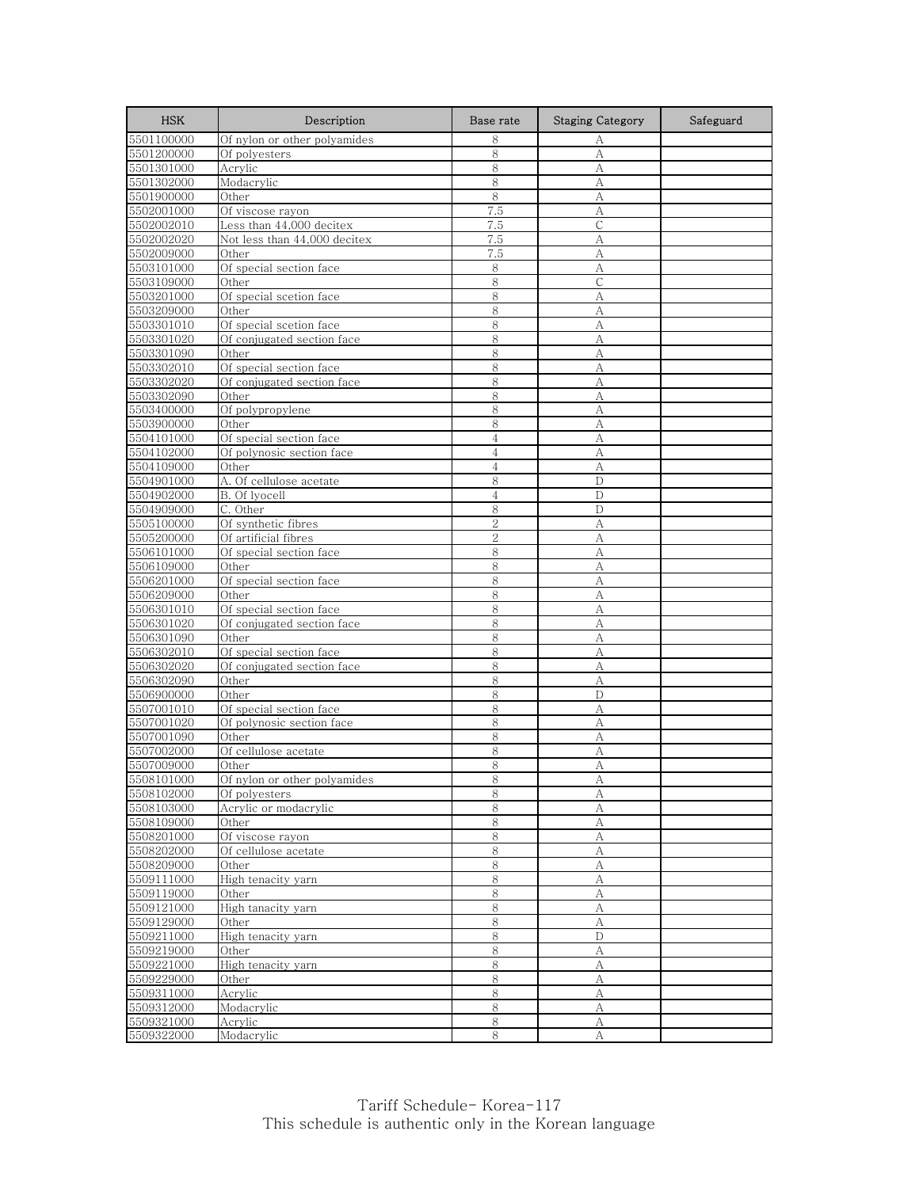| <b>HSK</b>               | Description                      | Base rate      | <b>Staging Category</b> | Safeguard |
|--------------------------|----------------------------------|----------------|-------------------------|-----------|
| 5501100000               | Of nylon or other polyamides     | 8              | А                       |           |
| 5501200000               | Of polyesters                    | 8              | A                       |           |
| 5501301000               | Acrylic                          | 8              | A                       |           |
| 5501302000               | Modacrylic                       | 8              | А                       |           |
| 5501900000               | Other                            | 8              | А                       |           |
| 5502001000               | Of viscose rayon                 | 7.5            | А                       |           |
| 5502002010               | Less than 44,000 decitex         | 7.5            | C                       |           |
| 5502002020               | Not less than 44,000 decitex     | 7.5            | A                       |           |
| 5502009000               | Other                            | 7.5            | А                       |           |
| 5503101000               | Of special section face          | 8              | А                       |           |
| 5503109000               | Other                            | $8\,$          | $\mathsf{C}$            |           |
| 5503201000               | Of special scetion face<br>Other | 8<br>8         | А<br>A                  |           |
| 5503209000               | Of special scetion face          | 8              |                         |           |
| 5503301010<br>5503301020 | Of conjugated section face       | 8              | А<br>А                  |           |
| 5503301090               | Other                            | 8              | А                       |           |
| 5503302010               | Of special section face          | 8              | А                       |           |
| 5503302020               | Of conjugated section face       | 8              | А                       |           |
| 5503302090               | Other                            | 8              | А                       |           |
| 5503400000               | Of polypropylene                 | 8              | А                       |           |
| 5503900000               | Other                            | 8              | A                       |           |
| 5504101000               | Of special section face          | $\overline{4}$ | А                       |           |
| 5504102000               | Of polynosic section face        | $\overline{4}$ | А                       |           |
| 5504109000               | Other                            | $\overline{4}$ | А                       |           |
| 5504901000               | A. Of cellulose acetate          | 8              | D                       |           |
| 5504902000               | B. Of lyocell                    | 4              | D                       |           |
| 5504909000               | C. Other                         | 8              | D                       |           |
| 5505100000               | Of synthetic fibres              | $\overline{2}$ | A                       |           |
| 5505200000               | Of artificial fibres             | $\overline{2}$ | А                       |           |
| 5506101000               | Of special section face          | 8              | А                       |           |
| 5506109000               | Other                            | 8              | А                       |           |
| 5506201000               | Of special section face          | 8              | A                       |           |
| 5506209000               | Other                            | 8              | А                       |           |
| 5506301010               | Of special section face          | 8              | A                       |           |
| 5506301020               | Of conjugated section face       | 8              | А                       |           |
| 5506301090               | Other                            | 8              | А                       |           |
| 5506302010               | Of special section face          | 8              | A                       |           |
| 5506302020               | Of conjugated section face       | 8              | А                       |           |
| 5506302090               | Other<br>Other                   | 8              | A                       |           |
| 5506900000               | Of special section face          | 8<br>8         | D<br>A                  |           |
| 5507001010<br>5507001020 | Of polynosic section face        | 8              | А                       |           |
| 5507001090               | Other                            | 8              | А                       |           |
| 5507002000               | Of cellulose acetate             | 8              | А                       |           |
| 5507009000               | Other                            | 8              | А                       |           |
| 5508101000               | Of nylon or other polyamides     | 8              | A                       |           |
| 5508102000               | Of polyesters                    | 8              | А                       |           |
| 5508103000               | Acrylic or modacrylic            | $8\,$          | А                       |           |
| 5508109000               | Other                            | 8              | А                       |           |
| 5508201000               | Of viscose rayon                 | $\,8\,$        | А                       |           |
| 5508202000               | Of cellulose acetate             | 8              | А                       |           |
| 5508209000               | Other                            | $\,8\,$        | А                       |           |
| 5509111000               | High tenacity yarn               | 8              | A                       |           |
| 5509119000               | Other                            | 8              | А                       |           |
| 5509121000               | High tanacity yarn               | $8\,$          | А                       |           |
| 5509129000               | Other                            | 8              | A                       |           |
| 5509211000               | High tenacity yarn               | 8              | D                       |           |
| 5509219000               | Other                            | $\,8\,$        | $\boldsymbol{A}$        |           |
| 5509221000               | High tenacity yarn               | 8              | А                       |           |
| 5509229000               | Other                            | 8              | А                       |           |
| 5509311000               | Acrylic                          | 8              | А                       |           |
| 5509312000               | Modacrylic                       | 8              | А                       |           |
| 5509321000               | Acrylic                          | 8              | А                       |           |
| 5509322000               | Modacrylic                       | 8              | A                       |           |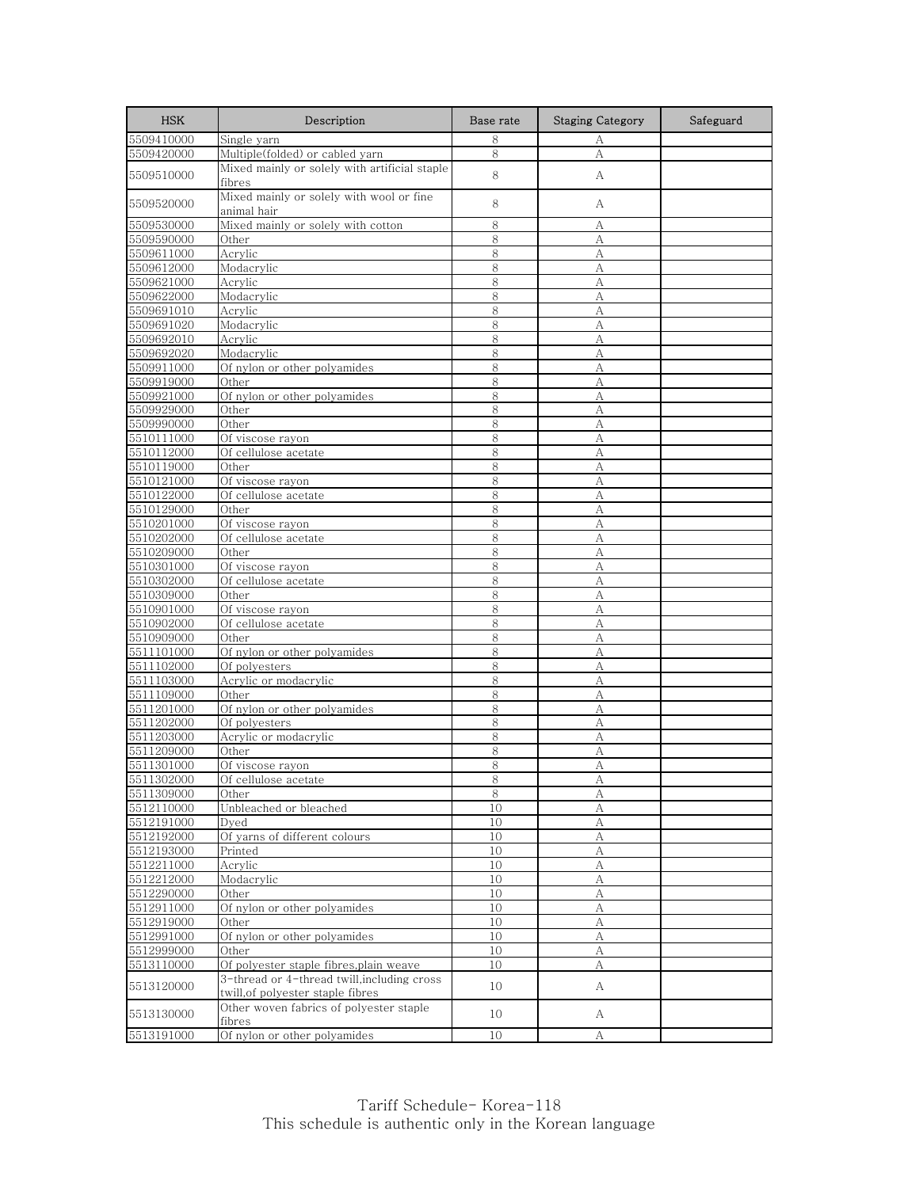| <b>HSK</b>               | Description                                                                      | Base rate | <b>Staging Category</b> | Safeguard |
|--------------------------|----------------------------------------------------------------------------------|-----------|-------------------------|-----------|
| 5509410000               | Single yarn                                                                      | 8         | А                       |           |
| 5509420000               | Multiple(folded) or cabled yarn                                                  | 8         | А                       |           |
| 5509510000               | Mixed mainly or solely with artificial staple<br>fibres                          | 8         | А                       |           |
| 5509520000               | Mixed mainly or solely with wool or fine<br>animal hair                          | 8         | А                       |           |
| 5509530000               | Mixed mainly or solely with cotton                                               | 8         | А                       |           |
| 5509590000               | Other                                                                            | 8         | А                       |           |
| 5509611000               | Acrylic                                                                          | 8         | А                       |           |
| 5509612000               | Modacrylic                                                                       | 8         | А                       |           |
| 5509621000               | Acrylic                                                                          | 8         | А                       |           |
| 5509622000               | Modacrylic                                                                       | 8         | А                       |           |
| 5509691010               | Acrylic                                                                          | 8         | А                       |           |
| 5509691020               | Modacrylic                                                                       | 8         | A                       |           |
| 5509692010               | Acrylic                                                                          | 8         | A                       |           |
| 5509692020               | Modacrylic                                                                       | 8         | А                       |           |
| 5509911000               | Of nylon or other polyamides                                                     | 8         | А                       |           |
| 5509919000               | Other                                                                            | 8         | A                       |           |
| 5509921000               | Of nylon or other polyamides<br>Other                                            | 8<br>8    | А                       |           |
| 5509929000               |                                                                                  | 8         | А                       |           |
| 5509990000<br>5510111000 | Other<br>Of viscose rayon                                                        | 8         | А<br>А                  |           |
| 5510112000               | Of cellulose acetate                                                             | 8         | А                       |           |
| 5510119000               | Other                                                                            | 8         | А                       |           |
| 5510121000               | Of viscose rayon                                                                 | 8         | А                       |           |
| 5510122000               | Of cellulose acetate                                                             | 8         | А                       |           |
| 5510129000               | Other                                                                            | 8         | А                       |           |
| 5510201000               | Of viscose rayon                                                                 | 8         | А                       |           |
| 5510202000               | Of cellulose acetate                                                             | 8         | А                       |           |
| 5510209000               | Other                                                                            | 8         | A                       |           |
| 5510301000               | Of viscose rayon                                                                 | 8         | А                       |           |
| 5510302000               | Of cellulose acetate                                                             | 8         | A                       |           |
| 5510309000               | Other                                                                            | 8         | А                       |           |
| 5510901000               | Of viscose rayon                                                                 | 8         | A                       |           |
| 5510902000               | Of cellulose acetate                                                             | 8         | А                       |           |
| 5510909000               | Other                                                                            | 8         | А                       |           |
| 5511101000               | Of nylon or other polyamides                                                     | 8         | А                       |           |
| 5511102000               | Of polyesters                                                                    | 8         | А                       |           |
| 5511103000               | Acrylic or modacrylic                                                            | 8         | A                       |           |
| 5511109000               | Other                                                                            | 8         | А                       |           |
| 5511201000               | Of nylon or other polyamides                                                     | 8<br>8    | А<br>А                  |           |
| 5511202000<br>5511203000 | Of polyesters<br>Acrylic or modacrylic                                           | 8         | А                       |           |
| 5511209000               | Other                                                                            | 8         | А                       |           |
| 5511301000               | Of viscose rayon                                                                 | 8         | А                       |           |
| 5511302000               | Of cellulose acetate                                                             | 8         | Α                       |           |
| 5511309000               | Other                                                                            | 8         | А                       |           |
| 5512110000               | Unbleached or bleached                                                           | 10        | А                       |           |
| 5512191000               | Dyed                                                                             | 10        | $\boldsymbol{A}$        |           |
| 5512192000               | Of yarns of different colours                                                    | 10        | А                       |           |
| 5512193000               | Printed                                                                          | 10        | А                       |           |
| 5512211000               | Acrylic                                                                          | 10        | А                       |           |
| 5512212000               | Modacrylic                                                                       | 10        | А                       |           |
| 5512290000               | Other                                                                            | 10        | А                       |           |
| 5512911000               | Of nylon or other polyamides                                                     | 10        | А                       |           |
| 5512919000               | Other                                                                            | 10        | А                       |           |
| 5512991000               | Of nylon or other polyamides                                                     | 10        | А                       |           |
| 5512999000               | Other                                                                            | 10        | А                       |           |
| 5513110000               | Of polyester staple fibres,plain weave                                           | 10        | А                       |           |
| 5513120000               | 3-thread or 4-thread twill, including cross<br>twill, of polyester staple fibres | 10        | A                       |           |
| 5513130000               | Other woven fabrics of polyester staple<br>fibres                                | 10        | A                       |           |
| 5513191000               | Of nylon or other polyamides                                                     | 10        | А                       |           |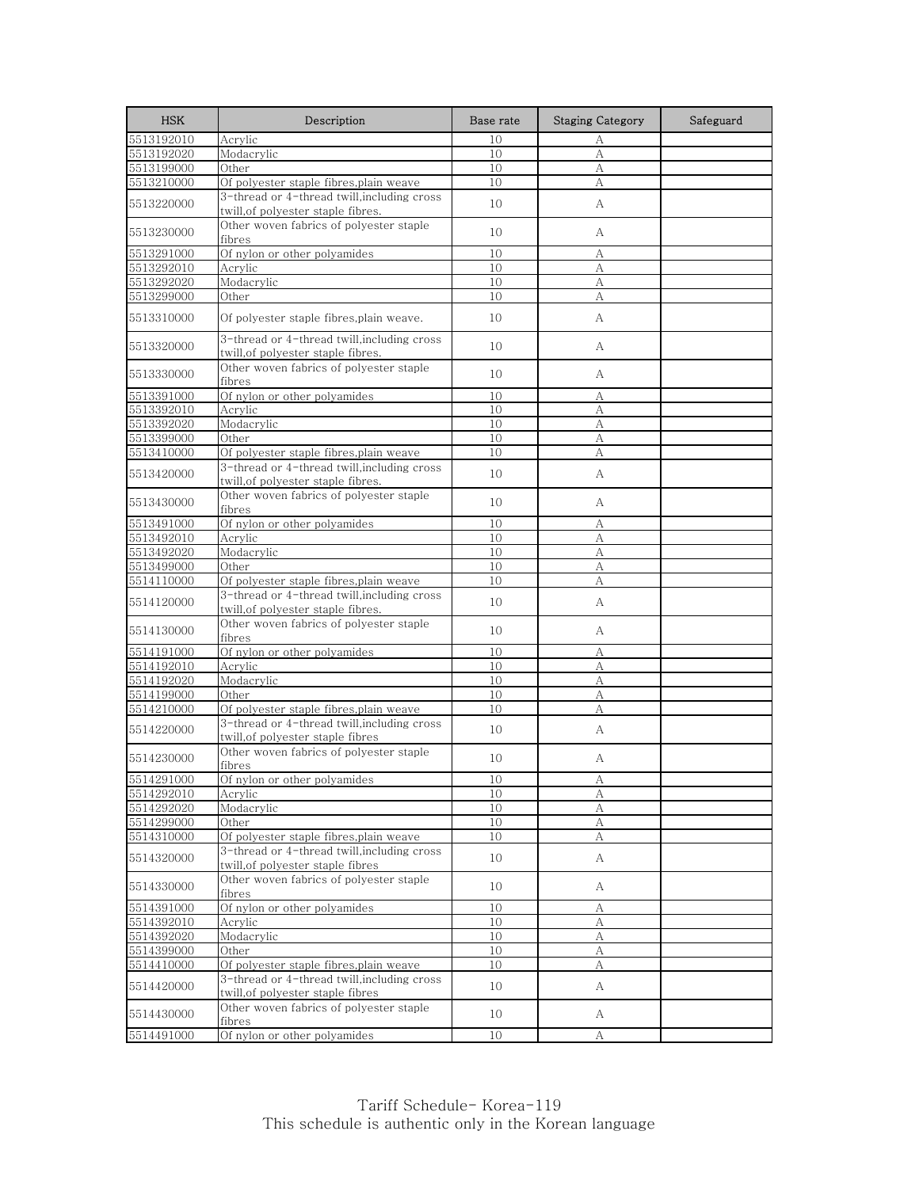| <b>HSK</b>               | Description                                                                       | Base rate        | <b>Staging Category</b> | Safeguard |
|--------------------------|-----------------------------------------------------------------------------------|------------------|-------------------------|-----------|
| 5513192010               | Acrylic                                                                           | 10               | А                       |           |
| 5513192020               | Modacrylic                                                                        | 10               | A                       |           |
| 5513199000               | Other                                                                             | 10               | А                       |           |
| 5513210000               | Of polyester staple fibres,plain weave                                            | 10               | А                       |           |
| 5513220000               | 3-thread or 4-thread twill, including cross<br>twill, of polyester staple fibres. | 10               | А                       |           |
| 5513230000               | Other woven fabrics of polyester staple<br>fibres                                 | 10               | A                       |           |
| 5513291000               | Of nylon or other polyamides                                                      | 10               | А                       |           |
| 5513292010               | Acrylic                                                                           | 10               | А                       |           |
| 5513292020               | Modacrylic                                                                        | 10               | A                       |           |
| 5513299000               | Other                                                                             | 10               | А                       |           |
| 5513310000               | Of polyester staple fibres,plain weave.                                           | 10               | A                       |           |
| 5513320000               | 3-thread or 4-thread twill, including cross<br>twill, of polyester staple fibres. | 10               | А                       |           |
| 5513330000               | Other woven fabrics of polyester staple<br>fibres                                 | 10               | А                       |           |
|                          |                                                                                   |                  |                         |           |
| 5513391000<br>5513392010 | Of nylon or other polyamides                                                      | 10<br>10         | А                       |           |
|                          | Acrylic                                                                           |                  | А                       |           |
| 5513392020               | Modacrylic                                                                        | 10               | А                       |           |
| 5513399000               | Other                                                                             | 10               | А                       |           |
| 5513410000               | Of polyester staple fibres,plain weave                                            | 10               | A                       |           |
| 5513420000               | 3-thread or 4-thread twill, including cross<br>twill,of polyester staple fibres.  | 10               | А                       |           |
| 5513430000               | Other woven fabrics of polyester staple<br>fibres                                 | 10               | A                       |           |
| 5513491000               | Of nylon or other polyamides                                                      | 10               | А                       |           |
| 5513492010               | Acrylic                                                                           | 10               | А                       |           |
| 5513492020               | Modacrylic                                                                        | 10               | А                       |           |
| 5513499000               | Other                                                                             | 10               | А                       |           |
| 5514110000               | Of polyester staple fibres,plain weave                                            | 10               | A                       |           |
| 5514120000               | 3-thread or 4-thread twill, including cross<br>twill, of polyester staple fibres. | 10               | А                       |           |
| 5514130000               | Other woven fabrics of polyester staple<br>fibres                                 | 10               | А                       |           |
| 5514191000               | Of nylon or other polyamides                                                      | 10               | А                       |           |
| 5514192010               | Acrylic                                                                           | 10               | А                       |           |
| 5514192020               | Modacrylic                                                                        | 10               | A                       |           |
| 5514199000               | Other                                                                             | 10               | А                       |           |
| 5514210000               | Of polyester staple fibres,plain weave                                            | 10               | А                       |           |
| 5514220000               | 3-thread or 4-thread twill.including cross<br>twill, of polyester staple fibres   | 10               | А                       |           |
| 5514230000               | Other woven fabrics of polyester staple<br>fibres                                 | 10               | А                       |           |
| 5514291000               | Of nylon or other polyamides                                                      |                  |                         |           |
| 5514292010               | Acrylic                                                                           | 1 <u>0</u><br>10 | A<br>А                  |           |
| 5514292020               | Modacrylic                                                                        | 10               |                         |           |
| 5514299000               | Other                                                                             | 10               | А<br>$\mathbf{A}$       |           |
|                          | Of polyester staple fibres,plain weave                                            |                  |                         |           |
| 5514310000               | 3-thread or 4-thread twill, including cross                                       | 10               | А                       |           |
| 5514320000               | twill,of polyester staple fibres                                                  | 10               | A                       |           |
| 5514330000               | Other woven fabrics of polyester staple<br>fibres                                 | 10               | А                       |           |
| 5514391000               | Of nylon or other polyamides                                                      | 10               | А                       |           |
| 5514392010               | Acrylic                                                                           | 10               | А                       |           |
| 5514392020               | Modacrylic                                                                        | 10               | А                       |           |
| 5514399000               | Other                                                                             | 10               | А                       |           |
| 5514410000               | Of polyester staple fibres, plain weave                                           | 10               | А                       |           |
| 5514420000               | 3-thread or 4-thread twill, including cross<br>twill, of polyester staple fibres  | 10               | A                       |           |
| 5514430000               | Other woven fabrics of polyester staple<br>fibres                                 | 10               | A                       |           |
| 5514491000               | Of nylon or other polyamides                                                      | 10               | А                       |           |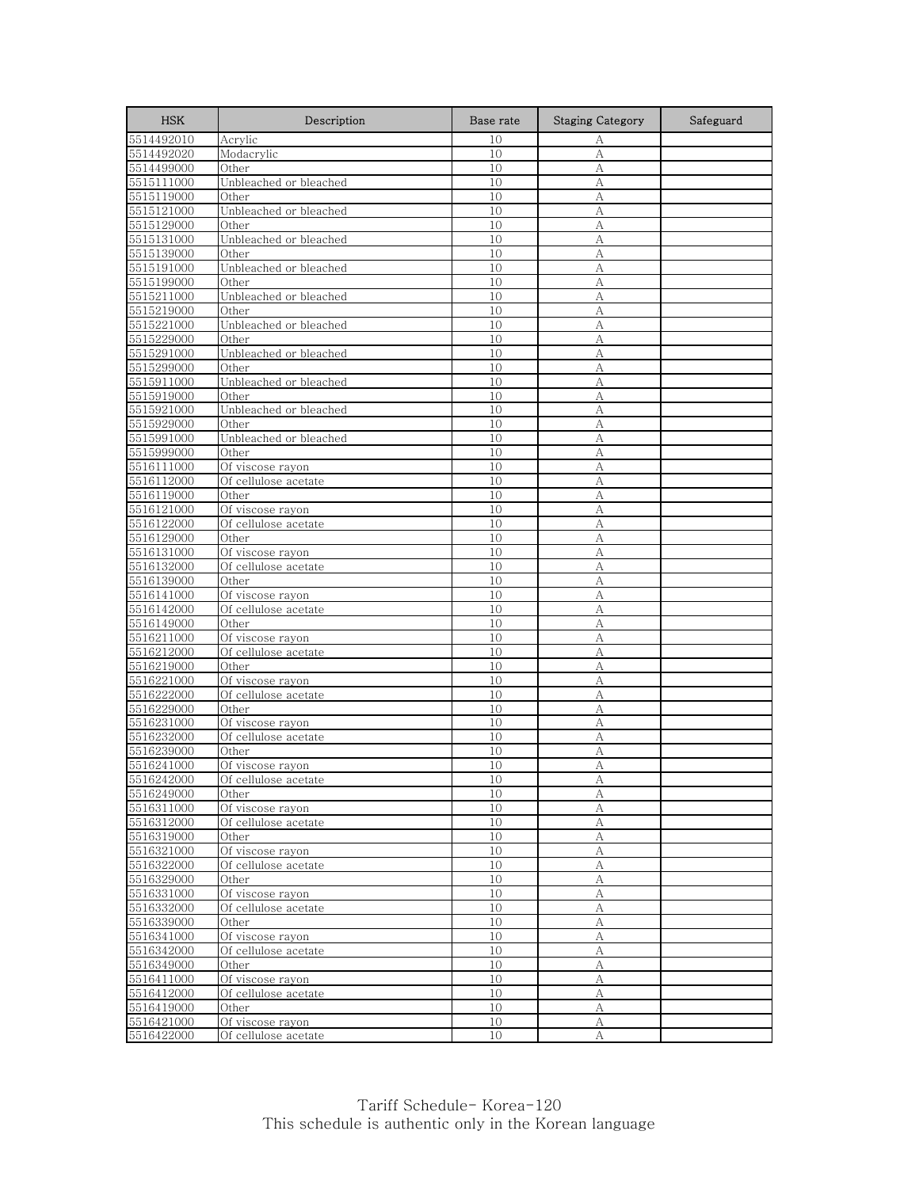| <b>HSK</b>               | Description               | Base rate | <b>Staging Category</b> | Safeguard |
|--------------------------|---------------------------|-----------|-------------------------|-----------|
| 5514492010               | Acrylic                   | 10        | А                       |           |
| 5514492020               | Modacrylic                | 10        | А                       |           |
| 5514499000               | Other                     | 10        | A                       |           |
| 5515111000               | Unbleached or bleached    | 10        | А                       |           |
| 5515119000               | Other                     | 10        | А                       |           |
| 5515121000               | Unbleached or bleached    | 10        | А                       |           |
| 5515129000               | Other                     | 10        | А                       |           |
| 5515131000               | Unbleached or bleached    | 10        | А                       |           |
| 5515139000               | Other                     | 10        | А                       |           |
| 5515191000               | Unbleached or bleached    | 10        | А                       |           |
| 5515199000               | Other                     | 10        | А                       |           |
| 5515211000               | Unbleached or bleached    | 10        | А                       |           |
| 5515219000               | Other                     | 10        | А                       |           |
| 5515221000               | Unbleached or bleached    | 10        | A                       |           |
| 5515229000               | Other                     | 10        | A                       |           |
| 5515291000               | Unbleached or bleached    | 10        | А                       |           |
| 5515299000               | Other                     | 10        | А                       |           |
| 5515911000               | Unbleached or bleached    | 10        | A                       |           |
| 5515919000               | Other                     | 10        | А                       |           |
| 5515921000               | Unbleached or bleached    | 10        | A                       |           |
| 5515929000               | Other                     | 10        | A                       |           |
| 5515991000               | Unbleached or bleached    | 10        | А                       |           |
| 5515999000               | Other                     | 10        | A                       |           |
| 5516111000               | Of viscose rayon          | 10        | А                       |           |
| 5516112000               | Of cellulose acetate      | 10        | А                       |           |
| 5516119000               | Other                     | 10        | А                       |           |
| 5516121000               | Of viscose rayon          | 10        | А                       |           |
| 5516122000               | Of cellulose acetate      | 10        | А                       |           |
| 5516129000               | Other                     | 10        | А                       |           |
| 5516131000               | Of viscose rayon          | 10        | А                       |           |
| 5516132000               | Of cellulose acetate      | 10        | А                       |           |
| 5516139000               | Other                     | 10        | A                       |           |
| 5516141000               | Of viscose rayon          | 10        | А                       |           |
| 5516142000               | Of cellulose acetate      | 10        | A                       |           |
| 5516149000               | Other                     | 10        | A                       |           |
| 5516211000               | Of viscose rayon          | 10        | А                       |           |
| 5516212000               | Of cellulose acetate      | 10        | А                       |           |
| 5516219000               | Other                     | 10        | А                       |           |
| 5516221000               | Of viscose rayon          | 10        | A                       |           |
| 5516222000               | Of cellulose acetate      | 10        | А                       |           |
| 5516229000               | Other                     | 10        | А                       |           |
| 5516231000               | Of viscose rayon          | 10        | A                       |           |
|                          | Of cellulose acetate      | 10        | А                       |           |
| 5516232000<br>5516239000 | Other                     | 10        | А                       |           |
| 5516241000               | Of viscose rayon          | 10        | А                       |           |
| 5516242000               | Of cellulose acetate      | 10        |                         |           |
| 5516249000               | Other                     | 10        | А                       |           |
| 5516311000               | Of viscose rayon          | 10        | А<br>А                  |           |
| 5516312000               | Of cellulose acetate      | 10        | $\mathbf{A}$            |           |
| 5516319000               | Other                     |           |                         |           |
|                          | Of viscose rayon          | 10<br>10  | А<br>А                  |           |
| 5516321000               | Of cellulose acetate      |           |                         |           |
| 5516322000               |                           | 10        | А                       |           |
| 5516329000<br>5516331000 | Other<br>Of viscose rayon | 10<br>10  | A<br>А                  |           |
|                          |                           |           |                         |           |
| 5516332000               | Of cellulose acetate      | 10        | А                       |           |
| 5516339000               | Other                     | 10        | А                       |           |
| 5516341000               | Of viscose rayon          | 10        | А                       |           |
| 5516342000               | Of cellulose acetate      | 10        | $\mathbf{A}$            |           |
| 5516349000               | Other                     | 10        | А                       |           |
| 5516411000               | Of viscose rayon          | 10        | А                       |           |
| 5516412000               | Of cellulose acetate      | 10        | А                       |           |
| 5516419000               | Other                     | 10        | А                       |           |
| 5516421000               | Of viscose rayon          | 10        | А                       |           |
| 5516422000               | Of cellulose acetate      | 10        | A                       |           |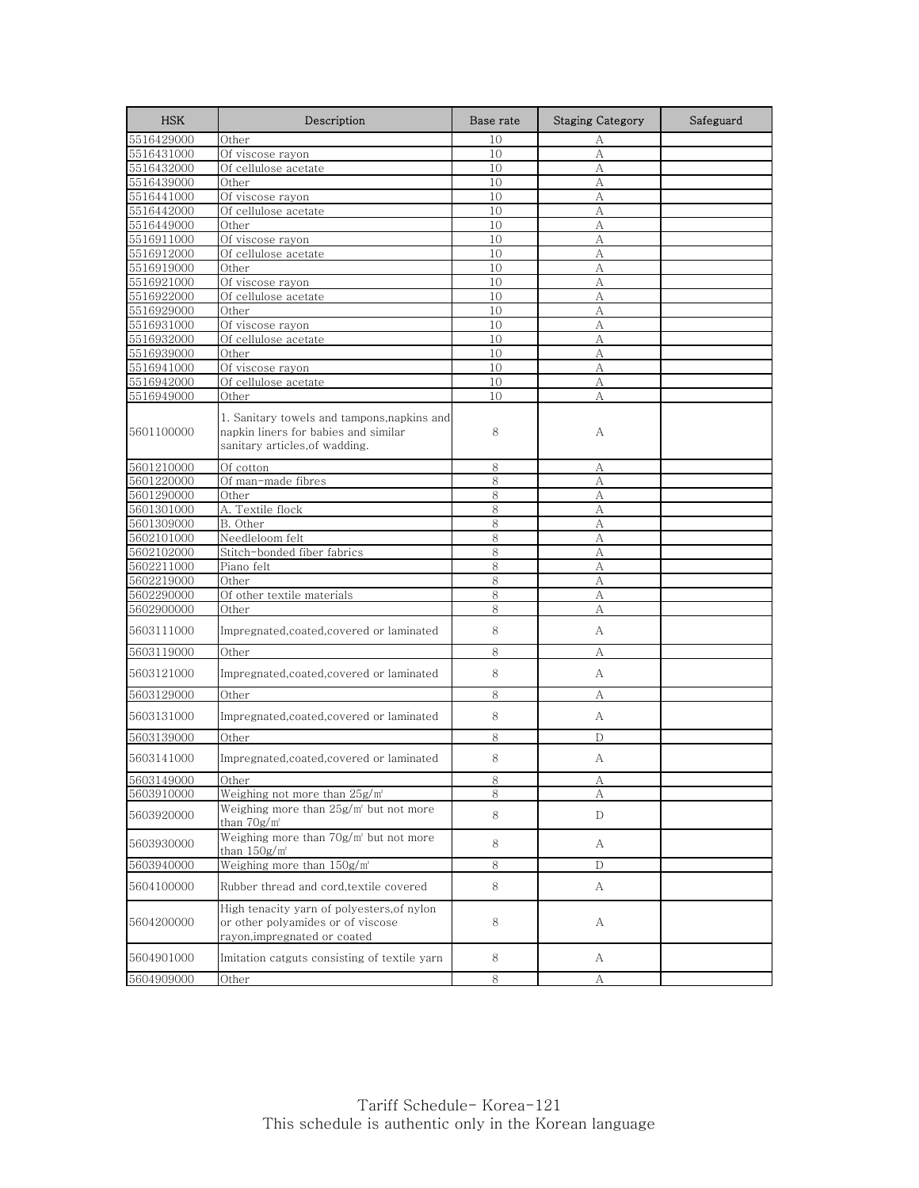| <b>HSK</b>               | Description                                                                                                           | Base rate | <b>Staging Category</b> | Safeguard |
|--------------------------|-----------------------------------------------------------------------------------------------------------------------|-----------|-------------------------|-----------|
| 5516429000               | Other                                                                                                                 | 10        | А                       |           |
| 5516431000               | Of viscose rayon                                                                                                      | 10        | А                       |           |
| 5516432000               | Of cellulose acetate                                                                                                  | 10        | A                       |           |
| 5516439000               | Other                                                                                                                 | 10        | A                       |           |
| 5516441000               | Of viscose rayon                                                                                                      | 10        | А                       |           |
| 5516442000               | Of cellulose acetate                                                                                                  | 10        | A                       |           |
| 5516449000               | Other                                                                                                                 | 10        | A                       |           |
| 5516911000               | Of viscose rayon                                                                                                      | 10        | А                       |           |
| 5516912000               | Of cellulose acetate                                                                                                  | 10        | А                       |           |
| 5516919000<br>5516921000 | Other                                                                                                                 | 10<br>10  | A                       |           |
| 5516922000               | Of viscose rayon<br>Of cellulose acetate                                                                              | 10        | А<br>A                  |           |
| 5516929000               | Other                                                                                                                 | 10        | А                       |           |
| 5516931000               | Of viscose rayon                                                                                                      | 10        | A                       |           |
| 5516932000               | Of cellulose acetate                                                                                                  | 10        | А                       |           |
| 5516939000               | Other                                                                                                                 | 10        | A                       |           |
| 5516941000               | Of viscose rayon                                                                                                      | 10        | А                       |           |
| 5516942000               | Of cellulose acetate                                                                                                  | 10        | A                       |           |
| 5516949000               | Other                                                                                                                 | 10        | А                       |           |
| 5601100000               | 1. Sanitary towels and tampons, napkins and<br>napkin liners for babies and similar<br>sanitary articles, of wadding. | 8         | А                       |           |
| 5601210000               | Of cotton                                                                                                             | 8         | А                       |           |
| 5601220000               | Of man-made fibres                                                                                                    | 8         | A                       |           |
| 5601290000               | Other                                                                                                                 | 8         | А                       |           |
| 5601301000               | A. Textile flock                                                                                                      | 8         | A                       |           |
| 5601309000               | B. Other                                                                                                              | 8         | А                       |           |
| 5602101000               | Needleloom felt                                                                                                       | 8         | А                       |           |
| 5602102000               | Stitch-bonded fiber fabrics                                                                                           | 8         | А                       |           |
| 5602211000               | Piano felt                                                                                                            | 8         | A                       |           |
| 5602219000               | Other                                                                                                                 | 8         | A                       |           |
| 5602290000               | Of other textile materials                                                                                            | 8         | А                       |           |
| 5602900000               | Other                                                                                                                 | 8         | А                       |           |
| 5603111000               | Impregnated, coated, covered or laminated                                                                             | 8         | А                       |           |
| 5603119000               | Other                                                                                                                 | 8         | А                       |           |
| 5603121000               | Impregnated,coated,covered or laminated                                                                               | 8         | А                       |           |
| 5603129000               | Other                                                                                                                 | 8         | А                       |           |
| 5603131000               | Impregnated, coated, covered or laminated                                                                             | 8         | А                       |           |
| 5603139000               | Other                                                                                                                 | 8         | D                       |           |
| 5603141000               | Impregnated,coated,covered or laminated                                                                               | 8         | А                       |           |
| 5603149000               | Other                                                                                                                 | ୪         | А                       |           |
| 5603910000               | Weighing not more than 25g/m <sup>2</sup>                                                                             | 8         | А                       |           |
| 5603920000               | Weighing more than 25g/m <sup>2</sup> but not more<br>than $70g/m^2$                                                  | 8         | D                       |           |
| 5603930000               | Weighing more than 70g/m <sup>2</sup> but not more<br>than $150g/m^2$                                                 | 8         | А                       |           |
| 5603940000               | Weighing more than 150g/m <sup>2</sup>                                                                                | 8         | D                       |           |
| 5604100000               | Rubber thread and cord, textile covered                                                                               | 8         | A                       |           |
| 5604200000               | High tenacity yarn of polyesters, of nylon<br>or other polyamides or of viscose<br>rayon, impregnated or coated       | 8         | А                       |           |
| 5604901000               | Imitation catguts consisting of textile yarn                                                                          | 8         | А                       |           |
| 5604909000               | Other                                                                                                                 | 8         | А                       |           |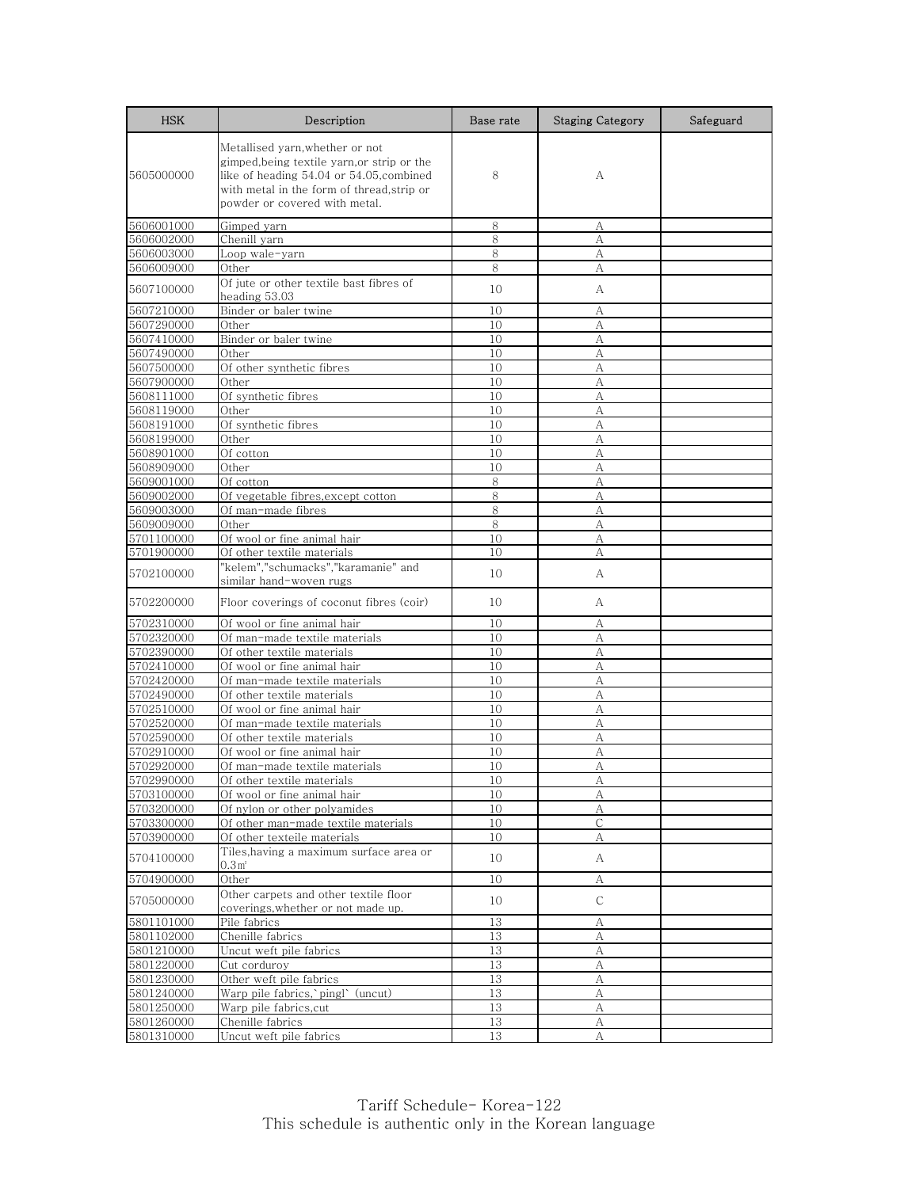| <b>HSK</b> | Description                                                                                                                                                                                               | Base rate | <b>Staging Category</b> | Safeguard |
|------------|-----------------------------------------------------------------------------------------------------------------------------------------------------------------------------------------------------------|-----------|-------------------------|-----------|
| 5605000000 | Metallised yarn, whether or not<br>gimped, being textile yarn, or strip or the<br>like of heading 54.04 or 54.05, combined<br>with metal in the form of thread, strip or<br>powder or covered with metal. | 8         | А                       |           |
| 5606001000 | Gimped yarn                                                                                                                                                                                               | 8         | А                       |           |
| 5606002000 | Chenill yarn                                                                                                                                                                                              | 8         | A                       |           |
| 5606003000 | Loop wale-yarn                                                                                                                                                                                            | 8         | А                       |           |
| 5606009000 | Other                                                                                                                                                                                                     | 8         | А                       |           |
| 5607100000 | Of jute or other textile bast fibres of<br>heading 53.03                                                                                                                                                  | 10        | А                       |           |
| 5607210000 | Binder or baler twine                                                                                                                                                                                     | 10        | А                       |           |
| 5607290000 | Other                                                                                                                                                                                                     | 10        | А                       |           |
| 5607410000 | Binder or baler twine                                                                                                                                                                                     | 10        | А                       |           |
| 5607490000 | Other                                                                                                                                                                                                     | 10        | А                       |           |
| 5607500000 | Of other synthetic fibres                                                                                                                                                                                 | 10        | А                       |           |
| 5607900000 | Other                                                                                                                                                                                                     | 10        | A                       |           |
| 5608111000 | Of synthetic fibres                                                                                                                                                                                       | 10        | А                       |           |
| 5608119000 | Other                                                                                                                                                                                                     | 10        | А                       |           |
| 5608191000 | Of synthetic fibres                                                                                                                                                                                       | 10        | А                       |           |
| 5608199000 | Other                                                                                                                                                                                                     | 10        | А                       |           |
| 5608901000 | Of cotton                                                                                                                                                                                                 | 10        | A                       |           |
| 5608909000 | Other                                                                                                                                                                                                     | 10        | А                       |           |
| 5609001000 | Of cotton                                                                                                                                                                                                 | 8         | А                       |           |
| 5609002000 | Of vegetable fibres, except cotton                                                                                                                                                                        | 8         | А                       |           |
| 5609003000 | Of man-made fibres                                                                                                                                                                                        | 8         | А                       |           |
| 5609009000 | Other                                                                                                                                                                                                     | 8         | А                       |           |
| 5701100000 | Of wool or fine animal hair                                                                                                                                                                               | 10        | А                       |           |
| 5701900000 | Of other textile materials                                                                                                                                                                                | 10        | А                       |           |
| 5702100000 | "kelem","schumacks","karamanie" and<br>similar hand-woven rugs                                                                                                                                            | 10        | А                       |           |
| 5702200000 | Floor coverings of coconut fibres (coir)                                                                                                                                                                  | 10        | А                       |           |
| 5702310000 | Of wool or fine animal hair                                                                                                                                                                               | 10        | А                       |           |
| 5702320000 | Of man-made textile materials                                                                                                                                                                             | 10        | А                       |           |
| 5702390000 | Of other textile materials                                                                                                                                                                                | 10        | A                       |           |
| 5702410000 | Of wool or fine animal hair                                                                                                                                                                               | 10        | А                       |           |
| 5702420000 | Of man-made textile materials                                                                                                                                                                             | 10        | А                       |           |
| 5702490000 | Of other textile materials                                                                                                                                                                                | 10        | А                       |           |
| 5702510000 | Of wool or fine animal hair                                                                                                                                                                               | 10        | А                       |           |
| 5702520000 | Of man-made textile materials                                                                                                                                                                             | 10        | A                       |           |
| 5702590000 | Of other textile materials                                                                                                                                                                                | 10        | А                       |           |
| 5702910000 | Of wool or fine animal hair                                                                                                                                                                               | 10        | А                       |           |
| 5702920000 | Of man-made textile materials                                                                                                                                                                             | 10        | А                       |           |
| 5702990000 | Of other textile materials                                                                                                                                                                                | 10        | А                       |           |
| 5703100000 | Of wool or fine animal hair                                                                                                                                                                               | 10        | А                       |           |
| 5703200000 | Of nylon or other polyamides                                                                                                                                                                              | 10        | А                       |           |
| 5703300000 | Of other man-made textile materials                                                                                                                                                                       | 10        | $\overline{C}$          |           |
| 5703900000 | Of other texteile materials                                                                                                                                                                               | 10        | А                       |           |
| 5704100000 | Tiles, having a maximum surface area or<br>0.3 <sup>r</sup>                                                                                                                                               | 10        | A                       |           |
| 5704900000 | Other                                                                                                                                                                                                     | 10        | А                       |           |
| 5705000000 | Other carpets and other textile floor<br>coverings, whether or not made up.                                                                                                                               | 10        | $\mathsf{C}$            |           |
| 5801101000 | Pile fabrics                                                                                                                                                                                              | 13        | А                       |           |
| 5801102000 | Chenille fabrics                                                                                                                                                                                          | 13        | А                       |           |
| 5801210000 | Uncut weft pile fabrics                                                                                                                                                                                   | 13        | А                       |           |
| 5801220000 | Cut corduroy                                                                                                                                                                                              | 13        | А                       |           |
| 5801230000 | Other weft pile fabrics                                                                                                                                                                                   | 13        | А                       |           |
| 5801240000 | Warp pile fabrics, pingl (uncut)                                                                                                                                                                          | 13        | А                       |           |
| 5801250000 | Warp pile fabrics,cut                                                                                                                                                                                     | 13        | А                       |           |
| 5801260000 | Chenille fabrics                                                                                                                                                                                          | 13        | А                       |           |
| 5801310000 | Uncut weft pile fabrics                                                                                                                                                                                   | 13        | А                       |           |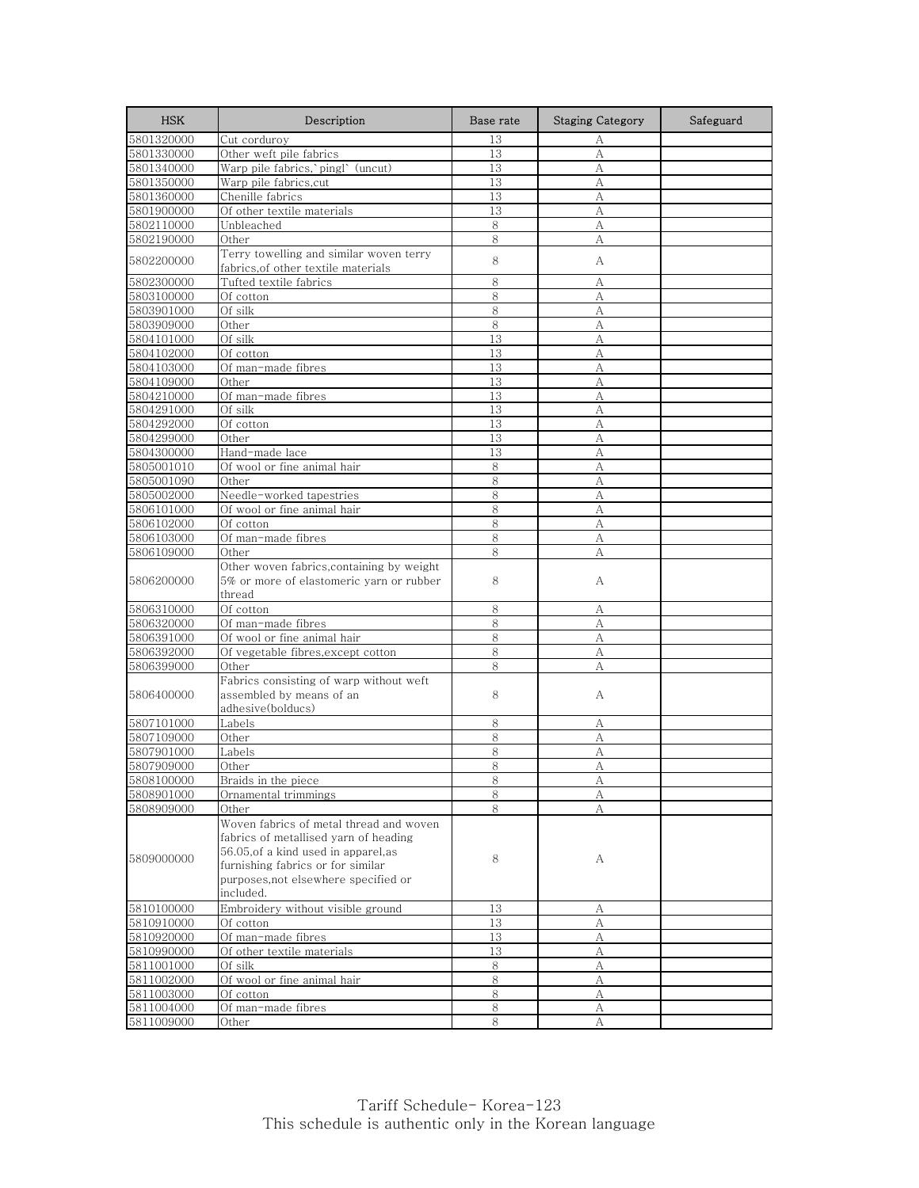| <b>HSK</b> | Description                                                                    | Base rate | <b>Staging Category</b> | Safeguard |
|------------|--------------------------------------------------------------------------------|-----------|-------------------------|-----------|
| 5801320000 | Cut corduroy                                                                   | 13        | А                       |           |
| 5801330000 | Other weft pile fabrics                                                        | 13        | $\mathbf{A}$            |           |
| 5801340000 | Warp pile fabrics, pingl (uncut)                                               | 13        | А                       |           |
| 5801350000 | Warp pile fabrics, cut                                                         | 13        | А                       |           |
| 5801360000 | Chenille fabrics                                                               | 13        | А                       |           |
| 5801900000 | Of other textile materials                                                     | 13        | А                       |           |
| 5802110000 | Unbleached                                                                     | 8         | А                       |           |
| 5802190000 | Other                                                                          | 8         | А                       |           |
| 5802200000 | Terry towelling and similar woven terry<br>fabrics, of other textile materials | 8         | А                       |           |
| 5802300000 | Tufted textile fabrics                                                         | 8         | А                       |           |
| 5803100000 | Of cotton                                                                      | 8         | А                       |           |
| 5803901000 | Of silk                                                                        | 8         | А                       |           |
| 5803909000 | Other                                                                          | 8         | А                       |           |
| 5804101000 | Of silk                                                                        | 13        | А                       |           |
| 5804102000 | Of cotton                                                                      | 13        | A                       |           |
| 5804103000 | Of man-made fibres                                                             | 13        | А                       |           |
| 5804109000 | Other                                                                          | 13        | $\boldsymbol{A}$        |           |
| 5804210000 | Of man-made fibres                                                             | 13        | А                       |           |
| 5804291000 | Of silk                                                                        | 13        | А                       |           |
| 5804292000 | Of cotton                                                                      | 13        | А                       |           |
| 5804299000 | Other                                                                          | 13        | А                       |           |
| 5804300000 | Hand-made lace                                                                 | 13        | А                       |           |
| 5805001010 | Of wool or fine animal hair                                                    | 8         | А                       |           |
| 5805001090 | Other                                                                          | $8\,$     | А                       |           |
| 5805002000 | Needle-worked tapestries                                                       | 8         | А                       |           |
| 5806101000 | Of wool or fine animal hair                                                    | 8         | А                       |           |
| 5806102000 | Of cotton                                                                      | $8\,$     | А                       |           |
| 5806103000 | Of man-made fibres                                                             | 8         | А                       |           |
| 5806109000 | Other                                                                          | 8         | A                       |           |
|            | Other woven fabrics, containing by weight                                      | 8         |                         |           |
| 5806200000 | 5% or more of elastomeric yarn or rubber                                       |           | А                       |           |
|            | thread                                                                         |           |                         |           |
| 5806310000 | Of cotton                                                                      | 8         | А                       |           |
| 5806320000 | Of man-made fibres                                                             | 8         | А                       |           |
| 5806391000 | Of wool or fine animal hair                                                    | 8         | А                       |           |
| 5806392000 | Of vegetable fibres, except cotton                                             | 8         | А                       |           |
| 5806399000 | Other                                                                          | 8         | А                       |           |
|            | Fabrics consisting of warp without weft                                        |           | А                       |           |
| 5806400000 | assembled by means of an                                                       | 8         |                         |           |
|            | adhesive(bolducs)                                                              |           |                         |           |
| 5807101000 | Labels                                                                         | 8         | А                       |           |
| 5807109000 | Other                                                                          | 8         | А                       |           |
| 5807901000 | Labels                                                                         | 8         | A                       |           |
| 5807909000 | Other                                                                          | 8         | А                       |           |
| 5808100000 | <u>Braids in the piece</u>                                                     | ୪         | A                       |           |
| 5808901000 | Ornamental trimmings                                                           | 8         | А                       |           |
| 5808909000 | Other                                                                          | 8         | А                       |           |
|            | Woven fabrics of metal thread and woven                                        |           |                         |           |
|            | fabrics of metallised yarn of heading                                          |           |                         |           |
|            | 56.05, of a kind used in apparel, as                                           | 8         |                         |           |
| 5809000000 | furnishing fabrics or for similar                                              |           | А                       |           |
|            | purposes, not elsewhere specified or                                           |           |                         |           |
|            | included.                                                                      |           |                         |           |
| 5810100000 | Embroidery without visible ground                                              | 13        | А                       |           |
| 5810910000 | Of cotton                                                                      | 13        | А                       |           |
| 5810920000 | Of man-made fibres                                                             | 13        | А                       |           |
| 5810990000 | Of other textile materials                                                     | 13        | А                       |           |
| 5811001000 | Of silk                                                                        | 8         | А                       |           |
| 5811002000 | Of wool or fine animal hair                                                    | 8         | А                       |           |
| 5811003000 | Of cotton                                                                      | 8         | А                       |           |
| 5811004000 | Of man-made fibres                                                             | 8         | А                       |           |
| 5811009000 | Other                                                                          | 8         | А                       |           |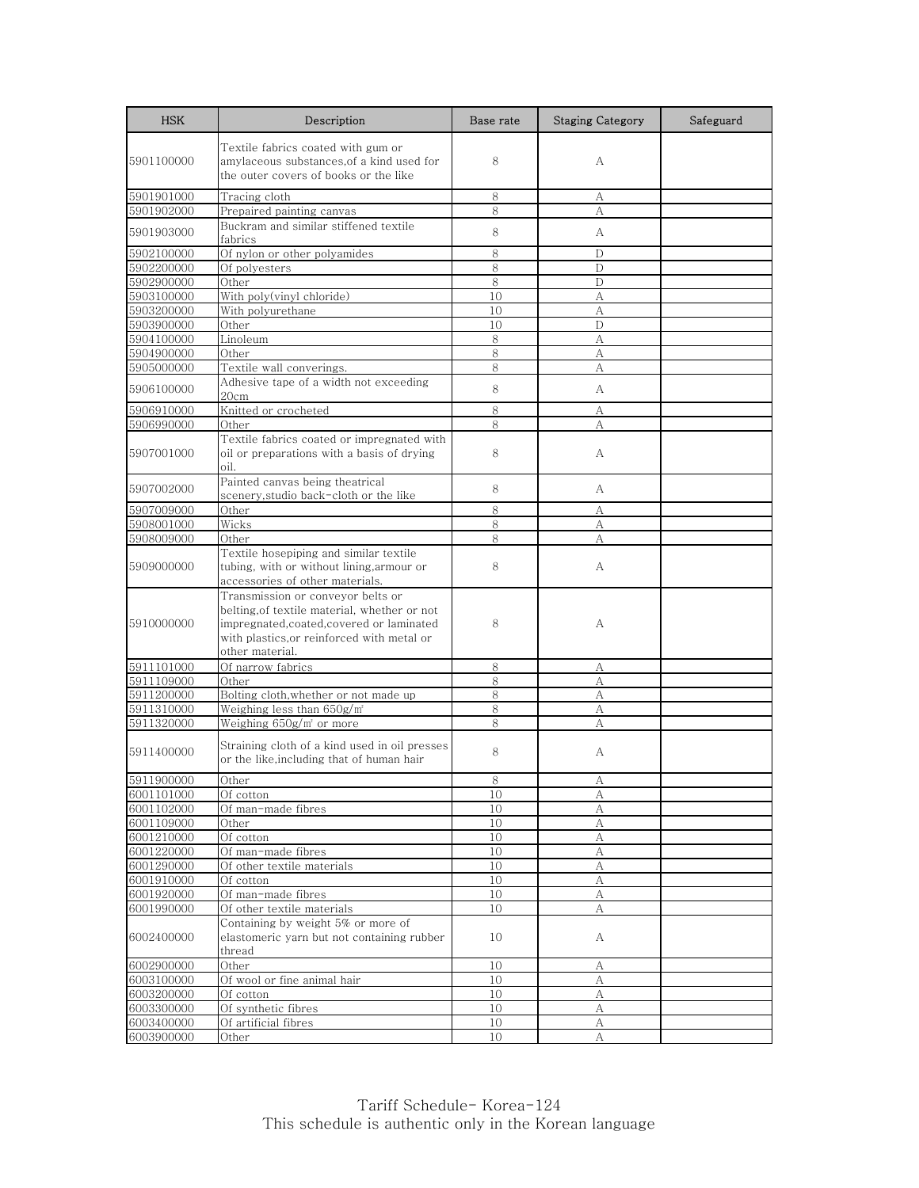| <b>HSK</b>               | Description                                                                                                                                                                                    | Base rate | <b>Staging Category</b> | Safeguard |
|--------------------------|------------------------------------------------------------------------------------------------------------------------------------------------------------------------------------------------|-----------|-------------------------|-----------|
| 5901100000               | Textile fabrics coated with gum or<br>amylaceous substances, of a kind used for<br>the outer covers of books or the like                                                                       | 8         | А                       |           |
| 5901901000               | Tracing cloth                                                                                                                                                                                  | 8         | А                       |           |
| 5901902000               | Prepaired painting canvas                                                                                                                                                                      | 8         | A                       |           |
| 5901903000               | Buckram and similar stiffened textile<br>fabrics                                                                                                                                               | 8         | А                       |           |
| 5902100000               | Of nylon or other polyamides                                                                                                                                                                   | 8         | D                       |           |
| 5902200000               | Of polyesters                                                                                                                                                                                  | 8         | D                       |           |
| 5902900000               | Other                                                                                                                                                                                          | 8         | D                       |           |
| 5903100000               | With poly(vinyl chloride)                                                                                                                                                                      | 10        | А                       |           |
| 5903200000               | With polyurethane                                                                                                                                                                              | 10        | A                       |           |
| 5903900000               | Other                                                                                                                                                                                          | 10        | D                       |           |
| 5904100000               | Linoleum                                                                                                                                                                                       | 8         | A                       |           |
| 5904900000               | Other                                                                                                                                                                                          | 8         | А                       |           |
| 5905000000               | Textile wall converings.                                                                                                                                                                       | 8         | А                       |           |
| 5906100000               | Adhesive tape of a width not exceeding<br>20cm                                                                                                                                                 | 8         | А                       |           |
| 5906910000               | Knitted or crocheted                                                                                                                                                                           | 8         | А                       |           |
| 5906990000               | Other                                                                                                                                                                                          | 8         | А                       |           |
| 5907001000               | Textile fabrics coated or impregnated with<br>oil or preparations with a basis of drying<br>oil.                                                                                               | 8         | А                       |           |
| 5907002000               | Painted canvas being theatrical<br>scenery,studio back-cloth or the like                                                                                                                       | 8         | А                       |           |
| 5907009000               | Other                                                                                                                                                                                          | 8         | А                       |           |
| 5908001000               | Wicks                                                                                                                                                                                          | 8         | А                       |           |
| 5908009000               | Other                                                                                                                                                                                          | 8         | А                       |           |
| 5909000000               | Textile hosepiping and similar textile<br>tubing, with or without lining, armour or<br>accessories of other materials.                                                                         | 8         | А                       |           |
| 5910000000               | Transmission or conveyor belts or<br>belting, of textile material, whether or not<br>impregnated, coated, covered or laminated<br>with plastics,or reinforced with metal or<br>other material. | 8         | А                       |           |
| 5911101000               | Of narrow fabrics                                                                                                                                                                              | 8         | А                       |           |
| 5911109000               | Other                                                                                                                                                                                          | 8         | А                       |           |
| 5911200000               | Bolting cloth, whether or not made up                                                                                                                                                          | 8         | А                       |           |
| 5911310000               | Weighing less than 650g/m <sup>*</sup>                                                                                                                                                         | 8         | А                       |           |
| 5911320000               | Weighing 650g/m' or more                                                                                                                                                                       | 8         | A                       |           |
| 5911400000               | Straining cloth of a kind used in oil presses<br>or the like.including that of human hair                                                                                                      | 8         | А                       |           |
| 5911900000               | Other                                                                                                                                                                                          | 8         | Α                       |           |
| 6001101000               | Of cotton                                                                                                                                                                                      | 10        | А                       |           |
| 6001102000               | Of man-made fibres                                                                                                                                                                             | 10        | А                       |           |
| 6001109000               | Other                                                                                                                                                                                          | 10        | $\mathbf{A}$            |           |
| 6001210000               | Of cotton                                                                                                                                                                                      | 10        | А                       |           |
| 6001220000               | Of man-made fibres                                                                                                                                                                             | 10        | А                       |           |
| 6001290000               | Of other textile materials                                                                                                                                                                     | 10        | А                       |           |
| 6001910000               | Of cotton                                                                                                                                                                                      | 10        | А                       |           |
| 6001920000               | Of man-made fibres                                                                                                                                                                             | 10        | А                       |           |
| 6001990000<br>6002400000 | Of other textile materials<br>Containing by weight 5% or more of<br>elastomeric yarn but not containing rubber                                                                                 | 10<br>10  | А<br>А                  |           |
|                          | thread                                                                                                                                                                                         |           |                         |           |
| 6002900000               | Other                                                                                                                                                                                          | 10        | А                       |           |
| 6003100000               | Of wool or fine animal hair                                                                                                                                                                    | 10        | А                       |           |
| 6003200000               | $\overline{O}$ f cotton                                                                                                                                                                        | 10        | А                       |           |
| 6003300000               | Of synthetic fibres                                                                                                                                                                            | 10        | А                       |           |
| 6003400000               | Of artificial fibres                                                                                                                                                                           | 10        | А                       |           |
| 6003900000               | Other                                                                                                                                                                                          | 10        | A                       |           |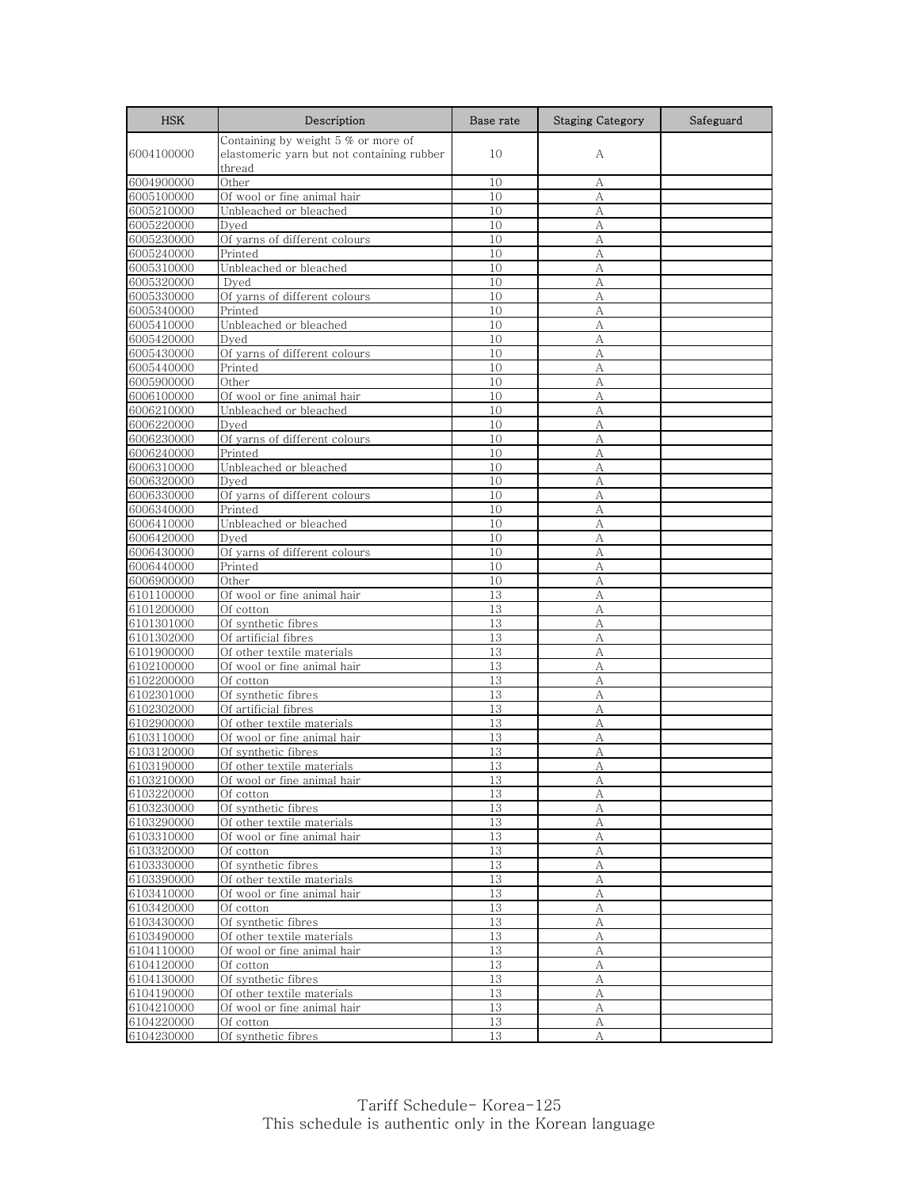| <b>HSK</b>               | Description                                | Base rate | <b>Staging Category</b> | Safeguard |
|--------------------------|--------------------------------------------|-----------|-------------------------|-----------|
|                          | Containing by weight $5%$ or more of       |           |                         |           |
| 6004100000               | elastomeric yarn but not containing rubber | 10        | А                       |           |
|                          | thread                                     |           |                         |           |
| 6004900000               | Other                                      | 10        | А                       |           |
| 6005100000               | Of wool or fine animal hair                | 10        | А                       |           |
| 6005210000               | Unbleached or bleached                     | 10        | А                       |           |
| 6005220000               | Dyed                                       | 10        | А                       |           |
| 6005230000               | Of yarns of different colours              | 10        | А                       |           |
| 6005240000               | Printed                                    | 10        | А                       |           |
| 6005310000               | Unbleached or bleached                     | 10        | А                       |           |
| 6005320000               | Dved                                       | 10        | А                       |           |
| 6005330000               | Of yarns of different colours              | 10        | А                       |           |
| 6005340000               | Printed                                    | 10        | А                       |           |
| 6005410000               | Unbleached or bleached                     | 10        | А                       |           |
| 6005420000               | Dyed                                       | 10        | А                       |           |
| 6005430000               | Of yarns of different colours              | 10        | А                       |           |
| 6005440000               | Printed                                    | 10        | A                       |           |
| 6005900000               | Other<br>Of wool or fine animal hair       | 10<br>10  | А<br>А                  |           |
| 6006100000<br>6006210000 | Unbleached or bleached                     | 10        | А                       |           |
| 6006220000               | Dved                                       | 10        | А                       |           |
| 6006230000               | Of yarns of different colours              | 10        | А                       |           |
| 6006240000               | Printed                                    | 10        | А                       |           |
| 6006310000               | Unbleached or bleached                     | 10        | А                       |           |
| 6006320000               | Dved                                       | 10        | А                       |           |
| 6006330000               | Of yarns of different colours              | 10        | А                       |           |
| 6006340000               | Printed                                    | 10        | А                       |           |
| 6006410000               | Unbleached or bleached                     | 10        | А                       |           |
| 6006420000               | Dved                                       | 10        | А                       |           |
| 6006430000               | Of yarns of different colours              | 10        | А                       |           |
| 6006440000               | Printed                                    | 10        | А                       |           |
| 6006900000               | Other                                      | 10        | А                       |           |
| 6101100000               | Of wool or fine animal hair                | 13        | А                       |           |
| 6101200000               | Of cotton                                  | 13        | А                       |           |
| 6101301000               | Of synthetic fibres                        | 13        | А                       |           |
| 6101302000               | Of artificial fibres                       | 13        | А                       |           |
| 6101900000               | Of other textile materials                 | 13        | А                       |           |
| 6102100000               | Of wool or fine animal hair                | 13        | А                       |           |
| 6102200000               | Of cotton                                  | 13        | А                       |           |
| 6102301000               | Of synthetic fibres                        | 13        | А                       |           |
| 6102302000               | Of artificial fibres                       | 13        | A                       |           |
| 6102900000               | Of other textile materials                 | 13        | А                       |           |
| 6103110000               | Of wool or fine animal hair                | 13        | А                       |           |
| 6103120000               | Of synthetic fibres                        | 13        | А                       |           |
| 6103190000               | Of other textile materials                 | 13        | А                       |           |
| 6103210000               | Of wool or fine animal hair                | $13\,$    | A                       |           |
| 6103220000               | Of cotton                                  | 13        | А                       |           |
| 6103230000               | Of synthetic fibres                        | 13        | А                       |           |
| 6103290000               | Of other textile materials                 | 13        | А                       |           |
| 6103310000               | Of wool or fine animal hair                | 13        | А                       |           |
| 6103320000               | Of cotton                                  | 13        | А                       |           |
| 6103330000               | Of synthetic fibres                        | 13        | А                       |           |
| 6103390000<br>6103410000 | Of other textile materials                 | 13        | А                       |           |
| 6103420000               | Of wool or fine animal hair                | 13<br>13  | А                       |           |
| 6103430000               | Of cotton<br>Of synthetic fibres           | 13        | А<br>А                  |           |
| 6103490000               | Of other textile materials                 | 13        | А                       |           |
| 6104110000               | Of wool or fine animal hair                | 13        | А                       |           |
| 6104120000               | Of cotton                                  | 13        | А                       |           |
| 6104130000               | Of synthetic fibres                        | 13        | А                       |           |
| 6104190000               | Of other textile materials                 | 13        | А                       |           |
| 6104210000               | Of wool or fine animal hair                | 13        | A                       |           |
| 6104220000               | Of cotton                                  | 13        | A                       |           |
| 6104230000               | Of synthetic fibres                        | 13        | А                       |           |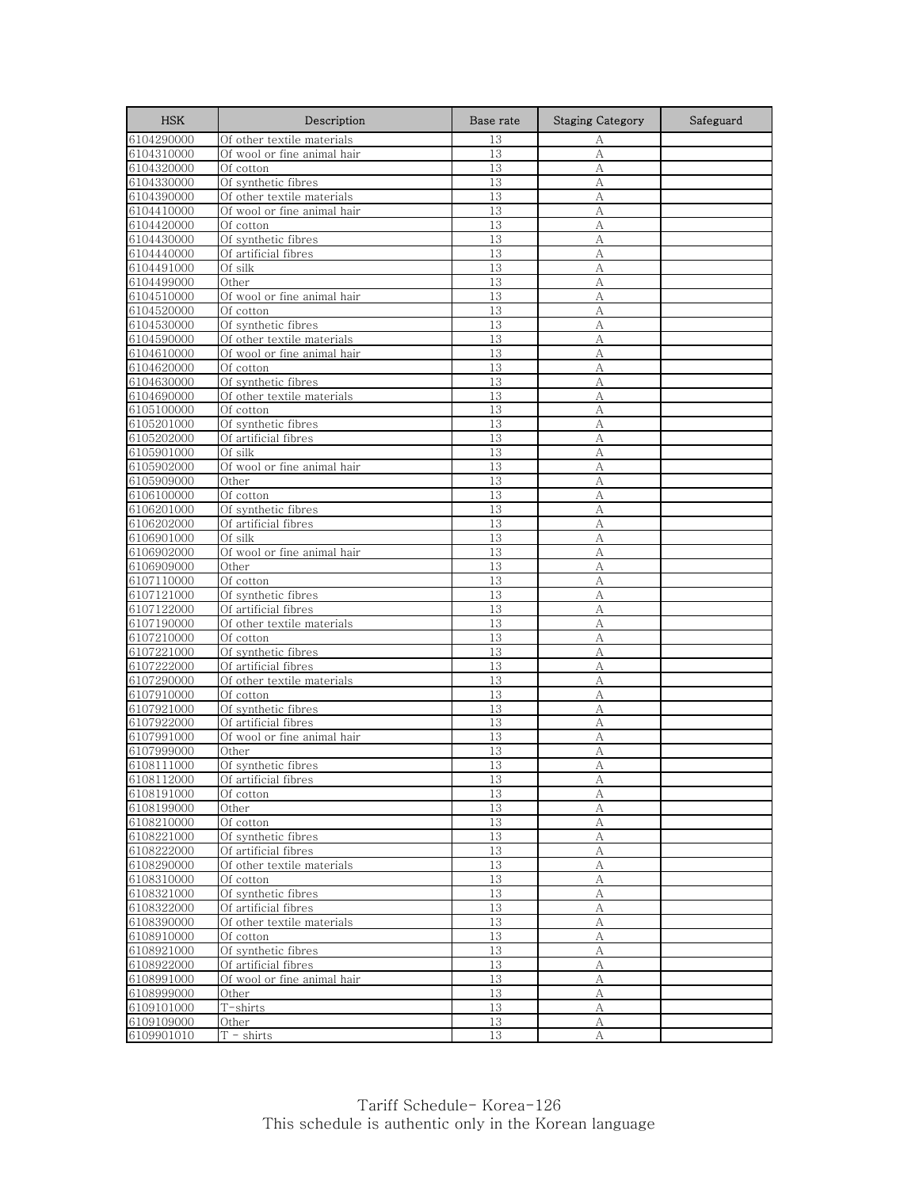| <b>HSK</b>               | Description                          | Base rate | <b>Staging Category</b> | Safeguard |
|--------------------------|--------------------------------------|-----------|-------------------------|-----------|
| 6104290000               | Of other textile materials           | 13        | А                       |           |
| 6104310000               | Of wool or fine animal hair          | 13        | A                       |           |
| 6104320000               | Of cotton                            | 13        | A                       |           |
| 6104330000               | Of synthetic fibres                  | 13        | А                       |           |
| 6104390000               | Of other textile materials           | 13        | А                       |           |
| 6104410000               | Of wool or fine animal hair          | 13        | А                       |           |
| 6104420000               | Of cotton                            | 13        | А                       |           |
| 6104430000               | Of synthetic fibres                  | 13        | А                       |           |
| 6104440000               | Of artificial fibres                 | 13        | А                       |           |
| 6104491000               | Of silk                              | 13        | А                       |           |
| 6104499000               | Other                                | 13        | А                       |           |
| 6104510000               | Of wool or fine animal hair          | 13        | А                       |           |
| 6104520000               | Of cotton<br>Of synthetic fibres     | 13        | A                       |           |
| 6104530000<br>6104590000 | Of other textile materials           | 13<br>13  | А<br>А                  |           |
| 6104610000               | Of wool or fine animal hair          | 13        | A                       |           |
| 6104620000               | Of cotton                            | 13        | А                       |           |
| 6104630000               | Of synthetic fibres                  | 13        | А                       |           |
| 6104690000               | Of other textile materials           | 13        | А                       |           |
| 6105100000               | Of cotton                            | 13        | А                       |           |
| 6105201000               | Of synthetic fibres                  | 13        | A                       |           |
| 6105202000               | Of artificial fibres                 | 13        | А                       |           |
| 6105901000               | Of silk                              | 13        | А                       |           |
| 6105902000               | Of wool or fine animal hair          | 13        | А                       |           |
| 6105909000               | Other                                | 13        | A                       |           |
| 6106100000               | Of cotton                            | 13        | А                       |           |
| 6106201000               | Of synthetic fibres                  | 13        | A                       |           |
| 6106202000               | Of artificial fibres                 | 13        | A                       |           |
| 6106901000               | Of silk                              | 13        | А                       |           |
| 6106902000               | Of wool or fine animal hair          | 13        | А                       |           |
| 6106909000               | Other                                | 13        | А                       |           |
| 6107110000               | Of cotton                            | 13        | A                       |           |
| 6107121000               | Of synthetic fibres                  | 13        | А                       |           |
| 6107122000               | Of artificial fibres                 | 13        | А                       |           |
| 6107190000               | Of other textile materials           | 13        | A                       |           |
| 6107210000               | Of cotton                            | 13        | А                       |           |
| 6107221000               | Of synthetic fibres                  | 13        | A                       |           |
| 6107222000               | Of artificial fibres                 | 13        | А                       |           |
| 6107290000               | Of other textile materials           | 13        | А                       |           |
| 6107910000               | Of cotton                            | 13        | А                       |           |
| 6107921000               | Of synthetic fibres                  | 13        | A                       |           |
| 6107922000               | Of artificial fibres                 | 13        | А                       |           |
| 6107991000<br>6107999000 | Of wool or fine animal hair<br>Other | 13<br>13  | А<br>A                  |           |
| 6108111000               | Of synthetic fibres                  | 13        | А                       |           |
| 6108112000               | Of artificial fibres                 | 13        | A                       |           |
| 6108191000               | Of cotton                            | 13        | А                       |           |
| 6108199000               | Other                                | 13        | А                       |           |
| 6108210000               | Of cotton                            | 13        | А                       |           |
| 6108221000               | Of synthetic fibres                  | 13        | А                       |           |
| 6108222000               | Of artificial fibres                 | 13        | А                       |           |
| 6108290000               | Of other textile materials           | 13        | А                       |           |
| 6108310000               | Of cotton                            | 13        | A                       |           |
| 6108321000               | Of synthetic fibres                  | 13        | А                       |           |
| 6108322000               | Of artificial fibres                 | 13        | А                       |           |
| 6108390000               | Of other textile materials           | 13        | А                       |           |
| 6108910000               | Of cotton                            | 13        | А                       |           |
| 6108921000               | Of synthetic fibres                  | 13        | A                       |           |
| 6108922000               | Of artificial fibres                 | 13        | А                       |           |
| 6108991000               | Of wool or fine animal hair          | 13        | А                       |           |
| 6108999000               | Other                                | 13        | А                       |           |
| 6109101000               | T-shirts                             | 13        | А                       |           |
| 6109109000               | Other                                | 13        | А                       |           |
| 6109901010               | $T -$ shirts                         | 13        | A                       |           |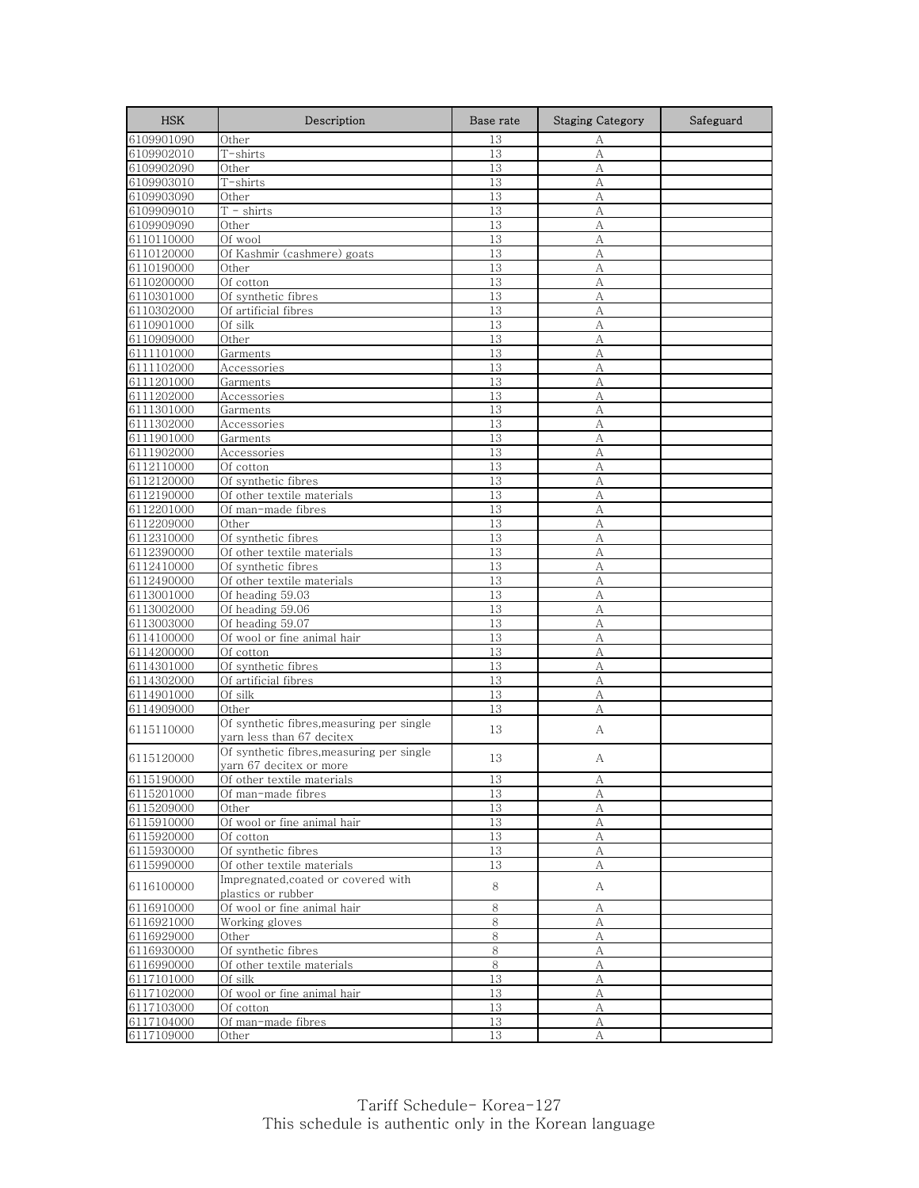| <b>HSK</b>               | Description                                                           | Base rate | <b>Staging Category</b> | Safeguard |
|--------------------------|-----------------------------------------------------------------------|-----------|-------------------------|-----------|
| 6109901090               | Other                                                                 | 13        | A                       |           |
| 6109902010               | T-shirts                                                              | 13        | A                       |           |
| 6109902090               | Other                                                                 | 13        | A                       |           |
| 6109903010               | $\overline{T}$ -shirts                                                | 13        | А                       |           |
| 6109903090               | Other                                                                 | 13        | А                       |           |
| 6109909010               | $\overline{T}$ - shirts                                               | 13        | A                       |           |
| 6109909090               | Other                                                                 | 13        | А                       |           |
| 6110110000               | Of wool                                                               | 13        | A                       |           |
| 6110120000               | Of Kashmir (cashmere) goats                                           | 13        | A                       |           |
| 6110190000               | Other                                                                 | 13        | А                       |           |
| 6110200000<br>6110301000 | Of cotton<br>Of synthetic fibres                                      | 13<br>13  | А                       |           |
| 6110302000               | Of artificial fibres                                                  | 13        | А<br>A                  |           |
| 6110901000               | Of silk                                                               | 13        | А                       |           |
| 6110909000               | Other                                                                 | 13        | А                       |           |
| 6111101000               | Garments                                                              | 13        | A                       |           |
| 6111102000               | Accessories                                                           | 13        | А                       |           |
| 6111201000               | Garments                                                              | 13        | А                       |           |
| 6111202000               | Accessories                                                           | 13        | А                       |           |
| 6111301000               | Garments                                                              | 13        | А                       |           |
| 6111302000               | Accessories                                                           | 13        | A                       |           |
| 6111901000               | Garments                                                              | 13        | A                       |           |
| 6111902000               | Accessories                                                           | 13        | А                       |           |
| 6112110000               | Of cotton                                                             | 13        | А                       |           |
| 6112120000               | Of synthetic fibres                                                   | 13        | A                       |           |
| 6112190000               | Of other textile materials                                            | 13        | А                       |           |
| 6112201000               | Of man-made fibres                                                    | 13        | A                       |           |
| 6112209000               | Other                                                                 | 13        | A                       |           |
| 6112310000               | Of synthetic fibres                                                   | 13        | А                       |           |
| 6112390000               | Of other textile materials                                            | 13        | А                       |           |
| 6112410000               | Of synthetic fibres                                                   | 13        | А                       |           |
| 6112490000               | Of other textile materials                                            | 13        | A                       |           |
| 6113001000               | Of heading 59.03                                                      | 13        | А                       |           |
| 6113002000               | Of heading 59.06                                                      | 13        | A                       |           |
| 6113003000               | Of heading 59.07                                                      | 13        | A                       |           |
| 6114100000               | Of wool or fine animal hair                                           | 13        | А                       |           |
| 6114200000               | Of cotton                                                             | 13        | A                       |           |
| 6114301000               | Of synthetic fibres                                                   | 13        | А                       |           |
| 6114302000               | Of artificial fibres                                                  | 13        | A                       |           |
| 6114901000               | Of silk<br>Other                                                      | 13        | А                       |           |
| 6114909000               |                                                                       | 13        | A                       |           |
| 6115110000               | Of synthetic fibres,measuring per single<br>yarn less than 67 decitex | 13        | А                       |           |
|                          | Of synthetic fibres, measuring per single                             |           |                         |           |
| 6115120000               | yarn 67 decitex or more                                               | 13        | А                       |           |
| 6115190000               | Of other textile materials                                            | 13        | А                       |           |
| 6115201000               | Of man-made fibres                                                    | 13        | А                       |           |
| 6115209000               | Other                                                                 | 13        | А                       |           |
| 6115910000               | Of wool or fine animal hair                                           | 13        | A                       |           |
| 6115920000               | Of cotton                                                             | 13        | А                       |           |
| 6115930000               | Of synthetic fibres                                                   | 13        | А                       |           |
| 6115990000               | Of other textile materials                                            | 13        | А                       |           |
|                          | Impregnated, coated or covered with                                   |           |                         |           |
| 6116100000               | plastics or rubber                                                    | 8         | A                       |           |
| 6116910000               | Of wool or fine animal hair                                           | 8         | А                       |           |
| 6116921000               | Working gloves                                                        | 8         | А                       |           |
| 6116929000               | Other                                                                 | 8         | А                       |           |
| 6116930000               | Of synthetic fibres                                                   | $8\,$     | А                       |           |
| 6116990000               | Of other textile materials                                            | $8\,$     | А                       |           |
| 6117101000               | Of silk                                                               | 13        | А                       |           |
| 6117102000               | Of wool or fine animal hair                                           | 13        | А                       |           |
| 6117103000               | Of cotton                                                             | 13        | А                       |           |
| 6117104000               | Of man-made fibres                                                    | 13        | А                       |           |
| 6117109000               | Other                                                                 | 13        | А                       |           |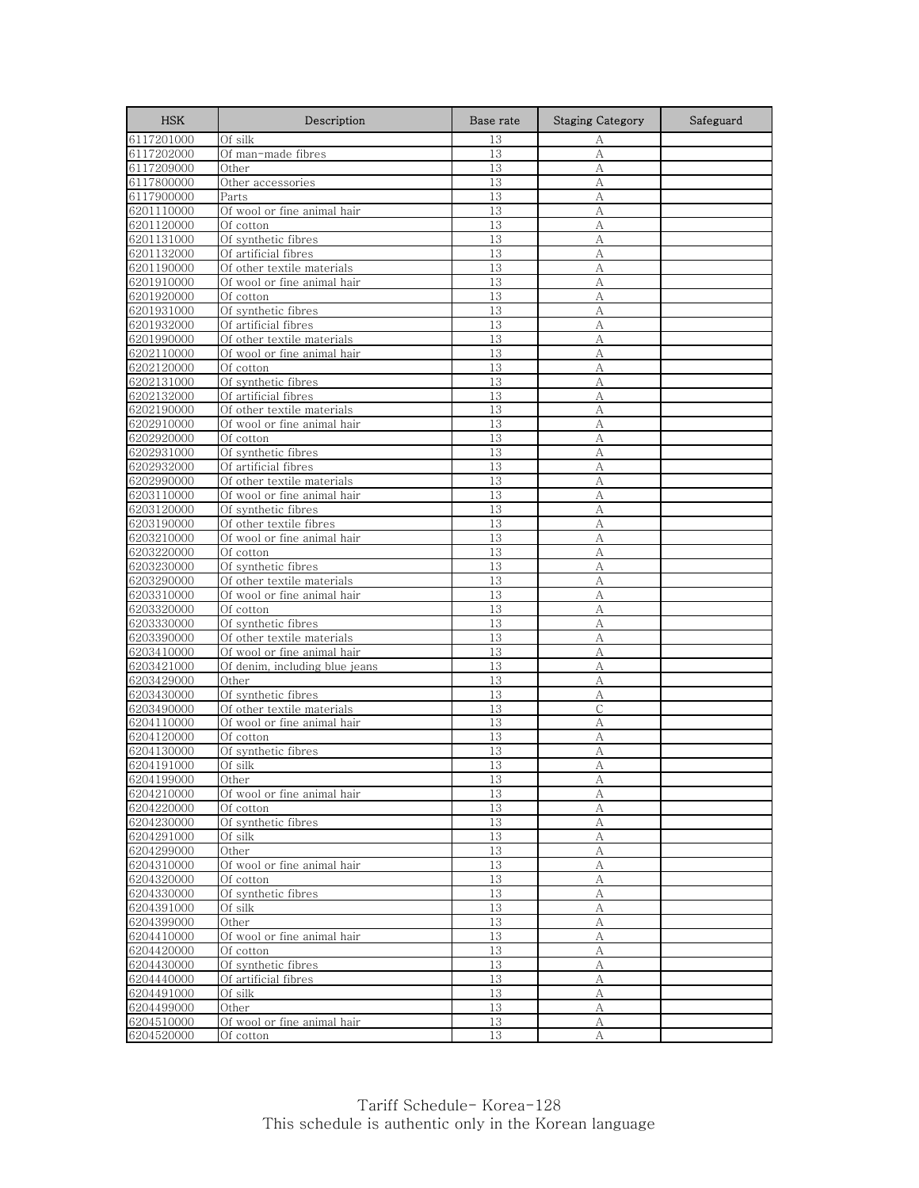| <b>HSK</b>               | Description                                 | Base rate | <b>Staging Category</b> | Safeguard |
|--------------------------|---------------------------------------------|-----------|-------------------------|-----------|
| 6117201000               | Of silk                                     | 13        | А                       |           |
| 6117202000               | Of man-made fibres                          | 13        | А                       |           |
| 6117209000               | Other                                       | 13        | А                       |           |
| 6117800000               | Other accessories                           | 13        | А                       |           |
| 6117900000               | Parts                                       | 13        | А                       |           |
| 6201110000               | Of wool or fine animal hair                 | 13        | А                       |           |
| 6201120000               | Of cotton                                   | 13        | А                       |           |
| 6201131000               | Of synthetic fibres                         | 13        | A                       |           |
| 6201132000               | Of artificial fibres                        | 13        | A                       |           |
| 6201190000               | Of other textile materials                  | 13        | А                       |           |
| 6201910000               | Of wool or fine animal hair                 | 13        | А                       |           |
| 6201920000               | Of cotton                                   | 13        | А                       |           |
| 6201931000<br>6201932000 | Of synthetic fibres<br>Of artificial fibres | 13<br>13  | А<br>A                  |           |
|                          | Of other textile materials                  | 13        | A                       |           |
| 6201990000<br>6202110000 | Of wool or fine animal hair                 | 13        | А                       |           |
| 6202120000               | Of cotton                                   | 13        | А                       |           |
| 6202131000               | Of synthetic fibres                         | 13        | A                       |           |
| 6202132000               | Of artificial fibres                        | 13        | А                       |           |
| 6202190000               | Of other textile materials                  | 13        | А                       |           |
| 6202910000               | Of wool or fine animal hair                 | 13        | A                       |           |
| 6202920000               | Of cotton                                   | 13        | А                       |           |
| 6202931000               | Of synthetic fibres                         | 13        | А                       |           |
| 6202932000               | Of artificial fibres                        | 13        | А                       |           |
| 6202990000               | Of other textile materials                  | 13        | А                       |           |
| 6203110000               | Of wool or fine animal hair                 | 13        | А                       |           |
| 6203120000               | Of synthetic fibres                         | 13        | A                       |           |
| 6203190000               | Of other textile fibres                     | 13        | A                       |           |
| 6203210000               | Of wool or fine animal hair                 | 13        | А                       |           |
| 6203220000               | Of cotton                                   | 13        | A                       |           |
| 6203230000               | Of synthetic fibres                         | 13        | А                       |           |
| 6203290000               | Of other textile materials                  | 13        | A                       |           |
| 6203310000               | Of wool or fine animal hair                 | 13        | А                       |           |
| 6203320000               | Of cotton                                   | 13        | A                       |           |
| 6203330000               | Of synthetic fibres                         | 13        | А                       |           |
| 6203390000               | Of other textile materials                  | 13        | А                       |           |
| 6203410000               | Of wool or fine animal hair                 | 13        | А                       |           |
| 6203421000               | Of denim, including blue jeans              | 13        | А                       |           |
| 6203429000               | Other                                       | 13        | А                       |           |
| 6203430000               | Of synthetic fibres                         | 13        | A                       |           |
| 6203490000               | Of other textile materials                  | 13        | С                       |           |
| 6204110000               | Of wool or fine animal hair                 | 13        | A                       |           |
| 6204120000               | Of cotton                                   | 13        | A                       |           |
| 6204130000               | Of synthetic fibres                         | 13        | А                       |           |
| 6204191000<br>6204199000 | Of silk<br>Other                            | 13        | А                       |           |
| 6204210000               |                                             | 13        | Α                       |           |
| 6204220000               | Of wool or fine animal hair<br>Of cotton    | 13<br>13  | А<br>А                  |           |
| 6204230000               | Of synthetic fibres                         | 13        | A                       |           |
| 6204291000               | Of silk                                     | 13        | А                       |           |
| 6204299000               | Other                                       | 13        | А                       |           |
| 6204310000               | Of wool or fine animal hair                 | 13        | А                       |           |
| 6204320000               | Of cotton                                   | 13        | А                       |           |
| 6204330000               | Of synthetic fibres                         | 13        | А                       |           |
| 6204391000               | Of silk                                     | 13        | А                       |           |
| 6204399000               | Other                                       | 13        | А                       |           |
| 6204410000               | Of wool or fine animal hair                 | 13        | А                       |           |
| 6204420000               | Of cotton                                   | 13        | А                       |           |
| 6204430000               | Of synthetic fibres                         | 13        | А                       |           |
| 6204440000               | Of artificial fibres                        | 13        | А                       |           |
| 6204491000               | Of silk                                     | 13        | А                       |           |
| 6204499000               | Other                                       | 13        | А                       |           |
| 6204510000               | Of wool or fine animal hair                 | 13        | А                       |           |
| 6204520000               | Of cotton                                   | 13        | A                       |           |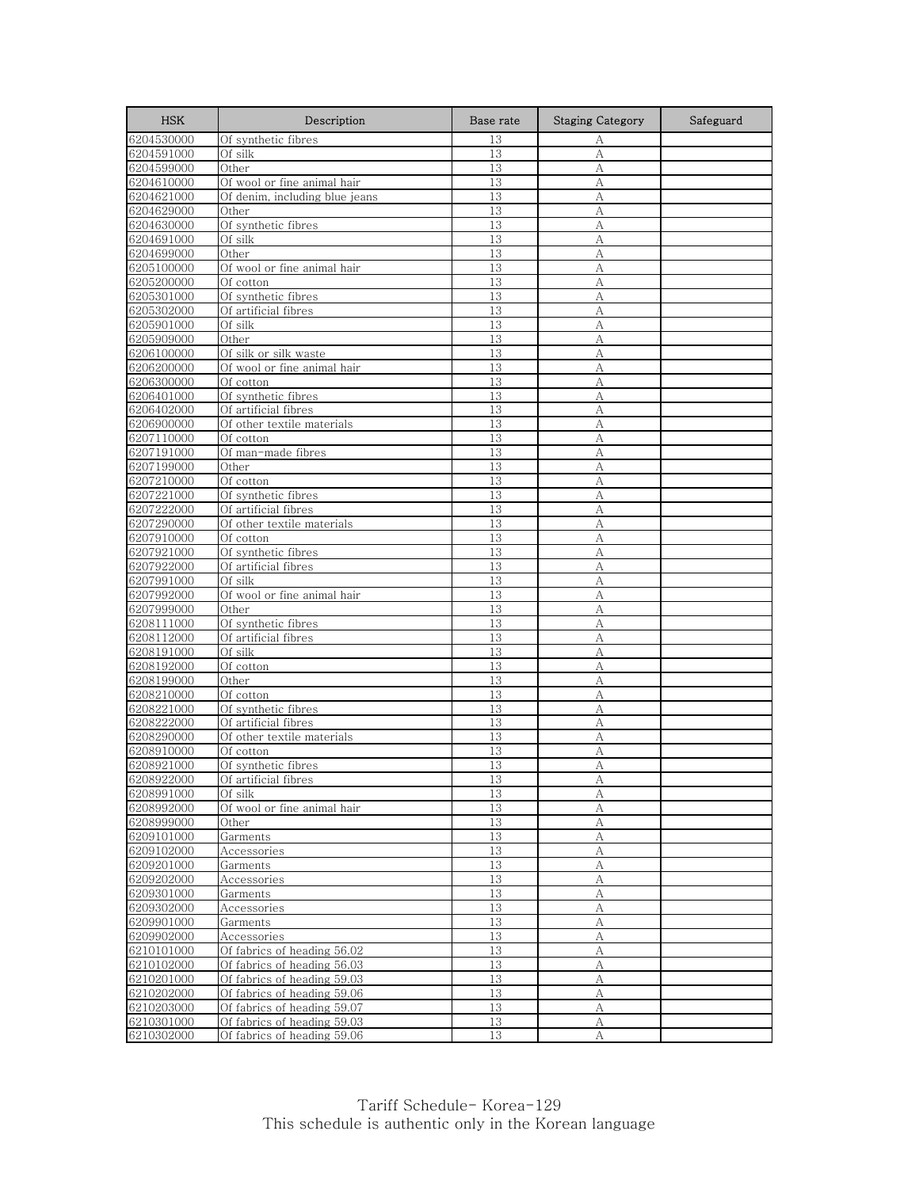| <b>HSK</b>               | Description                                        | Base rate | <b>Staging Category</b> | Safeguard |
|--------------------------|----------------------------------------------------|-----------|-------------------------|-----------|
| 6204530000               | Of synthetic fibres                                | 13        | А                       |           |
| 6204591000               | Of silk                                            | 13        | A                       |           |
| 6204599000               | Other                                              | 13        | A                       |           |
| 6204610000               | Of wool or fine animal hair                        | 13        | А                       |           |
| 6204621000               | Of denim, including blue jeans                     | 13        | А                       |           |
| 6204629000               | Other                                              | 13        | A                       |           |
| 6204630000               | Of synthetic fibres                                | 13        | А                       |           |
| 6204691000               | Of silk                                            | 13        | A                       |           |
| 6204699000               | Other                                              | 13        | А                       |           |
| 6205100000               | Of wool or fine animal hair                        | 13        | А                       |           |
| 6205200000               | Of cotton                                          | 13        | А                       |           |
| 6205301000               | Of synthetic fibres<br>Of artificial fibres        | 13<br>13  | А<br>A                  |           |
| 6205302000<br>6205901000 | Of silk                                            | 13        | A                       |           |
| 6205909000               | Other                                              | 13        | A                       |           |
| 6206100000               | Of silk or silk waste                              | 13        | А                       |           |
| 6206200000               | Of wool or fine animal hair                        | 13        | А                       |           |
| 6206300000               | Of cotton                                          | 13        | А                       |           |
| 6206401000               | Of synthetic fibres                                | 13        | А                       |           |
| 6206402000               | Of artificial fibres                               | 13        | А                       |           |
| 6206900000               | Of other textile materials                         | 13        | A                       |           |
| 6207110000               | Of cotton                                          | 13        | А                       |           |
| 6207191000               | Of man-made fibres                                 | 13        | А                       |           |
| 6207199000               | Other                                              | 13        | А                       |           |
| 6207210000               | Of cotton                                          | 13        | A                       |           |
| 6207221000               | Of synthetic fibres                                | 13        | А                       |           |
| 6207222000               | Of artificial fibres                               | 13        | A                       |           |
| 6207290000               | Of other textile materials                         | 13        | A                       |           |
| 6207910000               | Of cotton                                          | 13        | А                       |           |
| 6207921000               | Of synthetic fibres                                | 13        | А                       |           |
| 6207922000               | Of artificial fibres                               | 13        | А                       |           |
| 6207991000               | Of silk                                            | 13        | A                       |           |
| 6207992000               | Of wool or fine animal hair                        | 13        | А                       |           |
| 6207999000               | Other                                              | 13        | A                       |           |
| 6208111000               | Of synthetic fibres                                | 13        | А                       |           |
| 6208112000               | Of artificial fibres                               | 13        | А                       |           |
| 6208191000               | Of silk                                            | 13        | A                       |           |
| 6208192000               | Of cotton                                          | 13        | А                       |           |
| 6208199000               | Other                                              | 13        | A                       |           |
| 6208210000               | Of cotton                                          | 13        | А                       |           |
| 6208221000               | Of synthetic fibres                                | 13<br>13  | A<br>А                  |           |
| 6208222000               | Of artificial fibres<br>Of other textile materials | 13        | А                       |           |
| 6208290000<br>6208910000 | Of cotton                                          | 13        | А                       |           |
| 6208921000               | Of synthetic fibres                                | 13        | А                       |           |
| 6208922000               | Of artificial fibres                               | 13        | A                       |           |
| 6208991000               | Of silk                                            | 13        | А                       |           |
| 6208992000               | Of wool or fine animal hair                        | 13        | А                       |           |
| 6208999000               | Other                                              | 13        | А                       |           |
| 6209101000               | Garments                                           | 13        | А                       |           |
| 6209102000               | Accessories                                        | 13        | А                       |           |
| 6209201000               | Garments                                           | 13        | А                       |           |
| 6209202000               | Accessories                                        | 13        | A                       |           |
| 6209301000               | Garments                                           | 13        | А                       |           |
| 6209302000               | Accessories                                        | 13        | А                       |           |
| 6209901000               | Garments                                           | 13        | А                       |           |
| 6209902000               | Accessories                                        | 13        | А                       |           |
| 6210101000               | Of fabrics of heading 56.02                        | 13        | $\mathbf{A}$            |           |
| 6210102000               | Of fabrics of heading 56.03                        | 13        | А                       |           |
| 6210201000               | Of fabrics of heading 59.03                        | 13        | А                       |           |
| 6210202000               | Of fabrics of heading 59.06                        | 13        | А                       |           |
| 6210203000               | Of fabrics of heading 59.07                        | 13        | А                       |           |
| 6210301000               | Of fabrics of heading 59.03                        | 13        | А                       |           |
| 6210302000               | Of fabrics of heading 59.06                        | 13        | А                       |           |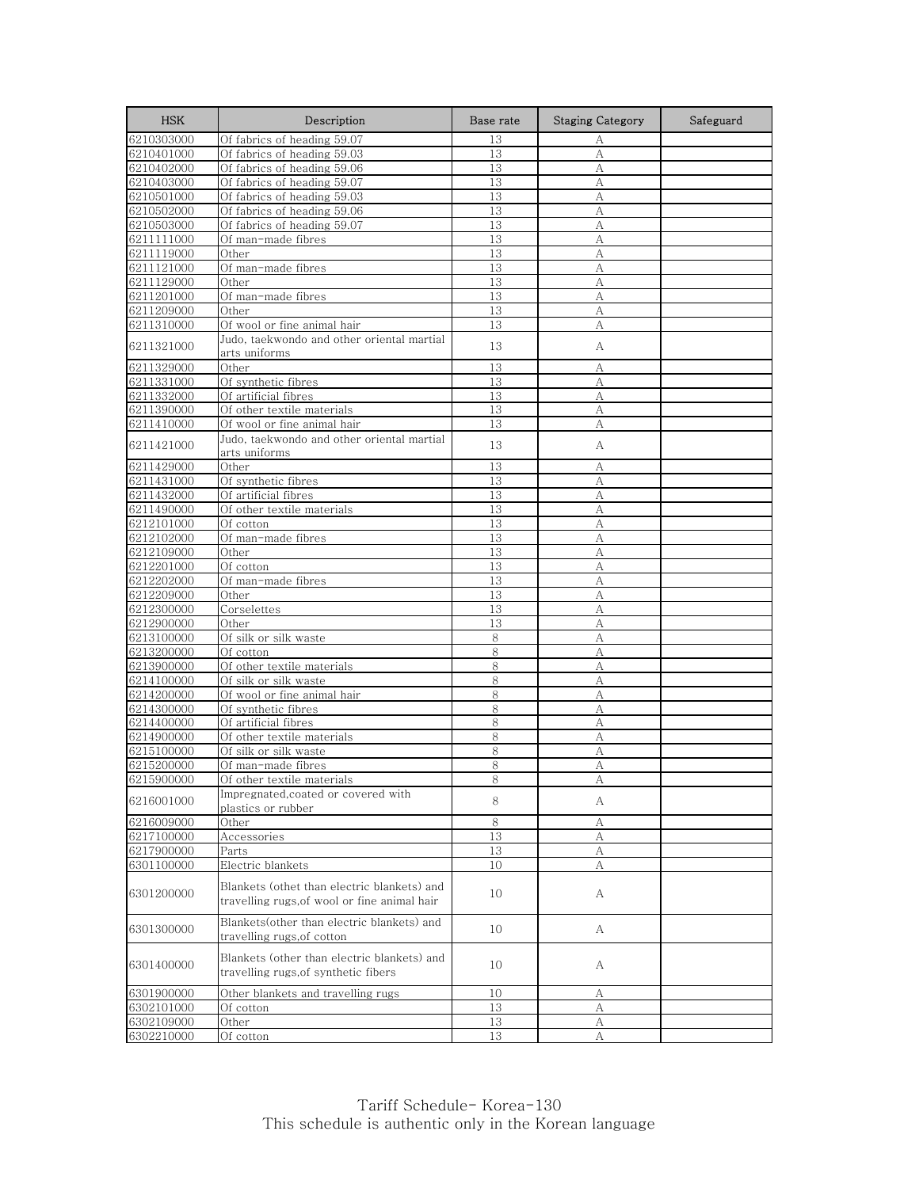| <b>HSK</b> | Description                                                                         | Base rate | <b>Staging Category</b> | Safeguard |
|------------|-------------------------------------------------------------------------------------|-----------|-------------------------|-----------|
| 6210303000 | Of fabrics of heading 59.07                                                         | 13        | А                       |           |
| 6210401000 | Of fabrics of heading 59.03                                                         | 13        | А                       |           |
| 6210402000 | Of fabrics of heading 59.06                                                         | 13        | A                       |           |
| 6210403000 | Of fabrics of heading 59.07                                                         | 13        | А                       |           |
| 6210501000 | Of fabrics of heading 59.03                                                         | 13        | А                       |           |
| 6210502000 | Of fabrics of heading 59.06                                                         | 13        | A                       |           |
| 6210503000 | Of fabrics of heading 59.07                                                         | 13        | А                       |           |
| 6211111000 | Of man-made fibres                                                                  | 13        | A                       |           |
| 6211119000 | Other                                                                               | 13        | А                       |           |
| 6211121000 | Of man-made fibres                                                                  | 13        | А                       |           |
| 6211129000 | Other                                                                               | 13        | А                       |           |
| 6211201000 | Of man-made fibres<br>Other                                                         | 13        | А                       |           |
| 6211209000 | Of wool or fine animal hair                                                         | 13        | А                       |           |
| 6211310000 |                                                                                     | 13        | А                       |           |
| 6211321000 | Judo, taekwondo and other oriental martial<br>arts uniforms                         | 13        | А                       |           |
| 6211329000 | Other                                                                               | 13        | А                       |           |
| 6211331000 | Of synthetic fibres                                                                 | 13        | A                       |           |
| 6211332000 | Of artificial fibres                                                                | 13        | А                       |           |
| 6211390000 | Of other textile materials                                                          | 13        | А                       |           |
| 6211410000 | Of wool or fine animal hair                                                         | 13        | A                       |           |
|            | Judo, taekwondo and other oriental martial                                          |           |                         |           |
| 6211421000 | arts uniforms                                                                       | 13        | А                       |           |
| 6211429000 | Other                                                                               | 13        | А                       |           |
| 6211431000 | Of synthetic fibres                                                                 | 13        | А                       |           |
| 6211432000 | Of artificial fibres                                                                | 13        | А                       |           |
| 6211490000 | Of other textile materials                                                          | 13        | A                       |           |
| 6212101000 | Of cotton                                                                           | 13        | A                       |           |
| 6212102000 | Of man-made fibres                                                                  | 13        | А                       |           |
| 6212109000 | Other                                                                               | 13        | A                       |           |
| 6212201000 | Of cotton                                                                           | 13        | А                       |           |
| 6212202000 | Of man-made fibres                                                                  | 13        | A                       |           |
| 6212209000 | Other                                                                               | 13        | А                       |           |
| 6212300000 | Corselettes                                                                         | 13        | A                       |           |
| 6212900000 | Other                                                                               | 13        | А                       |           |
| 6213100000 | Of silk or silk waste                                                               | 8         | А                       |           |
| 6213200000 | Of cotton                                                                           | 8         | А                       |           |
| 6213900000 | Of other textile materials                                                          | 8         | А                       |           |
| 6214100000 | Of silk or silk waste                                                               | 8         | A                       |           |
| 6214200000 | Of wool or fine animal hair                                                         | 8         | А                       |           |
| 6214300000 | Of synthetic fibres                                                                 | 8         | А                       |           |
| 6214400000 | Of artificial fibres                                                                | 8         | A                       |           |
| 6214900000 | Of other textile materials                                                          | 8         | А                       |           |
| 6215100000 | Of silk or silk waste                                                               | 8         | A                       |           |
| 6215200000 | Of man-made fibres                                                                  | 8         | A                       |           |
| 6215900000 | Of other textile materials                                                          | 8         |                         |           |
| 6216001000 | Impregnated, coated or covered with<br>plastics or rubber                           | 8         | A                       |           |
| 6216009000 | Other                                                                               | 8         | А                       |           |
| 6217100000 | Accessories                                                                         | 13        | А                       |           |
| 6217900000 | Parts                                                                               | 13        | А                       |           |
| 6301100000 | Electric blankets                                                                   | 10        | А                       |           |
|            | Blankets (othet than electric blankets) and                                         |           |                         |           |
| 6301200000 | travelling rugs, of wool or fine animal hair                                        | 10        | A                       |           |
|            |                                                                                     |           |                         |           |
| 6301300000 | Blankets (other than electric blankets) and                                         | 10        | A                       |           |
|            | travelling rugs, of cotton                                                          |           |                         |           |
| 6301400000 | Blankets (other than electric blankets) and<br>travelling rugs, of synthetic fibers | 10        | А                       |           |
| 6301900000 | Other blankets and travelling rugs                                                  | 10        | А                       |           |
| 6302101000 | Of cotton                                                                           | 13        | А                       |           |
| 6302109000 | Other                                                                               | 13        | А                       |           |
| 6302210000 | Of cotton                                                                           | 13        | А                       |           |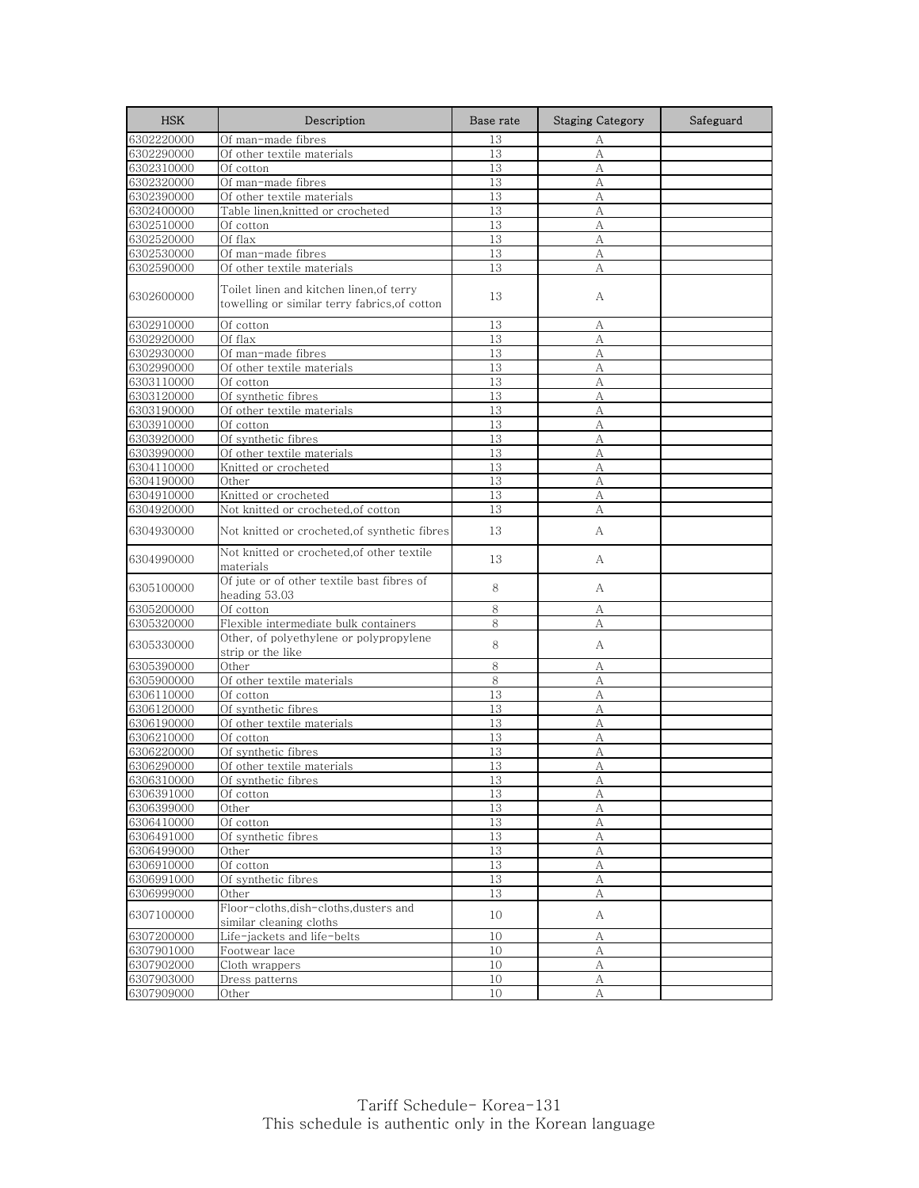| <b>HSK</b> | Description                                                                              | Base rate | <b>Staging Category</b> | Safeguard |
|------------|------------------------------------------------------------------------------------------|-----------|-------------------------|-----------|
| 6302220000 | Of man-made fibres                                                                       | 13        | А                       |           |
| 6302290000 | Of other textile materials                                                               | 13        | А                       |           |
| 6302310000 | Of cotton                                                                                | 13        | А                       |           |
| 6302320000 | Of man-made fibres                                                                       | 13        | А                       |           |
| 6302390000 | Of other textile materials                                                               | 13        | А                       |           |
| 6302400000 | Table linen, knitted or crocheted                                                        | 13        | А                       |           |
| 6302510000 | Of cotton                                                                                | 13        | А                       |           |
| 6302520000 | Of flax                                                                                  | 13        | А                       |           |
| 6302530000 | Of man-made fibres                                                                       | 13        | А                       |           |
| 6302590000 | Of other textile materials                                                               | 13        | А                       |           |
| 6302600000 | Toilet linen and kitchen linen,of terry<br>towelling or similar terry fabrics, of cotton | 13        | А                       |           |
| 6302910000 | Of cotton                                                                                | 13        | А                       |           |
| 6302920000 | Of flax                                                                                  | 13        | А                       |           |
| 6302930000 | Of man-made fibres                                                                       | 13        | А                       |           |
| 6302990000 | Of other textile materials                                                               | 13        | А                       |           |
| 6303110000 | Of cotton                                                                                | 13        | А                       |           |
| 6303120000 | Of synthetic fibres                                                                      | 13        | А                       |           |
| 6303190000 | Of other textile materials                                                               | 13        | A                       |           |
| 6303910000 | Of cotton                                                                                | 13        | А                       |           |
| 6303920000 | Of synthetic fibres                                                                      | 13        | А                       |           |
| 6303990000 | Of other textile materials                                                               | 13        | А                       |           |
| 6304110000 | Knitted or crocheted                                                                     | 13        | А                       |           |
| 6304190000 | Other                                                                                    | 13        | А                       |           |
| 6304910000 | Knitted or crocheted                                                                     | 13        | А                       |           |
| 6304920000 | Not knitted or crocheted, of cotton                                                      | 13        | А                       |           |
| 6304930000 | Not knitted or crocheted, of synthetic fibres                                            | 13        | А                       |           |
| 6304990000 | Not knitted or crocheted, of other textile<br>materials                                  | 13        | А                       |           |
| 6305100000 | Of jute or of other textile bast fibres of<br>heading 53.03                              | 8         | А                       |           |
| 6305200000 | Of cotton                                                                                | 8         | А                       |           |
| 6305320000 | Flexible intermediate bulk containers                                                    | 8         | А                       |           |
| 6305330000 | Other, of polyethylene or polypropylene<br>strip or the like                             | 8         | А                       |           |
| 6305390000 | Other                                                                                    | 8         | А                       |           |
| 6305900000 | Of other textile materials                                                               | 8         | А                       |           |
| 6306110000 | Of cotton                                                                                | 13        | А                       |           |
| 6306120000 | Of synthetic fibres                                                                      | 13        | А                       |           |
| 6306190000 | Of other textile materials                                                               | 13        | А                       |           |
| 6306210000 | Of cotton                                                                                | 13        | А                       |           |
| 6306220000 | Of synthetic fibres                                                                      | 13        | А                       |           |
| 6306290000 | Of other textile materials                                                               | 13        | А                       |           |
| 6306310000 | Of synthetic fibres                                                                      | 13        | А                       |           |
| 6306391000 | Of cotton                                                                                | 13        | А                       |           |
| 6306399000 | Other                                                                                    | 13        | А                       |           |
| 6306410000 | Of cotton                                                                                | 13        | A                       |           |
| 6306491000 | Of synthetic fibres                                                                      | 13        | А                       |           |
| 6306499000 | Other                                                                                    | $13\,$    | А                       |           |
| 6306910000 | Of cotton                                                                                | 13        | А                       |           |
| 6306991000 | Of synthetic fibres                                                                      | 13        | $\mathbf{A}$            |           |
| 6306999000 | Other                                                                                    | 13        | А                       |           |
| 6307100000 | Floor-cloths, dish-cloths, dusters and<br>similar cleaning cloths                        | 10        | A                       |           |
| 6307200000 | Life-jackets and life-belts                                                              | 10        | А                       |           |
| 6307901000 | Footwear lace                                                                            | 10        | А                       |           |
| 6307902000 | Cloth wrappers                                                                           | 10        | A                       |           |
| 6307903000 | Dress patterns                                                                           | 10        | А                       |           |
| 6307909000 | Other                                                                                    | 10        | А                       |           |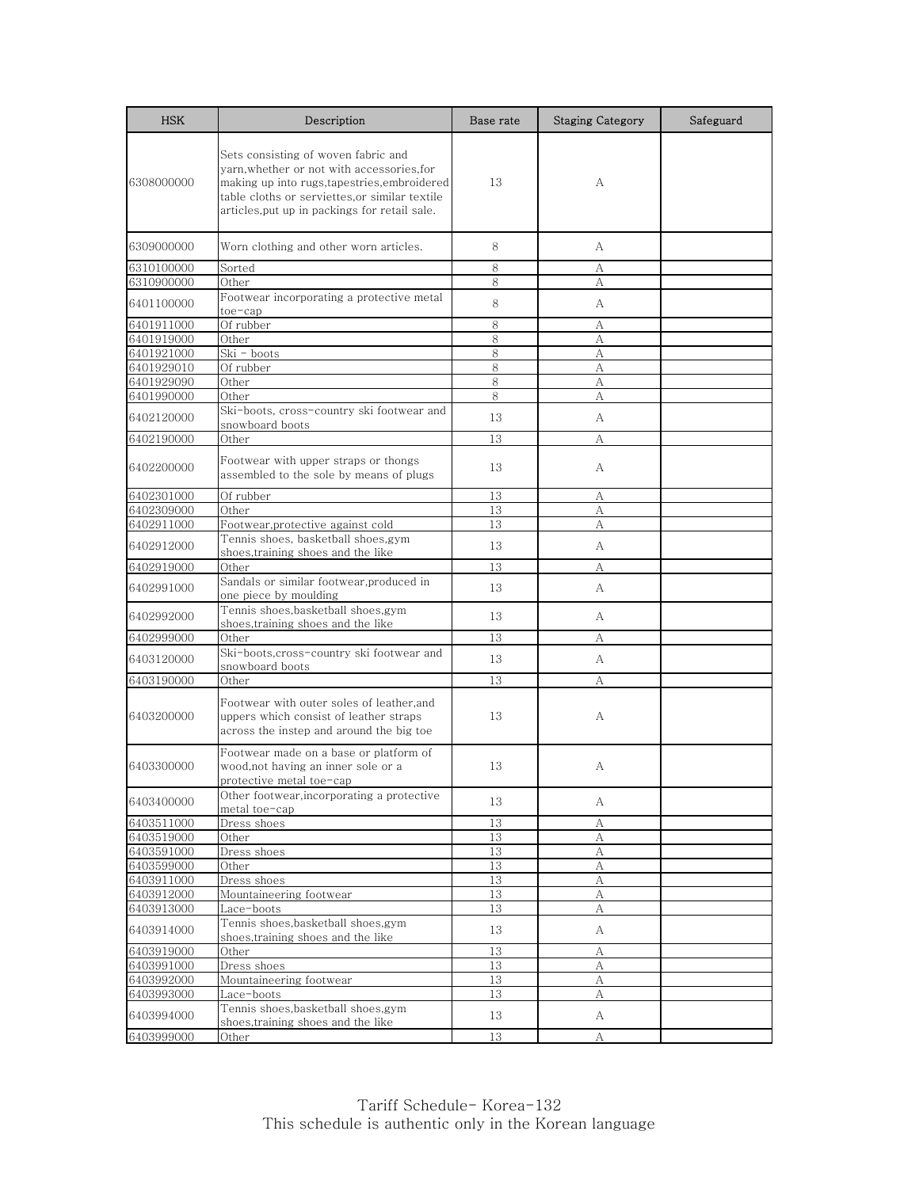| <b>HSK</b> | Description                                                                                                                                                                                                                      | Base rate | <b>Staging Category</b> | Safeguard |
|------------|----------------------------------------------------------------------------------------------------------------------------------------------------------------------------------------------------------------------------------|-----------|-------------------------|-----------|
| 6308000000 | Sets consisting of woven fabric and<br>yarn, whether or not with accessories, for<br>making up into rugs,tapestries,embroidered<br>table cloths or serviettes,or similar textile<br>articles,put up in packings for retail sale. | 13        | A                       |           |
| 6309000000 | Worn clothing and other worn articles.                                                                                                                                                                                           | 8         | А                       |           |
| 6310100000 | Sorted                                                                                                                                                                                                                           | 8         | А                       |           |
| 6310900000 | Other                                                                                                                                                                                                                            | 8         | A                       |           |
| 6401100000 | Footwear incorporating a protective metal<br>toe-cap                                                                                                                                                                             | 8         | A                       |           |
| 6401911000 | Of rubber                                                                                                                                                                                                                        | 8         | А                       |           |
| 6401919000 | Other                                                                                                                                                                                                                            | 8         | А                       |           |
| 6401921000 | Ski - boots                                                                                                                                                                                                                      | 8         | A                       |           |
| 6401929010 | Of rubber                                                                                                                                                                                                                        | 8         | А                       |           |
| 6401929090 | Other                                                                                                                                                                                                                            | 8         | А                       |           |
| 6401990000 | Other                                                                                                                                                                                                                            | 8         | А                       |           |
| 6402120000 | Ski-boots, cross-country ski footwear and<br>snowboard boots                                                                                                                                                                     | 13        | A                       |           |
| 6402190000 | Other                                                                                                                                                                                                                            | 13        | А                       |           |
| 6402200000 | Footwear with upper straps or thongs<br>assembled to the sole by means of plugs                                                                                                                                                  | 13        | А                       |           |
| 6402301000 | Of rubber                                                                                                                                                                                                                        | 13        | А                       |           |
| 6402309000 | Other                                                                                                                                                                                                                            | 13        | А                       |           |
| 6402911000 | Footwear, protective against cold                                                                                                                                                                                                | 13        | A                       |           |
| 6402912000 | Tennis shoes, basketball shoes,gym<br>shoes, training shoes and the like                                                                                                                                                         | 13        | A                       |           |
| 6402919000 | Other                                                                                                                                                                                                                            | 13        | А                       |           |
| 6402991000 | Sandals or similar footwear, produced in<br>one piece by moulding                                                                                                                                                                | 13        | A                       |           |
| 6402992000 | Tennis shoes,basketball shoes,gym<br>shoes,training shoes and the like                                                                                                                                                           | 13        | A                       |           |
| 6402999000 | Other                                                                                                                                                                                                                            | 13        | А                       |           |
|            | Ski-boots, cross-country ski footwear and                                                                                                                                                                                        |           |                         |           |
| 6403120000 | snowboard boots                                                                                                                                                                                                                  | 13        | A                       |           |
| 6403190000 | Other                                                                                                                                                                                                                            | 13        | А                       |           |
| 6403200000 | Footwear with outer soles of leather,and<br>uppers which consist of leather straps<br>across the instep and around the big toe                                                                                                   | 13        | A                       |           |
| 6403300000 | Footwear made on a base or platform of<br>wood,not having an inner sole or a<br>protective metal toe-cap                                                                                                                         | 13        | А                       |           |
| 6403400000 | Other footwear, incorporating a protective<br>metal toe-cap                                                                                                                                                                      | 13        | А                       |           |
| 6403511000 | Dress shoes                                                                                                                                                                                                                      | 13        | А                       |           |
| 6403519000 | Other                                                                                                                                                                                                                            | 13        | А                       |           |
| 6403591000 | Dress shoes                                                                                                                                                                                                                      | 13        | А                       |           |
| 6403599000 | Other                                                                                                                                                                                                                            | 13        | А                       |           |
| 6403911000 | Dress shoes                                                                                                                                                                                                                      | 13        | А                       |           |
| 6403912000 | Mountaineering footwear                                                                                                                                                                                                          | 13        | A                       |           |
| 6403913000 | Lace-boots                                                                                                                                                                                                                       | 13        | А                       |           |
| 6403914000 | Tennis shoes, basketball shoes, gym<br>shoes, training shoes and the like                                                                                                                                                        | 13        | A                       |           |
| 6403919000 | Other                                                                                                                                                                                                                            | 13        | А                       |           |
| 6403991000 | Dress shoes                                                                                                                                                                                                                      | 13        | A                       |           |
| 6403992000 | Mountaineering footwear                                                                                                                                                                                                          | 13        | А                       |           |
| 6403993000 | Lace-boots                                                                                                                                                                                                                       | 13        | А                       |           |
| 6403994000 | Tennis shoes, basketball shoes, gym<br>shoes, training shoes and the like                                                                                                                                                        | 13        | A                       |           |
| 6403999000 | Other                                                                                                                                                                                                                            | 13        | А                       |           |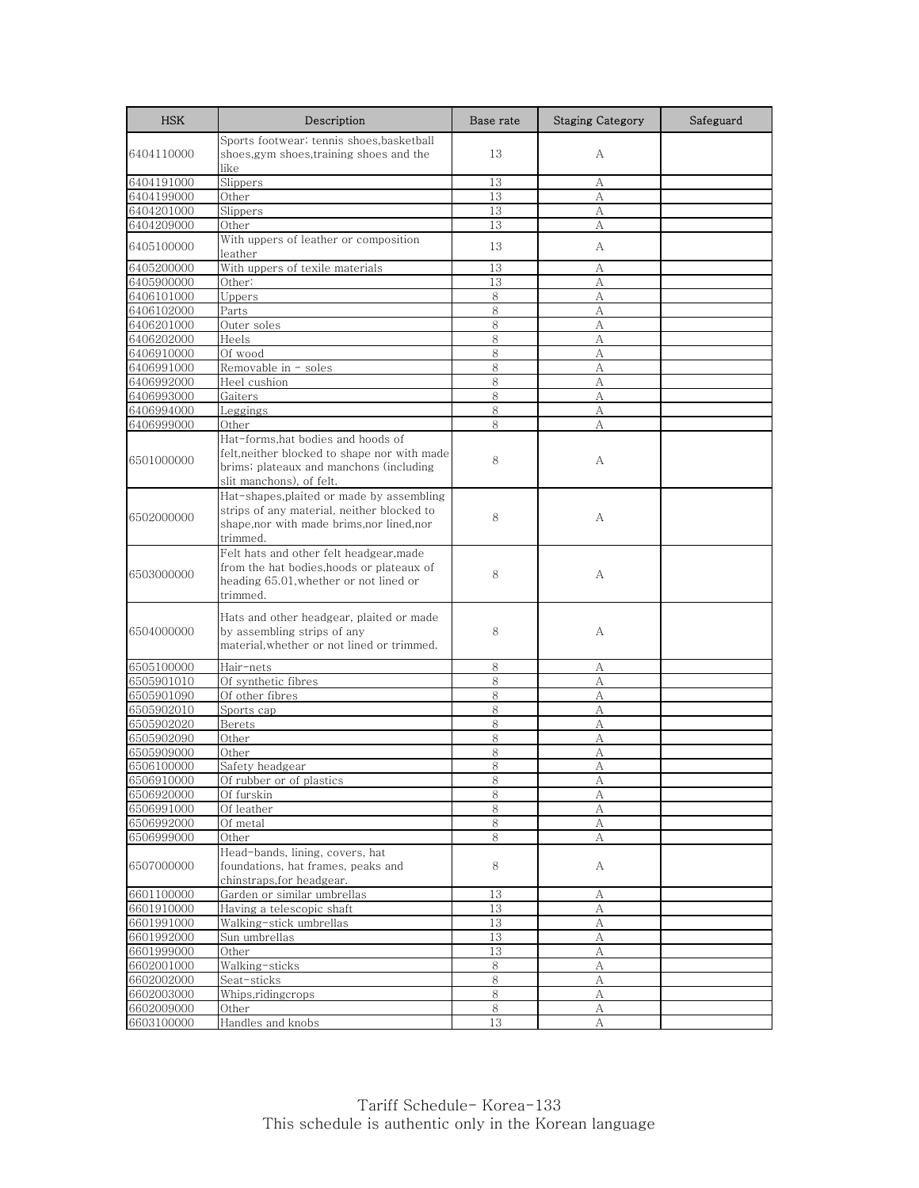| <b>HSK</b>               | Description                                  | Base rate | <b>Staging Category</b> | Safeguard |
|--------------------------|----------------------------------------------|-----------|-------------------------|-----------|
|                          | Sports footwear; tennis shoes, basketball    |           |                         |           |
| 6404110000               | shoes,gym shoes,training shoes and the       | 13        | А                       |           |
|                          | like                                         |           |                         |           |
| 6404191000               | Slippers                                     | 13        | А                       |           |
| 6404199000               | Other                                        | 13<br>13  | А<br>A                  |           |
| 6404201000<br>6404209000 | Slippers<br>Other                            | 13        | А                       |           |
|                          | With uppers of leather or composition        |           |                         |           |
| 6405100000               | leather                                      | 13        | A                       |           |
| 6405200000               | With uppers of texile materials              | 13        | А                       |           |
| 6405900000               | Other:                                       | 13        | А                       |           |
| 6406101000               | Uppers                                       | 8         | А                       |           |
| 6406102000               | Parts                                        | 8         | А                       |           |
| 6406201000               | Outer soles                                  | 8         | А                       |           |
| 6406202000               | Heels                                        | 8         | А                       |           |
| 6406910000<br>6406991000 | Of wood<br>Removable in - soles              | 8<br>8    | А<br>А                  |           |
| 6406992000               | Heel cushion                                 | 8         | A                       |           |
| 6406993000               | Gaiters                                      | 8         | А                       |           |
| 6406994000               | Leggings                                     | 8         | A                       |           |
| 6406999000               | Other                                        | 8         | А                       |           |
|                          | Hat-forms, hat bodies and hoods of           |           |                         |           |
|                          | felt, neither blocked to shape nor with made |           |                         |           |
| 6501000000               | brims, plateaux and manchons (including      | 8         | А                       |           |
|                          | slit manchons), of felt.                     |           |                         |           |
|                          | Hat-shapes,plaited or made by assembling     |           |                         |           |
|                          | strips of any material, neither blocked to   |           |                         |           |
| 6502000000               | shape, nor with made brims, nor lined, nor   | 8         | А                       |           |
|                          | trimmed.                                     |           |                         |           |
|                          | Felt hats and other felt headgear, made      |           |                         |           |
|                          | from the hat bodies, hoods or plateaux of    |           |                         |           |
| 6503000000               | heading 65.01, whether or not lined or       | 8         | А                       |           |
|                          | trimmed.                                     |           |                         |           |
|                          | Hats and other headgear, plaited or made     |           |                         |           |
| 6504000000               | by assembling strips of any                  | 8         | А                       |           |
|                          | material, whether or not lined or trimmed.   |           |                         |           |
|                          |                                              |           |                         |           |
| 6505100000               | Hair-nets                                    | 8         | А                       |           |
| 6505901010               | Of synthetic fibres                          | 8         | A                       |           |
| 6505901090               | Of other fibres                              | 8         | А                       |           |
| 6505902010               | Sports cap                                   | 8         | А                       |           |
| 6505902020               | Berets                                       | 8         | А                       |           |
| 6505902090               | Other                                        | 8         | А                       |           |
| 6505909000               | Other<br>Safety headgear                     | 8<br>8    | A                       |           |
| 6506100000<br>6506910000 | Of rubber or of plastics                     | 8         | А                       |           |
| 6506920000               | Of furskin                                   | 8         | Α<br>А                  |           |
| 6506991000               | Of leather                                   | 8         | А                       |           |
| 6506992000               | Of metal                                     | 8         | А                       |           |
| 6506999000               | Other                                        | 8         | А                       |           |
|                          | Head-bands, lining, covers, hat              |           |                         |           |
| 6507000000               | foundations, hat frames, peaks and           | 8         | A                       |           |
|                          | chinstraps, for headgear.                    |           |                         |           |
| 6601100000               | Garden or similar umbrellas                  | 13        | А                       |           |
| 6601910000               | Having a telescopic shaft                    | 13        | А                       |           |
| 6601991000               | Walking-stick umbrellas                      | 13        | A                       |           |
| 6601992000               | Sun umbrellas                                | 13        | А                       |           |
| 6601999000               | Other                                        | 13        | А                       |           |
| 6602001000               | Walking-sticks                               | 8         | А                       |           |
| 6602002000               | Seat-sticks                                  | 8         | А                       |           |
| 6602003000               | Whips,ridingcrops                            | 8         | А                       |           |
| 6602009000               | Other                                        | 8         | А                       |           |
| 6603100000               | Handles and knobs                            | $13\,$    | А                       |           |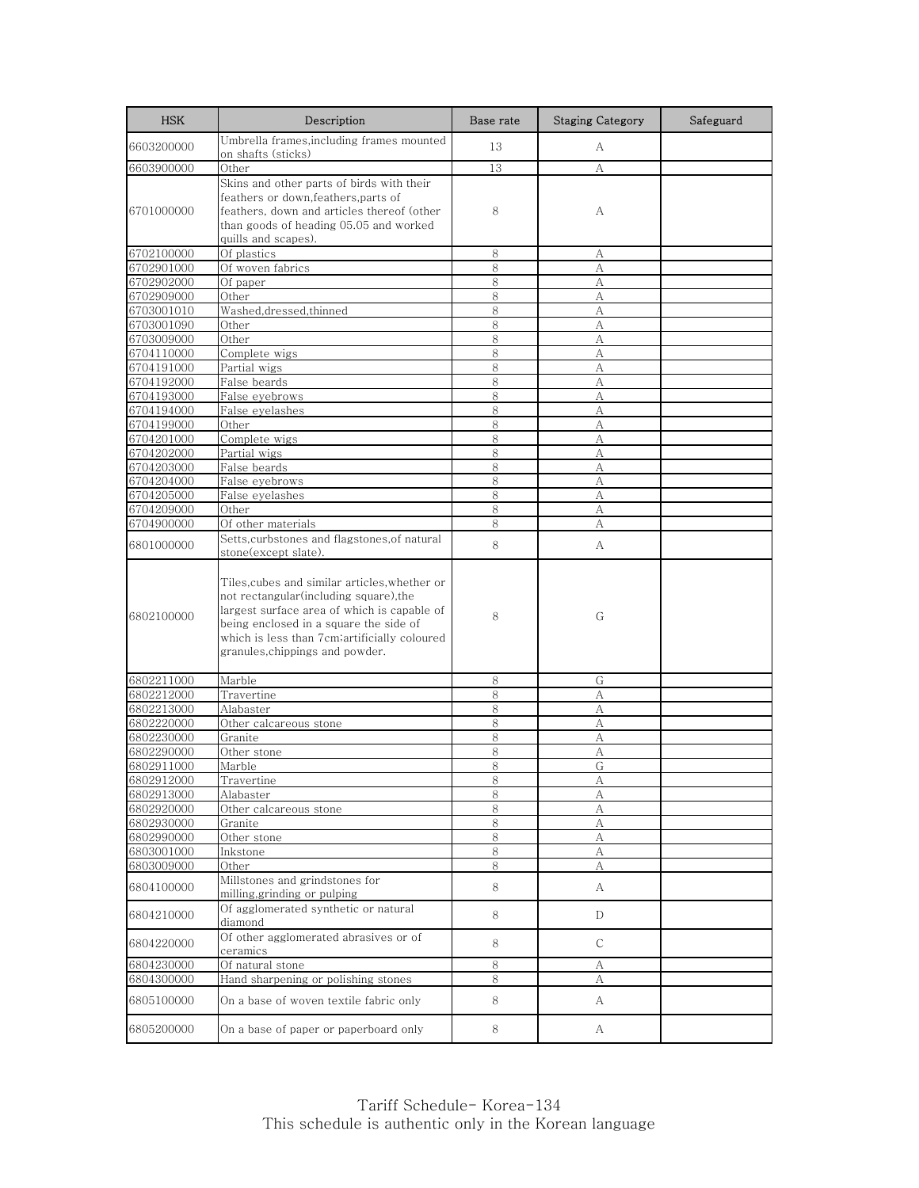| <b>HSK</b>               | Description                                                                                                                                                                                                                                                       | Base rate | <b>Staging Category</b> | Safeguard |
|--------------------------|-------------------------------------------------------------------------------------------------------------------------------------------------------------------------------------------------------------------------------------------------------------------|-----------|-------------------------|-----------|
| 6603200000               | Umbrella frames, including frames mounted<br>on shafts (sticks)                                                                                                                                                                                                   | 13        | A                       |           |
| 6603900000               | Other                                                                                                                                                                                                                                                             | 13        | А                       |           |
| 6701000000               | Skins and other parts of birds with their<br>feathers or down, feathers, parts of<br>feathers, down and articles thereof (other<br>than goods of heading 05.05 and worked<br>quills and scapes).                                                                  | 8         | А                       |           |
| 6702100000               | Of plastics                                                                                                                                                                                                                                                       | 8         | А                       |           |
| 6702901000               | Of woven fabrics                                                                                                                                                                                                                                                  | 8         | А                       |           |
| 6702902000               | Of paper                                                                                                                                                                                                                                                          | 8         | А                       |           |
| 6702909000               | Other                                                                                                                                                                                                                                                             | 8         | А                       |           |
| 6703001010               | Washed, dressed, thinned                                                                                                                                                                                                                                          | 8         | A                       |           |
| 6703001090               | Other                                                                                                                                                                                                                                                             | 8         | A                       |           |
| 6703009000               | Other                                                                                                                                                                                                                                                             | 8         | А                       |           |
| 6704110000               | Complete wigs                                                                                                                                                                                                                                                     | 8         | А                       |           |
| 6704191000<br>6704192000 | Partial wigs<br>False beards                                                                                                                                                                                                                                      | 8<br>8    | А<br>А                  |           |
| 6704193000               | False eyebrows                                                                                                                                                                                                                                                    | 8         | А                       |           |
| 6704194000               | False eyelashes                                                                                                                                                                                                                                                   | 8         | А                       |           |
| 6704199000               | Other                                                                                                                                                                                                                                                             | 8         | А                       |           |
| 6704201000               | Complete wigs                                                                                                                                                                                                                                                     | 8         | А                       |           |
| 6704202000               | Partial wigs                                                                                                                                                                                                                                                      | 8         | A                       |           |
| 6704203000               | False beards                                                                                                                                                                                                                                                      | 8         | А                       |           |
| 6704204000               | False eyebrows                                                                                                                                                                                                                                                    | 8         | A                       |           |
| 6704205000               | False eyelashes                                                                                                                                                                                                                                                   | 8         | А                       |           |
| 6704209000               | Other                                                                                                                                                                                                                                                             | 8         | А                       |           |
| 6704900000               | Of other materials                                                                                                                                                                                                                                                | 8         | А                       |           |
| 6801000000               | Setts, curbstones and flagstones, of natural<br>stone(except slate).                                                                                                                                                                                              | 8         | А                       |           |
| 6802100000               | Tiles,cubes and similar articles,whether or<br>not rectangular(including square), the<br>largest surface area of which is capable of<br>being enclosed in a square the side of<br>which is less than 7cm;artificially coloured<br>granules, chippings and powder. | 8         | G                       |           |
| 6802211000               | Marble                                                                                                                                                                                                                                                            | 8         | G                       |           |
| 6802212000               | Travertine                                                                                                                                                                                                                                                        | 8         | А                       |           |
| 6802213000               | Alabaster                                                                                                                                                                                                                                                         | 8         | А                       |           |
| 6802220000               | Other calcareous stone                                                                                                                                                                                                                                            | 8         | А                       |           |
| 6802230000               | Granite                                                                                                                                                                                                                                                           | 8         | А                       |           |
| 6802290000               | Other stone                                                                                                                                                                                                                                                       | 8         | А                       |           |
| 6802911000               | Marble                                                                                                                                                                                                                                                            | 8         | G                       |           |
| 6802912000               | Travertine                                                                                                                                                                                                                                                        | <u>8</u>  | А                       |           |
| 6802913000               | Alabaster                                                                                                                                                                                                                                                         | 8         | А                       |           |
| 6802920000<br>6802930000 | Other calcareous stone<br>Granite                                                                                                                                                                                                                                 | 8<br>8    | А<br>А                  |           |
| 6802990000               | Other stone                                                                                                                                                                                                                                                       | 8         | А                       |           |
| 6803001000               | Inkstone                                                                                                                                                                                                                                                          | 8         | А                       |           |
| 6803009000               | Other                                                                                                                                                                                                                                                             | 8         | А                       |           |
| 6804100000               | Millstones and grindstones for<br>milling, grinding or pulping                                                                                                                                                                                                    | 8         | A                       |           |
| 6804210000               | Of agglomerated synthetic or natural<br>diamond                                                                                                                                                                                                                   | 8         | D                       |           |
| 6804220000               | Of other agglomerated abrasives or of<br>ceramics                                                                                                                                                                                                                 | 8         | С                       |           |
| 6804230000               | Of natural stone                                                                                                                                                                                                                                                  | 8         | А                       |           |
| 6804300000<br>6805100000 | Hand sharpening or polishing stones<br>On a base of woven textile fabric only                                                                                                                                                                                     | 8<br>8    | А<br>A                  |           |
| 6805200000               | On a base of paper or paperboard only                                                                                                                                                                                                                             | 8         | A                       |           |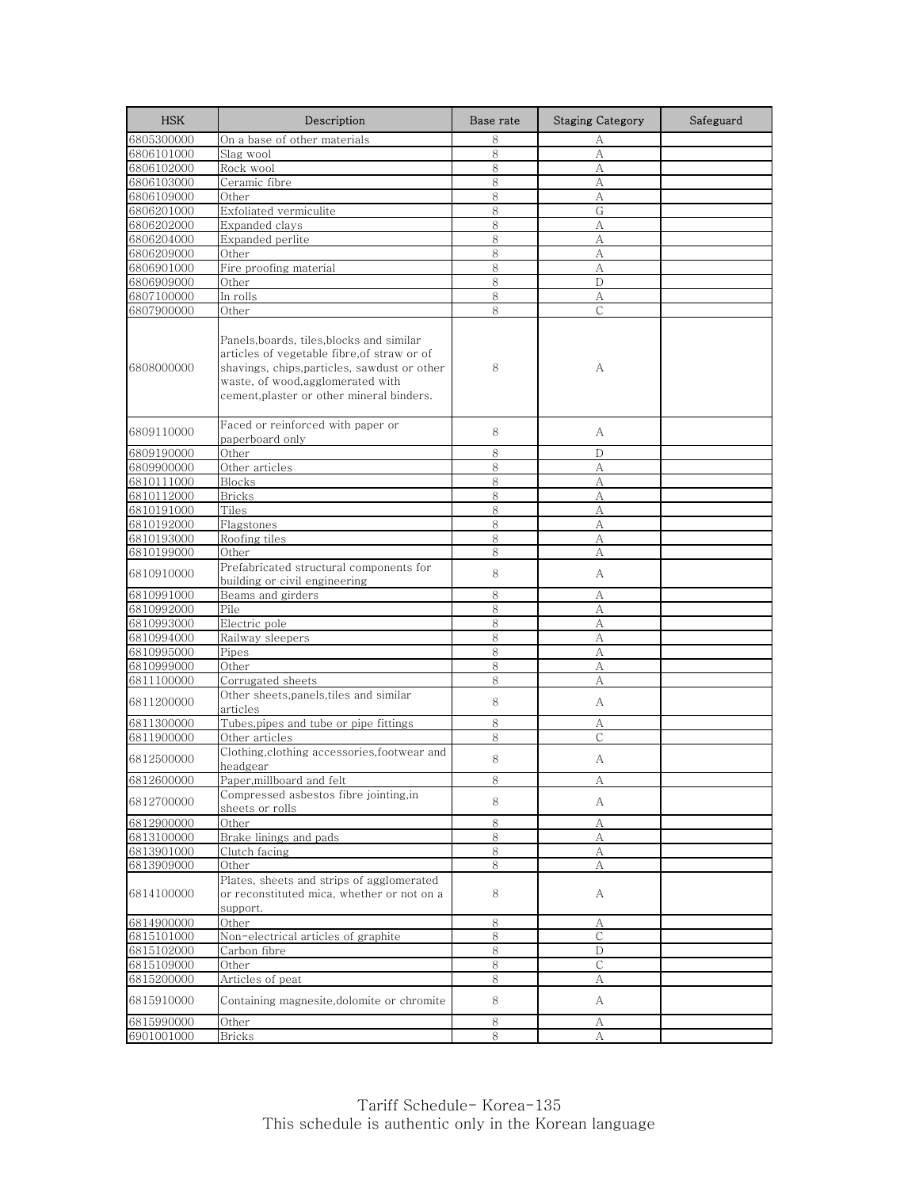| <b>HSK</b> | Description                                                                                                                                                                                                                | Base rate | <b>Staging Category</b> | Safeguard |
|------------|----------------------------------------------------------------------------------------------------------------------------------------------------------------------------------------------------------------------------|-----------|-------------------------|-----------|
| 6805300000 | On a base of other materials                                                                                                                                                                                               | 8         | А                       |           |
| 6806101000 | Slag wool                                                                                                                                                                                                                  | 8         | А                       |           |
| 6806102000 | Rock wool                                                                                                                                                                                                                  | 8         | А                       |           |
| 6806103000 | Ceramic fibre                                                                                                                                                                                                              | 8         | A                       |           |
| 6806109000 | Other                                                                                                                                                                                                                      | 8         | А                       |           |
| 6806201000 | Exfoliated vermiculite                                                                                                                                                                                                     | 8         | G                       |           |
| 6806202000 | Expanded clays                                                                                                                                                                                                             | 8         | А                       |           |
| 6806204000 | Expanded perlite                                                                                                                                                                                                           | 8         | А                       |           |
| 6806209000 | Other                                                                                                                                                                                                                      | 8         | А                       |           |
| 6806901000 | Fire proofing material                                                                                                                                                                                                     | 8         | А                       |           |
| 6806909000 | Other                                                                                                                                                                                                                      | 8         | D                       |           |
| 6807100000 | In rolls                                                                                                                                                                                                                   | 8         | А                       |           |
| 6807900000 | Other                                                                                                                                                                                                                      | 8         | $\mathsf{C}$            |           |
| 6808000000 | Panels, boards, tiles, blocks and similar<br>articles of vegetable fibre, of straw or of<br>shavings, chips, particles, sawdust or other<br>waste, of wood, agglomerated with<br>cement, plaster or other mineral binders. | 8         | А                       |           |
| 6809110000 | Faced or reinforced with paper or<br>paperboard only                                                                                                                                                                       | 8         | А                       |           |
| 6809190000 | Other                                                                                                                                                                                                                      | 8         | D                       |           |
| 6809900000 | Other articles                                                                                                                                                                                                             | 8         | А                       |           |
| 6810111000 | <b>Blocks</b>                                                                                                                                                                                                              | $8\,$     | А                       |           |
| 6810112000 | <b>Bricks</b>                                                                                                                                                                                                              | 8         | А                       |           |
| 6810191000 | Tiles                                                                                                                                                                                                                      | 8         | А                       |           |
| 6810192000 | Flagstones                                                                                                                                                                                                                 | 8         | А                       |           |
| 6810193000 | Roofing tiles                                                                                                                                                                                                              | 8         | А                       |           |
| 6810199000 | Other                                                                                                                                                                                                                      | 8         | А                       |           |
| 6810910000 | Prefabricated structural components for<br>building or civil engineering                                                                                                                                                   | 8         | А                       |           |
| 6810991000 | Beams and girders                                                                                                                                                                                                          | 8         | А                       |           |
| 6810992000 | Pile                                                                                                                                                                                                                       | 8         | А                       |           |
| 6810993000 | Electric pole                                                                                                                                                                                                              | 8         | А                       |           |
| 6810994000 | Railway sleepers                                                                                                                                                                                                           | 8         | А                       |           |
| 6810995000 | Pipes                                                                                                                                                                                                                      | $8\,$     | A                       |           |
| 6810999000 | Other                                                                                                                                                                                                                      | 8         | А                       |           |
| 6811100000 | Corrugated sheets                                                                                                                                                                                                          | 8         | А                       |           |
| 6811200000 | Other sheets,panels,tiles and similar<br>articles                                                                                                                                                                          | 8         | А                       |           |
| 6811300000 | Tubes, pipes and tube or pipe fittings                                                                                                                                                                                     | 8         | А                       |           |
| 6811900000 | Other articles                                                                                                                                                                                                             | 8         | С                       |           |
| 6812500000 | Clothing, clothing accessories, footwear and<br>headgear                                                                                                                                                                   | 8         | А                       |           |
| 6812600000 | Paper, millboard and felt                                                                                                                                                                                                  | 8         | А                       |           |
| 6812700000 | Compressed asbestos fibre jointing,in<br>sheets or rolls                                                                                                                                                                   | 8         | А                       |           |
| 6812900000 | Other                                                                                                                                                                                                                      | 8         | А                       |           |
| 6813100000 | Brake linings and pads                                                                                                                                                                                                     | $\,8\,$   | А                       |           |
| 6813901000 | Clutch facing                                                                                                                                                                                                              | 8         | А                       |           |
| 6813909000 | Other                                                                                                                                                                                                                      | 8         | А                       |           |
| 6814100000 | Plates, sheets and strips of agglomerated<br>or reconstituted mica, whether or not on a<br>support.                                                                                                                        | 8         | A                       |           |
| 6814900000 | Other                                                                                                                                                                                                                      | 8         | А                       |           |
| 6815101000 | Non-electrical articles of graphite                                                                                                                                                                                        | 8         | $\mathsf{C}$            |           |
| 6815102000 | Carbon fibre                                                                                                                                                                                                               | 8         | D                       |           |
| 6815109000 | Other                                                                                                                                                                                                                      | 8         | $\mathsf{C}$            |           |
| 6815200000 | Articles of peat                                                                                                                                                                                                           | 8         | А                       |           |
| 6815910000 | Containing magnesite, dolomite or chromite                                                                                                                                                                                 | 8         | А                       |           |
| 6815990000 | Other                                                                                                                                                                                                                      | $\,8\,$   | А                       |           |
| 6901001000 | <b>Bricks</b>                                                                                                                                                                                                              | 8         | А                       |           |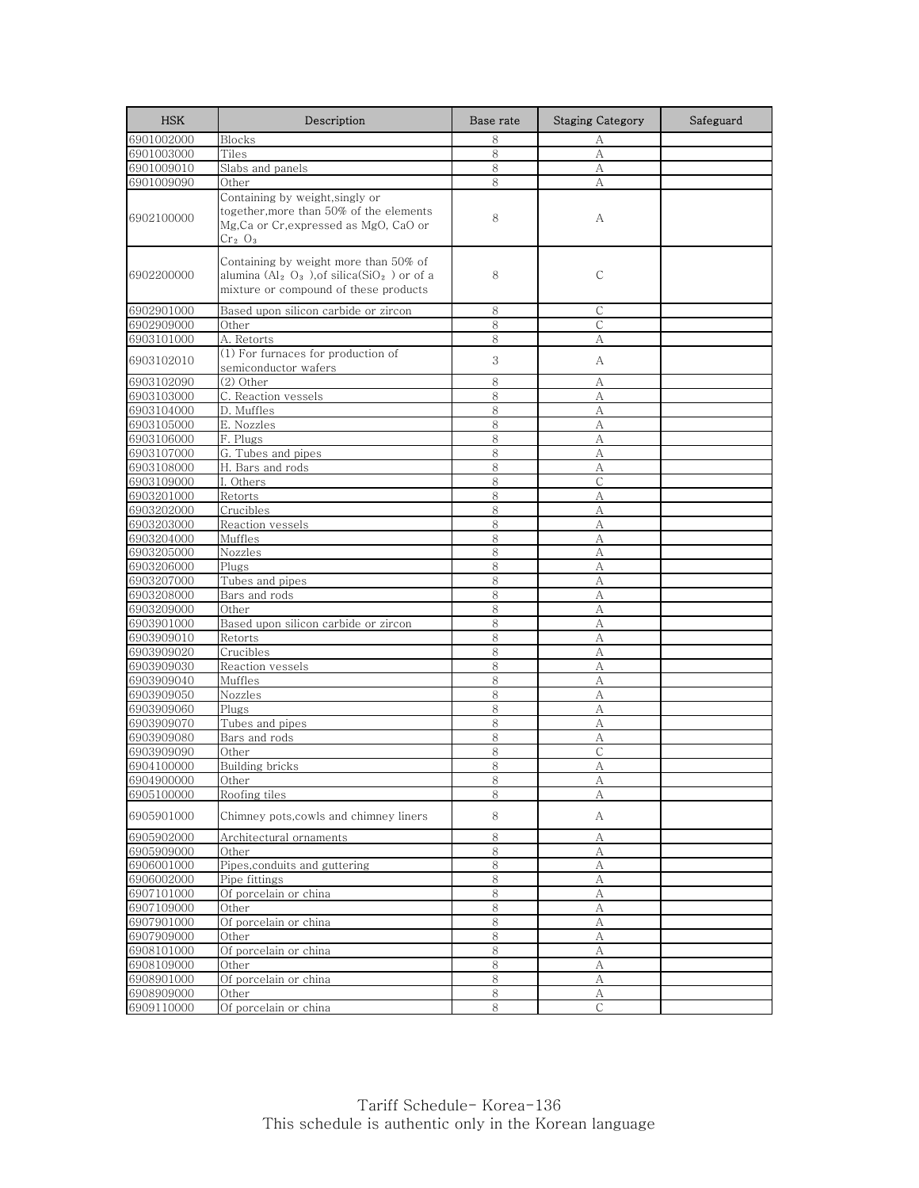| <b>HSK</b>               | Description                                                                                                                                                       | Base rate | <b>Staging Category</b> | Safeguard |
|--------------------------|-------------------------------------------------------------------------------------------------------------------------------------------------------------------|-----------|-------------------------|-----------|
| 6901002000               | <b>Blocks</b>                                                                                                                                                     | 8         | А                       |           |
| 6901003000               | Tiles                                                                                                                                                             | 8         | A                       |           |
| 6901009010               | Slabs and panels                                                                                                                                                  | 8         | А                       |           |
| 6901009090               | Other                                                                                                                                                             | 8         | A                       |           |
| 6902100000               | Containing by weight, singly or<br>together, more than 50% of the elements<br>Mg, Ca or Cr, expressed as MgO, CaO or<br>Cr <sub>2</sub> O <sub>3</sub>            | 8         | А                       |           |
| 6902200000               | Containing by weight more than 50% of<br>alumina (Al <sub>2</sub> O <sub>3</sub> ), of silica(SiO <sub>2</sub> ) or of a<br>mixture or compound of these products | 8         | C                       |           |
| 6902901000               | Based upon silicon carbide or zircon                                                                                                                              | 8         | C                       |           |
| 6902909000               | Other                                                                                                                                                             | 8         | C                       |           |
| 6903101000               | A. Retorts                                                                                                                                                        | 8         | А                       |           |
| 6903102010               | (1) For furnaces for production of<br>semiconductor wafers                                                                                                        | 3         | A                       |           |
| 6903102090               | $(2)$ Other                                                                                                                                                       | 8         | А                       |           |
| 6903103000               | C. Reaction vessels                                                                                                                                               | 8         | A                       |           |
| 6903104000               | D. Muffles                                                                                                                                                        | 8         | A                       |           |
| 6903105000               | E. Nozzles                                                                                                                                                        | 8         | А                       |           |
| 6903106000               | F. Plugs                                                                                                                                                          | 8         | А                       |           |
| 6903107000               | G. Tubes and pipes                                                                                                                                                | 8         | A                       |           |
| 6903108000               | H. Bars and rods                                                                                                                                                  | 8         | А                       |           |
| 6903109000               | I. Others                                                                                                                                                         | 8         | $\mathsf{C}$            |           |
| 6903201000               | Retorts                                                                                                                                                           | 8         | A                       |           |
| 6903202000               | Crucibles                                                                                                                                                         | 8         | А                       |           |
| 6903203000               | Reaction vessels                                                                                                                                                  | 8         | А                       |           |
| 6903204000               | Muffles                                                                                                                                                           | 8         | А                       |           |
| 6903205000               | Nozzles                                                                                                                                                           | 8         | А                       |           |
| 6903206000               | Plugs                                                                                                                                                             | 8         | А                       |           |
| 6903207000               | Tubes and pipes                                                                                                                                                   | 8         | А                       |           |
| 6903208000               | Bars and rods                                                                                                                                                     | 8<br>8    | А                       |           |
| 6903209000<br>6903901000 | Other<br>Based upon silicon carbide or zircon                                                                                                                     | 8         | А<br>А                  |           |
| 6903909010               | Retorts                                                                                                                                                           | 8         | А                       |           |
| 6903909020               | Crucibles                                                                                                                                                         | 8         | A                       |           |
| 6903909030               | Reaction vessels                                                                                                                                                  | 8         | А                       |           |
| 6903909040               | Muffles                                                                                                                                                           | 8         | А                       |           |
| 6903909050               | Nozzles                                                                                                                                                           | 8         | А                       |           |
| 6903909060               | Plugs                                                                                                                                                             | 8         | А                       |           |
| 6903909070               | Tubes and pipes                                                                                                                                                   | 8         | A                       |           |
| 6903909080               | Bars and rods                                                                                                                                                     | 8         | А                       |           |
| 6903909090               | Other                                                                                                                                                             | 8         | C                       |           |
| 6904100000               | <b>Building bricks</b>                                                                                                                                            | 8         | A                       |           |
| 6904900000               | Other                                                                                                                                                             | ୪         | A                       |           |
| 6905100000               | Roofing tiles                                                                                                                                                     | 8         | А                       |           |
| 6905901000               | Chimney pots,cowls and chimney liners                                                                                                                             | 8         | A                       |           |
| 6905902000               | Architectural ornaments                                                                                                                                           | 8         | А                       |           |
| 6905909000               | Other                                                                                                                                                             | 8         | А                       |           |
| 6906001000               | Pipes, conduits and guttering                                                                                                                                     | 8         | А                       |           |
| 6906002000               | Pipe fittings                                                                                                                                                     | $\,8\,$   | А                       |           |
| 6907101000               | Of porcelain or china                                                                                                                                             | 8         | A                       |           |
| 6907109000               | Other                                                                                                                                                             | 8         | А                       |           |
| 6907901000               | Of porcelain or china                                                                                                                                             | $\,8\,$   | A                       |           |
| 6907909000               | Other                                                                                                                                                             | 8         | А                       |           |
| 6908101000<br>6908109000 | Of porcelain or china                                                                                                                                             | 8         | А                       |           |
|                          | Other<br>Of porcelain or china                                                                                                                                    | 8         | А                       |           |
| 6908901000<br>6908909000 | Other                                                                                                                                                             | 8<br>8    | А<br>А                  |           |
| 6909110000               | Of porcelain or china                                                                                                                                             | 8         | С                       |           |
|                          |                                                                                                                                                                   |           |                         |           |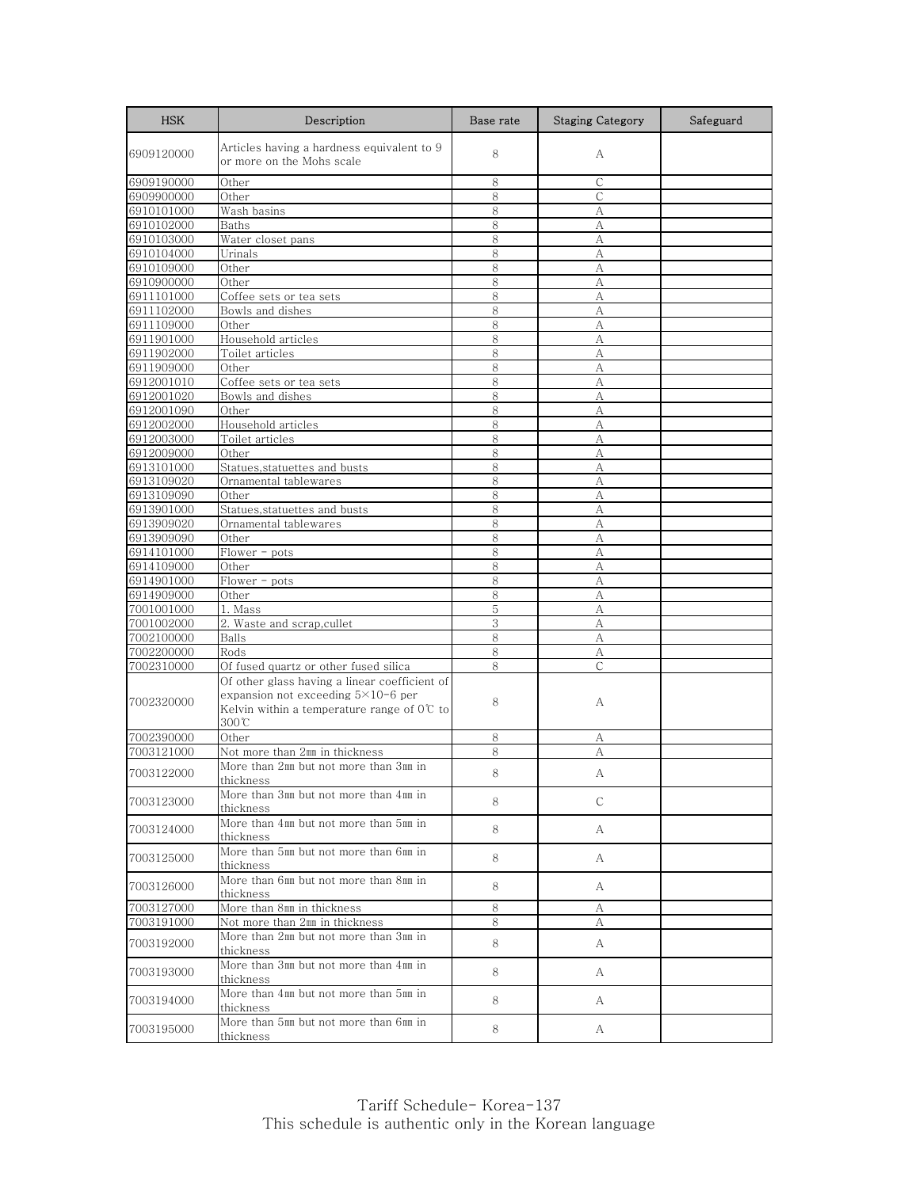| <b>HSK</b>               | Description                                                                                                                                                                                | Base rate | <b>Staging Category</b> | Safeguard |
|--------------------------|--------------------------------------------------------------------------------------------------------------------------------------------------------------------------------------------|-----------|-------------------------|-----------|
| 6909120000               | Articles having a hardness equivalent to 9<br>or more on the Mohs scale                                                                                                                    | 8         | А                       |           |
| 6909190000               | Other                                                                                                                                                                                      | 8         | $\mathsf{C}$            |           |
| 6909900000               | Other                                                                                                                                                                                      | 8         | C                       |           |
| 6910101000               | Wash basins                                                                                                                                                                                | 8         | А                       |           |
| 6910102000               | Baths                                                                                                                                                                                      | 8         | А                       |           |
| 6910103000               | Water closet pans                                                                                                                                                                          | 8         | А                       |           |
| 6910104000               | Urinals                                                                                                                                                                                    | 8         | А                       |           |
| 6910109000               | Other                                                                                                                                                                                      | 8         | А                       |           |
| 6910900000               | Other                                                                                                                                                                                      | 8         | А                       |           |
| 6911101000               | Coffee sets or tea sets                                                                                                                                                                    | 8         | А                       |           |
| 6911102000               | Bowls and dishes                                                                                                                                                                           | 8         | A                       |           |
| 6911109000               | Other                                                                                                                                                                                      | 8         | А                       |           |
| 6911901000               | Household articles                                                                                                                                                                         | 8         | A                       |           |
| 6911902000               | Toilet articles                                                                                                                                                                            | 8         | A                       |           |
| 6911909000               | Other                                                                                                                                                                                      | 8         | А                       |           |
| 6912001010               | Coffee sets or tea sets                                                                                                                                                                    | 8         | A                       |           |
| 6912001020               | Bowls and dishes                                                                                                                                                                           | 8         | А                       |           |
| 6912001090               | Other                                                                                                                                                                                      | 8         | A                       |           |
| 6912002000               | Household articles                                                                                                                                                                         | 8         | A                       |           |
| 6912003000               | Toilet articles                                                                                                                                                                            | 8         | А                       |           |
| 6912009000               | Other                                                                                                                                                                                      | 8         | A                       |           |
| 6913101000               | Statues, statuettes and busts                                                                                                                                                              | 8         | A                       |           |
| 6913109020               | Ornamental tablewares                                                                                                                                                                      | 8         | А                       |           |
| 6913109090               | Other                                                                                                                                                                                      | 8         | А                       |           |
| 6913901000               | Statues, statuettes and busts                                                                                                                                                              | 8         | A                       |           |
| 6913909020               | Ornamental tablewares                                                                                                                                                                      | 8         | А                       |           |
|                          |                                                                                                                                                                                            | 8         |                         |           |
| 6913909090               | Other                                                                                                                                                                                      | 8         | А                       |           |
| 6914101000               | $Flower - pots$                                                                                                                                                                            |           | А                       |           |
| 6914109000               | Other                                                                                                                                                                                      | 8         | А                       |           |
| 6914901000               | $Flower - pots$                                                                                                                                                                            | 8         | A                       |           |
| 6914909000               | Other                                                                                                                                                                                      | 8         | А                       |           |
| 7001001000               | 1. Mass                                                                                                                                                                                    | 5         | A                       |           |
| 7001002000               | 2. Waste and scrap, cullet                                                                                                                                                                 | 3         | А                       |           |
| 7002100000               | Balls                                                                                                                                                                                      | 8         | А                       |           |
| 7002200000               | Rods                                                                                                                                                                                       | 8         | А                       |           |
| 7002310000<br>7002320000 | Of fused quartz or other fused silica<br>Of other glass having a linear coefficient of<br>expansion not exceeding $5\times10-6$ per<br>Kelvin within a temperature range of $0^{\circ}$ to | 8<br>8    | $\mathsf{C}$<br>А       |           |
|                          | 300°C                                                                                                                                                                                      |           |                         |           |
| 7002390000               | Other                                                                                                                                                                                      | 8         | А                       |           |
| 7003121000               | Not more than 2mm in thickness                                                                                                                                                             | 8         | A                       |           |
|                          | More than 2mm but not more than 3mm in                                                                                                                                                     |           |                         |           |
| 7003122000               | thickness                                                                                                                                                                                  | 8         | А                       |           |
| 7003123000               | More than 3mm but not more than 4mm in<br>thickness                                                                                                                                        | 8         | C                       |           |
| 7003124000               | More than 4mm but not more than 5mm in<br>thickness                                                                                                                                        | 8         | A                       |           |
| 7003125000               | More than 5mm but not more than 6mm in<br>thickness                                                                                                                                        | 8         | A                       |           |
| 7003126000               | More than 6mm but not more than 8mm in<br>thickness                                                                                                                                        | 8         | A                       |           |
| 7003127000               | More than 8mm in thickness                                                                                                                                                                 | 8         | А                       |           |
| 7003191000               | Not more than 2mm in thickness                                                                                                                                                             | 8         | А                       |           |
| 7003192000               | More than 2mm but not more than 3mm in<br>thickness                                                                                                                                        | 8         | A                       |           |
| 7003193000               | More than 3mm but not more than 4mm in<br>thickness                                                                                                                                        | 8         | A                       |           |
| 7003194000               | More than 4mm but not more than 5mm in<br>thickness                                                                                                                                        | 8         | A                       |           |
| 7003195000               | More than 5mm but not more than 6mm in<br>thickness                                                                                                                                        | 8         | A                       |           |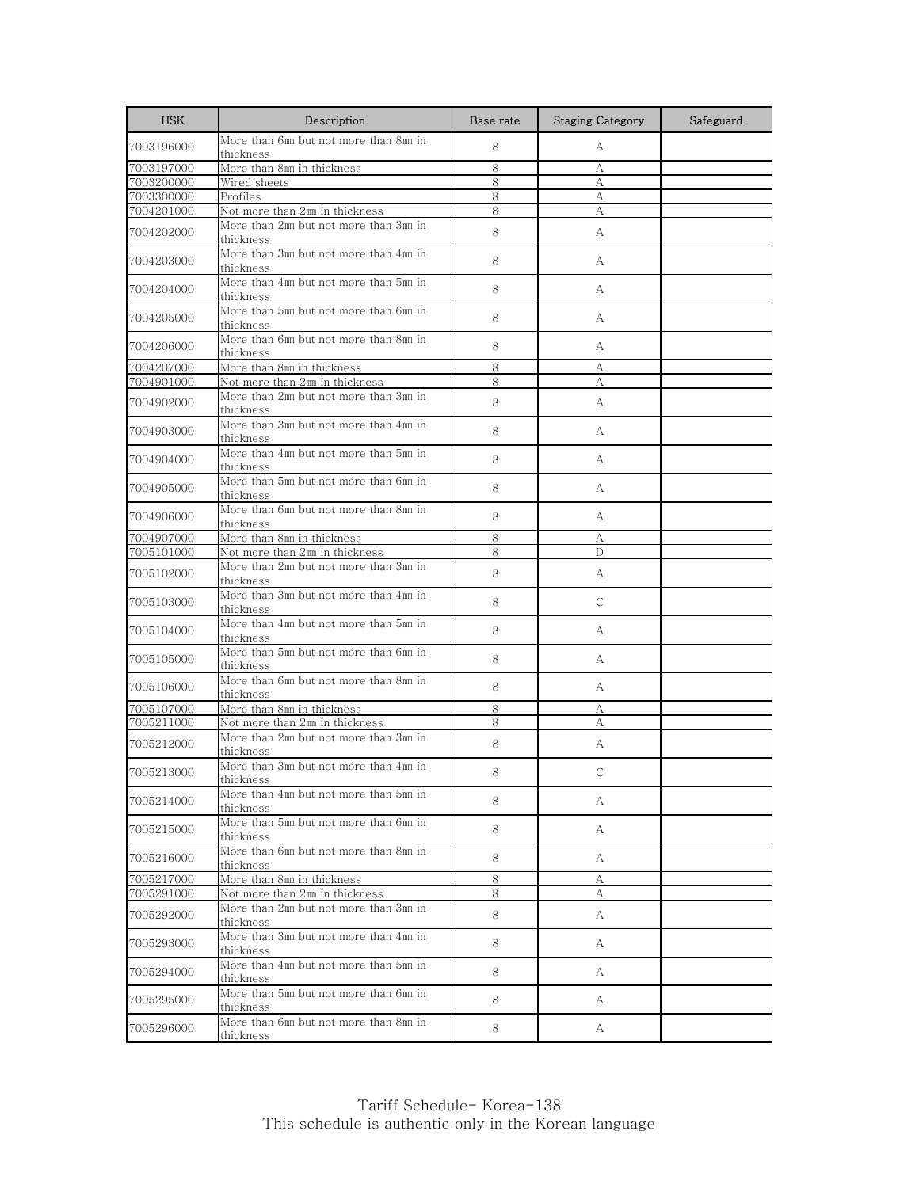| <b>HSK</b> | Description                                                  | Base rate | <b>Staging Category</b> | Safeguard |
|------------|--------------------------------------------------------------|-----------|-------------------------|-----------|
| 7003196000 | More than 6mm but not more than 8mm in<br>thickness          | 8         | А                       |           |
| 7003197000 | More than 8mm in thickness                                   | 8         | А                       |           |
| 7003200000 | Wired sheets                                                 | 8         | А                       |           |
| 7003300000 | Profiles                                                     | 8         | А                       |           |
| 7004201000 | Not more than 2mm in thickness                               | 8         | А                       |           |
| 7004202000 | More than 2mm but not more than 3mm in<br>thickness          | 8         | A                       |           |
| 7004203000 | More than 3mm but not more than 4mm in<br>thickness          | 8         | A                       |           |
| 7004204000 | More than 4㎜ but not more than 5㎜ in<br>thickness            | 8         | A                       |           |
| 7004205000 | More than 5mm but not more than 6mm in<br>thickness          | 8         | A                       |           |
| 7004206000 | More than 6mm but not more than 8mm in<br>thickness          | 8         | А                       |           |
| 7004207000 | More than 8mm in thickness                                   | 8         | А                       |           |
| 7004901000 | Not more than 2mm in thickness                               | 8         | А                       |           |
| 7004902000 | More than 2mm but not more than 3mm in                       | 8         | А                       |           |
| 7004903000 | thickness<br>More than 3mm but not more than 4mm in          | 8         | А                       |           |
| 7004904000 | thickness<br>More than 4mm but not more than 5mm in          | 8         | А                       |           |
|            | thickness<br>More than 5mm but not more than 6mm in          |           |                         |           |
| 7004905000 | thickness<br>More than 6mm but not more than 8mm in          | 8         | А                       |           |
| 7004906000 | thickness                                                    | 8         | А                       |           |
| 7004907000 | More than 8mm in thickness                                   | 8         | А                       |           |
| 7005101000 | Not more than 2mm in thickness                               | 8         | D                       |           |
| 7005102000 | More than 2mm but not more than 3mm in<br>thickness          | 8         | А                       |           |
| 7005103000 | More than 3mm but not more than 4mm in<br>thickness          | 8         | C                       |           |
| 7005104000 | More than 4mm but not more than 5mm in<br>thickness          | 8         | А                       |           |
| 7005105000 | More than 5mm but not more than 6mm in<br>thickness          | 8         | A                       |           |
| 7005106000 | More than 6mm but not more than 8mm in<br>thickness          | 8         | A                       |           |
| 7005107000 | More than 8mm in thickness                                   | 8         | А                       |           |
| 7005211000 | Not more than 2mm in thickness                               | 8         | А                       |           |
| 7005212000 | More than 2mm but not more than 3mm in<br>thickness          | 8         | A                       |           |
| 7005213000 | More than 3mm but not more than 4mm in<br>thickness          | 8         | $\mathsf{C}$            |           |
| 7005214000 | More than 4mm but not more than 5mm in                       | 8         | A                       |           |
| 7005215000 | thickness<br>More than 5mm but not more than 6mm in          | 8         | A                       |           |
| 7005216000 | thickness<br>More than 6mm but not more than 8mm in          | 8         | A                       |           |
|            | thickness                                                    |           |                         |           |
| 7005217000 | More than 8mm in thickness<br>Not more than 2mm in thickness | 8         | А                       |           |
| 7005291000 |                                                              | 8         | A                       |           |
| 7005292000 | More than 2mm but not more than 3mm in<br>thickness          | 8         | A                       |           |
| 7005293000 | More than 3mm but not more than 4mm in<br>thickness          | 8         | A                       |           |
| 7005294000 | More than 4mm but not more than 5mm in<br>thickness          | 8         | A                       |           |
| 7005295000 | More than 5mm but not more than 6mm in<br>thickness          | 8         | A                       |           |
| 7005296000 | More than 6mm but not more than 8mm in<br>thickness          | 8         | A                       |           |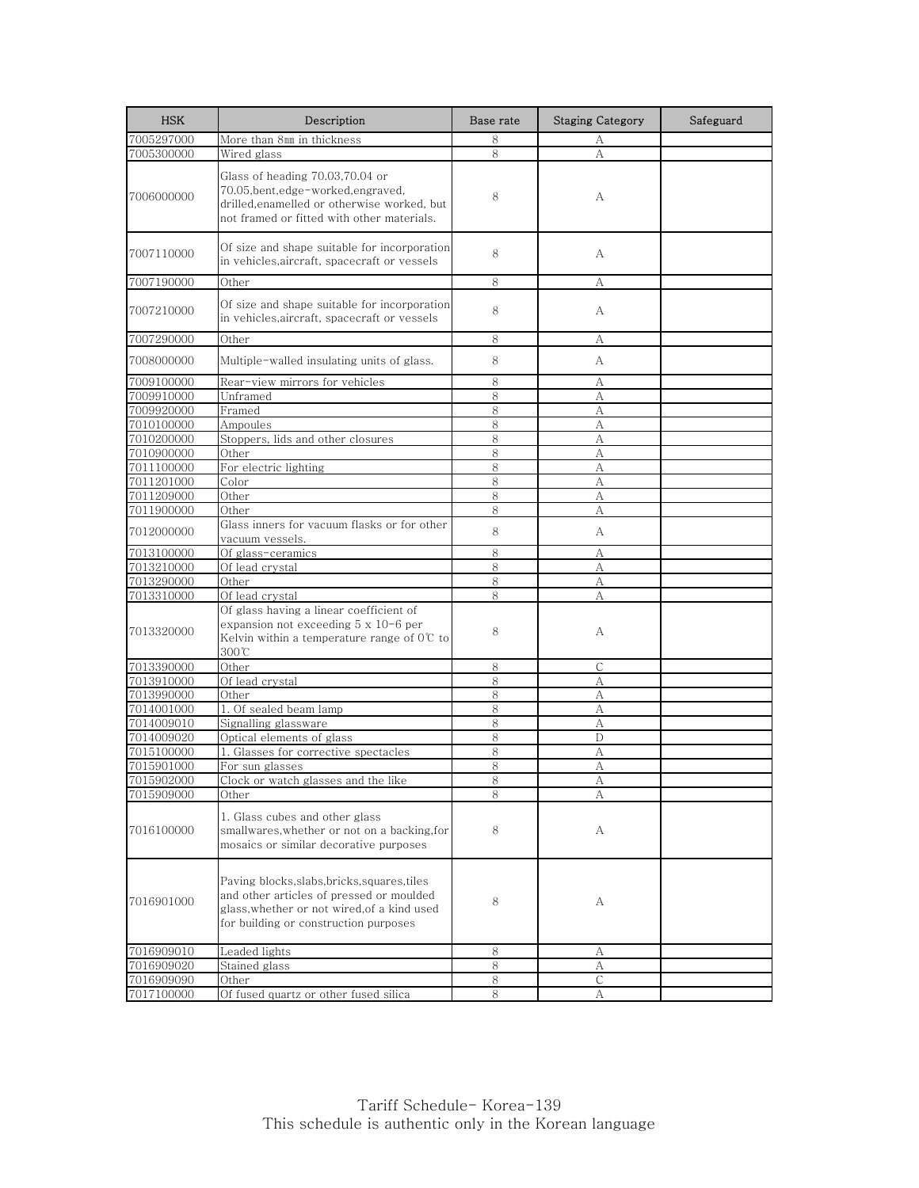| <b>HSK</b> | Description                                                                                                                                                                      | Base rate | <b>Staging Category</b> | Safeguard |
|------------|----------------------------------------------------------------------------------------------------------------------------------------------------------------------------------|-----------|-------------------------|-----------|
| 7005297000 | More than 8mm in thickness                                                                                                                                                       | 8         | А                       |           |
| 7005300000 | Wired glass                                                                                                                                                                      | 8         | А                       |           |
| 7006000000 | Glass of heading 70.03,70.04 or<br>70.05, bent, edge-worked, engraved,<br>drilled,enamelled or otherwise worked, but<br>not framed or fitted with other materials.               | 8         | А                       |           |
| 7007110000 | Of size and shape suitable for incorporation<br>in vehicles,aircraft, spacecraft or vessels                                                                                      | 8         | А                       |           |
| 7007190000 | Other                                                                                                                                                                            | 8         | А                       |           |
| 7007210000 | Of size and shape suitable for incorporation<br>in vehicles, aircraft, spacecraft or vessels                                                                                     | 8         | А                       |           |
| 7007290000 | Other                                                                                                                                                                            | 8         | А                       |           |
| 7008000000 | Multiple-walled insulating units of glass.                                                                                                                                       | 8         | А                       |           |
| 7009100000 | Rear-view mirrors for vehicles                                                                                                                                                   | 8         | А                       |           |
| 7009910000 | Unframed                                                                                                                                                                         | 8         | А                       |           |
| 7009920000 | Framed                                                                                                                                                                           | 8         | А                       |           |
| 7010100000 | Ampoules                                                                                                                                                                         | 8         | А                       |           |
| 7010200000 | Stoppers, lids and other closures                                                                                                                                                | 8         | А                       |           |
| 7010900000 | Other                                                                                                                                                                            | $\,8\,$   | А                       |           |
| 7011100000 | For electric lighting                                                                                                                                                            | 8         | А                       |           |
| 7011201000 | Color                                                                                                                                                                            | 8         | А                       |           |
| 7011209000 | Other                                                                                                                                                                            | 8         | А                       |           |
| 7011900000 | Other                                                                                                                                                                            | 8         | А                       |           |
| 7012000000 | Glass inners for vacuum flasks or for other<br>vacuum vessels.                                                                                                                   | 8         | А                       |           |
| 7013100000 | Of glass-ceramics                                                                                                                                                                | 8         | А                       |           |
| 7013210000 | Of lead crystal                                                                                                                                                                  | 8         | А                       |           |
| 7013290000 | Other                                                                                                                                                                            | 8         | А                       |           |
| 7013310000 | Of lead crystal                                                                                                                                                                  | 8         | A                       |           |
| 7013320000 | Of glass having a linear coefficient of<br>expansion not exceeding 5 x 10-6 per<br>Kelvin within a temperature range of $0\degree$ to<br>300°C                                   | 8         | А                       |           |
| 7013390000 | Other                                                                                                                                                                            | 8         | $\mathsf{C}$            |           |
| 7013910000 | Of lead crystal                                                                                                                                                                  | 8         | А                       |           |
| 7013990000 | Other                                                                                                                                                                            | 8         | A                       |           |
| 7014001000 | 1. Of sealed beam lamp                                                                                                                                                           | 8         | А                       |           |
| 7014009010 | Signalling glassware                                                                                                                                                             | 8         | A                       |           |
| 7014009020 | Optical elements of glass                                                                                                                                                        | 8         | $\mathbb{D}$            |           |
| 7015100000 | 1. Glasses for corrective spectacles                                                                                                                                             | 8         | А                       |           |
| 7015901000 | For sun glasses                                                                                                                                                                  | 8         | A                       |           |
| 7015902000 | Clock or watch glasses and the like                                                                                                                                              | 8         |                         |           |
| 7015909000 | Other                                                                                                                                                                            | 8         | А                       |           |
| 7016100000 | 1. Glass cubes and other glass<br>smallwares, whether or not on a backing, for<br>mosaics or similar decorative purposes                                                         | 8         | А                       |           |
| 7016901000 | Paving blocks, slabs, bricks, squares, tiles<br>and other articles of pressed or moulded<br>glass, whether or not wired, of a kind used<br>for building or construction purposes | 8         | А                       |           |
| 7016909010 | Leaded lights                                                                                                                                                                    | 8         | А                       |           |
| 7016909020 | Stained glass                                                                                                                                                                    | 8         | А                       |           |
| 7016909090 | Other                                                                                                                                                                            | 8         | С                       |           |
| 7017100000 | Of fused quartz or other fused silica                                                                                                                                            | 8         | А                       |           |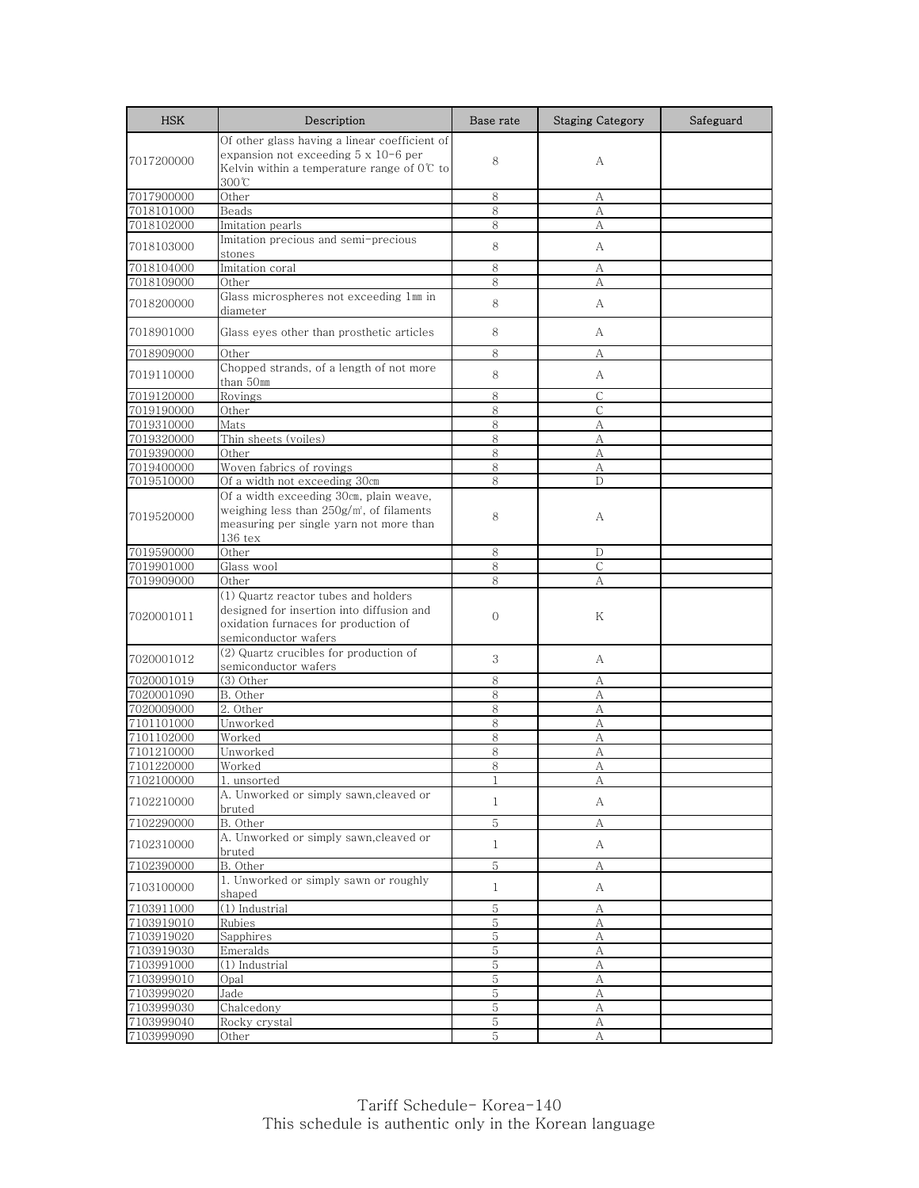| <b>HSK</b>               | Description                                                              | Base rate         | <b>Staging Category</b> | Safeguard |
|--------------------------|--------------------------------------------------------------------------|-------------------|-------------------------|-----------|
|                          | Of other glass having a linear coefficient of                            |                   |                         |           |
| 7017200000               | expansion not exceeding 5 x 10-6 per                                     | 8                 | А                       |           |
|                          | Kelvin within a temperature range of $0\degree$ to<br>300℃               |                   |                         |           |
| 7017900000               | Other                                                                    | 8                 | А                       |           |
| 7018101000               | Beads                                                                    | 8                 | А                       |           |
| 7018102000               | Imitation pearls                                                         | 8                 | А                       |           |
| 7018103000               | Imitation precious and semi-precious                                     | 8                 | А                       |           |
|                          | stones                                                                   |                   |                         |           |
| 7018104000               | Imitation coral                                                          | 8                 | А                       |           |
| 7018109000               | Other                                                                    | 8                 | А                       |           |
| 7018200000               | Glass microspheres not exceeding 1mm in<br>diameter                      | 8                 | A                       |           |
| 7018901000               | Glass eyes other than prosthetic articles                                | 8                 | А                       |           |
| 7018909000               | Other                                                                    | 8                 | А                       |           |
| 7019110000               | Chopped strands, of a length of not more<br>than 50mm                    | 8                 | А                       |           |
| 7019120000               | Rovings                                                                  | 8                 | С                       |           |
| 7019190000               | Other                                                                    | 8                 | $\mathsf{C}$            |           |
| 7019310000               | Mats                                                                     | 8                 | А                       |           |
| 7019320000               | Thin sheets (voiles)                                                     | 8                 | А                       |           |
| 7019390000               | Other                                                                    | 8                 | А                       |           |
| 7019400000<br>7019510000 | Woven fabrics of rovings                                                 | 8<br>8            | А<br>D                  |           |
|                          | Of a width not exceeding 30cm<br>Of a width exceeding 30cm, plain weave, |                   |                         |           |
|                          | weighing less than $250g/m$ , of filaments                               |                   |                         |           |
| 7019520000               | measuring per single yarn not more than                                  | 8                 | А                       |           |
|                          | $136$ tex                                                                |                   |                         |           |
| 7019590000               | Other                                                                    | 8                 | D                       |           |
| 7019901000               | Glass wool                                                               | 8                 | C                       |           |
| 7019909000               | Other                                                                    | 8                 | А                       |           |
|                          | (1) Quartz reactor tubes and holders                                     |                   |                         |           |
| 7020001011               | designed for insertion into diffusion and                                | $\Omega$          | Κ                       |           |
|                          | oxidation furnaces for production of<br>semiconductor wafers             |                   |                         |           |
|                          | (2) Quartz crucibles for production of                                   |                   |                         |           |
| 7020001012               | semiconductor wafers                                                     | 3                 | А                       |           |
| 7020001019               | $(3)$ Other                                                              | 8                 | А                       |           |
| 7020001090               | B. Other                                                                 | 8                 | А                       |           |
| 7020009000               | 2. Other                                                                 | 8                 | А                       |           |
| 7101101000               | Unworked                                                                 | 8                 | А                       |           |
| 7101102000               | Worked                                                                   | 8                 | А                       |           |
| 7101210000               | Unworked                                                                 | 8                 | А                       |           |
| 7101220000<br>7102100000 | Worked<br>1. unsorted                                                    | 8<br>$\mathbf{1}$ | А<br>A                  |           |
|                          | A. Unworked or simply sawn, cleaved or                                   |                   |                         |           |
| 7102210000               | bruted                                                                   | $\mathbf{1}$      | А                       |           |
| 7102290000               | B. Other                                                                 | 5                 | А                       |           |
| 7102310000               | A. Unworked or simply sawn, cleaved or<br>bruted                         | $\mathbf{1}$      | A                       |           |
| 7102390000               | B. Other                                                                 | $\mathbf 5$       | А                       |           |
| 7103100000               | 1. Unworked or simply sawn or roughly<br>shaped                          | $\mathbf{1}$      | A                       |           |
| 7103911000               | (1) Industrial                                                           | 5                 | А                       |           |
| 7103919010               | Rubies                                                                   | 5                 | А                       |           |
| 7103919020               | Sapphires                                                                | 5                 | А                       |           |
| 7103919030               | Emeralds                                                                 | $\mathbf 5$       | $\mathbf{A}$            |           |
| 7103991000               | (1) Industrial                                                           | 5                 | А                       |           |
| 7103999010               | Opal                                                                     | 5                 | А                       |           |
| 7103999020               | Jade                                                                     | 5                 | А                       |           |
| 7103999030               | Chalcedony                                                               | 5                 | А                       |           |
| 7103999040               | Rocky crystal                                                            | 5                 | А                       |           |
| 7103999090               | Other                                                                    | 5                 | А                       |           |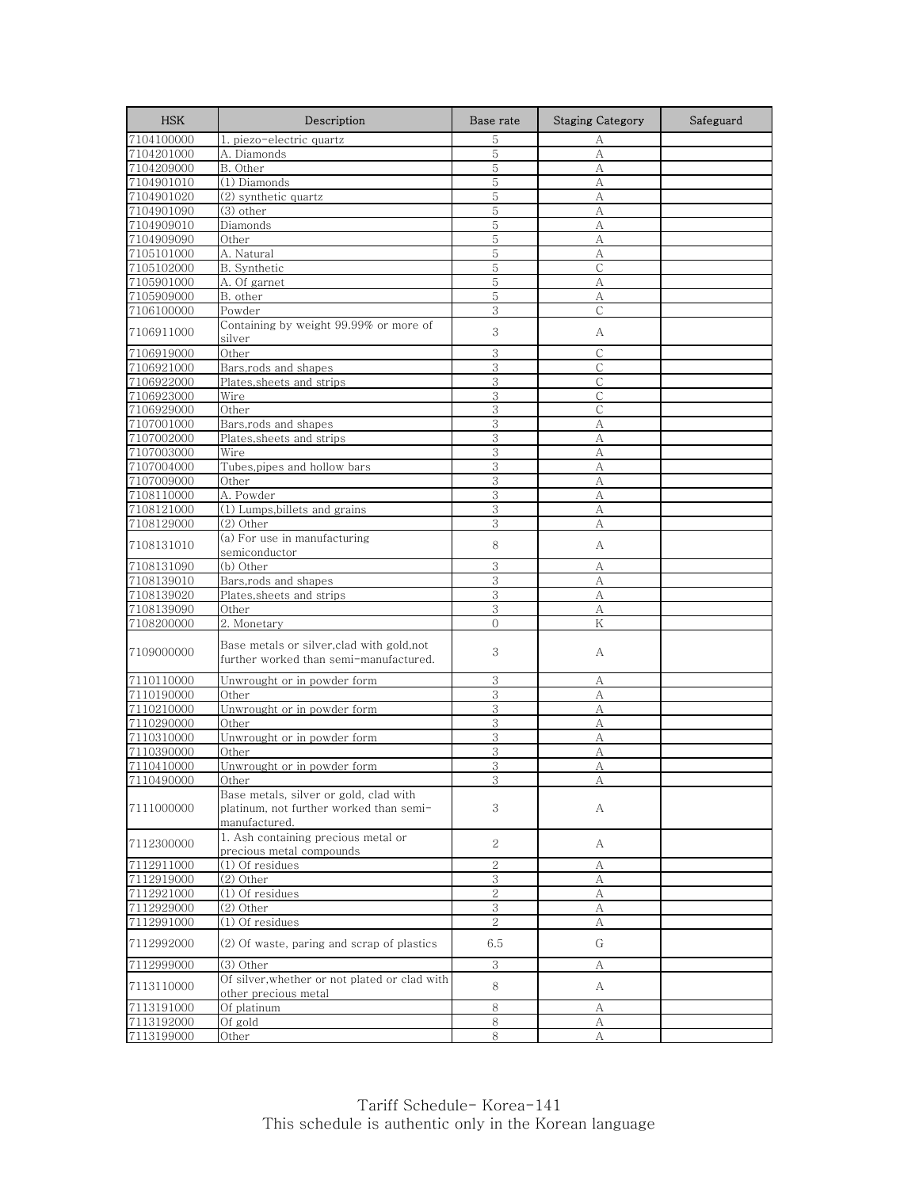| <b>HSK</b> | Description                                                                                        | Base rate      | <b>Staging Category</b> | Safeguard |
|------------|----------------------------------------------------------------------------------------------------|----------------|-------------------------|-----------|
| 7104100000 | 1. piezo-electric quartz                                                                           | 5              | А                       |           |
| 7104201000 | A. Diamonds                                                                                        | 5              | А                       |           |
| 7104209000 | B. Other                                                                                           | 5              | A                       |           |
| 7104901010 | (1) Diamonds                                                                                       | 5              | А                       |           |
| 7104901020 | (2) synthetic quartz                                                                               | 5              | А                       |           |
| 7104901090 | (3) other                                                                                          | 5              | A                       |           |
| 7104909010 | Diamonds                                                                                           | 5              | А                       |           |
| 7104909090 | Other                                                                                              | 5              | А                       |           |
| 7105101000 | A. Natural                                                                                         | 5              | А                       |           |
| 7105102000 | B. Synthetic                                                                                       | 5              | $\mathsf{C}$            |           |
| 7105901000 | A. Of garnet                                                                                       | 5              | А                       |           |
| 7105909000 | B. other                                                                                           | 5              | А<br>$\mathsf{C}$       |           |
| 7106100000 | Powder                                                                                             | 3              |                         |           |
| 7106911000 | Containing by weight 99.99% or more of<br>silver                                                   | 3              | А                       |           |
| 7106919000 | Other                                                                                              | 3              | $\mathsf{C}$            |           |
| 7106921000 | Bars,rods and shapes                                                                               | 3              | С                       |           |
| 7106922000 | Plates,sheets and strips                                                                           | 3              | $\mathsf{C}$            |           |
| 7106923000 | Wire                                                                                               | 3              | С                       |           |
| 7106929000 | Other                                                                                              | 3              | $\mathsf{C}$            |           |
| 7107001000 | Bars,rods and shapes                                                                               | 3              | А                       |           |
| 7107002000 | Plates, sheets and strips                                                                          | 3              | А                       |           |
| 7107003000 | Wire                                                                                               | 3              | A                       |           |
| 7107004000 | Tubes,pipes and hollow bars                                                                        | 3              | А                       |           |
| 7107009000 | Other                                                                                              | 3              | А                       |           |
| 7108110000 | A. Powder                                                                                          | 3              | А                       |           |
| 7108121000 | (1) Lumps, billets and grains                                                                      | 3              | А                       |           |
| 7108129000 | (2) Other                                                                                          | 3              | А                       |           |
| 7108131010 | $\overline{(a)$ For use in manufacturing<br>semiconductor                                          | 8              | А                       |           |
| 7108131090 | (b) Other                                                                                          | 3              | А                       |           |
| 7108139010 | Bars, rods and shapes                                                                              | 3              | А                       |           |
| 7108139020 | Plates, sheets and strips                                                                          | 3              | А                       |           |
| 7108139090 | Other                                                                                              | 3              | А                       |           |
| 7108200000 | 2. Monetary                                                                                        | $\Omega$       | K                       |           |
| 7109000000 | Base metals or silver, clad with gold, not<br>further worked than semi-manufactured.               | 3              | А                       |           |
| 7110110000 | Unwrought or in powder form                                                                        | 3              | А                       |           |
| 7110190000 | Other                                                                                              | 3              | А                       |           |
| 7110210000 | Unwrought or in powder form                                                                        | 3              | А                       |           |
| 7110290000 | Other                                                                                              | 3              | А                       |           |
| 7110310000 | Unwrought or in powder form                                                                        | 3              | А                       |           |
| 7110390000 | Other                                                                                              | 3              | А                       |           |
| 7110410000 | Unwrought or in powder form                                                                        | 3              | A                       |           |
| 7110490000 | Other                                                                                              | 3              |                         |           |
| 7111000000 | Base metals, silver or gold, clad with<br>platinum, not further worked than semi-<br>manufactured. | 3              | А                       |           |
| 7112300000 | 1. Ash containing precious metal or<br>precious metal compounds                                    | 2              | А                       |           |
| 7112911000 | (1) Of residues                                                                                    | $\overline{2}$ | А                       |           |
| 7112919000 | (2) Other                                                                                          | 3              | А                       |           |
| 7112921000 | (1) Of residues                                                                                    | 2              | А                       |           |
| 7112929000 | (2) Other                                                                                          | 3              | А                       |           |
| 7112991000 | (1) Of residues                                                                                    | $\overline{2}$ | А                       |           |
| 7112992000 | (2) Of waste, paring and scrap of plastics                                                         | 6.5            | G                       |           |
| 7112999000 | (3) Other                                                                                          | 3              | А                       |           |
| 7113110000 | Of silver, whether or not plated or clad with<br>other precious metal                              | 8              | А                       |           |
| 7113191000 | Of platinum                                                                                        | 8              | А                       |           |
| 7113192000 | Of gold                                                                                            | 8              | А                       |           |
| 7113199000 | Other                                                                                              | 8              | А                       |           |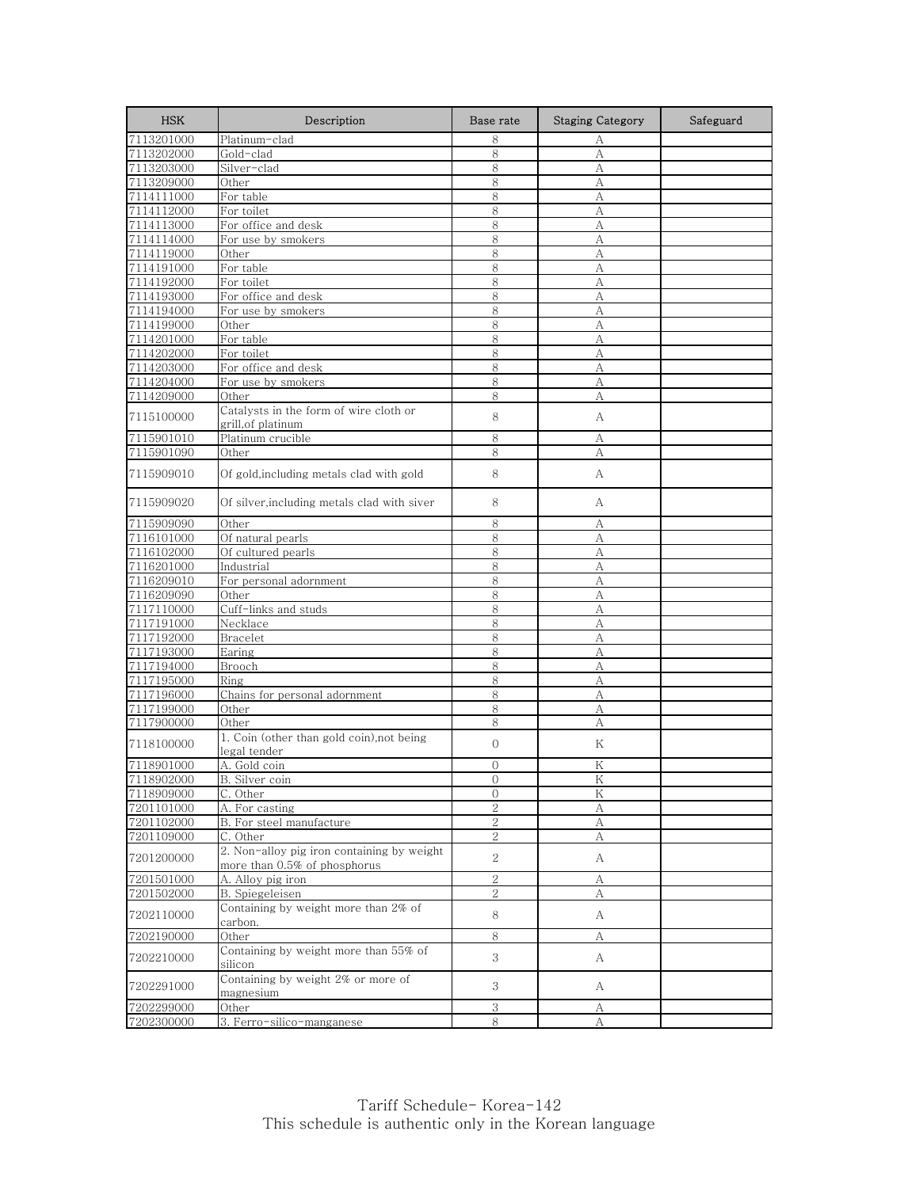| <b>HSK</b>               | Description                                                                | Base rate           | <b>Staging Category</b> | Safeguard |
|--------------------------|----------------------------------------------------------------------------|---------------------|-------------------------|-----------|
| 7113201000               | Platinum-clad                                                              | 8                   | А                       |           |
| 7113202000               | Gold-clad                                                                  | 8                   | A                       |           |
| 7113203000               | Silver-clad                                                                | 8                   | A                       |           |
| 7113209000               | Other                                                                      | 8                   | А                       |           |
| 7114111000               | For table                                                                  | 8                   | А                       |           |
| 7114112000               | For toilet                                                                 | 8                   | А                       |           |
| 7114113000               | For office and desk                                                        | 8                   | А                       |           |
| 7114114000               | For use by smokers                                                         | 8                   | А                       |           |
| 7114119000               | Other                                                                      | 8                   | А                       |           |
| 7114191000               | For table                                                                  | 8                   | A                       |           |
| 7114192000               | For toilet                                                                 | 8                   | А                       |           |
| 7114193000               | For office and desk<br>For use by smokers                                  | 8<br>8              | А                       |           |
| 7114194000               |                                                                            | 8                   | A                       |           |
| 7114199000<br>7114201000 | Other<br>For table                                                         | 8                   | A<br>А                  |           |
| 7114202000               | For toilet                                                                 | 8                   | А                       |           |
| 7114203000               | For office and desk                                                        | 8                   | А                       |           |
| 7114204000               | For use by smokers                                                         | 8                   | А                       |           |
| 7114209000               | Other                                                                      | 8                   | А                       |           |
|                          | Catalysts in the form of wire cloth or                                     |                     |                         |           |
| 7115100000               | grill, of platinum                                                         | 8                   | А                       |           |
| 7115901010               | Platinum crucible                                                          | 8                   | A                       |           |
| 7115901090               | Other                                                                      | 8                   | А                       |           |
|                          |                                                                            |                     |                         |           |
| 7115909010               | Of gold, including metals clad with gold                                   | 8                   | А                       |           |
| 7115909020               | Of silver, including metals clad with siver                                | 8                   | А                       |           |
| 7115909090               | Other                                                                      | 8                   | А                       |           |
| 7116101000               | Of natural pearls                                                          | 8                   | А                       |           |
| 7116102000               | Of cultured pearls                                                         | 8                   | А                       |           |
| 7116201000               | Industrial                                                                 | 8                   | А                       |           |
| 7116209010               | For personal adornment                                                     | 8                   | A                       |           |
| 7116209090               | Other                                                                      | 8                   | А                       |           |
| 7117110000               | Cuff-links and studs                                                       | 8                   | А                       |           |
| 7117191000               | Necklace                                                                   | 8                   | A                       |           |
| 7117192000               | Bracelet                                                                   | 8                   | А                       |           |
| 7117193000               | Earing                                                                     | 8                   | A                       |           |
| 7117194000               | Brooch                                                                     | 8                   | А                       |           |
| 7117195000               | Ring                                                                       | 8                   | А                       |           |
| 7117196000               | Chains for personal adornment                                              | 8                   | А                       |           |
| 7117199000               | Other                                                                      | 8                   | А                       |           |
| 7117900000               | Other                                                                      | 8                   | А                       |           |
| 7118100000               | 1. Coin (other than gold coin), not being<br>legal tender                  | $\mathbf{0}$        | Κ                       |           |
| 7118901000               | A. Gold coin                                                               | $\mathbf 0$         | Κ                       |           |
| 7118902000               | B. Silver coin                                                             | 0                   | K                       |           |
| 7118909000               | C. Other                                                                   | $\mathbf{0}$        | Κ                       |           |
| 7201101000               | A. For casting                                                             | $\overline{2}$      | А                       |           |
| 7201102000               | B. For steel manufacture                                                   | $\overline{2}$      | А                       |           |
| 7201109000               | C. Other                                                                   | $\overline{2}$      | А                       |           |
| 7201200000               | 2. Non-alloy pig iron containing by weight<br>more than 0.5% of phosphorus | $\overline{2}$      | A                       |           |
| 7201501000               | A. Alloy pig iron                                                          | $\overline{2}$      | А                       |           |
| 7201502000<br>7202110000 | B. Spiegeleisen<br>Containing by weight more than 2% of                    | $\overline{2}$<br>8 | А<br>A                  |           |
|                          | carbon.                                                                    |                     |                         |           |
| 7202190000               | Other                                                                      | 8                   | А                       |           |
| 7202210000               | Containing by weight more than 55% of<br>silicon                           | 3                   | A                       |           |
| 7202291000               | Containing by weight 2% or more of<br>magnesium                            | 3                   | A                       |           |
| 7202299000               | Other                                                                      | 3                   | А                       |           |
| 7202300000               | 3. Ferro-silico-manganese                                                  | 8                   | А                       |           |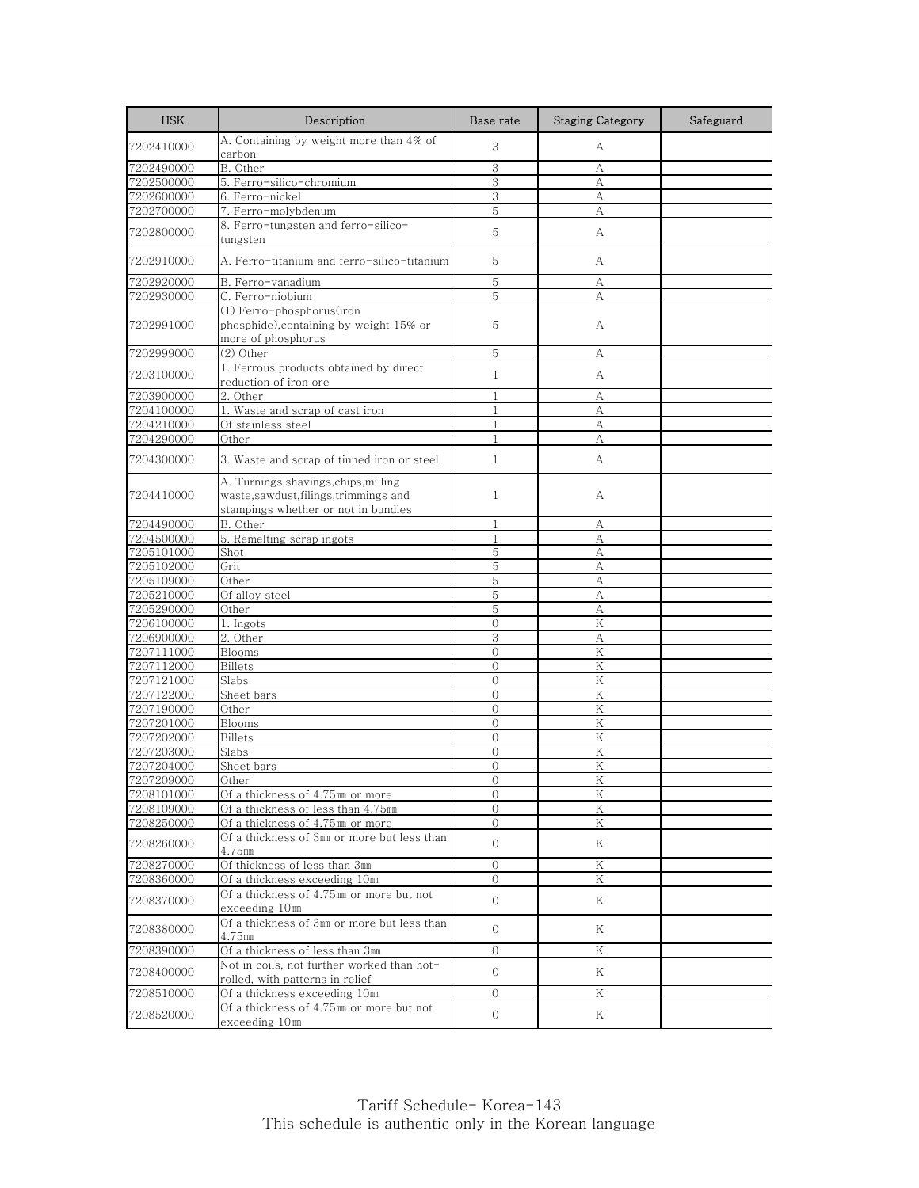| <b>HSK</b>               | Description                                                                                                            | Base rate                      | <b>Staging Category</b> | Safeguard |
|--------------------------|------------------------------------------------------------------------------------------------------------------------|--------------------------------|-------------------------|-----------|
| 7202410000               | A. Containing by weight more than 4% of<br>carbon                                                                      | 3                              | А                       |           |
| 7202490000               | B. Other                                                                                                               | 3                              | А                       |           |
| 7202500000               | 5. Ferro-silico-chromium                                                                                               | 3                              | А                       |           |
| 7202600000               | 6. Ferro-nickel                                                                                                        | 3                              | А                       |           |
| 7202700000               | 7. Ferro-molybdenum                                                                                                    | 5                              | А                       |           |
| 7202800000               | 8. Ferro-tungsten and ferro-silico-<br>tungsten                                                                        | 5                              | А                       |           |
| 7202910000               | A. Ferro-titanium and ferro-silico-titanium                                                                            | 5                              | A                       |           |
| 7202920000               | B. Ferro-vanadium                                                                                                      | 5                              | А                       |           |
| 7202930000               | C. Ferro-niobium                                                                                                       | 5                              | А                       |           |
| 7202991000               | (1) Ferro-phosphorus(iron<br>phosphide), containing by weight 15% or<br>more of phosphorus                             | 5                              | А                       |           |
| 7202999000               | $(2)$ Other                                                                                                            | 5                              | А                       |           |
| 7203100000               | 1. Ferrous products obtained by direct<br>reduction of iron ore                                                        | $\mathbf{1}$                   | А                       |           |
| 7203900000               | 2. Other                                                                                                               | $\mathbf{1}$                   | А                       |           |
| 7204100000               | 1. Waste and scrap of cast iron                                                                                        | 1                              | A                       |           |
| 7204210000               | Of stainless steel                                                                                                     | $\mathbf{1}$                   | А                       |           |
| 7204290000               | Other                                                                                                                  | 1                              | А                       |           |
| 7204300000               | 3. Waste and scrap of tinned iron or steel                                                                             | $\mathbf{1}$                   | А                       |           |
| 7204410000               | A. Turnings, shavings, chips, milling<br>waste, sawdust, filings, trimmings and<br>stampings whether or not in bundles | $\mathbf{1}$                   | A                       |           |
| 7204490000               | B. Other                                                                                                               | $\mathbf{1}$                   | А                       |           |
| 7204500000               | 5. Remelting scrap ingots                                                                                              | 1                              | А                       |           |
| 7205101000               | Shot                                                                                                                   | 5                              | А                       |           |
| 7205102000               | Grit                                                                                                                   | 5                              | А                       |           |
| 7205109000               | Other                                                                                                                  | 5                              | A                       |           |
| 7205210000               | Of alloy steel                                                                                                         | 5                              | А                       |           |
| 7205290000               | Other                                                                                                                  | 5                              | А                       |           |
| 7206100000               | 1. Ingots                                                                                                              | $\Omega$                       | K                       |           |
| 7206900000               | 2. Other                                                                                                               | 3                              | А                       |           |
| 7207111000               | Blooms                                                                                                                 | $\overline{0}$                 | K                       |           |
| 7207112000               | <b>Billets</b>                                                                                                         | $\overline{0}$                 | K                       |           |
| 7207121000               | Slabs                                                                                                                  | $\Omega$                       | Κ                       |           |
| 7207122000               | Sheet bars                                                                                                             | $\Omega$                       | K                       |           |
| 7207190000               | Other                                                                                                                  | $\mathbf{0}$                   | Κ                       |           |
| 7207201000               | Blooms                                                                                                                 | $\overline{0}$                 | K                       |           |
| 7207202000               | <b>Billets</b>                                                                                                         | $\mathbf{0}$                   | Κ                       |           |
| 7207203000               | Slabs                                                                                                                  | $\overline{0}$                 | K                       |           |
| 7207204000               | Sheet bars                                                                                                             | $\Omega$                       | Κ                       |           |
| 7207209000               | Other                                                                                                                  | U                              | K                       |           |
| 7208101000               | Of a thickness of 4.75mm or more                                                                                       | $\Omega$                       | Κ                       |           |
| 7208109000               | Of a thickness of less than 4.75mm                                                                                     | $\mathbf{0}$                   | Κ                       |           |
| 7208250000<br>7208260000 | Of a thickness of 4.75mm or more<br>Of a thickness of 3mm or more but less than<br>4.75mm                              | $\mathbf{0}$<br>$\overline{0}$ | $\rm K$<br>Κ            |           |
| 7208270000               | Of thickness of less than 3mm                                                                                          | $\mathbf{O}$                   | Κ                       |           |
| 7208360000               | Of a thickness exceeding 10mm                                                                                          | $\overline{0}$                 | Κ                       |           |
| 7208370000               | Of a thickness of 4.75mm or more but not<br>exceeding 10mm                                                             | $\overline{0}$                 | Κ                       |           |
| 7208380000               | Of a thickness of 3mm or more but less than<br>$4.75$ mm                                                               | $\Omega$                       | K                       |           |
| 7208390000               | Of a thickness of less than 3mm                                                                                        | $\mathbf{0}$                   | Κ                       |           |
| 7208400000               | Not in coils, not further worked than hot-<br>rolled, with patterns in relief                                          | $\overline{0}$                 | Κ                       |           |
| 7208510000               | Of a thickness exceeding 10mm                                                                                          | $\mathbf{O}$                   | Κ                       |           |
| 7208520000               | Of a thickness of 4.75mm or more but not<br>exceeding 10mm                                                             | 0                              | Κ                       |           |
|                          |                                                                                                                        |                                |                         |           |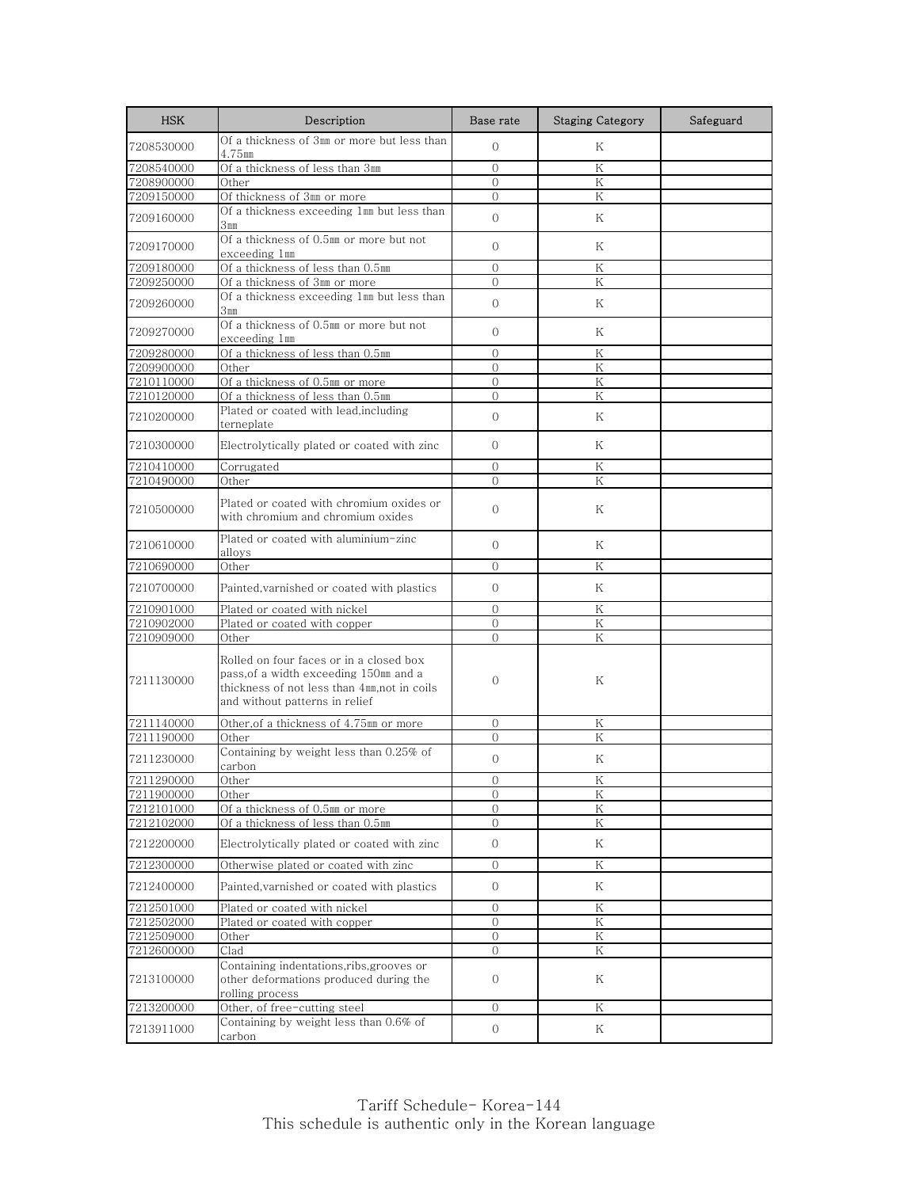| <b>HSK</b>               | Description                                                                                                                                                         | Base rate                      | <b>Staging Category</b> | Safeguard |
|--------------------------|---------------------------------------------------------------------------------------------------------------------------------------------------------------------|--------------------------------|-------------------------|-----------|
| 7208530000               | Of a thickness of 3mm or more but less than<br>4.75mm                                                                                                               | $\mathbf{0}$                   | Κ                       |           |
| 7208540000               | Of a thickness of less than 3mm                                                                                                                                     | $\mathbf{0}$                   | Κ                       |           |
| 7208900000               | Other                                                                                                                                                               | $\Omega$                       | K                       |           |
| 7209150000               | Of thickness of 3mm or more                                                                                                                                         | $\mathbf{0}$                   | Κ                       |           |
| 7209160000               | Of a thickness exceeding 1mm but less than<br>$3 \, \mathrm{mm}$                                                                                                    | $\overline{0}$                 | Κ                       |           |
| 7209170000               | Of a thickness of 0.5mm or more but not<br>exceeding 1mm                                                                                                            | $\Omega$                       | Κ                       |           |
| 7209180000               | Of a thickness of less than 0.5mm                                                                                                                                   | $\Omega$                       | Κ                       |           |
| 7209250000               | Of a thickness of 3mm or more                                                                                                                                       | $\overline{0}$                 | K                       |           |
| 7209260000               | Of a thickness exceeding 1mm but less than<br>3 <sub>mm</sub>                                                                                                       | $\overline{0}$                 | Κ                       |           |
| 7209270000               | Of a thickness of 0.5mm or more but not<br>exceeding 1mm                                                                                                            | $\Omega$                       | Κ                       |           |
| 7209280000               | Of a thickness of less than 0.5mm                                                                                                                                   | $\overline{0}$                 | K                       |           |
| 7209900000               | Other                                                                                                                                                               | $\Omega$                       | Κ                       |           |
| 7210110000               | Of a thickness of 0.5mm or more                                                                                                                                     | $\overline{0}$                 | K                       |           |
| 7210120000               | Of a thickness of less than 0.5mm                                                                                                                                   | $\overline{0}$                 | K                       |           |
| 7210200000               | Plated or coated with lead, including<br>terneplate                                                                                                                 | $\Omega$                       | Κ                       |           |
| 7210300000               | Electrolytically plated or coated with zinc                                                                                                                         | $\Omega$                       | K                       |           |
| 7210410000               | Corrugated                                                                                                                                                          | $\Omega$                       | Κ                       |           |
| 7210490000               | Other                                                                                                                                                               | $\Omega$                       | K                       |           |
| 7210500000               | Plated or coated with chromium oxides or<br>with chromium and chromium oxides                                                                                       | $\Omega$                       | Κ                       |           |
| 7210610000               | Plated or coated with aluminium-zinc<br>alloys                                                                                                                      | $\mathbf{0}$                   | Κ                       |           |
| 7210690000               | Other                                                                                                                                                               | $\mathbf{0}$                   | Κ                       |           |
| 7210700000               | Painted, varnished or coated with plastics                                                                                                                          | $\Omega$                       | K                       |           |
| 7210901000               | Plated or coated with nickel                                                                                                                                        | $\overline{0}$                 | Κ                       |           |
| 7210902000               | Plated or coated with copper                                                                                                                                        | $\overline{0}$                 | Κ                       |           |
| 7210909000               | Other                                                                                                                                                               | $\Omega$                       | Κ                       |           |
| 7211130000               | Rolled on four faces or in a closed box<br>pass, of a width exceeding 150mm and a<br>thickness of not less than 4mm, not in coils<br>and without patterns in relief | $\mathbf{0}$                   | Κ                       |           |
| 7211140000               | Other, of a thickness of 4.75mm or more                                                                                                                             | $\mathbf{0}$                   | Κ                       |           |
| 7211190000               | Other                                                                                                                                                               | $\mathbf{0}$                   | Κ                       |           |
| 7211230000               | Containing by weight less than 0.25% of<br>carbon                                                                                                                   | $\mathbf{0}$                   | Κ                       |           |
| 7211290000               | Uther                                                                                                                                                               | U                              | K                       |           |
| 7211900000               | Other                                                                                                                                                               | $\Omega$                       | Κ                       |           |
| 7212101000               | Of a thickness of 0.5mm or more                                                                                                                                     | $\mathbf{0}$                   | Κ                       |           |
| 7212102000<br>7212200000 | Of a thickness of less than 0.5mm<br>Electrolytically plated or coated with zinc                                                                                    | $\mathbf{0}$<br>$\mathbf{0}$   | $\rm K$<br>Κ            |           |
|                          |                                                                                                                                                                     |                                |                         |           |
| 7212300000<br>7212400000 | Otherwise plated or coated with zinc<br>Painted, varnished or coated with plastics                                                                                  | $\mathbf{0}$<br>$\mathbf{0}$   | Κ<br>Κ                  |           |
|                          |                                                                                                                                                                     |                                |                         |           |
| 7212501000               | Plated or coated with nickel                                                                                                                                        | $\mathbf{0}$                   | Κ                       |           |
| 7212502000<br>7212509000 | Plated or coated with copper<br>Other                                                                                                                               | $\mathbf{O}$<br>$\overline{0}$ | K<br>Κ                  |           |
| 7212600000               | Clad                                                                                                                                                                | $\mathbf{0}$                   | Κ                       |           |
| 7213100000               | Containing indentations, ribs, grooves or<br>other deformations produced during the<br>rolling process                                                              | $\mathbf{0}$                   | Κ                       |           |
| 7213200000               | Other, of free-cutting steel                                                                                                                                        | $\mathbf{0}$                   | Κ                       |           |
| 7213911000               | Containing by weight less than 0.6% of<br>carbon                                                                                                                    | 0                              | Κ                       |           |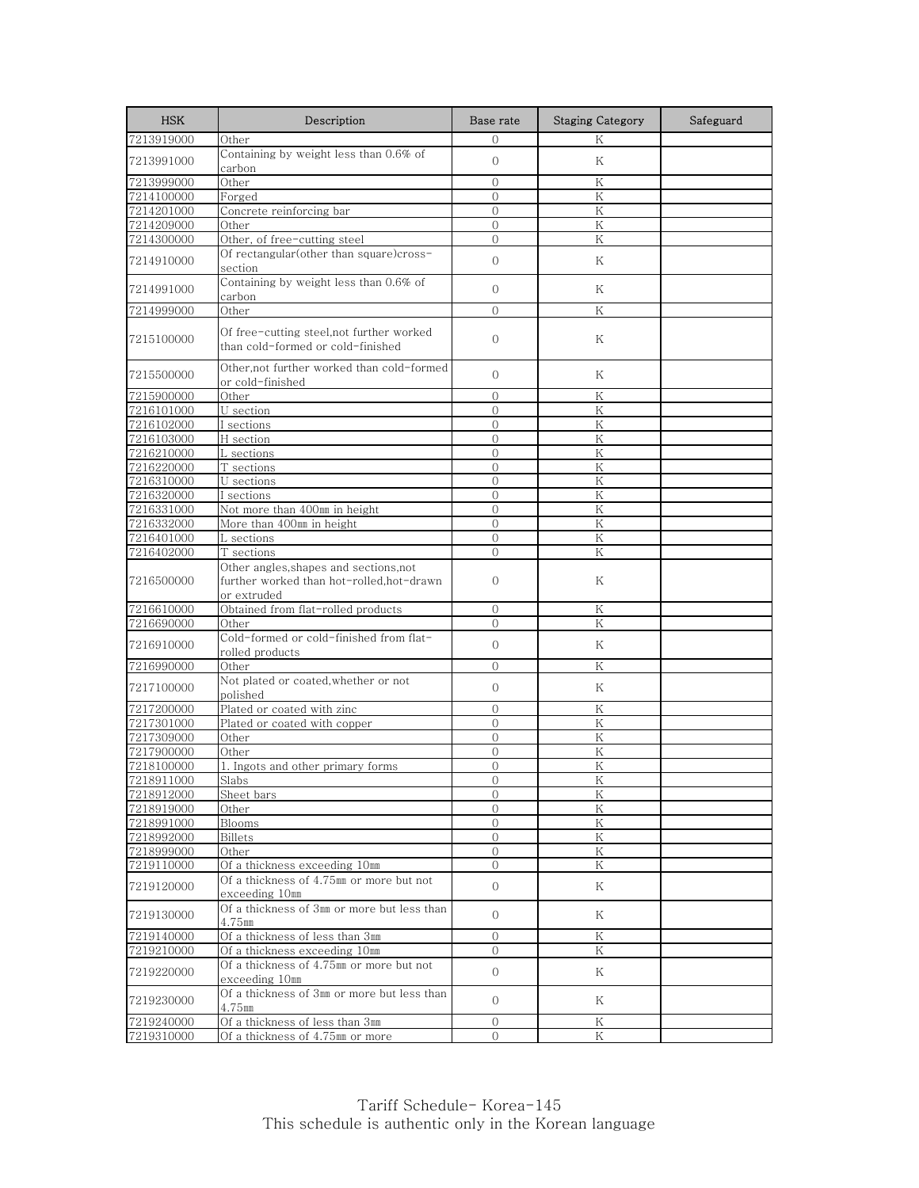| <b>HSK</b> | Description                                                                                       | Base rate      | <b>Staging Category</b> | Safeguard |
|------------|---------------------------------------------------------------------------------------------------|----------------|-------------------------|-----------|
| 7213919000 | Other                                                                                             | $\Omega$       | K                       |           |
| 7213991000 | Containing by weight less than 0.6% of<br>carbon                                                  | $\mathbf{O}$   | Κ                       |           |
| 7213999000 | Other                                                                                             | $\Omega$       | Κ                       |           |
| 7214100000 | Forged                                                                                            | $\mathbf{0}$   | Κ                       |           |
| 7214201000 | Concrete reinforcing bar                                                                          | $\mathbf{0}$   | K                       |           |
| 7214209000 | Other                                                                                             | $\Omega$       | K                       |           |
| 7214300000 | Other, of free-cutting steel                                                                      | $\overline{0}$ | Κ                       |           |
| 7214910000 | Of rectangular(other than square)cross-<br>section                                                | $\overline{0}$ | Κ                       |           |
| 7214991000 | Containing by weight less than 0.6% of<br>carbon                                                  | $\mathbf{O}$   | Κ                       |           |
| 7214999000 | Other                                                                                             | $\Omega$       | K                       |           |
| 7215100000 | Of free-cutting steel,not further worked<br>than cold-formed or cold-finished                     | $\mathbf{O}$   | Κ                       |           |
| 7215500000 | Other,not further worked than cold-formed<br>or cold-finished                                     | $\overline{0}$ | Κ                       |           |
| 7215900000 | Other                                                                                             | $\mathbf{0}$   | Κ                       |           |
| 7216101000 | U section                                                                                         | $\Omega$       | K                       |           |
| 7216102000 | I sections                                                                                        | $\mathbf{0}$   | Κ                       |           |
| 7216103000 | H section                                                                                         | 0              | Κ                       |           |
| 7216210000 | L sections                                                                                        | $\Omega$       | K                       |           |
| 7216220000 | T sections                                                                                        | $\mathbf{0}$   | Κ                       |           |
| 7216310000 | U sections                                                                                        | $\Omega$       | K                       |           |
| 7216320000 | I sections                                                                                        | $\Omega$       | Κ                       |           |
| 7216331000 | Not more than 400mm in height                                                                     | $\overline{0}$ | Κ                       |           |
| 7216332000 | More than 400mm in height                                                                         | $\overline{0}$ | K                       |           |
| 7216401000 | L sections                                                                                        | $\mathbf{0}$   | K                       |           |
| 7216402000 | T sections                                                                                        | $\Omega$       | K                       |           |
| 7216500000 | Other angles, shapes and sections, not<br>further worked than hot-rolled,hot-drawn<br>or extruded | $\Omega$       | Κ                       |           |
| 7216610000 | Obtained from flat-rolled products                                                                | $\mathcal{O}$  | Κ                       |           |
| 7216690000 | Other                                                                                             | $\Omega$       | K                       |           |
| 7216910000 | Cold-formed or cold-finished from flat-<br>rolled products                                        | $\mathbf{O}$   | Κ                       |           |
| 7216990000 | Other                                                                                             | $\Omega$       | Κ                       |           |
| 7217100000 | Not plated or coated, whether or not<br>polished                                                  | $\mathbf{O}$   | Κ                       |           |
| 7217200000 | Plated or coated with zinc                                                                        | $\mathbf{O}$   | Κ                       |           |
| 7217301000 | Plated or coated with copper                                                                      | $\mathbf{0}$   | K                       |           |
| 7217309000 | Other                                                                                             | $\mathbf{0}$   | Κ                       |           |
| 7217900000 | Other                                                                                             | $\overline{0}$ | K                       |           |
| 7218100000 | 1. Ingots and other primary forms                                                                 | $\overline{O}$ | K                       |           |
| 7218911000 | Slabs                                                                                             | U              | Κ                       |           |
| 7218912000 | Sheet bars                                                                                        | $\mathcal{O}$  | Κ                       |           |
| 7218919000 | Other                                                                                             | $\mathbf{0}$   | Κ                       |           |
| 7218991000 | <b>Blooms</b>                                                                                     | 0              | K                       |           |
| 7218992000 | <b>Billets</b>                                                                                    | $\mathbf{O}$   | Κ                       |           |
| 7218999000 | Other                                                                                             | $\mathbf{O}$   | K                       |           |
| 7219110000 | Of a thickness exceeding 10mm                                                                     | $\mathcal{O}$  | Κ                       |           |
| 7219120000 | Of a thickness of 4.75mm or more but not<br>exceeding 10mm                                        | $\overline{0}$ | Κ                       |           |
| 7219130000 | Of a thickness of 3mm or more but less than<br>4.75mm                                             | $\overline{0}$ | Κ                       |           |
| 7219140000 | Of a thickness of less than 3mm                                                                   | $\mathbf{0}$   | $\rm K$                 |           |
| 7219210000 | Of a thickness exceeding 10mm                                                                     | $\mathcal{O}$  | Κ                       |           |
| 7219220000 | Of a thickness of 4.75mm or more but not<br>exceeding 10mm                                        | $\overline{O}$ | Κ                       |           |
| 7219230000 | Of a thickness of 3mm or more but less than<br>$4.75$ mm                                          | $\overline{0}$ | Κ                       |           |
| 7219240000 | Of a thickness of less than 3mm                                                                   | $\mathbf{0}$   | Κ                       |           |
| 7219310000 | Of a thickness of 4.75mm or more                                                                  | $\overline{0}$ | Κ                       |           |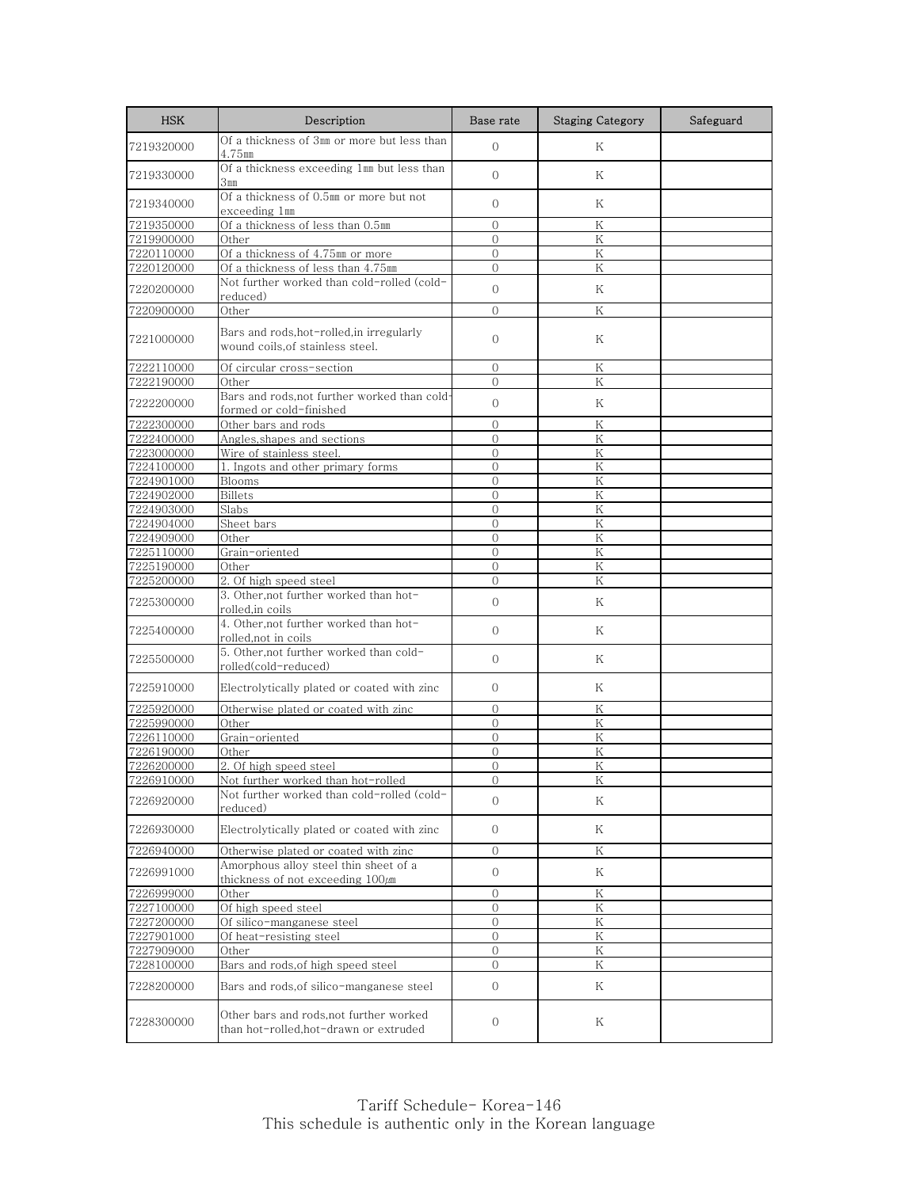| <b>HSK</b> | Description                                                                       | Base rate        | <b>Staging Category</b> | Safeguard |
|------------|-----------------------------------------------------------------------------------|------------------|-------------------------|-----------|
| 7219320000 | Of a thickness of 3mm or more but less than<br>4.75mm                             | $\overline{0}$   | K                       |           |
| 7219330000 | Of a thickness exceeding 1mm but less than<br>3 <sub>mm</sub>                     | $\Omega$         | K                       |           |
| 7219340000 | Of a thickness of 0.5mm or more but not<br>exceeding 1mm                          | $\mathbf{O}$     | Κ                       |           |
| 7219350000 | Of a thickness of less than 0.5mm                                                 | $\Omega$         | Κ                       |           |
| 7219900000 | Other                                                                             | $\Omega$         | K                       |           |
| 7220110000 | Of a thickness of 4.75mm or more                                                  | $\overline{0}$   | Κ                       |           |
| 7220120000 | Of a thickness of less than 4.75mm                                                | $\overline{0}$   | Κ                       |           |
| 7220200000 | Not further worked than cold-rolled (cold-<br>reduced)                            | $\mathbf{O}$     | Κ                       |           |
| 7220900000 | Other                                                                             | $\Omega$         | K                       |           |
| 7221000000 | Bars and rods,hot-rolled,in irregularly<br>wound coils, of stainless steel.       | $\mathbf{O}$     | Κ                       |           |
| 7222110000 | Of circular cross-section                                                         | $\mathbf{0}$     | Κ                       |           |
| 7222190000 | Other                                                                             | $\mathbf{0}$     | K                       |           |
| 7222200000 | Bars and rods,not further worked than cold-<br>formed or cold-finished            | $\Omega$         | K                       |           |
| 7222300000 | Other bars and rods                                                               | $\mathbf{0}$     | Κ                       |           |
| 7222400000 | Angles, shapes and sections                                                       | $\mathbf{0}$     | Κ                       |           |
| 7223000000 | Wire of stainless steel.                                                          | $\mathbf{0}$     | $\rm K$                 |           |
| 7224100000 | 1. Ingots and other primary forms                                                 | $\mathbf{0}$     | Κ                       |           |
| 7224901000 | Blooms                                                                            | $\Omega$         | K                       |           |
| 7224902000 | <b>Billets</b>                                                                    | $\Omega$         | Κ                       |           |
| 7224903000 | Slabs                                                                             | $\overline{0}$   | K                       |           |
| 7224904000 | Sheet bars                                                                        | $\overline{0}$   | ${\rm K}$               |           |
| 7224909000 | Other                                                                             | $\mathbf{0}$     | K                       |           |
| 7225110000 | Grain-oriented                                                                    | $\overline{0}$   | K                       |           |
| 7225190000 | Other                                                                             | $\overline{0}$   | Κ                       |           |
| 7225200000 | 2. Of high speed steel                                                            | $\overline{0}$   | K                       |           |
| 7225300000 | 3. Other, not further worked than hot-<br>rolled,in coils                         | $\overline{0}$   | Κ                       |           |
| 7225400000 | 4. Other, not further worked than hot-<br>rolled,not in coils                     | $\overline{0}$   | Κ                       |           |
| 7225500000 | 5. Other, not further worked than cold-<br>rolled(cold-reduced)                   | $\mathbf{O}$     | Κ                       |           |
| 7225910000 | Electrolytically plated or coated with zinc                                       | $\mathbf{0}$     | Κ                       |           |
| 7225920000 | Otherwise plated or coated with zinc                                              | $\mathbf{0}$     | Κ                       |           |
| 7225990000 | Other                                                                             | $\overline{0}$   | K                       |           |
| 7226110000 | Grain-oriented                                                                    | $\mathbf{0}$     | Κ                       |           |
| 7226190000 | Other                                                                             | $\Omega$         | K                       |           |
| 7226200000 | 2. Of high speed steel                                                            | $\bigcap$        | K                       |           |
| 7226910000 | <u>Not further worked than hot-rolled</u>                                         | U                | Κ                       |           |
| 7226920000 | Not further worked than cold-rolled (cold-<br>reduced)                            | $\Omega$         | Κ                       |           |
| 7226930000 | Electrolytically plated or coated with zinc                                       | $\overline{0}$   | Κ                       |           |
| 7226940000 | Otherwise plated or coated with zinc                                              | $\mathbf{0}$     | K                       |           |
| 7226991000 | Amorphous alloy steel thin sheet of a<br>thickness of not exceeding 100µm         | $\mathbf{O}$     | Κ                       |           |
| 7226999000 | Other                                                                             | $\mathbf{0}$     | Κ                       |           |
| 7227100000 | Of high speed steel                                                               | 0                | Κ                       |           |
| 7227200000 | Of silico-manganese steel                                                         | $\mathbf{0}$     | Κ                       |           |
| 7227901000 | Of heat-resisting steel                                                           | $\Omega$         | Κ                       |           |
| 7227909000 | Other                                                                             | $\overline{0}$   | Κ                       |           |
| 7228100000 | Bars and rods, of high speed steel                                                | $\overline{0}$   | Κ                       |           |
| 7228200000 | Bars and rods, of silico-manganese steel                                          | $\boldsymbol{0}$ | Κ                       |           |
| 7228300000 | Other bars and rods, not further worked<br>than hot-rolled, hot-drawn or extruded | $\mathbf{0}$     | Κ                       |           |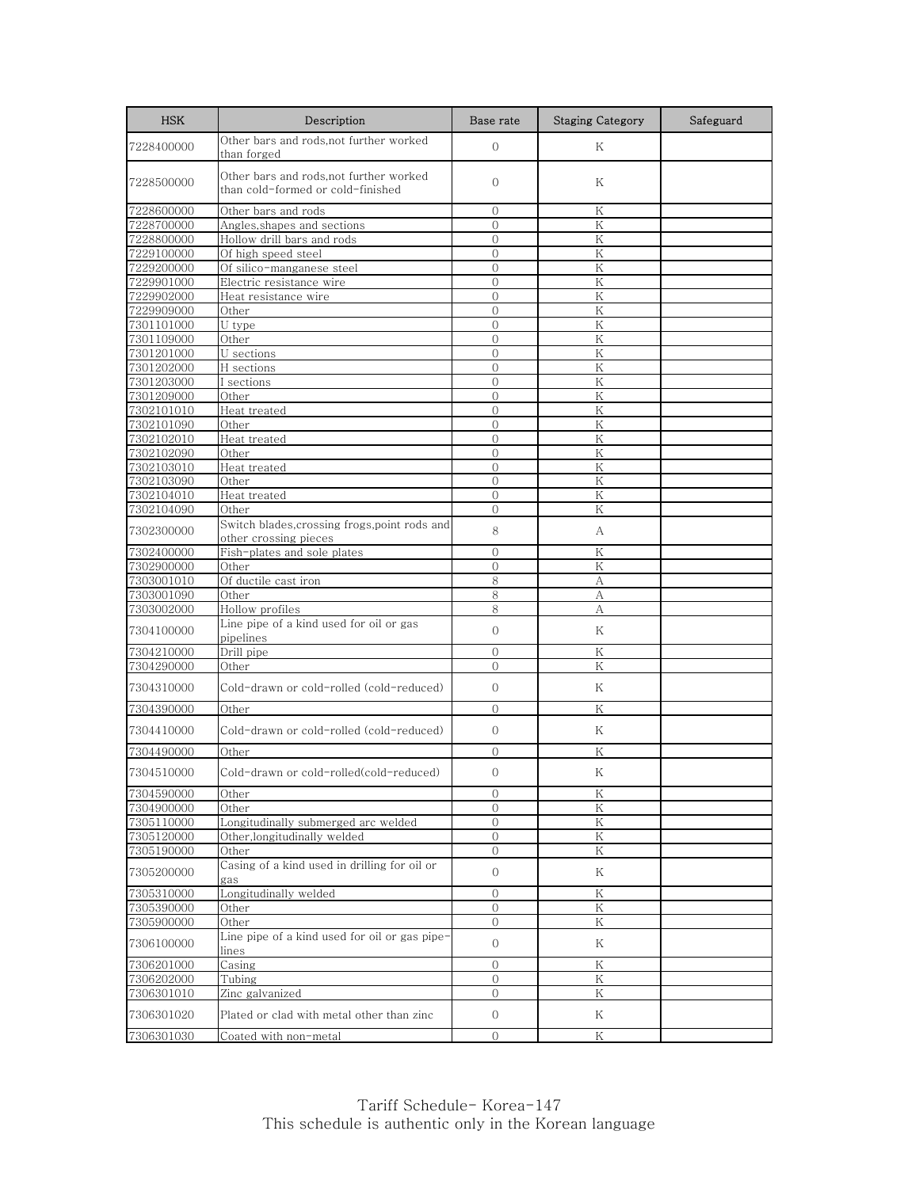| <b>HSK</b>               | Description                                                                 | Base rate                      | <b>Staging Category</b> | Safeguard |
|--------------------------|-----------------------------------------------------------------------------|--------------------------------|-------------------------|-----------|
| 7228400000               | Other bars and rods, not further worked<br>than forged                      | $\mathbf{0}$                   | Κ                       |           |
| 7228500000               | Other bars and rods,not further worked<br>than cold-formed or cold-finished | $\mathbf{0}$                   | Κ                       |           |
| 7228600000               | Other bars and rods                                                         | $\mathbf 0$                    | Κ                       |           |
| 7228700000               | Angles, shapes and sections                                                 | $\Omega$                       | K                       |           |
| 7228800000               | Hollow drill bars and rods                                                  | $\overline{O}$                 | K                       |           |
| 7229100000               | Of high speed steel                                                         | $\overline{0}$                 | K                       |           |
| 7229200000<br>7229901000 | Of silico-manganese steel<br>Electric resistance wire                       | $\mathbf{0}$<br>$\Omega$       | K<br>K                  |           |
| 7229902000               | Heat resistance wire                                                        | $\mathbf{0}$                   | Κ                       |           |
| 7229909000               | Other                                                                       | $\overline{0}$                 | K                       |           |
| 7301101000               | U type                                                                      | $\Omega$                       | Κ                       |           |
| 7301109000               | Other                                                                       | $\Omega$                       | Κ                       |           |
| 7301201000               | U sections                                                                  | $\Omega$                       | K                       |           |
| 7301202000               | H sections                                                                  | $\mathbf{0}$                   | Κ                       |           |
| 7301203000               | I sections                                                                  | $\overline{0}$                 | K                       |           |
| 7301209000               | Other                                                                       | $\mathbf{0}$                   | Κ                       |           |
| 7302101010               | Heat treated<br>Other                                                       | $\Omega$<br>$\Omega$           | $\rm K$<br>Κ            |           |
| 7302101090<br>7302102010 | Heat treated                                                                | $\mathbf{0}$                   | Κ                       |           |
| 7302102090               | Other                                                                       | $\mathbf{0}$                   | K                       |           |
| 7302103010               | Heat treated                                                                | $\mathbf{0}$                   | Κ                       |           |
| 7302103090               | Other                                                                       | $\mathbf{0}$                   | Κ                       |           |
| 7302104010               | Heat treated                                                                | $\mathbf{0}$                   | Κ                       |           |
| 7302104090               | Other                                                                       | $\overline{0}$                 | K                       |           |
| 7302300000               | Switch blades,crossing frogs,point rods and<br>other crossing pieces        | 8                              | А                       |           |
| 7302400000               | Fish-plates and sole plates                                                 | $\Omega$                       | K                       |           |
| 7302900000               | Other                                                                       | $\mathbf{0}$                   | Κ                       |           |
| 7303001010               | Of ductile cast iron                                                        | 8                              | А                       |           |
| 7303001090               | Other                                                                       | 8                              | А                       |           |
| 7303002000               | Hollow profiles                                                             | 8                              | А                       |           |
| 7304100000               | Line pipe of a kind used for oil or gas<br>pipelines                        | $\mathbf{0}$                   | Κ                       |           |
| 7304210000               | Drill pipe                                                                  | $\mathbf{0}$                   | K                       |           |
| 7304290000<br>7304310000 | Other<br>Cold-drawn or cold-rolled (cold-reduced)                           | $\mathbf{0}$<br>$\Omega$       | Κ<br>Κ                  |           |
|                          |                                                                             |                                |                         |           |
| 7304390000               | Other                                                                       | $\mathbf{0}$                   | Κ                       |           |
| 7304410000               | Cold-drawn or cold-rolled (cold-reduced)                                    | $\mathbf{0}$                   | Κ                       |           |
| 7304490000               | Other                                                                       | $\mathbf{0}$                   | Κ                       |           |
| 7304510000               | Cold-drawn or cold-rolled(cold-reduced)                                     | $\Omega$                       | Κ                       |           |
| 7304590000               | Other                                                                       | $\mathbf{0}$                   | Κ                       |           |
| 7304900000               | Other                                                                       | $\mathbf 0$                    | Κ                       |           |
| 7305110000               | Longitudinally submerged arc welded                                         | $\overline{O}$                 | ${\rm K}$               |           |
| 7305120000<br>7305190000 | Other, longitudinally welded<br>Other                                       | $\mathbf{0}$<br>$\mathbf{O}$   | Κ<br>Κ                  |           |
| 7305200000               | Casing of a kind used in drilling for oil or                                | $\mathbf{O}$                   | Κ                       |           |
| 7305310000               | gas<br>Longitudinally welded                                                |                                | K                       |           |
| 7305390000               | Other                                                                       | $\overline{0}$<br>$\mathbf{O}$ | Κ                       |           |
| 7305900000               | Other                                                                       | 0                              | K                       |           |
| 7306100000               | Line pipe of a kind used for oil or gas pipe-<br>lines                      | $\overline{0}$                 | Κ                       |           |
| 7306201000               | Casing                                                                      | $\Omega$                       | Κ                       |           |
| 7306202000               | Tubing                                                                      | 0                              | Κ                       |           |
| 7306301010               | Zinc galvanized                                                             | $\overline{0}$                 | Κ                       |           |
| 7306301020               | Plated or clad with metal other than zinc                                   | $\overline{0}$                 | Κ                       |           |
| 7306301030               | Coated with non-metal                                                       | $\overline{0}$                 | Κ                       |           |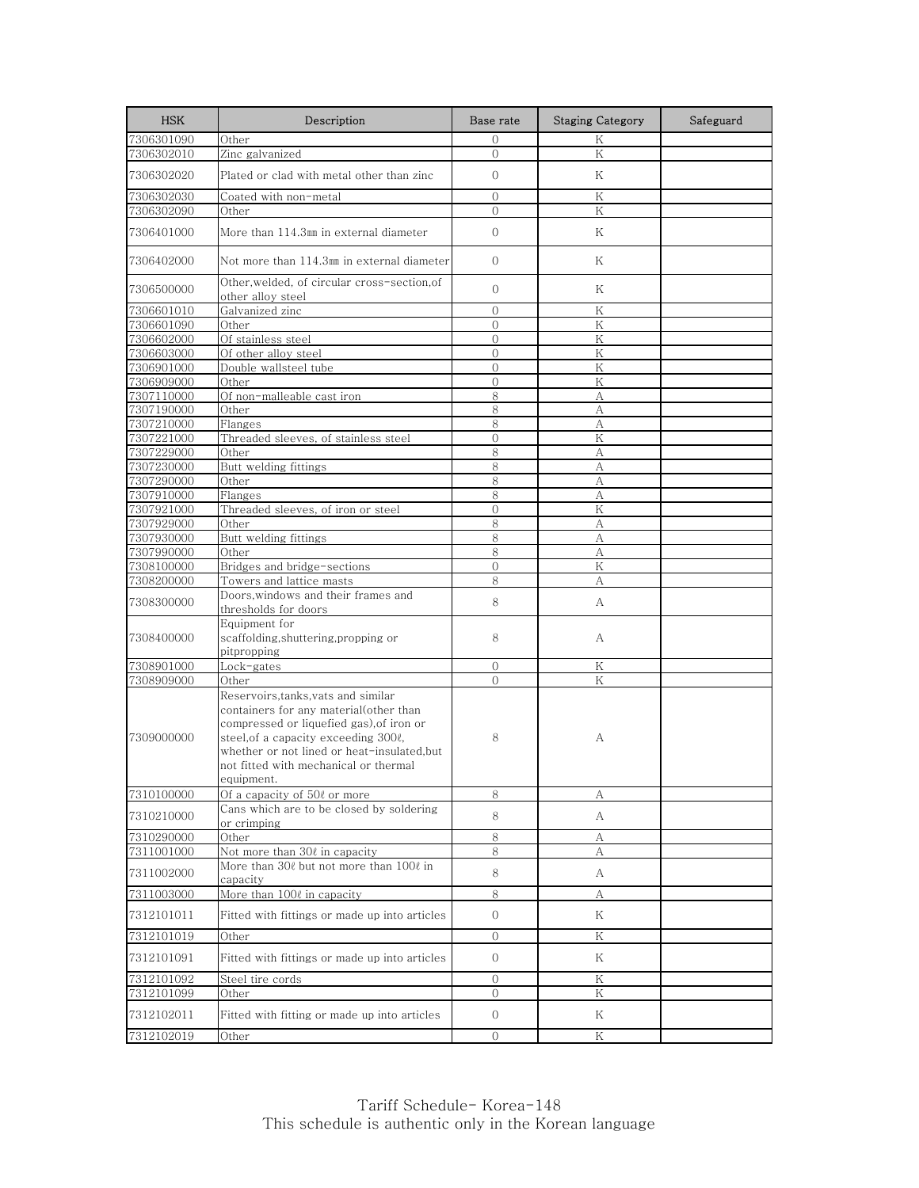| <b>HSK</b>               | Description                                                                                                                                                                                                                                                          | Base rate      | <b>Staging Category</b> | Safeguard |
|--------------------------|----------------------------------------------------------------------------------------------------------------------------------------------------------------------------------------------------------------------------------------------------------------------|----------------|-------------------------|-----------|
| 7306301090               | Other                                                                                                                                                                                                                                                                | $\Omega$       | K                       |           |
| 7306302010               | Zinc galvanized                                                                                                                                                                                                                                                      | $\Omega$       | K                       |           |
| 7306302020               | Plated or clad with metal other than zinc                                                                                                                                                                                                                            | $\Omega$       | K                       |           |
| 7306302030               | Coated with non-metal                                                                                                                                                                                                                                                | $\Omega$       | Κ                       |           |
| 7306302090               | Other                                                                                                                                                                                                                                                                | $\Omega$       | Κ                       |           |
| 7306401000               | More than 114.3㎜ in external diameter                                                                                                                                                                                                                                | $\Omega$       | Κ                       |           |
| 7306402000               | Not more than 114.3㎜ in external diameter                                                                                                                                                                                                                            | $\overline{0}$ | Κ                       |           |
| 7306500000               | Other, welded, of circular cross-section, of<br>other alloy steel                                                                                                                                                                                                    | $\Omega$       | Κ                       |           |
| 7306601010               | Galvanized zinc                                                                                                                                                                                                                                                      | $\mathbf{0}$   | Κ                       |           |
| 7306601090               | Other                                                                                                                                                                                                                                                                | $\Omega$       | Κ                       |           |
| 7306602000               | Of stainless steel                                                                                                                                                                                                                                                   | $\Omega$       | K                       |           |
| 7306603000               | Of other alloy steel                                                                                                                                                                                                                                                 | $\Omega$       | Κ                       |           |
| 7306901000               | Double wallsteel tube                                                                                                                                                                                                                                                | $\overline{0}$ | Κ                       |           |
| 7306909000               | Other                                                                                                                                                                                                                                                                | $\Omega$       | K                       |           |
| 7307110000               | Of non-malleable cast iron                                                                                                                                                                                                                                           | 8              | А                       |           |
| 7307190000               | Other                                                                                                                                                                                                                                                                | 8              | А                       |           |
| 7307210000               | Flanges                                                                                                                                                                                                                                                              | 8              | A                       |           |
| 7307221000               | Threaded sleeves, of stainless steel                                                                                                                                                                                                                                 | $\overline{0}$ | Κ                       |           |
| 7307229000               | Other                                                                                                                                                                                                                                                                | 8              | A                       |           |
| 7307230000               | Butt welding fittings                                                                                                                                                                                                                                                | 8              | А                       |           |
| 7307290000               | Other                                                                                                                                                                                                                                                                | 8              | А                       |           |
| 7307910000<br>7307921000 | Flanges<br>Threaded sleeves, of iron or steel                                                                                                                                                                                                                        | 8<br>$\Omega$  | А<br>Κ                  |           |
| 7307929000               | Other                                                                                                                                                                                                                                                                | 8              |                         |           |
| 7307930000               | Butt welding fittings                                                                                                                                                                                                                                                | 8              | А<br>A                  |           |
| 7307990000               | Other                                                                                                                                                                                                                                                                | 8              | А                       |           |
| 7308100000               | Bridges and bridge-sections                                                                                                                                                                                                                                          | $\mathbf{0}$   | Κ                       |           |
| 7308200000               | Towers and lattice masts                                                                                                                                                                                                                                             | 8              | А                       |           |
| 7308300000               | Doors,windows and their frames and<br>thresholds for doors                                                                                                                                                                                                           | 8              | А                       |           |
| 7308400000               | Equipment for<br>scaffolding, shuttering, propping or<br>pitpropping                                                                                                                                                                                                 | 8              | А                       |           |
| 7308901000               | Lock-gates                                                                                                                                                                                                                                                           | $\overline{0}$ | Κ                       |           |
| 7308909000               | Other                                                                                                                                                                                                                                                                | $\Omega$       | K                       |           |
| 7309000000               | Reservoirs,tanks,vats and similar<br>containers for any material(other than<br>compressed or liquefied gas), of iron or<br>steel, of a capacity exceeding 300ℓ,<br>whether or not lined or heat-insulated,but<br>not fitted with mechanical or thermal<br>equipment. | 8              | А                       |           |
| 7310100000               | Of a capacity of 50l or more                                                                                                                                                                                                                                         | 8              | А                       |           |
| 7310210000               | Cans which are to be closed by soldering<br>or crimping                                                                                                                                                                                                              | 8              | A                       |           |
| 7310290000               | Other                                                                                                                                                                                                                                                                | $\,8\,$        | А                       |           |
| 7311001000               | Not more than 30¢ in capacity                                                                                                                                                                                                                                        | 8              | А                       |           |
| 7311002000               | More than 30ℓ but not more than 100ℓ in<br>capacity                                                                                                                                                                                                                  | 8              | А                       |           |
| 7311003000               | More than 100ℓ in capacity                                                                                                                                                                                                                                           | 8              | А                       |           |
| 7312101011               | Fitted with fittings or made up into articles                                                                                                                                                                                                                        | $\overline{0}$ | Κ                       |           |
| 7312101019               | Other                                                                                                                                                                                                                                                                | $\overline{0}$ | Κ                       |           |
| 7312101091               | Fitted with fittings or made up into articles                                                                                                                                                                                                                        | $\overline{0}$ | Κ                       |           |
| 7312101092               | Steel tire cords                                                                                                                                                                                                                                                     | $\mathcal{O}$  | Κ                       |           |
| 7312101099               | Other                                                                                                                                                                                                                                                                | $\mathbf{O}$   | Κ                       |           |
| 7312102011               | Fitted with fitting or made up into articles                                                                                                                                                                                                                         | $\overline{0}$ | Κ                       |           |
| 7312102019               | Other                                                                                                                                                                                                                                                                | $\overline{0}$ | Κ                       |           |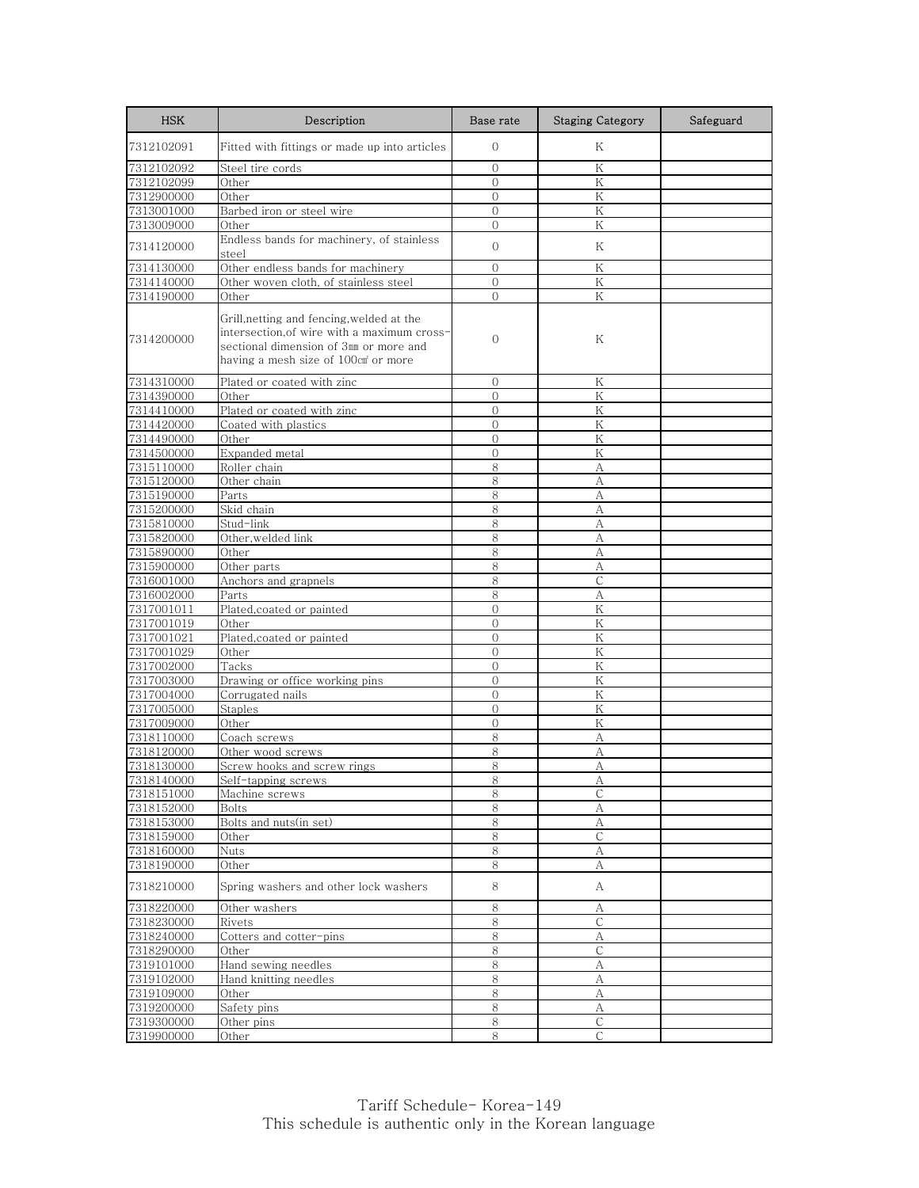| <b>HSK</b>               | Description                                                                                                                                                               | Base rate      | <b>Staging Category</b> | Safeguard |
|--------------------------|---------------------------------------------------------------------------------------------------------------------------------------------------------------------------|----------------|-------------------------|-----------|
| 7312102091               | Fitted with fittings or made up into articles                                                                                                                             | $\mathbf{0}$   | Κ                       |           |
| 7312102092               | Steel tire cords                                                                                                                                                          | $\overline{0}$ | Κ                       |           |
| 7312102099               | Other                                                                                                                                                                     | $\Omega$       | K                       |           |
| 7312900000               | Other                                                                                                                                                                     | $\mathbf{0}$   | Κ                       |           |
| 7313001000               | Barbed iron or steel wire                                                                                                                                                 | $\mathbf{0}$   | Κ                       |           |
| 7313009000               | Other                                                                                                                                                                     | $\Omega$       | K                       |           |
| 7314120000               | Endless bands for machinery, of stainless<br>steel                                                                                                                        | $\mathbf{O}$   | Κ                       |           |
| 7314130000               | Other endless bands for machinery                                                                                                                                         | $\Omega$       | Κ                       |           |
| 7314140000               | Other woven cloth, of stainless steel                                                                                                                                     | $\overline{0}$ | Κ                       |           |
| 7314190000               | Other                                                                                                                                                                     | $\mathbf{O}$   | Κ                       |           |
| 7314200000               | Grill, netting and fencing, welded at the<br>intersection, of wire with a maximum cross-<br>sectional dimension of 3mm or more and<br>having a mesh size of 100cm or more | $\mathbf{O}$   | Κ                       |           |
| 7314310000               | Plated or coated with zinc                                                                                                                                                | 0              | Κ                       |           |
| 7314390000               | Other                                                                                                                                                                     | $\Omega$       | K                       |           |
| 7314410000               | Plated or coated with zinc                                                                                                                                                | $\Omega$       | Κ                       |           |
| 7314420000               | Coated with plastics                                                                                                                                                      | $\mathbf{0}$   | Κ                       |           |
| 7314490000               | Other                                                                                                                                                                     | $\mathbf{O}$   | K                       |           |
| 7314500000               | Expanded metal                                                                                                                                                            | $\overline{O}$ | K                       |           |
| 7315110000               | Roller chain                                                                                                                                                              | 8              | А                       |           |
| 7315120000               | Other chain                                                                                                                                                               | 8              | А                       |           |
| 7315190000               | Parts                                                                                                                                                                     | 8              | А                       |           |
| 7315200000               | Skid chain                                                                                                                                                                | 8              | А                       |           |
| 7315810000               | Stud-link                                                                                                                                                                 | 8              | А                       |           |
| 7315820000               | Other, welded link                                                                                                                                                        | 8              | А                       |           |
| 7315890000               | Other                                                                                                                                                                     | 8              | А                       |           |
| 7315900000               | Other parts<br>Anchors and grapnels                                                                                                                                       | 8<br>8         | А<br>$\mathsf{C}$       |           |
| 7316001000<br>7316002000 | Parts                                                                                                                                                                     | 8              | А                       |           |
| 7317001011               | Plated, coated or painted                                                                                                                                                 | $\mathcal{O}$  | Κ                       |           |
| 7317001019               | Other                                                                                                                                                                     | $\Omega$       | K                       |           |
| 7317001021               | Plated, coated or painted                                                                                                                                                 | $\mathbf{0}$   | Κ                       |           |
| 7317001029               | Other                                                                                                                                                                     | $\mathbf{0}$   | K                       |           |
| 7317002000               | Tacks                                                                                                                                                                     | $\Omega$       | K                       |           |
| 7317003000               | Drawing or office working pins                                                                                                                                            | $\Omega$       | Κ                       |           |
| 7317004000               | Corrugated nails                                                                                                                                                          | $\overline{0}$ | Κ                       |           |
| 7317005000               | Staples                                                                                                                                                                   | $\mathbf{O}$   | Κ                       |           |
| 7317009000               | Other                                                                                                                                                                     | $\mathbf{0}$   | Κ                       |           |
| 7318110000               | Coach screws                                                                                                                                                              | 8              | А                       |           |
| 7318120000               | Other wood screws                                                                                                                                                         | 8              | A                       |           |
| 7318130000               | Screw hooks and screw rings                                                                                                                                               | 8              | А                       |           |
| 7318140000               | <u>Self-tapping screws</u>                                                                                                                                                | 8              | A                       |           |
| 7318151000               | Machine screws                                                                                                                                                            | 8              | С                       |           |
| 7318152000               | Bolts                                                                                                                                                                     | 8              | А                       |           |
| 7318153000               | Bolts and nuts(in set)                                                                                                                                                    | $\,8\,$        | $\mathbf{A}$            |           |
| 7318159000               | Other                                                                                                                                                                     | 8              | С                       |           |
| 7318160000               | <b>Nuts</b>                                                                                                                                                               | 8              | А                       |           |
| 7318190000               | Other                                                                                                                                                                     | 8              | А                       |           |
| 7318210000               | Spring washers and other lock washers                                                                                                                                     | 8              | A                       |           |
| 7318220000               | Other washers                                                                                                                                                             | 8              | А                       |           |
| 7318230000               | Rivets                                                                                                                                                                    | 8              | $\mathsf{C}$            |           |
| 7318240000               | Cotters and cotter-pins                                                                                                                                                   | 8              | А                       |           |
| 7318290000               | Other                                                                                                                                                                     | 8              | $\mathsf C$             |           |
| 7319101000               | Hand sewing needles                                                                                                                                                       | 8              | А                       |           |
| 7319102000               | Hand knitting needles                                                                                                                                                     | $8\,$          | А                       |           |
| 7319109000               | Other                                                                                                                                                                     | 8              | А                       |           |
| 7319200000               | Safety pins                                                                                                                                                               | 8              | А                       |           |
| 7319300000               | Other pins                                                                                                                                                                | $8\,$          | $\mathsf{C}$            |           |
| 7319900000               | Other                                                                                                                                                                     | 8              | С                       |           |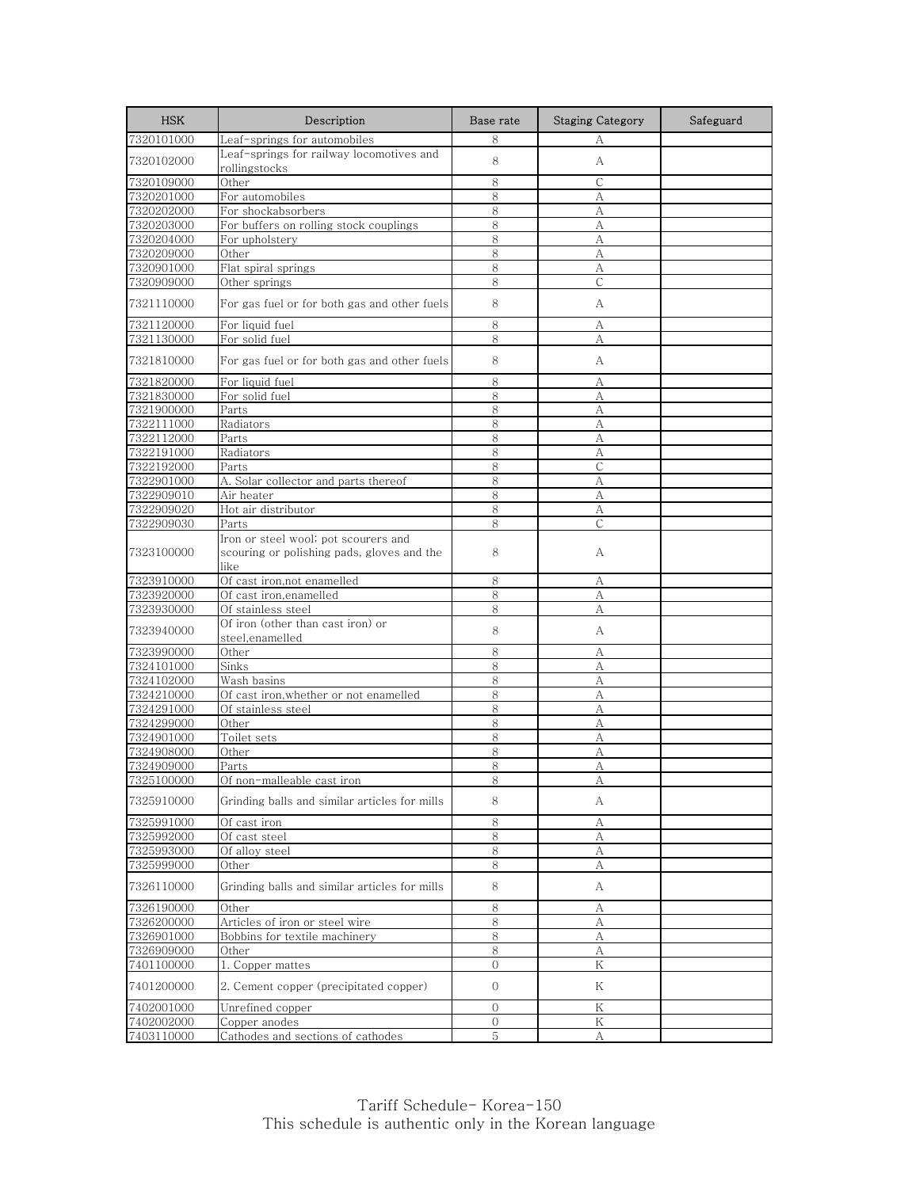| <b>HSK</b>               | Description                                                                                | Base rate    | <b>Staging Category</b> | Safeguard |
|--------------------------|--------------------------------------------------------------------------------------------|--------------|-------------------------|-----------|
| 7320101000               | Leaf-springs for automobiles                                                               | 8            | А                       |           |
| 7320102000               | Leaf-springs for railway locomotives and<br>rollingstocks                                  | 8            | А                       |           |
| 7320109000               | Other                                                                                      | 8            | C                       |           |
| 7320201000               | For automobiles                                                                            | 8            | А                       |           |
| 7320202000               | For shockabsorbers                                                                         | 8            | А                       |           |
| 7320203000               | For buffers on rolling stock couplings                                                     | 8            | А                       |           |
| 7320204000               | For upholstery                                                                             | 8            | А                       |           |
| 7320209000               | Other                                                                                      | 8            | А                       |           |
| 7320901000<br>7320909000 | Flat spiral springs                                                                        | 8<br>8       | А<br>$\mathsf{C}$       |           |
| 7321110000               | Other springs<br>For gas fuel or for both gas and other fuels                              | 8            | А                       |           |
|                          | For liquid fuel                                                                            | 8            |                         |           |
| 7321120000<br>7321130000 | For solid fuel                                                                             | 8            | А<br>А                  |           |
| 7321810000               | For gas fuel or for both gas and other fuels                                               | 8            | А                       |           |
|                          |                                                                                            | 8            |                         |           |
| 7321820000<br>7321830000 | For liquid fuel<br>For solid fuel                                                          | 8            | А<br>А                  |           |
| 7321900000               | Parts                                                                                      | 8            | А                       |           |
| 7322111000               | Radiators                                                                                  | 8            | А                       |           |
| 7322112000               | Parts                                                                                      | 8            | A                       |           |
| 7322191000               | Radiators                                                                                  | 8            | А                       |           |
| 7322192000               | Parts                                                                                      | 8            | С                       |           |
| 7322901000               | A. Solar collector and parts thereof                                                       | 8            | A                       |           |
| 7322909010               | Air heater                                                                                 | 8            | А                       |           |
| 7322909020               | Hot air distributor                                                                        | 8            | А                       |           |
| 7322909030               | Parts                                                                                      | 8            | C                       |           |
| 7323100000               | Iron or steel wool; pot scourers and<br>scouring or polishing pads, gloves and the<br>like | 8            | А                       |           |
| 7323910000               | Of cast iron, not enamelled                                                                | 8            | А                       |           |
| 7323920000               | Of cast iron, enamelled                                                                    | 8            | A                       |           |
| 7323930000               | Of stainless steel                                                                         | 8            | А                       |           |
| 7323940000               | Of iron (other than cast iron) or<br>steel, enamelled                                      | 8            | А                       |           |
| 7323990000               | Other                                                                                      | 8            | А                       |           |
| 7324101000               | Sinks                                                                                      | 8            | А                       |           |
| 7324102000               | Wash basins                                                                                | 8            | А                       |           |
| 7324210000               | Of cast iron, whether or not enamelled                                                     | 8            | А                       |           |
| 7324291000<br>7324299000 | Of stainless steel<br>Other                                                                | 8<br>8       | A<br>А                  |           |
| 7324901000               | Toilet sets                                                                                | 8            | А                       |           |
| 7324908000               | Other                                                                                      | 8            | А                       |           |
| 7324909000               | P <u>arts</u>                                                                              | 8            | А                       |           |
| 7325100000               | Of non-malleable cast iron                                                                 | 8            | А                       |           |
| 7325910000               | Grinding balls and similar articles for mills                                              | 8            | А                       |           |
| 7325991000               | Of cast iron                                                                               | 8            | А                       |           |
| 7325992000               | Of cast steel                                                                              | 8            | А                       |           |
| 7325993000               | Of alloy steel                                                                             | 8            | А                       |           |
| 7325999000               | Other                                                                                      | 8            | А                       |           |
| 7326110000               | Grinding balls and similar articles for mills                                              | 8            | А                       |           |
| 7326190000               | Other                                                                                      | 8            | А                       |           |
| 7326200000               | Articles of iron or steel wire                                                             | 8            | А                       |           |
| 7326901000               | Bobbins for textile machinery                                                              | 8            | А                       |           |
| 7326909000               | Other                                                                                      | $\,8\,$      | $\mathbf{A}$            |           |
| 7401100000               | Copper mattes<br>1.                                                                        | $\mathbf{0}$ | K                       |           |
| 7401200000               | 2. Cement copper (precipitated copper)                                                     | $\mathbf{0}$ | Κ                       |           |
| 7402001000               | Unrefined copper                                                                           | $\mathbf{O}$ | Κ                       |           |
| 7402002000               | Copper anodes                                                                              | $\mathbf{0}$ | K                       |           |
| 7403110000               | Cathodes and sections of cathodes                                                          | 5            | А                       |           |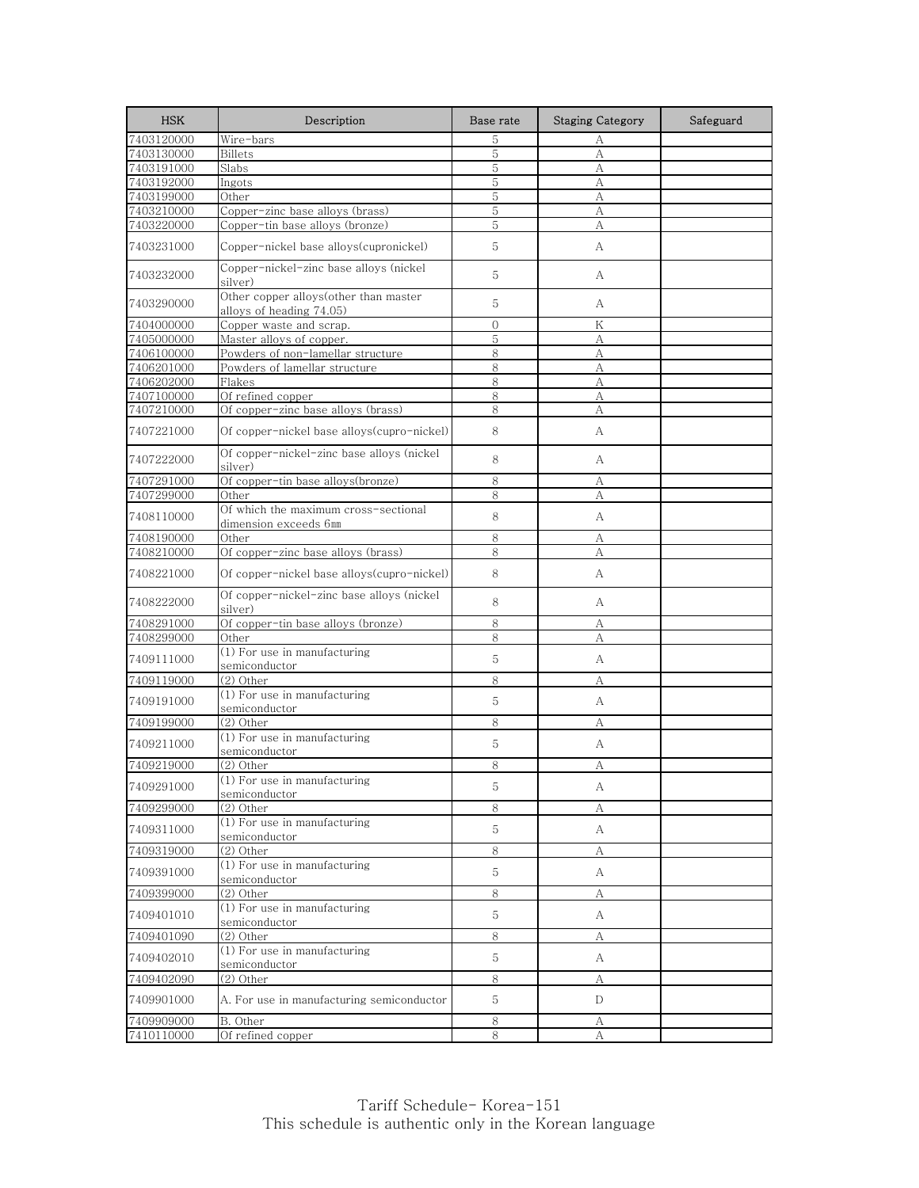| <b>HSK</b> | Description                                                       | Base rate | <b>Staging Category</b> | Safeguard |
|------------|-------------------------------------------------------------------|-----------|-------------------------|-----------|
| 7403120000 | Wire-bars                                                         | 5         | А                       |           |
| 7403130000 | Billets                                                           | 5         | A                       |           |
| 7403191000 | Slabs                                                             | 5         | А                       |           |
| 7403192000 | Ingots                                                            | 5         | А                       |           |
| 7403199000 | Other                                                             | 5         | А                       |           |
| 7403210000 | Copper-zinc base alloys (brass)                                   | 5         | А                       |           |
| 7403220000 | Copper-tin base alloys (bronze)                                   | 5         | А                       |           |
| 7403231000 | Copper-nickel base alloys(cupronickel)                            | 5         | А                       |           |
| 7403232000 | Copper-nickel-zinc base alloys (nickel<br>silver)                 | 5         | А                       |           |
| 7403290000 | Other copper alloys(other than master<br>alloys of heading 74.05) | 5         | A                       |           |
| 7404000000 | Copper waste and scrap.                                           | $\Omega$  | Κ                       |           |
| 7405000000 | Master alloys of copper.                                          | 5         | А                       |           |
| 7406100000 | Powders of non-lamellar structure                                 | 8         | A                       |           |
| 7406201000 | Powders of lamellar structure                                     | 8         | А                       |           |
| 7406202000 | Flakes                                                            | 8         | А                       |           |
| 7407100000 | Of refined copper                                                 | 8         | А                       |           |
| 7407210000 | Of copper-zinc base alloys (brass)                                | 8         | А                       |           |
| 7407221000 | Of copper-nickel base alloys(cupro-nickel)                        | 8         | А                       |           |
| 7407222000 | Of copper-nickel-zinc base alloys (nickel<br>silver)              | 8         | А                       |           |
| 7407291000 | Of copper-tin base alloys(bronze)                                 | 8         | А                       |           |
| 7407299000 | Other                                                             | 8         | А                       |           |
| 7408110000 | Of which the maximum cross-sectional<br>dimension exceeds 6mm     | 8         | А                       |           |
| 7408190000 | Other                                                             | 8         | А                       |           |
| 7408210000 | Of copper-zinc base alloys (brass)                                | 8         | А                       |           |
| 7408221000 | Of copper-nickel base alloys(cupro-nickel)                        | 8         | А                       |           |
| 7408222000 | Of copper-nickel-zinc base alloys (nickel<br>silver)              | 8         | А                       |           |
| 7408291000 | Of copper-tin base alloys (bronze)                                | 8         | А                       |           |
| 7408299000 | Other                                                             | 8         | А                       |           |
| 7409111000 | $(1)$ For use in manufacturing<br>semiconductor                   | 5         | А                       |           |
| 7409119000 | (2) Other                                                         | 8         | А                       |           |
| 7409191000 | (1) For use in manufacturing<br>semiconductor                     | 5         | А                       |           |
| 7409199000 | $(2)$ Other                                                       | 8         | А                       |           |
| 7409211000 | (1) For use in manufacturing<br>semiconductor                     | 5         | А                       |           |
| 7409219000 | (2) Other                                                         | 8         | А                       |           |
| 7409291000 | $\overline{(1)}$ For use in manufacturing<br>semiconductor        | 5         | А                       |           |
| 7409299000 | (2) Other                                                         | 8         | А                       |           |
| 7409311000 | (1) For use in manufacturing<br>semiconductor                     | 5         | A                       |           |
| 7409319000 | (2) Other                                                         | 8         | А                       |           |
| 7409391000 | (1) For use in manufacturing                                      | 5         | A                       |           |
|            | semiconductor                                                     |           |                         |           |
| 7409399000 | (2) Other                                                         | 8         | А                       |           |
| 7409401010 | (1) For use in manufacturing<br>semiconductor                     | 5         | A                       |           |
| 7409401090 | (2) Other                                                         | 8         | А                       |           |
| 7409402010 | $(1)$ For use in manufacturing<br>semiconductor                   | 5         | A                       |           |
| 7409402090 | (2) Other                                                         | 8         | А                       |           |
| 7409901000 | A. For use in manufacturing semiconductor                         | 5         | D                       |           |
| 7409909000 | B. Other                                                          | $\,8\,$   | А                       |           |
| 7410110000 | Of refined copper                                                 | 8         | A                       |           |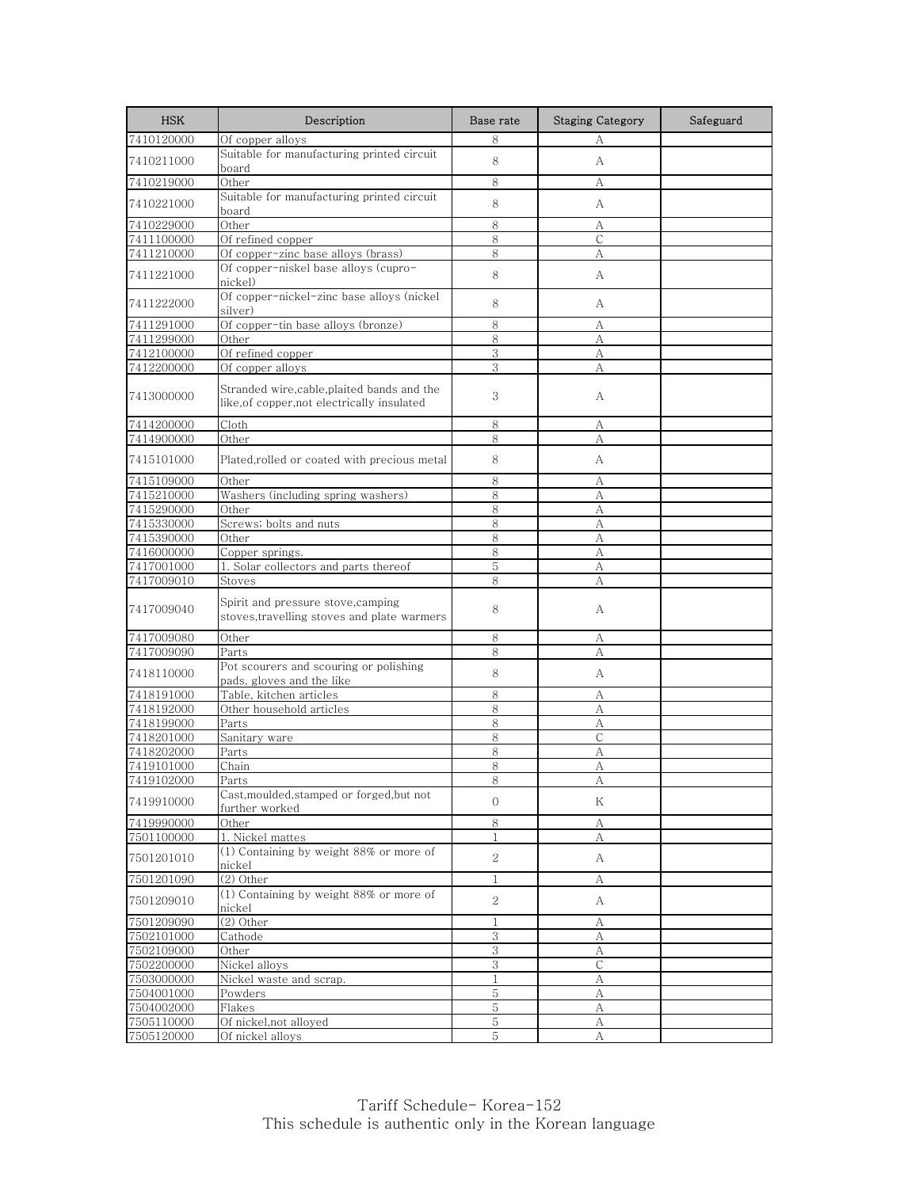| <b>HSK</b> | Description                                                                                | Base rate      | <b>Staging Category</b> | Safeguard |
|------------|--------------------------------------------------------------------------------------------|----------------|-------------------------|-----------|
| 7410120000 | Of copper alloys                                                                           | 8              | А                       |           |
| 7410211000 | Suitable for manufacturing printed circuit<br>board                                        | 8              | А                       |           |
| 7410219000 | Other                                                                                      | 8              | А                       |           |
| 7410221000 | Suitable for manufacturing printed circuit<br>board                                        | 8              | А                       |           |
| 7410229000 | Other                                                                                      | 8              | А                       |           |
| 7411100000 | Of refined copper                                                                          | 8              | $\mathsf{C}$            |           |
| 7411210000 | Of copper-zinc base alloys (brass)                                                         | 8              | А                       |           |
| 7411221000 | Of copper-niskel base alloys (cupro-<br>nickel)                                            | 8              | А                       |           |
| 7411222000 | Of copper-nickel-zinc base alloys (nickel<br>silver)                                       | 8              | А                       |           |
| 7411291000 | Of copper-tin base alloys (bronze)                                                         | 8              | А                       |           |
| 7411299000 | Other                                                                                      | 8              | А                       |           |
| 7412100000 | Of refined copper                                                                          | 3              | А                       |           |
| 7412200000 | Of copper alloys                                                                           | 3              | А                       |           |
| 7413000000 | Stranded wire, cable, plaited bands and the<br>like, of copper, not electrically insulated | 3              | А                       |           |
| 7414200000 | Cloth                                                                                      | 8              | А                       |           |
| 7414900000 | Other                                                                                      | 8              | А                       |           |
| 7415101000 | Plated,rolled or coated with precious metal                                                | 8              | A                       |           |
| 7415109000 | Other                                                                                      | 8              | А                       |           |
| 7415210000 | Washers (including spring washers)                                                         | 8              | А                       |           |
| 7415290000 | Other                                                                                      | 8              | А                       |           |
| 7415330000 | Screws; bolts and nuts                                                                     | 8              | А                       |           |
| 7415390000 | Other                                                                                      | 8              | А                       |           |
| 7416000000 | Copper springs.                                                                            | 8              | А                       |           |
| 7417001000 | 1. Solar collectors and parts thereof                                                      | 5              | А                       |           |
| 7417009010 | Stoves                                                                                     | $\,8\,$        | A                       |           |
| 7417009040 | Spirit and pressure stove,camping<br>stoves, travelling stoves and plate warmers           | 8              | А                       |           |
| 7417009080 | Other                                                                                      | 8              | А                       |           |
| 7417009090 | Parts                                                                                      | 8              | А                       |           |
| 7418110000 | Pot scourers and scouring or polishing<br>pads, gloves and the like                        | 8              | А                       |           |
| 7418191000 | Table, kitchen articles                                                                    | 8              | А                       |           |
| 7418192000 | Other household articles                                                                   | 8              | А                       |           |
| 7418199000 | Parts                                                                                      | 8              | А                       |           |
| 7418201000 | Sanitary ware                                                                              | 8              | С                       |           |
| 7418202000 | Parts                                                                                      | 8              | А                       |           |
| 7419101000 | Chain                                                                                      | 8              | А                       |           |
| 7419102000 | Parts                                                                                      | 8              | Α                       |           |
| 7419910000 | Cast, moulded, stamped or forged, but not<br>further worked                                | $\mathbf{O}$   | Κ                       |           |
| 7419990000 | Other                                                                                      | 8              | А                       |           |
| 7501100000 | 1. Nickel mattes                                                                           | 1              | А                       |           |
| 7501201010 | (1) Containing by weight 88% or more of<br>nickel                                          | $\overline{2}$ | A                       |           |
| 7501201090 | (2) Other                                                                                  | 1              | А                       |           |
| 7501209010 | (1) Containing by weight 88% or more of<br>nickel                                          | 2              | A                       |           |
| 7501209090 | (2) Other                                                                                  | 1              | А                       |           |
| 7502101000 | Cathode                                                                                    | $\,3$          | А                       |           |
| 7502109000 | Other                                                                                      | 3              | А                       |           |
| 7502200000 | Nickel alloys                                                                              | 3              | $\mathsf C$             |           |
| 7503000000 | Nickel waste and scrap.                                                                    | 1              | А                       |           |
| 7504001000 | Powders                                                                                    | 5              | А                       |           |
| 7504002000 | Flakes                                                                                     | 5              | А                       |           |
| 7505110000 | Of nickel, not alloyed                                                                     | 5              | А                       |           |
| 7505120000 | Of nickel alloys                                                                           | 5              | А                       |           |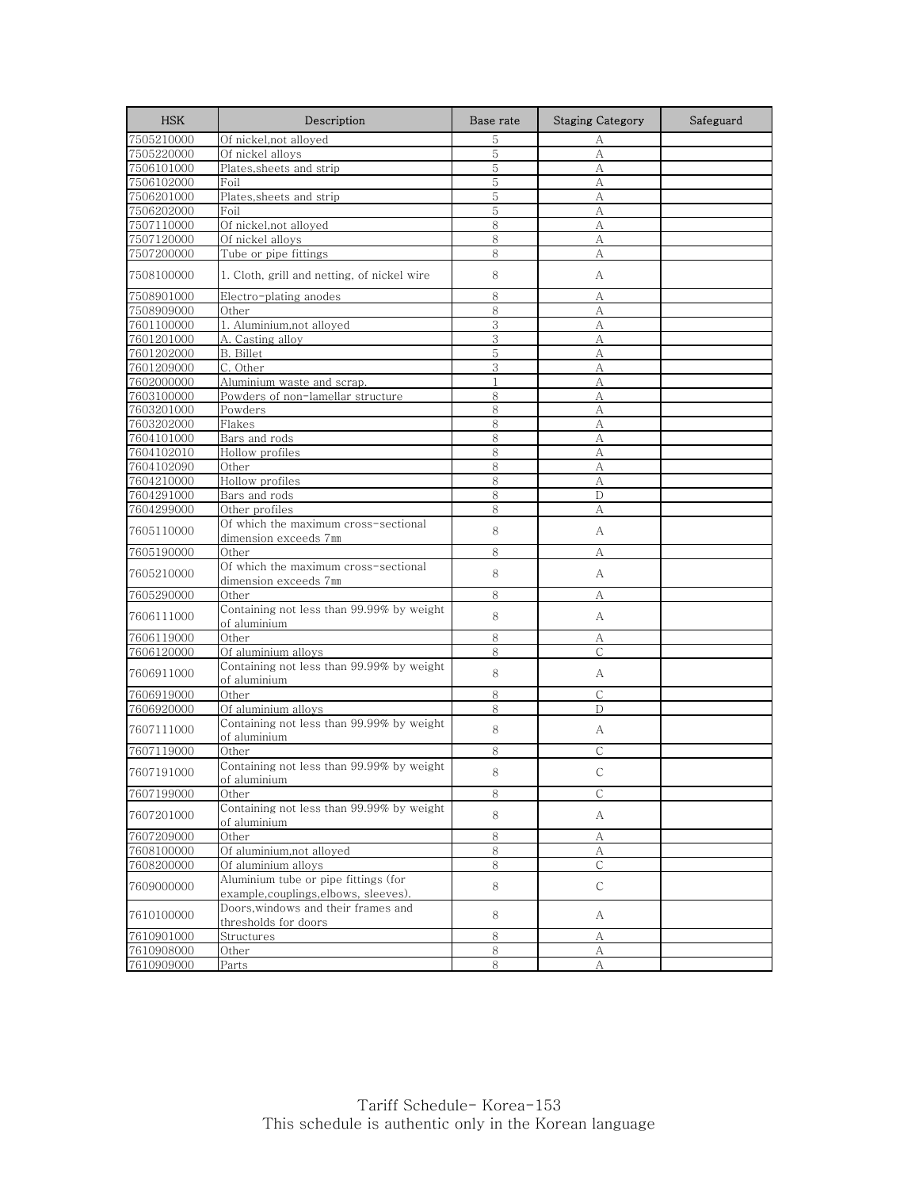| <b>HSK</b> | Description                                                                   | Base rate    | <b>Staging Category</b> | Safeguard |
|------------|-------------------------------------------------------------------------------|--------------|-------------------------|-----------|
| 7505210000 | Of nickel,not alloyed                                                         | 5            | А                       |           |
| 7505220000 | Of nickel alloys                                                              | 5            | А                       |           |
| 7506101000 | Plates, sheets and strip                                                      | 5            | А                       |           |
| 7506102000 | Foil                                                                          | 5            | А                       |           |
| 7506201000 | Plates,sheets and strip                                                       | 5            | А                       |           |
| 7506202000 | Foil                                                                          | 5            | А                       |           |
| 7507110000 | Of nickel, not alloyed                                                        | 8            | А                       |           |
| 7507120000 | Of nickel alloys                                                              | 8            | А                       |           |
| 7507200000 | Tube or pipe fittings                                                         | 8            | А                       |           |
| 7508100000 | 1. Cloth, grill and netting, of nickel wire                                   | 8            | A                       |           |
| 7508901000 | Electro-plating anodes                                                        | 8            | А                       |           |
| 7508909000 | Other                                                                         | 8            | А                       |           |
| 7601100000 | 1. Aluminium, not alloyed                                                     | 3            | А                       |           |
| 7601201000 | A. Casting alloy                                                              | 3            | A                       |           |
| 7601202000 | B. Billet                                                                     | 5            | А                       |           |
| 7601209000 | C. Other                                                                      | 3            | А                       |           |
| 7602000000 | Aluminium waste and scrap.                                                    | $\mathbf{1}$ | A                       |           |
| 7603100000 | Powders of non-lamellar structure                                             | 8            | А                       |           |
| 7603201000 | Powders                                                                       | 8            | А                       |           |
| 7603202000 | Flakes                                                                        | 8            | A                       |           |
| 7604101000 | Bars and rods                                                                 | 8            | А                       |           |
| 7604102010 | Hollow profiles                                                               | 8            | A                       |           |
| 7604102090 | Other                                                                         | 8            | А                       |           |
| 7604210000 | Hollow profiles                                                               | 8            | А                       |           |
| 7604291000 | Bars and rods                                                                 | 8            | D                       |           |
| 7604299000 | Other profiles                                                                | 8            | А                       |           |
| 7605110000 | Of which the maximum cross-sectional                                          | 8            | А                       |           |
| 7605190000 | dimension exceeds 7mm<br>Other                                                | 8            | А                       |           |
| 7605210000 | Of which the maximum cross-sectional                                          | 8            | А                       |           |
|            | dimension exceeds 7mm<br>Other                                                | 8            | А                       |           |
| 7605290000 | Containing not less than 99.99% by weight                                     |              |                         |           |
| 7606111000 | of aluminium                                                                  | 8            | А                       |           |
| 7606119000 | Other                                                                         | 8            | А                       |           |
| 7606120000 | Of aluminium alloys                                                           | 8            | $\mathsf{C}$            |           |
| 7606911000 | Containing not less than 99.99% by weight<br>of aluminium                     | 8            | А                       |           |
| 7606919000 | Other                                                                         | 8            | C                       |           |
| 7606920000 | Of aluminium alloys                                                           | 8            | D                       |           |
| 7607111000 | Containing not less than 99.99% by weight<br>of aluminium                     | 8            | A                       |           |
| 7607119000 | Other                                                                         | 8            | С                       |           |
| 7607191000 | Containing not less than 99.99% by weight<br>of aluminium                     | 8            | $\mathcal{C}$           |           |
| 7607199000 | Other                                                                         | $\,8\,$      | С                       |           |
|            | Containing not less than 99.99% by weight                                     |              |                         |           |
| 7607201000 | of aluminium                                                                  | 8            | A                       |           |
| 7607209000 | Other                                                                         | 8            | А                       |           |
| 7608100000 | Of aluminium, not alloyed                                                     | $\,8\,$      | $\mathbf{A}$            |           |
| 7608200000 | Of aluminium alloys                                                           | 8            | C                       |           |
| 7609000000 | Aluminium tube or pipe fittings (for<br>example, couplings, elbows, sleeves). | 8            | $\mathsf{C}$            |           |
| 7610100000 | Doors, windows and their frames and<br>thresholds for doors                   | 8            | A                       |           |
| 7610901000 | Structures                                                                    | $\,8\,$      | А                       |           |
| 7610908000 | Other                                                                         | 8            | А                       |           |
| 7610909000 | Parts                                                                         | 8            | А                       |           |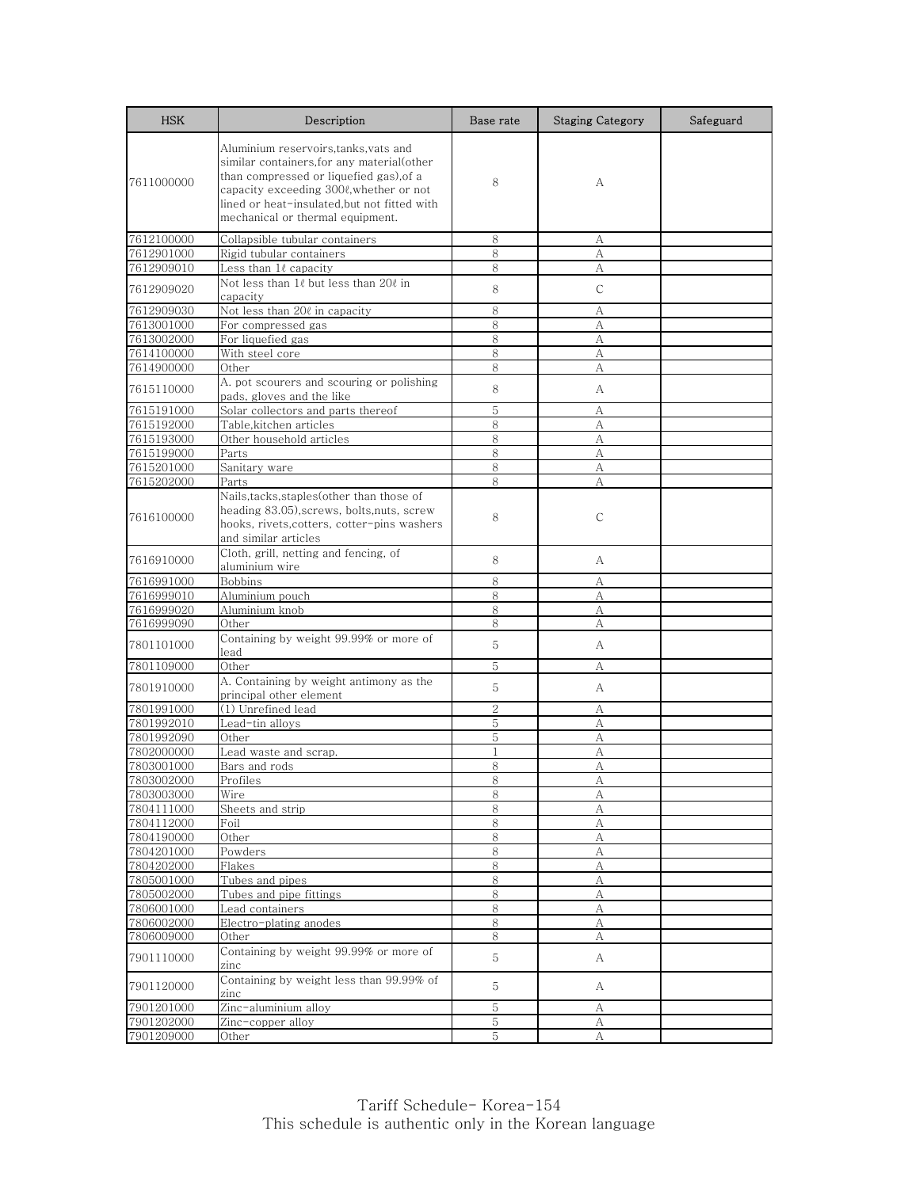| <b>HSK</b> | Description                                                                                                                                                                                                                                                 | Base rate      | <b>Staging Category</b> | Safeguard |
|------------|-------------------------------------------------------------------------------------------------------------------------------------------------------------------------------------------------------------------------------------------------------------|----------------|-------------------------|-----------|
| 7611000000 | Aluminium reservoirs,tanks,vats and<br>similar containers, for any material (other<br>than compressed or liquefied gas), of a<br>capacity exceeding 3000, whether or not<br>lined or heat-insulated,but not fitted with<br>mechanical or thermal equipment. | 8              | А                       |           |
| 7612100000 | Collapsible tubular containers                                                                                                                                                                                                                              | 8              | А                       |           |
| 7612901000 | Rigid tubular containers                                                                                                                                                                                                                                    | 8              | А                       |           |
| 7612909010 | Less than 1l capacity                                                                                                                                                                                                                                       | 8              | А                       |           |
| 7612909020 | Not less than 10 but less than 200 in<br>capacity                                                                                                                                                                                                           | 8              | С                       |           |
| 7612909030 | Not less than 200 in capacity                                                                                                                                                                                                                               | 8              | А                       |           |
| 7613001000 | For compressed gas                                                                                                                                                                                                                                          | 8              | А                       |           |
| 7613002000 | For liquefied gas                                                                                                                                                                                                                                           | 8              | А                       |           |
| 7614100000 | With steel core                                                                                                                                                                                                                                             | 8              | A                       |           |
| 7614900000 | Other                                                                                                                                                                                                                                                       | 8              | А                       |           |
| 7615110000 | A, pot scourers and scouring or polishing<br>pads, gloves and the like                                                                                                                                                                                      | 8              | А                       |           |
| 7615191000 | Solar collectors and parts thereof                                                                                                                                                                                                                          | 5              | А                       |           |
| 7615192000 | Table, kitchen articles                                                                                                                                                                                                                                     | 8              | А                       |           |
| 7615193000 | Other household articles                                                                                                                                                                                                                                    | 8              | А                       |           |
| 7615199000 | Parts                                                                                                                                                                                                                                                       | 8              | А                       |           |
| 7615201000 | Sanitary ware                                                                                                                                                                                                                                               | 8              | А                       |           |
| 7615202000 | Parts                                                                                                                                                                                                                                                       | 8              | А                       |           |
| 7616100000 | Nails, tacks, staples (other than those of<br>heading 83.05),screws, bolts,nuts, screw<br>hooks, rivets, cotters, cotter-pins washers<br>and similar articles                                                                                               | 8              | С                       |           |
| 7616910000 | Cloth, grill, netting and fencing, of<br>aluminium wire                                                                                                                                                                                                     | 8              | А                       |           |
| 7616991000 | <b>Bobbins</b>                                                                                                                                                                                                                                              | 8              | А                       |           |
| 7616999010 | Aluminium pouch                                                                                                                                                                                                                                             | 8              | А                       |           |
| 7616999020 | Aluminium knob                                                                                                                                                                                                                                              | 8              | А                       |           |
| 7616999090 | Other                                                                                                                                                                                                                                                       | 8              | A                       |           |
| 7801101000 | Containing by weight 99.99% or more of<br>lead                                                                                                                                                                                                              | 5              | A                       |           |
| 7801109000 | Other                                                                                                                                                                                                                                                       | 5              | А                       |           |
| 7801910000 | A. Containing by weight antimony as the<br>principal other element                                                                                                                                                                                          | 5              | A                       |           |
| 7801991000 | (1) Unrefined lead                                                                                                                                                                                                                                          | $\overline{2}$ | А                       |           |
| 7801992010 | Lead-tin alloys                                                                                                                                                                                                                                             | 5              | А                       |           |
| 7801992090 | Other                                                                                                                                                                                                                                                       | 5              | А                       |           |
| 7802000000 | Lead waste and scrap.                                                                                                                                                                                                                                       | $\mathbf{1}$   | А                       |           |
| 7803001000 | Bars and rods                                                                                                                                                                                                                                               | 8              | А                       |           |
| 7803002000 | Profiles                                                                                                                                                                                                                                                    | ୪              | A                       |           |
| 7803003000 | Wire                                                                                                                                                                                                                                                        | 8              | А                       |           |
| 7804111000 | Sheets and strip                                                                                                                                                                                                                                            | 8              | А                       |           |
| 7804112000 | Foil                                                                                                                                                                                                                                                        | $8\,$          | $\boldsymbol{A}$        |           |
| 7804190000 | Other                                                                                                                                                                                                                                                       | $\,8\,$        | А                       |           |
| 7804201000 | Powders                                                                                                                                                                                                                                                     | 8              | А                       |           |
| 7804202000 | Flakes                                                                                                                                                                                                                                                      | 8              | А                       |           |
| 7805001000 | Tubes and pipes                                                                                                                                                                                                                                             | $8\,$          | А                       |           |
| 7805002000 | Tubes and pipe fittings                                                                                                                                                                                                                                     | 8              | A                       |           |
| 7806001000 | Lead containers                                                                                                                                                                                                                                             | 8              | А                       |           |
| 7806002000 | Electro-plating anodes                                                                                                                                                                                                                                      | 8              | А                       |           |
| 7806009000 | Other                                                                                                                                                                                                                                                       | 8              | А                       |           |
| 7901110000 | Containing by weight 99.99% or more of<br>zinc                                                                                                                                                                                                              | $5\,$          | A                       |           |
| 7901120000 | Containing by weight less than 99.99% of<br>zinc                                                                                                                                                                                                            | 5              | А                       |           |
| 7901201000 | Zinc-aluminium alloy                                                                                                                                                                                                                                        | 5              | А                       |           |
| 7901202000 | Zinc-copper alloy                                                                                                                                                                                                                                           | $\mathbf 5$    | А                       |           |
| 7901209000 | Other                                                                                                                                                                                                                                                       | 5              | А                       |           |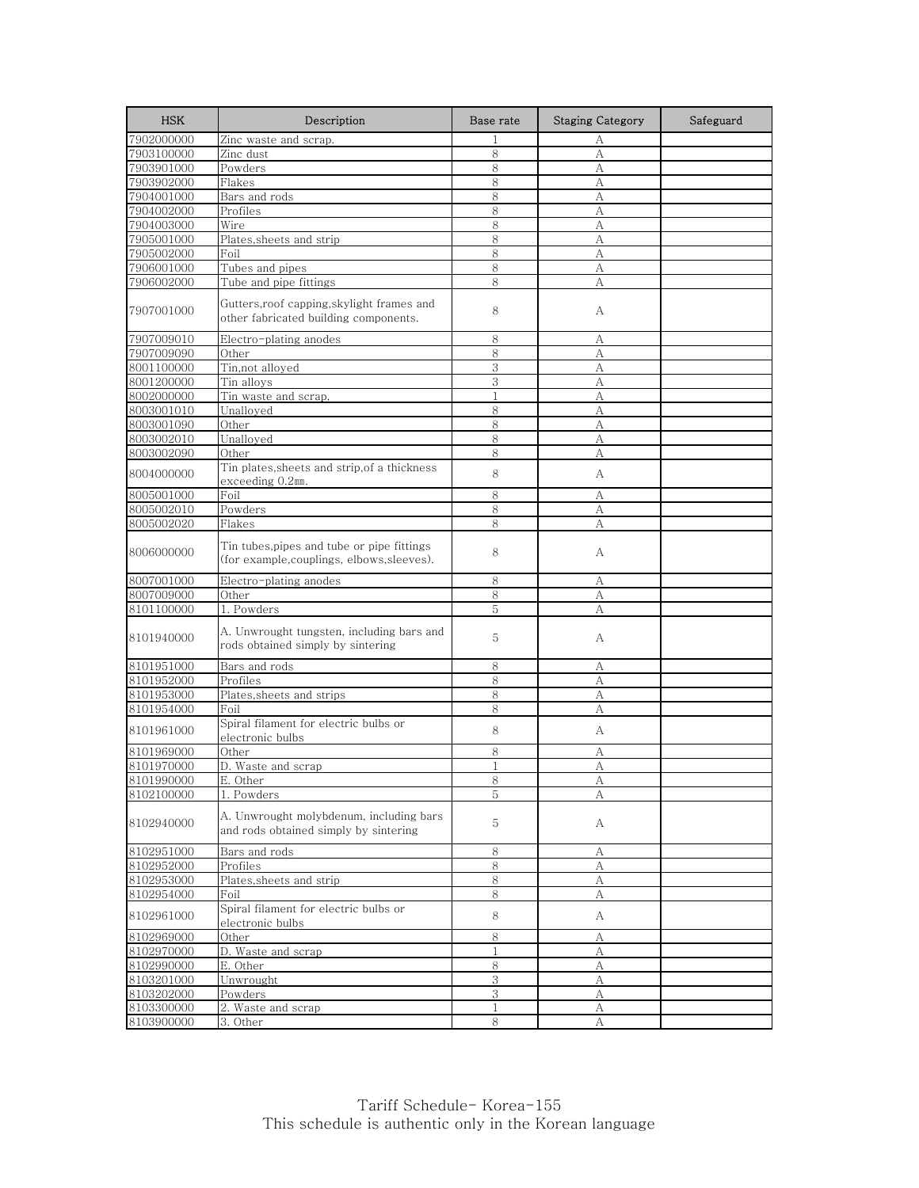| <b>HSK</b> | Description                                                                             | Base rate    | <b>Staging Category</b> | Safeguard |
|------------|-----------------------------------------------------------------------------------------|--------------|-------------------------|-----------|
| 7902000000 | Zinc waste and scrap.                                                                   | $\mathbf{1}$ | А                       |           |
| 7903100000 | Zinc dust                                                                               | 8            | А                       |           |
| 7903901000 | Powders                                                                                 | 8            | A                       |           |
| 7903902000 | Flakes                                                                                  | 8            | А                       |           |
| 7904001000 | Bars and rods                                                                           | 8            | А                       |           |
| 7904002000 | Profiles                                                                                | 8            | A                       |           |
| 7904003000 | Wire                                                                                    | 8            | A                       |           |
| 7905001000 | Plates, sheets and strip                                                                | 8            | А                       |           |
| 7905002000 | Foil                                                                                    | 8            | А                       |           |
| 7906001000 | Tubes and pipes                                                                         | 8            | А                       |           |
| 7906002000 | Tube and pipe fittings                                                                  | 8            | А                       |           |
| 7907001000 | Gutters, roof capping, skylight frames and<br>other fabricated building components.     | 8            | А                       |           |
| 7907009010 | Electro-plating anodes                                                                  | 8            | А                       |           |
| 7907009090 | Other                                                                                   | 8            | A                       |           |
| 8001100000 | Tin, not alloyed                                                                        | 3            | А                       |           |
| 8001200000 | Tin alloys                                                                              | 3            | A                       |           |
| 8002000000 | Tin waste and scrap.                                                                    | $\mathbf{1}$ | А                       |           |
| 8003001010 | Unalloyed                                                                               | 8            | A                       |           |
| 8003001090 | Other                                                                                   | 8            | A                       |           |
| 8003002010 | Unalloyed                                                                               | 8            | А                       |           |
| 8003002090 | Other                                                                                   | 8            | А                       |           |
| 8004000000 | Tin plates, sheets and strip, of a thickness<br>exceeding 0.2mm.                        | 8            | А                       |           |
| 8005001000 | Foil                                                                                    | 8            | А                       |           |
| 8005002010 | Powders                                                                                 | 8            | A                       |           |
| 8005002020 | Flakes                                                                                  | 8            | А                       |           |
| 8006000000 | Tin tubes,pipes and tube or pipe fittings<br>(for example, couplings, elbows, sleeves). | 8            | А                       |           |
| 8007001000 | Electro-plating anodes                                                                  | 8            | А                       |           |
| 8007009000 | Other                                                                                   | 8            | A                       |           |
| 8101100000 | 1. Powders                                                                              | 5            | А                       |           |
| 8101940000 | A. Unwrought tungsten, including bars and<br>rods obtained simply by sintering          | 5            | А                       |           |
| 8101951000 | Bars and rods                                                                           | 8            | А                       |           |
| 8101952000 | Profiles                                                                                | 8            | A                       |           |
| 8101953000 | Plates, sheets and strips                                                               | 8            | А                       |           |
| 8101954000 | Foil                                                                                    | 8            | А                       |           |
| 8101961000 | Spiral filament for electric bulbs or<br>electronic bulbs                               | 8            | А                       |           |
| 8101969000 | Other                                                                                   | 8            | А                       |           |
| 8101970000 | D. Waste and scrap                                                                      | $\mathbf{1}$ | А                       |           |
| 8101990000 | E. Other                                                                                | <u>୪</u>     | A                       |           |
| 8102100000 | 1. Powders                                                                              | 5            | А                       |           |
| 8102940000 | A. Unwrought molybdenum, including bars<br>and rods obtained simply by sintering        | 5            | А                       |           |
| 8102951000 | Bars and rods                                                                           | 8            | А                       |           |
| 8102952000 | Profiles                                                                                | 8            | A                       |           |
| 8102953000 | Plates, sheets and strip                                                                | 8            | А                       |           |
| 8102954000 | Foil                                                                                    | 8            | А                       |           |
| 8102961000 | Spiral filament for electric bulbs or<br>electronic bulbs                               | 8            | А                       |           |
| 8102969000 | Other                                                                                   | 8            | А                       |           |
| 8102970000 | D. Waste and scrap                                                                      | 1            | А                       |           |
| 8102990000 | E. Other                                                                                | 8            | A                       |           |
| 8103201000 | Unwrought                                                                               | 3            | А                       |           |
| 8103202000 | Powders                                                                                 | 3            | А                       |           |
| 8103300000 | 2. Waste and scrap                                                                      | 1            | А                       |           |
| 8103900000 | 3. Other                                                                                | 8            | А                       |           |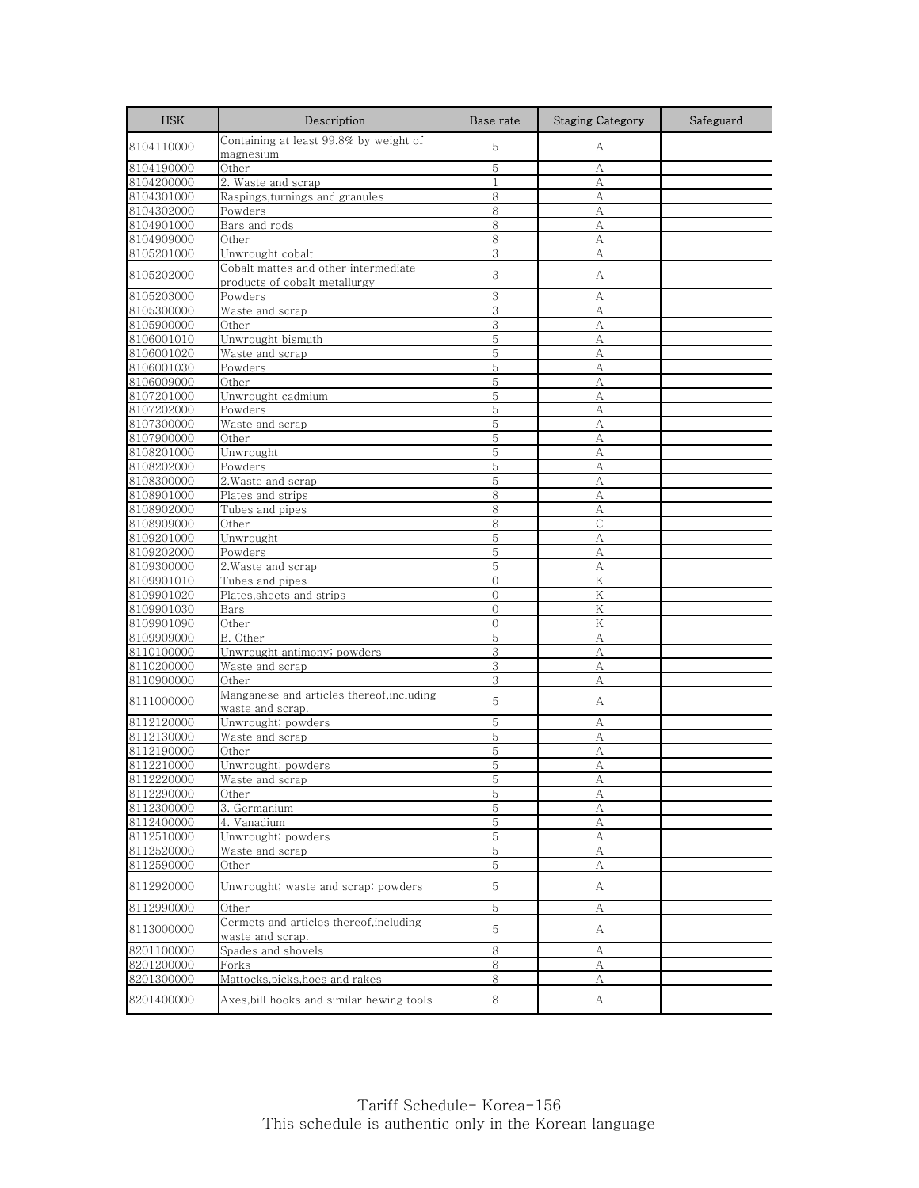| <b>HSK</b>               | Description                                                           | Base rate                      | <b>Staging Category</b> | Safeguard |
|--------------------------|-----------------------------------------------------------------------|--------------------------------|-------------------------|-----------|
| 8104110000               | Containing at least 99.8% by weight of<br>magnesium                   | 5                              | А                       |           |
| 8104190000               | Other                                                                 | 5                              | A                       |           |
| 8104200000               | 2. Waste and scrap                                                    | $\mathbf{1}$                   | А                       |           |
| 8104301000               | Raspings, turnings and granules                                       | 8                              | А                       |           |
| 8104302000               | Powders                                                               | 8                              | А                       |           |
| 8104901000               | Bars and rods                                                         | 8                              | А                       |           |
| 8104909000               | Other                                                                 | 8                              | A                       |           |
| 8105201000               | Unwrought cobalt                                                      | 3                              | А                       |           |
| 8105202000               | Cobalt mattes and other intermediate<br>products of cobalt metallurgy | 3                              | А                       |           |
| 8105203000               | Powders                                                               | 3                              | А                       |           |
| 8105300000               | Waste and scrap                                                       | 3                              | A                       |           |
| 8105900000               | Other                                                                 | 3                              | А                       |           |
| 8106001010               | Unwrought bismuth                                                     | 5                              | А                       |           |
| 8106001020               | Waste and scrap                                                       | 5                              | A                       |           |
| 8106001030               | Powders                                                               | 5                              | А                       |           |
| 8106009000               | Other                                                                 | 5                              | А                       |           |
| 8107201000               | Unwrought cadmium                                                     | 5                              | А                       |           |
| 8107202000               | Powders                                                               | 5                              | А                       |           |
| 8107300000               | Waste and scrap                                                       | 5                              | A                       |           |
| 8107900000               | Other                                                                 | 5                              | A                       |           |
| 8108201000               | Unwrought                                                             | 5                              | А                       |           |
| 8108202000               | Powders                                                               | 5                              | А                       |           |
| 8108300000               | 2. Waste and scrap                                                    | 5                              | A                       |           |
| 8108901000               | Plates and strips                                                     | 8                              | А                       |           |
| 8108902000               | Tubes and pipes                                                       | 8                              | A                       |           |
| 8108909000               | Other                                                                 | 8                              | $\mathsf{C}$            |           |
| 8109201000               | Unwrought                                                             | 5                              | А                       |           |
| 8109202000               | Powders                                                               | 5                              | A                       |           |
| 8109300000               | 2.Waste and scrap                                                     | 5                              | А                       |           |
| 8109901010               | Tubes and pipes                                                       | $\mathbf{0}$                   | K                       |           |
| 8109901020<br>8109901030 | Plates, sheets and strips<br>Bars                                     | $\mathbf{0}$<br>$\overline{0}$ | Κ<br>K                  |           |
| 8109901090               | Other                                                                 | $\Omega$                       | K                       |           |
| 8109909000               | B. Other                                                              | 5                              | А                       |           |
| 8110100000               | Unwrought antimony; powders                                           | 3                              | A                       |           |
| 8110200000               | Waste and scrap                                                       | 3                              | А                       |           |
| 8110900000               | Other                                                                 | 3                              | А                       |           |
|                          | Manganese and articles thereof, including                             |                                |                         |           |
| 8111000000               | waste and scrap.                                                      | 5                              | А                       |           |
| 8112120000               | Unwrought; powders                                                    | 5                              | А                       |           |
| 8112130000               | Waste and scrap                                                       | 5                              | А                       |           |
| 8112190000               | Other                                                                 | 5                              | A                       |           |
| 8112210000               | Unwrought; powders                                                    | 5                              | А                       |           |
| 8112220000               | Waste and scrap                                                       | 5                              | A                       |           |
| 8112290000               | Other                                                                 | 5                              | А                       |           |
| 8112300000               | 3. Germanium                                                          | 5                              | А                       |           |
| 8112400000               | 4. Vanadium                                                           | 5                              | А                       |           |
| 8112510000               | Unwrought; powders                                                    | 5                              | А                       |           |
| 8112520000               | Waste and scrap                                                       | 5                              | А                       |           |
| 8112590000               | Other                                                                 | 5                              | А                       |           |
| 8112920000               | Unwrought; waste and scrap; powders                                   | 5                              | А                       |           |
| 8112990000               | Other                                                                 | 5                              | А                       |           |
| 8113000000               | Cermets and articles thereof,including<br>waste and scrap.            | 5                              | A                       |           |
| 8201100000               | Spades and shovels                                                    | 8                              | А                       |           |
| 8201200000               | Forks                                                                 | 8                              | А                       |           |
| 8201300000               | Mattocks, picks, hoes and rakes                                       | 8                              | А                       |           |
| 8201400000               | Axes, bill hooks and similar hewing tools                             | 8                              | A                       |           |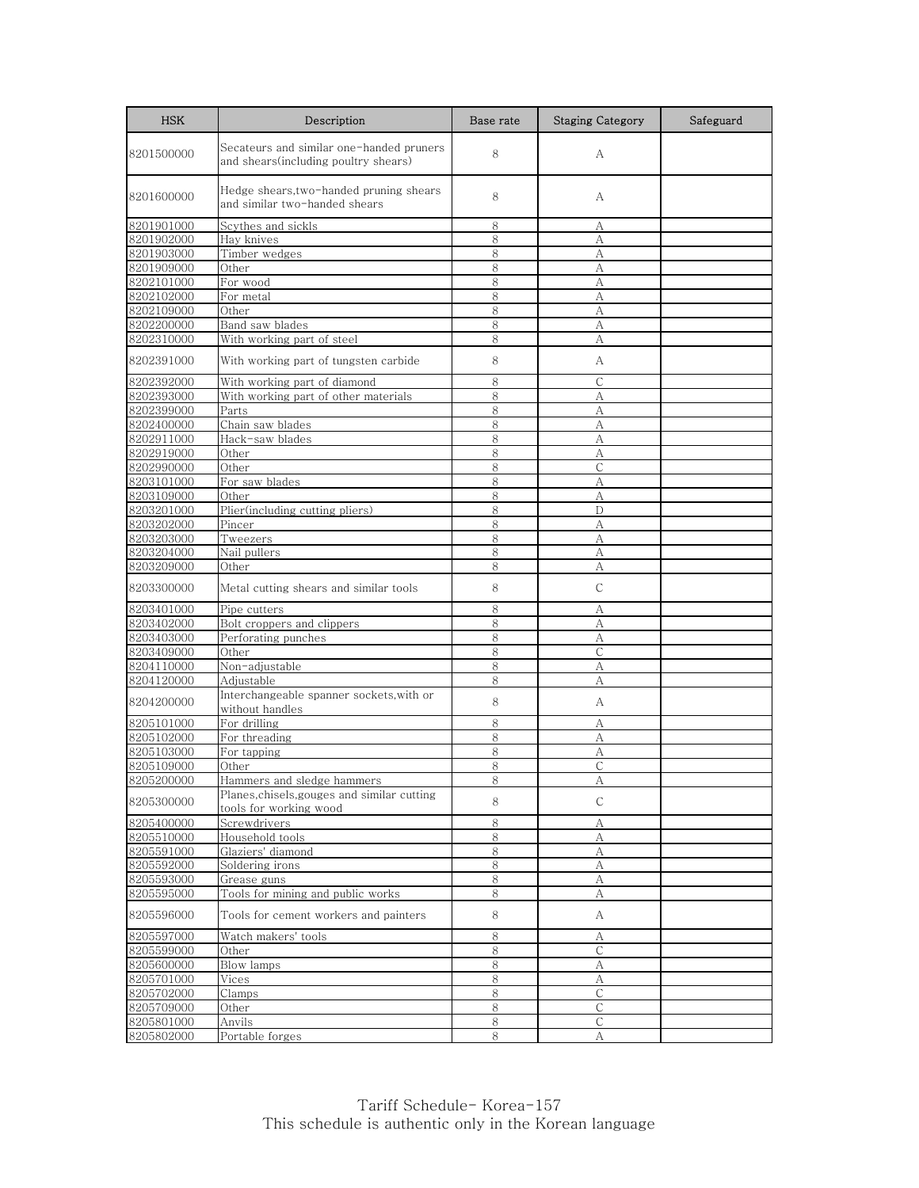| <b>HSK</b>               | Description                                                                       | Base rate | <b>Staging Category</b> | Safeguard |
|--------------------------|-----------------------------------------------------------------------------------|-----------|-------------------------|-----------|
| 8201500000               | Secateurs and similar one-handed pruners<br>and shears (including poultry shears) | 8         | А                       |           |
| 8201600000               | Hedge shears,two-handed pruning shears<br>and similar two-handed shears           | 8         | А                       |           |
| 8201901000               | Scythes and sickls                                                                | 8         | А                       |           |
| 8201902000               | Hay knives                                                                        | 8         | А                       |           |
| 8201903000               | Timber wedges                                                                     | 8         | А                       |           |
| 8201909000               | Other                                                                             | 8         | А                       |           |
| 8202101000               | For wood                                                                          | 8         | А                       |           |
| 8202102000<br>8202109000 | For metal<br>Other                                                                | 8<br>8    | А<br>A                  |           |
| 8202200000               | Band saw blades                                                                   | 8         | А                       |           |
| 8202310000               | With working part of steel                                                        | 8         | A                       |           |
| 8202391000               | With working part of tungsten carbide                                             | 8         | А                       |           |
| 8202392000               | With working part of diamond                                                      | 8         | $\mathsf{C}$            |           |
| 8202393000               | With working part of other materials                                              | 8         | А                       |           |
| 8202399000               | Parts                                                                             | 8         | А                       |           |
| 8202400000               | Chain saw blades                                                                  | 8         | A                       |           |
| 8202911000               | Hack-saw blades                                                                   | 8         | А                       |           |
| 8202919000               | Other                                                                             | 8         | А                       |           |
| 8202990000               | Other                                                                             | 8         | С                       |           |
| 8203101000               | For saw blades                                                                    | 8         | А                       |           |
| 8203109000               | Other                                                                             | 8         | A                       |           |
| 8203201000<br>8203202000 | Plier(including cutting pliers)<br>Pincer                                         | 8<br>8    | D<br>А                  |           |
| 8203203000               | Tweezers                                                                          | 8         | А                       |           |
| 8203204000               | Nail pullers                                                                      | 8         | A                       |           |
| 8203209000               | Other                                                                             | 8         | А                       |           |
| 8203300000               | Metal cutting shears and similar tools                                            | 8         | $\mathsf{C}$            |           |
| 8203401000               | Pipe cutters                                                                      | 8         | А                       |           |
| 8203402000               | Bolt croppers and clippers                                                        | 8         | А                       |           |
| 8203403000               | Perforating punches                                                               | 8         | А                       |           |
| 8203409000               | Other                                                                             | 8         | $\mathsf{C}$            |           |
| 8204110000               | Non-adjustable                                                                    | 8         | А                       |           |
| 8204120000               | Adjustable                                                                        | 8         | A                       |           |
| 8204200000               | Interchangeable spanner sockets, with or<br>without handles                       | 8         | А                       |           |
| 8205101000               | For drilling                                                                      | 8         | А                       |           |
| 8205102000               | For threading                                                                     | 8         | А                       |           |
| 8205103000               | For tapping                                                                       | 8         | А                       |           |
| 8205109000               | Other                                                                             | 8         | C                       |           |
| 8205200000               | Hammers and sledge hammers                                                        | 8         | А                       |           |
| 8205300000               | Planes, chisels, gouges and similar cutting<br>tools for working wood             | 8         | C                       |           |
| 8205400000               | Screwdrivers                                                                      | 8         | А                       |           |
| 8205510000               | Household tools                                                                   | 8         | А                       |           |
| 8205591000               | Glaziers' diamond                                                                 | 8         | А                       |           |
| 8205592000               | Soldering irons                                                                   | 8         | А                       |           |
| 8205593000               | Grease guns<br>Tools for mining and public works                                  | 8         | А                       |           |
| 8205595000<br>8205596000 | Tools for cement workers and painters                                             | 8<br>8    | А<br>A                  |           |
|                          |                                                                                   |           |                         |           |
| 8205597000               | Watch makers' tools                                                               | 8         | А                       |           |
| 8205599000               | Other                                                                             | 8         | C                       |           |
| 8205600000               | Blow lamps                                                                        | 8<br>8    | А                       |           |
| 8205701000<br>8205702000 | Vices<br>Clamps                                                                   | 8         | А<br>$\mathsf{C}$       |           |
| 8205709000               | Other                                                                             | 8         | С                       |           |
| 8205801000               | Anvils                                                                            | 8         | C                       |           |
| 8205802000               | Portable forges                                                                   | 8         | А                       |           |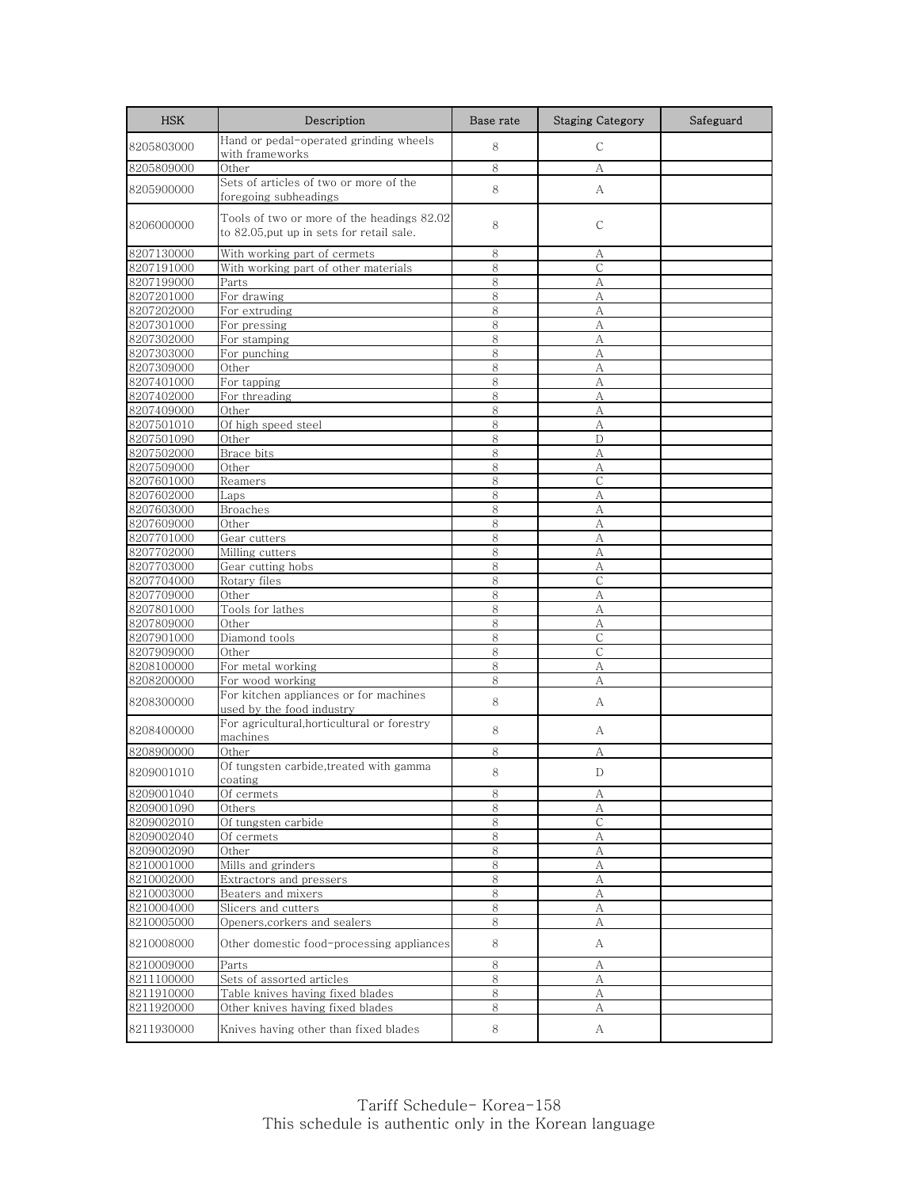| <b>HSK</b>               | Description                                                                             | Base rate    | <b>Staging Category</b> | Safeguard |
|--------------------------|-----------------------------------------------------------------------------------------|--------------|-------------------------|-----------|
| 8205803000               | Hand or pedal-operated grinding wheels<br>with frameworks                               | 8            | $\mathsf{C}$            |           |
| 8205809000               | Other                                                                                   | 8            | А                       |           |
| 8205900000               | Sets of articles of two or more of the<br>foregoing subheadings                         | 8            | А                       |           |
| 8206000000               | Tools of two or more of the headings 82.02<br>to 82.05, put up in sets for retail sale. | 8            | С                       |           |
| 8207130000               | With working part of cermets                                                            | 8            | А                       |           |
| 8207191000               | With working part of other materials                                                    | 8            | С                       |           |
| 8207199000               | Parts                                                                                   | 8            | А                       |           |
| 8207201000               | For drawing                                                                             | 8            | А                       |           |
| 8207202000               | For extruding                                                                           | 8            | А                       |           |
| 8207301000               | For pressing                                                                            | 8            | А                       |           |
| 8207302000               | For stamping                                                                            | 8<br>8       | А                       |           |
| 8207303000<br>8207309000 | For punching<br>Other                                                                   | 8            | А                       |           |
| 8207401000               | For tapping                                                                             | 8            | А<br>А                  |           |
| 8207402000               | For threading                                                                           | 8            | А                       |           |
| 8207409000               | Other                                                                                   | 8            | А                       |           |
| 8207501010               | Of high speed steel                                                                     | 8            | A                       |           |
| 8207501090               | Other                                                                                   | 8            | D                       |           |
| 8207502000               | Brace bits                                                                              | $\,8\,$      | А                       |           |
| 8207509000               | Other                                                                                   | 8            | А                       |           |
| 8207601000               | Reamers                                                                                 | 8            | $\mathsf{C}$            |           |
| 8207602000               | Laps                                                                                    | 8            | А                       |           |
| 8207603000               | <b>Broaches</b>                                                                         | 8            | А                       |           |
| 8207609000               | Other                                                                                   | $\,8\,$      | А                       |           |
| 8207701000               | Gear cutters                                                                            | 8            | А                       |           |
| 8207702000               | Milling cutters                                                                         | 8            | А                       |           |
| 8207703000               | Gear cutting hobs                                                                       | 8            | А                       |           |
| 8207704000               | Rotary files                                                                            | 8            | $\mathsf{C}$            |           |
| 8207709000               | Other                                                                                   | 8            | А                       |           |
| 8207801000               | Tools for lathes                                                                        | 8            | А                       |           |
| 8207809000               | Other                                                                                   | 8            | А                       |           |
| 8207901000<br>8207909000 | Diamond tools<br>Other                                                                  | 8<br>$\,8\,$ | С<br>$\mathsf{C}$       |           |
| 8208100000               | For metal working                                                                       | 8            | A                       |           |
| 8208200000               | For wood working                                                                        | 8            | А                       |           |
|                          | For kitchen appliances or for machines                                                  |              |                         |           |
| 8208300000               | used by the food industry<br>For agricultural, horticultural or forestry                | 8            | А                       |           |
| 8208400000               | machines                                                                                | 8            | А                       |           |
| 8208900000               | Other                                                                                   | 8            | А                       |           |
| 8209001010               | Of tungsten carbide, treated with gamma<br>coating                                      | 8            | D                       |           |
| 8209001040               | Of cermets                                                                              | 8            | А                       |           |
| 8209001090               | Others                                                                                  | 8            | А                       |           |
| 8209002010               | Of tungsten carbide                                                                     | $\,8\,$      | $\mathsf C$             |           |
| 8209002040               | Of cermets                                                                              | 8<br>8       | А                       |           |
| 8209002090<br>8210001000 | Other<br>Mills and grinders                                                             | 8            | А<br>A                  |           |
| 8210002000               | Extractors and pressers                                                                 | $\,8\,$      | А                       |           |
| 8210003000               | Beaters and mixers                                                                      | 8            | А                       |           |
| 8210004000               | Slicers and cutters                                                                     | 8            | А                       |           |
| 8210005000               | Openers, corkers and sealers                                                            | 8            | А                       |           |
| 8210008000               | Other domestic food-processing appliances                                               | 8            | А                       |           |
| 8210009000               | P <u>arts</u>                                                                           | 8            | А                       |           |
| 8211100000               | Sets of assorted articles                                                               | 8            | А                       |           |
| 8211910000               | Table knives having fixed blades                                                        | 8            | А                       |           |
| 8211920000               | Other knives having fixed blades                                                        | $\,8\,$      | А                       |           |
| 8211930000               | Knives having other than fixed blades                                                   | 8            | A                       |           |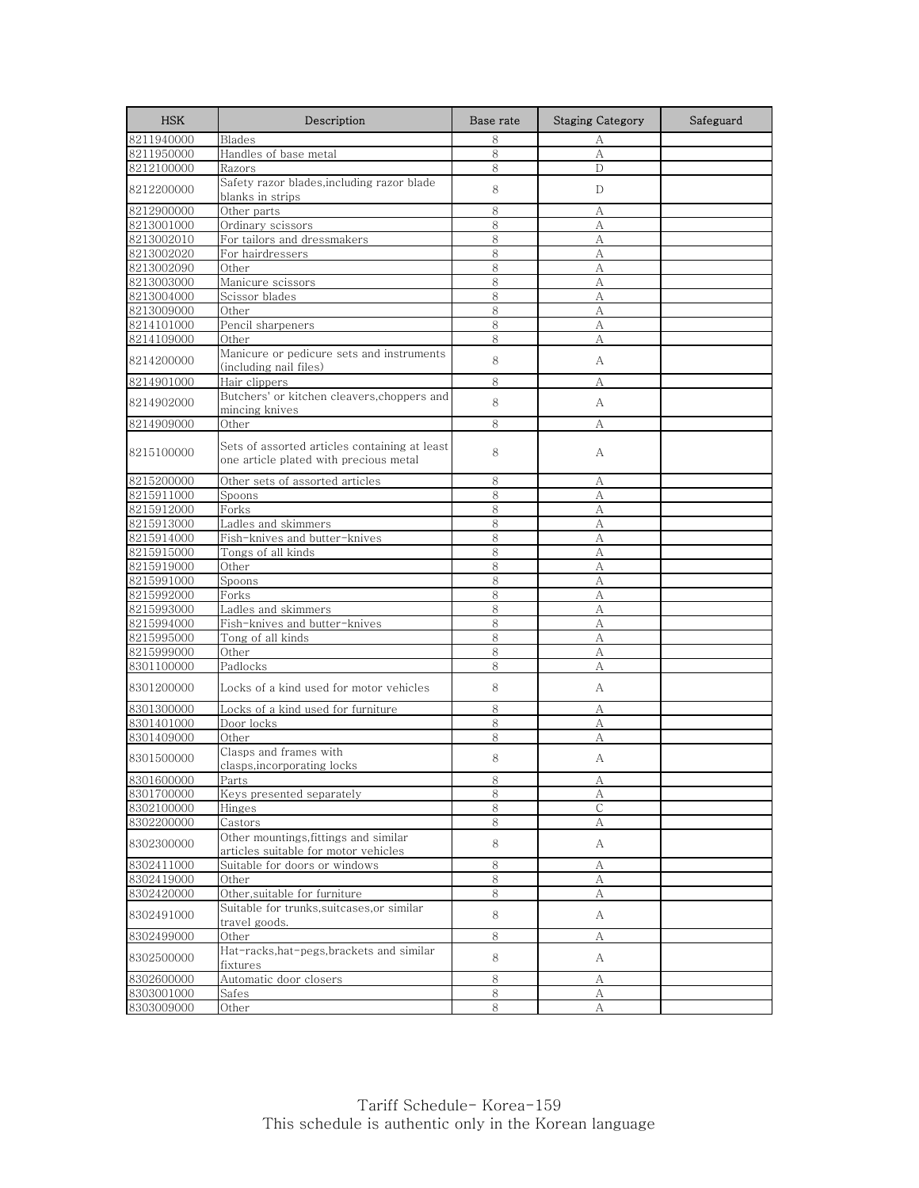| <b>HSK</b> | Description                                                                             | Base rate | <b>Staging Category</b> | Safeguard |
|------------|-----------------------------------------------------------------------------------------|-----------|-------------------------|-----------|
| 8211940000 | <b>Blades</b>                                                                           | 8         | А                       |           |
| 8211950000 | Handles of base metal                                                                   | 8         | A                       |           |
| 8212100000 | Razors                                                                                  | 8         | D                       |           |
| 8212200000 | Safety razor blades, including razor blade<br>blanks in strips                          | 8         | D                       |           |
| 8212900000 | Other parts                                                                             | 8         | А                       |           |
| 8213001000 | Ordinary scissors                                                                       | 8         | A                       |           |
| 8213002010 | For tailors and dressmakers                                                             | 8         | А                       |           |
| 8213002020 | For hairdressers                                                                        | 8         | А                       |           |
| 8213002090 | Other                                                                                   | 8         | А                       |           |
| 8213003000 | Manicure scissors                                                                       | 8         | A                       |           |
| 8213004000 | Scissor blades                                                                          | 8         | А                       |           |
| 8213009000 | Other                                                                                   | 8         | A                       |           |
| 8214101000 | Pencil sharpeners                                                                       | 8         | A                       |           |
| 8214109000 | Other                                                                                   | 8         | А                       |           |
| 8214200000 | Manicure or pedicure sets and instruments<br>(including nail files)                     | 8         | A                       |           |
| 8214901000 | Hair clippers                                                                           | 8         | А                       |           |
| 8214902000 | Butchers' or kitchen cleavers, choppers and<br>mincing knives                           | 8         | A                       |           |
| 8214909000 | Other                                                                                   | 8         | А                       |           |
| 8215100000 | Sets of assorted articles containing at least<br>one article plated with precious metal | 8         | А                       |           |
| 8215200000 | Other sets of assorted articles                                                         | 8         | А                       |           |
| 8215911000 | Spoons                                                                                  | 8         | А                       |           |
| 8215912000 | Forks                                                                                   | 8         | А                       |           |
| 8215913000 | Ladles and skimmers                                                                     | 8         | А                       |           |
| 8215914000 | Fish-knives and butter-knives                                                           | 8         | А                       |           |
| 8215915000 | Tongs of all kinds                                                                      | 8         | А                       |           |
| 8215919000 | Other                                                                                   | 8         | А                       |           |
| 8215991000 | Spoons                                                                                  | 8         | A                       |           |
| 8215992000 | Forks                                                                                   | 8         | А                       |           |
| 8215993000 | Ladles and skimmers                                                                     | 8         | А                       |           |
| 8215994000 | Fish-knives and butter-knives                                                           | 8         | А                       |           |
| 8215995000 | Tong of all kinds                                                                       | 8         | А                       |           |
| 8215999000 | Other                                                                                   | 8         | А                       |           |
| 8301100000 | Padlocks                                                                                | 8         | А                       |           |
| 8301200000 | Locks of a kind used for motor vehicles                                                 | 8         | А                       |           |
| 8301300000 | Locks of a kind used for furniture                                                      | 8         | А                       |           |
| 8301401000 | Door locks                                                                              | 8         | A                       |           |
| 8301409000 | Other                                                                                   | 8         | А                       |           |
| 8301500000 | Clasps and frames with<br>clasps, incorporating locks                                   | 8         | А                       |           |
| 8301600000 | Parts                                                                                   | ୪         | $\overline{A}$          |           |
| 8301700000 | Keys presented separately                                                               | 8         | А                       |           |
| 8302100000 | Hinges                                                                                  | 8         | С                       |           |
| 8302200000 | Castors                                                                                 | 8         | А                       |           |
| 8302300000 | Other mountings, fittings and similar<br>articles suitable for motor vehicles           | 8         | A                       |           |
| 8302411000 | Suitable for doors or windows                                                           | 8         | А                       |           |
| 8302419000 | Other                                                                                   | 8         | А                       |           |
| 8302420000 | Other, suitable for furniture                                                           | 8         | А                       |           |
| 8302491000 | Suitable for trunks, suitcases, or similar<br>travel goods.                             | 8         | A                       |           |
| 8302499000 | Other                                                                                   | 8         | А                       |           |
| 8302500000 | Hat-racks, hat-pegs, brackets and similar<br>fixtures                                   | 8         | A                       |           |
| 8302600000 | Automatic door closers                                                                  | 8         | А                       |           |
| 8303001000 | Safes                                                                                   | 8         | А                       |           |
| 8303009000 | Other                                                                                   | 8         | А                       |           |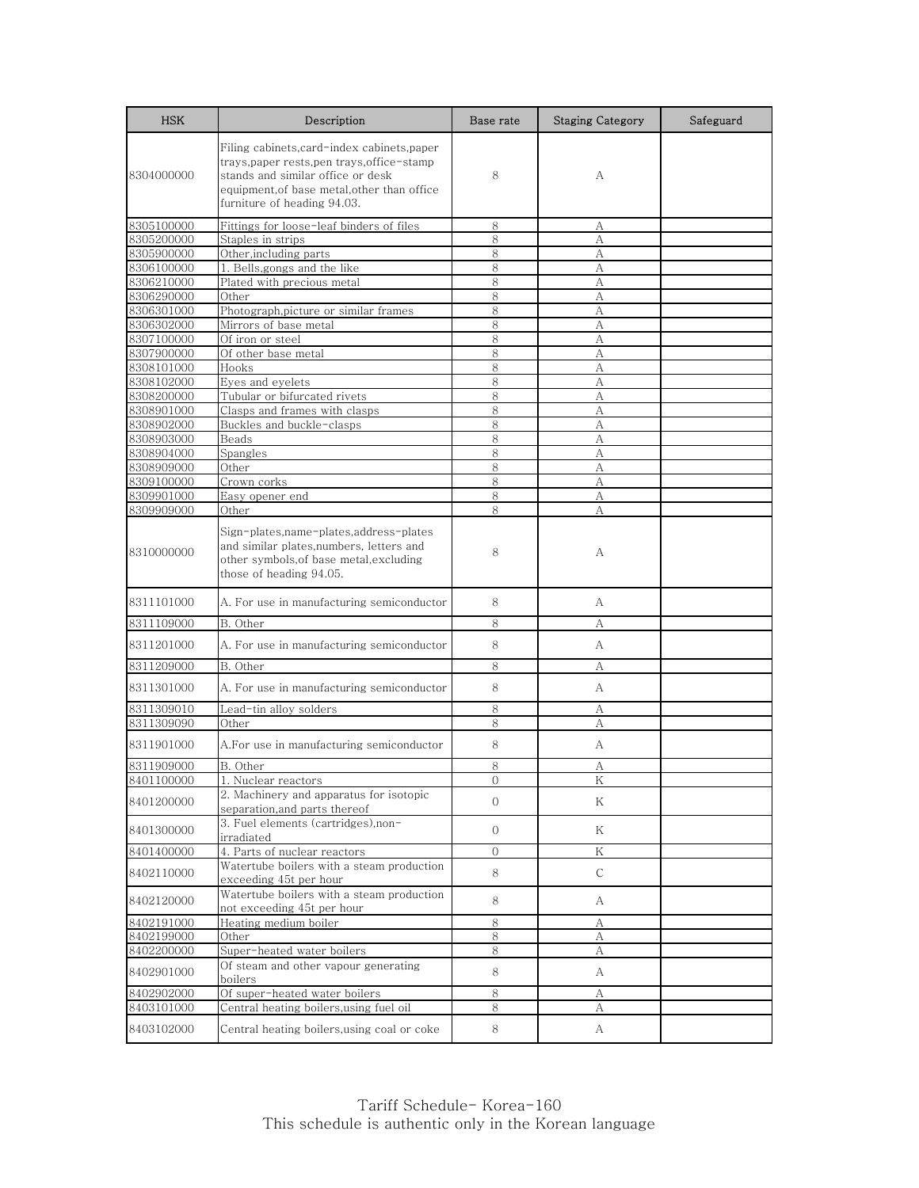| <b>HSK</b>               | Description                                                                                                                                                                                               | Base rate      | <b>Staging Category</b> | Safeguard |
|--------------------------|-----------------------------------------------------------------------------------------------------------------------------------------------------------------------------------------------------------|----------------|-------------------------|-----------|
| 8304000000               | Filing cabinets,card-index cabinets,paper<br>trays, paper rests, pen trays, office-stamp<br>stands and similar office or desk<br>equipment.of base metal.other than office<br>furniture of heading 94.03. | 8              | А                       |           |
| 8305100000               | Fittings for loose-leaf binders of files                                                                                                                                                                  | 8              | А                       |           |
| 8305200000               | Staples in strips                                                                                                                                                                                         | 8              | A                       |           |
| 8305900000               | Other, including parts                                                                                                                                                                                    | 8              | А                       |           |
| 8306100000               | 1. Bells, gongs and the like                                                                                                                                                                              | 8              | А                       |           |
| 8306210000               | Plated with precious metal<br>Other                                                                                                                                                                       | 8              | А                       |           |
| 8306290000<br>8306301000 | Photograph, picture or similar frames                                                                                                                                                                     | 8<br>8         | А<br>A                  |           |
| 8306302000               | Mirrors of base metal                                                                                                                                                                                     | 8              | А                       |           |
| 8307100000               | Of iron or steel                                                                                                                                                                                          | 8              | A                       |           |
| 8307900000               | Of other base metal                                                                                                                                                                                       | 8              | А                       |           |
| 8308101000               | Hooks                                                                                                                                                                                                     | 8              | А                       |           |
| 8308102000               | Eyes and eyelets                                                                                                                                                                                          | 8              | А                       |           |
| 8308200000               | Tubular or bifurcated rivets                                                                                                                                                                              | 8              | A                       |           |
| 8308901000               | Clasps and frames with clasps                                                                                                                                                                             | 8              | А                       |           |
| 8308902000               | Buckles and buckle-clasps                                                                                                                                                                                 | 8              | А                       |           |
| 8308903000               | Beads                                                                                                                                                                                                     | 8              | А                       |           |
| 8308904000               | Spangles                                                                                                                                                                                                  | 8              | А                       |           |
| 8308909000<br>8309100000 | Other<br>Crown corks                                                                                                                                                                                      | 8<br>8         | А<br>А                  |           |
| 8309901000               | Easy opener end                                                                                                                                                                                           | 8              | А                       |           |
| 8309909000               | Other                                                                                                                                                                                                     | 8              | A                       |           |
| 8310000000               | Sign-plates,name-plates,address-plates<br>and similar plates, numbers, letters and<br>other symbols, of base metal, excluding<br>those of heading 94.05.                                                  | 8              | А                       |           |
| 8311101000               | A. For use in manufacturing semiconductor                                                                                                                                                                 | 8              | A                       |           |
| 8311109000               | B. Other                                                                                                                                                                                                  | 8              | A                       |           |
| 8311201000               | A. For use in manufacturing semiconductor                                                                                                                                                                 | 8              | А                       |           |
| 8311209000               | B. Other                                                                                                                                                                                                  | 8              | А                       |           |
| 8311301000               | A. For use in manufacturing semiconductor                                                                                                                                                                 | 8              | A                       |           |
| 8311309010               | Lead-tin alloy solders                                                                                                                                                                                    | 8              | А                       |           |
| 8311309090               | Other                                                                                                                                                                                                     | 8              | А                       |           |
| 8311901000               | A.For use in manufacturing semiconductor                                                                                                                                                                  | 8              | А                       |           |
| 8311909000               | B. Other                                                                                                                                                                                                  | 8              | А                       |           |
| 8401100000               | 1. Nuclear reactors                                                                                                                                                                                       | U              | K                       |           |
| 8401200000               | 2. Machinery and apparatus for isotopic<br>separation, and parts thereof                                                                                                                                  | $\overline{0}$ | Κ                       |           |
| 8401300000               | 3. Fuel elements (cartridges), non-<br>irradiated                                                                                                                                                         | 0              | Κ                       |           |
| 8401400000               | 4. Parts of nuclear reactors                                                                                                                                                                              | $\mathcal{O}$  | Κ                       |           |
| 8402110000               | Watertube boilers with a steam production<br>exceeding 45t per hour                                                                                                                                       | 8              | С                       |           |
| 8402120000               | Watertube boilers with a steam production<br>not exceeding 45t per hour                                                                                                                                   | 8              | A                       |           |
| 8402191000               | Heating medium boiler                                                                                                                                                                                     | 8              | А                       |           |
| 8402199000               | Other                                                                                                                                                                                                     | 8              | А                       |           |
| 8402200000               | Super-heated water boilers                                                                                                                                                                                | 8              | А                       |           |
| 8402901000               | Of steam and other vapour generating<br>boilers                                                                                                                                                           | 8              | A                       |           |
| 8402902000               | Of super-heated water boilers                                                                                                                                                                             | 8              | А                       |           |
| 8403101000               | Central heating boilers, using fuel oil                                                                                                                                                                   | 8              | А                       |           |
| 8403102000               | Central heating boilers,using coal or coke                                                                                                                                                                | 8              | A                       |           |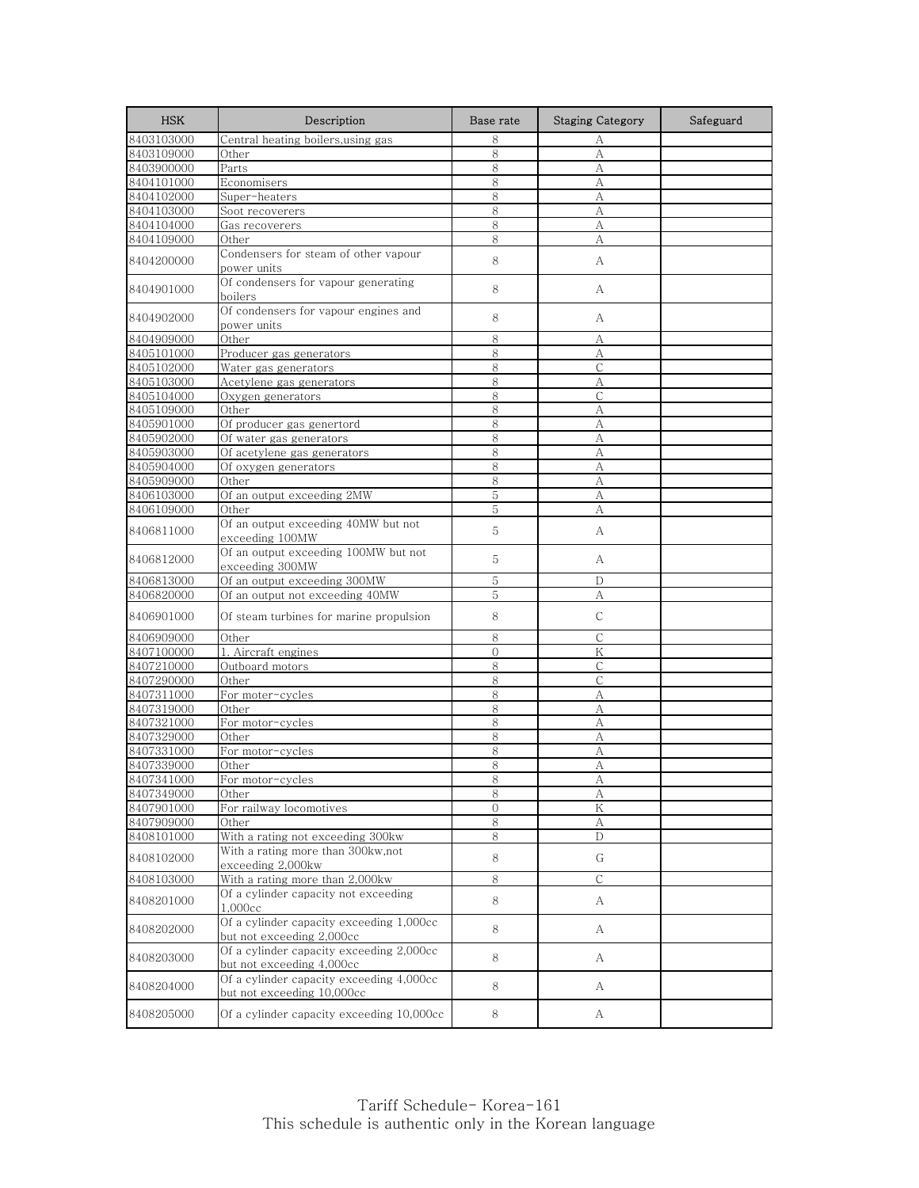| <b>HSK</b> | Description                                                            | Base rate    | <b>Staging Category</b> | Safeguard |
|------------|------------------------------------------------------------------------|--------------|-------------------------|-----------|
| 8403103000 | Central heating boilers, using gas                                     | 8            | А                       |           |
| 8403109000 | Other                                                                  | 8            | А                       |           |
| 8403900000 | Parts                                                                  | 8            | А                       |           |
| 8404101000 | Economisers                                                            | 8            | А                       |           |
| 8404102000 | Super-heaters                                                          | 8            | А                       |           |
| 8404103000 | Soot recoverers                                                        | 8            | А                       |           |
| 8404104000 | Gas recoverers                                                         | 8            | А                       |           |
| 8404109000 | Other                                                                  | 8            | А                       |           |
| 8404200000 | Condensers for steam of other vapour<br>power units                    | 8            | А                       |           |
| 8404901000 | Of condensers for vapour generating<br>boilers                         | 8            | A                       |           |
| 8404902000 | Of condensers for vapour engines and<br>power units                    | 8            | А                       |           |
| 8404909000 | Other                                                                  | 8            | А                       |           |
| 8405101000 | Producer gas generators                                                | 8            | А                       |           |
| 8405102000 | Water gas generators                                                   | 8            | С                       |           |
| 8405103000 | Acetylene gas generators                                               | 8            | A                       |           |
| 8405104000 | Oxygen generators                                                      | 8            | C                       |           |
| 8405109000 | Other                                                                  | 8            | А                       |           |
| 8405901000 | Of producer gas genertord                                              | 8            | A                       |           |
| 8405902000 | Of water gas generators                                                | 8            | А                       |           |
| 8405903000 | Of acetylene gas generators                                            | 8            | A                       |           |
| 8405904000 | Of oxygen generators                                                   | 8            | А                       |           |
| 8405909000 | Other                                                                  | 8            | А                       |           |
| 8406103000 | Of an output exceeding 2MW                                             | 5            | A                       |           |
| 8406109000 | Other                                                                  | 5            | А                       |           |
| 8406811000 | Of an output exceeding 40MW but not<br>exceeding 100MW                 | 5            | А                       |           |
| 8406812000 | Of an output exceeding 100MW but not<br>exceeding 300MW                | 5            | A                       |           |
| 8406813000 | Of an output exceeding 300MW                                           | 5            | D                       |           |
| 8406820000 | Of an output not exceeding 40MW                                        | 5            | А                       |           |
| 8406901000 | Of steam turbines for marine propulsion                                | 8            | C                       |           |
| 8406909000 | Other                                                                  | 8            | C                       |           |
| 8407100000 | 1. Aircraft engines                                                    | $\mathbf{0}$ | K                       |           |
| 8407210000 | Outboard motors                                                        | 8            | С                       |           |
| 8407290000 | Other                                                                  | 8            | $\mathbb{C}$            |           |
| 8407311000 | For moter-cycles                                                       | 8            | А                       |           |
| 8407319000 | Other                                                                  | 8            | А                       |           |
| 8407321000 | For motor-cycles                                                       | 8            | А                       |           |
| 8407329000 | Other                                                                  | 8            | А                       |           |
| 8407331000 | For motor-cycles                                                       | 8            | А                       |           |
| 8407339000 | Other                                                                  | 8            | А                       |           |
| 8407341000 | For motor-cycles                                                       | 8            |                         |           |
| 8407349000 | Other                                                                  | 8            | А                       |           |
| 8407901000 | For railway locomotives                                                | $\mathbf{0}$ | Κ                       |           |
| 8407909000 | Other                                                                  | 8            | $\boldsymbol{A}$        |           |
| 8408101000 | With a rating not exceeding 300kw                                      | 8            | D                       |           |
| 8408102000 | With a rating more than 300kw,not<br>exceeding 2,000kw                 | 8            | G                       |           |
| 8408103000 | With a rating more than 2,000kw                                        | 8            | C                       |           |
| 8408201000 | Of a cylinder capacity not exceeding<br>1,000cc                        | 8            | A                       |           |
| 8408202000 | Of a cylinder capacity exceeding 1,000cc<br>but not exceeding 2,000cc  | 8            | A                       |           |
| 8408203000 | Of a cylinder capacity exceeding 2,000cc<br>but not exceeding 4,000cc  | 8            | А                       |           |
| 8408204000 | Of a cylinder capacity exceeding 4,000cc<br>but not exceeding 10,000cc | 8            | A                       |           |
| 8408205000 | Of a cylinder capacity exceeding 10,000cc                              | 8            | A                       |           |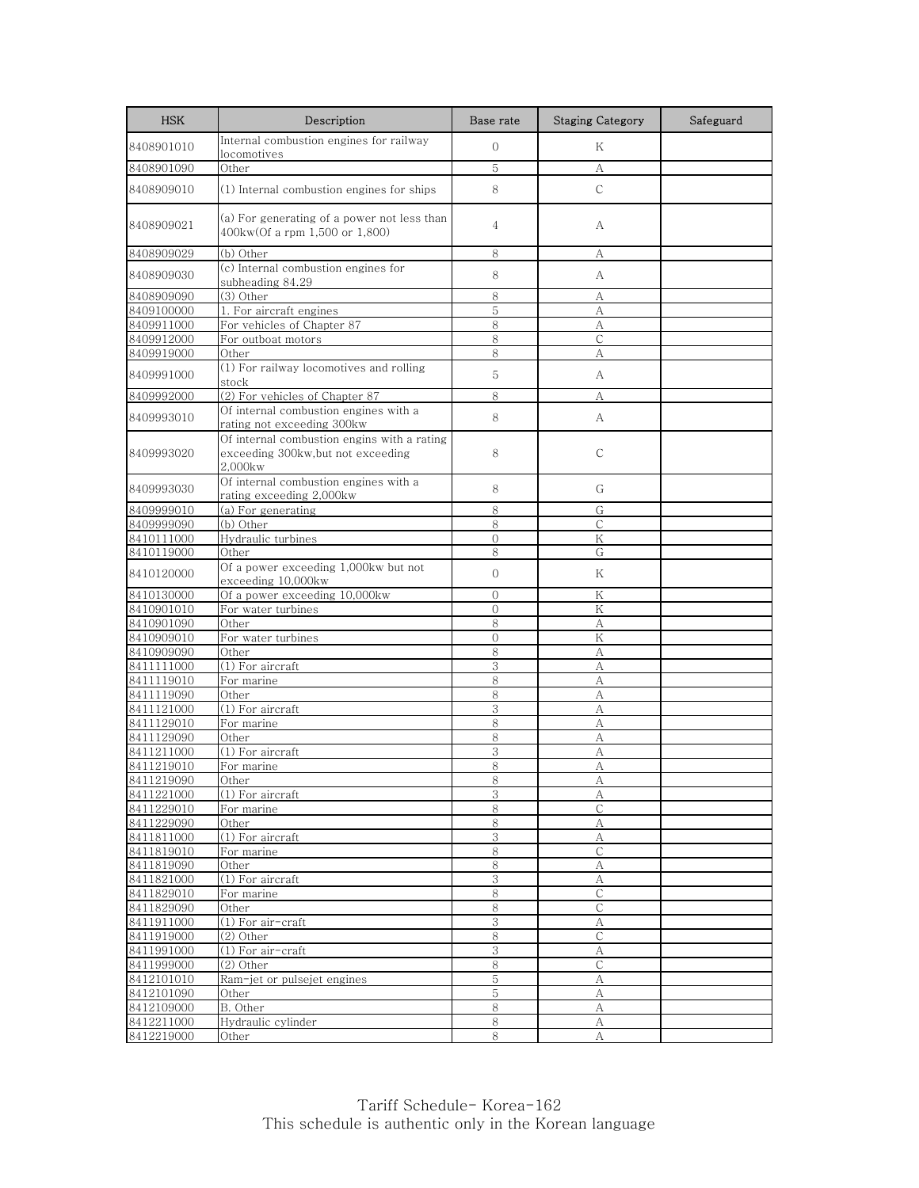| <b>HSK</b>               | Description                                                                                 | Base rate     | <b>Staging Category</b> | Safeguard |
|--------------------------|---------------------------------------------------------------------------------------------|---------------|-------------------------|-----------|
| 8408901010               | Internal combustion engines for railway<br>locomotives                                      | $\mathbf{O}$  | K                       |           |
| 8408901090               | Other                                                                                       | 5             | А                       |           |
| 8408909010               | (1) Internal combustion engines for ships                                                   | 8             | $\mathsf{C}$            |           |
| 8408909021               | (a) For generating of a power not less than<br>400kw(Of a rpm 1,500 or 1,800)               | 4             | A                       |           |
| 8408909029               | (b) Other                                                                                   | 8             | А                       |           |
| 8408909030               | (c) Internal combustion engines for<br>subheading 84.29                                     | 8             | А                       |           |
| 8408909090               | (3) Other                                                                                   | 8             | А                       |           |
| 8409100000               | 1. For aircraft engines                                                                     | 5             | A                       |           |
| 8409911000               | For vehicles of Chapter 87                                                                  | 8             | А                       |           |
| 8409912000               | For outboat motors                                                                          | 8             | C                       |           |
| 8409919000               | Other                                                                                       | 8             | А                       |           |
| 8409991000               | (1) For railway locomotives and rolling<br>stock                                            | 5             | А                       |           |
| 8409992000               | (2) For vehicles of Chapter 87                                                              | 8             | А                       |           |
| 8409993010               | Of internal combustion engines with a<br>rating not exceeding 300kw                         | 8             | А                       |           |
| 8409993020               | Of internal combustion engins with a rating<br>exceeding 300kw,but not exceeding<br>2,000kw | 8             | C                       |           |
| 8409993030               | Of internal combustion engines with a<br>rating exceeding 2,000kw                           | 8             | G                       |           |
| 8409999010               | (a) For generating                                                                          | 8             | G                       |           |
| 8409999090               | (b) Other                                                                                   | 8             | $\mathsf{C}$            |           |
| 8410111000               | Hydraulic turbines                                                                          | $\mathbf{0}$  | Κ                       |           |
| 8410119000               | Other                                                                                       | 8             | G                       |           |
| 8410120000               | Of a power exceeding 1,000kw but not<br>exceeding 10,000kw                                  | $\mathbf{O}$  | Κ                       |           |
| 8410130000               | Of a power exceeding 10,000kw                                                               | $\Omega$      | Κ                       |           |
| 8410901010               | For water turbines                                                                          | $\mathcal{O}$ | K                       |           |
| 8410901090               | Other                                                                                       | 8             | А                       |           |
| 8410909010               | For water turbines                                                                          | $\mathbf 0$   | Κ                       |           |
| 8410909090               | Other                                                                                       | 8             | A                       |           |
| 8411111000               | (1) For aircraft                                                                            | 3             | А                       |           |
| 8411119010               | For marine                                                                                  | 8             | A                       |           |
| 8411119090               | Other                                                                                       | 8             | A                       |           |
| 8411121000               | (1) For aircraft                                                                            | 3             | А                       |           |
| 8411129010               | For marine                                                                                  | 8             | A                       |           |
| 8411129090               | Other                                                                                       | 8             | А                       |           |
| 8411211000               | (1) For aircraft                                                                            | 3             | A                       |           |
| 8411219010               | For marine                                                                                  | 8             | A                       |           |
| 8411219090<br>8411221000 | Other<br>(1) For aircraft                                                                   | ୪<br>3        | A<br>А                  |           |
| 8411229010               | For marine                                                                                  | 8             | С                       |           |
| 8411229090               | Other                                                                                       | 8             | А                       |           |
| 8411811000               | (1) For aircraft                                                                            | 3             | А                       |           |
| 8411819010               | For marine                                                                                  | 8             | $\mathsf{C}$            |           |
| 8411819090               | Other                                                                                       | 8             | А                       |           |
| 8411821000               | $(1)$ For aircraft                                                                          | 3             | А                       |           |
| 8411829010               | For marine                                                                                  | 8             | $\mathsf{C}$            |           |
| 8411829090               | Other                                                                                       | 8             | С                       |           |
| 8411911000               | (1) For air-craft                                                                           | $\mathbf{3}$  | А                       |           |
| 8411919000               | $(2)$ Other                                                                                 | 8             | C                       |           |
| 8411991000               | (1) For air-craft                                                                           | 3             | А                       |           |
| 8411999000               | (2) Other                                                                                   | 8             | $\mathsf C$             |           |
| 8412101010               | Ram-jet or pulsejet engines                                                                 | 5             | А                       |           |
| 8412101090               | Other                                                                                       | 5             | А                       |           |
| 8412109000               | B. Other                                                                                    | 8             | А                       |           |
| 8412211000               | Hydraulic cylinder                                                                          | $\,8\,$       | А                       |           |
| 8412219000               | Other                                                                                       | 8             | А                       |           |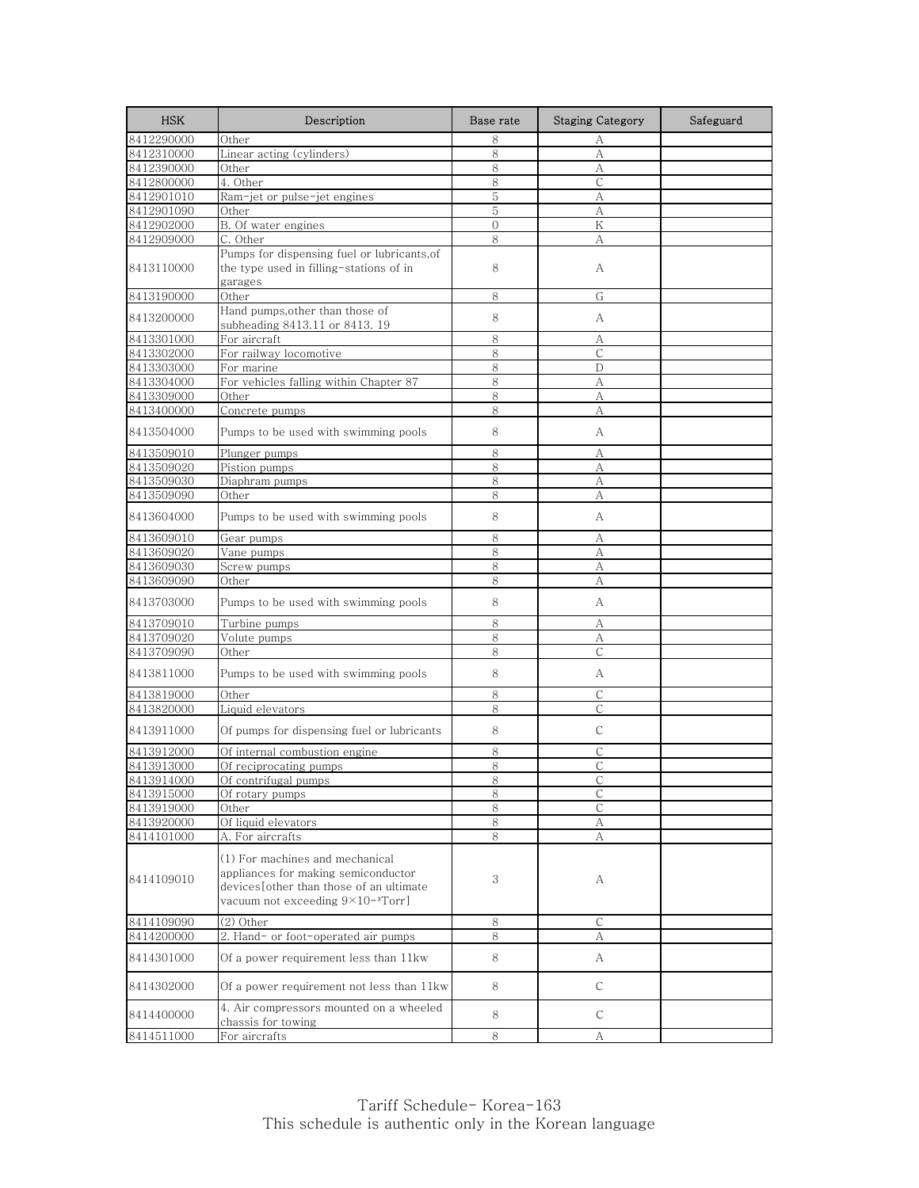| <b>HSK</b>               | Description                                     | Base rate    | <b>Staging Category</b> | Safeguard |
|--------------------------|-------------------------------------------------|--------------|-------------------------|-----------|
| 8412290000               | Other                                           | 8            | А                       |           |
| 8412310000               | Linear acting (cylinders)                       | 8            | А                       |           |
| 8412390000               | Other                                           | 8            | А                       |           |
| 8412800000               | 4. Other                                        | 8            | $\mathsf{C}$            |           |
| 8412901010               | Ram-jet or pulse-jet engines                    | 5            | А                       |           |
| 8412901090               | Other                                           | 5            | А                       |           |
| 8412902000               | B. Of water engines                             | $\mathbf{0}$ | K                       |           |
| 8412909000               | C. Other                                        | 8            | A                       |           |
|                          | Pumps for dispensing fuel or lubricants, of     |              |                         |           |
| 8413110000               | the type used in filling-stations of in         | 8            | А                       |           |
|                          | garages                                         |              |                         |           |
| 8413190000               | Other                                           | 8            | G                       |           |
|                          | Hand pumps, other than those of                 |              |                         |           |
| 8413200000               | subheading 8413.11 or 8413.19                   | 8            | А                       |           |
| 8413301000               | For aircraft                                    | 8            | А                       |           |
| 8413302000               | For railway locomotive                          | 8            | $\mathsf{C}$            |           |
| 8413303000               | For marine                                      | 8            | D                       |           |
| 8413304000               | For vehicles falling within Chapter 87          | 8            | А                       |           |
| 8413309000               | Other                                           | 8            | A                       |           |
| 8413400000               | Concrete pumps                                  | 8            | А                       |           |
|                          |                                                 |              |                         |           |
| 8413504000               | Pumps to be used with swimming pools            | 8            | А                       |           |
| 8413509010               | Plunger pumps                                   | 8            | А                       |           |
| 8413509020               | Pistion pumps                                   | 8            | А                       |           |
| 8413509030               | Diaphram pumps                                  | 8            | A                       |           |
| 8413509090               | Other                                           | 8            | А                       |           |
|                          |                                                 |              |                         |           |
| 8413604000               | Pumps to be used with swimming pools            | 8            | А                       |           |
| 8413609010               | Gear pumps                                      | 8            | А                       |           |
| 8413609020               | Vane pumps                                      | 8            | A                       |           |
| 8413609030               | Screw pumps                                     | 8            | А                       |           |
| 8413609090               | Other                                           | 8            | А                       |           |
|                          |                                                 |              |                         |           |
| 8413703000               | Pumps to be used with swimming pools            | 8            | А                       |           |
| 8413709010               | Turbine pumps                                   | 8            | А                       |           |
| 8413709020               | Volute pumps                                    | 8            | А                       |           |
| 8413709090               | Other                                           | 8            | $\mathsf{C}$            |           |
|                          |                                                 |              |                         |           |
| 8413811000               | Pumps to be used with swimming pools            | 8            | А                       |           |
| 8413819000               | Other                                           | 8            | C                       |           |
| 8413820000               | Liquid elevators                                | 8            | С                       |           |
|                          |                                                 |              |                         |           |
| 8413911000               | Of pumps for dispensing fuel or lubricants      | 8            | C                       |           |
| 8413912000               | Of internal combustion engine                   | 8            | C                       |           |
| 8413913000               | Of reciprocating pumps                          | 8            | C                       |           |
|                          |                                                 |              |                         |           |
| 8413914000<br>8413915000 | Of c <u>ontrifugal pumps</u><br>Of rotary pumps | ୪<br>8       | C                       |           |
| 8413919000               | Other                                           | 8            | С                       |           |
| 8413920000               | Of liquid elevators                             | $8\,$        | A                       |           |
| 8414101000               | A. For aircrafts                                | 8            | А                       |           |
|                          |                                                 |              |                         |           |
|                          | (1) For machines and mechanical                 |              |                         |           |
| 8414109010               | appliances for making semiconductor             | 3            | А                       |           |
|                          | devices[other than those of an ultimate         |              |                         |           |
|                          | vacuum not exceeding $9\times10^{-3}$ Torr]     |              |                         |           |
| 8414109090               | (2) Other                                       | $8\,$        | $\mathsf{C}$            |           |
|                          |                                                 |              |                         |           |
| 8414200000               | 2. Hand- or foot-operated air pumps             | 8            | А                       |           |
| 8414301000               | Of a power requirement less than 11kw           | 8            | A                       |           |
| 8414302000               | Of a power requirement not less than 11kw       | 8            | $\mathsf{C}$            |           |
| 8414400000               | 4. Air compressors mounted on a wheeled         | 8            | C                       |           |
|                          | chassis for towing                              |              |                         |           |
| 8414511000               | For aircrafts                                   | 8            | А                       |           |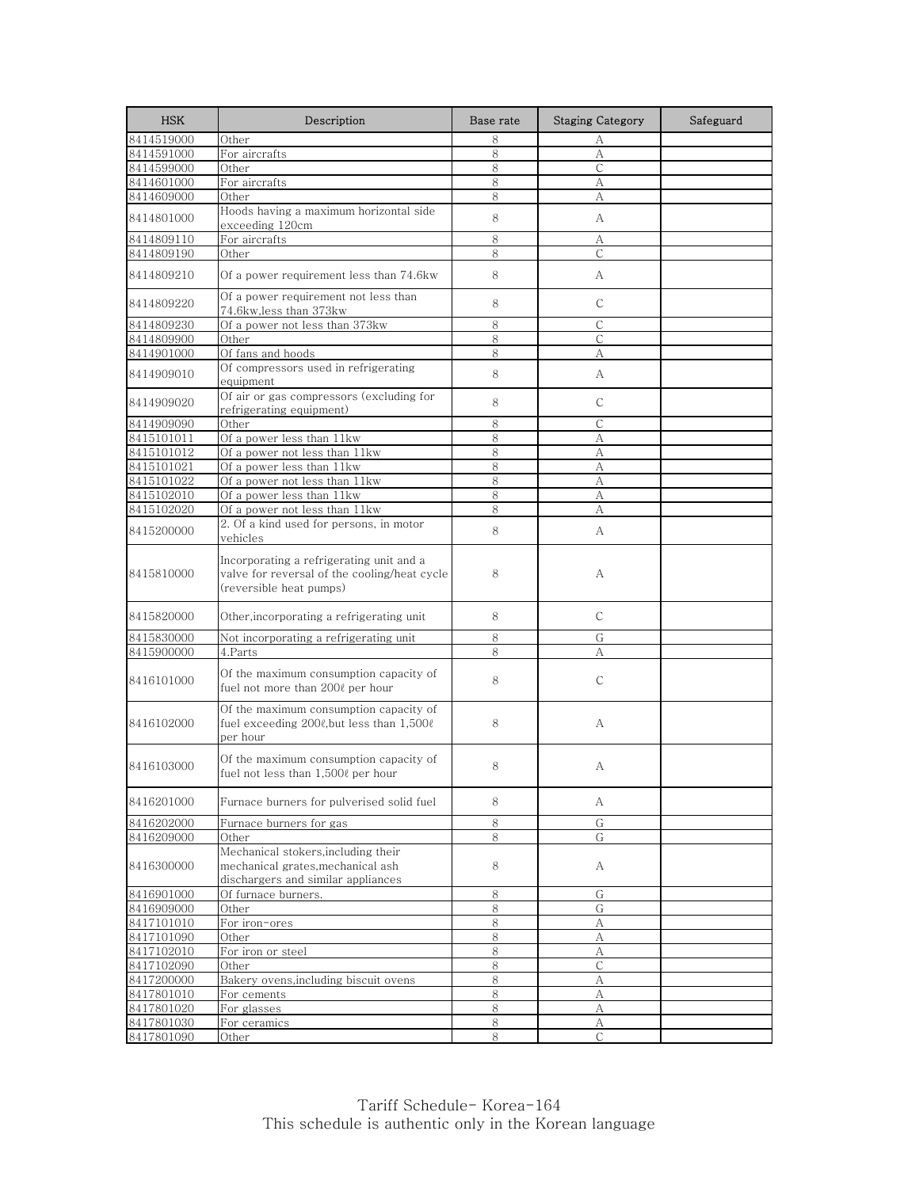| <b>HSK</b>               | Description                                                                                                         | Base rate | <b>Staging Category</b> | Safeguard |
|--------------------------|---------------------------------------------------------------------------------------------------------------------|-----------|-------------------------|-----------|
| 8414519000               | Other                                                                                                               | 8         | А                       |           |
| 8414591000               | For aircrafts                                                                                                       | 8         | А                       |           |
| 8414599000               | Other                                                                                                               | 8         | $\mathsf{C}$            |           |
| 8414601000               | For aircrafts                                                                                                       | 8         | А                       |           |
| 8414609000               | Other                                                                                                               | 8         | А                       |           |
| 8414801000               | Hoods having a maximum horizontal side<br>exceeding 120cm                                                           | 8         | А                       |           |
| 8414809110               | For aircrafts                                                                                                       | 8         | A                       |           |
| 8414809190               | Other                                                                                                               | 8         | $\mathsf{C}$            |           |
| 8414809210               | Of a power requirement less than 74.6kw                                                                             | 8         | A                       |           |
| 8414809220               | Of a power requirement not less than<br>74.6kw,less than 373kw                                                      | 8         | C                       |           |
| 8414809230               | Of a power not less than 373kw                                                                                      | 8         | C                       |           |
| 8414809900               | Other                                                                                                               | 8         | C                       |           |
| 8414901000               | Of fans and hoods                                                                                                   | 8         | A                       |           |
| 8414909010               | Of compressors used in refrigerating<br>equipment                                                                   | 8         | А                       |           |
| 8414909020               | Of air or gas compressors (excluding for<br>refrigerating equipment)                                                | 8         | C                       |           |
| 8414909090               | Other                                                                                                               | 8         | $\mathsf{C}$            |           |
| 8415101011               | Of a power less than 11kw                                                                                           | 8         | А                       |           |
| 8415101012               | Of a power not less than 11kw                                                                                       | 8         | А                       |           |
| 8415101021               | Of a power less than 11kw                                                                                           | 8         | А                       |           |
| 8415101022               | Of a power not less than 11kw                                                                                       | 8         | А                       |           |
| 8415102010               | Of a power less than 11kw                                                                                           | 8         | А                       |           |
| 8415102020               | Of a power not less than 11kw                                                                                       | 8         | А                       |           |
| 8415200000               | 2. Of a kind used for persons, in motor<br>vehicles                                                                 | 8         | A                       |           |
| 8415810000               | Incorporating a refrigerating unit and a<br>valve for reversal of the cooling/heat cycle<br>(reversible heat pumps) | 8         | А                       |           |
| 8415820000               | Other, incorporating a refrigerating unit                                                                           | 8         | $\mathsf{C}$            |           |
| 8415830000               | Not incorporating a refrigerating unit                                                                              | 8         | G                       |           |
| 8415900000               | 4.Parts                                                                                                             | 8         | А                       |           |
| 8416101000               | Of the maximum consumption capacity of<br>fuel not more than 200ℓ per hour                                          | 8         | $\mathsf{C}$            |           |
| 8416102000               | Of the maximum consumption capacity of<br>fuel exceeding $200\ell$ , but less than $1,500\ell$<br>per hour          | 8         | А                       |           |
| 8416103000               | Of the maximum consumption capacity of<br>fuel not less than 1,5000 per hour                                        | 8         | А                       |           |
| 8416201000               | Furnace burners for pulverised solid fuel                                                                           | 8         | А                       |           |
| 8416202000               | Furnace burners for gas                                                                                             | $\,8\,$   | G                       |           |
| 8416209000               | Other                                                                                                               | 8         | G                       |           |
| 8416300000               | Mechanical stokers, including their<br>mechanical grates, mechanical ash<br>dischargers and similar appliances      | 8         | A                       |           |
| 8416901000               | Of furnace burners.                                                                                                 | 8         | G                       |           |
| 8416909000               | Other                                                                                                               | 8         | G                       |           |
| 8417101010               | For iron-ores                                                                                                       | 8         | А                       |           |
| 8417101090               | Other                                                                                                               | 8         | А                       |           |
| 8417102010               | For iron or steel                                                                                                   | 8         | А                       |           |
| 8417102090               | Other                                                                                                               | 8         | $\mathsf{C}$            |           |
| 8417200000               | Bakery ovens,including biscuit ovens                                                                                | 8         | А                       |           |
| 8417801010               | For cements                                                                                                         | 8         | А                       |           |
| 8417801020               | For glasses                                                                                                         | 8         | А                       |           |
| 8417801030<br>8417801090 | For ceramics<br>Other                                                                                               | 8<br>8    | А<br>$\mathsf{C}$       |           |
|                          |                                                                                                                     |           |                         |           |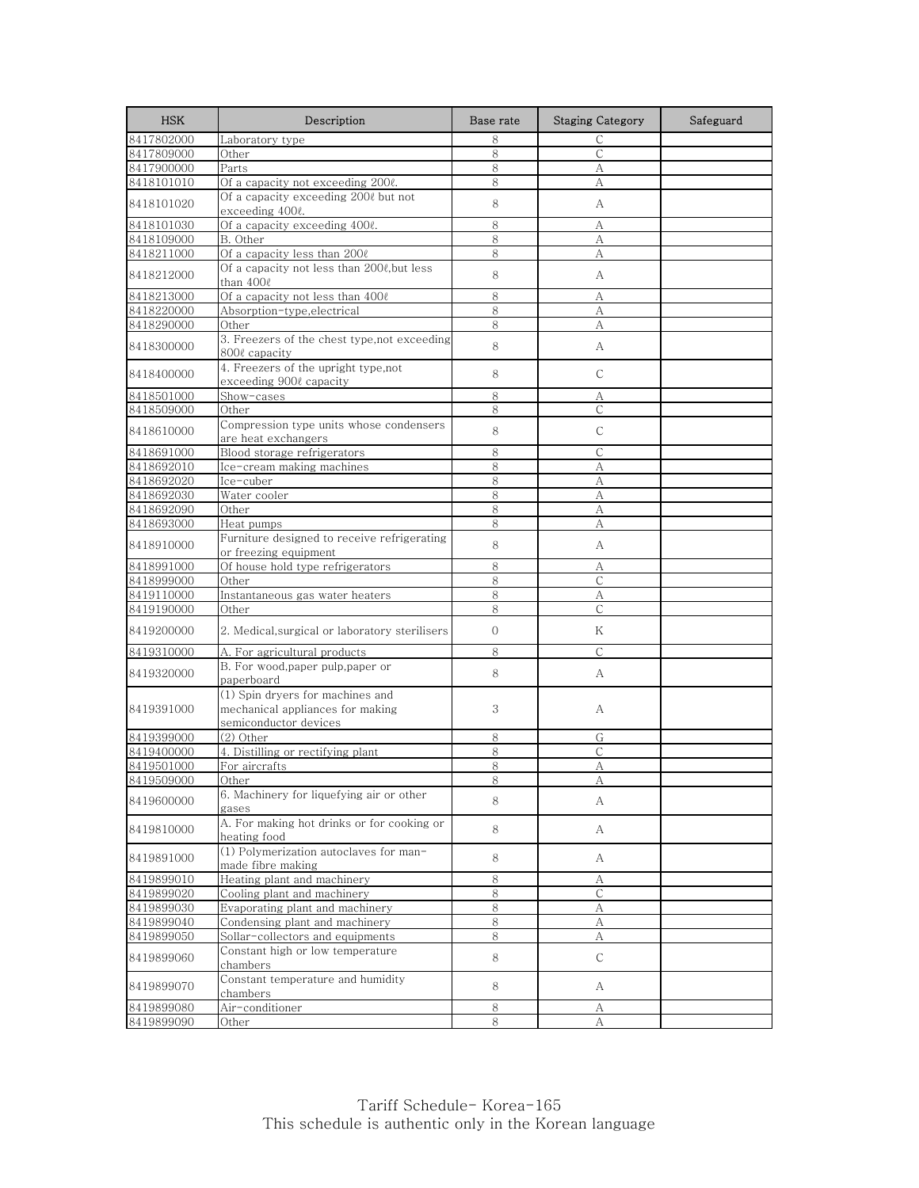| 8417802000<br>8<br>$\mathsf{C}$<br>Laboratory type<br>8417809000<br>Other<br>8<br>$\mathsf{C}$<br>Parts<br>8<br>8417900000<br>А<br>8418101010<br>8<br>А<br>Of a capacity not exceeding 200ℓ.<br>Of a capacity exceeding 2000 but not<br>8<br>8418101020<br>А<br>exceeding 400ℓ.<br>Of a capacity exceeding 400ℓ.<br>8<br>8418101030<br>А<br>8418109000<br>8<br>B. Other<br>А<br>Of a capacity less than 2000<br>8418211000<br>8<br>А<br>Of a capacity not less than 200ℓ,but less<br>8<br>8418212000<br>A<br>than 400ℓ<br>Of a capacity not less than 4000<br>8<br>8418213000<br>А<br>Absorption-type, electrical<br>8<br>8418220000<br>А<br>8418290000<br>8<br>Other<br>А<br>3. Freezers of the chest type, not exceeding<br>8<br>8418300000<br>А<br>800ℓ capacity<br>4. Freezers of the upright type,not<br>8<br>$\mathsf{C}$<br>8418400000<br>exceeding 900ℓ capacity<br>Show-cases<br>8<br>8418501000<br>А<br>8418509000<br>8<br>$\mathsf{C}$<br>Other<br>Compression type units whose condensers<br>8<br>C<br>8418610000<br>are heat exchangers<br>Blood storage refrigerators<br>8<br>$\mathsf{C}$<br>8418691000<br>8418692010<br>8<br>Ice-cream making machines<br>А<br>8<br>8418692020<br>Ice-cuber<br>А<br>8418692030<br>Water cooler<br>8<br>А<br>8<br>8418692090<br>Other<br>А<br>8<br>8418693000<br>Heat pumps<br>А<br>Furniture designed to receive refrigerating<br>8<br>8418910000<br>A<br>or freezing equipment<br>Of house hold type refrigerators<br>8418991000<br>8<br>А<br>$\mathcal{C}$<br>8418999000<br>Other<br>8<br>Instantaneous gas water heaters<br>8<br>8419110000<br>А<br>Other<br>8<br>С<br>8419190000<br>8419200000<br>2. Medical, surgical or laboratory sterilisers<br>$\overline{0}$<br>Κ<br>$\mathsf{C}$<br>A. For agricultural products<br>8<br>8419310000<br>B. For wood,paper pulp,paper or<br>8419320000<br>8<br>А<br>paperboard<br>(1) Spin dryers for machines and<br>mechanical appliances for making<br>3<br>А<br>semiconductor devices<br>(2) Other<br>8<br>G<br>8<br>$\mathsf{C}$<br>8419400000<br>4. Distilling or rectifying plant<br>8419501000<br>For aircrafts<br>8<br>A<br>8419509000<br>Other<br>8<br>A<br>6. Machinery for liquefying air or other<br>8419600000<br>8<br>A<br>gases<br>A. For making hot drinks or for cooking or<br>8<br>A<br>heating food<br>(1) Polymerization autoclaves for man-<br>8<br>A<br>made fibre making<br>Heating plant and machinery<br>8419899010<br>8<br>А<br>Cooling plant and machinery<br>$\mathsf{C}$<br>8419899020<br>8<br>8419899030<br>Evaporating plant and machinery<br>8<br>А<br>Condensing plant and machinery<br>8<br>A<br>Sollar-collectors and equipments<br>8<br>А<br>Constant high or low temperature<br>8<br>С<br>chambers<br>Constant temperature and humidity<br>8<br>A<br>chambers<br>Air-conditioner<br>8419899080<br>8<br>А | <b>HSK</b> | Description | Base rate | <b>Staging Category</b> | Safeguard |
|-----------------------------------------------------------------------------------------------------------------------------------------------------------------------------------------------------------------------------------------------------------------------------------------------------------------------------------------------------------------------------------------------------------------------------------------------------------------------------------------------------------------------------------------------------------------------------------------------------------------------------------------------------------------------------------------------------------------------------------------------------------------------------------------------------------------------------------------------------------------------------------------------------------------------------------------------------------------------------------------------------------------------------------------------------------------------------------------------------------------------------------------------------------------------------------------------------------------------------------------------------------------------------------------------------------------------------------------------------------------------------------------------------------------------------------------------------------------------------------------------------------------------------------------------------------------------------------------------------------------------------------------------------------------------------------------------------------------------------------------------------------------------------------------------------------------------------------------------------------------------------------------------------------------------------------------------------------------------------------------------------------------------------------------------------------------------------------------------------------------------------------------------------------------------------------------------------------------------------------------------------------------------------------------------------------------------------------------------------------------------------------------------------------------------------------------------------------------------------------------------------------------------------------------------------------------------------------------------------------------------------------------------------------------------------------------------------------------------------------------------------------------------------------------------------------------------------------------|------------|-------------|-----------|-------------------------|-----------|
|                                                                                                                                                                                                                                                                                                                                                                                                                                                                                                                                                                                                                                                                                                                                                                                                                                                                                                                                                                                                                                                                                                                                                                                                                                                                                                                                                                                                                                                                                                                                                                                                                                                                                                                                                                                                                                                                                                                                                                                                                                                                                                                                                                                                                                                                                                                                                                                                                                                                                                                                                                                                                                                                                                                                                                                                                                         |            |             |           |                         |           |
|                                                                                                                                                                                                                                                                                                                                                                                                                                                                                                                                                                                                                                                                                                                                                                                                                                                                                                                                                                                                                                                                                                                                                                                                                                                                                                                                                                                                                                                                                                                                                                                                                                                                                                                                                                                                                                                                                                                                                                                                                                                                                                                                                                                                                                                                                                                                                                                                                                                                                                                                                                                                                                                                                                                                                                                                                                         |            |             |           |                         |           |
|                                                                                                                                                                                                                                                                                                                                                                                                                                                                                                                                                                                                                                                                                                                                                                                                                                                                                                                                                                                                                                                                                                                                                                                                                                                                                                                                                                                                                                                                                                                                                                                                                                                                                                                                                                                                                                                                                                                                                                                                                                                                                                                                                                                                                                                                                                                                                                                                                                                                                                                                                                                                                                                                                                                                                                                                                                         |            |             |           |                         |           |
|                                                                                                                                                                                                                                                                                                                                                                                                                                                                                                                                                                                                                                                                                                                                                                                                                                                                                                                                                                                                                                                                                                                                                                                                                                                                                                                                                                                                                                                                                                                                                                                                                                                                                                                                                                                                                                                                                                                                                                                                                                                                                                                                                                                                                                                                                                                                                                                                                                                                                                                                                                                                                                                                                                                                                                                                                                         |            |             |           |                         |           |
|                                                                                                                                                                                                                                                                                                                                                                                                                                                                                                                                                                                                                                                                                                                                                                                                                                                                                                                                                                                                                                                                                                                                                                                                                                                                                                                                                                                                                                                                                                                                                                                                                                                                                                                                                                                                                                                                                                                                                                                                                                                                                                                                                                                                                                                                                                                                                                                                                                                                                                                                                                                                                                                                                                                                                                                                                                         |            |             |           |                         |           |
|                                                                                                                                                                                                                                                                                                                                                                                                                                                                                                                                                                                                                                                                                                                                                                                                                                                                                                                                                                                                                                                                                                                                                                                                                                                                                                                                                                                                                                                                                                                                                                                                                                                                                                                                                                                                                                                                                                                                                                                                                                                                                                                                                                                                                                                                                                                                                                                                                                                                                                                                                                                                                                                                                                                                                                                                                                         |            |             |           |                         |           |
|                                                                                                                                                                                                                                                                                                                                                                                                                                                                                                                                                                                                                                                                                                                                                                                                                                                                                                                                                                                                                                                                                                                                                                                                                                                                                                                                                                                                                                                                                                                                                                                                                                                                                                                                                                                                                                                                                                                                                                                                                                                                                                                                                                                                                                                                                                                                                                                                                                                                                                                                                                                                                                                                                                                                                                                                                                         |            |             |           |                         |           |
|                                                                                                                                                                                                                                                                                                                                                                                                                                                                                                                                                                                                                                                                                                                                                                                                                                                                                                                                                                                                                                                                                                                                                                                                                                                                                                                                                                                                                                                                                                                                                                                                                                                                                                                                                                                                                                                                                                                                                                                                                                                                                                                                                                                                                                                                                                                                                                                                                                                                                                                                                                                                                                                                                                                                                                                                                                         |            |             |           |                         |           |
|                                                                                                                                                                                                                                                                                                                                                                                                                                                                                                                                                                                                                                                                                                                                                                                                                                                                                                                                                                                                                                                                                                                                                                                                                                                                                                                                                                                                                                                                                                                                                                                                                                                                                                                                                                                                                                                                                                                                                                                                                                                                                                                                                                                                                                                                                                                                                                                                                                                                                                                                                                                                                                                                                                                                                                                                                                         |            |             |           |                         |           |
|                                                                                                                                                                                                                                                                                                                                                                                                                                                                                                                                                                                                                                                                                                                                                                                                                                                                                                                                                                                                                                                                                                                                                                                                                                                                                                                                                                                                                                                                                                                                                                                                                                                                                                                                                                                                                                                                                                                                                                                                                                                                                                                                                                                                                                                                                                                                                                                                                                                                                                                                                                                                                                                                                                                                                                                                                                         |            |             |           |                         |           |
|                                                                                                                                                                                                                                                                                                                                                                                                                                                                                                                                                                                                                                                                                                                                                                                                                                                                                                                                                                                                                                                                                                                                                                                                                                                                                                                                                                                                                                                                                                                                                                                                                                                                                                                                                                                                                                                                                                                                                                                                                                                                                                                                                                                                                                                                                                                                                                                                                                                                                                                                                                                                                                                                                                                                                                                                                                         |            |             |           |                         |           |
|                                                                                                                                                                                                                                                                                                                                                                                                                                                                                                                                                                                                                                                                                                                                                                                                                                                                                                                                                                                                                                                                                                                                                                                                                                                                                                                                                                                                                                                                                                                                                                                                                                                                                                                                                                                                                                                                                                                                                                                                                                                                                                                                                                                                                                                                                                                                                                                                                                                                                                                                                                                                                                                                                                                                                                                                                                         |            |             |           |                         |           |
|                                                                                                                                                                                                                                                                                                                                                                                                                                                                                                                                                                                                                                                                                                                                                                                                                                                                                                                                                                                                                                                                                                                                                                                                                                                                                                                                                                                                                                                                                                                                                                                                                                                                                                                                                                                                                                                                                                                                                                                                                                                                                                                                                                                                                                                                                                                                                                                                                                                                                                                                                                                                                                                                                                                                                                                                                                         |            |             |           |                         |           |
|                                                                                                                                                                                                                                                                                                                                                                                                                                                                                                                                                                                                                                                                                                                                                                                                                                                                                                                                                                                                                                                                                                                                                                                                                                                                                                                                                                                                                                                                                                                                                                                                                                                                                                                                                                                                                                                                                                                                                                                                                                                                                                                                                                                                                                                                                                                                                                                                                                                                                                                                                                                                                                                                                                                                                                                                                                         |            |             |           |                         |           |
|                                                                                                                                                                                                                                                                                                                                                                                                                                                                                                                                                                                                                                                                                                                                                                                                                                                                                                                                                                                                                                                                                                                                                                                                                                                                                                                                                                                                                                                                                                                                                                                                                                                                                                                                                                                                                                                                                                                                                                                                                                                                                                                                                                                                                                                                                                                                                                                                                                                                                                                                                                                                                                                                                                                                                                                                                                         |            |             |           |                         |           |
|                                                                                                                                                                                                                                                                                                                                                                                                                                                                                                                                                                                                                                                                                                                                                                                                                                                                                                                                                                                                                                                                                                                                                                                                                                                                                                                                                                                                                                                                                                                                                                                                                                                                                                                                                                                                                                                                                                                                                                                                                                                                                                                                                                                                                                                                                                                                                                                                                                                                                                                                                                                                                                                                                                                                                                                                                                         |            |             |           |                         |           |
|                                                                                                                                                                                                                                                                                                                                                                                                                                                                                                                                                                                                                                                                                                                                                                                                                                                                                                                                                                                                                                                                                                                                                                                                                                                                                                                                                                                                                                                                                                                                                                                                                                                                                                                                                                                                                                                                                                                                                                                                                                                                                                                                                                                                                                                                                                                                                                                                                                                                                                                                                                                                                                                                                                                                                                                                                                         |            |             |           |                         |           |
|                                                                                                                                                                                                                                                                                                                                                                                                                                                                                                                                                                                                                                                                                                                                                                                                                                                                                                                                                                                                                                                                                                                                                                                                                                                                                                                                                                                                                                                                                                                                                                                                                                                                                                                                                                                                                                                                                                                                                                                                                                                                                                                                                                                                                                                                                                                                                                                                                                                                                                                                                                                                                                                                                                                                                                                                                                         |            |             |           |                         |           |
|                                                                                                                                                                                                                                                                                                                                                                                                                                                                                                                                                                                                                                                                                                                                                                                                                                                                                                                                                                                                                                                                                                                                                                                                                                                                                                                                                                                                                                                                                                                                                                                                                                                                                                                                                                                                                                                                                                                                                                                                                                                                                                                                                                                                                                                                                                                                                                                                                                                                                                                                                                                                                                                                                                                                                                                                                                         |            |             |           |                         |           |
|                                                                                                                                                                                                                                                                                                                                                                                                                                                                                                                                                                                                                                                                                                                                                                                                                                                                                                                                                                                                                                                                                                                                                                                                                                                                                                                                                                                                                                                                                                                                                                                                                                                                                                                                                                                                                                                                                                                                                                                                                                                                                                                                                                                                                                                                                                                                                                                                                                                                                                                                                                                                                                                                                                                                                                                                                                         |            |             |           |                         |           |
|                                                                                                                                                                                                                                                                                                                                                                                                                                                                                                                                                                                                                                                                                                                                                                                                                                                                                                                                                                                                                                                                                                                                                                                                                                                                                                                                                                                                                                                                                                                                                                                                                                                                                                                                                                                                                                                                                                                                                                                                                                                                                                                                                                                                                                                                                                                                                                                                                                                                                                                                                                                                                                                                                                                                                                                                                                         |            |             |           |                         |           |
|                                                                                                                                                                                                                                                                                                                                                                                                                                                                                                                                                                                                                                                                                                                                                                                                                                                                                                                                                                                                                                                                                                                                                                                                                                                                                                                                                                                                                                                                                                                                                                                                                                                                                                                                                                                                                                                                                                                                                                                                                                                                                                                                                                                                                                                                                                                                                                                                                                                                                                                                                                                                                                                                                                                                                                                                                                         |            |             |           |                         |           |
|                                                                                                                                                                                                                                                                                                                                                                                                                                                                                                                                                                                                                                                                                                                                                                                                                                                                                                                                                                                                                                                                                                                                                                                                                                                                                                                                                                                                                                                                                                                                                                                                                                                                                                                                                                                                                                                                                                                                                                                                                                                                                                                                                                                                                                                                                                                                                                                                                                                                                                                                                                                                                                                                                                                                                                                                                                         |            |             |           |                         |           |
|                                                                                                                                                                                                                                                                                                                                                                                                                                                                                                                                                                                                                                                                                                                                                                                                                                                                                                                                                                                                                                                                                                                                                                                                                                                                                                                                                                                                                                                                                                                                                                                                                                                                                                                                                                                                                                                                                                                                                                                                                                                                                                                                                                                                                                                                                                                                                                                                                                                                                                                                                                                                                                                                                                                                                                                                                                         |            |             |           |                         |           |
|                                                                                                                                                                                                                                                                                                                                                                                                                                                                                                                                                                                                                                                                                                                                                                                                                                                                                                                                                                                                                                                                                                                                                                                                                                                                                                                                                                                                                                                                                                                                                                                                                                                                                                                                                                                                                                                                                                                                                                                                                                                                                                                                                                                                                                                                                                                                                                                                                                                                                                                                                                                                                                                                                                                                                                                                                                         |            |             |           |                         |           |
|                                                                                                                                                                                                                                                                                                                                                                                                                                                                                                                                                                                                                                                                                                                                                                                                                                                                                                                                                                                                                                                                                                                                                                                                                                                                                                                                                                                                                                                                                                                                                                                                                                                                                                                                                                                                                                                                                                                                                                                                                                                                                                                                                                                                                                                                                                                                                                                                                                                                                                                                                                                                                                                                                                                                                                                                                                         |            |             |           |                         |           |
|                                                                                                                                                                                                                                                                                                                                                                                                                                                                                                                                                                                                                                                                                                                                                                                                                                                                                                                                                                                                                                                                                                                                                                                                                                                                                                                                                                                                                                                                                                                                                                                                                                                                                                                                                                                                                                                                                                                                                                                                                                                                                                                                                                                                                                                                                                                                                                                                                                                                                                                                                                                                                                                                                                                                                                                                                                         |            |             |           |                         |           |
|                                                                                                                                                                                                                                                                                                                                                                                                                                                                                                                                                                                                                                                                                                                                                                                                                                                                                                                                                                                                                                                                                                                                                                                                                                                                                                                                                                                                                                                                                                                                                                                                                                                                                                                                                                                                                                                                                                                                                                                                                                                                                                                                                                                                                                                                                                                                                                                                                                                                                                                                                                                                                                                                                                                                                                                                                                         |            |             |           |                         |           |
|                                                                                                                                                                                                                                                                                                                                                                                                                                                                                                                                                                                                                                                                                                                                                                                                                                                                                                                                                                                                                                                                                                                                                                                                                                                                                                                                                                                                                                                                                                                                                                                                                                                                                                                                                                                                                                                                                                                                                                                                                                                                                                                                                                                                                                                                                                                                                                                                                                                                                                                                                                                                                                                                                                                                                                                                                                         |            |             |           |                         |           |
|                                                                                                                                                                                                                                                                                                                                                                                                                                                                                                                                                                                                                                                                                                                                                                                                                                                                                                                                                                                                                                                                                                                                                                                                                                                                                                                                                                                                                                                                                                                                                                                                                                                                                                                                                                                                                                                                                                                                                                                                                                                                                                                                                                                                                                                                                                                                                                                                                                                                                                                                                                                                                                                                                                                                                                                                                                         |            |             |           |                         |           |
|                                                                                                                                                                                                                                                                                                                                                                                                                                                                                                                                                                                                                                                                                                                                                                                                                                                                                                                                                                                                                                                                                                                                                                                                                                                                                                                                                                                                                                                                                                                                                                                                                                                                                                                                                                                                                                                                                                                                                                                                                                                                                                                                                                                                                                                                                                                                                                                                                                                                                                                                                                                                                                                                                                                                                                                                                                         |            |             |           |                         |           |
|                                                                                                                                                                                                                                                                                                                                                                                                                                                                                                                                                                                                                                                                                                                                                                                                                                                                                                                                                                                                                                                                                                                                                                                                                                                                                                                                                                                                                                                                                                                                                                                                                                                                                                                                                                                                                                                                                                                                                                                                                                                                                                                                                                                                                                                                                                                                                                                                                                                                                                                                                                                                                                                                                                                                                                                                                                         | 8419391000 |             |           |                         |           |
|                                                                                                                                                                                                                                                                                                                                                                                                                                                                                                                                                                                                                                                                                                                                                                                                                                                                                                                                                                                                                                                                                                                                                                                                                                                                                                                                                                                                                                                                                                                                                                                                                                                                                                                                                                                                                                                                                                                                                                                                                                                                                                                                                                                                                                                                                                                                                                                                                                                                                                                                                                                                                                                                                                                                                                                                                                         |            |             |           |                         |           |
|                                                                                                                                                                                                                                                                                                                                                                                                                                                                                                                                                                                                                                                                                                                                                                                                                                                                                                                                                                                                                                                                                                                                                                                                                                                                                                                                                                                                                                                                                                                                                                                                                                                                                                                                                                                                                                                                                                                                                                                                                                                                                                                                                                                                                                                                                                                                                                                                                                                                                                                                                                                                                                                                                                                                                                                                                                         | 8419399000 |             |           |                         |           |
|                                                                                                                                                                                                                                                                                                                                                                                                                                                                                                                                                                                                                                                                                                                                                                                                                                                                                                                                                                                                                                                                                                                                                                                                                                                                                                                                                                                                                                                                                                                                                                                                                                                                                                                                                                                                                                                                                                                                                                                                                                                                                                                                                                                                                                                                                                                                                                                                                                                                                                                                                                                                                                                                                                                                                                                                                                         |            |             |           |                         |           |
|                                                                                                                                                                                                                                                                                                                                                                                                                                                                                                                                                                                                                                                                                                                                                                                                                                                                                                                                                                                                                                                                                                                                                                                                                                                                                                                                                                                                                                                                                                                                                                                                                                                                                                                                                                                                                                                                                                                                                                                                                                                                                                                                                                                                                                                                                                                                                                                                                                                                                                                                                                                                                                                                                                                                                                                                                                         |            |             |           |                         |           |
|                                                                                                                                                                                                                                                                                                                                                                                                                                                                                                                                                                                                                                                                                                                                                                                                                                                                                                                                                                                                                                                                                                                                                                                                                                                                                                                                                                                                                                                                                                                                                                                                                                                                                                                                                                                                                                                                                                                                                                                                                                                                                                                                                                                                                                                                                                                                                                                                                                                                                                                                                                                                                                                                                                                                                                                                                                         |            |             |           |                         |           |
|                                                                                                                                                                                                                                                                                                                                                                                                                                                                                                                                                                                                                                                                                                                                                                                                                                                                                                                                                                                                                                                                                                                                                                                                                                                                                                                                                                                                                                                                                                                                                                                                                                                                                                                                                                                                                                                                                                                                                                                                                                                                                                                                                                                                                                                                                                                                                                                                                                                                                                                                                                                                                                                                                                                                                                                                                                         |            |             |           |                         |           |
|                                                                                                                                                                                                                                                                                                                                                                                                                                                                                                                                                                                                                                                                                                                                                                                                                                                                                                                                                                                                                                                                                                                                                                                                                                                                                                                                                                                                                                                                                                                                                                                                                                                                                                                                                                                                                                                                                                                                                                                                                                                                                                                                                                                                                                                                                                                                                                                                                                                                                                                                                                                                                                                                                                                                                                                                                                         | 8419810000 |             |           |                         |           |
|                                                                                                                                                                                                                                                                                                                                                                                                                                                                                                                                                                                                                                                                                                                                                                                                                                                                                                                                                                                                                                                                                                                                                                                                                                                                                                                                                                                                                                                                                                                                                                                                                                                                                                                                                                                                                                                                                                                                                                                                                                                                                                                                                                                                                                                                                                                                                                                                                                                                                                                                                                                                                                                                                                                                                                                                                                         | 8419891000 |             |           |                         |           |
|                                                                                                                                                                                                                                                                                                                                                                                                                                                                                                                                                                                                                                                                                                                                                                                                                                                                                                                                                                                                                                                                                                                                                                                                                                                                                                                                                                                                                                                                                                                                                                                                                                                                                                                                                                                                                                                                                                                                                                                                                                                                                                                                                                                                                                                                                                                                                                                                                                                                                                                                                                                                                                                                                                                                                                                                                                         |            |             |           |                         |           |
|                                                                                                                                                                                                                                                                                                                                                                                                                                                                                                                                                                                                                                                                                                                                                                                                                                                                                                                                                                                                                                                                                                                                                                                                                                                                                                                                                                                                                                                                                                                                                                                                                                                                                                                                                                                                                                                                                                                                                                                                                                                                                                                                                                                                                                                                                                                                                                                                                                                                                                                                                                                                                                                                                                                                                                                                                                         |            |             |           |                         |           |
|                                                                                                                                                                                                                                                                                                                                                                                                                                                                                                                                                                                                                                                                                                                                                                                                                                                                                                                                                                                                                                                                                                                                                                                                                                                                                                                                                                                                                                                                                                                                                                                                                                                                                                                                                                                                                                                                                                                                                                                                                                                                                                                                                                                                                                                                                                                                                                                                                                                                                                                                                                                                                                                                                                                                                                                                                                         |            |             |           |                         |           |
|                                                                                                                                                                                                                                                                                                                                                                                                                                                                                                                                                                                                                                                                                                                                                                                                                                                                                                                                                                                                                                                                                                                                                                                                                                                                                                                                                                                                                                                                                                                                                                                                                                                                                                                                                                                                                                                                                                                                                                                                                                                                                                                                                                                                                                                                                                                                                                                                                                                                                                                                                                                                                                                                                                                                                                                                                                         | 8419899040 |             |           |                         |           |
|                                                                                                                                                                                                                                                                                                                                                                                                                                                                                                                                                                                                                                                                                                                                                                                                                                                                                                                                                                                                                                                                                                                                                                                                                                                                                                                                                                                                                                                                                                                                                                                                                                                                                                                                                                                                                                                                                                                                                                                                                                                                                                                                                                                                                                                                                                                                                                                                                                                                                                                                                                                                                                                                                                                                                                                                                                         | 8419899050 |             |           |                         |           |
|                                                                                                                                                                                                                                                                                                                                                                                                                                                                                                                                                                                                                                                                                                                                                                                                                                                                                                                                                                                                                                                                                                                                                                                                                                                                                                                                                                                                                                                                                                                                                                                                                                                                                                                                                                                                                                                                                                                                                                                                                                                                                                                                                                                                                                                                                                                                                                                                                                                                                                                                                                                                                                                                                                                                                                                                                                         | 8419899060 |             |           |                         |           |
|                                                                                                                                                                                                                                                                                                                                                                                                                                                                                                                                                                                                                                                                                                                                                                                                                                                                                                                                                                                                                                                                                                                                                                                                                                                                                                                                                                                                                                                                                                                                                                                                                                                                                                                                                                                                                                                                                                                                                                                                                                                                                                                                                                                                                                                                                                                                                                                                                                                                                                                                                                                                                                                                                                                                                                                                                                         | 8419899070 |             |           |                         |           |
|                                                                                                                                                                                                                                                                                                                                                                                                                                                                                                                                                                                                                                                                                                                                                                                                                                                                                                                                                                                                                                                                                                                                                                                                                                                                                                                                                                                                                                                                                                                                                                                                                                                                                                                                                                                                                                                                                                                                                                                                                                                                                                                                                                                                                                                                                                                                                                                                                                                                                                                                                                                                                                                                                                                                                                                                                                         |            |             |           |                         |           |
|                                                                                                                                                                                                                                                                                                                                                                                                                                                                                                                                                                                                                                                                                                                                                                                                                                                                                                                                                                                                                                                                                                                                                                                                                                                                                                                                                                                                                                                                                                                                                                                                                                                                                                                                                                                                                                                                                                                                                                                                                                                                                                                                                                                                                                                                                                                                                                                                                                                                                                                                                                                                                                                                                                                                                                                                                                         | 8419899090 | Other       | 8         | А                       |           |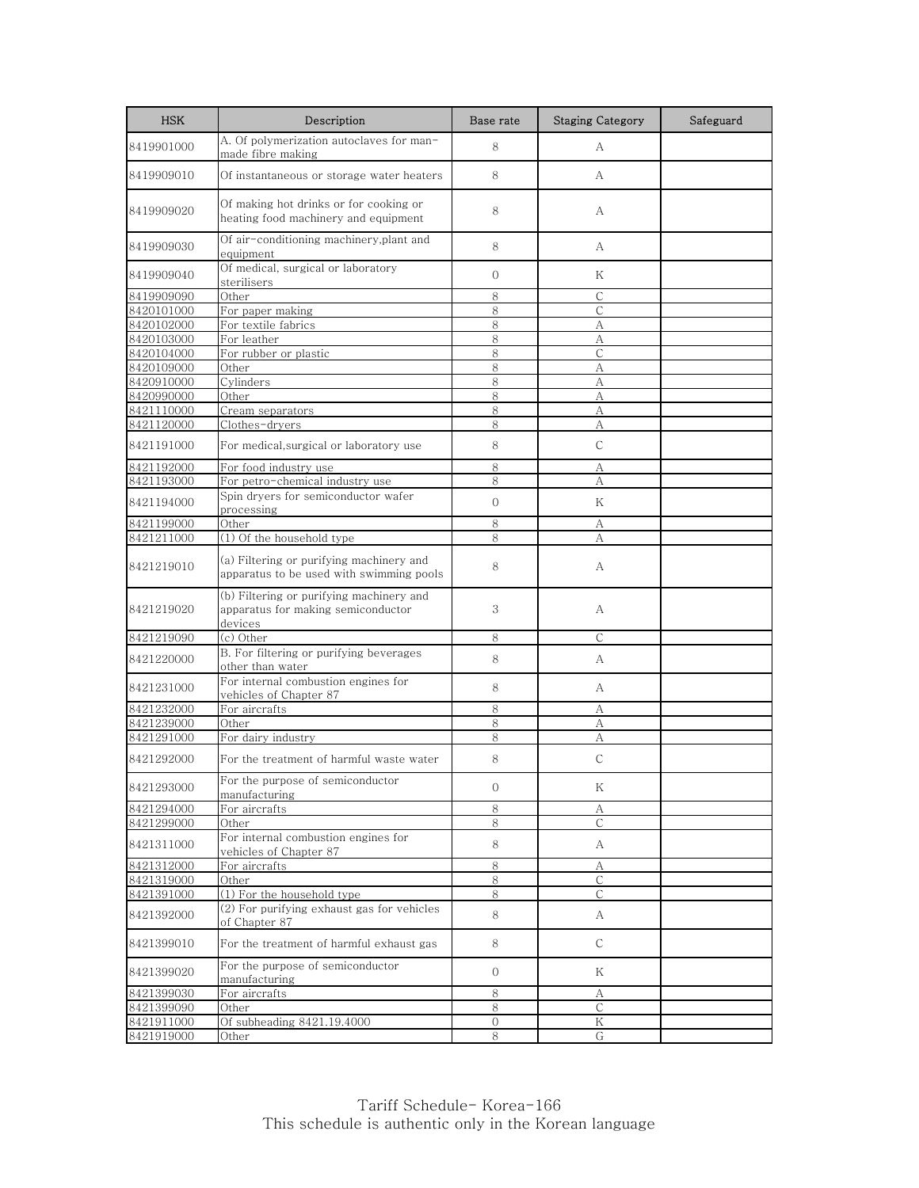| <b>HSK</b> | Description                                                                               | Base rate     | <b>Staging Category</b> | Safeguard |
|------------|-------------------------------------------------------------------------------------------|---------------|-------------------------|-----------|
| 8419901000 | A. Of polymerization autoclaves for man-<br>made fibre making                             | 8             | A                       |           |
| 8419909010 | Of instantaneous or storage water heaters                                                 | 8             | A                       |           |
| 8419909020 | Of making hot drinks or for cooking or<br>heating food machinery and equipment            | 8             | А                       |           |
| 8419909030 | Of air-conditioning machinery,plant and<br>equipment                                      | 8             | A                       |           |
| 8419909040 | Of medical, surgical or laboratory<br>sterilisers                                         | $\mathbf{O}$  | Κ                       |           |
| 8419909090 | Other                                                                                     | 8             | C                       |           |
| 8420101000 | For paper making                                                                          | 8             | $\mathsf{C}$            |           |
| 8420102000 | For textile fabrics                                                                       | 8             | А                       |           |
| 8420103000 | For leather                                                                               | 8             | А                       |           |
| 8420104000 | For rubber or plastic                                                                     | 8             | $\mathsf{C}$            |           |
| 8420109000 | Other                                                                                     | 8             | А                       |           |
| 8420910000 | Cylinders                                                                                 | 8             | А                       |           |
| 8420990000 | Other                                                                                     | 8             | А                       |           |
| 8421110000 | Cream separators                                                                          | 8             | А                       |           |
| 8421120000 | Clothes-dryers                                                                            | 8             | А                       |           |
| 8421191000 | For medical, surgical or laboratory use                                                   | 8             | C                       |           |
| 8421192000 | For food industry use                                                                     | 8             | А                       |           |
| 8421193000 | For petro-chemical industry use                                                           | 8             | A                       |           |
| 8421194000 | Spin dryers for semiconductor wafer<br>processing                                         | $\mathbf{O}$  | Κ                       |           |
| 8421199000 | Other                                                                                     | 8             | А                       |           |
| 8421211000 | (1) Of the household type                                                                 | 8             | А                       |           |
| 8421219010 | (a) Filtering or purifying machinery and<br>apparatus to be used with swimming pools      | 8             | A                       |           |
| 8421219020 | (b) Filtering or purifying machinery and<br>apparatus for making semiconductor<br>devices | 3             | А                       |           |
| 8421219090 | (c) Other                                                                                 | 8             | C                       |           |
|            | B. For filtering or purifying beverages                                                   |               |                         |           |
| 8421220000 | other than water                                                                          | 8             | A                       |           |
| 8421231000 | For internal combustion engines for<br>vehicles of Chapter 87                             | 8             | A                       |           |
| 8421232000 | For aircrafts                                                                             | 8             | А                       |           |
| 8421239000 | Other                                                                                     | 8             | А                       |           |
| 8421291000 | For dairy industry                                                                        | 8             | А                       |           |
| 8421292000 | For the treatment of harmful waste water                                                  | 8             | $\mathsf{C}$            |           |
| 8421293000 | For the purpose of semiconductor<br>manufacturing                                         | $\mathbf 0$   | Κ                       |           |
| 8421294000 | For aircrafts                                                                             | 8             | A                       |           |
| 8421299000 | Other                                                                                     | 8             | $\mathcal{C}$           |           |
| 8421311000 | For internal combustion engines for<br>vehicles of Chapter 87                             | 8             | A                       |           |
| 8421312000 | For aircrafts                                                                             | 8             | A                       |           |
| 8421319000 | Other                                                                                     | 8             | С                       |           |
| 8421391000 | (1) For the household type                                                                | 8             | C                       |           |
| 8421392000 | (2) For purifying exhaust gas for vehicles<br>of Chapter 87                               | 8             | A                       |           |
| 8421399010 | For the treatment of harmful exhaust gas                                                  | 8             | C                       |           |
| 8421399020 | For the purpose of semiconductor<br>manufacturing                                         | $\mathbf{0}$  | Κ                       |           |
| 8421399030 | For aircrafts                                                                             | $\,8\,$       | А                       |           |
| 8421399090 | Other                                                                                     | 8             | С                       |           |
| 8421911000 | Of subheading 8421.19.4000                                                                | $\mathcal{O}$ | Κ                       |           |
| 8421919000 | Other                                                                                     | 8             | G                       |           |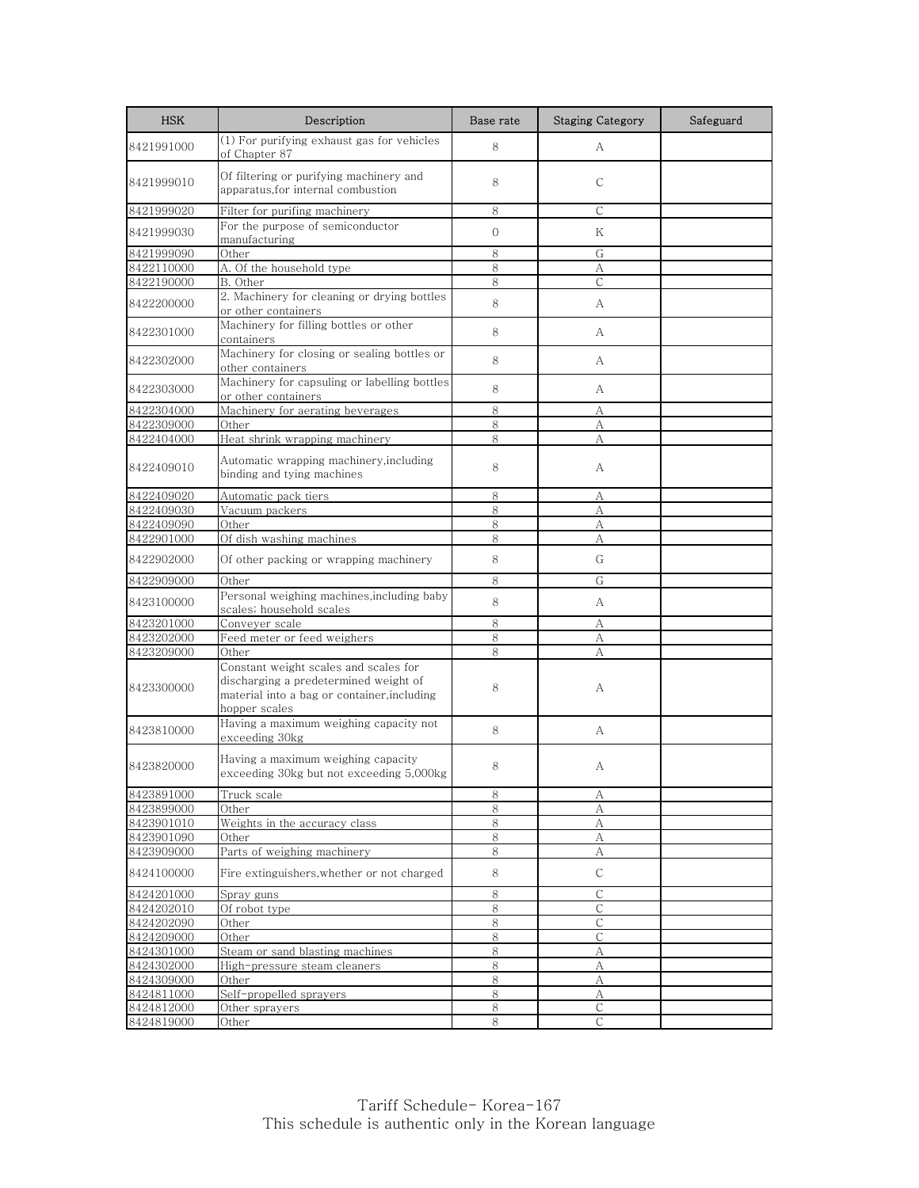| <b>HSK</b>               | Description                                                                                                                                    | Base rate    | <b>Staging Category</b> | Safeguard |
|--------------------------|------------------------------------------------------------------------------------------------------------------------------------------------|--------------|-------------------------|-----------|
| 8421991000               | (1) For purifying exhaust gas for vehicles<br>of Chapter 87                                                                                    | 8            | А                       |           |
| 8421999010               | Of filtering or purifying machinery and<br>apparatus, for internal combustion                                                                  | 8            | C                       |           |
| 8421999020               | Filter for purifing machinery                                                                                                                  | 8            | $\mathsf{C}$            |           |
| 8421999030               | For the purpose of semiconductor<br>manufacturing                                                                                              | $\Omega$     | Κ                       |           |
| 8421999090               | Other                                                                                                                                          | 8            | G                       |           |
| 8422110000               | A. Of the household type                                                                                                                       | 8            | А                       |           |
| 8422190000               | B. Other                                                                                                                                       | 8            | $\mathsf{C}$            |           |
| 8422200000               | 2. Machinery for cleaning or drying bottles<br>or other containers                                                                             | 8            | A                       |           |
| 8422301000               | Machinery for filling bottles or other<br>containers                                                                                           | 8            | A                       |           |
| 8422302000               | Machinery for closing or sealing bottles or<br>other containers                                                                                | 8            | А                       |           |
| 8422303000               | Machinery for capsuling or labelling bottles<br>or other containers                                                                            | 8            | A                       |           |
| 8422304000               | Machinery for aerating beverages                                                                                                               | 8            | A                       |           |
| 8422309000               | Other                                                                                                                                          | 8            | А                       |           |
| 8422404000               | Heat shrink wrapping machinery                                                                                                                 | 8            | А                       |           |
| 8422409010               | Automatic wrapping machinery, including<br>binding and tying machines                                                                          | 8            | А                       |           |
| 8422409020               | Automatic pack tiers                                                                                                                           | 8            | А                       |           |
| 8422409030               | Vacuum packers                                                                                                                                 | 8            | А                       |           |
| 8422409090               | Other                                                                                                                                          | 8            | А                       |           |
| 8422901000               | Of dish washing machines                                                                                                                       | 8            | А                       |           |
| 8422902000               | Of other packing or wrapping machinery                                                                                                         | 8            | G                       |           |
| 8422909000               | Other                                                                                                                                          | 8            | G                       |           |
| 8423100000               | Personal weighing machines, including baby<br>scales; household scales                                                                         | 8            | А                       |           |
| 8423201000               | Conveyer scale                                                                                                                                 | 8            | А                       |           |
| 8423202000               | Feed meter or feed weighers                                                                                                                    | 8            | А                       |           |
| 8423209000               | Other                                                                                                                                          | 8            | A                       |           |
| 8423300000               | Constant weight scales and scales for<br>discharging a predetermined weight of<br>material into a bag or container, including<br>hopper scales | 8            | А                       |           |
| 8423810000               | Having a maximum weighing capacity not<br>exceeding 30kg                                                                                       | 8            | А                       |           |
| 8423820000               | Having a maximum weighing capacity<br>exceeding 30kg but not exceeding 5,000kg                                                                 | 8            | А                       |           |
| 8423891000               | Truck scale                                                                                                                                    | 8            | А                       |           |
| 8423899000               | Other                                                                                                                                          | 8            | А                       |           |
| 8423901010               | Weights in the accuracy class                                                                                                                  | $\,8\,$      | A                       |           |
| 8423901090               | Other                                                                                                                                          | 8            | А                       |           |
| 8423909000               | Parts of weighing machinery                                                                                                                    | 8            | А                       |           |
| 8424100000               | Fire extinguishers, whether or not charged                                                                                                     | 8            | С                       |           |
| 8424201000               | Spray guns                                                                                                                                     | 8            | C                       |           |
| 8424202010               | Of robot type                                                                                                                                  | 8            | С                       |           |
| 8424202090               | Other                                                                                                                                          | $\,8\,$      | $\mathsf{C}$            |           |
| 8424209000<br>8424301000 | Other<br>Steam or sand blasting machines                                                                                                       | 8<br>$\,8\,$ | $\mathsf{C}$<br>А       |           |
| 8424302000               | High-pressure steam cleaners                                                                                                                   | 8            | А                       |           |
| 8424309000               | Other                                                                                                                                          | 8            | А                       |           |
| 8424811000               | Self-propelled sprayers                                                                                                                        | 8            | А                       |           |
| 8424812000               | Other sprayers                                                                                                                                 | 8            | С                       |           |
| 8424819000               | Other                                                                                                                                          | 8            | C                       |           |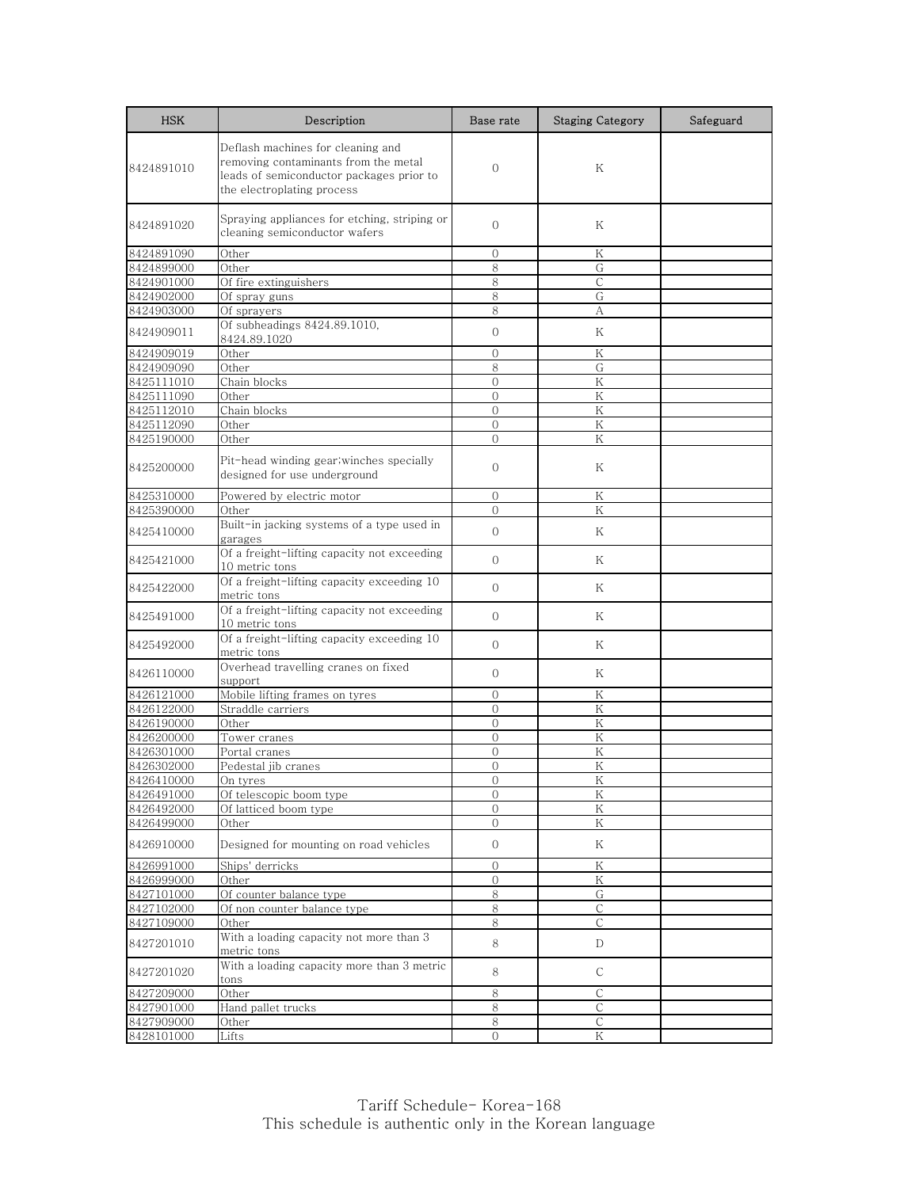| <b>HSK</b>               | Description                                                                                                                                         | Base rate                | <b>Staging Category</b> | Safeguard |
|--------------------------|-----------------------------------------------------------------------------------------------------------------------------------------------------|--------------------------|-------------------------|-----------|
| 8424891010               | Deflash machines for cleaning and<br>removing contaminants from the metal<br>leads of semiconductor packages prior to<br>the electroplating process | $\mathbf{O}$             | Κ                       |           |
| 8424891020               | Spraying appliances for etching, striping or<br>cleaning semiconductor wafers                                                                       | $\Omega$                 | K                       |           |
| 8424891090               | Other                                                                                                                                               | $\mathbf{0}$             | Κ                       |           |
| 8424899000               | Other                                                                                                                                               | 8                        | G                       |           |
| 8424901000               | Of fire extinguishers                                                                                                                               | 8                        | $\mathsf{C}$            |           |
| 8424902000               | Of spray guns                                                                                                                                       | 8                        | G                       |           |
| 8424903000               | Of sprayers                                                                                                                                         | 8                        | A                       |           |
| 8424909011               | Of subheadings 8424.89.1010,<br>8424.89.1020                                                                                                        | $\mathbf{O}$             | Κ                       |           |
| 8424909019               | Other                                                                                                                                               | $\Omega$                 | K                       |           |
| 8424909090               | Other                                                                                                                                               | 8                        | G                       |           |
| 8425111010               | Chain blocks                                                                                                                                        | $\overline{0}$           | K                       |           |
| 8425111090<br>8425112010 | Other<br>Chain blocks                                                                                                                               | $\mathbf{0}$<br>$\Omega$ | Κ<br>Κ                  |           |
| 8425112090               | Other                                                                                                                                               | $\Omega$                 | K                       |           |
| 8425190000               | Other                                                                                                                                               | $\Omega$                 | K                       |           |
| 8425200000               | Pit-head winding gear; winches specially<br>designed for use underground                                                                            | $\mathbf{0}$             | Κ                       |           |
| 8425310000               | Powered by electric motor                                                                                                                           | $\Omega$                 | Κ                       |           |
| 8425390000               | Other                                                                                                                                               | $\Omega$                 | Κ                       |           |
| 8425410000               | Built-in jacking systems of a type used in<br>garages                                                                                               | $\Omega$                 | K                       |           |
| 8425421000               | Of a freight-lifting capacity not exceeding<br>10 metric tons                                                                                       | $\Omega$                 | K                       |           |
| 8425422000               | Of a freight-lifting capacity exceeding 10<br>metric tons                                                                                           | $\Omega$                 | K                       |           |
| 8425491000               | Of a freight-lifting capacity not exceeding<br>10 metric tons                                                                                       | $\Omega$                 | K                       |           |
| 8425492000               | Of a freight-lifting capacity exceeding 10<br>metric tons                                                                                           | $\overline{O}$           | Κ                       |           |
| 8426110000               | Overhead travelling cranes on fixed<br>support                                                                                                      | $\Omega$                 | K                       |           |
| 8426121000               | Mobile lifting frames on tyres                                                                                                                      | $\mathbf{0}$             | Κ                       |           |
| 8426122000               | Straddle carriers                                                                                                                                   | $\mathcal{O}$            | Κ                       |           |
| 8426190000               | Other                                                                                                                                               | $\Omega$                 | K                       |           |
| 8426200000               | Tower cranes                                                                                                                                        | $\mathbf{0}$             | K                       |           |
| 8426301000               | Portal cranes                                                                                                                                       | $\Omega$                 | K                       |           |
| 8426302000               | Pedestal jib cranes                                                                                                                                 | $\overline{0}$           | K<br>K                  |           |
| 8426410000<br>8426491000 | On tyres<br>Of telescopic boom type                                                                                                                 | U<br>$\mathcal{O}$       | Κ                       |           |
| 8426492000               | Of latticed boom type                                                                                                                               | 0                        | Κ                       |           |
| 8426499000               | Other                                                                                                                                               | $\Omega$                 | Κ                       |           |
| 8426910000               | Designed for mounting on road vehicles                                                                                                              | $\overline{0}$           | Κ                       |           |
| 8426991000               | Ships' derricks                                                                                                                                     | 0                        | Κ                       |           |
| 8426999000               | Other                                                                                                                                               | 0                        | K                       |           |
| 8427101000               | Of counter balance type                                                                                                                             | 8                        | G                       |           |
| 8427102000               | Of non counter balance type                                                                                                                         | 8                        | С                       |           |
| 8427109000               | Other                                                                                                                                               | 8                        | C                       |           |
| 8427201010               | With a loading capacity not more than 3<br>metric tons                                                                                              | 8                        | D                       |           |
| 8427201020               | With a loading capacity more than 3 metric<br>tons                                                                                                  | 8                        | С                       |           |
| 8427209000               | Other                                                                                                                                               | 8                        | $\mathsf{C}$            |           |
| 8427901000               | Hand pallet trucks                                                                                                                                  | 8                        | С                       |           |
| 8427909000               | Other                                                                                                                                               | 8                        | C                       |           |
| 8428101000               | Lifts                                                                                                                                               | $\Omega$                 | Κ                       |           |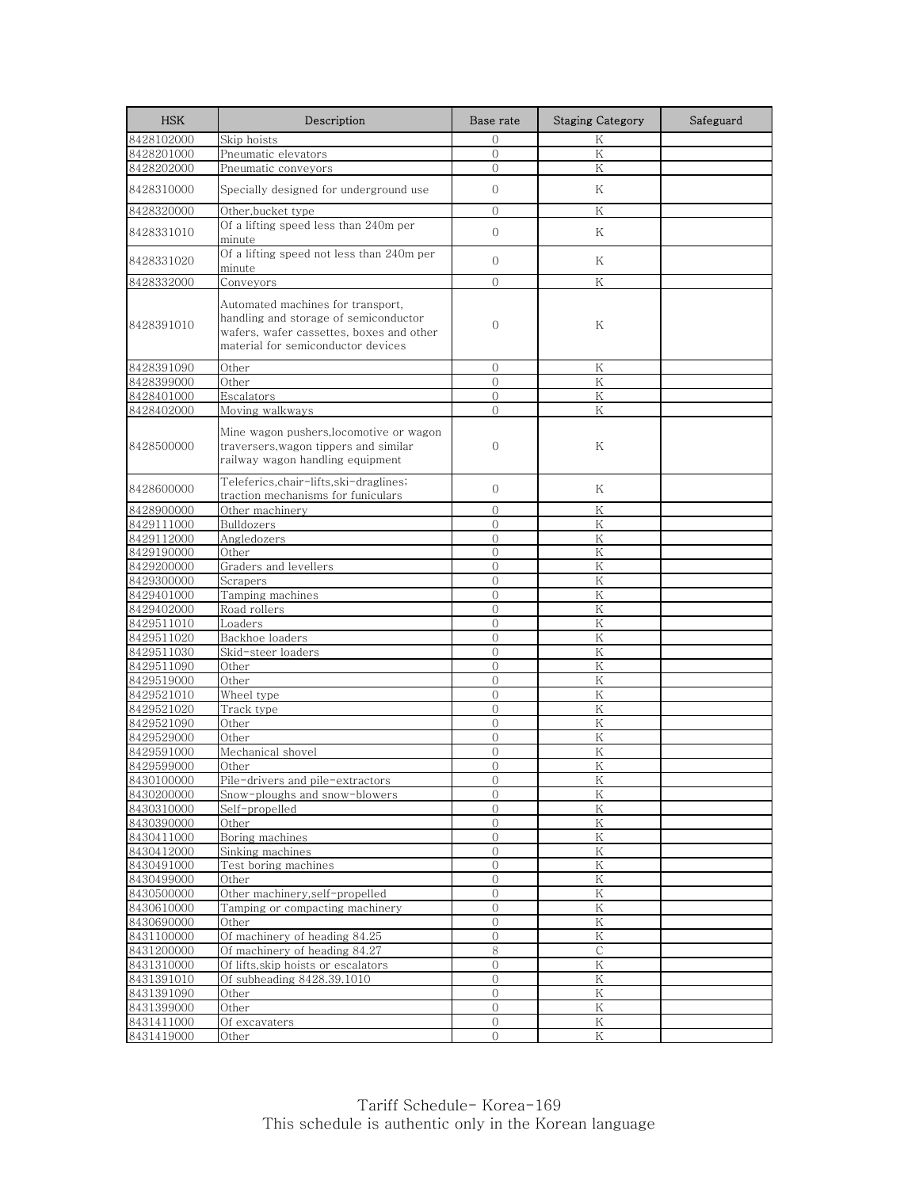| <b>HSK</b>               | Description                                                                                                                                                  | Base rate                      | <b>Staging Category</b> | Safeguard |
|--------------------------|--------------------------------------------------------------------------------------------------------------------------------------------------------------|--------------------------------|-------------------------|-----------|
| 8428102000               | Skip hoists                                                                                                                                                  | $\mathbf{0}$                   | Κ                       |           |
| 8428201000               | Pneumatic elevators                                                                                                                                          | $\Omega$                       | $\rm K$                 |           |
| 8428202000               | Pneumatic conveyors                                                                                                                                          | $\Omega$                       | Κ                       |           |
| 8428310000               | Specially designed for underground use                                                                                                                       | $\overline{0}$                 | K                       |           |
| 8428320000               | Other,bucket type                                                                                                                                            | $\overline{0}$                 | K                       |           |
| 8428331010               | Of a lifting speed less than 240m per<br>minute                                                                                                              | $\mathbf{O}$                   | K                       |           |
| 8428331020               | Of a lifting speed not less than 240m per<br>minute                                                                                                          | $\Omega$                       | Κ                       |           |
| 8428332000               | Conveyors                                                                                                                                                    | $\Omega$                       | K                       |           |
| 8428391010               | Automated machines for transport,<br>handling and storage of semiconductor<br>wafers, wafer cassettes, boxes and other<br>material for semiconductor devices | $\mathbf{0}$                   | Κ                       |           |
| 8428391090               | Other                                                                                                                                                        | $\Omega$                       | Κ                       |           |
| 8428399000               | Other                                                                                                                                                        | $\overline{0}$                 | K                       |           |
| 8428401000               | Escalators                                                                                                                                                   | $\Omega$                       | K                       |           |
| 8428402000               | Moving walkways                                                                                                                                              | $\overline{0}$                 | K                       |           |
| 8428500000               | Mine wagon pushers,locomotive or wagon<br>traversers, wagon tippers and similar<br>railway wagon handling equipment                                          | $\mathbf{0}$                   | Κ                       |           |
| 8428600000               | Teleferics.chair-lifts.ski-draglines;<br>traction mechanisms for funiculars                                                                                  | $\mathbf{0}$                   | K                       |           |
| 8428900000               | Other machinery                                                                                                                                              | $\Omega$                       | Κ                       |           |
| 8429111000               | <b>Bulldozers</b>                                                                                                                                            | $\overline{0}$                 | K                       |           |
| 8429112000               | Angledozers                                                                                                                                                  | $\mathbf{0}$                   | Κ                       |           |
| 8429190000               | Other                                                                                                                                                        | $\Omega$                       | $\rm K$                 |           |
| 8429200000               | Graders and levellers                                                                                                                                        | $\overline{0}$                 | K                       |           |
| 8429300000               | Scrapers                                                                                                                                                     | $\mathbf{0}$                   | Κ                       |           |
| 8429401000               | Tamping machines                                                                                                                                             | $\Omega$                       | K                       |           |
| 8429402000<br>8429511010 | Road rollers<br>Loaders                                                                                                                                      | $\overline{0}$<br>$\mathbf{0}$ | Κ<br>K                  |           |
| 8429511020               | Backhoe loaders                                                                                                                                              | $\overline{0}$                 | K                       |           |
| 8429511030               | Skid-steer loaders                                                                                                                                           | $\overline{O}$                 | K                       |           |
| 8429511090               | Other                                                                                                                                                        | $\overline{0}$                 | K                       |           |
| 8429519000               | Other                                                                                                                                                        | $\mathbf{0}$                   | Κ                       |           |
| 8429521010               | Wheel type                                                                                                                                                   | $\overline{0}$                 | K                       |           |
| 8429521020               | Track type                                                                                                                                                   | $\mathbf{0}$                   | Κ                       |           |
| 8429521090               | Other                                                                                                                                                        | $\Omega$                       | K                       |           |
| 8429529000               | Other                                                                                                                                                        | $\overline{0}$                 | K                       |           |
| 8429591000               | Mechanical shovel                                                                                                                                            | $\overline{0}$                 | Κ                       |           |
| 8429599000               | Other                                                                                                                                                        | $\Omega$                       | K                       |           |
| 8430100000               | Pile-drivers and pile-extractors                                                                                                                             | $\cup$                         | K                       |           |
| 8430200000               | <u>Snow-ploughs and snow-blowers</u>                                                                                                                         | $\mathbf{0}$                   | K                       |           |
| 8430310000               | Self-propelled                                                                                                                                               | $\mathbf{0}$                   | Κ                       |           |
| 8430390000               | Other                                                                                                                                                        | $\overline{0}$                 | K                       |           |
| 8430411000               | Boring machines                                                                                                                                              | $\overline{0}$                 | $\rm K$                 |           |
| 8430412000<br>8430491000 | Sinking machines<br>Test boring machines                                                                                                                     | $\mathbf{O}$<br>$\overline{0}$ | $\rm K$<br>Κ            |           |
| 8430499000               | Other                                                                                                                                                        | $\mathbf{0}$                   | Κ                       |           |
| 8430500000               | Other machinery, self-propelled                                                                                                                              | $\mathbf 0$                    | $\rm K$                 |           |
| 8430610000               | Tamping or compacting machinery                                                                                                                              | $\mathbf{0}$                   | Κ                       |           |
| 8430690000               | Other                                                                                                                                                        | $\mathbf{0}$                   | K                       |           |
| 8431100000               | Of machinery of heading 84.25                                                                                                                                | $\overline{0}$                 | $\rm K$                 |           |
| 8431200000               | Of machinery of heading 84.27                                                                                                                                | 8                              | С                       |           |
| 8431310000               | Of lifts, skip hoists or escalators                                                                                                                          | $\mathbf{0}$                   | ${\rm K}$               |           |
| 8431391010               | Of subheading 8428.39.1010                                                                                                                                   | $\mathbf 0$                    | Κ                       |           |
| 8431391090               | Other                                                                                                                                                        | $\overline{O}$                 | Κ                       |           |
| 8431399000               | Other                                                                                                                                                        | $\Omega$                       | Κ                       |           |
| 8431411000               | Of excavaters                                                                                                                                                | $\boldsymbol{0}$               | Κ                       |           |
| 8431419000               | Other                                                                                                                                                        | $\overline{O}$                 | ${\rm K}$               |           |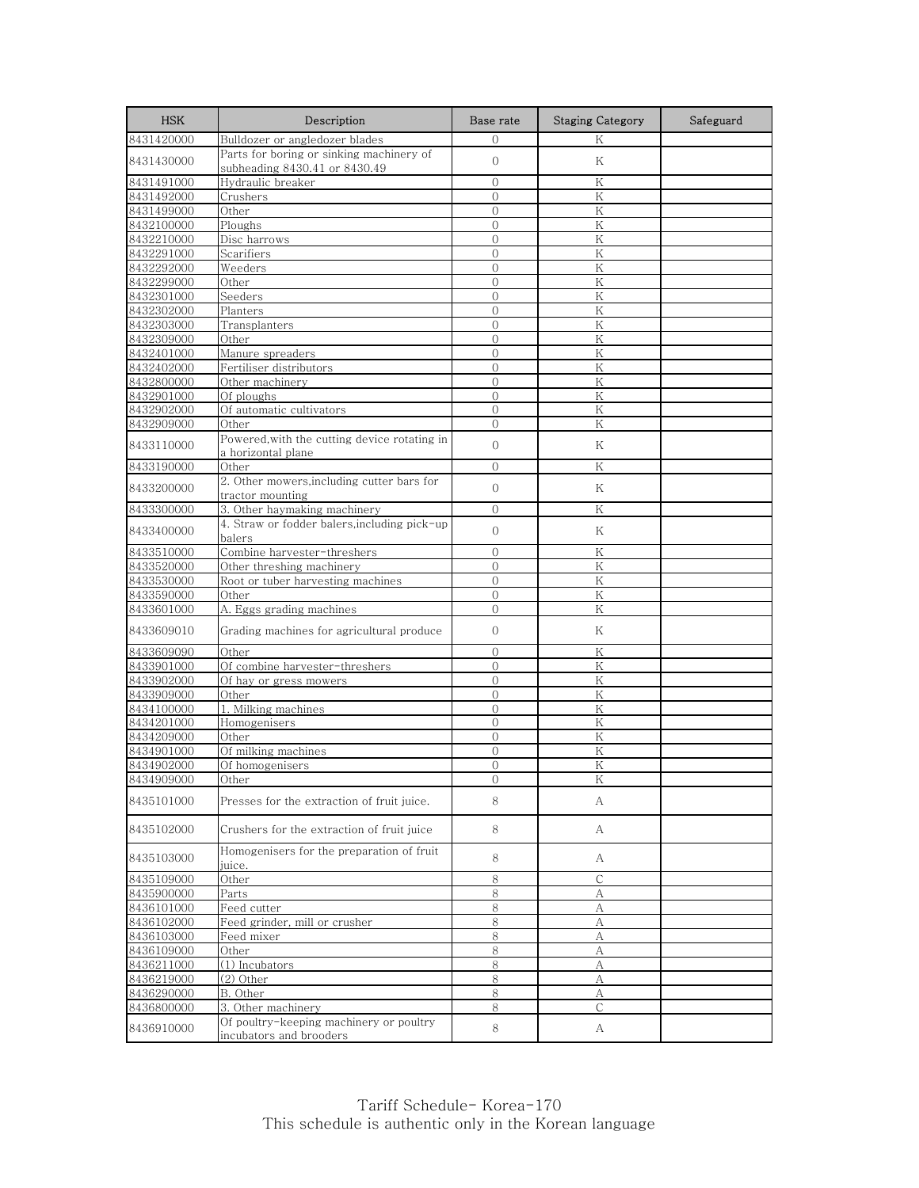| <b>HSK</b>               | Description                                                               | Base rate                | <b>Staging Category</b> | Safeguard |
|--------------------------|---------------------------------------------------------------------------|--------------------------|-------------------------|-----------|
| 8431420000               | Bulldozer or angledozer blades                                            | 0                        | Κ                       |           |
| 8431430000               | Parts for boring or sinking machinery of<br>subheading 8430.41 or 8430.49 | $\Omega$                 | Κ                       |           |
| 8431491000               | Hydraulic breaker                                                         | $\mathbf{0}$             | Κ                       |           |
| 8431492000               | Crushers                                                                  | $\mathbf{0}$             | Κ                       |           |
| 8431499000               | Other                                                                     | $\overline{0}$           | K                       |           |
| 8432100000               | Ploughs                                                                   | $\Omega$                 | Κ                       |           |
| 8432210000               | Disc harrows                                                              | $\mathbf{0}$             | K                       |           |
| 8432291000               | Scarifiers                                                                | $\mathbf{0}$             | K                       |           |
| 8432292000               | Weeders                                                                   | $\overline{O}$           | K                       |           |
| 8432299000               | Other                                                                     | $\overline{0}$           | Κ                       |           |
| 8432301000               | Seeders                                                                   | $\mathbf{0}$             | K                       |           |
| 8432302000               | Planters                                                                  | $\overline{0}$           | Κ                       |           |
| 8432303000               | Transplanters                                                             | $\mathbf{0}$             | K                       |           |
| 8432309000               | Other                                                                     | $\overline{O}$           | K                       |           |
| 8432401000               | Manure spreaders                                                          | $\overline{O}$           | K                       |           |
| 8432402000               | Fertiliser distributors                                                   | $\mathbf{0}$             | Κ                       |           |
| 8432800000               | Other machinery                                                           | $\mathbf{0}$             | ${\rm K}$               |           |
| 8432901000               | Of ploughs                                                                | $\mathbf{0}$             | K                       |           |
| 8432902000<br>8432909000 | Of automatic cultivators                                                  | $\mathbf{0}$<br>$\Omega$ | K                       |           |
|                          | Other<br>Powered, with the cutting device rotating in                     |                          | K                       |           |
| 8433110000               | a horizontal plane                                                        | $\overline{0}$           | Κ                       |           |
| 8433190000               | Other                                                                     | $\mathbf{0}$             | Κ                       |           |
| 8433200000               | 2. Other mowers, including cutter bars for<br>tractor mounting            | $\mathbf 0$              | Κ                       |           |
| 8433300000               | 3. Other haymaking machinery                                              | $\overline{0}$           | K                       |           |
| 8433400000               | 4. Straw or fodder balers, including pick-up<br>balers                    | $\mathbf{O}$             | Κ                       |           |
| 8433510000               | Combine harvester-threshers                                               | $\mathcal{O}$            | Κ                       |           |
| 8433520000               | Other threshing machinery                                                 | $\mathbf{0}$             | Κ                       |           |
| 8433530000               | Root or tuber harvesting machines                                         | $\mathbf{0}$             | $\rm K$                 |           |
| 8433590000               | Other                                                                     | $\mathbf{0}$             | Κ                       |           |
| 8433601000               | A. Eggs grading machines                                                  | $\overline{0}$           | Κ                       |           |
| 8433609010               | Grading machines for agricultural produce                                 | $\mathbf{0}$             | Κ                       |           |
| 8433609090               | Other                                                                     | $\mathbf{0}$             | K                       |           |
| 8433901000               | Of combine harvester-threshers                                            | 0                        | Κ                       |           |
| 8433902000               | Of hay or gress mowers                                                    | $\mathbf 0$              | K                       |           |
| 8433909000               | Other                                                                     | $\mathbf{0}$             | Κ                       |           |
| 8434100000               | 1. Milking machines                                                       | 0                        | K                       |           |
| 8434201000               | Homogenisers                                                              | $\mathbf{0}$             | Κ                       |           |
| 8434209000               | Other                                                                     | $\mathbf{0}$             | K                       |           |
| 8434901000               | Of milking machines                                                       | $\mathbf{0}$             | K                       |           |
| 8434902000               | Of homogenisers                                                           | $\overline{0}$           | Κ                       |           |
| 8434909000               | Other                                                                     | $\boldsymbol{0}$         | K                       |           |
| 8435101000               | Presses for the extraction of fruit juice.                                | 8                        | А                       |           |
| 8435102000               | Crushers for the extraction of fruit juice                                | $8\,$                    | A                       |           |
| 8435103000               | Homogenisers for the preparation of fruit<br>juice.                       | 8                        | A                       |           |
| 8435109000               | Other                                                                     | 8                        | C                       |           |
| 8435900000               | Parts                                                                     | 8                        | А                       |           |
| 8436101000               | Feed cutter                                                               | 8                        | А                       |           |
| 8436102000               | Feed grinder, mill or crusher                                             | 8                        | А                       |           |
| 8436103000               | Feed mixer                                                                | 8                        | А                       |           |
| 8436109000               | Other                                                                     | 8                        | А                       |           |
| 8436211000               | (1) Incubators                                                            | 8                        | А                       |           |
| 8436219000               | (2) Other                                                                 | 8                        | А                       |           |
| 8436290000               | B. Other                                                                  | 8                        | А                       |           |
| 8436800000               | 3. Other machinery                                                        | 8                        | С                       |           |
| 8436910000               | Of poultry-keeping machinery or poultry<br>incubators and brooders        | 8                        | A                       |           |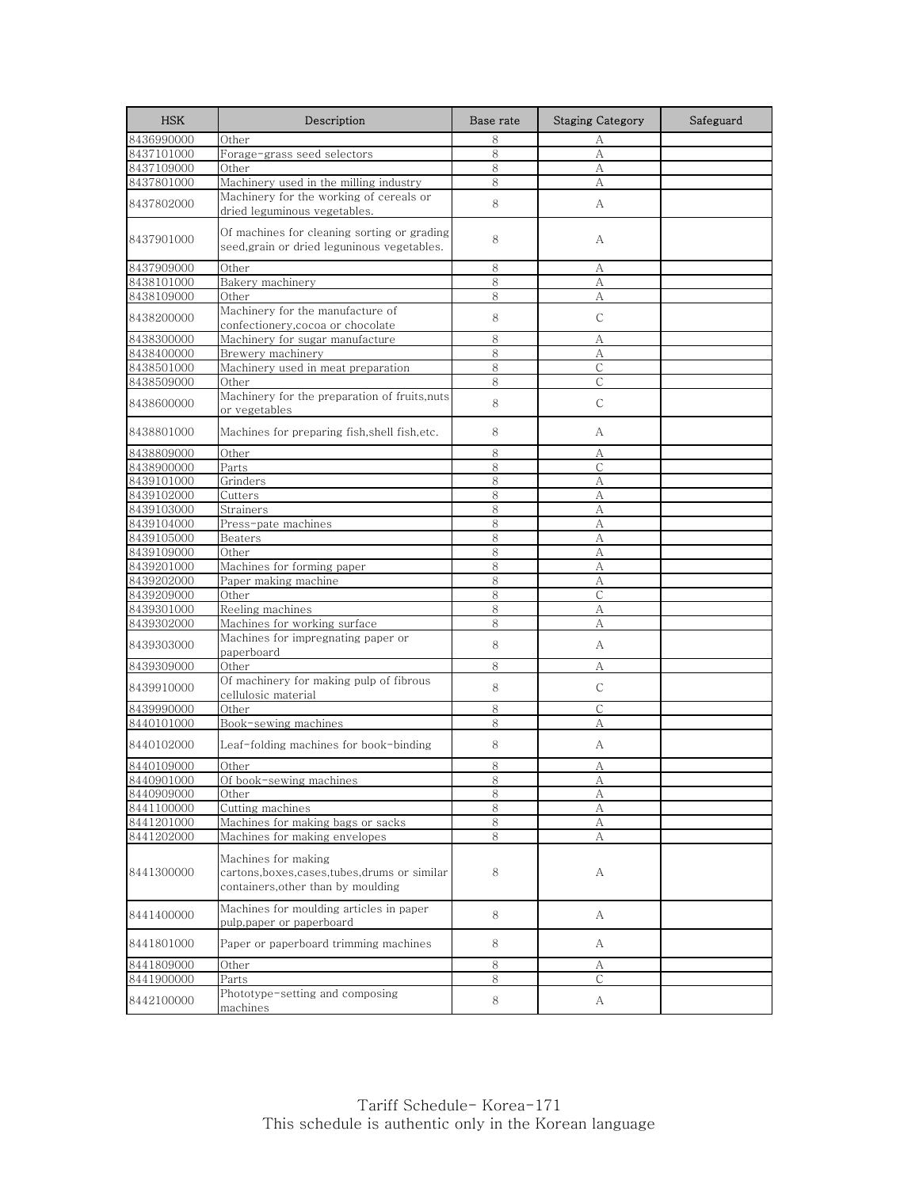| <b>HSK</b> | Description                                                                                                 | Base rate | <b>Staging Category</b> | Safeguard |
|------------|-------------------------------------------------------------------------------------------------------------|-----------|-------------------------|-----------|
| 8436990000 | Other                                                                                                       | 8         | А                       |           |
| 8437101000 | Forage-grass seed selectors                                                                                 | 8         | A                       |           |
| 8437109000 | Other                                                                                                       | 8         | А                       |           |
| 8437801000 | Machinery used in the milling industry                                                                      | 8         | A                       |           |
| 8437802000 | Machinery for the working of cereals or<br>dried leguminous vegetables.                                     | 8         | A                       |           |
| 8437901000 | Of machines for cleaning sorting or grading<br>seed,grain or dried leguninous vegetables.                   | 8         | А                       |           |
| 8437909000 | Other                                                                                                       | 8         | А                       |           |
| 8438101000 | Bakery machinery                                                                                            | 8         | А                       |           |
| 8438109000 | Other                                                                                                       | 8         | А                       |           |
| 8438200000 | Machinery for the manufacture of<br>confectionery, cocoa or chocolate                                       | 8         | $\mathsf{C}$            |           |
| 8438300000 | Machinery for sugar manufacture                                                                             | 8         | А                       |           |
| 8438400000 | Brewery machinery                                                                                           | 8         | A                       |           |
| 8438501000 | Machinery used in meat preparation                                                                          | 8         | С                       |           |
| 8438509000 | Other                                                                                                       | 8         | $\mathsf{C}$            |           |
| 8438600000 | Machinery for the preparation of fruits, nuts<br>or vegetables                                              | 8         | C                       |           |
| 8438801000 | Machines for preparing fish, shell fish, etc.                                                               | 8         | А                       |           |
| 8438809000 | Other                                                                                                       | 8         | А                       |           |
| 8438900000 | Parts                                                                                                       | 8         | $\mathsf{C}$            |           |
| 8439101000 | Grinders                                                                                                    | 8         | А                       |           |
| 8439102000 | Cutters                                                                                                     | 8         | А                       |           |
| 8439103000 | Strainers                                                                                                   | 8         | A                       |           |
| 8439104000 | Press-pate machines                                                                                         | 8         | A                       |           |
| 8439105000 | Beaters                                                                                                     | 8         | А                       |           |
| 8439109000 | Other                                                                                                       | 8         | А                       |           |
| 8439201000 | Machines for forming paper                                                                                  | 8         | А                       |           |
| 8439202000 | Paper making machine                                                                                        | 8         | А                       |           |
| 8439209000 | Other                                                                                                       | 8         | $\mathsf{C}$            |           |
| 8439301000 | Reeling machines                                                                                            | 8         | А                       |           |
| 8439302000 | Machines for working surface<br>Machines for impregnating paper or                                          | 8         | А                       |           |
| 8439303000 | paperboard                                                                                                  | 8         | A                       |           |
| 8439309000 | Other                                                                                                       | 8         | А                       |           |
|            | Of machinery for making pulp of fibrous                                                                     |           |                         |           |
| 8439910000 | cellulosic material                                                                                         | 8         | $\mathsf{C}$            |           |
| 8439990000 | Other                                                                                                       | 8         | C                       |           |
| 8440101000 | Book-sewing machines                                                                                        | 8         | А                       |           |
| 8440102000 | Leaf-folding machines for book-binding                                                                      | 8         | A                       |           |
| 8440109000 | Other                                                                                                       | 8         | А                       |           |
| 8440901000 | Of book-sewing machines                                                                                     | ୪         | А                       |           |
| 8440909000 | Other                                                                                                       | 8         | А                       |           |
| 8441100000 | Cutting machines                                                                                            | 8         | А                       |           |
| 8441201000 | Machines for making bags or sacks                                                                           | $8\,$     | А                       |           |
| 8441202000 | Machines for making envelopes                                                                               | 8         | А                       |           |
| 8441300000 | Machines for making<br>cartons, boxes, cases, tubes, drums or similar<br>containers, other than by moulding | 8         | А                       |           |
| 8441400000 | Machines for moulding articles in paper<br>pulp,paper or paperboard                                         | 8         | А                       |           |
| 8441801000 | Paper or paperboard trimming machines                                                                       | 8         | А                       |           |
| 8441809000 | Other                                                                                                       | 8         | А                       |           |
| 8441900000 | Parts                                                                                                       | 8         | С                       |           |
| 8442100000 | Phototype-setting and composing<br>machines                                                                 | 8         | A                       |           |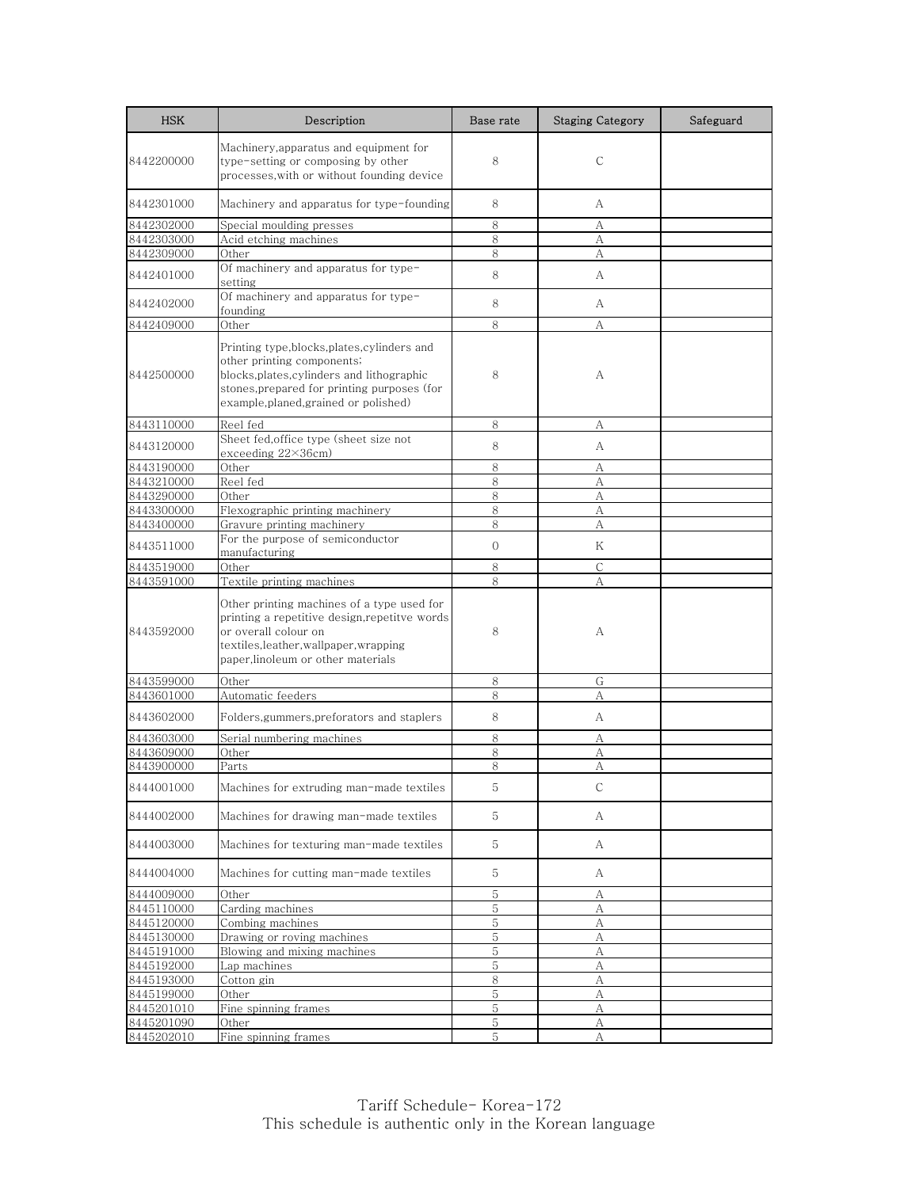| <b>HSK</b>               | Description                                                                                                                                                                                                   | Base rate    | <b>Staging Category</b> | Safeguard |
|--------------------------|---------------------------------------------------------------------------------------------------------------------------------------------------------------------------------------------------------------|--------------|-------------------------|-----------|
| 8442200000               | Machinery, apparatus and equipment for<br>type-setting or composing by other<br>processes, with or without founding device                                                                                    | 8            | C                       |           |
| 8442301000               | Machinery and apparatus for type-founding                                                                                                                                                                     | 8            | А                       |           |
| 8442302000               | Special moulding presses                                                                                                                                                                                      | 8            | А                       |           |
| 8442303000               | Acid etching machines                                                                                                                                                                                         | 8            | А                       |           |
| 8442309000               | Other                                                                                                                                                                                                         | 8            | А                       |           |
| 8442401000               | Of machinery and apparatus for type-<br>setting                                                                                                                                                               | 8            | A                       |           |
| 8442402000               | Of machinery and apparatus for type-<br>founding                                                                                                                                                              | 8            | A                       |           |
| 8442409000               | Other                                                                                                                                                                                                         | 8            | А                       |           |
| 8442500000               | Printing type,blocks,plates,cylinders and<br>other printing components;<br>blocks, plates, cylinders and lithographic<br>stones, prepared for printing purposes (for<br>example, planed, grained or polished) | 8            | А                       |           |
| 8443110000               | Reel fed                                                                                                                                                                                                      | 8            | А                       |           |
| 8443120000               | Sheet fed, office type (sheet size not<br>exceeding $22\times36$ cm)                                                                                                                                          | 8            | A                       |           |
| 8443190000               | Other                                                                                                                                                                                                         | 8            | А                       |           |
| 8443210000               | Reel fed                                                                                                                                                                                                      | 8            | А                       |           |
| 8443290000               | Other                                                                                                                                                                                                         | 8            | А                       |           |
| 8443300000               | Flexographic printing machinery                                                                                                                                                                               | 8            | А                       |           |
| 8443400000               | Gravure printing machinery                                                                                                                                                                                    | 8            | А                       |           |
| 8443511000               | For the purpose of semiconductor<br>manufacturing                                                                                                                                                             | $\mathbf{O}$ | Κ                       |           |
| 8443519000               | Other                                                                                                                                                                                                         | 8            | С                       |           |
| 8443591000               | Textile printing machines                                                                                                                                                                                     | 8            | A                       |           |
| 8443592000               | Other printing machines of a type used for<br>printing a repetitive design,repetitve words<br>or overall colour on<br>textiles,leather,wallpaper,wrapping<br>paper, linoleum or other materials               | 8            | А                       |           |
| 8443599000               | Other                                                                                                                                                                                                         | 8            | G                       |           |
| 8443601000               | Automatic feeders                                                                                                                                                                                             | 8            | А                       |           |
| 8443602000               | Folders, gummers, preforators and staplers                                                                                                                                                                    | 8            | A                       |           |
| 8443603000               | Serial numbering machines                                                                                                                                                                                     | 8            | А                       |           |
| 8443609000               | Other                                                                                                                                                                                                         | 8            | А                       |           |
| 8443900000               | Parts                                                                                                                                                                                                         | 8            | А                       |           |
| 8444001000               | Machines for extruding man-made textiles                                                                                                                                                                      | 5            | С                       |           |
| 8444002000               | Machines for drawing man-made textiles                                                                                                                                                                        | 5            | A                       |           |
| 8444003000               | Machines for texturing man-made textiles                                                                                                                                                                      | 5            | А                       |           |
| 8444004000               | Machines for cutting man-made textiles                                                                                                                                                                        | 5            | A                       |           |
| 8444009000               | Other                                                                                                                                                                                                         | 5            | А                       |           |
| 8445110000               | Carding machines                                                                                                                                                                                              | 5            | А                       |           |
| 8445120000               | Combing machines                                                                                                                                                                                              | 5            | А                       |           |
| 8445130000               | Drawing or roving machines                                                                                                                                                                                    | 5            | А                       |           |
| 8445191000               | Blowing and mixing machines                                                                                                                                                                                   | 5            | А                       |           |
| 8445192000               | Lap machines                                                                                                                                                                                                  | 5            | А                       |           |
| 8445193000<br>8445199000 | Cotton gin<br>Other                                                                                                                                                                                           | 8<br>5       | А<br>А                  |           |
| 8445201010               | Fine spinning frames                                                                                                                                                                                          | 5            | А                       |           |
| 8445201090               | Other                                                                                                                                                                                                         | 5            | А                       |           |
| 8445202010               | Fine spinning frames                                                                                                                                                                                          | 5            | А                       |           |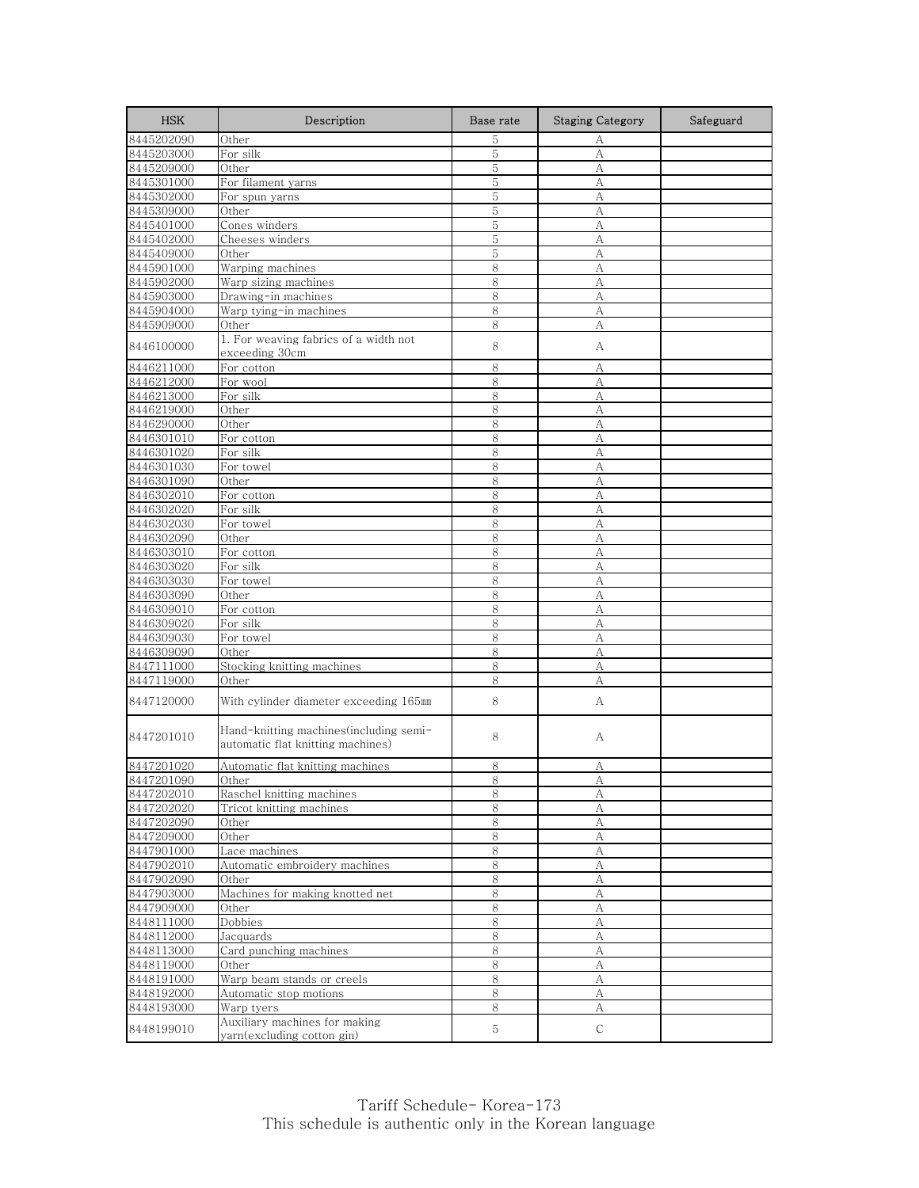| <b>HSK</b> | Description                                                                  | Base rate | <b>Staging Category</b> | Safeguard |
|------------|------------------------------------------------------------------------------|-----------|-------------------------|-----------|
| 8445202090 | Other                                                                        | 5         | А                       |           |
| 8445203000 | For silk                                                                     | 5         | А                       |           |
| 8445209000 | Other                                                                        | 5         | А                       |           |
| 8445301000 | For filament yarns                                                           | 5         | А                       |           |
| 8445302000 | For spun yarns                                                               | 5         | А                       |           |
| 8445309000 | Other                                                                        | 5         | А                       |           |
| 8445401000 | Cones winders                                                                | 5         | А                       |           |
| 8445402000 | Cheeses winders                                                              | 5         | A                       |           |
| 8445409000 | Other                                                                        | 5         | А                       |           |
| 8445901000 | Warping machines                                                             | 8         | А                       |           |
| 8445902000 | Warp sizing machines                                                         | 8         | А                       |           |
| 8445903000 | Drawing-in machines                                                          | 8         | А                       |           |
| 8445904000 | Warp tying-in machines                                                       | 8         | А                       |           |
| 8445909000 | Other                                                                        | 8         | A                       |           |
|            | 1. For weaving fabrics of a width not                                        | 8         |                         |           |
| 8446100000 | exceeding 30cm                                                               |           | А                       |           |
| 8446211000 | For cotton                                                                   | 8         | А                       |           |
| 8446212000 | For wool                                                                     | 8         | A                       |           |
| 8446213000 | For silk                                                                     | 8         | А                       |           |
| 8446219000 | Other                                                                        | 8         | А                       |           |
| 8446290000 | Other                                                                        | 8         | А                       |           |
| 8446301010 | For cotton                                                                   | 8         | А                       |           |
| 8446301020 | For silk                                                                     | 8         | А                       |           |
| 8446301030 | For towel                                                                    | 8         | А                       |           |
| 8446301090 | Other                                                                        | 8         | А                       |           |
| 8446302010 | For cotton                                                                   | 8         | А                       |           |
| 8446302020 | For silk                                                                     | 8         | A                       |           |
| 8446302030 | For towel                                                                    | 8         | A                       |           |
| 8446302090 | Other                                                                        | 8         | А                       |           |
| 8446303010 | For cotton                                                                   | 8         | A                       |           |
| 8446303020 | For silk                                                                     | 8         | А                       |           |
| 8446303030 | For towel                                                                    | 8         | A                       |           |
| 8446303090 | Other                                                                        | 8         | А                       |           |
| 8446309010 | For cotton                                                                   | 8         | А                       |           |
| 8446309020 | For silk                                                                     | 8         | A                       |           |
| 8446309030 | For towel                                                                    | 8         | А                       |           |
| 8446309090 | Other                                                                        | 8         | A                       |           |
| 8447111000 | Stocking knitting machines                                                   | 8         | А                       |           |
|            |                                                                              | 8         | A                       |           |
| 8447119000 | Other                                                                        |           |                         |           |
| 8447120000 | With cylinder diameter exceeding 165mm                                       | 8         | А                       |           |
| 8447201010 | Hand-knitting machines (including semi-<br>automatic flat knitting machines) | 8         | А                       |           |
| 8447201020 | Automatic flat knitting machines                                             | 8         | А                       |           |
| 8447201090 | Other                                                                        | ŏ         | Α                       |           |
| 8447202010 | Raschel knitting machines                                                    | 8         | А                       |           |
| 8447202020 | Tricot knitting machines                                                     | 8         | А                       |           |
| 8447202090 | Other                                                                        | 8         | A                       |           |
| 8447209000 | Other                                                                        | 8         | А                       |           |
| 8447901000 | Lace machines                                                                | $\,8\,$   | $\boldsymbol{A}$        |           |
| 8447902010 | Automatic embroidery machines                                                | 8         | A                       |           |
| 8447902090 | Other                                                                        | $\,8\,$   | А                       |           |
| 8447903000 | Machines for making knotted net                                              | 8         | $\mathbf{A}$            |           |
| 8447909000 | Other                                                                        | 8         | А                       |           |
| 8448111000 | Dobbies                                                                      | 8         | А                       |           |
| 8448112000 | Jacquards                                                                    | 8         | А                       |           |
| 8448113000 | Card punching machines                                                       | 8         | А                       |           |
| 8448119000 | Other                                                                        | 8         | A                       |           |
| 8448191000 | Warp beam stands or creels                                                   | 8         | А                       |           |
| 8448192000 | Automatic stop motions                                                       | 8         | $\mathbf{A}$            |           |
| 8448193000 | Warp tyers                                                                   | 8         |                         |           |
|            | Auxiliary machines for making                                                |           | А                       |           |
| 8448199010 | yarn(excluding cotton gin)                                                   | 5         | C                       |           |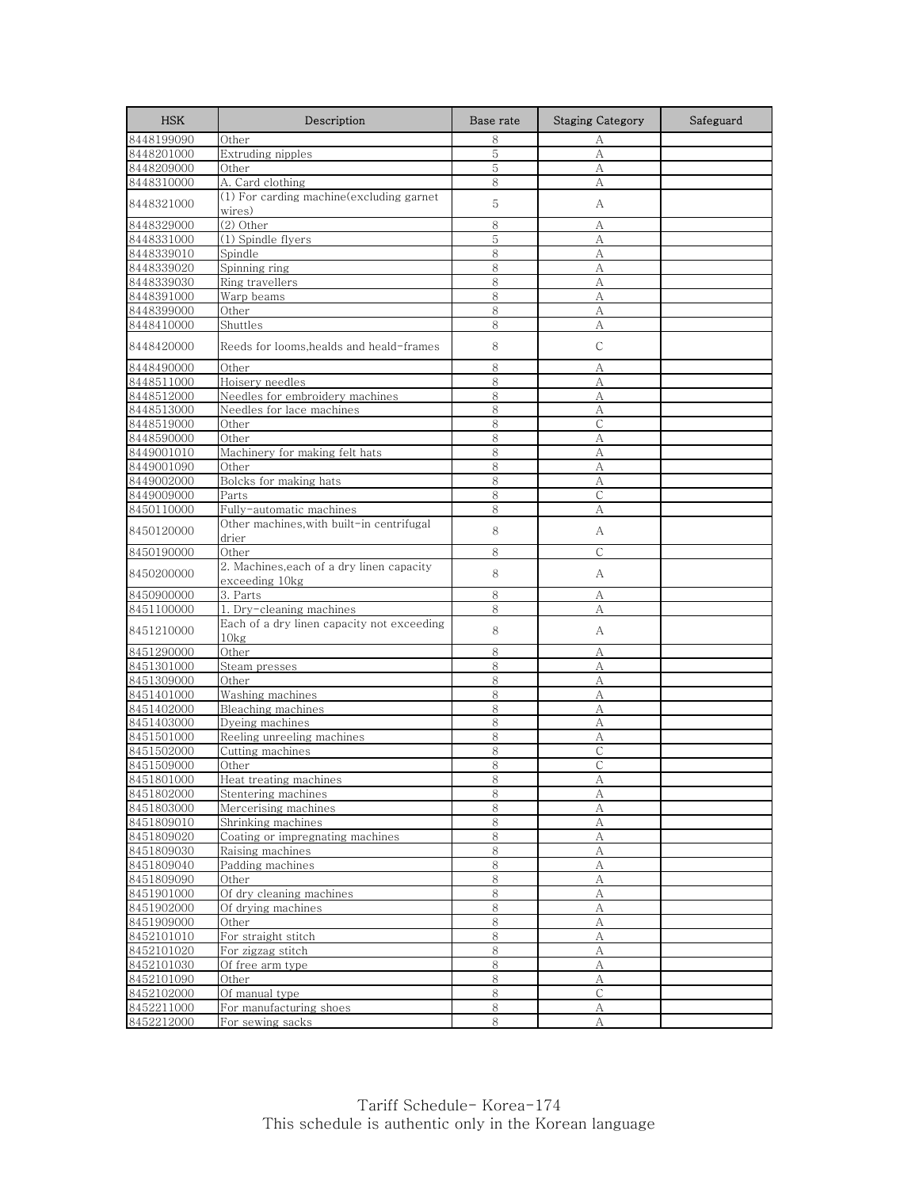| <b>HSK</b>               | Description                                                    | Base rate | <b>Staging Category</b> | Safeguard |
|--------------------------|----------------------------------------------------------------|-----------|-------------------------|-----------|
| 8448199090               | Other                                                          | 8         | А                       |           |
| 8448201000               | Extruding nipples                                              | 5         | A                       |           |
| 8448209000               | Other                                                          | 5         | А                       |           |
| 8448310000               | A. Card clothing                                               | 8         | А                       |           |
| 8448321000               | (1) For carding machine(excluding garnet<br>wires)             | 5         | А                       |           |
| 8448329000               | (2) Other                                                      | 8         | A                       |           |
| 8448331000               | (1) Spindle flyers                                             | 5         | А                       |           |
| 8448339010               | Spindle                                                        | 8         | А                       |           |
| 8448339020               | Spinning ring                                                  | 8         | A                       |           |
| 8448339030               | Ring travellers                                                | 8         | A                       |           |
| 8448391000               | Warp beams                                                     | 8         | А                       |           |
| 8448399000               | Other                                                          | 8         | А                       |           |
| 8448410000               | Shuttles                                                       | 8         | A                       |           |
| 8448420000               | Reeds for looms, healds and heald-frames                       | 8         | $\mathsf{C}$            |           |
| 8448490000               | Other                                                          | 8         | А                       |           |
| 8448511000               | Hoisery needles                                                | 8         | A                       |           |
| 8448512000               | Needles for embroidery machines                                | 8         | А                       |           |
| 8448513000               | Needles for lace machines                                      | 8         | A                       |           |
| 8448519000               | Other                                                          | 8         | $\mathsf{C}$            |           |
| 8448590000               | Other                                                          | 8<br>8    | А                       |           |
| 8449001010<br>8449001090 | Machinery for making felt hats<br>Other                        | 8         | A<br>А                  |           |
| 8449002000               | Bolcks for making hats                                         | 8         | A                       |           |
| 8449009000               | Parts                                                          | 8         | $\mathsf{C}$            |           |
| 8450110000               | Fully-automatic machines                                       | 8         | А                       |           |
| 8450120000               | Other machines,with built-in centrifugal                       | 8         | А                       |           |
| 8450190000               | drier<br>Other                                                 | 8         | $\mathsf{C}$            |           |
|                          | 2. Machines, each of a dry linen capacity                      |           |                         |           |
| 8450200000               | exceeding 10kg                                                 | 8         | A                       |           |
| 8450900000               | 3. Parts                                                       | 8         | А                       |           |
| 8451100000               | 1. Dry-cleaning machines                                       | 8         | А                       |           |
| 8451210000               | Each of a dry linen capacity not exceeding<br>10 <sub>kg</sub> | 8         | А                       |           |
| 8451290000               | Other                                                          | 8         | А                       |           |
| 8451301000               | Steam presses                                                  | 8         | А                       |           |
| 8451309000               | Other                                                          | 8         | A                       |           |
| 8451401000               | Washing machines                                               | 8         | А                       |           |
| 8451402000               | Bleaching machines                                             | 8         | А                       |           |
| 8451403000               | Dyeing machines                                                | 8         | A                       |           |
| 8451501000               | Reeling unreeling machines                                     | 8         | А                       |           |
| 8451502000               | Cutting machines                                               | 8         | $\mathsf{C}$            |           |
| 8451509000               | Other                                                          | 8         | $\mathsf{C}$            |           |
| 8451801000               | Heat treating machines                                         | ୪         | А                       |           |
| 8451802000<br>8451803000 | Stentering machines<br>Mercerising machines                    | 8         | A                       |           |
| 8451809010               | Shrinking machines                                             | 8<br>8    | А<br>$\mathbf{A}$       |           |
| 8451809020               | Coating or impregnating machines                               | 8         | А                       |           |
| 8451809030               | Raising machines                                               | 8         | A                       |           |
| 8451809040               | Padding machines                                               | 8         | А                       |           |
| 8451809090               | Other                                                          | $\,8\,$   | А                       |           |
| 8451901000               | Of dry cleaning machines                                       | 8         | $\boldsymbol{A}$        |           |
| 8451902000               | Of drying machines                                             | 8         | А                       |           |
| 8451909000               | Other                                                          | 8         | А                       |           |
| 8452101010               | For straight stitch                                            | 8         | A                       |           |
| 8452101020               | For zigzag stitch                                              | 8         | A                       |           |
| 8452101030               | Of free arm type                                               | $\,8\,$   | А                       |           |
| 8452101090               | Other                                                          | 8         | А                       |           |
| 8452102000               | Of manual type                                                 | 8         | $\mathsf{C}$            |           |
| 8452211000               | For manufacturing shoes                                        | 8         | А                       |           |
| 8452212000               | For sewing sacks                                               | $8\,$     | А                       |           |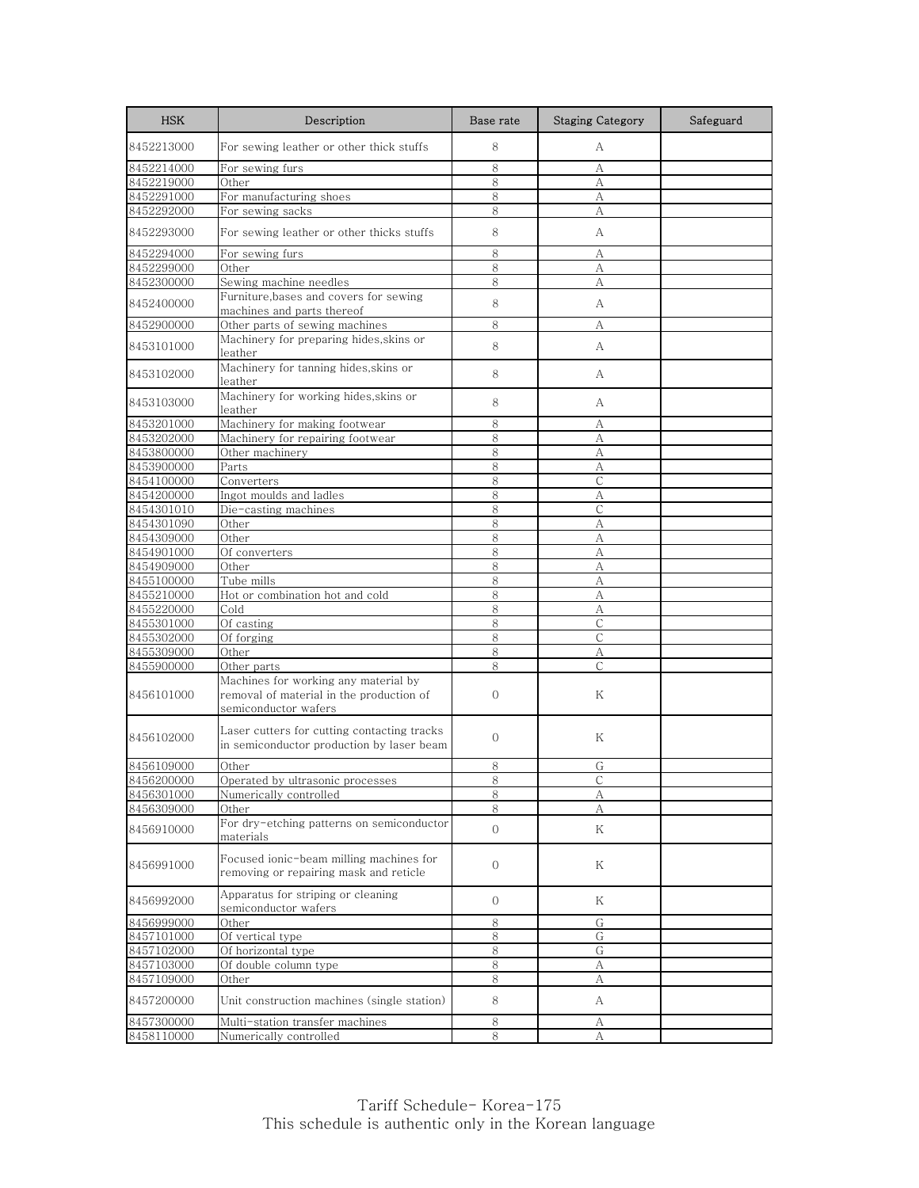| <b>HSK</b>               | Description                                                                                              | Base rate           | <b>Staging Category</b> | Safeguard |
|--------------------------|----------------------------------------------------------------------------------------------------------|---------------------|-------------------------|-----------|
| 8452213000               | For sewing leather or other thick stuffs                                                                 | 8                   | А                       |           |
| 8452214000               | For sewing furs                                                                                          | 8                   | А                       |           |
| 8452219000               | Other                                                                                                    | 8                   | A                       |           |
| 8452291000               | For manufacturing shoes                                                                                  | 8                   | А                       |           |
| 8452292000               | For sewing sacks                                                                                         | 8                   | A                       |           |
| 8452293000               | For sewing leather or other thicks stuffs                                                                | 8                   | А                       |           |
| 8452294000               | For sewing furs                                                                                          | 8                   | А                       |           |
| 8452299000               | Other                                                                                                    | 8                   | А                       |           |
| 8452300000               | Sewing machine needles                                                                                   | 8                   | А                       |           |
| 8452400000               | Furniture, bases and covers for sewing<br>machines and parts thereof                                     | 8                   | А                       |           |
| 8452900000               | Other parts of sewing machines                                                                           | 8                   | А                       |           |
|                          | Machinery for preparing hides, skins or                                                                  |                     |                         |           |
| 8453101000               | leather<br>Machinery for tanning hides, skins or                                                         | 8                   | A                       |           |
| 8453102000               | leather                                                                                                  | 8                   | А                       |           |
| 8453103000               | Machinery for working hides, skins or<br>leather                                                         | 8                   | А                       |           |
| 8453201000               | Machinery for making footwear                                                                            | 8                   | А                       |           |
| 8453202000               | Machinery for repairing footwear                                                                         | 8                   | А                       |           |
| 8453800000               | Other machinery                                                                                          | 8                   | А                       |           |
| 8453900000               | Parts                                                                                                    | 8                   | А                       |           |
| 8454100000               | Converters                                                                                               | 8                   | $\mathsf{C}$            |           |
| 8454200000               | Ingot moulds and ladles                                                                                  | 8                   | А                       |           |
| 8454301010               | Die-casting machines                                                                                     | 8                   | С                       |           |
| 8454301090               | Other                                                                                                    | 8                   | А                       |           |
| 8454309000               | Other                                                                                                    | 8                   | A                       |           |
| 8454901000               | Of converters                                                                                            | 8                   | А                       |           |
| 8454909000               | Other                                                                                                    | 8                   | А                       |           |
| 8455100000               | Tube mills                                                                                               | 8                   | A                       |           |
| 8455210000               | Hot or combination hot and cold                                                                          | 8<br>8              | А<br>А                  |           |
| 8455220000<br>8455301000 | Cold<br>Of casting                                                                                       | 8                   | C                       |           |
| 8455302000               | Of forging                                                                                               | 8                   | С                       |           |
| 8455309000               | Other                                                                                                    | 8                   | А                       |           |
| 8455900000               | Other parts                                                                                              | 8                   | $\mathcal{C}$           |           |
| 8456101000               | Machines for working any material by<br>removal of material in the production of<br>semiconductor wafers | $\overline{0}$      | Κ                       |           |
| 8456102000               | Laser cutters for cutting contacting tracks<br>in semiconductor production by laser beam                 | $\overline{0}$      | Κ                       |           |
| 8456109000               | Other                                                                                                    | 8                   | G                       |           |
| 8456200000               | <u> Operated by ultrasonic processes</u>                                                                 | ୪                   | C                       |           |
| 8456301000               | Numerically controlled                                                                                   | 8                   | А                       |           |
| 8456309000<br>8456910000 | Other<br>For dry-etching patterns on semiconductor                                                       | 8<br>$\overline{O}$ | А<br>Κ                  |           |
|                          | materials                                                                                                |                     |                         |           |
| 8456991000               | Focused ionic-beam milling machines for<br>removing or repairing mask and reticle                        | $\mathbf 0$         | Κ                       |           |
| 8456992000               | Apparatus for striping or cleaning<br>semiconductor wafers                                               | $\mathbf{O}$        | Κ                       |           |
| 8456999000               | Other                                                                                                    | 8                   | G                       |           |
| 8457101000               | Of vertical type                                                                                         | 8                   | G                       |           |
| 8457102000               | Of horizontal type                                                                                       | 8                   | G                       |           |
| 8457103000               | Of double column type                                                                                    | 8                   | А                       |           |
| 8457109000               | Other                                                                                                    | 8                   | А                       |           |
| 8457200000               | Unit construction machines (single station)                                                              | 8                   | А                       |           |
| 8457300000               | Multi-station transfer machines                                                                          | 8                   | А                       |           |
| 8458110000               | Numerically controlled                                                                                   | 8                   | А                       |           |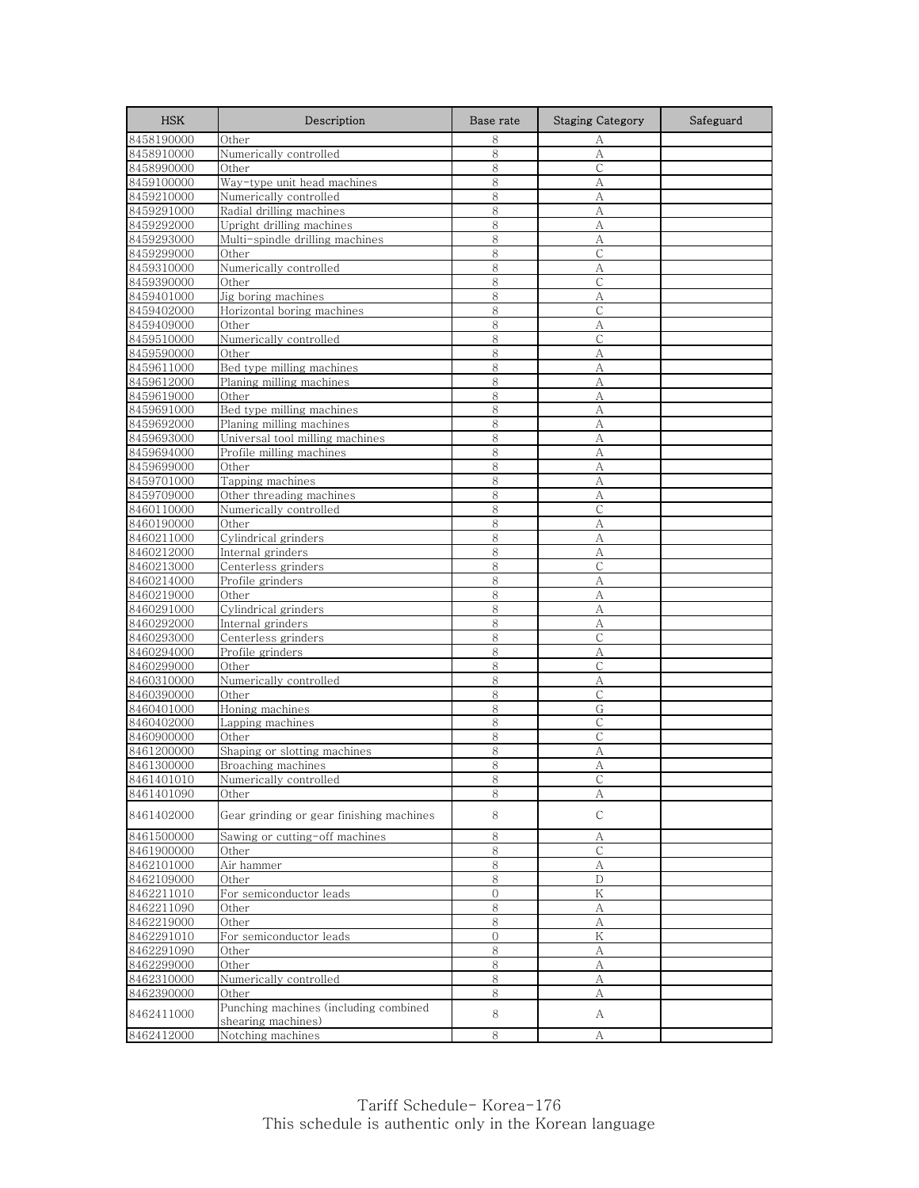| <b>HSK</b>               | Description                              | Base rate      | <b>Staging Category</b> | Safeguard |
|--------------------------|------------------------------------------|----------------|-------------------------|-----------|
| 8458190000               | Other                                    | 8              | А                       |           |
| 8458910000               | Numerically controlled                   | 8              | А                       |           |
| 8458990000               | Other                                    | 8              | C                       |           |
| 8459100000               | Way-type unit head machines              | 8              | А                       |           |
| 8459210000               | Numerically controlled                   | 8              | А                       |           |
| 8459291000               | Radial drilling machines                 | 8              | А                       |           |
| 8459292000               | Upright drilling machines                | 8              | А                       |           |
| 8459293000               | Multi-spindle drilling machines          | 8              | A                       |           |
| 8459299000               | Other                                    | 8              | $\mathsf{C}$            |           |
| 8459310000               | Numerically controlled                   | 8              | А                       |           |
| 8459390000               | Other                                    | 8              | $\mathsf{C}$            |           |
| 8459401000               | Jig boring machines                      | 8              | А                       |           |
| 8459402000               | Horizontal boring machines               | 8              | С                       |           |
| 8459409000               | Other                                    | 8              | A                       |           |
| 8459510000               | Numerically controlled                   | 8              | С                       |           |
| 8459590000               | Other                                    | 8              | А                       |           |
| 8459611000               | Bed type milling machines                | 8              | А                       |           |
| 8459612000               | Planing milling machines                 | 8              | A                       |           |
| 8459619000               | Other                                    | 8              | А                       |           |
| 8459691000               | Bed type milling machines                | 8              | A                       |           |
| 8459692000               | Planing milling machines                 | 8              | A                       |           |
| 8459693000               | Universal tool milling machines          | 8              | А                       |           |
| 8459694000               | Profile milling machines                 | 8              | А                       |           |
| 8459699000               | Other                                    | 8              | А                       |           |
| 8459701000               | Tapping machines                         | 8              | А                       |           |
| 8459709000               | Other threading machines                 | 8              | А                       |           |
| 8460110000               | Numerically controlled                   | 8              | C                       |           |
| 8460190000               | Other<br>Cylindrical grinders            | 8              | A                       |           |
| 8460211000<br>8460212000 |                                          | 8<br>8         | А                       |           |
|                          | Internal grinders                        | 8              | A<br>С                  |           |
| 8460213000<br>8460214000 | Centerless grinders                      | 8              | A                       |           |
| 8460219000               | Profile grinders<br>Other                | 8              | А                       |           |
| 8460291000               | Cylindrical grinders                     | 8              | А                       |           |
| 8460292000               | Internal grinders                        | 8              | А                       |           |
| 8460293000               | Centerless grinders                      | 8              | С                       |           |
| 8460294000               | Profile grinders                         | 8              | А                       |           |
| 8460299000               | Other                                    | 8              | С                       |           |
| 8460310000               | Numerically controlled                   | 8              | A                       |           |
| 8460390000               | Other                                    | 8              | C                       |           |
| 8460401000               | Honing machines                          | 8              | G                       |           |
| 8460402000               | Lapping machines                         | 8              | $\mathsf{C}$            |           |
| 8460900000               | Other                                    | 8              | C                       |           |
| 8461200000               | Shaping or slotting machines             | 8              | А                       |           |
| 8461300000               | Broaching machines                       | 8              | А                       |           |
| 8461401010               | Numerically controlled                   | 8              |                         |           |
| 8461401090               | Other                                    | 8              | А                       |           |
| 8461402000               | Gear grinding or gear finishing machines | 8              | С                       |           |
| 8461500000               | Sawing or cutting-off machines           | 8              | А                       |           |
| 8461900000               | Other                                    | $\,8\,$        | $\mathsf{C}$            |           |
| 8462101000               | Air hammer                               | 8              | А                       |           |
| 8462109000               | Other                                    | 8              | D                       |           |
| 8462211010               | For semiconductor leads                  | $\overline{O}$ | $\rm K$                 |           |
| 8462211090               | Other                                    | 8              | А                       |           |
| 8462219000               | Other                                    | 8              | A                       |           |
| 8462291010               | For semiconductor leads                  | 0              | Κ                       |           |
| 8462291090               | Other                                    | 8              | А                       |           |
| 8462299000               | Other                                    | 8              | А                       |           |
| 8462310000               | Numerically controlled                   | 8              | А                       |           |
| 8462390000               | Other                                    | 8              | А                       |           |
| 8462411000               | Punching machines (including combined    | 8              | A                       |           |
|                          | shearing machines)                       |                |                         |           |
| 8462412000               | Notching machines                        | 8              | А                       |           |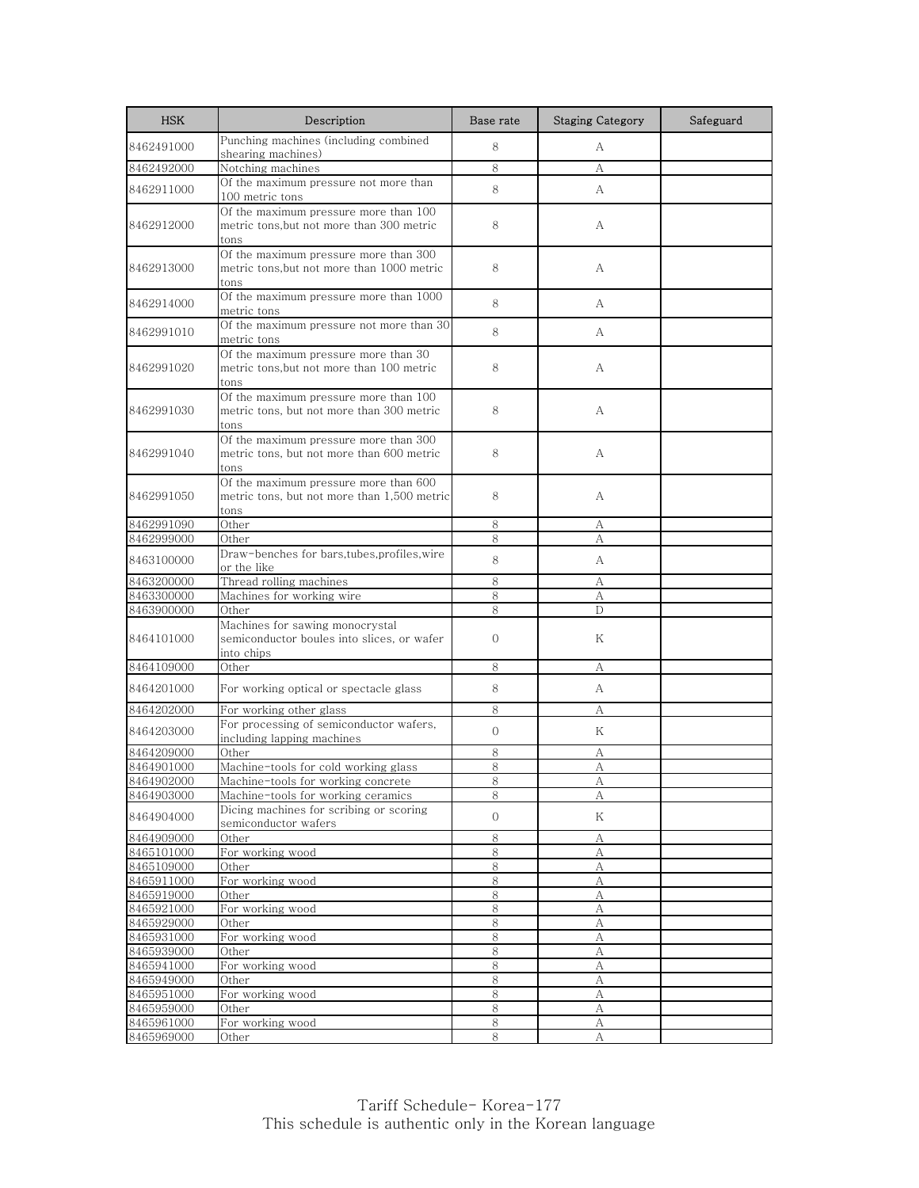| <b>HSK</b>               | Description                                                                                          | Base rate         | <b>Staging Category</b> | Safeguard |
|--------------------------|------------------------------------------------------------------------------------------------------|-------------------|-------------------------|-----------|
| 8462491000               | Punching machines (including combined<br>shearing machines)                                          | 8                 | A                       |           |
| 8462492000               | Notching machines                                                                                    | 8                 | А                       |           |
| 8462911000               | Of the maximum pressure not more than<br>100 metric tons                                             | 8                 | A                       |           |
| 8462912000               | Of the maximum pressure more than 100<br>metric tons, but not more than 300 metric<br>tons           | 8                 | А                       |           |
| 8462913000               | Of the maximum pressure more than 300<br>metric tons, but not more than 1000 metric<br>tons          | 8                 | А                       |           |
| 8462914000               | Of the maximum pressure more than 1000<br>metric tons                                                | 8                 | А                       |           |
| 8462991010               | Of the maximum pressure not more than 30<br>metric tons                                              | 8                 | A                       |           |
| 8462991020               | Of the maximum pressure more than 30<br>metric tons, but not more than 100 metric<br>tons            | 8                 | A                       |           |
| 8462991030               | Of the maximum pressure more than 100<br>metric tons, but not more than 300 metric<br>tons           | 8                 | A                       |           |
| 8462991040               | Of the maximum pressure more than 300<br>metric tons, but not more than 600 metric<br>tons           | 8                 | А                       |           |
| 8462991050               | Of the maximum pressure more than 600<br>metric tons, but not more than 1,500 metric<br>tons         | 8                 | A                       |           |
| 8462991090               | Other                                                                                                | 8                 | А                       |           |
| 8462999000               | Other                                                                                                | 8                 | А                       |           |
| 8463100000               | Draw-benches for bars, tubes, profiles, wire<br>or the like                                          | 8                 | A                       |           |
| 8463200000               | Thread rolling machines                                                                              | 8                 | А                       |           |
| 8463300000               | Machines for working wire                                                                            | 8                 | A                       |           |
| 8463900000<br>8464101000 | Other<br>Machines for sawing monocrystal<br>semiconductor boules into slices, or wafer<br>into chips | 8<br>$\mathbf{0}$ | D<br>Κ                  |           |
| 8464109000               | Other                                                                                                | 8                 | А                       |           |
| 8464201000               | For working optical or spectacle glass                                                               | 8                 | A                       |           |
| 8464202000               | For working other glass                                                                              | 8                 | А                       |           |
| 8464203000               | For processing of semiconductor wafers,<br>including lapping machines                                | $\Omega$          | K                       |           |
| 8464209000               | Other                                                                                                | 8                 | А                       |           |
| 8464901000               | Machine-tools for cold working glass                                                                 | 8                 | A                       |           |
| 8464902000               | Machine-tools for working concrete                                                                   | 8                 | A                       |           |
| 8464903000               | Machine-tools for working ceramics                                                                   | 8                 | А                       |           |
| 8464904000               | Dicing machines for scribing or scoring<br>semiconductor wafers                                      | $\mathbf{O}$      | Κ                       |           |
| 8464909000               | Other                                                                                                | 8                 | А                       |           |
| 8465101000               | For working wood                                                                                     | 8                 | А                       |           |
| 8465109000               | Other                                                                                                | 8                 | А                       |           |
| 8465911000<br>8465919000 | For working wood<br>Other                                                                            | 8<br>8            | А<br>А                  |           |
| 8465921000               | For working wood                                                                                     | 8                 | А                       |           |
| 8465929000               | Other                                                                                                | $\,8\,$           | А                       |           |
| 8465931000               | For working wood                                                                                     | 8                 | A                       |           |
| 8465939000               | Other                                                                                                | 8                 | А                       |           |
| 8465941000               | For working wood                                                                                     | 8                 | $\mathbf{A}$            |           |
| 8465949000               | Other                                                                                                | 8                 | А                       |           |
| 8465951000               | For working wood                                                                                     | 8                 | А                       |           |
| 8465959000               | Other                                                                                                | 8                 | А                       |           |
| 8465961000<br>8465969000 | For working wood<br>Other                                                                            | $\,8\,$<br>8      | А<br>А                  |           |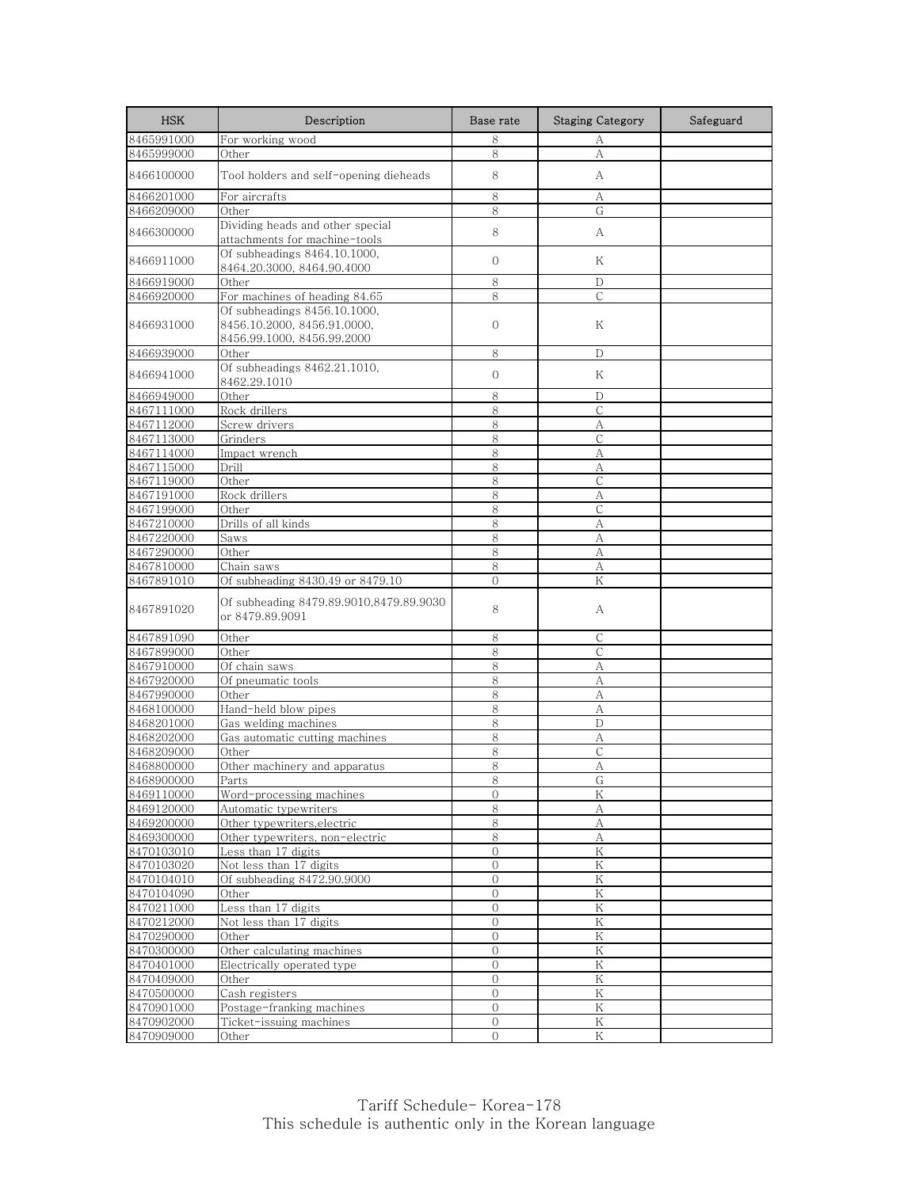| <b>HSK</b>               | Description                                                                               | Base rate      | <b>Staging Category</b> | Safeguard |
|--------------------------|-------------------------------------------------------------------------------------------|----------------|-------------------------|-----------|
| 8465991000               | For working wood                                                                          | 8              | А                       |           |
| 8465999000               | Other                                                                                     | 8              | A                       |           |
| 8466100000               | Tool holders and self-opening dieheads                                                    | 8              | A                       |           |
| 8466201000               | For aircrafts                                                                             | 8              | А                       |           |
| 8466209000               | Other                                                                                     | 8              | G                       |           |
| 8466300000               | Dividing heads and other special<br>attachments for machine-tools                         | 8              | A                       |           |
| 8466911000               | Of subheadings 8464.10.1000.<br>8464.20.3000, 8464.90.4000                                | $\mathbf{0}$   | K                       |           |
| 8466919000               | Other                                                                                     | 8              | D                       |           |
| 8466920000               | For machines of heading 84.65                                                             | 8              | C                       |           |
| 8466931000               | Of subheadings 8456.10.1000,<br>8456.10.2000, 8456.91.0000,<br>8456.99.1000, 8456.99.2000 | $\mathbf{0}$   | Κ                       |           |
| 8466939000               | Other                                                                                     | 8              | D                       |           |
| 8466941000               | Of subheadings 8462.21.1010,<br>8462.29.1010                                              | $\mathbf{0}$   | Κ                       |           |
| 8466949000               | Other                                                                                     | 8              | D                       |           |
| 8467111000               | Rock drillers                                                                             | 8              | $\mathsf{C}$            |           |
| 8467112000               | Screw drivers                                                                             | 8              | А                       |           |
| 8467113000               | Grinders                                                                                  | 8              | С                       |           |
| 8467114000               | Impact wrench                                                                             | 8              | A                       |           |
| 8467115000               | Drill                                                                                     | 8              | А                       |           |
| 8467119000               | Other                                                                                     | 8              | $\mathcal{C}$           |           |
| 8467191000               | Rock drillers                                                                             | 8              | А                       |           |
| 8467199000               | Other                                                                                     | 8              | $\mathsf{C}$            |           |
| 8467210000               | Drills of all kinds                                                                       | 8              | А                       |           |
| 8467220000               | Saws                                                                                      | 8              | А                       |           |
| 8467290000               | Other                                                                                     | 8              | А                       |           |
| 8467810000               | Chain saws                                                                                | 8              | А                       |           |
| 8467891010               | Of subheading 8430.49 or 8479.10                                                          | $\overline{O}$ | K                       |           |
| 8467891020               | Of subheading 8479.89.9010,8479.89.9030<br>or 8479.89.9091                                | 8              | А                       |           |
| 8467891090               | Other                                                                                     | 8              | С                       |           |
| 8467899000               | Other                                                                                     | 8              | $\mathsf{C}$            |           |
| 8467910000               | Of chain saws                                                                             | 8              | А                       |           |
| 8467920000               | Of pneumatic tools                                                                        | 8              | A                       |           |
| 8467990000               | Other                                                                                     | $\,8\,$        | А                       |           |
| 8468100000               | Hand-held blow pipes                                                                      | 8              | А                       |           |
| 8468201000               | Gas welding machines                                                                      | 8              | D                       |           |
| 8468202000               | Gas automatic cutting machines                                                            | 8              | А                       |           |
| 8468209000               | Other                                                                                     | 8              | C                       |           |
| 8468800000               | Other machinery and apparatus                                                             | 8              | A                       |           |
| 8468900000               | Parts                                                                                     | 8              | G                       |           |
| 8469110000               | Word-processing machines<br>Automatic typewriters                                         | $\overline{0}$ | K                       |           |
| 8469120000<br>8469200000 | Other typewriters, electric                                                               | 8<br>8         | А<br>$\boldsymbol{A}$   |           |
| 8469300000               | Other typewriters, non-electric                                                           | 8              | А                       |           |
| 8470103010               | Less than 17 digits                                                                       | $\mathbf{0}$   | K                       |           |
| 8470103020               | Not less than 17 digits                                                                   | $\mathbf{0}$   | $\rm K$                 |           |
| 8470104010               | Of subheading 8472.90.9000                                                                | 0              | $\rm K$                 |           |
| 8470104090               | Other                                                                                     | $\mathbf{0}$   | K                       |           |
| 8470211000               | Less than 17 digits                                                                       | $\mathbf 0$    | Κ                       |           |
| 8470212000               | Not less than 17 digits                                                                   | $\overline{0}$ | K                       |           |
| 8470290000               | Other                                                                                     | $\mathbf{0}$   | Κ                       |           |
| 8470300000               | Other calculating machines                                                                | $\overline{0}$ | K                       |           |
| 8470401000               | Electrically operated type                                                                | $\overline{0}$ | ${\rm K}$               |           |
| 8470409000               | Other                                                                                     | 0              | K                       |           |
| 8470500000               | Cash registers                                                                            | $\mathbf{0}$   | K                       |           |
| 8470901000               | Postage-franking machines                                                                 | $\mathbf{0}$   | Κ                       |           |
| 8470902000               | Ticket-issuing machines                                                                   | $\mathbf{0}$   | K                       |           |
| 8470909000               | Other                                                                                     | $\overline{0}$ | Κ                       |           |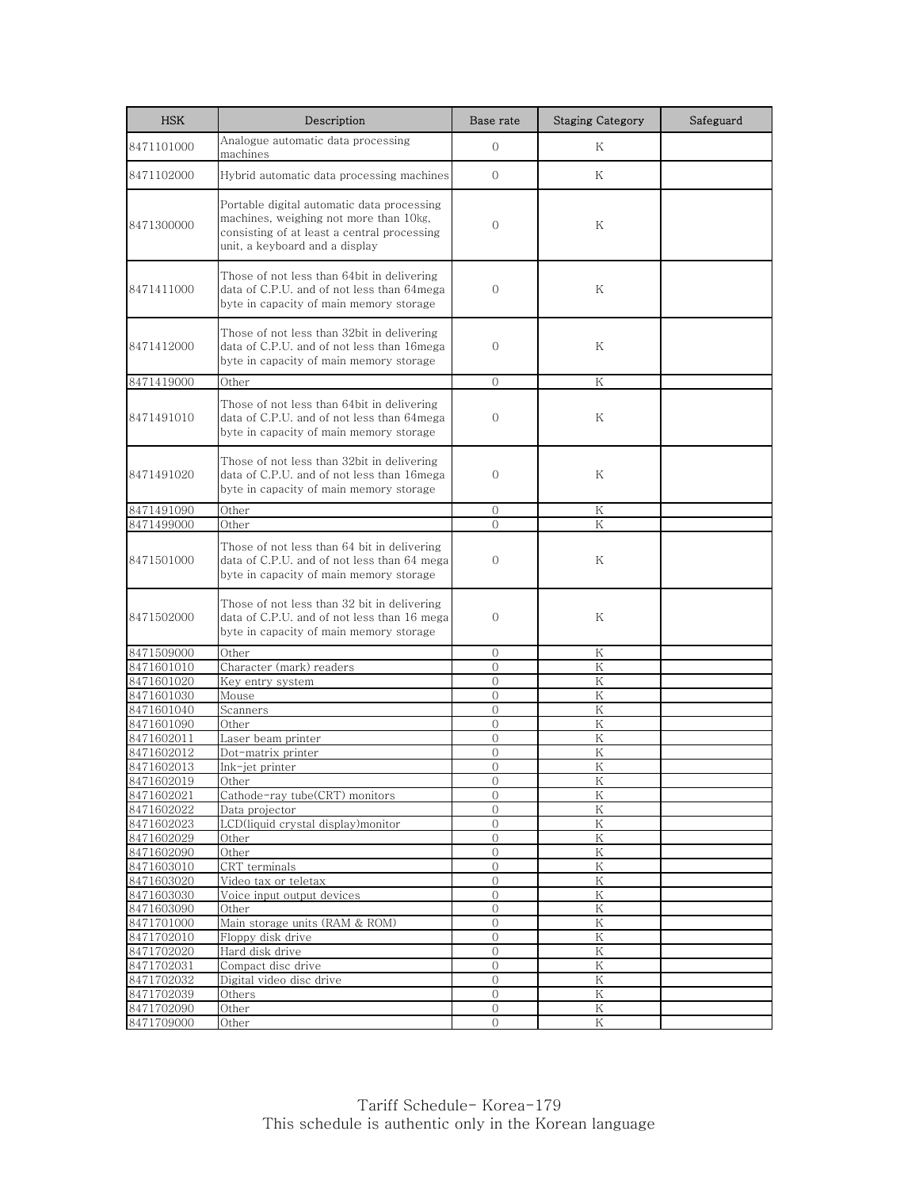| <b>HSK</b>               | Description                                                                                                                                                           | Base rate                    | <b>Staging Category</b> | Safeguard |
|--------------------------|-----------------------------------------------------------------------------------------------------------------------------------------------------------------------|------------------------------|-------------------------|-----------|
| 8471101000               | Analogue automatic data processing<br>machines                                                                                                                        | $\mathbf{0}$                 | K                       |           |
| 8471102000               | Hybrid automatic data processing machines                                                                                                                             | $\Omega$                     | K                       |           |
| 8471300000               | Portable digital automatic data processing<br>machines, weighing not more than 10kg,<br>consisting of at least a central processing<br>unit, a keyboard and a display | $\mathbf{0}$                 | Κ                       |           |
| 8471411000               | Those of not less than 64bit in delivering<br>data of C.P.U. and of not less than 64mega<br>byte in capacity of main memory storage                                   | $\mathbf{0}$                 | Κ                       |           |
| 8471412000               | Those of not less than 32bit in delivering<br>data of C.P.U. and of not less than 16mega<br>byte in capacity of main memory storage                                   | $\mathbf{0}$                 | Κ                       |           |
| 8471419000               | Other                                                                                                                                                                 | $\Omega$                     | K                       |           |
| 8471491010               | Those of not less than 64bit in delivering<br>data of C.P.U. and of not less than 64mega<br>byte in capacity of main memory storage                                   | $\mathbf{0}$                 | Κ                       |           |
| 8471491020               | Those of not less than 32bit in delivering<br>data of C.P.U. and of not less than 16mega<br>byte in capacity of main memory storage                                   | $\mathbf{0}$                 | Κ                       |           |
| 8471491090               | Other                                                                                                                                                                 | $\mathbf 0$                  | Κ                       |           |
| 8471499000               | Other                                                                                                                                                                 | $\Omega$                     | K                       |           |
| 8471501000               | Those of not less than 64 bit in delivering<br>data of C.P.U. and of not less than 64 mega<br>byte in capacity of main memory storage                                 | $\mathbf{0}$                 | Κ                       |           |
| 8471502000               | Those of not less than 32 bit in delivering<br>data of C.P.U. and of not less than 16 mega<br>byte in capacity of main memory storage                                 | 0                            | Κ                       |           |
| 8471509000               | Other                                                                                                                                                                 | $\Omega$                     | K                       |           |
| 8471601010               | Character (mark) readers                                                                                                                                              | $\Omega$                     | K                       |           |
| 8471601020               | Key entry system                                                                                                                                                      | $\mathbf{0}$                 | Κ                       |           |
| 8471601030               | Mouse                                                                                                                                                                 | $\Omega$                     | K                       |           |
| 8471601040               | Scanners                                                                                                                                                              | $\mathbf{0}$                 | Κ                       |           |
| 8471601090               | Other                                                                                                                                                                 | $\Omega$                     | Κ                       |           |
| 8471602011               | Laser beam printer                                                                                                                                                    | $\overline{0}$               | K                       |           |
| 8471602012               | Dot-matrix printer                                                                                                                                                    | $\mathbf{0}$                 | Κ                       |           |
| 8471602013               | Ink-jet printer                                                                                                                                                       | $\overline{0}$               | K                       |           |
| 8471602019               | Other                                                                                                                                                                 | $\cup$                       | K                       |           |
| 8471602021               | Cathode-ray tube(CRT) monitors                                                                                                                                        | $\mathbf{0}$                 | Κ                       |           |
| 8471602022               | Data projector                                                                                                                                                        | $\mathbf{0}$                 | Κ                       |           |
| 8471602023               | LCD(liquid crystal display)monitor                                                                                                                                    | $\Omega$                     | ${\rm K}$               |           |
| 8471602029               | Other                                                                                                                                                                 | $\Omega$                     | K                       |           |
| 8471602090               | Other                                                                                                                                                                 | $\mathbf 0$                  | Κ                       |           |
| 8471603010               | CRT terminals                                                                                                                                                         | $\mathcal{O}$                | K                       |           |
| 8471603020<br>8471603030 | Video tax or teletax<br>Voice input output devices                                                                                                                    | $\mathbf{0}$<br>$\mathbf{0}$ | Κ<br>$\rm K$            |           |
| 8471603090               | Other                                                                                                                                                                 | $\mathbf{0}$                 | K                       |           |
| 8471701000               | Main storage units (RAM & ROM)                                                                                                                                        | $\Omega$                     | K                       |           |
| 8471702010               | Floppy disk drive                                                                                                                                                     | $\mathbf{0}$                 | Κ                       |           |
| 8471702020               | Hard disk drive                                                                                                                                                       | $\mathbf{O}$                 | Κ                       |           |
| 8471702031               | Compact disc drive                                                                                                                                                    | $\overline{0}$               | Κ                       |           |
| 8471702032               | Digital video disc drive                                                                                                                                              | $\mathbf{0}$                 | Κ                       |           |
| 8471702039               | Others                                                                                                                                                                | $\Omega$                     | K                       |           |
| 8471702090               | Other                                                                                                                                                                 | $\mathbf{0}$                 | Κ                       |           |
| 8471709000               | Other                                                                                                                                                                 | 0                            | Κ                       |           |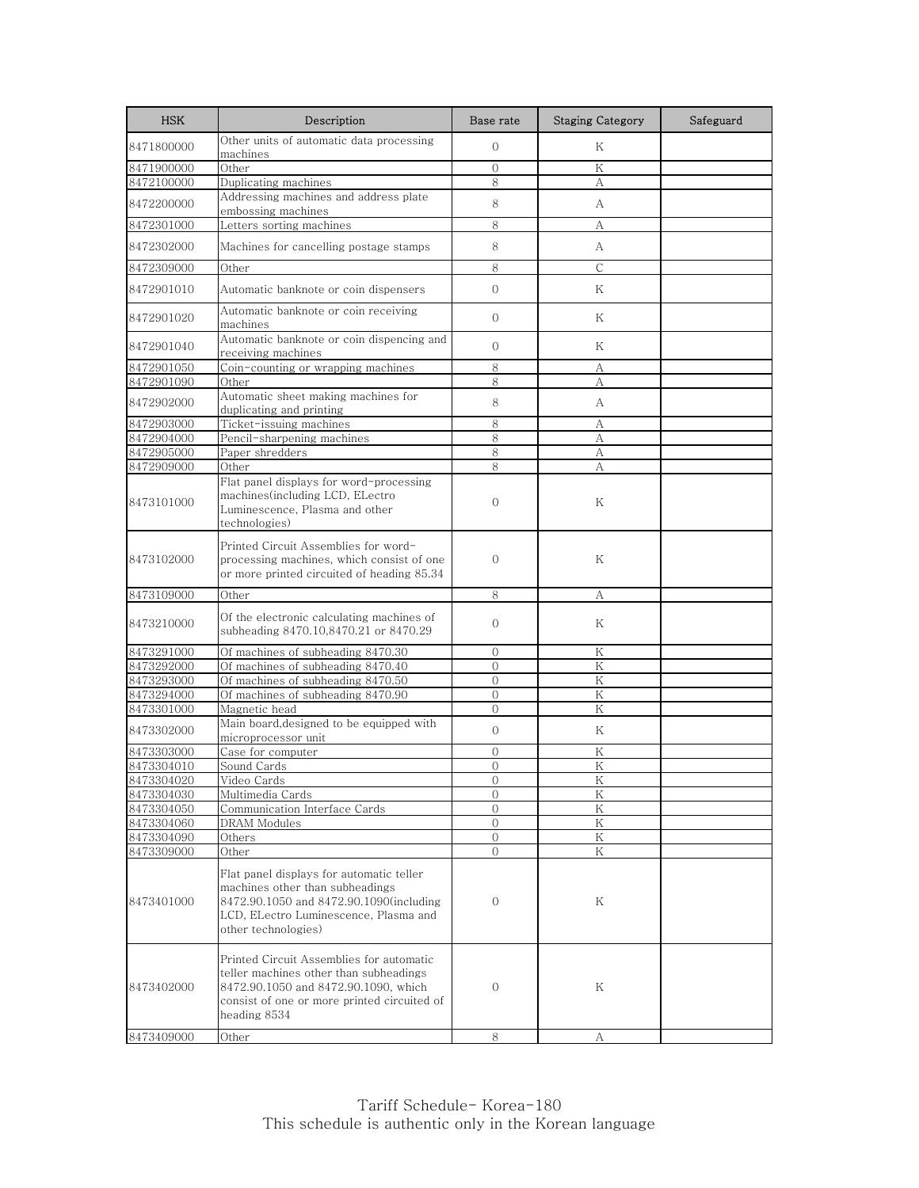| <b>HSK</b> | Description                                                                                                                                                                               | Base rate      | <b>Staging Category</b> | Safeguard |
|------------|-------------------------------------------------------------------------------------------------------------------------------------------------------------------------------------------|----------------|-------------------------|-----------|
| 8471800000 | Other units of automatic data processing<br>machines                                                                                                                                      | $\mathbf{0}$   | Κ                       |           |
| 8471900000 | Other                                                                                                                                                                                     | $\mathbf{0}$   | Κ                       |           |
| 8472100000 | Duplicating machines                                                                                                                                                                      | 8              | А                       |           |
| 8472200000 | Addressing machines and address plate<br>embossing machines                                                                                                                               | 8              | А                       |           |
| 8472301000 | Letters sorting machines                                                                                                                                                                  | 8              | А                       |           |
| 8472302000 | Machines for cancelling postage stamps                                                                                                                                                    | 8              | A                       |           |
|            |                                                                                                                                                                                           |                |                         |           |
| 8472309000 | Other                                                                                                                                                                                     | 8              | $\mathsf{C}$            |           |
| 8472901010 | Automatic banknote or coin dispensers                                                                                                                                                     | $\overline{0}$ | Κ                       |           |
| 8472901020 | Automatic banknote or coin receiving<br>machines                                                                                                                                          | $\Omega$       | Κ                       |           |
| 8472901040 | Automatic banknote or coin dispencing and<br>receiving machines                                                                                                                           | $\Omega$       | Κ                       |           |
| 8472901050 | Coin-counting or wrapping machines                                                                                                                                                        | 8              | А                       |           |
| 8472901090 | Other                                                                                                                                                                                     | 8              | А                       |           |
| 8472902000 | Automatic sheet making machines for<br>duplicating and printing                                                                                                                           | 8              | A                       |           |
| 8472903000 | Ticket-issuing machines                                                                                                                                                                   | 8              | А                       |           |
| 8472904000 | Pencil-sharpening machines                                                                                                                                                                | 8              | А                       |           |
| 8472905000 | Paper shredders                                                                                                                                                                           | 8              | А                       |           |
| 8472909000 | Other                                                                                                                                                                                     | 8              | А                       |           |
| 8473101000 | Flat panel displays for word-processing<br>machines(including LCD, ELectro<br>Luminescence, Plasma and other<br>technologies)                                                             | 0              | Κ                       |           |
| 8473102000 | Printed Circuit Assemblies for word-<br>processing machines, which consist of one<br>or more printed circuited of heading 85.34                                                           | $\mathbf{0}$   | Κ                       |           |
| 8473109000 | Other                                                                                                                                                                                     | 8              | А                       |           |
| 8473210000 | Of the electronic calculating machines of<br>subheading 8470.10,8470.21 or 8470.29                                                                                                        | 0              | Κ                       |           |
| 8473291000 | Of machines of subheading 8470.30                                                                                                                                                         | $\mathbf{0}$   | Κ                       |           |
| 8473292000 | Of machines of subheading 8470.40                                                                                                                                                         | $\overline{O}$ | K                       |           |
| 8473293000 | Of machines of subheading 8470.50                                                                                                                                                         | $\Omega$       | Κ                       |           |
| 8473294000 | Of machines of subheading 8470.90                                                                                                                                                         | $\overline{0}$ | Κ                       |           |
| 8473301000 | Magnetic head                                                                                                                                                                             | $\Omega$       | Κ                       |           |
| 8473302000 | Main board, designed to be equipped with<br>microprocessor unit                                                                                                                           | $\overline{O}$ | Κ                       |           |
| 8473303000 | Case for computer                                                                                                                                                                         | $\mathbf{0}$   | K                       |           |
| 8473304010 | Sound Cards                                                                                                                                                                               | $\overline{O}$ | Κ                       |           |
| 8473304020 | Video Cards                                                                                                                                                                               | $\cup$         | K                       |           |
| 8473304030 | Multimedia Cards                                                                                                                                                                          | $\mathbf{0}$   | K                       |           |
| 8473304050 | Communication Interface Cards                                                                                                                                                             | 0              | Κ                       |           |
| 8473304060 | DRAM Modules                                                                                                                                                                              | 0              | K                       |           |
| 8473304090 | Others                                                                                                                                                                                    | $\overline{0}$ | Κ                       |           |
| 8473309000 | Other                                                                                                                                                                                     | $\Omega$       | Κ                       |           |
| 8473401000 | Flat panel displays for automatic teller<br>machines other than subheadings<br>8472.90.1050 and 8472.90.1090(including<br>LCD, ELectro Luminescence, Plasma and<br>other technologies)    | 0              | Κ                       |           |
| 8473402000 | Printed Circuit Assemblies for automatic<br>teller machines other than subheadings<br>8472.90.1050 and 8472.90.1090, which<br>consist of one or more printed circuited of<br>heading 8534 | 0              | Κ                       |           |
| 8473409000 | Other                                                                                                                                                                                     | 8              | А                       |           |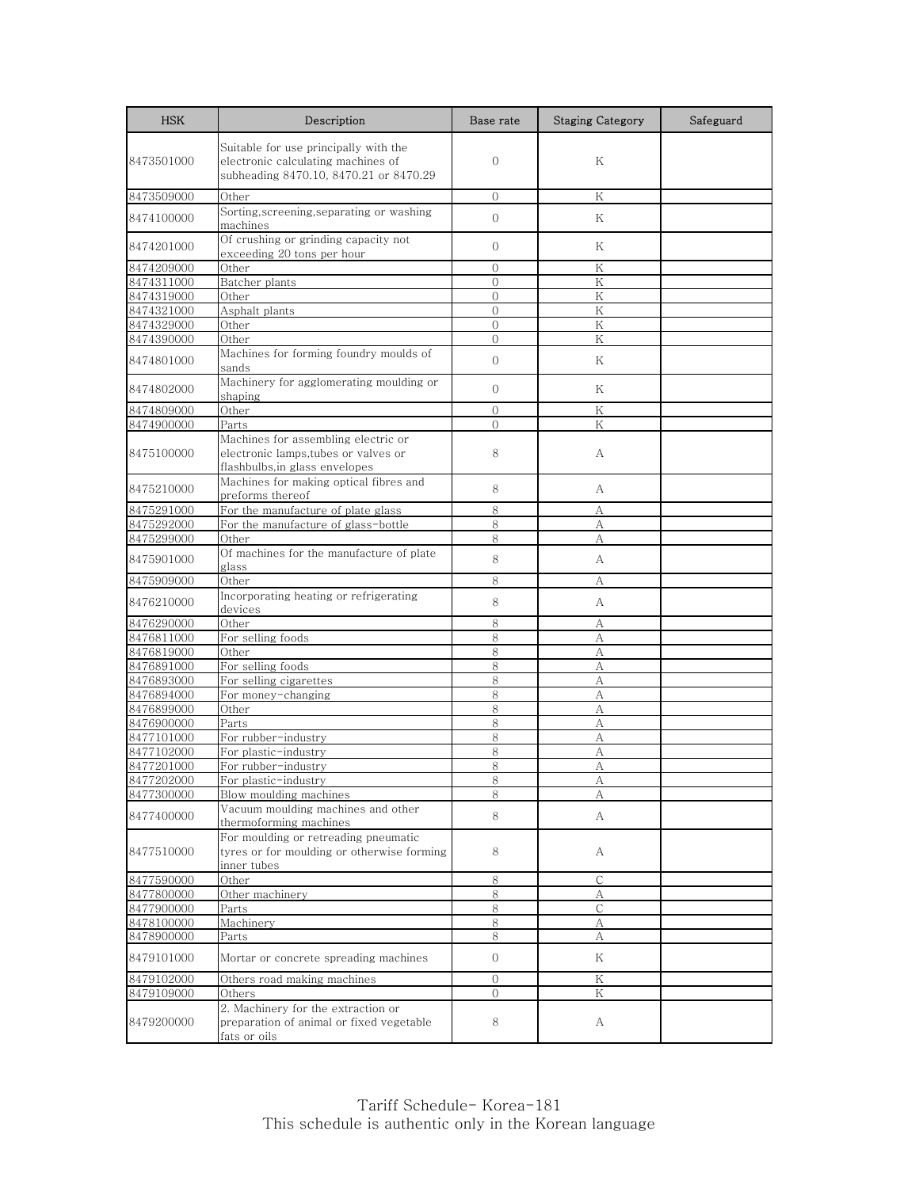| <b>HSK</b> | Description                                                                                                           | Base rate      | <b>Staging Category</b> | Safeguard |
|------------|-----------------------------------------------------------------------------------------------------------------------|----------------|-------------------------|-----------|
| 8473501000 | Suitable for use principally with the<br>electronic calculating machines of<br>subheading 8470.10, 8470.21 or 8470.29 | $\mathbf{0}$   | Κ                       |           |
| 8473509000 | Other                                                                                                                 | $\Omega$       | K                       |           |
| 8474100000 | Sorting,screening,separating or washing<br>machines                                                                   | $\overline{0}$ | K                       |           |
| 8474201000 | Of crushing or grinding capacity not<br>exceeding 20 tons per hour                                                    | $\mathbf{0}$   | Κ                       |           |
| 8474209000 | Other                                                                                                                 | $\Omega$       | Κ                       |           |
| 8474311000 | Batcher plants                                                                                                        | $\overline{0}$ | K                       |           |
| 8474319000 | Other                                                                                                                 | $\mathbf{0}$   | K                       |           |
| 8474321000 | Asphalt plants                                                                                                        | $\overline{0}$ | K                       |           |
| 8474329000 | Other                                                                                                                 | $\Omega$       | Κ                       |           |
| 8474390000 | Other                                                                                                                 | $\Omega$       | Κ                       |           |
| 8474801000 | Machines for forming foundry moulds of<br>sands                                                                       | $\mathbf{0}$   | K                       |           |
| 8474802000 | Machinery for agglomerating moulding or<br>shaping                                                                    | $\mathbf{0}$   | Κ                       |           |
| 8474809000 | Other                                                                                                                 | $\Omega$       | K                       |           |
| 8474900000 | Parts                                                                                                                 | $\Omega$       | K                       |           |
| 8475100000 | Machines for assembling electric or<br>electronic lamps,tubes or valves or<br>flashbulbs, in glass envelopes          | 8              | А                       |           |
| 8475210000 | Machines for making optical fibres and<br>preforms thereof                                                            | 8              | А                       |           |
| 8475291000 | For the manufacture of plate glass                                                                                    | 8              | A                       |           |
| 8475292000 | For the manufacture of glass-bottle                                                                                   | 8              | А                       |           |
| 8475299000 | Other                                                                                                                 | 8              | А                       |           |
| 8475901000 | Of machines for the manufacture of plate<br>glass                                                                     | 8              | А                       |           |
| 8475909000 | Other                                                                                                                 | 8              | А                       |           |
| 8476210000 | Incorporating heating or refrigerating<br>devices                                                                     | 8              | А                       |           |
| 8476290000 | Other                                                                                                                 | 8              | А                       |           |
| 8476811000 | For selling foods                                                                                                     | 8              | А                       |           |
| 8476819000 | Other                                                                                                                 | 8              | А                       |           |
| 8476891000 | For selling foods                                                                                                     | 8              | А                       |           |
| 8476893000 | For selling cigarettes                                                                                                | 8              | А                       |           |
| 8476894000 | For money-changing                                                                                                    | 8              | A                       |           |
| 8476899000 | Other                                                                                                                 | 8              | А                       |           |
| 8476900000 | Parts                                                                                                                 | 8              | А                       |           |
| 8477101000 | For rubber-industry                                                                                                   | 8              | А                       |           |
| 8477102000 | For plastic-industry                                                                                                  | 8              | А                       |           |
| 8477201000 | For rubber-industry                                                                                                   | 8              | А                       |           |
| 8477202000 | For plastic-industry                                                                                                  | 8              | Α                       |           |
| 8477300000 | Blow moulding machines                                                                                                | 8              | А                       |           |
| 8477400000 | Vacuum moulding machines and other<br>thermoforming machines                                                          | 8              | A                       |           |
| 8477510000 | For moulding or retreading pneumatic<br>tyres or for moulding or otherwise forming<br>inner tubes                     | 8              | A                       |           |
| 8477590000 | Other                                                                                                                 | 8              | С                       |           |
| 8477800000 | Other machinery                                                                                                       | 8              | А                       |           |
| 8477900000 | Parts                                                                                                                 | 8              | С                       |           |
| 8478100000 | Machinery                                                                                                             | 8              | А                       |           |
| 8478900000 | Parts                                                                                                                 | 8              | А                       |           |
| 8479101000 | Mortar or concrete spreading machines                                                                                 | $\overline{0}$ | Κ                       |           |
| 8479102000 | Others road making machines                                                                                           | 0              | Κ                       |           |
| 8479109000 | Others                                                                                                                | $\mathbf{0}$   | K                       |           |
| 8479200000 | 2. Machinery for the extraction or<br>preparation of animal or fixed vegetable<br>fats or oils                        | 8              | А                       |           |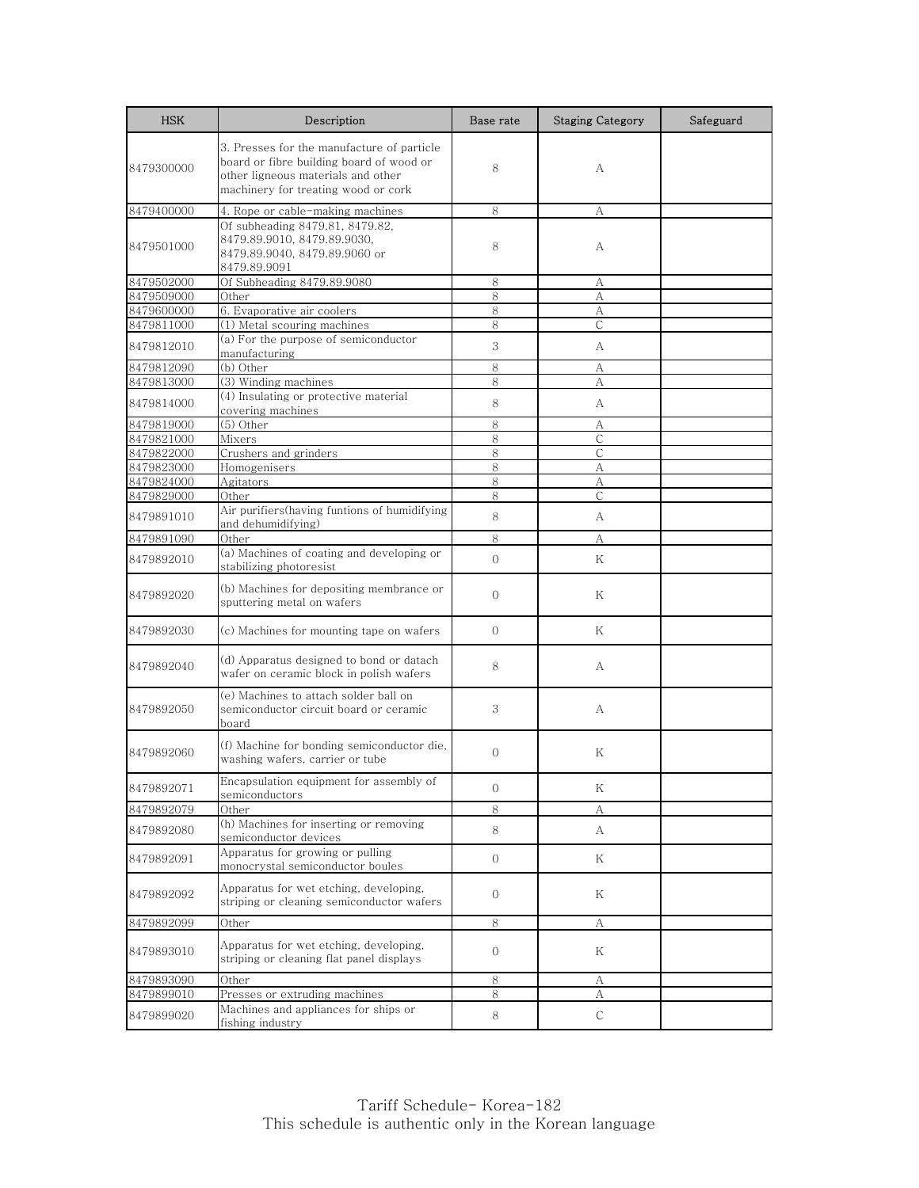| <b>HSK</b> | Description                                                                                                                                                         | Base rate      | <b>Staging Category</b> | Safeguard |
|------------|---------------------------------------------------------------------------------------------------------------------------------------------------------------------|----------------|-------------------------|-----------|
| 8479300000 | 3. Presses for the manufacture of particle<br>board or fibre building board of wood or<br>other ligneous materials and other<br>machinery for treating wood or cork | 8              | A                       |           |
| 8479400000 | 4. Rope or cable-making machines                                                                                                                                    | 8              | А                       |           |
| 8479501000 | Of subheading 8479.81, 8479.82,<br>8479.89.9010, 8479.89.9030,<br>8479.89.9040, 8479.89.9060 or<br>8479.89.9091                                                     | 8              | А                       |           |
| 8479502000 | Of Subheading 8479.89.9080                                                                                                                                          | 8              | А                       |           |
| 8479509000 | Other                                                                                                                                                               | 8              | А                       |           |
| 8479600000 | 6. Evaporative air coolers                                                                                                                                          | 8              | А                       |           |
| 8479811000 | (1) Metal scouring machines                                                                                                                                         | 8              | C                       |           |
| 8479812010 | (a) For the purpose of semiconductor<br>manufacturing                                                                                                               | 3              | A                       |           |
| 8479812090 | (b) Other                                                                                                                                                           | 8              | А                       |           |
| 8479813000 | (3) Winding machines                                                                                                                                                | 8              | А                       |           |
| 8479814000 | (4) Insulating or protective material<br>covering machines                                                                                                          | 8              | A                       |           |
| 8479819000 | (5) Other                                                                                                                                                           | 8              | А                       |           |
| 8479821000 | Mixers                                                                                                                                                              | 8              | C                       |           |
| 8479822000 | Crushers and grinders                                                                                                                                               | 8              | $\mathsf{C}$            |           |
| 8479823000 | Homogenisers                                                                                                                                                        | 8              | А                       |           |
| 8479824000 | Agitators                                                                                                                                                           | 8              | А                       |           |
| 8479829000 | Other                                                                                                                                                               | 8              | $\mathsf{C}$            |           |
| 8479891010 | Air purifiers(having funtions of humidifying<br>and dehumidifying)                                                                                                  | 8              | A                       |           |
| 8479891090 | Other                                                                                                                                                               | 8              | А                       |           |
| 8479892010 | (a) Machines of coating and developing or<br>stabilizing photoresist                                                                                                | $\overline{0}$ | Κ                       |           |
| 8479892020 | (b) Machines for depositing membrance or<br>sputtering metal on wafers                                                                                              | $\mathbf{O}$   | Κ                       |           |
| 8479892030 | (c) Machines for mounting tape on wafers                                                                                                                            | $\mathbf{0}$   | Κ                       |           |
| 8479892040 | (d) Apparatus designed to bond or datach<br>wafer on ceramic block in polish wafers                                                                                 | 8              | А                       |           |
| 8479892050 | (e) Machines to attach solder ball on<br>semiconductor circuit board or ceramic<br>board                                                                            | 3              | А                       |           |
| 8479892060 | (f) Machine for bonding semiconductor die,<br>washing wafers, carrier or tube                                                                                       | $\mathbf{0}$   | Κ                       |           |
| 8479892071 | Encapsulation equipment for assembly of<br>semiconductors                                                                                                           | $\mathbf 0$    | Κ                       |           |
| 8479892079 | Other                                                                                                                                                               | $\,8\,$        | A                       |           |
| 8479892080 | (h) Machines for inserting or removing<br>semiconductor devices                                                                                                     | 8              | А                       |           |
| 8479892091 | Apparatus for growing or pulling<br>monocrystal semiconductor boules                                                                                                | $\overline{0}$ | Κ                       |           |
| 8479892092 | Apparatus for wet etching, developing,<br>striping or cleaning semiconductor wafers                                                                                 | $\mathbf{O}$   | Κ                       |           |
| 8479892099 | Other                                                                                                                                                               | 8              | А                       |           |
| 8479893010 | Apparatus for wet etching, developing,<br>striping or cleaning flat panel displays                                                                                  | $\mathbf{O}$   | Κ                       |           |
| 8479893090 | Other                                                                                                                                                               | 8              | А                       |           |
| 8479899010 | Presses or extruding machines                                                                                                                                       | 8              | А                       |           |
| 8479899020 | Machines and appliances for ships or<br>fishing industry                                                                                                            | 8              | С                       |           |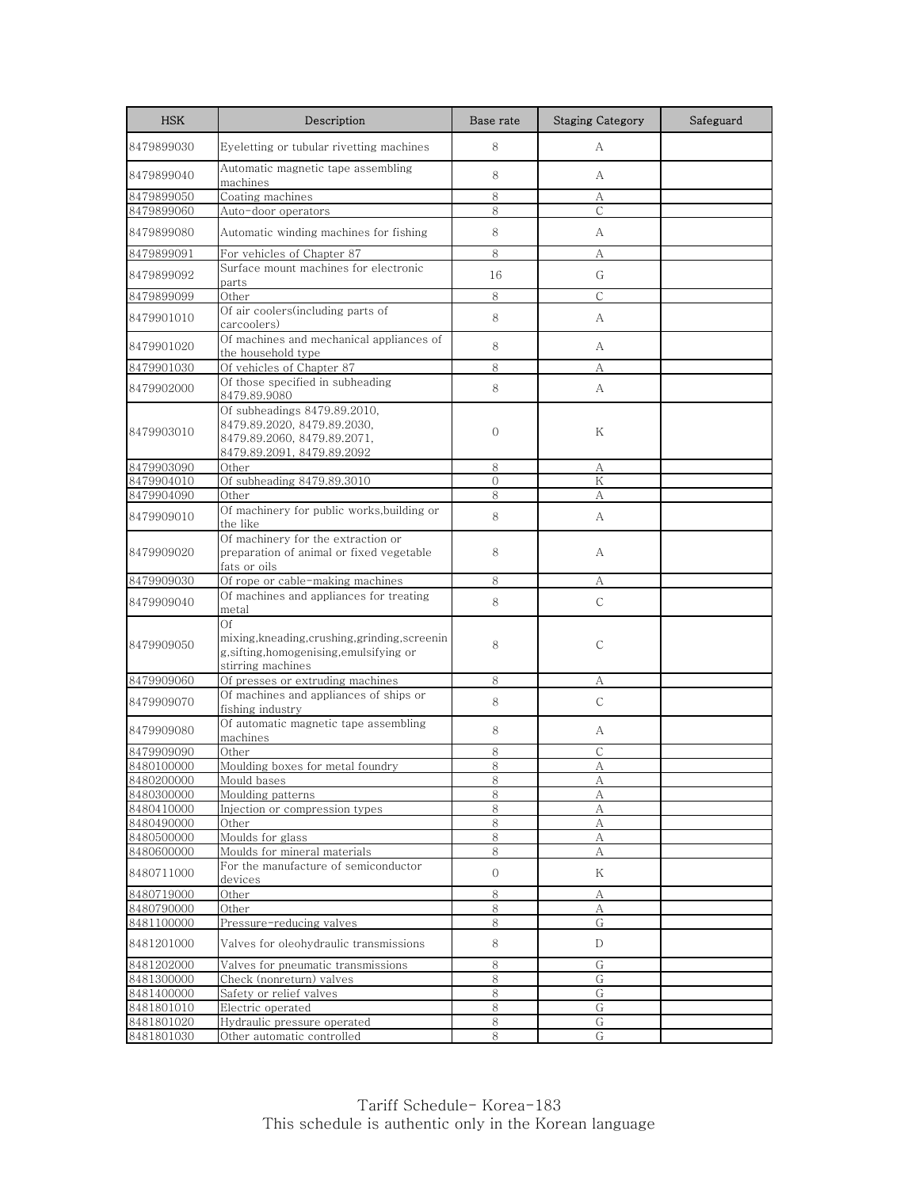| <b>HSK</b> | Description                                                                                                              | Base rate    | <b>Staging Category</b> | Safeguard |
|------------|--------------------------------------------------------------------------------------------------------------------------|--------------|-------------------------|-----------|
| 8479899030 | Eyeletting or tubular rivetting machines                                                                                 | 8            | A                       |           |
| 8479899040 | Automatic magnetic tape assembling<br>machines                                                                           | 8            | A                       |           |
| 8479899050 | Coating machines                                                                                                         | 8            | А                       |           |
| 8479899060 | Auto-door operators                                                                                                      | 8            | $\mathsf{C}$            |           |
| 8479899080 | Automatic winding machines for fishing                                                                                   | 8            | A                       |           |
| 8479899091 | For vehicles of Chapter 87                                                                                               | 8            | А                       |           |
| 8479899092 | Surface mount machines for electronic                                                                                    | 16           | G                       |           |
| 8479899099 | parts<br>Other                                                                                                           | 8            | С                       |           |
| 8479901010 | Of air coolers(including parts of<br>carcoolers)                                                                         | 8            | A                       |           |
| 8479901020 | Of machines and mechanical appliances of                                                                                 | 8            | A                       |           |
| 8479901030 | the household type<br>Of vehicles of Chapter 87                                                                          | 8            | А                       |           |
|            | Of those specified in subheading                                                                                         |              |                         |           |
| 8479902000 | 8479.89.9080                                                                                                             | 8            | A                       |           |
| 8479903010 | Of subheadings 8479.89.2010,<br>8479.89.2020, 8479.89.2030,<br>8479.89.2060, 8479.89.2071,<br>8479.89.2091, 8479.89.2092 | $\mathbf{O}$ | Κ                       |           |
| 8479903090 | Other                                                                                                                    | 8            | А                       |           |
| 8479904010 | Of subheading 8479.89.3010                                                                                               | $\Omega$     | K                       |           |
| 8479904090 | Other                                                                                                                    | 8            | А                       |           |
| 8479909010 | Of machinery for public works, building or<br>the like                                                                   | 8            | А                       |           |
| 8479909020 | Of machinery for the extraction or<br>preparation of animal or fixed vegetable<br>fats or oils                           | 8            | А                       |           |
| 8479909030 | Of rope or cable-making machines                                                                                         | 8            | А                       |           |
| 8479909040 | Of machines and appliances for treating<br>metal                                                                         | 8            | $\mathsf{C}$            |           |
| 8479909050 | Of<br>mixing, kneading, crushing, grinding, screenin<br>g,sifting,homogenising,emulsifying or<br>stirring machines       | 8            | $\mathsf{C}$            |           |
| 8479909060 | Of presses or extruding machines                                                                                         | 8            | А                       |           |
| 8479909070 | Of machines and appliances of ships or<br>fishing industry                                                               | 8            | $\mathsf{C}$            |           |
| 8479909080 | Of automatic magnetic tape assembling<br>machines                                                                        | 8            | А                       |           |
| 8479909090 | Other                                                                                                                    | 8            | $\mathsf{C}$            |           |
| 8480100000 | Moulding boxes for metal foundry                                                                                         | 8            | А                       |           |
| 8480200000 | <u>Mould bases</u>                                                                                                       | 8            | А                       |           |
| 8480300000 | Moulding patterns                                                                                                        | 8            | А                       |           |
| 8480410000 | Injection or compression types                                                                                           | 8            | А                       |           |
| 8480490000 | Other                                                                                                                    | 8            | A                       |           |
| 8480500000 | Moulds for glass                                                                                                         | 8            | А                       |           |
| 8480600000 | Moulds for mineral materials                                                                                             | 8            | А                       |           |
| 8480711000 | For the manufacture of semiconductor<br>devices                                                                          | $\mathbf 0$  | Κ                       |           |
| 8480719000 | Other                                                                                                                    | 8            | А                       |           |
| 8480790000 | Other                                                                                                                    | 8            | А                       |           |
| 8481100000 | Pressure-reducing valves                                                                                                 | 8            | G                       |           |
| 8481201000 | Valves for oleohydraulic transmissions                                                                                   | 8            | D                       |           |
| 8481202000 | Valves for pneumatic transmissions                                                                                       | 8            | G                       |           |
| 8481300000 | Check (nonreturn) valves                                                                                                 | 8            | G                       |           |
| 8481400000 | Safety or relief valves                                                                                                  | 8            | G                       |           |
| 8481801010 | Electric operated                                                                                                        | 8            | G                       |           |
| 8481801020 | Hydraulic pressure operated                                                                                              | 8            | G                       |           |
| 8481801030 | Other automatic controlled                                                                                               | 8            | G                       |           |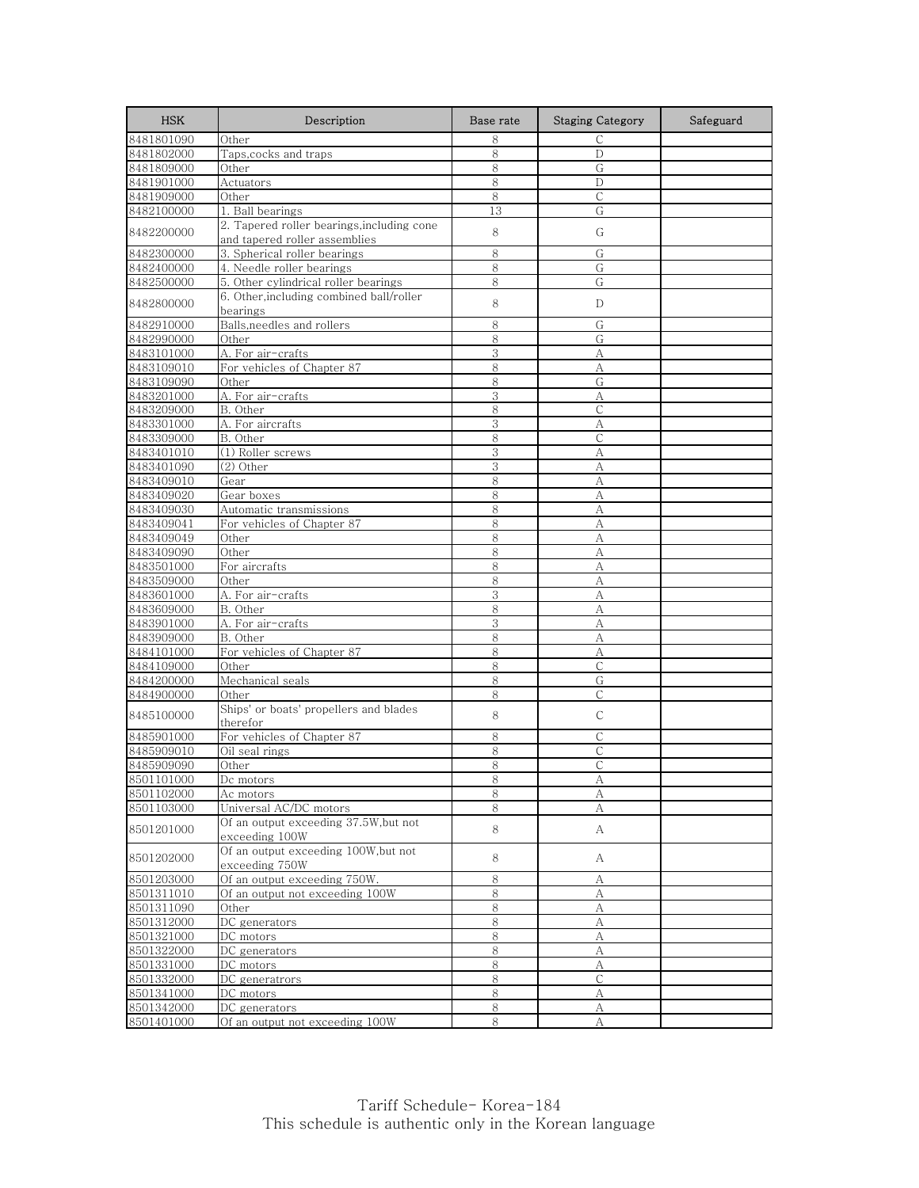| <b>HSK</b> | Description                                                                 | Base rate | <b>Staging Category</b> | Safeguard |
|------------|-----------------------------------------------------------------------------|-----------|-------------------------|-----------|
| 8481801090 | Other                                                                       | 8         | $\mathsf{C}$            |           |
| 8481802000 | Taps, cocks and traps                                                       | 8         | D                       |           |
| 8481809000 | Other                                                                       | 8         | G                       |           |
| 8481901000 | Actuators                                                                   | 8         | D                       |           |
| 8481909000 | Other                                                                       | 8         | $\mathsf{C}$            |           |
| 8482100000 | 1. Ball bearings                                                            | 13        | G                       |           |
| 8482200000 | 2. Tapered roller bearings, including cone<br>and tapered roller assemblies | 8         | G                       |           |
| 8482300000 | 3. Spherical roller bearings                                                | 8         | G                       |           |
| 8482400000 | 4. Needle roller bearings                                                   | 8         | G                       |           |
| 8482500000 | 5. Other cylindrical roller bearings                                        | 8         | G                       |           |
| 8482800000 | 6. Other, including combined ball/roller<br>bearings                        | 8         | D                       |           |
| 8482910000 | Balls, needles and rollers                                                  | 8         | G                       |           |
| 8482990000 | Other                                                                       | 8         | G                       |           |
| 8483101000 | A. For air-crafts                                                           | 3         | А                       |           |
| 8483109010 | For vehicles of Chapter 87                                                  | 8         | А                       |           |
| 8483109090 | Other                                                                       | 8         | G                       |           |
| 8483201000 | A. For air-crafts                                                           | 3         | А                       |           |
| 8483209000 | B. Other                                                                    | 8         | $\mathsf{C}$            |           |
| 8483301000 | A. For aircrafts                                                            | 3         | А                       |           |
| 8483309000 | B. Other                                                                    | 8         | С                       |           |
| 8483401010 | (1) Roller screws                                                           | 3         | A                       |           |
| 8483401090 | (2) Other                                                                   | 3         | А                       |           |
| 8483409010 | Gear                                                                        | 8         | А                       |           |
| 8483409020 | Gear boxes                                                                  | 8         | А                       |           |
| 8483409030 | Automatic transmissions                                                     | 8         | A                       |           |
| 8483409041 | For vehicles of Chapter 87                                                  | 8         | A                       |           |
| 8483409049 | Other                                                                       | 8         | А                       |           |
| 8483409090 | Other                                                                       | 8         | A                       |           |
| 8483501000 | For aircrafts                                                               | 8         | А                       |           |
| 8483509000 | Other                                                                       | 8         | A                       |           |
| 8483601000 | A. For air-crafts                                                           | 3         | A                       |           |
| 8483609000 | B. Other                                                                    | 8         | A                       |           |
| 8483901000 | A. For air-crafts                                                           | 3         | A                       |           |
| 8483909000 | B. Other                                                                    | 8         | А                       |           |
| 8484101000 | For vehicles of Chapter 87                                                  | 8         | A                       |           |
| 8484109000 | Other                                                                       | 8         | С                       |           |
| 8484200000 | Mechanical seals                                                            | 8         | G                       |           |
| 8484900000 | Other                                                                       | 8         | C                       |           |
| 8485100000 | Ships' or boats' propellers and blades<br>therefor                          | 8         | $\mathsf{C}$            |           |
| 8485901000 | For vehicles of Chapter 87                                                  | 8         | С                       |           |
| 8485909010 | Oil seal rings                                                              | 8         | С                       |           |
| 8485909090 | Other                                                                       | 8         | C                       |           |
| 8501101000 | Dc motors                                                                   | 8         | Α                       |           |
| 8501102000 | Ac motors                                                                   | 8         | А                       |           |
| 8501103000 | Universal AC/DC motors                                                      | 8         | А                       |           |
| 8501201000 | Of an output exceeding 37.5W, but not<br>exceeding 100W                     | 8         | A                       |           |
| 8501202000 | Of an output exceeding 100W,but not<br>exceeding 750W                       | 8         | А                       |           |
| 8501203000 | Of an output exceeding 750W.                                                | 8         | А                       |           |
| 8501311010 | Of an output not exceeding 100W                                             | 8         | А                       |           |
| 8501311090 | Other                                                                       | 8         | А                       |           |
| 8501312000 | DC generators                                                               | 8         | А                       |           |
| 8501321000 | DC motors                                                                   | 8         | А                       |           |
| 8501322000 | DC generators                                                               | 8         | А                       |           |
| 8501331000 | DC motors                                                                   | 8         | А                       |           |
| 8501332000 | DC generatrors                                                              | 8         | $\mathsf{C}$            |           |
| 8501341000 | DC motors                                                                   | 8         | А                       |           |
| 8501342000 | DC generators                                                               | 8         | А                       |           |
| 8501401000 | Of an output not exceeding 100W                                             | 8         | А                       |           |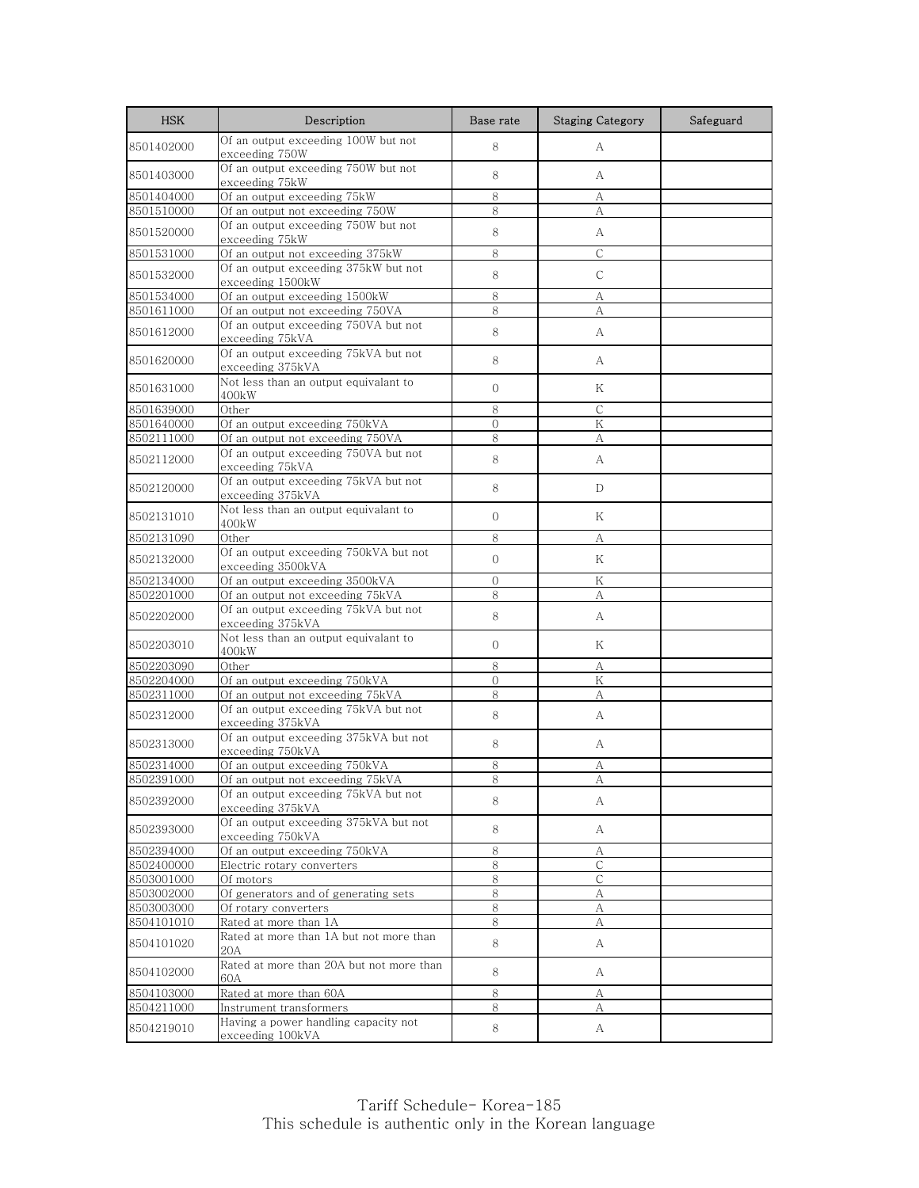| <b>HSK</b> | Description                                                | Base rate      | <b>Staging Category</b> | Safeguard |
|------------|------------------------------------------------------------|----------------|-------------------------|-----------|
| 8501402000 | Of an output exceeding 100W but not<br>exceeding 750W      | 8              | А                       |           |
| 8501403000 | Of an output exceeding 750W but not<br>exceeding 75kW      | 8              | A                       |           |
| 8501404000 | Of an output exceeding 75kW                                | 8              | А                       |           |
| 8501510000 | Of an output not exceeding 750W                            | 8              | А                       |           |
| 8501520000 | Of an output exceeding 750W but not<br>exceeding 75kW      | 8              | А                       |           |
| 8501531000 | Of an output not exceeding 375kW                           | 8              | $\mathsf C$             |           |
| 8501532000 | Of an output exceeding 375kW but not<br>exceeding 1500kW   | 8              | $\mathsf{C}$            |           |
| 8501534000 | Of an output exceeding 1500kW                              | 8              | А                       |           |
| 8501611000 | Of an output not exceeding 750VA                           | 8              | А                       |           |
| 8501612000 | Of an output exceeding 750VA but not<br>exceeding 75kVA    | $8\,$          | А                       |           |
| 8501620000 | Of an output exceeding 75kVA but not<br>exceeding 375kVA   | 8              | А                       |           |
| 8501631000 | Not less than an output equivalant to<br>400kW             | $\mathbf{0}$   | Κ                       |           |
| 8501639000 | Other                                                      | 8              | $\mathcal{C}$           |           |
| 8501640000 | Of an output exceeding 750kVA                              | $\Omega$       | K                       |           |
| 8502111000 | Of an output not exceeding 750VA                           | 8              | А                       |           |
| 8502112000 | Of an output exceeding 750VA but not<br>exceeding 75kVA    | 8              | А                       |           |
| 8502120000 | Of an output exceeding 75kVA but not<br>exceeding 375kVA   | 8              | D                       |           |
| 8502131010 | Not less than an output equivalant to<br>400kW             | $\overline{0}$ | Κ                       |           |
| 8502131090 | Other                                                      | 8              | А                       |           |
| 8502132000 | Of an output exceeding 750kVA but not<br>exceeding 3500kVA | $\mathbf{0}$   | Κ                       |           |
| 8502134000 | Of an output exceeding 3500kVA                             | $\mathbf{0}$   | K                       |           |
| 8502201000 | Of an output not exceeding 75kVA                           | 8              | А                       |           |
| 8502202000 | Of an output exceeding 75kVA but not<br>exceeding 375kVA   | 8              | A                       |           |
| 8502203010 | Not less than an output equivalant to<br>400kW             | $\mathbf{0}$   | Κ                       |           |
| 8502203090 | Other                                                      | 8              | А                       |           |
| 8502204000 | Of an output exceeding 750kVA                              | $\mathbf{0}$   | K                       |           |
| 8502311000 | Of an output not exceeding 75kVA                           | $\,8\,$        | А                       |           |
| 8502312000 | Of an output exceeding 75kVA but not<br>exceeding 375kVA   | 8              | А                       |           |
| 8502313000 | Of an output exceeding 375kVA but not<br>exceeding 750kVA  | 8              | А                       |           |
| 8502314000 | Of an output exceeding 750kVA                              | 8              | А                       |           |
| 8502391000 | <u>Of an output not exceeding 75kVA</u>                    | <u>8</u>       | A                       |           |
| 8502392000 | Of an output exceeding 75kVA but not<br>exceeding 375kVA   | 8              | A                       |           |
| 8502393000 | Of an output exceeding 375kVA but not<br>exceeding 750kVA  | 8              | A                       |           |
| 8502394000 | Of an output exceeding 750kVA                              | 8              | А                       |           |
| 8502400000 | Electric rotary converters                                 | 8              | С                       |           |
| 8503001000 | Of motors                                                  | 8              | С                       |           |
| 8503002000 | Of generators and of generating sets                       | 8              | А                       |           |
| 8503003000 | Of rotary converters                                       | 8              | А                       |           |
| 8504101010 | Rated at more than 1A                                      | 8              | А                       |           |
| 8504101020 | Rated at more than 1A but not more than<br>20A             | 8              | A                       |           |
| 8504102000 | Rated at more than 20A but not more than<br>60A            | 8              | A                       |           |
| 8504103000 | Rated at more than 60A                                     | 8              | А                       |           |
| 8504211000 | Instrument transformers                                    | 8              | А                       |           |
| 8504219010 | Having a power handling capacity not<br>exceeding 100kVA   | 8              | A                       |           |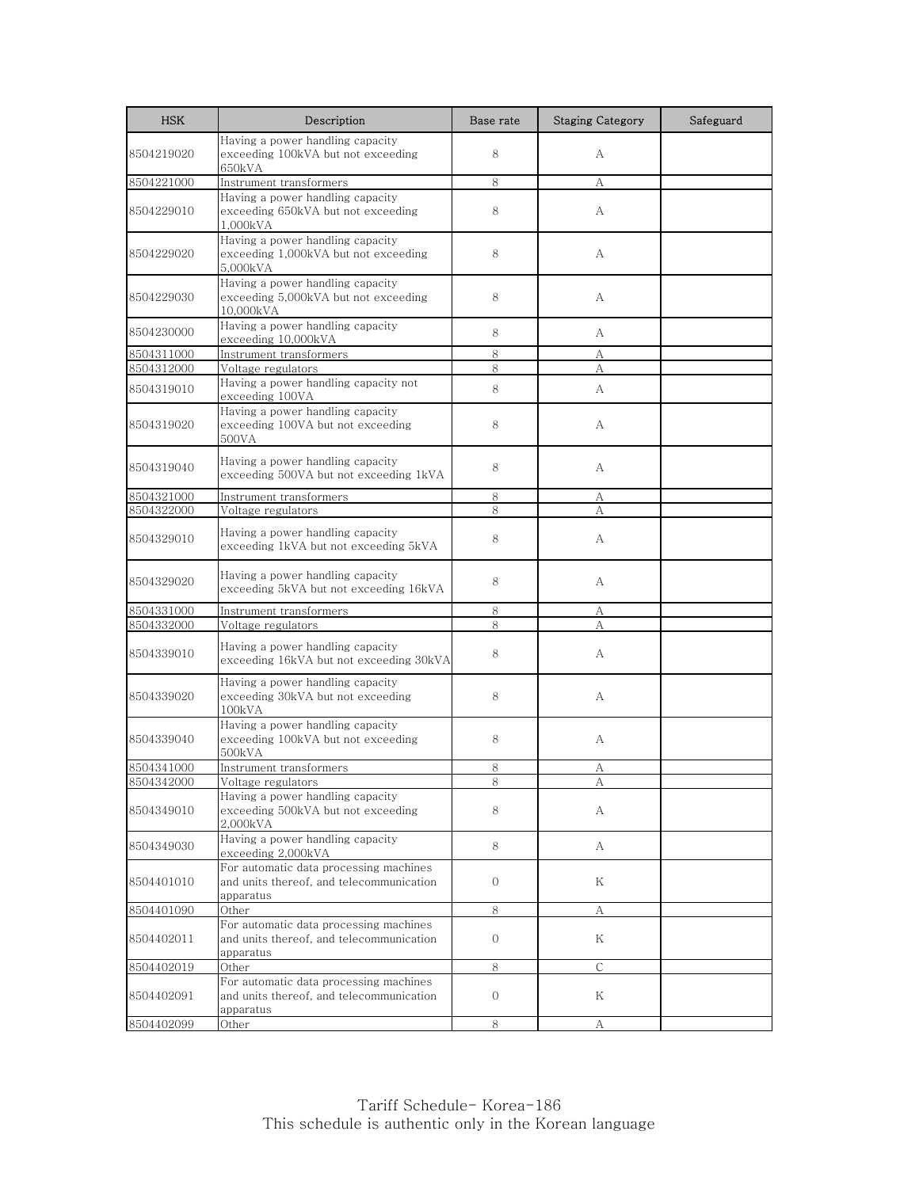| <b>HSK</b> | Description                                                                                     | Base rate    | <b>Staging Category</b> | Safeguard |
|------------|-------------------------------------------------------------------------------------------------|--------------|-------------------------|-----------|
| 8504219020 | Having a power handling capacity<br>exceeding 100kVA but not exceeding<br>650kVA                | 8            | А                       |           |
| 8504221000 | Instrument transformers                                                                         | 8            | A                       |           |
| 8504229010 | Having a power handling capacity<br>exceeding 650kVA but not exceeding<br>1,000kVA              | 8            | А                       |           |
| 8504229020 | Having a power handling capacity<br>exceeding 1,000kVA but not exceeding<br>5,000kVA            | 8            | А                       |           |
| 8504229030 | Having a power handling capacity<br>exceeding 5,000kVA but not exceeding<br>10.000kVA           | 8            | А                       |           |
| 8504230000 | Having a power handling capacity<br>exceeding 10,000kVA                                         | 8            | A                       |           |
| 8504311000 | Instrument transformers                                                                         | 8            | А                       |           |
| 8504312000 | Voltage regulators                                                                              | 8            | А                       |           |
| 8504319010 | Having a power handling capacity not<br>exceeding 100VA                                         | 8            | A                       |           |
| 8504319020 | Having a power handling capacity<br>exceeding 100VA but not exceeding<br>500VA                  | 8            | А                       |           |
| 8504319040 | Having a power handling capacity<br>exceeding 500VA but not exceeding 1kVA                      | 8            | А                       |           |
| 8504321000 | Instrument transformers                                                                         | 8            | А                       |           |
| 8504322000 | Voltage regulators                                                                              | 8            | А                       |           |
| 8504329010 | Having a power handling capacity<br>exceeding 1kVA but not exceeding 5kVA                       | 8            | А                       |           |
| 8504329020 | Having a power handling capacity<br>exceeding 5kVA but not exceeding 16kVA                      | 8            | А                       |           |
| 8504331000 | Instrument transformers                                                                         | 8            | А                       |           |
| 8504332000 | Voltage regulators                                                                              | 8            | А                       |           |
| 8504339010 | Having a power handling capacity<br>exceeding 16kVA but not exceeding 30kVA                     | 8            | А                       |           |
| 8504339020 | Having a power handling capacity<br>exceeding 30kVA but not exceeding<br>100kVA                 | 8            | А                       |           |
| 8504339040 | Having a power handling capacity<br>exceeding 100kVA but not exceeding<br>500kVA                | 8            | А                       |           |
| 8504341000 | Instrument transformers                                                                         | 8            | А                       |           |
| 8504342000 | Voltage regulators                                                                              | 8            | А                       |           |
| 8504349010 | Having a power handling capacity<br>exceeding 500kVA but not exceeding<br>2,000kVA              | 8            | А                       |           |
| 8504349030 | Having a power handling capacity<br>exceeding 2,000kVA                                          | 8            | А                       |           |
| 8504401010 | For automatic data processing machines<br>and units thereof, and telecommunication<br>apparatus | $\mathbf{0}$ | Κ                       |           |
| 8504401090 | Other                                                                                           | 8            | А                       |           |
| 8504402011 | For automatic data processing machines<br>and units thereof, and telecommunication<br>apparatus | 0            | Κ                       |           |
| 8504402019 | Other                                                                                           | $8\,$        | $\mathsf{C}$            |           |
| 8504402091 | For automatic data processing machines<br>and units thereof, and telecommunication<br>apparatus | $\mathbf{0}$ | Κ                       |           |
| 8504402099 | Other                                                                                           | 8            | А                       |           |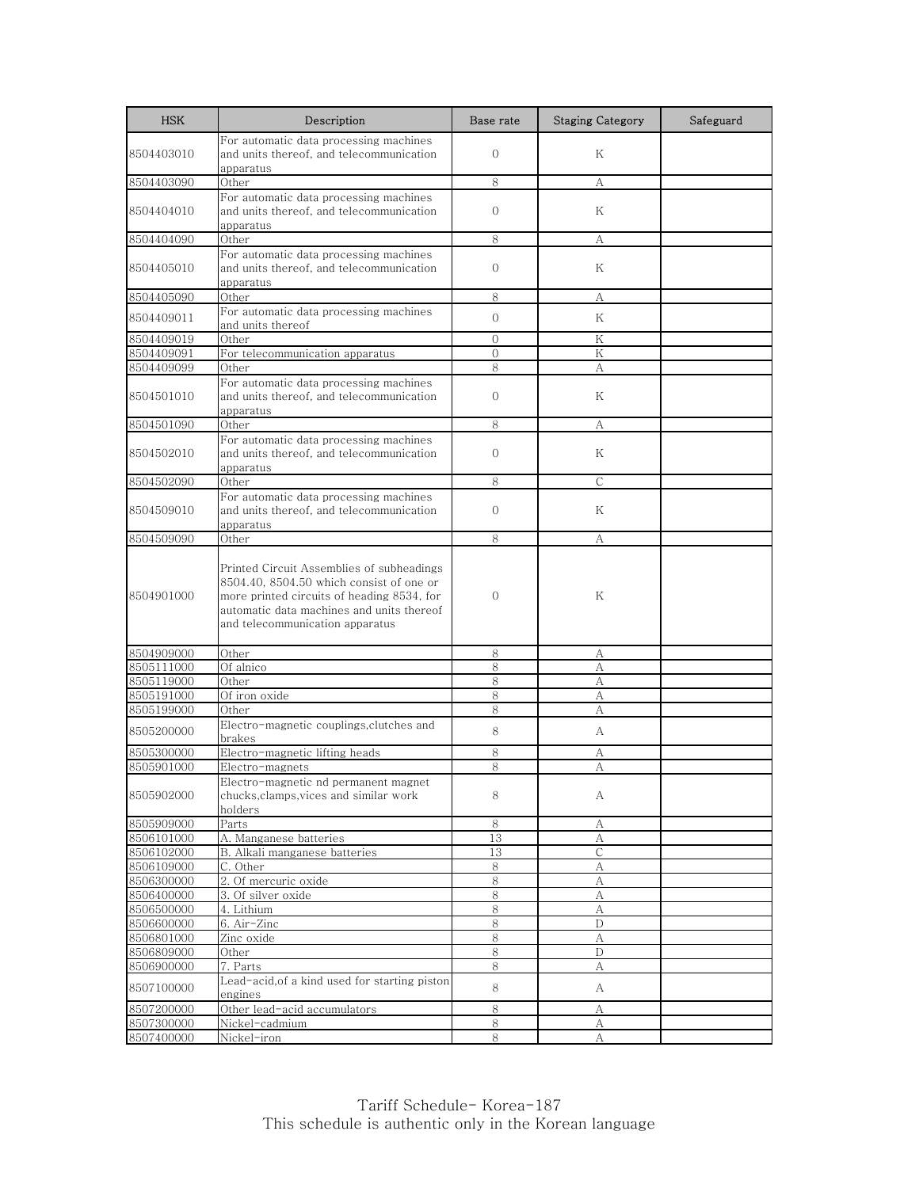| <b>HSK</b>               | Description                                           | Base rate      | <b>Staging Category</b>                         | Safeguard |
|--------------------------|-------------------------------------------------------|----------------|-------------------------------------------------|-----------|
|                          | For automatic data processing machines                |                |                                                 |           |
| 8504403010               | and units thereof, and telecommunication              | $\overline{0}$ | Κ                                               |           |
|                          | apparatus                                             |                |                                                 |           |
| 8504403090               | Other                                                 | 8              | A                                               |           |
| 8504404010               | For automatic data processing machines                | $\mathbf{0}$   | K                                               |           |
|                          | and units thereof, and telecommunication<br>apparatus |                |                                                 |           |
| 8504404090               | Other                                                 | 8              | A                                               |           |
|                          | For automatic data processing machines                |                |                                                 |           |
| 8504405010               | and units thereof, and telecommunication              | $\mathbf{0}$   | K                                               |           |
|                          | apparatus                                             |                |                                                 |           |
| 8504405090               | Other                                                 | 8              | А                                               |           |
| 8504409011               | For automatic data processing machines                | $\Omega$       | K                                               |           |
|                          | and units thereof                                     |                |                                                 |           |
| 8504409019               | Other                                                 | $\mathbf{0}$   | Κ<br>K                                          |           |
| 8504409091<br>8504409099 | For telecommunication apparatus<br>Other              | $\Omega$<br>8  | А                                               |           |
|                          | For automatic data processing machines                |                |                                                 |           |
| 8504501010               | and units thereof, and telecommunication              | $\Omega$       | K                                               |           |
|                          | apparatus                                             |                |                                                 |           |
| 8504501090               | Other                                                 | 8              | А                                               |           |
|                          | For automatic data processing machines                |                |                                                 |           |
| 8504502010               | and units thereof, and telecommunication              | $\Omega$       | Κ                                               |           |
|                          | apparatus                                             |                |                                                 |           |
| 8504502090               | Other                                                 | 8              | $\mathsf{C}$                                    |           |
|                          | For automatic data processing machines                |                |                                                 |           |
| 8504509010               | and units thereof, and telecommunication<br>apparatus | $\mathbf{0}$   | Κ                                               |           |
| 8504509090               | Other                                                 | 8              | А                                               |           |
|                          |                                                       |                |                                                 |           |
|                          | Printed Circuit Assemblies of subheadings             |                |                                                 |           |
|                          | 8504.40, 8504.50 which consist of one or              |                |                                                 |           |
| 8504901000               | more printed circuits of heading 8534, for            | $\overline{0}$ | Κ                                               |           |
|                          | automatic data machines and units thereof             |                |                                                 |           |
|                          | and telecommunication apparatus                       |                |                                                 |           |
|                          |                                                       |                |                                                 |           |
| 8504909000               | Other<br>Of alnico                                    | 8<br>8         | А                                               |           |
| 8505111000<br>8505119000 | Other                                                 | 8              | А<br>А                                          |           |
| 8505191000               | Of iron oxide                                         | 8              | A                                               |           |
| 8505199000               | Other                                                 | 8              | А                                               |           |
|                          | Electro-magnetic couplings, clutches and              |                |                                                 |           |
| 8505200000               | brakes                                                | 8              | A                                               |           |
| 8505300000               | Electro-magnetic lifting heads                        | 8              | А                                               |           |
| 8505901000               | Electro-magnets                                       | 8              | А                                               |           |
|                          | Electro-magnetic nd permanent magnet                  |                |                                                 |           |
| 8505902000               | chucks, clamps, vices and similar work                | 8              | A                                               |           |
| 8505909000               | holders<br>Parts                                      | $\,8\,$        | A                                               |           |
| 8506101000               | A. Manganese batteries                                | 13             | А                                               |           |
| 8506102000               | B. Alkali manganese batteries                         | 13             | $\mathsf{C}$                                    |           |
| 8506109000               | C. Other                                              | 8              | А                                               |           |
| 8506300000               | 2. Of mercuric oxide                                  | 8              | А                                               |           |
| 8506400000               | 3. Of silver oxide                                    | $\,8\,$        | $\mathbf{A}% _{T}=\mathbf{A}_{T}\mathbf{B}_{T}$ |           |
| 8506500000               | 4. Lithium                                            | $\,8\,$        | А                                               |           |
| 8506600000               | 6. Air-Zinc                                           | 8              | D                                               |           |
| 8506801000               | Zinc oxide                                            | 8              | А                                               |           |
| 8506809000               | Other                                                 | 8              | D                                               |           |
| 8506900000               | 7. Parts                                              | 8              | А                                               |           |
| 8507100000               | Lead-acid, of a kind used for starting piston         | 8              | A                                               |           |
|                          | engines                                               |                |                                                 |           |
| 8507200000               | Other lead-acid accumulators                          | 8              | А                                               |           |
| 8507300000<br>8507400000 | Nickel-cadmium<br>Nickel-iron                         | 8<br>8         | А<br>$\mathbf{A}$                               |           |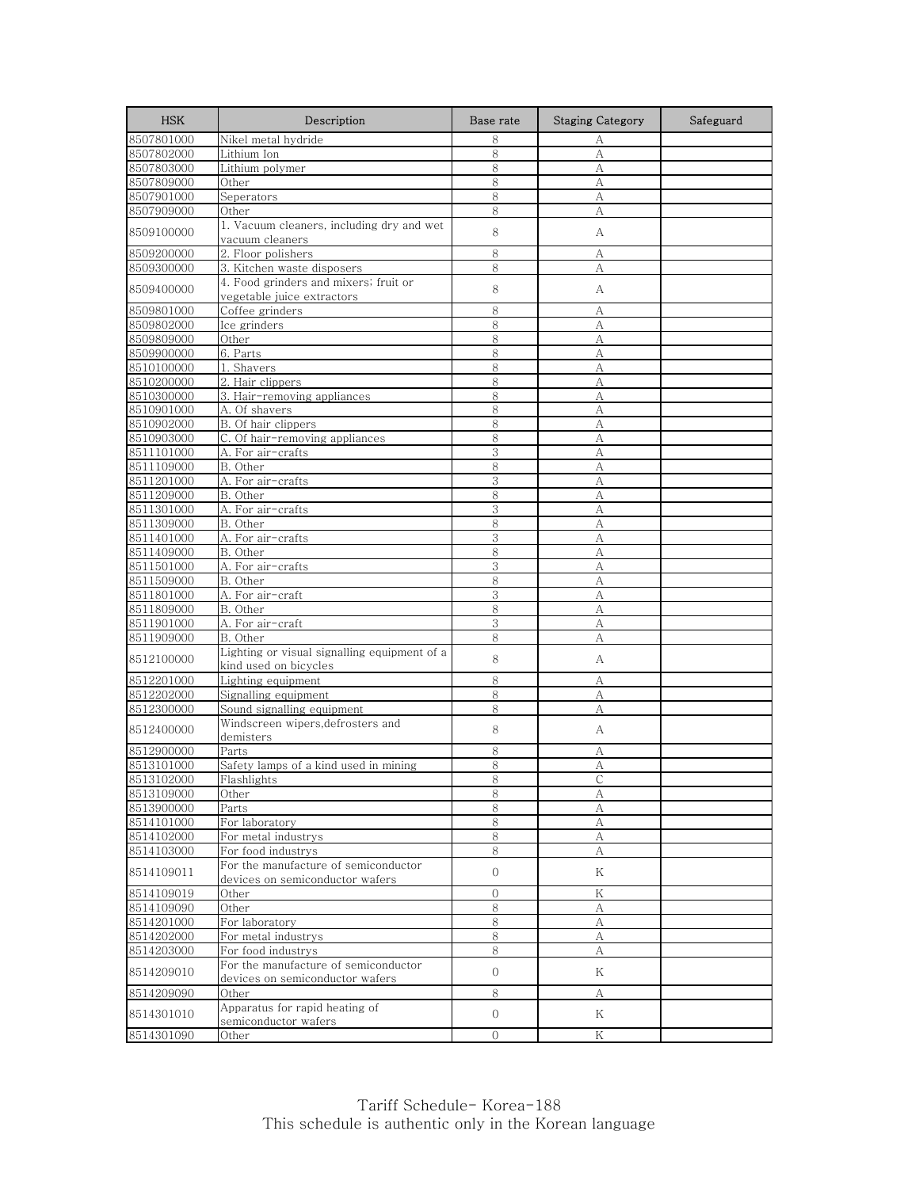| <b>HSK</b>               | Description                                                             | Base rate      | <b>Staging Category</b> | Safeguard |
|--------------------------|-------------------------------------------------------------------------|----------------|-------------------------|-----------|
| 8507801000               | Nikel metal hydride                                                     | 8              | А                       |           |
| 8507802000               | Lithium Ion                                                             | 8              | A                       |           |
| 8507803000               | Lithium polymer                                                         | 8              | А                       |           |
| 8507809000               | Other                                                                   | 8              | А                       |           |
| 8507901000               | Seperators                                                              | 8              | А                       |           |
| 8507909000               | Other                                                                   | 8              | А                       |           |
| 8509100000               | 1. Vacuum cleaners, including dry and wet<br>vacuum cleaners            | 8              | А                       |           |
| 8509200000               | 2. Floor polishers                                                      | 8              | А                       |           |
| 8509300000               | 3. Kitchen waste disposers                                              | 8              | А                       |           |
| 8509400000               | 4. Food grinders and mixers; fruit or<br>vegetable juice extractors     | 8              | А                       |           |
| 8509801000               | Coffee grinders                                                         | 8              | А                       |           |
| 8509802000               | Ice grinders                                                            | 8              | A                       |           |
| 8509809000               | Other                                                                   | 8              | А                       |           |
| 8509900000               | 6. Parts                                                                | 8              | А                       |           |
| 8510100000               | 1. Shavers                                                              | 8              | А                       |           |
| 8510200000               | 2. Hair clippers                                                        | 8              | А                       |           |
| 8510300000               | 3. Hair-removing appliances                                             | 8              | A                       |           |
| 8510901000               | A. Of shavers                                                           | 8              | А                       |           |
| 8510902000               | B. Of hair clippers                                                     | 8              | A                       |           |
| 8510903000               | C. Of hair-removing appliances                                          | 8              | А                       |           |
| 8511101000               | A. For air-crafts                                                       | 3              | A                       |           |
| 8511109000               | B. Other                                                                | 8              | А                       |           |
| 8511201000               | A. For air-crafts                                                       | 3              | A                       |           |
| 8511209000               | B. Other                                                                | 8              | A                       |           |
| 8511301000               | A. For air-crafts                                                       | 3              | А                       |           |
| 8511309000               | B. Other                                                                | 8              | A                       |           |
| 8511401000               | A. For air-crafts                                                       | 3              | А                       |           |
| 8511409000               | B. Other                                                                | 8<br>3         | А                       |           |
| 8511501000<br>8511509000 | A. For air-crafts<br>B. Other                                           | 8              | А<br>A                  |           |
| 8511801000               | A. For air-craft                                                        | 3              | A                       |           |
| 8511809000               | B. Other                                                                | 8              | А                       |           |
| 8511901000               | A. For air-craft                                                        | 3              | А                       |           |
| 8511909000               | B. Other                                                                | 8              | А                       |           |
|                          | Lighting or visual signalling equipment of a                            |                |                         |           |
| 8512100000               | kind used on bicycles                                                   | 8              | А                       |           |
| 8512201000               | Lighting equipment                                                      | 8              | А                       |           |
| 8512202000               | Signalling equipment                                                    | 8              | А                       |           |
| 8512300000               | Sound signalling equipment                                              | 8              | А                       |           |
| 8512400000               | Windscreen wipers,defrosters and<br>demisters                           | 8              | А                       |           |
| 8512900000               | Parts                                                                   | 8              | А                       |           |
| 8513101000               | Safety lamps of a kind used in mining                                   | 8              | А                       |           |
| 8513102000               | F <u>lashlights</u>                                                     | ୪              |                         |           |
| 8513109000               | Other                                                                   | 8              | А                       |           |
| 8513900000               | Parts                                                                   | 8              | А                       |           |
| 8514101000               | For laboratory                                                          | 8              | A                       |           |
| 8514102000               | For metal industrys                                                     | $\,8\,$        | А                       |           |
| 8514103000               | For food industrys                                                      | 8              | А                       |           |
| 8514109011               | For the manufacture of semiconductor<br>devices on semiconductor wafers | $\overline{0}$ | Κ                       |           |
| 8514109019               | Other                                                                   | $\mathbf{O}$   | Κ                       |           |
| 8514109090               | Other                                                                   | 8              | А                       |           |
| 8514201000               | For laboratory                                                          | 8              | А                       |           |
| 8514202000               | For metal industrys                                                     | 8              | А                       |           |
| 8514203000               | For food industrys                                                      | 8              | А                       |           |
| 8514209010               | For the manufacture of semiconductor<br>devices on semiconductor wafers | $\overline{0}$ | Κ                       |           |
| 8514209090               | Other                                                                   | 8              | А                       |           |
|                          | Apparatus for rapid heating of                                          |                |                         |           |
| 8514301010               | semiconductor wafers                                                    | $\overline{0}$ | Κ                       |           |
| 8514301090               | Other                                                                   | 0              | Κ                       |           |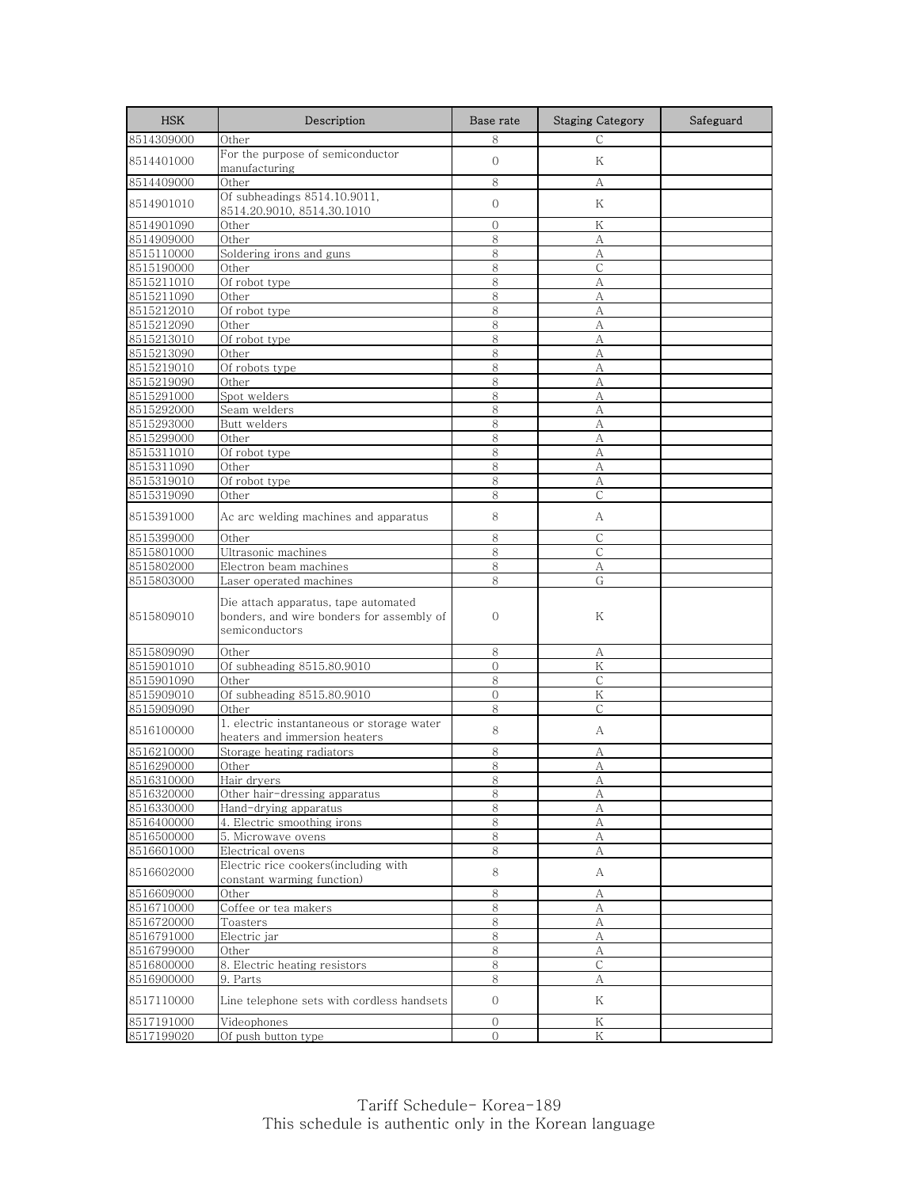| <b>HSK</b>               | Description                                                                                         | Base rate                        | <b>Staging Category</b> | Safeguard |
|--------------------------|-----------------------------------------------------------------------------------------------------|----------------------------------|-------------------------|-----------|
| 8514309000               | Other                                                                                               | 8                                | $\mathsf{C}$            |           |
| 8514401000               | For the purpose of semiconductor<br>manufacturing                                                   | $\mathbf{O}$                     | Κ                       |           |
| 8514409000               | Other                                                                                               | 8                                | А                       |           |
| 8514901010               | Of subheadings 8514.10.9011,<br>8514.20.9010, 8514.30.1010                                          | $\mathbf{O}$                     | Κ                       |           |
| 8514901090               | Other                                                                                               | $\mathbf 0$                      | Κ                       |           |
| 8514909000               | Other                                                                                               | 8                                | А                       |           |
| 8515110000               | Soldering irons and guns                                                                            | 8                                | А                       |           |
| 8515190000               | Other                                                                                               | 8                                | $\mathsf{C}$            |           |
| 8515211010               | Of robot type                                                                                       | 8                                | А                       |           |
| 8515211090               | Other                                                                                               | 8                                | А                       |           |
| 8515212010               | Of robot type                                                                                       | 8                                | А                       |           |
| 8515212090               | Other                                                                                               | 8                                | A                       |           |
| 8515213010               | Of robot type                                                                                       | 8                                | А                       |           |
| 8515213090               | Other                                                                                               | 8                                | А                       |           |
| 8515219010               | Of robots type                                                                                      | 8                                | А                       |           |
| 8515219090               | Other                                                                                               | 8                                | A                       |           |
| 8515291000               | Spot welders                                                                                        | 8                                | А                       |           |
| 8515292000               | Seam welders                                                                                        | 8                                | A                       |           |
| 8515293000               | Butt welders                                                                                        | 8                                | А                       |           |
| 8515299000               | Other                                                                                               | 8                                | А                       |           |
| 8515311010               | Of robot type                                                                                       | 8                                | А                       |           |
| 8515311090               | Other                                                                                               | 8                                |                         |           |
|                          |                                                                                                     | 8                                | А                       |           |
| 8515319010<br>8515319090 | Of robot type                                                                                       | 8                                | А<br>C                  |           |
|                          | Other                                                                                               |                                  |                         |           |
| 8515391000               | Ac arc welding machines and apparatus                                                               | 8                                | А                       |           |
| 8515399000               | Other                                                                                               | 8                                | $\mathsf{C}$            |           |
| 8515801000               | Ultrasonic machines                                                                                 | 8                                | $\mathsf{C}$            |           |
| 8515802000               | Electron beam machines                                                                              | 8                                | А                       |           |
| 8515803000               | Laser operated machines                                                                             | 8                                | G                       |           |
| 8515809010               | Die attach apparatus, tape automated<br>bonders, and wire bonders for assembly of<br>semiconductors | $\mathbf{0}$                     | Κ                       |           |
| 8515809090               | Other                                                                                               | 8                                | А                       |           |
| 8515901010               | Of subheading 8515.80.9010                                                                          | 0                                | Κ                       |           |
| 8515901090               | Other                                                                                               | 8                                | $\mathsf{C}$            |           |
| 8515909010               | Of subheading 8515.80.9010                                                                          | $\Omega$                         | Κ                       |           |
| 8515909090               | Other                                                                                               | 8                                | $\mathsf{C}$            |           |
| 8516100000               | 1. electric instantaneous or storage water<br>heaters and immersion heaters                         | 8                                | А                       |           |
| 8516210000               | Storage heating radiators                                                                           | 8                                | А                       |           |
| 8516290000               | Other                                                                                               | 8                                | А                       |           |
| 8516310000               | Hair dryers                                                                                         | 8                                | Α                       |           |
| 8516320000               | Other hair-dressing apparatus                                                                       | 8                                | А                       |           |
| 8516330000               | Hand-drying apparatus                                                                               | 8                                | А                       |           |
| 8516400000               | 4. Electric smoothing irons                                                                         | 8                                | A                       |           |
| 8516500000               | 5. Microwave ovens                                                                                  | 8                                | А                       |           |
| 8516601000               | Electrical ovens                                                                                    | 8                                | А                       |           |
|                          | Electric rice cookers(including with                                                                |                                  |                         |           |
| 8516602000               | constant warming function)                                                                          | 8                                | А                       |           |
| 8516609000               | Other                                                                                               | 8                                | А                       |           |
| 8516710000               | Coffee or tea makers                                                                                | 8                                | А                       |           |
| 8516720000               | Toasters                                                                                            | 8                                | A                       |           |
| 8516791000               | Electric jar                                                                                        | 8                                | А                       |           |
| 8516799000               | Other                                                                                               | 8                                | А                       |           |
| 8516800000               | 8. Electric heating resistors                                                                       | 8                                | $\mathsf C$             |           |
| 8516900000               | 9. Parts                                                                                            | 8                                | А                       |           |
| 8517110000               | Line telephone sets with cordless handsets                                                          | 0                                | Κ                       |           |
|                          |                                                                                                     |                                  |                         |           |
| 8517191000<br>8517199020 | Videophones                                                                                         | $\overline{0}$<br>$\overline{0}$ | K<br>Κ                  |           |
|                          | Of push button type                                                                                 |                                  |                         |           |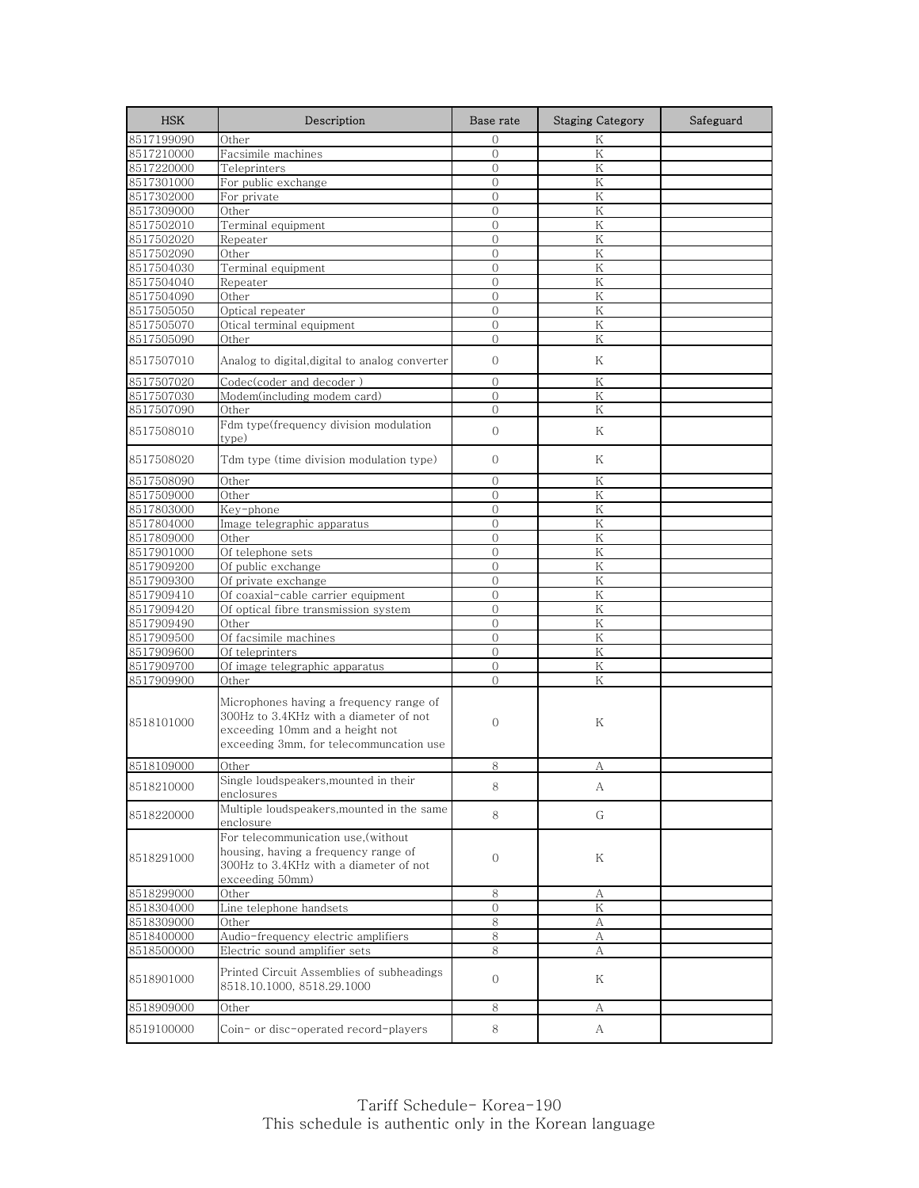| 8517199090<br>Other<br>$\Omega$<br>K<br>K<br>8517210000<br>Facsimile machines<br>$\Omega$<br>8517220000<br>K<br>Teleprinters<br>$\Omega$<br>$\overline{O}$<br>K<br>8517301000<br>For public exchange<br>8517302000<br>K<br>For private<br>$\mathbf{0}$<br>K<br>Other<br>$\Omega$<br>8517309000<br>8517502010<br>Terminal equipment<br>$\mathbf{0}$<br>Κ<br>8517502020<br>$\overline{0}$<br>K<br>Repeater<br>Other<br>$\overline{0}$<br>K<br>8517502090<br>Terminal equipment<br>K<br>8517504030<br>$\mathbf{0}$<br>$\mathbf{0}$<br>Κ<br>8517504040<br>Repeater<br>Other<br>K<br>8517504090<br>$\mathbf{0}$<br>$\overline{0}$<br>K<br>8517505050<br>Optical repeater<br>Otical terminal equipment<br>8517505070<br>$\overline{0}$<br>K<br>$\overline{0}$<br>K<br>8517505090<br>Other<br>8517507010<br>Analog to digital, digital to analog converter<br>$\mathbf{0}$<br>Κ<br>$\overline{0}$<br>K<br>8517507020<br>Codec(coder and decoder )<br>8517507030<br>Modem(including modem card)<br>$\mathbf{0}$<br>Κ<br>8517507090<br>K<br>Other<br>$\Omega$<br>Fdm type(frequency division modulation<br>$\mathbf{0}$<br>8517508010<br>Κ<br>type)<br>Tdm type (time division modulation type)<br>$\mathbf{0}$<br>8517508020<br>Κ<br>Other<br>K<br>8517508090<br>$\mathbf{0}$<br>8517509000<br>Other<br>$\Omega$<br>Κ<br>$\overline{O}$<br>K<br>8517803000<br>Key-phone<br>$\overline{0}$<br>K<br>8517804000<br>Image telegraphic apparatus<br>K<br>8517809000<br>Other<br>$\mathbf{0}$<br>$\overline{0}$<br>K<br>8517901000<br>Of telephone sets<br>8517909200<br>Of public exchange<br>0<br>Κ<br>$\overline{0}$<br>K<br>8517909300<br>Of private exchange<br>Of coaxial-cable carrier equipment<br>8517909410<br>$\mathbf{0}$<br>Κ<br>Of optical fibre transmission system<br>K<br>$\mathbf{0}$<br>8517909420<br>8517909490<br>Other<br>$\Omega$<br>K<br>Of facsimile machines<br>8517909500<br>$\mathbf{0}$<br>Κ<br>$\overline{O}$<br>K<br>8517909600<br>Of teleprinters<br>Of image telegraphic apparatus<br>$\mathbf{0}$<br>Κ<br>K<br>8517909900<br>$\Omega$<br>Other<br>Microphones having a frequency range of<br>300Hz to 3.4KHz with a diameter of not<br>8518101000<br>$\overline{0}$<br>Κ<br>exceeding 10mm and a height not<br>exceeding 3mm, for telecommuncation use<br>8518109000<br>8<br>А<br>Other<br>Single loudspeakers, mounted in their<br>8518210000<br>8<br>A<br>enclosures<br>Multiple loudspeakers, mounted in the same<br>8<br>G<br>8518220000<br>enclosure<br>For telecommunication use, (without<br>housing, having a frequency range of<br>8518291000<br>$\mathbf{0}$<br>Κ<br>300Hz to 3.4KHz with a diameter of not<br>exceeding 50mm)<br>Other<br>8<br>А<br>8518304000<br>Line telephone handsets<br>Κ<br>$\mathbf{0}$<br>8<br>8518309000<br>Other<br>А<br>8518400000<br>Audio-frequency electric amplifiers<br>8<br>А<br>8518500000<br>Electric sound amplifier sets<br>8<br>А<br>Printed Circuit Assemblies of subheadings<br>8518901000<br>$\mathbf{O}$<br>Κ<br>8518.10.1000, 8518.29.1000<br>8518909000<br>Other<br>8<br>А<br>Coin- or disc-operated record-players<br>8<br>A | <b>HSK</b> | Description | Base rate | <b>Staging Category</b> | Safeguard |
|----------------------------------------------------------------------------------------------------------------------------------------------------------------------------------------------------------------------------------------------------------------------------------------------------------------------------------------------------------------------------------------------------------------------------------------------------------------------------------------------------------------------------------------------------------------------------------------------------------------------------------------------------------------------------------------------------------------------------------------------------------------------------------------------------------------------------------------------------------------------------------------------------------------------------------------------------------------------------------------------------------------------------------------------------------------------------------------------------------------------------------------------------------------------------------------------------------------------------------------------------------------------------------------------------------------------------------------------------------------------------------------------------------------------------------------------------------------------------------------------------------------------------------------------------------------------------------------------------------------------------------------------------------------------------------------------------------------------------------------------------------------------------------------------------------------------------------------------------------------------------------------------------------------------------------------------------------------------------------------------------------------------------------------------------------------------------------------------------------------------------------------------------------------------------------------------------------------------------------------------------------------------------------------------------------------------------------------------------------------------------------------------------------------------------------------------------------------------------------------------------------------------------------------------------------------------------------------------------------------------------------------------------------------------------------------------------------------------------------------------------------------------------------------------------------------------------------------------------------------------------------------------------------------------------------------------------------------------------------------------------------------------------------------------------------------------------------------------------------|------------|-------------|-----------|-------------------------|-----------|
|                                                                                                                                                                                                                                                                                                                                                                                                                                                                                                                                                                                                                                                                                                                                                                                                                                                                                                                                                                                                                                                                                                                                                                                                                                                                                                                                                                                                                                                                                                                                                                                                                                                                                                                                                                                                                                                                                                                                                                                                                                                                                                                                                                                                                                                                                                                                                                                                                                                                                                                                                                                                                                                                                                                                                                                                                                                                                                                                                                                                                                                                                                          |            |             |           |                         |           |
|                                                                                                                                                                                                                                                                                                                                                                                                                                                                                                                                                                                                                                                                                                                                                                                                                                                                                                                                                                                                                                                                                                                                                                                                                                                                                                                                                                                                                                                                                                                                                                                                                                                                                                                                                                                                                                                                                                                                                                                                                                                                                                                                                                                                                                                                                                                                                                                                                                                                                                                                                                                                                                                                                                                                                                                                                                                                                                                                                                                                                                                                                                          |            |             |           |                         |           |
|                                                                                                                                                                                                                                                                                                                                                                                                                                                                                                                                                                                                                                                                                                                                                                                                                                                                                                                                                                                                                                                                                                                                                                                                                                                                                                                                                                                                                                                                                                                                                                                                                                                                                                                                                                                                                                                                                                                                                                                                                                                                                                                                                                                                                                                                                                                                                                                                                                                                                                                                                                                                                                                                                                                                                                                                                                                                                                                                                                                                                                                                                                          |            |             |           |                         |           |
|                                                                                                                                                                                                                                                                                                                                                                                                                                                                                                                                                                                                                                                                                                                                                                                                                                                                                                                                                                                                                                                                                                                                                                                                                                                                                                                                                                                                                                                                                                                                                                                                                                                                                                                                                                                                                                                                                                                                                                                                                                                                                                                                                                                                                                                                                                                                                                                                                                                                                                                                                                                                                                                                                                                                                                                                                                                                                                                                                                                                                                                                                                          |            |             |           |                         |           |
|                                                                                                                                                                                                                                                                                                                                                                                                                                                                                                                                                                                                                                                                                                                                                                                                                                                                                                                                                                                                                                                                                                                                                                                                                                                                                                                                                                                                                                                                                                                                                                                                                                                                                                                                                                                                                                                                                                                                                                                                                                                                                                                                                                                                                                                                                                                                                                                                                                                                                                                                                                                                                                                                                                                                                                                                                                                                                                                                                                                                                                                                                                          |            |             |           |                         |           |
|                                                                                                                                                                                                                                                                                                                                                                                                                                                                                                                                                                                                                                                                                                                                                                                                                                                                                                                                                                                                                                                                                                                                                                                                                                                                                                                                                                                                                                                                                                                                                                                                                                                                                                                                                                                                                                                                                                                                                                                                                                                                                                                                                                                                                                                                                                                                                                                                                                                                                                                                                                                                                                                                                                                                                                                                                                                                                                                                                                                                                                                                                                          |            |             |           |                         |           |
|                                                                                                                                                                                                                                                                                                                                                                                                                                                                                                                                                                                                                                                                                                                                                                                                                                                                                                                                                                                                                                                                                                                                                                                                                                                                                                                                                                                                                                                                                                                                                                                                                                                                                                                                                                                                                                                                                                                                                                                                                                                                                                                                                                                                                                                                                                                                                                                                                                                                                                                                                                                                                                                                                                                                                                                                                                                                                                                                                                                                                                                                                                          |            |             |           |                         |           |
|                                                                                                                                                                                                                                                                                                                                                                                                                                                                                                                                                                                                                                                                                                                                                                                                                                                                                                                                                                                                                                                                                                                                                                                                                                                                                                                                                                                                                                                                                                                                                                                                                                                                                                                                                                                                                                                                                                                                                                                                                                                                                                                                                                                                                                                                                                                                                                                                                                                                                                                                                                                                                                                                                                                                                                                                                                                                                                                                                                                                                                                                                                          |            |             |           |                         |           |
|                                                                                                                                                                                                                                                                                                                                                                                                                                                                                                                                                                                                                                                                                                                                                                                                                                                                                                                                                                                                                                                                                                                                                                                                                                                                                                                                                                                                                                                                                                                                                                                                                                                                                                                                                                                                                                                                                                                                                                                                                                                                                                                                                                                                                                                                                                                                                                                                                                                                                                                                                                                                                                                                                                                                                                                                                                                                                                                                                                                                                                                                                                          |            |             |           |                         |           |
|                                                                                                                                                                                                                                                                                                                                                                                                                                                                                                                                                                                                                                                                                                                                                                                                                                                                                                                                                                                                                                                                                                                                                                                                                                                                                                                                                                                                                                                                                                                                                                                                                                                                                                                                                                                                                                                                                                                                                                                                                                                                                                                                                                                                                                                                                                                                                                                                                                                                                                                                                                                                                                                                                                                                                                                                                                                                                                                                                                                                                                                                                                          |            |             |           |                         |           |
|                                                                                                                                                                                                                                                                                                                                                                                                                                                                                                                                                                                                                                                                                                                                                                                                                                                                                                                                                                                                                                                                                                                                                                                                                                                                                                                                                                                                                                                                                                                                                                                                                                                                                                                                                                                                                                                                                                                                                                                                                                                                                                                                                                                                                                                                                                                                                                                                                                                                                                                                                                                                                                                                                                                                                                                                                                                                                                                                                                                                                                                                                                          |            |             |           |                         |           |
|                                                                                                                                                                                                                                                                                                                                                                                                                                                                                                                                                                                                                                                                                                                                                                                                                                                                                                                                                                                                                                                                                                                                                                                                                                                                                                                                                                                                                                                                                                                                                                                                                                                                                                                                                                                                                                                                                                                                                                                                                                                                                                                                                                                                                                                                                                                                                                                                                                                                                                                                                                                                                                                                                                                                                                                                                                                                                                                                                                                                                                                                                                          |            |             |           |                         |           |
|                                                                                                                                                                                                                                                                                                                                                                                                                                                                                                                                                                                                                                                                                                                                                                                                                                                                                                                                                                                                                                                                                                                                                                                                                                                                                                                                                                                                                                                                                                                                                                                                                                                                                                                                                                                                                                                                                                                                                                                                                                                                                                                                                                                                                                                                                                                                                                                                                                                                                                                                                                                                                                                                                                                                                                                                                                                                                                                                                                                                                                                                                                          |            |             |           |                         |           |
|                                                                                                                                                                                                                                                                                                                                                                                                                                                                                                                                                                                                                                                                                                                                                                                                                                                                                                                                                                                                                                                                                                                                                                                                                                                                                                                                                                                                                                                                                                                                                                                                                                                                                                                                                                                                                                                                                                                                                                                                                                                                                                                                                                                                                                                                                                                                                                                                                                                                                                                                                                                                                                                                                                                                                                                                                                                                                                                                                                                                                                                                                                          |            |             |           |                         |           |
|                                                                                                                                                                                                                                                                                                                                                                                                                                                                                                                                                                                                                                                                                                                                                                                                                                                                                                                                                                                                                                                                                                                                                                                                                                                                                                                                                                                                                                                                                                                                                                                                                                                                                                                                                                                                                                                                                                                                                                                                                                                                                                                                                                                                                                                                                                                                                                                                                                                                                                                                                                                                                                                                                                                                                                                                                                                                                                                                                                                                                                                                                                          |            |             |           |                         |           |
|                                                                                                                                                                                                                                                                                                                                                                                                                                                                                                                                                                                                                                                                                                                                                                                                                                                                                                                                                                                                                                                                                                                                                                                                                                                                                                                                                                                                                                                                                                                                                                                                                                                                                                                                                                                                                                                                                                                                                                                                                                                                                                                                                                                                                                                                                                                                                                                                                                                                                                                                                                                                                                                                                                                                                                                                                                                                                                                                                                                                                                                                                                          |            |             |           |                         |           |
|                                                                                                                                                                                                                                                                                                                                                                                                                                                                                                                                                                                                                                                                                                                                                                                                                                                                                                                                                                                                                                                                                                                                                                                                                                                                                                                                                                                                                                                                                                                                                                                                                                                                                                                                                                                                                                                                                                                                                                                                                                                                                                                                                                                                                                                                                                                                                                                                                                                                                                                                                                                                                                                                                                                                                                                                                                                                                                                                                                                                                                                                                                          |            |             |           |                         |           |
|                                                                                                                                                                                                                                                                                                                                                                                                                                                                                                                                                                                                                                                                                                                                                                                                                                                                                                                                                                                                                                                                                                                                                                                                                                                                                                                                                                                                                                                                                                                                                                                                                                                                                                                                                                                                                                                                                                                                                                                                                                                                                                                                                                                                                                                                                                                                                                                                                                                                                                                                                                                                                                                                                                                                                                                                                                                                                                                                                                                                                                                                                                          |            |             |           |                         |           |
|                                                                                                                                                                                                                                                                                                                                                                                                                                                                                                                                                                                                                                                                                                                                                                                                                                                                                                                                                                                                                                                                                                                                                                                                                                                                                                                                                                                                                                                                                                                                                                                                                                                                                                                                                                                                                                                                                                                                                                                                                                                                                                                                                                                                                                                                                                                                                                                                                                                                                                                                                                                                                                                                                                                                                                                                                                                                                                                                                                                                                                                                                                          |            |             |           |                         |           |
|                                                                                                                                                                                                                                                                                                                                                                                                                                                                                                                                                                                                                                                                                                                                                                                                                                                                                                                                                                                                                                                                                                                                                                                                                                                                                                                                                                                                                                                                                                                                                                                                                                                                                                                                                                                                                                                                                                                                                                                                                                                                                                                                                                                                                                                                                                                                                                                                                                                                                                                                                                                                                                                                                                                                                                                                                                                                                                                                                                                                                                                                                                          |            |             |           |                         |           |
|                                                                                                                                                                                                                                                                                                                                                                                                                                                                                                                                                                                                                                                                                                                                                                                                                                                                                                                                                                                                                                                                                                                                                                                                                                                                                                                                                                                                                                                                                                                                                                                                                                                                                                                                                                                                                                                                                                                                                                                                                                                                                                                                                                                                                                                                                                                                                                                                                                                                                                                                                                                                                                                                                                                                                                                                                                                                                                                                                                                                                                                                                                          |            |             |           |                         |           |
|                                                                                                                                                                                                                                                                                                                                                                                                                                                                                                                                                                                                                                                                                                                                                                                                                                                                                                                                                                                                                                                                                                                                                                                                                                                                                                                                                                                                                                                                                                                                                                                                                                                                                                                                                                                                                                                                                                                                                                                                                                                                                                                                                                                                                                                                                                                                                                                                                                                                                                                                                                                                                                                                                                                                                                                                                                                                                                                                                                                                                                                                                                          |            |             |           |                         |           |
|                                                                                                                                                                                                                                                                                                                                                                                                                                                                                                                                                                                                                                                                                                                                                                                                                                                                                                                                                                                                                                                                                                                                                                                                                                                                                                                                                                                                                                                                                                                                                                                                                                                                                                                                                                                                                                                                                                                                                                                                                                                                                                                                                                                                                                                                                                                                                                                                                                                                                                                                                                                                                                                                                                                                                                                                                                                                                                                                                                                                                                                                                                          |            |             |           |                         |           |
|                                                                                                                                                                                                                                                                                                                                                                                                                                                                                                                                                                                                                                                                                                                                                                                                                                                                                                                                                                                                                                                                                                                                                                                                                                                                                                                                                                                                                                                                                                                                                                                                                                                                                                                                                                                                                                                                                                                                                                                                                                                                                                                                                                                                                                                                                                                                                                                                                                                                                                                                                                                                                                                                                                                                                                                                                                                                                                                                                                                                                                                                                                          |            |             |           |                         |           |
|                                                                                                                                                                                                                                                                                                                                                                                                                                                                                                                                                                                                                                                                                                                                                                                                                                                                                                                                                                                                                                                                                                                                                                                                                                                                                                                                                                                                                                                                                                                                                                                                                                                                                                                                                                                                                                                                                                                                                                                                                                                                                                                                                                                                                                                                                                                                                                                                                                                                                                                                                                                                                                                                                                                                                                                                                                                                                                                                                                                                                                                                                                          |            |             |           |                         |           |
|                                                                                                                                                                                                                                                                                                                                                                                                                                                                                                                                                                                                                                                                                                                                                                                                                                                                                                                                                                                                                                                                                                                                                                                                                                                                                                                                                                                                                                                                                                                                                                                                                                                                                                                                                                                                                                                                                                                                                                                                                                                                                                                                                                                                                                                                                                                                                                                                                                                                                                                                                                                                                                                                                                                                                                                                                                                                                                                                                                                                                                                                                                          |            |             |           |                         |           |
|                                                                                                                                                                                                                                                                                                                                                                                                                                                                                                                                                                                                                                                                                                                                                                                                                                                                                                                                                                                                                                                                                                                                                                                                                                                                                                                                                                                                                                                                                                                                                                                                                                                                                                                                                                                                                                                                                                                                                                                                                                                                                                                                                                                                                                                                                                                                                                                                                                                                                                                                                                                                                                                                                                                                                                                                                                                                                                                                                                                                                                                                                                          |            |             |           |                         |           |
|                                                                                                                                                                                                                                                                                                                                                                                                                                                                                                                                                                                                                                                                                                                                                                                                                                                                                                                                                                                                                                                                                                                                                                                                                                                                                                                                                                                                                                                                                                                                                                                                                                                                                                                                                                                                                                                                                                                                                                                                                                                                                                                                                                                                                                                                                                                                                                                                                                                                                                                                                                                                                                                                                                                                                                                                                                                                                                                                                                                                                                                                                                          |            |             |           |                         |           |
|                                                                                                                                                                                                                                                                                                                                                                                                                                                                                                                                                                                                                                                                                                                                                                                                                                                                                                                                                                                                                                                                                                                                                                                                                                                                                                                                                                                                                                                                                                                                                                                                                                                                                                                                                                                                                                                                                                                                                                                                                                                                                                                                                                                                                                                                                                                                                                                                                                                                                                                                                                                                                                                                                                                                                                                                                                                                                                                                                                                                                                                                                                          |            |             |           |                         |           |
|                                                                                                                                                                                                                                                                                                                                                                                                                                                                                                                                                                                                                                                                                                                                                                                                                                                                                                                                                                                                                                                                                                                                                                                                                                                                                                                                                                                                                                                                                                                                                                                                                                                                                                                                                                                                                                                                                                                                                                                                                                                                                                                                                                                                                                                                                                                                                                                                                                                                                                                                                                                                                                                                                                                                                                                                                                                                                                                                                                                                                                                                                                          |            |             |           |                         |           |
|                                                                                                                                                                                                                                                                                                                                                                                                                                                                                                                                                                                                                                                                                                                                                                                                                                                                                                                                                                                                                                                                                                                                                                                                                                                                                                                                                                                                                                                                                                                                                                                                                                                                                                                                                                                                                                                                                                                                                                                                                                                                                                                                                                                                                                                                                                                                                                                                                                                                                                                                                                                                                                                                                                                                                                                                                                                                                                                                                                                                                                                                                                          |            |             |           |                         |           |
|                                                                                                                                                                                                                                                                                                                                                                                                                                                                                                                                                                                                                                                                                                                                                                                                                                                                                                                                                                                                                                                                                                                                                                                                                                                                                                                                                                                                                                                                                                                                                                                                                                                                                                                                                                                                                                                                                                                                                                                                                                                                                                                                                                                                                                                                                                                                                                                                                                                                                                                                                                                                                                                                                                                                                                                                                                                                                                                                                                                                                                                                                                          |            |             |           |                         |           |
|                                                                                                                                                                                                                                                                                                                                                                                                                                                                                                                                                                                                                                                                                                                                                                                                                                                                                                                                                                                                                                                                                                                                                                                                                                                                                                                                                                                                                                                                                                                                                                                                                                                                                                                                                                                                                                                                                                                                                                                                                                                                                                                                                                                                                                                                                                                                                                                                                                                                                                                                                                                                                                                                                                                                                                                                                                                                                                                                                                                                                                                                                                          |            |             |           |                         |           |
|                                                                                                                                                                                                                                                                                                                                                                                                                                                                                                                                                                                                                                                                                                                                                                                                                                                                                                                                                                                                                                                                                                                                                                                                                                                                                                                                                                                                                                                                                                                                                                                                                                                                                                                                                                                                                                                                                                                                                                                                                                                                                                                                                                                                                                                                                                                                                                                                                                                                                                                                                                                                                                                                                                                                                                                                                                                                                                                                                                                                                                                                                                          |            |             |           |                         |           |
|                                                                                                                                                                                                                                                                                                                                                                                                                                                                                                                                                                                                                                                                                                                                                                                                                                                                                                                                                                                                                                                                                                                                                                                                                                                                                                                                                                                                                                                                                                                                                                                                                                                                                                                                                                                                                                                                                                                                                                                                                                                                                                                                                                                                                                                                                                                                                                                                                                                                                                                                                                                                                                                                                                                                                                                                                                                                                                                                                                                                                                                                                                          | 8517909700 |             |           |                         |           |
|                                                                                                                                                                                                                                                                                                                                                                                                                                                                                                                                                                                                                                                                                                                                                                                                                                                                                                                                                                                                                                                                                                                                                                                                                                                                                                                                                                                                                                                                                                                                                                                                                                                                                                                                                                                                                                                                                                                                                                                                                                                                                                                                                                                                                                                                                                                                                                                                                                                                                                                                                                                                                                                                                                                                                                                                                                                                                                                                                                                                                                                                                                          |            |             |           |                         |           |
|                                                                                                                                                                                                                                                                                                                                                                                                                                                                                                                                                                                                                                                                                                                                                                                                                                                                                                                                                                                                                                                                                                                                                                                                                                                                                                                                                                                                                                                                                                                                                                                                                                                                                                                                                                                                                                                                                                                                                                                                                                                                                                                                                                                                                                                                                                                                                                                                                                                                                                                                                                                                                                                                                                                                                                                                                                                                                                                                                                                                                                                                                                          |            |             |           |                         |           |
|                                                                                                                                                                                                                                                                                                                                                                                                                                                                                                                                                                                                                                                                                                                                                                                                                                                                                                                                                                                                                                                                                                                                                                                                                                                                                                                                                                                                                                                                                                                                                                                                                                                                                                                                                                                                                                                                                                                                                                                                                                                                                                                                                                                                                                                                                                                                                                                                                                                                                                                                                                                                                                                                                                                                                                                                                                                                                                                                                                                                                                                                                                          |            |             |           |                         |           |
|                                                                                                                                                                                                                                                                                                                                                                                                                                                                                                                                                                                                                                                                                                                                                                                                                                                                                                                                                                                                                                                                                                                                                                                                                                                                                                                                                                                                                                                                                                                                                                                                                                                                                                                                                                                                                                                                                                                                                                                                                                                                                                                                                                                                                                                                                                                                                                                                                                                                                                                                                                                                                                                                                                                                                                                                                                                                                                                                                                                                                                                                                                          |            |             |           |                         |           |
|                                                                                                                                                                                                                                                                                                                                                                                                                                                                                                                                                                                                                                                                                                                                                                                                                                                                                                                                                                                                                                                                                                                                                                                                                                                                                                                                                                                                                                                                                                                                                                                                                                                                                                                                                                                                                                                                                                                                                                                                                                                                                                                                                                                                                                                                                                                                                                                                                                                                                                                                                                                                                                                                                                                                                                                                                                                                                                                                                                                                                                                                                                          |            |             |           |                         |           |
|                                                                                                                                                                                                                                                                                                                                                                                                                                                                                                                                                                                                                                                                                                                                                                                                                                                                                                                                                                                                                                                                                                                                                                                                                                                                                                                                                                                                                                                                                                                                                                                                                                                                                                                                                                                                                                                                                                                                                                                                                                                                                                                                                                                                                                                                                                                                                                                                                                                                                                                                                                                                                                                                                                                                                                                                                                                                                                                                                                                                                                                                                                          |            |             |           |                         |           |
|                                                                                                                                                                                                                                                                                                                                                                                                                                                                                                                                                                                                                                                                                                                                                                                                                                                                                                                                                                                                                                                                                                                                                                                                                                                                                                                                                                                                                                                                                                                                                                                                                                                                                                                                                                                                                                                                                                                                                                                                                                                                                                                                                                                                                                                                                                                                                                                                                                                                                                                                                                                                                                                                                                                                                                                                                                                                                                                                                                                                                                                                                                          | 8518299000 |             |           |                         |           |
|                                                                                                                                                                                                                                                                                                                                                                                                                                                                                                                                                                                                                                                                                                                                                                                                                                                                                                                                                                                                                                                                                                                                                                                                                                                                                                                                                                                                                                                                                                                                                                                                                                                                                                                                                                                                                                                                                                                                                                                                                                                                                                                                                                                                                                                                                                                                                                                                                                                                                                                                                                                                                                                                                                                                                                                                                                                                                                                                                                                                                                                                                                          |            |             |           |                         |           |
|                                                                                                                                                                                                                                                                                                                                                                                                                                                                                                                                                                                                                                                                                                                                                                                                                                                                                                                                                                                                                                                                                                                                                                                                                                                                                                                                                                                                                                                                                                                                                                                                                                                                                                                                                                                                                                                                                                                                                                                                                                                                                                                                                                                                                                                                                                                                                                                                                                                                                                                                                                                                                                                                                                                                                                                                                                                                                                                                                                                                                                                                                                          |            |             |           |                         |           |
|                                                                                                                                                                                                                                                                                                                                                                                                                                                                                                                                                                                                                                                                                                                                                                                                                                                                                                                                                                                                                                                                                                                                                                                                                                                                                                                                                                                                                                                                                                                                                                                                                                                                                                                                                                                                                                                                                                                                                                                                                                                                                                                                                                                                                                                                                                                                                                                                                                                                                                                                                                                                                                                                                                                                                                                                                                                                                                                                                                                                                                                                                                          |            |             |           |                         |           |
|                                                                                                                                                                                                                                                                                                                                                                                                                                                                                                                                                                                                                                                                                                                                                                                                                                                                                                                                                                                                                                                                                                                                                                                                                                                                                                                                                                                                                                                                                                                                                                                                                                                                                                                                                                                                                                                                                                                                                                                                                                                                                                                                                                                                                                                                                                                                                                                                                                                                                                                                                                                                                                                                                                                                                                                                                                                                                                                                                                                                                                                                                                          |            |             |           |                         |           |
|                                                                                                                                                                                                                                                                                                                                                                                                                                                                                                                                                                                                                                                                                                                                                                                                                                                                                                                                                                                                                                                                                                                                                                                                                                                                                                                                                                                                                                                                                                                                                                                                                                                                                                                                                                                                                                                                                                                                                                                                                                                                                                                                                                                                                                                                                                                                                                                                                                                                                                                                                                                                                                                                                                                                                                                                                                                                                                                                                                                                                                                                                                          |            |             |           |                         |           |
|                                                                                                                                                                                                                                                                                                                                                                                                                                                                                                                                                                                                                                                                                                                                                                                                                                                                                                                                                                                                                                                                                                                                                                                                                                                                                                                                                                                                                                                                                                                                                                                                                                                                                                                                                                                                                                                                                                                                                                                                                                                                                                                                                                                                                                                                                                                                                                                                                                                                                                                                                                                                                                                                                                                                                                                                                                                                                                                                                                                                                                                                                                          |            |             |           |                         |           |
|                                                                                                                                                                                                                                                                                                                                                                                                                                                                                                                                                                                                                                                                                                                                                                                                                                                                                                                                                                                                                                                                                                                                                                                                                                                                                                                                                                                                                                                                                                                                                                                                                                                                                                                                                                                                                                                                                                                                                                                                                                                                                                                                                                                                                                                                                                                                                                                                                                                                                                                                                                                                                                                                                                                                                                                                                                                                                                                                                                                                                                                                                                          | 8519100000 |             |           |                         |           |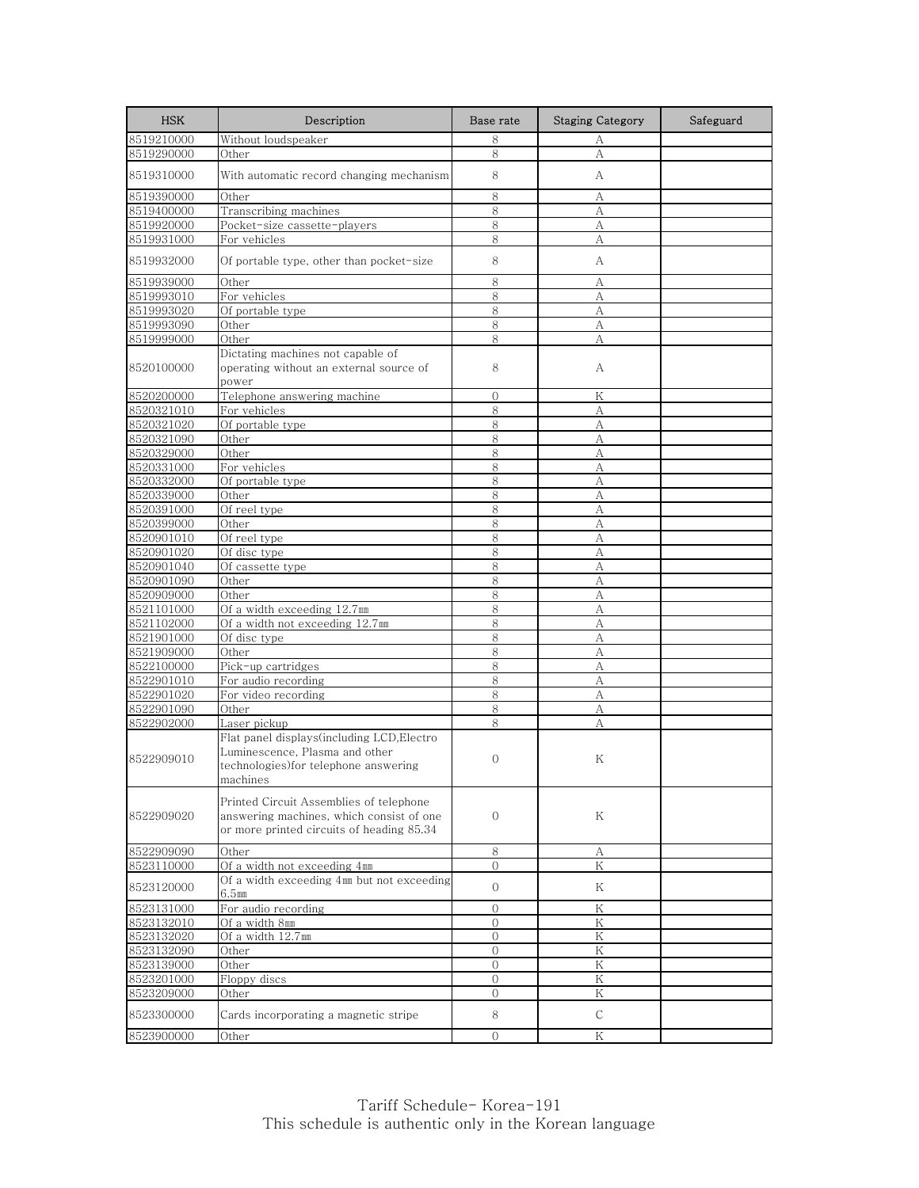| <b>HSK</b> | Description                                                                                                                      | Base rate      | <b>Staging Category</b> | Safeguard |
|------------|----------------------------------------------------------------------------------------------------------------------------------|----------------|-------------------------|-----------|
| 8519210000 | Without loudspeaker                                                                                                              | 8              | А                       |           |
| 8519290000 | Other                                                                                                                            | 8              | A                       |           |
| 8519310000 | With automatic record changing mechanism                                                                                         | 8              | А                       |           |
| 8519390000 | Other                                                                                                                            | 8              | А                       |           |
| 8519400000 | Transcribing machines                                                                                                            | 8              | А                       |           |
| 8519920000 | Pocket-size cassette-players                                                                                                     | 8              | А                       |           |
| 8519931000 | For vehicles                                                                                                                     | 8              | А                       |           |
| 8519932000 | Of portable type, other than pocket-size                                                                                         | 8              | А                       |           |
| 8519939000 | Other                                                                                                                            | 8              | А                       |           |
| 8519993010 | For vehicles                                                                                                                     | 8              | А                       |           |
| 8519993020 | Of portable type                                                                                                                 | 8              | A                       |           |
| 8519993090 | Other                                                                                                                            | 8              | A                       |           |
| 8519999000 | Other                                                                                                                            | 8              | А                       |           |
| 8520100000 | Dictating machines not capable of<br>operating without an external source of<br>power                                            | 8              | А                       |           |
| 8520200000 | Telephone answering machine                                                                                                      | $\mathbf{0}$   | Κ                       |           |
| 8520321010 | For vehicles                                                                                                                     | 8              | А                       |           |
| 8520321020 | Of portable type                                                                                                                 | 8              | А                       |           |
| 8520321090 | Other                                                                                                                            | 8              | А                       |           |
| 8520329000 | Other                                                                                                                            | 8              | A                       |           |
| 8520331000 | For vehicles                                                                                                                     | 8              | А                       |           |
| 8520332000 | Of portable type                                                                                                                 | 8              | A                       |           |
| 8520339000 | Other                                                                                                                            | 8              | А                       |           |
| 8520391000 | Of reel type                                                                                                                     | 8              | A                       |           |
| 8520399000 | Other                                                                                                                            | 8              | А                       |           |
| 8520901010 | Of reel type                                                                                                                     | 8              | А                       |           |
| 8520901020 | Of disc type                                                                                                                     | 8              | A                       |           |
| 8520901040 | Of cassette type                                                                                                                 | 8              | A                       |           |
| 8520901090 | Other                                                                                                                            | 8              | A                       |           |
| 8520909000 | Other                                                                                                                            | 8              | А                       |           |
| 8521101000 | Of a width exceeding 12.7mm                                                                                                      | 8              | А                       |           |
| 8521102000 | Of a width not exceeding 12.7mm                                                                                                  | 8              | А                       |           |
| 8521901000 | Of disc type                                                                                                                     | 8              | А                       |           |
| 8521909000 | Other                                                                                                                            | 8              | А                       |           |
| 8522100000 | Pick-up cartridges                                                                                                               | 8              | A                       |           |
| 8522901010 | For audio recording                                                                                                              | 8              | А                       |           |
| 8522901020 | For video recording                                                                                                              | 8              | А                       |           |
| 8522901090 | Other                                                                                                                            | 8              | А                       |           |
| 8522902000 | Laser pickup                                                                                                                     | 8              | A                       |           |
| 8522909010 | Flat panel displays(including LCD,Electro<br>Luminescence, Plasma and other<br>technologies)for telephone answering<br>machines  | $\Omega$       | Κ                       |           |
| 8522909020 | Printed Circuit Assemblies of telephone<br>answering machines, which consist of one<br>or more printed circuits of heading 85.34 | $\mathbf 0$    | Κ                       |           |
| 8522909090 | Other                                                                                                                            | 8              | А                       |           |
| 8523110000 | Of a width not exceeding 4mm                                                                                                     | $\mathcal{O}$  | Κ                       |           |
| 8523120000 | Of a width exceeding 4mm but not exceeding<br>6.5mm                                                                              | $\mathbf{O}$   | Κ                       |           |
| 8523131000 | For audio recording                                                                                                              | $\mathbf{0}$   | Κ                       |           |
| 8523132010 | Of a width 8mm                                                                                                                   | $\Omega$       | K                       |           |
| 8523132020 | Of a width 12.7mm                                                                                                                | $\Omega$       | Κ                       |           |
| 8523132090 | Other                                                                                                                            | $\mathbf{O}$   | Κ                       |           |
| 8523139000 | Other                                                                                                                            | $\overline{0}$ | K                       |           |
| 8523201000 | Floppy discs                                                                                                                     | $\mathbf{0}$   | Κ                       |           |
| 8523209000 | Other                                                                                                                            | $\mathbf{0}$   | Κ                       |           |
| 8523300000 | Cards incorporating a magnetic stripe                                                                                            | 8              | $\mathsf{C}$            |           |
| 8523900000 | Other                                                                                                                            | $\Omega$       | Κ                       |           |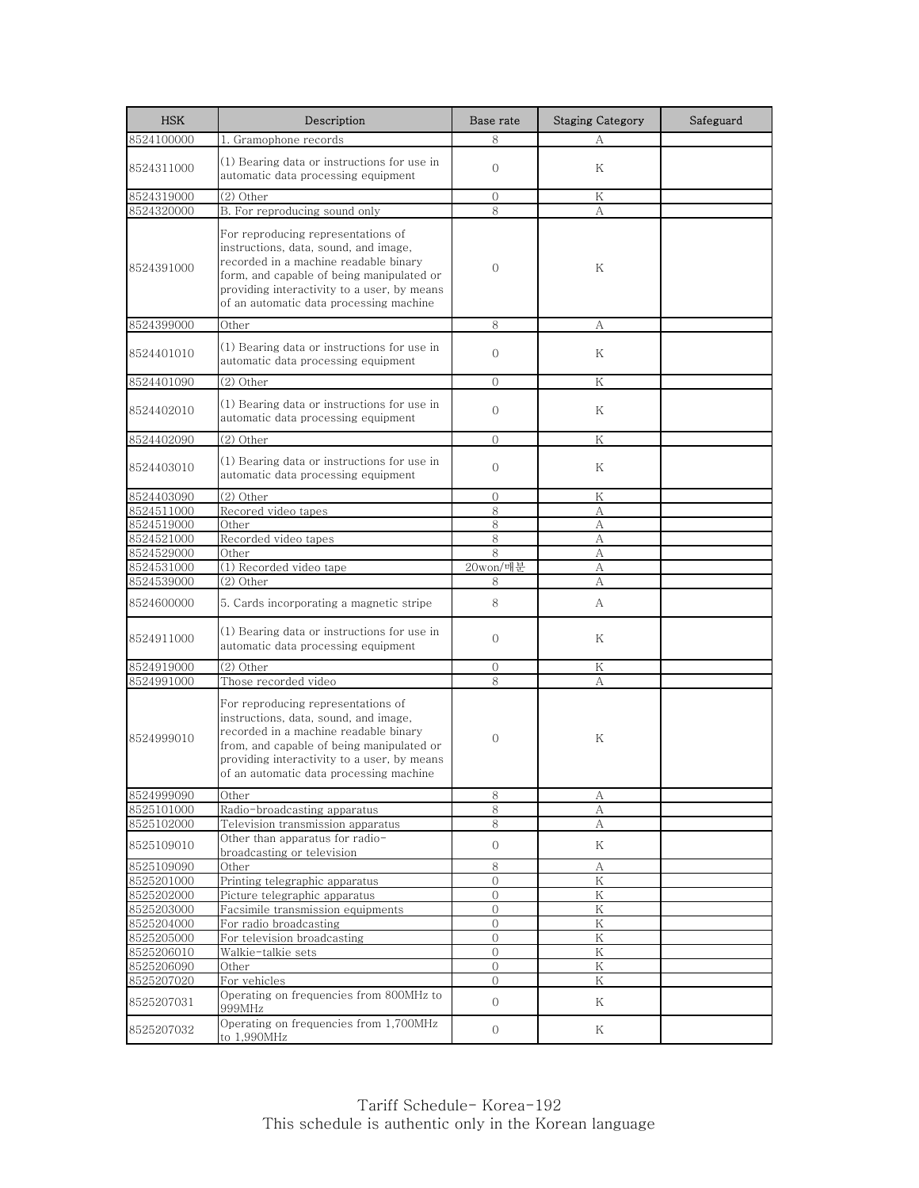| <b>HSK</b>               | Description                                                                                                                                                                                                                                                 | Base rate         | <b>Staging Category</b> | Safeguard |
|--------------------------|-------------------------------------------------------------------------------------------------------------------------------------------------------------------------------------------------------------------------------------------------------------|-------------------|-------------------------|-----------|
| 8524100000               | 1. Gramophone records                                                                                                                                                                                                                                       | 8                 | А                       |           |
| 8524311000               | (1) Bearing data or instructions for use in<br>automatic data processing equipment                                                                                                                                                                          | $\Omega$          | Κ                       |           |
| 8524319000               | (2) Other                                                                                                                                                                                                                                                   | 0                 | Κ                       |           |
| 8524320000               | B. For reproducing sound only                                                                                                                                                                                                                               | 8                 | А                       |           |
| 8524391000               | For reproducing representations of<br>instructions, data, sound, and image,<br>recorded in a machine readable binary<br>form, and capable of being manipulated or<br>providing interactivity to a user, by means<br>of an automatic data processing machine | $\mathbf{0}$      | Κ                       |           |
| 8524399000               | Other                                                                                                                                                                                                                                                       | 8                 | А                       |           |
| 8524401010               | (1) Bearing data or instructions for use in<br>automatic data processing equipment                                                                                                                                                                          | $\mathbf{0}$      | Κ                       |           |
| 8524401090               | $(2)$ Other                                                                                                                                                                                                                                                 | $\Omega$          | K                       |           |
| 8524402010               | (1) Bearing data or instructions for use in<br>automatic data processing equipment                                                                                                                                                                          | $\mathbf{0}$      | Κ                       |           |
| 8524402090               | (2) Other                                                                                                                                                                                                                                                   | $\Omega$          | Κ                       |           |
| 8524403010               | (1) Bearing data or instructions for use in<br>automatic data processing equipment                                                                                                                                                                          | $\Omega$          | Κ                       |           |
| 8524403090               | (2) Other                                                                                                                                                                                                                                                   | $\mathbf{0}$      | Κ                       |           |
| 8524511000               | Recored video tapes                                                                                                                                                                                                                                         | 8                 | А                       |           |
| 8524519000               | Other                                                                                                                                                                                                                                                       | 8                 | А                       |           |
| 8524521000               | Recorded video tapes                                                                                                                                                                                                                                        | 8                 | А                       |           |
| 8524529000               | Other                                                                                                                                                                                                                                                       | 8                 | А                       |           |
| 8524531000<br>8524539000 | (1) Recorded video tape<br>(2) Other                                                                                                                                                                                                                        | 20won/매분<br>8     | А<br>А                  |           |
|                          |                                                                                                                                                                                                                                                             |                   |                         |           |
| 8524600000               | 5. Cards incorporating a magnetic stripe                                                                                                                                                                                                                    | 8                 | A                       |           |
| 8524911000               | (1) Bearing data or instructions for use in<br>automatic data processing equipment                                                                                                                                                                          | $\Omega$          | Κ                       |           |
| 8524919000               | (2) Other                                                                                                                                                                                                                                                   | $\Omega$          | Κ                       |           |
| 8524991000               | Those recorded video                                                                                                                                                                                                                                        | 8                 | А                       |           |
| 8524999010               | For reproducing representations of<br>instructions, data, sound, and image,<br>recorded in a machine readable binary<br>from, and capable of being manipulated or<br>providing interactivity to a user, by means<br>of an automatic data processing machine | $\Omega$          | Κ                       |           |
| 8524999090               | Other                                                                                                                                                                                                                                                       | 8                 | A                       |           |
| 8525101000               | Radio-broadcasting apparatus                                                                                                                                                                                                                                | 8                 | А                       |           |
| 8525102000<br>8525109010 | Television transmission apparatus<br>Other than apparatus for radio-<br>broadcasting or television                                                                                                                                                          | 8<br>$\mathbf{0}$ | А<br>Κ                  |           |
| 8525109090               | Other                                                                                                                                                                                                                                                       | 8                 | А                       |           |
| 8525201000               | Printing telegraphic apparatus                                                                                                                                                                                                                              | $\mathbf{0}$      | Κ                       |           |
| 8525202000               | Picture telegraphic apparatus                                                                                                                                                                                                                               | $\overline{0}$    | ${\rm K}$               |           |
| 8525203000               | Facsimile transmission equipments                                                                                                                                                                                                                           | $\Omega$          | K                       |           |
| 8525204000               | For radio broadcasting                                                                                                                                                                                                                                      | $\mathbf{0}$      | Κ                       |           |
| 8525205000               | For television broadcasting                                                                                                                                                                                                                                 | $\overline{0}$    | Κ                       |           |
| 8525206010               | Walkie-talkie sets                                                                                                                                                                                                                                          | $\mathbf{0}$      | Κ<br>${\rm K}$          |           |
| 8525206090<br>8525207020 | Other<br>For vehicles                                                                                                                                                                                                                                       | $\mathbf{0}$<br>0 | Κ                       |           |
| 8525207031               | Operating on frequencies from 800MHz to<br>999MHz                                                                                                                                                                                                           | $\overline{O}$    | Κ                       |           |
| 8525207032               | Operating on frequencies from 1,700MHz<br>to 1,990MHz                                                                                                                                                                                                       | $\overline{0}$    | Κ                       |           |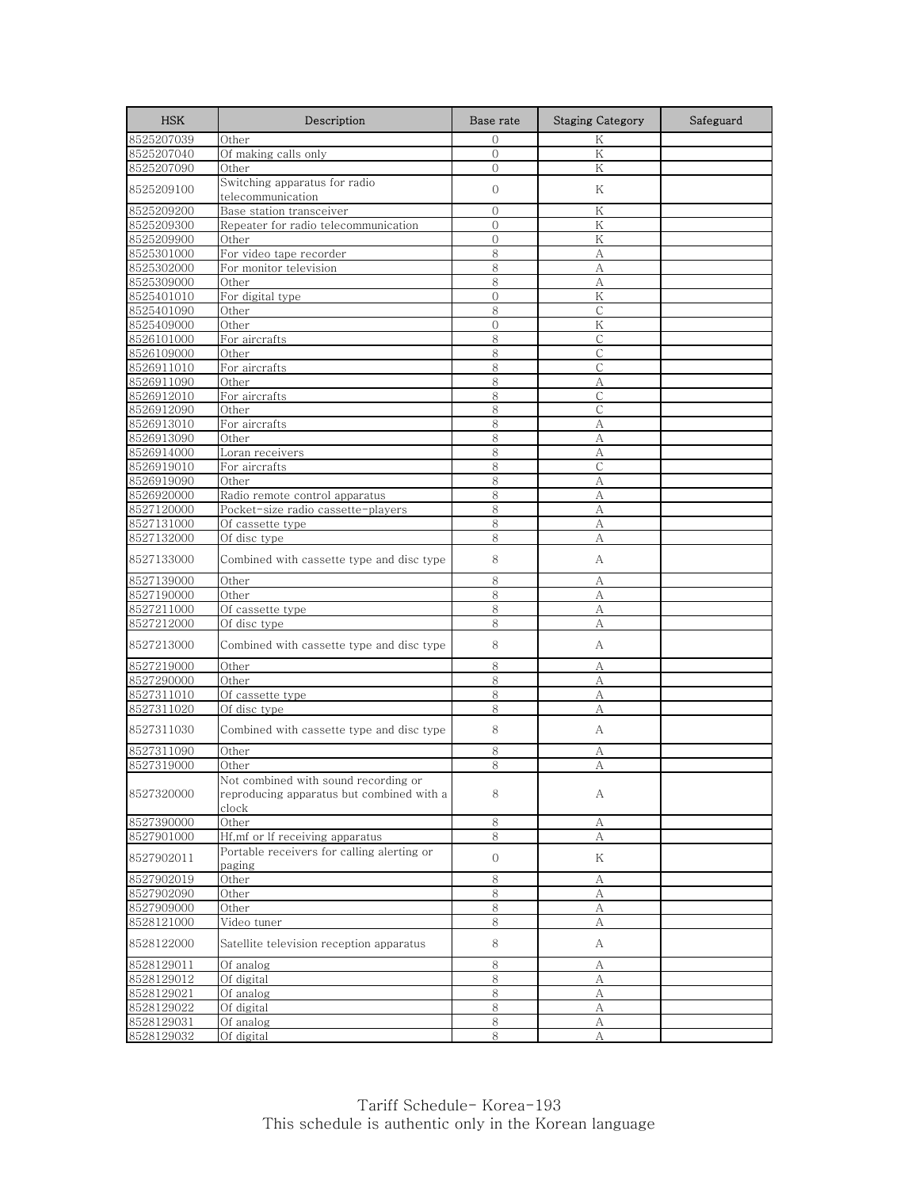| <b>HSK</b>               | Description                                                                                | Base rate      | <b>Staging Category</b> | Safeguard |
|--------------------------|--------------------------------------------------------------------------------------------|----------------|-------------------------|-----------|
| 8525207039               | Other                                                                                      | $\Omega$       | K                       |           |
| 8525207040               | Of making calls only                                                                       | $\overline{0}$ | K                       |           |
| 8525207090               | Other                                                                                      | $\mathbf{0}$   | Κ                       |           |
| 8525209100               | Switching apparatus for radio                                                              | $\mathbf{0}$   | Κ                       |           |
|                          | telecommunication                                                                          |                |                         |           |
| 8525209200               | Base station transceiver                                                                   | $\mathbf{0}$   | Κ                       |           |
| 8525209300               | Repeater for radio telecommunication                                                       | $\Omega$       | K                       |           |
| 8525209900               | Other                                                                                      | $\overline{0}$ | Κ                       |           |
| 8525301000               | For video tape recorder                                                                    | 8              | А                       |           |
| 8525302000               | For monitor television                                                                     | 8              | А                       |           |
| 8525309000               | Other                                                                                      | 8              | A                       |           |
| 8525401010               | For digital type                                                                           | $\mathbf 0$    | Κ                       |           |
| 8525401090               | Other                                                                                      | 8              | $\mathsf{C}$            |           |
| 8525409000               | Other                                                                                      | $\overline{0}$ | K                       |           |
| 8526101000<br>8526109000 | For aircrafts<br>Other                                                                     | 8<br>8         | С<br>$\mathsf{C}$       |           |
|                          |                                                                                            | 8              | С                       |           |
| 8526911010               | For aircrafts<br>Other                                                                     | 8              |                         |           |
| 8526911090<br>8526912010 | For aircrafts                                                                              | 8              | А<br>C                  |           |
| 8526912090               | Other                                                                                      | 8              | $\mathsf{C}$            |           |
| 8526913010               | For aircrafts                                                                              | 8              | A                       |           |
| 8526913090               | Other                                                                                      | 8              | А                       |           |
| 8526914000               | Loran receivers                                                                            | 8              | A                       |           |
| 8526919010               | For aircrafts                                                                              | 8              | С                       |           |
| 8526919090               | Other                                                                                      | 8              | А                       |           |
| 8526920000               | Radio remote control apparatus                                                             | 8              | A                       |           |
| 8527120000               | Pocket-size radio cassette-players                                                         | 8              | A                       |           |
| 8527131000               | Of cassette type                                                                           | 8              | A                       |           |
| 8527132000               | Of disc type                                                                               | 8              | А                       |           |
|                          |                                                                                            |                |                         |           |
| 8527133000               | Combined with cassette type and disc type                                                  | 8              | А                       |           |
| 8527139000               | Other                                                                                      | 8              | A                       |           |
| 8527190000               | Other                                                                                      | 8              | A                       |           |
| 8527211000               | Of cassette type                                                                           | 8              | А                       |           |
| 8527212000               | Of disc type                                                                               | 8              | А                       |           |
| 8527213000               | Combined with cassette type and disc type                                                  | 8              | А                       |           |
| 8527219000               | Other                                                                                      | 8              | А                       |           |
| 8527290000               | Other                                                                                      | 8              | A                       |           |
| 8527311010               | Of cassette type                                                                           | 8              | А                       |           |
| 8527311020               | $\overline{Of}$ disc type                                                                  | 8              | А                       |           |
| 8527311030               | Combined with cassette type and disc type                                                  | 8              | А                       |           |
| 8527311090               | Other                                                                                      | 8              | А                       |           |
| 8527319000               | Other                                                                                      | 8              | А                       |           |
| 8527320000               | Not combined with sound recording or<br>reproducing apparatus but combined with a<br>clock | 8              | A                       |           |
| 8527390000               | Other                                                                                      | $8\,$          | А                       |           |
| 8527901000               | Hf,mf or lf receiving apparatus                                                            | 8              | А                       |           |
| 8527902011               | Portable receivers for calling alerting or<br>paging                                       | $\overline{0}$ | Κ                       |           |
| 8527902019               | Other                                                                                      | 8              | А                       |           |
| 8527902090               | Other                                                                                      | 8              | A                       |           |
| 8527909000               | Other                                                                                      | 8              | А                       |           |
| 8528121000               | Video tuner                                                                                | 8              | А                       |           |
| 8528122000               | Satellite television reception apparatus                                                   | 8              | А                       |           |
| 8528129011               | Of analog                                                                                  | 8              | А                       |           |
| 8528129012               | Of digital                                                                                 | 8              | А                       |           |
| 8528129021               | Of analog                                                                                  | 8              | А                       |           |
| 8528129022               | Of digital                                                                                 | 8              | А                       |           |
| 8528129031               | Of analog                                                                                  | 8              | А                       |           |
| 8528129032               | Of digital                                                                                 | 8              | А                       |           |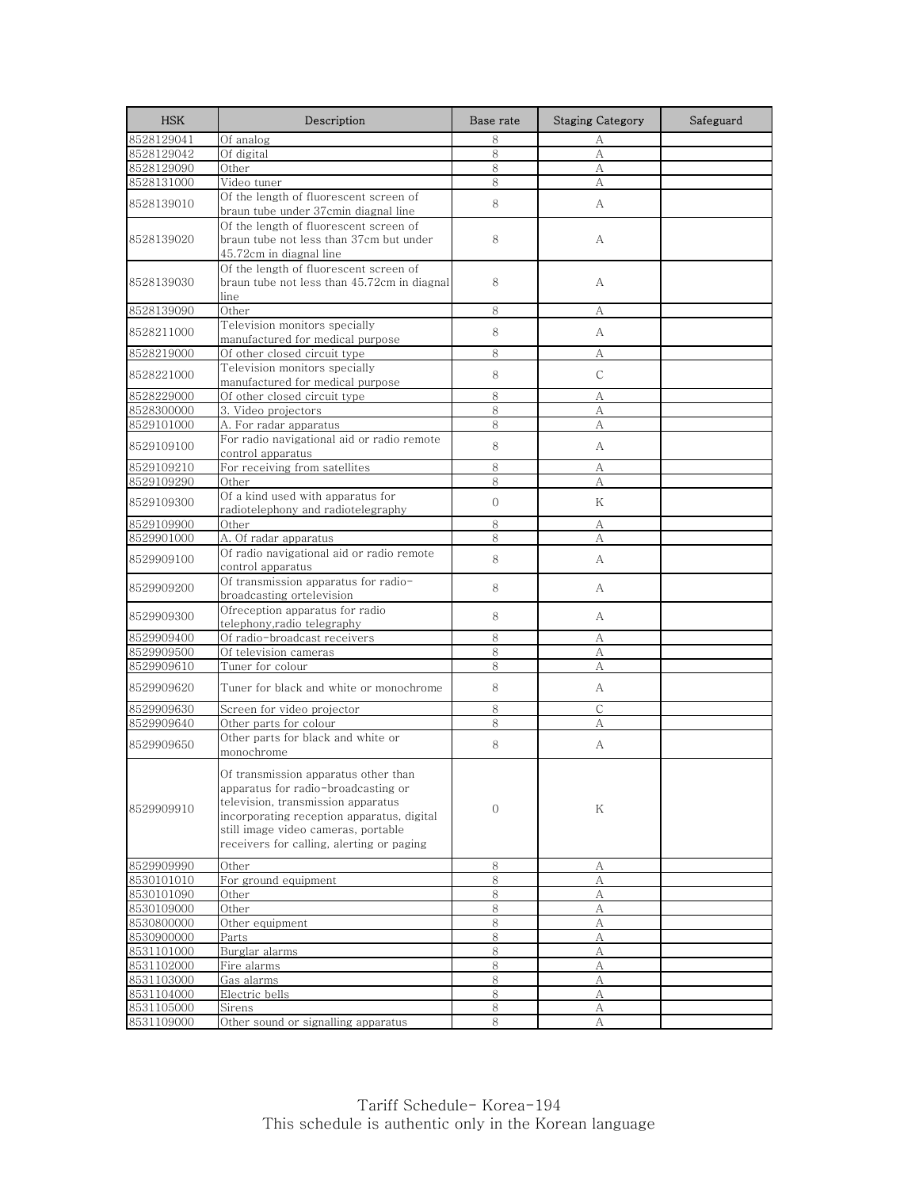| <b>HSK</b>               | Description                                                                                                                                                                                                                                         | Base rate    | <b>Staging Category</b> | Safeguard |
|--------------------------|-----------------------------------------------------------------------------------------------------------------------------------------------------------------------------------------------------------------------------------------------------|--------------|-------------------------|-----------|
| 8528129041               | Of analog                                                                                                                                                                                                                                           | 8            | А                       |           |
| 8528129042               | Of digital                                                                                                                                                                                                                                          | 8            | $\mathbf{A}$            |           |
| 8528129090               | Other                                                                                                                                                                                                                                               | 8            | А                       |           |
| 8528131000               | Video tuner                                                                                                                                                                                                                                         | 8            | A                       |           |
| 8528139010               | Of the length of fluorescent screen of<br>braun tube under 37cmin diagnal line                                                                                                                                                                      | 8            | A                       |           |
| 8528139020               | Of the length of fluorescent screen of<br>braun tube not less than 37cm but under<br>45.72cm in diagnal line                                                                                                                                        | 8            | А                       |           |
| 8528139030               | Of the length of fluorescent screen of<br>braun tube not less than 45.72cm in diagnal<br>line                                                                                                                                                       | 8            | А                       |           |
| 8528139090               | Other                                                                                                                                                                                                                                               | 8            | А                       |           |
| 8528211000               | Television monitors specially<br>manufactured for medical purpose                                                                                                                                                                                   | 8            | А                       |           |
| 8528219000               | Of other closed circuit type                                                                                                                                                                                                                        | 8            | А                       |           |
| 8528221000               | Television monitors specially<br>manufactured for medical purpose                                                                                                                                                                                   | 8            | $\mathsf{C}$            |           |
| 8528229000               | Of other closed circuit type                                                                                                                                                                                                                        | 8            | А                       |           |
| 8528300000               | 3. Video projectors                                                                                                                                                                                                                                 | 8            | А                       |           |
| 8529101000               | A. For radar apparatus                                                                                                                                                                                                                              | 8            | A                       |           |
| 8529109100               | For radio navigational aid or radio remote<br>control apparatus                                                                                                                                                                                     | 8            | А                       |           |
| 8529109210               | For receiving from satellites                                                                                                                                                                                                                       | 8            | А                       |           |
| 8529109290               | Other                                                                                                                                                                                                                                               | 8            | А                       |           |
| 8529109300               | Of a kind used with apparatus for<br>radiotelephony and radiotelegraphy                                                                                                                                                                             | $\mathbf{O}$ | K                       |           |
| 8529109900               | Other                                                                                                                                                                                                                                               | 8            | А                       |           |
| 8529901000               | A. Of radar apparatus                                                                                                                                                                                                                               | 8            | А                       |           |
| 8529909100               | Of radio navigational aid or radio remote<br>control apparatus                                                                                                                                                                                      | 8            | A                       |           |
| 8529909200               | Of transmission apparatus for radio-<br>broadcasting ortelevision                                                                                                                                                                                   | 8            | A                       |           |
| 8529909300               | Ofreception apparatus for radio<br>telephony,radio telegraphy                                                                                                                                                                                       | 8            | А                       |           |
| 8529909400               | Of radio-broadcast receivers                                                                                                                                                                                                                        | 8            | А                       |           |
| 8529909500               | Of television cameras                                                                                                                                                                                                                               | 8            | А                       |           |
| 8529909610               | Tuner for colour                                                                                                                                                                                                                                    | 8            | А                       |           |
| 8529909620               | Tuner for black and white or monochrome                                                                                                                                                                                                             | 8            | A                       |           |
| 8529909630               | Screen for video projector                                                                                                                                                                                                                          | 8            | С                       |           |
| 8529909640               | Other parts for colour                                                                                                                                                                                                                              | 8            | А                       |           |
| 8529909650               | Other parts for black and white or<br>monochrome                                                                                                                                                                                                    | 8            | А                       |           |
| 8529909910               | Of transmission apparatus other than<br>apparatus for radio-broadcasting or<br>television, transmission apparatus<br>incorporating reception apparatus, digital<br>still image video cameras, portable<br>receivers for calling, alerting or paging | $\mathbf{0}$ | Κ                       |           |
| 8529909990               | Other                                                                                                                                                                                                                                               | 8            | А                       |           |
| 8530101010               | For ground equipment                                                                                                                                                                                                                                | 8            | А                       |           |
| 8530101090               | Other                                                                                                                                                                                                                                               | 8            | A                       |           |
| 8530109000<br>8530800000 | Other<br>Other equipment                                                                                                                                                                                                                            | 8<br>8       | А<br>А                  |           |
| 8530900000               | Parts                                                                                                                                                                                                                                               | 8            | А                       |           |
| 8531101000               | Burglar alarms                                                                                                                                                                                                                                      | 8            | А                       |           |
| 8531102000               | Fire alarms                                                                                                                                                                                                                                         | 8            | А                       |           |
| 8531103000               | Gas alarms                                                                                                                                                                                                                                          | 8            | А                       |           |
| 8531104000               | Electric bells                                                                                                                                                                                                                                      | $8\,$        | А                       |           |
| 8531105000               | Sirens                                                                                                                                                                                                                                              | 8            | А                       |           |
| 8531109000               | Other sound or signalling apparatus                                                                                                                                                                                                                 | 8            | А                       |           |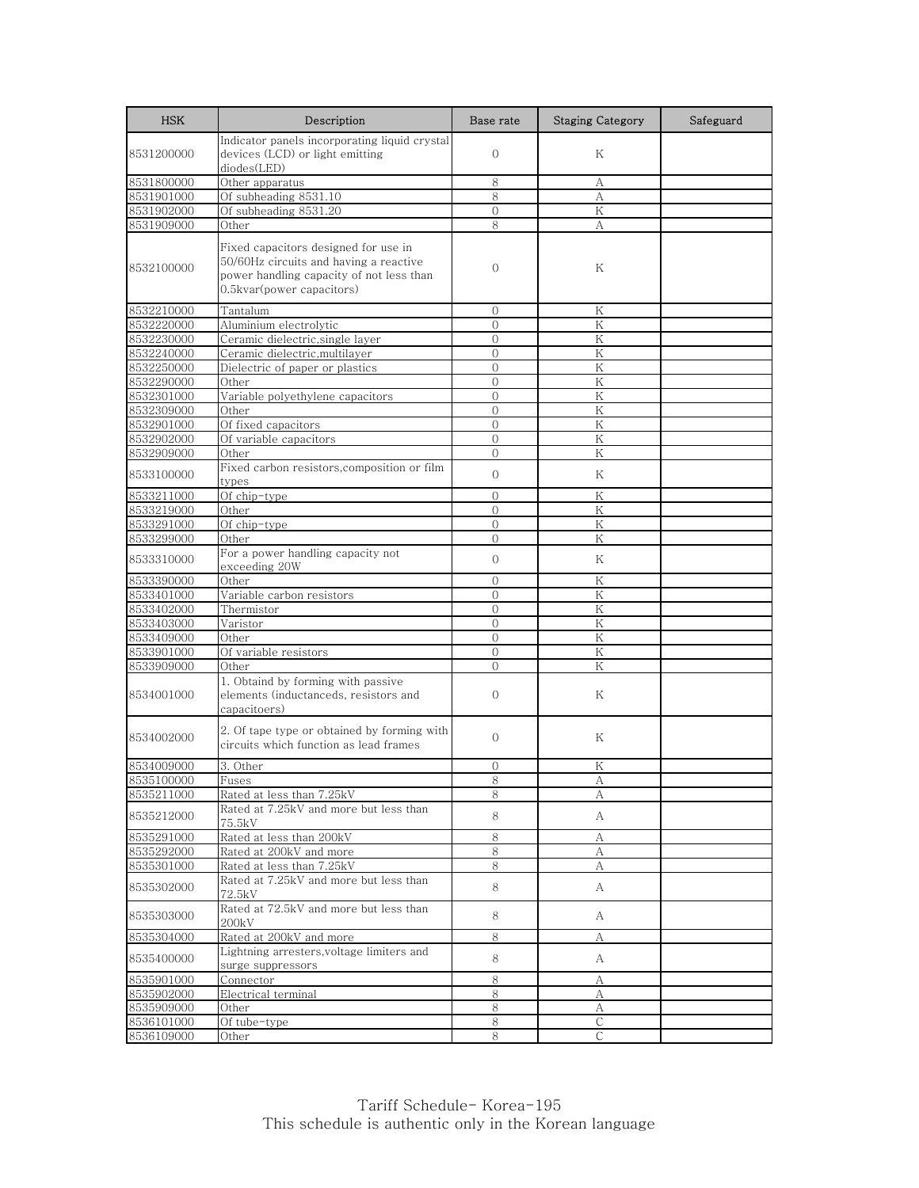| <b>HSK</b> | Description                                           | Base rate      | <b>Staging Category</b> | Safeguard |
|------------|-------------------------------------------------------|----------------|-------------------------|-----------|
|            | Indicator panels incorporating liquid crystal         |                |                         |           |
| 8531200000 | devices (LCD) or light emitting                       | $\mathbf{O}$   | Κ                       |           |
|            | diodes(LED)                                           |                |                         |           |
| 8531800000 | Other apparatus                                       | 8              | А                       |           |
| 8531901000 | Of subheading 8531.10                                 | 8              | A                       |           |
| 8531902000 | Of subheading 8531.20                                 | $\overline{0}$ | K                       |           |
| 8531909000 | Other                                                 | 8              | А                       |           |
|            | Fixed capacitors designed for use in                  |                |                         |           |
| 8532100000 | 50/60Hz circuits and having a reactive                | $\mathbf{0}$   | K                       |           |
|            | power handling capacity of not less than              |                |                         |           |
|            | 0.5kvar(power capacitors)                             |                |                         |           |
| 8532210000 | Tantalum                                              | 0              | Κ                       |           |
| 8532220000 | Aluminium electrolytic                                | $\Omega$       | K                       |           |
| 8532230000 | Ceramic dielectric, single layer                      | $\Omega$       | K                       |           |
| 8532240000 | Ceramic dielectric, multilayer                        | $\mathbf{0}$   | Κ                       |           |
| 8532250000 | Dielectric of paper or plastics                       | $\mathbf{0}$   | Κ                       |           |
| 8532290000 | Other                                                 | $\Omega$       | K                       |           |
| 8532301000 | Variable polyethylene capacitors                      | $\Omega$       | Κ                       |           |
| 8532309000 | Other                                                 | $\Omega$       | K                       |           |
| 8532901000 | Of fixed capacitors                                   | $\overline{0}$ | K                       |           |
| 8532902000 | Of variable capacitors                                | $\Omega$       | K                       |           |
| 8532909000 | Other                                                 | $\Omega$       | K                       |           |
|            | Fixed carbon resistors, composition or film           | $\mathbf{O}$   | Κ                       |           |
| 8533100000 | types                                                 |                |                         |           |
| 8533211000 | Of chip-type                                          | $\mathbf{0}$   | Κ                       |           |
| 8533219000 | Other                                                 | $\Omega$       | K                       |           |
| 8533291000 | Of chip-type                                          | $\Omega$       | K                       |           |
| 8533299000 | Other                                                 | $\mathbf{O}$   | Κ                       |           |
| 8533310000 | For a power handling capacity not                     | $\mathbf{O}$   | Κ                       |           |
|            | exceeding 20W                                         |                |                         |           |
| 8533390000 | Other                                                 | $\mathbf{0}$   | K                       |           |
| 8533401000 | Variable carbon resistors                             | $\Omega$       | K                       |           |
| 8533402000 | Thermistor                                            | $\Omega$       | K                       |           |
| 8533403000 | Varistor                                              | $\Omega$       | Κ                       |           |
| 8533409000 | Other                                                 | $\mathbf{O}$   | Κ                       |           |
| 8533901000 | Of variable resistors                                 | $\overline{0}$ | K                       |           |
| 8533909000 | Other                                                 | $\mathbf{0}$   | K                       |           |
|            | 1. Obtaind by forming with passive                    |                | Κ                       |           |
| 8534001000 | elements (inductanceds, resistors and<br>capacitoers) | $\mathbf{0}$   |                         |           |
|            |                                                       |                |                         |           |
|            | 2. Of tape type or obtained by forming with           | $\mathbf{0}$   | Κ                       |           |
| 8534002000 | circuits which function as lead frames                |                |                         |           |
| 8534009000 | 3. Other                                              | $\Omega$       | Κ                       |           |
| 8535100000 | Fuses                                                 |                |                         |           |
| 8535211000 | Rated at less than 7.25kV                             | ŏ<br>8         | Α<br>А                  |           |
|            | Rated at 7.25kV and more but less than                |                |                         |           |
| 8535212000 | 75.5kV                                                | 8              | A                       |           |
| 8535291000 | Rated at less than 200kV                              | 8              | А                       |           |
| 8535292000 | Rated at 200kV and more                               | 8              | А                       |           |
| 8535301000 | Rated at less than 7.25kV                             | 8              | А                       |           |
|            | Rated at 7.25kV and more but less than                |                |                         |           |
| 8535302000 | 72.5kV                                                | 8              | A                       |           |
|            | Rated at 72.5kV and more but less than                |                |                         |           |
| 8535303000 | 200kV                                                 | 8              | A                       |           |
| 8535304000 | Rated at 200kV and more                               | 8              | А                       |           |
|            | Lightning arresters, voltage limiters and             |                |                         |           |
| 8535400000 | surge suppressors                                     | 8              | A                       |           |
| 8535901000 | Connector                                             | 8              | А                       |           |
| 8535902000 | Electrical terminal                                   | 8              | А                       |           |
| 8535909000 | Other                                                 | 8              | А                       |           |
| 8536101000 | Of tube-type                                          | 8              | C                       |           |
| 8536109000 | Other                                                 | 8              | C                       |           |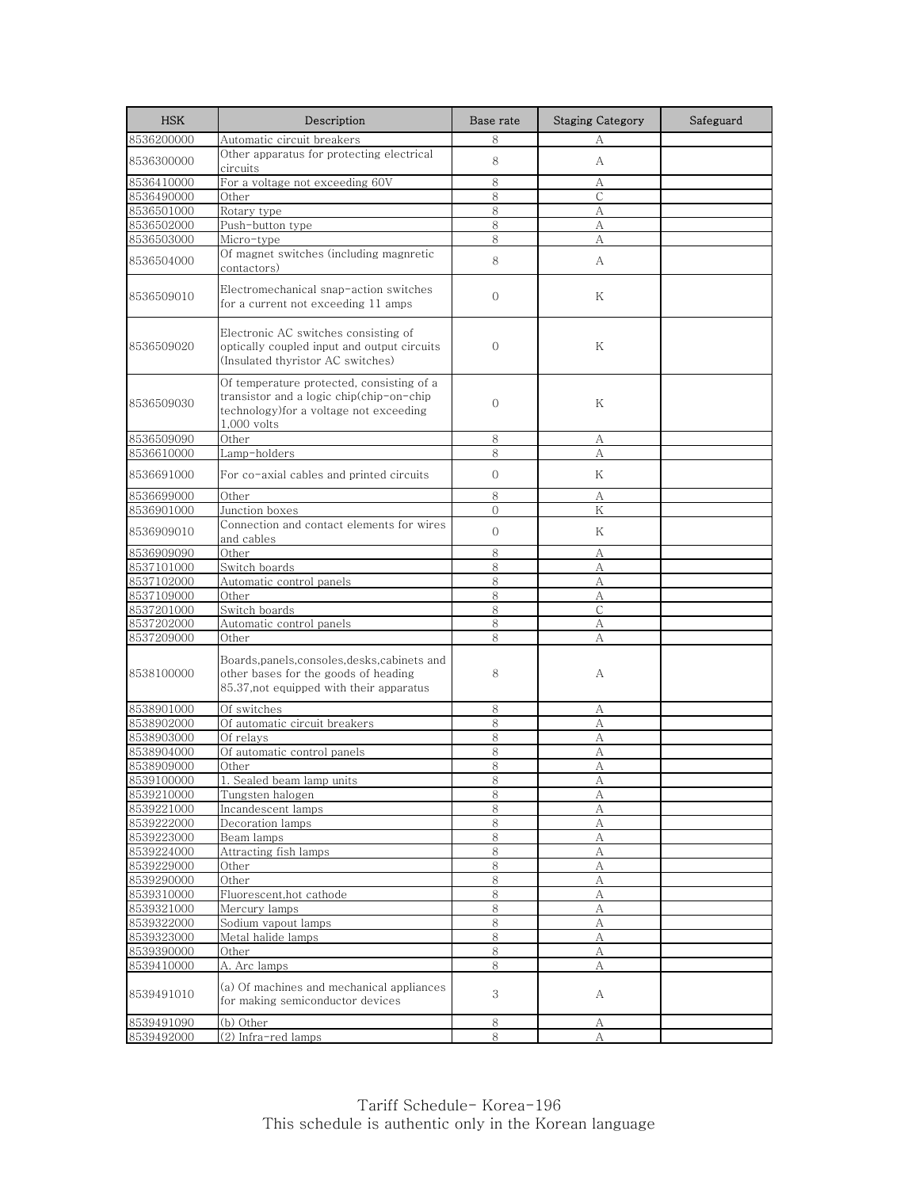| <b>HSK</b>               | Description                                                                                                                                     | Base rate      | <b>Staging Category</b> | Safeguard |
|--------------------------|-------------------------------------------------------------------------------------------------------------------------------------------------|----------------|-------------------------|-----------|
| 8536200000               | Automatic circuit breakers                                                                                                                      | 8              | А                       |           |
| 8536300000               | Other apparatus for protecting electrical<br>circuits                                                                                           | 8              | A                       |           |
| 8536410000               | For a voltage not exceeding 60V                                                                                                                 | 8              | А                       |           |
| 8536490000               | Other                                                                                                                                           | 8              | C                       |           |
| 8536501000               | Rotary type                                                                                                                                     | 8              | А                       |           |
| 8536502000               | Push-button type                                                                                                                                | 8              | A                       |           |
| 8536503000               | Micro-type                                                                                                                                      | 8              | А                       |           |
| 8536504000               | Of magnet switches (including magnretic<br>contactors)                                                                                          | 8              | A                       |           |
| 8536509010               | Electromechanical snap-action switches<br>for a current not exceeding 11 amps                                                                   | $\mathbf{0}$   | Κ                       |           |
| 8536509020               | Electronic AC switches consisting of<br>optically coupled input and output circuits<br>(Insulated thyristor AC switches)                        | $\mathbf{0}$   | Κ                       |           |
| 8536509030               | Of temperature protected, consisting of a<br>transistor and a logic chip(chip-on-chip<br>technology) for a voltage not exceeding<br>1,000 volts | $\mathbf{0}$   | Κ                       |           |
| 8536509090               | Other                                                                                                                                           | 8              | А                       |           |
| 8536610000               | Lamp-holders                                                                                                                                    | 8              | А                       |           |
| 8536691000               | For co-axial cables and printed circuits                                                                                                        | $\Omega$       | Κ                       |           |
| 8536699000               | Other                                                                                                                                           | 8              | А                       |           |
| 8536901000               | Junction boxes                                                                                                                                  | $\Omega$       | Κ                       |           |
| 8536909010               | Connection and contact elements for wires<br>and cables                                                                                         | $\overline{0}$ | Κ                       |           |
| 8536909090               | Other                                                                                                                                           | 8              | А                       |           |
| 8537101000               | Switch boards                                                                                                                                   | 8              | А                       |           |
| 8537102000               | Automatic control panels                                                                                                                        | 8              | A                       |           |
| 8537109000               | Other                                                                                                                                           | 8              | А                       |           |
| 8537201000               | Switch boards                                                                                                                                   | 8              | C                       |           |
| 8537202000               | Automatic control panels                                                                                                                        | 8              | А                       |           |
| 8537209000               | Other                                                                                                                                           | 8              | А                       |           |
| 8538100000               | Boards,panels,consoles,desks,cabinets and<br>other bases for the goods of heading<br>85.37, not equipped with their apparatus                   | 8              | А                       |           |
| 8538901000               | Of switches                                                                                                                                     | 8              | А                       |           |
| 8538902000               | Of automatic circuit breakers                                                                                                                   | 8              | A                       |           |
| 8538903000               | Of relays                                                                                                                                       | 8              | А                       |           |
| 8538904000               | Of automatic control panels                                                                                                                     | 8              | А                       |           |
| 8538909000               | Other                                                                                                                                           | 8              | A                       |           |
| 8539100000               | 1. Sealed beam lamp units                                                                                                                       | 8              | А                       |           |
| 8539210000               | Tungsten halogen                                                                                                                                | 8              | А                       |           |
| 8539221000               | Incandescent lamps                                                                                                                              | 8              | А                       |           |
| 8539222000               | Decoration lamps                                                                                                                                | 8              | $\mathbf{A}$            |           |
| 8539223000               | Beam lamps                                                                                                                                      | 8              | А                       |           |
| 8539224000               | Attracting fish lamps                                                                                                                           | 8              | А                       |           |
| 8539229000               | Other                                                                                                                                           | 8              | А                       |           |
| 8539290000               | Other                                                                                                                                           | 8              | А                       |           |
| 8539310000               | Fluorescent, hot cathode                                                                                                                        | 8              | A                       |           |
| 8539321000<br>8539322000 | Mercury lamps                                                                                                                                   | 8<br>8         | А<br>A                  |           |
| 8539323000               | Sodium vapout lamps                                                                                                                             | 8              |                         |           |
| 8539390000               | Metal halide lamps<br>Other                                                                                                                     | 8              | А<br>А                  |           |
| 8539410000               | A. Arc lamps                                                                                                                                    | 8              | A                       |           |
| 8539491010               | (a) Of machines and mechanical appliances<br>for making semiconductor devices                                                                   | 3              | А                       |           |
|                          |                                                                                                                                                 |                |                         |           |
| 8539491090               | (b) Other                                                                                                                                       | $\,8\,$<br>8   | A<br>$\mathbf{A}$       |           |
| 8539492000               | (2) Infra-red lamps                                                                                                                             |                |                         |           |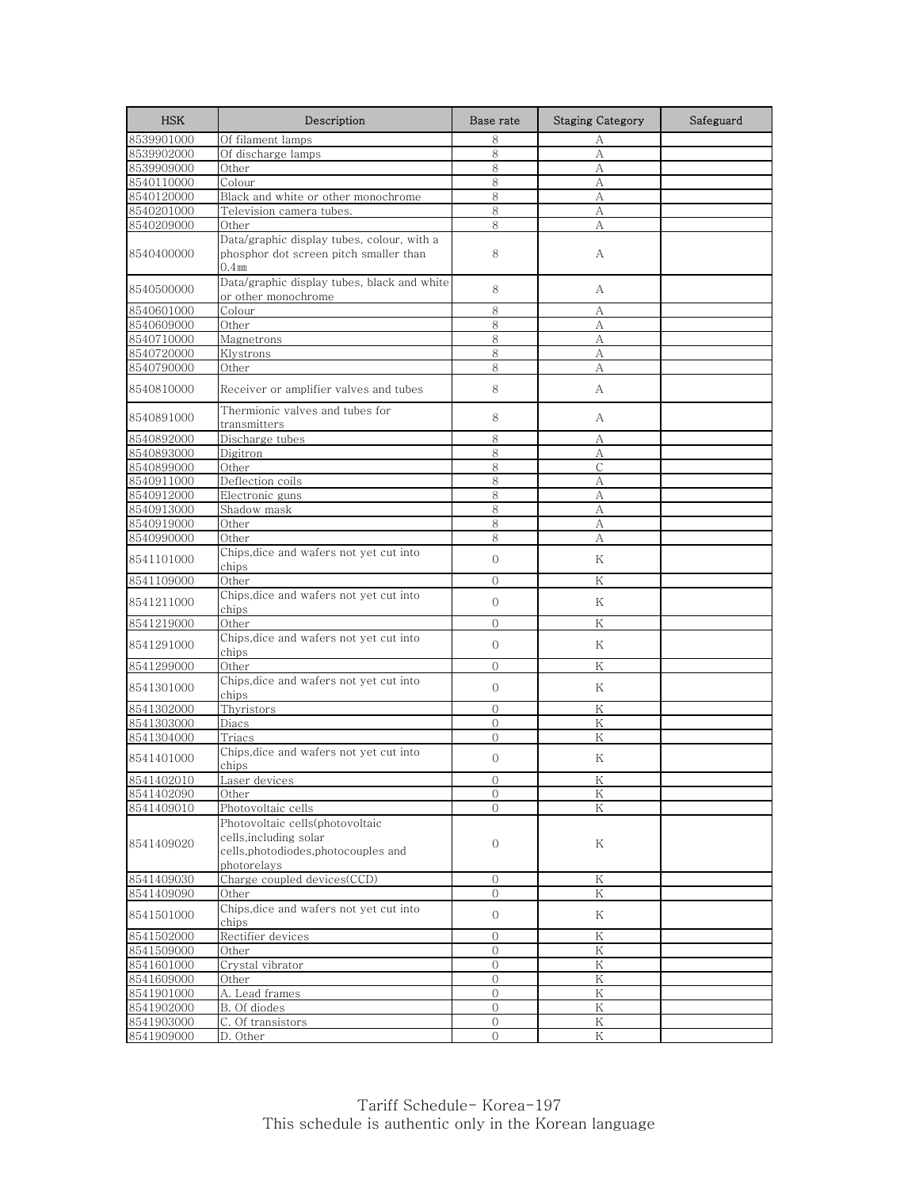| <b>HSK</b> | Description                                                                                                     | Base rate           | <b>Staging Category</b> | Safeguard |
|------------|-----------------------------------------------------------------------------------------------------------------|---------------------|-------------------------|-----------|
| 8539901000 | Of filament lamps                                                                                               | 8                   | А                       |           |
| 8539902000 | Of discharge lamps                                                                                              | 8                   | А                       |           |
| 8539909000 | Other                                                                                                           | 8                   | A                       |           |
| 8540110000 | Colour                                                                                                          | 8                   | А                       |           |
| 8540120000 | Black and white or other monochrome                                                                             | 8                   | А                       |           |
| 8540201000 | Television camera tubes.                                                                                        | 8                   | А                       |           |
| 8540209000 | Other                                                                                                           | 8                   | A                       |           |
|            | Data/graphic display tubes, colour, with a                                                                      |                     |                         |           |
| 8540400000 | phosphor dot screen pitch smaller than<br>$0.4$ mm                                                              | 8                   | А                       |           |
|            | Data/graphic display tubes, black and white                                                                     |                     |                         |           |
| 8540500000 | or other monochrome                                                                                             | 8                   | A                       |           |
| 8540601000 | Colour                                                                                                          | 8                   | А                       |           |
| 8540609000 | Other                                                                                                           | 8                   | А                       |           |
| 8540710000 | Magnetrons                                                                                                      | 8                   | А                       |           |
| 8540720000 | Klystrons                                                                                                       | 8                   | А                       |           |
| 8540790000 | Other                                                                                                           | 8                   | А                       |           |
|            |                                                                                                                 |                     |                         |           |
| 8540810000 | Receiver or amplifier valves and tubes                                                                          | 8                   | А                       |           |
| 8540891000 | Thermionic valves and tubes for<br>transmitters                                                                 | 8                   | А                       |           |
| 8540892000 | Discharge tubes                                                                                                 | 8                   | А                       |           |
| 8540893000 | Digitron                                                                                                        | 8                   | А                       |           |
| 8540899000 | Other                                                                                                           | 8                   | С                       |           |
| 8540911000 | Deflection coils                                                                                                | 8                   | А                       |           |
| 8540912000 | Electronic guns                                                                                                 | 8                   | А                       |           |
| 8540913000 | Shadow mask                                                                                                     | 8                   | А                       |           |
| 8540919000 | Other                                                                                                           | 8                   | А                       |           |
| 8540990000 | Other                                                                                                           | 8                   | А                       |           |
| 8541101000 | Chips,dice and wafers not yet cut into<br>chips                                                                 | $\mathbf{O}$        | Κ                       |           |
| 8541109000 | Other                                                                                                           | $\Omega$            | K                       |           |
| 8541211000 | Chips, dice and wafers not yet cut into<br>chips                                                                | $\mathbf{O}$        | Κ                       |           |
| 8541219000 | Other                                                                                                           | $\Omega$            | K                       |           |
|            | Chips, dice and wafers not yet cut into                                                                         |                     |                         |           |
| 8541291000 | chips                                                                                                           | $\mathbf{O}$        | Κ                       |           |
| 8541299000 | Other                                                                                                           | $\mathbf{0}$        | K                       |           |
| 8541301000 | Chips, dice and wafers not yet cut into<br>chips                                                                | $\Omega$            | K                       |           |
| 8541302000 | Thyristors                                                                                                      | $\mathbf{O}$        | Κ                       |           |
| 8541303000 | Diacs                                                                                                           | $\Omega$            | Κ                       |           |
| 8541304000 | Triacs                                                                                                          | $\mathbf{0}$        | K                       |           |
| 8541401000 | Chips,dice and wafers not yet cut into<br>chips                                                                 | $\mathbf{O}$        | Κ                       |           |
| 8541402010 | Laser devices                                                                                                   |                     | Κ                       |           |
| 8541402090 | Other                                                                                                           | U<br>$\overline{0}$ | K                       |           |
| 8541409010 | Photovoltaic cells                                                                                              | 0                   | Κ                       |           |
| 8541409020 | Photovoltaic cells(photovoltaic<br>cells,including solar<br>cells, photodiodes, photocouples and<br>photorelays | $\mathbf 0$         | Κ                       |           |
| 8541409030 | Charge coupled devices(CCD)                                                                                     | 0                   | Κ                       |           |
| 8541409090 | Other                                                                                                           | $\overline{O}$      | $\rm K$                 |           |
| 8541501000 | Chips, dice and wafers not yet cut into                                                                         | $\overline{0}$      | Κ                       |           |
|            | chips                                                                                                           |                     |                         |           |
| 8541502000 | Rectifier devices                                                                                               | $\mathcal{O}$       | Κ                       |           |
| 8541509000 | Other                                                                                                           | $\mathbf{O}$        | K                       |           |
| 8541601000 | Crystal vibrator                                                                                                | $\mathcal{O}$       | $\rm K$                 |           |
| 8541609000 | Other                                                                                                           | 0                   | K                       |           |
| 8541901000 | A. Lead frames                                                                                                  | $\overline{0}$      | K                       |           |
| 8541902000 | B. Of diodes                                                                                                    | 0                   | Κ                       |           |
| 8541903000 | C. Of transistors                                                                                               | $\overline{0}$      | $\rm K$                 |           |
| 8541909000 | D. Other                                                                                                        | $\mathbf{O}$        | Κ                       |           |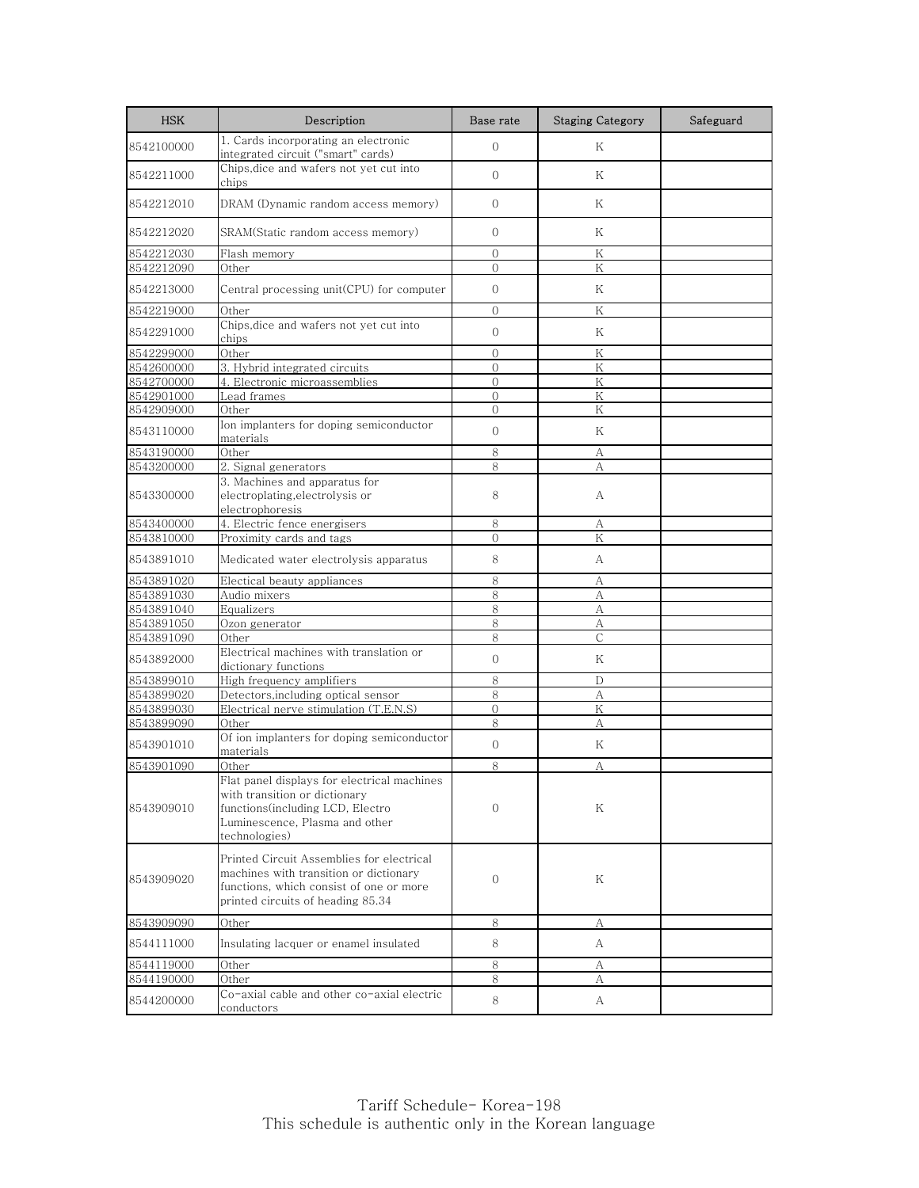| <b>HSK</b>               | Description                                                                                                                                                         | Base rate                      | <b>Staging Category</b> | Safeguard |
|--------------------------|---------------------------------------------------------------------------------------------------------------------------------------------------------------------|--------------------------------|-------------------------|-----------|
| 8542100000               | 1. Cards incorporating an electronic<br>integrated circuit ("smart" cards)                                                                                          | $\overline{0}$                 | Κ                       |           |
| 8542211000               | Chips, dice and wafers not yet cut into<br>chips                                                                                                                    | $\Omega$                       | K                       |           |
| 8542212010               | DRAM (Dynamic random access memory)                                                                                                                                 | $\mathcal{O}$                  | Κ                       |           |
| 8542212020               | SRAM(Static random access memory)                                                                                                                                   | $\Omega$                       | Κ                       |           |
| 8542212030               | Flash memory                                                                                                                                                        | $\overline{0}$                 | K                       |           |
| 8542212090               | Other                                                                                                                                                               | $\mathbf{O}$                   | Κ                       |           |
| 8542213000               | Central processing unit(CPU) for computer                                                                                                                           | $\mathcal{O}$                  | Κ                       |           |
| 8542219000               | Other                                                                                                                                                               | $\Omega$                       | K                       |           |
| 8542291000               | Chips, dice and wafers not yet cut into<br>chips                                                                                                                    | $\mathbf{O}$                   | Κ                       |           |
| 8542299000               | Other                                                                                                                                                               | $\mathbf{O}$                   | K                       |           |
| 8542600000               | 3. Hybrid integrated circuits                                                                                                                                       | $\mathbf{0}$                   | Κ                       |           |
| 8542700000               | 4. Electronic microassemblies                                                                                                                                       | $\mathbf{O}$                   | K                       |           |
| 8542901000               | Lead frames                                                                                                                                                         | $\overline{0}$                 | K                       |           |
| 8542909000<br>8543110000 | Other<br>Ion implanters for doping semiconductor                                                                                                                    | $\overline{0}$<br>$\mathbf{O}$ | K<br>Κ                  |           |
|                          | materials                                                                                                                                                           |                                |                         |           |
| 8543190000<br>8543200000 | Other                                                                                                                                                               | 8<br>8                         | А                       |           |
|                          | 2. Signal generators<br>3. Machines and apparatus for                                                                                                               |                                | А                       |           |
| 8543300000               | electroplating, electrolysis or<br>electrophoresis                                                                                                                  | 8                              | A                       |           |
| 8543400000               | 4. Electric fence energisers                                                                                                                                        | 8                              | А                       |           |
| 8543810000               | Proximity cards and tags                                                                                                                                            | $\mathbf{0}$                   | Κ                       |           |
| 8543891010               | Medicated water electrolysis apparatus                                                                                                                              | 8                              | А                       |           |
| 8543891020               | Electical beauty appliances                                                                                                                                         | 8                              | A                       |           |
| 8543891030               | Audio mixers                                                                                                                                                        | 8                              | А                       |           |
| 8543891040               | Equalizers                                                                                                                                                          | 8                              | А                       |           |
| 8543891050               | Ozon generator                                                                                                                                                      | 8                              | А                       |           |
| 8543891090               | Other                                                                                                                                                               | 8                              | С                       |           |
| 8543892000               | Electrical machines with translation or<br>dictionary functions                                                                                                     | $\overline{0}$                 | Κ                       |           |
| 8543899010               | High frequency amplifiers                                                                                                                                           | 8                              | D                       |           |
| 8543899020               | Detectors, including optical sensor                                                                                                                                 | 8                              | А                       |           |
| 8543899030               | Electrical nerve stimulation (T.E.N.S)                                                                                                                              | $\mathbf{0}$                   | Κ                       |           |
| 8543899090               | Other<br>Of ion implanters for doping semiconductor                                                                                                                 | 8                              | A                       |           |
| 8543901010               | materials                                                                                                                                                           | $\overline{0}$                 | Κ                       |           |
| 8543901090               | Other                                                                                                                                                               | 8                              | А                       |           |
| 8543909010               | Flat panel displays for electrical machines<br>with transition or dictionary<br>functions(including LCD, Electro<br>Luminescence, Plasma and other<br>technologies) | $\mathbf{0}$                   | Κ                       |           |
| 8543909020               | Printed Circuit Assemblies for electrical<br>machines with transition or dictionary<br>functions, which consist of one or more<br>printed circuits of heading 85.34 | 0                              | Κ                       |           |
| 8543909090               | Other                                                                                                                                                               | 8                              | А                       |           |
| 8544111000               | Insulating lacquer or enamel insulated                                                                                                                              | 8                              | A                       |           |
| 8544119000               | Other                                                                                                                                                               | 8                              | A                       |           |
| 8544190000               | Other                                                                                                                                                               | 8                              | А                       |           |
| 8544200000               | Co-axial cable and other co-axial electric<br>conductors                                                                                                            | 8                              | A                       |           |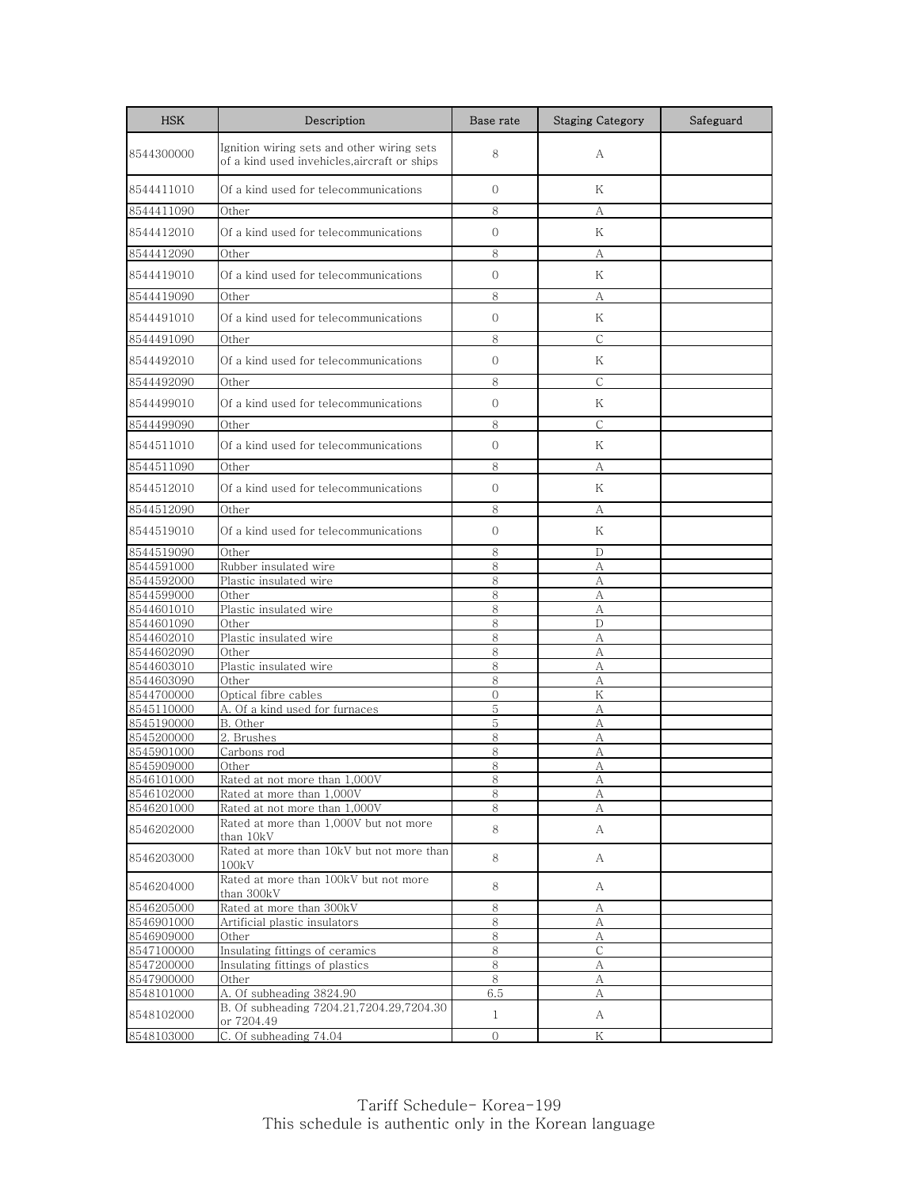| <b>HSK</b>               | Description                                                                                | Base rate      | <b>Staging Category</b> | Safeguard |
|--------------------------|--------------------------------------------------------------------------------------------|----------------|-------------------------|-----------|
| 8544300000               | Ignition wiring sets and other wiring sets<br>of a kind used invehicles, aircraft or ships | 8              | A                       |           |
| 8544411010               | Of a kind used for telecommunications                                                      | $\Omega$       | Κ                       |           |
| 8544411090               | Other                                                                                      | 8              | А                       |           |
| 8544412010               | Of a kind used for telecommunications                                                      | $\mathbf{0}$   | Κ                       |           |
| 8544412090               | Other                                                                                      | 8              | А                       |           |
| 8544419010               | Of a kind used for telecommunications                                                      | $\Omega$       | Κ                       |           |
| 8544419090               | Other                                                                                      | 8              | А                       |           |
| 8544491010               | Of a kind used for telecommunications                                                      | $\overline{0}$ | Κ                       |           |
| 8544491090               | Other                                                                                      | 8              | $\mathsf{C}$            |           |
| 8544492010               | Of a kind used for telecommunications                                                      | $\mathbf{0}$   | Κ                       |           |
| 8544492090               | Other                                                                                      | 8              | $\mathsf{C}$            |           |
| 8544499010               | Of a kind used for telecommunications                                                      | $\mathbf{0}$   | Κ                       |           |
| 8544499090               | Other                                                                                      | 8              | $\mathsf{C}$            |           |
| 8544511010               | Of a kind used for telecommunications                                                      | $\mathbf{0}$   | Κ                       |           |
|                          |                                                                                            |                |                         |           |
| 8544511090               | Other                                                                                      | 8              | А                       |           |
| 8544512010               | Of a kind used for telecommunications                                                      | $\mathbf{0}$   | Κ                       |           |
| 8544512090               | Other                                                                                      | 8              | А                       |           |
| 8544519010               | Of a kind used for telecommunications                                                      | $\mathbf{0}$   | Κ                       |           |
| 8544519090               | Other                                                                                      | 8              | D                       |           |
| 8544591000               | Rubber insulated wire                                                                      | 8              | А                       |           |
| 8544592000               | Plastic insulated wire                                                                     | 8              | А                       |           |
| 8544599000               | Other                                                                                      | 8              | А                       |           |
| 8544601010<br>8544601090 | Plastic insulated wire<br>Other                                                            | 8<br>8         | A<br>D                  |           |
| 8544602010               | Plastic insulated wire                                                                     | 8              | А                       |           |
| 8544602090               | Other                                                                                      | 8              | А                       |           |
| 8544603010               | Plastic insulated wire                                                                     | 8              | А                       |           |
| 8544603090               | Other                                                                                      | 8              | А                       |           |
| 8544700000               | Optical fibre cables                                                                       | $\overline{0}$ | Κ                       |           |
| 8545110000               | A. Of a kind used for furnaces                                                             | 5              | А                       |           |
| 8545190000               | B. Other                                                                                   | 5              | A                       |           |
| 8545200000               | 2. Brushes                                                                                 | 8              | А                       |           |
| 8545901000<br>8545909000 | Carbons rod                                                                                | 8<br>8         | А<br>А                  |           |
| 8546101000               | Other<br>Rated at not more than 1,000V                                                     | $\,8\,$        | $\rm A$                 |           |
| 8546102000               | Rated at more than 1,000V                                                                  | 8              | А                       |           |
| 8546201000               | Rated at not more than 1,000V                                                              | 8              | A                       |           |
| 8546202000               | Rated at more than 1,000V but not more                                                     | 8              | A                       |           |
| 8546203000               | than 10kV<br>Rated at more than 10kV but not more than<br>100kV                            | 8              | A                       |           |
| 8546204000               | Rated at more than 100kV but not more<br>than 300kV                                        | 8              | A                       |           |
| 8546205000               | Rated at more than 300kV                                                                   | 8              | А                       |           |
| 8546901000               | Artificial plastic insulators                                                              | 8              | А                       |           |
| 8546909000               | Other                                                                                      | 8              | А                       |           |
| 8547100000               | Insulating fittings of ceramics                                                            | $\,8\,$        | $\mathsf{C}$            |           |
| 8547200000               | Insulating fittings of plastics                                                            | 8              | А                       |           |
| 8547900000               | Other                                                                                      | 8              | А                       |           |
| 8548101000               | A. Of subheading 3824.90                                                                   | 6.5            | А                       |           |
| 8548102000               | B. Of subheading 7204.21,7204.29,7204.30<br>or 7204.49                                     | $\mathbf{1}$   | A                       |           |
| 8548103000               | C. Of subheading 74.04                                                                     | $\overline{0}$ | Κ                       |           |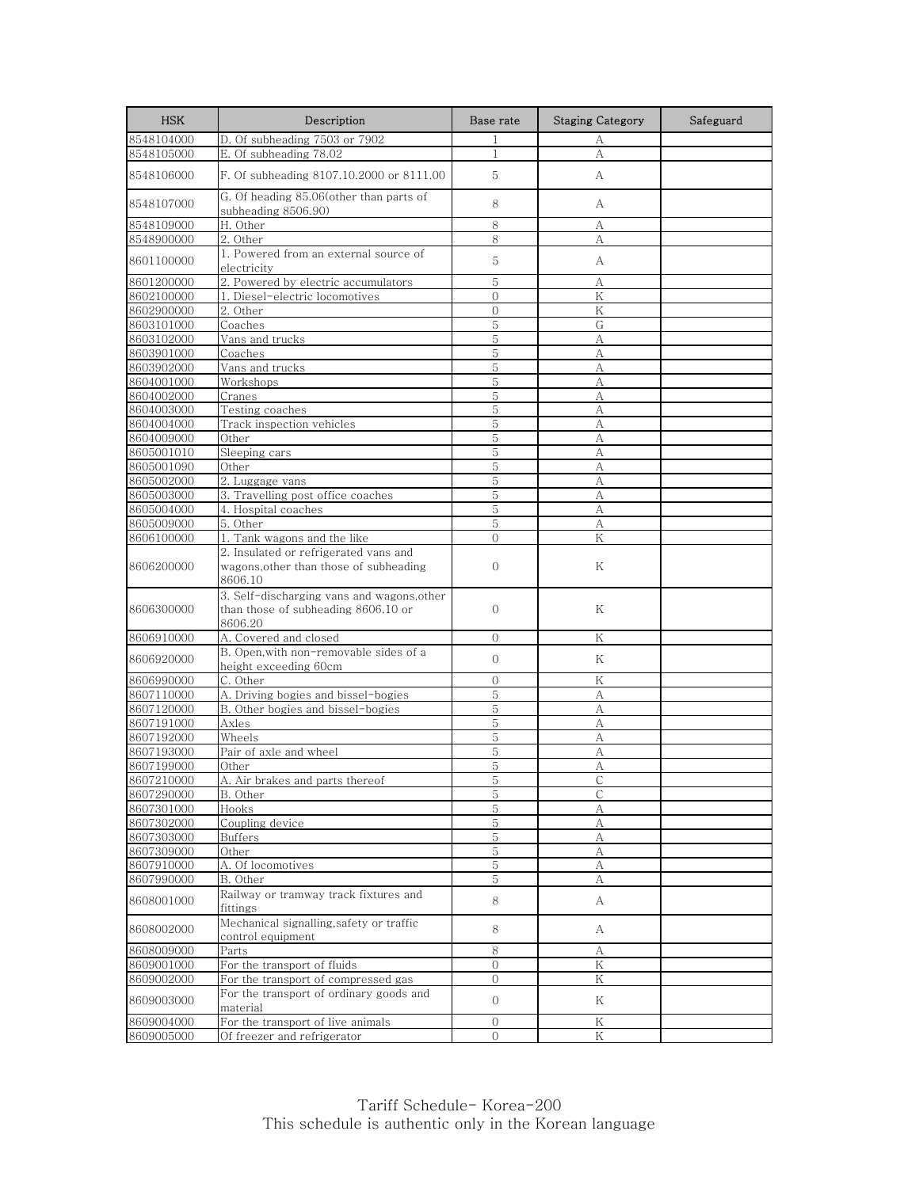| <b>HSK</b> | Description                                                                                  | Base rate      | <b>Staging Category</b> | Safeguard |
|------------|----------------------------------------------------------------------------------------------|----------------|-------------------------|-----------|
| 8548104000 | D. Of subheading 7503 or 7902                                                                | 1              | А                       |           |
| 8548105000 | E. Of subheading 78.02                                                                       | $\mathbf{1}$   | А                       |           |
| 8548106000 | F. Of subheading 8107.10.2000 or 8111.00                                                     | 5              | A                       |           |
| 8548107000 | G. Of heading 85.06(other than parts of<br>subheading 8506.90)                               | 8              | А                       |           |
| 8548109000 | H. Other                                                                                     | 8              | А                       |           |
| 8548900000 | 2. Other                                                                                     | 8              | А                       |           |
| 8601100000 | 1. Powered from an external source of<br>electricity                                         | 5              | А                       |           |
| 8601200000 | 2. Powered by electric accumulators                                                          | 5              | А                       |           |
| 8602100000 | 1. Diesel-electric locomotives                                                               | $\mathbf{0}$   | Κ                       |           |
| 8602900000 | 2. Other                                                                                     | $\Omega$       | K                       |           |
| 8603101000 | Coaches                                                                                      | 5              | G                       |           |
| 8603102000 | Vans and trucks                                                                              | 5              | А                       |           |
| 8603901000 | Coaches                                                                                      | 5              | А                       |           |
| 8603902000 | Vans and trucks                                                                              | 5              | А                       |           |
| 8604001000 | Workshops                                                                                    | 5              | А                       |           |
| 8604002000 | Cranes                                                                                       | 5              | А                       |           |
| 8604003000 | Testing coaches                                                                              | 5              | А                       |           |
| 8604004000 | Track inspection vehicles                                                                    | 5              | А                       |           |
| 8604009000 | Other                                                                                        | 5              | А                       |           |
| 8605001010 | Sleeping cars                                                                                | 5              | A                       |           |
| 8605001090 | Other                                                                                        | 5              | А                       |           |
| 8605002000 | 2. Luggage vans                                                                              | 5              | А                       |           |
| 8605003000 | 3. Travelling post office coaches                                                            | 5<br>5         | А                       |           |
| 8605004000 | 4. Hospital coaches                                                                          | 5              | А                       |           |
| 8605009000 | 5. Other                                                                                     | $\overline{0}$ | А<br>Κ                  |           |
| 8606100000 | 1. Tank wagons and the like<br>2. Insulated or refrigerated vans and                         |                |                         |           |
| 8606200000 | wagons, other than those of subheading<br>8606.10                                            | $\mathbf{0}$   | Κ                       |           |
| 8606300000 | 3. Self-discharging vans and wagons, other<br>than those of subheading 8606.10 or<br>8606.20 | $\mathbf{O}$   | Κ                       |           |
| 8606910000 | A. Covered and closed                                                                        | $\mathbf{0}$   | Κ                       |           |
| 8606920000 | B. Open, with non-removable sides of a<br>height exceeding 60cm                              | $\Omega$       | Κ                       |           |
| 8606990000 | C. Other                                                                                     | $\Omega$       | Κ                       |           |
| 8607110000 | A. Driving bogies and bissel-bogies                                                          | $\mathbf 5$    | А                       |           |
| 8607120000 | B. Other bogies and bissel-bogies                                                            | 5              | А                       |           |
| 8607191000 | Axles                                                                                        | 5              | А                       |           |
| 8607192000 | Wheels                                                                                       | 5              | А                       |           |
| 8607193000 | Pair of axle and wheel                                                                       | 5              | A                       |           |
| 8607199000 | Other                                                                                        | 5              | А                       |           |
| 8607210000 | <u>A. Air brakes and parts thereof</u>                                                       | C              |                         |           |
| 8607290000 | B. Other                                                                                     | $5\,$          | $\mathsf{C}$            |           |
| 8607301000 | Hooks                                                                                        | 5              | А                       |           |
| 8607302000 | Coupling device                                                                              | $\mathbf 5$    | $\rm A$                 |           |
| 8607303000 | <b>Buffers</b>                                                                               | 5              | А                       |           |
| 8607309000 | Other                                                                                        | 5              | А                       |           |
| 8607910000 | A. Of locomotives                                                                            | 5              | А                       |           |
| 8607990000 | B. Other                                                                                     | 5              | А                       |           |
| 8608001000 | Railway or tramway track fixtures and<br>fittings                                            | 8              | A                       |           |
| 8608002000 | Mechanical signalling, safety or traffic<br>control equipment                                | 8              | A                       |           |
| 8608009000 | Parts                                                                                        | 8              | А                       |           |
| 8609001000 | For the transport of fluids                                                                  | $\overline{O}$ | $\rm K$                 |           |
| 8609002000 | For the transport of compressed gas                                                          | $\overline{0}$ | Κ                       |           |
| 8609003000 | For the transport of ordinary goods and<br>material                                          | $\overline{0}$ | Κ                       |           |
| 8609004000 | For the transport of live animals                                                            | $\mathbf{0}$   | Κ                       |           |
| 8609005000 | Of freezer and refrigerator                                                                  | $\overline{O}$ | Κ                       |           |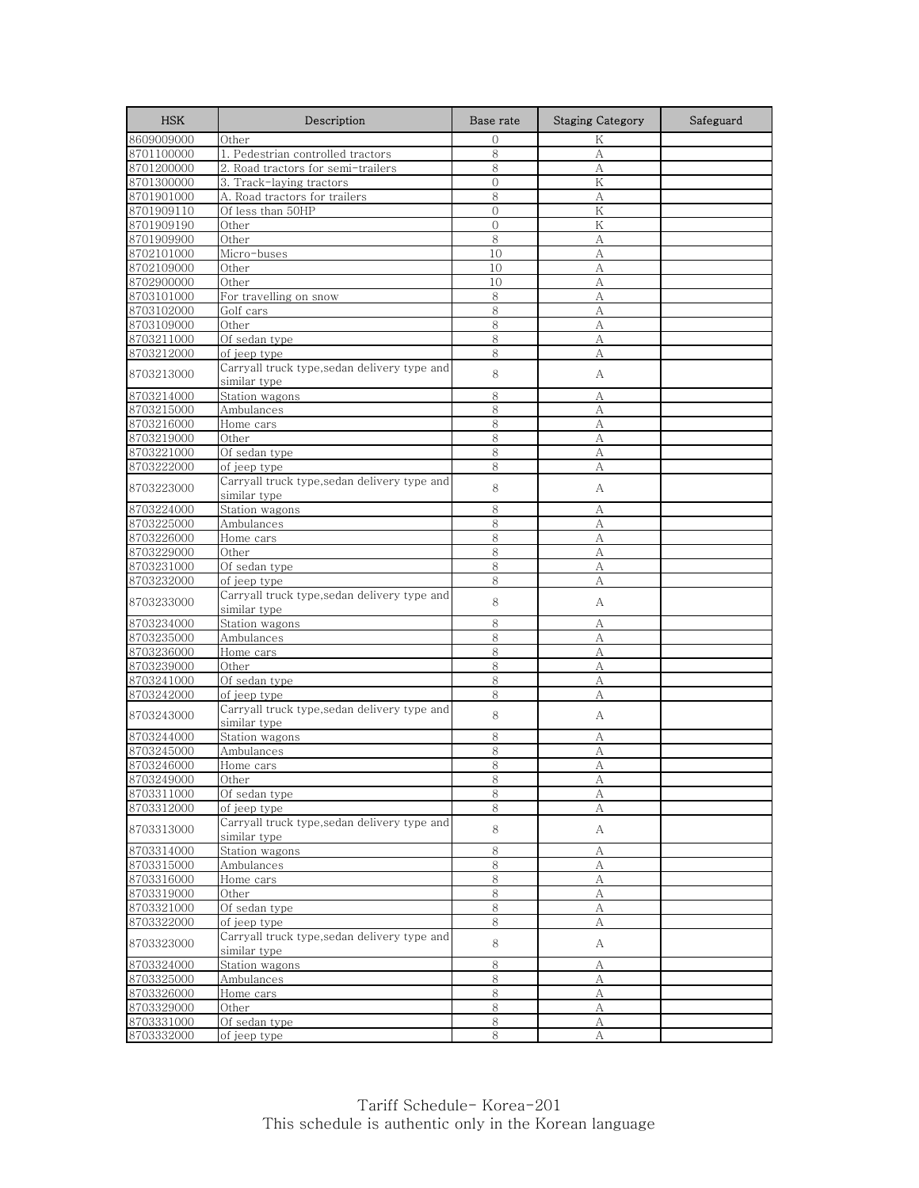| <b>HSK</b> | Description                                                  | Base rate      | <b>Staging Category</b> | Safeguard |
|------------|--------------------------------------------------------------|----------------|-------------------------|-----------|
| 8609009000 | Other                                                        | $\Omega$       | K                       |           |
| 8701100000 | 1. Pedestrian controlled tractors                            | 8              | А                       |           |
| 8701200000 | 2. Road tractors for semi-trailers                           | 8              | А                       |           |
| 8701300000 | 3. Track-laying tractors                                     | $\overline{0}$ | K                       |           |
| 8701901000 | A. Road tractors for trailers                                | 8              | А                       |           |
| 8701909110 | Of less than 50HP                                            | $\mathbf{0}$   | K                       |           |
| 8701909190 | Other                                                        | $\mathbf{0}$   | K                       |           |
| 8701909900 | Other                                                        | 8              | A                       |           |
| 8702101000 | Micro-buses                                                  | 10             | А                       |           |
| 8702109000 | Other                                                        | 10             | А                       |           |
| 8702900000 | Other                                                        | 10             | A                       |           |
| 8703101000 | For travelling on snow                                       | 8              | А                       |           |
| 8703102000 | Golf cars                                                    | 8              | A                       |           |
| 8703109000 | Other                                                        | 8              | A                       |           |
| 8703211000 | Of sedan type                                                | 8              | А                       |           |
| 8703212000 | of jeep type                                                 | 8              | A                       |           |
| 8703213000 | Carryall truck type, sedan delivery type and<br>similar type | 8              | А                       |           |
| 8703214000 | Station wagons                                               | 8              | А                       |           |
| 8703215000 | Ambulances                                                   | 8              | А                       |           |
| 8703216000 | Home cars                                                    | 8              | А                       |           |
| 8703219000 | Other                                                        | 8              | А                       |           |
| 8703221000 | Of sedan type                                                | 8              | A                       |           |
| 8703222000 | of jeep type                                                 | 8              | А                       |           |
|            | Carryall truck type,sedan delivery type and                  |                |                         |           |
| 8703223000 | similar type                                                 | 8              | А                       |           |
| 8703224000 | Station wagons                                               | 8              | A                       |           |
| 8703225000 | Ambulances                                                   | 8              | A                       |           |
| 8703226000 | Home cars                                                    | 8              | А                       |           |
| 8703229000 | Other                                                        | 8              | A                       |           |
| 8703231000 | Of sedan type                                                | 8              | А                       |           |
| 8703232000 | of jeep type                                                 | 8              | A                       |           |
| 8703233000 | Carryall truck type, sedan delivery type and<br>similar type | 8              | А                       |           |
| 8703234000 | Station wagons                                               | 8              | А                       |           |
| 8703235000 | Ambulances                                                   | 8              | А                       |           |
| 8703236000 | Home cars                                                    | 8              | А                       |           |
| 8703239000 | Other                                                        | 8              | A                       |           |
| 8703241000 | Of sedan type                                                | 8              | А                       |           |
| 8703242000 | of jeep type                                                 | 8              | А                       |           |
| 8703243000 | Carryall truck type,sedan delivery type and<br>similar type  | 8              | А                       |           |
| 8703244000 | Station wagons                                               | 8              | А                       |           |
| 8703245000 | Ambulances                                                   | 8              | A                       |           |
| 8703246000 | Home cars                                                    | 8              | А                       |           |
| 8703249000 | Other                                                        | ୪              | A                       |           |
| 8703311000 | Of sedan type                                                | 8              | А                       |           |
| 8703312000 | of jeep type                                                 | 8              | А                       |           |
| 8703313000 | Carryall truck type, sedan delivery type and<br>similar type | 8              | А                       |           |
| 8703314000 | Station wagons                                               | 8              | А                       |           |
| 8703315000 | Ambulances                                                   | 8              | А                       |           |
| 8703316000 | Home cars                                                    |                |                         |           |
|            |                                                              | 8              | А                       |           |
| 8703319000 | Other                                                        | 8              | $\boldsymbol{A}$        |           |
| 8703321000 | Of sedan type                                                | 8<br>8         | А                       |           |
| 8703322000 | of jeep type                                                 |                | А                       |           |
| 8703323000 | Carryall truck type, sedan delivery type and<br>similar type | 8              | A                       |           |
| 8703324000 | Station wagons                                               | $8\,$          | А                       |           |
| 8703325000 | <b>Ambulances</b>                                            | 8              | А                       |           |
| 8703326000 | Home cars                                                    | 8              | A                       |           |
| 8703329000 | Other                                                        | 8              | A                       |           |
| 8703331000 | Of sedan type                                                | $8\,$          | А                       |           |
| 8703332000 | of jeep type                                                 | 8              | А                       |           |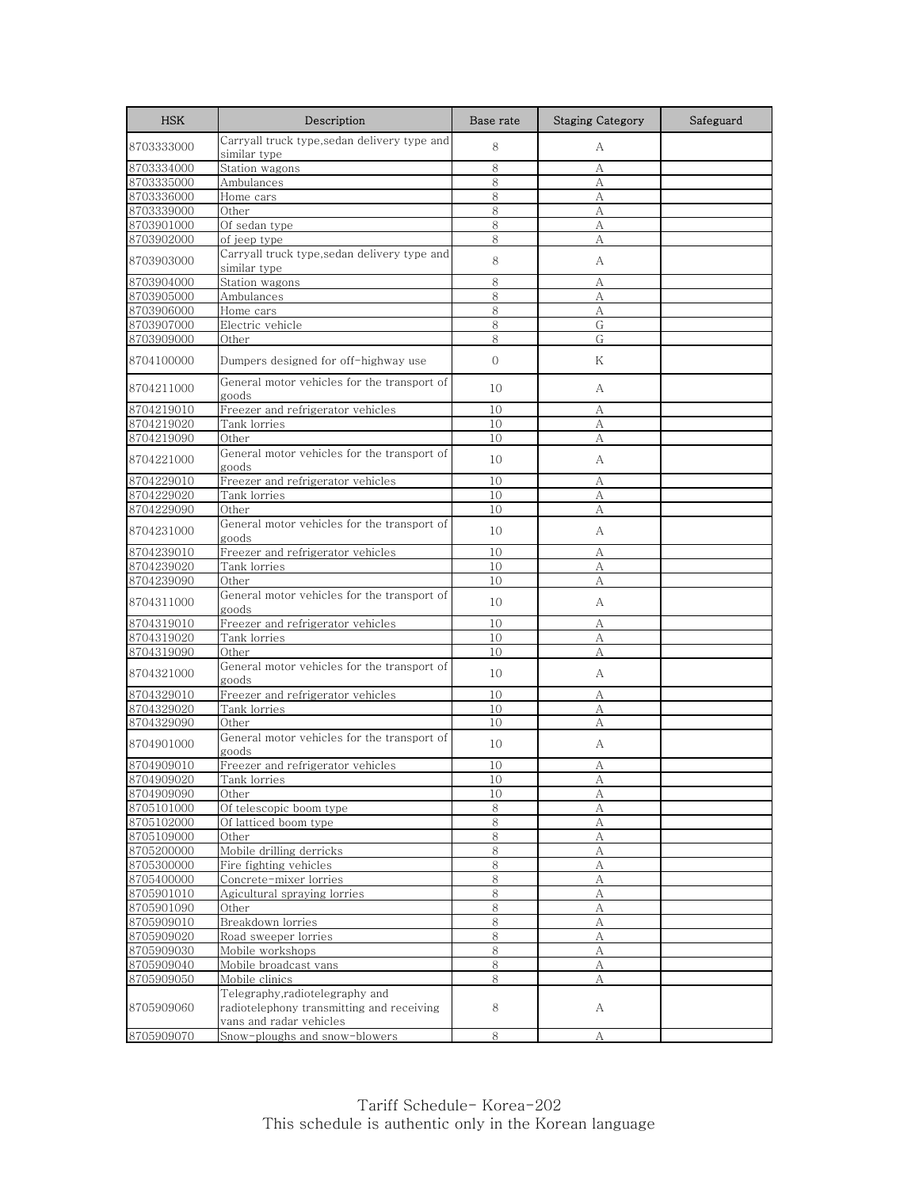| <b>HSK</b> | Description                                                                                             | Base rate     | <b>Staging Category</b> | Safeguard |
|------------|---------------------------------------------------------------------------------------------------------|---------------|-------------------------|-----------|
| 8703333000 | Carryall truck type, sedan delivery type and<br>similar type                                            | 8             | A                       |           |
| 8703334000 | Station wagons                                                                                          | 8             | А                       |           |
| 8703335000 | Ambulances                                                                                              | 8             | А                       |           |
| 8703336000 | Home cars                                                                                               | 8             | А                       |           |
| 8703339000 | Other                                                                                                   | 8             | А                       |           |
| 8703901000 | Of sedan type                                                                                           | 8             | A                       |           |
| 8703902000 | of jeep type                                                                                            | 8             | А                       |           |
| 8703903000 | Carryall truck type, sedan delivery type and<br>similar type                                            | 8             | А                       |           |
| 8703904000 | Station wagons                                                                                          | 8             | А                       |           |
| 8703905000 | Ambulances                                                                                              | 8             | А                       |           |
| 8703906000 | Home cars                                                                                               | 8             | A                       |           |
| 8703907000 | Electric vehicle                                                                                        | 8             | G                       |           |
| 8703909000 | Other                                                                                                   | 8             | G                       |           |
| 8704100000 | Dumpers designed for off-highway use                                                                    | $\mathcal{O}$ | Κ                       |           |
| 8704211000 | General motor vehicles for the transport of<br>goods                                                    | 10            | А                       |           |
| 8704219010 | Freezer and refrigerator vehicles                                                                       | 10            | А                       |           |
| 8704219020 | Tank lorries                                                                                            | 10            | А                       |           |
| 8704219090 | Other                                                                                                   | 10            | А                       |           |
| 8704221000 | General motor vehicles for the transport of<br>goods                                                    | 10            | А                       |           |
| 8704229010 | Freezer and refrigerator vehicles                                                                       | 10            | А                       |           |
| 8704229020 | Tank lorries                                                                                            | 10            | А                       |           |
| 8704229090 | Other                                                                                                   | 10            | А                       |           |
| 8704231000 | General motor vehicles for the transport of<br>goods                                                    | 10            | А                       |           |
| 8704239010 | Freezer and refrigerator vehicles                                                                       | 10            | А                       |           |
| 8704239020 | Tank lorries                                                                                            | 10            | А                       |           |
| 8704239090 | Other                                                                                                   | 10            | А                       |           |
| 8704311000 | General motor vehicles for the transport of<br>goods                                                    | 10            | А                       |           |
| 8704319010 | Freezer and refrigerator vehicles                                                                       | 10            | А                       |           |
| 8704319020 | Tank lorries                                                                                            | 10            | А                       |           |
| 8704319090 | Other                                                                                                   | 10            | А                       |           |
| 8704321000 | General motor vehicles for the transport of<br>goods                                                    | 10            | А                       |           |
| 8704329010 | Freezer and refrigerator vehicles                                                                       | 10            | А                       |           |
| 8704329020 | Tank lorries                                                                                            | 10            | А                       |           |
| 8704329090 | Other                                                                                                   | 10            | A                       |           |
| 8704901000 | General motor vehicles for the transport of<br>goods                                                    | 10            | А                       |           |
| 8704909010 | Freezer and refrigerator vehicles                                                                       | 10            | А                       |           |
| 8704909020 | <u>l'ank lorries</u>                                                                                    | ΙU            | A                       |           |
| 8704909090 | Other                                                                                                   | 10            | А                       |           |
| 8705101000 | Of telescopic boom type                                                                                 | 8             | А                       |           |
| 8705102000 | Of latticed boom type                                                                                   | 8             | A                       |           |
| 8705109000 | Other                                                                                                   | 8             | А                       |           |
| 8705200000 | Mobile drilling derricks                                                                                | 8             | А                       |           |
| 8705300000 | Fire fighting vehicles                                                                                  | 8             | А                       |           |
| 8705400000 | Concrete-mixer lorries                                                                                  | 8             | А                       |           |
| 8705901010 | Agicultural spraying lorries                                                                            | 8             | $\mathbf{A}$            |           |
| 8705901090 | Other                                                                                                   | 8             | А                       |           |
| 8705909010 | Breakdown lorries                                                                                       | 8             | А                       |           |
| 8705909020 | Road sweeper lorries                                                                                    | 8             | A                       |           |
| 8705909030 | Mobile workshops                                                                                        | 8             | А                       |           |
| 8705909040 | Mobile broadcast vans                                                                                   | 8             | А                       |           |
| 8705909050 | Mobile clinics                                                                                          | 8             | А                       |           |
| 8705909060 | Telegraphy, radiotelegraphy and<br>radiotelephony transmitting and receiving<br>vans and radar vehicles | 8             | А                       |           |
| 8705909070 | Snow-ploughs and snow-blowers                                                                           | 8             | А                       |           |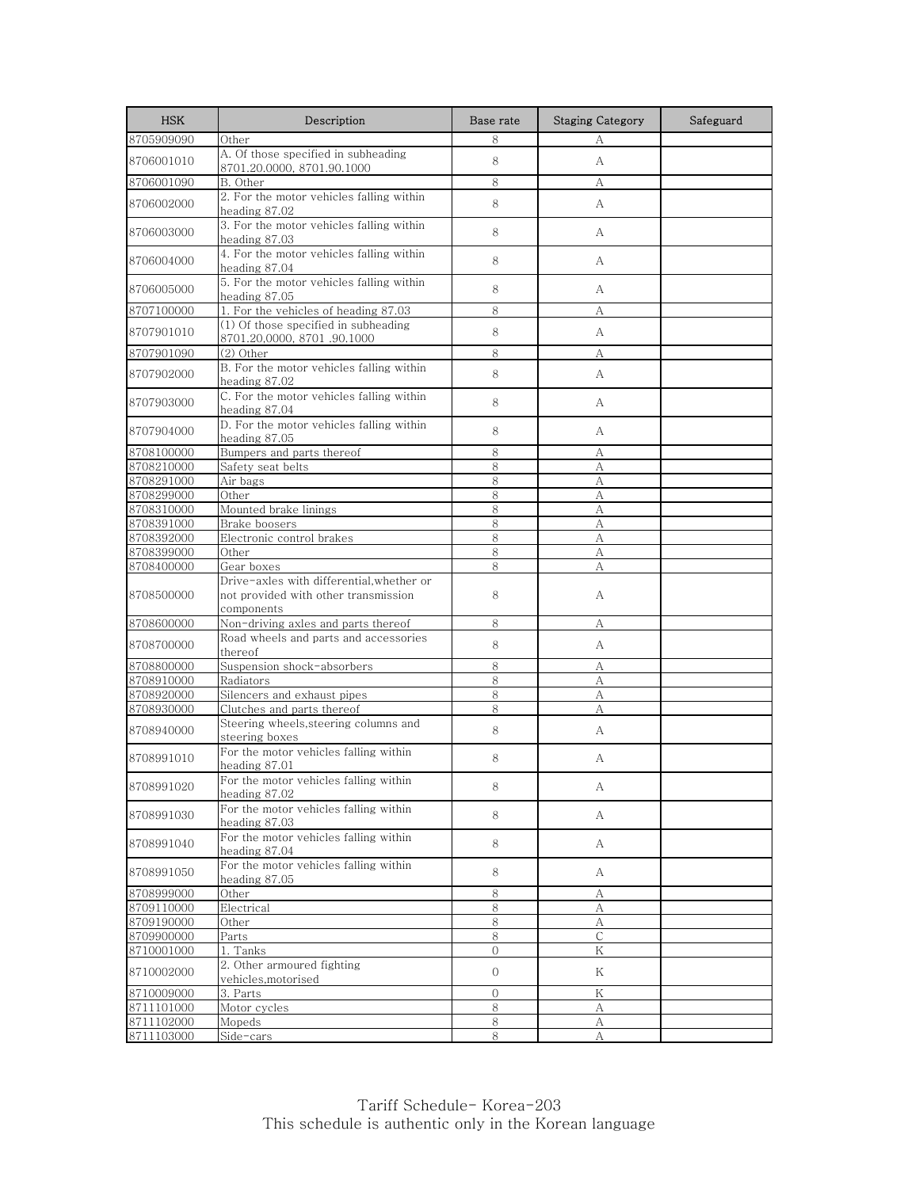| <b>HSK</b>               | Description                                                                                     | Base rate      | <b>Staging Category</b> | Safeguard |
|--------------------------|-------------------------------------------------------------------------------------------------|----------------|-------------------------|-----------|
| 8705909090               | Other                                                                                           | 8              | А                       |           |
| 8706001010               | A. Of those specified in subheading<br>8701.20.0000, 8701.90.1000                               | 8              | A                       |           |
| 8706001090               | B. Other                                                                                        | 8              | А                       |           |
| 8706002000               | 2. For the motor vehicles falling within<br>heading 87.02                                       | 8              | A                       |           |
| 8706003000               | 3. For the motor vehicles falling within<br>heading 87.03                                       | 8              | A                       |           |
| 8706004000               | 4. For the motor vehicles falling within<br>heading 87.04                                       | 8              | A                       |           |
| 8706005000               | 5. For the motor vehicles falling within<br>heading 87.05                                       | 8              | А                       |           |
| 8707100000               | 1. For the vehicles of heading 87.03                                                            | 8              | А                       |           |
| 8707901010               | (1) Of those specified in subheading<br>8701.20,0000, 8701.90.1000                              | 8              | A                       |           |
| 8707901090               | $(2)$ Other                                                                                     | 8              | А                       |           |
| 8707902000               | B. For the motor vehicles falling within<br>heading 87.02                                       | 8              | A                       |           |
| 8707903000               | C. For the motor vehicles falling within<br>heading 87.04                                       | 8              | A                       |           |
| 8707904000               | D. For the motor vehicles falling within<br>heading 87.05                                       | 8              | A                       |           |
| 8708100000               | Bumpers and parts thereof                                                                       | 8              | А                       |           |
| 8708210000               | Safety seat belts                                                                               | 8              | А                       |           |
| 8708291000               | Air bags                                                                                        | 8              | A                       |           |
| 8708299000               | Other                                                                                           | 8              | А                       |           |
| 8708310000               | Mounted brake linings                                                                           | 8              | А                       |           |
| 8708391000               | Brake boosers<br>Electronic control brakes                                                      | 8              | A                       |           |
| 8708392000<br>8708399000 | Other                                                                                           | 8<br>8         | А<br>A                  |           |
| 8708400000               | Gear boxes                                                                                      | 8              | А                       |           |
| 8708500000               | Drive-axles with differential, whether or<br>not provided with other transmission<br>components | 8              | А                       |           |
| 8708600000               | Non-driving axles and parts thereof                                                             | 8              | А                       |           |
| 8708700000               | Road wheels and parts and accessories<br>thereof                                                | 8              | A                       |           |
| 8708800000               | Suspension shock-absorbers                                                                      | 8              | А                       |           |
| 8708910000               | Radiators                                                                                       | 8              | А                       |           |
| 8708920000               | Silencers and exhaust pipes                                                                     | 8              | А                       |           |
| 8708930000               | Clutches and parts thereof                                                                      | 8              | А                       |           |
| 8708940000               | Steering wheels, steering columns and<br>steering boxes                                         | 8              | А                       |           |
| 8708991010               | For the motor vehicles falling within<br>heading 87.01                                          | 8              | А                       |           |
| 8708991020               | For the motor vehicles falling within<br>heading 87.02                                          | 8              | А                       |           |
| 8708991030               | For the motor vehicles falling within<br>heading 87.03                                          | 8              | A                       |           |
| 8708991040               | For the motor vehicles falling within<br>heading 87.04                                          | 8              | A                       |           |
| 8708991050               | For the motor vehicles falling within<br>heading 87.05                                          | 8              | A                       |           |
| 8708999000               | Other                                                                                           | 8              | А                       |           |
| 8709110000               | Electrical                                                                                      | 8              | А                       |           |
| 8709190000               | Other                                                                                           | 8              | А                       |           |
| 8709900000               | Parts                                                                                           | 8              | $\mathsf C$             |           |
| 8710001000               | 1. Tanks                                                                                        | 0              | Κ                       |           |
| 8710002000               | 2. Other armoured fighting<br>vehicles, motorised                                               | 0              | Κ                       |           |
| 8710009000               | 3. Parts                                                                                        | $\overline{0}$ | K                       |           |
| 8711101000               | Motor cycles                                                                                    | 8              | А                       |           |
| 8711102000               | Mopeds                                                                                          | 8              | А                       |           |
| 8711103000               | Side-cars                                                                                       | 8              | А                       |           |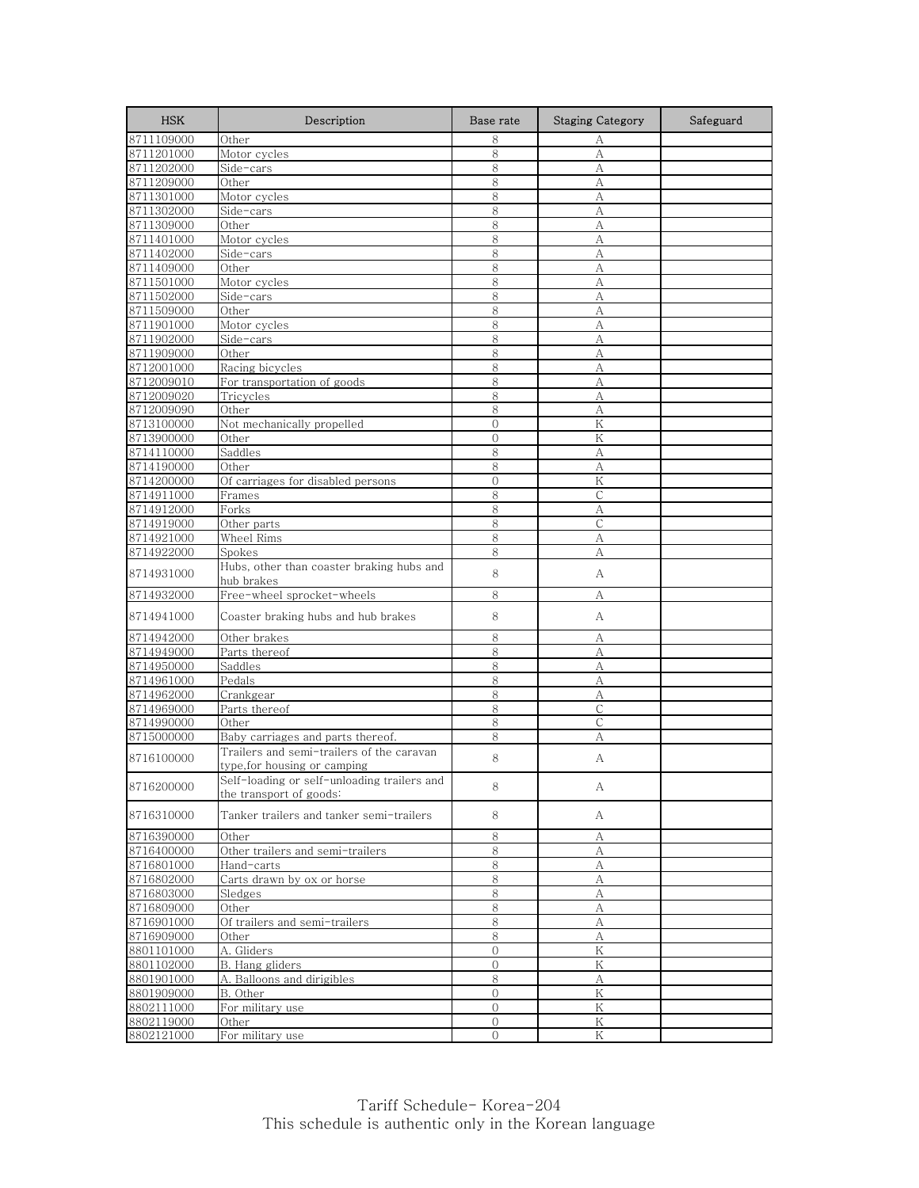| <b>HSK</b>               | Description                                                              | Base rate      | <b>Staging Category</b> | Safeguard |
|--------------------------|--------------------------------------------------------------------------|----------------|-------------------------|-----------|
| 8711109000               | Other                                                                    | 8              | А                       |           |
| 8711201000               | Motor cycles                                                             | 8              | А                       |           |
| 8711202000               | Side-cars                                                                | 8              | А                       |           |
| 8711209000               | Other                                                                    | 8              | А                       |           |
| 8711301000               | Motor cycles                                                             | 8              | А                       |           |
| 8711302000               | Side-cars                                                                | 8              | А                       |           |
| 8711309000               | Other                                                                    | 8              | A                       |           |
| 8711401000               | Motor cycles                                                             | 8              | А                       |           |
| 8711402000               | Side-cars                                                                | 8              | А                       |           |
| 8711409000               | Other                                                                    | 8              | А                       |           |
| 8711501000               | Motor cycles                                                             | 8              | А                       |           |
| 8711502000               | Side-cars                                                                | 8              | А                       |           |
| 8711509000               | Other                                                                    | 8              | A                       |           |
| 8711901000               | Motor cycles                                                             | 8              | А                       |           |
| 8711902000               | Side-cars                                                                | 8              | А                       |           |
| 8711909000               | Other<br>Racing bicycles                                                 | 8<br>8         | A                       |           |
| 8712001000               |                                                                          | 8              | А                       |           |
| 8712009010<br>8712009020 | For transportation of goods<br>Tricycles                                 | 8              | А<br>А                  |           |
| 8712009090               | Other                                                                    | 8              | А                       |           |
| 8713100000               | Not mechanically propelled                                               | $\overline{0}$ | K                       |           |
| 8713900000               | Other                                                                    | $\mathbf{0}$   | K                       |           |
| 8714110000               | Saddles                                                                  | 8              | A                       |           |
| 8714190000               | Other                                                                    | 8              | А                       |           |
| 8714200000               | Of carriages for disabled persons                                        | $\overline{0}$ | K                       |           |
| 8714911000               | Frames                                                                   | 8              | $\mathsf{C}$            |           |
| 8714912000               | Forks                                                                    | 8              | А                       |           |
| 8714919000               | Other parts                                                              | 8              | $\mathsf{C}$            |           |
| 8714921000               | Wheel Rims                                                               | 8              | А                       |           |
| 8714922000               | Spokes                                                                   | 8              | А                       |           |
| 8714931000               | Hubs, other than coaster braking hubs and<br>hub brakes                  | 8              | А                       |           |
| 8714932000               | Free-wheel sprocket-wheels                                               | 8              | А                       |           |
| 8714941000               | Coaster braking hubs and hub brakes                                      | 8              | А                       |           |
| 8714942000               | Other brakes                                                             | 8              | А                       |           |
| 8714949000               | Parts thereof                                                            | 8              | А                       |           |
| 8714950000               | Saddles                                                                  | 8              | А                       |           |
| 8714961000               | Pedals                                                                   | 8              | А                       |           |
| 8714962000               | Crankgear                                                                | 8              | А                       |           |
| 8714969000               | Parts thereof                                                            | 8              | C                       |           |
| 8714990000               | Other                                                                    | 8              | $\mathcal{C}$           |           |
| 8715000000               | Baby carriages and parts thereof.                                        | 8              | А                       |           |
| 8716100000               | Trailers and semi-trailers of the caravan<br>type,for housing or camping | 8              | А                       |           |
| 8716200000               | Self-loading or self-unloading trailers and<br>the transport of goods:   | 8              | A                       |           |
| 8716310000               | Tanker trailers and tanker semi-trailers                                 | 8              | А                       |           |
| 8716390000               | Other                                                                    | 8              | А                       |           |
| 8716400000               | Other trailers and semi-trailers                                         | 8              | А                       |           |
| 8716801000               | Hand-carts                                                               | 8              | А                       |           |
| 8716802000               | Carts drawn by ox or horse                                               | $8\,$          | А                       |           |
| 8716803000               | Sledges                                                                  | 8              | A                       |           |
| 8716809000               | Other                                                                    | 8              | А                       |           |
| 8716901000               | Of trailers and semi-trailers                                            | 8              | А                       |           |
| 8716909000               | Other                                                                    | 8              | А                       |           |
| 8801101000               | A. Gliders                                                               | $\mathbf{0}$   | K                       |           |
| 8801102000               | B. Hang gliders                                                          | $\overline{0}$ | $\rm K$                 |           |
| 8801901000               | A. Balloons and dirigibles                                               | 8              | А                       |           |
| 8801909000               | B. Other                                                                 | $\Omega$       | K                       |           |
| 8802111000               | For military use                                                         | 0              | Κ                       |           |
| 8802119000<br>8802121000 | Other<br>For military use                                                | $\mathbf{O}$   | K<br>K                  |           |
|                          |                                                                          | $\Omega$       |                         |           |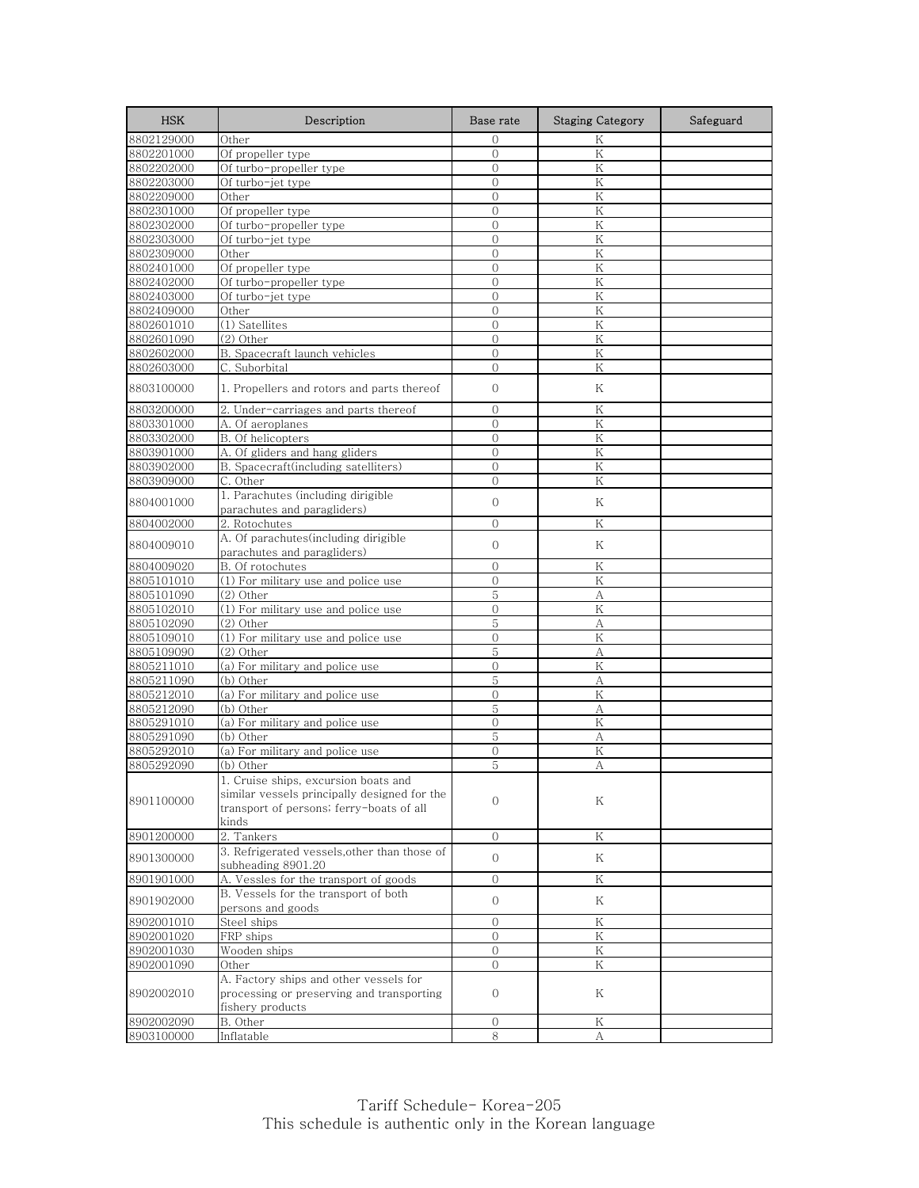| <b>HSK</b> | Description                                                                                                                               | Base rate           | <b>Staging Category</b> | Safeguard |
|------------|-------------------------------------------------------------------------------------------------------------------------------------------|---------------------|-------------------------|-----------|
| 8802129000 | Other                                                                                                                                     | $\Omega$            | K                       |           |
| 8802201000 | Of propeller type                                                                                                                         | $\overline{O}$      | K                       |           |
| 8802202000 | Of turbo-propeller type                                                                                                                   | $\overline{0}$      | Κ                       |           |
| 8802203000 | Of turbo-jet type                                                                                                                         | $\Omega$            | K                       |           |
| 8802209000 | Other                                                                                                                                     | $\mathbf{0}$        | Κ                       |           |
| 8802301000 | Of propeller type                                                                                                                         | $\mathbf{0}$        | $\rm K$                 |           |
| 8802302000 | Of turbo-propeller type                                                                                                                   | $\overline{0}$      | K                       |           |
| 8802303000 | Of turbo-jet type                                                                                                                         | $\overline{0}$      | K                       |           |
| 8802309000 | Other                                                                                                                                     | $\mathbf{0}$        | K                       |           |
| 8802401000 | Of propeller type                                                                                                                         | $\overline{0}$      | K                       |           |
| 8802402000 | Of turbo-propeller type                                                                                                                   | $\overline{0}$      | K                       |           |
| 8802403000 | Of turbo-jet type                                                                                                                         | $\mathbf{0}$        | K                       |           |
| 8802409000 | Other                                                                                                                                     | $\overline{0}$      | K                       |           |
| 8802601010 | (1) Satellites                                                                                                                            | $\overline{O}$      | K                       |           |
| 8802601090 | (2) Other                                                                                                                                 | $\overline{0}$      | K                       |           |
| 8802602000 | B. Spacecraft launch vehicles                                                                                                             | $\overline{0}$      | K                       |           |
| 8802603000 | C. Suborbital                                                                                                                             | $\mathbf{0}$        | Κ                       |           |
| 8803100000 | 1. Propellers and rotors and parts thereof                                                                                                | $\theta$            | Κ                       |           |
| 8803200000 | 2. Under-carriages and parts thereof                                                                                                      | $\overline{0}$      | K                       |           |
| 8803301000 | A. Of aeroplanes                                                                                                                          | $\Omega$            | K                       |           |
| 8803302000 | B. Of helicopters                                                                                                                         |                     | K                       |           |
| 8803901000 | A. Of gliders and hang gliders                                                                                                            | 0<br>$\overline{0}$ | K                       |           |
|            | B. Spacecraft(including satelliters)                                                                                                      |                     |                         |           |
| 8803902000 |                                                                                                                                           | $\mathbf{0}$        | K                       |           |
| 8803909000 | C. Other                                                                                                                                  | $\mathbf{0}$        | K                       |           |
| 8804001000 | 1. Parachutes (including dirigible<br>parachutes and paragliders)                                                                         | $\mathbf{0}$        | K                       |           |
| 8804002000 | 2. Rotochutes                                                                                                                             | $\overline{0}$      | K                       |           |
| 8804009010 | A. Of parachutes(including dirigible<br>parachutes and paragliders)                                                                       | $\mathbf{0}$        | Κ                       |           |
| 8804009020 | B. Of rotochutes                                                                                                                          | $\mathbf{0}$        | Κ                       |           |
| 8805101010 | (1) For military use and police use                                                                                                       | $\mathbf{0}$        | $\rm K$                 |           |
| 8805101090 | (2) Other                                                                                                                                 | 5                   | A                       |           |
| 8805102010 | (1) For military use and police use                                                                                                       | $\mathbf{O}$        | K                       |           |
| 8805102090 | (2) Other                                                                                                                                 | 5                   | A                       |           |
| 8805109010 | (1) For military use and police use                                                                                                       | $\mathbf{0}$        | Κ                       |           |
| 8805109090 | (2) Other                                                                                                                                 | 5                   | А                       |           |
| 8805211010 | (a) For military and police use                                                                                                           | $\mathbf{0}$        | K                       |           |
|            |                                                                                                                                           | 5                   |                         |           |
| 8805211090 | (b) Other                                                                                                                                 |                     | А                       |           |
| 8805212010 | (a) For military and police use                                                                                                           | $\mathbf{0}$        | Κ                       |           |
| 8805212090 | (b) Other                                                                                                                                 | 5                   | А                       |           |
| 8805291010 | (a) For military and police use                                                                                                           | $\mathbf{0}$        | $\rm K$                 |           |
| 8805291090 | (b) Other                                                                                                                                 | 5                   | А                       |           |
| 8805292010 | (a) For military and police use                                                                                                           | $\mathbf{0}$        | K                       |           |
| 8805292090 | (b) Other                                                                                                                                 | 5                   | А                       |           |
| 8901100000 | 1. Cruise ships, excursion boats and<br>similar vessels principally designed for the<br>transport of persons; ferry-boats of all<br>kinds | $\Omega$            | Κ                       |           |
| 8901200000 | 2. Tankers                                                                                                                                | $\mathcal{O}$       | Κ                       |           |
| 8901300000 | 3. Refrigerated vessels, other than those of<br>subheading 8901.20                                                                        | $\Omega$            | Κ                       |           |
| 8901901000 | A. Vessles for the transport of goods                                                                                                     | 0                   | Κ                       |           |
| 8901902000 | B. Vessels for the transport of both                                                                                                      | 0                   | Κ                       |           |
|            | persons and goods                                                                                                                         |                     |                         |           |
| 8902001010 | Steel ships                                                                                                                               | $\mathbf{O}$        | Κ                       |           |
| 8902001020 | FRP ships                                                                                                                                 | $\Omega$            | Κ                       |           |
| 8902001030 | Wooden ships                                                                                                                              | $\overline{0}$      | Κ                       |           |
| 8902001090 | Other                                                                                                                                     | $\overline{0}$      | Κ                       |           |
| 8902002010 | A. Factory ships and other vessels for<br>processing or preserving and transporting<br>fishery products                                   | $\mathbf{0}$        | Κ                       |           |
| 8902002090 | B. Other                                                                                                                                  | $\overline{0}$      | Κ                       |           |
| 8903100000 | Inflatable                                                                                                                                | 8                   | А                       |           |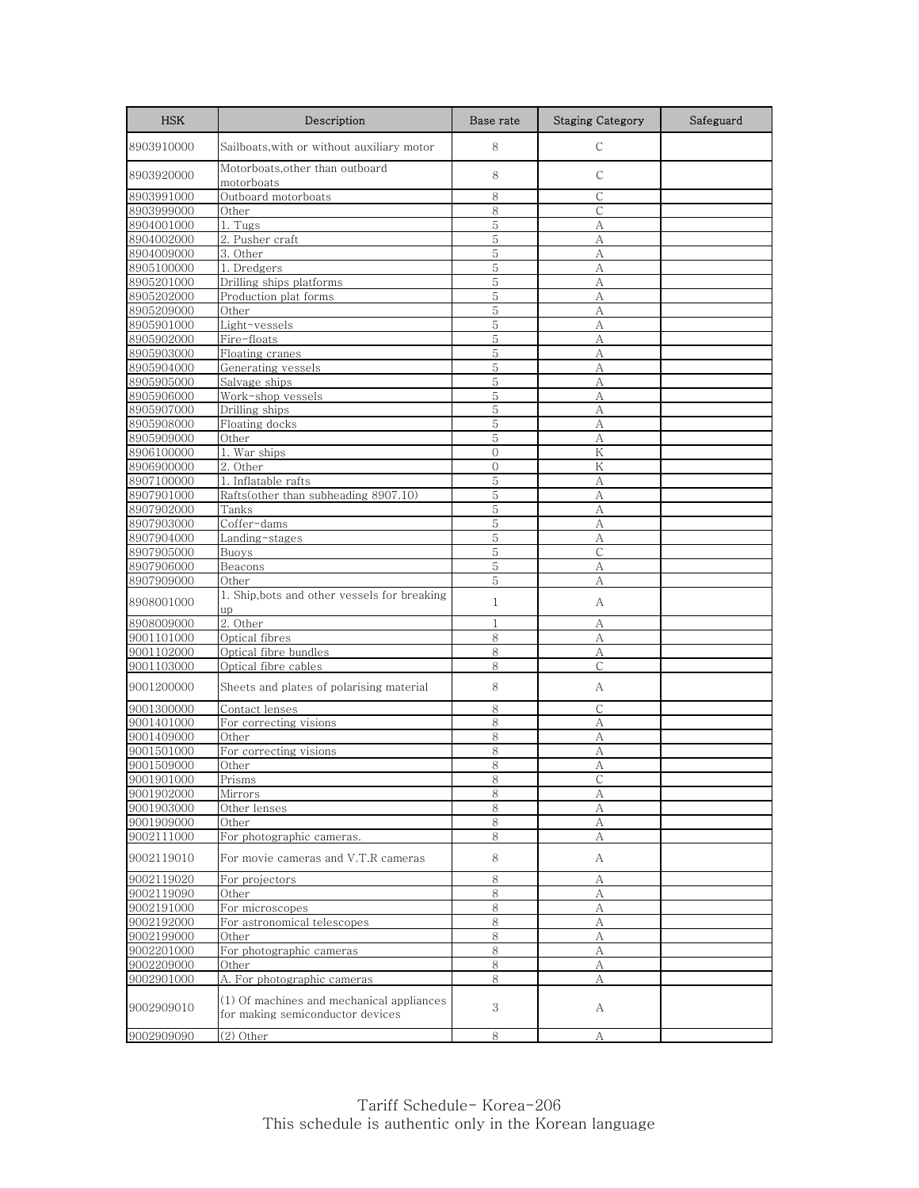| <b>HSK</b>               | Description                                                                                                  | Base rate    | <b>Staging Category</b> | Safeguard |
|--------------------------|--------------------------------------------------------------------------------------------------------------|--------------|-------------------------|-----------|
| 8903910000               | Sailboats, with or without auxiliary motor                                                                   | 8            | $\mathsf{C}$            |           |
| 8903920000               | Motorboats, other than outboard<br>motorboats                                                                | 8            | $\mathsf{C}$            |           |
| 8903991000               | Outboard motorboats                                                                                          | 8            | С                       |           |
| 8903999000               | Other                                                                                                        | 8            | C                       |           |
| 8904001000               | $\overline{1}$ . Tugs                                                                                        | 5            | А                       |           |
| 8904002000               | 2. Pusher craft                                                                                              | 5            | А                       |           |
| 8904009000               | 3. Other                                                                                                     | 5            | A                       |           |
| 8905100000               | $\overline{1.}$ Dredgers                                                                                     | 5            | A                       |           |
| 8905201000               | Drilling ships platforms                                                                                     | 5            | A                       |           |
| 8905202000               | Production plat forms                                                                                        | 5            | А                       |           |
| 8905209000               | Other                                                                                                        | 5            | A                       |           |
| 8905901000               | Light-vessels                                                                                                | 5            | A                       |           |
| 8905902000               | Fire-floats                                                                                                  | 5            | А                       |           |
| 8905903000               | Floating cranes                                                                                              | 5            | A                       |           |
| 8905904000               | Generating vessels                                                                                           | 5<br>5       | А                       |           |
| 8905905000<br>8905906000 | Salvage ships<br>Work-shop vessels                                                                           | 5            | А<br>A                  |           |
| 8905907000               | Drilling ships                                                                                               | 5            | А                       |           |
| 8905908000               | Floating docks                                                                                               | 5            | A                       |           |
| 8905909000               | Other                                                                                                        | 5            | А                       |           |
| 8906100000               | 1. War ships                                                                                                 | $\mathbf{0}$ | $\rm K$                 |           |
| 8906900000               | 2. Other                                                                                                     | $\mathbf{0}$ | Κ                       |           |
| 8907100000               | 1. Inflatable rafts                                                                                          | 5            | A                       |           |
| 8907901000               | Rafts(other than subheading 8907.10)                                                                         | 5            | А                       |           |
| 8907902000               | Tanks                                                                                                        | 5            | A                       |           |
| 8907903000               | Coffer-dams                                                                                                  | 5            | A                       |           |
| 8907904000               | Landing-stages                                                                                               | 5            | А                       |           |
| 8907905000               | Buoys                                                                                                        | 5            | $\mathsf{C}$            |           |
| 8907906000               | Beacons                                                                                                      | 5            | А                       |           |
| 8907909000               | Other                                                                                                        | 5            | A                       |           |
| 8908001000               | 1. Ship, bots and other vessels for breaking<br>up                                                           | $\mathbf{1}$ | А                       |           |
| 8908009000               | $2.$ Other                                                                                                   | $\mathbf{1}$ | А                       |           |
| 9001101000               | Optical fibres                                                                                               | 8            | А                       |           |
| 9001102000               | Optical fibre bundles                                                                                        | 8            | А                       |           |
| 9001103000               | Optical fibre cables                                                                                         | 8            | $\mathsf{C}$            |           |
| 9001200000               | Sheets and plates of polarising material                                                                     | 8            | А                       |           |
| 9001300000               | Contact lenses                                                                                               | 8            | С                       |           |
| 9001401000               | For correcting visions                                                                                       | 8            | A                       |           |
| 9001409000               | Other                                                                                                        | 8            | А                       |           |
| 9001501000               | For correcting visions                                                                                       | 8            | A                       |           |
| 9001509000               | Other                                                                                                        | 8            | А                       |           |
| 9001901000               | Prisms                                                                                                       | ୪            |                         |           |
| 9001902000               | Mirrors                                                                                                      | 8            | А                       |           |
| 9001903000               | Other lenses                                                                                                 | 8            | А                       |           |
| 9001909000               | Other                                                                                                        | $8\,$        | $\boldsymbol{A}$        |           |
| 9002111000               | For photographic cameras.                                                                                    | $\,8\,$      | А                       |           |
| 9002119010               | For movie cameras and V.T.R cameras                                                                          | 8            | A                       |           |
| 9002119020               | For projectors                                                                                               | 8            | А                       |           |
| 9002119090               | Other                                                                                                        | 8            | A                       |           |
| 9002191000               | For microscopes                                                                                              | 8            | А                       |           |
| 9002192000               | For astronomical telescopes                                                                                  | 8            | А                       |           |
| 9002199000               | Other                                                                                                        | 8            | А                       |           |
| 9002201000               | For photographic cameras                                                                                     | 8            | A                       |           |
| 9002209000               | Other                                                                                                        | 8            | А                       |           |
| 9002901000<br>9002909010 | A. For photographic cameras<br>(1) Of machines and mechanical appliances<br>for making semiconductor devices | 8<br>3       | А<br>А                  |           |
| 9002909090               | (2) Other                                                                                                    | 8            | А                       |           |
|                          |                                                                                                              |              |                         |           |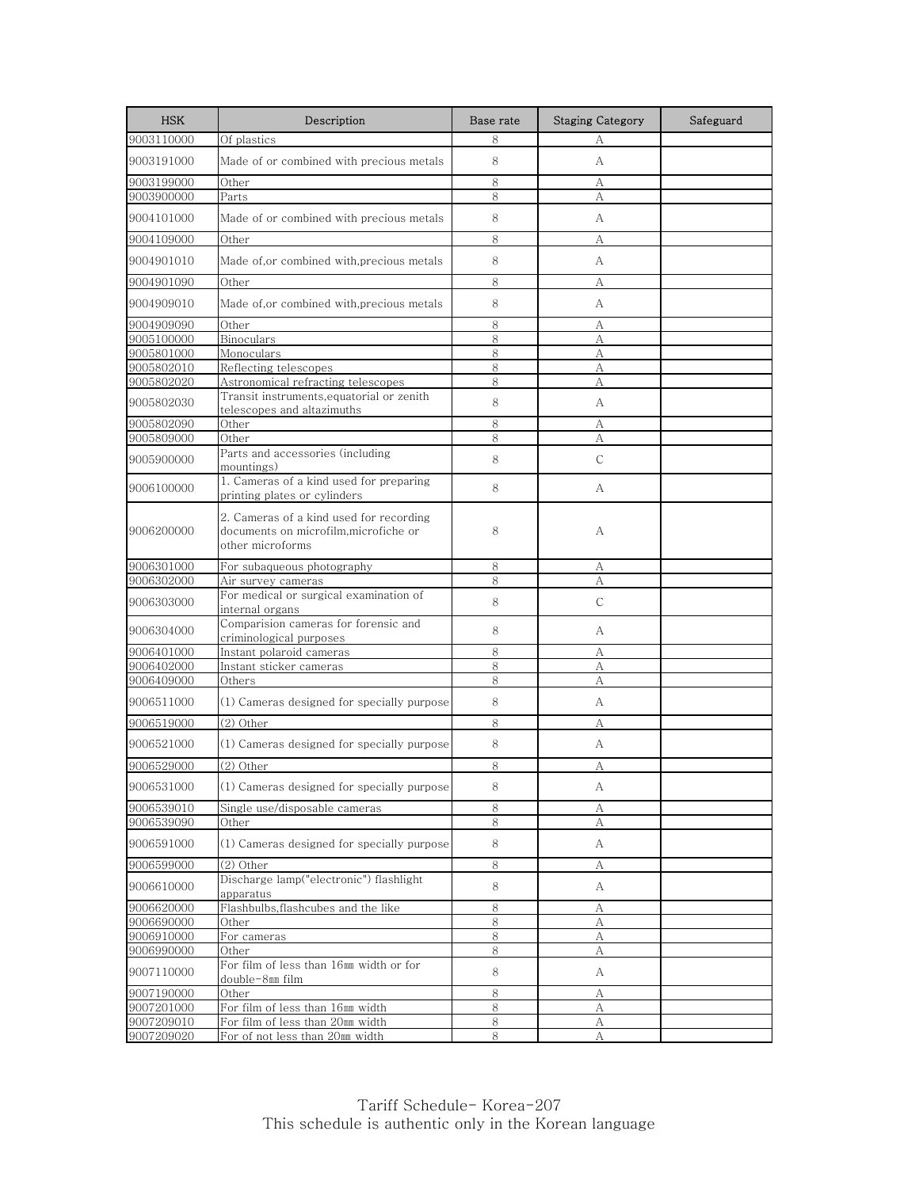| <b>HSK</b>               | Description                                                                                          | Base rate | <b>Staging Category</b> | Safeguard |
|--------------------------|------------------------------------------------------------------------------------------------------|-----------|-------------------------|-----------|
| 9003110000               | Of plastics                                                                                          | 8         | А                       |           |
| 9003191000               | Made of or combined with precious metals                                                             | 8         | А                       |           |
| 9003199000               | Other                                                                                                | 8         | А                       |           |
| 9003900000               | Parts                                                                                                | 8         | А                       |           |
| 9004101000               | Made of or combined with precious metals                                                             | 8         | А                       |           |
| 9004109000               | Other                                                                                                | 8         | А                       |           |
| 9004901010               | Made of,or combined with,precious metals                                                             | 8         | А                       |           |
| 9004901090               | Other                                                                                                | 8         | А                       |           |
| 9004909010               | Made of,or combined with,precious metals                                                             | 8         | А                       |           |
| 9004909090               | Other                                                                                                | 8         | А                       |           |
| 9005100000               | <b>Binoculars</b>                                                                                    | 8         | A                       |           |
| 9005801000               | Monoculars                                                                                           | 8         | А                       |           |
| 9005802010               | Reflecting telescopes                                                                                | 8         | А                       |           |
| 9005802020               | Astronomical refracting telescopes                                                                   | 8         | A                       |           |
| 9005802030               | Transit instruments,equatorial or zenith<br>telescopes and altazimuths                               | 8         | A                       |           |
| 9005802090               | Other                                                                                                | 8         | А                       |           |
| 9005809000               | Other                                                                                                | 8         | А                       |           |
| 9005900000               | Parts and accessories (including<br>mountings)                                                       | 8         | $\mathsf{C}$            |           |
| 9006100000               | 1. Cameras of a kind used for preparing<br>printing plates or cylinders                              | 8         | А                       |           |
| 9006200000               | 2. Cameras of a kind used for recording<br>documents on microfilm, microfiche or<br>other microforms | 8         | А                       |           |
| 9006301000               | For subaqueous photography                                                                           | 8         | А                       |           |
| 9006302000               | Air survey cameras                                                                                   | 8         | A                       |           |
| 9006303000               | For medical or surgical examination of<br>internal organs                                            | 8         | С                       |           |
| 9006304000               | Comparision cameras for forensic and<br>criminological purposes                                      | 8         | A                       |           |
| 9006401000               | Instant polaroid cameras                                                                             | 8         | А                       |           |
| 9006402000               | Instant sticker cameras                                                                              | 8         | А                       |           |
| 9006409000               | Others                                                                                               | 8         | А                       |           |
| 9006511000               | (1) Cameras designed for specially purpose                                                           | 8         | А                       |           |
| 9006519000               | $(2)$ Other                                                                                          | 8         | А                       |           |
| 9006521000               | (1) Cameras designed for specially purpose                                                           | 8         | А                       |           |
| 9006529000               | (2) Other                                                                                            | 8         | А                       |           |
| 9006531000               | (1) Cameras designed for specially purpose                                                           | 8         | А                       |           |
| 9006539010               | Single use/disposable cameras                                                                        | 8         | А                       |           |
| 9006539090               | Other                                                                                                | 8         | А                       |           |
| 9006591000               | (1) Cameras designed for specially purpose                                                           | 8         | A                       |           |
| 9006599000               | (2) Other                                                                                            | 8         | А                       |           |
| 9006610000               | Discharge lamp("electronic") flashlight<br>apparatus                                                 | 8         | A                       |           |
| 9006620000               | Flashbulbs, flashcubes and the like                                                                  | 8         | А                       |           |
| 9006690000               | Other                                                                                                | 8         | А                       |           |
| 9006910000               | For cameras                                                                                          | 8         | А                       |           |
| 9006990000               | Other                                                                                                | 8         | А                       |           |
| 9007110000               | For film of less than 16mm width or for<br>double-8mm film                                           | 8         | А                       |           |
| 9007190000               | Other                                                                                                | 8         | А                       |           |
| 9007201000               | For film of less than 16mm width                                                                     | 8         | А                       |           |
| 9007209010<br>9007209020 | For film of less than 20mm width<br>For of not less than 20mm width                                  | 8<br>8    | А<br>А                  |           |
|                          |                                                                                                      |           |                         |           |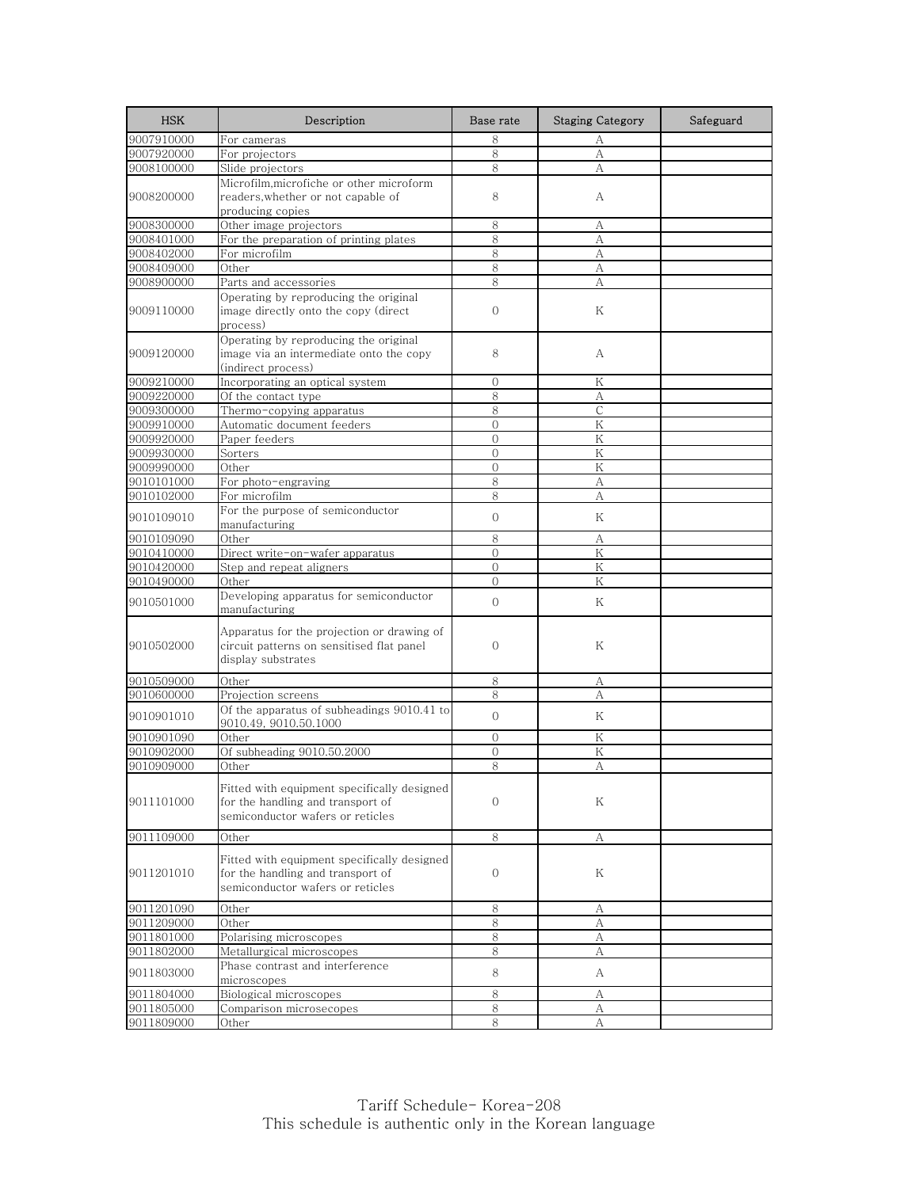| <b>HSK</b>               | Description                                                                                                          | Base rate      | <b>Staging Category</b> | Safeguard |
|--------------------------|----------------------------------------------------------------------------------------------------------------------|----------------|-------------------------|-----------|
| 9007910000               | For cameras                                                                                                          | 8              | А                       |           |
| 9007920000               | For projectors                                                                                                       | 8              | A                       |           |
| 9008100000               | Slide projectors                                                                                                     | 8              | А                       |           |
|                          | Microfilm,microfiche or other microform                                                                              |                |                         |           |
| 9008200000               | readers, whether or not capable of                                                                                   | 8              | А                       |           |
|                          | producing copies                                                                                                     |                |                         |           |
| 9008300000               | Other image projectors                                                                                               | 8              | А                       |           |
| 9008401000<br>9008402000 | For the preparation of printing plates<br>For microfilm                                                              | 8<br>8         | А<br>А                  |           |
| 9008409000               | Other                                                                                                                | 8              | А                       |           |
| 9008900000               | Parts and accessories                                                                                                | 8              | А                       |           |
|                          | Operating by reproducing the original                                                                                |                |                         |           |
| 9009110000               | image directly onto the copy (direct                                                                                 | $\mathbf{0}$   | Κ                       |           |
|                          | process)                                                                                                             |                |                         |           |
|                          | Operating by reproducing the original                                                                                |                |                         |           |
| 9009120000               | image via an intermediate onto the copy                                                                              | 8              | A                       |           |
|                          | (indirect process)                                                                                                   |                |                         |           |
| 9009210000               | Incorporating an optical system                                                                                      | $\mathbf{0}$   | K                       |           |
| 9009220000               | Of the contact type                                                                                                  | 8              | А                       |           |
| 9009300000               | Thermo-copying apparatus                                                                                             | 8              | $\mathsf{C}$            |           |
| 9009910000               | Automatic document feeders                                                                                           | $\overline{O}$ | K                       |           |
| 9009920000               | Paper feeders                                                                                                        | $\mathbf{0}$   | Κ                       |           |
| 9009930000               | Sorters                                                                                                              | $\overline{0}$ | K                       |           |
| 9009990000               | Other                                                                                                                | $\mathbf{0}$   | Κ                       |           |
| 9010101000               | For photo-engraving                                                                                                  | 8              | A                       |           |
| 9010102000               | For microfilm                                                                                                        | 8              | А                       |           |
| 9010109010               | For the purpose of semiconductor<br>manufacturing                                                                    | $\overline{0}$ | K                       |           |
| 9010109090               | Other                                                                                                                | 8              | А                       |           |
| 9010410000               | Direct write-on-wafer apparatus                                                                                      | $\mathbf{0}$   | K                       |           |
| 9010420000               | Step and repeat aligners                                                                                             | $\mathbf{0}$   | Κ                       |           |
| 9010490000               | Other                                                                                                                | $\Omega$       | K                       |           |
| 9010501000               | Developing apparatus for semiconductor<br>manufacturing                                                              | $\mathbf{O}$   | Κ                       |           |
| 9010502000               | Apparatus for the projection or drawing of<br>circuit patterns on sensitised flat panel<br>display substrates        | $\mathbf{O}$   | Κ                       |           |
| 9010509000               | Other                                                                                                                | 8              | А                       |           |
| 9010600000               | Projection screens                                                                                                   | 8              | A                       |           |
| 9010901010               | Of the apparatus of subheadings 9010.41 to<br>9010.49, 9010.50.1000                                                  | $\mathbf{O}$   | Κ                       |           |
| 9010901090               | Other                                                                                                                | $\Omega$       | K                       |           |
| 9010902000               | Of subheading 9010.50.2000                                                                                           | $\Omega$       | K                       |           |
| 9010909000               | Other                                                                                                                | 8              | А                       |           |
| 9011101000               | Fitted with equipment specifically designed<br>for the handling and transport of<br>semiconductor wafers or reticles | $\mathbf{0}$   | Κ                       |           |
| 9011109000               | Other                                                                                                                | 8              | А                       |           |
|                          |                                                                                                                      |                |                         |           |
| 9011201010               | Fitted with equipment specifically designed<br>for the handling and transport of<br>semiconductor wafers or reticles | $\mathbf 0$    | Κ                       |           |
| 9011201090               | Other                                                                                                                | 8              | А                       |           |
| 9011209000               | Other                                                                                                                | 8              | А                       |           |
| 9011801000               | Polarising microscopes                                                                                               | 8              | А                       |           |
| 9011802000               | Metallurgical microscopes                                                                                            | 8              | А                       |           |
| 9011803000               | Phase contrast and interference<br>microscopes                                                                       | 8              | A                       |           |
| 9011804000               | Biological microscopes                                                                                               | 8              | А                       |           |
| 9011805000               | Comparison microsecopes                                                                                              | 8              | А                       |           |
| 9011809000               | Other                                                                                                                | 8              | А                       |           |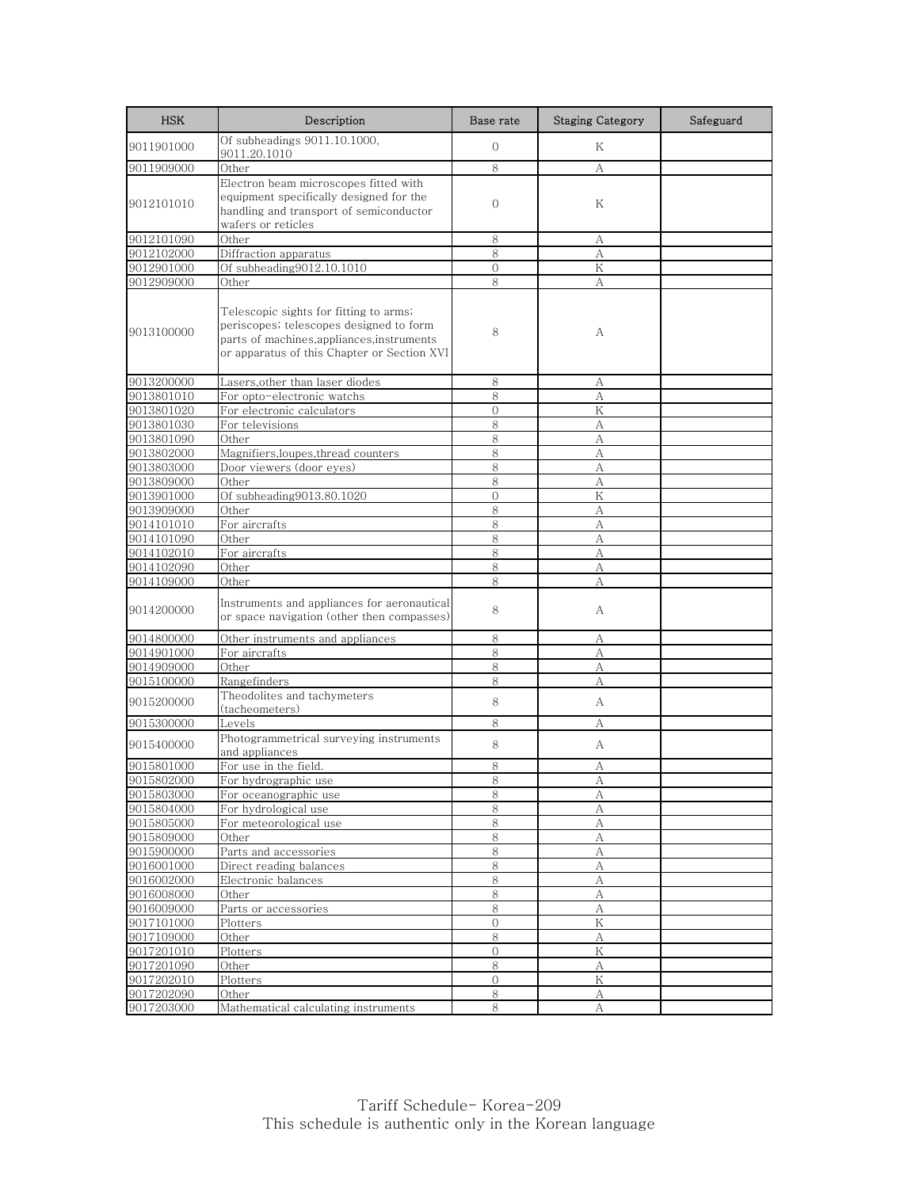| <b>HSK</b>               | Description                                                                                                                                                                    | Base rate         | <b>Staging Category</b> | Safeguard |
|--------------------------|--------------------------------------------------------------------------------------------------------------------------------------------------------------------------------|-------------------|-------------------------|-----------|
| 9011901000               | Of subheadings 9011.10.1000,<br>9011.20.1010                                                                                                                                   | $\overline{0}$    | Κ                       |           |
| 9011909000               | Other                                                                                                                                                                          | 8                 | А                       |           |
| 9012101010               | Electron beam microscopes fitted with<br>equipment specifically designed for the<br>handling and transport of semiconductor<br>wafers or reticles                              | $\mathbf{0}$      | Κ                       |           |
| 9012101090               | Other                                                                                                                                                                          | 8                 | А                       |           |
| 9012102000               | Diffraction apparatus                                                                                                                                                          | 8                 | А                       |           |
| 9012901000               | Of subheading9012.10.1010                                                                                                                                                      | $\overline{0}$    | Κ                       |           |
| 9012909000               | Other                                                                                                                                                                          | 8                 | А                       |           |
| 9013100000               | Telescopic sights for fitting to arms;<br>periscopes, telescopes designed to form<br>parts of machines, appliances, instruments<br>or apparatus of this Chapter or Section XVI | 8                 | А                       |           |
| 9013200000               | Lasers,other than laser diodes                                                                                                                                                 | 8                 | А                       |           |
| 9013801010               | For opto-electronic watchs                                                                                                                                                     | 8                 | А                       |           |
| 9013801020               | For electronic calculators                                                                                                                                                     | $\Omega$          | Κ                       |           |
| 9013801030               | For televisions                                                                                                                                                                | 8                 | А                       |           |
| 9013801090               | Other                                                                                                                                                                          | 8                 | А                       |           |
| 9013802000               | Magnifiers, loupes, thread counters                                                                                                                                            | 8                 | А                       |           |
| 9013803000               | Door viewers (door eyes)                                                                                                                                                       | 8                 | А                       |           |
| 9013809000               | Other                                                                                                                                                                          | 8                 | А                       |           |
| 9013901000               | Of subheading9013.80.1020                                                                                                                                                      | $\Omega$          | Κ                       |           |
| 9013909000               | Other                                                                                                                                                                          | 8                 | А                       |           |
| 9014101010               | For aircrafts                                                                                                                                                                  | 8                 | $\mathbf{A}$            |           |
| 9014101090               | Other                                                                                                                                                                          | 8<br>8            | А                       |           |
| 9014102010<br>9014102090 | For aircrafts<br>Other                                                                                                                                                         | 8                 | А<br>А                  |           |
| 9014109000               | Other                                                                                                                                                                          | 8                 | А                       |           |
| 9014200000               | Instruments and appliances for aeronautical<br>or space navigation (other then compasses)                                                                                      | 8                 | A                       |           |
| 9014800000               | Other instruments and appliances                                                                                                                                               | 8                 | А                       |           |
| 9014901000               | For aircrafts                                                                                                                                                                  | $\,8\,$           | А                       |           |
| 9014909000               | Other                                                                                                                                                                          | 8                 | А                       |           |
| 9015100000               | Rangefinders                                                                                                                                                                   | 8                 | А                       |           |
| 9015200000               | Theodolites and tachymeters<br>(tacheometers)                                                                                                                                  | 8                 | A                       |           |
| 9015300000               | Levels                                                                                                                                                                         | 8                 | А                       |           |
| 9015400000               | Photogrammetrical surveying instruments<br>and appliances                                                                                                                      | 8                 | A                       |           |
| 9015801000               | For use in the field.                                                                                                                                                          | 8                 | А                       |           |
| 9015802000               | For hydrographic use                                                                                                                                                           | ୪                 | А                       |           |
| 9015803000               | For oceanographic use                                                                                                                                                          | 8                 | А                       |           |
| 9015804000               | For hydrological use                                                                                                                                                           | 8                 | А                       |           |
| 9015805000               | For meteorological use                                                                                                                                                         | $\,8$             | A                       |           |
| 9015809000               | Other                                                                                                                                                                          | 8                 | А                       |           |
| 9015900000               | Parts and accessories                                                                                                                                                          | 8                 | А                       |           |
| 9016001000               | Direct reading balances                                                                                                                                                        | 8                 | А                       |           |
| 9016002000               | Electronic balances                                                                                                                                                            | $\,8\,$           | А                       |           |
| 9016008000               | Other                                                                                                                                                                          | 8                 | $\boldsymbol{A}$        |           |
| 9016009000               | Parts or accessories                                                                                                                                                           | 8                 | А                       |           |
| 9017101000               | Plotters                                                                                                                                                                       | $\overline{O}$    | K                       |           |
| 9017109000               | Other                                                                                                                                                                          | 8                 | А                       |           |
| 9017201010               | Plotters                                                                                                                                                                       | $\mathbf{0}$<br>8 | Κ                       |           |
| 9017201090<br>9017202010 | Other                                                                                                                                                                          | $\mathbf{0}$      | А<br>Κ                  |           |
| 9017202090               | Plotters<br>Other                                                                                                                                                              | 8                 | А                       |           |
| 9017203000               | Mathematical calculating instruments                                                                                                                                           | 8                 | А                       |           |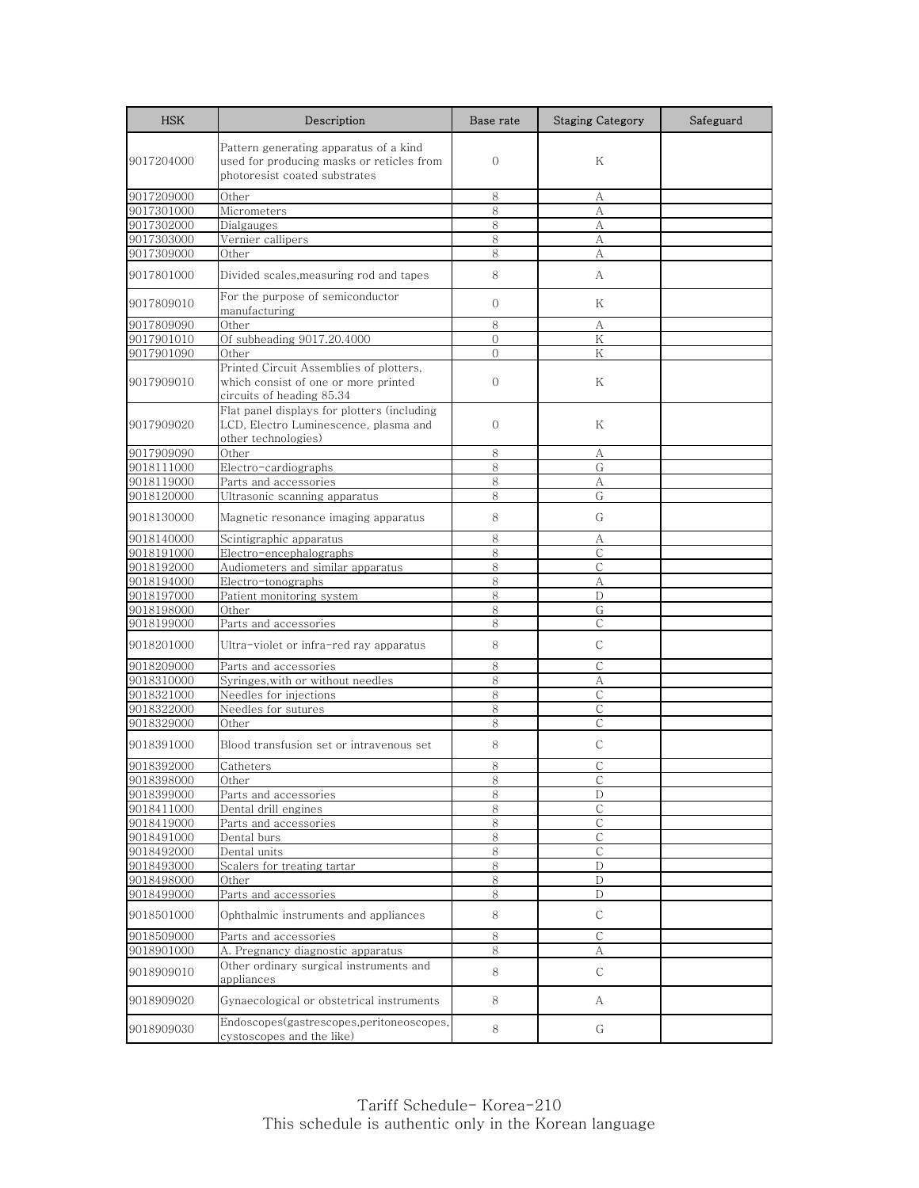| <b>HSK</b> | Description                                                                                                          | Base rate      | <b>Staging Category</b> | Safeguard |
|------------|----------------------------------------------------------------------------------------------------------------------|----------------|-------------------------|-----------|
| 9017204000 | Pattern generating apparatus of a kind<br>used for producing masks or reticles from<br>photoresist coated substrates | $\mathbf{0}$   | Κ                       |           |
| 9017209000 | Other                                                                                                                | 8              | А                       |           |
| 9017301000 | Micrometers                                                                                                          | 8              | A                       |           |
| 9017302000 | Dialgauges                                                                                                           | 8              | А                       |           |
| 9017303000 | Vernier callipers                                                                                                    | 8              | A                       |           |
| 9017309000 | Other                                                                                                                | 8              | A                       |           |
| 9017801000 | Divided scales, measuring rod and tapes                                                                              | 8              | A                       |           |
| 9017809010 | For the purpose of semiconductor<br>manufacturing                                                                    | $\mathbf{O}$   | Κ                       |           |
| 9017809090 | Other                                                                                                                | 8              | А                       |           |
| 9017901010 | Of subheading 9017.20.4000                                                                                           | $\overline{0}$ | K                       |           |
| 9017901090 | Other                                                                                                                | $\Omega$       | Κ                       |           |
| 9017909010 | Printed Circuit Assemblies of plotters,<br>which consist of one or more printed<br>circuits of heading 85.34         | $\mathbf{0}$   | Κ                       |           |
| 9017909020 | Flat panel displays for plotters (including<br>LCD, Electro Luminescence, plasma and<br>other technologies)          | $\Omega$       | Κ                       |           |
| 9017909090 | Other                                                                                                                | 8              | A                       |           |
| 9018111000 | Electro-cardiographs                                                                                                 | 8              | G                       |           |
| 9018119000 | Parts and accessories                                                                                                | 8              | А                       |           |
| 9018120000 | Ultrasonic scanning apparatus                                                                                        | 8              | G                       |           |
| 9018130000 | Magnetic resonance imaging apparatus                                                                                 | 8              | G                       |           |
| 9018140000 | Scintigraphic apparatus                                                                                              | 8              | А                       |           |
| 9018191000 | Electro-encephalographs                                                                                              | 8              | $\mathsf{C}$            |           |
| 9018192000 | Audiometers and similar apparatus                                                                                    | 8              | С                       |           |
| 9018194000 | Electro-tonographs                                                                                                   | 8              | A                       |           |
| 9018197000 | Patient monitoring system                                                                                            | 8              | D                       |           |
| 9018198000 | Other                                                                                                                | 8              | G                       |           |
| 9018199000 | Parts and accessories                                                                                                | 8              | $\mathsf{C}$            |           |
| 9018201000 | Ultra-violet or infra-red ray apparatus                                                                              | 8              | $\mathsf{C}$            |           |
| 9018209000 | Parts and accessories                                                                                                | 8              | С                       |           |
| 9018310000 | Syringes, with or without needles                                                                                    | 8              | A                       |           |
| 9018321000 | Needles for injections                                                                                               | 8              | $\mathsf{C}$            |           |
| 9018322000 | Needles for sutures                                                                                                  | 8              | С                       |           |
| 9018329000 | Other                                                                                                                | 8              | $\mathsf{C}$            |           |
| 9018391000 | Blood transfusion set or intravenous set                                                                             | 8              | $\mathsf{C}$            |           |
| 9018392000 | Catheters                                                                                                            | 8              | C                       |           |
| 9018398000 | Other                                                                                                                | ŏ              |                         |           |
| 9018399000 | Parts and accessories                                                                                                | 8              | D                       |           |
| 9018411000 | Dental drill engines                                                                                                 | 8              | С                       |           |
| 9018419000 | Parts and accessories                                                                                                | 8              | $\mathsf C$             |           |
| 9018491000 | Dental burs                                                                                                          | 8              | С                       |           |
| 9018492000 | Dental units                                                                                                         | 8              | C                       |           |
| 9018493000 | Scalers for treating tartar                                                                                          | 8              | D                       |           |
| 9018498000 | Other                                                                                                                | 8              | D                       |           |
| 9018499000 | Parts and accessories                                                                                                | 8              | $\mathbf D$             |           |
| 9018501000 | Ophthalmic instruments and appliances                                                                                | 8              | $\mathsf C$             |           |
| 9018509000 | Parts and accessories                                                                                                | 8              | С                       |           |
| 9018901000 | A. Pregnancy diagnostic apparatus                                                                                    | 8              | А                       |           |
| 9018909010 | Other ordinary surgical instruments and<br>appliances                                                                | 8              | $\mathsf{C}$            |           |
| 9018909020 | Gynaecological or obstetrical instruments                                                                            | 8              | A                       |           |
| 9018909030 | Endoscopes(gastrescopes,peritoneoscopes,<br>cystoscopes and the like)                                                | 8              | G                       |           |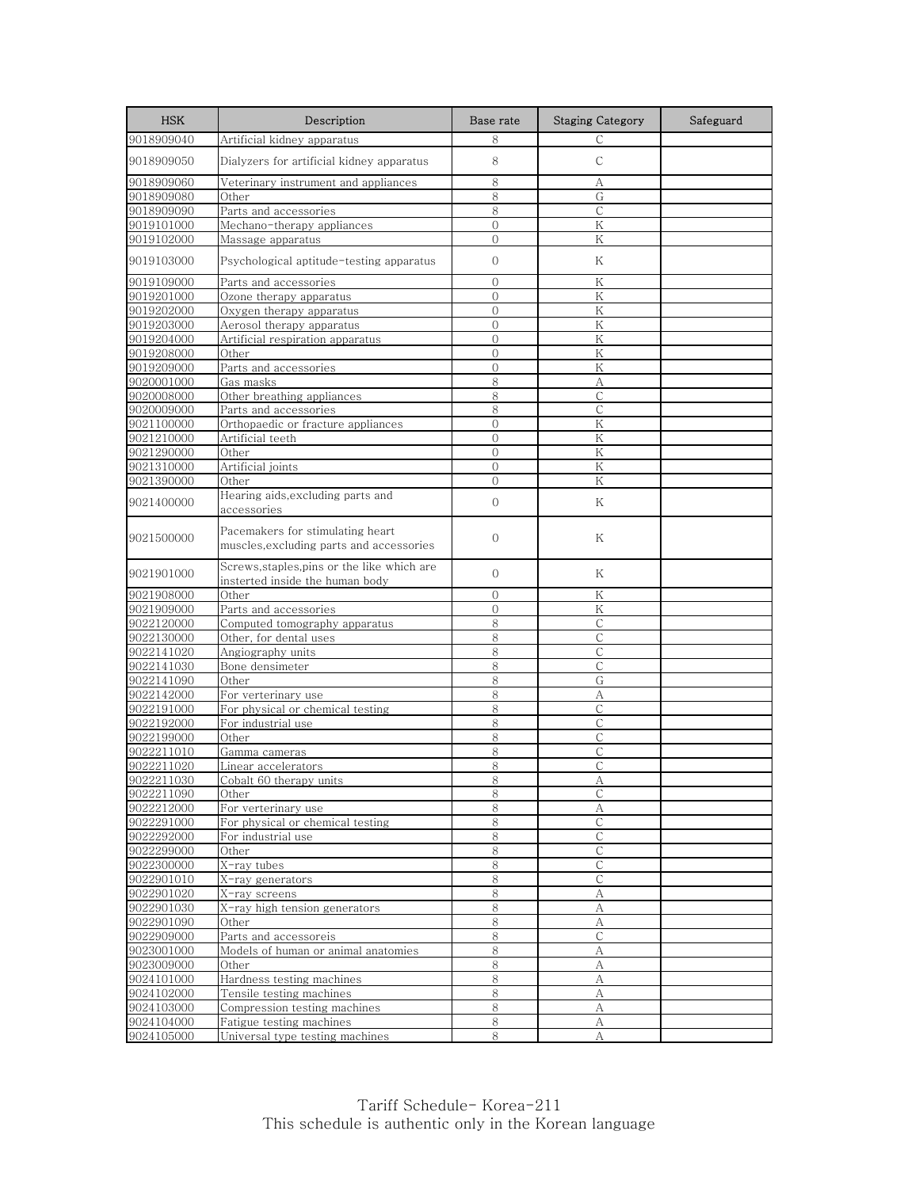| <b>HSK</b> | Description                                                                  | Base rate      | <b>Staging Category</b> | Safeguard |
|------------|------------------------------------------------------------------------------|----------------|-------------------------|-----------|
| 9018909040 | Artificial kidney apparatus                                                  | 8              | C                       |           |
| 9018909050 | Dialyzers for artificial kidney apparatus                                    | 8              | C                       |           |
| 9018909060 | Veterinary instrument and appliances                                         | 8              | А                       |           |
| 9018909080 | Other                                                                        | 8              | G                       |           |
| 9018909090 | Parts and accessories                                                        | 8              | C                       |           |
| 9019101000 | Mechano-therapy appliances                                                   | $\mathbf{0}$   | K                       |           |
| 9019102000 | Massage apparatus                                                            | $\overline{O}$ | Κ                       |           |
| 9019103000 | Psychological aptitude-testing apparatus                                     | $\mathbf{0}$   | Κ                       |           |
| 9019109000 | Parts and accessories                                                        | $\overline{0}$ | K                       |           |
| 9019201000 | Ozone therapy apparatus                                                      | $\mathbf{0}$   | K                       |           |
| 9019202000 | Oxygen therapy apparatus                                                     | $\overline{0}$ | $\rm K$                 |           |
| 9019203000 | Aerosol therapy apparatus                                                    | $\overline{O}$ | K                       |           |
| 9019204000 | Artificial respiration apparatus                                             | $\mathbf{0}$   | K                       |           |
| 9019208000 | Other                                                                        | $\mathbf{0}$   | K                       |           |
| 9019209000 | Parts and accessories                                                        | $\mathbf{0}$   | K                       |           |
| 9020001000 | Gas masks                                                                    | 8              | $\mathbf{A}$            |           |
| 9020008000 | Other breathing appliances                                                   | 8              | $\mathsf{C}$            |           |
| 9020009000 | Parts and accessories                                                        | 8              | $\mathsf{C}$            |           |
| 9021100000 | Orthopaedic or fracture appliances                                           | $\overline{O}$ | K                       |           |
| 9021210000 | Artificial teeth                                                             | $\overline{0}$ | K                       |           |
| 9021290000 | Other                                                                        | $\overline{O}$ | K                       |           |
| 9021310000 | Artificial joints                                                            | $\mathbf{0}$   | Κ                       |           |
| 9021390000 | Other                                                                        | $\Omega$       | K                       |           |
|            | Hearing aids, excluding parts and                                            |                |                         |           |
| 9021400000 | accessories                                                                  | $\mathbf{0}$   | Κ                       |           |
| 9021500000 | Pacemakers for stimulating heart<br>muscles, excluding parts and accessories | $\mathbf{0}$   | Κ                       |           |
| 9021901000 | Screws,staples,pins or the like which are<br>insterted inside the human body | $\mathbf{0}$   | Κ                       |           |
| 9021908000 | Other                                                                        | $\Omega$       | Κ                       |           |
| 9021909000 | Parts and accessories                                                        | $\overline{0}$ | Κ                       |           |
| 9022120000 | Computed tomography apparatus                                                | 8              | $\mathsf{C}$            |           |
| 9022130000 | Other, for dental uses                                                       | 8              | С                       |           |
| 9022141020 | Angiography units                                                            | 8              | $\mathsf{C}$            |           |
| 9022141030 | Bone densimeter                                                              | 8              | $\mathsf{C}$            |           |
| 9022141090 | Other                                                                        | 8              | G                       |           |
| 9022142000 | For verterinary use                                                          | 8              | А                       |           |
| 9022191000 | For physical or chemical testing                                             | 8              | C                       |           |
| 9022192000 | For industrial use                                                           | 8              | $\mathsf{C}$            |           |
| 9022199000 | Other                                                                        | 8              | С                       |           |
| 9022211010 | Gamma cameras                                                                | 8              | $\mathsf{C}$            |           |
| 9022211020 | Linear accelerators                                                          | 8              | $\mathsf{C}$            |           |
| 9022211030 | Cobalt 60 therapy units                                                      | ୪              | A                       |           |
| 9022211090 | Other                                                                        | 8              | C                       |           |
| 9022212000 | For verterinary use                                                          | 8              | А                       |           |
| 9022291000 | For physical or chemical testing                                             | $\,8\,$        | $\mathsf C$             |           |
| 9022292000 | For industrial use                                                           | 8              | C                       |           |
| 9022299000 | Other                                                                        | 8              | $\mathsf{C}$            |           |
| 9022300000 | X-ray tubes                                                                  | 8              | $\mathsf C$             |           |
| 9022901010 | X-ray generators                                                             | $8\,$          | $\mathsf{C}$            |           |
| 9022901020 | X-ray screens                                                                | 8              | $\mathbf{A}$            |           |
| 9022901030 | X-ray high tension generators                                                | 8              | А                       |           |
| 9022901090 | Other                                                                        | $\,8\,$        | А                       |           |
| 9022909000 | Parts and accessoreis                                                        | 8              | C                       |           |
| 9023001000 | Models of human or animal anatomies                                          | $\,8\,$        | А                       |           |
| 9023009000 | Other                                                                        | $8\,$          | A                       |           |
| 9024101000 | Hardness testing machines                                                    | $\,8\,$        | А                       |           |
| 9024102000 | Tensile testing machines                                                     | 8              | А                       |           |
| 9024103000 | Compression testing machines                                                 | 8              | А                       |           |
| 9024104000 | Fatigue testing machines                                                     | $\,8\,$        | А                       |           |
| 9024105000 | Universal type testing machines                                              | 8              | А                       |           |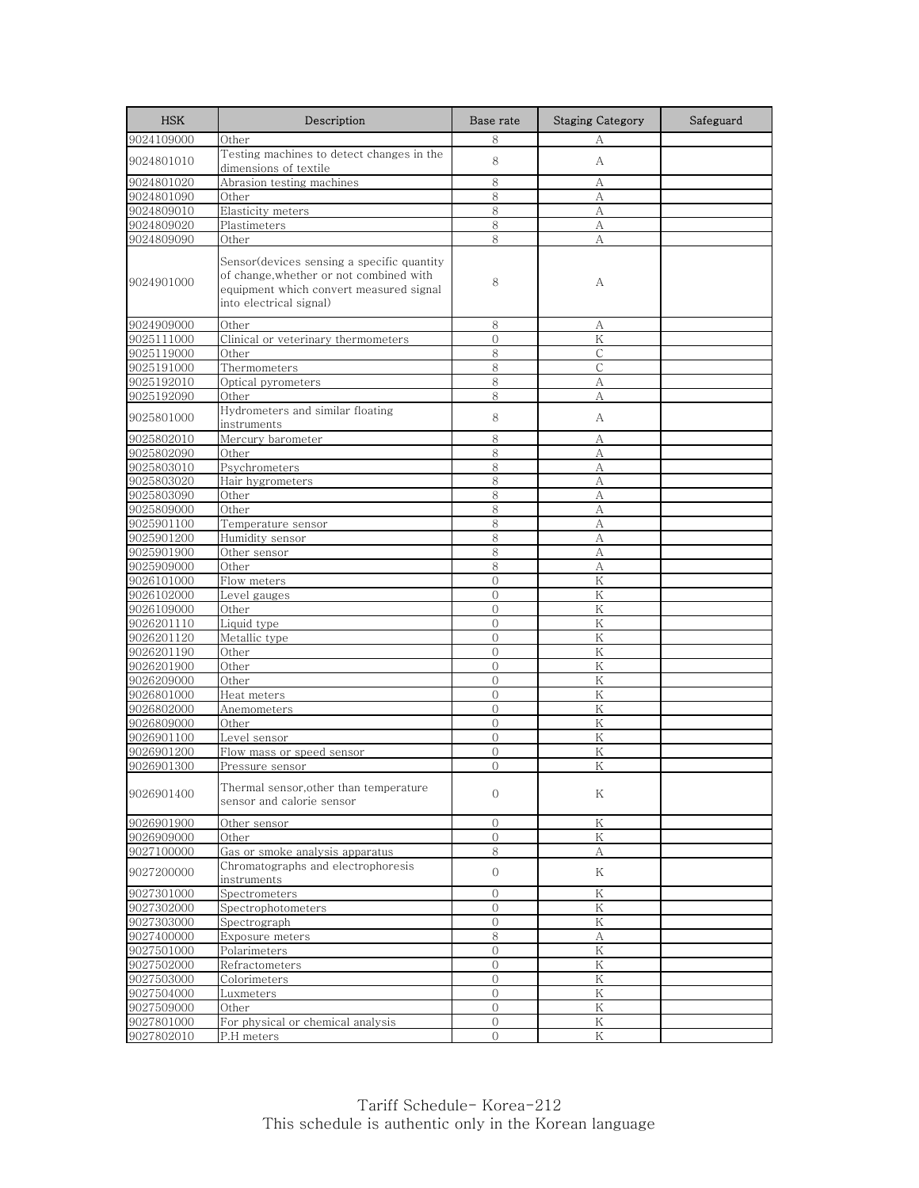| <b>HSK</b> | Description                                                                                                                                                 | Base rate        | <b>Staging Category</b> | Safeguard |
|------------|-------------------------------------------------------------------------------------------------------------------------------------------------------------|------------------|-------------------------|-----------|
| 9024109000 | Other                                                                                                                                                       | 8                | А                       |           |
| 9024801010 | Testing machines to detect changes in the<br>dimensions of textile                                                                                          | 8                | А                       |           |
| 9024801020 | Abrasion testing machines                                                                                                                                   | 8                | А                       |           |
| 9024801090 | Other                                                                                                                                                       | 8                | А                       |           |
| 9024809010 | Elasticity meters                                                                                                                                           | 8                | А                       |           |
| 9024809020 | Plastimeters                                                                                                                                                | 8                | А                       |           |
| 9024809090 | Other                                                                                                                                                       | 8                | А                       |           |
| 9024901000 | Sensor(devices sensing a specific quantity<br>of change, whether or not combined with<br>equipment which convert measured signal<br>into electrical signal) | 8                | А                       |           |
| 9024909000 | Other                                                                                                                                                       | 8                | А                       |           |
| 9025111000 | Clinical or veterinary thermometers                                                                                                                         | $\overline{0}$   | Κ                       |           |
| 9025119000 | Other                                                                                                                                                       | 8                | $\mathsf{C}$            |           |
| 9025191000 | Thermometers                                                                                                                                                | 8                | С                       |           |
| 9025192010 | Optical pyrometers                                                                                                                                          | 8                | А                       |           |
| 9025192090 | Other                                                                                                                                                       | 8                | А                       |           |
| 9025801000 | Hydrometers and similar floating<br>instruments                                                                                                             | 8                | А                       |           |
| 9025802010 | Mercury barometer                                                                                                                                           | 8                | А                       |           |
| 9025802090 | Other                                                                                                                                                       | 8                | A                       |           |
| 9025803010 | Psychrometers                                                                                                                                               | 8                | А                       |           |
| 9025803020 | Hair hygrometers                                                                                                                                            | 8                | A                       |           |
| 9025803090 | Other                                                                                                                                                       | 8                | А                       |           |
| 9025809000 | Other                                                                                                                                                       | 8                | А                       |           |
| 9025901100 | Temperature sensor                                                                                                                                          | 8                | A                       |           |
| 9025901200 | Humidity sensor                                                                                                                                             | 8                | А                       |           |
| 9025901900 | Other sensor                                                                                                                                                | 8                | А                       |           |
| 9025909000 | Other                                                                                                                                                       | 8                | А                       |           |
| 9026101000 | Flow meters                                                                                                                                                 | $\Omega$         | $\rm K$                 |           |
| 9026102000 | Level gauges                                                                                                                                                | $\Omega$         | K                       |           |
| 9026109000 | Other                                                                                                                                                       | $\overline{0}$   | Κ                       |           |
| 9026201110 | Liquid type                                                                                                                                                 | $\Omega$         | Κ                       |           |
| 9026201120 | Metallic type                                                                                                                                               | $\mathbf{0}$     | Κ                       |           |
| 9026201190 | Other                                                                                                                                                       | $\mathbf{0}$     | K                       |           |
| 9026201900 | Other                                                                                                                                                       | $\Omega$         | K                       |           |
| 9026209000 | Other                                                                                                                                                       | $\Omega$         | Κ                       |           |
| 9026801000 | Heat meters                                                                                                                                                 | $\overline{0}$   | Κ                       |           |
| 9026802000 | Anemometers                                                                                                                                                 | $\overline{0}$   | Κ                       |           |
| 9026809000 | Other                                                                                                                                                       | $\overline{0}$   | K                       |           |
| 9026901100 | Level sensor                                                                                                                                                | $\mathbf{0}$     | Κ                       |           |
| 9026901200 | Flow mass or speed sensor                                                                                                                                   | $\Omega$         | K                       |           |
| 9026901300 | Pressure sensor                                                                                                                                             | $\Omega$         | K                       |           |
| 9026901400 | Thermal sensor, other than temperature<br>sensor and calorie sensor                                                                                         | $\mathbf{0}$     | Κ                       |           |
| 9026901900 | Other sensor                                                                                                                                                | $\boldsymbol{0}$ | $\rm K$                 |           |
| 9026909000 | Other                                                                                                                                                       | $\overline{0}$   | Κ                       |           |
| 9027100000 | Gas or smoke analysis apparatus                                                                                                                             | 8                | А                       |           |
| 9027200000 | Chromatographs and electrophoresis<br>instruments                                                                                                           | $\overline{0}$   | Κ                       |           |
| 9027301000 | Spectrometers                                                                                                                                               | $\mathbf{O}$     | $\rm K$                 |           |
| 9027302000 | Spectrophotometers                                                                                                                                          | $\mathbf{0}$     | Κ                       |           |
| 9027303000 | Spectrograph                                                                                                                                                | $\overline{0}$   | K                       |           |
| 9027400000 | Exposure meters                                                                                                                                             | 8                | А                       |           |
| 9027501000 | Polarimeters                                                                                                                                                | $\overline{0}$   | Κ                       |           |
| 9027502000 | Refractometers                                                                                                                                              | $\overline{O}$   | Κ                       |           |
| 9027503000 | Colorimeters                                                                                                                                                | $\mathcal{O}$    | Κ                       |           |
| 9027504000 | Luxmeters                                                                                                                                                   | $\overline{0}$   | K                       |           |
| 9027509000 | Other                                                                                                                                                       | $\overline{0}$   | Κ                       |           |
| 9027801000 | For physical or chemical analysis                                                                                                                           | $\overline{0}$   | Κ                       |           |
| 9027802010 | P.H meters                                                                                                                                                  | $\overline{0}$   | Κ                       |           |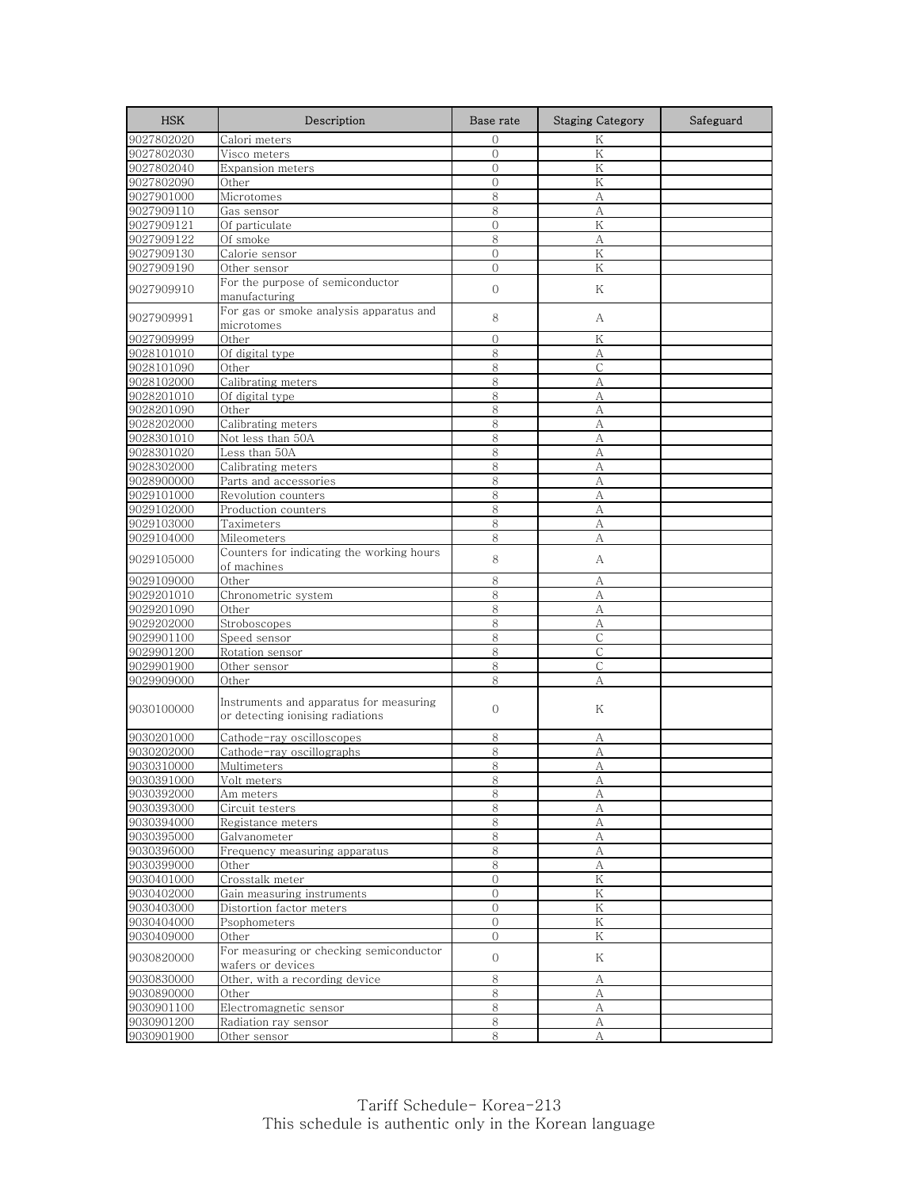| <b>HSK</b> | Description                                                                 | Base rate      | <b>Staging Category</b> | Safeguard |
|------------|-----------------------------------------------------------------------------|----------------|-------------------------|-----------|
| 9027802020 | Calori meters                                                               | $\mathbf{0}$   | K                       |           |
| 9027802030 | Visco meters                                                                | $\mathbf{0}$   | K                       |           |
| 9027802040 | <b>Expansion meters</b>                                                     | $\overline{O}$ | Κ                       |           |
| 9027802090 | Other                                                                       | $\overline{O}$ | ${\rm K}$               |           |
| 9027901000 | Microtomes                                                                  | 8              | А                       |           |
| 9027909110 | Gas sensor                                                                  | 8              | А                       |           |
| 9027909121 | Of particulate                                                              | $\mathbf 0$    | Κ                       |           |
| 9027909122 | Of smoke                                                                    | 8              | А                       |           |
| 9027909130 | Calorie sensor                                                              | $\overline{0}$ | Κ                       |           |
| 9027909190 | Other sensor                                                                | $\overline{0}$ | Κ                       |           |
| 9027909910 | For the purpose of semiconductor<br>manufacturing                           | $\mathbf 0$    | Κ                       |           |
| 9027909991 | For gas or smoke analysis apparatus and<br>microtomes                       | 8              | А                       |           |
| 9027909999 | Other                                                                       | $\Omega$       | Κ                       |           |
| 9028101010 | Of digital type                                                             | 8              | А                       |           |
| 9028101090 | Other                                                                       | 8              | С                       |           |
| 9028102000 | Calibrating meters                                                          | 8              | A                       |           |
| 9028201010 | Of digital type                                                             | 8              | А                       |           |
| 9028201090 | Other                                                                       | 8              | А                       |           |
| 9028202000 | Calibrating meters                                                          | 8              | А                       |           |
| 9028301010 | Not less than 50A                                                           | 8              | А                       |           |
| 9028301020 | Less than 50A                                                               | 8              | А                       |           |
| 9028302000 | Calibrating meters                                                          | 8              | А                       |           |
| 9028900000 | Parts and accessories                                                       | 8              | А                       |           |
| 9029101000 | Revolution counters                                                         | 8              | А                       |           |
| 9029102000 | Production counters                                                         | 8              | A                       |           |
| 9029103000 | Taximeters                                                                  | 8              | A                       |           |
| 9029104000 | Mileometers                                                                 | 8              | А                       |           |
| 9029105000 | Counters for indicating the working hours<br>of machines                    | 8              | А                       |           |
| 9029109000 | Other                                                                       | 8              | А                       |           |
| 9029201010 | Chronometric system                                                         | 8              | А                       |           |
| 9029201090 | Other                                                                       | 8              | А                       |           |
| 9029202000 | Stroboscopes                                                                | 8              | А                       |           |
| 9029901100 | Speed sensor                                                                | 8              | С                       |           |
| 9029901200 | Rotation sensor                                                             | 8              | $\mathsf{C}$            |           |
| 9029901900 | Other sensor                                                                | 8              | С                       |           |
| 9029909000 | Other                                                                       | 8              | A                       |           |
| 9030100000 | Instruments and apparatus for measuring<br>or detecting ionising radiations | 0              | Κ                       |           |
| 9030201000 | Cathode-ray oscilloscopes                                                   | 8              | А                       |           |
| 9030202000 | Cathode-ray oscillographs                                                   | 8              | А                       |           |
| 9030310000 | Multimeters                                                                 | 8              | А                       |           |
| 9030391000 | Volt meters                                                                 | 8              | Α                       |           |
| 9030392000 | Am meters                                                                   | 8              | А                       |           |
| 9030393000 | Circuit testers                                                             | 8              | А                       |           |
| 9030394000 | Registance meters                                                           | 8              | A                       |           |
| 9030395000 | Galvanometer                                                                | 8              | А                       |           |
| 9030396000 | Frequency measuring apparatus                                               | $\,8\,$        | $\boldsymbol{A}$        |           |
| 9030399000 | Other                                                                       | 8              | А                       |           |
| 9030401000 | Crosstalk meter                                                             | 0              | Κ                       |           |
| 9030402000 | Gain measuring instruments                                                  | $\overline{0}$ | Κ                       |           |
| 9030403000 | Distortion factor meters                                                    | 0              | $\rm K$                 |           |
| 9030404000 | Psophometers                                                                | 0              | K                       |           |
| 9030409000 | Other                                                                       | $\mathbf{O}$   | Κ                       |           |
| 9030820000 | For measuring or checking semiconductor<br>wafers or devices                | $\mathbf{O}$   | Κ                       |           |
| 9030830000 | Other, with a recording device                                              | 8              | А                       |           |
| 9030890000 | Other                                                                       | 8              | А                       |           |
| 9030901100 | Electromagnetic sensor                                                      | 8              | А                       |           |
| 9030901200 | Radiation ray sensor                                                        | $\,8\,$        | А                       |           |
| 9030901900 | Other sensor                                                                | 8              | А                       |           |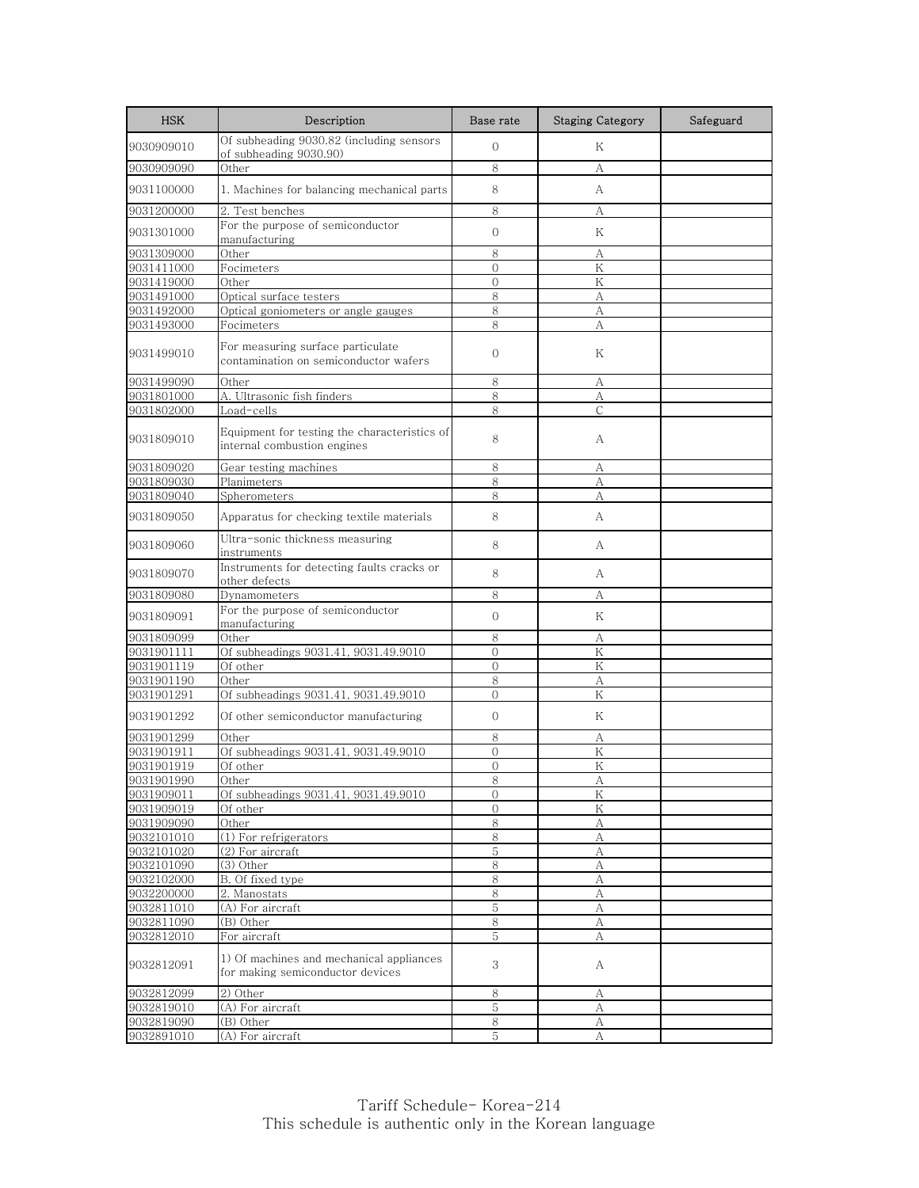| <b>HSK</b>               | Description                                                                                  | Base rate      | <b>Staging Category</b> | Safeguard |
|--------------------------|----------------------------------------------------------------------------------------------|----------------|-------------------------|-----------|
| 9030909010               | Of subheading 9030.82 (including sensors<br>of subheading 9030.90)                           | $\mathbf{O}$   | Κ                       |           |
| 9030909090               | Other                                                                                        | 8              | А                       |           |
| 9031100000               | 1. Machines for balancing mechanical parts                                                   | 8              | A                       |           |
| 9031200000               | 2. Test benches                                                                              | 8              | А                       |           |
| 9031301000               | For the purpose of semiconductor<br>manufacturing                                            | $\mathbf{O}$   | Κ                       |           |
| 9031309000               | Other                                                                                        | 8              | А                       |           |
| 9031411000               | Focimeters                                                                                   | $\mathbf{0}$   | Κ                       |           |
| 9031419000               | Other                                                                                        | $\overline{0}$ | K                       |           |
| 9031491000               | Optical surface testers                                                                      | 8              | А                       |           |
| 9031492000               | Optical goniometers or angle gauges                                                          | 8              | A                       |           |
| 9031493000               | Focimeters                                                                                   | 8              | A                       |           |
| 9031499010               | For measuring surface particulate<br>contamination on semiconductor wafers                   | $\overline{0}$ | Κ                       |           |
| 9031499090               | Other                                                                                        | 8              | А                       |           |
| 9031801000               | A. Ultrasonic fish finders                                                                   | 8              | А                       |           |
| 9031802000               | Load-cells                                                                                   | 8              | C                       |           |
| 9031809010               | Equipment for testing the characteristics of<br>internal combustion engines                  | 8              | А                       |           |
| 9031809020               | Gear testing machines                                                                        | 8              | А                       |           |
| 9031809030               | Planimeters                                                                                  | 8              | A                       |           |
| 9031809040               | Spherometers                                                                                 | 8              | А                       |           |
| 9031809050               | Apparatus for checking textile materials                                                     | 8              | A                       |           |
| 9031809060               | Ultra-sonic thickness measuring<br>instruments                                               | 8              | А                       |           |
| 9031809070               | Instruments for detecting faults cracks or<br>other defects                                  | 8              | A                       |           |
| 9031809080               | Dynamometers                                                                                 | 8              | А                       |           |
| 9031809091               | For the purpose of semiconductor<br>manufacturing                                            | $\Omega$       | K                       |           |
| 9031809099               | Other                                                                                        | 8              | А                       |           |
| 9031901111               | Of subheadings 9031.41, 9031.49.9010                                                         | $\overline{0}$ | $\rm K$                 |           |
| 9031901119               | Of other                                                                                     | $\overline{0}$ | K                       |           |
| 9031901190               | Other                                                                                        | 8              | А                       |           |
| 9031901291               | Of subheadings 9031.41, 9031.49.9010                                                         | $\Omega$       | K                       |           |
| 9031901292               | Of other semiconductor manufacturing                                                         | 0              | Κ                       |           |
| 9031901299               | Other                                                                                        | 8              | А                       |           |
| 9031901911               | Of subheadings 9031.41, 9031.49.9010                                                         | $\overline{0}$ | $\rm K$                 |           |
| 9031901919               | Of other                                                                                     | $\Omega$       | K                       |           |
| 9031901990               | Other                                                                                        | ୪              | А                       |           |
| 9031909011               | Of subheadings 9031.41, 9031.49.9010                                                         | $\overline{O}$ | K                       |           |
| 9031909019               | Of other                                                                                     | $\mathbf{0}$   | Κ                       |           |
| 9031909090               | Other                                                                                        | 8              | А                       |           |
| 9032101010               | (1) For refrigerators                                                                        | 8              | А                       |           |
| 9032101020               | (2) For aircraft                                                                             | 5              | A                       |           |
| 9032101090               | (3) Other                                                                                    | 8              | А                       |           |
| 9032102000               | B. Of fixed type                                                                             | 8              | А                       |           |
| 9032200000               | 2. Manostats                                                                                 | 8              | А                       |           |
| 9032811010               | (A) For aircraft                                                                             | 5              | А                       |           |
| 9032811090               | (B) Other                                                                                    | 8              | А                       |           |
| 9032812010<br>9032812091 | For aircraft<br>1) Of machines and mechanical appliances<br>for making semiconductor devices | 5<br>3         | А<br>A                  |           |
| 9032812099               | 2) Other                                                                                     | 8              | А                       |           |
| 9032819010               | (A) For aircraft                                                                             | 5              | А                       |           |
| 9032819090               | (B) Other                                                                                    | 8              | А                       |           |
| 9032891010               | (A) For aircraft                                                                             | 5              | А                       |           |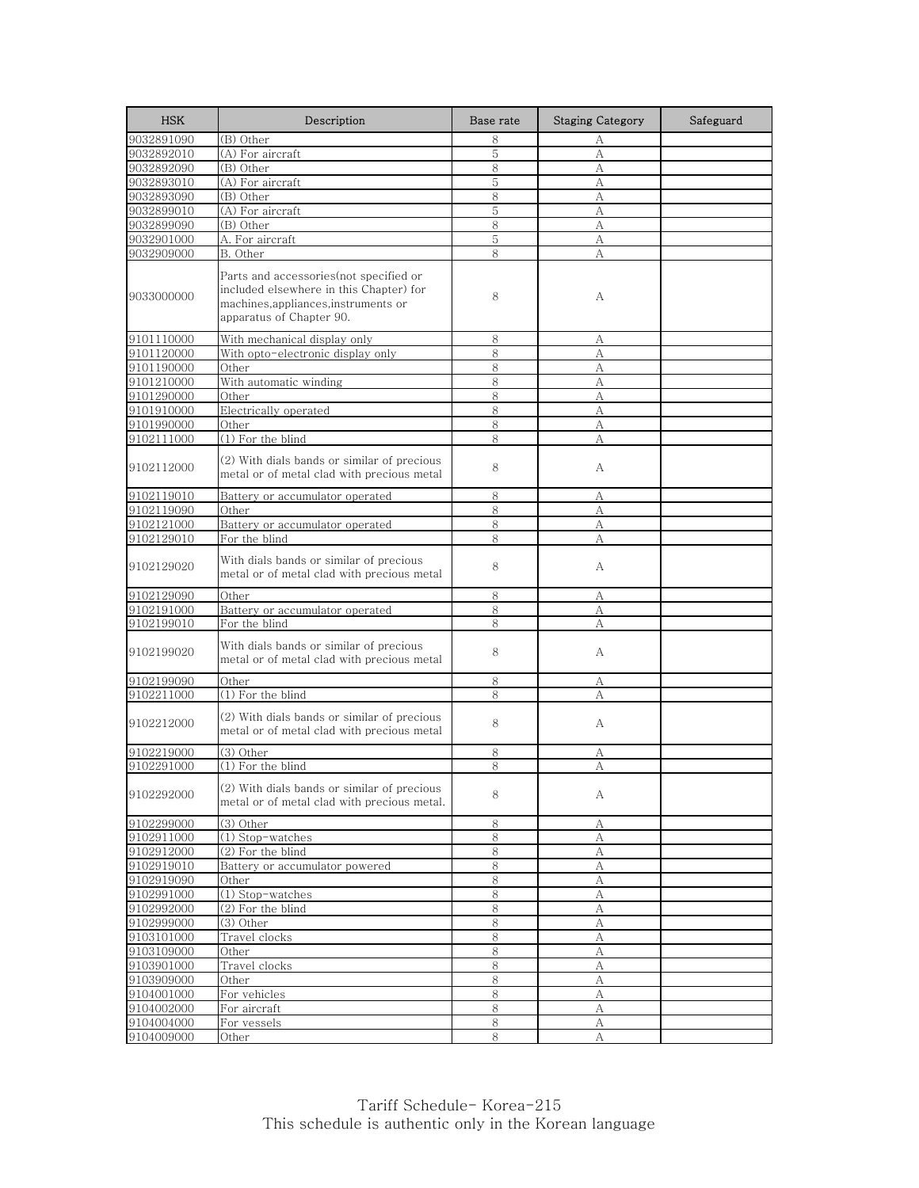| <b>HSK</b> | Description                                                                                                                                           | Base rate | <b>Staging Category</b> | Safeguard |
|------------|-------------------------------------------------------------------------------------------------------------------------------------------------------|-----------|-------------------------|-----------|
| 9032891090 | (B) Other                                                                                                                                             | 8         | А                       |           |
| 9032892010 | (A) For aircraft                                                                                                                                      | 5         | А                       |           |
| 9032892090 | (B) Other                                                                                                                                             | 8         | А                       |           |
| 9032893010 | (A) For aircraft                                                                                                                                      | 5         | A                       |           |
| 9032893090 | (B) Other                                                                                                                                             | 8         | А                       |           |
| 9032899010 | (A) For aircraft                                                                                                                                      | 5         | A                       |           |
| 9032899090 | (B) Other                                                                                                                                             | 8         | A                       |           |
| 9032901000 | A. For aircraft                                                                                                                                       | 5         | А                       |           |
| 9032909000 | B. Other                                                                                                                                              | 8         | A                       |           |
| 9033000000 | Parts and accessories(not specified or<br>included elsewhere in this Chapter) for<br>machines, appliances, instruments or<br>apparatus of Chapter 90. | 8         | А                       |           |
| 9101110000 | With mechanical display only                                                                                                                          | 8         | А                       |           |
| 9101120000 | With opto-electronic display only                                                                                                                     | 8         | A                       |           |
| 9101190000 | Other                                                                                                                                                 | 8         | А                       |           |
| 9101210000 | With automatic winding                                                                                                                                | 8         | A                       |           |
| 9101290000 | Other                                                                                                                                                 | 8         | А                       |           |
| 9101910000 | Electrically operated                                                                                                                                 | 8         | A                       |           |
| 9101990000 | Other                                                                                                                                                 | 8         | А                       |           |
| 9102111000 | $(1)$ For the blind                                                                                                                                   | 8         | А                       |           |
| 9102112000 | (2) With dials bands or similar of precious<br>metal or of metal clad with precious metal                                                             | 8         | А                       |           |
| 9102119010 | Battery or accumulator operated                                                                                                                       | 8         | А                       |           |
| 9102119090 | Other                                                                                                                                                 | 8         | А                       |           |
| 9102121000 | Battery or accumulator operated                                                                                                                       | 8         | A                       |           |
| 9102129010 | For the blind                                                                                                                                         | 8         | А                       |           |
| 9102129020 | With dials bands or similar of precious<br>metal or of metal clad with precious metal                                                                 | 8         | А                       |           |
| 9102129090 | Other                                                                                                                                                 | 8         | А                       |           |
| 9102191000 | Battery or accumulator operated                                                                                                                       | 8         | А                       |           |
| 9102199010 | For the blind                                                                                                                                         | 8         | А                       |           |
| 9102199020 | With dials bands or similar of precious<br>metal or of metal clad with precious metal                                                                 | 8         | А                       |           |
| 9102199090 | Other                                                                                                                                                 | 8         | А                       |           |
| 9102211000 | (1) For the blind                                                                                                                                     | 8         | А                       |           |
| 9102212000 | (2) With dials bands or similar of precious<br>metal or of metal clad with precious metal                                                             | 8         | А                       |           |
| 9102219000 | (3) Other                                                                                                                                             | 8         | А                       |           |
| 9102291000 | (1) For the blind                                                                                                                                     | 8         | А                       |           |
| 9102292000 | (2) With dials bands or similar of precious<br>metal or of metal clad with precious metal.                                                            | 8         | А                       |           |
| 9102299000 | $(3)$ Other                                                                                                                                           | 8         | А                       |           |
| 9102911000 | (1) Stop-watches                                                                                                                                      | 8         | А                       |           |
| 9102912000 | (2) For the blind                                                                                                                                     | 8         | А                       |           |
| 9102919010 | Battery or accumulator powered                                                                                                                        | 8         | А                       |           |
| 9102919090 | Other                                                                                                                                                 | 8         | А                       |           |
| 9102991000 | (1) Stop-watches                                                                                                                                      | 8         | А                       |           |
| 9102992000 | $(2)$ For the blind                                                                                                                                   | 8         | А                       |           |
| 9102999000 | (3) Other                                                                                                                                             | 8         | А                       |           |
| 9103101000 | Travel clocks                                                                                                                                         | 8         | А                       |           |
| 9103109000 | Other                                                                                                                                                 | 8         | А                       |           |
| 9103901000 | Travel clocks                                                                                                                                         | 8         | А                       |           |
| 9103909000 | Other                                                                                                                                                 | 8         | А                       |           |
| 9104001000 | For vehicles                                                                                                                                          | 8         | А                       |           |
| 9104002000 | For aircraft                                                                                                                                          | 8         | А                       |           |
| 9104004000 | For vessels                                                                                                                                           | 8         | $\mathbf{A}$            |           |
| 9104009000 | Other                                                                                                                                                 | 8         | А                       |           |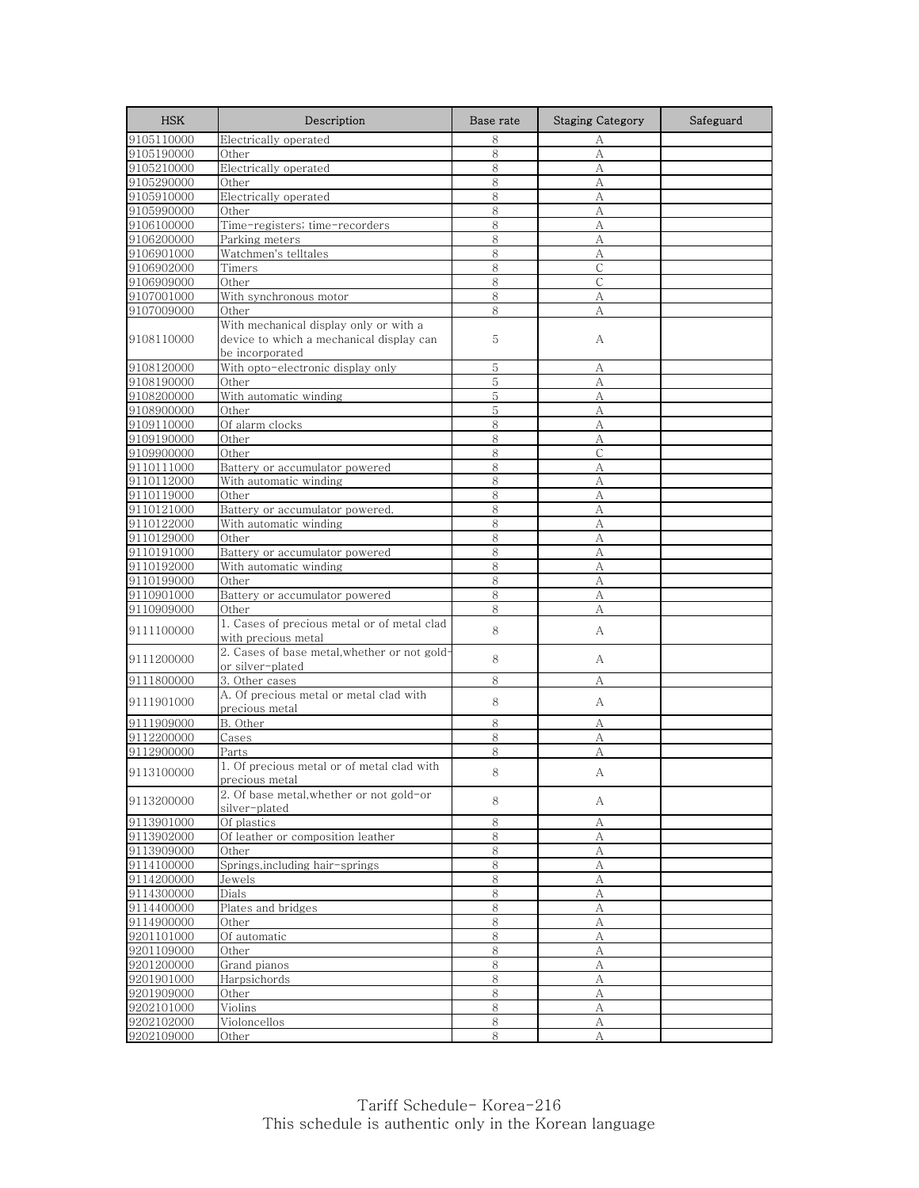| <b>HSK</b> | Description                                                                                           | Base rate | <b>Staging Category</b> | Safeguard |
|------------|-------------------------------------------------------------------------------------------------------|-----------|-------------------------|-----------|
| 9105110000 | Electrically operated                                                                                 | 8         | А                       |           |
| 9105190000 | Other                                                                                                 | 8         | А                       |           |
| 9105210000 | Electrically operated                                                                                 | 8         | А                       |           |
| 9105290000 | Other                                                                                                 | 8         | А                       |           |
| 9105910000 | Electrically operated                                                                                 | 8         | А                       |           |
| 9105990000 | Other                                                                                                 | 8         | А                       |           |
| 9106100000 | Time-registers; time-recorders                                                                        | 8         | А                       |           |
| 9106200000 | Parking meters                                                                                        | 8         | А                       |           |
| 9106901000 | Watchmen's telltales                                                                                  | 8         | А                       |           |
| 9106902000 | Timers                                                                                                | 8         | $\mathsf{C}$            |           |
| 9106909000 | Other                                                                                                 | 8         | $\mathsf{C}$            |           |
| 9107001000 | With synchronous motor                                                                                | 8         | А                       |           |
| 9107009000 | Other                                                                                                 | 8         | А                       |           |
| 9108110000 | With mechanical display only or with a<br>device to which a mechanical display can<br>be incorporated | 5         | А                       |           |
| 9108120000 | With opto-electronic display only                                                                     | 5         | А                       |           |
| 9108190000 | Other                                                                                                 | 5         | А                       |           |
| 9108200000 | With automatic winding                                                                                | 5         | А                       |           |
| 9108900000 | Other                                                                                                 | 5         | A                       |           |
| 9109110000 | Of alarm clocks                                                                                       | 8         | A                       |           |
| 9109190000 | Other                                                                                                 | 8         | А                       |           |
| 9109900000 | Other                                                                                                 | 8         | $\mathsf{C}$            |           |
| 9110111000 | Battery or accumulator powered                                                                        | 8         | А                       |           |
| 9110112000 | With automatic winding                                                                                | 8         | А                       |           |
| 9110119000 | Other                                                                                                 | 8         | А                       |           |
| 9110121000 | Battery or accumulator powered.                                                                       | 8         | A                       |           |
| 9110122000 | With automatic winding                                                                                | 8         | А                       |           |
| 9110129000 | Other                                                                                                 | 8         | А                       |           |
| 9110191000 | Battery or accumulator powered                                                                        | 8         | А                       |           |
| 9110192000 | With automatic winding                                                                                | 8         | А                       |           |
| 9110199000 | Other                                                                                                 | 8         | А                       |           |
| 9110901000 | Battery or accumulator powered                                                                        | 8         | А                       |           |
| 9110909000 | Other                                                                                                 | 8         | А                       |           |
| 9111100000 | 1. Cases of precious metal or of metal clad<br>with precious metal                                    | 8         | А                       |           |
| 9111200000 | 2. Cases of base metal, whether or not gold-<br>or silver-plated                                      | 8         | A                       |           |
| 9111800000 | 3. Other cases                                                                                        | 8         | А                       |           |
| 9111901000 | A. Of precious metal or metal clad with<br>precious metal                                             | 8         | А                       |           |
| 9111909000 | B. Other                                                                                              | 8         | А                       |           |
| 9112200000 | Cases                                                                                                 | 8         | А                       |           |
| 9112900000 | Parts                                                                                                 | 8         | А                       |           |
| 9113100000 | 1. Of precious metal or of metal clad with<br>precious metal                                          | 8         | А                       |           |
| 9113200000 | 2. Of base metal, whether or not gold-or<br>silver-plated                                             | 8         | А                       |           |
| 9113901000 | Of plastics                                                                                           | 8         | А                       |           |
| 9113902000 | Of leather or composition leather                                                                     | 8         | А                       |           |
| 9113909000 | Other                                                                                                 | $8\,$     | А                       |           |
| 9114100000 | Springs,including hair-springs                                                                        | 8         | А                       |           |
| 9114200000 | Jewels                                                                                                | $\,8\,$   | А                       |           |
| 9114300000 | Dials                                                                                                 | 8         | А                       |           |
| 9114400000 | Plates and bridges                                                                                    | 8         | А                       |           |
| 9114900000 | Other                                                                                                 | $\,8\,$   | A                       |           |
| 9201101000 | Of automatic                                                                                          | 8         | А                       |           |
| 9201109000 | Other                                                                                                 | 8         | А                       |           |
| 9201200000 | Grand pianos                                                                                          | 8         | А                       |           |
| 9201901000 | Harpsichords                                                                                          | 8         | А                       |           |
| 9201909000 | Other                                                                                                 | 8         | А                       |           |
| 9202101000 | Violins                                                                                               | 8         | А                       |           |
| 9202102000 | Violoncellos                                                                                          | $\,8\,$   | А                       |           |
| 9202109000 | Other                                                                                                 | 8         | А                       |           |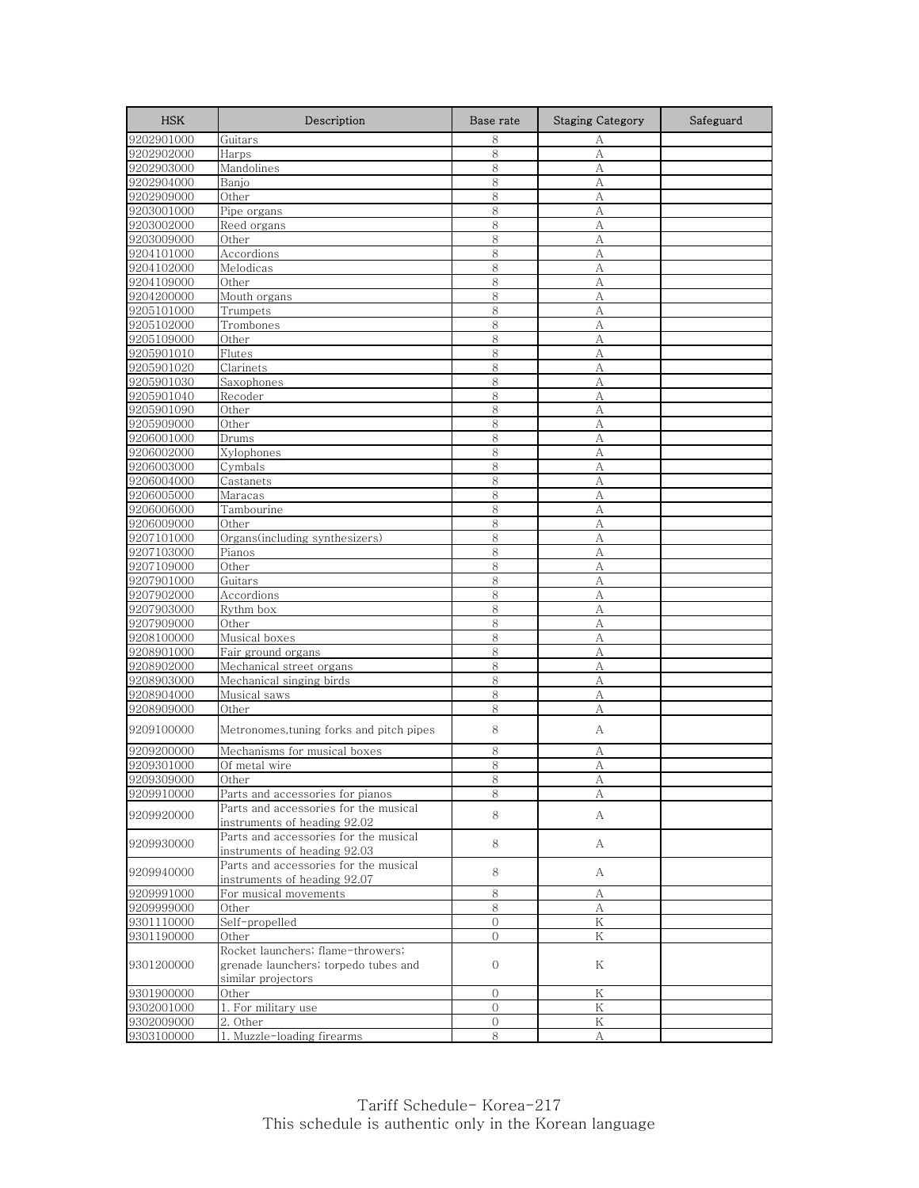| <b>HSK</b>               | Description                                                           | Base rate     | <b>Staging Category</b> | Safeguard |
|--------------------------|-----------------------------------------------------------------------|---------------|-------------------------|-----------|
| 9202901000               | Guitars                                                               | 8             | А                       |           |
| 9202902000               | Harps                                                                 | 8             | А                       |           |
| 9202903000               | Mandolines                                                            | 8             | А                       |           |
| 9202904000               | Banjo                                                                 | 8             | А                       |           |
| 9202909000               | Other                                                                 | 8             | А                       |           |
| 9203001000               | Pipe organs                                                           | 8             | А                       |           |
| 9203002000               | Reed organs                                                           | 8             | A                       |           |
| 9203009000               | Other                                                                 | 8             | А                       |           |
| 9204101000               | Accordions                                                            | 8             | A                       |           |
| 9204102000               | Melodicas                                                             | 8             | A                       |           |
| 9204109000               | Other                                                                 | 8             | A                       |           |
| 9204200000<br>9205101000 | Mouth organs                                                          | 8<br>8        | А<br>A                  |           |
| 9205102000               | Trumpets                                                              | 8             | A                       |           |
| 9205109000               | Trombones<br>Other                                                    | 8             | А                       |           |
| 9205901010               | Flutes                                                                | 8             | А                       |           |
| 9205901020               | Clarinets                                                             | 8             | А                       |           |
| 9205901030               | Saxophones                                                            | 8             | A                       |           |
| 9205901040               | Recoder                                                               | 8             | A                       |           |
| 9205901090               | Other                                                                 | 8             | A                       |           |
| 9205909000               | Other                                                                 | 8             | A                       |           |
| 9206001000               | Drums                                                                 | 8             | A                       |           |
| 9206002000               | Xylophones                                                            | 8             | A                       |           |
| 9206003000               | Cymbals                                                               | 8             | А                       |           |
| 9206004000               | Castanets                                                             | 8             | A                       |           |
| 9206005000               | Maracas                                                               | 8             | A                       |           |
| 9206006000               | Tambourine                                                            | 8             | А                       |           |
| 9206009000               | Other                                                                 | 8             | A                       |           |
| 9207101000               | Organs(including synthesizers)                                        | 8             | А                       |           |
| 9207103000               | Pianos                                                                | 8             | А                       |           |
| 9207109000               | Other                                                                 | 8             | А                       |           |
| 9207901000               | Guitars                                                               | 8             | A                       |           |
| 9207902000               | Accordions                                                            | 8             | A                       |           |
| 9207903000               | Rythm box                                                             | 8             | А                       |           |
| 9207909000               | Other                                                                 | 8             | A                       |           |
| 9208100000               | Musical boxes                                                         | 8             | А                       |           |
| 9208901000               | Fair ground organs                                                    | 8             | А                       |           |
| 9208902000               | Mechanical street organs                                              | 8             | A                       |           |
| 9208903000               | Mechanical singing birds                                              | 8             | A                       |           |
| 9208904000               | Musical saws                                                          | 8             | А                       |           |
| 9208909000               | Other                                                                 | 8             | А                       |           |
| 9209100000               | Metronomes, tuning forks and pitch pipes                              | 8             | А                       |           |
| 9209200000               | Mechanisms for musical boxes                                          | 8             | А                       |           |
| 9209301000               | Of metal wire                                                         | 8             | А                       |           |
| 9209309000               | Other                                                                 | <u>୪</u>      | A                       |           |
| 9209910000               | Parts and accessories for pianos                                      | 8             | А                       |           |
| 9209920000               | Parts and accessories for the musical<br>instruments of heading 92.02 | 8             | A                       |           |
| 9209930000               | Parts and accessories for the musical                                 | 8             | A                       |           |
|                          | instruments of heading 92.03<br>Parts and accessories for the musical |               |                         |           |
| 9209940000               | instruments of heading 92.07                                          | 8             | A                       |           |
| 9209991000               | For musical movements                                                 | 8             | А                       |           |
| 9209999000               | Other                                                                 | 8             | А                       |           |
| 9301110000               | Self-propelled                                                        | 0             | $\rm K$                 |           |
| 9301190000               | Other                                                                 | $\Omega$      | Κ                       |           |
|                          | Rocket launchers; flame-throwers;                                     |               |                         |           |
| 9301200000               | grenade launchers; torpedo tubes and                                  | $\mathbf 0$   | Κ                       |           |
|                          | similar projectors                                                    |               |                         |           |
| 9301900000               | Other                                                                 | $\mathbf{0}$  | Κ                       |           |
| 9302001000               | 1. For military use                                                   | 0             | Κ                       |           |
| 9302009000               | 2. Other                                                              | $\mathcal{O}$ | ${\rm K}$               |           |
| 9303100000               | 1. Muzzle-loading firearms                                            | 8             | А                       |           |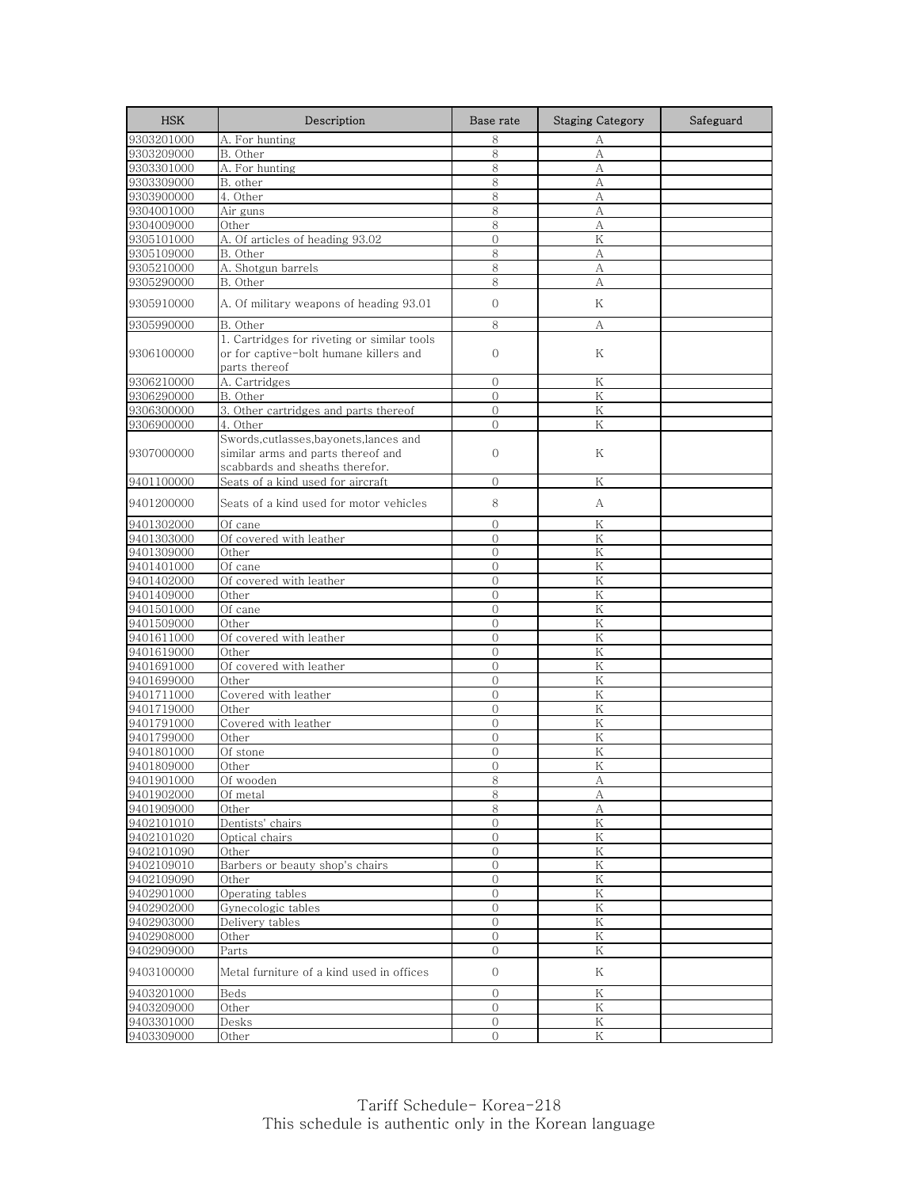| <b>HSK</b>               | Description                                                                                                      | Base rate                    | <b>Staging Category</b> | Safeguard |
|--------------------------|------------------------------------------------------------------------------------------------------------------|------------------------------|-------------------------|-----------|
| 9303201000               | A. For hunting                                                                                                   | 8                            | А                       |           |
| 9303209000               | B. Other                                                                                                         | 8                            | А                       |           |
| 9303301000               | A. For hunting                                                                                                   | 8                            | A                       |           |
| 9303309000               | B. other                                                                                                         | 8                            | А                       |           |
| 9303900000               | 4. Other                                                                                                         | 8                            | А                       |           |
| 9304001000               | Air guns                                                                                                         | 8                            | А                       |           |
| 9304009000               | Other                                                                                                            | 8                            | А                       |           |
| 9305101000               | A. Of articles of heading 93.02                                                                                  | $\mathbf{0}$                 | ${\rm K}$               |           |
| 9305109000               | B. Other                                                                                                         | 8                            | А                       |           |
| 9305210000               | A. Shotgun barrels                                                                                               | 8                            | А                       |           |
| 9305290000               | B. Other                                                                                                         | 8                            | А                       |           |
| 9305910000               | A. Of military weapons of heading 93.01                                                                          | $\mathbf{0}$                 | Κ                       |           |
| 9305990000               | B. Other                                                                                                         | 8                            | А                       |           |
| 9306100000               | 1. Cartridges for riveting or similar tools<br>or for captive-bolt humane killers and<br>parts thereof           | $\mathbf{0}$                 | Κ                       |           |
| 9306210000               | A. Cartridges                                                                                                    | $\mathbf{0}$                 | K                       |           |
| 9306290000               | B. Other                                                                                                         | $\mathbf{0}$                 | K                       |           |
| 9306300000               | 3. Other cartridges and parts thereof                                                                            | $\Omega$                     | $\rm K$                 |           |
| 9306900000               | 4. Other                                                                                                         | $\overline{0}$               | Κ                       |           |
| 9307000000               | Swords, cutlasses, bayonets, lances and<br>similar arms and parts thereof and<br>scabbards and sheaths therefor. | $\mathbf{0}$                 | Κ                       |           |
| 9401100000               | Seats of a kind used for aircraft                                                                                | $\mathbf{0}$                 | Κ                       |           |
| 9401200000               | Seats of a kind used for motor vehicles                                                                          | 8                            | А                       |           |
| 9401302000               | Of cane                                                                                                          | $\mathbf{0}$                 | Κ                       |           |
| 9401303000               | Of covered with leather                                                                                          | $\mathbf{0}$                 | Κ                       |           |
| 9401309000               | Other                                                                                                            | $\overline{0}$               | Κ                       |           |
| 9401401000               | Of cane                                                                                                          | $\mathbf{0}$                 | K                       |           |
| 9401402000               | Of covered with leather                                                                                          | $\Omega$                     | $\rm K$                 |           |
| 9401409000               | Other                                                                                                            | $\overline{0}$               | K                       |           |
| 9401501000               | Of cane                                                                                                          | $\mathbf{0}$                 | Κ                       |           |
| 9401509000               | Other                                                                                                            | $\mathbf{0}$                 | K                       |           |
| 9401611000               | Of covered with leather                                                                                          | $\mathbf{0}$                 | K                       |           |
| 9401619000               | Other                                                                                                            | $\overline{0}$               | K                       |           |
| 9401691000               | Of covered with leather                                                                                          | $\mathbf{0}$                 | Κ                       |           |
| 9401699000               | Other                                                                                                            | $\overline{0}$               | K                       |           |
| 9401711000               | Covered with leather                                                                                             | $\overline{0}$               | K                       |           |
| 9401719000               | Other                                                                                                            | $\boldsymbol{0}$             | K                       |           |
| 9401791000               | Covered with leather                                                                                             | $\overline{0}$               | K                       |           |
| 9401799000               | Other                                                                                                            | $\mathbf{0}$                 | Κ                       |           |
| 9401801000               | Of stone                                                                                                         | $\overline{0}$               | K                       |           |
| 9401809000               | Other                                                                                                            | $\overline{0}$               | Κ                       |           |
| 9401901000               | Of wooden                                                                                                        | 8                            | A                       |           |
| 9401902000               | Of metal                                                                                                         | 8                            | А                       |           |
| 9401909000               | Other                                                                                                            | 8                            | А<br>$\rm K$            |           |
| 9402101010               | Dentists' chairs                                                                                                 | $\mathbf{0}$                 |                         |           |
| 9402101020<br>9402101090 | Optical chairs                                                                                                   | $\mathbf{0}$<br>$\mathbf{0}$ | Κ<br>${\rm K}$          |           |
| 9402109010               | Other<br>Barbers or beauty shop's chairs                                                                         | $\mathbf{0}$                 | K                       |           |
| 9402109090               | Other                                                                                                            | $\mathbf 0$                  | K                       |           |
| 9402901000               | Operating tables                                                                                                 | $\mathcal{O}$                | ${\rm K}$               |           |
| 9402902000               | Gynecologic tables                                                                                               | $\mathbf{0}$                 | $\mathbf K$             |           |
| 9402903000               | Delivery tables                                                                                                  | $\mathbf{0}$                 | $\mathbf K$             |           |
| 9402908000               | Other                                                                                                            | $\mathbf{0}$                 | Κ                       |           |
| 9402909000               | Parts                                                                                                            | $\mathbf{0}$                 | K                       |           |
| 9403100000               | Metal furniture of a kind used in offices                                                                        | $\mathbf{0}$                 | Κ                       |           |
| 9403201000               | Beds                                                                                                             | $\overline{O}$               | K                       |           |
| 9403209000               | Other                                                                                                            | $\mathbf{0}$                 | Κ                       |           |
| 9403301000               | Desks                                                                                                            | $\mathcal{O}$                | ${\rm K}$               |           |
| 9403309000               | Other                                                                                                            | $\mathbf{O}$                 | Κ                       |           |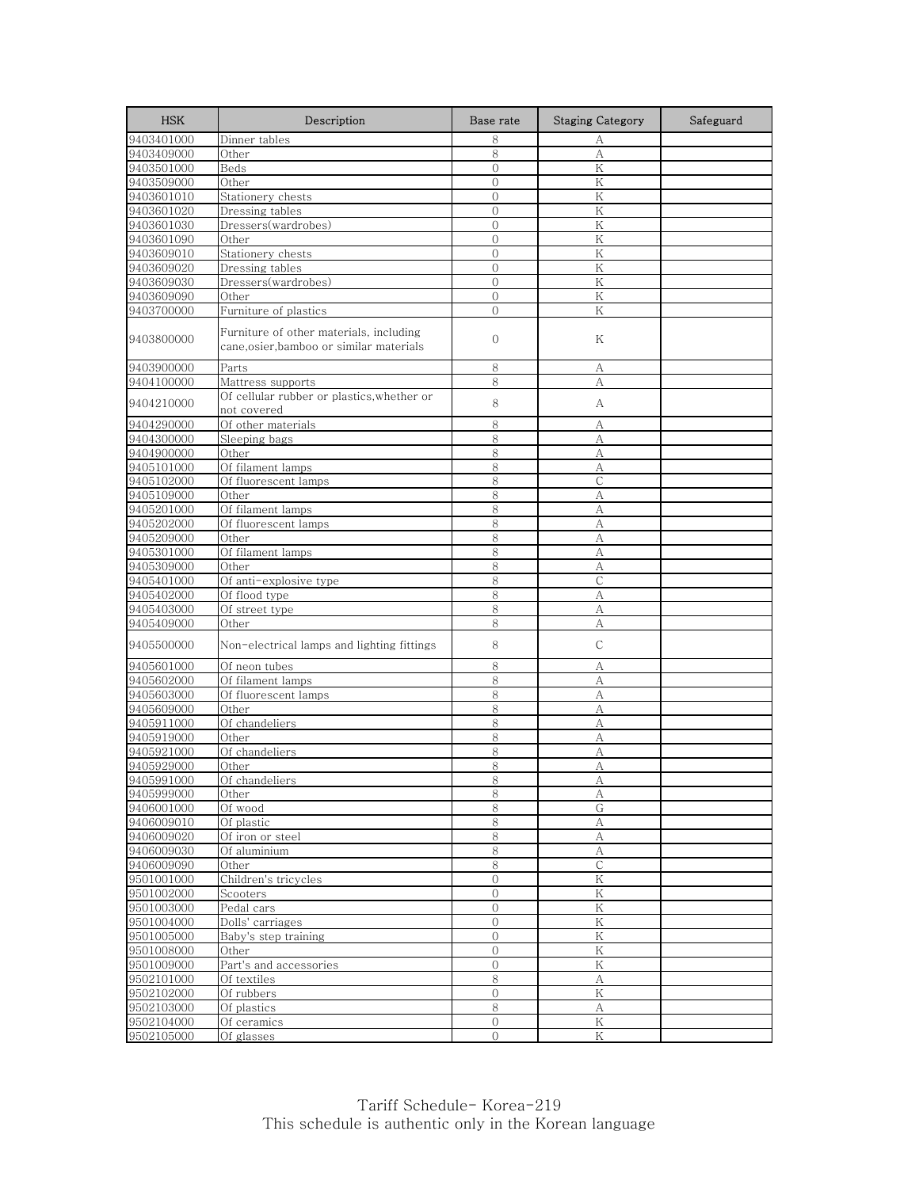| <b>HSK</b> | Description                                                                       | Base rate        | <b>Staging Category</b> | Safeguard |
|------------|-----------------------------------------------------------------------------------|------------------|-------------------------|-----------|
| 9403401000 | Dinner tables                                                                     | 8                | А                       |           |
| 9403409000 | Other                                                                             | 8                | А                       |           |
| 9403501000 | Beds                                                                              | $\overline{0}$   | Κ                       |           |
| 9403509000 | Other                                                                             | $\mathbf{0}$     | Κ                       |           |
| 9403601010 | Stationery chests                                                                 | $\mathbf{0}$     | K                       |           |
| 9403601020 | Dressing tables                                                                   | $\mathbf{0}$     | K                       |           |
| 9403601030 | Dressers(wardrobes)                                                               | $\mathbf 0$      | Κ                       |           |
| 9403601090 | Other                                                                             | $\overline{0}$   | K                       |           |
| 9403609010 | Stationery chests                                                                 | $\mathbf{0}$     | K                       |           |
| 9403609020 | Dressing tables                                                                   | $\mathbf{0}$     | Κ                       |           |
| 9403609030 | Dressers(wardrobes)                                                               | $\overline{0}$   | Κ                       |           |
| 9403609090 | Other                                                                             | $\mathbf{0}$     | Κ                       |           |
| 9403700000 | Furniture of plastics                                                             | $\mathbf{0}$     | K                       |           |
| 9403800000 | Furniture of other materials, including<br>cane,osier,bamboo or similar materials | $\mathbf{0}$     | Κ                       |           |
| 9403900000 | Parts                                                                             | 8                | А                       |           |
| 9404100000 | Mattress supports                                                                 | 8                | А                       |           |
| 9404210000 | Of cellular rubber or plastics, whether or<br>not covered                         | 8                | А                       |           |
| 9404290000 | Of other materials                                                                | 8                | А                       |           |
| 9404300000 | Sleeping bags                                                                     | 8                | А                       |           |
| 9404900000 | Other                                                                             | 8                | А                       |           |
| 9405101000 | Of filament lamps                                                                 | 8                | А                       |           |
| 9405102000 | Of fluorescent lamps                                                              | 8                | $\mathsf{C}$            |           |
| 9405109000 | Other                                                                             | 8                | А                       |           |
| 9405201000 | Of filament lamps                                                                 | 8                | А                       |           |
| 9405202000 | Of fluorescent lamps                                                              | 8                | А                       |           |
| 9405209000 | Other                                                                             | 8                | А                       |           |
| 9405301000 | Of filament lamps                                                                 | 8                | А                       |           |
| 9405309000 | Other                                                                             | 8                | А                       |           |
| 9405401000 | Of anti-explosive type                                                            | 8                | $\mathcal{C}$           |           |
| 9405402000 | Of flood type                                                                     | 8                | А                       |           |
| 9405403000 | Of street type                                                                    | 8                | А                       |           |
| 9405409000 | Other                                                                             | 8                | А                       |           |
| 9405500000 | Non-electrical lamps and lighting fittings                                        | 8                | $\mathsf{C}$            |           |
|            |                                                                                   |                  |                         |           |
| 9405601000 | Of neon tubes                                                                     | 8                | А                       |           |
| 9405602000 | Of filament lamps                                                                 | 8                | А                       |           |
| 9405603000 | Of fluorescent lamps                                                              | 8                | А                       |           |
| 9405609000 | Other                                                                             | $\,8\,$          | А                       |           |
| 9405911000 | Of chandeliers                                                                    | 8                | А                       |           |
| 9405919000 | Other                                                                             | 8                | А                       |           |
| 9405921000 | Of chandeliers                                                                    | 8                | А                       |           |
| 9405929000 | Other                                                                             | 8                | А                       |           |
| 9405991000 | Of chandeliers                                                                    | 8                | Α                       |           |
| 9405999000 | Other                                                                             | 8                | А                       |           |
| 9406001000 | Of wood                                                                           | 8                | G                       |           |
| 9406009010 | Of plastic                                                                        | 8                | A                       |           |
| 9406009020 | Of iron or steel                                                                  | 8                | А                       |           |
| 9406009030 | Of aluminium                                                                      | $\,8\,$          | $\boldsymbol{A}$        |           |
| 9406009090 | Other                                                                             | 8                | $\mathsf{C}$            |           |
| 9501001000 | Children's tricycles                                                              | $\boldsymbol{0}$ | $\rm K$                 |           |
| 9501002000 | Scooters                                                                          | $\mathbf{O}$     | ${\rm K}$               |           |
| 9501003000 | Pedal cars                                                                        | $\mathbf{0}$     | $\mathbf K$             |           |
| 9501004000 | Dolls' carriages                                                                  | $\mathbf 0$      | $\rm K$                 |           |
| 9501005000 | Baby's step training                                                              | $\mathbf{0}$     | K                       |           |
| 9501008000 | Other                                                                             | $\overline{0}$   | K                       |           |
| 9501009000 | Part's and accessories                                                            | $\overline{0}$   | K                       |           |
| 9502101000 | Of textiles                                                                       | $\,8\,$          | А                       |           |
| 9502102000 | Of rubbers                                                                        | $\overline{0}$   | ${\rm K}$               |           |
| 9502103000 | Of plastics                                                                       | 8                | А                       |           |
| 9502104000 | $\overline{Of}$ ceramics                                                          | $\boldsymbol{0}$ | $\rm K$                 |           |
| 9502105000 | Of glasses                                                                        | $\mathcal{O}$    | K                       |           |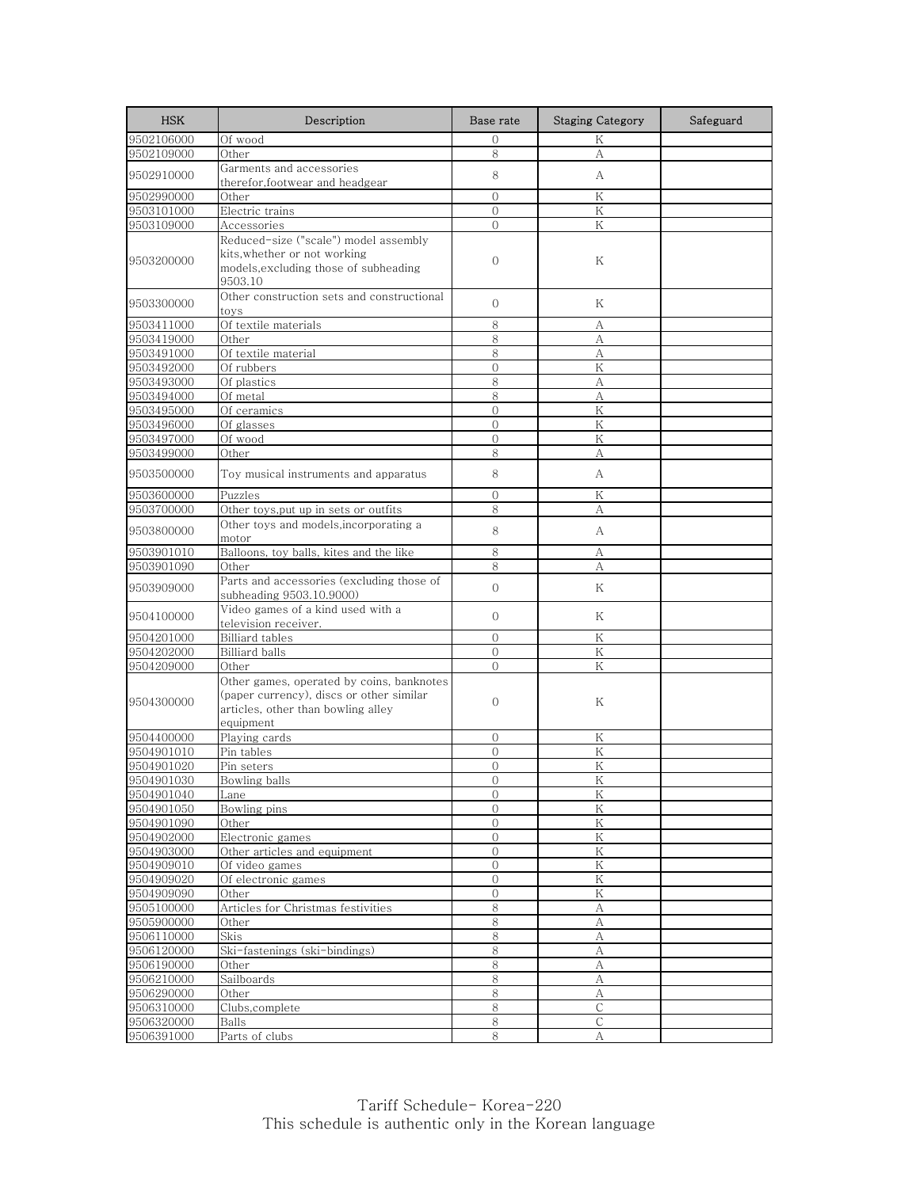| <b>HSK</b> | Description                                                                                                                              | Base rate      | <b>Staging Category</b> | Safeguard |
|------------|------------------------------------------------------------------------------------------------------------------------------------------|----------------|-------------------------|-----------|
| 9502106000 | Of wood                                                                                                                                  | $\Omega$       | K                       |           |
| 9502109000 | Other                                                                                                                                    | 8              | А                       |           |
| 9502910000 | Garments and accessories<br>therefor,footwear and headgear                                                                               | 8              | А                       |           |
| 9502990000 | Other                                                                                                                                    | $\Omega$       | Κ                       |           |
| 9503101000 | Electric trains                                                                                                                          | $\overline{O}$ | K                       |           |
| 9503109000 | Accessories                                                                                                                              | $\mathcal{O}$  | Κ                       |           |
|            | Reduced-size ("scale") model assembly                                                                                                    |                |                         |           |
| 9503200000 | kits, whether or not working<br>models, excluding those of subheading<br>9503.10                                                         | $\mathbf{0}$   | Κ                       |           |
| 9503300000 | Other construction sets and constructional<br>toys                                                                                       | $\mathbf{O}$   | Κ                       |           |
| 9503411000 | Of textile materials                                                                                                                     | 8              | А                       |           |
| 9503419000 | Other                                                                                                                                    | 8              | А                       |           |
| 9503491000 | Of textile material                                                                                                                      | 8              | А                       |           |
| 9503492000 | Of rubbers                                                                                                                               | $\mathbf{O}$   | K                       |           |
| 9503493000 | Of plastics                                                                                                                              | 8              | А                       |           |
| 9503494000 | Of metal                                                                                                                                 | 8              | А                       |           |
| 9503495000 | Of ceramics                                                                                                                              | $\overline{O}$ | $\rm K$                 |           |
| 9503496000 | Of glasses                                                                                                                               | $\Omega$       | K                       |           |
| 9503497000 | Of wood                                                                                                                                  | $\mathbf{O}$   | Κ                       |           |
| 9503499000 | Other                                                                                                                                    | 8              | A                       |           |
| 9503500000 | Toy musical instruments and apparatus                                                                                                    | 8              | А                       |           |
| 9503600000 | Puzzles                                                                                                                                  | $\mathbf{0}$   | Κ                       |           |
| 9503700000 | Other toys, put up in sets or outfits                                                                                                    | 8              | А                       |           |
| 9503800000 | Other toys and models, incorporating a<br>motor                                                                                          | 8              | А                       |           |
| 9503901010 | Balloons, toy balls, kites and the like                                                                                                  | 8              | А                       |           |
| 9503901090 | Other                                                                                                                                    | 8              | А                       |           |
| 9503909000 | Parts and accessories (excluding those of<br>subheading 9503.10.9000)                                                                    | $\overline{O}$ | K                       |           |
| 9504100000 | Video games of a kind used with a<br>television receiver.                                                                                | $\mathbf{O}$   | K                       |           |
| 9504201000 | <b>Billiard</b> tables                                                                                                                   | $\Omega$       | Κ                       |           |
| 9504202000 | Billiard balls                                                                                                                           | $\overline{0}$ | K                       |           |
| 9504209000 | Other                                                                                                                                    | $\mathbf{O}$   | Κ                       |           |
| 9504300000 | Other games, operated by coins, banknotes<br>(paper currency), discs or other similar<br>articles, other than bowling alley<br>equipment | $\mathbf{0}$   | Κ                       |           |
| 9504400000 | Playing cards                                                                                                                            | $\mathbf{0}$   | Κ                       |           |
| 9504901010 | Pin tables                                                                                                                               | $\mathbf{0}$   | K                       |           |
| 9504901020 | Pin seters                                                                                                                               | $\Omega$       | Κ                       |           |
| 9504901030 | <b>Bowling balls</b>                                                                                                                     | 0              | K                       |           |
| 9504901040 | Lane                                                                                                                                     | $\mathbf{0}$   | K                       |           |
| 9504901050 | Bowling pins                                                                                                                             | 0              | Κ                       |           |
| 9504901090 | Other                                                                                                                                    | $\mathbf{0}$   | $\rm K$                 |           |
| 9504902000 | Electronic games                                                                                                                         | 0              | Κ                       |           |
| 9504903000 | Other articles and equipment                                                                                                             | $\overline{0}$ | $\rm K$                 |           |
| 9504909010 | Of video games                                                                                                                           | $\mathbf{0}$   | K                       |           |
| 9504909020 | Of electronic games                                                                                                                      | 0              | Κ                       |           |
| 9504909090 | Other                                                                                                                                    | $\overline{0}$ | Κ                       |           |
| 9505100000 | Articles for Christmas festivities                                                                                                       | 8              | А                       |           |
| 9505900000 | Other                                                                                                                                    | 8              | А                       |           |
| 9506110000 | Skis                                                                                                                                     | 8              | А                       |           |
| 9506120000 | Ski-fastenings (ski-bindings)                                                                                                            | 8              | A                       |           |
| 9506190000 | Other                                                                                                                                    | 8              | А                       |           |
| 9506210000 | Sailboards                                                                                                                               | $8\,$          | А                       |           |
| 9506290000 | Other                                                                                                                                    | 8              | А                       |           |
| 9506310000 | Clubs, complete                                                                                                                          | 8              | С                       |           |
| 9506320000 | Balls                                                                                                                                    | $\,8\,$        | $\mathsf{C}$            |           |
| 9506391000 | Parts of clubs                                                                                                                           | 8              | А                       |           |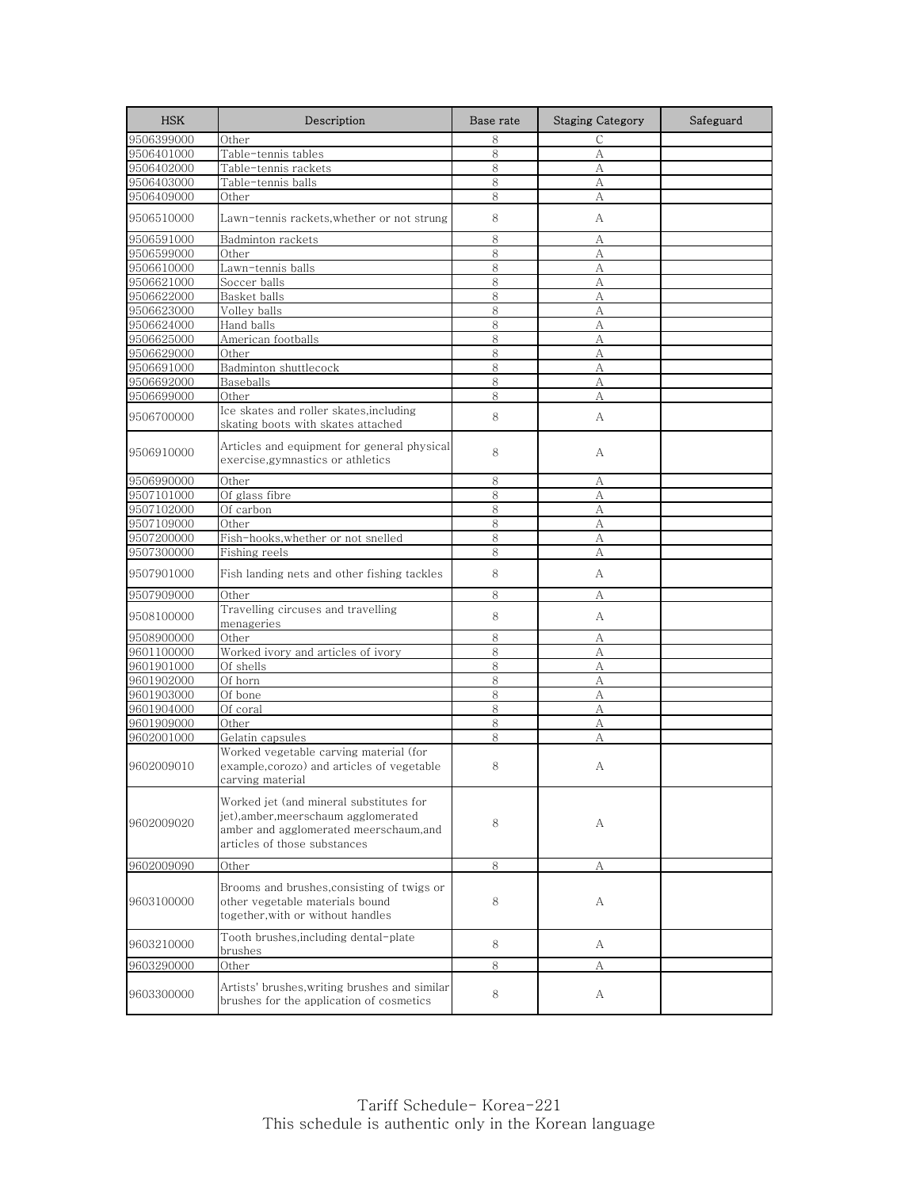| <b>HSK</b> | Description                                                                                                                                               | Base rate | <b>Staging Category</b> | Safeguard |
|------------|-----------------------------------------------------------------------------------------------------------------------------------------------------------|-----------|-------------------------|-----------|
| 9506399000 | Other                                                                                                                                                     | 8         | С                       |           |
| 9506401000 | Table-tennis tables                                                                                                                                       | 8         | А                       |           |
| 9506402000 | Table-tennis rackets                                                                                                                                      | 8         | А                       |           |
| 9506403000 | Table-tennis balls                                                                                                                                        | 8         | A                       |           |
| 9506409000 | Other                                                                                                                                                     | 8         | А                       |           |
| 9506510000 | Lawn-tennis rackets,whether or not strung                                                                                                                 | 8         | А                       |           |
| 9506591000 | Badminton rackets                                                                                                                                         | 8         | А                       |           |
| 9506599000 | Other                                                                                                                                                     | 8         | А                       |           |
| 9506610000 | Lawn-tennis balls                                                                                                                                         | 8         | А                       |           |
| 9506621000 | Soccer balls                                                                                                                                              | 8         | А                       |           |
| 9506622000 | Basket balls                                                                                                                                              | 8         | A                       |           |
| 9506623000 | Volley balls                                                                                                                                              | 8         | А                       |           |
| 9506624000 | Hand balls                                                                                                                                                | 8         | А                       |           |
| 9506625000 | American footballs                                                                                                                                        | 8         | А                       |           |
| 9506629000 | Other                                                                                                                                                     | 8         | А                       |           |
| 9506691000 | Badminton shuttlecock                                                                                                                                     | 8         | А                       |           |
| 9506692000 | Baseballs                                                                                                                                                 | 8         | A                       |           |
| 9506699000 | Other                                                                                                                                                     | 8         | А                       |           |
| 9506700000 | Ice skates and roller skates, including<br>skating boots with skates attached                                                                             | 8         | А                       |           |
| 9506910000 | Articles and equipment for general physical<br>exercise, gymnastics or athletics                                                                          | 8         | А                       |           |
| 9506990000 | Other                                                                                                                                                     | 8         | А                       |           |
| 9507101000 | Of glass fibre                                                                                                                                            | 8         | А                       |           |
| 9507102000 | Of carbon                                                                                                                                                 | 8         | А                       |           |
| 9507109000 | Other                                                                                                                                                     | 8         | А                       |           |
| 9507200000 | Fish-hooks,whether or not snelled                                                                                                                         | 8         | А                       |           |
| 9507300000 | Fishing reels                                                                                                                                             | 8         | А                       |           |
| 9507901000 | Fish landing nets and other fishing tackles                                                                                                               | 8         | А                       |           |
| 9507909000 | Other                                                                                                                                                     | 8         | А                       |           |
| 9508100000 | Travelling circuses and travelling<br>menageries                                                                                                          | 8         | А                       |           |
| 9508900000 | Other                                                                                                                                                     | 8         | А                       |           |
| 9601100000 | Worked ivory and articles of ivory                                                                                                                        | 8         | A                       |           |
| 9601901000 | Of shells                                                                                                                                                 | 8         | A                       |           |
| 9601902000 | Of horn                                                                                                                                                   | 8         | А                       |           |
| 9601903000 | Of bone                                                                                                                                                   | 8         | А                       |           |
| 9601904000 | Of coral                                                                                                                                                  | 8         | А                       |           |
| 9601909000 | Other                                                                                                                                                     | 8         | А                       |           |
| 9602001000 | Gelatin capsules                                                                                                                                          | 8         | А                       |           |
| 9602009010 | Worked vegetable carving material (for<br>example,corozo) and articles of vegetable<br>carving material                                                   | 8         | А                       |           |
| 9602009020 | Worked jet (and mineral substitutes for<br>jet), amber, meerschaum agglomerated<br>amber and agglomerated meerschaum, and<br>articles of those substances | 8         | А                       |           |
| 9602009090 | Other                                                                                                                                                     | 8         | А                       |           |
|            |                                                                                                                                                           |           |                         |           |
| 9603100000 | Brooms and brushes, consisting of twigs or<br>other vegetable materials bound<br>together, with or without handles                                        | 8         | А                       |           |
| 9603210000 | Tooth brushes, including dental-plate<br>brushes                                                                                                          | 8         | А                       |           |
| 9603290000 | Other                                                                                                                                                     | 8         | А                       |           |
| 9603300000 | Artists' brushes,writing brushes and similar<br>brushes for the application of cosmetics                                                                  | 8         | А                       |           |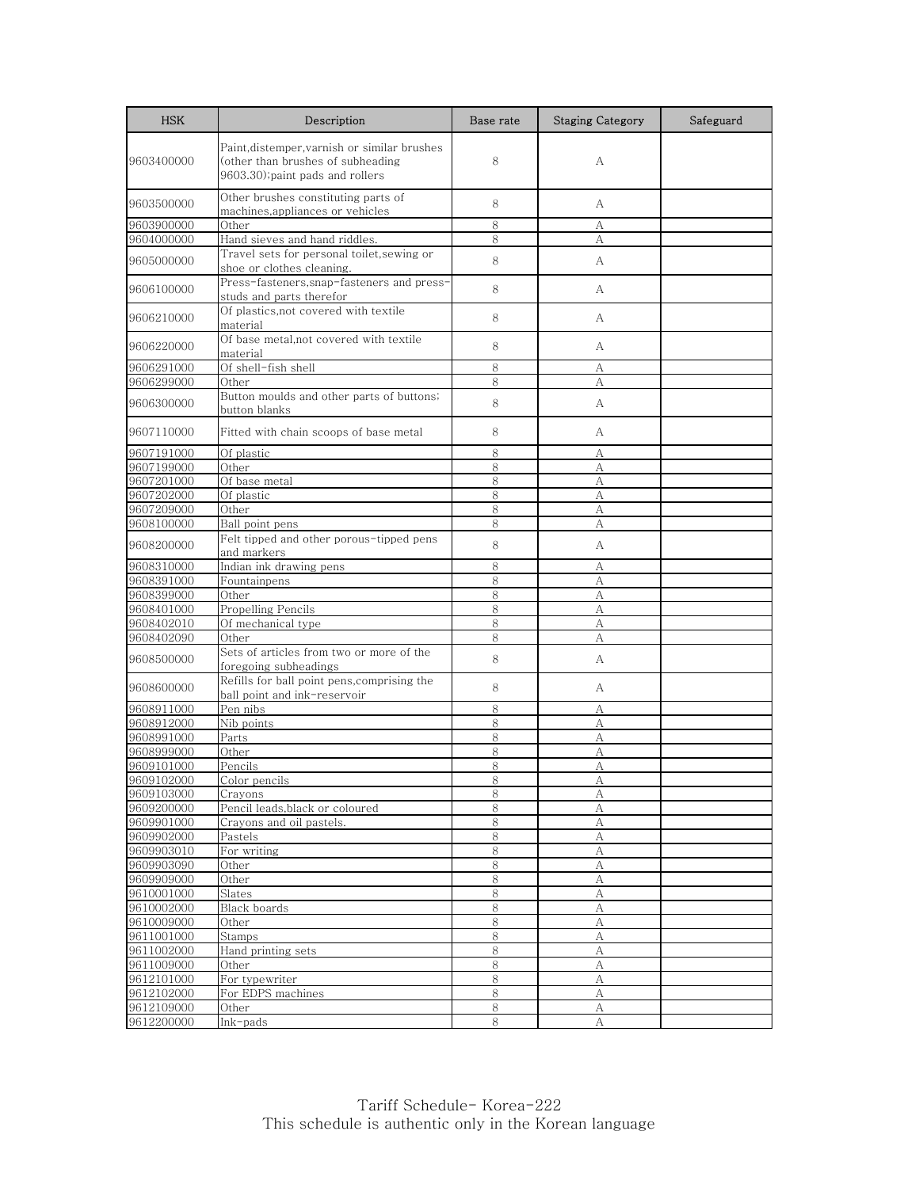| <b>HSK</b>               | Description                                                                                                           | Base rate    | <b>Staging Category</b> | Safeguard |
|--------------------------|-----------------------------------------------------------------------------------------------------------------------|--------------|-------------------------|-----------|
| 9603400000               | Paint, distemper, varnish or similar brushes<br>(other than brushes of subheading<br>9603.30); paint pads and rollers | 8            | А                       |           |
| 9603500000               | Other brushes constituting parts of<br>machines, appliances or vehicles                                               | 8            | А                       |           |
| 9603900000               | Other                                                                                                                 | 8            | А                       |           |
| 9604000000               | Hand sieves and hand riddles.                                                                                         | 8            | А                       |           |
| 9605000000               | Travel sets for personal toilet, sewing or<br>shoe or clothes cleaning.                                               | 8            | A                       |           |
| 9606100000               | Press-fasteners, snap-fasteners and press-<br>studs and parts therefor                                                | 8            | A                       |           |
| 9606210000               | Of plastics, not covered with textile<br>material                                                                     | 8            | А                       |           |
| 9606220000               | Of base metal, not covered with textile<br>material                                                                   | 8            | А                       |           |
| 9606291000               | Of shell-fish shell                                                                                                   | 8            | А                       |           |
| 9606299000               | Other                                                                                                                 | 8            | А                       |           |
| 9606300000               | Button moulds and other parts of buttons;<br>button blanks                                                            | 8            | А                       |           |
| 9607110000               | Fitted with chain scoops of base metal                                                                                | 8            | A                       |           |
| 9607191000               | Of plastic                                                                                                            | 8            | А                       |           |
| 9607199000               | Other                                                                                                                 | 8            | А                       |           |
| 9607201000               | Of base metal                                                                                                         | 8            | А                       |           |
| 9607202000               | Of plastic                                                                                                            | 8            | А                       |           |
| 9607209000               | Other                                                                                                                 | 8            | А                       |           |
| 9608100000               | Ball point pens                                                                                                       | 8            | А                       |           |
| 9608200000               | Felt tipped and other porous-tipped pens<br>and markers                                                               | 8            | A                       |           |
| 9608310000               | Indian ink drawing pens                                                                                               | 8            | А                       |           |
| 9608391000               | Fountainpens                                                                                                          | 8            | А                       |           |
| 9608399000               | Other                                                                                                                 | 8            | А                       |           |
| 9608401000               | Propelling Pencils                                                                                                    | 8            | A                       |           |
| 9608402010               | Of mechanical type                                                                                                    | 8            | А                       |           |
| 9608402090               | Other                                                                                                                 | 8            | А                       |           |
| 9608500000               | Sets of articles from two or more of the<br>foregoing subheadings                                                     | 8            | А                       |           |
| 9608600000               | Refills for ball point pens, comprising the<br>ball point and ink-reservoir                                           | 8            | А                       |           |
| 9608911000               | Pen nibs                                                                                                              | 8            | А                       |           |
| 9608912000               | Nib points                                                                                                            | 8            | A                       |           |
| 9608991000               | Parts                                                                                                                 | 8            | А                       |           |
| 9608999000               | Other                                                                                                                 | 8            | А                       |           |
| 9609101000               | Pencils                                                                                                               | 8            | А                       |           |
| 9609102000               | Color pencils                                                                                                         | 8            | A                       |           |
| 9609103000               | Crayons                                                                                                               | 8            | А                       |           |
| 9609200000               | Pencil leads, black or coloured                                                                                       | $8\,$        | A                       |           |
| 9609901000               | Crayons and oil pastels.                                                                                              | 8            | A                       |           |
| 9609902000               | Pastels                                                                                                               | 8            | А                       |           |
| 9609903010               | For writing                                                                                                           | 8            | А                       |           |
| 9609903090               | Other                                                                                                                 | 8            | А                       |           |
| 9609909000               | Other                                                                                                                 | $8\,$        | А                       |           |
| 9610001000               | $\overline{Slates}$<br>Black boards                                                                                   | 8<br>$8\,$   | А                       |           |
| 9610002000               |                                                                                                                       |              | А                       |           |
| 9610009000               | Other                                                                                                                 | $8\,$        | А                       |           |
| 9611001000               | Stamps<br>Hand printing sets                                                                                          | 8<br>$\,8\,$ | А<br>$\boldsymbol{A}$   |           |
| 9611002000               | Other                                                                                                                 |              |                         |           |
| 9611009000               |                                                                                                                       | 8            | А                       |           |
| 9612101000<br>9612102000 | For typewriter<br>For EDPS machines                                                                                   | 8<br>8       | А<br>А                  |           |
| 9612109000               | Other                                                                                                                 | 8            | А                       |           |
| 9612200000               | Ink-pads                                                                                                              | 8            | А                       |           |
|                          |                                                                                                                       |              |                         |           |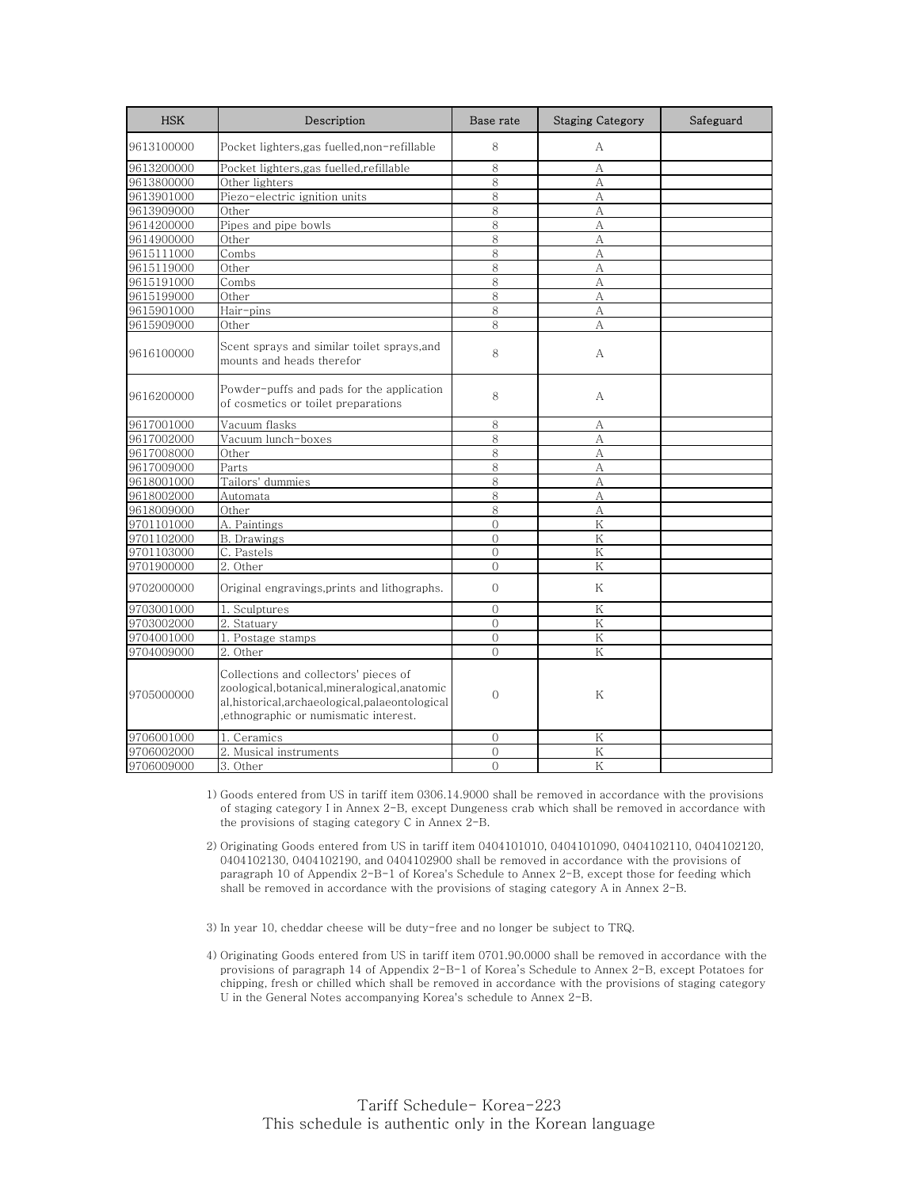| <b>HSK</b> | Description                                                                                                                                                                      | Base rate      | <b>Staging Category</b> | Safeguard |
|------------|----------------------------------------------------------------------------------------------------------------------------------------------------------------------------------|----------------|-------------------------|-----------|
| 9613100000 | Pocket lighters,gas fuelled,non-refillable                                                                                                                                       | 8              | A                       |           |
| 9613200000 | Pocket lighters,gas fuelled,refillable                                                                                                                                           | 8              | А                       |           |
| 9613800000 | Other lighters                                                                                                                                                                   | 8              | А                       |           |
| 9613901000 | Piezo-electric ignition units                                                                                                                                                    | 8              | A                       |           |
| 9613909000 | Other                                                                                                                                                                            | 8              | А                       |           |
| 9614200000 | Pipes and pipe bowls                                                                                                                                                             | 8              | A                       |           |
| 9614900000 | Other                                                                                                                                                                            | 8              | А                       |           |
| 9615111000 | Combs                                                                                                                                                                            | 8              | А                       |           |
| 9615119000 | Other                                                                                                                                                                            | 8              | A                       |           |
| 9615191000 | Combs                                                                                                                                                                            | 8              | А                       |           |
| 9615199000 | Other                                                                                                                                                                            | 8              | A                       |           |
| 9615901000 | Hair-pins                                                                                                                                                                        | 8              | А                       |           |
| 9615909000 | Other                                                                                                                                                                            | 8              | A                       |           |
| 9616100000 | Scent sprays and similar toilet sprays,and<br>mounts and heads therefor                                                                                                          | 8              | А                       |           |
| 9616200000 | Powder-puffs and pads for the application<br>of cosmetics or toilet preparations                                                                                                 | 8              | А                       |           |
| 9617001000 | Vacuum flasks                                                                                                                                                                    | 8              | А                       |           |
| 9617002000 | Vacuum lunch-boxes                                                                                                                                                               | 8              | A                       |           |
| 9617008000 | Other                                                                                                                                                                            | 8              | A                       |           |
| 9617009000 | $\overline{\text{Parts}}$                                                                                                                                                        | 8              | А                       |           |
| 9618001000 | Tailors' dummies                                                                                                                                                                 | 8              | А                       |           |
| 9618002000 | Automata                                                                                                                                                                         | 8              | A                       |           |
| 9618009000 | Other                                                                                                                                                                            | 8              | А                       |           |
| 9701101000 | A. Paintings                                                                                                                                                                     | $\overline{0}$ | $\rm K$                 |           |
| 9701102000 | <b>B.</b> Drawings                                                                                                                                                               | $\overline{O}$ | K                       |           |
| 9701103000 | C. Pastels                                                                                                                                                                       | $\overline{O}$ | ${\rm K}$               |           |
| 9701900000 | 2. Other                                                                                                                                                                         | $\overline{O}$ | K                       |           |
| 9702000000 | Original engravings, prints and lithographs.                                                                                                                                     | $\overline{0}$ | Κ                       |           |
| 9703001000 | 1. Sculptures                                                                                                                                                                    | $\overline{0}$ | K                       |           |
| 9703002000 | 2. Statuary                                                                                                                                                                      | $\overline{O}$ | Κ                       |           |
| 9704001000 | 1. Postage stamps                                                                                                                                                                | $\overline{O}$ | ${\rm K}$               |           |
| 9704009000 | 2. Other                                                                                                                                                                         | $\bigcap$      | K                       |           |
| 9705000000 | Collections and collectors' pieces of<br>zoological,botanical,mineralogical,anatomic<br>al, historical, archaeological, palaeontological<br>ethnographic or numismatic interest. | 0              | Κ                       |           |
| 9706001000 | 1. Ceramics                                                                                                                                                                      | $\mathbf{0}$   | K                       |           |
| 9706002000 | 2. Musical instruments                                                                                                                                                           | $\overline{0}$ | Κ                       |           |
| 9706009000 | 3. Other                                                                                                                                                                         | $\overline{O}$ | K                       |           |

1) Goods entered from US in tariff item 0306.14.9000 shall be removed in accordance with the provisions of staging category I in Annex 2-B, except Dungeness crab which shall be removed in accordance with the provisions of staging category C in Annex 2-B.

2) Originating Goods entered from US in tariff item 0404101010, 0404101090, 0404102110, 0404102120, 0404102130, 0404102190, and 0404102900 shall be removed in accordance with the provisions of paragraph 10 of Appendix 2-B-1 of Korea's Schedule to Annex 2-B, except those for feeding which shall be removed in accordance with the provisions of staging category A in Annex 2-B.

3) In year 10, cheddar cheese will be duty-free and no longer be subject to TRQ.

4) Originating Goods entered from US in tariff item 0701.90.0000 shall be removed in accordance with the provisions of paragraph 14 of Appendix 2-B-1 of Korea's Schedule to Annex 2-B, except Potatoes for chipping, fresh or chilled which shall be removed in accordance with the provisions of staging category U in the General Notes accompanying Korea's schedule to Annex 2-B.